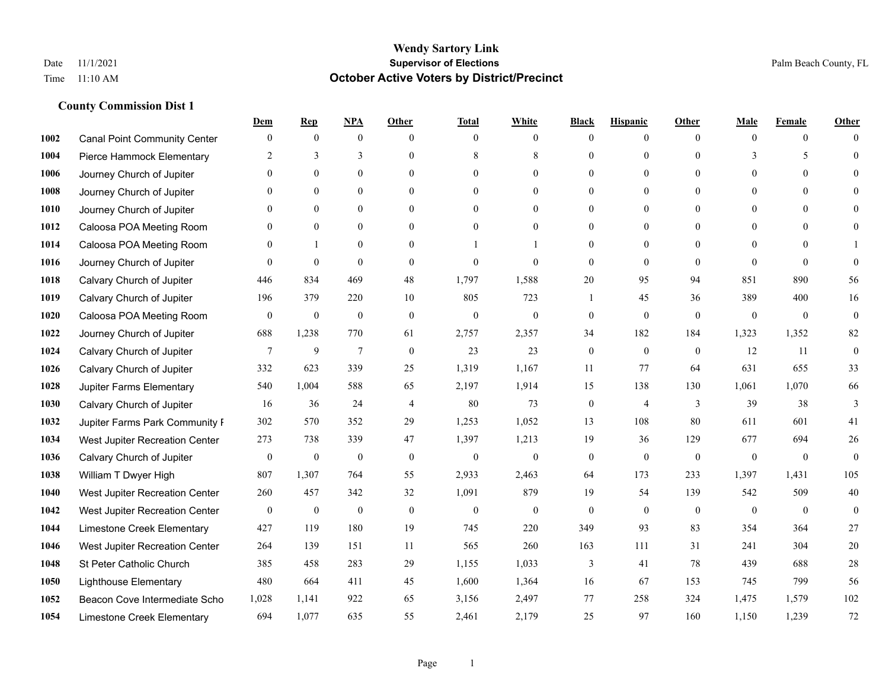|      |                                     | Dem              | <b>Rep</b>       | NPA              | <b>Other</b>   | <b>Total</b>     | <b>White</b>     | <b>Black</b>     | <b>Hispanic</b> | <b>Other</b> | <b>Male</b>      | <b>Female</b>  | <b>Other</b>     |
|------|-------------------------------------|------------------|------------------|------------------|----------------|------------------|------------------|------------------|-----------------|--------------|------------------|----------------|------------------|
| 1002 | <b>Canal Point Community Center</b> | $\mathbf{0}$     | $\mathbf{0}$     | $\boldsymbol{0}$ | $\theta$       | $\overline{0}$   | $\overline{0}$   | $\mathbf{0}$     | $\mathbf{0}$    | $\theta$     | $\mathbf{0}$     | $\overline{0}$ | $\Omega$         |
| 1004 | Pierce Hammock Elementary           | 2                | 3                | 3                | $\theta$       | 8                | 8                | $\theta$         | $\mathbf{0}$    | $\Omega$     | 3                | 5              | $\theta$         |
| 1006 | Journey Church of Jupiter           | $\Omega$         | $\theta$         | $\theta$         | $\Omega$       | $\Omega$         | $\Omega$         | $\Omega$         | $\theta$        | $\Omega$     | $\Omega$         | $\Omega$       | $\Omega$         |
| 1008 | Journey Church of Jupiter           | $\mathbf{0}$     | $\mathbf{0}$     | $\mathbf{0}$     | $\mathbf{0}$   | $\theta$         | $\overline{0}$   | $\overline{0}$   | $\mathbf{0}$    | $\Omega$     | $\mathbf{0}$     | $\mathbf{0}$   |                  |
| 1010 | Journey Church of Jupiter           | $\Omega$         | $\theta$         | $\mathbf{0}$     | $\theta$       | $\Omega$         | $\overline{0}$   | $\theta$         | $\mathbf{0}$    | $\theta$     | $\theta$         | $\theta$       | $\Omega$         |
| 1012 | Caloosa POA Meeting Room            | $\theta$         | $\mathbf{0}$     | $\mathbf{0}$     | $\theta$       | $\theta$         | $\mathbf{0}$     | $\theta$         | $\mathbf{0}$    | $\Omega$     | $\mathbf{0}$     | $\Omega$       | $\Omega$         |
| 1014 | Caloosa POA Meeting Room            | $\mathbf{0}$     | $\mathbf{1}$     | $\mathbf{0}$     | $\mathbf{0}$   |                  |                  | $\mathbf{0}$     | $\mathbf{0}$    | $\Omega$     | $\mathbf{0}$     | $\theta$       |                  |
| 1016 | Journey Church of Jupiter           | $\Omega$         | $\mathbf{0}$     | $\mathbf{0}$     | $\theta$       | $\theta$         | $\theta$         | $\theta$         | $\theta$        | $\Omega$     | $\Omega$         | $\Omega$       | $\theta$         |
| 1018 | Calvary Church of Jupiter           | 446              | 834              | 469              | 48             | 1,797            | 1,588            | 20               | 95              | 94           | 851              | 890            | 56               |
| 1019 | Calvary Church of Jupiter           | 196              | 379              | 220              | 10             | 805              | 723              | 1                | 45              | 36           | 389              | 400            | 16               |
| 1020 | Caloosa POA Meeting Room            | $\overline{0}$   | $\boldsymbol{0}$ | $\boldsymbol{0}$ | $\mathbf{0}$   | $\mathbf{0}$     | $\mathbf{0}$     | $\boldsymbol{0}$ | $\mathbf{0}$    | $\mathbf{0}$ | $\mathbf{0}$     | $\overline{0}$ | $\boldsymbol{0}$ |
| 1022 | Journey Church of Jupiter           | 688              | 1,238            | 770              | 61             | 2,757            | 2,357            | 34               | 182             | 184          | 1,323            | 1,352          | 82               |
| 1024 | Calvary Church of Jupiter           | $7\phantom{.0}$  | 9                | $\overline{7}$   | $\theta$       | 23               | 23               | $\mathbf{0}$     | $\mathbf{0}$    | $\theta$     | 12               | 11             | $\boldsymbol{0}$ |
| 1026 | Calvary Church of Jupiter           | 332              | 623              | 339              | 25             | 1,319            | 1,167            | 11               | 77              | 64           | 631              | 655            | 33               |
| 1028 | Jupiter Farms Elementary            | 540              | 1,004            | 588              | 65             | 2,197            | 1,914            | 15               | 138             | 130          | 1,061            | 1,070          | 66               |
| 1030 | Calvary Church of Jupiter           | 16               | 36               | 24               | $\overline{4}$ | 80               | 73               | $\boldsymbol{0}$ | $\overline{4}$  | 3            | 39               | 38             | 3                |
| 1032 | Jupiter Farms Park Community F      | 302              | 570              | 352              | 29             | 1,253            | 1,052            | 13               | 108             | 80           | 611              | 601            | 41               |
| 1034 | West Jupiter Recreation Center      | 273              | 738              | 339              | 47             | 1,397            | 1,213            | 19               | 36              | 129          | 677              | 694            | $26\,$           |
| 1036 | Calvary Church of Jupiter           | $\mathbf{0}$     | $\boldsymbol{0}$ | $\boldsymbol{0}$ | $\mathbf{0}$   | $\boldsymbol{0}$ | $\boldsymbol{0}$ | $\boldsymbol{0}$ | $\mathbf{0}$    | $\mathbf{0}$ | $\mathbf{0}$     | $\mathbf{0}$   | $\mathbf{0}$     |
| 1038 | William T Dwyer High                | 807              | 1,307            | 764              | 55             | 2,933            | 2,463            | 64               | 173             | 233          | 1,397            | 1,431          | 105              |
| 1040 | West Jupiter Recreation Center      | 260              | 457              | 342              | 32             | 1,091            | 879              | 19               | 54              | 139          | 542              | 509            | 40               |
| 1042 | West Jupiter Recreation Center      | $\boldsymbol{0}$ | $\boldsymbol{0}$ | $\boldsymbol{0}$ | $\mathbf{0}$   | $\boldsymbol{0}$ | $\mathbf{0}$     | $\boldsymbol{0}$ | $\mathbf{0}$    | $\mathbf{0}$ | $\boldsymbol{0}$ | $\overline{0}$ | $\mathbf{0}$     |
| 1044 | Limestone Creek Elementary          | 427              | 119              | 180              | 19             | 745              | 220              | 349              | 93              | 83           | 354              | 364            | 27               |
| 1046 | West Jupiter Recreation Center      | 264              | 139              | 151              | 11             | 565              | 260              | 163              | 111             | 31           | 241              | 304            | 20               |
| 1048 | St Peter Catholic Church            | 385              | 458              | 283              | 29             | 1,155            | 1,033            | 3                | 41              | 78           | 439              | 688            | $28\,$           |
| 1050 | <b>Lighthouse Elementary</b>        | 480              | 664              | 411              | 45             | 1,600            | 1,364            | 16               | 67              | 153          | 745              | 799            | 56               |
| 1052 | Beacon Cove Intermediate Scho       | 1,028            | 1,141            | 922              | 65             | 3,156            | 2,497            | 77               | 258             | 324          | 1,475            | 1,579          | 102              |
| 1054 | Limestone Creek Elementary          | 694              | 1,077            | 635              | 55             | 2,461            | 2,179            | 25               | 97              | 160          | 1,150            | 1,239          | 72               |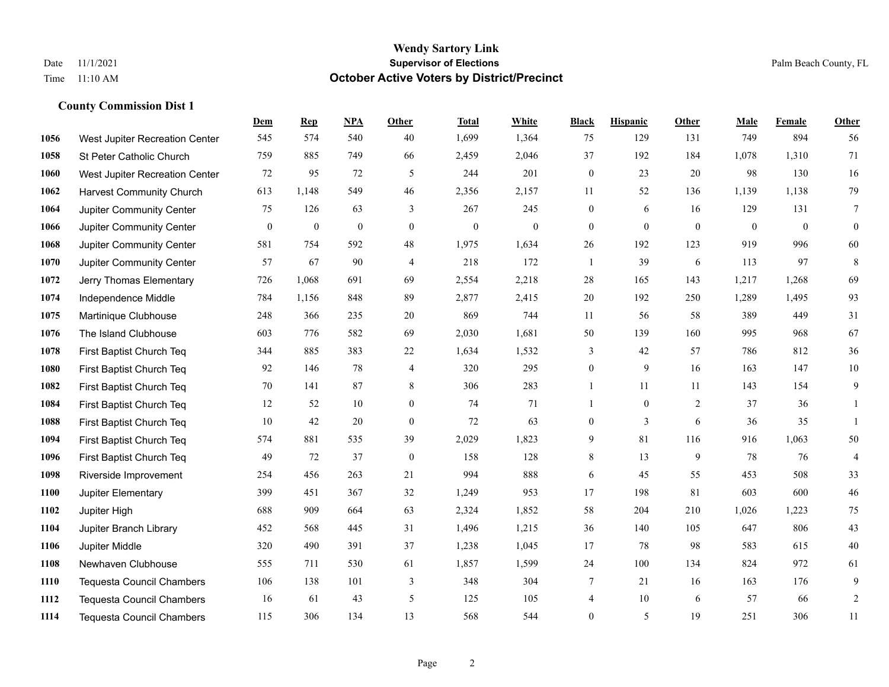|      |                                  | Dem              | <b>Rep</b>       | NPA              | <b>Other</b>     | <b>Total</b>     | <b>White</b>     | <b>Black</b>     | <b>Hispanic</b> | <b>Other</b> | <b>Male</b>  | Female         | Other          |
|------|----------------------------------|------------------|------------------|------------------|------------------|------------------|------------------|------------------|-----------------|--------------|--------------|----------------|----------------|
| 1056 | West Jupiter Recreation Center   | 545              | 574              | 540              | 40               | 1,699            | 1,364            | 75               | 129             | 131          | 749          | 894            | 56             |
| 1058 | St Peter Catholic Church         | 759              | 885              | 749              | 66               | 2,459            | 2,046            | 37               | 192             | 184          | 1,078        | 1,310          | 71             |
| 1060 | West Jupiter Recreation Center   | 72               | 95               | 72               | 5                | 244              | 201              | $\boldsymbol{0}$ | 23              | 20           | 98           | 130            | 16             |
| 1062 | <b>Harvest Community Church</b>  | 613              | 1,148            | 549              | 46               | 2,356            | 2,157            | 11               | 52              | 136          | 1,139        | 1,138          | 79             |
| 1064 | Jupiter Community Center         | 75               | 126              | 63               | 3                | 267              | 245              | $\boldsymbol{0}$ | 6               | 16           | 129          | 131            | 7              |
| 1066 | Jupiter Community Center         | $\boldsymbol{0}$ | $\boldsymbol{0}$ | $\boldsymbol{0}$ | $\overline{0}$   | $\boldsymbol{0}$ | $\boldsymbol{0}$ | $\boldsymbol{0}$ | $\mathbf{0}$    | $\mathbf{0}$ | $\mathbf{0}$ | $\overline{0}$ | $\mathbf{0}$   |
| 1068 | Jupiter Community Center         | 581              | 754              | 592              | 48               | 1,975            | 1,634            | $26\,$           | 192             | 123          | 919          | 996            | 60             |
| 1070 | Jupiter Community Center         | 57               | 67               | 90               | $\overline{4}$   | 218              | 172              | $\mathbf{1}$     | 39              | 6            | 113          | 97             | 8              |
| 1072 | Jerry Thomas Elementary          | 726              | 1,068            | 691              | 69               | 2,554            | 2,218            | 28               | 165             | 143          | 1,217        | 1,268          | 69             |
| 1074 | Independence Middle              | 784              | 1,156            | 848              | 89               | 2,877            | 2,415            | $20\,$           | 192             | 250          | 1,289        | 1,495          | 93             |
| 1075 | Martinique Clubhouse             | 248              | 366              | 235              | 20               | 869              | 744              | 11               | 56              | 58           | 389          | 449            | 31             |
| 1076 | The Island Clubhouse             | 603              | 776              | 582              | 69               | 2,030            | 1,681            | 50               | 139             | 160          | 995          | 968            | 67             |
| 1078 | First Baptist Church Teq         | 344              | 885              | 383              | 22               | 1,634            | 1,532            | 3                | 42              | 57           | 786          | 812            | 36             |
| 1080 | First Baptist Church Teq         | 92               | 146              | 78               | 4                | 320              | 295              | $\boldsymbol{0}$ | 9               | 16           | 163          | 147            | $10\,$         |
| 1082 | First Baptist Church Teq         | 70               | 141              | 87               | 8                | 306              | 283              | $\mathbf{1}$     | 11              | 11           | 143          | 154            | 9              |
| 1084 | First Baptist Church Teq         | 12               | 52               | 10               | $\overline{0}$   | 74               | 71               | $\mathbf{1}$     | $\mathbf{0}$    | 2            | 37           | 36             | 1              |
| 1088 | First Baptist Church Teq         | 10               | 42               | 20               | $\mathbf{0}$     | 72               | 63               | $\mathbf{0}$     | 3               | 6            | 36           | 35             | 1              |
| 1094 | First Baptist Church Teq         | 574              | 881              | 535              | 39               | 2,029            | 1,823            | 9                | 81              | 116          | 916          | 1,063          | 50             |
| 1096 | First Baptist Church Teq         | 49               | 72               | 37               | $\boldsymbol{0}$ | 158              | 128              | 8                | 13              | 9            | 78           | 76             | $\overline{4}$ |
| 1098 | Riverside Improvement            | 254              | 456              | 263              | 21               | 994              | 888              | 6                | 45              | 55           | 453          | 508            | 33             |
| 1100 | Jupiter Elementary               | 399              | 451              | 367              | 32               | 1,249            | 953              | 17               | 198             | 81           | 603          | 600            | 46             |
| 1102 | Jupiter High                     | 688              | 909              | 664              | 63               | 2,324            | 1,852            | 58               | 204             | 210          | 1,026        | 1,223          | $75\,$         |
| 1104 | Jupiter Branch Library           | 452              | 568              | 445              | 31               | 1,496            | 1,215            | 36               | 140             | 105          | 647          | 806            | 43             |
| 1106 | Jupiter Middle                   | 320              | 490              | 391              | 37               | 1,238            | 1,045            | 17               | 78              | 98           | 583          | 615            | $40\,$         |
| 1108 | Newhaven Clubhouse               | 555              | 711              | 530              | 61               | 1,857            | 1,599            | 24               | 100             | 134          | 824          | 972            | 61             |
| 1110 | <b>Tequesta Council Chambers</b> | 106              | 138              | 101              | 3                | 348              | 304              | 7                | 21              | 16           | 163          | 176            | $\mathbf{9}$   |
| 1112 | <b>Tequesta Council Chambers</b> | 16               | 61               | 43               | 5                | 125              | 105              | 4                | 10              | 6            | 57           | 66             | $\overline{c}$ |
| 1114 | Tequesta Council Chambers        | 115              | 306              | 134              | 13               | 568              | 544              | $\boldsymbol{0}$ | 5               | 19           | 251          | 306            | 11             |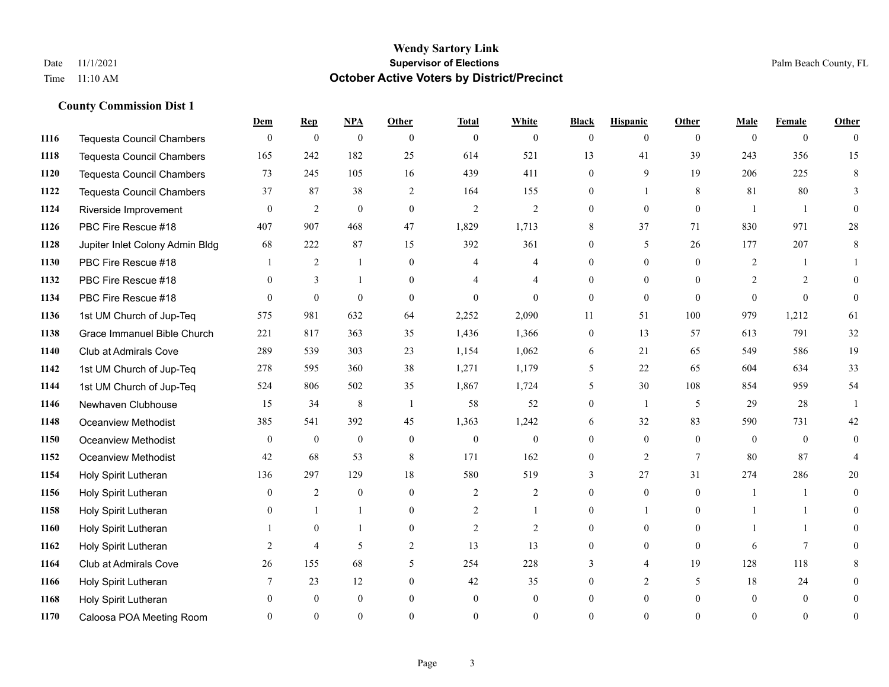#### **Wendy Sartory Link** Date 11/1/2021 **Supervisor of Elections** Palm Beach County, FL Time 11:10 AM **October Active Voters by District/Precinct**

# **Dem Rep NPA Other Total White Black Hispanic Other Male Female Other** Tequesta Council Chambers 0 0 0 0 0 0 0 0 0 0 0 0 Tequesta Council Chambers 165 242 182 25 614 521 13 41 39 243 356 15 Tequesta Council Chambers 73 245 105 16 439 411 0 9 19 206 225 8 Tequesta Council Chambers 37 87 38 2 164 155 0 1 8 81 80 3 Riverside Improvement 0 0 2 0 0 2 2 2 0 0 0 0 1 1 0 PBC Fire Rescue #18 **407** 907 468 47 1,829 1,713 8 37 71 830 971 28 Jupiter Inlet Colony Admin Bldg 68 222 87 15 392 361 0 5 26 177 207 8 PBC Fire Rescue #18 **1** 2 1 0 4 4 0 0 0 2 1 1 **1132 PBC Fire Rescue #18** 0 3 1 0 4 4 0 0 0 2 2 0 PBC Fire Rescue #18 0 0 0 0 0 0 0 0 0 0 0 0 1st UM Church of Jup-Teq 575 981 632 64 2,252 2,090 11 51 100 979 1,212 61 Grace Immanuel Bible Church 221 817 363 35 1,436 1,366 0 13 57 613 791 32 Club at Admirals Cove 289 539 303 23 1,154 1,062 6 21 65 549 586 19 1st UM Church of Jup-Teq 278 595 360 38 1,271 1,179 5 22 65 604 634 33 1st UM Church of Jup-Teq 524 806 502 35 1,867 1,724 5 30 108 854 959 54 Newhaven Clubhouse 15 34 8 1 58 52 0 1 5 29 28 1 Oceanview Methodist 385 541 392 45 1,363 1,242 6 32 83 590 731 42 Oceanview Methodist 0 0 0 0 0 0 0 0 0 0 0 0 Oceanview Methodist 42 68 53 8 171 162 0 2 7 80 87 4 Holy Spirit Lutheran 136 297 129 18 580 519 3 27 31 274 286 20 Holy Spirit Lutheran **0** 2 0 0 2 2 2 0 0 0 1 1 0 Holy Spirit Lutheran **0** 1 1 0 2 1 0 1 0 1 1 0 Holy Spirit Lutheran 1 0 1 0 2 2 0 0 0 1 1 0 Holy Spirit Lutheran **2** 4 5 2 13 13 0 0 0 6 7 0 Club at Admirals Cove 26 155 68 5 254 228 3 4 19 128 118 8 Holy Spirit Lutheran 7 23 12 0 42 35 0 2 5 18 24 0 Holy Spirit Lutheran 0 0 0 0 0 0 0 0 0 0 0 0 Caloosa POA Meeting Room 0 0 0 0 0 0 0 0 0 0 0 0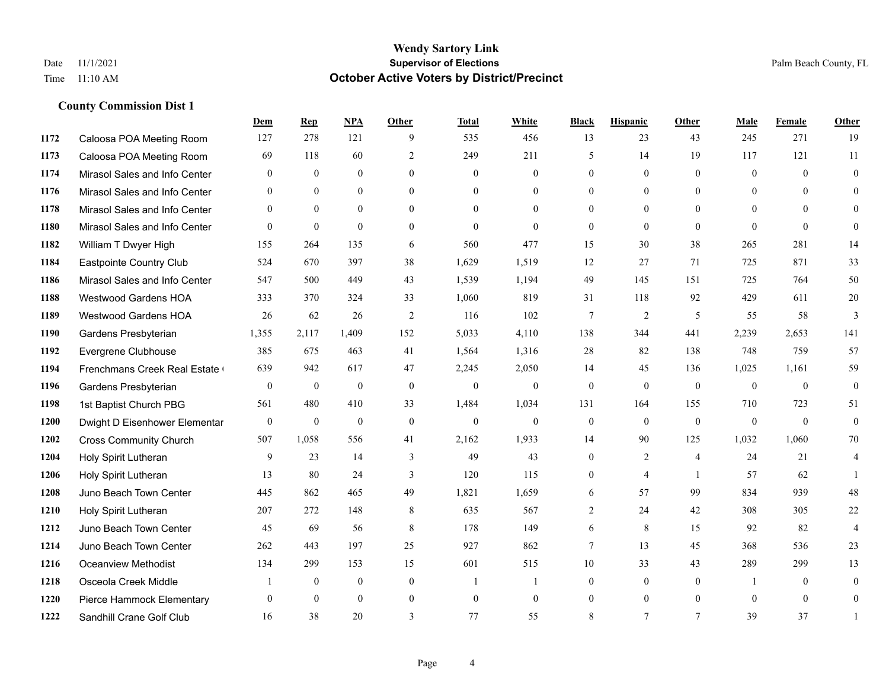|      |                                | Dem              | <b>Rep</b>       | NPA              | <b>Other</b>   | <b>Total</b> | <b>White</b>     | <b>Black</b>     | <b>Hispanic</b> | <b>Other</b>   | <b>Male</b>    | Female       | <b>Other</b>     |
|------|--------------------------------|------------------|------------------|------------------|----------------|--------------|------------------|------------------|-----------------|----------------|----------------|--------------|------------------|
| 1172 | Caloosa POA Meeting Room       | 127              | 278              | 121              | 9              | 535          | 456              | 13               | 23              | 43             | 245            | 271          | 19               |
| 1173 | Caloosa POA Meeting Room       | 69               | 118              | 60               | $\overline{2}$ | 249          | 211              | 5                | 14              | 19             | 117            | 121          | 11               |
| 1174 | Mirasol Sales and Info Center  | $\mathbf{0}$     | $\overline{0}$   | $\mathbf{0}$     | $\theta$       | $\mathbf{0}$ | $\overline{0}$   | $\mathbf{0}$     | $\mathbf{0}$    | $\theta$       | $\overline{0}$ | $\theta$     | $\mathbf{0}$     |
| 1176 | Mirasol Sales and Info Center  | $\mathbf{0}$     | $\mathbf{0}$     | $\mathbf{0}$     | $\overline{0}$ | $\theta$     | $\overline{0}$   | $\overline{0}$   | $\mathbf{0}$    | $\theta$       | $\Omega$       | $\theta$     | $\theta$         |
| 1178 | Mirasol Sales and Info Center  | $\theta$         | $\theta$         | $\theta$         | $\theta$       | $\Omega$     | $\Omega$         | $\theta$         | $\theta$        | $\Omega$       | $\Omega$       | $\Omega$     | $\theta$         |
| 1180 | Mirasol Sales and Info Center  | $\mathbf{0}$     | $\mathbf{0}$     | $\mathbf{0}$     | $\theta$       | $\mathbf{0}$ | $\overline{0}$   | $\mathbf{0}$     | $\mathbf{0}$    | $\theta$       | $\theta$       | $\theta$     | $\mathbf{0}$     |
| 1182 | William T Dwyer High           | 155              | 264              | 135              | 6              | 560          | 477              | 15               | 30              | 38             | 265            | 281          | 14               |
| 1184 | <b>Eastpointe Country Club</b> | 524              | 670              | 397              | 38             | 1,629        | 1,519            | 12               | 27              | 71             | 725            | 871          | 33               |
| 1186 | Mirasol Sales and Info Center  | 547              | 500              | 449              | 43             | 1,539        | 1,194            | 49               | 145             | 151            | 725            | 764          | 50               |
| 1188 | <b>Westwood Gardens HOA</b>    | 333              | 370              | 324              | 33             | 1,060        | 819              | 31               | 118             | 92             | 429            | 611          | $20\,$           |
| 1189 | Westwood Gardens HOA           | 26               | 62               | 26               | 2              | 116          | 102              | $\tau$           | $\overline{2}$  | 5              | 55             | 58           | $\overline{3}$   |
| 1190 | Gardens Presbyterian           | 1,355            | 2,117            | 1,409            | 152            | 5,033        | 4,110            | 138              | 344             | 441            | 2,239          | 2,653        | 141              |
| 1192 | Evergrene Clubhouse            | 385              | 675              | 463              | 41             | 1,564        | 1,316            | 28               | 82              | 138            | 748            | 759          | 57               |
| 1194 | Frenchmans Creek Real Estate   | 639              | 942              | 617              | 47             | 2,245        | 2,050            | 14               | 45              | 136            | 1,025          | 1,161        | 59               |
| 1196 | Gardens Presbyterian           | $\mathbf{0}$     | $\boldsymbol{0}$ | $\mathbf{0}$     | $\mathbf{0}$   | $\theta$     | $\boldsymbol{0}$ | $\mathbf{0}$     | $\mathbf{0}$    | $\mathbf{0}$   | $\mathbf{0}$   | $\theta$     | $\boldsymbol{0}$ |
| 1198 | 1st Baptist Church PBG         | 561              | 480              | 410              | 33             | 1,484        | 1,034            | 131              | 164             | 155            | 710            | 723          | 51               |
| 1200 | Dwight D Eisenhower Elementar  | $\boldsymbol{0}$ | $\boldsymbol{0}$ | $\boldsymbol{0}$ | $\mathbf{0}$   | $\mathbf{0}$ | $\boldsymbol{0}$ | $\boldsymbol{0}$ | $\mathbf{0}$    | $\mathbf{0}$   | $\mathbf{0}$   | $\mathbf{0}$ | $\boldsymbol{0}$ |
| 1202 | <b>Cross Community Church</b>  | 507              | 1,058            | 556              | 41             | 2,162        | 1,933            | 14               | 90              | 125            | 1,032          | 1,060        | 70               |
| 1204 | Holy Spirit Lutheran           | 9                | 23               | 14               | 3              | 49           | 43               | $\mathbf{0}$     | $\overline{c}$  | $\overline{4}$ | 24             | 21           | 4                |
| 1206 | Holy Spirit Lutheran           | 13               | 80               | 24               | 3              | 120          | 115              | $\boldsymbol{0}$ | 4               | $\overline{1}$ | 57             | 62           |                  |
| 1208 | Juno Beach Town Center         | 445              | 862              | 465              | 49             | 1,821        | 1,659            | 6                | 57              | 99             | 834            | 939          | 48               |
| 1210 | Holy Spirit Lutheran           | 207              | 272              | 148              | 8              | 635          | 567              | 2                | 24              | 42             | 308            | 305          | $22\,$           |
| 1212 | Juno Beach Town Center         | 45               | 69               | 56               | 8              | 178          | 149              | 6                | 8               | 15             | 92             | 82           | $\overline{4}$   |
| 1214 | Juno Beach Town Center         | 262              | 443              | 197              | 25             | 927          | 862              | 7                | 13              | 45             | 368            | 536          | 23               |
| 1216 | Oceanview Methodist            | 134              | 299              | 153              | 15             | 601          | 515              | 10               | 33              | 43             | 289            | 299          | 13               |
| 1218 | Osceola Creek Middle           |                  | $\boldsymbol{0}$ | $\mathbf{0}$     | $\overline{0}$ | $\mathbf{1}$ | $\mathbf{1}$     | $\mathbf{0}$     | $\mathbf{0}$    | $\theta$       | -1             | $\theta$     | $\mathbf{0}$     |
| 1220 | Pierce Hammock Elementary      | $\theta$         | $\theta$         | $\mathbf{0}$     | $\overline{0}$ | $\theta$     | $\overline{0}$   | $\mathbf{0}$     | $\mathbf{0}$    | $\theta$       | $\theta$       | $\theta$     | $\mathbf{0}$     |
| 1222 | Sandhill Crane Golf Club       | 16               | 38               | 20               | 3              | 77           | 55               | 8                | $\tau$          | 7              | 39             | 37           |                  |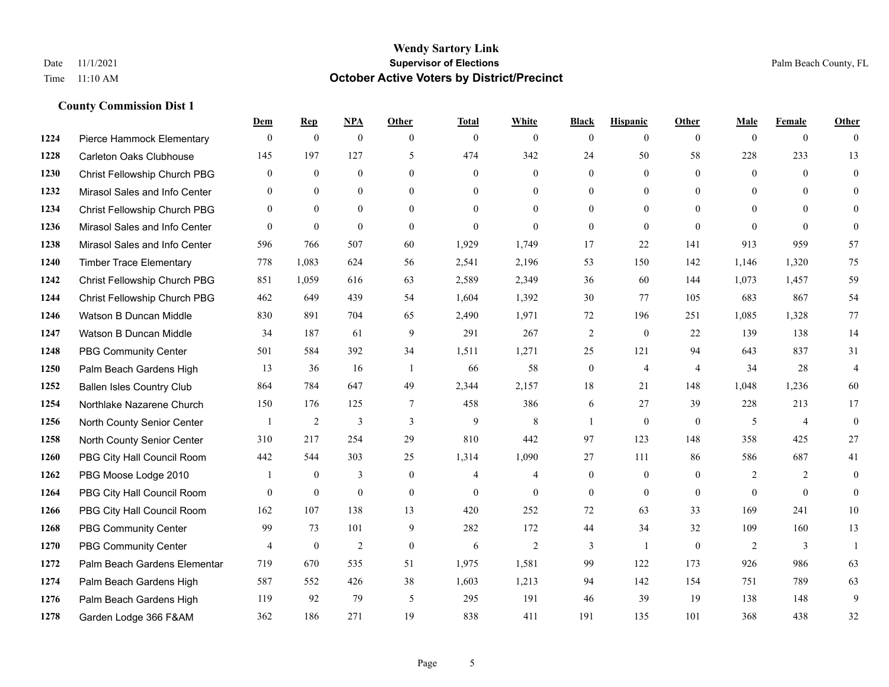|      |                                  | Dem            | <b>Rep</b>     | NPA              | <b>Other</b>   | <b>Total</b> | <b>White</b>   | <b>Black</b>     | <b>Hispanic</b>  | <b>Other</b>   | <b>Male</b>    | <b>Female</b>  | <b>Other</b>   |
|------|----------------------------------|----------------|----------------|------------------|----------------|--------------|----------------|------------------|------------------|----------------|----------------|----------------|----------------|
| 1224 | Pierce Hammock Elementary        | $\mathbf{0}$   | $\mathbf{0}$   | $\boldsymbol{0}$ | $\theta$       | $\mathbf{0}$ | $\overline{0}$ | $\mathbf{0}$     | $\overline{0}$   | $\theta$       | $\mathbf{0}$   | $\overline{0}$ | $\theta$       |
| 1228 | <b>Carleton Oaks Clubhouse</b>   | 145            | 197            | 127              | 5              | 474          | 342            | 24               | 50               | 58             | 228            | 233            | 13             |
| 1230 | Christ Fellowship Church PBG     | $\theta$       | $\mathbf{0}$   | $\theta$         | $\Omega$       | $\theta$     | $\Omega$       | $\theta$         | $\theta$         | $\Omega$       | $\theta$       | $\theta$       | $\theta$       |
| 1232 | Mirasol Sales and Info Center    | $\mathbf{0}$   | $\mathbf{0}$   | $\mathbf{0}$     | $\overline{0}$ | $\mathbf{0}$ | $\overline{0}$ | $\boldsymbol{0}$ | $\boldsymbol{0}$ | $\overline{0}$ | $\mathbf{0}$   | $\theta$       | $\theta$       |
| 1234 | Christ Fellowship Church PBG     | $\theta$       | $\theta$       | $\mathbf{0}$     | $\theta$       | $\Omega$     | $\overline{0}$ | $\mathbf{0}$     | $\overline{0}$   | $\theta$       | $\theta$       | $\theta$       | $\theta$       |
| 1236 | Mirasol Sales and Info Center    | $\theta$       | $\mathbf{0}$   | $\mathbf{0}$     | $\Omega$       | $\mathbf{0}$ | $\theta$       | $\mathbf{0}$     | $\theta$         | $\theta$       | $\theta$       | $\Omega$       | $\theta$       |
| 1238 | Mirasol Sales and Info Center    | 596            | 766            | 507              | 60             | 1,929        | 1,749          | 17               | 22               | 141            | 913            | 959            | 57             |
| 1240 | <b>Timber Trace Elementary</b>   | 778            | 1,083          | 624              | 56             | 2,541        | 2,196          | 53               | 150              | 142            | 1,146          | 1,320          | 75             |
| 1242 | Christ Fellowship Church PBG     | 851            | 1,059          | 616              | 63             | 2,589        | 2,349          | 36               | 60               | 144            | 1,073          | 1,457          | 59             |
| 1244 | Christ Fellowship Church PBG     | 462            | 649            | 439              | 54             | 1,604        | 1,392          | 30               | 77               | 105            | 683            | 867            | 54             |
| 1246 | Watson B Duncan Middle           | 830            | 891            | 704              | 65             | 2,490        | 1,971          | 72               | 196              | 251            | 1,085          | 1,328          | 77             |
| 1247 | Watson B Duncan Middle           | 34             | 187            | 61               | 9              | 291          | 267            | $\overline{c}$   | $\mathbf{0}$     | 22             | 139            | 138            | 14             |
| 1248 | <b>PBG Community Center</b>      | 501            | 584            | 392              | 34             | 1,511        | 1,271          | 25               | 121              | 94             | 643            | 837            | 31             |
| 1250 | Palm Beach Gardens High          | 13             | 36             | 16               | -1             | 66           | 58             | $\boldsymbol{0}$ | $\overline{4}$   | $\overline{4}$ | 34             | 28             | $\overline{4}$ |
| 1252 | <b>Ballen Isles Country Club</b> | 864            | 784            | 647              | 49             | 2,344        | 2,157          | 18               | 21               | 148            | 1,048          | 1,236          | 60             |
| 1254 | Northlake Nazarene Church        | 150            | 176            | 125              | $\overline{7}$ | 458          | 386            | 6                | 27               | 39             | 228            | 213            | 17             |
| 1256 | North County Senior Center       |                | $\overline{2}$ | $\mathfrak{Z}$   | 3              | 9            | 8              | 1                | $\mathbf{0}$     | $\theta$       | 5              | $\overline{4}$ | $\mathbf{0}$   |
| 1258 | North County Senior Center       | 310            | 217            | 254              | 29             | 810          | 442            | 97               | 123              | 148            | 358            | 425            | $27\,$         |
| 1260 | PBG City Hall Council Room       | 442            | 544            | 303              | 25             | 1,314        | 1,090          | 27               | 111              | 86             | 586            | 687            | 41             |
| 1262 | PBG Moose Lodge 2010             |                | $\mathbf{0}$   | 3                | $\mathbf{0}$   | 4            | $\overline{4}$ | $\mathbf{0}$     | $\mathbf{0}$     | $\theta$       | $\overline{2}$ | 2              | $\mathbf{0}$   |
| 1264 | PBG City Hall Council Room       | $\Omega$       | $\mathbf{0}$   | $\mathbf{0}$     | $\Omega$       | $\theta$     | $\theta$       | $\theta$         | $\theta$         | $\theta$       | $\Omega$       | $\Omega$       | $\theta$       |
| 1266 | PBG City Hall Council Room       | 162            | 107            | 138              | 13             | 420          | 252            | 72               | 63               | 33             | 169            | 241            | 10             |
| 1268 | <b>PBG Community Center</b>      | 99             | 73             | 101              | 9              | 282          | 172            | 44               | 34               | 32             | 109            | 160            | 13             |
| 1270 | <b>PBG Community Center</b>      | $\overline{4}$ | $\mathbf{0}$   | $\overline{2}$   | $\theta$       | 6            | $\overline{2}$ | 3                | $\mathbf{1}$     | $\theta$       | 2              | 3              | $\mathbf{1}$   |
| 1272 | Palm Beach Gardens Elementar     | 719            | 670            | 535              | 51             | 1,975        | 1,581          | 99               | 122              | 173            | 926            | 986            | 63             |
| 1274 | Palm Beach Gardens High          | 587            | 552            | 426              | 38             | 1,603        | 1,213          | 94               | 142              | 154            | 751            | 789            | 63             |
| 1276 | Palm Beach Gardens High          | 119            | 92             | 79               | 5              | 295          | 191            | 46               | 39               | 19             | 138            | 148            | 9              |
| 1278 | Garden Lodge 366 F&AM            | 362            | 186            | 271              | 19             | 838          | 411            | 191              | 135              | 101            | 368            | 438            | 32             |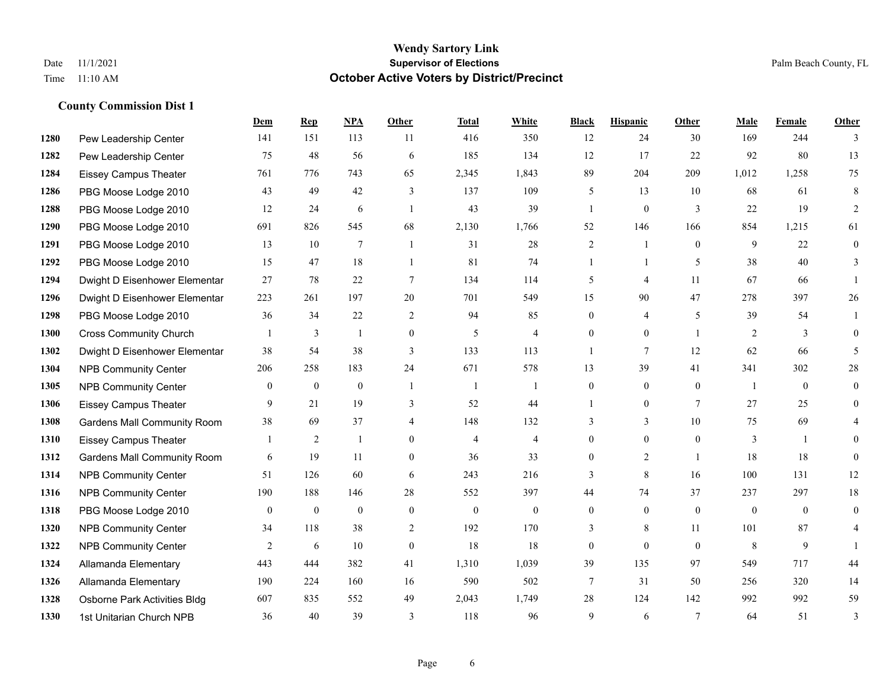|      |                                    | Dem          | <b>Rep</b>       | NPA              | <b>Other</b>   | <b>Total</b>     | <b>White</b>     | <b>Black</b>     | <b>Hispanic</b>  | <b>Other</b>     | <b>Male</b>      | <b>Female</b> | <b>Other</b>   |
|------|------------------------------------|--------------|------------------|------------------|----------------|------------------|------------------|------------------|------------------|------------------|------------------|---------------|----------------|
| 1280 | Pew Leadership Center              | 141          | 151              | 113              | 11             | 416              | 350              | 12               | 24               | 30               | 169              | 244           | 3              |
| 1282 | Pew Leadership Center              | 75           | 48               | 56               | 6              | 185              | 134              | 12               | 17               | 22               | 92               | 80            | 13             |
| 1284 | <b>Eissey Campus Theater</b>       | 761          | 776              | 743              | 65             | 2,345            | 1,843            | 89               | 204              | 209              | 1,012            | 1,258         | 75             |
| 1286 | PBG Moose Lodge 2010               | 43           | 49               | 42               | 3              | 137              | 109              | 5                | 13               | 10               | 68               | 61            | 8              |
| 1288 | PBG Moose Lodge 2010               | 12           | 24               | 6                | $\overline{1}$ | 43               | 39               | 1                | $\overline{0}$   | 3                | 22               | 19            | 2              |
| 1290 | PBG Moose Lodge 2010               | 691          | 826              | 545              | 68             | 2,130            | 1,766            | 52               | 146              | 166              | 854              | 1,215         | 61             |
| 1291 | PBG Moose Lodge 2010               | 13           | 10               | 7                | -1             | 31               | 28               | $\overline{c}$   | 1                | $\theta$         | 9                | 22            | $\mathbf{0}$   |
| 1292 | PBG Moose Lodge 2010               | 15           | 47               | 18               | $\overline{1}$ | 81               | 74               | 1                | 1                | 5                | 38               | 40            | 3              |
| 1294 | Dwight D Eisenhower Elementar      | 27           | 78               | 22               | $\overline{7}$ | 134              | 114              | 5                | 4                | 11               | 67               | 66            |                |
| 1296 | Dwight D Eisenhower Elementar      | 223          | 261              | 197              | 20             | 701              | 549              | 15               | 90               | 47               | 278              | 397           | 26             |
| 1298 | PBG Moose Lodge 2010               | 36           | 34               | 22               | 2              | 94               | 85               | $\overline{0}$   | 4                | 5                | 39               | 54            | 1              |
| 1300 | <b>Cross Community Church</b>      |              | 3                | $\mathbf{1}$     | $\mathbf{0}$   | 5                | 4                | $\Omega$         | $\Omega$         | $\overline{1}$   | 2                | 3             | $\Omega$       |
| 1302 | Dwight D Eisenhower Elementar      | 38           | 54               | 38               | 3              | 133              | 113              |                  | $\tau$           | 12               | 62               | 66            | 5              |
| 1304 | <b>NPB Community Center</b>        | 206          | 258              | 183              | 24             | 671              | 578              | 13               | 39               | 41               | 341              | 302           | 28             |
| 1305 | <b>NPB Community Center</b>        | $\mathbf{0}$ | $\mathbf{0}$     | $\mathbf{0}$     | $\overline{1}$ | $\mathbf{1}$     | -1               | $\overline{0}$   | $\overline{0}$   | $\theta$         | $\overline{1}$   | $\theta$      | $\mathbf{0}$   |
| 1306 | <b>Eissey Campus Theater</b>       | 9            | 21               | 19               | 3              | 52               | 44               | 1                | $\overline{0}$   | $\tau$           | 27               | 25            | $\theta$       |
| 1308 | <b>Gardens Mall Community Room</b> | 38           | 69               | 37               | $\overline{4}$ | 148              | 132              | 3                | 3                | 10               | 75               | 69            |                |
| 1310 | <b>Eissey Campus Theater</b>       |              | 2                | $\mathbf{1}$     | $\theta$       | $\overline{4}$   | 4                | 0                | $\Omega$         | $\theta$         | 3                | $\mathbf{1}$  | $\Omega$       |
| 1312 | <b>Gardens Mall Community Room</b> | 6            | 19               | 11               | $\overline{0}$ | 36               | 33               | $\overline{0}$   | $\overline{2}$   | $\overline{1}$   | 18               | 18            | $\mathbf{0}$   |
| 1314 | NPB Community Center               | 51           | 126              | 60               | 6              | 243              | 216              | 3                | 8                | 16               | 100              | 131           | 12             |
| 1316 | <b>NPB Community Center</b>        | 190          | 188              | 146              | 28             | 552              | 397              | 44               | 74               | 37               | 237              | 297           | $18\,$         |
| 1318 | PBG Moose Lodge 2010               | $\mathbf{0}$ | $\boldsymbol{0}$ | $\boldsymbol{0}$ | $\mathbf{0}$   | $\boldsymbol{0}$ | $\boldsymbol{0}$ | $\boldsymbol{0}$ | $\boldsymbol{0}$ | $\boldsymbol{0}$ | $\boldsymbol{0}$ | $\mathbf{0}$  | $\overline{0}$ |
| 1320 | <b>NPB Community Center</b>        | 34           | 118              | 38               | 2              | 192              | 170              | 3                | 8                | 11               | 101              | 87            | 4              |
| 1322 | <b>NPB Community Center</b>        | 2            | 6                | 10               | $\mathbf{0}$   | 18               | 18               | $\overline{0}$   | $\overline{0}$   | $\mathbf{0}$     | 8                | 9             |                |
| 1324 | Allamanda Elementary               | 443          | 444              | 382              | 41             | 1,310            | 1,039            | 39               | 135              | 97               | 549              | 717           | 44             |
| 1326 | Allamanda Elementary               | 190          | 224              | 160              | 16             | 590              | 502              | 7                | 31               | 50               | 256              | 320           | 14             |
| 1328 | Osborne Park Activities Bldg       | 607          | 835              | 552              | 49             | 2,043            | 1,749            | 28               | 124              | 142              | 992              | 992           | 59             |
| 1330 | 1st Unitarian Church NPB           | 36           | 40               | 39               | 3              | 118              | 96               | 9                | 6                | $\overline{7}$   | 64               | 51            | 3              |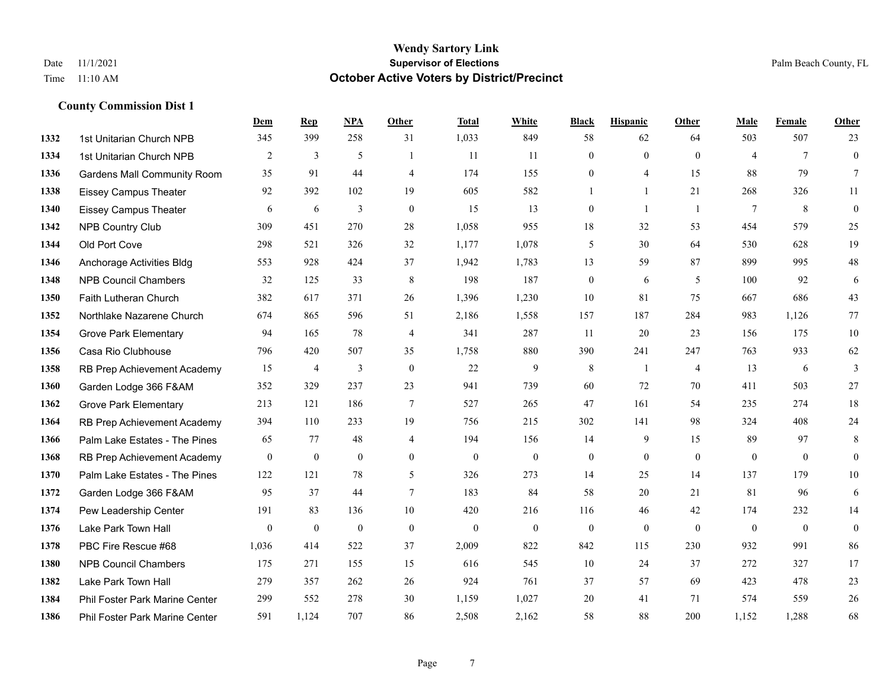## **Wendy Sartory Link** Date 11/1/2021 **Supervisor of Elections** Palm Beach County, FL Time 11:10 AM **October Active Voters by District/Precinct**

# **Dem Rep NPA Other Total White Black Hispanic Other Male Female Other** 1st Unitarian Church NPB 345 399 258 31 1,033 849 58 62 64 503 507 23 1st Unitarian Church NPB 2 3 5 1 11 11 0 0 0 4 7 0 Gardens Mall Community Room 35 91 44 4 174 155 0 4 15 88 79 7 Eissey Campus Theater 92 392 102 19 605 582 1 1 21 268 326 11 Eissey Campus Theater 6 6 6 3 0 15 13 0 1 1 7 8 0 NPB Country Club 309 451 270 28 1,058 955 18 32 53 454 579 25 Old Port Cove 298 521 326 32 1,177 1,078 5 30 64 530 628 19 Anchorage Activities Bldg 553 928 424 37 1,942 1,783 13 59 87 899 995 48 NPB Council Chambers 32 125 33 8 198 187 0 6 5 100 92 6 Faith Lutheran Church 382 617 371 26 1,396 1,230 10 81 75 667 686 43 Northlake Nazarene Church 674 865 596 51 2,186 1,558 157 187 284 983 1,126 77 Grove Park Elementary 94 165 78 4 341 287 11 20 23 156 175 10 Casa Rio Clubhouse 796 420 507 35 1,758 880 390 241 247 763 933 62 RB Prep Achievement Academy 15 4 3 0 22 9 8 1 4 13 6 3 Garden Lodge 366 F&AM 352 329 237 23 941 739 60 72 70 411 503 27 Grove Park Elementary 213 121 186 7 527 265 47 161 54 235 274 18 RB Prep Achievement Academy 394 110 233 19 756 215 302 141 98 324 408 24 Palm Lake Estates - The Pines 65 77 48 4 194 156 14 9 15 89 97 8 RB Prep Achievement Academy 0 0 0 0 0 0 0 0 0 0 0 0 Palm Lake Estates - The Pines 122 121 78 5 326 273 14 25 14 137 179 10 Garden Lodge 366 F&AM 95 37 44 7 183 84 58 20 21 81 96 6 Pew Leadership Center 191 83 136 10 420 216 116 46 42 174 232 14 Lake Park Town Hall 0 0 0 0 0 0 0 0 0 0 0 0 PBC Fire Rescue #68 1,036 414 522 37 2,009 822 842 115 230 932 991 86 NPB Council Chambers 175 271 155 15 616 545 10 24 37 272 327 17 Lake Park Town Hall 279 357 262 26 924 761 37 57 69 423 478 23 Phil Foster Park Marine Center 299 552 278 30 1,159 1,027 20 41 71 574 559 26 Phil Foster Park Marine Center 591 1,124 707 86 2,508 2,162 58 88 200 1,152 1,288 68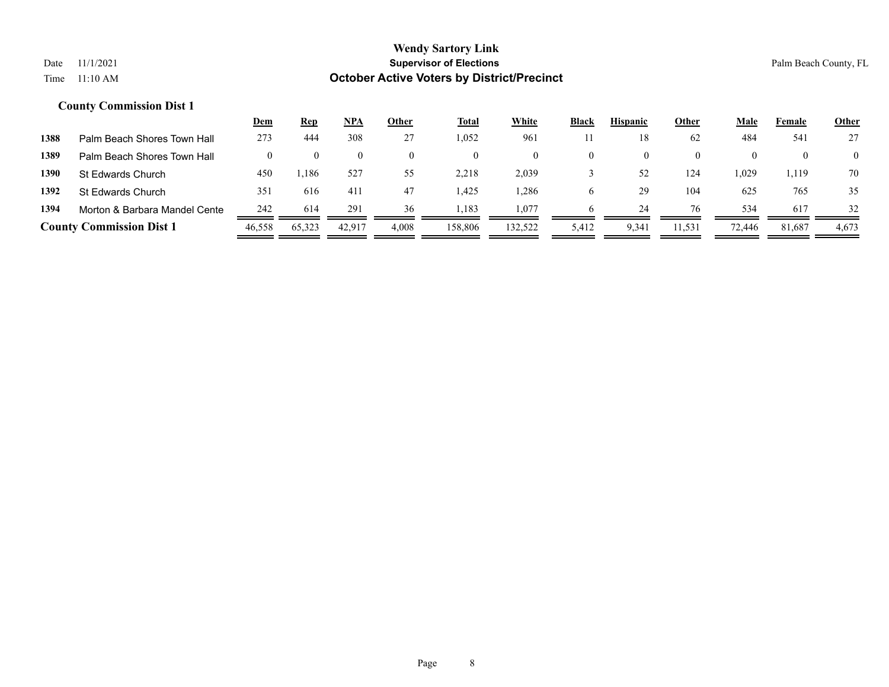|      |                                 | <u>Dem</u> | <u>Rep</u> | NPA    | Other | <b>Total</b> | <b>White</b> | <b>Black</b> | <b>Hispanic</b> | Other    | <b>Male</b> | Female | <b>Other</b>   |
|------|---------------------------------|------------|------------|--------|-------|--------------|--------------|--------------|-----------------|----------|-------------|--------|----------------|
| 1388 | Palm Beach Shores Town Hall     | 273        | 444        | 308    | 27    | 0.052        | 961          |              | 18              | 62       | 484         | 541    | 27             |
| 1389 | Palm Beach Shores Town Hall     |            |            |        |       |              | $\theta$     |              |                 | $\theta$ |             |        | $\overline{0}$ |
| 1390 | St Edwards Church               | 450        | ,186       | 527    | 55    | 2,218        | 2,039        |              | 52              | 124      | 1,029       | 1,119  | 70             |
| 1392 | St Edwards Church               | 351        | 616        | 411    | 47    | .425         | .286         |              | 29              | 104      | 625         | 765    | 35             |
| 1394 | Morton & Barbara Mandel Cente   | 242        | 614        | 291    | 36    | .,183        | 1,077        |              | 24              | 76       | 534         | 617    | 32             |
|      | <b>County Commission Dist 1</b> | 46,558     | 65,323     | 42.917 | 4,008 | 158,806      | 132,522      | 5,412        | 9,341           | 11,531   | 72,446      | 81,687 | 4,673          |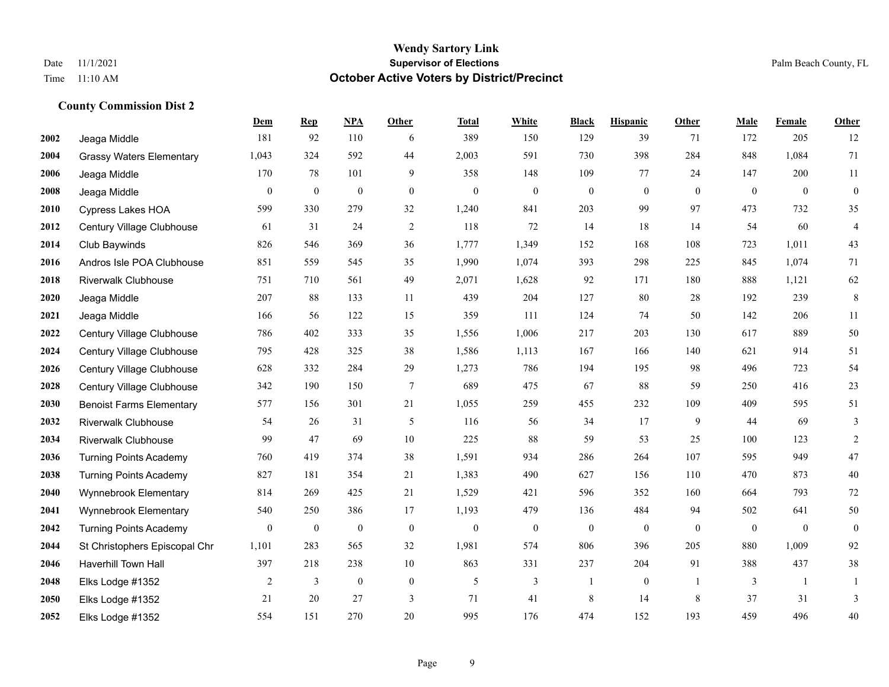#### **Wendy Sartory Link** Date 11/1/2021 **Supervisor of Elections** Palm Beach County, FL Time 11:10 AM **October Active Voters by District/Precinct**

# **Dem Rep NPA Other Total White Black Hispanic Other Male Female Other** Jeaga Middle 181 92 110 6 389 150 129 39 71 172 205 12 Grassy Waters Elementary 1,043 324 592 44 2,003 591 730 398 284 848 1,084 71 Jeaga Middle 170 78 101 9 358 148 109 77 24 147 200 11 Jeaga Middle 0 0 0 0 0 0 0 0 0 0 0 0 Cypress Lakes HOA 599 330 279 32 1,240 841 203 99 97 473 732 35 Century Village Clubhouse 61 31 24 2 118 72 14 18 14 54 60 4 Club Baywinds 826 546 369 36 1,777 1,349 152 168 108 723 1,011 43 Andros Isle POA Clubhouse 851 559 545 35 1,990 1,074 393 298 225 845 1,074 71 Riverwalk Clubhouse 751 710 561 49 2,071 1,628 92 171 180 888 1,121 62 Jeaga Middle 207 88 133 11 439 204 127 80 28 192 239 8 Jeaga Middle 166 56 122 15 359 111 124 74 50 142 206 11 Century Village Clubhouse 786 402 333 35 1,556 1,006 217 203 130 617 889 50 Century Village Clubhouse 795 428 325 38 1,586 1,113 167 166 140 621 914 51 Century Village Clubhouse 628 332 284 29 1,273 786 194 195 98 496 723 54 Century Village Clubhouse 342 190 150 7 689 475 67 88 59 250 416 23 Benoist Farms Elementary 577 156 301 21 1,055 259 455 232 109 409 595 51 Riverwalk Clubhouse 54 26 31 5 116 56 34 17 9 44 69 3 Riverwalk Clubhouse 99 47 69 10 225 88 59 53 25 100 123 2 Turning Points Academy 760 419 374 38 1,591 934 286 264 107 595 949 47 Turning Points Academy 827 181 354 21 1,383 490 627 156 110 470 873 40 Wynnebrook Elementary 814 269 425 21 1,529 421 596 352 160 664 793 72 Wynnebrook Elementary 540 250 386 17 1,193 479 136 484 94 502 641 50 Turning Points Academy 0 0 0 0 0 0 0 0 0 0 0 0 St Christophers Episcopal Chr 1,101 283 565 32 1,981 574 806 396 205 880 1,009 92 Haverhill Town Hall 397 218 238 10 863 331 237 204 91 388 437 38 Elks Lodge #1352 2 3 0 0 5 3 1 0 1 3 1 1 Elks Lodge #1352 21 20 27 3 71 41 8 14 8 37 31 3 Elks Lodge #1352 554 151 270 20 995 176 474 152 193 459 496 40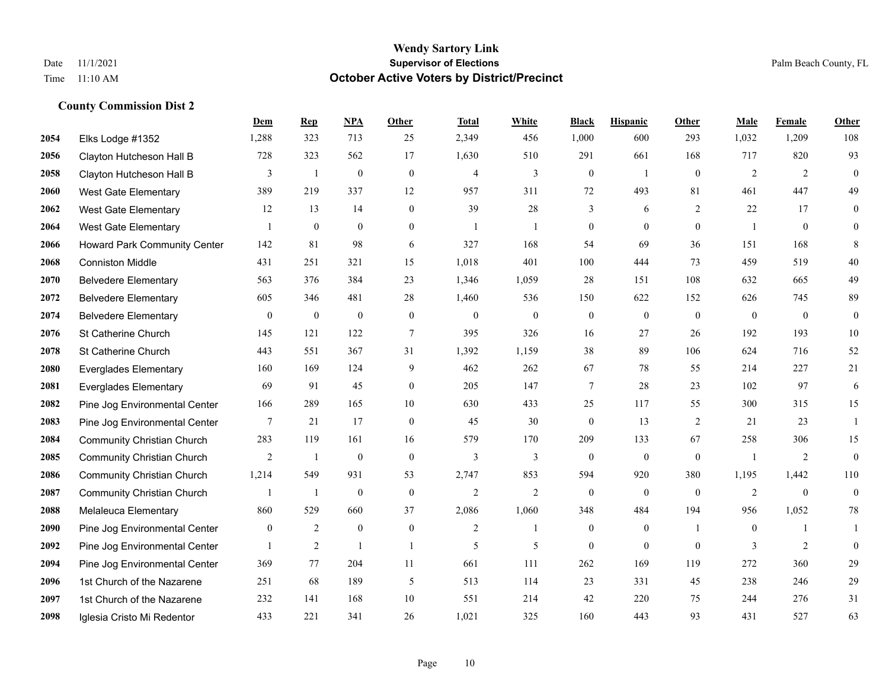#### **Wendy Sartory Link** Date 11/1/2021 **Supervisor of Elections** Palm Beach County, FL Time 11:10 AM **October Active Voters by District/Precinct**

Elks Lodge #1352 1,288 323 713 25 2,349 456 1,000 600 293 1,032 1,209 108

**Dem Rep NPA Other Total White Black Hispanic Other Male Female Other**

# Clayton Hutcheson Hall B 728 323 562 17 1,630 510 291 661 168 717 820 93 Clayton Hutcheson Hall B 3 1 0 0 4 3 0 1 0 2 2 0 West Gate Elementary 389 219 337 12 957 311 72 493 81 461 447 49 West Gate Elementary 12 13 14 0 39 28 3 6 2 22 17 0 West Gate Elementary 1 0 0 0 1 1 0 0 0 1 0 0 Howard Park Community Center 142 81 98 6 327 168 54 69 36 151 168 8 Conniston Middle 431 251 321 15 1,018 401 100 444 73 459 519 40 Belvedere Elementary 563 376 384 23 1,346 1,059 28 151 108 632 665 49 Belvedere Elementary 605 346 481 28 1,460 536 150 622 152 626 745 89 Belvedere Elementary 0 0 0 0 0 0 0 0 0 0 0 0 St Catherine Church 145 121 122 7 395 326 16 27 26 192 193 10 St Catherine Church 443 551 367 31 1,392 1,159 38 89 106 624 716 52 Everglades Elementary 160 169 124 9 462 262 67 78 55 214 227 21 Everglades Elementary 69 91 45 0 205 147 7 28 23 102 97 6 Pine Jog Environmental Center 166 289 165 10 630 433 25 117 55 300 315 15 Pine Jog Environmental Center 7 21 17 0 45 30 0 13 2 21 23 1 Community Christian Church 283 119 161 16 579 170 209 133 67 258 306 15 Community Christian Church 2 1 0 0 3 3 0 0 0 1 2 0 Community Christian Church 1,214 549 931 53 2,747 853 594 920 380 1,195 1,442 110 Community Christian Church 1 1 0 0 2 2 0 0 0 2 0 0 Melaleuca Elementary 860 529 660 37 2,086 1,060 348 484 194 956 1,052 78 Pine Jog Environmental Center  $\begin{array}{cccccccc} 0 & 2 & 0 & 0 & 2 & 1 & 0 & 1 & 0 & 1 \end{array}$ **2092** Pine Jog Environmental Center  $\begin{array}{ccccccccccccc} & 1 & 2 & 1 & 1 & 5 & 5 & 0 & 0 & 0 & 3 & 2 & 0 \end{array}$

 Pine Jog Environmental Center 369 77 204 11 661 111 262 169 119 272 360 29 1st Church of the Nazarene 251 68 189 5 513 114 23 331 45 238 246 29 1st Church of the Nazarene 232 141 168 10 551 214 42 220 75 244 276 31 Iglesia Cristo Mi Redentor 433 221 341 26 1,021 325 160 443 93 431 527 63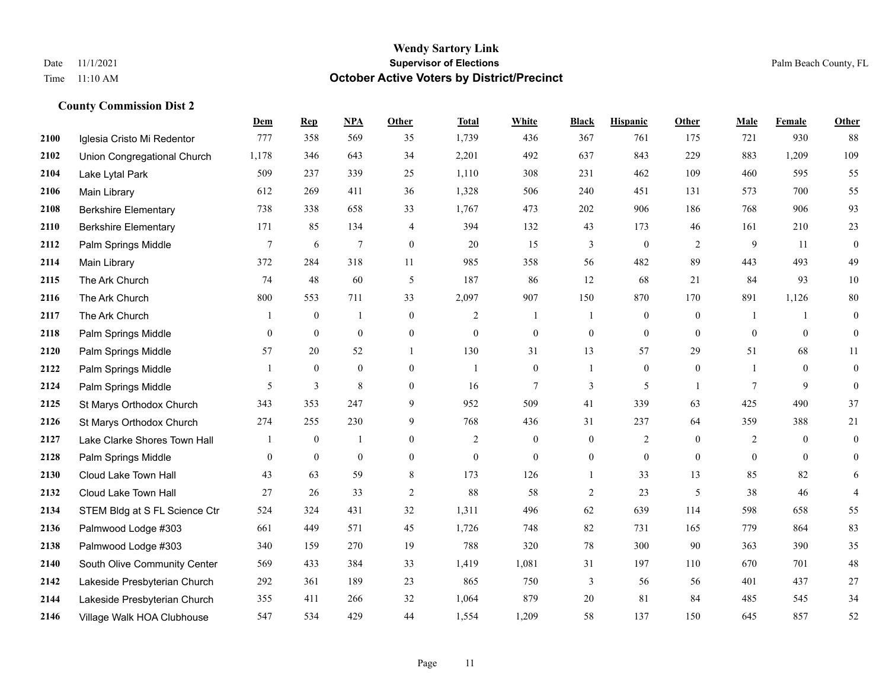|      |                               | Dem              | <b>Rep</b>       | NPA            | <b>Other</b>     | <b>Total</b>     | <b>White</b>     | <b>Black</b>     | <b>Hispanic</b>  | <b>Other</b>   | <b>Male</b>    | <b>Female</b>  | Other            |
|------|-------------------------------|------------------|------------------|----------------|------------------|------------------|------------------|------------------|------------------|----------------|----------------|----------------|------------------|
| 2100 | Iglesia Cristo Mi Redentor    | 777              | 358              | 569            | 35               | 1,739            | 436              | 367              | 761              | 175            | 721            | 930            | 88               |
| 2102 | Union Congregational Church   | 1,178            | 346              | 643            | 34               | 2,201            | 492              | 637              | 843              | 229            | 883            | 1,209          | 109              |
| 2104 | Lake Lytal Park               | 509              | 237              | 339            | 25               | 1,110            | 308              | 231              | 462              | 109            | 460            | 595            | 55               |
| 2106 | Main Library                  | 612              | 269              | 411            | 36               | 1,328            | 506              | 240              | 451              | 131            | 573            | 700            | 55               |
| 2108 | <b>Berkshire Elementary</b>   | 738              | 338              | 658            | 33               | 1,767            | 473              | 202              | 906              | 186            | 768            | 906            | 93               |
| 2110 | <b>Berkshire Elementary</b>   | 171              | 85               | 134            | 4                | 394              | 132              | 43               | 173              | 46             | 161            | 210            | 23               |
| 2112 | Palm Springs Middle           | $\overline{7}$   | 6                | $\overline{7}$ | $\boldsymbol{0}$ | 20               | 15               | 3                | $\mathbf{0}$     | 2              | 9              | 11             | $\boldsymbol{0}$ |
| 2114 | Main Library                  | 372              | 284              | 318            | 11               | 985              | 358              | 56               | 482              | 89             | 443            | 493            | 49               |
| 2115 | The Ark Church                | 74               | 48               | 60             | 5                | 187              | 86               | 12               | 68               | 21             | 84             | 93             | $10\,$           |
| 2116 | The Ark Church                | 800              | 553              | 711            | 33               | 2,097            | 907              | 150              | 870              | 170            | 891            | 1,126          | $80\,$           |
| 2117 | The Ark Church                | -1               | $\mathbf{0}$     | $\mathbf{1}$   | $\boldsymbol{0}$ | 2                | 1                | -1               | $\boldsymbol{0}$ | $\overline{0}$ | -1             | $\mathbf{1}$   | $\boldsymbol{0}$ |
| 2118 | Palm Springs Middle           | $\overline{0}$   | $\mathbf{0}$     | $\mathbf{0}$   | $\overline{0}$   | $\overline{0}$   | $\overline{0}$   | $\boldsymbol{0}$ | $\mathbf{0}$     | $\mathbf{0}$   | $\mathbf{0}$   | $\theta$       | $\boldsymbol{0}$ |
| 2120 | Palm Springs Middle           | 57               | 20               | 52             | $\mathbf{1}$     | 130              | 31               | 13               | 57               | 29             | 51             | 68             | 11               |
| 2122 | Palm Springs Middle           | 1                | $\mathbf{0}$     | $\mathbf{0}$   | $\overline{0}$   | -1               | $\overline{0}$   | 1                | $\mathbf{0}$     | $\mathbf{0}$   |                | $\mathbf{0}$   | $\boldsymbol{0}$ |
| 2124 | Palm Springs Middle           | 5                | 3                | 8              | $\theta$         | 16               | $\overline{7}$   | 3                | 5                |                | $\tau$         | 9              | $\mathbf{0}$     |
| 2125 | St Marys Orthodox Church      | 343              | 353              | 247            | 9                | 952              | 509              | 41               | 339              | 63             | 425            | 490            | 37               |
| 2126 | St Marys Orthodox Church      | 274              | 255              | 230            | 9                | 768              | 436              | 31               | 237              | 64             | 359            | 388            | 21               |
| 2127 | Lake Clarke Shores Town Hall  | 1                | $\mathbf{0}$     | $\mathbf{1}$   | $\overline{0}$   | $\overline{2}$   | $\boldsymbol{0}$ | $\boldsymbol{0}$ | $\overline{c}$   | $\theta$       | $\overline{2}$ | $\mathbf{0}$   | $\boldsymbol{0}$ |
| 2128 | Palm Springs Middle           | $\boldsymbol{0}$ | $\boldsymbol{0}$ | $\bf{0}$       | $\boldsymbol{0}$ | $\boldsymbol{0}$ | $\boldsymbol{0}$ | $\boldsymbol{0}$ | $\boldsymbol{0}$ | $\mathbf{0}$   | $\mathbf{0}$   | $\overline{0}$ | $\mathbf{0}$     |
| 2130 | Cloud Lake Town Hall          | 43               | 63               | 59             | 8                | 173              | 126              | $\mathbf{1}$     | 33               | 13             | 85             | 82             | 6                |
| 2132 | Cloud Lake Town Hall          | 27               | 26               | 33             | 2                | 88               | 58               | $\overline{c}$   | 23               | 5              | 38             | 46             | $\overline{4}$   |
| 2134 | STEM Bldg at S FL Science Ctr | 524              | 324              | 431            | 32               | 1,311            | 496              | 62               | 639              | 114            | 598            | 658            | 55               |
| 2136 | Palmwood Lodge #303           | 661              | 449              | 571            | 45               | 1,726            | 748              | 82               | 731              | 165            | 779            | 864            | 83               |
| 2138 | Palmwood Lodge #303           | 340              | 159              | 270            | 19               | 788              | 320              | 78               | 300              | 90             | 363            | 390            | 35               |
| 2140 | South Olive Community Center  | 569              | 433              | 384            | 33               | 1,419            | 1,081            | 31               | 197              | 110            | 670            | 701            | 48               |
| 2142 | Lakeside Presbyterian Church  | 292              | 361              | 189            | 23               | 865              | 750              | 3                | 56               | 56             | 401            | 437            | $27\,$           |
| 2144 | Lakeside Presbyterian Church  | 355              | 411              | 266            | 32               | 1,064            | 879              | 20               | 81               | 84             | 485            | 545            | 34               |
| 2146 | Village Walk HOA Clubhouse    | 547              | 534              | 429            | 44               | 1,554            | 1,209            | 58               | 137              | 150            | 645            | 857            | 52               |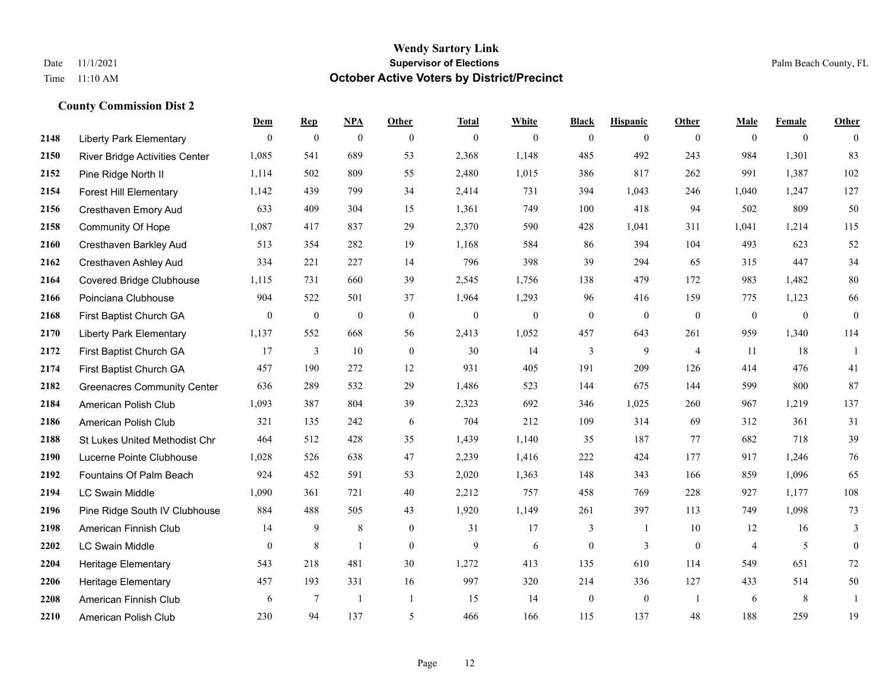## **Wendy Sartory Link** Date 11/1/2021 Palm Beach County, FL Time 11:10 AM **October Active Voters by District/Precinct**

|      |                                    | Dem            | <b>Rep</b>       | NPA              | Other            | <b>Total</b>     | White          | <b>Black</b>     | <b>Hispanic</b> | Other          | Male           | Female         | Other            |
|------|------------------------------------|----------------|------------------|------------------|------------------|------------------|----------------|------------------|-----------------|----------------|----------------|----------------|------------------|
| 2148 | <b>Liberty Park Elementary</b>     | $\theta$       | $\boldsymbol{0}$ | $\mathbf{0}$     | $\theta$         | $\mathbf{0}$     | $\overline{0}$ | $\mathbf{0}$     | $\overline{0}$  | $\theta$       | $\theta$       | $\overline{0}$ | $\mathbf{0}$     |
| 2150 | River Bridge Activities Center     | 1,085          | 541              | 689              | 53               | 2,368            | 1,148          | 485              | 492             | 243            | 984            | 1,301          | 83               |
| 2152 | Pine Ridge North II                | 1,114          | 502              | 809              | 55               | 2,480            | 1,015          | 386              | 817             | 262            | 991            | 1,387          | 102              |
| 2154 | <b>Forest Hill Elementary</b>      | 1,142          | 439              | 799              | 34               | 2,414            | 731            | 394              | 1,043           | 246            | 1,040          | 1,247          | 127              |
| 2156 | Cresthaven Emory Aud               | 633            | 409              | 304              | 15               | 1,361            | 749            | 100              | 418             | 94             | 502            | 809            | 50               |
| 2158 | <b>Community Of Hope</b>           | 1,087          | 417              | 837              | 29               | 2,370            | 590            | 428              | 1,041           | 311            | 1,041          | 1,214          | 115              |
| 2160 | Cresthaven Barkley Aud             | 513            | 354              | 282              | 19               | 1,168            | 584            | 86               | 394             | 104            | 493            | 623            | 52               |
| 2162 | Cresthaven Ashley Aud              | 334            | 221              | 227              | 14               | 796              | 398            | 39               | 294             | 65             | 315            | 447            | 34               |
| 2164 | Covered Bridge Clubhouse           | 1,115          | 731              | 660              | 39               | 2,545            | 1,756          | 138              | 479             | 172            | 983            | 1,482          | 80               |
| 2166 | Poinciana Clubhouse                | 904            | 522              | 501              | 37               | 1,964            | 1,293          | 96               | 416             | 159            | 775            | 1,123          | 66               |
| 2168 | First Baptist Church GA            | $\overline{0}$ | $\mathbf{0}$     | $\boldsymbol{0}$ | $\theta$         | $\boldsymbol{0}$ | $\overline{0}$ | $\boldsymbol{0}$ | $\overline{0}$  | $\mathbf{0}$   | $\mathbf{0}$   | $\overline{0}$ | $\boldsymbol{0}$ |
| 2170 | <b>Liberty Park Elementary</b>     | 1,137          | 552              | 668              | 56               | 2,413            | 1,052          | 457              | 643             | 261            | 959            | 1,340          | 114              |
| 2172 | First Baptist Church GA            | 17             | $\overline{3}$   | 10               | $\mathbf{0}$     | 30               | 14             | 3                | 9               | $\overline{4}$ | 11             | 18             | -1               |
| 2174 | First Baptist Church GA            | 457            | 190              | 272              | 12               | 931              | 405            | 191              | 209             | 126            | 414            | 476            | 41               |
| 2182 | <b>Greenacres Community Center</b> | 636            | 289              | 532              | 29               | 1,486            | 523            | 144              | 675             | 144            | 599            | 800            | 87               |
| 2184 | American Polish Club               | 1,093          | 387              | 804              | 39               | 2,323            | 692            | 346              | 1,025           | 260            | 967            | 1,219          | 137              |
| 2186 | American Polish Club               | 321            | 135              | 242              | 6                | 704              | 212            | 109              | 314             | 69             | 312            | 361            | 31               |
| 2188 | St Lukes United Methodist Chr      | 464            | 512              | 428              | 35               | 1,439            | 1,140          | 35               | 187             | 77             | 682            | 718            | 39               |
| 2190 | Lucerne Pointe Clubhouse           | 1,028          | 526              | 638              | 47               | 2,239            | 1,416          | 222              | 424             | 177            | 917            | 1,246          | 76               |
| 2192 | Fountains Of Palm Beach            | 924            | 452              | 591              | 53               | 2,020            | 1,363          | 148              | 343             | 166            | 859            | 1,096          | 65               |
| 2194 | <b>LC Swain Middle</b>             | 1,090          | 361              | 721              | 40               | 2,212            | 757            | 458              | 769             | 228            | 927            | 1,177          | 108              |
| 2196 | Pine Ridge South IV Clubhouse      | 884            | 488              | 505              | 43               | 1,920            | 1,149          | 261              | 397             | 113            | 749            | 1,098          | 73               |
| 2198 | American Finnish Club              | 14             | 9                | 8                | $\boldsymbol{0}$ | 31               | 17             | 3                | -1              | 10             | 12             | 16             | 3                |
| 2202 | <b>LC Swain Middle</b>             | $\theta$       | $\,8\,$          | 1                | $\Omega$         | 9                | 6              | $\mathbf{0}$     | 3               | $\theta$       | $\overline{4}$ | 5              | $\mathbf{0}$     |
| 2204 | Heritage Elementary                | 543            | 218              | 481              | 30               | 1,272            | 413            | 135              | 610             | 114            | 549            | 651            | $72\,$           |
| 2206 | <b>Heritage Elementary</b>         | 457            | 193              | 331              | 16               | 997              | 320            | 214              | 336             | 127            | 433            | 514            | 50               |
| 2208 | American Finnish Club              | 6              | 7                | $\mathbf{1}$     | $\mathbf{1}$     | 15               | 14             | $\mathbf{0}$     | $\overline{0}$  | $\overline{1}$ | 6              | 8              | 1                |
| 2210 | American Polish Club               | 230            | 94               | 137              | 5                | 466              | 166            | 115              | 137             | 48             | 188            | 259            | 19               |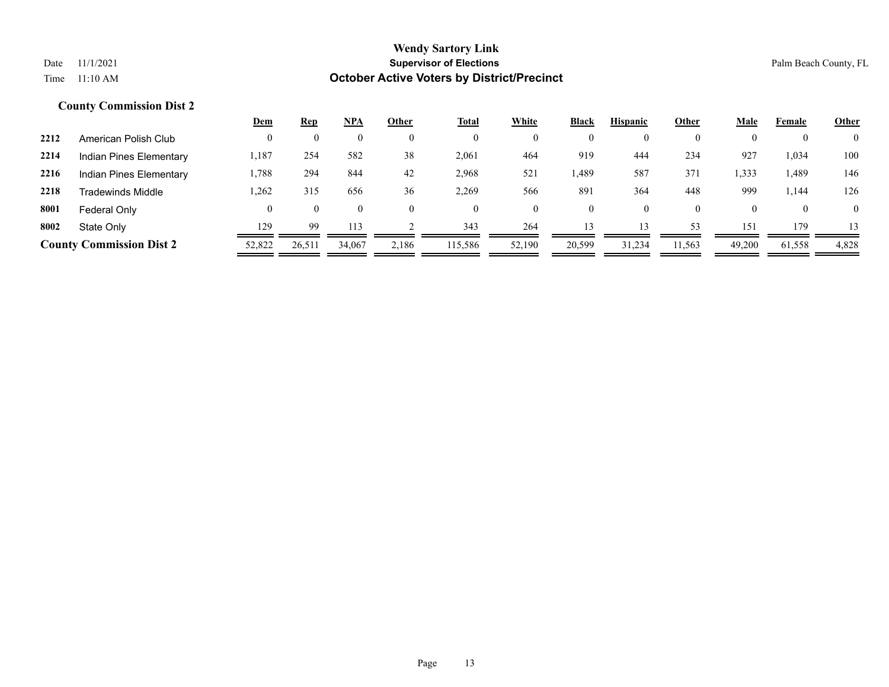|      |                                 | <u>Dem</u> | <u>Rep</u> | <b>NPA</b> | Other | <b>Total</b> | White    | Black            | <b>Hispanic</b> | Other    | <u>Male</u> | Female       | <b>Other</b> |
|------|---------------------------------|------------|------------|------------|-------|--------------|----------|------------------|-----------------|----------|-------------|--------------|--------------|
| 2212 | American Polish Club            |            |            |            |       | $\mathbf{0}$ |          | $\boldsymbol{0}$ |                 | $\Omega$ |             | $\mathbf{0}$ | $\Omega$     |
| 2214 | <b>Indian Pines Elementary</b>  | 1,187      | 254        | 582        | 38    | 2,061        | 464      | 919              | 444             | 234      | 927         | 1,034        | 100          |
| 2216 | Indian Pines Elementary         | 1,788      | 294        | 844        | 42    | 2,968        | 521      | . ,489           | 587             | 371      | 1,333       | 1,489        | 146          |
| 2218 | Tradewinds Middle               | .262       | 315        | 656        | 36    | 2,269        | 566      | 891              | 364             | 448      | 999         | 1,144        | 126          |
| 8001 | Federal Only                    |            |            | $\theta$   |       | $\theta$     | $\theta$ | $\mathbf{0}$     | 0               | $\Omega$ | $\theta$    | $\bf{0}$     | $\Omega$     |
| 8002 | State Only                      | 129        | 99         | 113        |       | 343          | 264      | 13               | 13              | 53       | 151         | 179          | 13           |
|      | <b>County Commission Dist 2</b> | 52,822     | 26,511     | 34,067     | 2,186 | 115,586      | 52,190   | 20,599           | 31,234          | 11,563   | 49,200      | 61,558       | 4,828        |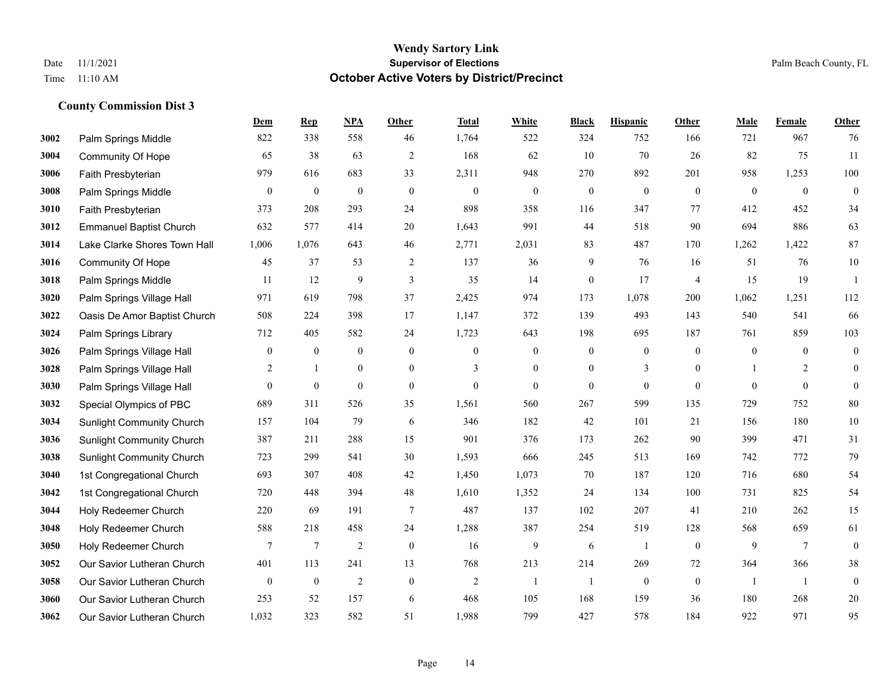#### **Wendy Sartory Link** Date 11/1/2021 **Supervisor of Elections** Palm Beach County, FL Time 11:10 AM **October Active Voters by District/Precinct**

# **Dem Rep NPA Other Total White Black Hispanic Other Male Female Other** Palm Springs Middle 822 338 558 46 1,764 522 324 752 166 721 967 76 Community Of Hope 65 38 63 2 168 62 10 70 26 82 75 11 Faith Presbyterian 979 616 683 33 2,311 948 270 892 201 958 1,253 100 Palm Springs Middle 0 0 0 0 0 0 0 0 0 0 0 0 Faith Presbyterian 373 208 293 24 898 358 116 347 77 412 452 34 Emmanuel Baptist Church 632 577 414 20 1,643 991 44 518 90 694 886 63 Lake Clarke Shores Town Hall 1,006 1,076 643 46 2,771 2,031 83 487 170 1,262 1,422 87 Community Of Hope 45 37 53 2 137 36 9 76 16 51 76 10 Palm Springs Middle 1 11 12 9 3 35 14 0 17 4 15 19 1 Palm Springs Village Hall 971 619 798 37 2,425 974 173 1,078 200 1,062 1,251 112 Oasis De Amor Baptist Church 508 224 398 17 1,147 372 139 493 143 540 541 66 Palm Springs Library 712 405 582 24 1,723 643 198 695 187 761 859 103 Palm Springs Village Hall 0 0 0 0 0 0 0 0 0 0 0 0 **3028** Palm Springs Village Hall  $\begin{array}{cccccccc} 2 & 1 & 0 & 0 & 3 & 0 & 0 & 3 & 0 & 1 & 2 & 0 \end{array}$  Palm Springs Village Hall 0 0 0 0 0 0 0 0 0 0 0 0 Special Olympics of PBC 689 311 526 35 1,561 560 267 599 135 729 752 80 Sunlight Community Church 157 104 79 6 346 182 42 101 21 156 180 10 Sunlight Community Church 387 211 288 15 901 376 173 262 90 399 471 31 Sunlight Community Church 723 299 541 30 1,593 666 245 513 169 742 772 79 1st Congregational Church 693 307 408 42 1,450 1,073 70 187 120 716 680 54 1st Congregational Church 720 448 394 48 1,610 1,352 24 134 100 731 825 54 Holy Redeemer Church 220 69 191 7 487 137 102 207 41 210 262 15 Holy Redeemer Church 588 218 458 24 1,288 387 254 519 128 568 659 61 Holy Redeemer Church **7** 7 7 2 0 16 9 6 1 0 9 7 0 Our Savior Lutheran Church 401 113 241 13 768 213 214 269 72 364 366 38 Our Savior Lutheran Church 0 0 0 2 0 0 2 1 1 0 0 0 1 1 0 Our Savior Lutheran Church 253 52 157 6 468 105 168 159 36 180 268 20 Our Savior Lutheran Church 1,032 323 582 51 1,988 799 427 578 184 922 971 95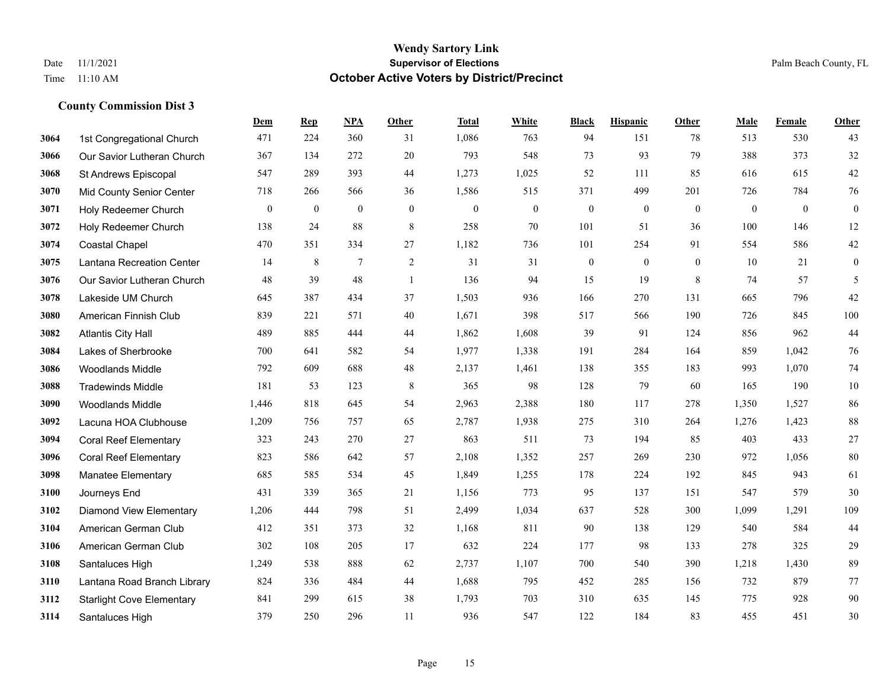|      |                                  | Dem          | <b>Rep</b>   | NPA          | <b>Other</b> | <b>Total</b> | <b>White</b>   | <b>Black</b> | <b>Hispanic</b> | <b>Other</b> | <b>Male</b> | <b>Female</b> | Other            |
|------|----------------------------------|--------------|--------------|--------------|--------------|--------------|----------------|--------------|-----------------|--------------|-------------|---------------|------------------|
| 3064 | 1st Congregational Church        | 471          | 224          | 360          | 31           | 1,086        | 763            | 94           | 151             | 78           | 513         | 530           | 43               |
| 3066 | Our Savior Lutheran Church       | 367          | 134          | 272          | 20           | 793          | 548            | 73           | 93              | 79           | 388         | 373           | $32\,$           |
| 3068 | St Andrews Episcopal             | 547          | 289          | 393          | 44           | 1,273        | 1,025          | 52           | 111             | 85           | 616         | 615           | $42\,$           |
| 3070 | <b>Mid County Senior Center</b>  | 718          | 266          | 566          | 36           | 1,586        | 515            | 371          | 499             | 201          | 726         | 784           | 76               |
| 3071 | Holy Redeemer Church             | $\mathbf{0}$ | $\mathbf{0}$ | $\mathbf{0}$ | $\theta$     | $\theta$     | $\overline{0}$ | $\mathbf{0}$ | $\mathbf{0}$    | $\theta$     | $\theta$    | $\theta$      | $\boldsymbol{0}$ |
| 3072 | Holy Redeemer Church             | 138          | 24           | 88           | 8            | 258          | 70             | 101          | 51              | 36           | 100         | 146           | 12               |
| 3074 | <b>Coastal Chapel</b>            | 470          | 351          | 334          | 27           | 1,182        | 736            | 101          | 254             | 91           | 554         | 586           | 42               |
| 3075 | Lantana Recreation Center        | 14           | 8            | $\tau$       | 2            | 31           | 31             | $\mathbf{0}$ | $\theta$        | $\Omega$     | 10          | 21            | $\overline{0}$   |
| 3076 | Our Savior Lutheran Church       | 48           | 39           | 48           | -1           | 136          | 94             | 15           | 19              | 8            | 74          | 57            | 5                |
| 3078 | Lakeside UM Church               | 645          | 387          | 434          | 37           | 1,503        | 936            | 166          | 270             | 131          | 665         | 796           | 42               |
| 3080 | American Finnish Club            | 839          | 221          | 571          | 40           | 1,671        | 398            | 517          | 566             | 190          | 726         | 845           | 100              |
| 3082 | <b>Atlantis City Hall</b>        | 489          | 885          | 444          | 44           | 1,862        | 1,608          | 39           | 91              | 124          | 856         | 962           | 44               |
| 3084 | Lakes of Sherbrooke              | 700          | 641          | 582          | 54           | 1,977        | 1,338          | 191          | 284             | 164          | 859         | 1,042         | $76\,$           |
| 3086 | Woodlands Middle                 | 792          | 609          | 688          | $48\,$       | 2,137        | 1,461          | 138          | 355             | 183          | 993         | 1,070         | 74               |
| 3088 | <b>Tradewinds Middle</b>         | 181          | 53           | 123          | 8            | 365          | 98             | 128          | 79              | 60           | 165         | 190           | $10\,$           |
| 3090 | <b>Woodlands Middle</b>          | 1,446        | 818          | 645          | 54           | 2,963        | 2,388          | 180          | 117             | 278          | 1,350       | 1,527         | $86\,$           |
| 3092 | Lacuna HOA Clubhouse             | 1,209        | 756          | 757          | 65           | 2,787        | 1,938          | 275          | 310             | 264          | 1,276       | 1,423         | $88\,$           |
| 3094 | <b>Coral Reef Elementary</b>     | 323          | 243          | 270          | 27           | 863          | 511            | 73           | 194             | 85           | 403         | 433           | 27               |
| 3096 | <b>Coral Reef Elementary</b>     | 823          | 586          | 642          | 57           | 2,108        | 1,352          | 257          | 269             | 230          | 972         | 1,056         | 80               |
| 3098 | <b>Manatee Elementary</b>        | 685          | 585          | 534          | 45           | 1,849        | 1,255          | 178          | 224             | 192          | 845         | 943           | 61               |
| 3100 | Journeys End                     | 431          | 339          | 365          | 21           | 1,156        | 773            | 95           | 137             | 151          | 547         | 579           | 30               |
| 3102 | <b>Diamond View Elementary</b>   | 1,206        | 444          | 798          | 51           | 2,499        | 1,034          | 637          | 528             | 300          | 1,099       | 1,291         | 109              |
| 3104 | American German Club             | 412          | 351          | 373          | 32           | 1,168        | 811            | 90           | 138             | 129          | 540         | 584           | 44               |
| 3106 | American German Club             | 302          | 108          | 205          | 17           | 632          | 224            | 177          | 98              | 133          | 278         | 325           | 29               |
| 3108 | Santaluces High                  | 1,249        | 538          | 888          | 62           | 2,737        | 1,107          | 700          | 540             | 390          | 1,218       | 1.430         | 89               |
| 3110 | Lantana Road Branch Library      | 824          | 336          | 484          | 44           | 1,688        | 795            | 452          | 285             | 156          | 732         | 879           | 77               |
| 3112 | <b>Starlight Cove Elementary</b> | 841          | 299          | 615          | 38           | 1,793        | 703            | 310          | 635             | 145          | 775         | 928           | 90               |
| 3114 | Santaluces High                  | 379          | 250          | 296          | 11           | 936          | 547            | 122          | 184             | 83           | 455         | 451           | 30               |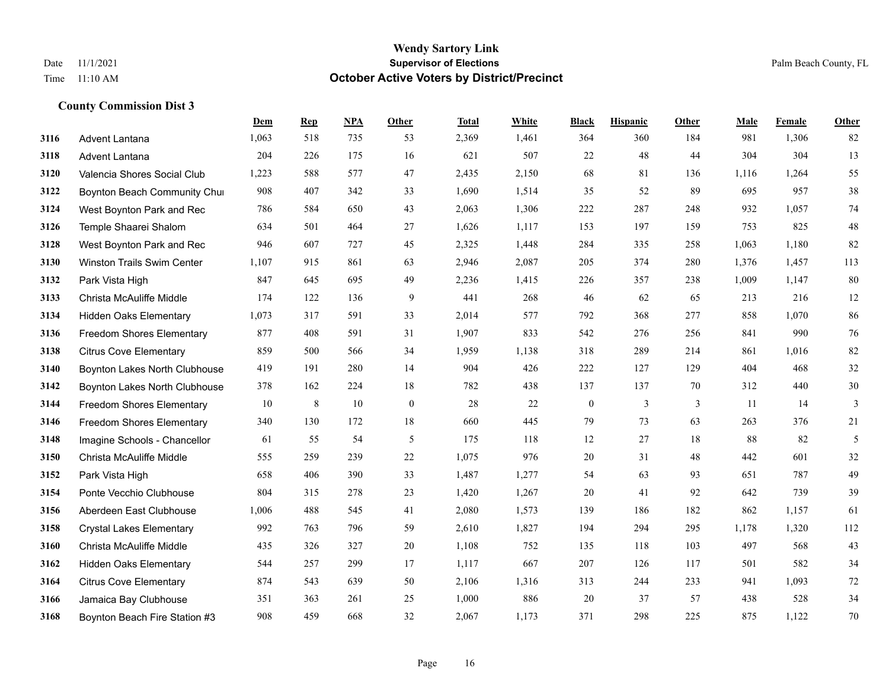|      |                                  | Dem   | <b>Rep</b> | NPA | <b>Other</b>     | <b>Total</b> | <b>White</b> | <b>Black</b>     | <b>Hispanic</b> | Other | <b>Male</b> | Female | <b>Other</b>   |
|------|----------------------------------|-------|------------|-----|------------------|--------------|--------------|------------------|-----------------|-------|-------------|--------|----------------|
| 3116 | Advent Lantana                   | 1,063 | 518        | 735 | 53               | 2,369        | 1,461        | 364              | 360             | 184   | 981         | 1,306  | 82             |
| 3118 | Advent Lantana                   | 204   | 226        | 175 | 16               | 621          | 507          | 22               | 48              | 44    | 304         | 304    | 13             |
| 3120 | Valencia Shores Social Club      | 1,223 | 588        | 577 | 47               | 2,435        | 2,150        | 68               | 81              | 136   | 1,116       | 1,264  | 55             |
| 3122 | Boynton Beach Community Chui     | 908   | 407        | 342 | 33               | 1,690        | 1,514        | 35               | 52              | 89    | 695         | 957    | 38             |
| 3124 | West Boynton Park and Rec        | 786   | 584        | 650 | 43               | 2,063        | 1,306        | 222              | 287             | 248   | 932         | 1.057  | 74             |
| 3126 | Temple Shaarei Shalom            | 634   | 501        | 464 | 27               | 1,626        | 1,117        | 153              | 197             | 159   | 753         | 825    | $48\,$         |
| 3128 | West Boynton Park and Rec        | 946   | 607        | 727 | 45               | 2,325        | 1,448        | 284              | 335             | 258   | 1,063       | 1,180  | 82             |
| 3130 | Winston Trails Swim Center       | 1,107 | 915        | 861 | 63               | 2,946        | 2,087        | 205              | 374             | 280   | 1,376       | 1,457  | 113            |
| 3132 | Park Vista High                  | 847   | 645        | 695 | 49               | 2,236        | 1,415        | 226              | 357             | 238   | 1,009       | 1,147  | $80\,$         |
| 3133 | Christa McAuliffe Middle         | 174   | 122        | 136 | 9                | 441          | 268          | 46               | 62              | 65    | 213         | 216    | 12             |
| 3134 | <b>Hidden Oaks Elementary</b>    | 1,073 | 317        | 591 | 33               | 2,014        | 577          | 792              | 368             | 277   | 858         | 1.070  | 86             |
| 3136 | Freedom Shores Elementary        | 877   | 408        | 591 | 31               | 1,907        | 833          | 542              | 276             | 256   | 841         | 990    | 76             |
| 3138 | <b>Citrus Cove Elementary</b>    | 859   | 500        | 566 | 34               | 1,959        | 1,138        | 318              | 289             | 214   | 861         | 1,016  | 82             |
| 3140 | Boynton Lakes North Clubhouse    | 419   | 191        | 280 | 14               | 904          | 426          | 222              | 127             | 129   | 404         | 468    | 32             |
| 3142 | Boynton Lakes North Clubhouse    | 378   | 162        | 224 | 18               | 782          | 438          | 137              | 137             | 70    | 312         | 440    | 30             |
| 3144 | Freedom Shores Elementary        | 10    | 8          | 10  | $\boldsymbol{0}$ | 28           | 22           | $\boldsymbol{0}$ | 3               | 3     | 11          | 14     | $\mathfrak{Z}$ |
| 3146 | <b>Freedom Shores Elementary</b> | 340   | 130        | 172 | $18\,$           | 660          | 445          | 79               | 73              | 63    | 263         | 376    | $21\,$         |
| 3148 | Imagine Schools - Chancellor     | 61    | 55         | 54  | 5                | 175          | 118          | 12               | 27              | 18    | 88          | 82     | 5              |
| 3150 | Christa McAuliffe Middle         | 555   | 259        | 239 | 22               | 1,075        | 976          | 20               | 31              | 48    | 442         | 601    | 32             |
| 3152 | Park Vista High                  | 658   | 406        | 390 | 33               | 1,487        | 1,277        | 54               | 63              | 93    | 651         | 787    | 49             |
| 3154 | Ponte Vecchio Clubhouse          | 804   | 315        | 278 | 23               | 1,420        | 1,267        | 20               | 41              | 92    | 642         | 739    | 39             |
| 3156 | Aberdeen East Clubhouse          | 1,006 | 488        | 545 | 41               | 2,080        | 1,573        | 139              | 186             | 182   | 862         | 1,157  | 61             |
| 3158 | <b>Crystal Lakes Elementary</b>  | 992   | 763        | 796 | 59               | 2,610        | 1,827        | 194              | 294             | 295   | 1,178       | 1,320  | 112            |
| 3160 | Christa McAuliffe Middle         | 435   | 326        | 327 | 20               | 1,108        | 752          | 135              | 118             | 103   | 497         | 568    | 43             |
| 3162 | <b>Hidden Oaks Elementary</b>    | 544   | 257        | 299 | 17               | 1.117        | 667          | 207              | 126             | 117   | 501         | 582    | 34             |
| 3164 | <b>Citrus Cove Elementary</b>    | 874   | 543        | 639 | 50               | 2,106        | 1,316        | 313              | 244             | 233   | 941         | 1,093  | 72             |
| 3166 | Jamaica Bay Clubhouse            | 351   | 363        | 261 | 25               | 1,000        | 886          | 20               | 37              | 57    | 438         | 528    | 34             |
| 3168 | Boynton Beach Fire Station #3    | 908   | 459        | 668 | 32               | 2,067        | 1,173        | 371              | 298             | 225   | 875         | 1,122  | 70             |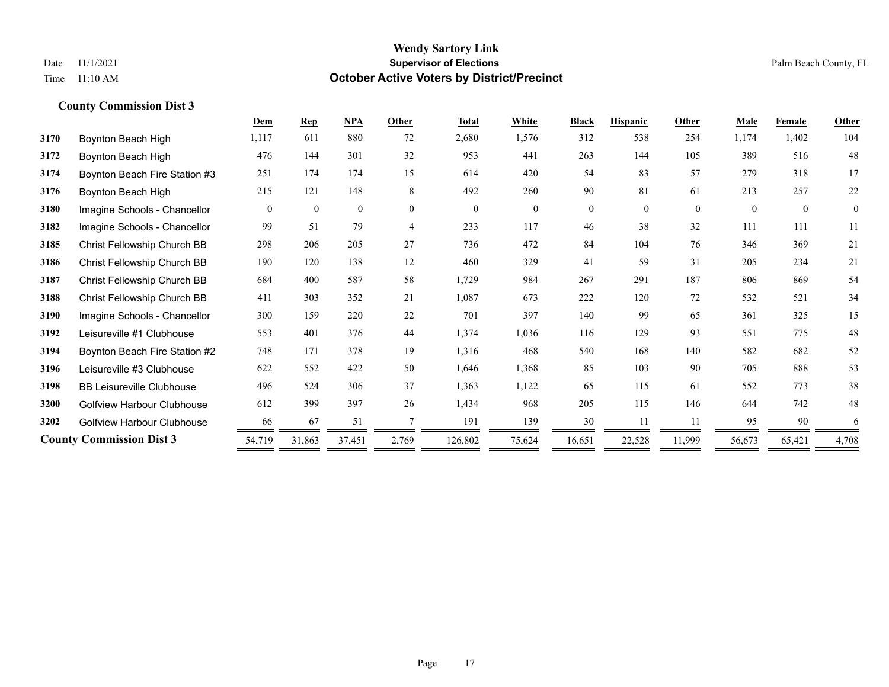|      |                                   | Dem      | <b>Rep</b>   | NPA            | Other    | <b>Total</b> | White          | <b>Black</b> | <b>Hispanic</b> | Other    | <b>Male</b> | Female   | Other        |
|------|-----------------------------------|----------|--------------|----------------|----------|--------------|----------------|--------------|-----------------|----------|-------------|----------|--------------|
| 3170 | Boynton Beach High                | 1,117    | 611          | 880            | 72       | 2,680        | 1,576          | 312          | 538             | 254      | 1,174       | 1,402    | 104          |
| 3172 | Boynton Beach High                | 476      | 144          | 301            | 32       | 953          | 441            | 263          | 144             | 105      | 389         | 516      | 48           |
| 3174 | Boynton Beach Fire Station #3     | 251      | 174          | 174            | 15       | 614          | 420            | 54           | 83              | 57       | 279         | 318      | 17           |
| 3176 | Boynton Beach High                | 215      | 121          | 148            | 8        | 492          | 260            | 90           | 81              | 61       | 213         | 257      | 22           |
| 3180 | Imagine Schools - Chancellor      | $\theta$ | $\mathbf{0}$ | $\overline{0}$ | $\theta$ | $\theta$     | $\overline{0}$ | $\mathbf{0}$ | $\theta$        | $\theta$ | $\Omega$    | $\theta$ | $\mathbf{0}$ |
| 3182 | Imagine Schools - Chancellor      | 99       | 51           | 79             | 4        | 233          | 117            | 46           | 38              | 32       | 111         | 111      | 11           |
| 3185 | Christ Fellowship Church BB       | 298      | 206          | 205            | 27       | 736          | 472            | 84           | 104             | 76       | 346         | 369      | 21           |
| 3186 | Christ Fellowship Church BB       | 190      | 120          | 138            | 12       | 460          | 329            | 41           | 59              | 31       | 205         | 234      | 21           |
| 3187 | Christ Fellowship Church BB       | 684      | 400          | 587            | 58       | 1,729        | 984            | 267          | 291             | 187      | 806         | 869      | 54           |
| 3188 | Christ Fellowship Church BB       | 411      | 303          | 352            | 21       | 1,087        | 673            | 222          | 120             | 72       | 532         | 521      | 34           |
| 3190 | Imagine Schools - Chancellor      | 300      | 159          | 220            | 22       | 701          | 397            | 140          | 99              | 65       | 361         | 325      | 15           |
| 3192 | Leisureville #1 Clubhouse         | 553      | 401          | 376            | 44       | 1,374        | 1,036          | 116          | 129             | 93       | 551         | 775      | 48           |
| 3194 | Boynton Beach Fire Station #2     | 748      | 171          | 378            | 19       | 1,316        | 468            | 540          | 168             | 140      | 582         | 682      | 52           |
| 3196 | Leisureville #3 Clubhouse         | 622      | 552          | 422            | 50       | 1,646        | 1,368          | 85           | 103             | 90       | 705         | 888      | 53           |
| 3198 | <b>BB Leisureville Clubhouse</b>  | 496      | 524          | 306            | 37       | 1,363        | 1,122          | 65           | 115             | 61       | 552         | 773      | 38           |
| 3200 | <b>Golfview Harbour Clubhouse</b> | 612      | 399          | 397            | 26       | 1,434        | 968            | 205          | 115             | 146      | 644         | 742      | 48           |
| 3202 | <b>Golfview Harbour Clubhouse</b> | 66       | 67           | 51             |          | 191          | 139            | 30           | 11              | 11       | 95          | 90       | 6            |
|      | <b>County Commission Dist 3</b>   | 54,719   | 31,863       | 37,451         | 2,769    | 126,802      | 75,624         | 16,651       | 22,528          | 11,999   | 56,673      | 65,421   | 4,708        |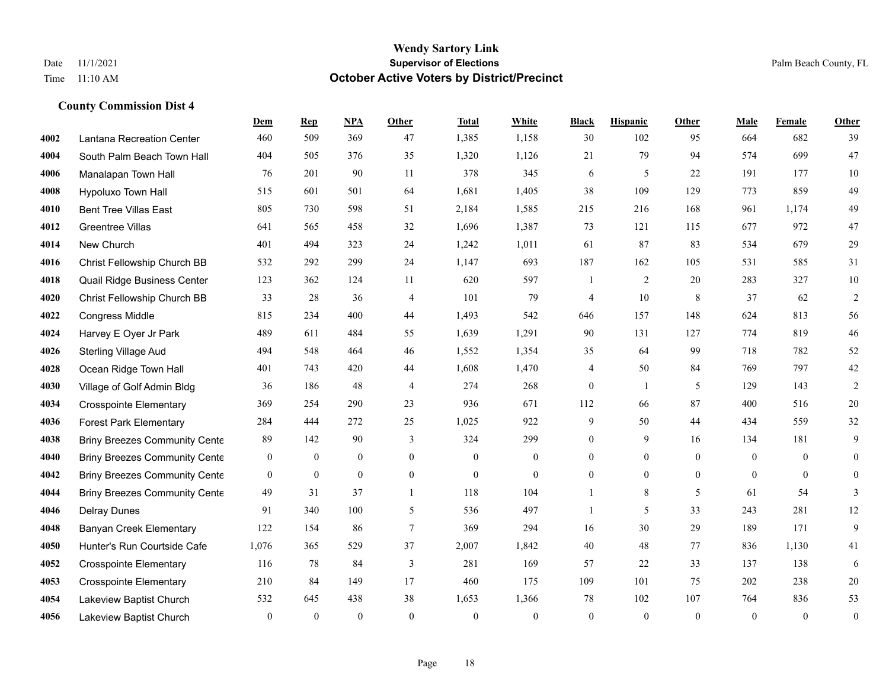|      |                                      | Dem              | <b>Rep</b>       | NPA              | <b>Other</b>   | <b>Total</b> | White            | <b>Black</b>     | <b>Hispanic</b>  | <b>Other</b>   | <b>Male</b>  | Female         | <b>Other</b>     |
|------|--------------------------------------|------------------|------------------|------------------|----------------|--------------|------------------|------------------|------------------|----------------|--------------|----------------|------------------|
| 4002 | Lantana Recreation Center            | 460              | 509              | 369              | 47             | 1,385        | 1,158            | 30               | 102              | 95             | 664          | 682            | 39               |
| 4004 | South Palm Beach Town Hall           | 404              | 505              | 376              | 35             | 1,320        | 1,126            | 21               | 79               | 94             | 574          | 699            | 47               |
| 4006 | Manalapan Town Hall                  | 76               | 201              | 90               | 11             | 378          | 345              | 6                | 5                | 22             | 191          | 177            | $10\,$           |
| 4008 | Hypoluxo Town Hall                   | 515              | 601              | 501              | 64             | 1,681        | 1,405            | 38               | 109              | 129            | 773          | 859            | 49               |
| 4010 | <b>Bent Tree Villas East</b>         | 805              | 730              | 598              | 51             | 2,184        | 1,585            | 215              | 216              | 168            | 961          | 1.174          | 49               |
| 4012 | <b>Greentree Villas</b>              | 641              | 565              | 458              | 32             | 1,696        | 1,387            | 73               | 121              | 115            | 677          | 972            | $47\,$           |
| 4014 | New Church                           | 401              | 494              | 323              | 24             | 1,242        | 1,011            | 61               | 87               | 83             | 534          | 679            | 29               |
| 4016 | Christ Fellowship Church BB          | 532              | 292              | 299              | 24             | 1,147        | 693              | 187              | 162              | 105            | 531          | 585            | 31               |
| 4018 | Quail Ridge Business Center          | 123              | 362              | 124              | 11             | 620          | 597              | $\mathbf{1}$     | 2                | 20             | 283          | 327            | $10\,$           |
| 4020 | Christ Fellowship Church BB          | 33               | 28               | 36               | $\overline{4}$ | 101          | 79               | $\overline{4}$   | 10               | 8              | 37           | 62             | $\overline{2}$   |
| 4022 | <b>Congress Middle</b>               | 815              | 234              | 400              | 44             | 1,493        | 542              | 646              | 157              | 148            | 624          | 813            | 56               |
| 4024 | Harvey E Oyer Jr Park                | 489              | 611              | 484              | 55             | 1,639        | 1,291            | 90               | 131              | 127            | 774          | 819            | $46\,$           |
| 4026 | <b>Sterling Village Aud</b>          | 494              | 548              | 464              | 46             | 1,552        | 1,354            | 35               | 64               | 99             | 718          | 782            | 52               |
| 4028 | Ocean Ridge Town Hall                | 401              | 743              | 420              | 44             | 1,608        | 1,470            | 4                | 50               | 84             | 769          | 797            | $42\,$           |
| 4030 | Village of Golf Admin Bldg           | 36               | 186              | 48               | $\overline{4}$ | 274          | 268              | $\mathbf{0}$     | 1                | 5              | 129          | 143            | $\sqrt{2}$       |
| 4034 | <b>Crosspointe Elementary</b>        | 369              | 254              | 290              | 23             | 936          | 671              | 112              | 66               | 87             | 400          | 516            | $20\,$           |
| 4036 | <b>Forest Park Elementary</b>        | 284              | 444              | 272              | 25             | 1,025        | 922              | 9                | 50               | 44             | 434          | 559            | 32               |
| 4038 | <b>Briny Breezes Community Cente</b> | 89               | 142              | 90               | 3              | 324          | 299              | $\boldsymbol{0}$ | 9                | 16             | 134          | 181            | 9                |
| 4040 | <b>Briny Breezes Community Cente</b> | $\boldsymbol{0}$ | $\boldsymbol{0}$ | $\boldsymbol{0}$ | $\mathbf{0}$   | $\mathbf{0}$ | $\boldsymbol{0}$ | $\mathbf{0}$     | $\mathbf{0}$     | $\overline{0}$ | $\mathbf{0}$ | $\overline{0}$ | $\mathbf{0}$     |
| 4042 | <b>Briny Breezes Community Cente</b> | $\mathbf{0}$     | $\boldsymbol{0}$ | $\boldsymbol{0}$ | $\mathbf{0}$   | $\mathbf{0}$ | $\boldsymbol{0}$ | $\boldsymbol{0}$ | $\boldsymbol{0}$ | $\overline{0}$ | $\mathbf{0}$ | $\mathbf{0}$   | $\boldsymbol{0}$ |
| 4044 | <b>Briny Breezes Community Cente</b> | 49               | 31               | 37               | $\mathbf{1}$   | 118          | 104              | $\mathbf{1}$     | 8                | 5              | 61           | 54             | 3                |
| 4046 | <b>Delray Dunes</b>                  | 91               | 340              | 100              | 5              | 536          | 497              | $\mathbf{1}$     | 5                | 33             | 243          | 281            | 12               |
| 4048 | <b>Banyan Creek Elementary</b>       | 122              | 154              | 86               | $\overline{7}$ | 369          | 294              | 16               | 30               | 29             | 189          | 171            | 9                |
| 4050 | Hunter's Run Courtside Cafe          | 1,076            | 365              | 529              | 37             | 2,007        | 1,842            | 40               | 48               | 77             | 836          | 1,130          | 41               |
| 4052 | <b>Crosspointe Elementary</b>        | 116              | 78               | 84               | 3              | 281          | 169              | 57               | 22               | 33             | 137          | 138            | 6                |
| 4053 | <b>Crosspointe Elementary</b>        | 210              | 84               | 149              | 17             | 460          | 175              | 109              | 101              | 75             | 202          | 238            | $20\,$           |
| 4054 | Lakeview Baptist Church              | 532              | 645              | 438              | 38             | 1,653        | 1,366            | 78               | 102              | 107            | 764          | 836            | 53               |
| 4056 | Lakeview Baptist Church              | $\mathbf{0}$     | $\mathbf{0}$     | $\mathbf{0}$     | $\theta$       | $\theta$     | $\mathbf{0}$     | $\mathbf{0}$     | $\theta$         | $\mathbf{0}$   | $\theta$     | $\mathbf{0}$   | $\boldsymbol{0}$ |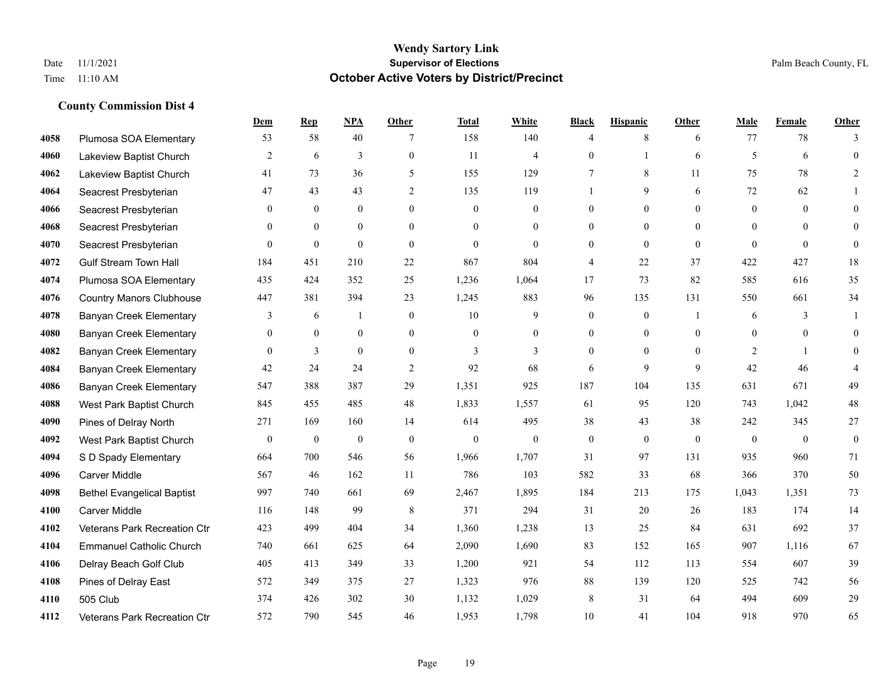|      |                                   | Dem          | <b>Rep</b>       | NPA              | <b>Other</b>   | <b>Total</b> | <b>White</b>     | <b>Black</b>     | <b>Hispanic</b> | Other          | <b>Male</b>    | <b>Female</b>  | <b>Other</b>     |
|------|-----------------------------------|--------------|------------------|------------------|----------------|--------------|------------------|------------------|-----------------|----------------|----------------|----------------|------------------|
| 4058 | Plumosa SOA Elementary            | 53           | 58               | 40               | 7              | 158          | 140              | $\overline{4}$   | 8               | 6              | 77             | 78             | 3                |
| 4060 | Lakeview Baptist Church           | 2            | 6                | 3                | $\mathbf{0}$   | 11           | $\overline{4}$   | $\mathbf{0}$     | $\mathbf{1}$    | 6              | 5              | 6              | $\mathbf{0}$     |
| 4062 | Lakeview Baptist Church           | 41           | 73               | 36               | 5              | 155          | 129              | 7                | 8               | 11             | 75             | 78             | $\overline{2}$   |
| 4064 | Seacrest Presbyterian             | 47           | 43               | 43               | 2              | 135          | 119              |                  | 9               | 6              | 72             | 62             |                  |
| 4066 | Seacrest Presbyterian             | $\mathbf{0}$ | $\mathbf{0}$     | $\overline{0}$   | $\mathbf{0}$   | $\mathbf{0}$ | $\boldsymbol{0}$ | $\boldsymbol{0}$ | $\overline{0}$  | $\theta$       | $\overline{0}$ | $\overline{0}$ | $\mathbf{0}$     |
| 4068 | Seacrest Presbyterian             | $\mathbf{0}$ | $\mathbf{0}$     | $\mathbf{0}$     | $\theta$       | $\theta$     | $\overline{0}$   | $\mathbf{0}$     | $\mathbf{0}$    | $\theta$       | $\overline{0}$ | $\Omega$       | $\Omega$         |
| 4070 | Seacrest Presbyterian             | $\theta$     | $\theta$         | $\theta$         | $\Omega$       | $\theta$     | $\overline{0}$   | $\mathbf{0}$     | $\theta$        | $\theta$       | $\theta$       | $\theta$       | $\mathbf{0}$     |
| 4072 | <b>Gulf Stream Town Hall</b>      | 184          | 451              | 210              | 22             | 867          | 804              | 4                | 22              | 37             | 422            | 427            | 18               |
| 4074 | Plumosa SOA Elementary            | 435          | 424              | 352              | 25             | 1,236        | 1,064            | 17               | 73              | 82             | 585            | 616            | 35               |
| 4076 | <b>Country Manors Clubhouse</b>   | 447          | 381              | 394              | 23             | 1,245        | 883              | 96               | 135             | 131            | 550            | 661            | 34               |
| 4078 | <b>Banyan Creek Elementary</b>    | 3            | 6                | 1                | $\mathbf{0}$   | 10           | 9                | $\boldsymbol{0}$ | $\mathbf{0}$    | $\overline{1}$ | 6              | 3              |                  |
| 4080 | <b>Banyan Creek Elementary</b>    | $\theta$     | $\mathbf{0}$     | $\mathbf{0}$     | $\Omega$       | $\theta$     | $\overline{0}$   | $\mathbf{0}$     | $\mathbf{0}$    | $\theta$       | $\theta$       | $\theta$       | $\theta$         |
| 4082 | <b>Banyan Creek Elementary</b>    | $\mathbf{0}$ | 3                | $\overline{0}$   | $\overline{0}$ | 3            | 3                | $\mathbf{0}$     | $\overline{0}$  | $\theta$       | 2              |                | $\Omega$         |
| 4084 | <b>Banyan Creek Elementary</b>    | 42           | 24               | 24               | $\overline{2}$ | 92           | 68               | 6                | 9               | 9              | 42             | 46             |                  |
| 4086 | <b>Banyan Creek Elementary</b>    | 547          | 388              | 387              | 29             | 1,351        | 925              | 187              | 104             | 135            | 631            | 671            | 49               |
| 4088 | West Park Baptist Church          | 845          | 455              | 485              | 48             | 1,833        | 1,557            | 61               | 95              | 120            | 743            | 1,042          | 48               |
| 4090 | Pines of Delray North             | 271          | 169              | 160              | 14             | 614          | 495              | 38               | 43              | 38             | 242            | 345            | 27               |
| 4092 | West Park Baptist Church          | $\bf{0}$     | $\boldsymbol{0}$ | $\boldsymbol{0}$ | $\mathbf{0}$   | $\mathbf{0}$ | $\boldsymbol{0}$ | $\boldsymbol{0}$ | $\overline{0}$  | $\mathbf{0}$   | $\mathbf{0}$   | $\mathbf{0}$   | $\boldsymbol{0}$ |
| 4094 | S D Spady Elementary              | 664          | 700              | 546              | 56             | 1,966        | 1,707            | 31               | 97              | 131            | 935            | 960            | 71               |
| 4096 | <b>Carver Middle</b>              | 567          | 46               | 162              | 11             | 786          | 103              | 582              | 33              | 68             | 366            | 370            | 50               |
| 4098 | <b>Bethel Evangelical Baptist</b> | 997          | 740              | 661              | 69             | 2,467        | 1,895            | 184              | 213             | 175            | 1,043          | 1,351          | 73               |
| 4100 | <b>Carver Middle</b>              | 116          | 148              | 99               | 8              | 371          | 294              | 31               | 20              | 26             | 183            | 174            | 14               |
| 4102 | Veterans Park Recreation Ctr      | 423          | 499              | 404              | 34             | 1,360        | 1,238            | 13               | 25              | 84             | 631            | 692            | 37               |
| 4104 | <b>Emmanuel Catholic Church</b>   | 740          | 661              | 625              | 64             | 2,090        | 1,690            | 83               | 152             | 165            | 907            | 1,116          | 67               |
| 4106 | Delray Beach Golf Club            | 405          | 413              | 349              | 33             | 1,200        | 921              | 54               | 112             | 113            | 554            | 607            | 39               |
| 4108 | Pines of Delray East              | 572          | 349              | 375              | 27             | 1,323        | 976              | 88               | 139             | 120            | 525            | 742            | 56               |
| 4110 | 505 Club                          | 374          | 426              | 302              | 30             | 1,132        | 1,029            | 8                | 31              | 64             | 494            | 609            | 29               |
| 4112 | Veterans Park Recreation Ctr      | 572          | 790              | 545              | 46             | 1,953        | 1,798            | 10               | 41              | 104            | 918            | 970            | 65               |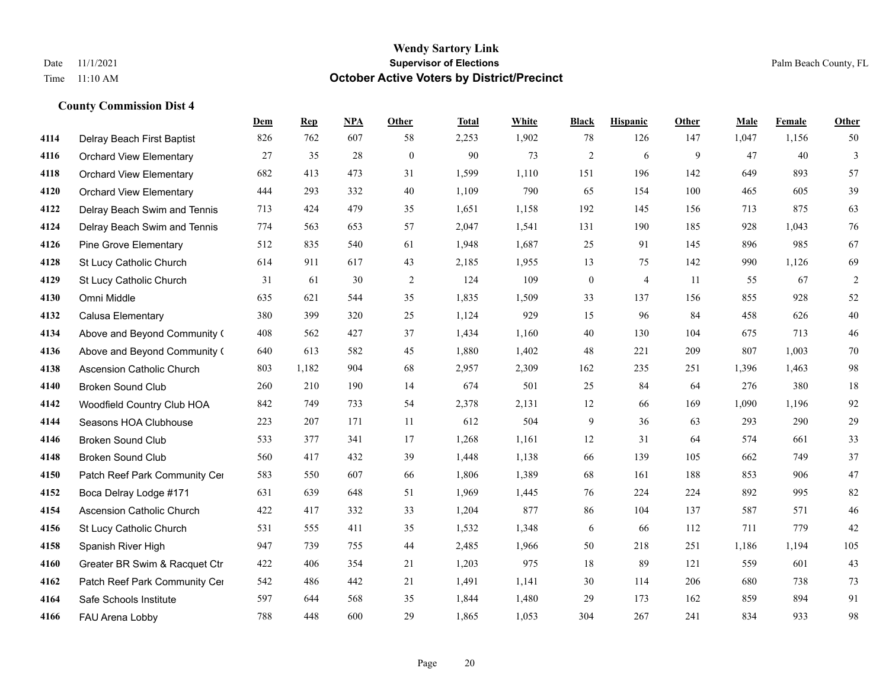## **Wendy Sartory Link** Date 11/1/2021 **Supervisor of Elections** Palm Beach County, FL Time 11:10 AM **October Active Voters by District/Precinct**

|      |                                  | Dem    | <b>Rep</b> | NPA    | Other            | <b>Total</b> | White | <b>Black</b>     | <b>Hispanic</b> | Other | Male  | Female | Other      |
|------|----------------------------------|--------|------------|--------|------------------|--------------|-------|------------------|-----------------|-------|-------|--------|------------|
| 4114 | Delray Beach First Baptist       | 826    | 762        | 607    | 58               | 2,253        | 1,902 | 78               | 126             | 147   | 1,047 | 1,156  | 50         |
| 4116 | <b>Orchard View Elementary</b>   | $27\,$ | 35         | $28\,$ | $\boldsymbol{0}$ | 90           | 73    | $\sqrt{2}$       | 6               | 9     | 47    | 40     | 3          |
| 4118 | <b>Orchard View Elementary</b>   | 682    | 413        | 473    | 31               | 1,599        | 1,110 | 151              | 196             | 142   | 649   | 893    | 57         |
| 4120 | <b>Orchard View Elementary</b>   | 444    | 293        | 332    | 40               | 1,109        | 790   | 65               | 154             | 100   | 465   | 605    | 39         |
| 4122 | Delray Beach Swim and Tennis     | 713    | 424        | 479    | 35               | 1,651        | 1,158 | 192              | 145             | 156   | 713   | 875    | 63         |
| 4124 | Delray Beach Swim and Tennis     | 774    | 563        | 653    | 57               | 2,047        | 1,541 | 131              | 190             | 185   | 928   | 1,043  | 76         |
| 4126 | <b>Pine Grove Elementary</b>     | 512    | 835        | 540    | 61               | 1,948        | 1,687 | 25               | 91              | 145   | 896   | 985    | 67         |
| 4128 | St Lucy Catholic Church          | 614    | 911        | 617    | 43               | 2,185        | 1,955 | 13               | 75              | 142   | 990   | 1,126  | 69         |
| 4129 | St Lucy Catholic Church          | 31     | 61         | 30     | $\overline{2}$   | 124          | 109   | $\boldsymbol{0}$ | $\overline{4}$  | 11    | 55    | 67     | $\sqrt{2}$ |
| 4130 | Omni Middle                      | 635    | 621        | 544    | 35               | 1,835        | 1,509 | 33               | 137             | 156   | 855   | 928    | 52         |
| 4132 | Calusa Elementary                | 380    | 399        | 320    | 25               | 1,124        | 929   | 15               | 96              | 84    | 458   | 626    | 40         |
| 4134 | Above and Beyond Community (     | 408    | 562        | 427    | 37               | 1,434        | 1,160 | 40               | 130             | 104   | 675   | 713    | 46         |
| 4136 | Above and Beyond Community (     | 640    | 613        | 582    | 45               | 1,880        | 1,402 | 48               | 221             | 209   | 807   | 1,003  | 70         |
| 4138 | <b>Ascension Catholic Church</b> | 803    | 1,182      | 904    | 68               | 2,957        | 2,309 | 162              | 235             | 251   | 1,396 | 1,463  | 98         |
| 4140 | <b>Broken Sound Club</b>         | 260    | 210        | 190    | 14               | 674          | 501   | 25               | 84              | 64    | 276   | 380    | 18         |
| 4142 | Woodfield Country Club HOA       | 842    | 749        | 733    | 54               | 2,378        | 2,131 | 12               | 66              | 169   | 1,090 | 1,196  | 92         |
| 4144 | Seasons HOA Clubhouse            | 223    | 207        | 171    | 11               | 612          | 504   | 9                | 36              | 63    | 293   | 290    | 29         |
| 4146 | <b>Broken Sound Club</b>         | 533    | 377        | 341    | 17               | 1,268        | 1,161 | 12               | 31              | 64    | 574   | 661    | 33         |
| 4148 | <b>Broken Sound Club</b>         | 560    | 417        | 432    | 39               | 1,448        | 1,138 | 66               | 139             | 105   | 662   | 749    | 37         |
| 4150 | Patch Reef Park Community Cer    | 583    | 550        | 607    | 66               | 1,806        | 1,389 | 68               | 161             | 188   | 853   | 906    | 47         |
| 4152 | Boca Delray Lodge #171           | 631    | 639        | 648    | 51               | 1,969        | 1,445 | 76               | 224             | 224   | 892   | 995    | 82         |
| 4154 | <b>Ascension Catholic Church</b> | 422    | 417        | 332    | 33               | 1,204        | 877   | 86               | 104             | 137   | 587   | 571    | 46         |
| 4156 | St Lucy Catholic Church          | 531    | 555        | 411    | 35               | 1,532        | 1,348 | 6                | 66              | 112   | 711   | 779    | 42         |
| 4158 | Spanish River High               | 947    | 739        | 755    | 44               | 2,485        | 1,966 | 50               | 218             | 251   | 1,186 | 1,194  | 105        |
| 4160 | Greater BR Swim & Racquet Ctr    | 422    | 406        | 354    | 21               | 1,203        | 975   | 18               | 89              | 121   | 559   | 601    | 43         |
| 4162 | Patch Reef Park Community Cer    | 542    | 486        | 442    | 21               | 1,491        | 1,141 | 30               | 114             | 206   | 680   | 738    | 73         |
| 4164 | Safe Schools Institute           | 597    | 644        | 568    | 35               | 1,844        | 1,480 | 29               | 173             | 162   | 859   | 894    | 91         |
| 4166 | FAU Arena Lobby                  | 788    | 448        | 600    | 29               | 1,865        | 1.053 | 304              | 267             | 241   | 834   | 933    | 98         |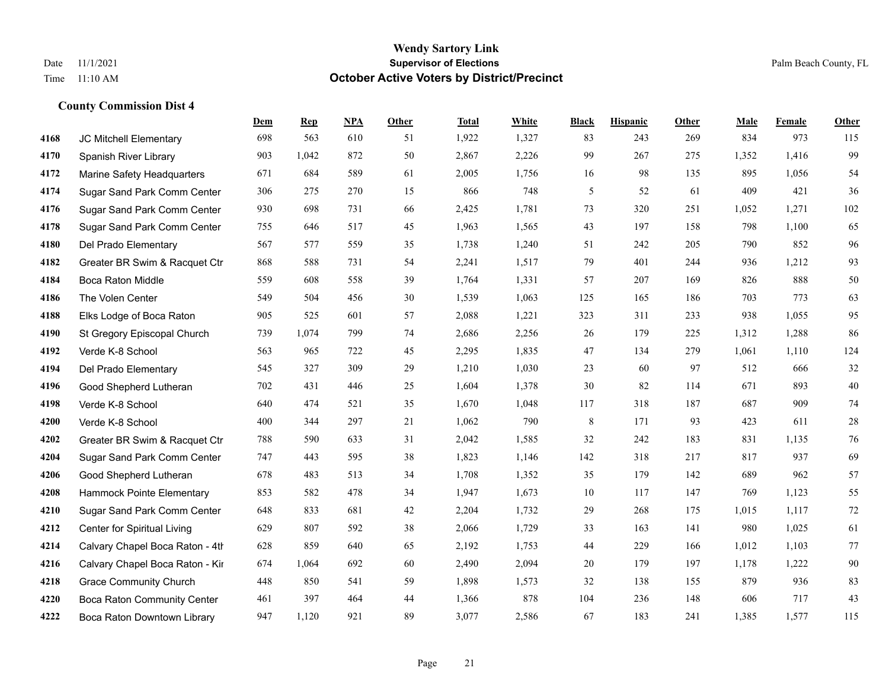|      |                                    | Dem | <b>Rep</b> | NPA | <b>Other</b> | <b>Total</b> | <b>White</b> | <b>Black</b> | <b>Hispanic</b> | <b>Other</b> | <b>Male</b> | <b>Female</b> | <b>Other</b> |
|------|------------------------------------|-----|------------|-----|--------------|--------------|--------------|--------------|-----------------|--------------|-------------|---------------|--------------|
| 4168 | JC Mitchell Elementary             | 698 | 563        | 610 | 51           | 1,922        | 1,327        | 83           | 243             | 269          | 834         | 973           | 115          |
| 4170 | Spanish River Library              | 903 | 1,042      | 872 | 50           | 2,867        | 2,226        | 99           | 267             | 275          | 1,352       | 1,416         | 99           |
| 4172 | Marine Safety Headquarters         | 671 | 684        | 589 | 61           | 2,005        | 1,756        | 16           | 98              | 135          | 895         | 1,056         | 54           |
| 4174 | Sugar Sand Park Comm Center        | 306 | 275        | 270 | 15           | 866          | 748          | 5            | 52              | 61           | 409         | 421           | 36           |
| 4176 | Sugar Sand Park Comm Center        | 930 | 698        | 731 | 66           | 2,425        | 1,781        | 73           | 320             | 251          | 1,052       | 1,271         | 102          |
| 4178 | Sugar Sand Park Comm Center        | 755 | 646        | 517 | 45           | 1,963        | 1,565        | 43           | 197             | 158          | 798         | 1,100         | 65           |
| 4180 | Del Prado Elementary               | 567 | 577        | 559 | 35           | 1,738        | 1,240        | 51           | 242             | 205          | 790         | 852           | 96           |
| 4182 | Greater BR Swim & Racquet Ctr      | 868 | 588        | 731 | 54           | 2,241        | 1,517        | 79           | 401             | 244          | 936         | 1,212         | 93           |
| 4184 | <b>Boca Raton Middle</b>           | 559 | 608        | 558 | 39           | 1,764        | 1,331        | 57           | 207             | 169          | 826         | 888           | $50\,$       |
| 4186 | The Volen Center                   | 549 | 504        | 456 | 30           | 1,539        | 1,063        | 125          | 165             | 186          | 703         | 773           | 63           |
| 4188 | Elks Lodge of Boca Raton           | 905 | 525        | 601 | 57           | 2,088        | 1,221        | 323          | 311             | 233          | 938         | 1,055         | 95           |
| 4190 | St Gregory Episcopal Church        | 739 | 1,074      | 799 | 74           | 2,686        | 2,256        | 26           | 179             | 225          | 1,312       | 1,288         | 86           |
| 4192 | Verde K-8 School                   | 563 | 965        | 722 | 45           | 2,295        | 1,835        | $47\,$       | 134             | 279          | 1,061       | 1,110         | 124          |
| 4194 | Del Prado Elementary               | 545 | 327        | 309 | 29           | 1,210        | 1,030        | 23           | 60              | 97           | 512         | 666           | 32           |
| 4196 | Good Shepherd Lutheran             | 702 | 431        | 446 | 25           | 1,604        | 1,378        | 30           | 82              | 114          | 671         | 893           | $40\,$       |
| 4198 | Verde K-8 School                   | 640 | 474        | 521 | 35           | 1,670        | 1,048        | 117          | 318             | 187          | 687         | 909           | 74           |
| 4200 | Verde K-8 School                   | 400 | 344        | 297 | 21           | 1,062        | 790          | 8            | 171             | 93           | 423         | 611           | $28\,$       |
| 4202 | Greater BR Swim & Racquet Ctr      | 788 | 590        | 633 | 31           | 2,042        | 1,585        | 32           | 242             | 183          | 831         | 1,135         | $76\,$       |
| 4204 | Sugar Sand Park Comm Center        | 747 | 443        | 595 | 38           | 1,823        | 1,146        | 142          | 318             | 217          | 817         | 937           | 69           |
| 4206 | Good Shepherd Lutheran             | 678 | 483        | 513 | 34           | 1,708        | 1,352        | 35           | 179             | 142          | 689         | 962           | 57           |
| 4208 | Hammock Pointe Elementary          | 853 | 582        | 478 | 34           | 1,947        | 1,673        | 10           | 117             | 147          | 769         | 1,123         | 55           |
| 4210 | Sugar Sand Park Comm Center        | 648 | 833        | 681 | 42           | 2,204        | 1,732        | 29           | 268             | 175          | 1,015       | 1,117         | $72\,$       |
| 4212 | <b>Center for Spiritual Living</b> | 629 | 807        | 592 | 38           | 2,066        | 1,729        | 33           | 163             | 141          | 980         | 1,025         | 61           |
| 4214 | Calvary Chapel Boca Raton - 4th    | 628 | 859        | 640 | 65           | 2,192        | 1,753        | 44           | 229             | 166          | 1,012       | 1,103         | 77           |
| 4216 | Calvary Chapel Boca Raton - Kir    | 674 | 1,064      | 692 | 60           | 2,490        | 2,094        | 20           | 179             | 197          | 1,178       | 1,222         | 90           |
| 4218 | <b>Grace Community Church</b>      | 448 | 850        | 541 | 59           | 1,898        | 1,573        | 32           | 138             | 155          | 879         | 936           | 83           |
| 4220 | Boca Raton Community Center        | 461 | 397        | 464 | 44           | 1,366        | 878          | 104          | 236             | 148          | 606         | 717           | 43           |
| 4222 | Boca Raton Downtown Library        | 947 | 1,120      | 921 | 89           | 3,077        | 2,586        | 67           | 183             | 241          | 1,385       | 1,577         | 115          |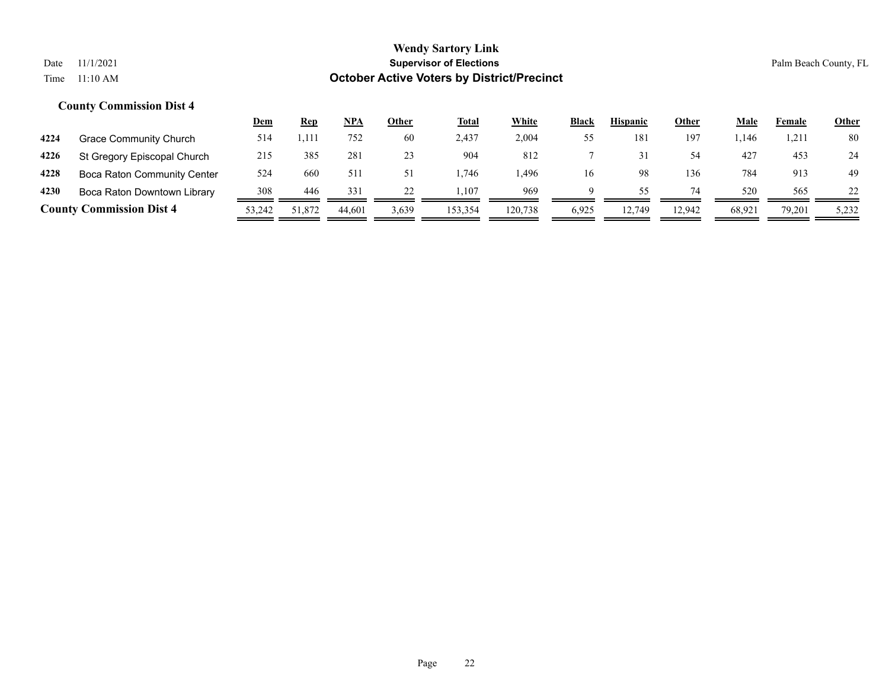|      |                                 | <u>Dem</u> | <u>Rep</u> | <u>NPA</u> | <b>Other</b> | <b>Total</b> | White    | <b>Black</b> | <b>Hispanic</b> | <u>Other</u> | <u>Male</u> | Female | <b>Other</b> |
|------|---------------------------------|------------|------------|------------|--------------|--------------|----------|--------------|-----------------|--------------|-------------|--------|--------------|
| 4224 | <b>Grace Community Church</b>   | 514        | 1.111      | 752        | 60           | 2.437        | 2,004    | 55           | 18              | 197          | .,146       | 1.211  | 80           |
| 4226 | St Gregory Episcopal Church     | 215        | 385        | 281        | 23           | 904          | 812      |              |                 | 54           | 427         | 453    | 24           |
| 4228 | Boca Raton Community Center     | 524        | 660        | 511        |              | .746         | . 496. . | 16           | 98              | 136          | 784         | 913    | -49          |
| 4230 | Boca Raton Downtown Library     | 308        | 446        | 331        | 22           | 1.107        | 969      | Q            | 55              | 74           | 520         | 565    | 22           |
|      | <b>County Commission Dist 4</b> | 53,242     | 51,872     | 44.601     | 3,639        | 153,354      | 120.738  | 6,925        | 12.749          | 12.942       | 68.921      | 79.201 | 5,232        |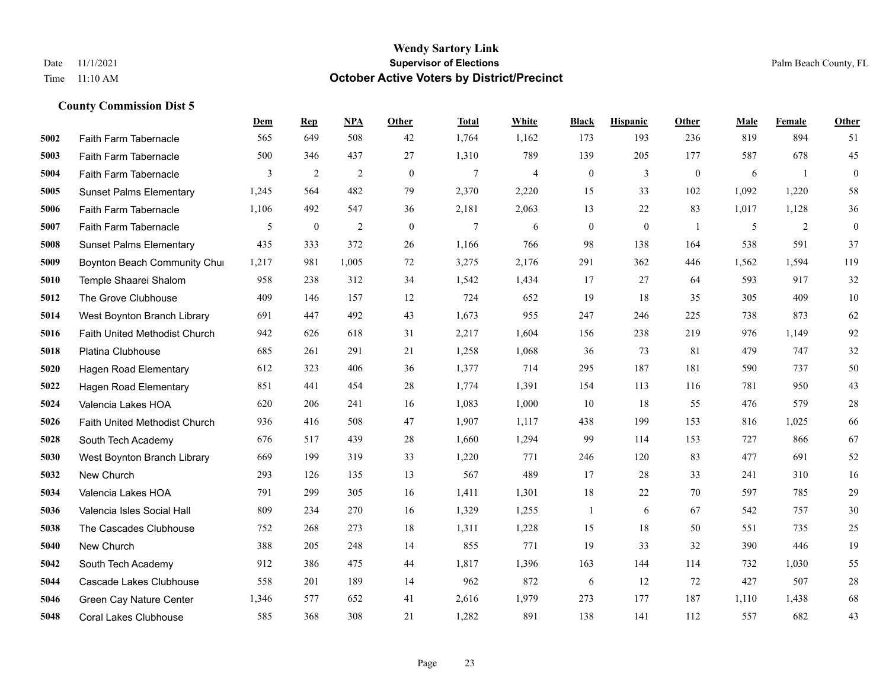#### **Wendy Sartory Link** Date 11/1/2021 **Supervisor of Elections** Palm Beach County, FL Time 11:10 AM **October Active Voters by District/Precinct**

# **Dem Rep NPA Other Total White Black Hispanic Other Male Female Other** Faith Farm Tabernacle 565 649 508 42 1,764 1,162 173 193 236 819 894 51 Faith Farm Tabernacle 500 346 437 27 1,310 789 139 205 177 587 678 45 Faith Farm Tabernacle 3 2 2 0 7 4 0 3 0 6 1 0 Sunset Palms Elementary 1,245 564 482 79 2,370 2,220 15 33 102 1,092 1,220 58 Faith Farm Tabernacle 1,106 492 547 36 2,181 2,063 13 22 83 1,017 1,128 36 Faith Farm Tabernacle 5 0 2 0 7 6 0 0 1 5 2 0 Sunset Palms Elementary 435 333 372 26 1,166 766 98 138 164 538 591 37 Boynton Beach Community Church 1,217 981 1,005 72 3,275 2,176 291 362 446 1,562 1,594 119 Temple Shaarei Shalom 958 238 312 34 1,542 1,434 17 27 64 593 917 32 The Grove Clubhouse 409 146 157 12 724 652 19 18 35 305 409 10 West Boynton Branch Library 691 447 492 43 1,673 955 247 246 225 738 873 62 Faith United Methodist Church 942 626 618 31 2,217 1,604 156 238 219 976 1,149 92 Platina Clubhouse 685 261 291 21 1,258 1,068 36 73 81 479 747 32 Hagen Road Elementary 612 323 406 36 1,377 714 295 187 181 590 737 50 Hagen Road Elementary 851 441 454 28 1,774 1,391 154 113 116 781 950 43 Valencia Lakes HOA 620 206 241 16 1,083 1,000 10 18 55 476 579 28 Faith United Methodist Church 936 416 508 47 1,907 1,117 438 199 153 816 1,025 66 South Tech Academy 676 517 439 28 1,660 1,294 99 114 153 727 866 67 West Boynton Branch Library 669 199 319 33 1,220 771 246 120 83 477 691 52 New Church 293 126 135 13 567 489 17 28 33 241 310 16 Valencia Lakes HOA 791 299 305 16 1,411 1,301 18 22 70 597 785 29 **5036** Valencia Isles Social Hall  $\begin{array}{cccc} 809 & 234 & 270 & 16 \\ 1,329 & 1,255 & 1 & 6 \\ 1,329 & 1,255 & 1 & 6 \end{array}$  The Cascades Clubhouse 752 268 273 18 1,311 1,228 15 18 50 551 735 25 New Church 388 205 248 14 855 771 19 33 32 390 446 19 South Tech Academy 912 386 475 44 1,817 1,396 163 144 114 732 1,030 55 Cascade Lakes Clubhouse 558 201 189 14 962 872 6 12 72 427 507 28 Green Cay Nature Center 1,346 577 652 41 2,616 1,979 273 177 187 1,110 1,438 68 Coral Lakes Clubhouse 585 368 308 21 1,282 891 138 141 112 557 682 43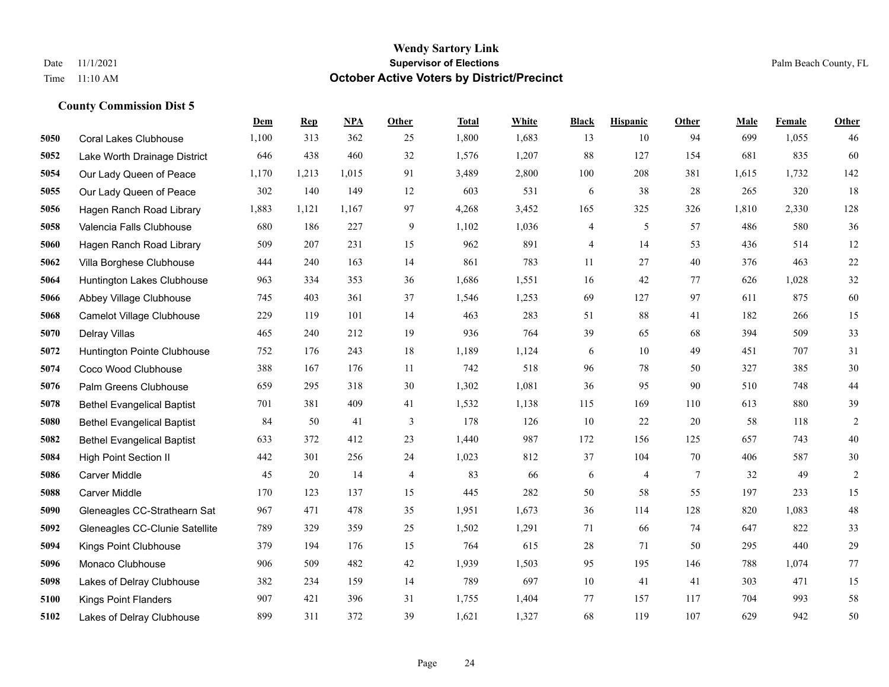|      |                                   | Dem   | <b>Rep</b> | NPA   | <b>Other</b>   | <b>Total</b> | <b>White</b> | <b>Black</b> | <b>Hispanic</b> | <b>Other</b>   | <b>Male</b> | Female | <b>Other</b>   |
|------|-----------------------------------|-------|------------|-------|----------------|--------------|--------------|--------------|-----------------|----------------|-------------|--------|----------------|
| 5050 | <b>Coral Lakes Clubhouse</b>      | 1,100 | 313        | 362   | 25             | 1,800        | 1,683        | 13           | 10              | 94             | 699         | 1,055  | 46             |
| 5052 | Lake Worth Drainage District      | 646   | 438        | 460   | 32             | 1,576        | 1,207        | 88           | 127             | 154            | 681         | 835    | 60             |
| 5054 | Our Lady Queen of Peace           | 1,170 | 1,213      | 1,015 | 91             | 3,489        | 2,800        | 100          | 208             | 381            | 1,615       | 1,732  | 142            |
| 5055 | Our Lady Queen of Peace           | 302   | 140        | 149   | 12             | 603          | 531          | 6            | 38              | 28             | 265         | 320    | 18             |
| 5056 | Hagen Ranch Road Library          | 1,883 | 1,121      | 1,167 | 97             | 4,268        | 3,452        | 165          | 325             | 326            | 1,810       | 2,330  | 128            |
| 5058 | Valencia Falls Clubhouse          | 680   | 186        | 227   | 9              | 1,102        | 1,036        | 4            | 5               | 57             | 486         | 580    | 36             |
| 5060 | Hagen Ranch Road Library          | 509   | 207        | 231   | 15             | 962          | 891          | 4            | 14              | 53             | 436         | 514    | 12             |
| 5062 | Villa Borghese Clubhouse          | 444   | 240        | 163   | 14             | 861          | 783          | 11           | 27              | 40             | 376         | 463    | 22             |
| 5064 | Huntington Lakes Clubhouse        | 963   | 334        | 353   | 36             | 1,686        | 1,551        | 16           | 42              | 77             | 626         | 1,028  | 32             |
| 5066 | Abbey Village Clubhouse           | 745   | 403        | 361   | 37             | 1,546        | 1,253        | 69           | 127             | 97             | 611         | 875    | 60             |
| 5068 | Camelot Village Clubhouse         | 229   | 119        | 101   | 14             | 463          | 283          | 51           | 88              | 41             | 182         | 266    | 15             |
| 5070 | Delray Villas                     | 465   | 240        | 212   | 19             | 936          | 764          | 39           | 65              | 68             | 394         | 509    | 33             |
| 5072 | Huntington Pointe Clubhouse       | 752   | 176        | 243   | 18             | 1,189        | 1,124        | 6            | 10              | 49             | 451         | 707    | 31             |
| 5074 | Coco Wood Clubhouse               | 388   | 167        | 176   | 11             | 742          | 518          | 96           | 78              | 50             | 327         | 385    | $30\,$         |
| 5076 | Palm Greens Clubhouse             | 659   | 295        | 318   | 30             | 1,302        | 1,081        | 36           | 95              | 90             | 510         | 748    | 44             |
| 5078 | <b>Bethel Evangelical Baptist</b> | 701   | 381        | 409   | 41             | 1,532        | 1,138        | 115          | 169             | 110            | 613         | 880    | 39             |
| 5080 | <b>Bethel Evangelical Baptist</b> | 84    | 50         | 41    | 3              | 178          | 126          | 10           | 22              | 20             | 58          | 118    | $\overline{2}$ |
| 5082 | <b>Bethel Evangelical Baptist</b> | 633   | 372        | 412   | 23             | 1,440        | 987          | 172          | 156             | 125            | 657         | 743    | $40\,$         |
| 5084 | <b>High Point Section II</b>      | 442   | 301        | 256   | 24             | 1,023        | 812          | 37           | 104             | 70             | 406         | 587    | $30\,$         |
| 5086 | <b>Carver Middle</b>              | 45    | 20         | 14    | $\overline{4}$ | 83           | 66           | 6            | $\overline{4}$  | $\overline{7}$ | 32          | 49     | $\overline{2}$ |
| 5088 | Carver Middle                     | 170   | 123        | 137   | 15             | 445          | 282          | 50           | 58              | 55             | 197         | 233    | 15             |
| 5090 | Gleneagles CC-Strathearn Sat      | 967   | 471        | 478   | 35             | 1,951        | 1,673        | 36           | 114             | 128            | 820         | 1,083  | $48\,$         |
| 5092 | Gleneagles CC-Clunie Satellite    | 789   | 329        | 359   | 25             | 1,502        | 1,291        | 71           | 66              | 74             | 647         | 822    | 33             |
| 5094 | Kings Point Clubhouse             | 379   | 194        | 176   | 15             | 764          | 615          | 28           | 71              | 50             | 295         | 440    | 29             |
| 5096 | Monaco Clubhouse                  | 906   | 509        | 482   | 42             | 1,939        | 1,503        | 95           | 195             | 146            | 788         | 1,074  | 77             |
| 5098 | Lakes of Delray Clubhouse         | 382   | 234        | 159   | 14             | 789          | 697          | 10           | 41              | 41             | 303         | 471    | 15             |
| 5100 | <b>Kings Point Flanders</b>       | 907   | 421        | 396   | 31             | 1,755        | 1,404        | 77           | 157             | 117            | 704         | 993    | 58             |
| 5102 | Lakes of Delray Clubhouse         | 899   | 311        | 372   | 39             | 1,621        | 1,327        | 68           | 119             | 107            | 629         | 942    | 50             |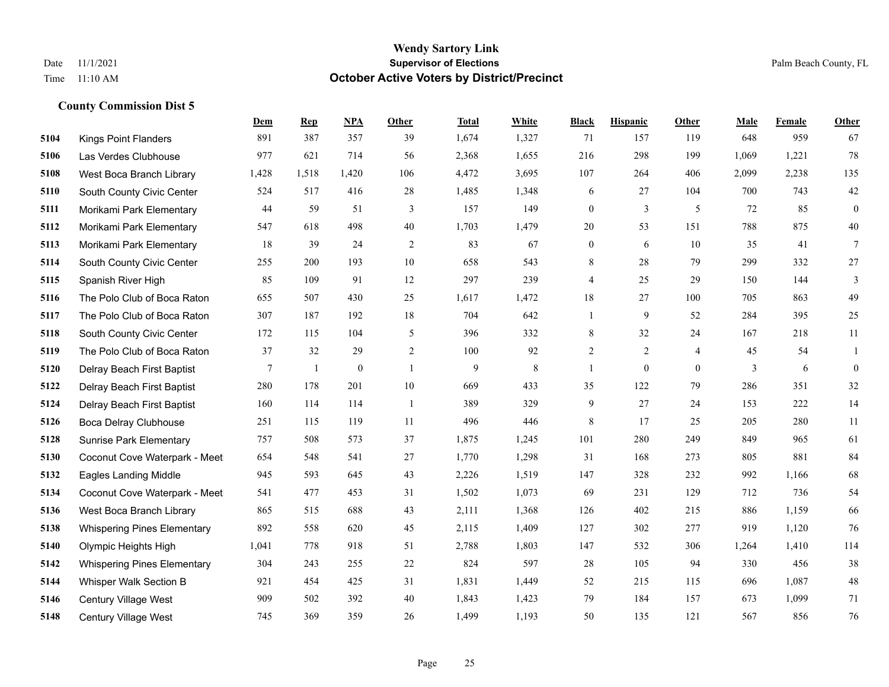|      |                                    | Dem    | <b>Rep</b> | NPA              | <b>Other</b>   | <b>Total</b> | White       | <b>Black</b>     | <b>Hispanic</b> | <b>Other</b>   | <b>Male</b> | <b>Female</b> | <b>Other</b>     |
|------|------------------------------------|--------|------------|------------------|----------------|--------------|-------------|------------------|-----------------|----------------|-------------|---------------|------------------|
| 5104 | <b>Kings Point Flanders</b>        | 891    | 387        | 357              | 39             | 1,674        | 1,327       | 71               | 157             | 119            | 648         | 959           | 67               |
| 5106 | Las Verdes Clubhouse               | 977    | 621        | 714              | 56             | 2,368        | 1,655       | 216              | 298             | 199            | 1.069       | 1,221         | 78               |
| 5108 | West Boca Branch Library           | 1,428  | 1,518      | 1,420            | 106            | 4,472        | 3,695       | 107              | 264             | 406            | 2,099       | 2,238         | 135              |
| 5110 | South County Civic Center          | 524    | 517        | 416              | 28             | 1,485        | 1,348       | 6                | 27              | 104            | 700         | 743           | $42\,$           |
| 5111 | Morikami Park Elementary           | 44     | 59         | 51               | 3              | 157          | 149         | $\mathbf{0}$     | 3               | 5              | 72          | 85            | $\boldsymbol{0}$ |
| 5112 | Morikami Park Elementary           | 547    | 618        | 498              | 40             | 1,703        | 1,479       | 20               | 53              | 151            | 788         | 875           | $40\,$           |
| 5113 | Morikami Park Elementary           | 18     | 39         | 24               | $\overline{c}$ | 83           | 67          | $\boldsymbol{0}$ | 6               | 10             | 35          | 41            | $\tau$           |
| 5114 | South County Civic Center          | 255    | 200        | 193              | 10             | 658          | 543         | 8                | 28              | 79             | 299         | 332           | 27               |
| 5115 | Spanish River High                 | 85     | 109        | 91               | 12             | 297          | 239         | 4                | 25              | 29             | 150         | 144           | 3                |
| 5116 | The Polo Club of Boca Raton        | 655    | 507        | 430              | 25             | 1,617        | 1,472       | 18               | 27              | 100            | 705         | 863           | 49               |
| 5117 | The Polo Club of Boca Raton        | 307    | 187        | 192              | 18             | 704          | 642         | 1                | 9               | 52             | 284         | 395           | 25               |
| 5118 | South County Civic Center          | 172    | 115        | 104              | 5              | 396          | 332         | 8                | 32              | 24             | 167         | 218           | 11               |
| 5119 | The Polo Club of Boca Raton        | 37     | 32         | 29               | 2              | 100          | 92          | $\overline{c}$   | $\overline{2}$  | $\overline{4}$ | 45          | 54            | 1                |
| 5120 | Delray Beach First Baptist         | $\tau$ | 1          | $\boldsymbol{0}$ | $\overline{1}$ | 9            | $\,$ 8 $\,$ | 1                | $\mathbf{0}$    | $\mathbf{0}$   | 3           | 6             | $\mathbf{0}$     |
| 5122 | Delray Beach First Baptist         | 280    | 178        | 201              | 10             | 669          | 433         | 35               | 122             | 79             | 286         | 351           | 32               |
| 5124 | Delray Beach First Baptist         | 160    | 114        | 114              | -1             | 389          | 329         | 9                | 27              | 24             | 153         | 222           | 14               |
| 5126 | Boca Delray Clubhouse              | 251    | 115        | 119              | 11             | 496          | 446         | 8                | 17              | 25             | 205         | 280           | 11               |
| 5128 | <b>Sunrise Park Elementary</b>     | 757    | 508        | 573              | 37             | 1,875        | 1,245       | 101              | 280             | 249            | 849         | 965           | 61               |
| 5130 | Coconut Cove Waterpark - Meet      | 654    | 548        | 541              | 27             | 1,770        | 1,298       | 31               | 168             | 273            | 805         | 881           | 84               |
| 5132 | <b>Eagles Landing Middle</b>       | 945    | 593        | 645              | 43             | 2,226        | 1,519       | 147              | 328             | 232            | 992         | 1,166         | 68               |
| 5134 | Coconut Cove Waterpark - Meet      | 541    | 477        | 453              | 31             | 1,502        | 1,073       | 69               | 231             | 129            | 712         | 736           | 54               |
| 5136 | West Boca Branch Library           | 865    | 515        | 688              | 43             | 2,111        | 1,368       | 126              | 402             | 215            | 886         | 1,159         | 66               |
| 5138 | <b>Whispering Pines Elementary</b> | 892    | 558        | 620              | 45             | 2,115        | 1,409       | 127              | 302             | 277            | 919         | 1,120         | 76               |
| 5140 | Olympic Heights High               | 1,041  | 778        | 918              | 51             | 2,788        | 1,803       | 147              | 532             | 306            | 1,264       | 1,410         | 114              |
| 5142 | <b>Whispering Pines Elementary</b> | 304    | 243        | 255              | 22             | 824          | 597         | 28               | 105             | 94             | 330         | 456           | 38               |
| 5144 | Whisper Walk Section B             | 921    | 454        | 425              | 31             | 1,831        | 1,449       | 52               | 215             | 115            | 696         | 1,087         | $48\,$           |
| 5146 | <b>Century Village West</b>        | 909    | 502        | 392              | 40             | 1,843        | 1,423       | 79               | 184             | 157            | 673         | 1,099         | 71               |
| 5148 | <b>Century Village West</b>        | 745    | 369        | 359              | 26             | 1,499        | 1,193       | 50               | 135             | 121            | 567         | 856           | 76               |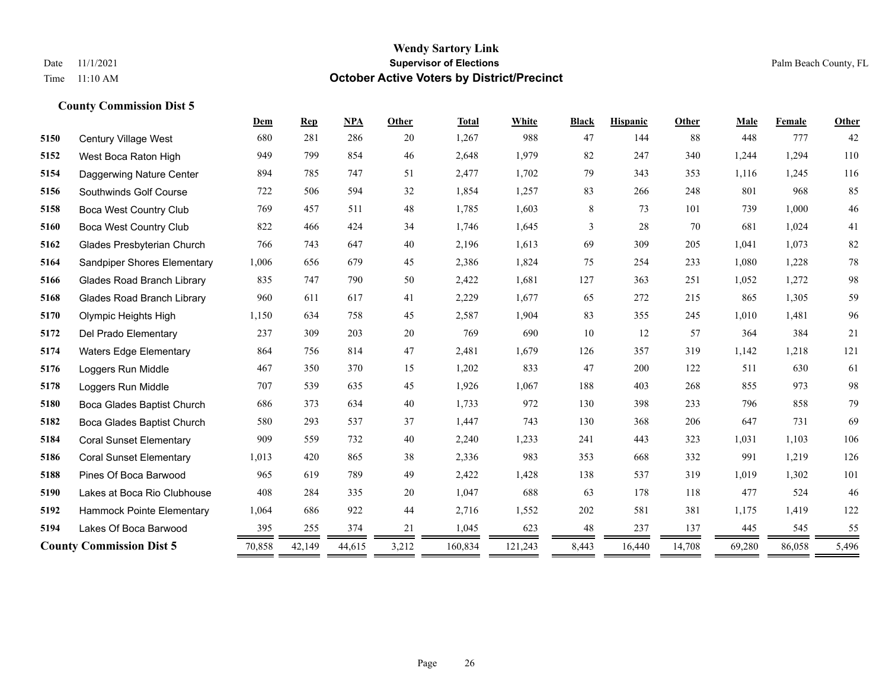|      |                                    | Dem    | <b>Rep</b> | NPA    | Other | <b>Total</b> | White   | <b>Black</b> | <b>Hispanic</b> | Other  | Male   | Female | <b>Other</b> |
|------|------------------------------------|--------|------------|--------|-------|--------------|---------|--------------|-----------------|--------|--------|--------|--------------|
| 5150 | Century Village West               | 680    | 281        | 286    | 20    | 1,267        | 988     | 47           | 144             | 88     | 448    | 777    | 42           |
| 5152 | West Boca Raton High               | 949    | 799        | 854    | 46    | 2,648        | 1,979   | 82           | 247             | 340    | 1,244  | 1,294  | 110          |
| 5154 | Daggerwing Nature Center           | 894    | 785        | 747    | 51    | 2,477        | 1,702   | 79           | 343             | 353    | 1,116  | 1,245  | 116          |
| 5156 | Southwinds Golf Course             | 722    | 506        | 594    | 32    | 1,854        | 1,257   | 83           | 266             | 248    | 801    | 968    | 85           |
| 5158 | <b>Boca West Country Club</b>      | 769    | 457        | 511    | 48    | 1,785        | 1,603   | 8            | 73              | 101    | 739    | 1,000  | $46\,$       |
| 5160 | <b>Boca West Country Club</b>      | 822    | 466        | 424    | 34    | 1,746        | 1,645   | 3            | 28              | 70     | 681    | 1,024  | 41           |
| 5162 | Glades Presbyterian Church         | 766    | 743        | 647    | 40    | 2,196        | 1,613   | 69           | 309             | 205    | 1.041  | 1,073  | 82           |
| 5164 | <b>Sandpiper Shores Elementary</b> | 1,006  | 656        | 679    | 45    | 2,386        | 1,824   | 75           | 254             | 233    | 1.080  | 1,228  | $78\,$       |
| 5166 | <b>Glades Road Branch Library</b>  | 835    | 747        | 790    | 50    | 2,422        | 1,681   | 127          | 363             | 251    | 1,052  | 1,272  | $98\,$       |
| 5168 | <b>Glades Road Branch Library</b>  | 960    | 611        | 617    | 41    | 2,229        | 1,677   | 65           | 272             | 215    | 865    | 1,305  | 59           |
| 5170 | Olympic Heights High               | 1,150  | 634        | 758    | 45    | 2,587        | 1,904   | 83           | 355             | 245    | 1,010  | 1,481  | 96           |
| 5172 | Del Prado Elementary               | 237    | 309        | 203    | 20    | 769          | 690     | 10           | 12              | 57     | 364    | 384    | 21           |
| 5174 | <b>Waters Edge Elementary</b>      | 864    | 756        | 814    | 47    | 2,481        | 1,679   | 126          | 357             | 319    | 1,142  | 1,218  | 121          |
| 5176 | Loggers Run Middle                 | 467    | 350        | 370    | 15    | 1,202        | 833     | 47           | 200             | 122    | 511    | 630    | 61           |
| 5178 | Loggers Run Middle                 | 707    | 539        | 635    | 45    | 1,926        | 1,067   | 188          | 403             | 268    | 855    | 973    | 98           |
| 5180 | Boca Glades Baptist Church         | 686    | 373        | 634    | 40    | 1,733        | 972     | 130          | 398             | 233    | 796    | 858    | 79           |
| 5182 | Boca Glades Baptist Church         | 580    | 293        | 537    | 37    | 1,447        | 743     | 130          | 368             | 206    | 647    | 731    | 69           |
| 5184 | <b>Coral Sunset Elementary</b>     | 909    | 559        | 732    | 40    | 2,240        | 1,233   | 241          | 443             | 323    | 1,031  | 1,103  | 106          |
| 5186 | <b>Coral Sunset Elementary</b>     | 1,013  | 420        | 865    | 38    | 2,336        | 983     | 353          | 668             | 332    | 991    | 1,219  | 126          |
| 5188 | Pines Of Boca Barwood              | 965    | 619        | 789    | 49    | 2,422        | 1,428   | 138          | 537             | 319    | 1,019  | 1,302  | 101          |
| 5190 | Lakes at Boca Rio Clubhouse        | 408    | 284        | 335    | 20    | 1,047        | 688     | 63           | 178             | 118    | 477    | 524    | 46           |
| 5192 | Hammock Pointe Elementary          | 1,064  | 686        | 922    | 44    | 2,716        | 1,552   | 202          | 581             | 381    | 1,175  | 1,419  | 122          |
| 5194 | Lakes Of Boca Barwood              | 395    | 255        | 374    | 21    | 1,045        | 623     | 48           | 237             | 137    | 445    | 545    | 55           |
|      | <b>County Commission Dist 5</b>    | 70,858 | 42,149     | 44,615 | 3,212 | 160,834      | 121,243 | 8,443        | 16,440          | 14,708 | 69,280 | 86,058 | 5,496        |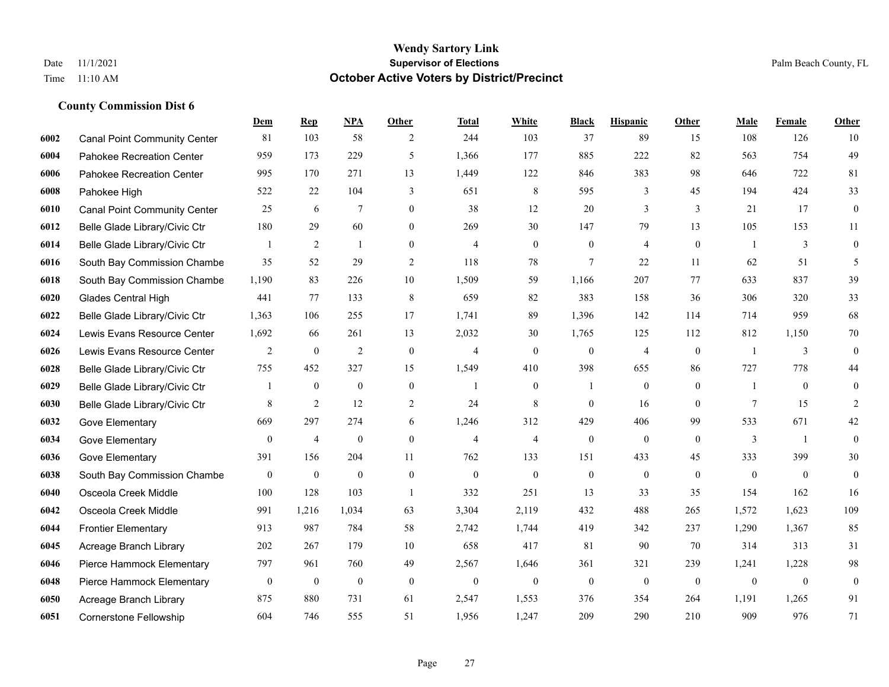#### **Wendy Sartory Link** Date 11/1/2021 **Supervisor of Elections** Palm Beach County, FL Time 11:10 AM **October Active Voters by District/Precinct**

# **Dem Rep NPA Other Total White Black Hispanic Other Male Female Other** Canal Point Community Center 81 103 58 2 244 103 37 89 15 108 126 10 Pahokee Recreation Center 959 173 229 5 1,366 177 885 222 82 563 754 49 Pahokee Recreation Center 995 170 271 13 1,449 122 846 383 98 646 722 81 Pahokee High 522 22 104 3 651 8 595 3 45 194 424 33 Canal Point Community Center 25 6 7 0 38 12 20 3 3 21 17 0 Belle Glade Library/Civic Ctr 180 29 60 0 269 30 147 79 13 105 153 11 Belle Glade Library/Civic Ctr  $\begin{array}{cccccccc} 1 & 2 & 1 & 0 & 4 & 0 & 0 & 4 & 0 & 1 & 3 & 0 \end{array}$  South Bay Commission Chambe 35 52 29 2 118 78 7 22 11 62 51 5 South Bay Commission Chambe 1,190 83 226 10 1,509 59 1,166 207 77 633 837 39 Glades Central High 441 77 133 8 659 82 383 158 36 306 320 33 Belle Glade Library/Civic Ctr 1,363 106 255 17 1,741 89 1,396 142 114 714 959 68 Lewis Evans Resource Center 1,692 66 261 13 2,032 30 1,765 125 112 812 1,150 70 Lewis Evans Resource Center  $\begin{array}{ccccccccccccc}\n2 & 0 & 2 & 0 & 4 & 0 & 4 & 0 & 1 & 3 & 0\n\end{array}$  Belle Glade Library/Civic Ctr 755 452 327 15 1,549 410 398 655 86 727 778 44 Belle Glade Library/Civic Ctr 1 0 0 0 1 0 1 0 0 1 0 0 Belle Glade Library/Civic Ctr 8 2 12 2 24 8 0 16 0 7 15 2 Gove Elementary 669 297 274 6 1,246 312 429 406 99 533 671 42 Gove Elementary 0 4 0 4 4 0 0 0 3 1 0 Gove Elementary 391 156 204 11 762 133 151 433 45 333 399 30 South Bay Commission Chambers 0 0 0 0 0 0 0 0 0 0 0 0 Osceola Creek Middle 100 128 103 1 332 251 13 33 35 154 162 16 Osceola Creek Middle 991 1,216 1,034 63 3,304 2,119 432 488 265 1,572 1,623 109 Frontier Elementary 913 987 784 58 2,742 1,744 419 342 237 1,290 1,367 85 Acreage Branch Library 202 267 179 10 658 417 81 90 70 314 313 31 Pierce Hammock Elementary 797 961 760 49 2,567 1,646 361 321 239 1,241 1,228 98 Pierce Hammock Elementary 0 0 0 0 0 0 0 0 0 0 0 0 Acreage Branch Library 875 880 731 61 2,547 1,553 376 354 264 1,191 1,265 91 Cornerstone Fellowship 604 746 555 51 1,956 1,247 209 290 210 909 976 71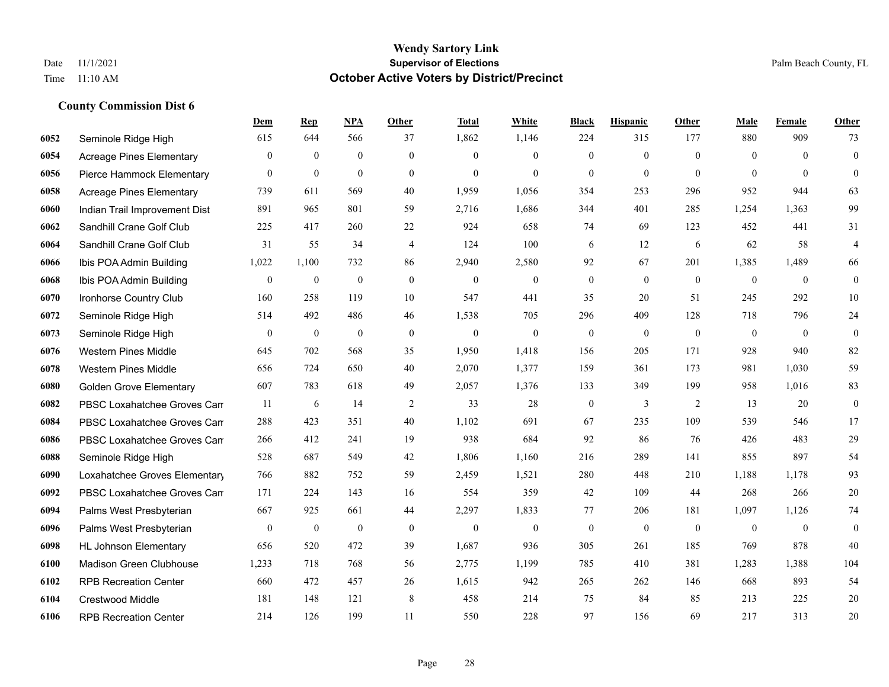## **Wendy Sartory Link** Date 11/1/2021 **Supervisor of Elections** Palm Beach County, FL Time 11:10 AM **October Active Voters by District/Precinct**

# **Dem Rep NPA Other Total White Black Hispanic Other Male Female Other** Seminole Ridge High 615 644 566 37 1,862 1,146 224 315 177 880 909 73 Acreage Pines Elementary 0 0 0 0 0 0 0 0 0 0 0 0 Pierce Hammock Elementary 0 0 0 0 0 0 0 0 0 0 0 0 Acreage Pines Elementary 739 611 569 40 1,959 1,056 354 253 296 952 944 63 Indian Trail Improvement Dist 891 965 801 59 2,716 1,686 344 401 285 1,254 1,363 99 Sandhill Crane Golf Club 225 417 260 22 924 658 74 69 123 452 441 31 Sandhill Crane Golf Club 31 55 34 4 124 100 6 12 6 62 58 4 Ibis POA Admin Building 1,022 1,100 732 86 2,940 2,580 92 67 201 1,385 1,489 66 Ibis POA Admin Building 0 0 0 0 0 0 0 0 0 0 0 0 Ironhorse Country Club 160 258 119 10 547 441 35 20 51 245 292 10 Seminole Ridge High 514 492 486 46 1,538 705 296 409 128 718 796 24 Seminole Ridge High 0 0 0 0 0 0 0 0 0 0 0 0 Western Pines Middle 645 702 568 35 1,950 1,418 156 205 171 928 940 82 Western Pines Middle 656 724 650 40 2,070 1,377 159 361 173 981 1,030 59 Golden Grove Elementary 607 783 618 49 2,057 1,376 133 349 199 958 1,016 83 PBSC Loxahatchee Groves Can  $11$  6  $14$  2  $33$  28 0  $3$  2  $13$  20 0 PBSC Loxahatchee Groves Campus 288 423 351 40 1,102 691 67 235 109 539 546 17 PBSC Loxahatchee Groves Campus 266 412 241 19 938 684 92 86 76 426 483 29 Seminole Ridge High 528 687 549 42 1,806 1,160 216 289 141 855 897 54 Loxahatchee Groves Elementary 766 882 752 59 2,459 1,521 280 448 210 1,188 1,178 93 PBSC Loxahatchee Groves Campus 171 224 143 16 554 359 42 109 44 268 266 20 Palms West Presbyterian 667 925 661 44 2,297 1,833 77 206 181 1,097 1,126 74 Palms West Presbyterian 0 0 0 0 0 0 0 0 0 0 0 0 HL Johnson Elementary 656 520 472 39 1,687 936 305 261 185 769 878 40 Madison Green Clubhouse 1,233 718 768 56 2,775 1,199 785 410 381 1,283 1,388 104 RPB Recreation Center 660 472 457 26 1,615 942 265 262 146 668 893 54 Crestwood Middle 181 148 121 8 458 214 75 84 85 213 225 20 RPB Recreation Center 214 126 199 11 550 228 97 156 69 217 313 20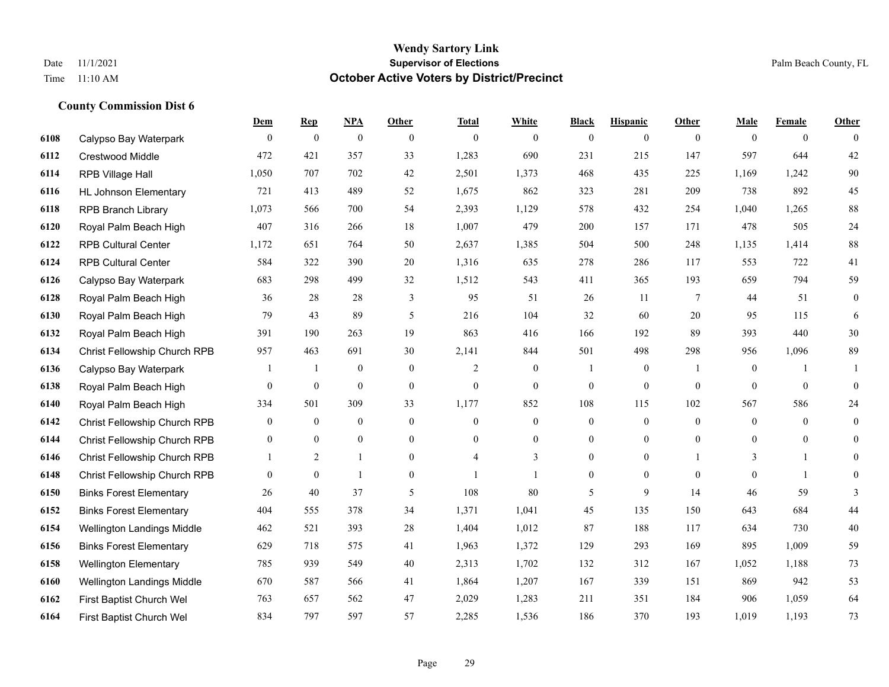## **Wendy Sartory Link** Date 11/1/2021 **Supervisor of Elections** Palm Beach County, FL Time 11:10 AM **October Active Voters by District/Precinct**

|      |                                | Dem            | <b>Rep</b>       | NPA              | Other            | <b>Total</b>     | White          | <b>Black</b>   | <b>Hispanic</b> | Other            | Male         | Female         | <b>Other</b>   |
|------|--------------------------------|----------------|------------------|------------------|------------------|------------------|----------------|----------------|-----------------|------------------|--------------|----------------|----------------|
| 6108 | Calypso Bay Waterpark          | $\theta$       | $\mathbf{0}$     | $\boldsymbol{0}$ | $\theta$         | $\mathbf{0}$     | $\theta$       | $\overline{0}$ | $\overline{0}$  | $\theta$         | $\theta$     | $\overline{0}$ | $\theta$       |
| 6112 | <b>Crestwood Middle</b>        | 472            | 421              | 357              | 33               | 1,283            | 690            | 231            | 215             | 147              | 597          | 644            | 42             |
| 6114 | RPB Village Hall               | 1,050          | 707              | 702              | 42               | 2,501            | 1,373          | 468            | 435             | 225              | 1,169        | 1,242          | 90             |
| 6116 | <b>HL Johnson Elementary</b>   | 721            | 413              | 489              | 52               | 1,675            | 862            | 323            | 281             | 209              | 738          | 892            | 45             |
| 6118 | <b>RPB Branch Library</b>      | 1,073          | 566              | 700              | 54               | 2,393            | 1,129          | 578            | 432             | 254              | 1,040        | 1,265          | $88\,$         |
| 6120 | Royal Palm Beach High          | 407            | 316              | 266              | 18               | 1,007            | 479            | 200            | 157             | 171              | 478          | 505            | 24             |
| 6122 | <b>RPB Cultural Center</b>     | 1,172          | 651              | 764              | 50               | 2,637            | 1,385          | 504            | 500             | 248              | 1,135        | 1,414          | 88             |
| 6124 | <b>RPB Cultural Center</b>     | 584            | 322              | 390              | 20               | 1,316            | 635            | 278            | 286             | 117              | 553          | 722            | 41             |
| 6126 | Calypso Bay Waterpark          | 683            | 298              | 499              | 32               | 1,512            | 543            | 411            | 365             | 193              | 659          | 794            | 59             |
| 6128 | Royal Palm Beach High          | 36             | 28               | 28               | 3                | 95               | 51             | 26             | 11              | 7                | 44           | 51             | $\overline{0}$ |
| 6130 | Royal Palm Beach High          | 79             | 43               | 89               | 5                | 216              | 104            | 32             | 60              | 20               | 95           | 115            | 6              |
| 6132 | Royal Palm Beach High          | 391            | 190              | 263              | 19               | 863              | 416            | 166            | 192             | 89               | 393          | 440            | 30             |
| 6134 | Christ Fellowship Church RPB   | 957            | 463              | 691              | 30               | 2,141            | 844            | 501            | 498             | 298              | 956          | 1,096          | 89             |
| 6136 | Calypso Bay Waterpark          | $\overline{1}$ | $\mathbf{1}$     | $\boldsymbol{0}$ | $\mathbf{0}$     | $\mathfrak{2}$   | $\mathbf{0}$   | $\mathbf{1}$   | $\overline{0}$  | $\mathbf{1}$     | $\mathbf{0}$ | 1              |                |
| 6138 | Royal Palm Beach High          | $\mathbf{0}$   | $\boldsymbol{0}$ | $\overline{0}$   | $\boldsymbol{0}$ | $\boldsymbol{0}$ | $\mathbf{0}$   | $\overline{0}$ | $\overline{0}$  | $\boldsymbol{0}$ | $\mathbf{0}$ | $\overline{0}$ | $\overline{0}$ |
| 6140 | Royal Palm Beach High          | 334            | 501              | 309              | 33               | 1,177            | 852            | 108            | 115             | 102              | 567          | 586            | 24             |
| 6142 | Christ Fellowship Church RPB   | $\theta$       | $\mathbf{0}$     | $\overline{0}$   | $\mathbf{0}$     | $\overline{0}$   | $\mathbf{0}$   | $\overline{0}$ | $\overline{0}$  | $\theta$         | $\theta$     | $\theta$       | $\overline{0}$ |
| 6144 | Christ Fellowship Church RPB   | $\overline{0}$ | 0                | $\overline{0}$   | $\mathbf{0}$     | $\theta$         | $\overline{0}$ | 0              | $\overline{0}$  | $\theta$         | $\mathbf{0}$ | $\theta$       | $\overline{0}$ |
| 6146 | Christ Fellowship Church RPB   |                | 2                | $\mathbf{1}$     | $\theta$         | $\overline{4}$   | 3              | 0              | $\overline{0}$  | $\mathbf{1}$     | 3            | $\mathbf{1}$   | $\overline{0}$ |
| 6148 | Christ Fellowship Church RPB   | $\theta$       | $\overline{0}$   | 1                | $\boldsymbol{0}$ |                  |                | $\overline{0}$ | $\overline{0}$  | $\mathbf{0}$     | $\theta$     | $\mathbf{1}$   | $\Omega$       |
| 6150 | <b>Binks Forest Elementary</b> | 26             | 40               | 37               | 5                | 108              | 80             | 5              | 9               | 14               | 46           | 59             | 3              |
| 6152 | <b>Binks Forest Elementary</b> | 404            | 555              | 378              | 34               | 1,371            | 1,041          | 45             | 135             | 150              | 643          | 684            | 44             |
| 6154 | Wellington Landings Middle     | 462            | 521              | 393              | 28               | 1,404            | 1,012          | 87             | 188             | 117              | 634          | 730            | $40\,$         |
| 6156 | <b>Binks Forest Elementary</b> | 629            | 718              | 575              | 41               | 1,963            | 1,372          | 129            | 293             | 169              | 895          | 1,009          | 59             |
| 6158 | <b>Wellington Elementary</b>   | 785            | 939              | 549              | 40               | 2,313            | 1,702          | 132            | 312             | 167              | 1,052        | 1,188          | 73             |
| 6160 | Wellington Landings Middle     | 670            | 587              | 566              | 41               | 1,864            | 1,207          | 167            | 339             | 151              | 869          | 942            | 53             |
| 6162 | First Baptist Church Wel       | 763            | 657              | 562              | 47               | 2,029            | 1,283          | 211            | 351             | 184              | 906          | 1,059          | 64             |
| 6164 | First Baptist Church Wel       | 834            | 797              | 597              | 57               | 2,285            | 1,536          | 186            | 370             | 193              | 1.019        | 1.193          | 73             |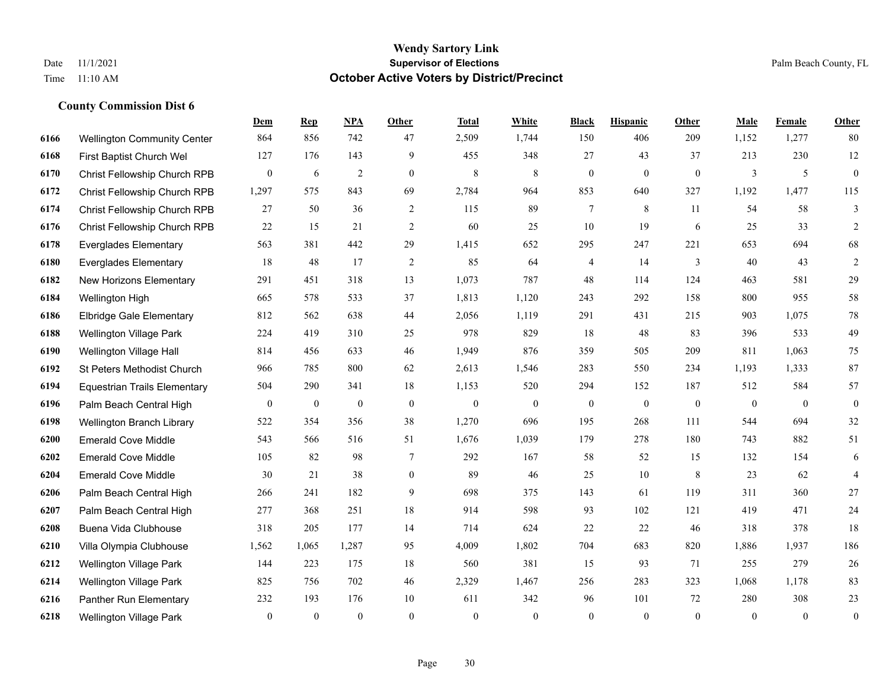|      |                                     | Dem              | <b>Rep</b>       | NPA              | <b>Other</b>   | <b>Total</b>     | White            | <b>Black</b>     | <b>Hispanic</b>  | <b>Other</b> | <b>Male</b>    | <b>Female</b>  | <b>Other</b>     |
|------|-------------------------------------|------------------|------------------|------------------|----------------|------------------|------------------|------------------|------------------|--------------|----------------|----------------|------------------|
| 6166 | <b>Wellington Community Center</b>  | 864              | 856              | 742              | 47             | 2,509            | 1,744            | 150              | 406              | 209          | 1,152          | 1,277          | 80               |
| 6168 | First Baptist Church Wel            | 127              | 176              | 143              | 9              | 455              | 348              | 27               | 43               | 37           | 213            | 230            | 12               |
| 6170 | Christ Fellowship Church RPB        | $\mathbf{0}$     | 6                | $\sqrt{2}$       | $\overline{0}$ | $\,$ 8 $\,$      | 8                | $\boldsymbol{0}$ | $\boldsymbol{0}$ | $\mathbf{0}$ | 3              | 5              | $\boldsymbol{0}$ |
| 6172 | Christ Fellowship Church RPB        | 1,297            | 575              | 843              | 69             | 2,784            | 964              | 853              | 640              | 327          | 1,192          | 1,477          | 115              |
| 6174 | Christ Fellowship Church RPB        | 27               | 50               | 36               | 2              | 115              | 89               | 7                | 8                | 11           | 54             | 58             | $\mathfrak{Z}$   |
| 6176 | Christ Fellowship Church RPB        | 22               | 15               | 21               | $\overline{c}$ | 60               | 25               | 10               | 19               | 6            | 25             | 33             | $\sqrt{2}$       |
| 6178 | <b>Everglades Elementary</b>        | 563              | 381              | 442              | 29             | 1,415            | 652              | 295              | 247              | 221          | 653            | 694            | 68               |
| 6180 | <b>Everglades Elementary</b>        | 18               | 48               | 17               | 2              | 85               | 64               | 4                | 14               | 3            | 40             | 43             | $\overline{2}$   |
| 6182 | New Horizons Elementary             | 291              | 451              | 318              | 13             | 1,073            | 787              | 48               | 114              | 124          | 463            | 581            | 29               |
| 6184 | Wellington High                     | 665              | 578              | 533              | 37             | 1,813            | 1,120            | 243              | 292              | 158          | 800            | 955            | 58               |
| 6186 | <b>Elbridge Gale Elementary</b>     | 812              | 562              | 638              | 44             | 2,056            | 1,119            | 291              | 431              | 215          | 903            | 1,075          | 78               |
| 6188 | <b>Wellington Village Park</b>      | 224              | 419              | 310              | 25             | 978              | 829              | 18               | 48               | 83           | 396            | 533            | 49               |
| 6190 | Wellington Village Hall             | 814              | 456              | 633              | 46             | 1,949            | 876              | 359              | 505              | 209          | 811            | 1,063          | 75               |
| 6192 | St Peters Methodist Church          | 966              | 785              | 800              | 62             | 2,613            | 1,546            | 283              | 550              | 234          | 1,193          | 1,333          | 87               |
| 6194 | <b>Equestrian Trails Elementary</b> | 504              | 290              | 341              | 18             | 1,153            | 520              | 294              | 152              | 187          | 512            | 584            | 57               |
| 6196 | Palm Beach Central High             | $\boldsymbol{0}$ | $\boldsymbol{0}$ | $\boldsymbol{0}$ | $\mathbf{0}$   | $\boldsymbol{0}$ | $\boldsymbol{0}$ | $\boldsymbol{0}$ | $\boldsymbol{0}$ | $\mathbf{0}$ | $\overline{0}$ | $\overline{0}$ | $\boldsymbol{0}$ |
| 6198 | Wellington Branch Library           | 522              | 354              | 356              | 38             | 1,270            | 696              | 195              | 268              | 111          | 544            | 694            | 32               |
| 6200 | <b>Emerald Cove Middle</b>          | 543              | 566              | 516              | 51             | 1,676            | 1,039            | 179              | 278              | 180          | 743            | 882            | 51               |
| 6202 | <b>Emerald Cove Middle</b>          | 105              | 82               | 98               | $\tau$         | 292              | 167              | 58               | 52               | 15           | 132            | 154            | $\sqrt{6}$       |
| 6204 | <b>Emerald Cove Middle</b>          | 30               | 21               | 38               | $\mathbf{0}$   | 89               | 46               | 25               | 10               | 8            | 23             | 62             | $\overline{4}$   |
| 6206 | Palm Beach Central High             | 266              | 241              | 182              | 9              | 698              | 375              | 143              | 61               | 119          | 311            | 360            | $27\,$           |
| 6207 | Palm Beach Central High             | 277              | 368              | 251              | 18             | 914              | 598              | 93               | 102              | 121          | 419            | 471            | $24\,$           |
| 6208 | Buena Vida Clubhouse                | 318              | 205              | 177              | 14             | 714              | 624              | 22               | 22               | 46           | 318            | 378            | 18               |
| 6210 | Villa Olympia Clubhouse             | 1,562            | 1,065            | 1,287            | 95             | 4,009            | 1,802            | 704              | 683              | 820          | 1,886          | 1,937          | 186              |
| 6212 | Wellington Village Park             | 144              | 223              | 175              | 18             | 560              | 381              | 15               | 93               | 71           | 255            | 279            | 26               |
| 6214 | <b>Wellington Village Park</b>      | 825              | 756              | 702              | 46             | 2,329            | 1,467            | 256              | 283              | 323          | 1,068          | 1,178          | 83               |
| 6216 | Panther Run Elementary              | 232              | 193              | 176              | 10             | 611              | 342              | 96               | 101              | 72           | 280            | 308            | $23\,$           |
| 6218 | <b>Wellington Village Park</b>      | $\mathbf{0}$     | $\mathbf{0}$     | $\theta$         | $\Omega$       | $\theta$         | $\overline{0}$   | $\mathbf{0}$     | $\mathbf{0}$     | $\theta$     | $\theta$       | $\mathbf{0}$   | $\boldsymbol{0}$ |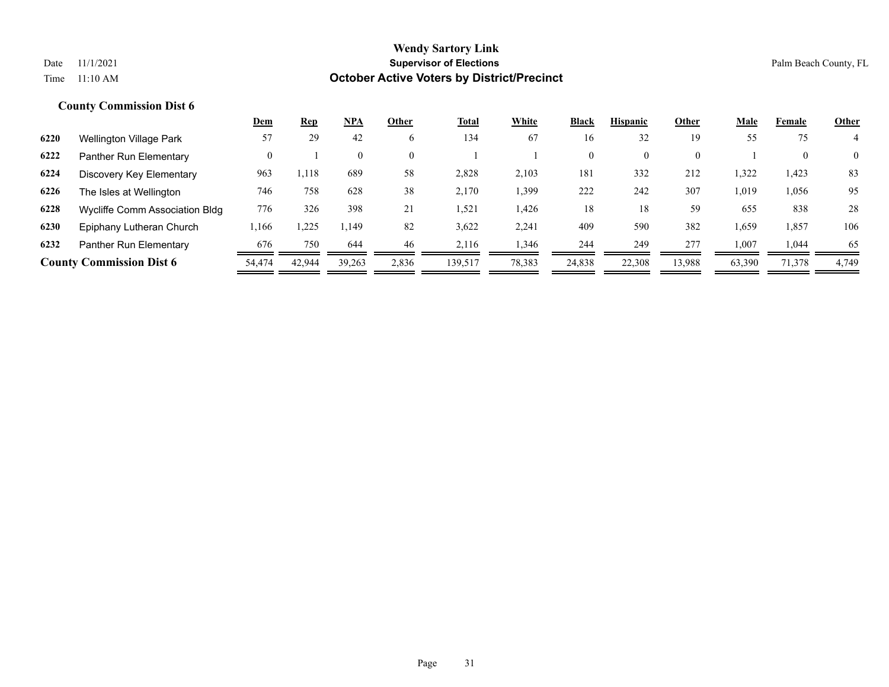|      |                                 | Dem    | <u>Rep</u> | <b>NPA</b> | Other    | <b>Total</b> | White  | <b>Black</b> | <b>Hispanic</b> | Other    | <u>Male</u> | Female   | <b>Other</b>   |
|------|---------------------------------|--------|------------|------------|----------|--------------|--------|--------------|-----------------|----------|-------------|----------|----------------|
| 6220 | Wellington Village Park         | 57     | 29         | 42         | 6        | 134          | 67     | 16           | 32              | 19       | 55          | 75       | 4              |
| 6222 | Panther Run Elementary          |        |            | $\theta$   | $\theta$ |              |        | 0            | $\theta$        | $\theta$ |             | $\theta$ | $\overline{0}$ |
| 6224 | Discovery Key Elementary        | 963    | 1,118      | 689        | 58       | 2,828        | 2,103  | 181          | 332             | 212      | 1,322       | 1,423    | 83             |
| 6226 | The Isles at Wellington         | 746    | 758        | 628        | 38       | 2,170        | 1,399  | 222          | 242             | 307      | 1,019       | 1,056    | 95             |
| 6228 | Wycliffe Comm Association Bldg  | 776    | 326        | 398        | 21       | 1,521        | 1,426  | 18           | 18              | 59       | 655         | 838      | 28             |
| 6230 | Epiphany Lutheran Church        | ,166   | .225       | 1.149      | 82       | 3,622        | 2,241  | 409          | 590             | 382      | 1,659       | 1,857    | 106            |
| 6232 | Panther Run Elementary          | 676    | 750        | 644        | 46       | 2.116        | 1,346  | 244          | 249             | 277      | 1,007       | 1,044    | -65            |
|      | <b>County Commission Dist 6</b> | 54,474 | 42.944     | 39,263     | 2,836    | 139,517      | 78,383 | 24,838       | 22,308          | 13,988   | 63,390      | 71,378   | 4,749          |
|      |                                 |        |            |            |          |              |        |              |                 |          |             |          |                |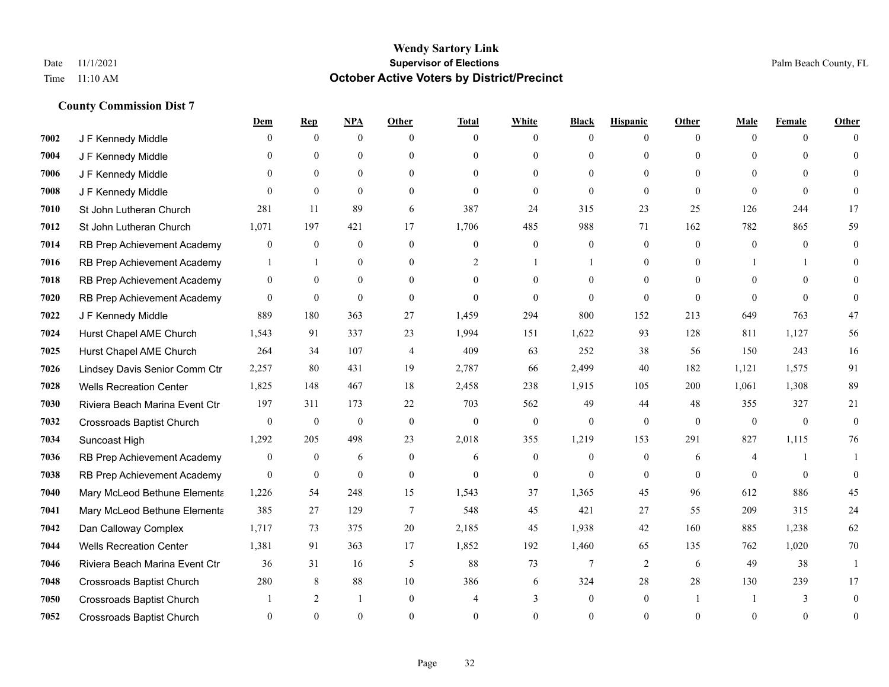|      |                                  | Dem              | <b>Rep</b>       | NPA              | <b>Other</b>     | <b>Total</b>     | <b>White</b>     | <b>Black</b>     | <b>Hispanic</b> | <b>Other</b> | <b>Male</b>    | <b>Female</b> | <b>Other</b>   |
|------|----------------------------------|------------------|------------------|------------------|------------------|------------------|------------------|------------------|-----------------|--------------|----------------|---------------|----------------|
| 7002 | J F Kennedy Middle               | $\mathbf{0}$     | $\mathbf{0}$     | $\mathbf{0}$     | $\theta$         | $\theta$         | $\overline{0}$   | $\Omega$         | $\overline{0}$  | $\theta$     | $\theta$       | $\theta$      | $\Omega$       |
| 7004 | J F Kennedy Middle               | $\theta$         | $\theta$         | $\theta$         | $\Omega$         | $\Omega$         | $\overline{0}$   | $\theta$         | $\theta$        | $\Omega$     | $\Omega$       | $\Omega$      | $\Omega$       |
| 7006 | J F Kennedy Middle               | $\theta$         | $\mathbf{0}$     | $\overline{0}$   | $\theta$         | $\Omega$         | $\overline{0}$   | $\Omega$         | $\Omega$        | $\Omega$     | $\theta$       | $\Omega$      |                |
| 7008 | J F Kennedy Middle               | $\Omega$         | $\mathbf{0}$     | $\mathbf{0}$     | $\overline{0}$   | $\theta$         | $\overline{0}$   | $\mathbf{0}$     | $\mathbf{0}$    | $\theta$     | $\Omega$       | $\theta$      |                |
| 7010 | St John Lutheran Church          | 281              | 11               | 89               | 6                | 387              | 24               | 315              | 23              | 25           | 126            | 244           | 17             |
| 7012 | St John Lutheran Church          | 1,071            | 197              | 421              | 17               | 1,706            | 485              | 988              | 71              | 162          | 782            | 865           | 59             |
| 7014 | RB Prep Achievement Academy      | $\boldsymbol{0}$ | $\mathbf{0}$     | $\mathbf{0}$     | $\overline{0}$   | $\theta$         | $\mathbf{0}$     | $\theta$         | $\mathbf{0}$    | $\theta$     | $\mathbf{0}$   | $\theta$      | $\overline{0}$ |
| 7016 | RB Prep Achievement Academy      | $\mathbf{1}$     | $\mathbf{1}$     | $\theta$         | $\Omega$         | 2                | $\mathbf{1}$     | 1                | $\theta$        | $\theta$     |                |               | $\Omega$       |
| 7018 | RB Prep Achievement Academy      | $\boldsymbol{0}$ | $\mathbf{0}$     | $\boldsymbol{0}$ | $\overline{0}$   | $\theta$         | $\overline{0}$   | $\mathbf{0}$     | $\mathbf{0}$    | $\Omega$     | $\theta$       | $\theta$      |                |
| 7020 | RB Prep Achievement Academy      | $\Omega$         | $\mathbf{0}$     | $\mathbf{0}$     | $\theta$         | $\theta$         | $\Omega$         | $\Omega$         | $\theta$        | $\theta$     | $\Omega$       | $\Omega$      | $\Omega$       |
| 7022 | J F Kennedy Middle               | 889              | 180              | 363              | 27               | 1,459            | 294              | 800              | 152             | 213          | 649            | 763           | 47             |
| 7024 | Hurst Chapel AME Church          | 1,543            | 91               | 337              | 23               | 1,994            | 151              | 1,622            | 93              | 128          | 811            | 1,127         | 56             |
| 7025 | Hurst Chapel AME Church          | 264              | 34               | 107              | $\overline{4}$   | 409              | 63               | 252              | 38              | 56           | 150            | 243           | 16             |
| 7026 | Lindsey Davis Senior Comm Ctr    | 2,257            | 80               | 431              | 19               | 2,787            | 66               | 2,499            | 40              | 182          | 1,121          | 1,575         | 91             |
| 7028 | <b>Wells Recreation Center</b>   | 1,825            | 148              | 467              | 18               | 2,458            | 238              | 1,915            | 105             | 200          | 1,061          | 1,308         | 89             |
| 7030 | Riviera Beach Marina Event Ctr   | 197              | 311              | 173              | 22               | 703              | 562              | 49               | 44              | 48           | 355            | 327           | 21             |
| 7032 | <b>Crossroads Baptist Church</b> | $\boldsymbol{0}$ | $\boldsymbol{0}$ | $\boldsymbol{0}$ | $\boldsymbol{0}$ | $\boldsymbol{0}$ | $\boldsymbol{0}$ | $\boldsymbol{0}$ | $\mathbf{0}$    | $\mathbf{0}$ | $\mathbf{0}$   | $\mathbf{0}$  | $\mathbf{0}$   |
| 7034 | Suncoast High                    | 1,292            | 205              | 498              | 23               | 2,018            | 355              | 1,219            | 153             | 291          | 827            | 1,115         | 76             |
| 7036 | RB Prep Achievement Academy      | $\overline{0}$   | $\boldsymbol{0}$ | 6                | $\overline{0}$   | 6                | $\overline{0}$   | $\mathbf{0}$     | $\mathbf{0}$    | 6            | $\overline{4}$ |               |                |
| 7038 | RB Prep Achievement Academy      | $\overline{0}$   | $\overline{0}$   | $\mathbf{0}$     | $\overline{0}$   | $\theta$         | $\boldsymbol{0}$ | $\mathbf{0}$     | $\mathbf{0}$    | $\theta$     | $\theta$       | $\mathbf{0}$  | $\mathbf{0}$   |
| 7040 | Mary McLeod Bethune Elementa     | 1,226            | 54               | 248              | 15               | 1,543            | 37               | 1,365            | 45              | 96           | 612            | 886           | 45             |
| 7041 | Mary McLeod Bethune Elementa     | 385              | 27               | 129              | $\tau$           | 548              | 45               | 421              | 27              | 55           | 209            | 315           | 24             |
| 7042 | Dan Calloway Complex             | 1,717            | 73               | 375              | 20               | 2,185            | 45               | 1,938            | 42              | 160          | 885            | 1,238         | 62             |
| 7044 | <b>Wells Recreation Center</b>   | 1,381            | 91               | 363              | 17               | 1,852            | 192              | 1,460            | 65              | 135          | 762            | 1,020         | 70             |
| 7046 | Riviera Beach Marina Event Ctr   | 36               | 31               | 16               | 5                | 88               | 73               | $\overline{7}$   | 2               | 6            | 49             | 38            | $\mathbf{1}$   |
| 7048 | Crossroads Baptist Church        | 280              | 8                | 88               | 10               | 386              | 6                | 324              | 28              | 28           | 130            | 239           | 17             |
| 7050 | <b>Crossroads Baptist Church</b> |                  | 2                | -1               | $\overline{0}$   | $\overline{4}$   | 3                | $\boldsymbol{0}$ | $\mathbf{0}$    |              |                | 3             | $\Omega$       |
| 7052 | <b>Crossroads Baptist Church</b> | 0                | $\Omega$         | $\theta$         | 0                | $\Omega$         | $\theta$         | $\Omega$         | $\Omega$        | $\Omega$     | $\Omega$       | $\theta$      | $\overline{0}$ |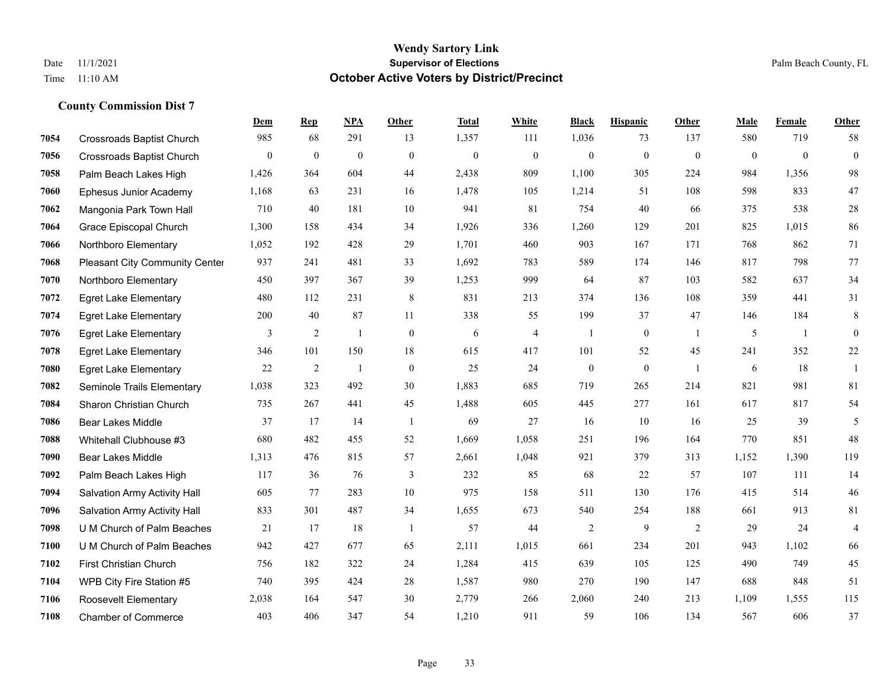## **Wendy Sartory Link** Date 11/1/2021 **Supervisor of Elections** Palm Beach County, FL Time 11:10 AM **October Active Voters by District/Precinct**

|      |                                  | Dem            | $\mathbf{Rep}$   | NPA              | Other            | <b>Total</b>     | White                   | <b>Black</b>     | <b>Hispanic</b>  | Other          | Male         | Female       | Other            |
|------|----------------------------------|----------------|------------------|------------------|------------------|------------------|-------------------------|------------------|------------------|----------------|--------------|--------------|------------------|
| 7054 | <b>Crossroads Baptist Church</b> | 985            | 68               | 291              | 13               | 1,357            | 111                     | 1,036            | 73               | 137            | 580          | 719          | 58               |
| 7056 | <b>Crossroads Baptist Church</b> | $\overline{0}$ | $\boldsymbol{0}$ | $\boldsymbol{0}$ | $\mathbf{0}$     | $\boldsymbol{0}$ | $\mathbf{0}$            | $\boldsymbol{0}$ | $\boldsymbol{0}$ | $\mathbf{0}$   | $\mathbf{0}$ | $\mathbf{0}$ | $\overline{0}$   |
| 7058 | Palm Beach Lakes High            | 1,426          | 364              | 604              | 44               | 2,438            | 809                     | 1.100            | 305              | 224            | 984          | 1.356        | 98               |
| 7060 | <b>Ephesus Junior Academy</b>    | 1,168          | 63               | 231              | 16               | 1,478            | 105                     | 1,214            | 51               | 108            | 598          | 833          | 47               |
| 7062 | Mangonia Park Town Hall          | 710            | 40               | 181              | 10               | 941              | 81                      | 754              | 40               | 66             | 375          | 538          | 28               |
| 7064 | Grace Episcopal Church           | 1,300          | 158              | 434              | 34               | 1,926            | 336                     | 1,260            | 129              | 201            | 825          | 1,015        | 86               |
| 7066 | Northboro Elementary             | 1,052          | 192              | 428              | 29               | 1,701            | 460                     | 903              | 167              | 171            | 768          | 862          | 71               |
| 7068 | Pleasant City Community Center   | 937            | 241              | 481              | 33               | 1,692            | 783                     | 589              | 174              | 146            | 817          | 798          | 77               |
| 7070 | Northboro Elementary             | 450            | 397              | 367              | 39               | 1,253            | 999                     | 64               | 87               | 103            | 582          | 637          | 34               |
| 7072 | <b>Egret Lake Elementary</b>     | 480            | 112              | 231              | 8                | 831              | 213                     | 374              | 136              | 108            | 359          | 441          | 31               |
| 7074 | <b>Egret Lake Elementary</b>     | 200            | 40               | 87               | 11               | 338              | 55                      | 199              | 37               | 47             | 146          | 184          | $\,$ 8 $\,$      |
| 7076 | <b>Egret Lake Elementary</b>     | 3              | $\sqrt{2}$       | 1                | $\boldsymbol{0}$ | $\sqrt{6}$       | $\overline{\mathbf{4}}$ | 1                | $\boldsymbol{0}$ | -1             | 5            | -1           | $\boldsymbol{0}$ |
| 7078 | <b>Egret Lake Elementary</b>     | 346            | 101              | 150              | 18               | 615              | 417                     | 101              | 52               | 45             | 241          | 352          | 22               |
| 7080 | <b>Egret Lake Elementary</b>     | 22             | $\overline{c}$   | $\mathbf{1}$     | $\mathbf{0}$     | 25               | 24                      | $\boldsymbol{0}$ | $\mathbf{0}$     | $\overline{1}$ | 6            | 18           | $\mathbf{1}$     |
| 7082 | Seminole Trails Elementary       | 1,038          | 323              | 492              | 30               | 1,883            | 685                     | 719              | 265              | 214            | 821          | 981          | 81               |
| 7084 | Sharon Christian Church          | 735            | 267              | 441              | 45               | 1,488            | 605                     | 445              | 277              | 161            | 617          | 817          | 54               |
| 7086 | <b>Bear Lakes Middle</b>         | 37             | 17               | 14               | -1               | 69               | 27                      | 16               | 10               | 16             | 25           | 39           | 5                |
| 7088 | Whitehall Clubhouse #3           | 680            | 482              | 455              | 52               | 1,669            | 1,058                   | 251              | 196              | 164            | 770          | 851          | 48               |
| 7090 | <b>Bear Lakes Middle</b>         | 1,313          | 476              | 815              | 57               | 2,661            | 1,048                   | 921              | 379              | 313            | 1,152        | 1,390        | 119              |
| 7092 | Palm Beach Lakes High            | 117            | 36               | 76               | $\mathfrak{Z}$   | 232              | 85                      | 68               | 22               | 57             | 107          | 111          | 14               |
| 7094 | Salvation Army Activity Hall     | 605            | 77               | 283              | 10               | 975              | 158                     | 511              | 130              | 176            | 415          | 514          | 46               |
| 7096 | Salvation Army Activity Hall     | 833            | 301              | 487              | 34               | 1,655            | 673                     | 540              | 254              | 188            | 661          | 913          | 81               |
| 7098 | U M Church of Palm Beaches       | 21             | 17               | 18               | -1               | 57               | 44                      | $\overline{2}$   | 9                | 2              | 29           | 24           | $\overline{4}$   |
| 7100 | U M Church of Palm Beaches       | 942            | 427              | 677              | 65               | 2,111            | 1,015                   | 661              | 234              | 201            | 943          | 1.102        | 66               |
| 7102 | <b>First Christian Church</b>    | 756            | 182              | 322              | 24               | 1,284            | 415                     | 639              | 105              | 125            | 490          | 749          | 45               |
| 7104 | WPB City Fire Station #5         | 740            | 395              | 424              | 28               | 1,587            | 980                     | 270              | 190              | 147            | 688          | 848          | 51               |
| 7106 | Roosevelt Elementary             | 2,038          | 164              | 547              | 30               | 2,779            | 266                     | 2,060            | 240              | 213            | 1,109        | 1,555        | 115              |
| 7108 | <b>Chamber of Commerce</b>       | 403            | 406              | 347              | 54               | 1,210            | 911                     | 59               | 106              | 134            | 567          | 606          | 37               |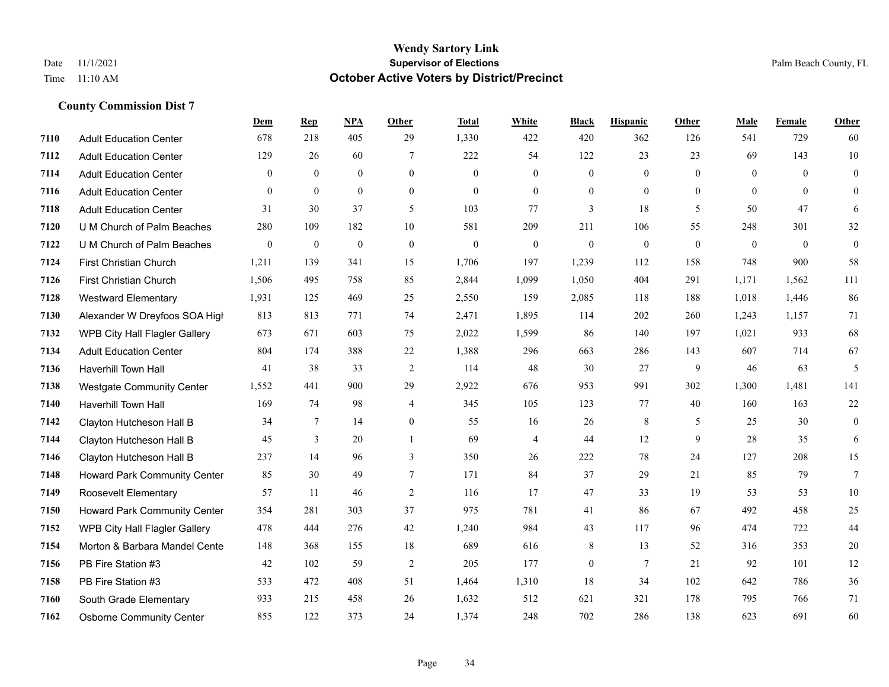|      |                                      | Dem          | <b>Rep</b>       | NPA              | <b>Other</b>   | <b>Total</b> | <b>White</b>     | <b>Black</b>     | <b>Hispanic</b> | <b>Other</b>   | <b>Male</b>    | Female       | <b>Other</b>     |
|------|--------------------------------------|--------------|------------------|------------------|----------------|--------------|------------------|------------------|-----------------|----------------|----------------|--------------|------------------|
| 7110 | <b>Adult Education Center</b>        | 678          | 218              | 405              | 29             | 1,330        | 422              | 420              | 362             | 126            | 541            | 729          | 60               |
| 7112 | <b>Adult Education Center</b>        | 129          | 26               | 60               | 7              | 222          | 54               | 122              | 23              | 23             | 69             | 143          | 10               |
| 7114 | <b>Adult Education Center</b>        | $\theta$     | $\mathbf{0}$     | $\theta$         | $\Omega$       | $\Omega$     | $\Omega$         | $\mathbf{0}$     | $\Omega$        | $\Omega$       | $\theta$       | $\Omega$     | $\mathbf{0}$     |
| 7116 | <b>Adult Education Center</b>        | $\mathbf{0}$ | $\mathbf{0}$     | $\mathbf{0}$     | $\overline{0}$ | $\mathbf{0}$ | $\overline{0}$   | $\boldsymbol{0}$ | $\mathbf{0}$    | $\overline{0}$ | $\overline{0}$ | $\mathbf{0}$ | $\mathbf{0}$     |
| 7118 | <b>Adult Education Center</b>        | 31           | 30               | 37               | 5              | 103          | 77               | 3                | 18              | 5              | 50             | 47           | 6                |
| 7120 | U M Church of Palm Beaches           | 280          | 109              | 182              | 10             | 581          | 209              | 211              | 106             | 55             | 248            | 301          | 32               |
| 7122 | U M Church of Palm Beaches           | $\bf{0}$     | $\boldsymbol{0}$ | $\boldsymbol{0}$ | $\mathbf{0}$   | $\mathbf{0}$ | $\boldsymbol{0}$ | $\boldsymbol{0}$ | $\mathbf{0}$    | $\mathbf{0}$   | $\mathbf{0}$   | $\mathbf{0}$ | $\boldsymbol{0}$ |
| 7124 | First Christian Church               | 1,211        | 139              | 341              | 15             | 1,706        | 197              | 1,239            | 112             | 158            | 748            | 900          | 58               |
| 7126 | First Christian Church               | 1,506        | 495              | 758              | 85             | 2,844        | 1,099            | 1,050            | 404             | 291            | 1,171          | 1,562        | 111              |
| 7128 | <b>Westward Elementary</b>           | 1,931        | 125              | 469              | 25             | 2,550        | 159              | 2,085            | 118             | 188            | 1,018          | 1,446        | 86               |
| 7130 | Alexander W Dreyfoos SOA High        | 813          | 813              | 771              | 74             | 2,471        | 1,895            | 114              | 202             | 260            | 1,243          | 1,157        | 71               |
| 7132 | WPB City Hall Flagler Gallery        | 673          | 671              | 603              | 75             | 2,022        | 1,599            | 86               | 140             | 197            | 1,021          | 933          | 68               |
| 7134 | <b>Adult Education Center</b>        | 804          | 174              | 388              | 22             | 1,388        | 296              | 663              | 286             | 143            | 607            | 714          | 67               |
| 7136 | Haverhill Town Hall                  | 41           | 38               | 33               | $\overline{2}$ | 114          | $48\,$           | 30               | 27              | 9              | 46             | 63           | $\mathfrak{H}$   |
| 7138 | Westgate Community Center            | 1,552        | 441              | 900              | 29             | 2,922        | 676              | 953              | 991             | 302            | 1,300          | 1,481        | 141              |
| 7140 | Haverhill Town Hall                  | 169          | 74               | 98               | $\overline{4}$ | 345          | 105              | 123              | 77              | 40             | 160            | 163          | $22\,$           |
| 7142 | Clayton Hutcheson Hall B             | 34           | $7\phantom{.0}$  | 14               | $\overline{0}$ | 55           | 16               | 26               | 8               | 5              | 25             | 30           | $\boldsymbol{0}$ |
| 7144 | Clayton Hutcheson Hall B             | 45           | 3                | 20               | $\mathbf{1}$   | 69           | 4                | 44               | 12              | 9              | 28             | 35           | 6                |
| 7146 | Clayton Hutcheson Hall B             | 237          | 14               | 96               | 3              | 350          | 26               | 222              | 78              | 24             | 127            | 208          | 15               |
| 7148 | Howard Park Community Center         | 85           | 30               | 49               | $\tau$         | 171          | 84               | 37               | 29              | 21             | 85             | 79           | $7\phantom{.0}$  |
| 7149 | Roosevelt Elementary                 | 57           | 11               | 46               | 2              | 116          | 17               | 47               | 33              | 19             | 53             | 53           | 10               |
| 7150 | Howard Park Community Center         | 354          | 281              | 303              | 37             | 975          | 781              | 41               | 86              | 67             | 492            | 458          | 25               |
| 7152 | <b>WPB City Hall Flagler Gallery</b> | 478          | 444              | 276              | 42             | 1,240        | 984              | 43               | 117             | 96             | 474            | 722          | $44$             |
| 7154 | Morton & Barbara Mandel Cente        | 148          | 368              | 155              | 18             | 689          | 616              | 8                | 13              | 52             | 316            | 353          | 20               |
| 7156 | PB Fire Station #3                   | 42           | 102              | 59               | $\mathbf{2}$   | 205          | 177              | $\boldsymbol{0}$ | $\tau$          | 21             | 92             | 101          | 12               |
| 7158 | PB Fire Station #3                   | 533          | 472              | 408              | 51             | 1,464        | 1,310            | 18               | 34              | 102            | 642            | 786          | 36               |
| 7160 | South Grade Elementary               | 933          | 215              | 458              | 26             | 1,632        | 512              | 621              | 321             | 178            | 795            | 766          | 71               |
| 7162 | <b>Osborne Community Center</b>      | 855          | 122              | 373              | 24             | 1,374        | 248              | 702              | 286             | 138            | 623            | 691          | 60               |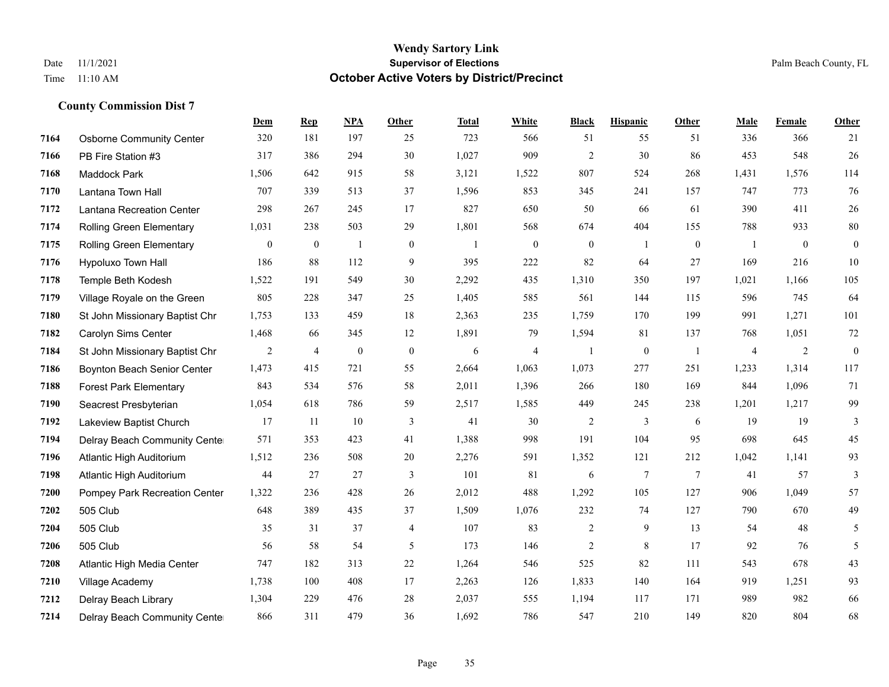#### **Wendy Sartory Link** Date 11/1/2021 **Supervisor of Elections** Palm Beach County, FL Time 11:10 AM **October Active Voters by District/Precinct**

# **Dem Rep NPA Other Total White Black Hispanic Other Male Female Other** Osborne Community Center 320 181 197 25 723 566 51 55 51 336 366 21 PB Fire Station #3 317 386 294 30 1,027 909 2 30 86 453 548 26 Maddock Park 1,506 642 915 58 3,121 1,522 807 524 268 1,431 1,576 114 Lantana Town Hall 707 339 513 37 1,596 853 345 241 157 747 773 76 Lantana Recreation Center 298 267 245 17 827 650 50 66 61 390 411 26 Rolling Green Elementary 1,031 238 503 29 1,801 568 674 404 155 788 933 80 Rolling Green Elementary 0 0 1 0 1 0 0 1 0 1 0 0 Hypoluxo Town Hall 186 88 112 9 395 222 82 64 27 169 216 10 Temple Beth Kodesh 1,522 191 549 30 2,292 435 1,310 350 197 1,021 1,166 105 Village Royale on the Green 805 228 347 25 1,405 585 561 144 115 596 745 64 St John Missionary Baptist Chr 1,753 133 459 18 2,363 235 1,759 170 199 991 1,271 101 Carolyn Sims Center 1,468 66 345 12 1,891 79 1,594 81 137 768 1,051 72 St John Missionary Baptist Chr 2 4 0 0 6 4 1 0 1 4 2 0 Boynton Beach Senior Center 1,473 415 721 55 2,664 1,063 1,073 277 251 1,233 1,314 117 Forest Park Elementary 843 534 576 58 2,011 1,396 266 180 169 844 1,096 71 Seacrest Presbyterian 1,054 618 786 59 2,517 1,585 449 245 238 1,201 1,217 99 Lakeview Baptist Church 17 11 10 3 41 30 2 3 6 19 19 3 Delray Beach Community Center 571 353 423 41 1,388 998 191 104 95 698 645 45 Atlantic High Auditorium 1,512 236 508 20 2,276 591 1,352 121 212 1,042 1,141 93 Atlantic High Auditorium 44 27 27 3 101 81 6 7 7 41 57 3 Pompey Park Recreation Center 1,322 236 428 26 2,012 488 1,292 105 127 906 1,049 57 505 Club 648 389 435 37 1,509 1,076 232 74 127 790 670 49 505 Club 35 31 37 4 107 83 2 9 13 54 48 5 505 Club 56 58 54 5 173 146 2 8 17 92 76 5 Atlantic High Media Center 747 182 313 22 1,264 546 525 82 111 543 678 43 Village Academy 1,738 100 408 17 2,263 126 1,833 140 164 919 1,251 93 Delray Beach Library 1,304 229 476 28 2,037 555 1,194 117 171 989 982 66 Delray Beach Community Center 866 311 479 36 1,692 786 547 210 149 820 804 68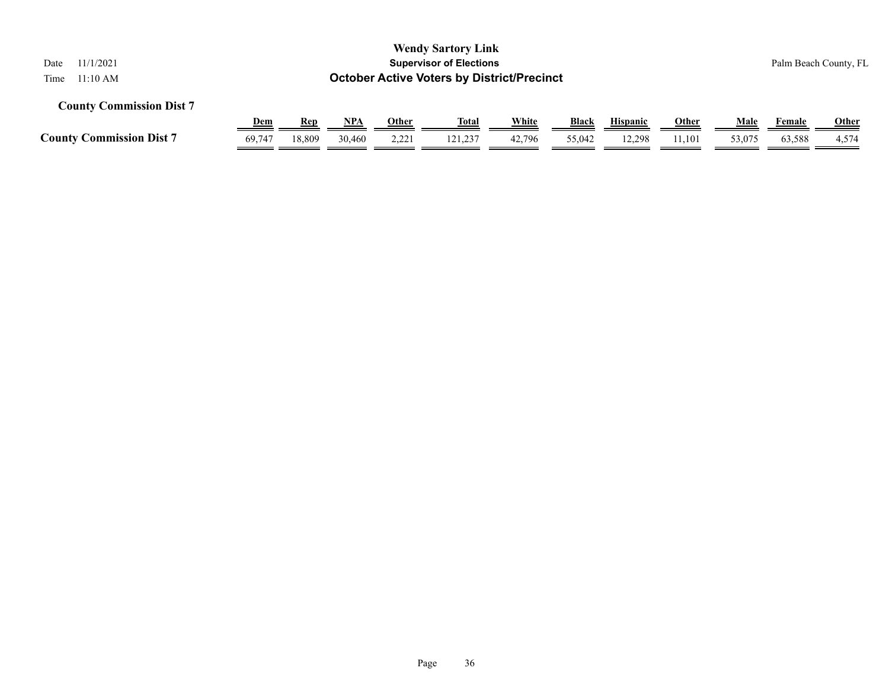| <b>Wendy Sartory Link</b><br><b>Supervisor of Elections</b><br>11/1/2021<br>Date<br><b>October Active Voters by District/Precinct</b><br>11:10 AM<br>Time |            |            |        |              |              |              |        |                 |              |             | Palm Beach County, FL |              |  |
|-----------------------------------------------------------------------------------------------------------------------------------------------------------|------------|------------|--------|--------------|--------------|--------------|--------|-----------------|--------------|-------------|-----------------------|--------------|--|
| <b>County Commission Dist 7</b>                                                                                                                           |            |            |        |              |              |              |        |                 |              |             |                       |              |  |
|                                                                                                                                                           | <u>Dem</u> | <b>Rep</b> | NPA    | <u>Other</u> | <u>Total</u> | <u>White</u> | Black  | <b>Hispanic</b> | <b>Other</b> | <u>Male</u> | Female                | <b>Other</b> |  |
| <b>County Commission Dist 7</b>                                                                                                                           | 69,747     | 18,809     | 30,460 | 2.221        | 121.237      | 42,796       | 55,042 | 12,298          | 11.101       | 53,075      | 63.588                | 4,574        |  |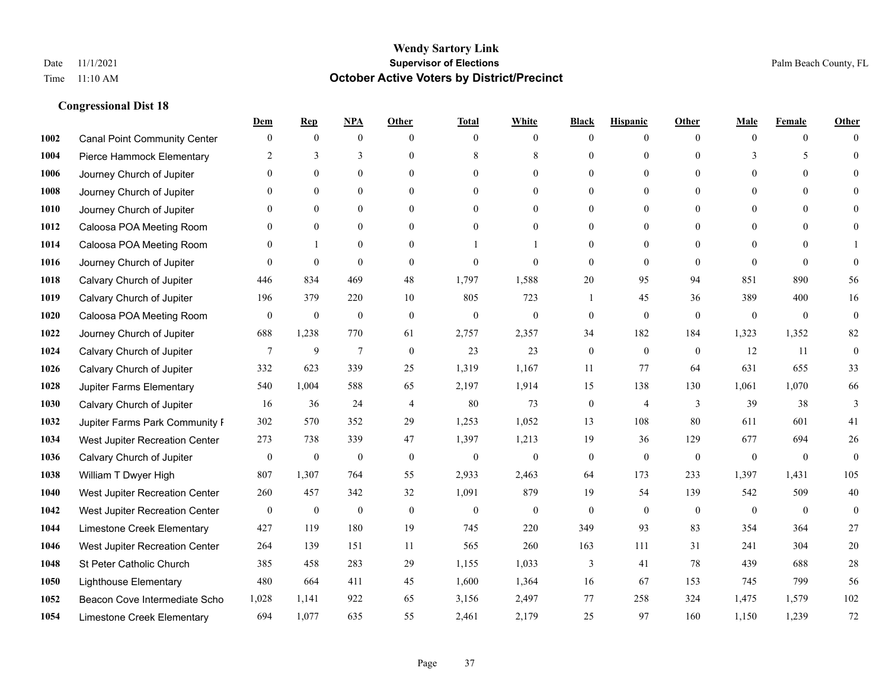|      |                                     | Dem              | <b>Rep</b>       | NPA              | <b>Other</b>   | <b>Total</b>     | <b>White</b>     | <b>Black</b>     | <b>Hispanic</b>  | <b>Other</b> | <b>Male</b>      | <b>Female</b>    | <b>Other</b>     |
|------|-------------------------------------|------------------|------------------|------------------|----------------|------------------|------------------|------------------|------------------|--------------|------------------|------------------|------------------|
| 1002 | <b>Canal Point Community Center</b> | $\overline{0}$   | $\mathbf{0}$     | $\mathbf{0}$     | $\theta$       | $\theta$         | $\overline{0}$   | $\mathbf{0}$     | $\boldsymbol{0}$ | $\theta$     | $\theta$         | $\overline{0}$   | $\Omega$         |
| 1004 | Pierce Hammock Elementary           | 2                | 3                | 3                | $\Omega$       | 8                | 8                | $\theta$         | $\theta$         | $\Omega$     | 3                | 5                | $\theta$         |
| 1006 | Journey Church of Jupiter           | $\Omega$         | $\theta$         | $\theta$         | $\Omega$       | $\Omega$         | $\Omega$         | $\Omega$         | $\theta$         | $\Omega$     | $\Omega$         | $\Omega$         | $\Omega$         |
| 1008 | Journey Church of Jupiter           | $\overline{0}$   | $\mathbf{0}$     | $\boldsymbol{0}$ | $\overline{0}$ | $\mathbf{0}$     | $\overline{0}$   | $\mathbf{0}$     | $\mathbf{0}$     | $\mathbf{0}$ | $\overline{0}$   | $\mathbf{0}$     | $\Omega$         |
| 1010 | Journey Church of Jupiter           | $\theta$         | $\theta$         | $\mathbf{0}$     | $\theta$       | $\Omega$         | $\Omega$         | $\mathbf{0}$     | $\mathbf{0}$     | $\theta$     | $\theta$         | $\theta$         | $\theta$         |
| 1012 | Caloosa POA Meeting Room            | $\overline{0}$   | $\mathbf{0}$     | $\mathbf{0}$     | $\theta$       | $\Omega$         | $\overline{0}$   | $\theta$         | $\mathbf{0}$     | $\Omega$     | $\theta$         | $\Omega$         | $\theta$         |
| 1014 | Caloosa POA Meeting Room            | $\mathbf{0}$     | $\mathbf{1}$     | $\mathbf{0}$     | $\overline{0}$ |                  |                  | $\boldsymbol{0}$ | $\mathbf{0}$     | $\Omega$     | $\mathbf{0}$     | $\theta$         |                  |
| 1016 | Journey Church of Jupiter           | $\Omega$         | $\mathbf{0}$     | $\mathbf{0}$     | $\Omega$       | $\theta$         | $\Omega$         | $\mathbf{0}$     | $\theta$         | $\Omega$     | $\Omega$         | $\Omega$         | $\theta$         |
| 1018 | Calvary Church of Jupiter           | 446              | 834              | 469              | 48             | 1,797            | 1,588            | 20               | 95               | 94           | 851              | 890              | 56               |
| 1019 | Calvary Church of Jupiter           | 196              | 379              | 220              | 10             | 805              | 723              |                  | 45               | 36           | 389              | 400              | 16               |
| 1020 | Caloosa POA Meeting Room            | $\overline{0}$   | $\boldsymbol{0}$ | $\boldsymbol{0}$ | $\mathbf{0}$   | $\mathbf{0}$     | $\mathbf{0}$     | $\boldsymbol{0}$ | $\theta$         | $\theta$     | $\overline{0}$   | $\overline{0}$   | $\boldsymbol{0}$ |
| 1022 | Journey Church of Jupiter           | 688              | 1,238            | 770              | 61             | 2,757            | 2,357            | 34               | 182              | 184          | 1,323            | 1,352            | 82               |
| 1024 | Calvary Church of Jupiter           | $\tau$           | 9                | $\overline{7}$   | $\mathbf{0}$   | 23               | 23               | $\boldsymbol{0}$ | $\mathbf{0}$     | $\theta$     | 12               | 11               | $\boldsymbol{0}$ |
| 1026 | Calvary Church of Jupiter           | 332              | 623              | 339              | 25             | 1,319            | 1,167            | 11               | 77               | 64           | 631              | 655              | 33               |
| 1028 | Jupiter Farms Elementary            | 540              | 1,004            | 588              | 65             | 2,197            | 1,914            | 15               | 138              | 130          | 1,061            | 1,070            | 66               |
| 1030 | Calvary Church of Jupiter           | 16               | 36               | 24               | $\overline{4}$ | 80               | 73               | $\boldsymbol{0}$ | $\overline{4}$   | 3            | 39               | 38               | 3                |
| 1032 | Jupiter Farms Park Community F      | 302              | 570              | 352              | 29             | 1,253            | 1,052            | 13               | 108              | 80           | 611              | 601              | 41               |
| 1034 | West Jupiter Recreation Center      | 273              | 738              | 339              | 47             | 1,397            | 1,213            | 19               | 36               | 129          | 677              | 694              | $26\,$           |
| 1036 | Calvary Church of Jupiter           | $\boldsymbol{0}$ | $\boldsymbol{0}$ | $\boldsymbol{0}$ | $\mathbf{0}$   | $\mathbf{0}$     | $\boldsymbol{0}$ | $\boldsymbol{0}$ | $\theta$         | $\mathbf{0}$ | $\boldsymbol{0}$ | $\mathbf{0}$     | $\mathbf{0}$     |
| 1038 | William T Dwyer High                | 807              | 1,307            | 764              | 55             | 2,933            | 2,463            | 64               | 173              | 233          | 1,397            | 1,431            | 105              |
| 1040 | West Jupiter Recreation Center      | 260              | 457              | 342              | 32             | 1,091            | 879              | 19               | 54               | 139          | 542              | 509              | 40               |
| 1042 | West Jupiter Recreation Center      | $\boldsymbol{0}$ | $\boldsymbol{0}$ | $\boldsymbol{0}$ | $\mathbf{0}$   | $\boldsymbol{0}$ | $\boldsymbol{0}$ | $\boldsymbol{0}$ | $\boldsymbol{0}$ | $\mathbf{0}$ | $\mathbf{0}$     | $\boldsymbol{0}$ | $\mathbf{0}$     |
| 1044 | Limestone Creek Elementary          | 427              | 119              | 180              | 19             | 745              | 220              | 349              | 93               | 83           | 354              | 364              | 27               |
| 1046 | West Jupiter Recreation Center      | 264              | 139              | 151              | 11             | 565              | 260              | 163              | 111              | 31           | 241              | 304              | 20               |
| 1048 | St Peter Catholic Church            | 385              | 458              | 283              | 29             | 1,155            | 1,033            | 3                | 41               | 78           | 439              | 688              | 28               |
| 1050 | <b>Lighthouse Elementary</b>        | 480              | 664              | 411              | 45             | 1,600            | 1,364            | 16               | 67               | 153          | 745              | 799              | 56               |
| 1052 | Beacon Cove Intermediate Scho       | 1,028            | 1,141            | 922              | 65             | 3,156            | 2,497            | 77               | 258              | 324          | 1,475            | 1,579            | 102              |
| 1054 | Limestone Creek Elementary          | 694              | 1,077            | 635              | 55             | 2,461            | 2,179            | 25               | 97               | 160          | 1,150            | 1,239            | 72               |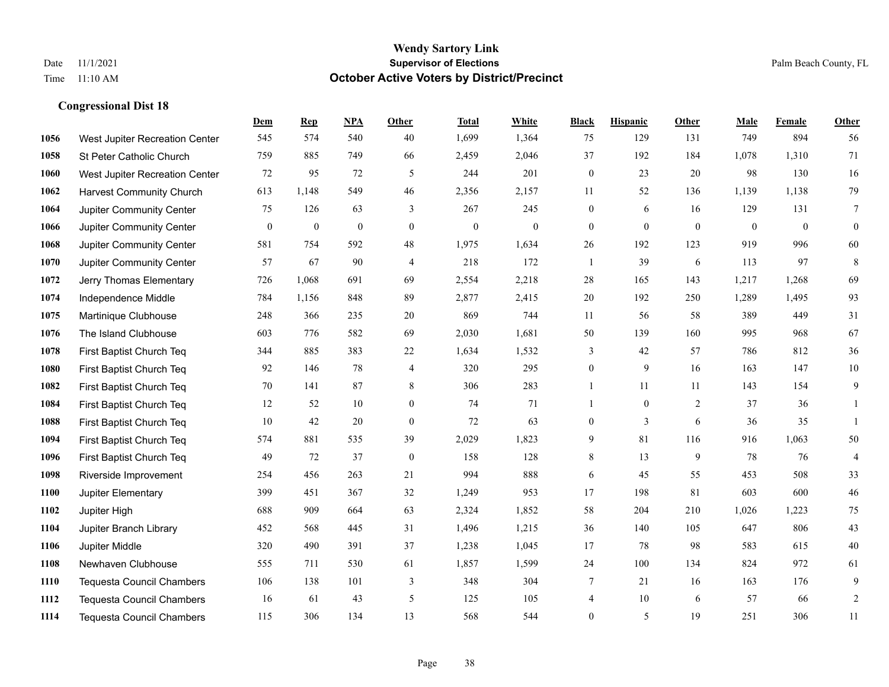|      |                                  | Dem              | <b>Rep</b>       | NPA              | <b>Other</b>   | <b>Total</b>     | <b>White</b>     | <b>Black</b>     | <b>Hispanic</b> | <b>Other</b>     | <b>Male</b>  | <b>Female</b> | Other            |
|------|----------------------------------|------------------|------------------|------------------|----------------|------------------|------------------|------------------|-----------------|------------------|--------------|---------------|------------------|
| 1056 | West Jupiter Recreation Center   | 545              | 574              | 540              | 40             | 1,699            | 1,364            | 75               | 129             | 131              | 749          | 894           | 56               |
| 1058 | St Peter Catholic Church         | 759              | 885              | 749              | 66             | 2,459            | 2,046            | 37               | 192             | 184              | 1,078        | 1,310         | 71               |
| 1060 | West Jupiter Recreation Center   | 72               | 95               | 72               | 5              | 244              | 201              | $\boldsymbol{0}$ | 23              | 20               | 98           | 130           | 16               |
| 1062 | <b>Harvest Community Church</b>  | 613              | 1,148            | 549              | 46             | 2,356            | 2,157            | 11               | 52              | 136              | 1,139        | 1,138         | 79               |
| 1064 | Jupiter Community Center         | 75               | 126              | 63               | 3              | 267              | 245              | $\boldsymbol{0}$ | 6               | 16               | 129          | 131           | $\overline{7}$   |
| 1066 | Jupiter Community Center         | $\boldsymbol{0}$ | $\boldsymbol{0}$ | $\boldsymbol{0}$ | $\overline{0}$ | $\boldsymbol{0}$ | $\boldsymbol{0}$ | $\mathbf{0}$     | $\mathbf{0}$    | $\boldsymbol{0}$ | $\mathbf{0}$ | $\mathbf{0}$  | $\boldsymbol{0}$ |
| 1068 | Jupiter Community Center         | 581              | 754              | 592              | 48             | 1,975            | 1,634            | 26               | 192             | 123              | 919          | 996           | 60               |
| 1070 | Jupiter Community Center         | 57               | 67               | 90               | $\overline{4}$ | 218              | 172              | 1                | 39              | 6                | 113          | 97            | $\,8\,$          |
| 1072 | Jerry Thomas Elementary          | 726              | 1,068            | 691              | 69             | 2,554            | 2,218            | 28               | 165             | 143              | 1,217        | 1,268         | 69               |
| 1074 | Independence Middle              | 784              | 1,156            | 848              | 89             | 2,877            | 2,415            | 20               | 192             | 250              | 1,289        | 1,495         | 93               |
| 1075 | Martinique Clubhouse             | 248              | 366              | 235              | 20             | 869              | 744              | 11               | 56              | 58               | 389          | 449           | 31               |
| 1076 | The Island Clubhouse             | 603              | 776              | 582              | 69             | 2,030            | 1,681            | 50               | 139             | 160              | 995          | 968           | 67               |
| 1078 | First Baptist Church Teq         | 344              | 885              | 383              | 22             | 1,634            | 1,532            | 3                | 42              | 57               | 786          | 812           | 36               |
| 1080 | First Baptist Church Teq         | 92               | 146              | 78               | $\overline{4}$ | 320              | 295              | $\boldsymbol{0}$ | 9               | 16               | 163          | 147           | $10\,$           |
| 1082 | First Baptist Church Teq         | 70               | 141              | 87               | 8              | 306              | 283              | 1                | 11              | 11               | 143          | 154           | 9                |
| 1084 | First Baptist Church Teq         | 12               | 52               | 10               | $\overline{0}$ | 74               | 71               | $\mathbf{1}$     | $\mathbf{0}$    | 2                | 37           | 36            | 1                |
| 1088 | First Baptist Church Teq         | 10               | 42               | 20               | $\mathbf{0}$   | 72               | 63               | $\boldsymbol{0}$ | 3               | 6                | 36           | 35            | $\mathbf{1}$     |
| 1094 | First Baptist Church Teq         | 574              | 881              | 535              | 39             | 2,029            | 1,823            | 9                | 81              | 116              | 916          | 1,063         | 50               |
| 1096 | First Baptist Church Teq         | 49               | 72               | 37               | $\mathbf{0}$   | 158              | 128              | 8                | 13              | 9                | 78           | 76            | $\overline{4}$   |
| 1098 | Riverside Improvement            | 254              | 456              | 263              | 21             | 994              | 888              | $\sqrt{6}$       | 45              | 55               | 453          | 508           | 33               |
| 1100 | Jupiter Elementary               | 399              | 451              | 367              | 32             | 1,249            | 953              | 17               | 198             | 81               | 603          | 600           | $46\,$           |
| 1102 | Jupiter High                     | 688              | 909              | 664              | 63             | 2,324            | 1,852            | 58               | 204             | 210              | 1,026        | 1,223         | 75               |
| 1104 | Jupiter Branch Library           | 452              | 568              | 445              | 31             | 1,496            | 1,215            | 36               | 140             | 105              | 647          | 806           | 43               |
| 1106 | Jupiter Middle                   | 320              | 490              | 391              | 37             | 1,238            | 1,045            | 17               | 78              | 98               | 583          | 615           | $40\,$           |
| 1108 | Newhaven Clubhouse               | 555              | 711              | 530              | 61             | 1,857            | 1,599            | 24               | 100             | 134              | 824          | 972           | 61               |
| 1110 | <b>Tequesta Council Chambers</b> | 106              | 138              | 101              | 3              | 348              | 304              | 7                | 21              | 16               | 163          | 176           | 9                |
| 1112 | <b>Tequesta Council Chambers</b> | 16               | 61               | 43               | $\mathfrak{H}$ | 125              | 105              | 4                | 10              | 6                | 57           | 66            | $\overline{c}$   |
| 1114 | <b>Tequesta Council Chambers</b> | 115              | 306              | 134              | 13             | 568              | 544              | $\overline{0}$   | 5               | 19               | 251          | 306           | 11               |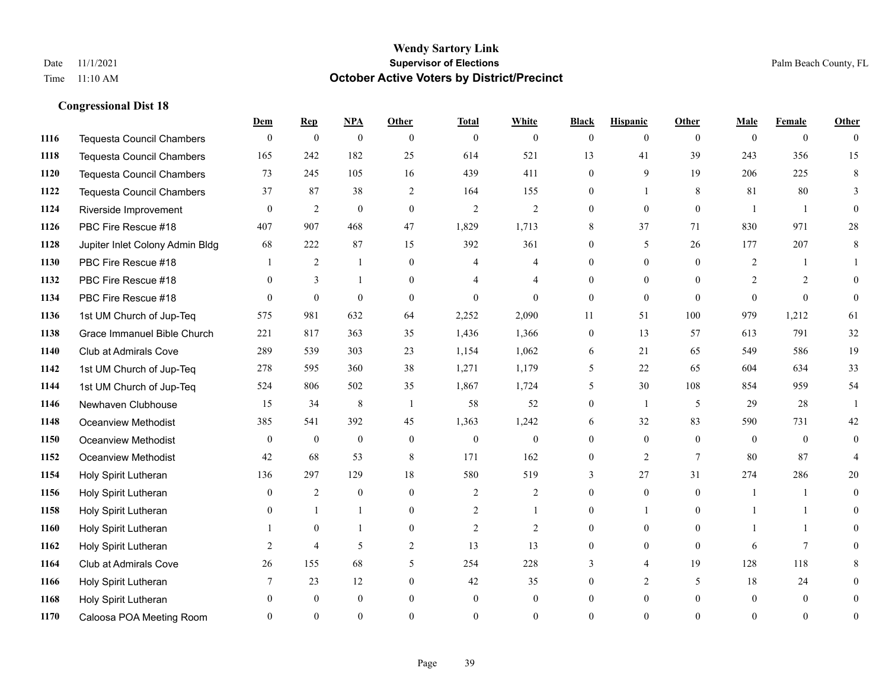|      |                                  | Dem          | <b>Rep</b>       | NPA              | <b>Other</b>     | <b>Total</b>   | <b>White</b>   | <b>Black</b>   | <b>Hispanic</b> | <b>Other</b> | <b>Male</b>    | <b>Female</b>  | <b>Other</b>   |
|------|----------------------------------|--------------|------------------|------------------|------------------|----------------|----------------|----------------|-----------------|--------------|----------------|----------------|----------------|
| 1116 | <b>Tequesta Council Chambers</b> | $\mathbf{0}$ | $\boldsymbol{0}$ | $\boldsymbol{0}$ | $\theta$         | $\mathbf{0}$   | $\overline{0}$ | $\overline{0}$ | $\overline{0}$  | $\theta$     | $\theta$       | $\overline{0}$ | $\theta$       |
| 1118 | <b>Tequesta Council Chambers</b> | 165          | 242              | 182              | 25               | 614            | 521            | 13             | 41              | 39           | 243            | 356            | 15             |
| 1120 | <b>Tequesta Council Chambers</b> | 73           | 245              | 105              | 16               | 439            | 411            | $\overline{0}$ | 9               | 19           | 206            | 225            | 8              |
| 1122 | Tequesta Council Chambers        | 37           | 87               | 38               | $\overline{2}$   | 164            | 155            | 0              | 1               | 8            | 81             | 80             | 3              |
| 1124 | Riverside Improvement            | $\theta$     | 2                | $\mathbf{0}$     | $\theta$         | $\overline{2}$ | $\overline{2}$ | 0              | $\Omega$        | $\theta$     | $\overline{1}$ | $\overline{1}$ | $\Omega$       |
| 1126 | PBC Fire Rescue #18              | 407          | 907              | 468              | 47               | 1,829          | 1,713          | 8              | 37              | 71           | 830            | 971            | $28\,$         |
| 1128 | Jupiter Inlet Colony Admin Bldg  | 68           | 222              | 87               | 15               | 392            | 361            | $\overline{0}$ | 5               | 26           | 177            | 207            | 8              |
| 1130 | PBC Fire Rescue #18              |              | 2                | $\mathbf{1}$     | $\theta$         | 4              | 4              | $\theta$       | $\Omega$        | $\Omega$     | 2              |                |                |
| 1132 | PBC Fire Rescue #18              | $\theta$     | 3                |                  | $\theta$         |                | 4              | $\overline{0}$ | $\Omega$        | $\Omega$     | $\overline{2}$ | 2              | $\Omega$       |
| 1134 | PBC Fire Rescue #18              | $\theta$     | $\mathbf{0}$     | $\mathbf{0}$     | $\overline{0}$   | $\mathbf{0}$   | $\overline{0}$ | $\overline{0}$ | $\overline{0}$  | $\theta$     | $\theta$       | $\theta$       | $\overline{0}$ |
| 1136 | 1st UM Church of Jup-Teq         | 575          | 981              | 632              | 64               | 2,252          | 2,090          | 11             | 51              | 100          | 979            | 1,212          | 61             |
| 1138 | Grace Immanuel Bible Church      | 221          | 817              | 363              | 35               | 1,436          | 1,366          | $\mathbf{0}$   | 13              | 57           | 613            | 791            | 32             |
| 1140 | Club at Admirals Cove            | 289          | 539              | 303              | 23               | 1,154          | 1,062          | 6              | 21              | 65           | 549            | 586            | 19             |
| 1142 | 1st UM Church of Jup-Teq         | 278          | 595              | 360              | 38               | 1,271          | 1,179          | 5              | 22              | 65           | 604            | 634            | 33             |
| 1144 | 1st UM Church of Jup-Teq         | 524          | 806              | 502              | 35               | 1,867          | 1,724          | 5              | 30              | 108          | 854            | 959            | 54             |
| 1146 | Newhaven Clubhouse               | 15           | 34               | $\,$ 8 $\,$      | -1               | 58             | 52             | $\overline{0}$ | 1               | 5            | 29             | 28             | 1              |
| 1148 | Oceanview Methodist              | 385          | 541              | 392              | 45               | 1,363          | 1,242          | 6              | 32              | 83           | 590            | 731            | $42\,$         |
| 1150 | Oceanview Methodist              | $\theta$     | $\mathbf{0}$     | $\mathbf{0}$     | $\theta$         | $\mathbf{0}$   | $\overline{0}$ | 0              | $\Omega$        | $\Omega$     | $\Omega$       | $\Omega$       | $\theta$       |
| 1152 | Oceanview Methodist              | 42           | 68               | 53               | $\,8\,$          | 171            | 162            | $\overline{0}$ | $\overline{2}$  | $\tau$       | 80             | 87             | $\overline{4}$ |
| 1154 | Holy Spirit Lutheran             | 136          | 297              | 129              | 18               | 580            | 519            | 3              | 27              | 31           | 274            | 286            | 20             |
| 1156 | Holy Spirit Lutheran             | $\theta$     | 2                | $\theta$         | $\theta$         | 2              | $\overline{2}$ | $\Omega$       | $\overline{0}$  | $\Omega$     | $\overline{1}$ |                | $\Omega$       |
| 1158 | Holy Spirit Lutheran             | $\mathbf{0}$ | $\mathbf{1}$     |                  | $\boldsymbol{0}$ | $\overline{2}$ | $\mathbf{1}$   | $\overline{0}$ | 1               | $\mathbf{0}$ |                |                | $\theta$       |
| 1160 | Holy Spirit Lutheran             |              | $\mathbf{0}$     |                  | $\overline{0}$   | 2              | $\overline{2}$ | 0              | $\overline{0}$  | $\theta$     |                |                | 0              |
| 1162 | Holy Spirit Lutheran             | 2            | $\overline{4}$   | 5                | $\overline{2}$   | 13             | 13             | $\overline{0}$ | $\overline{0}$  | $\mathbf{0}$ | 6              | $\tau$         | 0              |
| 1164 | Club at Admirals Cove            | 26           | 155              | 68               | 5                | 254            | 228            | 3              | $\overline{4}$  | 19           | 128            | 118            | 8              |
| 1166 | Holy Spirit Lutheran             | 7            | 23               | 12               | $\overline{0}$   | 42             | 35             | 0              | $\overline{2}$  | 5            | 18             | 24             | 0              |
| 1168 | Holy Spirit Lutheran             | $\theta$     | $\mathbf{0}$     | $\mathbf{0}$     | $\theta$         | $\theta$       | $\overline{0}$ | 0              | $\mathbf{0}$    | $\theta$     | $\theta$       | $\overline{0}$ | 0              |
| 1170 | Caloosa POA Meeting Room         | $\Omega$     | $\Omega$         | $\Omega$         | $\Omega$         | $\Omega$       | $\Omega$       | $\Omega$       | $\Omega$        | $\Omega$     | $\Omega$       | $\theta$       | $\overline{0}$ |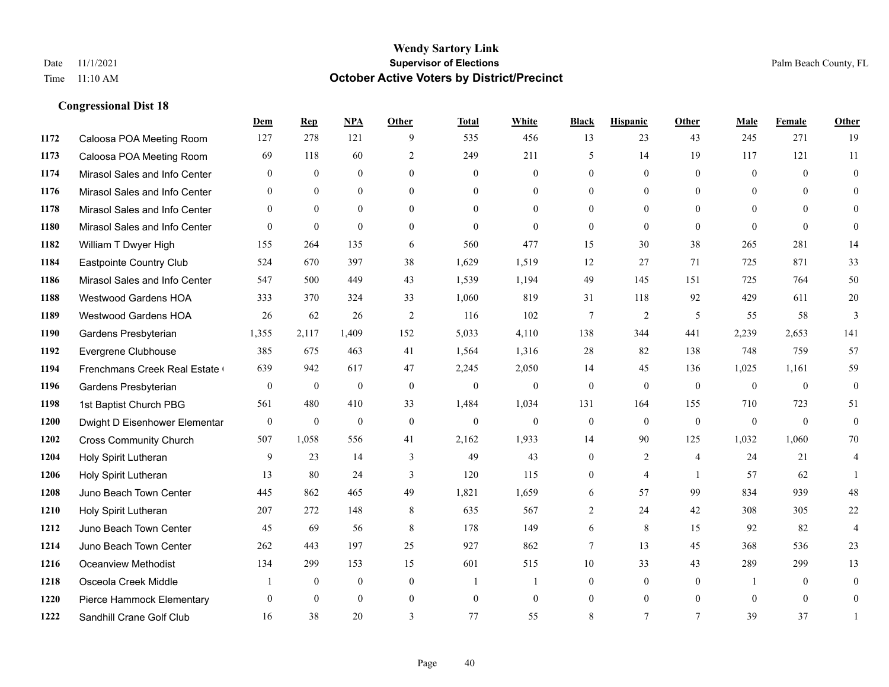|      |                               | Dem            | <b>Rep</b>   | NPA          | <b>Other</b>     | <b>Total</b>     | <b>White</b>     | <b>Black</b>     | <b>Hispanic</b> | Other          | <b>Male</b>    | <b>Female</b>  | <b>Other</b>   |
|------|-------------------------------|----------------|--------------|--------------|------------------|------------------|------------------|------------------|-----------------|----------------|----------------|----------------|----------------|
| 1172 | Caloosa POA Meeting Room      | 127            | 278          | 121          | 9                | 535              | 456              | 13               | 23              | 43             | 245            | 271            | 19             |
| 1173 | Caloosa POA Meeting Room      | 69             | 118          | 60           | 2                | 249              | 211              | 5                | 14              | 19             | 117            | 121            | 11             |
| 1174 | Mirasol Sales and Info Center | $\overline{0}$ | $\mathbf{0}$ | $\mathbf{0}$ | $\theta$         | $\overline{0}$   | $\overline{0}$   | $\overline{0}$   | $\overline{0}$  | $\theta$       | $\overline{0}$ | $\theta$       | $\mathbf{0}$   |
| 1176 | Mirasol Sales and Info Center | $\mathbf{0}$   | $\mathbf{0}$ | $\mathbf{0}$ | $\mathbf{0}$     | $\mathbf{0}$     | $\overline{0}$   | $\overline{0}$   | $\overline{0}$  | $\theta$       | $\mathbf{0}$   | $\overline{0}$ | $\theta$       |
| 1178 | Mirasol Sales and Info Center | $\theta$       | $\theta$     | $\theta$     | $\theta$         | $\Omega$         | $\Omega$         | $\Omega$         | $\Omega$        | $\Omega$       | $\Omega$       | $\Omega$       | $\theta$       |
| 1180 | Mirasol Sales and Info Center | $\theta$       | $\mathbf{0}$ | $\mathbf{0}$ | $\overline{0}$   | $\mathbf{0}$     | $\overline{0}$   | $\overline{0}$   | $\overline{0}$  | $\theta$       | $\theta$       | $\theta$       | $\theta$       |
| 1182 | William T Dwyer High          | 155            | 264          | 135          | 6                | 560              | 477              | 15               | 30              | 38             | 265            | 281            | 14             |
| 1184 | Eastpointe Country Club       | 524            | 670          | 397          | 38               | 1,629            | 1,519            | 12               | 27              | 71             | 725            | 871            | 33             |
| 1186 | Mirasol Sales and Info Center | 547            | 500          | 449          | 43               | 1,539            | 1,194            | 49               | 145             | 151            | 725            | 764            | 50             |
| 1188 | <b>Westwood Gardens HOA</b>   | 333            | 370          | 324          | 33               | 1,060            | 819              | 31               | 118             | 92             | 429            | 611            | $20\,$         |
| 1189 | <b>Westwood Gardens HOA</b>   | 26             | 62           | 26           | 2                | 116              | 102              | $\overline{7}$   | $\overline{2}$  | 5              | 55             | 58             | 3              |
| 1190 | Gardens Presbyterian          | 1,355          | 2,117        | 1,409        | 152              | 5,033            | 4,110            | 138              | 344             | 441            | 2,239          | 2,653          | 141            |
| 1192 | Evergrene Clubhouse           | 385            | 675          | 463          | 41               | 1,564            | 1,316            | 28               | 82              | 138            | 748            | 759            | 57             |
| 1194 | Frenchmans Creek Real Estate  | 639            | 942          | 617          | 47               | 2,245            | 2,050            | 14               | 45              | 136            | 1,025          | 1,161          | 59             |
| 1196 | Gardens Presbyterian          | $\mathbf{0}$   | $\mathbf{0}$ | $\mathbf{0}$ | $\overline{0}$   | $\overline{0}$   | $\boldsymbol{0}$ | 0                | $\overline{0}$  | $\mathbf{0}$   | $\overline{0}$ | $\theta$       | $\bf{0}$       |
| 1198 | 1st Baptist Church PBG        | 561            | 480          | 410          | 33               | 1,484            | 1,034            | 131              | 164             | 155            | 710            | 723            | 51             |
| 1200 | Dwight D Eisenhower Elementar | $\mathbf{0}$   | $\mathbf{0}$ | $\mathbf{0}$ | $\boldsymbol{0}$ | $\boldsymbol{0}$ | $\overline{0}$   | $\boldsymbol{0}$ | $\overline{0}$  | $\mathbf{0}$   | $\mathbf{0}$   | $\mathbf{0}$   | $\mathbf{0}$   |
| 1202 | <b>Cross Community Church</b> | 507            | 1,058        | 556          | 41               | 2,162            | 1,933            | 14               | 90              | 125            | 1,032          | 1,060          | 70             |
| 1204 | Holy Spirit Lutheran          | 9              | 23           | 14           | 3                | 49               | 43               | $\overline{0}$   | $\overline{2}$  | $\overline{4}$ | 24             | 21             | 4              |
| 1206 | Holy Spirit Lutheran          | 13             | 80           | 24           | $\overline{3}$   | 120              | 115              | $\boldsymbol{0}$ | 4               | $\overline{1}$ | 57             | 62             |                |
| 1208 | Juno Beach Town Center        | 445            | 862          | 465          | 49               | 1,821            | 1,659            | 6                | 57              | 99             | 834            | 939            | 48             |
| 1210 | Holy Spirit Lutheran          | 207            | 272          | 148          | 8                | 635              | 567              | $\overline{2}$   | 24              | 42             | 308            | 305            | 22             |
| 1212 | Juno Beach Town Center        | 45             | 69           | 56           | 8                | 178              | 149              | 6                | 8               | 15             | 92             | 82             | $\overline{4}$ |
| 1214 | Juno Beach Town Center        | 262            | 443          | 197          | 25               | 927              | 862              | 7                | 13              | 45             | 368            | 536            | 23             |
| 1216 | <b>Oceanview Methodist</b>    | 134            | 299          | 153          | 15               | 601              | 515              | 10               | 33              | 43             | 289            | 299            | 13             |
| 1218 | Osceola Creek Middle          |                | $\mathbf{0}$ | $\mathbf{0}$ | $\mathbf{0}$     | $\overline{1}$   | 1                | $\overline{0}$   | $\overline{0}$  | $\theta$       | $\overline{1}$ | $\theta$       | $\mathbf{0}$   |
| 1220 | Pierce Hammock Elementary     | $\theta$       | $\mathbf{0}$ | $\theta$     | $\mathbf{0}$     | $\mathbf{0}$     | $\overline{0}$   | $\overline{0}$   | $\overline{0}$  | $\mathbf{0}$   | $\theta$       | $\theta$       | $\overline{0}$ |
| 1222 | Sandhill Crane Golf Club      | 16             | 38           | 20           | $\mathbf{3}$     | 77               | 55               | 8                | 7               | $\tau$         | 39             | 37             |                |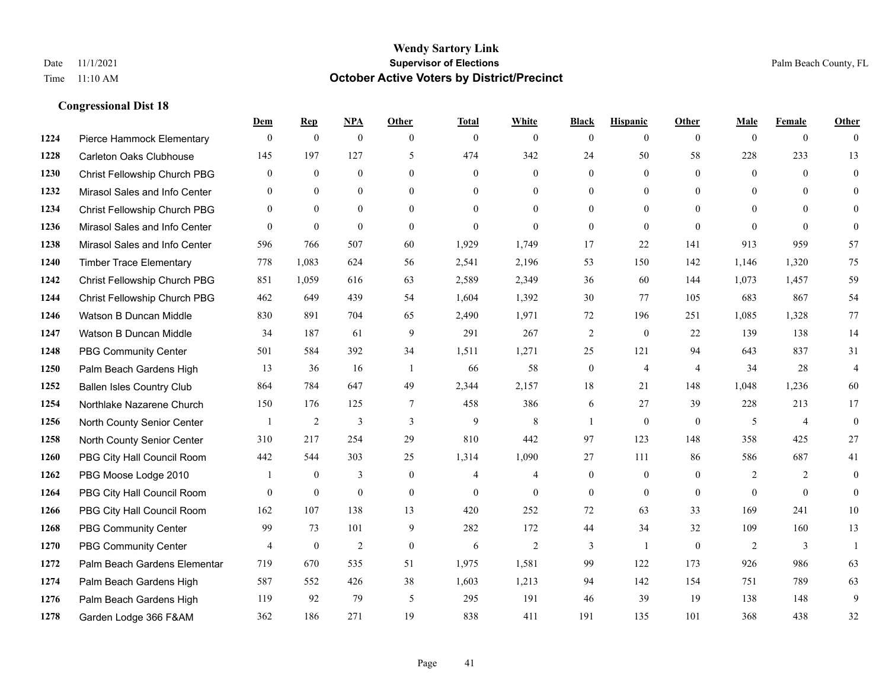|      |                                  | Dem            | <b>Rep</b>     | NPA              | <b>Other</b>   | <b>Total</b> | <b>White</b>   | <b>Black</b>     | <b>Hispanic</b>  | <b>Other</b>   | <b>Male</b>    | <b>Female</b>  | <b>Other</b>   |
|------|----------------------------------|----------------|----------------|------------------|----------------|--------------|----------------|------------------|------------------|----------------|----------------|----------------|----------------|
| 1224 | Pierce Hammock Elementary        | $\mathbf{0}$   | $\mathbf{0}$   | $\boldsymbol{0}$ | $\theta$       | $\mathbf{0}$ | $\overline{0}$ | $\mathbf{0}$     | $\overline{0}$   | $\theta$       | $\mathbf{0}$   | $\overline{0}$ | $\theta$       |
| 1228 | <b>Carleton Oaks Clubhouse</b>   | 145            | 197            | 127              | 5              | 474          | 342            | 24               | 50               | 58             | 228            | 233            | 13             |
| 1230 | Christ Fellowship Church PBG     | $\theta$       | $\mathbf{0}$   | $\theta$         | $\Omega$       | $\theta$     | $\Omega$       | $\theta$         | $\theta$         | $\Omega$       | $\theta$       | $\theta$       | $\theta$       |
| 1232 | Mirasol Sales and Info Center    | $\mathbf{0}$   | $\mathbf{0}$   | $\mathbf{0}$     | $\overline{0}$ | $\mathbf{0}$ | $\overline{0}$ | $\boldsymbol{0}$ | $\boldsymbol{0}$ | $\overline{0}$ | $\mathbf{0}$   | $\theta$       | $\theta$       |
| 1234 | Christ Fellowship Church PBG     | $\theta$       | $\theta$       | $\mathbf{0}$     | $\theta$       | $\Omega$     | $\overline{0}$ | $\mathbf{0}$     | $\overline{0}$   | $\theta$       | $\theta$       | $\theta$       | $\theta$       |
| 1236 | Mirasol Sales and Info Center    | $\theta$       | $\mathbf{0}$   | $\mathbf{0}$     | $\Omega$       | $\mathbf{0}$ | $\theta$       | $\mathbf{0}$     | $\theta$         | $\theta$       | $\theta$       | $\Omega$       | $\theta$       |
| 1238 | Mirasol Sales and Info Center    | 596            | 766            | 507              | 60             | 1,929        | 1,749          | 17               | 22               | 141            | 913            | 959            | 57             |
| 1240 | <b>Timber Trace Elementary</b>   | 778            | 1,083          | 624              | 56             | 2,541        | 2,196          | 53               | 150              | 142            | 1,146          | 1,320          | 75             |
| 1242 | Christ Fellowship Church PBG     | 851            | 1,059          | 616              | 63             | 2,589        | 2,349          | 36               | 60               | 144            | 1,073          | 1,457          | 59             |
| 1244 | Christ Fellowship Church PBG     | 462            | 649            | 439              | 54             | 1,604        | 1,392          | 30               | 77               | 105            | 683            | 867            | 54             |
| 1246 | Watson B Duncan Middle           | 830            | 891            | 704              | 65             | 2,490        | 1,971          | 72               | 196              | 251            | 1,085          | 1,328          | 77             |
| 1247 | Watson B Duncan Middle           | 34             | 187            | 61               | 9              | 291          | 267            | $\overline{c}$   | $\mathbf{0}$     | 22             | 139            | 138            | 14             |
| 1248 | <b>PBG Community Center</b>      | 501            | 584            | 392              | 34             | 1,511        | 1,271          | 25               | 121              | 94             | 643            | 837            | 31             |
| 1250 | Palm Beach Gardens High          | 13             | 36             | 16               | -1             | 66           | 58             | $\boldsymbol{0}$ | $\overline{4}$   | $\overline{4}$ | 34             | 28             | $\overline{4}$ |
| 1252 | <b>Ballen Isles Country Club</b> | 864            | 784            | 647              | 49             | 2,344        | 2,157          | 18               | 21               | 148            | 1,048          | 1,236          | 60             |
| 1254 | Northlake Nazarene Church        | 150            | 176            | 125              | $\overline{7}$ | 458          | 386            | 6                | 27               | 39             | 228            | 213            | 17             |
| 1256 | North County Senior Center       |                | $\overline{2}$ | $\mathfrak{Z}$   | 3              | 9            | 8              | 1                | $\mathbf{0}$     | $\theta$       | 5              | $\overline{4}$ | $\mathbf{0}$   |
| 1258 | North County Senior Center       | 310            | 217            | 254              | 29             | 810          | 442            | 97               | 123              | 148            | 358            | 425            | $27\,$         |
| 1260 | PBG City Hall Council Room       | 442            | 544            | 303              | 25             | 1,314        | 1,090          | 27               | 111              | 86             | 586            | 687            | 41             |
| 1262 | PBG Moose Lodge 2010             |                | $\mathbf{0}$   | 3                | $\mathbf{0}$   | 4            | $\overline{4}$ | $\mathbf{0}$     | $\mathbf{0}$     | $\theta$       | $\overline{2}$ | 2              | $\mathbf{0}$   |
| 1264 | PBG City Hall Council Room       | $\Omega$       | $\mathbf{0}$   | $\mathbf{0}$     | $\Omega$       | $\theta$     | $\theta$       | $\theta$         | $\theta$         | $\theta$       | $\Omega$       | $\Omega$       | $\theta$       |
| 1266 | PBG City Hall Council Room       | 162            | 107            | 138              | 13             | 420          | 252            | 72               | 63               | 33             | 169            | 241            | 10             |
| 1268 | <b>PBG Community Center</b>      | 99             | 73             | 101              | 9              | 282          | 172            | 44               | 34               | 32             | 109            | 160            | 13             |
| 1270 | <b>PBG Community Center</b>      | $\overline{4}$ | $\mathbf{0}$   | $\overline{2}$   | $\theta$       | 6            | $\overline{2}$ | 3                | $\mathbf{1}$     | $\theta$       | 2              | 3              | $\mathbf{1}$   |
| 1272 | Palm Beach Gardens Elementar     | 719            | 670            | 535              | 51             | 1,975        | 1,581          | 99               | 122              | 173            | 926            | 986            | 63             |
| 1274 | Palm Beach Gardens High          | 587            | 552            | 426              | 38             | 1,603        | 1,213          | 94               | 142              | 154            | 751            | 789            | 63             |
| 1276 | Palm Beach Gardens High          | 119            | 92             | 79               | 5              | 295          | 191            | 46               | 39               | 19             | 138            | 148            | 9              |
| 1278 | Garden Lodge 366 F&AM            | 362            | 186            | 271              | 19             | 838          | 411            | 191              | 135              | 101            | 368            | 438            | 32             |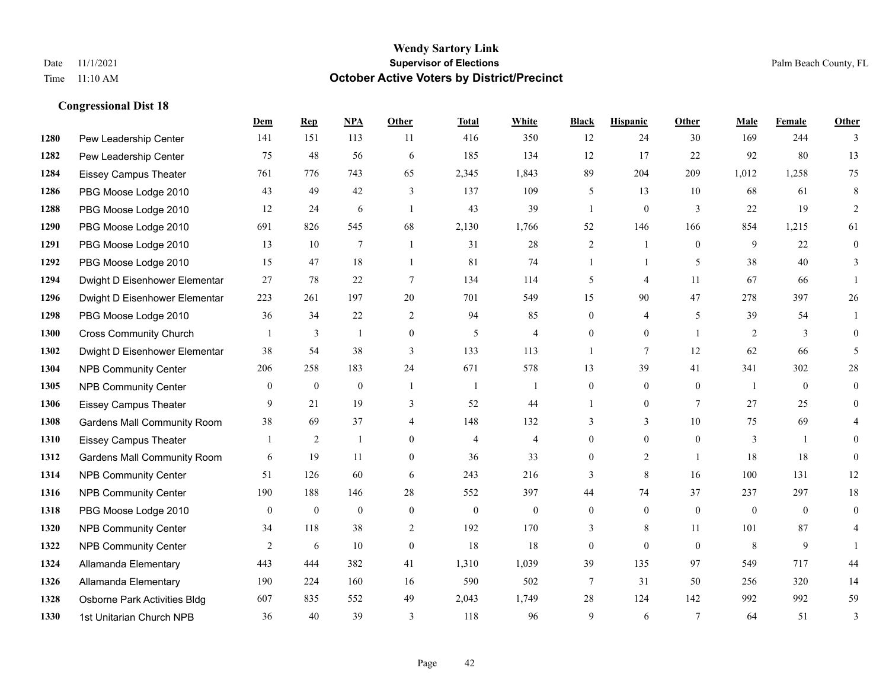|      |                                    | Dem            | <b>Rep</b>       | NPA            | <b>Other</b>   | <b>Total</b>   | <b>White</b>     | <b>Black</b>     | <b>Hispanic</b>  | <b>Other</b>   | <b>Male</b>  | Female         | <b>Other</b>   |
|------|------------------------------------|----------------|------------------|----------------|----------------|----------------|------------------|------------------|------------------|----------------|--------------|----------------|----------------|
| 1280 | Pew Leadership Center              | 141            | 151              | 113            | 11             | 416            | 350              | 12               | 24               | 30             | 169          | 244            | 3              |
| 1282 | Pew Leadership Center              | 75             | 48               | 56             | 6              | 185            | 134              | 12               | 17               | 22             | 92           | 80             | 13             |
| 1284 | <b>Eissey Campus Theater</b>       | 761            | 776              | 743            | 65             | 2,345          | 1,843            | 89               | 204              | 209            | 1,012        | 1,258          | 75             |
| 1286 | PBG Moose Lodge 2010               | 43             | 49               | 42             | 3              | 137            | 109              | 5                | 13               | 10             | 68           | 61             | 8              |
| 1288 | PBG Moose Lodge 2010               | 12             | 24               | 6              | $\mathbf{1}$   | 43             | 39               | 1                | $\overline{0}$   | 3              | 22           | 19             | $\overline{2}$ |
| 1290 | PBG Moose Lodge 2010               | 691            | 826              | 545            | 68             | 2,130          | 1,766            | 52               | 146              | 166            | 854          | 1,215          | 61             |
| 1291 | PBG Moose Lodge 2010               | 13             | 10               | $\overline{7}$ | -1             | 31             | 28               | $\overline{c}$   | $\mathbf{1}$     | $\mathbf{0}$   | 9            | 22             | $\overline{0}$ |
| 1292 | PBG Moose Lodge 2010               | 15             | 47               | 18             | $\mathbf{1}$   | 81             | 74               | $\mathbf{1}$     | $\mathbf{1}$     | 5              | 38           | 40             | 3              |
| 1294 | Dwight D Eisenhower Elementar      | 27             | 78               | 22             | $\tau$         | 134            | 114              | 5                | $\overline{4}$   | 11             | 67           | 66             |                |
| 1296 | Dwight D Eisenhower Elementar      | 223            | 261              | 197            | 20             | 701            | 549              | 15               | 90               | 47             | 278          | 397            | 26             |
| 1298 | PBG Moose Lodge 2010               | 36             | 34               | 22             | 2              | 94             | 85               | $\overline{0}$   | 4                | 5              | 39           | 54             | $\mathbf{1}$   |
| 1300 | <b>Cross Community Church</b>      |                | 3                | -1             | $\mathbf{0}$   | 5              | $\overline{4}$   | $\overline{0}$   | $\overline{0}$   | $\overline{1}$ | 2            | 3              | $\overline{0}$ |
| 1302 | Dwight D Eisenhower Elementar      | 38             | 54               | 38             | 3              | 133            | 113              | 1                | 7                | 12             | 62           | 66             | 5              |
| 1304 | <b>NPB Community Center</b>        | 206            | 258              | 183            | 24             | 671            | 578              | 13               | 39               | 41             | 341          | 302            | $28\,$         |
| 1305 | <b>NPB Community Center</b>        | $\theta$       | $\mathbf{0}$     | $\mathbf{0}$   | $\mathbf{1}$   | -1             | 1                | $\overline{0}$   | $\overline{0}$   | $\theta$       | $\mathbf{1}$ | $\theta$       | $\overline{0}$ |
| 1306 | <b>Eissey Campus Theater</b>       | 9              | 21               | 19             | 3              | 52             | 44               |                  | $\overline{0}$   | $\overline{7}$ | 27           | 25             | $\Omega$       |
| 1308 | <b>Gardens Mall Community Room</b> | 38             | 69               | 37             | 4              | 148            | 132              | 3                | 3                | 10             | 75           | 69             |                |
| 1310 | <b>Eissey Campus Theater</b>       |                | 2                | $\mathbf{1}$   | $\Omega$       | $\overline{4}$ | $\overline{4}$   | $\Omega$         | $\Omega$         | $\Omega$       | 3            | $\overline{1}$ | $\theta$       |
| 1312 | <b>Gardens Mall Community Room</b> | 6              | 19               | 11             | $\overline{0}$ | 36             | 33               | $\overline{0}$   | $\overline{c}$   | $\mathbf{1}$   | 18           | 18             | $\mathbf{0}$   |
| 1314 | <b>NPB Community Center</b>        | 51             | 126              | 60             | 6              | 243            | 216              | 3                | 8                | 16             | 100          | 131            | 12             |
| 1316 | <b>NPB Community Center</b>        | 190            | 188              | 146            | 28             | 552            | 397              | 44               | 74               | 37             | 237          | 297            | 18             |
| 1318 | PBG Moose Lodge 2010               | $\overline{0}$ | $\boldsymbol{0}$ | $\theta$       | $\mathbf{0}$   | $\mathbf{0}$   | $\boldsymbol{0}$ | $\overline{0}$   | $\overline{0}$   | $\theta$       | $\mathbf{0}$ | $\theta$       | $\overline{0}$ |
| 1320 | <b>NPB Community Center</b>        | 34             | 118              | 38             | 2              | 192            | 170              | 3                | 8                | 11             | 101          | 87             | 4              |
| 1322 | <b>NPB Community Center</b>        | 2              | 6                | 10             | $\mathbf{0}$   | 18             | 18               | $\boldsymbol{0}$ | $\boldsymbol{0}$ | $\mathbf{0}$   | 8            | 9              |                |
| 1324 | Allamanda Elementary               | 443            | 444              | 382            | 41             | 1,310          | 1,039            | 39               | 135              | 97             | 549          | 717            | 44             |
| 1326 | Allamanda Elementary               | 190            | 224              | 160            | 16             | 590            | 502              | 7                | 31               | 50             | 256          | 320            | 14             |
| 1328 | Osborne Park Activities Bldg       | 607            | 835              | 552            | 49             | 2,043          | 1,749            | 28               | 124              | 142            | 992          | 992            | 59             |
| 1330 | 1st Unitarian Church NPB           | 36             | 40               | 39             | 3              | 118            | 96               | 9                | 6                | $\overline{7}$ | 64           | 51             | 3              |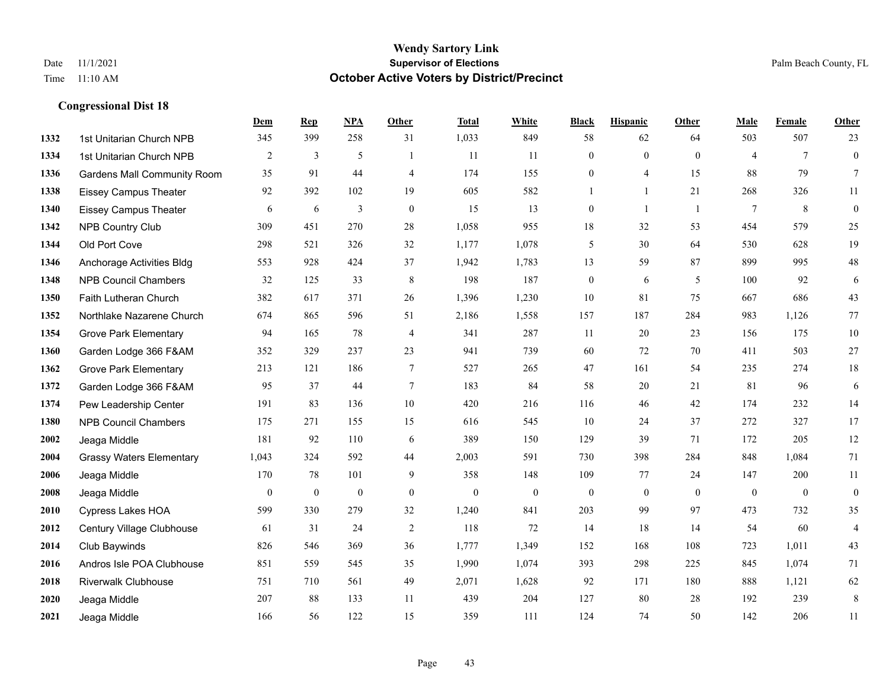#### **Wendy Sartory Link** Date 11/1/2021 **Supervisor of Elections** Palm Beach County, FL Time 11:10 AM **October Active Voters by District/Precinct**

1st Unitarian Church NPB 345 399 258 31 1,033 849 58 62 64 503 507 23

**Dem Rep NPA Other Total White Black Hispanic Other Male Female Other**

# 1st Unitarian Church NPB 2 3 5 1 11 11 0 0 0 4 7 0 Gardens Mall Community Room 35 91 44 4 174 155 0 4 15 88 79 7 Eissey Campus Theater 92 392 102 19 605 582 1 1 21 268 326 11 Eissey Campus Theater 6 6 6 3 0 15 13 0 1 1 7 8 0 NPB Country Club 309 451 270 28 1,058 955 18 32 53 454 579 25 Old Port Cove 298 521 326 32 1,177 1,078 5 30 64 530 628 19 Anchorage Activities Bldg 553 928 424 37 1,942 1,783 13 59 87 899 995 48 NPB Council Chambers 32 125 33 8 198 187 0 6 5 100 92 6 Faith Lutheran Church 382 617 371 26 1,396 1,230 10 81 75 667 686 43 Northlake Nazarene Church 674 865 596 51 2,186 1,558 157 187 284 983 1,126 77 Grove Park Elementary 94 165 78 4 341 287 11 20 23 156 175 10 Garden Lodge 366 F&AM 352 329 237 23 941 739 60 72 70 411 503 27 Grove Park Elementary 213 121 186 7 527 265 47 161 54 235 274 18 Garden Lodge 366 F&AM 95 37 44 7 183 84 58 20 21 81 96 6 Pew Leadership Center 191 83 136 10 420 216 116 46 42 174 232 14 NPB Council Chambers 175 271 155 15 616 545 10 24 37 272 327 17 Jeaga Middle 181 92 110 6 389 150 129 39 71 172 205 12 Grassy Waters Elementary 1,043 324 592 44 2,003 591 730 398 284 848 1,084 71 Jeaga Middle 170 78 101 9 358 148 109 77 24 147 200 11 Jeaga Middle 0 0 0 0 0 0 0 0 0 0 0 0 Cypress Lakes HOA 599 330 279 32 1,240 841 203 99 97 473 732 35 Century Village Clubhouse 61 31 24 2 118 72 14 18 14 54 60 4

 Club Baywinds 826 546 369 36 1,777 1,349 152 168 108 723 1,011 43 Andros Isle POA Clubhouse 851 559 545 35 1,990 1,074 393 298 225 845 1,074 71 Riverwalk Clubhouse 751 710 561 49 2,071 1,628 92 171 180 888 1,121 62 Jeaga Middle 207 88 133 11 439 204 127 80 28 192 239 8 Jeaga Middle 166 56 122 15 359 111 124 74 50 142 206 11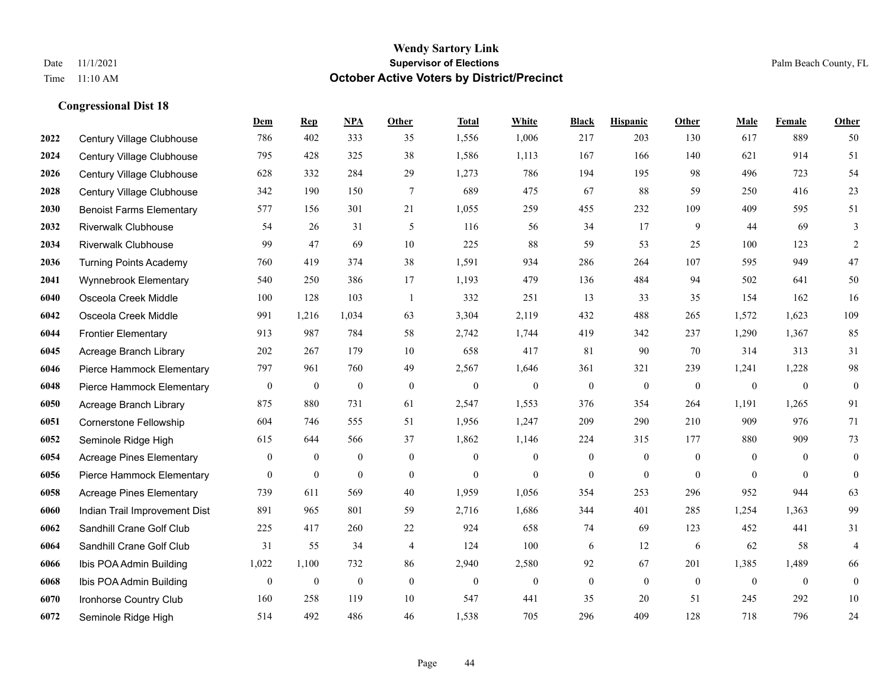|      |                                 | Dem              | <b>Rep</b>       | NPA              | <b>Other</b>     | <b>Total</b>     | White            | <b>Black</b>     | <b>Hispanic</b>  | Other          | <b>Male</b>    | Female       | <b>Other</b>     |
|------|---------------------------------|------------------|------------------|------------------|------------------|------------------|------------------|------------------|------------------|----------------|----------------|--------------|------------------|
| 2022 | Century Village Clubhouse       | 786              | 402              | 333              | 35               | 1,556            | 1,006            | 217              | 203              | 130            | 617            | 889          | 50               |
| 2024 | Century Village Clubhouse       | 795              | 428              | 325              | 38               | 1,586            | 1,113            | 167              | 166              | 140            | 621            | 914          | 51               |
| 2026 | Century Village Clubhouse       | 628              | 332              | 284              | 29               | 1,273            | 786              | 194              | 195              | 98             | 496            | 723          | 54               |
| 2028 | Century Village Clubhouse       | 342              | 190              | 150              | $\overline{7}$   | 689              | 475              | 67               | 88               | 59             | 250            | 416          | 23               |
| 2030 | <b>Benoist Farms Elementary</b> | 577              | 156              | 301              | 21               | 1,055            | 259              | 455              | 232              | 109            | 409            | 595          | 51               |
| 2032 | <b>Riverwalk Clubhouse</b>      | 54               | 26               | 31               | 5                | 116              | 56               | 34               | 17               | 9              | 44             | 69           | 3                |
| 2034 | <b>Riverwalk Clubhouse</b>      | 99               | 47               | 69               | 10               | 225              | 88               | 59               | 53               | 25             | 100            | 123          | $\sqrt{2}$       |
| 2036 | <b>Turning Points Academy</b>   | 760              | 419              | 374              | 38               | 1,591            | 934              | 286              | 264              | 107            | 595            | 949          | 47               |
| 2041 | Wynnebrook Elementary           | 540              | 250              | 386              | 17               | 1,193            | 479              | 136              | 484              | 94             | 502            | 641          | 50               |
| 6040 | Osceola Creek Middle            | 100              | 128              | 103              | - 1              | 332              | 251              | 13               | 33               | 35             | 154            | 162          | 16               |
| 6042 | Osceola Creek Middle            | 991              | 1,216            | 1,034            | 63               | 3,304            | 2,119            | 432              | 488              | 265            | 1,572          | 1,623        | 109              |
| 6044 | <b>Frontier Elementary</b>      | 913              | 987              | 784              | 58               | 2,742            | 1,744            | 419              | 342              | 237            | 1,290          | 1,367        | 85               |
| 6045 | Acreage Branch Library          | 202              | 267              | 179              | 10               | 658              | 417              | 81               | 90               | 70             | 314            | 313          | 31               |
| 6046 | Pierce Hammock Elementary       | 797              | 961              | 760              | 49               | 2,567            | 1,646            | 361              | 321              | 239            | 1,241          | 1,228        | $\bf{98}$        |
| 6048 | Pierce Hammock Elementary       | $\boldsymbol{0}$ | $\boldsymbol{0}$ | $\boldsymbol{0}$ | $\overline{0}$   | $\mathbf{0}$     | $\boldsymbol{0}$ | $\boldsymbol{0}$ | $\boldsymbol{0}$ | $\overline{0}$ | $\overline{0}$ | $\mathbf{0}$ | $\boldsymbol{0}$ |
| 6050 | Acreage Branch Library          | 875              | 880              | 731              | 61               | 2,547            | 1,553            | 376              | 354              | 264            | 1,191          | 1,265        | 91               |
| 6051 | Cornerstone Fellowship          | 604              | 746              | 555              | 51               | 1,956            | 1,247            | 209              | 290              | 210            | 909            | 976          | 71               |
| 6052 | Seminole Ridge High             | 615              | 644              | 566              | 37               | 1,862            | 1,146            | 224              | 315              | 177            | 880            | 909          | 73               |
| 6054 | Acreage Pines Elementary        | $\boldsymbol{0}$ | $\boldsymbol{0}$ | $\boldsymbol{0}$ | $\boldsymbol{0}$ | $\boldsymbol{0}$ | $\boldsymbol{0}$ | $\boldsymbol{0}$ | $\boldsymbol{0}$ | $\mathbf{0}$   | $\mathbf{0}$   | $\mathbf{0}$ | $\boldsymbol{0}$ |
| 6056 | Pierce Hammock Elementary       | $\mathbf{0}$     | $\mathbf{0}$     | $\mathbf{0}$     | $\mathbf{0}$     | $\mathbf{0}$     | $\overline{0}$   | $\mathbf{0}$     | $\mathbf{0}$     | $\theta$       | $\theta$       | $\theta$     | $\boldsymbol{0}$ |
| 6058 | <b>Acreage Pines Elementary</b> | 739              | 611              | 569              | 40               | 1,959            | 1,056            | 354              | 253              | 296            | 952            | 944          | 63               |
| 6060 | Indian Trail Improvement Dist   | 891              | 965              | 801              | 59               | 2,716            | 1,686            | 344              | 401              | 285            | 1,254          | 1,363        | 99               |
| 6062 | Sandhill Crane Golf Club        | 225              | 417              | 260              | 22               | 924              | 658              | 74               | 69               | 123            | 452            | 441          | 31               |
| 6064 | Sandhill Crane Golf Club        | 31               | 55               | 34               | 4                | 124              | 100              | 6                | 12               | 6              | 62             | 58           | $\overline{4}$   |
| 6066 | Ibis POA Admin Building         | 1,022            | 1,100            | 732              | 86               | 2,940            | 2,580            | 92               | 67               | 201            | 1,385          | 1,489        | 66               |
| 6068 | Ibis POA Admin Building         | $\overline{0}$   | $\boldsymbol{0}$ | $\boldsymbol{0}$ | $\mathbf{0}$     | $\mathbf{0}$     | $\boldsymbol{0}$ | $\boldsymbol{0}$ | $\mathbf{0}$     | $\mathbf{0}$   | $\mathbf{0}$   | $\mathbf{0}$ | $\boldsymbol{0}$ |
| 6070 | Ironhorse Country Club          | 160              | 258              | 119              | 10               | 547              | 441              | 35               | 20               | 51             | 245            | 292          | 10               |
| 6072 | Seminole Ridge High             | 514              | 492              | 486              | 46               | 1,538            | 705              | 296              | 409              | 128            | 718            | 796          | $24\,$           |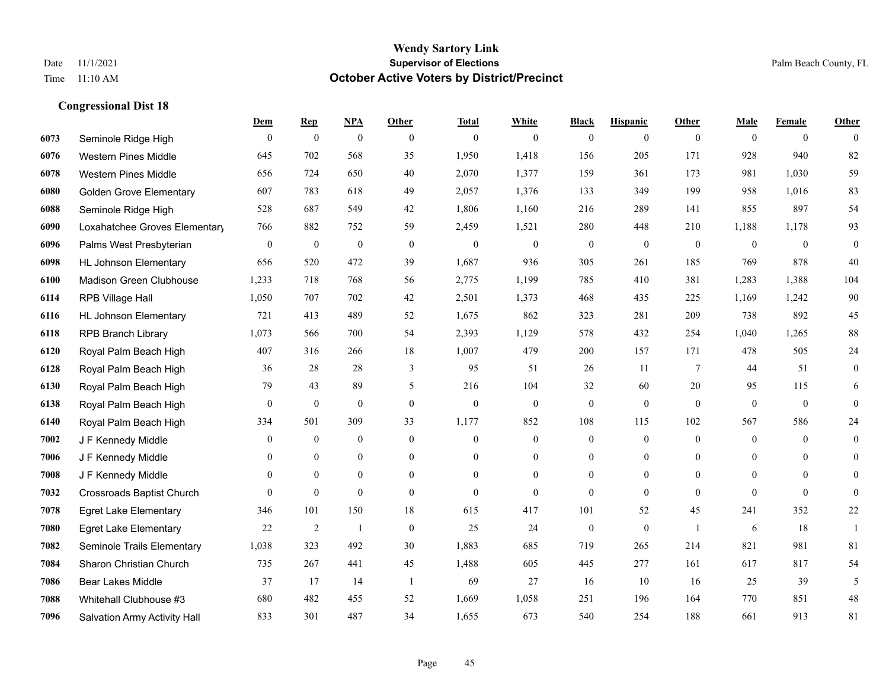|      |                                  | Dem              | <b>Rep</b>       | NPA              | <b>Other</b>   | <b>Total</b> | <b>White</b>     | <b>Black</b>     | <b>Hispanic</b>  | <b>Other</b>    | <b>Male</b>  | <b>Female</b>  | <b>Other</b>     |
|------|----------------------------------|------------------|------------------|------------------|----------------|--------------|------------------|------------------|------------------|-----------------|--------------|----------------|------------------|
| 6073 | Seminole Ridge High              | $\mathbf{0}$     | $\boldsymbol{0}$ | $\boldsymbol{0}$ | $\theta$       | $\theta$     | $\overline{0}$   | $\mathbf{0}$     | $\mathbf{0}$     | $\theta$        | $\mathbf{0}$ | $\overline{0}$ | $\theta$         |
| 6076 | <b>Western Pines Middle</b>      | 645              | 702              | 568              | 35             | 1,950        | 1,418            | 156              | 205              | 171             | 928          | 940            | 82               |
| 6078 | <b>Western Pines Middle</b>      | 656              | 724              | 650              | 40             | 2,070        | 1,377            | 159              | 361              | 173             | 981          | 1,030          | 59               |
| 6080 | <b>Golden Grove Elementary</b>   | 607              | 783              | 618              | 49             | 2,057        | 1,376            | 133              | 349              | 199             | 958          | 1,016          | 83               |
| 6088 | Seminole Ridge High              | 528              | 687              | 549              | 42             | 1,806        | 1,160            | 216              | 289              | 141             | 855          | 897            | 54               |
| 6090 | Loxahatchee Groves Elementary    | 766              | 882              | 752              | 59             | 2,459        | 1,521            | 280              | 448              | 210             | 1,188        | 1,178          | 93               |
| 6096 | Palms West Presbyterian          | $\boldsymbol{0}$ | $\boldsymbol{0}$ | $\boldsymbol{0}$ | $\mathbf{0}$   | $\theta$     | $\boldsymbol{0}$ | $\boldsymbol{0}$ | $\mathbf{0}$     | $\mathbf{0}$    | $\mathbf{0}$ | $\mathbf{0}$   | $\boldsymbol{0}$ |
| 6098 | <b>HL Johnson Elementary</b>     | 656              | 520              | 472              | 39             | 1,687        | 936              | 305              | 261              | 185             | 769          | 878            | 40               |
| 6100 | Madison Green Clubhouse          | 1,233            | 718              | 768              | 56             | 2,775        | 1,199            | 785              | 410              | 381             | 1,283        | 1,388          | 104              |
| 6114 | RPB Village Hall                 | 1,050            | 707              | 702              | 42             | 2,501        | 1,373            | 468              | 435              | 225             | 1,169        | 1,242          | 90               |
| 6116 | <b>HL Johnson Elementary</b>     | 721              | 413              | 489              | 52             | 1,675        | 862              | 323              | 281              | 209             | 738          | 892            | 45               |
| 6118 | <b>RPB Branch Library</b>        | 1,073            | 566              | 700              | 54             | 2,393        | 1,129            | 578              | 432              | 254             | 1,040        | 1,265          | $88\,$           |
| 6120 | Royal Palm Beach High            | 407              | 316              | 266              | 18             | 1,007        | 479              | 200              | 157              | 171             | 478          | 505            | $24\,$           |
| 6128 | Royal Palm Beach High            | 36               | 28               | 28               | 3              | 95           | 51               | 26               | 11               | $7\phantom{.0}$ | 44           | 51             | $\mathbf{0}$     |
| 6130 | Royal Palm Beach High            | 79               | 43               | 89               | 5              | 216          | 104              | 32               | 60               | 20              | 95           | 115            | 6                |
| 6138 | Royal Palm Beach High            | $\mathbf{0}$     | $\mathbf{0}$     | $\mathbf{0}$     | $\theta$       | $\mathbf{0}$ | $\overline{0}$   | $\mathbf{0}$     | $\mathbf{0}$     | $\theta$        | $\mathbf{0}$ | $\mathbf{0}$   | $\mathbf{0}$     |
| 6140 | Royal Palm Beach High            | 334              | 501              | 309              | 33             | 1,177        | 852              | 108              | 115              | 102             | 567          | 586            | $24\,$           |
| 7002 | J F Kennedy Middle               | $\overline{0}$   | $\overline{0}$   | $\mathbf{0}$     | $\theta$       | $\theta$     | $\overline{0}$   | $\overline{0}$   | $\mathbf{0}$     | $\theta$        | $\theta$     | $\theta$       | $\overline{0}$   |
| 7006 | J F Kennedy Middle               | $\mathbf{0}$     | $\mathbf{0}$     | $\mathbf{0}$     | $\overline{0}$ | $\mathbf{0}$ | $\overline{0}$   | $\overline{0}$   | $\mathbf{0}$     | $\theta$        | $\mathbf{0}$ | $\theta$       | $\theta$         |
| 7008 | J F Kennedy Middle               | $\mathbf{0}$     | $\mathbf{0}$     | $\mathbf{0}$     | $\overline{0}$ | $\mathbf{0}$ | $\boldsymbol{0}$ | $\boldsymbol{0}$ | $\boldsymbol{0}$ | $\mathbf{0}$    | $\mathbf{0}$ | $\mathbf{0}$   | $\mathbf{0}$     |
| 7032 | <b>Crossroads Baptist Church</b> | $\theta$         | $\mathbf{0}$     | $\mathbf{0}$     | $\theta$       | $\Omega$     | $\overline{0}$   | $\mathbf{0}$     | $\theta$         | $\theta$        | $\theta$     | $\theta$       | $\theta$         |
| 7078 | <b>Egret Lake Elementary</b>     | 346              | 101              | 150              | 18             | 615          | 417              | 101              | 52               | 45              | 241          | 352            | $22\,$           |
| 7080 | <b>Egret Lake Elementary</b>     | 22               | 2                | -1               | $\mathbf{0}$   | 25           | 24               | $\boldsymbol{0}$ | $\mathbf{0}$     | $\overline{1}$  | 6            | 18             | -1               |
| 7082 | Seminole Trails Elementary       | 1,038            | 323              | 492              | 30             | 1,883        | 685              | 719              | 265              | 214             | 821          | 981            | 81               |
| 7084 | Sharon Christian Church          | 735              | 267              | 441              | 45             | 1,488        | 605              | 445              | 277              | 161             | 617          | 817            | 54               |
| 7086 | <b>Bear Lakes Middle</b>         | 37               | 17               | 14               | -1             | 69           | 27               | 16               | 10               | 16              | 25           | 39             | 5                |
| 7088 | Whitehall Clubhouse #3           | 680              | 482              | 455              | 52             | 1,669        | 1,058            | 251              | 196              | 164             | 770          | 851            | $48\,$           |
| 7096 | Salvation Army Activity Hall     | 833              | 301              | 487              | 34             | 1,655        | 673              | 540              | 254              | 188             | 661          | 913            | 81               |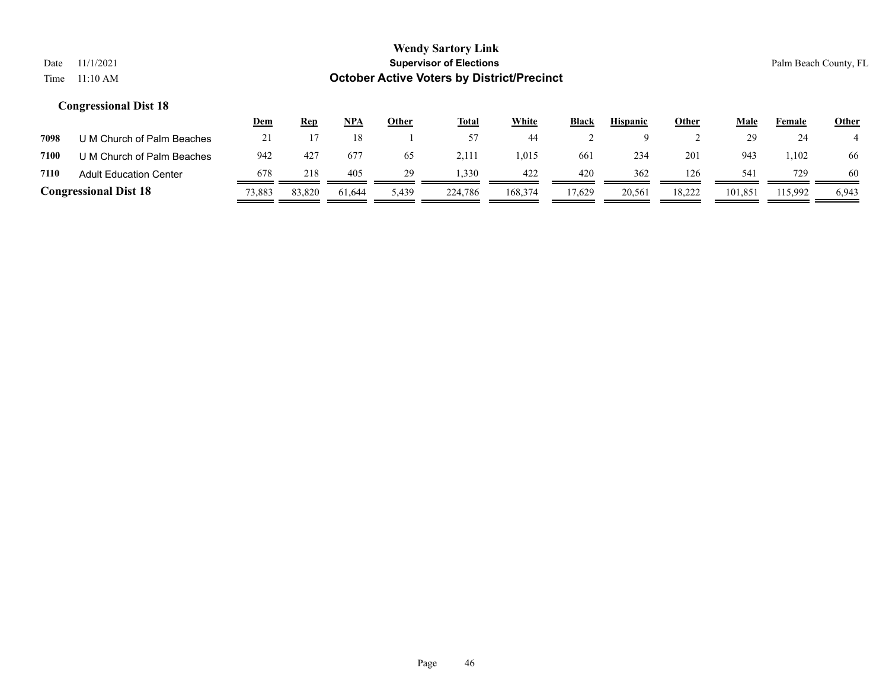|      |                               | <u>Dem</u> | Rep    | NPA    | <b>Other</b> | <b>Total</b> | <u>White</u> | <b>Black</b> | <b>Hispanic</b> | <b>Other</b> | Male    | Female  | <u>Other</u> |
|------|-------------------------------|------------|--------|--------|--------------|--------------|--------------|--------------|-----------------|--------------|---------|---------|--------------|
| 7098 | U M Church of Palm Beaches    | 21         |        | 18     |              | 57           | 44           |              |                 |              | 29      | 24      |              |
| 7100 | U M Church of Palm Beaches    | 942        | 427    | 677    | 65           | 2.111        | 1.015        | 661          | 234             | 201          | 943     | .102    | 66           |
| 7110 | <b>Adult Education Center</b> | 678        | 218    | 405    | 29           | .330         | 422          | 420          | 362             | 126          | 54.     | 729     | 60           |
|      | <b>Congressional Dist 18</b>  | 73,883     | 83,820 | 61.644 | 5,439        | 224,786      | 168,374      | 7,629        | 20,561          | 18,222       | 101.851 | 115.992 | 6,943        |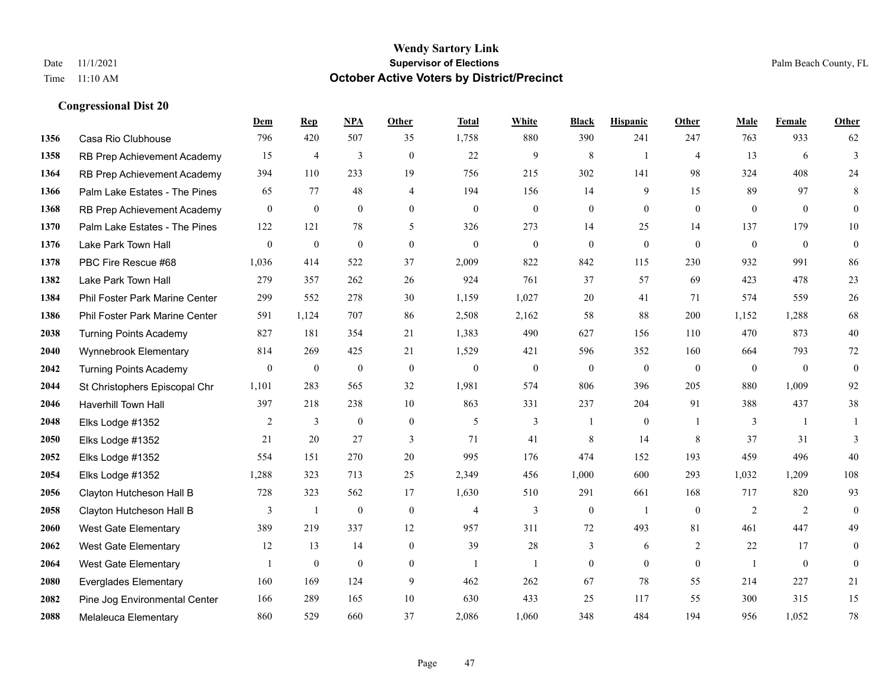|      |                                       | Dem            | <b>Rep</b>       | NPA              | <b>Other</b>     | <b>Total</b>     | <b>White</b>     | <b>Black</b>     | <b>Hispanic</b>  | Other          | <b>Male</b>      | <b>Female</b>    | <b>Other</b> |
|------|---------------------------------------|----------------|------------------|------------------|------------------|------------------|------------------|------------------|------------------|----------------|------------------|------------------|--------------|
| 1356 | Casa Rio Clubhouse                    | 796            | 420              | 507              | 35               | 1,758            | 880              | 390              | 241              | 247            | 763              | 933              | 62           |
| 1358 | RB Prep Achievement Academy           | 15             | $\overline{4}$   | 3                | $\theta$         | 22               | 9                | 8                | $\mathbf{1}$     | $\overline{4}$ | 13               | 6                | 3            |
| 1364 | RB Prep Achievement Academy           | 394            | 110              | 233              | 19               | 756              | 215              | 302              | 141              | 98             | 324              | 408              | 24           |
| 1366 | Palm Lake Estates - The Pines         | 65             | 77               | 48               | $\overline{4}$   | 194              | 156              | 14               | 9                | 15             | 89               | 97               | 8            |
| 1368 | RB Prep Achievement Academy           | $\mathbf{0}$   | $\mathbf{0}$     | $\mathbf{0}$     | $\theta$         | $\theta$         | $\mathbf{0}$     | $\overline{0}$   | $\Omega$         | $\theta$       | $\theta$         | $\theta$         | $\theta$     |
| 1370 | Palm Lake Estates - The Pines         | 122            | 121              | 78               | 5                | 326              | 273              | 14               | 25               | 14             | 137              | 179              | 10           |
| 1376 | Lake Park Town Hall                   | $\overline{0}$ | $\mathbf{0}$     | $\mathbf{0}$     | $\overline{0}$   | $\theta$         | $\mathbf{0}$     | $\mathbf{0}$     | $\overline{0}$   | $\theta$       | $\mathbf{0}$     | $\mathbf{0}$     | $\bf{0}$     |
| 1378 | PBC Fire Rescue #68                   | 1,036          | 414              | 522              | 37               | 2,009            | 822              | 842              | 115              | 230            | 932              | 991              | 86           |
| 1382 | Lake Park Town Hall                   | 279            | 357              | 262              | 26               | 924              | 761              | 37               | 57               | 69             | 423              | 478              | $23\,$       |
| 1384 | Phil Foster Park Marine Center        | 299            | 552              | 278              | 30               | 1,159            | 1,027            | 20               | 41               | 71             | 574              | 559              | $26\,$       |
| 1386 | <b>Phil Foster Park Marine Center</b> | 591            | 1,124            | 707              | 86               | 2,508            | 2,162            | 58               | 88               | 200            | 1,152            | 1,288            | 68           |
| 2038 | <b>Turning Points Academy</b>         | 827            | 181              | 354              | 21               | 1,383            | 490              | 627              | 156              | 110            | 470              | 873              | $40\,$       |
| 2040 | Wynnebrook Elementary                 | 814            | 269              | 425              | 21               | 1,529            | 421              | 596              | 352              | 160            | 664              | 793              | 72           |
| 2042 | <b>Turning Points Academy</b>         | $\mathbf{0}$   | $\boldsymbol{0}$ | $\boldsymbol{0}$ | $\boldsymbol{0}$ | $\boldsymbol{0}$ | $\boldsymbol{0}$ | $\boldsymbol{0}$ | $\boldsymbol{0}$ | $\mathbf{0}$   | $\boldsymbol{0}$ | $\boldsymbol{0}$ | $\mathbf{0}$ |
| 2044 | St Christophers Episcopal Chr         | 1,101          | 283              | 565              | 32               | 1,981            | 574              | 806              | 396              | 205            | 880              | 1,009            | 92           |
| 2046 | Haverhill Town Hall                   | 397            | 218              | 238              | 10               | 863              | 331              | 237              | 204              | 91             | 388              | 437              | 38           |
| 2048 | Elks Lodge #1352                      | 2              | 3                | $\mathbf{0}$     | $\mathbf{0}$     | 5                | 3                | $\overline{1}$   | $\overline{0}$   | $\overline{1}$ | 3                | $\overline{1}$   |              |
| 2050 | Elks Lodge #1352                      | 21             | 20               | 27               | 3                | 71               | 41               | 8                | 14               | 8              | 37               | 31               | 3            |
| 2052 | Elks Lodge #1352                      | 554            | 151              | 270              | 20               | 995              | 176              | 474              | 152              | 193            | 459              | 496              | 40           |
| 2054 | Elks Lodge #1352                      | 1,288          | 323              | 713              | 25               | 2,349            | 456              | 1,000            | 600              | 293            | 1,032            | 1,209            | 108          |
| 2056 | Clayton Hutcheson Hall B              | 728            | 323              | 562              | 17               | 1,630            | 510              | 291              | 661              | 168            | 717              | 820              | 93           |
| 2058 | Clayton Hutcheson Hall B              | 3              | $\mathbf{1}$     | $\mathbf{0}$     | $\mathbf{0}$     | $\overline{4}$   | 3                | $\mathbf{0}$     | -1               | $\mathbf{0}$   | 2                | 2                | $\theta$     |
| 2060 | West Gate Elementary                  | 389            | 219              | 337              | 12               | 957              | 311              | $72\,$           | 493              | 81             | 461              | 447              | 49           |
| 2062 | West Gate Elementary                  | 12             | 13               | 14               | $\overline{0}$   | 39               | 28               | 3                | 6                | 2              | 22               | 17               | $\theta$     |
| 2064 | West Gate Elementary                  |                | $\mathbf{0}$     | $\theta$         | $\overline{0}$   | $\mathbf{1}$     | 1                | $\overline{0}$   | $\Omega$         | $\theta$       | $\overline{1}$   | $\theta$         | $\theta$     |
| 2080 | <b>Everglades Elementary</b>          | 160            | 169              | 124              | 9                | 462              | 262              | 67               | 78               | 55             | 214              | 227              | 21           |
| 2082 | Pine Jog Environmental Center         | 166            | 289              | 165              | 10               | 630              | 433              | 25               | 117              | 55             | 300              | 315              | 15           |
| 2088 | Melaleuca Elementary                  | 860            | 529              | 660              | 37               | 2,086            | 1,060            | 348              | 484              | 194            | 956              | 1,052            | $78\,$       |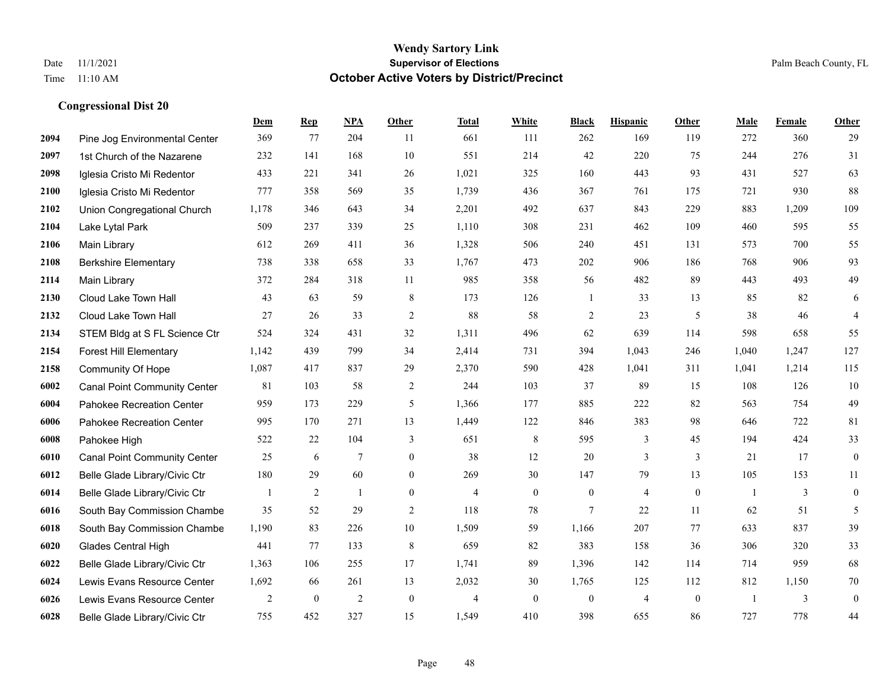|      |                                     | Dem            | <b>Rep</b>   | NPA            | <b>Other</b>     | <b>Total</b>   | <b>White</b>   | <b>Black</b>     | <b>Hispanic</b> | <b>Other</b>   | <b>Male</b>    | Female | <b>Other</b>     |
|------|-------------------------------------|----------------|--------------|----------------|------------------|----------------|----------------|------------------|-----------------|----------------|----------------|--------|------------------|
| 2094 | Pine Jog Environmental Center       | 369            | 77           | 204            | 11               | 661            | 111            | 262              | 169             | 119            | 272            | 360    | 29               |
| 2097 | 1st Church of the Nazarene          | 232            | 141          | 168            | $10\,$           | 551            | 214            | 42               | 220             | 75             | 244            | 276    | 31               |
| 2098 | Iglesia Cristo Mi Redentor          | 433            | 221          | 341            | 26               | 1,021          | 325            | 160              | 443             | 93             | 431            | 527    | 63               |
| 2100 | Iglesia Cristo Mi Redentor          | 777            | 358          | 569            | 35               | 1,739          | 436            | 367              | 761             | 175            | 721            | 930    | 88               |
| 2102 | Union Congregational Church         | 1,178          | 346          | 643            | 34               | 2,201          | 492            | 637              | 843             | 229            | 883            | 1,209  | 109              |
| 2104 | Lake Lytal Park                     | 509            | 237          | 339            | 25               | 1,110          | 308            | 231              | 462             | 109            | 460            | 595    | 55               |
| 2106 | Main Library                        | 612            | 269          | 411            | 36               | 1,328          | 506            | 240              | 451             | 131            | 573            | 700    | 55               |
| 2108 | <b>Berkshire Elementary</b>         | 738            | 338          | 658            | 33               | 1,767          | 473            | 202              | 906             | 186            | 768            | 906    | 93               |
| 2114 | Main Library                        | 372            | 284          | 318            | 11               | 985            | 358            | 56               | 482             | 89             | 443            | 493    | 49               |
| 2130 | Cloud Lake Town Hall                | 43             | 63           | 59             | 8                | 173            | 126            | 1                | 33              | 13             | 85             | 82     | 6                |
| 2132 | Cloud Lake Town Hall                | 27             | 26           | 33             | $\overline{2}$   | 88             | 58             | $\overline{c}$   | 23              | 5              | 38             | 46     | $\overline{4}$   |
| 2134 | STEM Bldg at S FL Science Ctr       | 524            | 324          | 431            | 32               | 1,311          | 496            | 62               | 639             | 114            | 598            | 658    | 55               |
| 2154 | <b>Forest Hill Elementary</b>       | 1,142          | 439          | 799            | 34               | 2,414          | 731            | 394              | 1,043           | 246            | 1,040          | 1,247  | 127              |
| 2158 | Community Of Hope                   | 1,087          | 417          | 837            | 29               | 2,370          | 590            | 428              | 1,041           | 311            | 1,041          | 1,214  | 115              |
| 6002 | <b>Canal Point Community Center</b> | 81             | 103          | 58             | 2                | 244            | 103            | 37               | 89              | 15             | 108            | 126    | 10               |
| 6004 | Pahokee Recreation Center           | 959            | 173          | 229            | 5                | 1,366          | 177            | 885              | 222             | 82             | 563            | 754    | 49               |
| 6006 | Pahokee Recreation Center           | 995            | 170          | 271            | 13               | 1,449          | 122            | 846              | 383             | 98             | 646            | 722    | 81               |
| 6008 | Pahokee High                        | 522            | 22           | 104            | 3                | 651            | 8              | 595              | 3               | 45             | 194            | 424    | 33               |
| 6010 | <b>Canal Point Community Center</b> | 25             | 6            | $\overline{7}$ | $\boldsymbol{0}$ | 38             | 12             | 20               | 3               | $\mathfrak{Z}$ | 21             | 17     | $\boldsymbol{0}$ |
| 6012 | Belle Glade Library/Civic Ctr       | 180            | 29           | 60             | $\overline{0}$   | 269            | 30             | 147              | 79              | 13             | 105            | 153    | 11               |
| 6014 | Belle Glade Library/Civic Ctr       | $\mathbf{1}$   | 2            | $\mathbf{1}$   | $\overline{0}$   | $\overline{4}$ | $\mathbf{0}$   | $\mathbf{0}$     | $\overline{4}$  | $\theta$       | $\overline{1}$ | 3      | $\mathbf{0}$     |
| 6016 | South Bay Commission Chambe         | 35             | 52           | 29             | $\overline{c}$   | 118            | 78             | 7                | 22              | 11             | 62             | 51     | 5                |
| 6018 | South Bay Commission Chambe         | 1,190          | 83           | 226            | 10               | 1,509          | 59             | 1,166            | 207             | 77             | 633            | 837    | 39               |
| 6020 | <b>Glades Central High</b>          | 441            | 77           | 133            | 8                | 659            | 82             | 383              | 158             | 36             | 306            | 320    | 33               |
| 6022 | Belle Glade Library/Civic Ctr       | 1,363          | 106          | 255            | 17               | 1,741          | 89             | 1,396            | 142             | 114            | 714            | 959    | 68               |
| 6024 | Lewis Evans Resource Center         | 1,692          | 66           | 261            | 13               | 2,032          | 30             | 1,765            | 125             | 112            | 812            | 1,150  | $70\,$           |
| 6026 | Lewis Evans Resource Center         | $\overline{2}$ | $\mathbf{0}$ | 2              | $\mathbf{0}$     | $\overline{4}$ | $\overline{0}$ | $\boldsymbol{0}$ | $\overline{4}$  | $\mathbf{0}$   | $\overline{1}$ | 3      | $\boldsymbol{0}$ |
| 6028 | Belle Glade Library/Civic Ctr       | 755            | 452          | 327            | 15               | 1,549          | 410            | 398              | 655             | 86             | 727            | 778    | 44               |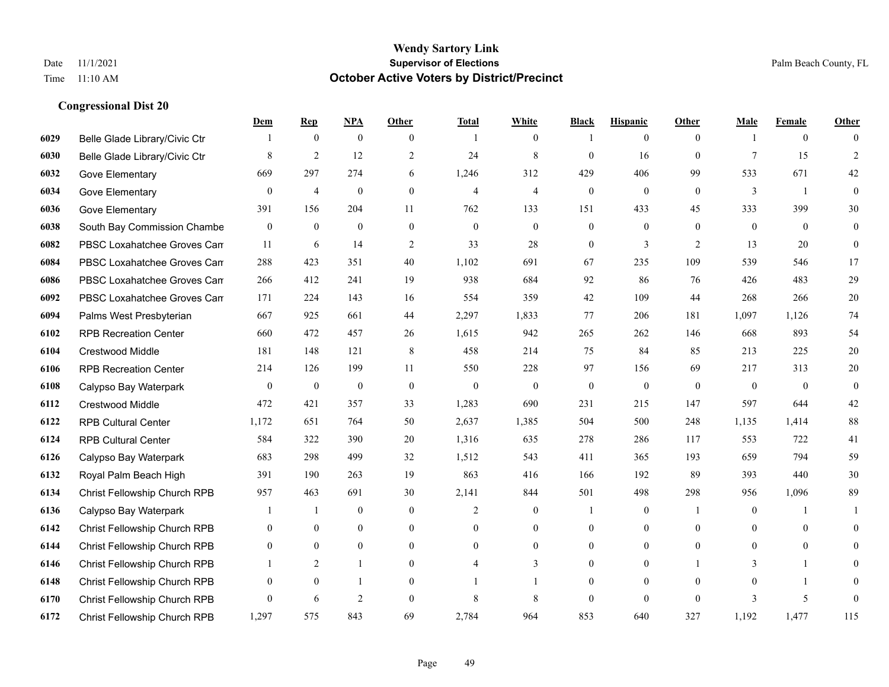#### **Wendy Sartory Link** Date 11/1/2021 **Supervisor of Elections** Palm Beach County, FL Time 11:10 AM **October Active Voters by District/Precinct**

# **Dem Rep NPA Other Total White Black Hispanic Other Male Female Other** Belle Glade Library/Civic Ctr 1 0 0 0 1 0 1 0 0 1 0 0 Belle Glade Library/Civic Ctr 8 2 12 2 24 8 0 16 0 7 15 2 Gove Elementary 669 297 274 6 1,246 312 429 406 99 533 671 42 Gove Elementary 0 4 0 4 4 0 0 0 3 1 0 Gove Elementary 391 156 204 11 762 133 151 433 45 333 399 30 South Bay Commission Chambers 0 0 0 0 0 0 0 0 0 0 0 0 **6082** PBSC Loxahatchee Groves Can 6  $14$  2  $33$  28 0  $3$  2  $13$  20 0 PBSC Loxahatchee Groves Campus 288 423 351 40 1,102 691 67 235 109 539 546 17 PBSC Loxahatchee Groves Campus 266 412 241 19 938 684 92 86 76 426 483 29 PBSC Loxahatchee Groves Campus 171 224 143 16 554 359 42 109 44 268 266 20 Palms West Presbyterian 667 925 661 44 2,297 1,833 77 206 181 1,097 1,126 74 RPB Recreation Center 660 472 457 26 1,615 942 265 262 146 668 893 54 Crestwood Middle 181 148 121 8 458 214 75 84 85 213 225 20 RPB Recreation Center 214 126 199 11 550 228 97 156 69 217 313 20 Calypso Bay Waterpark 0 0 0 0 0 0 0 0 0 0 0 0 Crestwood Middle 472 421 357 33 1,283 690 231 215 147 597 644 42 RPB Cultural Center 1,172 651 764 50 2,637 1,385 504 500 248 1,135 1,414 88 RPB Cultural Center 584 322 390 20 1,316 635 278 286 117 553 722 41 Calypso Bay Waterpark 683 298 499 32 1,512 543 411 365 193 659 794 59 Royal Palm Beach High 391 190 263 19 863 416 166 192 89 393 440 30 Christ Fellowship Church RPB 957 463 691 30 2,141 844 501 498 298 956 1,096 89 Calypso Bay Waterpark 1 1 0 0 2 0 1 0 1 0 1 1 Christ Fellowship Church RPB 0 0 0 0 0 0 0 0 0 0 0 0 Christ Fellowship Church RPB 0 0 0 0 0 0 0 0 0 0 0 0 Christ Fellowship Church RPB 1 2 1 0 4 3 0 0 1 3 1 0 Christ Fellowship Church RPB 0 0 1 0 1 1 0 0 0 0 1 0 Christ Fellowship Church RPB 0 6 2 0 8 8 0 0 0 3 5 0 Christ Fellowship Church RPB 1,297 575 843 69 2,784 964 853 640 327 1,192 1,477 115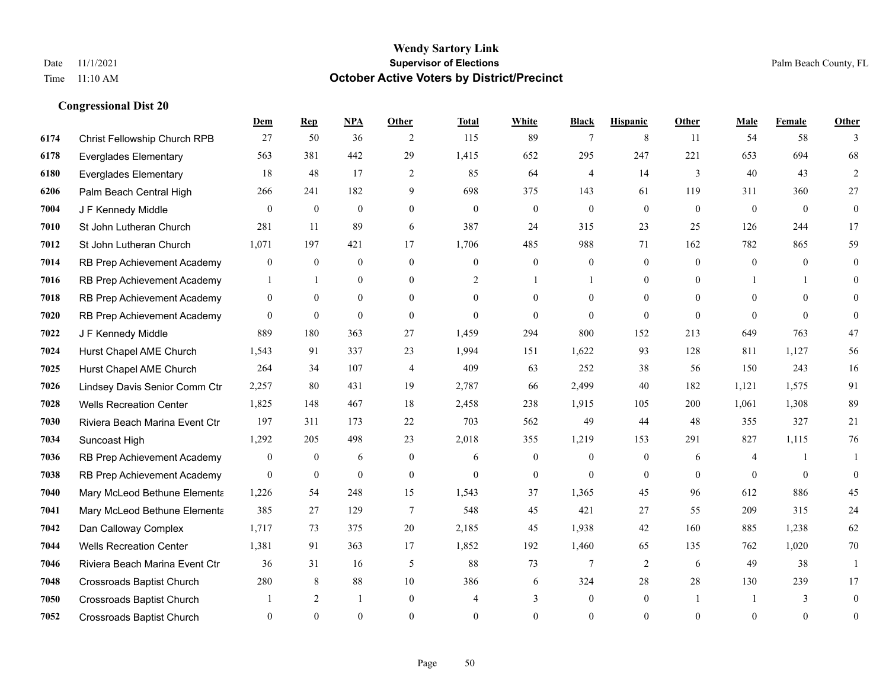|      |                                  | Dem              | <b>Rep</b>     | <b>NPA</b>       | <b>Other</b>   | Total          | White          | <b>Black</b>     | <b>Hispanic</b> | <b>Other</b> | <b>Male</b>    | Female       | <b>Other</b>     |
|------|----------------------------------|------------------|----------------|------------------|----------------|----------------|----------------|------------------|-----------------|--------------|----------------|--------------|------------------|
| 6174 | Christ Fellowship Church RPB     | 27               | 50             | 36               | 2              | 115            | 89             | $\overline{7}$   | 8               | 11           | 54             | 58           | 3                |
| 6178 | <b>Everglades Elementary</b>     | 563              | 381            | 442              | 29             | 1,415          | 652            | 295              | 247             | 221          | 653            | 694          | 68               |
| 6180 | <b>Everglades Elementary</b>     | 18               | 48             | 17               | 2              | 85             | 64             | 4                | 14              | 3            | 40             | 43           | 2                |
| 6206 | Palm Beach Central High          | 266              | 241            | 182              | 9              | 698            | 375            | 143              | 61              | 119          | 311            | 360          | $27\,$           |
| 7004 | J F Kennedy Middle               | $\theta$         | $\mathbf{0}$   | $\mathbf{0}$     | $\overline{0}$ | $\theta$       | $\overline{0}$ | $\mathbf{0}$     | $\overline{0}$  | $\theta$     | $\theta$       | $\theta$     | $\mathbf{0}$     |
| 7010 | St John Lutheran Church          | 281              | 11             | 89               | 6              | 387            | 24             | 315              | 23              | 25           | 126            | 244          | 17               |
| 7012 | St John Lutheran Church          | 1,071            | 197            | 421              | 17             | 1,706          | 485            | 988              | 71              | 162          | 782            | 865          | 59               |
| 7014 | RB Prep Achievement Academy      | $\boldsymbol{0}$ | $\overline{0}$ | $\theta$         | $\Omega$       | $\theta$       | $\overline{0}$ | $\mathbf{0}$     | $\Omega$        | $\theta$     | $\theta$       | $\theta$     | $\mathbf{0}$     |
| 7016 | RB Prep Achievement Academy      |                  | $\mathbf{1}$   | $\bf{0}$         | $\overline{0}$ | $\overline{2}$ | 1              |                  | $\mathbf{0}$    | $\theta$     |                |              | $\theta$         |
| 7018 | RB Prep Achievement Academy      | $\overline{0}$   | $\overline{0}$ | $\overline{0}$   | $\theta$       | $\theta$       | $\Omega$       | $\Omega$         | $\Omega$        | $\theta$     | $\theta$       | $\Omega$     | $\theta$         |
| 7020 | RB Prep Achievement Academy      | $\boldsymbol{0}$ | $\overline{0}$ | $\boldsymbol{0}$ | $\overline{0}$ | $\theta$       | $\overline{0}$ | $\mathbf{0}$     | $\mathbf{0}$    | $\theta$     | $\theta$       | $\theta$     | $\theta$         |
| 7022 | J F Kennedy Middle               | 889              | 180            | 363              | 27             | 1,459          | 294            | 800              | 152             | 213          | 649            | 763          | 47               |
| 7024 | Hurst Chapel AME Church          | 1,543            | 91             | 337              | 23             | 1,994          | 151            | 1,622            | 93              | 128          | 811            | 1,127        | 56               |
| 7025 | Hurst Chapel AME Church          | 264              | 34             | 107              | $\overline{4}$ | 409            | 63             | 252              | 38              | 56           | 150            | 243          | 16               |
| 7026 | Lindsey Davis Senior Comm Ctr    | 2,257            | 80             | 431              | 19             | 2.787          | 66             | 2,499            | 40              | 182          | 1,121          | 1.575        | 91               |
| 7028 | <b>Wells Recreation Center</b>   | 1,825            | 148            | 467              | 18             | 2,458          | 238            | 1,915            | 105             | 200          | 1,061          | 1,308        | 89               |
| 7030 | Riviera Beach Marina Event Ctr   | 197              | 311            | 173              | 22             | 703            | 562            | 49               | 44              | 48           | 355            | 327          | 21               |
| 7034 | Suncoast High                    | 1,292            | 205            | 498              | 23             | 2,018          | 355            | 1,219            | 153             | 291          | 827            | 1,115        | 76               |
| 7036 | RB Prep Achievement Academy      | $\overline{0}$   | $\mathbf{0}$   | 6                | $\overline{0}$ | 6              | $\overline{0}$ | $\mathbf{0}$     | $\mathbf{0}$    | 6            | $\overline{4}$ | $\mathbf{1}$ | $\mathbf{1}$     |
| 7038 | RB Prep Achievement Academy      | $\overline{0}$   | $\mathbf{0}$   | $\mathbf{0}$     | $\overline{0}$ | $\theta$       | $\overline{0}$ | $\mathbf{0}$     | $\overline{0}$  | $\theta$     | $\theta$       | $\theta$     | $\mathbf{0}$     |
| 7040 | Mary McLeod Bethune Elementa     | 1,226            | 54             | 248              | 15             | 1,543          | 37             | 1,365            | 45              | 96           | 612            | 886          | 45               |
| 7041 | Mary McLeod Bethune Elementa     | 385              | 27             | 129              | $\tau$         | 548            | 45             | 421              | 27              | 55           | 209            | 315          | $24\,$           |
| 7042 | Dan Calloway Complex             | 1,717            | 73             | 375              | 20             | 2,185          | 45             | 1,938            | 42              | 160          | 885            | 1,238        | 62               |
| 7044 | <b>Wells Recreation Center</b>   | 1,381            | 91             | 363              | 17             | 1,852          | 192            | 1,460            | 65              | 135          | 762            | 1,020        | $70\,$           |
| 7046 | Riviera Beach Marina Event Ctr   | 36               | 31             | 16               | 5              | 88             | 73             | $7\phantom{.0}$  | $\overline{2}$  | 6            | 49             | 38           |                  |
| 7048 | <b>Crossroads Baptist Church</b> | 280              | 8              | 88               | 10             | 386            | 6              | 324              | 28              | 28           | 130            | 239          | 17               |
| 7050 | Crossroads Baptist Church        |                  | 2              | 1                | $\overline{0}$ | $\overline{4}$ | 3              | $\boldsymbol{0}$ | $\mathbf{0}$    | -1           |                | 3            | $\mathbf{0}$     |
| 7052 | <b>Crossroads Baptist Church</b> | $\theta$         | $\Omega$       | $\theta$         | $\Omega$       | $\theta$       | $\Omega$       | $\mathbf{0}$     | $\theta$        | $\Omega$     | $\Omega$       | $\theta$     | $\boldsymbol{0}$ |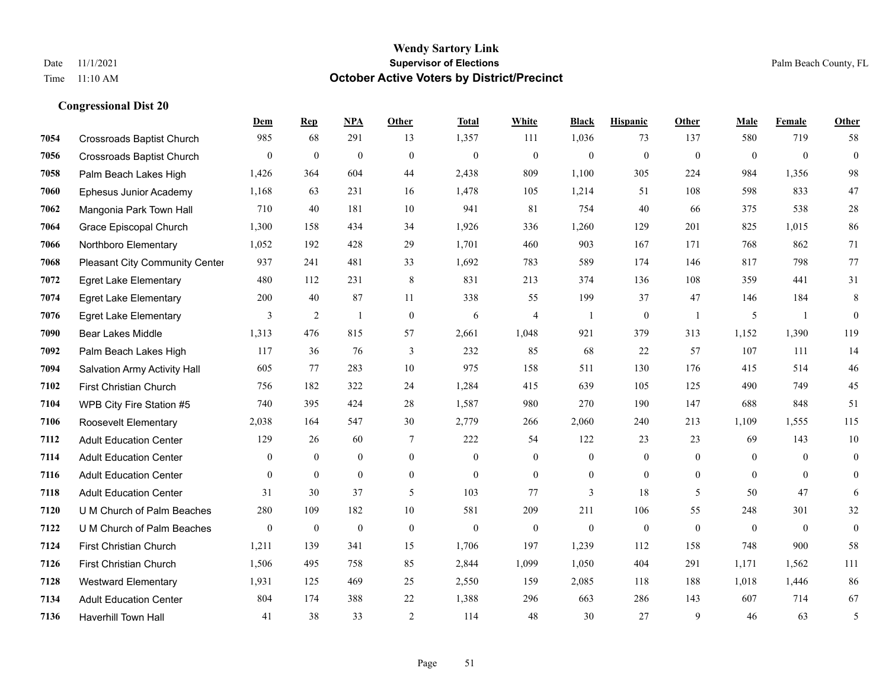#### **Wendy Sartory Link** Date 11/1/2021 **Supervisor of Elections** Palm Beach County, FL Time 11:10 AM **October Active Voters by District/Precinct**

# **Dem Rep NPA Other Total White Black Hispanic Other Male Female Other** Crossroads Baptist Church 985 68 291 13 1,357 111 1,036 73 137 580 719 58 Crossroads Baptist Church 0 0 0 0 0 0 0 0 0 0 0 0 Palm Beach Lakes High 1,426 364 604 44 2,438 809 1,100 305 224 984 1,356 98 Ephesus Junior Academy 1,168 63 231 16 1,478 105 1,214 51 108 598 833 47 Mangonia Park Town Hall 710 40 181 10 941 81 754 40 66 375 538 28 Grace Episcopal Church 1,300 158 434 34 1,926 336 1,260 129 201 825 1,015 86 Northboro Elementary 1,052 192 428 29 1,701 460 903 167 171 768 862 71 Pleasant City Community Center 937 241 481 33 1,692 783 589 174 146 817 798 77 Egret Lake Elementary 480 112 231 8 831 213 374 136 108 359 441 31 Egret Lake Elementary 200 40 87 11 338 55 199 37 47 146 184 8 Egret Lake Elementary 3 2 1 0 6 4 1 0 1 5 1 0 Bear Lakes Middle 1,313 476 815 57 2,661 1,048 921 379 313 1,152 1,390 119 Palm Beach Lakes High 117 36 76 3 232 85 68 22 57 107 111 14 Salvation Army Activity Hall 605 77 283 10 975 158 511 130 176 415 514 46 First Christian Church 756 182 322 24 1,284 415 639 105 125 490 749 45 WPB City Fire Station #5 740 395 424 28 1,587 980 270 190 147 688 848 51 Roosevelt Elementary 2,038 164 547 30 2,779 266 2,060 240 213 1,109 1,555 115 Adult Education Center 129 26 60 7 222 54 122 23 23 69 143 10 Adult Education Center 0 0 0 0 0 0 0 0 0 0 0 0 Adult Education Center 0 0 0 0 0 0 0 0 0 0 0 0 Adult Education Center 31 30 37 5 103 77 3 18 5 50 47 6 U M Church of Palm Beaches 280 109 182 10 581 209 211 106 55 248 301 32 U M Church of Palm Beaches 0 0 0 0 0 0 0 0 0 0 0 0 First Christian Church 1,211 139 341 15 1,706 197 1,239 112 158 748 900 58 First Christian Church 1,506 495 758 85 2,844 1,099 1,050 404 291 1,171 1,562 111 Westward Elementary 1,931 125 469 25 2,550 159 2,085 118 188 1,018 1,446 86 Adult Education Center 804 174 388 22 1,388 296 663 286 143 607 714 67 Haverhill Town Hall 41 38 33 2 114 48 30 27 9 46 63 5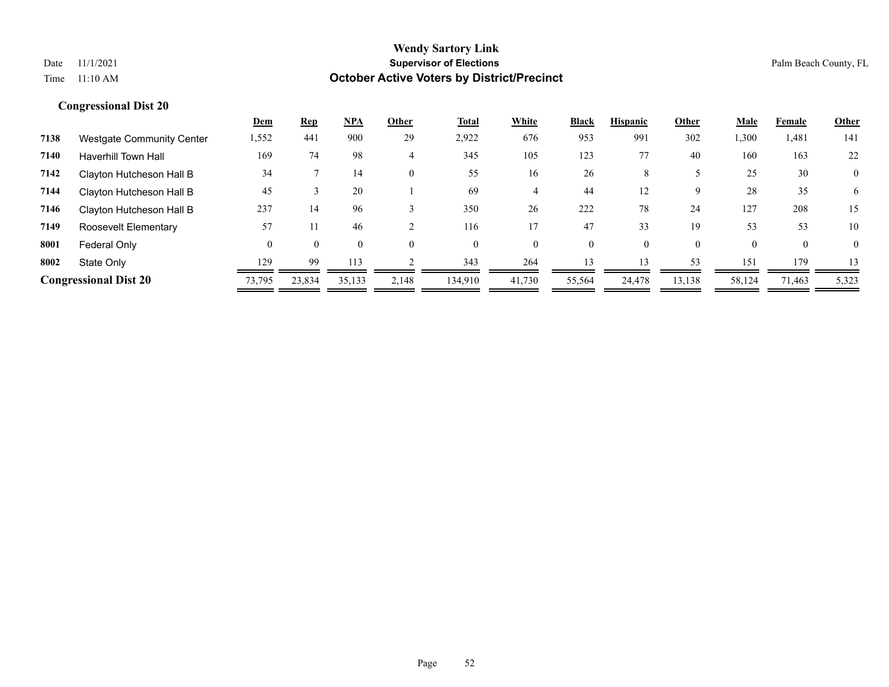|      |                                  | <u>Dem</u> | <b>Rep</b> | <b>NPA</b>   | Other    | <b>Total</b> | White    | <b>Black</b> | <b>Hispanic</b> | Other    | Male   | Female       | <b>Other</b> |
|------|----------------------------------|------------|------------|--------------|----------|--------------|----------|--------------|-----------------|----------|--------|--------------|--------------|
| 7138 | <b>Westgate Community Center</b> | 1,552      | 441        | 900          | 29       | 2,922        | 676      | 953          | 991             | 302      | 1,300  | 1,481        | 141          |
| 7140 | <b>Haverhill Town Hall</b>       | 169        | 74         | 98           | 4        | 345          | 105      | 123          | 77              | 40       | 160    | 163          | 22           |
| 7142 | Clayton Hutcheson Hall B         | 34         |            | 14           | $\theta$ | 55           | 16       | 26           | 8               |          | 25     | 30           | $\mathbf{0}$ |
| 7144 | Clayton Hutcheson Hall B         | 45         |            | 20           |          | 69           | 4        | 44           | 12              | 9        | 28     | 35           | 6            |
| 7146 | Clayton Hutcheson Hall B         | 237        | 14         | 96           |          | 350          | 26       | 222          | 78              | 24       | 127    | 208          | 15           |
| 7149 | Roosevelt Elementary             | 57         | 11         | 46           |          | 116          |          | 47           | 33              | 19       | 53     | 53           | 10           |
| 8001 | Federal Only                     |            | 0          | $\mathbf{0}$ | $\Omega$ | $\Omega$     | $\theta$ | $\theta$     | $\Omega$        | $\theta$ |        | $\mathbf{0}$ | $\mathbf{0}$ |
| 8002 | State Only                       | 129        | 99         | 113          |          | 343          | 264      | 13           | 13              | 53       | 151    | 179          | 13           |
|      | <b>Congressional Dist 20</b>     | 73,795     | 23.834     | 35,133       | 2,148    | 134,910      | 41,730   | 55,564       | 24.478          | 13,138   | 58,124 | 71,463       | 5,323        |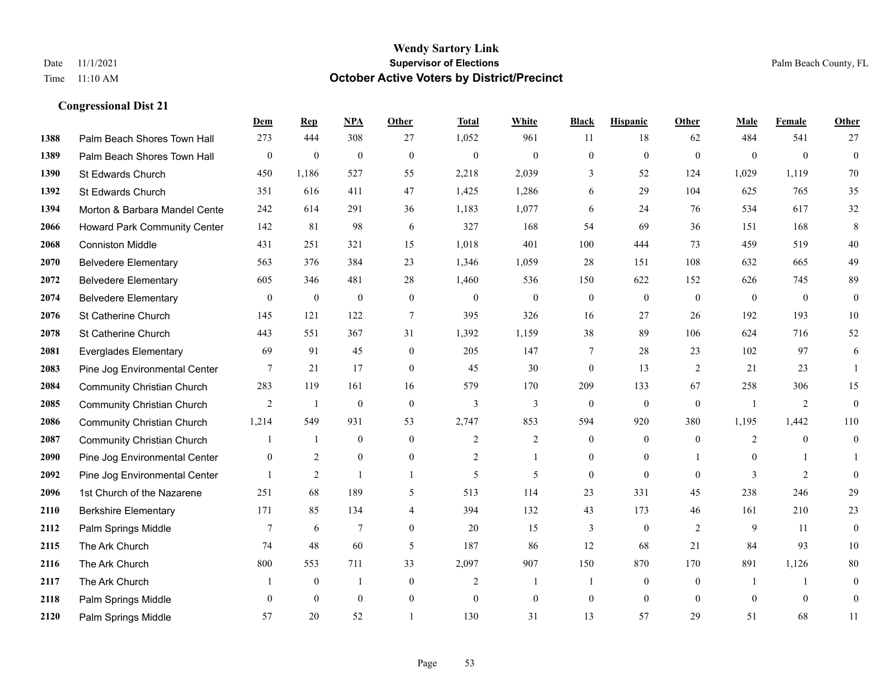|      |                                     | Dem          | <b>Rep</b>       | NPA            | <b>Other</b>   | <b>Total</b>             | <b>White</b>   | <b>Black</b>     | <b>Hispanic</b>  | <b>Other</b>   | <b>Male</b>    | <b>Female</b>  | <b>Other</b>     |
|------|-------------------------------------|--------------|------------------|----------------|----------------|--------------------------|----------------|------------------|------------------|----------------|----------------|----------------|------------------|
| 1388 | Palm Beach Shores Town Hall         | 273          | 444              | 308            | 27             | 1,052                    | 961            | 11               | 18               | 62             | 484            | 541            | 27               |
| 1389 | Palm Beach Shores Town Hall         | $\bf{0}$     | $\mathbf{0}$     | $\mathbf{0}$   | $\mathbf{0}$   | $\mathbf{0}$             | $\overline{0}$ | $\mathbf{0}$     | $\mathbf{0}$     | $\mathbf{0}$   | $\mathbf{0}$   | $\theta$       | $\mathbf{0}$     |
| 1390 | St Edwards Church                   | 450          | 1,186            | 527            | 55             | 2,218                    | 2,039          | 3                | 52               | 124            | 1,029          | 1,119          | 70               |
| 1392 | St Edwards Church                   | 351          | 616              | 411            | 47             | 1,425                    | 1,286          | 6                | 29               | 104            | 625            | 765            | 35               |
| 1394 | Morton & Barbara Mandel Cente       | 242          | 614              | 291            | 36             | 1,183                    | 1,077          | 6                | 24               | 76             | 534            | 617            | 32               |
| 2066 | <b>Howard Park Community Center</b> | 142          | 81               | 98             | 6              | 327                      | 168            | 54               | 69               | 36             | 151            | 168            | 8                |
| 2068 | <b>Conniston Middle</b>             | 431          | 251              | 321            | 15             | 1,018                    | 401            | 100              | 444              | 73             | 459            | 519            | $40\,$           |
| 2070 | <b>Belvedere Elementary</b>         | 563          | 376              | 384            | 23             | 1,346                    | 1,059          | 28               | 151              | 108            | 632            | 665            | 49               |
| 2072 | <b>Belvedere Elementary</b>         | 605          | 346              | 481            | 28             | 1,460                    | 536            | 150              | 622              | 152            | 626            | 745            | 89               |
| 2074 | <b>Belvedere Elementary</b>         | $\mathbf{0}$ | $\boldsymbol{0}$ | $\mathbf{0}$   | $\mathbf{0}$   | $\mathbf{0}$             | $\mathbf{0}$   | $\boldsymbol{0}$ | $\mathbf{0}$     | $\theta$       | $\overline{0}$ | $\mathbf{0}$   | $\mathbf{0}$     |
| 2076 | St Catherine Church                 | 145          | 121              | 122            | 7              | 395                      | 326            | 16               | 27               | 26             | 192            | 193            | $10\,$           |
| 2078 | St Catherine Church                 | 443          | 551              | 367            | 31             | 1,392                    | 1,159          | 38               | 89               | 106            | 624            | 716            | 52               |
| 2081 | <b>Everglades Elementary</b>        | 69           | 91               | 45             | $\mathbf{0}$   | 205                      | 147            | 7                | 28               | 23             | 102            | 97             | 6                |
| 2083 | Pine Jog Environmental Center       | 7            | 21               | 17             | $\mathbf{0}$   | 45                       | 30             | $\boldsymbol{0}$ | 13               | $\overline{2}$ | 21             | 23             | -1               |
| 2084 | <b>Community Christian Church</b>   | 283          | 119              | 161            | 16             | 579                      | 170            | 209              | 133              | 67             | 258            | 306            | 15               |
| 2085 | <b>Community Christian Church</b>   | 2            | -1               | $\mathbf{0}$   | $\mathbf{0}$   | 3                        | 3              | $\mathbf{0}$     | $\mathbf{0}$     | $\theta$       | -1             | $\overline{2}$ | $\mathbf{0}$     |
| 2086 | <b>Community Christian Church</b>   | 1,214        | 549              | 931            | 53             | 2,747                    | 853            | 594              | 920              | 380            | 1,195          | 1,442          | 110              |
| 2087 | <b>Community Christian Church</b>   |              | -1               | $\mathbf{0}$   | $\mathbf{0}$   | 2                        | $\overline{c}$ | $\mathbf{0}$     | $\overline{0}$   | $\mathbf{0}$   | $\overline{2}$ | $\mathbf{0}$   | $\boldsymbol{0}$ |
| 2090 | Pine Jog Environmental Center       | $\mathbf{0}$ | 2                | $\mathbf{0}$   | $\overline{0}$ | $\overline{c}$           |                | $\overline{0}$   | $\overline{0}$   |                | $\overline{0}$ |                |                  |
| 2092 | Pine Jog Environmental Center       |              | 2                | $\overline{1}$ | $\mathbf{1}$   | $\overline{\phantom{0}}$ | 5              | $\overline{0}$   | $\Omega$         | $\theta$       | 3              | 2              | $\theta$         |
| 2096 | 1st Church of the Nazarene          | 251          | 68               | 189            | 5              | 513                      | 114            | 23               | 331              | 45             | 238            | 246            | 29               |
| 2110 | <b>Berkshire Elementary</b>         | 171          | 85               | 134            | $\overline{4}$ | 394                      | 132            | 43               | 173              | 46             | 161            | 210            | 23               |
| 2112 | Palm Springs Middle                 | 7            | 6                | 7              | $\overline{0}$ | 20                       | 15             | 3                | $\boldsymbol{0}$ | 2              | 9              | 11             | $\mathbf{0}$     |
| 2115 | The Ark Church                      | 74           | 48               | 60             | 5              | 187                      | 86             | 12               | 68               | 21             | 84             | 93             | 10               |
| 2116 | The Ark Church                      | 800          | 553              | 711            | 33             | 2,097                    | 907            | 150              | 870              | 170            | 891            | 1,126          | $80\,$           |
| 2117 | The Ark Church                      |              | $\boldsymbol{0}$ |                | $\mathbf{0}$   | $\overline{2}$           | 1              | -1               | $\overline{0}$   | $\mathbf{0}$   | $\overline{1}$ |                | $\overline{0}$   |
| 2118 | Palm Springs Middle                 | $\mathbf{0}$ | $\mathbf{0}$     | $\mathbf{0}$   | $\mathbf{0}$   | $\theta$                 | $\overline{0}$ | $\boldsymbol{0}$ | $\mathbf{0}$     | $\mathbf{0}$   | $\theta$       | $\mathbf{0}$   | $\overline{0}$   |
| 2120 | Palm Springs Middle                 | 57           | 20               | 52             |                | 130                      | 31             | 13               | 57               | 29             | 51             | 68             | 11               |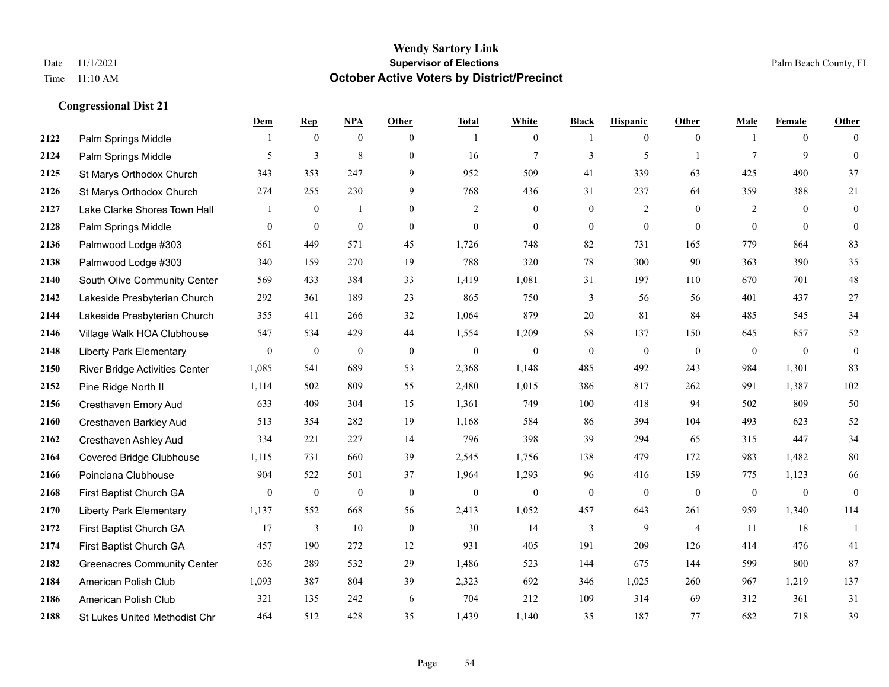|      |                                    | <b>Dem</b>     | <b>Rep</b>       | <u>NPA</u>       | <b>Other</b>     | <b>Total</b>     | <b>White</b>     | <b>Black</b>     | <b>Hispanic</b>  | <b>Other</b>   | <b>Male</b>    | <b>Female</b>  | <b>Other</b>     |
|------|------------------------------------|----------------|------------------|------------------|------------------|------------------|------------------|------------------|------------------|----------------|----------------|----------------|------------------|
| 2122 | Palm Springs Middle                |                | $\mathbf{0}$     | $\mathbf{0}$     | $\mathbf{0}$     | $\overline{1}$   | $\boldsymbol{0}$ | -1               | $\mathbf{0}$     | $\overline{0}$ |                | $\overline{0}$ | $\Omega$         |
| 2124 | Palm Springs Middle                | 5              | $\overline{3}$   | 8                | $\mathbf{0}$     | 16               | $\overline{7}$   | 3                | 5                |                | $\tau$         | 9              | $\theta$         |
| 2125 | St Marys Orthodox Church           | 343            | 353              | 247              | 9                | 952              | 509              | 41               | 339              | 63             | 425            | 490            | 37               |
| 2126 | St Marys Orthodox Church           | 274            | 255              | 230              | 9                | 768              | 436              | 31               | 237              | 64             | 359            | 388            | $21\,$           |
| 2127 | Lake Clarke Shores Town Hall       |                | $\mathbf{0}$     | $\overline{1}$   | $\overline{0}$   | 2                | $\mathbf{0}$     | $\mathbf{0}$     | 2                | $\Omega$       | 2              | $\Omega$       | $\boldsymbol{0}$ |
| 2128 | Palm Springs Middle                | 0              | $\boldsymbol{0}$ | $\boldsymbol{0}$ | $\boldsymbol{0}$ | $\boldsymbol{0}$ | $\boldsymbol{0}$ | $\boldsymbol{0}$ | $\boldsymbol{0}$ | $\overline{0}$ | $\overline{0}$ | $\mathbf{0}$   | $\mathbf{0}$     |
| 2136 | Palmwood Lodge #303                | 661            | 449              | 571              | 45               | 1,726            | 748              | 82               | 731              | 165            | 779            | 864            | 83               |
| 2138 | Palmwood Lodge #303                | 340            | 159              | 270              | 19               | 788              | 320              | 78               | 300              | 90             | 363            | 390            | 35               |
| 2140 | South Olive Community Center       | 569            | 433              | 384              | 33               | 1,419            | 1,081            | 31               | 197              | 110            | 670            | 701            | 48               |
| 2142 | Lakeside Presbyterian Church       | 292            | 361              | 189              | 23               | 865              | 750              | 3                | 56               | 56             | 401            | 437            | 27               |
| 2144 | Lakeside Presbyterian Church       | 355            | 411              | 266              | 32               | 1,064            | 879              | 20               | 81               | 84             | 485            | 545            | 34               |
| 2146 | Village Walk HOA Clubhouse         | 547            | 534              | 429              | 44               | 1,554            | 1,209            | 58               | 137              | 150            | 645            | 857            | 52               |
| 2148 | <b>Liberty Park Elementary</b>     | $\overline{0}$ | $\boldsymbol{0}$ | $\boldsymbol{0}$ | $\mathbf{0}$     | $\mathbf{0}$     | $\mathbf{0}$     | $\boldsymbol{0}$ | $\mathbf{0}$     | $\theta$       | $\mathbf{0}$   | $\mathbf{0}$   | $\boldsymbol{0}$ |
| 2150 | River Bridge Activities Center     | 1,085          | 541              | 689              | 53               | 2,368            | 1,148            | 485              | 492              | 243            | 984            | 1,301          | 83               |
| 2152 | Pine Ridge North II                | 1,114          | 502              | 809              | 55               | 2,480            | 1,015            | 386              | 817              | 262            | 991            | 1,387          | 102              |
| 2156 | Cresthaven Emory Aud               | 633            | 409              | 304              | 15               | 1,361            | 749              | 100              | 418              | 94             | 502            | 809            | 50               |
| 2160 | Cresthaven Barkley Aud             | 513            | 354              | 282              | 19               | 1,168            | 584              | 86               | 394              | 104            | 493            | 623            | 52               |
| 2162 | Cresthaven Ashley Aud              | 334            | 221              | 227              | 14               | 796              | 398              | 39               | 294              | 65             | 315            | 447            | 34               |
| 2164 | <b>Covered Bridge Clubhouse</b>    | 1,115          | 731              | 660              | 39               | 2,545            | 1,756            | 138              | 479              | 172            | 983            | 1,482          | 80               |
| 2166 | Poinciana Clubhouse                | 904            | 522              | 501              | 37               | 1,964            | 1,293            | 96               | 416              | 159            | 775            | 1,123          | 66               |
| 2168 | First Baptist Church GA            | $\overline{0}$ | $\mathbf{0}$     | $\boldsymbol{0}$ | $\mathbf{0}$     | $\theta$         | $\boldsymbol{0}$ | $\boldsymbol{0}$ | $\overline{0}$   | $\theta$       | $\overline{0}$ | $\mathbf{0}$   | $\mathbf{0}$     |
| 2170 | <b>Liberty Park Elementary</b>     | 1,137          | 552              | 668              | 56               | 2,413            | 1,052            | 457              | 643              | 261            | 959            | 1,340          | 114              |
| 2172 | First Baptist Church GA            | 17             | 3                | 10               | $\mathbf{0}$     | 30               | 14               | 3                | 9                | $\overline{4}$ | 11             | 18             | $\mathbf{1}$     |
| 2174 | First Baptist Church GA            | 457            | 190              | 272              | 12               | 931              | 405              | 191              | 209              | 126            | 414            | 476            | 41               |
| 2182 | <b>Greenacres Community Center</b> | 636            | 289              | 532              | 29               | 1.486            | 523              | 144              | 675              | 144            | 599            | 800            | 87               |
| 2184 | American Polish Club               | 1,093          | 387              | 804              | 39               | 2,323            | 692              | 346              | 1,025            | 260            | 967            | 1,219          | 137              |
| 2186 | American Polish Club               | 321            | 135              | 242              | 6                | 704              | 212              | 109              | 314              | 69             | 312            | 361            | 31               |
| 2188 | St Lukes United Methodist Chr      | 464            | 512              | 428              | 35               | 1,439            | 1,140            | 35               | 187              | 77             | 682            | 718            | 39               |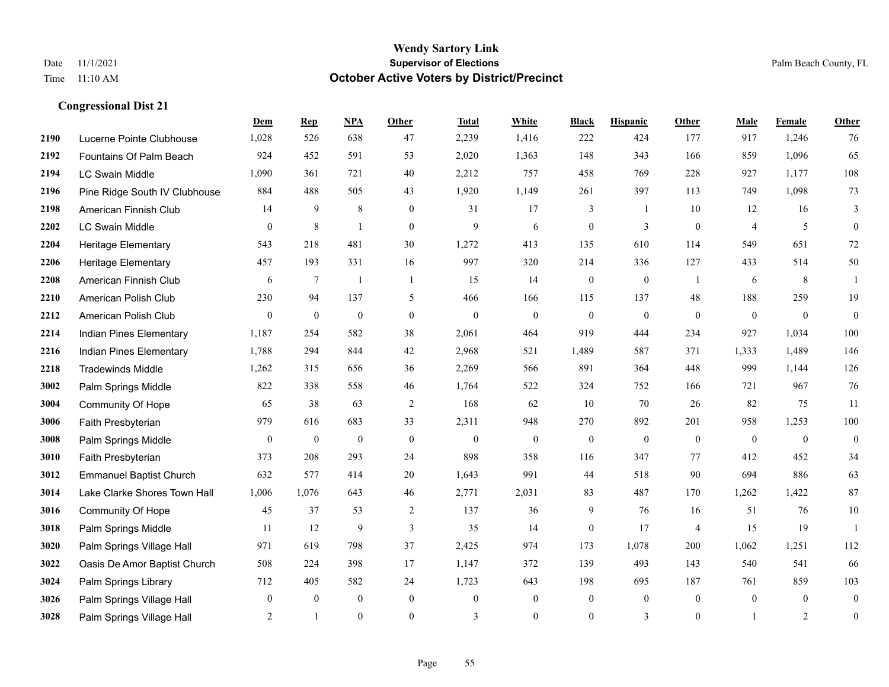|      |                                | Dem            | <b>Rep</b>       | NPA          | <b>Other</b>   | <b>Total</b>     | <b>White</b>   | <b>Black</b>     | <b>Hispanic</b>  | Other          | <b>Male</b>    | <b>Female</b>  | <b>Other</b>     |
|------|--------------------------------|----------------|------------------|--------------|----------------|------------------|----------------|------------------|------------------|----------------|----------------|----------------|------------------|
| 2190 | Lucerne Pointe Clubhouse       | 1,028          | 526              | 638          | 47             | 2,239            | 1,416          | 222              | 424              | 177            | 917            | 1,246          | 76               |
| 2192 | Fountains Of Palm Beach        | 924            | 452              | 591          | 53             | 2,020            | 1,363          | 148              | 343              | 166            | 859            | 1,096          | 65               |
| 2194 | <b>LC Swain Middle</b>         | 1,090          | 361              | 721          | 40             | 2,212            | 757            | 458              | 769              | 228            | 927            | 1,177          | 108              |
| 2196 | Pine Ridge South IV Clubhouse  | 884            | 488              | 505          | 43             | 1,920            | 1,149          | 261              | 397              | 113            | 749            | 1,098          | 73               |
| 2198 | American Finnish Club          | 14             | 9                | $\,$ 8 $\,$  | $\overline{0}$ | 31               | 17             | 3                | 1                | 10             | 12             | 16             | 3                |
| 2202 | <b>LC Swain Middle</b>         | $\mathbf{0}$   | 8                | -1           | $\mathbf{0}$   | 9                | 6              | $\overline{0}$   | 3                | $\mathbf{0}$   | $\overline{4}$ | 5              | $\mathbf{0}$     |
| 2204 | Heritage Elementary            | 543            | 218              | 481          | 30             | 1,272            | 413            | 135              | 610              | 114            | 549            | 651            | $72\,$           |
| 2206 | <b>Heritage Elementary</b>     | 457            | 193              | 331          | 16             | 997              | 320            | 214              | 336              | 127            | 433            | 514            | 50               |
| 2208 | American Finnish Club          | 6              | $7\phantom{.0}$  | $\mathbf{1}$ | -1             | 15               | 14             | $\boldsymbol{0}$ | $\overline{0}$   | $\overline{1}$ | 6              | 8              |                  |
| 2210 | American Polish Club           | 230            | 94               | 137          | 5              | 466              | 166            | 115              | 137              | 48             | 188            | 259            | 19               |
| 2212 | American Polish Club           | $\overline{0}$ | $\overline{0}$   | $\mathbf{0}$ | $\mathbf{0}$   | $\mathbf{0}$     | $\overline{0}$ | $\mathbf{0}$     | $\mathbf{0}$     | $\theta$       | $\mathbf{0}$   | $\mathbf{0}$   | $\mathbf{0}$     |
| 2214 | Indian Pines Elementary        | 1,187          | 254              | 582          | 38             | 2,061            | 464            | 919              | 444              | 234            | 927            | 1,034          | 100              |
| 2216 | Indian Pines Elementary        | 1,788          | 294              | 844          | 42             | 2,968            | 521            | 1,489            | 587              | 371            | 1,333          | 1,489          | 146              |
| 2218 | <b>Tradewinds Middle</b>       | 1,262          | 315              | 656          | 36             | 2,269            | 566            | 891              | 364              | 448            | 999            | 1,144          | 126              |
| 3002 | Palm Springs Middle            | 822            | 338              | 558          | 46             | 1,764            | 522            | 324              | 752              | 166            | 721            | 967            | 76               |
| 3004 | <b>Community Of Hope</b>       | 65             | 38               | 63           | 2              | 168              | 62             | 10               | 70               | 26             | 82             | 75             | 11               |
| 3006 | Faith Presbyterian             | 979            | 616              | 683          | 33             | 2,311            | 948            | 270              | 892              | 201            | 958            | 1,253          | 100              |
| 3008 | Palm Springs Middle            | $\mathbf{0}$   | $\boldsymbol{0}$ | $\mathbf{0}$ | $\theta$       | $\theta$         | $\overline{0}$ | $\mathbf{0}$     | $\overline{0}$   | $\mathbf{0}$   | $\theta$       | $\overline{0}$ | $\mathbf{0}$     |
| 3010 | Faith Presbyterian             | 373            | 208              | 293          | 24             | 898              | 358            | 116              | 347              | 77             | 412            | 452            | 34               |
| 3012 | <b>Emmanuel Baptist Church</b> | 632            | 577              | 414          | 20             | 1,643            | 991            | 44               | 518              | 90             | 694            | 886            | 63               |
| 3014 | Lake Clarke Shores Town Hall   | 1,006          | 1,076            | 643          | 46             | 2,771            | 2,031          | 83               | 487              | 170            | 1,262          | 1,422          | 87               |
| 3016 | <b>Community Of Hope</b>       | 45             | 37               | 53           | 2              | 137              | 36             | 9                | 76               | 16             | 51             | 76             | $10\,$           |
| 3018 | Palm Springs Middle            | 11             | 12               | 9            | 3              | 35               | 14             | $\overline{0}$   | 17               | $\overline{4}$ | 15             | 19             | $\mathbf{1}$     |
| 3020 | Palm Springs Village Hall      | 971            | 619              | 798          | 37             | 2,425            | 974            | 173              | 1,078            | 200            | 1,062          | 1,251          | 112              |
| 3022 | Oasis De Amor Baptist Church   | 508            | 224              | 398          | 17             | 1,147            | 372            | 139              | 493              | 143            | 540            | 541            | 66               |
| 3024 | Palm Springs Library           | 712            | 405              | 582          | 24             | 1,723            | 643            | 198              | 695              | 187            | 761            | 859            | 103              |
| 3026 | Palm Springs Village Hall      | $\mathbf{0}$   | $\boldsymbol{0}$ | $\mathbf{0}$ | $\mathbf{0}$   | $\boldsymbol{0}$ | $\mathbf{0}$   | $\boldsymbol{0}$ | $\boldsymbol{0}$ | $\mathbf{0}$   | $\mathbf{0}$   | $\mathbf{0}$   | $\bf{0}$         |
| 3028 | Palm Springs Village Hall      | 2              | $\mathbf{1}$     | $\mathbf{0}$ | $\theta$       | 3                | $\overline{0}$ | $\overline{0}$   | 3                | $\mathbf{0}$   |                | 2              | $\boldsymbol{0}$ |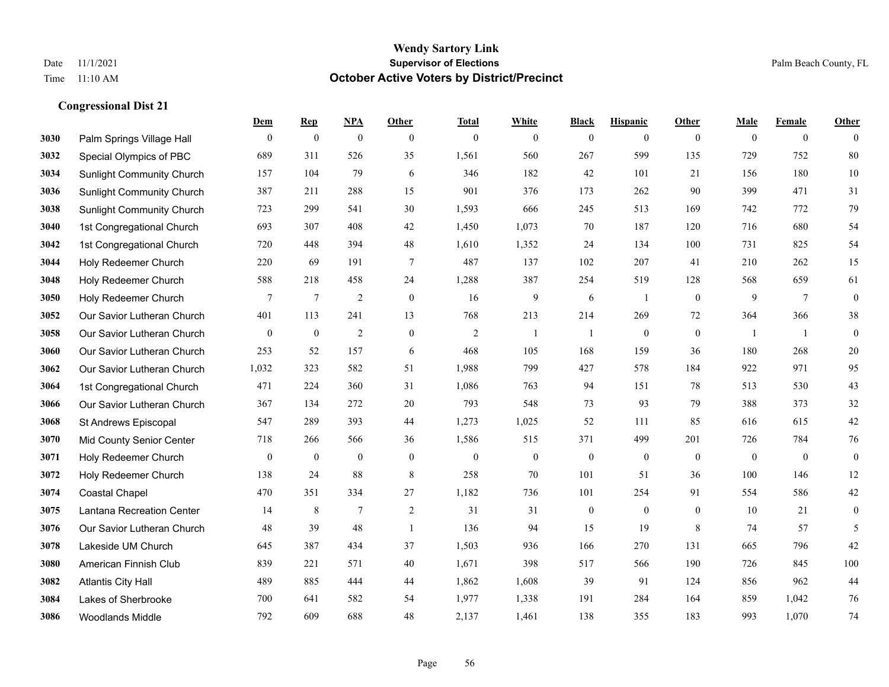#### **Wendy Sartory Link** Date 11/1/2021 **Supervisor of Elections** Palm Beach County, FL Time 11:10 AM **October Active Voters by District/Precinct**

# **Dem Rep NPA Other Total White Black Hispanic Other Male Female Other** Palm Springs Village Hall 0 0 0 0 0 0 0 0 0 0 0 0 Special Olympics of PBC 689 311 526 35 1,561 560 267 599 135 729 752 80 Sunlight Community Church 157 104 79 6 346 182 42 101 21 156 180 10 Sunlight Community Church 387 211 288 15 901 376 173 262 90 399 471 31 Sunlight Community Church 723 299 541 30 1,593 666 245 513 169 742 772 79 1st Congregational Church 693 307 408 42 1,450 1,073 70 187 120 716 680 54 1st Congregational Church 720 448 394 48 1,610 1,352 24 134 100 731 825 54 Holy Redeemer Church 220 69 191 7 487 137 102 207 41 210 262 15 Holy Redeemer Church 588 218 458 24 1,288 387 254 519 128 568 659 61 Holy Redeemer Church **7** 7 7 2 0 16 9 6 1 0 9 7 0 Our Savior Lutheran Church 401 113 241 13 768 213 214 269 72 364 366 38 Our Savior Lutheran Church 0 0 0 2 0 0 2 1 1 0 0 0 1 1 0 Our Savior Lutheran Church 253 52 157 6 468 105 168 159 36 180 268 20 Our Savior Lutheran Church 1,032 323 582 51 1,988 799 427 578 184 922 971 95 1st Congregational Church 471 224 360 31 1,086 763 94 151 78 513 530 43 Our Savior Lutheran Church 367 134 272 20 793 548 73 93 79 388 373 32 St Andrews Episcopal 547 289 393 44 1,273 1,025 52 111 85 616 615 42 Mid County Senior Center 718 266 566 36 1,586 515 371 499 201 726 784 76 Holy Redeemer Church 0 0 0 0 0 0 0 0 0 0 0 0 Holy Redeemer Church 138 24 88 8 258 70 101 51 36 100 146 12 Coastal Chapel 470 351 334 27 1,182 736 101 254 91 554 586 42 Lantana Recreation Center 14 8 7 2 31 31 0 0 0 10 21 0 Our Savior Lutheran Church 48 39 48 1 136 94 15 19 8 74 57 5 Lakeside UM Church 645 387 434 37 1,503 936 166 270 131 665 796 42 American Finnish Club 839 221 571 40 1,671 398 517 566 190 726 845 100 Atlantis City Hall 489 885 444 44 1,862 1,608 39 91 124 856 962 44 Lakes of Sherbrooke 700 641 582 54 1,977 1,338 191 284 164 859 1,042 76 Woodlands Middle 792 609 688 48 2,137 1,461 138 355 183 993 1,070 74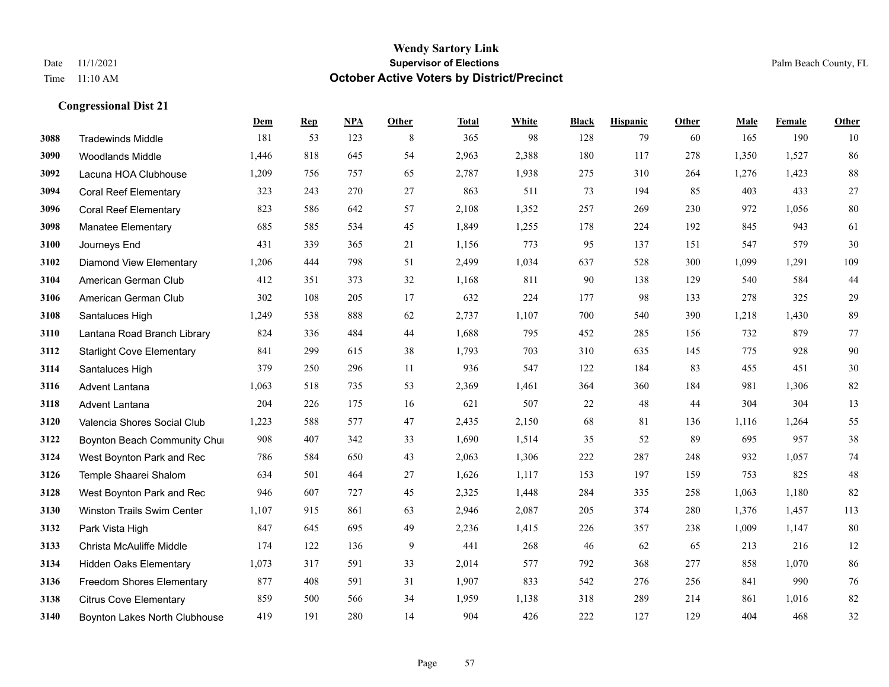|      |                                  | Dem   | <b>Rep</b> | NPA | <b>Other</b> | <b>Total</b> | <b>White</b> | <b>Black</b> | <b>Hispanic</b> | <b>Other</b> | <b>Male</b> | Female | <b>Other</b> |
|------|----------------------------------|-------|------------|-----|--------------|--------------|--------------|--------------|-----------------|--------------|-------------|--------|--------------|
| 3088 | <b>Tradewinds Middle</b>         | 181   | 53         | 123 | 8            | 365          | 98           | 128          | 79              | 60           | 165         | 190    | 10           |
| 3090 | <b>Woodlands Middle</b>          | 1,446 | 818        | 645 | 54           | 2,963        | 2,388        | 180          | 117             | 278          | 1,350       | 1,527  | 86           |
| 3092 | Lacuna HOA Clubhouse             | 1,209 | 756        | 757 | 65           | 2,787        | 1,938        | 275          | 310             | 264          | 1,276       | 1,423  | $88\,$       |
| 3094 | <b>Coral Reef Elementary</b>     | 323   | 243        | 270 | 27           | 863          | 511          | 73           | 194             | 85           | 403         | 433    | $27\,$       |
| 3096 | <b>Coral Reef Elementary</b>     | 823   | 586        | 642 | 57           | 2,108        | 1,352        | 257          | 269             | 230          | 972         | 1,056  | $80\,$       |
| 3098 | <b>Manatee Elementary</b>        | 685   | 585        | 534 | 45           | 1,849        | 1,255        | 178          | 224             | 192          | 845         | 943    | 61           |
| 3100 | Journeys End                     | 431   | 339        | 365 | 21           | 1,156        | 773          | 95           | 137             | 151          | 547         | 579    | 30           |
| 3102 | Diamond View Elementary          | 1,206 | 444        | 798 | 51           | 2,499        | 1,034        | 637          | 528             | 300          | 1,099       | 1,291  | 109          |
| 3104 | American German Club             | 412   | 351        | 373 | 32           | 1,168        | 811          | 90           | 138             | 129          | 540         | 584    | 44           |
| 3106 | American German Club             | 302   | 108        | 205 | 17           | 632          | 224          | 177          | 98              | 133          | 278         | 325    | $29\,$       |
| 3108 | Santaluces High                  | 1,249 | 538        | 888 | 62           | 2,737        | 1,107        | 700          | 540             | 390          | 1,218       | 1,430  | 89           |
| 3110 | Lantana Road Branch Library      | 824   | 336        | 484 | 44           | 1,688        | 795          | 452          | 285             | 156          | 732         | 879    | 77           |
| 3112 | <b>Starlight Cove Elementary</b> | 841   | 299        | 615 | 38           | 1,793        | 703          | 310          | 635             | 145          | 775         | 928    | $90\,$       |
| 3114 | Santaluces High                  | 379   | 250        | 296 | 11           | 936          | 547          | 122          | 184             | 83           | 455         | 451    | $30\,$       |
| 3116 | Advent Lantana                   | 1,063 | 518        | 735 | 53           | 2,369        | 1,461        | 364          | 360             | 184          | 981         | 1,306  | $82\,$       |
| 3118 | Advent Lantana                   | 204   | 226        | 175 | 16           | 621          | 507          | 22           | 48              | 44           | 304         | 304    | 13           |
| 3120 | Valencia Shores Social Club      | 1,223 | 588        | 577 | 47           | 2,435        | 2,150        | 68           | 81              | 136          | 1,116       | 1,264  | 55           |
| 3122 | Boynton Beach Community Chur     | 908   | 407        | 342 | 33           | 1,690        | 1,514        | 35           | 52              | 89           | 695         | 957    | $38\,$       |
| 3124 | West Boynton Park and Rec        | 786   | 584        | 650 | 43           | 2,063        | 1,306        | 222          | 287             | 248          | 932         | 1,057  | $74\,$       |
| 3126 | Temple Shaarei Shalom            | 634   | 501        | 464 | 27           | 1,626        | 1,117        | 153          | 197             | 159          | 753         | 825    | $48\,$       |
| 3128 | West Boynton Park and Rec        | 946   | 607        | 727 | 45           | 2,325        | 1,448        | 284          | 335             | 258          | 1,063       | 1,180  | 82           |
| 3130 | Winston Trails Swim Center       | 1,107 | 915        | 861 | 63           | 2,946        | 2,087        | 205          | 374             | 280          | 1,376       | 1,457  | 113          |
| 3132 | Park Vista High                  | 847   | 645        | 695 | 49           | 2,236        | 1,415        | 226          | 357             | 238          | 1,009       | 1,147  | 80           |
| 3133 | Christa McAuliffe Middle         | 174   | 122        | 136 | 9            | 441          | 268          | 46           | 62              | 65           | 213         | 216    | 12           |
| 3134 | <b>Hidden Oaks Elementary</b>    | 1,073 | 317        | 591 | 33           | 2,014        | 577          | 792          | 368             | 277          | 858         | 1,070  | 86           |
| 3136 | <b>Freedom Shores Elementary</b> | 877   | 408        | 591 | 31           | 1,907        | 833          | 542          | 276             | 256          | 841         | 990    | $76\,$       |
| 3138 | <b>Citrus Cove Elementary</b>    | 859   | 500        | 566 | 34           | 1,959        | 1,138        | 318          | 289             | 214          | 861         | 1,016  | $82\,$       |
| 3140 | Boynton Lakes North Clubhouse    | 419   | 191        | 280 | 14           | 904          | 426          | 222          | 127             | 129          | 404         | 468    | 32           |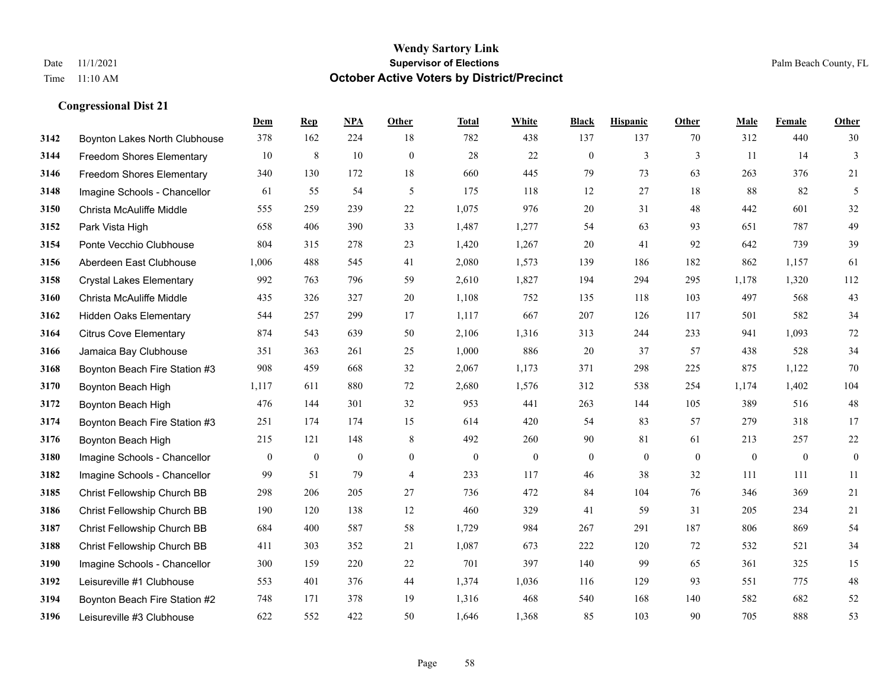|      |                                  | Dem            | <b>Rep</b>   | NPA          | <b>Other</b>   | <b>Total</b>     | <b>White</b>     | <b>Black</b>     | <b>Hispanic</b> | <b>Other</b>   | <b>Male</b>    | Female       | <b>Other</b>     |
|------|----------------------------------|----------------|--------------|--------------|----------------|------------------|------------------|------------------|-----------------|----------------|----------------|--------------|------------------|
| 3142 | Boynton Lakes North Clubhouse    | 378            | 162          | 224          | 18             | 782              | 438              | 137              | 137             | 70             | 312            | 440          | 30               |
| 3144 | <b>Freedom Shores Elementary</b> | 10             | 8            | 10           | $\mathbf{0}$   | 28               | 22               | $\mathbf{0}$     | $\overline{3}$  | 3              | 11             | 14           | 3                |
| 3146 | Freedom Shores Elementary        | 340            | 130          | 172          | 18             | 660              | 445              | 79               | 73              | 63             | 263            | 376          | 21               |
| 3148 | Imagine Schools - Chancellor     | 61             | 55           | 54           | 5              | 175              | 118              | 12               | 27              | 18             | 88             | 82           | 5                |
| 3150 | Christa McAuliffe Middle         | 555            | 259          | 239          | 22             | 1,075            | 976              | 20               | 31              | 48             | 442            | 601          | 32               |
| 3152 | Park Vista High                  | 658            | 406          | 390          | 33             | 1,487            | 1,277            | 54               | 63              | 93             | 651            | 787          | 49               |
| 3154 | Ponte Vecchio Clubhouse          | 804            | 315          | 278          | 23             | 1,420            | 1,267            | 20               | 41              | 92             | 642            | 739          | 39               |
| 3156 | Aberdeen East Clubhouse          | 1,006          | 488          | 545          | 41             | 2,080            | 1,573            | 139              | 186             | 182            | 862            | 1,157        | 61               |
| 3158 | <b>Crystal Lakes Elementary</b>  | 992            | 763          | 796          | 59             | 2,610            | 1,827            | 194              | 294             | 295            | 1,178          | 1,320        | 112              |
| 3160 | Christa McAuliffe Middle         | 435            | 326          | 327          | 20             | 1,108            | 752              | 135              | 118             | 103            | 497            | 568          | 43               |
| 3162 | Hidden Oaks Elementary           | 544            | 257          | 299          | 17             | 1,117            | 667              | 207              | 126             | 117            | 501            | 582          | 34               |
| 3164 | <b>Citrus Cove Elementary</b>    | 874            | 543          | 639          | 50             | 2,106            | 1,316            | 313              | 244             | 233            | 941            | 1,093        | 72               |
| 3166 | Jamaica Bay Clubhouse            | 351            | 363          | 261          | 25             | 1,000            | 886              | 20               | 37              | 57             | 438            | 528          | 34               |
| 3168 | Boynton Beach Fire Station #3    | 908            | 459          | 668          | 32             | 2,067            | 1,173            | 371              | 298             | 225            | 875            | 1,122        | $70\,$           |
| 3170 | Boynton Beach High               | 1,117          | 611          | 880          | 72             | 2,680            | 1,576            | 312              | 538             | 254            | 1,174          | 1,402        | 104              |
| 3172 | Boynton Beach High               | 476            | 144          | 301          | 32             | 953              | 441              | 263              | 144             | 105            | 389            | 516          | 48               |
| 3174 | Boynton Beach Fire Station #3    | 251            | 174          | 174          | 15             | 614              | 420              | 54               | 83              | 57             | 279            | 318          | 17               |
| 3176 | Boynton Beach High               | 215            | 121          | 148          | 8              | 492              | 260              | 90               | 81              | 61             | 213            | 257          | $22\,$           |
| 3180 | Imagine Schools - Chancellor     | $\overline{0}$ | $\mathbf{0}$ | $\mathbf{0}$ | $\overline{0}$ | $\boldsymbol{0}$ | $\boldsymbol{0}$ | $\boldsymbol{0}$ | $\overline{0}$  | $\overline{0}$ | $\overline{0}$ | $\mathbf{0}$ | $\boldsymbol{0}$ |
| 3182 | Imagine Schools - Chancellor     | 99             | 51           | 79           | $\overline{4}$ | 233              | 117              | 46               | 38              | 32             | 111            | 111          | 11               |
| 3185 | Christ Fellowship Church BB      | 298            | 206          | 205          | 27             | 736              | 472              | 84               | 104             | 76             | 346            | 369          | 21               |
| 3186 | Christ Fellowship Church BB      | 190            | 120          | 138          | 12             | 460              | 329              | 41               | 59              | 31             | 205            | 234          | $21\,$           |
| 3187 | Christ Fellowship Church BB      | 684            | 400          | 587          | 58             | 1,729            | 984              | 267              | 291             | 187            | 806            | 869          | 54               |
| 3188 | Christ Fellowship Church BB      | 411            | 303          | 352          | 21             | 1,087            | 673              | 222              | 120             | 72             | 532            | 521          | 34               |
| 3190 | Imagine Schools - Chancellor     | 300            | 159          | 220          | 22             | 701              | 397              | 140              | 99              | 65             | 361            | 325          | 15               |
| 3192 | Leisureville #1 Clubhouse        | 553            | 401          | 376          | 44             | 1,374            | 1,036            | 116              | 129             | 93             | 551            | 775          | $48\,$           |
| 3194 | Boynton Beach Fire Station #2    | 748            | 171          | 378          | 19             | 1,316            | 468              | 540              | 168             | 140            | 582            | 682          | 52               |
| 3196 | Leisureville #3 Clubhouse        | 622            | 552          | 422          | 50             | 1,646            | 1,368            | 85               | 103             | 90             | 705            | 888          | 53               |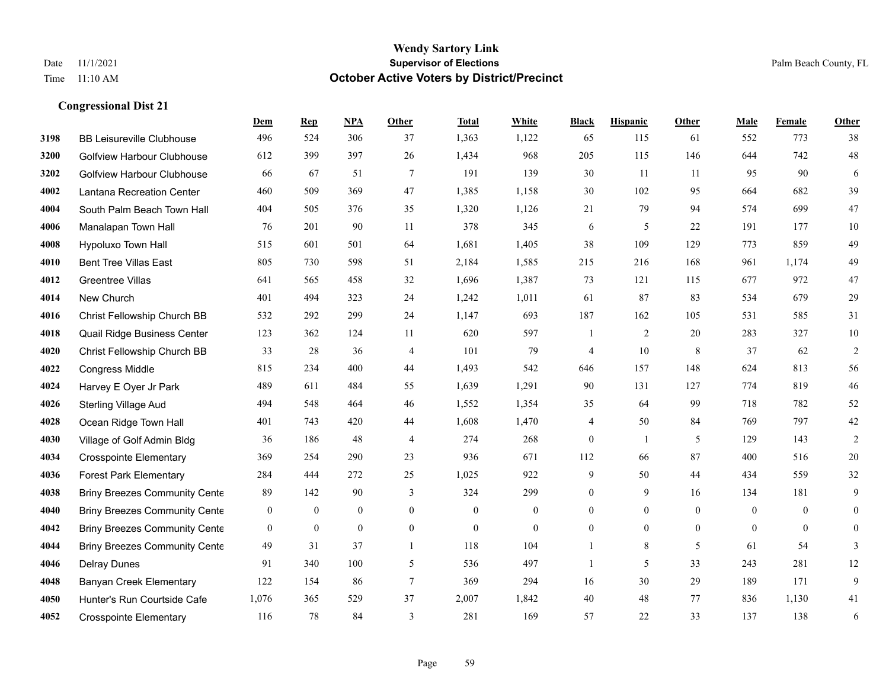#### **Wendy Sartory Link** Date 11/1/2021 **Supervisor of Elections** Palm Beach County, FL Time 11:10 AM **October Active Voters by District/Precinct**

# **Dem Rep NPA Other Total White Black Hispanic Other Male Female Other** BB Leisureville Clubhouse 496 524 306 37 1,363 1,122 65 115 61 552 773 38 Golfview Harbour Clubhouse 612 399 397 26 1,434 968 205 115 146 644 742 48 Golfview Harbour Clubhouse 66 67 51 7 191 139 30 11 11 95 90 6 Lantana Recreation Center 460 509 369 47 1,385 1,158 30 102 95 664 682 39 South Palm Beach Town Hall 404 505 376 35 1,320 1,126 21 79 94 574 699 47 Manalapan Town Hall 76 201 90 11 378 345 6 5 22 191 177 10 Hypoluxo Town Hall 515 601 501 64 1,681 1,405 38 109 129 773 859 49 Bent Tree Villas East 805 730 598 51 2,184 1,585 215 216 168 961 1,174 49 Greentree Villas 641 565 458 32 1,696 1,387 73 121 115 677 972 47 New Church 401 494 323 24 1,242 1,011 61 87 83 534 679 29 Christ Fellowship Church BB 532 292 299 24 1,147 693 187 162 105 531 585 31 Quail Ridge Business Center 123 362 124 11 620 597 1 2 20 283 327 10 Christ Fellowship Church BB 33 28 36 4 101 79 4 10 8 37 62 2 Congress Middle 815 234 400 44 1,493 542 646 157 148 624 813 56 Harvey E Oyer Jr Park 489 611 484 55 1,639 1,291 90 131 127 774 819 46 Sterling Village Aud 494 548 464 46 1,552 1,354 35 64 99 718 782 52 Ocean Ridge Town Hall  $401$   $743$   $420$   $44$   $1,608$   $1,470$   $4$   $50$   $84$   $769$   $797$   $42$  Village of Golf Admin Bldg 36 186 48 4 274 268 0 1 5 129 143 2 Crosspointe Elementary 369 254 290 23 936 671 112 66 87 400 516 20 Forest Park Elementary 284 444 272 25 1,025 922 9 50 44 434 559 32 Briny Breezes Community Cente 89 142 90 3 324 299 0 9 16 134 181 9 Briny Breezes Community Center 0 0 0 0 0 0 0 0 0 0 0 0 Briny Breezes Community Center 0 0 0 0 0 0 0 0 0 0 0 0 Briny Breezes Community Cente 49 31 37 1 118 104 1 8 5 61 54 3 Delray Dunes 91 340 100 5 536 497 1 5 33 243 281 12 Banyan Creek Elementary 122 154 86 7 369 294 16 30 29 189 171 9 Hunter's Run Courtside Cafe 1,076 365 529 37 2,007 1,842 40 48 77 836 1,130 41 Crosspointe Elementary 116 78 84 3 281 169 57 22 33 137 138 6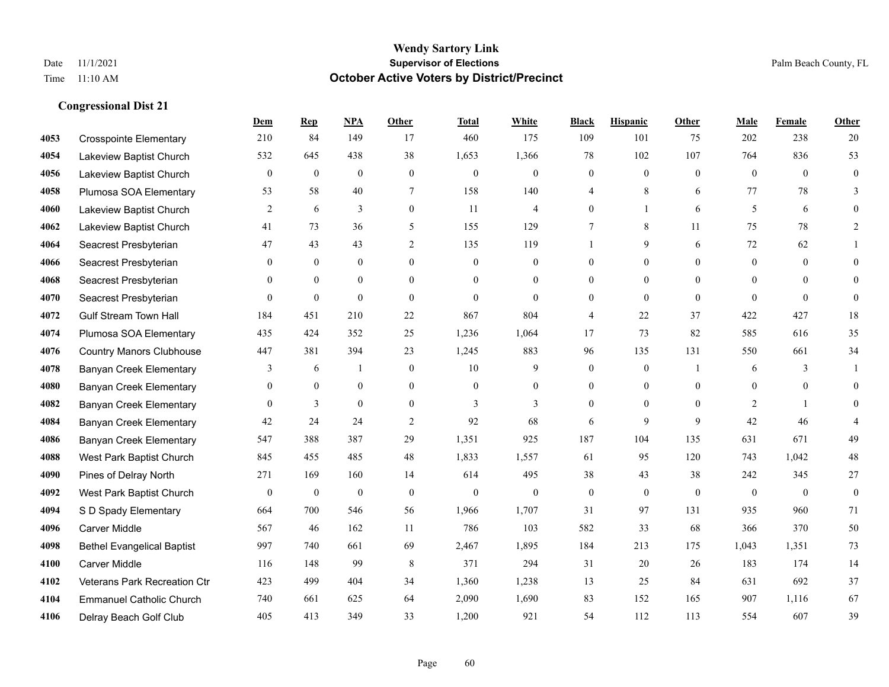|      |                                   | Dem            | <b>Rep</b>       | NPA              | Other          | <b>Total</b>     | White            | <b>Black</b>     | <b>Hispanic</b>  | Other        | Male         | Female         | Other            |
|------|-----------------------------------|----------------|------------------|------------------|----------------|------------------|------------------|------------------|------------------|--------------|--------------|----------------|------------------|
| 4053 | <b>Crosspointe Elementary</b>     | 210            | 84               | 149              | 17             | 460              | 175              | 109              | 101              | 75           | 202          | 238            | 20               |
| 4054 | Lakeview Baptist Church           | 532            | 645              | 438              | 38             | 1,653            | 1,366            | 78               | 102              | 107          | 764          | 836            | 53               |
| 4056 | Lakeview Baptist Church           | $\theta$       | $\mathbf{0}$     | $\overline{0}$   | $\mathbf{0}$   | $\overline{0}$   | $\overline{0}$   | $\mathbf{0}$     | $\mathbf{0}$     | $\theta$     | $\theta$     | $\theta$       | $\mathbf{0}$     |
| 4058 | Plumosa SOA Elementary            | 53             | 58               | 40               | $\tau$         | 158              | 140              | 4                | 8                | 6            | 77           | 78             | 3                |
| 4060 | Lakeview Baptist Church           | 2              | 6                | 3                | $\mathbf{0}$   | 11               | 4                | $\mathbf{0}$     | $\mathbf{1}$     | 6            | 5            | 6              | $\theta$         |
| 4062 | Lakeview Baptist Church           | 41             | 73               | 36               | 5              | 155              | 129              | 7                | 8                | 11           | 75           | 78             | 2                |
| 4064 | Seacrest Presbyterian             | 47             | 43               | 43               | $\overline{2}$ | 135              | 119              |                  | 9                | 6            | 72           | 62             |                  |
| 4066 | Seacrest Presbyterian             | $\theta$       | $\mathbf{0}$     | $\overline{0}$   | $\Omega$       | $\overline{0}$   | 0                | $\mathbf{0}$     | $\mathbf{0}$     | $\theta$     | $\theta$     | $\theta$       | $\mathbf{0}$     |
| 4068 | Seacrest Presbyterian             | $\theta$       | $\mathbf{0}$     | $\overline{0}$   | $\Omega$       | $\theta$         | $\overline{0}$   | $\theta$         | $\mathbf{0}$     | $\Omega$     | $\theta$     | $\Omega$       | $\theta$         |
| 4070 | Seacrest Presbyterian             | $\theta$       | $\theta$         | $\theta$         | $\theta$       | $\Omega$         | $\theta$         | $\mathbf{0}$     | $\theta$         | $\theta$     | $\Omega$     | $\theta$       | $\theta$         |
| 4072 | <b>Gulf Stream Town Hall</b>      | 184            | 451              | 210              | 22             | 867              | 804              | 4                | 22               | 37           | 422          | 427            | 18               |
| 4074 | Plumosa SOA Elementary            | 435            | 424              | 352              | 25             | 1,236            | 1,064            | 17               | 73               | 82           | 585          | 616            | 35               |
| 4076 | <b>Country Manors Clubhouse</b>   | 447            | 381              | 394              | 23             | 1,245            | 883              | 96               | 135              | 131          | 550          | 661            | 34               |
| 4078 | <b>Banyan Creek Elementary</b>    | 3              | 6                | 1                | $\theta$       | 10               | 9                | $\mathbf{0}$     | $\mathbf{0}$     | $\mathbf{1}$ | 6            | 3              | $\mathbf{1}$     |
| 4080 | <b>Banyan Creek Elementary</b>    | $\overline{0}$ | $\boldsymbol{0}$ | $\overline{0}$   | $\mathbf{0}$   | $\overline{0}$   | $\overline{0}$   | $\overline{0}$   | $\mathbf{0}$     | $\theta$     | $\mathbf{0}$ | $\mathbf{0}$   | $\theta$         |
| 4082 | Banyan Creek Elementary           | $\theta$       | 3                | $\overline{0}$   | $\theta$       | 3                | 3                | $\theta$         | $\mathbf{0}$     | $\theta$     | 2            | $\overline{1}$ | $\theta$         |
| 4084 | <b>Banyan Creek Elementary</b>    | 42             | 24               | 24               | 2              | 92               | 68               | 6                | 9                | 9            | 42           | 46             |                  |
| 4086 | <b>Banyan Creek Elementary</b>    | 547            | 388              | 387              | 29             | 1,351            | 925              | 187              | 104              | 135          | 631          | 671            | 49               |
| 4088 | West Park Baptist Church          | 845            | 455              | 485              | 48             | 1,833            | 1,557            | 61               | 95               | 120          | 743          | 1,042          | 48               |
| 4090 | Pines of Delray North             | 271            | 169              | 160              | 14             | 614              | 495              | 38               | 43               | 38           | 242          | 345            | 27               |
| 4092 | West Park Baptist Church          | $\bf{0}$       | $\boldsymbol{0}$ | $\boldsymbol{0}$ | $\theta$       | $\boldsymbol{0}$ | $\boldsymbol{0}$ | $\boldsymbol{0}$ | $\boldsymbol{0}$ | $\theta$     | $\theta$     | $\theta$       | $\boldsymbol{0}$ |
| 4094 | S D Spady Elementary              | 664            | 700              | 546              | 56             | 1,966            | 1,707            | 31               | 97               | 131          | 935          | 960            | 71               |
| 4096 | Carver Middle                     | 567            | 46               | 162              | 11             | 786              | 103              | 582              | 33               | 68           | 366          | 370            | 50               |
| 4098 | <b>Bethel Evangelical Baptist</b> | 997            | 740              | 661              | 69             | 2,467            | 1,895            | 184              | 213              | 175          | 1,043        | 1,351          | 73               |
| 4100 | Carver Middle                     | 116            | 148              | 99               | 8              | 371              | 294              | 31               | 20               | 26           | 183          | 174            | 14               |
| 4102 | Veterans Park Recreation Ctr      | 423            | 499              | 404              | 34             | 1,360            | 1,238            | 13               | 25               | 84           | 631          | 692            | 37               |
| 4104 | <b>Emmanuel Catholic Church</b>   | 740            | 661              | 625              | 64             | 2,090            | 1,690            | 83               | 152              | 165          | 907          | 1,116          | 67               |
| 4106 | Delray Beach Golf Club            | 405            | 413              | 349              | 33             | 1,200            | 921              | 54               | 112              | 113          | 554          | 607            | 39               |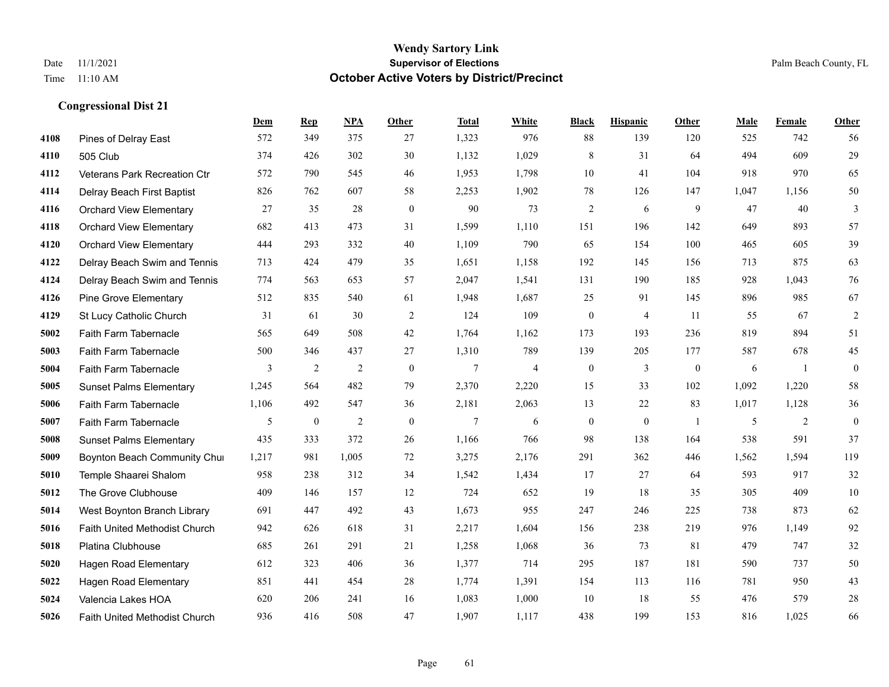|      |                                | Dem   | <b>Rep</b>       | NPA            | <b>Other</b>     | <b>Total</b> | <b>White</b>   | <b>Black</b>     | <b>Hispanic</b> | Other        | <b>Male</b> | Female | <b>Other</b>     |
|------|--------------------------------|-------|------------------|----------------|------------------|--------------|----------------|------------------|-----------------|--------------|-------------|--------|------------------|
| 4108 | Pines of Delray East           | 572   | 349              | 375            | 27               | 1,323        | 976            | 88               | 139             | 120          | 525         | 742    | 56               |
| 4110 | 505 Club                       | 374   | 426              | 302            | 30               | 1,132        | 1,029          | $\,$ 8 $\,$      | 31              | 64           | 494         | 609    | 29               |
| 4112 | Veterans Park Recreation Ctr   | 572   | 790              | 545            | 46               | 1,953        | 1,798          | 10               | 41              | 104          | 918         | 970    | 65               |
| 4114 | Delray Beach First Baptist     | 826   | 762              | 607            | 58               | 2,253        | 1,902          | 78               | 126             | 147          | 1,047       | 1,156  | 50               |
| 4116 | <b>Orchard View Elementary</b> | 27    | 35               | 28             | $\mathbf{0}$     | 90           | 73             | $\overline{2}$   | 6               | 9            | 47          | 40     | 3                |
| 4118 | <b>Orchard View Elementary</b> | 682   | 413              | 473            | 31               | 1,599        | 1,110          | 151              | 196             | 142          | 649         | 893    | 57               |
| 4120 | <b>Orchard View Elementary</b> | 444   | 293              | 332            | 40               | 1,109        | 790            | 65               | 154             | 100          | 465         | 605    | 39               |
| 4122 | Delray Beach Swim and Tennis   | 713   | 424              | 479            | 35               | 1,651        | 1,158          | 192              | 145             | 156          | 713         | 875    | 63               |
| 4124 | Delray Beach Swim and Tennis   | 774   | 563              | 653            | 57               | 2,047        | 1,541          | 131              | 190             | 185          | 928         | 1.043  | 76               |
| 4126 | <b>Pine Grove Elementary</b>   | 512   | 835              | 540            | 61               | 1,948        | 1,687          | 25               | 91              | 145          | 896         | 985    | 67               |
| 4129 | St Lucy Catholic Church        | 31    | 61               | 30             | 2                | 124          | 109            | $\boldsymbol{0}$ | $\overline{4}$  | 11           | 55          | 67     | $\overline{2}$   |
| 5002 | Faith Farm Tabernacle          | 565   | 649              | 508            | 42               | 1,764        | 1,162          | 173              | 193             | 236          | 819         | 894    | 51               |
| 5003 | Faith Farm Tabernacle          | 500   | 346              | 437            | 27               | 1,310        | 789            | 139              | 205             | 177          | 587         | 678    | 45               |
| 5004 | Faith Farm Tabernacle          | 3     | $\overline{2}$   | $\overline{2}$ | $\boldsymbol{0}$ | 7            | $\overline{4}$ | $\boldsymbol{0}$ | 3               | $\mathbf{0}$ | 6           | -1     | $\boldsymbol{0}$ |
| 5005 | <b>Sunset Palms Elementary</b> | 1,245 | 564              | 482            | 79               | 2,370        | 2,220          | 15               | 33              | 102          | 1,092       | 1,220  | 58               |
| 5006 | Faith Farm Tabernacle          | 1,106 | 492              | 547            | 36               | 2,181        | 2,063          | 13               | 22              | 83           | 1,017       | 1,128  | 36               |
| 5007 | Faith Farm Tabernacle          | 5     | $\boldsymbol{0}$ | $\overline{2}$ | $\overline{0}$   | 7            | 6              | $\boldsymbol{0}$ | $\mathbf{0}$    | -1           | 5           | 2      | $\boldsymbol{0}$ |
| 5008 | <b>Sunset Palms Elementary</b> | 435   | 333              | 372            | 26               | 1,166        | 766            | 98               | 138             | 164          | 538         | 591    | 37               |
| 5009 | Boynton Beach Community Chur   | 1,217 | 981              | 1,005          | 72               | 3,275        | 2,176          | 291              | 362             | 446          | 1,562       | 1,594  | 119              |
| 5010 | Temple Shaarei Shalom          | 958   | 238              | 312            | 34               | 1,542        | 1,434          | 17               | 27              | 64           | 593         | 917    | $32\,$           |
| 5012 | The Grove Clubhouse            | 409   | 146              | 157            | 12               | 724          | 652            | 19               | 18              | 35           | 305         | 409    | 10               |
| 5014 | West Boynton Branch Library    | 691   | 447              | 492            | 43               | 1,673        | 955            | 247              | 246             | 225          | 738         | 873    | 62               |
| 5016 | Faith United Methodist Church  | 942   | 626              | 618            | 31               | 2,217        | 1,604          | 156              | 238             | 219          | 976         | 1,149  | 92               |
| 5018 | Platina Clubhouse              | 685   | 261              | 291            | 21               | 1,258        | 1,068          | 36               | 73              | 81           | 479         | 747    | $32\,$           |
| 5020 | <b>Hagen Road Elementary</b>   | 612   | 323              | 406            | 36               | 1,377        | 714            | 295              | 187             | 181          | 590         | 737    | 50               |
| 5022 | Hagen Road Elementary          | 851   | 441              | 454            | 28               | 1,774        | 1,391          | 154              | 113             | 116          | 781         | 950    | 43               |
| 5024 | Valencia Lakes HOA             | 620   | 206              | 241            | 16               | 1,083        | 1,000          | 10               | 18              | 55           | 476         | 579    | $28\,$           |
| 5026 | Faith United Methodist Church  | 936   | 416              | 508            | 47               | 1,907        | 1,117          | 438              | 199             | 153          | 816         | 1,025  | 66               |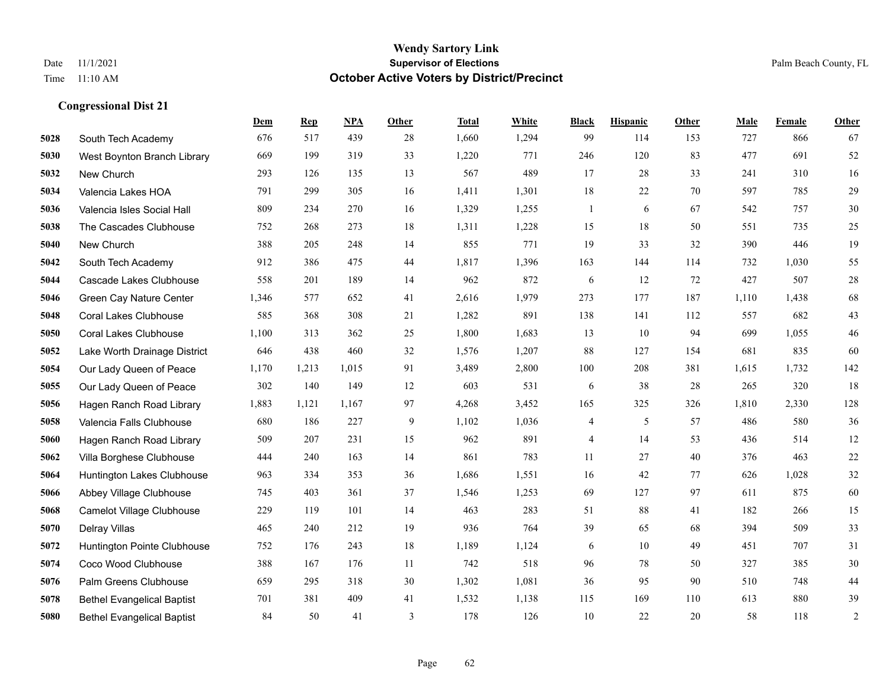|      |                                   | Dem   | <b>Rep</b> | NPA   | <b>Other</b> | <b>Total</b> | <b>White</b> | <b>Black</b> | <b>Hispanic</b> | Other | <b>Male</b> | Female | <b>Other</b>   |
|------|-----------------------------------|-------|------------|-------|--------------|--------------|--------------|--------------|-----------------|-------|-------------|--------|----------------|
| 5028 | South Tech Academy                | 676   | 517        | 439   | 28           | 1,660        | 1,294        | 99           | 114             | 153   | 727         | 866    | 67             |
| 5030 | West Boynton Branch Library       | 669   | 199        | 319   | 33           | 1,220        | 771          | 246          | 120             | 83    | 477         | 691    | 52             |
| 5032 | New Church                        | 293   | 126        | 135   | 13           | 567          | 489          | 17           | 28              | 33    | 241         | 310    | 16             |
| 5034 | Valencia Lakes HOA                | 791   | 299        | 305   | 16           | 1,411        | 1,301        | 18           | 22              | 70    | 597         | 785    | 29             |
| 5036 | Valencia Isles Social Hall        | 809   | 234        | 270   | 16           | 1,329        | 1,255        | $\mathbf{1}$ | 6               | 67    | 542         | 757    | $30\,$         |
| 5038 | The Cascades Clubhouse            | 752   | 268        | 273   | 18           | 1,311        | 1,228        | 15           | 18              | 50    | 551         | 735    | $25\,$         |
| 5040 | New Church                        | 388   | 205        | 248   | 14           | 855          | 771          | 19           | 33              | 32    | 390         | 446    | 19             |
| 5042 | South Tech Academy                | 912   | 386        | 475   | 44           | 1,817        | 1,396        | 163          | 144             | 114   | 732         | 1,030  | 55             |
| 5044 | Cascade Lakes Clubhouse           | 558   | 201        | 189   | 14           | 962          | 872          | 6            | 12              | 72    | 427         | 507    | $28\,$         |
| 5046 | Green Cay Nature Center           | 1,346 | 577        | 652   | 41           | 2,616        | 1,979        | 273          | 177             | 187   | 1,110       | 1,438  | 68             |
| 5048 | <b>Coral Lakes Clubhouse</b>      | 585   | 368        | 308   | 21           | 1,282        | 891          | 138          | 141             | 112   | 557         | 682    | 43             |
| 5050 | <b>Coral Lakes Clubhouse</b>      | 1,100 | 313        | 362   | 25           | 1,800        | 1,683        | 13           | 10              | 94    | 699         | 1.055  | $46\,$         |
| 5052 | Lake Worth Drainage District      | 646   | 438        | 460   | 32           | 1,576        | 1,207        | $88\,$       | 127             | 154   | 681         | 835    | 60             |
| 5054 | Our Lady Queen of Peace           | 1,170 | 1,213      | 1,015 | 91           | 3,489        | 2,800        | 100          | 208             | 381   | 1,615       | 1,732  | 142            |
| 5055 | Our Lady Queen of Peace           | 302   | 140        | 149   | 12           | 603          | 531          | 6            | 38              | 28    | 265         | 320    | 18             |
| 5056 | Hagen Ranch Road Library          | 1,883 | 1,121      | 1,167 | 97           | 4,268        | 3,452        | 165          | 325             | 326   | 1,810       | 2,330  | 128            |
| 5058 | Valencia Falls Clubhouse          | 680   | 186        | 227   | 9            | 1,102        | 1,036        | 4            | 5               | 57    | 486         | 580    | 36             |
| 5060 | Hagen Ranch Road Library          | 509   | 207        | 231   | 15           | 962          | 891          | 4            | 14              | 53    | 436         | 514    | 12             |
| 5062 | Villa Borghese Clubhouse          | 444   | 240        | 163   | 14           | 861          | 783          | 11           | 27              | 40    | 376         | 463    | $22\,$         |
| 5064 | Huntington Lakes Clubhouse        | 963   | 334        | 353   | 36           | 1,686        | 1,551        | 16           | 42              | 77    | 626         | 1,028  | 32             |
| 5066 | Abbey Village Clubhouse           | 745   | 403        | 361   | 37           | 1,546        | 1,253        | 69           | 127             | 97    | 611         | 875    | 60             |
| 5068 | Camelot Village Clubhouse         | 229   | 119        | 101   | 14           | 463          | 283          | 51           | 88              | 41    | 182         | 266    | 15             |
| 5070 | Delray Villas                     | 465   | 240        | 212   | 19           | 936          | 764          | 39           | 65              | 68    | 394         | 509    | 33             |
| 5072 | Huntington Pointe Clubhouse       | 752   | 176        | 243   | 18           | 1,189        | 1,124        | 6            | 10              | 49    | 451         | 707    | 31             |
| 5074 | Coco Wood Clubhouse               | 388   | 167        | 176   | 11           | 742          | 518          | 96           | 78              | 50    | 327         | 385    | $30\,$         |
| 5076 | Palm Greens Clubhouse             | 659   | 295        | 318   | 30           | 1,302        | 1,081        | 36           | 95              | 90    | 510         | 748    | $44\,$         |
| 5078 | <b>Bethel Evangelical Baptist</b> | 701   | 381        | 409   | 41           | 1,532        | 1,138        | 115          | 169             | 110   | 613         | 880    | 39             |
| 5080 | <b>Bethel Evangelical Baptist</b> | 84    | 50         | 41    | 3            | 178          | 126          | 10           | 22              | 20    | 58          | 118    | $\overline{c}$ |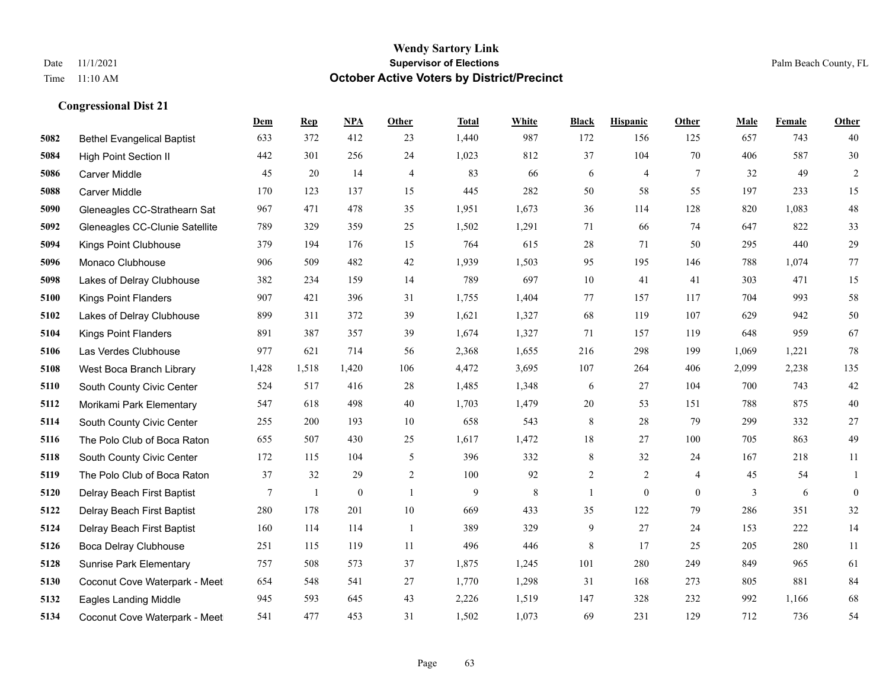|      |                                   | Dem   | <b>Rep</b> | NPA          | <b>Other</b>   | <b>Total</b> | <b>White</b> | <b>Black</b> | <b>Hispanic</b> | <b>Other</b>   | <b>Male</b> | <b>Female</b> | <b>Other</b>     |
|------|-----------------------------------|-------|------------|--------------|----------------|--------------|--------------|--------------|-----------------|----------------|-------------|---------------|------------------|
| 5082 | <b>Bethel Evangelical Baptist</b> | 633   | 372        | 412          | 23             | 1,440        | 987          | 172          | 156             | 125            | 657         | 743           | 40               |
| 5084 | <b>High Point Section II</b>      | 442   | 301        | 256          | 24             | 1,023        | 812          | 37           | 104             | 70             | 406         | 587           | 30               |
| 5086 | <b>Carver Middle</b>              | 45    | 20         | 14           | $\overline{4}$ | 83           | 66           | 6            | $\overline{4}$  | $\tau$         | 32          | 49            | $\overline{c}$   |
| 5088 | <b>Carver Middle</b>              | 170   | 123        | 137          | 15             | 445          | 282          | 50           | 58              | 55             | 197         | 233           | 15               |
| 5090 | Gleneagles CC-Strathearn Sat      | 967   | 471        | 478          | 35             | 1,951        | 1,673        | 36           | 114             | 128            | 820         | 1.083         | $48\,$           |
| 5092 | Gleneagles CC-Clunie Satellite    | 789   | 329        | 359          | 25             | 1,502        | 1,291        | 71           | 66              | 74             | 647         | 822           | 33               |
| 5094 | Kings Point Clubhouse             | 379   | 194        | 176          | 15             | 764          | 615          | 28           | 71              | 50             | 295         | 440           | $29\,$           |
| 5096 | Monaco Clubhouse                  | 906   | 509        | 482          | 42             | 1,939        | 1,503        | 95           | 195             | 146            | 788         | 1,074         | 77               |
| 5098 | Lakes of Delray Clubhouse         | 382   | 234        | 159          | 14             | 789          | 697          | 10           | 41              | 41             | 303         | 471           | 15               |
| 5100 | <b>Kings Point Flanders</b>       | 907   | 421        | 396          | 31             | 1,755        | 1,404        | 77           | 157             | 117            | 704         | 993           | $58\,$           |
| 5102 | Lakes of Delray Clubhouse         | 899   | 311        | 372          | 39             | 1,621        | 1,327        | 68           | 119             | 107            | 629         | 942           | 50               |
| 5104 | <b>Kings Point Flanders</b>       | 891   | 387        | 357          | 39             | 1,674        | 1,327        | 71           | 157             | 119            | 648         | 959           | 67               |
| 5106 | Las Verdes Clubhouse              | 977   | 621        | 714          | 56             | 2,368        | 1,655        | 216          | 298             | 199            | 1,069       | 1,221         | $78\,$           |
| 5108 | West Boca Branch Library          | 1,428 | 1,518      | 1,420        | 106            | 4,472        | 3,695        | 107          | 264             | 406            | 2,099       | 2,238         | 135              |
| 5110 | South County Civic Center         | 524   | 517        | 416          | 28             | 1,485        | 1,348        | 6            | 27              | 104            | 700         | 743           | $42\,$           |
| 5112 | Morikami Park Elementary          | 547   | 618        | 498          | $40\,$         | 1,703        | 1,479        | $20\,$       | 53              | 151            | 788         | 875           | $40\,$           |
| 5114 | South County Civic Center         | 255   | 200        | 193          | 10             | 658          | 543          | 8            | 28              | 79             | 299         | 332           | $27\,$           |
| 5116 | The Polo Club of Boca Raton       | 655   | 507        | 430          | 25             | 1,617        | 1,472        | 18           | 27              | 100            | 705         | 863           | 49               |
| 5118 | South County Civic Center         | 172   | 115        | 104          | $\mathfrak s$  | 396          | 332          | $\,8\,$      | 32              | 24             | 167         | 218           | $11\,$           |
| 5119 | The Polo Club of Boca Raton       | 37    | 32         | 29           | 2              | 100          | 92           | 2            | 2               | $\overline{4}$ | 45          | 54            | $\mathbf{1}$     |
| 5120 | Delray Beach First Baptist        | 7     | 1          | $\mathbf{0}$ | $\overline{1}$ | 9            | 8            | $\mathbf{1}$ | $\mathbf{0}$    | $\theta$       | 3           | 6             | $\boldsymbol{0}$ |
| 5122 | Delray Beach First Baptist        | 280   | 178        | 201          | $10\,$         | 669          | 433          | 35           | 122             | 79             | 286         | 351           | $32\,$           |
| 5124 | Delray Beach First Baptist        | 160   | 114        | 114          | -1             | 389          | 329          | 9            | 27              | 24             | 153         | 222           | 14               |
| 5126 | Boca Delray Clubhouse             | 251   | 115        | 119          | 11             | 496          | 446          | 8            | 17              | 25             | 205         | 280           | 11               |
| 5128 | <b>Sunrise Park Elementary</b>    | 757   | 508        | 573          | 37             | 1,875        | 1,245        | 101          | 280             | 249            | 849         | 965           | 61               |
| 5130 | Coconut Cove Waterpark - Meet     | 654   | 548        | 541          | 27             | 1,770        | 1,298        | 31           | 168             | 273            | 805         | 881           | 84               |
| 5132 | <b>Eagles Landing Middle</b>      | 945   | 593        | 645          | 43             | 2,226        | 1,519        | 147          | 328             | 232            | 992         | 1.166         | 68               |
| 5134 | Coconut Cove Waterpark - Meet     | 541   | 477        | 453          | 31             | 1,502        | 1,073        | 69           | 231             | 129            | 712         | 736           | 54               |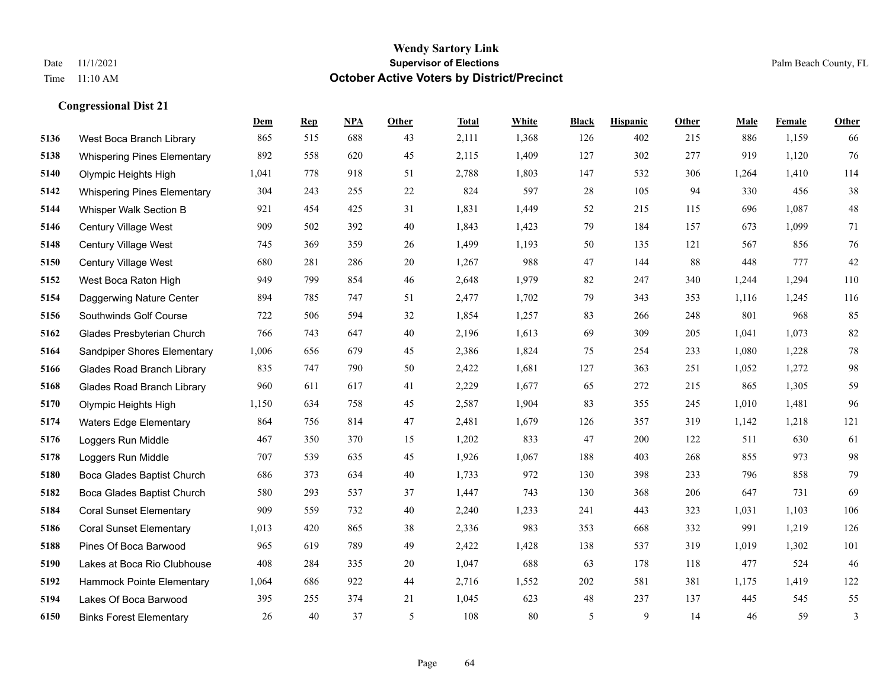|      |                                    | Dem   | $\mathbf{Rep}$ | NPA | Other  | <b>Total</b> | White | <b>Black</b> | <b>Hispanic</b> | Other | Male  | Female | Other  |
|------|------------------------------------|-------|----------------|-----|--------|--------------|-------|--------------|-----------------|-------|-------|--------|--------|
| 5136 | West Boca Branch Library           | 865   | 515            | 688 | 43     | 2,111        | 1,368 | 126          | 402             | 215   | 886   | 1,159  | 66     |
| 5138 | <b>Whispering Pines Elementary</b> | 892   | 558            | 620 | 45     | 2,115        | 1,409 | 127          | 302             | 277   | 919   | 1,120  | 76     |
| 5140 | Olympic Heights High               | 1,041 | 778            | 918 | 51     | 2,788        | 1,803 | 147          | 532             | 306   | 1,264 | 1,410  | 114    |
| 5142 | <b>Whispering Pines Elementary</b> | 304   | 243            | 255 | $22\,$ | 824          | 597   | 28           | 105             | 94    | 330   | 456    | 38     |
| 5144 | Whisper Walk Section B             | 921   | 454            | 425 | 31     | 1,831        | 1,449 | 52           | 215             | 115   | 696   | 1.087  | $48\,$ |
| 5146 | Century Village West               | 909   | 502            | 392 | 40     | 1,843        | 1,423 | 79           | 184             | 157   | 673   | 1,099  | 71     |
| 5148 | Century Village West               | 745   | 369            | 359 | $26\,$ | 1,499        | 1,193 | 50           | 135             | 121   | 567   | 856    | 76     |
| 5150 | Century Village West               | 680   | 281            | 286 | 20     | 1,267        | 988   | 47           | 144             | 88    | 448   | 777    | $42\,$ |
| 5152 | West Boca Raton High               | 949   | 799            | 854 | 46     | 2,648        | 1,979 | 82           | 247             | 340   | 1,244 | 1,294  | 110    |
| 5154 | Daggerwing Nature Center           | 894   | 785            | 747 | 51     | 2,477        | 1,702 | 79           | 343             | 353   | 1,116 | 1,245  | 116    |
| 5156 | Southwinds Golf Course             | 722   | 506            | 594 | 32     | 1,854        | 1,257 | 83           | 266             | 248   | 801   | 968    | 85     |
| 5162 | Glades Presbyterian Church         | 766   | 743            | 647 | 40     | 2,196        | 1,613 | 69           | 309             | 205   | 1,041 | 1,073  | $82\,$ |
| 5164 | <b>Sandpiper Shores Elementary</b> | 1,006 | 656            | 679 | 45     | 2,386        | 1,824 | 75           | 254             | 233   | 1,080 | 1,228  | 78     |
| 5166 | <b>Glades Road Branch Library</b>  | 835   | 747            | 790 | 50     | 2,422        | 1,681 | 127          | 363             | 251   | 1,052 | 1,272  | $98\,$ |
| 5168 | <b>Glades Road Branch Library</b>  | 960   | 611            | 617 | 41     | 2,229        | 1,677 | 65           | 272             | 215   | 865   | 1,305  | 59     |
| 5170 | Olympic Heights High               | 1,150 | 634            | 758 | 45     | 2,587        | 1,904 | 83           | 355             | 245   | 1,010 | 1,481  | 96     |
| 5174 | <b>Waters Edge Elementary</b>      | 864   | 756            | 814 | 47     | 2,481        | 1,679 | 126          | 357             | 319   | 1,142 | 1,218  | 121    |
| 5176 | Loggers Run Middle                 | 467   | 350            | 370 | 15     | 1,202        | 833   | 47           | 200             | 122   | 511   | 630    | 61     |
| 5178 | Loggers Run Middle                 | 707   | 539            | 635 | 45     | 1,926        | 1,067 | 188          | 403             | 268   | 855   | 973    | 98     |
| 5180 | Boca Glades Baptist Church         | 686   | 373            | 634 | 40     | 1,733        | 972   | 130          | 398             | 233   | 796   | 858    | 79     |
| 5182 | Boca Glades Baptist Church         | 580   | 293            | 537 | 37     | 1,447        | 743   | 130          | 368             | 206   | 647   | 731    | 69     |
| 5184 | <b>Coral Sunset Elementary</b>     | 909   | 559            | 732 | 40     | 2,240        | 1,233 | 241          | 443             | 323   | 1,031 | 1,103  | 106    |
| 5186 | <b>Coral Sunset Elementary</b>     | 1,013 | 420            | 865 | 38     | 2,336        | 983   | 353          | 668             | 332   | 991   | 1,219  | 126    |
| 5188 | Pines Of Boca Barwood              | 965   | 619            | 789 | 49     | 2,422        | 1,428 | 138          | 537             | 319   | 1,019 | 1,302  | 101    |
| 5190 | Lakes at Boca Rio Clubhouse        | 408   | 284            | 335 | $20\,$ | 1,047        | 688   | 63           | 178             | 118   | 477   | 524    | $46\,$ |
| 5192 | Hammock Pointe Elementary          | 1,064 | 686            | 922 | 44     | 2,716        | 1,552 | 202          | 581             | 381   | 1,175 | 1,419  | 122    |
| 5194 | Lakes Of Boca Barwood              | 395   | 255            | 374 | 21     | 1,045        | 623   | 48           | 237             | 137   | 445   | 545    | 55     |
| 6150 | <b>Binks Forest Elementary</b>     | 26    | 40             | 37  | 5      | 108          | 80    | 5            | 9               | 14    | 46    | 59     | 3      |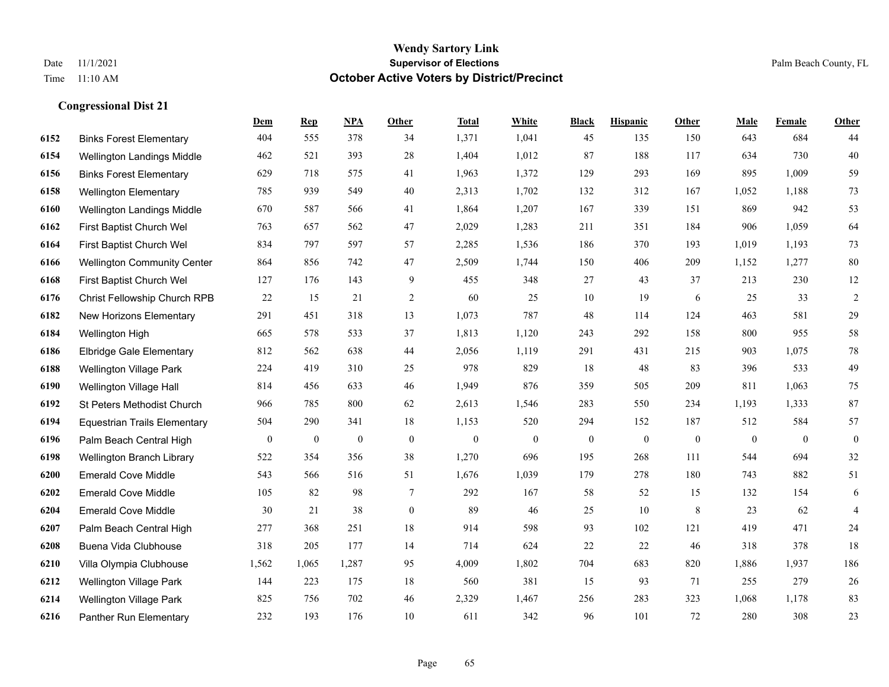|      |                                     | Dem              | <b>Rep</b>       | <b>NPA</b> | Other            | <b>Total</b>     | White            | <b>Black</b> | <b>Hispanic</b> | Other        | Male           | Female       | Other            |
|------|-------------------------------------|------------------|------------------|------------|------------------|------------------|------------------|--------------|-----------------|--------------|----------------|--------------|------------------|
| 6152 | <b>Binks Forest Elementary</b>      | 404              | 555              | 378        | 34               | 1,371            | 1,041            | 45           | 135             | 150          | 643            | 684          | 44               |
| 6154 | Wellington Landings Middle          | 462              | 521              | 393        | 28               | 1,404            | 1,012            | 87           | 188             | 117          | 634            | 730          | 40               |
| 6156 | <b>Binks Forest Elementary</b>      | 629              | 718              | 575        | 41               | 1,963            | 1,372            | 129          | 293             | 169          | 895            | 1,009        | 59               |
| 6158 | <b>Wellington Elementary</b>        | 785              | 939              | 549        | 40               | 2,313            | 1,702            | 132          | 312             | 167          | 1,052          | 1,188        | 73               |
| 6160 | Wellington Landings Middle          | 670              | 587              | 566        | 41               | 1,864            | 1,207            | 167          | 339             | 151          | 869            | 942          | 53               |
| 6162 | First Baptist Church Wel            | 763              | 657              | 562        | $47\,$           | 2,029            | 1,283            | 211          | 351             | 184          | 906            | 1,059        | 64               |
| 6164 | First Baptist Church Wel            | 834              | 797              | 597        | 57               | 2,285            | 1,536            | 186          | 370             | 193          | 1,019          | 1,193        | 73               |
| 6166 | <b>Wellington Community Center</b>  | 864              | 856              | 742        | 47               | 2,509            | 1,744            | 150          | 406             | 209          | 1,152          | 1,277        | 80               |
| 6168 | First Baptist Church Wel            | 127              | 176              | 143        | 9                | 455              | 348              | 27           | 43              | 37           | 213            | 230          | 12               |
| 6176 | Christ Fellowship Church RPB        | 22               | 15               | 21         | 2                | 60               | 25               | $10\,$       | 19              | 6            | 25             | 33           | 2                |
| 6182 | New Horizons Elementary             | 291              | 451              | 318        | 13               | 1,073            | 787              | 48           | 114             | 124          | 463            | 581          | 29               |
| 6184 | Wellington High                     | 665              | 578              | 533        | 37               | 1,813            | 1,120            | 243          | 292             | 158          | 800            | 955          | 58               |
| 6186 | <b>Elbridge Gale Elementary</b>     | 812              | 562              | 638        | 44               | 2,056            | 1,119            | 291          | 431             | 215          | 903            | 1,075        | 78               |
| 6188 | <b>Wellington Village Park</b>      | 224              | 419              | 310        | 25               | 978              | 829              | 18           | 48              | 83           | 396            | 533          | 49               |
| 6190 | Wellington Village Hall             | 814              | 456              | 633        | 46               | 1,949            | 876              | 359          | 505             | 209          | 811            | 1,063        | 75               |
| 6192 | St Peters Methodist Church          | 966              | 785              | 800        | 62               | 2,613            | 1,546            | 283          | 550             | 234          | 1,193          | 1,333        | 87               |
| 6194 | <b>Equestrian Trails Elementary</b> | 504              | 290              | 341        | 18               | 1,153            | 520              | 294          | 152             | 187          | 512            | 584          | 57               |
| 6196 | Palm Beach Central High             | $\boldsymbol{0}$ | $\boldsymbol{0}$ | $\bf{0}$   | $\boldsymbol{0}$ | $\boldsymbol{0}$ | $\boldsymbol{0}$ | $\mathbf{0}$ | $\mathbf{0}$    | $\mathbf{0}$ | $\overline{0}$ | $\mathbf{0}$ | $\boldsymbol{0}$ |
| 6198 | Wellington Branch Library           | 522              | 354              | 356        | 38               | 1,270            | 696              | 195          | 268             | 111          | 544            | 694          | $32\,$           |
| 6200 | <b>Emerald Cove Middle</b>          | 543              | 566              | 516        | 51               | 1,676            | 1,039            | 179          | 278             | 180          | 743            | 882          | 51               |
| 6202 | <b>Emerald Cove Middle</b>          | 105              | 82               | 98         | $\tau$           | 292              | 167              | 58           | 52              | 15           | 132            | 154          | $\sqrt{6}$       |
| 6204 | <b>Emerald Cove Middle</b>          | 30               | 21               | 38         | $\boldsymbol{0}$ | 89               | 46               | 25           | 10              | 8            | 23             | 62           | $\overline{4}$   |
| 6207 | Palm Beach Central High             | 277              | 368              | 251        | $18\,$           | 914              | 598              | 93           | 102             | 121          | 419            | 471          | $24\,$           |
| 6208 | Buena Vida Clubhouse                | 318              | 205              | 177        | 14               | 714              | 624              | $22\,$       | 22              | 46           | 318            | 378          | 18               |
| 6210 | Villa Olympia Clubhouse             | 1,562            | 1,065            | 1,287      | 95               | 4,009            | 1,802            | 704          | 683             | 820          | 1,886          | 1,937        | 186              |
| 6212 | <b>Wellington Village Park</b>      | 144              | 223              | 175        | 18               | 560              | 381              | 15           | 93              | 71           | 255            | 279          | 26               |
| 6214 | <b>Wellington Village Park</b>      | 825              | 756              | 702        | 46               | 2,329            | 1,467            | 256          | 283             | 323          | 1,068          | 1,178        | 83               |
| 6216 | Panther Run Elementary              | 232              | 193              | 176        | 10               | 611              | 342              | 96           | 101             | 72           | 280            | 308          | 23               |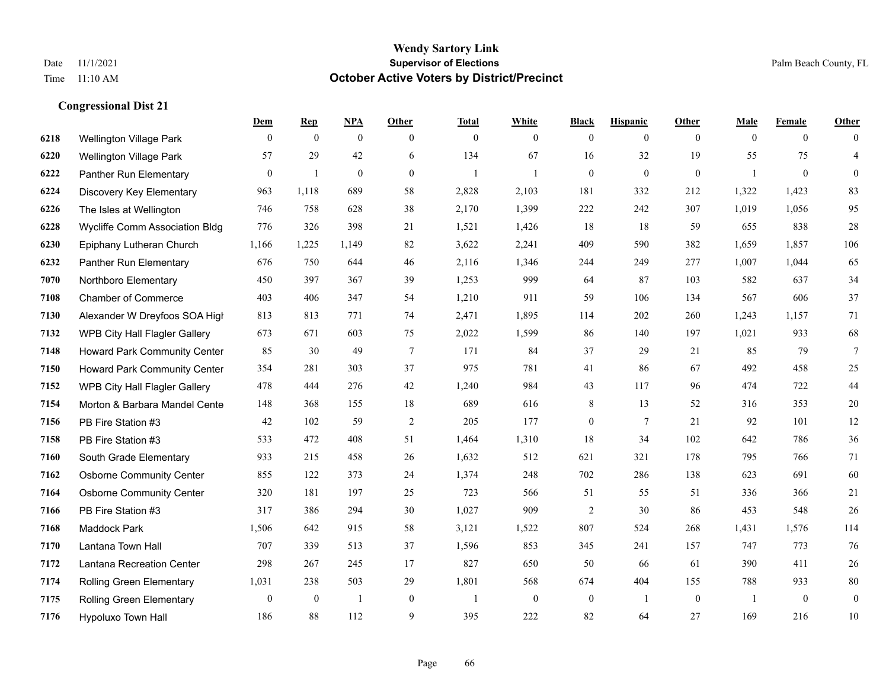|      |                                       | Dem          | $\mathbf{Rep}$ | NPA          | Other           | <b>Total</b> | White          | <b>Black</b>     | <b>Hispanic</b> | Other        | Male         | Female         | Other            |
|------|---------------------------------------|--------------|----------------|--------------|-----------------|--------------|----------------|------------------|-----------------|--------------|--------------|----------------|------------------|
| 6218 | <b>Wellington Village Park</b>        | $\theta$     | $\mathbf{0}$   | $\mathbf{0}$ | $\theta$        | $\mathbf{0}$ | $\overline{0}$ | $\mathbf{0}$     | $\mathbf{0}$    | $\theta$     | $\theta$     | $\overline{0}$ | $\theta$         |
| 6220 | <b>Wellington Village Park</b>        | 57           | 29             | 42           | 6               | 134          | 67             | 16               | 32              | 19           | 55           | 75             | $\overline{4}$   |
| 6222 | Panther Run Elementary                | $\mathbf{0}$ | 1              | $\mathbf{0}$ | $\theta$        | $\mathbf{1}$ | 1              | $\mathbf{0}$     | $\mathbf{0}$    | $\mathbf{0}$ | $\mathbf{1}$ | $\mathbf{0}$   | $\boldsymbol{0}$ |
| 6224 | Discovery Key Elementary              | 963          | 1,118          | 689          | 58              | 2,828        | 2,103          | 181              | 332             | 212          | 1,322        | 1,423          | 83               |
| 6226 | The Isles at Wellington               | 746          | 758            | 628          | 38              | 2,170        | 1,399          | 222              | 242             | 307          | 1,019        | 1,056          | 95               |
| 6228 | <b>Wycliffe Comm Association Bldg</b> | 776          | 326            | 398          | 21              | 1,521        | 1,426          | 18               | 18              | 59           | 655          | 838            | 28               |
| 6230 | Epiphany Lutheran Church              | 1,166        | 1,225          | 1,149        | 82              | 3,622        | 2,241          | 409              | 590             | 382          | 1,659        | 1,857          | 106              |
| 6232 | Panther Run Elementary                | 676          | 750            | 644          | 46              | 2,116        | 1,346          | 244              | 249             | 277          | 1,007        | 1,044          | 65               |
| 7070 | Northboro Elementary                  | 450          | 397            | 367          | 39              | 1,253        | 999            | 64               | 87              | 103          | 582          | 637            | 34               |
| 7108 | <b>Chamber of Commerce</b>            | 403          | 406            | 347          | 54              | 1,210        | 911            | 59               | 106             | 134          | 567          | 606            | 37               |
| 7130 | Alexander W Dreyfoos SOA High         | 813          | 813            | 771          | 74              | 2,471        | 1,895          | 114              | 202             | 260          | 1,243        | 1,157          | 71               |
| 7132 | <b>WPB City Hall Flagler Gallery</b>  | 673          | 671            | 603          | 75              | 2,022        | 1,599          | 86               | 140             | 197          | 1,021        | 933            | 68               |
| 7148 | Howard Park Community Center          | 85           | 30             | 49           | $7\phantom{.0}$ | 171          | 84             | 37               | 29              | 21           | 85           | 79             | $\overline{7}$   |
| 7150 | <b>Howard Park Community Center</b>   | 354          | 281            | 303          | 37              | 975          | 781            | 41               | 86              | 67           | 492          | 458            | 25               |
| 7152 | WPB City Hall Flagler Gallery         | 478          | 444            | 276          | 42              | 1,240        | 984            | 43               | 117             | 96           | 474          | 722            | 44               |
| 7154 | Morton & Barbara Mandel Cente         | 148          | 368            | 155          | 18              | 689          | 616            | 8                | 13              | 52           | 316          | 353            | 20               |
| 7156 | PB Fire Station #3                    | 42           | 102            | 59           | 2               | 205          | 177            | $\boldsymbol{0}$ | $\tau$          | 21           | 92           | 101            | 12               |
| 7158 | PB Fire Station #3                    | 533          | 472            | 408          | 51              | 1,464        | 1,310          | 18               | 34              | 102          | 642          | 786            | 36               |
| 7160 | South Grade Elementary                | 933          | 215            | 458          | $26\,$          | 1,632        | 512            | 621              | 321             | 178          | 795          | 766            | 71               |
| 7162 | <b>Osborne Community Center</b>       | 855          | 122            | 373          | 24              | 1,374        | 248            | 702              | 286             | 138          | 623          | 691            | 60               |
| 7164 | <b>Osborne Community Center</b>       | 320          | 181            | 197          | 25              | 723          | 566            | 51               | 55              | 51           | 336          | 366            | 21               |
| 7166 | PB Fire Station #3                    | 317          | 386            | 294          | 30              | 1,027        | 909            | $\overline{c}$   | 30              | 86           | 453          | 548            | 26               |
| 7168 | Maddock Park                          | 1,506        | 642            | 915          | 58              | 3,121        | 1,522          | 807              | 524             | 268          | 1,431        | 1,576          | 114              |
| 7170 | Lantana Town Hall                     | 707          | 339            | 513          | 37              | 1,596        | 853            | 345              | 241             | 157          | 747          | 773            | 76               |
| 7172 | Lantana Recreation Center             | 298          | 267            | 245          | 17              | 827          | 650            | 50               | 66              | 61           | 390          | 411            | 26               |
| 7174 | <b>Rolling Green Elementary</b>       | 1,031        | 238            | 503          | 29              | 1,801        | 568            | 674              | 404             | 155          | 788          | 933            | 80               |
| 7175 | Rolling Green Elementary              | $\mathbf{0}$ | $\mathbf{0}$   | 1            | $\mathbf{0}$    | $\mathbf{1}$ | $\mathbf{0}$   | $\mathbf{0}$     | $\mathbf{1}$    | $\theta$     | $\mathbf{1}$ | $\theta$       | $\overline{0}$   |
| 7176 | Hypoluxo Town Hall                    | 186          | 88             | 112          | 9               | 395          | 222            | 82               | 64              | 27           | 169          | 216            | 10               |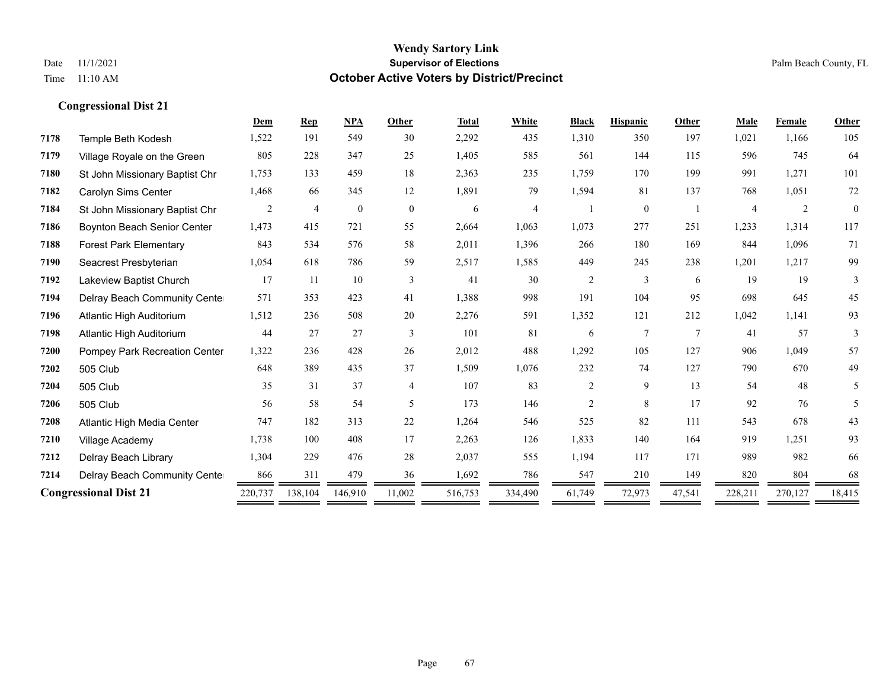|                              |                                      | Dem     | <b>Rep</b>     | <b>NPA</b>       | Other          | <b>Total</b> | White   | <b>Black</b>   | <b>Hispanic</b> | Other           | <b>Male</b> | Female  | <b>Other</b> |
|------------------------------|--------------------------------------|---------|----------------|------------------|----------------|--------------|---------|----------------|-----------------|-----------------|-------------|---------|--------------|
| 7178                         | Temple Beth Kodesh                   | 1,522   | 191            | 549              | 30             | 2,292        | 435     | 1,310          | 350             | 197             | 1,021       | 1,166   | 105          |
| 7179                         | Village Royale on the Green          | 805     | 228            | 347              | 25             | 1,405        | 585     | 561            | 144             | 115             | 596         | 745     | 64           |
| 7180                         | St John Missionary Baptist Chr       | 1,753   | 133            | 459              | 18             | 2,363        | 235     | 1,759          | 170             | 199             | 991         | 1,271   | 101          |
| 7182                         | Carolyn Sims Center                  | 1,468   | 66             | 345              | 12             | 1,891        | 79      | 1,594          | 81              | 137             | 768         | 1,051   | 72           |
| 7184                         | St John Missionary Baptist Chr       | 2       | $\overline{4}$ | $\boldsymbol{0}$ | $\overline{0}$ | 6            | 4       |                | $\mathbf{0}$    |                 | 4           | 2       | $\mathbf{0}$ |
| 7186                         | <b>Boynton Beach Senior Center</b>   | 1,473   | 415            | 721              | 55             | 2,664        | 1,063   | 1,073          | 277             | 251             | 1,233       | 1,314   | 117          |
| 7188                         | <b>Forest Park Elementary</b>        | 843     | 534            | 576              | 58             | 2,011        | 1,396   | 266            | 180             | 169             | 844         | 1,096   | 71           |
| 7190                         | Seacrest Presbyterian                | 1,054   | 618            | 786              | 59             | 2,517        | 1,585   | 449            | 245             | 238             | 1,201       | 1,217   | 99           |
| 7192                         | Lakeview Baptist Church              | 17      | 11             | 10               | 3              | 41           | 30      | $\overline{c}$ | 3               | -6              | 19          | 19      | 3            |
| 7194                         | Delray Beach Community Cente         | 571     | 353            | 423              | 41             | 1,388        | 998     | 191            | 104             | 95              | 698         | 645     | 45           |
| 7196                         | Atlantic High Auditorium             | 1,512   | 236            | 508              | 20             | 2,276        | 591     | 1,352          | 121             | 212             | 1,042       | 1,141   | 93           |
| 7198                         | Atlantic High Auditorium             | 44      | 27             | 27               | 3              | 101          | 81      | 6              | $\overline{7}$  | $7\phantom{.0}$ | 41          | 57      | 3            |
| 7200                         | <b>Pompey Park Recreation Center</b> | 1,322   | 236            | 428              | 26             | 2,012        | 488     | 1,292          | 105             | 127             | 906         | 1,049   | 57           |
| 7202                         | 505 Club                             | 648     | 389            | 435              | 37             | 1,509        | 1,076   | 232            | 74              | 127             | 790         | 670     | 49           |
| 7204                         | 505 Club                             | 35      | 31             | 37               | 4              | 107          | 83      | $\overline{2}$ | 9               | 13              | 54          | 48      | 5            |
| 7206                         | 505 Club                             | 56      | 58             | 54               | 5              | 173          | 146     | $\overline{c}$ | 8               | 17              | 92          | 76      | 5            |
| 7208                         | Atlantic High Media Center           | 747     | 182            | 313              | 22             | 1,264        | 546     | 525            | 82              | 111             | 543         | 678     | 43           |
| 7210                         | Village Academy                      | 1,738   | 100            | 408              | 17             | 2,263        | 126     | 1,833          | 140             | 164             | 919         | 1,251   | 93           |
| 7212                         | Delray Beach Library                 | 1,304   | 229            | 476              | 28             | 2,037        | 555     | 1,194          | 117             | 171             | 989         | 982     | 66           |
| 7214                         | Delray Beach Community Cente         | 866     | 311            | 479              | 36             | 1,692        | 786     | 547            | 210             | 149             | 820         | 804     | 68           |
| <b>Congressional Dist 21</b> |                                      | 220,737 | 138,104        | 146,910          | 11,002         | 516,753      | 334,490 | 61,749         | 72,973          | 47,541          | 228,211     | 270,127 | 18,415       |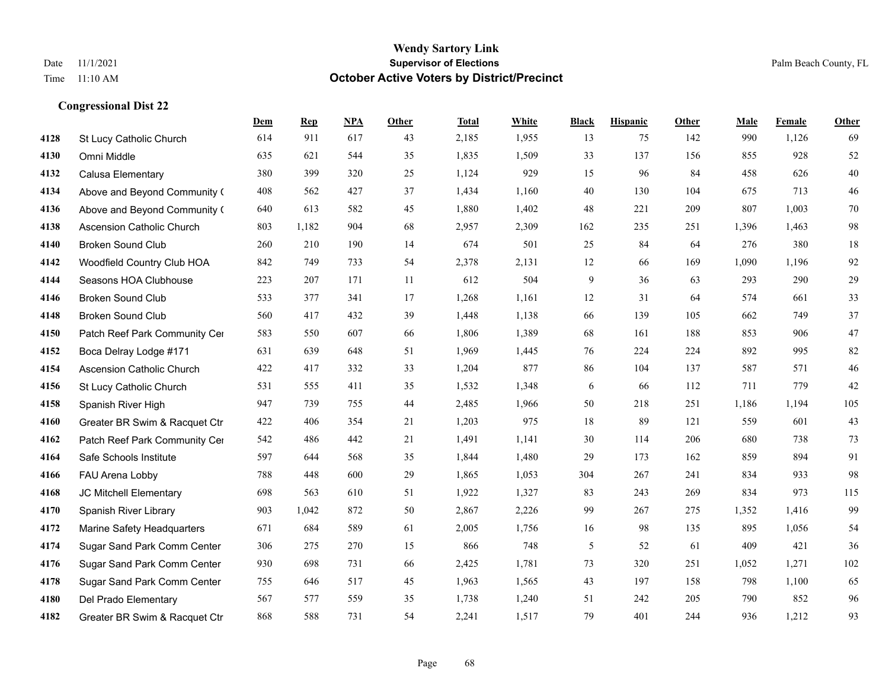|      |                                  | Dem | <b>Rep</b> | NPA | <b>Other</b> | <b>Total</b> | White | <b>Black</b> | <b>Hispanic</b> | <b>Other</b> | <b>Male</b> | Female | <b>Other</b> |
|------|----------------------------------|-----|------------|-----|--------------|--------------|-------|--------------|-----------------|--------------|-------------|--------|--------------|
| 4128 | St Lucy Catholic Church          | 614 | 911        | 617 | 43           | 2,185        | 1,955 | 13           | 75              | 142          | 990         | 1,126  | 69           |
| 4130 | Omni Middle                      | 635 | 621        | 544 | 35           | 1,835        | 1,509 | 33           | 137             | 156          | 855         | 928    | 52           |
| 4132 | Calusa Elementary                | 380 | 399        | 320 | 25           | 1,124        | 929   | 15           | 96              | 84           | 458         | 626    | $40\,$       |
| 4134 | Above and Beyond Community (     | 408 | 562        | 427 | 37           | 1,434        | 1,160 | 40           | 130             | 104          | 675         | 713    | 46           |
| 4136 | Above and Beyond Community (     | 640 | 613        | 582 | 45           | 1,880        | 1,402 | 48           | 221             | 209          | 807         | 1.003  | $70\,$       |
| 4138 | <b>Ascension Catholic Church</b> | 803 | 1,182      | 904 | 68           | 2,957        | 2,309 | 162          | 235             | 251          | 1,396       | 1,463  | 98           |
| 4140 | <b>Broken Sound Club</b>         | 260 | 210        | 190 | 14           | 674          | 501   | 25           | 84              | 64           | 276         | 380    | 18           |
| 4142 | Woodfield Country Club HOA       | 842 | 749        | 733 | 54           | 2,378        | 2,131 | 12           | 66              | 169          | 1,090       | 1,196  | 92           |
| 4144 | Seasons HOA Clubhouse            | 223 | 207        | 171 | 11           | 612          | 504   | 9            | 36              | 63           | 293         | 290    | 29           |
| 4146 | <b>Broken Sound Club</b>         | 533 | 377        | 341 | 17           | 1,268        | 1,161 | 12           | 31              | 64           | 574         | 661    | 33           |
| 4148 | <b>Broken Sound Club</b>         | 560 | 417        | 432 | 39           | 1,448        | 1,138 | 66           | 139             | 105          | 662         | 749    | 37           |
| 4150 | Patch Reef Park Community Cer    | 583 | 550        | 607 | 66           | 1,806        | 1,389 | 68           | 161             | 188          | 853         | 906    | 47           |
| 4152 | Boca Delray Lodge #171           | 631 | 639        | 648 | 51           | 1,969        | 1,445 | 76           | 224             | 224          | 892         | 995    | 82           |
| 4154 | Ascension Catholic Church        | 422 | 417        | 332 | 33           | 1,204        | 877   | 86           | 104             | 137          | 587         | 571    | 46           |
| 4156 | St Lucy Catholic Church          | 531 | 555        | 411 | 35           | 1,532        | 1,348 | 6            | 66              | 112          | 711         | 779    | $42\,$       |
| 4158 | Spanish River High               | 947 | 739        | 755 | 44           | 2,485        | 1,966 | 50           | 218             | 251          | 1,186       | 1,194  | 105          |
| 4160 | Greater BR Swim & Racquet Ctr    | 422 | 406        | 354 | 21           | 1,203        | 975   | $18\,$       | 89              | 121          | 559         | 601    | 43           |
| 4162 | Patch Reef Park Community Cer    | 542 | 486        | 442 | 21           | 1,491        | 1,141 | 30           | 114             | 206          | 680         | 738    | 73           |
| 4164 | Safe Schools Institute           | 597 | 644        | 568 | 35           | 1,844        | 1,480 | 29           | 173             | 162          | 859         | 894    | 91           |
| 4166 | FAU Arena Lobby                  | 788 | 448        | 600 | 29           | 1,865        | 1,053 | 304          | 267             | 241          | 834         | 933    | 98           |
| 4168 | JC Mitchell Elementary           | 698 | 563        | 610 | 51           | 1,922        | 1,327 | 83           | 243             | 269          | 834         | 973    | 115          |
| 4170 | Spanish River Library            | 903 | 1,042      | 872 | 50           | 2,867        | 2,226 | 99           | 267             | 275          | 1,352       | 1,416  | 99           |
| 4172 | Marine Safety Headquarters       | 671 | 684        | 589 | 61           | 2,005        | 1,756 | 16           | 98              | 135          | 895         | 1,056  | 54           |
| 4174 | Sugar Sand Park Comm Center      | 306 | 275        | 270 | 15           | 866          | 748   | 5            | 52              | 61           | 409         | 421    | 36           |
| 4176 | Sugar Sand Park Comm Center      | 930 | 698        | 731 | 66           | 2,425        | 1,781 | 73           | 320             | 251          | 1,052       | 1,271  | 102          |
| 4178 | Sugar Sand Park Comm Center      | 755 | 646        | 517 | 45           | 1,963        | 1,565 | 43           | 197             | 158          | 798         | 1,100  | 65           |
| 4180 | Del Prado Elementary             | 567 | 577        | 559 | 35           | 1,738        | 1,240 | 51           | 242             | 205          | 790         | 852    | 96           |
| 4182 | Greater BR Swim & Racquet Ctr    | 868 | 588        | 731 | 54           | 2,241        | 1,517 | 79           | 401             | 244          | 936         | 1,212  | 93           |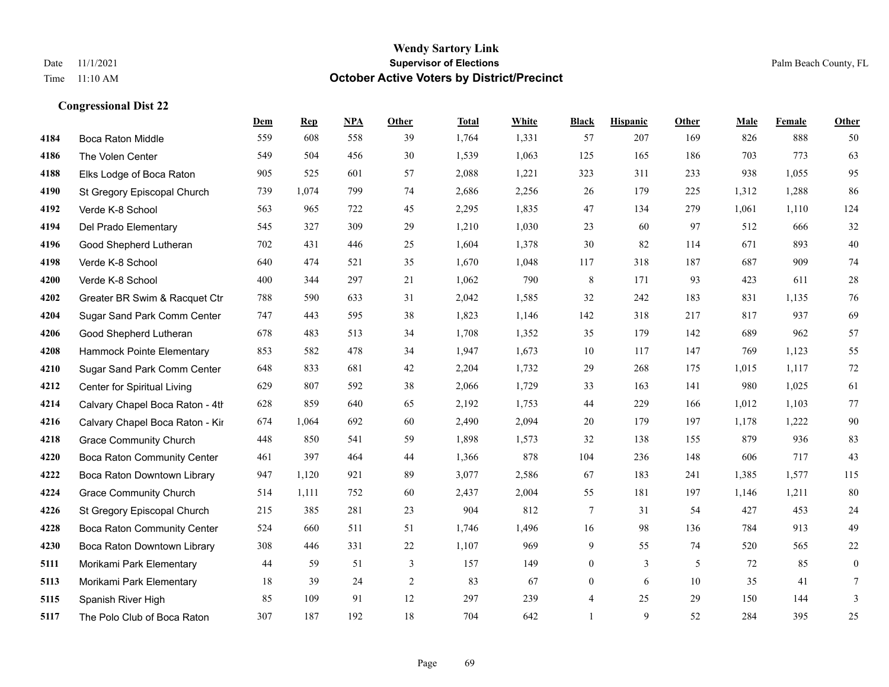|      |                                    | Dem | <b>Rep</b> | NPA | <b>Other</b>   | <b>Total</b> | <b>White</b> | <b>Black</b>     | <b>Hispanic</b> | <b>Other</b> | <b>Male</b> | <b>Female</b> | <b>Other</b>     |
|------|------------------------------------|-----|------------|-----|----------------|--------------|--------------|------------------|-----------------|--------------|-------------|---------------|------------------|
| 4184 | Boca Raton Middle                  | 559 | 608        | 558 | 39             | 1,764        | 1,331        | 57               | 207             | 169          | 826         | 888           | 50               |
| 4186 | The Volen Center                   | 549 | 504        | 456 | 30             | 1,539        | 1,063        | 125              | 165             | 186          | 703         | 773           | 63               |
| 4188 | Elks Lodge of Boca Raton           | 905 | 525        | 601 | 57             | 2,088        | 1,221        | 323              | 311             | 233          | 938         | 1,055         | 95               |
| 4190 | St Gregory Episcopal Church        | 739 | 1,074      | 799 | 74             | 2,686        | 2,256        | 26               | 179             | 225          | 1,312       | 1,288         | 86               |
| 4192 | Verde K-8 School                   | 563 | 965        | 722 | 45             | 2,295        | 1,835        | 47               | 134             | 279          | 1,061       | 1,110         | 124              |
| 4194 | Del Prado Elementary               | 545 | 327        | 309 | 29             | 1,210        | 1,030        | 23               | 60              | 97           | 512         | 666           | $32\,$           |
| 4196 | Good Shepherd Lutheran             | 702 | 431        | 446 | 25             | 1,604        | 1,378        | $30\,$           | 82              | 114          | 671         | 893           | $40\,$           |
| 4198 | Verde K-8 School                   | 640 | 474        | 521 | 35             | 1,670        | 1,048        | 117              | 318             | 187          | 687         | 909           | $74\,$           |
| 4200 | Verde K-8 School                   | 400 | 344        | 297 | 21             | 1,062        | 790          | $\,8\,$          | 171             | 93           | 423         | 611           | $28\,$           |
| 4202 | Greater BR Swim & Racquet Ctr      | 788 | 590        | 633 | 31             | 2,042        | 1,585        | 32               | 242             | 183          | 831         | 1,135         | $76\,$           |
| 4204 | Sugar Sand Park Comm Center        | 747 | 443        | 595 | 38             | 1,823        | 1,146        | 142              | 318             | 217          | 817         | 937           | 69               |
| 4206 | Good Shepherd Lutheran             | 678 | 483        | 513 | 34             | 1,708        | 1,352        | 35               | 179             | 142          | 689         | 962           | 57               |
| 4208 | Hammock Pointe Elementary          | 853 | 582        | 478 | 34             | 1,947        | 1,673        | 10               | 117             | 147          | 769         | 1,123         | 55               |
| 4210 | Sugar Sand Park Comm Center        | 648 | 833        | 681 | 42             | 2,204        | 1,732        | 29               | 268             | 175          | 1,015       | 1,117         | $72\,$           |
| 4212 | Center for Spiritual Living        | 629 | 807        | 592 | 38             | 2,066        | 1,729        | 33               | 163             | 141          | 980         | 1,025         | 61               |
| 4214 | Calvary Chapel Boca Raton - 4th    | 628 | 859        | 640 | 65             | 2,192        | 1,753        | 44               | 229             | 166          | 1,012       | 1,103         | 77               |
| 4216 | Calvary Chapel Boca Raton - Kir    | 674 | 1,064      | 692 | 60             | 2,490        | 2,094        | 20               | 179             | 197          | 1,178       | 1,222         | 90               |
| 4218 | <b>Grace Community Church</b>      | 448 | 850        | 541 | 59             | 1,898        | 1,573        | 32               | 138             | 155          | 879         | 936           | 83               |
| 4220 | <b>Boca Raton Community Center</b> | 461 | 397        | 464 | 44             | 1,366        | 878          | 104              | 236             | 148          | 606         | 717           | 43               |
| 4222 | Boca Raton Downtown Library        | 947 | 1,120      | 921 | 89             | 3,077        | 2,586        | 67               | 183             | 241          | 1,385       | 1,577         | 115              |
| 4224 | <b>Grace Community Church</b>      | 514 | 1,111      | 752 | 60             | 2,437        | 2,004        | 55               | 181             | 197          | 1,146       | 1,211         | 80               |
| 4226 | St Gregory Episcopal Church        | 215 | 385        | 281 | 23             | 904          | 812          | 7                | 31              | 54           | 427         | 453           | $24\,$           |
| 4228 | <b>Boca Raton Community Center</b> | 524 | 660        | 511 | 51             | 1,746        | 1,496        | 16               | 98              | 136          | 784         | 913           | 49               |
| 4230 | Boca Raton Downtown Library        | 308 | 446        | 331 | $22\,$         | 1,107        | 969          | 9                | 55              | 74           | 520         | 565           | $22\,$           |
| 5111 | Morikami Park Elementary           | 44  | 59         | 51  | 3              | 157          | 149          | $\boldsymbol{0}$ | 3               | 5            | 72          | 85            | $\boldsymbol{0}$ |
| 5113 | Morikami Park Elementary           | 18  | 39         | 24  | $\overline{c}$ | 83           | 67           | $\mathbf{0}$     | 6               | 10           | 35          | 41            | 7                |
| 5115 | Spanish River High                 | 85  | 109        | 91  | 12             | 297          | 239          | 4                | 25              | 29           | 150         | 144           | 3                |
| 5117 | The Polo Club of Boca Raton        | 307 | 187        | 192 | 18             | 704          | 642          | 1                | 9               | 52           | 284         | 395           | 25               |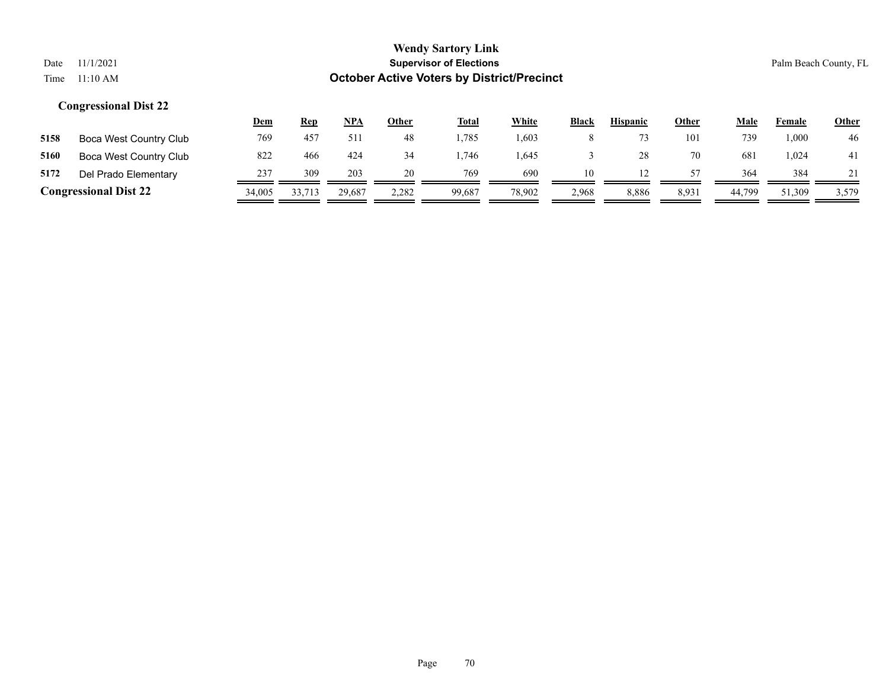|                              |                        | <u>Dem</u> | <b>Rep</b> | NPA    | <b>Other</b> | <b>Total</b> | White  | <b>Black</b> | <b>Hispanic</b> | <b>Other</b> | <b>Male</b> | Female | <b>Other</b> |
|------------------------------|------------------------|------------|------------|--------|--------------|--------------|--------|--------------|-----------------|--------------|-------------|--------|--------------|
| 5158                         | Boca West Country Club | 769        | 457        | 511    | 48           | .785         | .603   | 8            |                 | 101          | 739         | 000.   | 46           |
| 5160                         | Boca West Country Club | 822        | 466        | 424    | 34           | .746         | .645   |              | 28              | 70           | 681         | 0.024  | 41           |
| 5172                         | Del Prado Elementary   | 237        | 309        | 203    | 20           | 769          | 690    | 10           |                 | 57           | 364         | 384    |              |
| <b>Congressional Dist 22</b> |                        | 34,005     | 33,713     | 29,687 | 2,282        | 99,687       | 78,902 | 2.968        | 8,886           | 8,931        | 44.799      | 51,309 | 3,579        |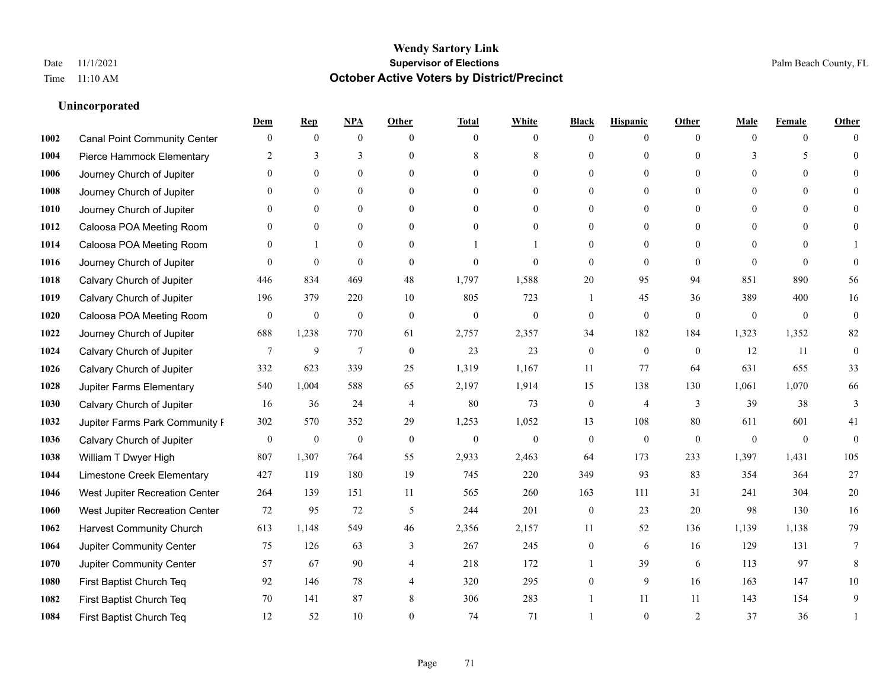# **Unincorporated**

|      |                                     | Dem             | <b>Rep</b>       | NPA              | <b>Other</b>   | <b>Total</b>     | <b>White</b>     | <b>Black</b>     | <b>Hispanic</b>  | <b>Other</b>   | <b>Male</b>  | <b>Female</b>  | <b>Other</b>     |
|------|-------------------------------------|-----------------|------------------|------------------|----------------|------------------|------------------|------------------|------------------|----------------|--------------|----------------|------------------|
| 1002 | <b>Canal Point Community Center</b> | $\mathbf{0}$    | $\mathbf{0}$     | $\boldsymbol{0}$ | $\Omega$       | $\overline{0}$   | $\overline{0}$   | $\mathbf{0}$     | $\mathbf{0}$     | $\theta$       | $\theta$     | $\overline{0}$ | $\Omega$         |
| 1004 | Pierce Hammock Elementary           | 2               | 3                | 3                | $\Omega$       | 8                | 8                | $\theta$         | $\mathbf{0}$     | $\Omega$       | 3            | 5              | $\theta$         |
| 1006 | Journey Church of Jupiter           | $\Omega$        | $\theta$         | $\theta$         | $\Omega$       | $\Omega$         | $\Omega$         | $\Omega$         | $\theta$         | $\Omega$       | $\Omega$     | $\Omega$       | $\Omega$         |
| 1008 | Journey Church of Jupiter           | $\mathbf{0}$    | $\mathbf{0}$     | $\mathbf{0}$     | $\mathbf{0}$   | $\theta$         | $\mathbf{0}$     | $\overline{0}$   | $\mathbf{0}$     | $\Omega$       | $\mathbf{0}$ | $\theta$       |                  |
| 1010 | Journey Church of Jupiter           | $\Omega$        | $\theta$         | $\mathbf{0}$     | $\theta$       | $\Omega$         | $\overline{0}$   | $\theta$         | $\mathbf{0}$     | $\Omega$       | $\theta$     | $\theta$       | $\Omega$         |
| 1012 | Caloosa POA Meeting Room            | $\Omega$        | $\mathbf{0}$     | $\mathbf{0}$     | $\theta$       | $\theta$         | $\mathbf{0}$     | $\theta$         | $\mathbf{0}$     | $\Omega$       | $\mathbf{0}$ | $\Omega$       |                  |
| 1014 | Caloosa POA Meeting Room            | $\mathbf{0}$    | $\mathbf{1}$     | $\mathbf{0}$     | $\mathbf{0}$   |                  |                  | $\mathbf{0}$     | $\mathbf{0}$     | $\Omega$       | $\mathbf{0}$ | $\theta$       |                  |
| 1016 | Journey Church of Jupiter           | $\Omega$        | $\mathbf{0}$     | $\mathbf{0}$     | $\theta$       | $\theta$         | $\theta$         | $\theta$         | $\theta$         | $\Omega$       | $\Omega$     | $\Omega$       | $\theta$         |
| 1018 | Calvary Church of Jupiter           | 446             | 834              | 469              | 48             | 1,797            | 1,588            | 20               | 95               | 94             | 851          | 890            | 56               |
| 1019 | Calvary Church of Jupiter           | 196             | 379              | 220              | 10             | 805              | 723              | 1                | 45               | 36             | 389          | 400            | 16               |
| 1020 | Caloosa POA Meeting Room            | $\overline{0}$  | $\boldsymbol{0}$ | $\boldsymbol{0}$ | $\mathbf{0}$   | $\boldsymbol{0}$ | $\mathbf{0}$     | $\boldsymbol{0}$ | $\mathbf{0}$     | $\mathbf{0}$   | $\mathbf{0}$ | $\overline{0}$ | $\boldsymbol{0}$ |
| 1022 | Journey Church of Jupiter           | 688             | 1,238            | 770              | 61             | 2,757            | 2,357            | 34               | 182              | 184            | 1,323        | 1,352          | 82               |
| 1024 | Calvary Church of Jupiter           | $7\phantom{.0}$ | 9                | $\overline{7}$   | $\theta$       | 23               | 23               | $\mathbf{0}$     | $\mathbf{0}$     | $\theta$       | 12           | 11             | $\boldsymbol{0}$ |
| 1026 | Calvary Church of Jupiter           | 332             | 623              | 339              | 25             | 1,319            | 1,167            | 11               | 77               | 64             | 631          | 655            | 33               |
| 1028 | Jupiter Farms Elementary            | 540             | 1,004            | 588              | 65             | 2,197            | 1,914            | 15               | 138              | 130            | 1,061        | 1,070          | 66               |
| 1030 | Calvary Church of Jupiter           | 16              | 36               | 24               | $\overline{4}$ | 80               | 73               | $\boldsymbol{0}$ | $\overline{4}$   | 3              | 39           | 38             | 3                |
| 1032 | Jupiter Farms Park Community F      | 302             | 570              | 352              | 29             | 1,253            | 1,052            | 13               | 108              | 80             | 611          | 601            | 41               |
| 1036 | Calvary Church of Jupiter           | $\mathbf{0}$    | $\boldsymbol{0}$ | $\boldsymbol{0}$ | $\mathbf{0}$   | $\boldsymbol{0}$ | $\boldsymbol{0}$ | $\mathbf{0}$     | $\boldsymbol{0}$ | $\mathbf{0}$   | $\theta$     | $\overline{0}$ | $\mathbf{0}$     |
| 1038 | William T Dwyer High                | 807             | 1,307            | 764              | 55             | 2,933            | 2,463            | 64               | 173              | 233            | 1,397        | 1,431          | 105              |
| 1044 | Limestone Creek Elementary          | 427             | 119              | 180              | 19             | 745              | 220              | 349              | 93               | 83             | 354          | 364            | 27               |
| 1046 | West Jupiter Recreation Center      | 264             | 139              | 151              | 11             | 565              | 260              | 163              | 111              | 31             | 241          | 304            | $20\,$           |
| 1060 | West Jupiter Recreation Center      | 72              | 95               | 72               | 5              | 244              | 201              | $\boldsymbol{0}$ | 23               | 20             | 98           | 130            | 16               |
| 1062 | <b>Harvest Community Church</b>     | 613             | 1,148            | 549              | 46             | 2,356            | 2,157            | 11               | 52               | 136            | 1,139        | 1,138          | 79               |
| 1064 | Jupiter Community Center            | 75              | 126              | 63               | 3              | 267              | 245              | $\mathbf{0}$     | 6                | 16             | 129          | 131            | $\tau$           |
| 1070 | Jupiter Community Center            | 57              | 67               | 90               | $\overline{4}$ | 218              | 172              | $\mathbf{1}$     | 39               | 6              | 113          | 97             | 8                |
| 1080 | First Baptist Church Teq            | 92              | 146              | 78               | 4              | 320              | 295              | $\theta$         | 9                | 16             | 163          | 147            | 10               |
| 1082 | First Baptist Church Teq            | 70              | 141              | 87               | 8              | 306              | 283              |                  | 11               | 11             | 143          | 154            | 9                |
| 1084 | First Baptist Church Teq            | 12              | 52               | 10               | $\Omega$       | 74               | 71               |                  | $\theta$         | $\overline{2}$ | 37           | 36             |                  |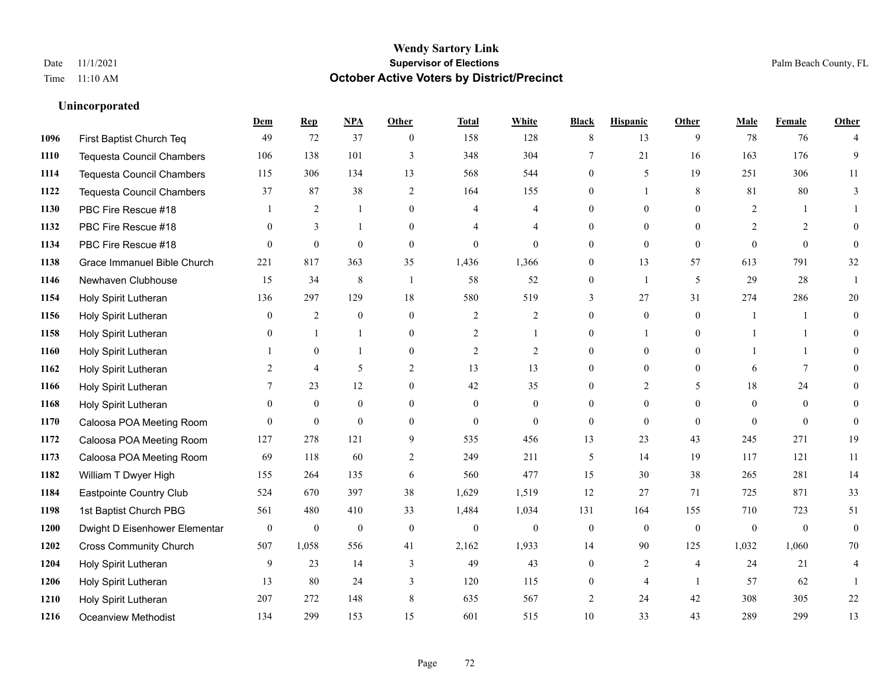**Unincorporated**

#### **Wendy Sartory Link** Date 11/1/2021 **Supervisor of Elections** Palm Beach County, FL Time 11:10 AM **October Active Voters by District/Precinct**

# **Dem Rep NPA Other Total White Black Hispanic Other Male Female Other** First Baptist Church Teq 49 72 37 0 158 128 8 13 9 78 76 4 Tequesta Council Chambers 106 138 101 3 348 304 7 21 16 163 176 9 Tequesta Council Chambers 115 306 134 13 568 544 0 5 19 251 306 11 Tequesta Council Chambers 37 87 38 2 164 155 0 1 8 81 80 3 PBC Fire Rescue #18 **1** 2 1 0 4 4 0 0 0 2 1 1 **1132 PBC Fire Rescue #18** 0 3 1 0 4 4 0 0 0 2 2 0 PBC Fire Rescue #18 0 0 0 0 0 0 0 0 0 0 0 0 Grace Immanuel Bible Church 221 817 363 35 1,436 1,366 0 13 57 613 791 32 Newhaven Clubhouse 15 34 8 1 58 52 0 1 5 29 28 1 Holy Spirit Lutheran 136 297 129 18 580 519 3 27 31 274 286 20 Holy Spirit Lutheran **0** 2 0 0 2 2 2 0 0 0 1 1 0 Holy Spirit Lutheran **0** 1 1 0 2 1 0 1 0 1 1 0 Holy Spirit Lutheran 1 0 1 0 1 0 2 2 0 0 0 1 1 0 Holy Spirit Lutheran 2 4 5 2 13 13 0 0 0 6 7 0 1166 Holy Spirit Lutheran **7** 23 12 0 42 35 0 2 5 18 24 0 Holy Spirit Lutheran 0 0 0 0 0 0 0 0 0 0 0 0 Caloosa POA Meeting Room 0 0 0 0 0 0 0 0 0 0 0 0 Caloosa POA Meeting Room 127 278 121 9 535 456 13 23 43 245 271 19 Caloosa POA Meeting Room 69 118 60 2 249 211 5 14 19 117 121 11 William T Dwyer High 155 264 135 6 560 477 15 30 38 265 281 14 Eastpointe Country Club 524 670 397 38 1,629 1,519 12 27 71 725 871 33 1st Baptist Church PBG 561 480 410 33 1,484 1,034 131 164 155 710 723 51 Dwight D Eisenhower Elementary 0 0 0 0 0 0 0 0 0 0 0 0 Cross Community Church 507 1,058 556 41 2,162 1,933 14 90 125 1,032 1,060 70 Holy Spirit Lutheran **9** 23 14 3 49 43 0 2 4 24 21 4 Holy Spirit Lutheran 13 80 24 3 120 115 0 4 1 57 62 1 Holy Spirit Lutheran 207 272 148 8 635 567 2 24 42 308 305 22 Oceanview Methodist 134 299 153 15 601 515 10 33 43 289 299 13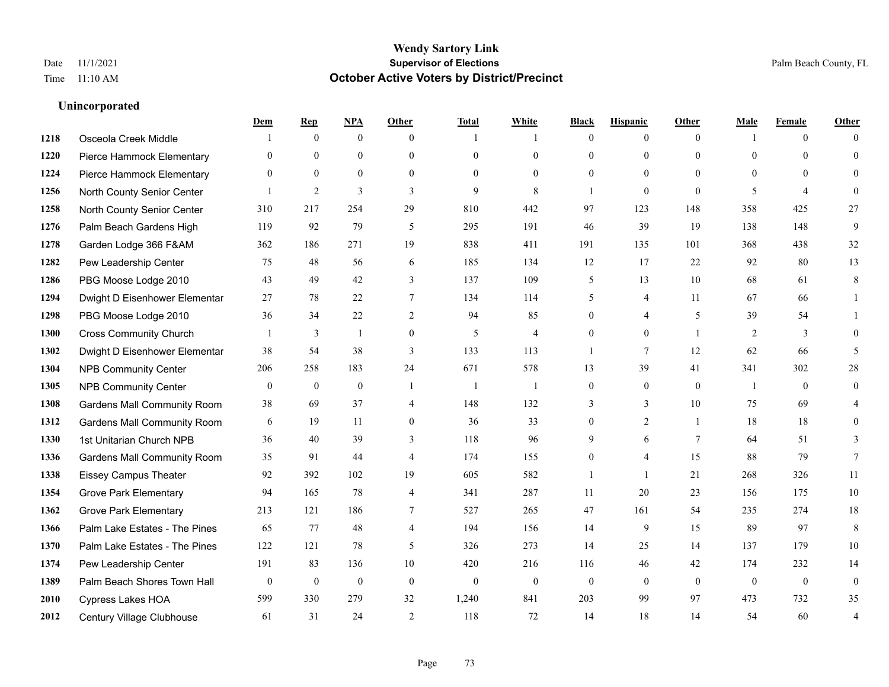|      |                                    | Dem            | <b>Rep</b>       | NPA              | <b>Other</b>   | <b>Total</b>   | <b>White</b>     | <b>Black</b>     | <b>Hispanic</b> | <b>Other</b>   | <b>Male</b>    | <b>Female</b>  | <b>Other</b>     |
|------|------------------------------------|----------------|------------------|------------------|----------------|----------------|------------------|------------------|-----------------|----------------|----------------|----------------|------------------|
| 1218 | Osceola Creek Middle               |                | $\mathbf{0}$     | $\mathbf{0}$     | $\theta$       |                | -1               | $\mathbf{0}$     | $\mathbf{0}$    | $\theta$       |                | $\overline{0}$ | $\Omega$         |
| 1220 | Pierce Hammock Elementary          | $\theta$       | $\theta$         | $\mathbf{0}$     | $\Omega$       | $\theta$       | $\overline{0}$   | $\theta$         | $\mathbf{0}$    | $\Omega$       | $\theta$       | $\theta$       | $\theta$         |
| 1224 | Pierce Hammock Elementary          | $\mathbf{0}$   | $\mathbf{0}$     | $\boldsymbol{0}$ | $\overline{0}$ | $\theta$       | $\overline{0}$   | $\theta$         | $\mathbf{0}$    | $\theta$       | $\theta$       | $\Omega$       | $\theta$         |
| 1256 | North County Senior Center         |                | $\overline{2}$   | 3                | 3              | 9              | 8                | 1                | $\mathbf{0}$    | $\theta$       | 5              | $\overline{4}$ | $\Omega$         |
| 1258 | North County Senior Center         | 310            | 217              | 254              | 29             | 810            | 442              | 97               | 123             | 148            | 358            | 425            | 27               |
| 1276 | Palm Beach Gardens High            | 119            | 92               | 79               | 5              | 295            | 191              | 46               | 39              | 19             | 138            | 148            | 9                |
| 1278 | Garden Lodge 366 F&AM              | 362            | 186              | 271              | 19             | 838            | 411              | 191              | 135             | 101            | 368            | 438            | 32               |
| 1282 | Pew Leadership Center              | 75             | 48               | 56               | 6              | 185            | 134              | 12               | 17              | 22             | 92             | 80             | 13               |
| 1286 | PBG Moose Lodge 2010               | 43             | 49               | 42               | 3              | 137            | 109              | 5                | 13              | 10             | 68             | 61             | 8                |
| 1294 | Dwight D Eisenhower Elementar      | 27             | 78               | 22               | 7              | 134            | 114              | 5                | 4               | 11             | 67             | 66             | 1                |
| 1298 | PBG Moose Lodge 2010               | 36             | 34               | 22               | 2              | 94             | 85               | $\mathbf{0}$     | $\overline{4}$  | 5              | 39             | 54             |                  |
| 1300 | <b>Cross Community Church</b>      |                | 3                | $\mathbf{1}$     | $\overline{0}$ | 5              | $\overline{4}$   | $\theta$         | $\theta$        | $\overline{1}$ | $\overline{2}$ | 3              | $\Omega$         |
| 1302 | Dwight D Eisenhower Elementar      | 38             | 54               | 38               | 3              | 133            | 113              | 1                | 7               | 12             | 62             | 66             | 5                |
| 1304 | <b>NPB Community Center</b>        | 206            | 258              | 183              | 24             | 671            | 578              | 13               | 39              | 41             | 341            | 302            | $28\,$           |
| 1305 | <b>NPB Community Center</b>        | $\mathbf{0}$   | $\mathbf{0}$     | $\mathbf{0}$     | $\overline{1}$ | $\overline{1}$ | $\overline{1}$   | $\mathbf{0}$     | $\mathbf{0}$    | $\theta$       | -1             | $\theta$       | $\mathbf{0}$     |
| 1308 | <b>Gardens Mall Community Room</b> | 38             | 69               | 37               | 4              | 148            | 132              | 3                | 3               | 10             | 75             | 69             | 4                |
| 1312 | <b>Gardens Mall Community Room</b> | 6              | 19               | 11               | $\overline{0}$ | 36             | 33               | $\boldsymbol{0}$ | 2               | $\mathbf{1}$   | 18             | 18             | $\theta$         |
| 1330 | 1st Unitarian Church NPB           | 36             | 40               | 39               | 3              | 118            | 96               | 9                | 6               | $\tau$         | 64             | 51             | 3                |
| 1336 | <b>Gardens Mall Community Room</b> | 35             | 91               | 44               | $\overline{4}$ | 174            | 155              | 0                | 4               | 15             | 88             | 79             | 7                |
| 1338 | <b>Eissey Campus Theater</b>       | 92             | 392              | 102              | 19             | 605            | 582              | 1                | $\mathbf{1}$    | 21             | 268            | 326            | 11               |
| 1354 | <b>Grove Park Elementary</b>       | 94             | 165              | 78               | $\overline{4}$ | 341            | 287              | 11               | 20              | 23             | 156            | 175            | 10               |
| 1362 | <b>Grove Park Elementary</b>       | 213            | 121              | 186              | 7              | 527            | 265              | 47               | 161             | 54             | 235            | 274            | 18               |
| 1366 | Palm Lake Estates - The Pines      | 65             | 77               | 48               | $\overline{4}$ | 194            | 156              | 14               | 9               | 15             | 89             | 97             | 8                |
| 1370 | Palm Lake Estates - The Pines      | 122            | 121              | 78               | 5              | 326            | 273              | 14               | 25              | 14             | 137            | 179            | 10               |
| 1374 | Pew Leadership Center              | 191            | 83               | 136              | 10             | 420            | 216              | 116              | 46              | 42             | 174            | 232            | 14               |
| 1389 | Palm Beach Shores Town Hall        | $\overline{0}$ | $\boldsymbol{0}$ | $\boldsymbol{0}$ | $\mathbf{0}$   | $\theta$       | $\boldsymbol{0}$ | $\mathbf{0}$     | $\mathbf{0}$    | $\theta$       | $\mathbf{0}$   | $\mathbf{0}$   | $\boldsymbol{0}$ |
| 2010 | <b>Cypress Lakes HOA</b>           | 599            | 330              | 279              | 32             | 1,240          | 841              | 203              | 99              | 97             | 473            | 732            | 35               |
| 2012 | Century Village Clubhouse          | 61             | 31               | 24               | 2              | 118            | 72               | 14               | 18              | 14             | 54             | 60             | 4                |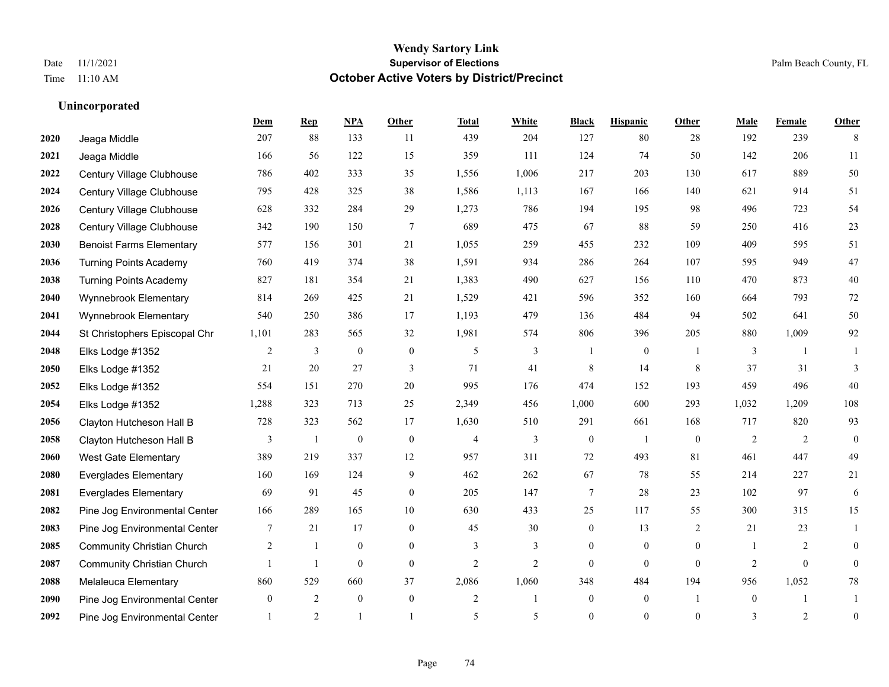|      |                                   | Dem          | <b>Rep</b>   | NPA              | <b>Other</b>   | <b>Total</b>             | <b>White</b>   | <b>Black</b>     | <b>Hispanic</b>  | <b>Other</b>   | <b>Male</b>    | <b>Female</b> | <b>Other</b>     |
|------|-----------------------------------|--------------|--------------|------------------|----------------|--------------------------|----------------|------------------|------------------|----------------|----------------|---------------|------------------|
| 2020 | Jeaga Middle                      | 207          | 88           | 133              | 11             | 439                      | 204            | 127              | 80               | 28             | 192            | 239           | 8                |
| 2021 | Jeaga Middle                      | 166          | 56           | 122              | 15             | 359                      | 111            | 124              | 74               | 50             | 142            | 206           | 11               |
| 2022 | Century Village Clubhouse         | 786          | 402          | 333              | 35             | 1,556                    | 1,006          | 217              | 203              | 130            | 617            | 889           | 50               |
| 2024 | Century Village Clubhouse         | 795          | 428          | 325              | 38             | 1,586                    | 1,113          | 167              | 166              | 140            | 621            | 914           | 51               |
| 2026 | Century Village Clubhouse         | 628          | 332          | 284              | 29             | 1,273                    | 786            | 194              | 195              | 98             | 496            | 723           | 54               |
| 2028 | Century Village Clubhouse         | 342          | 190          | 150              | $\tau$         | 689                      | 475            | 67               | 88               | 59             | 250            | 416           | $23\,$           |
| 2030 | <b>Benoist Farms Elementary</b>   | 577          | 156          | 301              | 21             | 1,055                    | 259            | 455              | 232              | 109            | 409            | 595           | 51               |
| 2036 | <b>Turning Points Academy</b>     | 760          | 419          | 374              | 38             | 1,591                    | 934            | 286              | 264              | 107            | 595            | 949           | $47\,$           |
| 2038 | <b>Turning Points Academy</b>     | 827          | 181          | 354              | 21             | 1,383                    | 490            | 627              | 156              | 110            | 470            | 873           | $40\,$           |
| 2040 | Wynnebrook Elementary             | 814          | 269          | 425              | 21             | 1,529                    | 421            | 596              | 352              | 160            | 664            | 793           | $72\,$           |
| 2041 | Wynnebrook Elementary             | 540          | 250          | 386              | 17             | 1,193                    | 479            | 136              | 484              | 94             | 502            | 641           | 50               |
| 2044 | St Christophers Episcopal Chr     | 1,101        | 283          | 565              | 32             | 1,981                    | 574            | 806              | 396              | 205            | 880            | 1,009         | 92               |
| 2048 | Elks Lodge #1352                  | 2            | 3            | $\boldsymbol{0}$ | $\mathbf{0}$   | 5                        | 3              |                  | $\boldsymbol{0}$ |                | 3              |               |                  |
| 2050 | Elks Lodge #1352                  | 21           | 20           | 27               | 3              | 71                       | 41             | 8                | 14               | 8              | 37             | 31            | 3                |
| 2052 | Elks Lodge #1352                  | 554          | 151          | 270              | 20             | 995                      | 176            | 474              | 152              | 193            | 459            | 496           | 40               |
| 2054 | Elks Lodge #1352                  | 1,288        | 323          | 713              | 25             | 2,349                    | 456            | 1,000            | 600              | 293            | 1,032          | 1,209         | 108              |
| 2056 | Clayton Hutcheson Hall B          | 728          | 323          | 562              | 17             | 1,630                    | 510            | 291              | 661              | 168            | 717            | 820           | 93               |
| 2058 | Clayton Hutcheson Hall B          | 3            | 1            | $\boldsymbol{0}$ | $\mathbf{0}$   | $\overline{4}$           | 3              | $\boldsymbol{0}$ | $\mathbf{1}$     | $\theta$       | 2              | 2             | $\mathbf{0}$     |
| 2060 | <b>West Gate Elementary</b>       | 389          | 219          | 337              | 12             | 957                      | 311            | $72\,$           | 493              | 81             | 461            | 447           | 49               |
| 2080 | <b>Everglades Elementary</b>      | 160          | 169          | 124              | 9              | 462                      | 262            | 67               | 78               | 55             | 214            | 227           | 21               |
| 2081 | <b>Everglades Elementary</b>      | 69           | 91           | 45               | $\theta$       | 205                      | 147            | $\tau$           | 28               | 23             | 102            | 97            | 6                |
| 2082 | Pine Jog Environmental Center     | 166          | 289          | 165              | $10\,$         | 630                      | 433            | 25               | 117              | 55             | 300            | 315           | 15               |
| 2083 | Pine Jog Environmental Center     | 7            | 21           | 17               | $\mathbf{0}$   | 45                       | 30             | $\boldsymbol{0}$ | 13               | 2              | 21             | 23            | 1                |
| 2085 | <b>Community Christian Church</b> | 2            | 1            | $\mathbf{0}$     | $\overline{0}$ | 3                        | 3              | $\overline{0}$   | $\overline{0}$   | $\mathbf{0}$   | $\overline{1}$ | 2             | $\theta$         |
| 2087 | <b>Community Christian Church</b> |              | $\mathbf{1}$ | $\theta$         | $\Omega$       | $\overline{2}$           | $\overline{2}$ | $\Omega$         | $\Omega$         | $\theta$       | $\overline{2}$ | $\Omega$      | $\theta$         |
| 2088 | Melaleuca Elementary              | 860          | 529          | 660              | 37             | 2,086                    | 1,060          | 348              | 484              | 194            | 956            | 1,052         | $78\,$           |
| 2090 | Pine Jog Environmental Center     | $\mathbf{0}$ | 2            | $\mathbf{0}$     | $\mathbf{0}$   | $\overline{c}$           | $\mathbf{1}$   | $\boldsymbol{0}$ | $\boldsymbol{0}$ | $\overline{1}$ | $\overline{0}$ |               | -1               |
| 2092 | Pine Jog Environmental Center     |              | 2            |                  |                | $\overline{\phantom{0}}$ | 5              | $\mathbf{0}$     | $\Omega$         | $\mathbf{0}$   | 3              | 2             | $\boldsymbol{0}$ |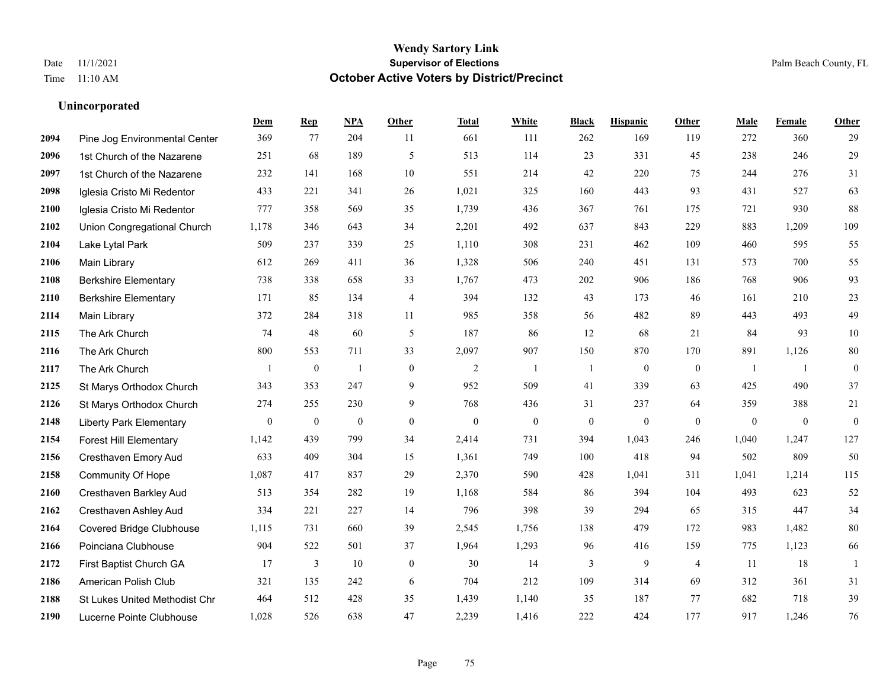|      |                                 | Dem              | <b>Rep</b>       | NPA              | <b>Other</b>     | <b>Total</b>     | <b>White</b>     | <b>Black</b>     | <b>Hispanic</b>  | <b>Other</b>     | <b>Male</b>  | Female           | <b>Other</b>     |
|------|---------------------------------|------------------|------------------|------------------|------------------|------------------|------------------|------------------|------------------|------------------|--------------|------------------|------------------|
| 2094 | Pine Jog Environmental Center   | 369              | 77               | 204              | 11               | 661              | 111              | 262              | 169              | 119              | 272          | 360              | 29               |
| 2096 | 1st Church of the Nazarene      | 251              | 68               | 189              | 5                | 513              | 114              | 23               | 331              | 45               | 238          | 246              | 29               |
| 2097 | 1st Church of the Nazarene      | 232              | 141              | 168              | 10               | 551              | 214              | 42               | 220              | 75               | 244          | 276              | 31               |
| 2098 | Iglesia Cristo Mi Redentor      | 433              | 221              | 341              | 26               | 1,021            | 325              | 160              | 443              | 93               | 431          | 527              | 63               |
| 2100 | Iglesia Cristo Mi Redentor      | 777              | 358              | 569              | 35               | 1,739            | 436              | 367              | 761              | 175              | 721          | 930              | 88               |
| 2102 | Union Congregational Church     | 1,178            | 346              | 643              | 34               | 2,201            | 492              | 637              | 843              | 229              | 883          | 1,209            | 109              |
| 2104 | Lake Lytal Park                 | 509              | 237              | 339              | 25               | 1,110            | 308              | 231              | 462              | 109              | 460          | 595              | 55               |
| 2106 | <b>Main Library</b>             | 612              | 269              | 411              | 36               | 1,328            | 506              | 240              | 451              | 131              | 573          | 700              | 55               |
| 2108 | <b>Berkshire Elementary</b>     | 738              | 338              | 658              | 33               | 1,767            | 473              | 202              | 906              | 186              | 768          | 906              | 93               |
| 2110 | <b>Berkshire Elementary</b>     | 171              | 85               | 134              | $\overline{4}$   | 394              | 132              | 43               | 173              | 46               | 161          | 210              | 23               |
| 2114 | Main Library                    | 372              | 284              | 318              | 11               | 985              | 358              | 56               | 482              | 89               | 443          | 493              | 49               |
| 2115 | The Ark Church                  | 74               | 48               | 60               | 5                | 187              | 86               | 12               | 68               | 21               | 84           | 93               | 10               |
| 2116 | The Ark Church                  | 800              | 553              | 711              | 33               | 2,097            | 907              | 150              | 870              | 170              | 891          | 1,126            | $80\,$           |
| 2117 | The Ark Church                  |                  | $\boldsymbol{0}$ | $\overline{1}$   | $\boldsymbol{0}$ | $\sqrt{2}$       | -1               | $\mathbf{1}$     | $\boldsymbol{0}$ | $\boldsymbol{0}$ | -1           | -1               | $\boldsymbol{0}$ |
| 2125 | St Marys Orthodox Church        | 343              | 353              | 247              | 9                | 952              | 509              | 41               | 339              | 63               | 425          | 490              | 37               |
| 2126 | St Marys Orthodox Church        | 274              | 255              | 230              | 9                | 768              | 436              | 31               | 237              | 64               | 359          | 388              | 21               |
| 2148 | <b>Liberty Park Elementary</b>  | $\boldsymbol{0}$ | $\boldsymbol{0}$ | $\boldsymbol{0}$ | $\boldsymbol{0}$ | $\boldsymbol{0}$ | $\boldsymbol{0}$ | $\boldsymbol{0}$ | $\boldsymbol{0}$ | $\boldsymbol{0}$ | $\mathbf{0}$ | $\boldsymbol{0}$ | $\boldsymbol{0}$ |
| 2154 | <b>Forest Hill Elementary</b>   | 1,142            | 439              | 799              | 34               | 2,414            | 731              | 394              | 1,043            | 246              | 1,040        | 1,247            | 127              |
| 2156 | Cresthaven Emory Aud            | 633              | 409              | 304              | 15               | 1,361            | 749              | 100              | 418              | 94               | 502          | 809              | 50               |
| 2158 | <b>Community Of Hope</b>        | 1,087            | 417              | 837              | 29               | 2,370            | 590              | 428              | 1,041            | 311              | 1,041        | 1,214            | 115              |
| 2160 | Cresthaven Barkley Aud          | 513              | 354              | 282              | 19               | 1,168            | 584              | 86               | 394              | 104              | 493          | 623              | 52               |
| 2162 | Cresthaven Ashley Aud           | 334              | 221              | 227              | 14               | 796              | 398              | 39               | 294              | 65               | 315          | 447              | 34               |
| 2164 | <b>Covered Bridge Clubhouse</b> | 1,115            | 731              | 660              | 39               | 2,545            | 1,756            | 138              | 479              | 172              | 983          | 1,482            | 80               |
| 2166 | Poinciana Clubhouse             | 904              | 522              | 501              | 37               | 1,964            | 1,293            | 96               | 416              | 159              | 775          | 1,123            | 66               |
| 2172 | First Baptist Church GA         | 17               | 3                | 10               | $\mathbf{0}$     | 30               | 14               | 3                | 9                | $\overline{4}$   | 11           | 18               | $\overline{1}$   |
| 2186 | American Polish Club            | 321              | 135              | 242              | 6                | 704              | 212              | 109              | 314              | 69               | 312          | 361              | 31               |
| 2188 | St Lukes United Methodist Chr   | 464              | 512              | 428              | 35               | 1,439            | 1,140            | 35               | 187              | 77               | 682          | 718              | 39               |
| 2190 | Lucerne Pointe Clubhouse        | 1,028            | 526              | 638              | 47               | 2,239            | 1,416            | 222              | 424              | 177              | 917          | 1,246            | 76               |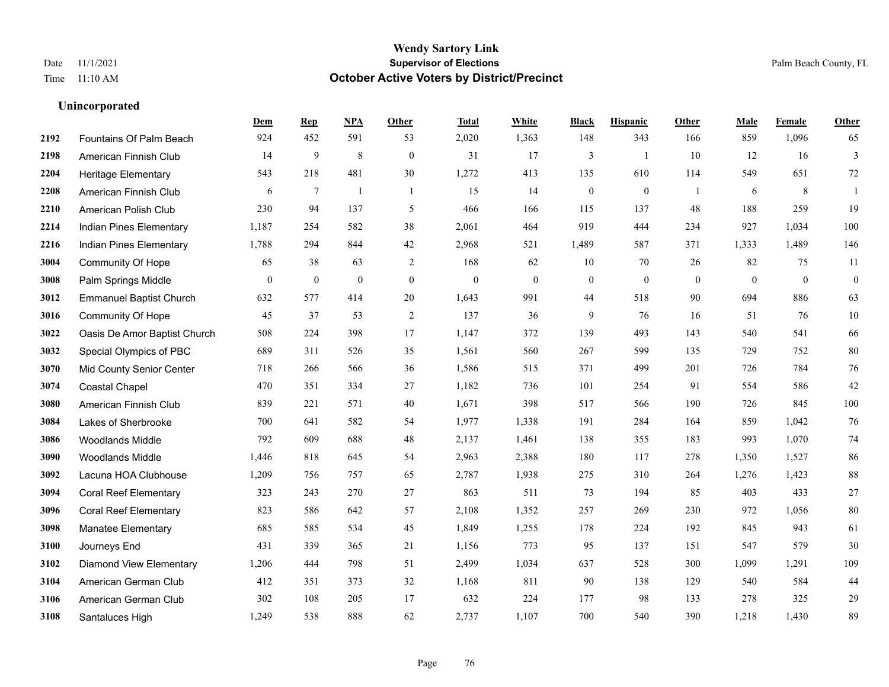#### **Wendy Sartory Link** Date 11/1/2021 **Supervisor of Elections** Palm Beach County, FL Time 11:10 AM **October Active Voters by District/Precinct**

## **Dem Rep NPA Other Total White Black Hispanic Other Male Female Other** Fountains Of Palm Beach 924 452 591 53 2,020 1,363 148 343 166 859 1,096 65 American Finnish Club 14 9 8 0 31 17 3 1 10 12 16 3 Heritage Elementary 543 218 481 30 1,272 413 135 610 114 549 651 72 American Finnish Club 6 7 1 1 15 14 0 0 1 6 8 1 American Polish Club 230 94 137 5 466 166 115 137 48 188 259 19 Indian Pines Elementary 1,187 254 582 38 2,061 464 919 444 234 927 1,034 100 Indian Pines Elementary 1,788 294 844 42 2,968 521 1,489 587 371 1,333 1,489 146 Community Of Hope 65 38 63 2 168 62 10 70 26 82 75 11 Palm Springs Middle 0 0 0 0 0 0 0 0 0 0 0 0 Emmanuel Baptist Church 632 577 414 20 1,643 991 44 518 90 694 886 63 Community Of Hope 45 37 53 2 137 36 9 76 16 51 76 10 Oasis De Amor Baptist Church 508 224 398 17 1,147 372 139 493 143 540 541 66 Special Olympics of PBC 689 311 526 35 1,561 560 267 599 135 729 752 80 Mid County Senior Center 718 266 566 36 1,586 515 371 499 201 726 784 76 Coastal Chapel 470 351 334 27 1,182 736 101 254 91 554 586 42 American Finnish Club 839 221 571 40 1,671 398 517 566 190 726 845 100 Lakes of Sherbrooke 700 641 582 54 1,977 1,338 191 284 164 859 1,042 76 Woodlands Middle 792 609 688 48 2,137 1,461 138 355 183 993 1,070 74 Woodlands Middle 1,446 818 645 54 2,963 2,388 180 117 278 1,350 1,527 86 Lacuna HOA Clubhouse 1,209 756 757 65 2,787 1,938 275 310 264 1,276 1,423 88 Coral Reef Elementary 323 243 270 27 863 511 73 194 85 403 433 27 Coral Reef Elementary 823 586 642 57 2,108 1,352 257 269 230 972 1,056 80 Manatee Elementary 685 585 534 45 1,849 1,255 178 224 192 845 943 61 Journeys End 431 339 365 21 1,156 773 95 137 151 547 579 30 Diamond View Elementary 1,206 444 798 51 2,499 1,034 637 528 300 1,099 1,291 109 American German Club 412 351 373 32 1,168 811 90 138 129 540 584 44 American German Club 302 108 205 17 632 224 177 98 133 278 325 29 Santaluces High 1,249 538 888 62 2,737 1,107 700 540 390 1,218 1,430 89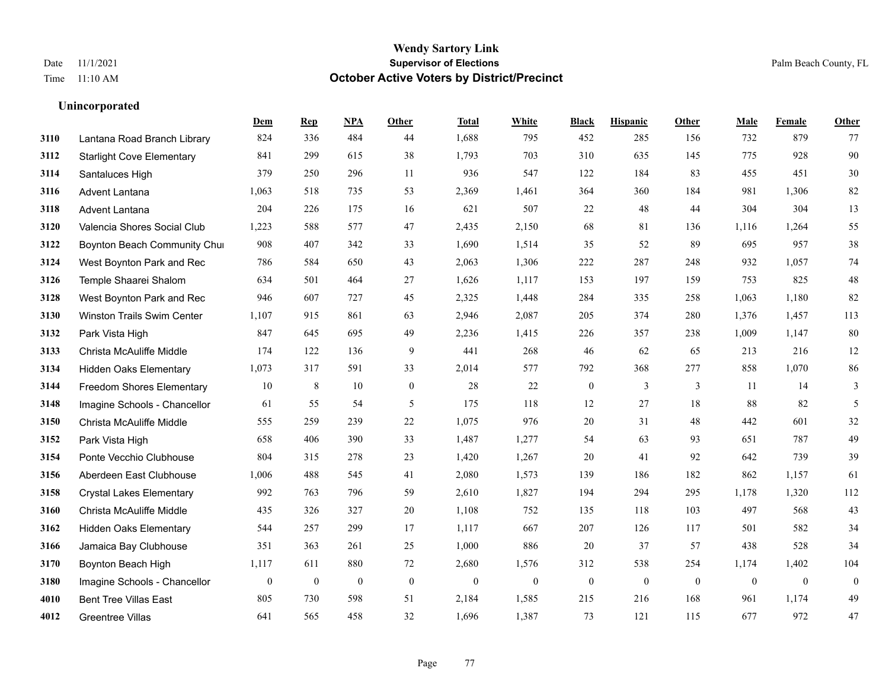#### **Wendy Sartory Link** Date 11/1/2021 **Supervisor of Elections** Palm Beach County, FL Time 11:10 AM **October Active Voters by District/Precinct**

## **Dem Rep NPA Other Total White Black Hispanic Other Male Female Other** Lantana Road Branch Library 824 336 484 44 1,688 795 452 285 156 732 879 77 Starlight Cove Elementary 841 299 615 38 1,793 703 310 635 145 775 928 90 Santaluces High 379 250 296 11 936 547 122 184 83 455 451 30 Advent Lantana 1,063 518 735 53 2,369 1,461 364 360 184 981 1,306 82 Advent Lantana 204 226 175 16 621 507 22 48 44 304 304 13 Valencia Shores Social Club 1,223 588 577 47 2,435 2,150 68 81 136 1,116 1,264 55 **3122 Boynton Beach Community Chu**rch 908 407 342 33 1,690 1,514 35 52 89 695 957 38 West Boynton Park and Rec 786 584 650 43 2,063 1,306 222 287 248 932 1,057 74 Temple Shaarei Shalom 634 501 464 27 1,626 1,117 153 197 159 753 825 48 West Boynton Park and Rec 946 607 727 45 2,325 1,448 284 335 258 1,063 1,180 82 Winston Trails Swim Center 1,107 915 861 63 2,946 2,087 205 374 280 1,376 1,457 113 Park Vista High 847 645 695 49 2,236 1,415 226 357 238 1,009 1,147 80 Christa McAuliffe Middle 174 122 136 9 441 268 46 62 65 213 216 12 Hidden Oaks Elementary 1,073 317 591 33 2,014 577 792 368 277 858 1,070 86 Freedom Shores Elementary 10 8 10 0 28 22 0 3 3 11 14 3 Imagine Schools - Chancellor 61 55 54 5 175 118 12 27 18 88 82 5 Christa McAuliffe Middle 555 259 239 22 1,075 976 20 31 48 442 601 32 Park Vista High 658 406 390 33 1,487 1,277 54 63 93 651 787 49 Ponte Vecchio Clubhouse 804 315 278 23 1,420 1,267 20 41 92 642 739 39 Aberdeen East Clubhouse 1,006 488 545 41 2,080 1,573 139 186 182 862 1,157 61 Crystal Lakes Elementary 992 763 796 59 2,610 1,827 194 294 295 1,178 1,320 112 Christa McAuliffe Middle 435 326 327 20 1,108 752 135 118 103 497 568 43 Hidden Oaks Elementary 544 257 299 17 1,117 667 207 126 117 501 582 34 Jamaica Bay Clubhouse 351 363 261 25 1,000 886 20 37 57 438 528 34 Boynton Beach High 1,117 611 880 72 2,680 1,576 312 538 254 1,174 1,402 104 Imagine Schools - Chancellor 0 0 0 0 0 0 0 0 0 0 0 0 Bent Tree Villas East 805 730 598 51 2,184 1,585 215 216 168 961 1,174 49

Greentree Villas 641 565 458 32 1,696 1,387 73 121 115 677 972 47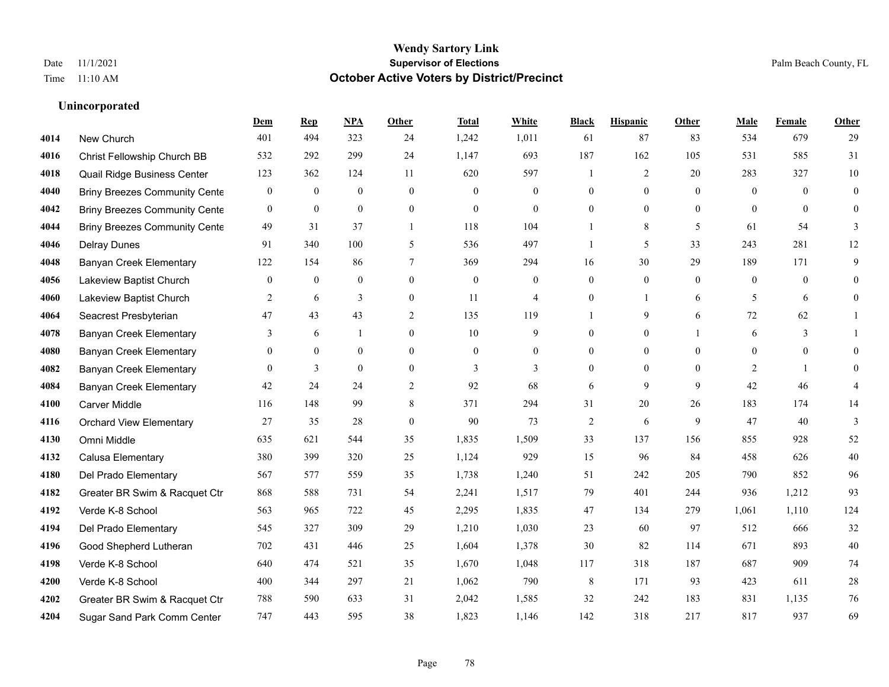#### **Wendy Sartory Link** Date 11/1/2021 **Supervisor of Elections** Palm Beach County, FL Time 11:10 AM **October Active Voters by District/Precinct**

## **Dem Rep NPA Other Total White Black Hispanic Other Male Female Other** New Church 401 494 323 24 1,242 1,011 61 87 83 534 679 29 Christ Fellowship Church BB 532 292 299 24 1,147 693 187 162 105 531 585 31 Quail Ridge Business Center 123 362 124 11 620 597 1 2 20 283 327 10 Briny Breezes Community Center 0 0 0 0 0 0 0 0 0 0 0 0 Briny Breezes Community Center 0 0 0 0 0 0 0 0 0 0 0 0 Briny Breezes Community Cente 49 31 37 1 118 104 1 8 5 61 54 3 Delray Dunes 91 340 100 5 536 497 1 5 33 243 281 12 Banyan Creek Elementary 122 154 86 7 369 294 16 30 29 189 171 9 Lakeview Baptist Church 0 0 0 0 0 0 0 0 0 0 0 0 Lakeview Baptist Church 2 6 3 0 11 4 0 1 6 5 6 0 Seacrest Presbyterian **47** 43 43 2 135 119 1 9 6 72 62 1 Banyan Creek Elementary 3 6 1 0 10 9 0 0 1 6 3 1 Banyan Creek Elementary 0 0 0 0 0 0 0 0 0 0 0 0 **4082 Banyan Creek Elementary 0 3 0 0 3 3 3 0 0 0 2 1 0 4084 Banyan Creek Elementary 42 24 24 2 92 68 6 9 9 42 46 4**  Carver Middle 116 148 99 8 371 294 31 20 26 183 174 14 Orchard View Elementary 27 35 28 0 90 73 2 6 9 47 40 3 Omni Middle 635 621 544 35 1,835 1,509 33 137 156 855 928 52 Calusa Elementary 380 399 320 25 1,124 929 15 96 84 458 626 40 Del Prado Elementary 567 577 559 35 1,738 1,240 51 242 205 790 852 96 Greater BR Swim & Racquet Ctr 868 588 731 54 2,241 1,517 79 401 244 936 1,212 93 Verde K-8 School 563 965 722 45 2,295 1,835 47 134 279 1,061 1,110 124 Del Prado Elementary 545 327 309 29 1,210 1,030 23 60 97 512 666 32 Good Shepherd Lutheran 702 431 446 25 1,604 1,378 30 82 114 671 893 40 Verde K-8 School 640 474 521 35 1,670 1,048 117 318 187 687 909 74 Verde K-8 School 400 344 297 21 1,062 790 8 171 93 423 611 28 Greater BR Swim & Racquet Ctr 788 590 633 31 2,042 1,585 32 242 183 831 1,135 76 Sugar Sand Park Comm Center 747 443 595 38 1,823 1,146 142 318 217 817 937 69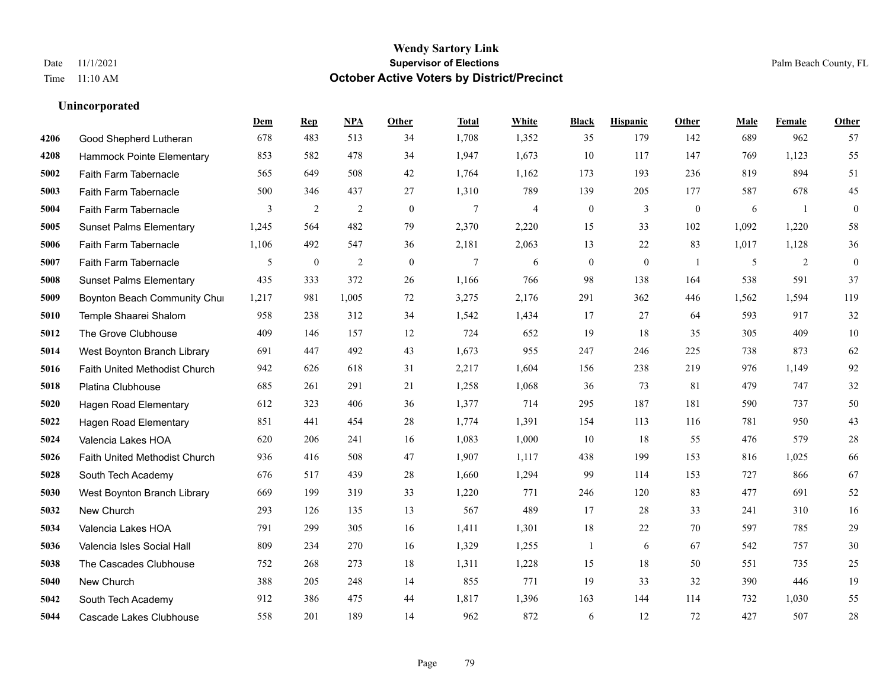|      |                                | Dem   | <b>Rep</b>       | <b>NPA</b>     | <b>Other</b>     | <b>Total</b> | White          | <b>Black</b>     | <b>Hispanic</b> | Other            | Male  | Female       | <b>Other</b>     |
|------|--------------------------------|-------|------------------|----------------|------------------|--------------|----------------|------------------|-----------------|------------------|-------|--------------|------------------|
| 4206 | Good Shepherd Lutheran         | 678   | 483              | 513            | 34               | 1,708        | 1,352          | 35               | 179             | 142              | 689   | 962          | 57               |
| 4208 | Hammock Pointe Elementary      | 853   | 582              | 478            | 34               | 1,947        | 1,673          | 10               | 117             | 147              | 769   | 1,123        | 55               |
| 5002 | Faith Farm Tabernacle          | 565   | 649              | 508            | 42               | 1,764        | 1,162          | 173              | 193             | 236              | 819   | 894          | 51               |
| 5003 | Faith Farm Tabernacle          | 500   | 346              | 437            | 27               | 1,310        | 789            | 139              | 205             | 177              | 587   | 678          | 45               |
| 5004 | Faith Farm Tabernacle          | 3     | $\overline{2}$   | $\overline{2}$ | $\boldsymbol{0}$ | $\tau$       | $\overline{4}$ | $\boldsymbol{0}$ | $\mathfrak{Z}$  | $\boldsymbol{0}$ | 6     | $\mathbf{1}$ | $\boldsymbol{0}$ |
| 5005 | <b>Sunset Palms Elementary</b> | 1,245 | 564              | 482            | 79               | 2,370        | 2,220          | 15               | 33              | 102              | 1,092 | 1,220        | 58               |
| 5006 | Faith Farm Tabernacle          | 1,106 | 492              | 547            | 36               | 2,181        | 2,063          | 13               | 22              | 83               | 1,017 | 1,128        | 36               |
| 5007 | <b>Faith Farm Tabernacle</b>   | 5     | $\boldsymbol{0}$ | $\overline{2}$ | $\mathbf{0}$     | $\tau$       | 6              | $\boldsymbol{0}$ | $\mathbf{0}$    | $\overline{1}$   | 5     | 2            | $\mathbf{0}$     |
| 5008 | <b>Sunset Palms Elementary</b> | 435   | 333              | 372            | 26               | 1,166        | 766            | 98               | 138             | 164              | 538   | 591          | 37               |
| 5009 | Boynton Beach Community Chur   | 1,217 | 981              | 1,005          | 72               | 3,275        | 2,176          | 291              | 362             | 446              | 1,562 | 1,594        | 119              |
| 5010 | Temple Shaarei Shalom          | 958   | 238              | 312            | 34               | 1,542        | 1,434          | 17               | 27              | 64               | 593   | 917          | $32\,$           |
| 5012 | The Grove Clubhouse            | 409   | 146              | 157            | 12               | 724          | 652            | 19               | 18              | 35               | 305   | 409          | $10\,$           |
| 5014 | West Boynton Branch Library    | 691   | 447              | 492            | 43               | 1,673        | 955            | 247              | 246             | 225              | 738   | 873          | 62               |
| 5016 | Faith United Methodist Church  | 942   | 626              | 618            | 31               | 2,217        | 1,604          | 156              | 238             | 219              | 976   | 1,149        | 92               |
| 5018 | Platina Clubhouse              | 685   | 261              | 291            | 21               | 1,258        | 1,068          | 36               | 73              | 81               | 479   | 747          | 32               |
| 5020 | Hagen Road Elementary          | 612   | 323              | 406            | 36               | 1,377        | 714            | 295              | 187             | 181              | 590   | 737          | $50\,$           |
| 5022 | <b>Hagen Road Elementary</b>   | 851   | 441              | 454            | 28               | 1,774        | 1,391          | 154              | 113             | 116              | 781   | 950          | 43               |
| 5024 | Valencia Lakes HOA             | 620   | 206              | 241            | 16               | 1,083        | 1,000          | 10               | 18              | 55               | 476   | 579          | $28\,$           |
| 5026 | Faith United Methodist Church  | 936   | 416              | 508            | 47               | 1,907        | 1,117          | 438              | 199             | 153              | 816   | 1,025        | 66               |
| 5028 | South Tech Academy             | 676   | 517              | 439            | 28               | 1,660        | 1,294          | 99               | 114             | 153              | 727   | 866          | 67               |
| 5030 | West Boynton Branch Library    | 669   | 199              | 319            | 33               | 1,220        | 771            | 246              | 120             | 83               | 477   | 691          | 52               |
| 5032 | New Church                     | 293   | 126              | 135            | 13               | 567          | 489            | 17               | 28              | 33               | 241   | 310          | 16               |
| 5034 | Valencia Lakes HOA             | 791   | 299              | 305            | 16               | 1,411        | 1,301          | 18               | 22              | 70               | 597   | 785          | 29               |
| 5036 | Valencia Isles Social Hall     | 809   | 234              | 270            | 16               | 1,329        | 1,255          | 1                | 6               | 67               | 542   | 757          | 30               |
| 5038 | The Cascades Clubhouse         | 752   | 268              | 273            | 18               | 1,311        | 1,228          | 15               | 18              | 50               | 551   | 735          | $25\,$           |
| 5040 | New Church                     | 388   | 205              | 248            | 14               | 855          | 771            | 19               | 33              | 32               | 390   | 446          | 19               |
| 5042 | South Tech Academy             | 912   | 386              | 475            | 44               | 1,817        | 1,396          | 163              | 144             | 114              | 732   | 1,030        | 55               |
| 5044 | Cascade Lakes Clubhouse        | 558   | 201              | 189            | 14               | 962          | 872            | 6                | 12              | 72               | 427   | 507          | 28               |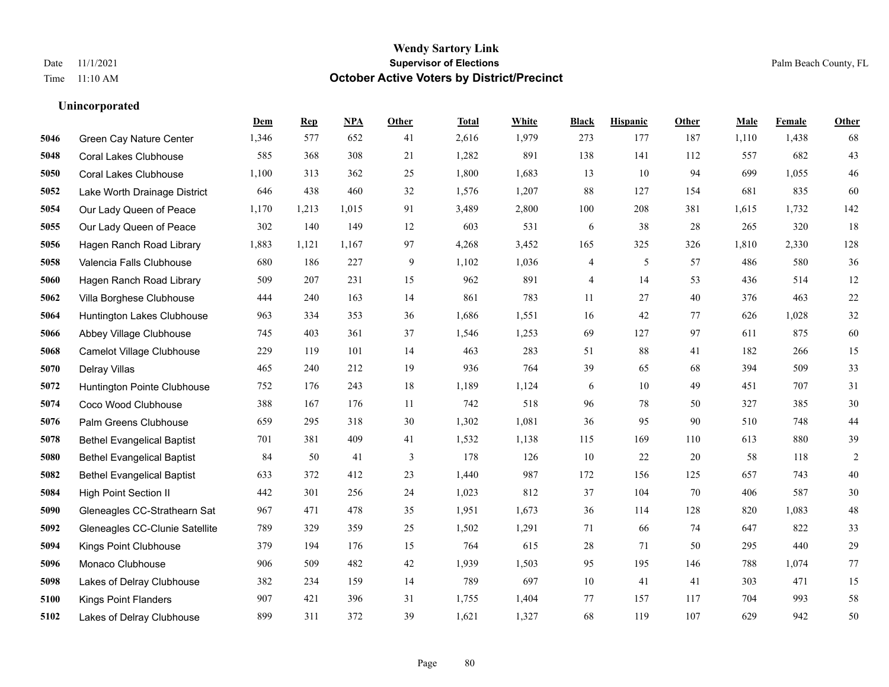|      |                                   | Dem   | <b>Rep</b> | NPA   | <b>Other</b> | <b>Total</b> | <b>White</b> | <b>Black</b> | <b>Hispanic</b> | <b>Other</b> | <b>Male</b> | <b>Female</b> | <b>Other</b> |
|------|-----------------------------------|-------|------------|-------|--------------|--------------|--------------|--------------|-----------------|--------------|-------------|---------------|--------------|
| 5046 | Green Cay Nature Center           | 1,346 | 577        | 652   | 41           | 2,616        | 1,979        | 273          | 177             | 187          | 1,110       | 1,438         | 68           |
| 5048 | <b>Coral Lakes Clubhouse</b>      | 585   | 368        | 308   | 21           | 1,282        | 891          | 138          | 141             | 112          | 557         | 682           | 43           |
| 5050 | <b>Coral Lakes Clubhouse</b>      | 1,100 | 313        | 362   | 25           | 1,800        | 1,683        | 13           | 10              | 94           | 699         | 1,055         | $46\,$       |
| 5052 | Lake Worth Drainage District      | 646   | 438        | 460   | 32           | 1,576        | 1,207        | 88           | 127             | 154          | 681         | 835           | 60           |
| 5054 | Our Lady Queen of Peace           | 1,170 | 1,213      | 1,015 | 91           | 3,489        | 2,800        | 100          | 208             | 381          | 1,615       | 1.732         | 142          |
| 5055 | Our Lady Queen of Peace           | 302   | 140        | 149   | 12           | 603          | 531          | 6            | 38              | 28           | 265         | 320           | 18           |
| 5056 | Hagen Ranch Road Library          | 1,883 | 1,121      | 1,167 | 97           | 4,268        | 3,452        | 165          | 325             | 326          | 1,810       | 2,330         | 128          |
| 5058 | Valencia Falls Clubhouse          | 680   | 186        | 227   | 9            | 1,102        | 1,036        | 4            | 5               | 57           | 486         | 580           | 36           |
| 5060 | Hagen Ranch Road Library          | 509   | 207        | 231   | 15           | 962          | 891          | 4            | 14              | 53           | 436         | 514           | 12           |
| 5062 | Villa Borghese Clubhouse          | 444   | 240        | 163   | 14           | 861          | 783          | 11           | 27              | 40           | 376         | 463           | $22\,$       |
| 5064 | Huntington Lakes Clubhouse        | 963   | 334        | 353   | 36           | 1,686        | 1,551        | 16           | 42              | 77           | 626         | 1,028         | $32\,$       |
| 5066 | Abbey Village Clubhouse           | 745   | 403        | 361   | 37           | 1,546        | 1,253        | 69           | 127             | 97           | 611         | 875           | 60           |
| 5068 | Camelot Village Clubhouse         | 229   | 119        | 101   | 14           | 463          | 283          | 51           | 88              | 41           | 182         | 266           | 15           |
| 5070 | Delray Villas                     | 465   | 240        | 212   | 19           | 936          | 764          | 39           | 65              | 68           | 394         | 509           | 33           |
| 5072 | Huntington Pointe Clubhouse       | 752   | 176        | 243   | 18           | 1,189        | 1,124        | 6            | 10              | 49           | 451         | 707           | 31           |
| 5074 | Coco Wood Clubhouse               | 388   | 167        | 176   | 11           | 742          | 518          | 96           | 78              | 50           | 327         | 385           | $30\,$       |
| 5076 | Palm Greens Clubhouse             | 659   | 295        | 318   | 30           | 1,302        | 1,081        | 36           | 95              | 90           | 510         | 748           | $44\,$       |
| 5078 | <b>Bethel Evangelical Baptist</b> | 701   | 381        | 409   | 41           | 1,532        | 1,138        | 115          | 169             | 110          | 613         | 880           | 39           |
| 5080 | <b>Bethel Evangelical Baptist</b> | 84    | 50         | 41    | 3            | 178          | 126          | 10           | 22              | 20           | 58          | 118           | $\sqrt{2}$   |
| 5082 | <b>Bethel Evangelical Baptist</b> | 633   | 372        | 412   | 23           | 1,440        | 987          | 172          | 156             | 125          | 657         | 743           | $40\,$       |
| 5084 | <b>High Point Section II</b>      | 442   | 301        | 256   | 24           | 1,023        | 812          | 37           | 104             | 70           | 406         | 587           | $30\,$       |
| 5090 | Gleneagles CC-Strathearn Sat      | 967   | 471        | 478   | 35           | 1,951        | 1,673        | 36           | 114             | 128          | 820         | 1,083         | $48\,$       |
| 5092 | Gleneagles CC-Clunie Satellite    | 789   | 329        | 359   | 25           | 1,502        | 1,291        | 71           | 66              | 74           | 647         | 822           | 33           |
| 5094 | Kings Point Clubhouse             | 379   | 194        | 176   | 15           | 764          | 615          | 28           | 71              | 50           | 295         | 440           | 29           |
| 5096 | Monaco Clubhouse                  | 906   | 509        | 482   | 42           | 1,939        | 1,503        | 95           | 195             | 146          | 788         | 1.074         | 77           |
| 5098 | Lakes of Delray Clubhouse         | 382   | 234        | 159   | 14           | 789          | 697          | 10           | 41              | 41           | 303         | 471           | 15           |
| 5100 | <b>Kings Point Flanders</b>       | 907   | 421        | 396   | 31           | 1,755        | 1,404        | 77           | 157             | 117          | 704         | 993           | 58           |
| 5102 | Lakes of Delray Clubhouse         | 899   | 311        | 372   | 39           | 1,621        | 1,327        | 68           | 119             | 107          | 629         | 942           | 50           |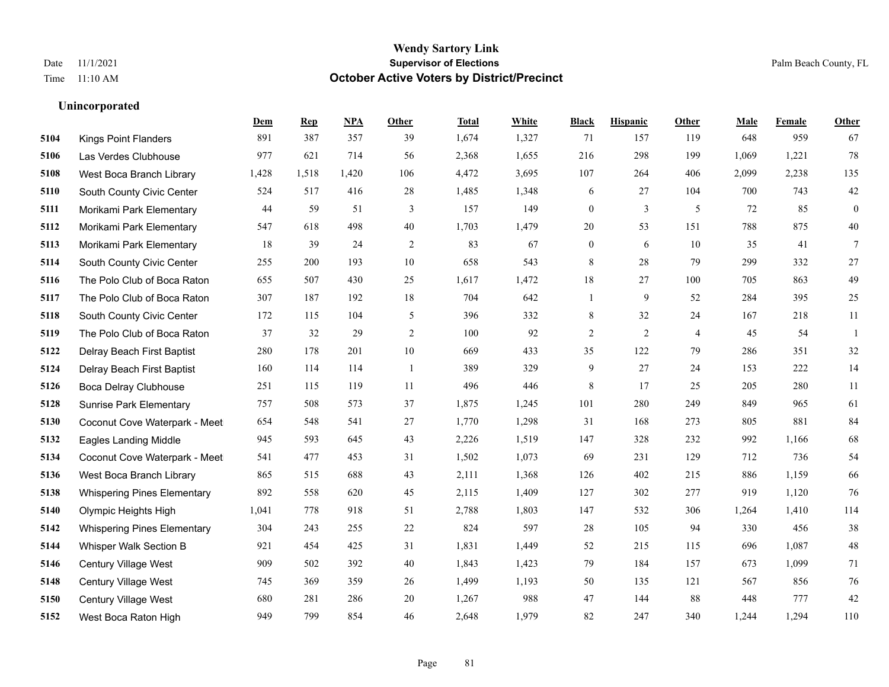|      |                                    | Dem   | <b>Rep</b> | NPA   | <b>Other</b>   | <b>Total</b> | White | <b>Black</b>     | <b>Hispanic</b> | <b>Other</b>   | <b>Male</b> | <b>Female</b> | <b>Other</b>     |
|------|------------------------------------|-------|------------|-------|----------------|--------------|-------|------------------|-----------------|----------------|-------------|---------------|------------------|
| 5104 | <b>Kings Point Flanders</b>        | 891   | 387        | 357   | 39             | 1,674        | 1,327 | 71               | 157             | 119            | 648         | 959           | 67               |
| 5106 | Las Verdes Clubhouse               | 977   | 621        | 714   | 56             | 2,368        | 1,655 | 216              | 298             | 199            | 1.069       | 1,221         | 78               |
| 5108 | West Boca Branch Library           | 1,428 | 1,518      | 1,420 | 106            | 4,472        | 3,695 | 107              | 264             | 406            | 2,099       | 2,238         | 135              |
| 5110 | South County Civic Center          | 524   | 517        | 416   | 28             | 1,485        | 1,348 | 6                | 27              | 104            | 700         | 743           | $42\,$           |
| 5111 | Morikami Park Elementary           | 44    | 59         | 51    | 3              | 157          | 149   | $\mathbf{0}$     | 3               | 5              | 72          | 85            | $\boldsymbol{0}$ |
| 5112 | Morikami Park Elementary           | 547   | 618        | 498   | 40             | 1,703        | 1,479 | 20               | 53              | 151            | 788         | 875           | 40               |
| 5113 | Morikami Park Elementary           | 18    | 39         | 24    | $\overline{c}$ | 83           | 67    | $\boldsymbol{0}$ | 6               | 10             | 35          | 41            | $\tau$           |
| 5114 | South County Civic Center          | 255   | 200        | 193   | 10             | 658          | 543   | 8                | 28              | 79             | 299         | 332           | 27               |
| 5116 | The Polo Club of Boca Raton        | 655   | 507        | 430   | 25             | 1,617        | 1,472 | 18               | 27              | 100            | 705         | 863           | 49               |
| 5117 | The Polo Club of Boca Raton        | 307   | 187        | 192   | 18             | 704          | 642   | 1                | 9               | 52             | 284         | 395           | 25               |
| 5118 | South County Civic Center          | 172   | 115        | 104   | 5              | 396          | 332   | 8                | 32              | 24             | 167         | 218           | 11               |
| 5119 | The Polo Club of Boca Raton        | 37    | 32         | 29    | $\overline{2}$ | 100          | 92    | $\overline{c}$   | $\overline{2}$  | $\overline{4}$ | 45          | 54            | 1                |
| 5122 | Delray Beach First Baptist         | 280   | 178        | 201   | 10             | 669          | 433   | 35               | 122             | 79             | 286         | 351           | 32               |
| 5124 | Delray Beach First Baptist         | 160   | 114        | 114   | $\overline{1}$ | 389          | 329   | 9                | 27              | 24             | 153         | 222           | 14               |
| 5126 | <b>Boca Delray Clubhouse</b>       | 251   | 115        | 119   | 11             | 496          | 446   | 8                | 17              | 25             | 205         | 280           | 11               |
| 5128 | <b>Sunrise Park Elementary</b>     | 757   | 508        | 573   | 37             | 1,875        | 1,245 | 101              | 280             | 249            | 849         | 965           | 61               |
| 5130 | Coconut Cove Waterpark - Meet      | 654   | 548        | 541   | 27             | 1,770        | 1,298 | 31               | 168             | 273            | 805         | 881           | 84               |
| 5132 | <b>Eagles Landing Middle</b>       | 945   | 593        | 645   | 43             | 2,226        | 1,519 | 147              | 328             | 232            | 992         | 1,166         | 68               |
| 5134 | Coconut Cove Waterpark - Meet      | 541   | 477        | 453   | 31             | 1,502        | 1,073 | 69               | 231             | 129            | 712         | 736           | 54               |
| 5136 | West Boca Branch Library           | 865   | 515        | 688   | 43             | 2,111        | 1,368 | 126              | 402             | 215            | 886         | 1,159         | 66               |
| 5138 | <b>Whispering Pines Elementary</b> | 892   | 558        | 620   | 45             | 2,115        | 1,409 | 127              | 302             | 277            | 919         | 1,120         | 76               |
| 5140 | Olympic Heights High               | 1,041 | 778        | 918   | 51             | 2,788        | 1,803 | 147              | 532             | 306            | 1,264       | 1,410         | 114              |
| 5142 | <b>Whispering Pines Elementary</b> | 304   | 243        | 255   | 22             | 824          | 597   | 28               | 105             | 94             | 330         | 456           | 38               |
| 5144 | Whisper Walk Section B             | 921   | 454        | 425   | 31             | 1,831        | 1,449 | 52               | 215             | 115            | 696         | 1,087         | $48\,$           |
| 5146 | <b>Century Village West</b>        | 909   | 502        | 392   | 40             | 1,843        | 1,423 | 79               | 184             | 157            | 673         | 1.099         | 71               |
| 5148 | Century Village West               | 745   | 369        | 359   | 26             | 1,499        | 1,193 | 50               | 135             | 121            | 567         | 856           | 76               |
| 5150 | <b>Century Village West</b>        | 680   | 281        | 286   | 20             | 1,267        | 988   | 47               | 144             | 88             | 448         | 777           | $42\,$           |
| 5152 | West Boca Raton High               | 949   | 799        | 854   | 46             | 2,648        | 1,979 | 82               | 247             | 340            | 1,244       | 1,294         | 110              |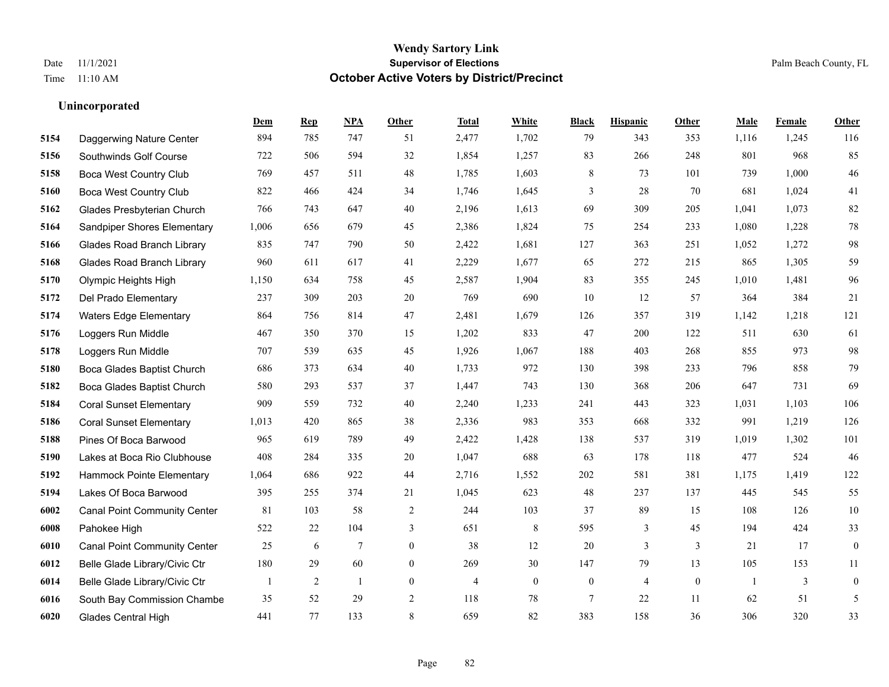#### **Wendy Sartory Link** Date 11/1/2021 **Supervisor of Elections** Palm Beach County, FL Time 11:10 AM **October Active Voters by District/Precinct**

|                                     | Dem   | <b>Rep</b> | <b>NPA</b>   | Other          | <b>Total</b>   | White          | <b>Black</b>     | <b>Hispanic</b> | <b>Other</b> | Male         | Female | Other        |
|-------------------------------------|-------|------------|--------------|----------------|----------------|----------------|------------------|-----------------|--------------|--------------|--------|--------------|
| Daggerwing Nature Center            | 894   | 785        | 747          | 51             | 2,477          | 1,702          | 79               | 343             | 353          | 1,116        | 1,245  | 116          |
| Southwinds Golf Course              | 722   | 506        | 594          | 32             | 1,854          | 1,257          | 83               | 266             | 248          | 801          | 968    | 85           |
| <b>Boca West Country Club</b>       | 769   | 457        | 511          | 48             | 1,785          | 1,603          | 8                | 73              | 101          | 739          | 1.000  | 46           |
| <b>Boca West Country Club</b>       | 822   | 466        | 424          | 34             | 1,746          | 1,645          | 3                | 28              | 70           | 681          | 1,024  | 41           |
| Glades Presbyterian Church          | 766   | 743        | 647          | 40             | 2,196          | 1,613          | 69               | 309             | 205          | 1,041        | 1,073  | 82           |
| Sandpiper Shores Elementary         | 1,006 | 656        | 679          | 45             | 2,386          | 1,824          | 75               | 254             | 233          | 1,080        | 1,228  | 78           |
| <b>Glades Road Branch Library</b>   | 835   | 747        | 790          | 50             | 2,422          | 1,681          | 127              | 363             | 251          | 1,052        | 1,272  | 98           |
| <b>Glades Road Branch Library</b>   | 960   | 611        | 617          | 41             | 2,229          | 1,677          | 65               | 272             | 215          | 865          | 1.305  | 59           |
| Olympic Heights High                | 1,150 | 634        | 758          | 45             | 2,587          | 1,904          | 83               | 355             | 245          | 1,010        | 1,481  | 96           |
| Del Prado Elementary                | 237   | 309        | 203          | 20             | 769            | 690            | 10               | 12              | 57           | 364          | 384    | 21           |
| <b>Waters Edge Elementary</b>       | 864   | 756        | 814          | 47             | 2,481          | 1,679          | 126              | 357             | 319          | 1,142        | 1,218  | 121          |
| Loggers Run Middle                  | 467   | 350        | 370          | 15             | 1,202          | 833            | 47               | 200             | 122          | 511          | 630    | 61           |
| Loggers Run Middle                  | 707   | 539        | 635          | 45             | 1,926          | 1,067          | 188              | 403             | 268          | 855          | 973    | 98           |
| Boca Glades Baptist Church          | 686   | 373        | 634          | 40             | 1,733          | 972            | 130              | 398             | 233          | 796          | 858    | 79           |
| Boca Glades Baptist Church          | 580   | 293        | 537          | 37             | 1,447          | 743            | 130              | 368             | 206          | 647          | 731    | 69           |
| <b>Coral Sunset Elementary</b>      | 909   | 559        | 732          | 40             | 2,240          | 1,233          | 241              | 443             | 323          | 1,031        | 1,103  | 106          |
| <b>Coral Sunset Elementary</b>      | 1,013 | 420        | 865          | 38             | 2,336          | 983            | 353              | 668             | 332          | 991          | 1,219  | 126          |
| Pines Of Boca Barwood               | 965   | 619        | 789          | 49             | 2,422          | 1,428          | 138              | 537             | 319          | 1,019        | 1,302  | 101          |
| Lakes at Boca Rio Clubhouse         | 408   | 284        | 335          | 20             | 1,047          | 688            | 63               | 178             | 118          | 477          | 524    | 46           |
| Hammock Pointe Elementary           | 1,064 | 686        | 922          | 44             | 2,716          | 1,552          | 202              | 581             | 381          | 1,175        | 1,419  | 122          |
| Lakes Of Boca Barwood               | 395   | 255        | 374          | 21             | 1,045          | 623            | 48               | 237             | 137          | 445          | 545    | 55           |
| <b>Canal Point Community Center</b> | 81    | 103        | 58           | 2              | 244            | 103            | 37               | 89              | 15           | 108          | 126    | 10           |
| Pahokee High                        | 522   | 22         | 104          | 3              | 651            | 8              | 595              | 3               | 45           | 194          | 424    | 33           |
| <b>Canal Point Community Center</b> | 25    | 6          | 7            | $\overline{0}$ | 38             | 12             | 20               | 3               | 3            | 21           | 17     | $\mathbf{0}$ |
| Belle Glade Library/Civic Ctr       | 180   | 29         | 60           | $\mathbf{0}$   | 269            | 30             | 147              | 79              | 13           | 105          | 153    | 11           |
| Belle Glade Library/Civic Ctr       | -1    | 2          | $\mathbf{1}$ | $\theta$       | $\overline{4}$ | $\overline{0}$ | $\boldsymbol{0}$ | $\overline{4}$  | $\mathbf{0}$ | $\mathbf{1}$ | 3      | $\mathbf{0}$ |
| South Bay Commission Chambe         | 35    | 52         | 29           | 2              | 118            | 78             | 7                | 22              | 11           | 62           | 51     | 5            |
| <b>Glades Central High</b>          | 441   | 77         | 133          | 8              | 659            | 82             | 383              | 158             | 36           | 306          | 320    | 33           |
|                                     |       |            |              |                |                |                |                  |                 |              |              |        |              |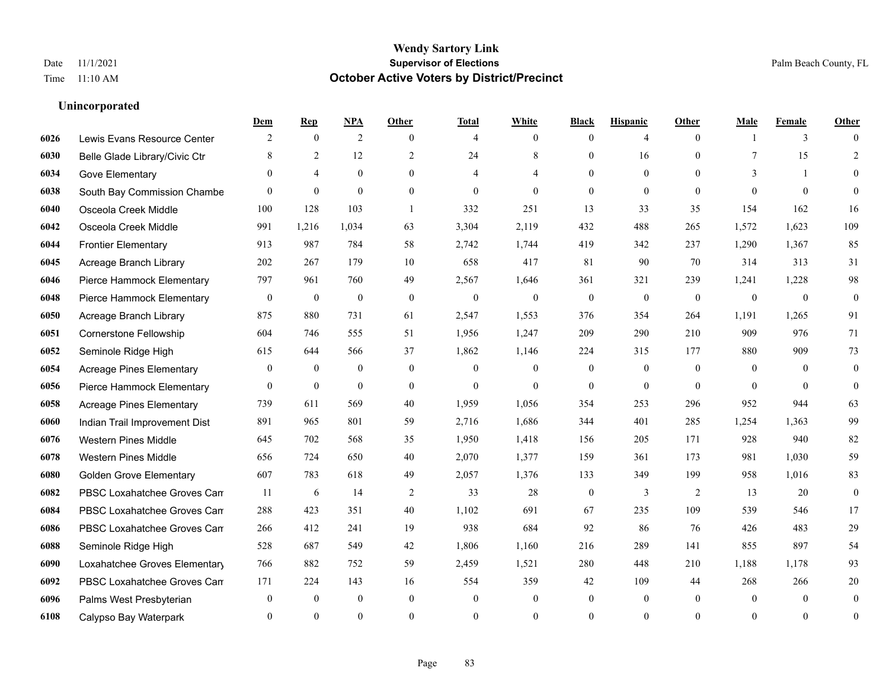|      |                                 | Dem          | <b>Rep</b>     | NPA              | <b>Other</b>   | <b>Total</b>   | <b>White</b>     | <b>Black</b>     | <b>Hispanic</b>  | <b>Other</b>   | <b>Male</b>    | <b>Female</b>  | <b>Other</b>     |
|------|---------------------------------|--------------|----------------|------------------|----------------|----------------|------------------|------------------|------------------|----------------|----------------|----------------|------------------|
| 6026 | Lewis Evans Resource Center     | 2            | $\mathbf{0}$   | 2                | $\theta$       | $\overline{4}$ | $\overline{0}$   | $\mathbf{0}$     | $\overline{4}$   | $\theta$       |                | 3              | $\Omega$         |
| 6030 | Belle Glade Library/Civic Ctr   | 8            | 2              | 12               | 2              | 24             | 8                | $\mathbf{0}$     | 16               | $\theta$       | 7              | 15             | $\overline{2}$   |
| 6034 | Gove Elementary                 | $\Omega$     | $\overline{4}$ | $\theta$         | $\Omega$       | $\overline{4}$ | 4                | $\theta$         | $\theta$         | $\Omega$       | $\mathcal{E}$  | $\overline{1}$ | $\Omega$         |
| 6038 | South Bay Commission Chambe     | $\mathbf{0}$ | $\mathbf{0}$   | $\mathbf{0}$     | $\overline{0}$ | $\mathbf{0}$   | $\overline{0}$   | $\mathbf{0}$     | $\mathbf{0}$     | $\mathbf{0}$   | $\theta$       | $\mathbf{0}$   | $\Omega$         |
| 6040 | Osceola Creek Middle            | 100          | 128            | 103              | $\overline{1}$ | 332            | 251              | 13               | 33               | 35             | 154            | 162            | 16               |
| 6042 | Osceola Creek Middle            | 991          | 1,216          | 1,034            | 63             | 3,304          | 2,119            | 432              | 488              | 265            | 1,572          | 1,623          | 109              |
| 6044 | <b>Frontier Elementary</b>      | 913          | 987            | 784              | 58             | 2,742          | 1,744            | 419              | 342              | 237            | 1,290          | 1,367          | 85               |
| 6045 | Acreage Branch Library          | 202          | 267            | 179              | 10             | 658            | 417              | 81               | 90               | 70             | 314            | 313            | 31               |
| 6046 | Pierce Hammock Elementary       | 797          | 961            | 760              | 49             | 2,567          | 1,646            | 361              | 321              | 239            | 1,241          | 1,228          | 98               |
| 6048 | Pierce Hammock Elementary       | $\bf{0}$     | $\mathbf{0}$   | $\mathbf{0}$     | $\mathbf{0}$   | $\mathbf{0}$   | $\overline{0}$   | $\mathbf{0}$     | $\mathbf{0}$     | $\theta$       | $\overline{0}$ | $\mathbf{0}$   | $\mathbf{0}$     |
| 6050 | Acreage Branch Library          | 875          | 880            | 731              | 61             | 2,547          | 1,553            | 376              | 354              | 264            | 1,191          | 1,265          | 91               |
| 6051 | Cornerstone Fellowship          | 604          | 746            | 555              | 51             | 1,956          | 1,247            | 209              | 290              | 210            | 909            | 976            | 71               |
| 6052 | Seminole Ridge High             | 615          | 644            | 566              | 37             | 1,862          | 1,146            | 224              | 315              | 177            | 880            | 909            | 73               |
| 6054 | <b>Acreage Pines Elementary</b> | $\mathbf{0}$ | $\bf{0}$       | $\boldsymbol{0}$ | $\overline{0}$ | $\mathbf{0}$   | $\boldsymbol{0}$ | $\boldsymbol{0}$ | $\boldsymbol{0}$ | $\overline{0}$ | $\overline{0}$ | $\mathbf{0}$   | $\mathbf{0}$     |
| 6056 | Pierce Hammock Elementary       | $\mathbf{0}$ | $\mathbf{0}$   | $\mathbf{0}$     | $\overline{0}$ | $\mathbf{0}$   | $\overline{0}$   | $\mathbf{0}$     | $\mathbf{0}$     | $\theta$       | $\theta$       | $\theta$       | $\mathbf{0}$     |
| 6058 | <b>Acreage Pines Elementary</b> | 739          | 611            | 569              | 40             | 1,959          | 1,056            | 354              | 253              | 296            | 952            | 944            | 63               |
| 6060 | Indian Trail Improvement Dist   | 891          | 965            | 801              | 59             | 2,716          | 1,686            | 344              | 401              | 285            | 1,254          | 1.363          | 99               |
| 6076 | <b>Western Pines Middle</b>     | 645          | 702            | 568              | 35             | 1,950          | 1,418            | 156              | 205              | 171            | 928            | 940            | 82               |
| 6078 | <b>Western Pines Middle</b>     | 656          | 724            | 650              | 40             | 2,070          | 1,377            | 159              | 361              | 173            | 981            | 1,030          | 59               |
| 6080 | <b>Golden Grove Elementary</b>  | 607          | 783            | 618              | 49             | 2,057          | 1,376            | 133              | 349              | 199            | 958            | 1,016          | 83               |
| 6082 | PBSC Loxahatchee Groves Can     | 11           | 6              | 14               | $\overline{2}$ | 33             | 28               | $\mathbf{0}$     | 3                | 2              | 13             | 20             | $\theta$         |
| 6084 | PBSC Loxahatchee Groves Can     | 288          | 423            | 351              | 40             | 1,102          | 691              | 67               | 235              | 109            | 539            | 546            | 17               |
| 6086 | PBSC Loxahatchee Groves Can     | 266          | 412            | 241              | 19             | 938            | 684              | 92               | 86               | 76             | 426            | 483            | 29               |
| 6088 | Seminole Ridge High             | 528          | 687            | 549              | 42             | 1,806          | 1,160            | 216              | 289              | 141            | 855            | 897            | 54               |
| 6090 | Loxahatchee Groves Elementary   | 766          | 882            | 752              | 59             | 2,459          | 1,521            | 280              | 448              | 210            | 1,188          | 1,178          | 93               |
| 6092 | PBSC Loxahatchee Groves Can     | 171          | 224            | 143              | 16             | 554            | 359              | 42               | 109              | 44             | 268            | 266            | 20               |
| 6096 | Palms West Presbyterian         | $\mathbf{0}$ | $\mathbf{0}$   | $\mathbf{0}$     | $\overline{0}$ | $\mathbf{0}$   | $\overline{0}$   | $\mathbf{0}$     | $\mathbf{0}$     | $\theta$       | $\theta$       | $\Omega$       | $\mathbf{0}$     |
| 6108 | Calypso Bay Waterpark           | $\theta$     | $\Omega$       | $\theta$         | $\Omega$       | $\Omega$       | $\Omega$         | $\theta$         | $\theta$         | $\theta$       | $\Omega$       | $\theta$       | $\boldsymbol{0}$ |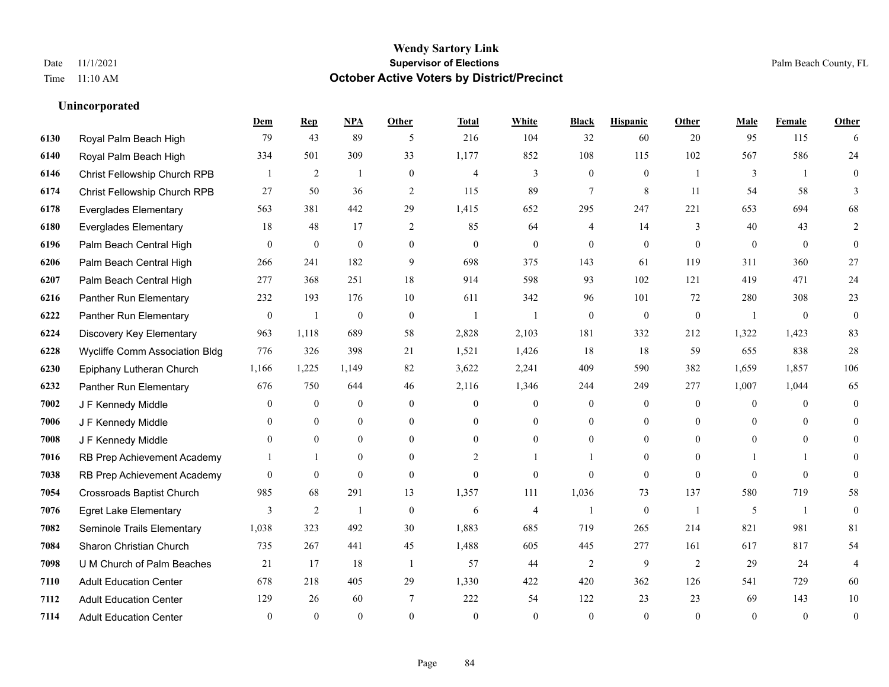#### **Wendy Sartory Link** Date 11/1/2021 **Supervisor of Elections** Palm Beach County, FL Time 11:10 AM **October Active Voters by District/Precinct**

## **Dem Rep NPA Other Total White Black Hispanic Other Male Female Other** Royal Palm Beach High 79 43 89 5 216 104 32 60 20 95 115 6 Royal Palm Beach High 334 501 309 33 1,177 852 108 115 102 567 586 24 Christ Fellowship Church RPB 1 2 1 0 4 3 0 0 1 3 1 0 Christ Fellowship Church RPB 27 50 36 2 115 89 7 8 11 54 58 3 Everglades Elementary 563 381 442 29 1,415 652 295 247 221 653 694 68 Everglades Elementary 18 48 17 2 85 64 4 14 3 40 43 2 Palm Beach Central High 0 0 0 0 0 0 0 0 0 0 0 0 Palm Beach Central High 266 241 182 9 698 375 143 61 119 311 360 27 Palm Beach Central High 277 368 251 18 914 598 93 102 121 419 471 24 Panther Run Elementary 232 193 176 10 611 342 96 101 72 280 308 23 Panther Run Elementary 0 1 0 0 1 1 0 0 0 1 0 0 Discovery Key Elementary 963 1,118 689 58 2,828 2,103 181 332 212 1,322 1,423 83 Wycliffe Comm Association Bldg 776 326 398 21 1,521 1,426 18 18 59 655 838 28 Epiphany Lutheran Church 1,166 1,225 1,149 82 3,622 2,241 409 590 382 1,659 1,857 106 Panther Run Elementary 676 750 644 46 2,116 1,346 244 249 277 1,007 1,044 65 7002 J F Kennedy Middle 0 0 0 0 0 0 0 0 0 0 J F Kennedy Middle 0 0 0 0 0 0 0 0 0 0 J F Kennedy Middle 0 0 0 0 0 0 0 0 0 0 RB Prep Achievement Academy 1 1 0 0 0 2 1 1 0 1 0 0 1 1 0 RB Prep Achievement Academy 0 0 0 0 0 0 0 0 0 0 0 0 Crossroads Baptist Church 985 68 291 13 1,357 111 1,036 73 137 580 719 58 Egret Lake Elementary 3 2 1 0 6 4 1 0 1 5 1 0 Seminole Trails Elementary 1,038 323 492 30 1,883 685 719 265 214 821 981 81 Sharon Christian Church 735 267 441 45 1,488 605 445 277 161 617 817 54 **7098 U M Church of Palm Beaches 21 17 18 1 57 44 2 9 2 29 24 4**  Adult Education Center 678 218 405 29 1,330 422 420 362 126 541 729 60 Adult Education Center 129 26 60 7 222 54 122 23 23 69 143 10 Adult Education Center 0 0 0 0 0 0 0 0 0 0 0 0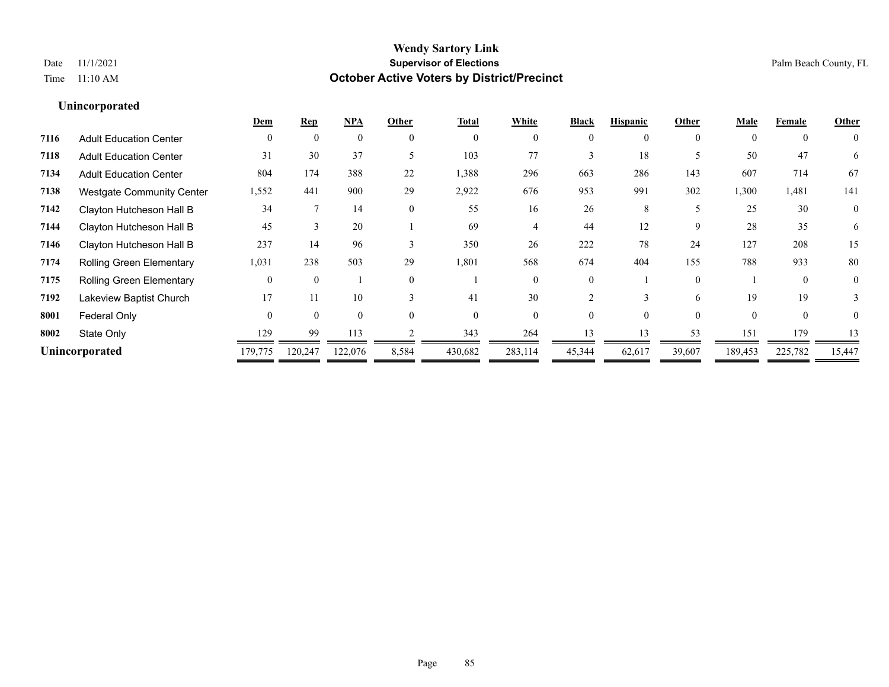|                                  | Dem      | <b>Rep</b> | <b>NPA</b> | Other          | <b>Total</b>   | White    | <b>Black</b> | <b>Hispanic</b> | Other    | Male     | Female   | Other          |
|----------------------------------|----------|------------|------------|----------------|----------------|----------|--------------|-----------------|----------|----------|----------|----------------|
| <b>Adult Education Center</b>    | $\Omega$ | $\theta$   | $\Omega$   | $\theta$       | $\overline{0}$ | $\theta$ | $\Omega$     | $\Omega$        | $\Omega$ | $\Omega$ | $\Omega$ | $\theta$       |
| <b>Adult Education Center</b>    | 31       | 30         | 37         |                | 103            | 77       |              | 18              |          | 50       | 47       | 6              |
| <b>Adult Education Center</b>    | 804      | 174        | 388        | 22             | 1,388          | 296      | 663          | 286             | 143      | 607      | 714      | 67             |
| <b>Westgate Community Center</b> | 1,552    | 441        | 900        | 29             | 2,922          | 676      | 953          | 991             | 302      | 1,300    | 1,481    | 141            |
| Clayton Hutcheson Hall B         | 34       |            | 14         | $\overline{0}$ | 55             | 16       | 26           | 8               |          | 25       | 30       | $\overline{0}$ |
| Clayton Hutcheson Hall B         | 45       |            | 20         |                | 69             |          | 44           | 12              | 9        | 28       | 35       | 6              |
| Clayton Hutcheson Hall B         | 237      | 14         | 96         | $\mathcal{R}$  | 350            | 26       | 222          | 78              | 24       | 127      | 208      | 15             |
| <b>Rolling Green Elementary</b>  | 1,031    | 238        | 503        | 29             | 1,801          | 568      | 674          | 404             | 155      | 788      | 933      | 80             |
| <b>Rolling Green Elementary</b>  |          | $\theta$   |            | $\overline{0}$ |                |          | $\Omega$     |                 | $\theta$ |          | $\Omega$ | $\theta$       |
| Lakeview Baptist Church          | 17       |            | 10         | $\mathbf{3}$   | 41             | 30       |              |                 | 6        | 19       | 19       |                |
| Federal Only                     | $\Omega$ | $\Omega$   | $\Omega$   | $\Omega$       | $\Omega$       | $\Omega$ | 0            | $\Omega$        | $\Omega$ | $\Omega$ | $\Omega$ | $\Omega$       |
| State Only                       | 129      | 99         | 113        |                | 343            | 264      | 13           | 13              | 53       | 151      | 179      | 13             |
| Unincorporated                   | 179,775  | 120,247    | 122,076    | 8,584          | 430,682        | 283,114  | 45,344       | 62,617          | 39,607   | 189,453  | 225,782  | 15,447         |
|                                  |          |            |            |                |                |          |              |                 |          |          |          |                |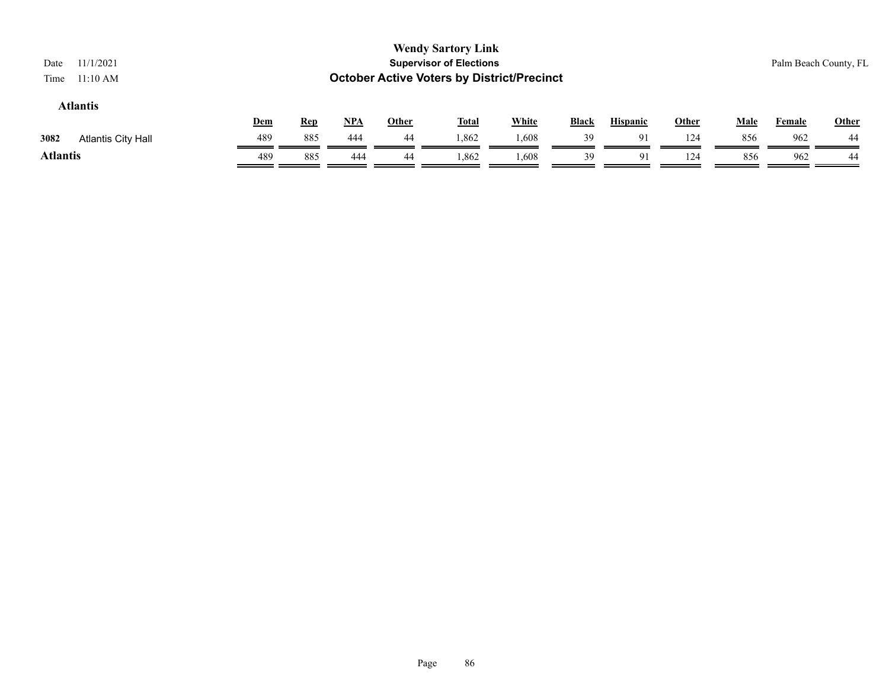| 11/1/2021<br>Date<br>11:10 AM<br>Time |     |            |            |              | <b>Wendy Sartory Link</b><br><b>Supervisor of Elections</b><br><b>October Active Voters by District/Precinct</b> |              |              |                 |              |             |               | Palm Beach County, FL |
|---------------------------------------|-----|------------|------------|--------------|------------------------------------------------------------------------------------------------------------------|--------------|--------------|-----------------|--------------|-------------|---------------|-----------------------|
| <b>Atlantis</b>                       | Dem | <u>Rep</u> | <u>NPA</u> | <u>Other</u> | <b>Total</b>                                                                                                     | <b>White</b> | <b>Black</b> | <b>Hispanic</b> | <b>Other</b> | <u>Male</u> | <b>Female</b> | <b>Other</b>          |
| 3082<br><b>Atlantis City Hall</b>     | 489 | 885        | 444        | 44           | 1,862                                                                                                            | 1,608        | 39           | 91              | 124          | 856         | 962           | 44                    |
| <b>Atlantis</b>                       | 489 | 885        | 444        | 44           | .862                                                                                                             | 1,608        | 39           | 91              | 124          | 856         | 962           | 44                    |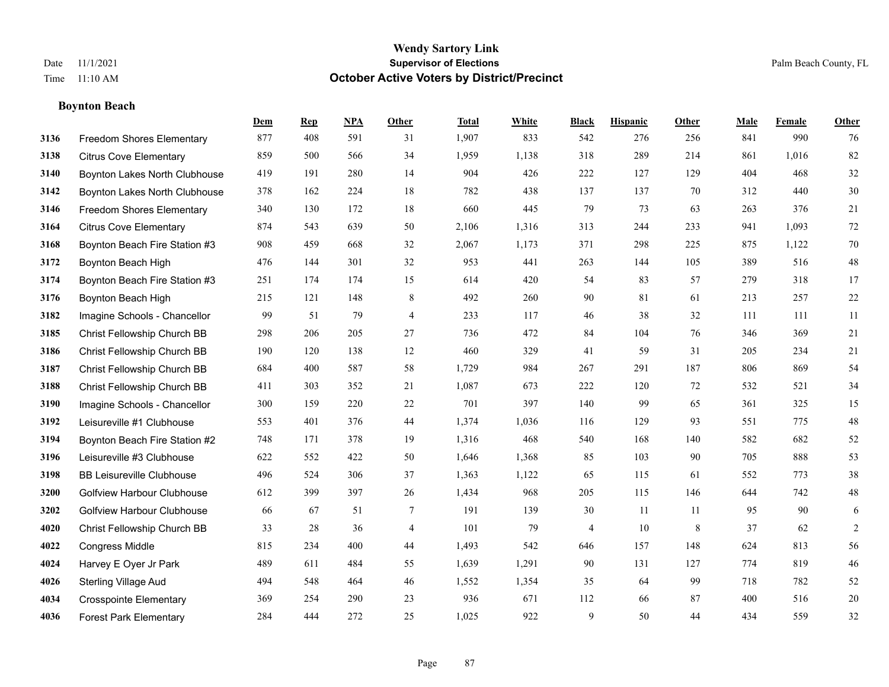#### **Boynton Beach**

|      |                                   | Dem | <b>Rep</b> | NPA | <b>Other</b>   | <b>Total</b> | <b>White</b> | <b>Black</b> | <b>Hispanic</b> | <b>Other</b> | <b>Male</b> | <b>Female</b> | <b>Other</b> |
|------|-----------------------------------|-----|------------|-----|----------------|--------------|--------------|--------------|-----------------|--------------|-------------|---------------|--------------|
| 3136 | Freedom Shores Elementary         | 877 | 408        | 591 | 31             | 1,907        | 833          | 542          | 276             | 256          | 841         | 990           | 76           |
| 3138 | <b>Citrus Cove Elementary</b>     | 859 | 500        | 566 | 34             | 1,959        | 1,138        | 318          | 289             | 214          | 861         | 1,016         | $82\,$       |
| 3140 | Boynton Lakes North Clubhouse     | 419 | 191        | 280 | 14             | 904          | 426          | 222          | 127             | 129          | 404         | 468           | $32\,$       |
| 3142 | Boynton Lakes North Clubhouse     | 378 | 162        | 224 | 18             | 782          | 438          | 137          | 137             | 70           | 312         | 440           | $30\,$       |
| 3146 | <b>Freedom Shores Elementary</b>  | 340 | 130        | 172 | 18             | 660          | 445          | 79           | 73              | 63           | 263         | 376           | $21\,$       |
| 3164 | <b>Citrus Cove Elementary</b>     | 874 | 543        | 639 | 50             | 2,106        | 1,316        | 313          | 244             | 233          | 941         | 1,093         | $72\,$       |
| 3168 | Boynton Beach Fire Station #3     | 908 | 459        | 668 | 32             | 2,067        | 1,173        | 371          | 298             | 225          | 875         | 1,122         | $70\,$       |
| 3172 | Boynton Beach High                | 476 | 144        | 301 | 32             | 953          | 441          | 263          | 144             | 105          | 389         | 516           | $48\,$       |
| 3174 | Boynton Beach Fire Station #3     | 251 | 174        | 174 | 15             | 614          | 420          | 54           | 83              | 57           | 279         | 318           | 17           |
| 3176 | Boynton Beach High                | 215 | 121        | 148 | 8              | 492          | 260          | 90           | 81              | 61           | 213         | 257           | $22\,$       |
| 3182 | Imagine Schools - Chancellor      | 99  | 51         | 79  | $\overline{4}$ | 233          | 117          | 46           | 38              | 32           | 111         | 111           | 11           |
| 3185 | Christ Fellowship Church BB       | 298 | 206        | 205 | 27             | 736          | 472          | 84           | 104             | 76           | 346         | 369           | $21\,$       |
| 3186 | Christ Fellowship Church BB       | 190 | 120        | 138 | 12             | 460          | 329          | 41           | 59              | 31           | 205         | 234           | 21           |
| 3187 | Christ Fellowship Church BB       | 684 | 400        | 587 | 58             | 1,729        | 984          | 267          | 291             | 187          | 806         | 869           | 54           |
| 3188 | Christ Fellowship Church BB       | 411 | 303        | 352 | 21             | 1,087        | 673          | 222          | 120             | 72           | 532         | 521           | 34           |
| 3190 | Imagine Schools - Chancellor      | 300 | 159        | 220 | 22             | 701          | 397          | 140          | 99              | 65           | 361         | 325           | 15           |
| 3192 | Leisureville #1 Clubhouse         | 553 | 401        | 376 | 44             | 1,374        | 1,036        | 116          | 129             | 93           | 551         | 775           | $48\,$       |
| 3194 | Boynton Beach Fire Station #2     | 748 | 171        | 378 | 19             | 1,316        | 468          | 540          | 168             | 140          | 582         | 682           | 52           |
| 3196 | Leisureville #3 Clubhouse         | 622 | 552        | 422 | 50             | 1,646        | 1,368        | 85           | 103             | 90           | 705         | 888           | 53           |
| 3198 | <b>BB Leisureville Clubhouse</b>  | 496 | 524        | 306 | 37             | 1,363        | 1,122        | 65           | 115             | 61           | 552         | 773           | $38\,$       |
| 3200 | <b>Golfview Harbour Clubhouse</b> | 612 | 399        | 397 | 26             | 1,434        | 968          | 205          | 115             | 146          | 644         | 742           | $48\,$       |
| 3202 | <b>Golfview Harbour Clubhouse</b> | 66  | 67         | 51  | $\tau$         | 191          | 139          | $30\,$       | 11              | 11           | 95          | 90            | 6            |
| 4020 | Christ Fellowship Church BB       | 33  | 28         | 36  | $\overline{4}$ | 101          | 79           | 4            | 10              | 8            | 37          | 62            | 2            |
| 4022 | <b>Congress Middle</b>            | 815 | 234        | 400 | 44             | 1,493        | 542          | 646          | 157             | 148          | 624         | 813           | 56           |
| 4024 | Harvey E Oyer Jr Park             | 489 | 611        | 484 | 55             | 1,639        | 1,291        | 90           | 131             | 127          | 774         | 819           | 46           |
| 4026 | <b>Sterling Village Aud</b>       | 494 | 548        | 464 | $46\,$         | 1,552        | 1,354        | 35           | 64              | 99           | 718         | 782           | 52           |
| 4034 | <b>Crosspointe Elementary</b>     | 369 | 254        | 290 | 23             | 936          | 671          | 112          | 66              | 87           | 400         | 516           | $20\,$       |
| 4036 | <b>Forest Park Elementary</b>     | 284 | 444        | 272 | 25             | 1,025        | 922          | 9            | 50              | 44           | 434         | 559           | 32           |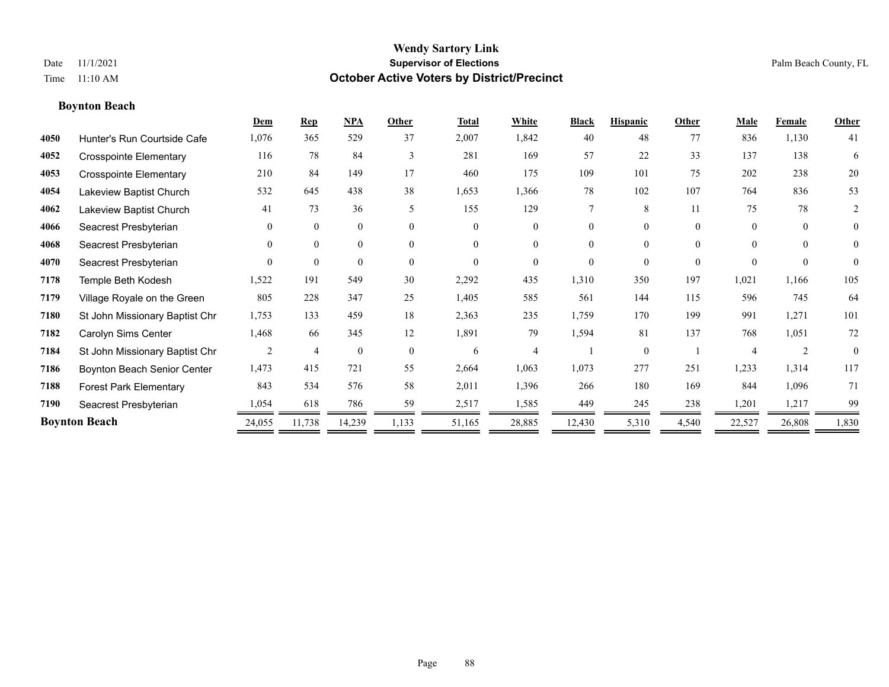#### **Boynton Beach**

|      |                                | Dem      | <b>Rep</b>     | NPA          | Other    | <b>Total</b> | White          | <b>Black</b>   | <b>Hispanic</b> | Other    | <b>Male</b> | Female         | Other          |
|------|--------------------------------|----------|----------------|--------------|----------|--------------|----------------|----------------|-----------------|----------|-------------|----------------|----------------|
| 4050 | Hunter's Run Courtside Cafe    | 1,076    | 365            | 529          | 37       | 2,007        | 1,842          | 40             | 48              | 77       | 836         | 1,130          | 41             |
| 4052 | <b>Crosspointe Elementary</b>  | 116      | 78             | 84           | 3        | 281          | 169            | 57             | 22              | 33       | 137         | 138            | 6              |
| 4053 | <b>Crosspointe Elementary</b>  | 210      | 84             | 149          | 17       | 460          | 175            | 109            | 101             | 75       | 202         | 238            | $20\,$         |
| 4054 | Lakeview Baptist Church        | 532      | 645            | 438          | 38       | 1,653        | 1,366          | $78\,$         | 102             | 107      | 764         | 836            | 53             |
| 4062 | Lakeview Baptist Church        | 41       | 73             | 36           | 5        | 155          | 129            | 7              | 8               | 11       | 75          | 78             | 2              |
| 4066 | Seacrest Presbyterian          | $\theta$ | $\overline{0}$ | $\mathbf{0}$ | $\theta$ | $\theta$     | $\overline{0}$ | $\overline{0}$ | $\Omega$        | $\theta$ | $\Omega$    | $\theta$       | $\overline{0}$ |
| 4068 | Seacrest Presbyterian          | $\theta$ | $\overline{0}$ | $\mathbf{0}$ | $\theta$ | $\Omega$     | $\Omega$       | 0              | $\theta$        | $\Omega$ | $\Omega$    | $\theta$       | $\overline{0}$ |
| 4070 | Seacrest Presbyterian          | $\Omega$ | $\theta$       | $\theta$     | $\theta$ | $\theta$     | $\Omega$       | $\theta$       | $\Omega$        | $\Omega$ | $\Omega$    | $\theta$       | $\theta$       |
| 7178 | Temple Beth Kodesh             | 1,522    | 191            | 549          | 30       | 2,292        | 435            | 1,310          | 350             | 197      | 1,021       | 1,166          | 105            |
| 7179 | Village Royale on the Green    | 805      | 228            | 347          | 25       | 1,405        | 585            | 561            | 144             | 115      | 596         | 745            | 64             |
| 7180 | St John Missionary Baptist Chr | 1,753    | 133            | 459          | 18       | 2,363        | 235            | 1,759          | 170             | 199      | 991         | 1,271          | 101            |
| 7182 | Carolyn Sims Center            | 1,468    | 66             | 345          | 12       | 1,891        | 79             | 1,594          | 81              | 137      | 768         | 1,051          | 72             |
| 7184 | St John Missionary Baptist Chr | 2        | $\overline{4}$ | $\theta$     | $\theta$ | 6            | 4              |                | $\Omega$        |          | 4           | $\mathfrak{D}$ | $\theta$       |
| 7186 | Boynton Beach Senior Center    | 1,473    | 415            | 721          | 55       | 2,664        | 1,063          | 1,073          | 277             | 251      | 1,233       | 1,314          | 117            |
| 7188 | <b>Forest Park Elementary</b>  | 843      | 534            | 576          | 58       | 2,011        | 1,396          | 266            | 180             | 169      | 844         | 1,096          | 71             |
| 7190 | Seacrest Presbyterian          | 1,054    | 618            | 786          | 59       | 2,517        | 1,585          | 449            | 245             | 238      | 1,201       | 1,217          | 99             |
|      | <b>Boynton Beach</b>           | 24,055   | 11,738         | 14,239       | 1,133    | 51,165       | 28,885         | 12,430         | 5,310           | 4,540    | 22,527      | 26,808         | 1,830          |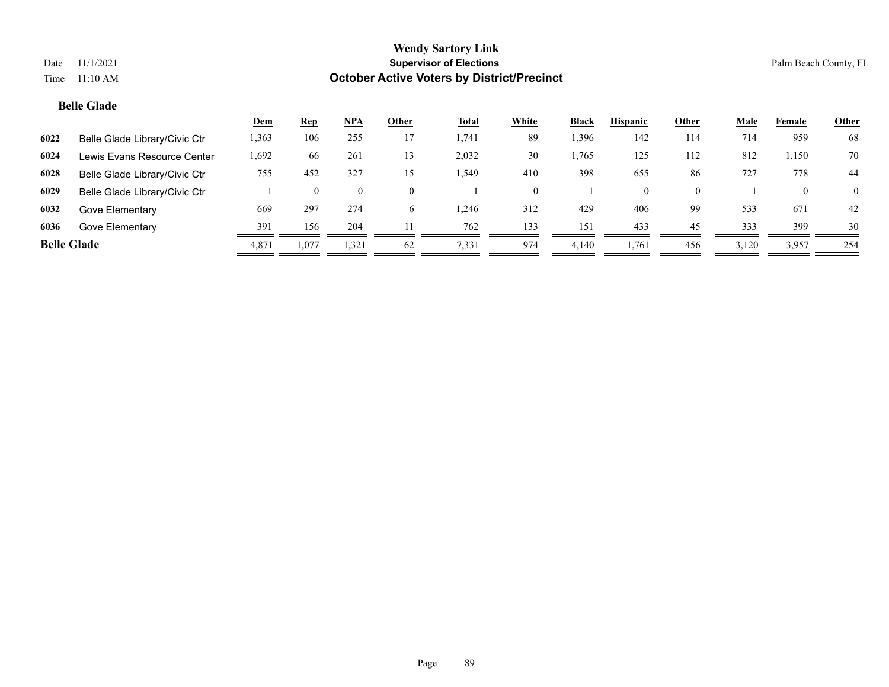# **Belle Glade**

|                    |                               | <u>Dem</u> | <u>Rep</u> | $NPA$    | Other | <u>Total</u> | <b>White</b> | Black | <b>Hispanic</b> | <b>Other</b> | <b>Male</b> | Female       | <b>Other</b>   |
|--------------------|-------------------------------|------------|------------|----------|-------|--------------|--------------|-------|-----------------|--------------|-------------|--------------|----------------|
| 6022               | Belle Glade Library/Civic Ctr | 1,363      | 106        | 255      |       | 1,741        | 89           | .396  | 142             | 114          | 714         | 959          | 68             |
| 6024               | Lewis Evans Resource Center   | 1,692      | -66        | 261      | 13    | 2,032        | 30           | .,765 | 125             | 112          | 812         | 1,150        | 70             |
| 6028               | Belle Glade Library/Civic Ctr | 755        | 452        | 327      | 15    | 549ء         | 410          | 398   | 655             | 86           | 727         | 778          | 44             |
| 6029               | Belle Glade Library/Civic Ctr |            |            | $\theta$ |       |              | 0            |       | $\Omega$        | $\Omega$     |             | $\mathbf{0}$ | $\overline{0}$ |
| 6032               | Gove Elementary               | 669        | 297        | 274      | 6.    | 1.246        | 312          | 429   | 406             | 99           | 533         | 671          | 42             |
| 6036               | Gove Elementary               | 391        | 156        | 204      |       | 762          | 133          | 151   | 433             | 45           | 333         | 399          | 30             |
| <b>Belle Glade</b> |                               | 4,871      | 1,077      | 1,321    | 62    | 7,331        | 974          | 4,140 | .761            | 456          | 3,120       | 3,957        | 254            |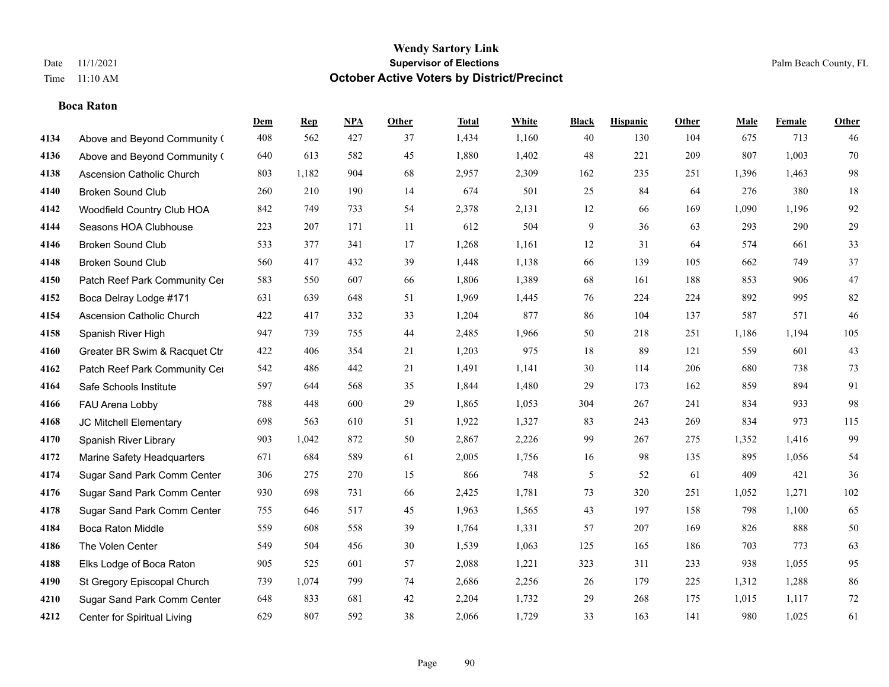## **Boca Raton**

|      |                                  | Dem | <b>Rep</b> | NPA | <b>Other</b> | <b>Total</b> | <b>White</b> | <b>Black</b> | <b>Hispanic</b> | Other | <b>Male</b> | <b>Female</b> | <b>Other</b> |
|------|----------------------------------|-----|------------|-----|--------------|--------------|--------------|--------------|-----------------|-------|-------------|---------------|--------------|
| 4134 | Above and Beyond Community (     | 408 | 562        | 427 | 37           | 1,434        | 1,160        | 40           | 130             | 104   | 675         | 713           | 46           |
| 4136 | Above and Beyond Community (     | 640 | 613        | 582 | 45           | 1,880        | 1,402        | 48           | 221             | 209   | 807         | 1,003         | 70           |
| 4138 | <b>Ascension Catholic Church</b> | 803 | 1,182      | 904 | 68           | 2,957        | 2,309        | 162          | 235             | 251   | 1,396       | 1,463         | 98           |
| 4140 | <b>Broken Sound Club</b>         | 260 | 210        | 190 | 14           | 674          | 501          | 25           | 84              | 64    | 276         | 380           | 18           |
| 4142 | Woodfield Country Club HOA       | 842 | 749        | 733 | 54           | 2,378        | 2,131        | 12           | 66              | 169   | 1,090       | 1,196         | 92           |
| 4144 | Seasons HOA Clubhouse            | 223 | 207        | 171 | 11           | 612          | 504          | 9            | 36              | 63    | 293         | 290           | $29\,$       |
| 4146 | <b>Broken Sound Club</b>         | 533 | 377        | 341 | 17           | 1,268        | 1,161        | 12           | 31              | 64    | 574         | 661           | 33           |
| 4148 | <b>Broken Sound Club</b>         | 560 | 417        | 432 | 39           | 1,448        | 1,138        | 66           | 139             | 105   | 662         | 749           | 37           |
| 4150 | Patch Reef Park Community Cer    | 583 | 550        | 607 | 66           | 1,806        | 1,389        | 68           | 161             | 188   | 853         | 906           | 47           |
| 4152 | Boca Delray Lodge #171           | 631 | 639        | 648 | 51           | 1,969        | 1,445        | 76           | 224             | 224   | 892         | 995           | $82\,$       |
| 4154 | <b>Ascension Catholic Church</b> | 422 | 417        | 332 | 33           | 1,204        | 877          | 86           | 104             | 137   | 587         | 571           | 46           |
| 4158 | Spanish River High               | 947 | 739        | 755 | 44           | 2,485        | 1,966        | 50           | 218             | 251   | 1,186       | 1,194         | 105          |
| 4160 | Greater BR Swim & Racquet Ctr    | 422 | 406        | 354 | 21           | 1,203        | 975          | 18           | 89              | 121   | 559         | 601           | 43           |
| 4162 | Patch Reef Park Community Cer    | 542 | 486        | 442 | 21           | 1,491        | 1,141        | 30           | 114             | 206   | 680         | 738           | 73           |
| 4164 | Safe Schools Institute           | 597 | 644        | 568 | 35           | 1,844        | 1,480        | 29           | 173             | 162   | 859         | 894           | 91           |
| 4166 | FAU Arena Lobby                  | 788 | 448        | 600 | 29           | 1,865        | 1,053        | 304          | 267             | 241   | 834         | 933           | 98           |
| 4168 | JC Mitchell Elementary           | 698 | 563        | 610 | 51           | 1,922        | 1,327        | 83           | 243             | 269   | 834         | 973           | 115          |
| 4170 | Spanish River Library            | 903 | 1,042      | 872 | 50           | 2,867        | 2,226        | 99           | 267             | 275   | 1,352       | 1,416         | 99           |
| 4172 | Marine Safety Headquarters       | 671 | 684        | 589 | 61           | 2,005        | 1,756        | 16           | 98              | 135   | 895         | 1,056         | 54           |
| 4174 | Sugar Sand Park Comm Center      | 306 | 275        | 270 | 15           | 866          | 748          | 5            | 52              | 61    | 409         | 421           | 36           |
| 4176 | Sugar Sand Park Comm Center      | 930 | 698        | 731 | 66           | 2,425        | 1,781        | 73           | 320             | 251   | 1,052       | 1,271         | 102          |
| 4178 | Sugar Sand Park Comm Center      | 755 | 646        | 517 | 45           | 1,963        | 1,565        | 43           | 197             | 158   | 798         | 1,100         | 65           |
| 4184 | Boca Raton Middle                | 559 | 608        | 558 | 39           | 1,764        | 1,331        | 57           | 207             | 169   | 826         | 888           | $50\,$       |
| 4186 | The Volen Center                 | 549 | 504        | 456 | 30           | 1,539        | 1,063        | 125          | 165             | 186   | 703         | 773           | 63           |
| 4188 | Elks Lodge of Boca Raton         | 905 | 525        | 601 | 57           | 2,088        | 1,221        | 323          | 311             | 233   | 938         | 1,055         | 95           |
| 4190 | St Gregory Episcopal Church      | 739 | 1,074      | 799 | 74           | 2,686        | 2,256        | 26           | 179             | 225   | 1,312       | 1,288         | 86           |
| 4210 | Sugar Sand Park Comm Center      | 648 | 833        | 681 | 42           | 2,204        | 1,732        | 29           | 268             | 175   | 1,015       | 1,117         | $72\,$       |
| 4212 | Center for Spiritual Living      | 629 | 807        | 592 | 38           | 2,066        | 1,729        | 33           | 163             | 141   | 980         | 1,025         | 61           |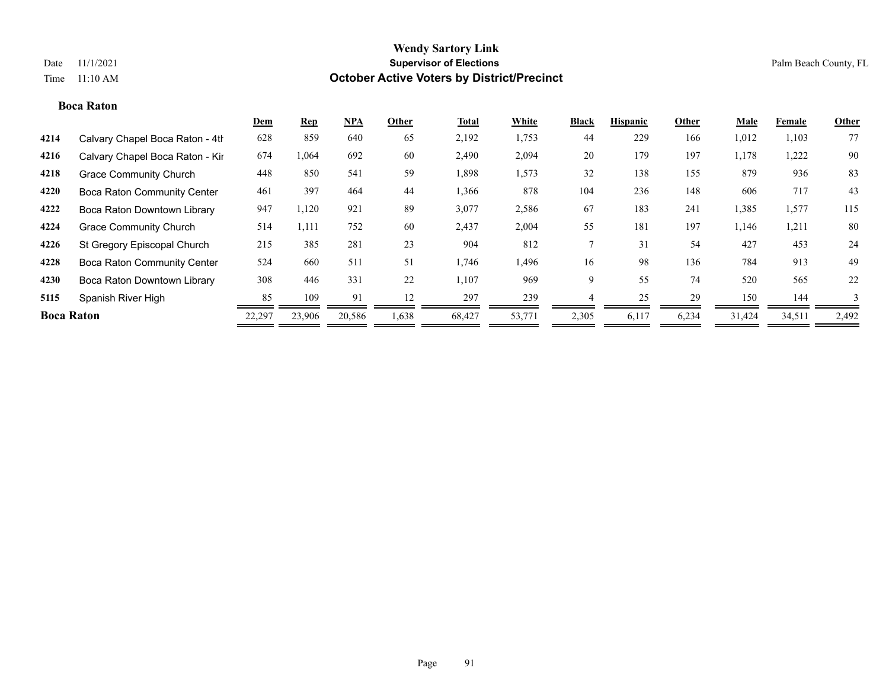#### **Boca Raton**

|                   |                                    | Dem    | <b>Rep</b> | <b>NPA</b> | Other | <b>Total</b> | White  | <b>Black</b> | <b>Hispanic</b> | Other | Male   | Female | Other |
|-------------------|------------------------------------|--------|------------|------------|-------|--------------|--------|--------------|-----------------|-------|--------|--------|-------|
| 4214              | Calvary Chapel Boca Raton - 4th    | 628    | 859        | 640        | 65    | 2,192        | 1,753  | 44           | 229             | 166   | 1,012  | 1,103  | 77    |
| 4216              | Calvary Chapel Boca Raton - Kir    | 674    | 1,064      | 692        | 60    | 2,490        | 2,094  | 20           | 179             | 197   | 1,178  | 1,222  | 90    |
| 4218              | <b>Grace Community Church</b>      | 448    | 850        | 541        | 59    | 1,898        | 1,573  | 32           | 138             | 155   | 879    | 936    | 83    |
| 4220              | <b>Boca Raton Community Center</b> | 461    | 397        | 464        | 44    | 1,366        | 878    | 104          | 236             | 148   | 606    | 717    | 43    |
| 4222              | Boca Raton Downtown Library        | 947    | 1,120      | 921        | 89    | 3,077        | 2,586  | 67           | 183             | 241   | 1,385  | 1,577  | 115   |
| 4224              | <b>Grace Community Church</b>      | 514    | 1,111      | 752        | 60    | 2,437        | 2,004  | 55           | 181             | 197   | 1,146  | 1,211  | 80    |
| 4226              | St Gregory Episcopal Church        | 215    | 385        | 281        | 23    | 904          | 812    |              | 31              | 54    | 427    | 453    | 24    |
| 4228              | <b>Boca Raton Community Center</b> | 524    | 660        | 511        | 51    | 1,746        | 1,496  | 16           | 98              | 136   | 784    | 913    | 49    |
| 4230              | Boca Raton Downtown Library        | 308    | 446        | 331        | 22    | 1,107        | 969    | 9            | 55              | 74    | 520    | 565    | 22    |
| 5115              | Spanish River High                 | 85     | 109        | 91         | 12    | 297          | 239    |              | 25              | 29    | 150    | 144    |       |
| <b>Boca Raton</b> |                                    | 22,297 | 23,906     | 20,586     | 1,638 | 68,427       | 53,771 | 2,305        | 6,117           | 6,234 | 31,424 | 34,511 | 2,492 |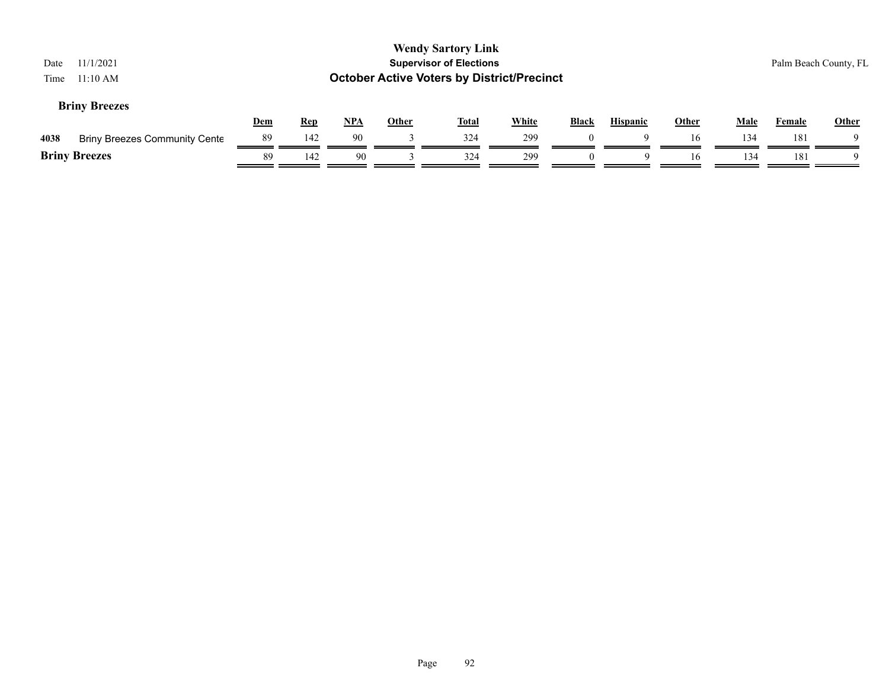| 11/1/2021<br>Date<br>11:10 AM<br>Time        |            |            |            |              | <b>Wendy Sartory Link</b><br><b>Supervisor of Elections</b><br><b>October Active Voters by District/Precinct</b> |              |              |                 |              |             |               | Palm Beach County, FL |
|----------------------------------------------|------------|------------|------------|--------------|------------------------------------------------------------------------------------------------------------------|--------------|--------------|-----------------|--------------|-------------|---------------|-----------------------|
| <b>Briny Breezes</b>                         | <u>Dem</u> | <u>Rep</u> | <b>NPA</b> | <b>Other</b> | <b>Total</b>                                                                                                     | <b>White</b> | <b>Black</b> | <b>Hispanic</b> | <b>Other</b> | <b>Male</b> | <b>Female</b> | <b>Other</b>          |
| <b>Briny Breezes Community Cente</b><br>4038 | 89         | 142        | 90         |              | 324                                                                                                              | 299          |              |                 | 16           | 134         | 181           |                       |
| <b>Briny Breezes</b>                         | -89        | 142        | 90         |              | 324                                                                                                              | 299          | $\theta$     | 9               | 16           | 134         | 181           |                       |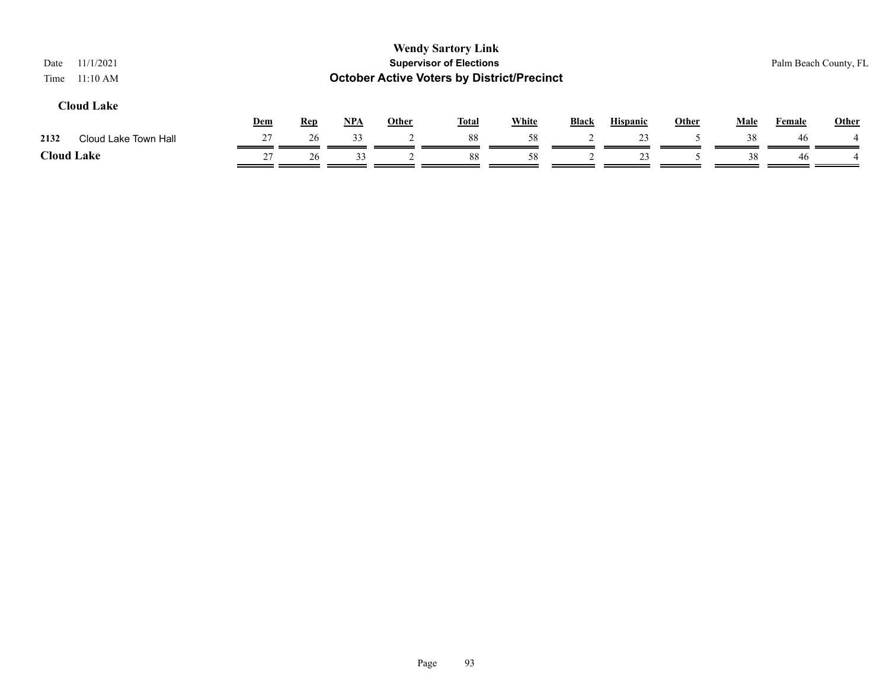| 11/1/2021<br>Date<br>$11:10 \text{ AM}$<br>Time |     |            |     |              | <b>Wendy Sartory Link</b><br><b>Supervisor of Elections</b><br><b>October Active Voters by District/Precinct</b> |              |              |                 |              |             |               | Palm Beach County, FL |
|-------------------------------------------------|-----|------------|-----|--------------|------------------------------------------------------------------------------------------------------------------|--------------|--------------|-----------------|--------------|-------------|---------------|-----------------------|
| <b>Cloud Lake</b>                               | Dem | <b>Rep</b> | NPA | <b>Other</b> | <b>Total</b>                                                                                                     | <b>White</b> | <b>Black</b> | <b>Hispanic</b> | <b>Other</b> | <b>Male</b> | <b>Female</b> | Other                 |
| 2132<br>Cloud Lake Town Hall                    | 27  | 26         | 33  |              | 88                                                                                                               | 58           |              | 23              |              | 38          | 46            |                       |
| <b>Cloud Lake</b>                               | 27  | 26         | 33  |              | 88                                                                                                               | 58           |              | 23              |              | 38          | 46            |                       |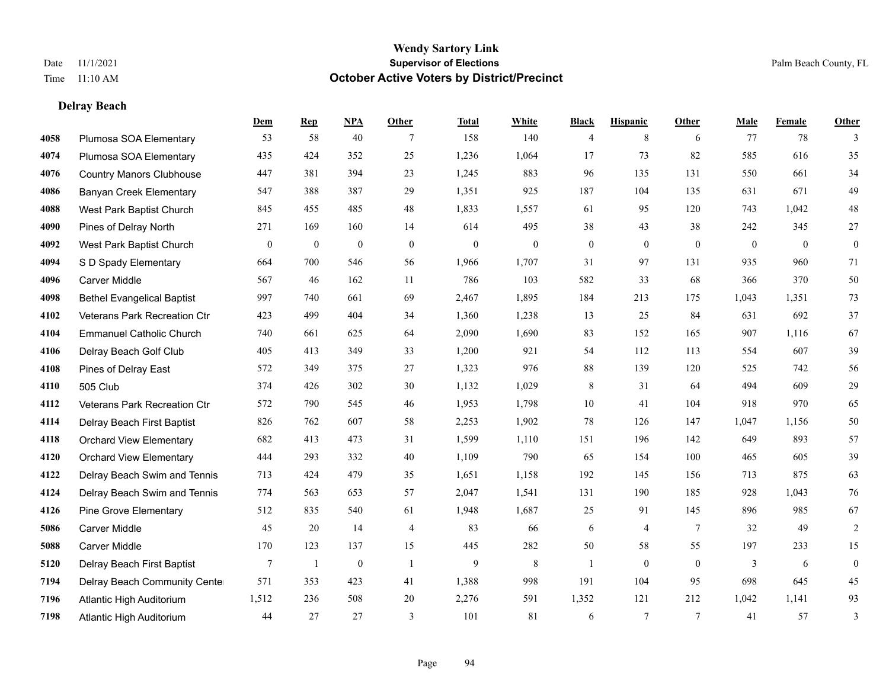#### **Delray Beach**

|      |                                   | Dem              | <b>Rep</b>       | NPA              | <b>Other</b>   | <b>Total</b>     | <b>White</b>     | <b>Black</b>            | <b>Hispanic</b>  | <b>Other</b>     | <b>Male</b>      | <b>Female</b>    | <b>Other</b>     |
|------|-----------------------------------|------------------|------------------|------------------|----------------|------------------|------------------|-------------------------|------------------|------------------|------------------|------------------|------------------|
| 4058 | Plumosa SOA Elementary            | 53               | 58               | 40               | 7              | 158              | 140              | 4                       | 8                | 6                | 77               | 78               | 3                |
| 4074 | Plumosa SOA Elementary            | 435              | 424              | 352              | 25             | 1,236            | 1,064            | 17                      | 73               | 82               | 585              | 616              | 35               |
| 4076 | <b>Country Manors Clubhouse</b>   | 447              | 381              | 394              | 23             | 1,245            | 883              | 96                      | 135              | 131              | 550              | 661              | 34               |
| 4086 | <b>Banyan Creek Elementary</b>    | 547              | 388              | 387              | 29             | 1,351            | 925              | 187                     | 104              | 135              | 631              | 671              | 49               |
| 4088 | West Park Baptist Church          | 845              | 455              | 485              | 48             | 1,833            | 1,557            | 61                      | 95               | 120              | 743              | 1,042            | $48\,$           |
| 4090 | Pines of Delray North             | 271              | 169              | 160              | 14             | 614              | 495              | 38                      | 43               | 38               | 242              | 345              | $27\,$           |
| 4092 | West Park Baptist Church          | $\boldsymbol{0}$ | $\boldsymbol{0}$ | $\boldsymbol{0}$ | $\mathbf{0}$   | $\boldsymbol{0}$ | $\boldsymbol{0}$ | $\boldsymbol{0}$        | $\boldsymbol{0}$ | $\mathbf{0}$     | $\boldsymbol{0}$ | $\boldsymbol{0}$ | $\boldsymbol{0}$ |
| 4094 | S D Spady Elementary              | 664              | 700              | 546              | 56             | 1,966            | 1,707            | 31                      | 97               | 131              | 935              | 960              | 71               |
| 4096 | <b>Carver Middle</b>              | 567              | 46               | 162              | 11             | 786              | 103              | 582                     | 33               | 68               | 366              | 370              | 50               |
| 4098 | <b>Bethel Evangelical Baptist</b> | 997              | 740              | 661              | 69             | 2,467            | 1,895            | 184                     | 213              | 175              | 1,043            | 1,351            | 73               |
| 4102 | Veterans Park Recreation Ctr      | 423              | 499              | 404              | 34             | 1,360            | 1,238            | 13                      | 25               | 84               | 631              | 692              | 37               |
| 4104 | <b>Emmanuel Catholic Church</b>   | 740              | 661              | 625              | 64             | 2,090            | 1,690            | 83                      | 152              | 165              | 907              | 1,116            | 67               |
| 4106 | Delray Beach Golf Club            | 405              | 413              | 349              | 33             | 1,200            | 921              | 54                      | 112              | 113              | 554              | 607              | 39               |
| 4108 | Pines of Delray East              | 572              | 349              | 375              | 27             | 1,323            | 976              | $88\,$                  | 139              | 120              | 525              | 742              | 56               |
| 4110 | 505 Club                          | 374              | 426              | 302              | 30             | 1,132            | 1,029            | 8                       | 31               | 64               | 494              | 609              | 29               |
| 4112 | Veterans Park Recreation Ctr      | 572              | 790              | 545              | 46             | 1,953            | 1,798            | 10                      | 41               | 104              | 918              | 970              | 65               |
| 4114 | Delray Beach First Baptist        | 826              | 762              | 607              | 58             | 2,253            | 1,902            | 78                      | 126              | 147              | 1,047            | 1,156            | 50               |
| 4118 | <b>Orchard View Elementary</b>    | 682              | 413              | 473              | 31             | 1,599            | 1,110            | 151                     | 196              | 142              | 649              | 893              | 57               |
| 4120 | <b>Orchard View Elementary</b>    | 444              | 293              | 332              | 40             | 1,109            | 790              | 65                      | 154              | 100              | 465              | 605              | 39               |
| 4122 | Delray Beach Swim and Tennis      | 713              | 424              | 479              | 35             | 1,651            | 1,158            | 192                     | 145              | 156              | 713              | 875              | 63               |
| 4124 | Delray Beach Swim and Tennis      | 774              | 563              | 653              | 57             | 2,047            | 1,541            | 131                     | 190              | 185              | 928              | 1,043            | 76               |
| 4126 | Pine Grove Elementary             | 512              | 835              | 540              | 61             | 1,948            | 1,687            | 25                      | 91               | 145              | 896              | 985              | 67               |
| 5086 | <b>Carver Middle</b>              | 45               | 20               | 14               | $\overline{4}$ | 83               | 66               | 6                       | 4                | 7                | 32               | 49               | $\overline{c}$   |
| 5088 | <b>Carver Middle</b>              | 170              | 123              | 137              | 15             | 445              | 282              | 50                      | 58               | 55               | 197              | 233              | 15               |
| 5120 | Delray Beach First Baptist        | $\tau$           | $\mathbf{1}$     | $\boldsymbol{0}$ | -1             | 9                | $\,8\,$          | $\overline{\mathbf{1}}$ | $\boldsymbol{0}$ | $\boldsymbol{0}$ | 3                | 6                | $\boldsymbol{0}$ |
| 7194 | Delray Beach Community Cente      | 571              | 353              | 423              | 41             | 1,388            | 998              | 191                     | 104              | 95               | 698              | 645              | 45               |
| 7196 | Atlantic High Auditorium          | 1,512            | 236              | 508              | 20             | 2,276            | 591              | 1,352                   | 121              | 212              | 1,042            | 1,141            | 93               |
| 7198 | Atlantic High Auditorium          | 44               | 27               | 27               | 3              | 101              | 81               | 6                       | $\tau$           | $\overline{7}$   | 41               | 57               | $\mathfrak{Z}$   |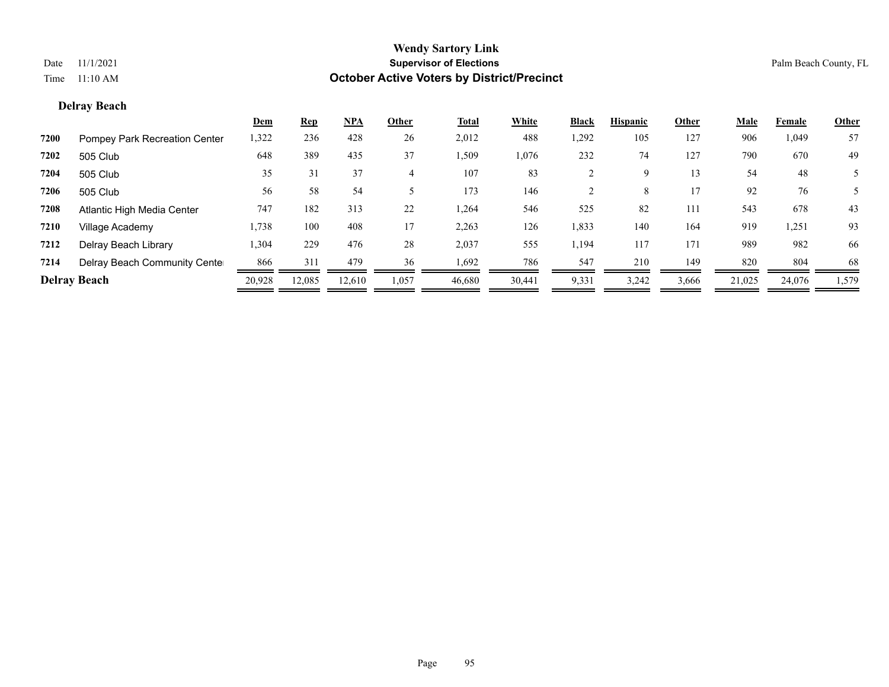#### **Delray Beach**

|      |                               | <u>Dem</u> | <b>Rep</b> | <u>NPA</u> | Other | <b>Total</b> | White  | <b>Black</b> | <b>Hispanic</b> | Other | Male   | Female | Other |
|------|-------------------------------|------------|------------|------------|-------|--------------|--------|--------------|-----------------|-------|--------|--------|-------|
| 7200 | Pompey Park Recreation Center | 1,322      | 236        | 428        | 26    | 2,012        | 488    | ,292         | 105             | 127   | 906    | 1,049  | 57    |
| 7202 | 505 Club                      | 648        | 389        | 435        | 37    | 1,509        | 1,076  | 232          | 74              | 127   | 790    | 670    | 49    |
| 7204 | 505 Club                      | 35         | 31         | 37         |       | 107          | 83     |              | 9               | 13    | 54     | 48     |       |
| 7206 | 505 Club                      | 56         | 58         | 54         |       | 173          | 146    |              | 8               | 17    | 92     | 76     |       |
| 7208 | Atlantic High Media Center    | 747        | 182        | 313        | 22    | 1,264        | 546    | 525          | 82              | 111   | 543    | 678    | 43    |
| 7210 | Village Academy               | 1,738      | 100        | 408        | 17    | 2,263        | 126    | 1,833        | 140             | 164   | 919    | 1,251  | 93    |
| 7212 | Delray Beach Library          | 1,304      | 229        | 476        | 28    | 2,037        | 555    | 1,194        | 117             | 171   | 989    | 982    | 66    |
| 7214 | Delray Beach Community Cente  | 866        | 311        | 479        | 36    | 1,692        | 786    | 547          | 210             | 149   | 820    | 804    | 68    |
|      | <b>Delray Beach</b>           | 20,928     | 12,085     | 12,610     | 1,057 | 46,680       | 30,441 | 9,331        | 3,242           | 3,666 | 21,025 | 24,076 | 1,579 |
|      |                               |            |            |            |       |              |        |              |                 |       |        |        |       |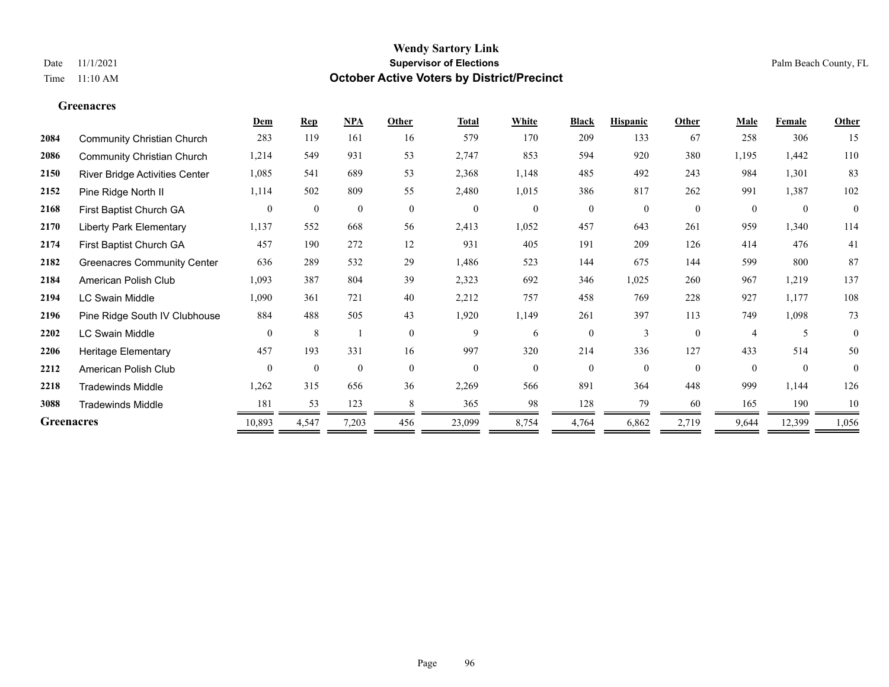#### **Greenacres**

|                   |                                    | Dem            | <b>Rep</b>       | NPA              | Other            | <b>Total</b>     | White            | <b>Black</b>   | <b>Hispanic</b> | Other        | Male           | Female           | Other          |
|-------------------|------------------------------------|----------------|------------------|------------------|------------------|------------------|------------------|----------------|-----------------|--------------|----------------|------------------|----------------|
| 2084              | <b>Community Christian Church</b>  | 283            | 119              | 161              | 16               | 579              | 170              | 209            | 133             | 67           | 258            | 306              | 15             |
| 2086              | <b>Community Christian Church</b>  | 1,214          | 549              | 931              | 53               | 2,747            | 853              | 594            | 920             | 380          | 1,195          | 1,442            | 110            |
| 2150              | River Bridge Activities Center     | 1,085          | 541              | 689              | 53               | 2,368            | 1,148            | 485            | 492             | 243          | 984            | 1,301            | 83             |
| 2152              | Pine Ridge North II                | 1,114          | 502              | 809              | 55               | 2,480            | 1,015            | 386            | 817             | 262          | 991            | 1,387            | 102            |
| 2168              | First Baptist Church GA            | $\overline{0}$ | $\boldsymbol{0}$ | $\boldsymbol{0}$ | $\boldsymbol{0}$ | $\boldsymbol{0}$ | $\boldsymbol{0}$ | $\overline{0}$ | $\overline{0}$  | $\mathbf{0}$ | $\theta$       | $\boldsymbol{0}$ | $\overline{0}$ |
| 2170              | <b>Liberty Park Elementary</b>     | 1,137          | 552              | 668              | 56               | 2,413            | 1,052            | 457            | 643             | 261          | 959            | 1,340            | 114            |
| 2174              | First Baptist Church GA            | 457            | 190              | 272              | 12               | 931              | 405              | 191            | 209             | 126          | 414            | 476              | 41             |
| 2182              | <b>Greenacres Community Center</b> | 636            | 289              | 532              | 29               | 1,486            | 523              | 144            | 675             | 144          | 599            | 800              | 87             |
| 2184              | American Polish Club               | 1,093          | 387              | 804              | 39               | 2,323            | 692              | 346            | 1,025           | 260          | 967            | 1,219            | 137            |
| 2194              | <b>LC Swain Middle</b>             | 1,090          | 361              | 721              | 40               | 2,212            | 757              | 458            | 769             | 228          | 927            | 1,177            | 108            |
| 2196              | Pine Ridge South IV Clubhouse      | 884            | 488              | 505              | 43               | 1,920            | 1,149            | 261            | 397             | 113          | 749            | 1,098            | 73             |
| 2202              | <b>LC Swain Middle</b>             | $\theta$       | 8                |                  | $\theta$         | 9                | 6                | $\theta$       | 3               | $\theta$     | $\overline{4}$ | 5                | $\theta$       |
| 2206              | <b>Heritage Elementary</b>         | 457            | 193              | 331              | 16               | 997              | 320              | 214            | 336             | 127          | 433            | 514              | 50             |
| 2212              | American Polish Club               | $\theta$       | $\mathbf{0}$     | $\mathbf{0}$     | $\theta$         | $\mathbf{0}$     | $\theta$         | $\theta$       | $\theta$        | $\theta$     | $\theta$       | $\theta$         | $\theta$       |
| 2218              | <b>Tradewinds Middle</b>           | 1,262          | 315              | 656              | 36               | 2,269            | 566              | 891            | 364             | 448          | 999            | 1,144            | 126            |
| 3088              | <b>Tradewinds Middle</b>           | 181            | 53               | 123              | 8                | 365              | 98               | 128            | 79              | 60           | 165            | 190              | 10             |
| <b>Greenacres</b> |                                    | 10,893         | 4,547            | 7,203            | 456              | 23,099           | 8,754            | 4,764          | 6,862           | 2,719        | 9,644          | 12,399           | 1,056          |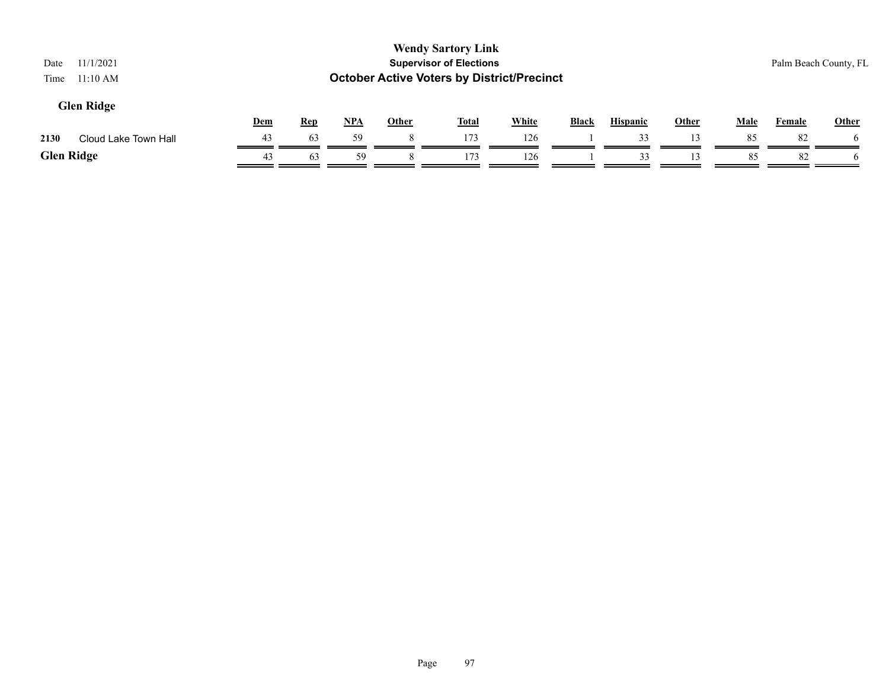| 11/1/2021<br>Date<br>11:10 AM<br>Time |     |            |            |              | <b>Wendy Sartory Link</b><br><b>Supervisor of Elections</b><br><b>October Active Voters by District/Precinct</b> |              |              |                 |              |             |               | Palm Beach County, FL |
|---------------------------------------|-----|------------|------------|--------------|------------------------------------------------------------------------------------------------------------------|--------------|--------------|-----------------|--------------|-------------|---------------|-----------------------|
| <b>Glen Ridge</b>                     | Dem | <u>Rep</u> | <u>NPA</u> | <b>Other</b> | <b>Total</b>                                                                                                     | <b>White</b> | <b>Black</b> | <b>Hispanic</b> | <b>Other</b> | <u>Male</u> | <b>Female</b> | <b>Other</b>          |
| 2130<br>Cloud Lake Town Hall          | 43  | 63         | 59         |              | 173                                                                                                              | 126          |              | 33              | 13           | 85          | 82            |                       |
| <b>Glen Ridge</b>                     | 43  | 63         | 59         |              | 173                                                                                                              | 126          |              | 33              | 13           | 85          | 82            |                       |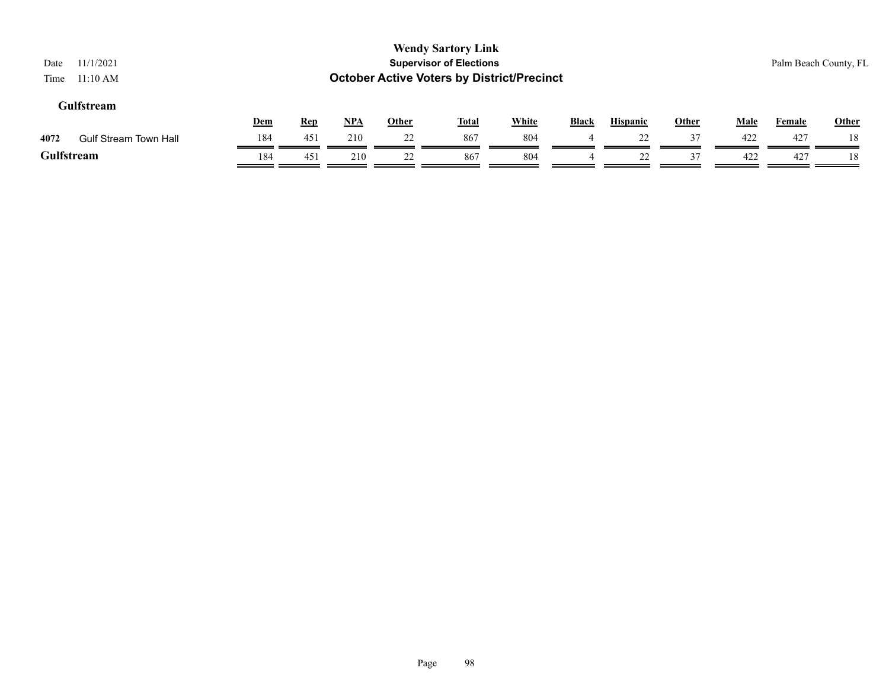| 11/1/2021<br>Date<br>11:10 AM<br>Time |     |            |            |       | <b>Wendy Sartory Link</b><br><b>Supervisor of Elections</b><br><b>October Active Voters by District/Precinct</b> |              |                |                 |              |             |               | Palm Beach County, FL |
|---------------------------------------|-----|------------|------------|-------|------------------------------------------------------------------------------------------------------------------|--------------|----------------|-----------------|--------------|-------------|---------------|-----------------------|
| Gulfstream                            | Dem | <u>Rep</u> | <u>NPA</u> | Other | <b>Total</b>                                                                                                     | <b>White</b> | <b>Black</b>   | <b>Hispanic</b> | <b>Other</b> | <b>Male</b> | <b>Female</b> | Other                 |
| 4072<br><b>Gulf Stream Town Hall</b>  | 184 | 451        | 210        | 22    | 867                                                                                                              | 804          |                | 22              | 37           | 422         | -427          | 18                    |
| Gulfstream                            | 184 | 451        | 210        | 22    | 867                                                                                                              | 804          | $\overline{4}$ | 22              | 37           | 422         | 427           | 18                    |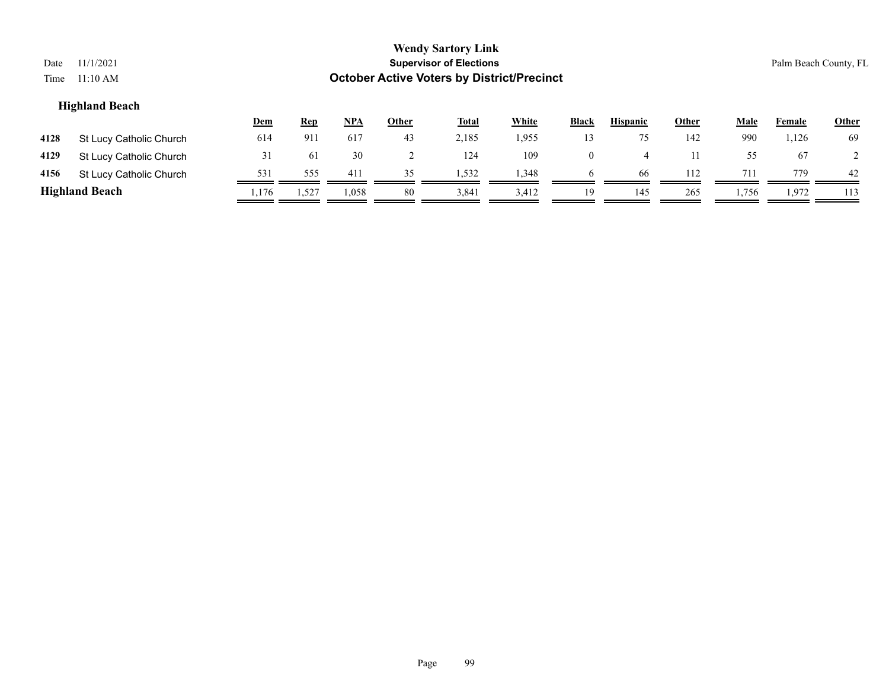| Date<br>Time | 11/1/2021<br>11:10 AM                                                                                                                                                    |      |       |       |    | <b>Wendy Sartory Link</b><br><b>Supervisor of Elections</b><br><b>October Active Voters by District/Precinct</b> |       |                |     |     |       |       | Palm Beach County, FL |  |
|--------------|--------------------------------------------------------------------------------------------------------------------------------------------------------------------------|------|-------|-------|----|------------------------------------------------------------------------------------------------------------------|-------|----------------|-----|-----|-------|-------|-----------------------|--|
|              | <b>Highland Beach</b><br><b>White</b><br>$NPA$<br><b>Male</b><br>Other<br><b>Total</b><br>Black<br><b>Hispanic</b><br>Other<br><b>Rep</b><br><u>Dem</u><br><b>Female</b> |      |       |       |    |                                                                                                                  |       |                |     |     |       |       |                       |  |
| 4128         | St Lucy Catholic Church                                                                                                                                                  | 614  | 911   | 617   | 43 | 2,185                                                                                                            | 1,955 | 13             | 75  | 142 | 990   | 1,126 | 69                    |  |
| 4129         | St Lucy Catholic Church                                                                                                                                                  | 31   | 61    | 30    | ∠  | 124                                                                                                              | 109   | $\overline{0}$ | 4   | 11  | 55    | 67    |                       |  |
| 4156         | St Lucy Catholic Church                                                                                                                                                  | 531  | 555   | 411   | 35 | 1,532                                                                                                            | 1,348 | $\mathfrak{h}$ | 66  | 112 | 711   | 779   | 42                    |  |
|              | <b>Highland Beach</b>                                                                                                                                                    | .176 | 1,527 | 1,058 | 80 | 3,841                                                                                                            | 3,412 | 19             | 145 | 265 | 1,756 | 1,972 | 113                   |  |

#### Page 99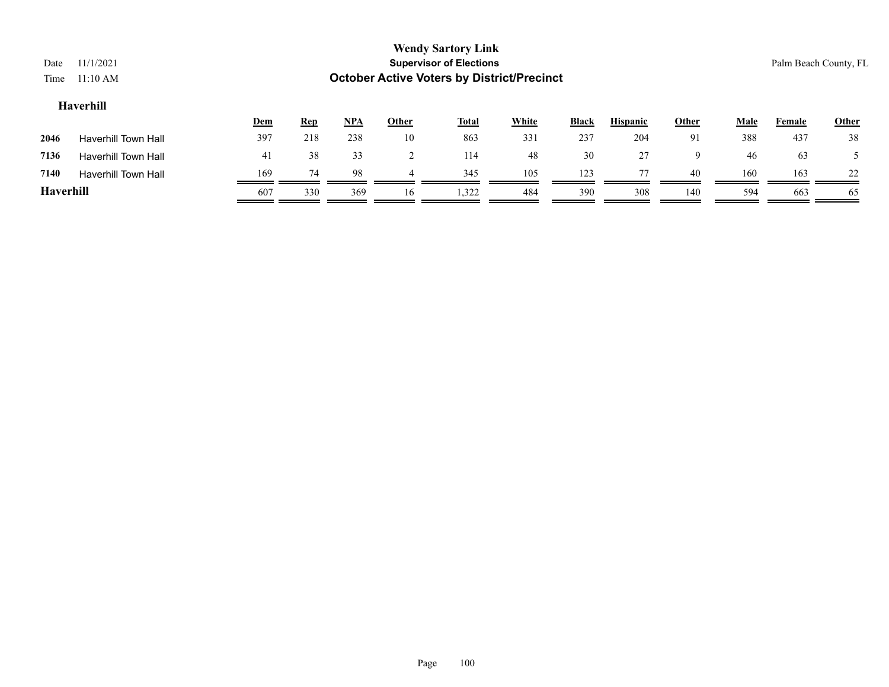| Date<br>Time | 11/1/2021<br>11:10 AM      |     |            |            |       | <b>Wendy Sartory Link</b><br><b>Supervisor of Elections</b><br><b>October Active Voters by District/Precinct</b> |       |              |                 |              |             |        | Palm Beach County, FL |
|--------------|----------------------------|-----|------------|------------|-------|------------------------------------------------------------------------------------------------------------------|-------|--------------|-----------------|--------------|-------------|--------|-----------------------|
|              | Haverhill                  |     |            |            |       |                                                                                                                  |       |              |                 |              |             |        |                       |
|              |                            | Dem | <b>Rep</b> | <b>NPA</b> | Other | <b>Total</b>                                                                                                     | White | <b>Black</b> | <b>Hispanic</b> | <b>Other</b> | <b>Male</b> | Female | <b>Other</b>          |
| 2046         | Haverhill Town Hall        | 397 | 218        | 238        | 10    | 863                                                                                                              | 331   | 237          | 204             | 91           | 388         | 437    | 38                    |
| 7136         | <b>Haverhill Town Hall</b> | 41  | 38         | 33         |       | 114                                                                                                              | 48    | 30           | 27              | 9            | 46          | 63     |                       |
| 7140         | <b>Haverhill Town Hall</b> | 169 | 74         | 98         | 4     | 345                                                                                                              | 105   | 123          | 77              | 40           | 160         | 163    | 22                    |
| Haverhill    |                            | 607 | 330        | 369        | 16    | 1,322                                                                                                            | 484   | 390          | 308             | 140          | 594         | 663    | 65                    |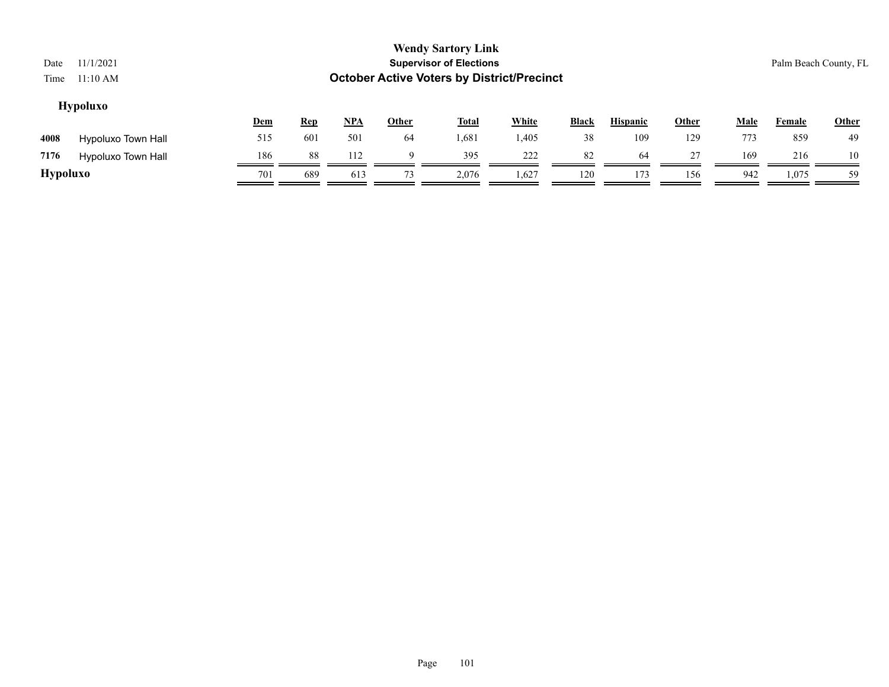| Date<br>Time    | 11/1/2021<br>11:10 AM |     |                |       |       | <b>Wendy Sartory Link</b><br><b>Supervisor of Elections</b><br><b>October Active Voters by District/Precinct</b> |              |              |                 |       |             | Palm Beach County, FL |              |
|-----------------|-----------------------|-----|----------------|-------|-------|------------------------------------------------------------------------------------------------------------------|--------------|--------------|-----------------|-------|-------------|-----------------------|--------------|
|                 | <b>Hypoluxo</b>       | Dem | $\mathbf{Rep}$ | $NPA$ | Other | <b>Total</b>                                                                                                     | <b>White</b> | <b>Black</b> | <b>Hispanic</b> | Other | <b>Male</b> | Female                | <b>Other</b> |
| 4008            | Hypoluxo Town Hall    | 515 | 601            | 501   | 64    | 1,681                                                                                                            | 1,405        | 38           | 109             | 129   | 773         | 859                   | 49           |
| 7176            | Hypoluxo Town Hall    | 186 | 88             | 112   | Q     | 395                                                                                                              | 222          | 82           | 64              | 27    | 169         | 216                   | 10           |
| <b>Hypoluxo</b> |                       | 701 | 689            | 613   | 73    | 2,076                                                                                                            | 1,627        | 120          | 173             | 156   | 942         | 1,075                 | 59           |
|                 |                       |     |                |       |       |                                                                                                                  |              |              |                 |       |             |                       |              |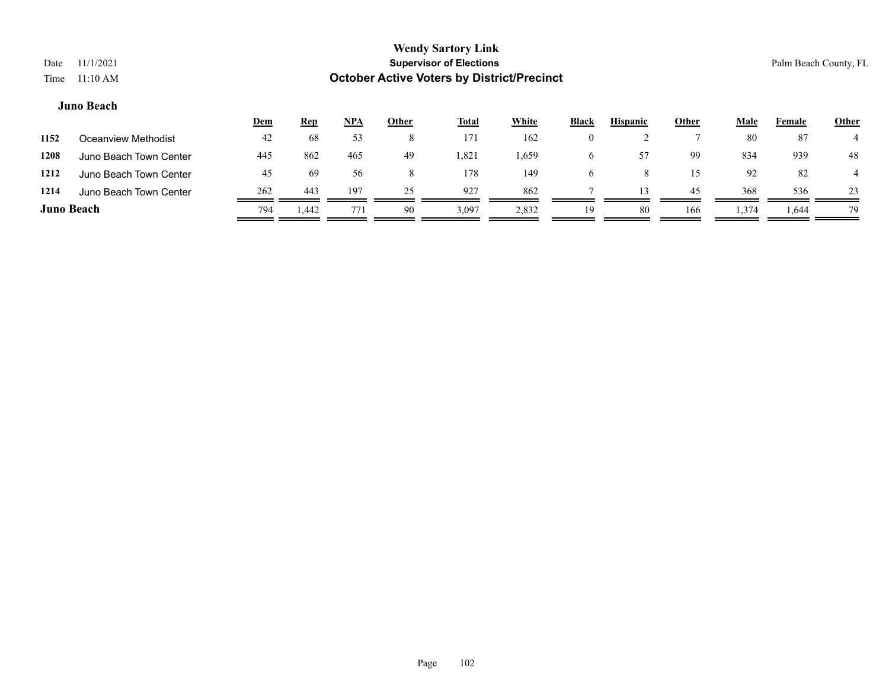## **Wendy Sartory Link** Date 11/1/2021 Palm Beach County, FL Time 11:10 AM **October Active Voters by District/Precinct Juno Beach**

|                   |                        | <u>Dem</u> | <b>Rep</b> | NPA | <u>Other</u> | <b>Total</b> | <b>White</b> | <b>Black</b> | <b>Hispanic</b> | Other | Male  | Female | <b>Other</b> |
|-------------------|------------------------|------------|------------|-----|--------------|--------------|--------------|--------------|-----------------|-------|-------|--------|--------------|
| 1152              | Oceanview Methodist    | 42         | 68         | 53  | Ō            | 171          | 162          | $\theta$     |                 |       | 80    | 87     |              |
| 1208              | Juno Beach Town Center | 445        | 862        | 465 | 49           | 1,821        | 1,659        | <sub>(</sub> |                 | 99    | 834   | 939    | 48           |
| 1212              | Juno Beach Town Center | 45         | -69        | 56  |              | 178          | 149          | h            |                 | 15    | 92    | 82     |              |
| 1214              | Juno Beach Town Center | 262        | 443        | 197 | 25           | 927          | 862          |              |                 | 45    | 368   | 536    | 23           |
| <b>Juno Beach</b> |                        | 794        | 1.442      | 771 | 90           | 3,097        | 2,832        | 19           | 80              | 166   | 1,374 | 1,644  | 79           |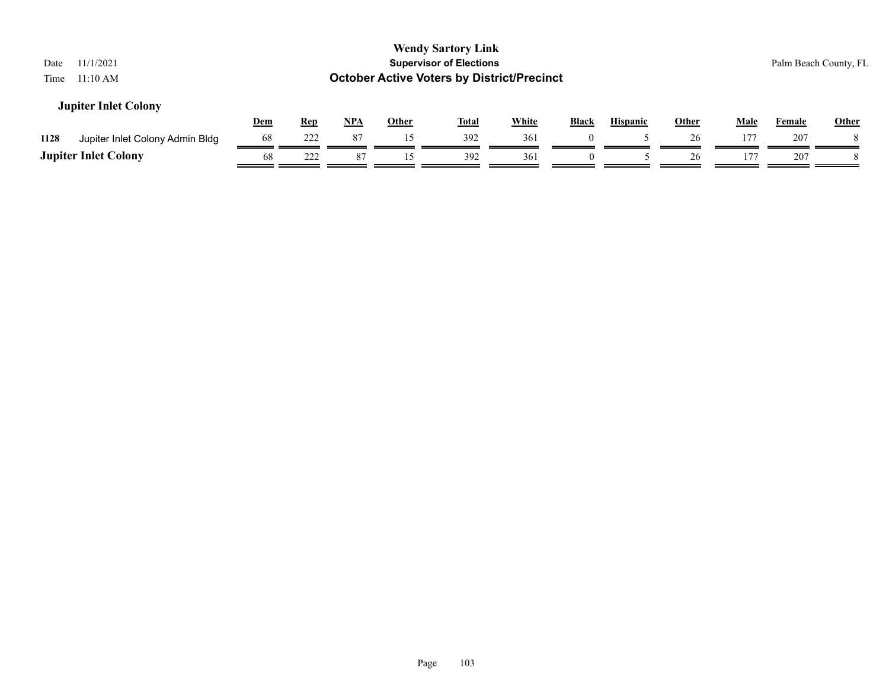| 11/1/2021<br>Date<br>11:10 AM<br>Time   |     |            |     |              | <b>Wendy Sartory Link</b><br><b>Supervisor of Elections</b><br><b>October Active Voters by District/Precinct</b> |              |              |                 |              |             |        | Palm Beach County, FL |
|-----------------------------------------|-----|------------|-----|--------------|------------------------------------------------------------------------------------------------------------------|--------------|--------------|-----------------|--------------|-------------|--------|-----------------------|
| <b>Jupiter Inlet Colony</b>             | Dem | <b>Rep</b> | NPA | <b>Other</b> | <b>Total</b>                                                                                                     | <b>White</b> | <b>Black</b> | <b>Hispanic</b> | <b>Other</b> | <b>Male</b> | Female | <b>Other</b>          |
| 1128<br>Jupiter Inlet Colony Admin Bldg | 68  | 222        | 87  | 15           | 392                                                                                                              | 361          | $\theta$     |                 | 26           | 177         | 207    |                       |
| <b>Jupiter Inlet Colony</b>             | 68  | 222        | 87  | 15           | 392                                                                                                              | 361          | $\Omega$     |                 | 26           | 177         | 207    |                       |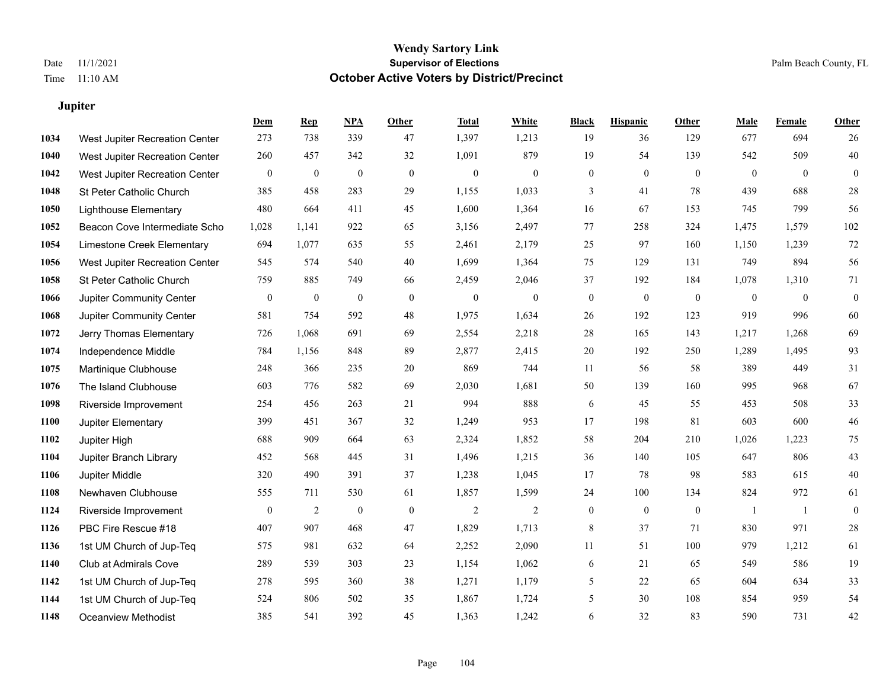**Jupiter**

#### **Wendy Sartory Link** Date 11/1/2021 Palm Beach County, FL Time 11:10 AM **October Active Voters by District/Precinct**

|      |                                | Dem          | <b>Rep</b>       | NPA              | Other            | <b>Total</b>     | White          | <b>Black</b>     | <b>Hispanic</b>  | Other            | Male           | Female       | Other            |
|------|--------------------------------|--------------|------------------|------------------|------------------|------------------|----------------|------------------|------------------|------------------|----------------|--------------|------------------|
| 1034 | West Jupiter Recreation Center | 273          | 738              | 339              | 47               | 1,397            | 1,213          | 19               | 36               | 129              | 677            | 694          | 26               |
| 1040 | West Jupiter Recreation Center | 260          | 457              | 342              | 32               | 1,091            | 879            | 19               | 54               | 139              | 542            | 509          | 40               |
| 1042 | West Jupiter Recreation Center | $\mathbf{0}$ | $\mathbf{0}$     | $\boldsymbol{0}$ | $\mathbf{0}$     | $\mathbf{0}$     | $\overline{0}$ | $\boldsymbol{0}$ | $\mathbf{0}$     | $\theta$         | $\overline{0}$ | $\theta$     | $\mathbf{0}$     |
| 1048 | St Peter Catholic Church       | 385          | 458              | 283              | 29               | 1,155            | 1,033          | 3                | 41               | 78               | 439            | 688          | $28\,$           |
| 1050 | <b>Lighthouse Elementary</b>   | 480          | 664              | 411              | 45               | 1,600            | 1,364          | 16               | 67               | 153              | 745            | 799          | 56               |
| 1052 | Beacon Cove Intermediate Scho  | 1,028        | 1,141            | 922              | 65               | 3,156            | 2,497          | 77               | 258              | 324              | 1,475          | 1,579        | 102              |
| 1054 | Limestone Creek Elementary     | 694          | 1,077            | 635              | 55               | 2,461            | 2,179          | 25               | 97               | 160              | 1,150          | 1,239        | 72               |
| 1056 | West Jupiter Recreation Center | 545          | 574              | 540              | 40               | 1,699            | 1,364          | 75               | 129              | 131              | 749            | 894          | 56               |
| 1058 | St Peter Catholic Church       | 759          | 885              | 749              | 66               | 2,459            | 2,046          | 37               | 192              | 184              | 1,078          | 1,310        | 71               |
| 1066 | Jupiter Community Center       | $\mathbf{0}$ | $\boldsymbol{0}$ | $\boldsymbol{0}$ | $\boldsymbol{0}$ | $\boldsymbol{0}$ | $\mathbf{0}$   | $\boldsymbol{0}$ | $\boldsymbol{0}$ | $\boldsymbol{0}$ | $\overline{0}$ | $\mathbf{0}$ | $\boldsymbol{0}$ |
| 1068 | Jupiter Community Center       | 581          | 754              | 592              | 48               | 1,975            | 1,634          | 26               | 192              | 123              | 919            | 996          | $60\,$           |
| 1072 | Jerry Thomas Elementary        | 726          | 1,068            | 691              | 69               | 2,554            | 2,218          | $28\,$           | 165              | 143              | 1,217          | 1,268        | 69               |
| 1074 | Independence Middle            | 784          | 1,156            | 848              | 89               | 2,877            | 2,415          | 20               | 192              | 250              | 1,289          | 1,495        | 93               |
| 1075 | Martinique Clubhouse           | 248          | 366              | 235              | 20               | 869              | 744            | 11               | 56               | 58               | 389            | 449          | 31               |
| 1076 | The Island Clubhouse           | 603          | 776              | 582              | 69               | 2,030            | 1,681          | 50               | 139              | 160              | 995            | 968          | 67               |
| 1098 | Riverside Improvement          | 254          | 456              | 263              | 21               | 994              | 888            | 6                | 45               | 55               | 453            | 508          | 33               |
| 1100 | Jupiter Elementary             | 399          | 451              | 367              | 32               | 1,249            | 953            | 17               | 198              | 81               | 603            | 600          | $46\,$           |
| 1102 | Jupiter High                   | 688          | 909              | 664              | 63               | 2,324            | 1,852          | 58               | 204              | 210              | 1,026          | 1,223        | 75               |
| 1104 | Jupiter Branch Library         | 452          | 568              | 445              | 31               | 1,496            | 1,215          | 36               | 140              | 105              | 647            | 806          | $43\,$           |
| 1106 | Jupiter Middle                 | 320          | 490              | 391              | 37               | 1,238            | 1,045          | 17               | 78               | 98               | 583            | 615          | 40               |
| 1108 | Newhaven Clubhouse             | 555          | 711              | 530              | 61               | 1,857            | 1,599          | 24               | 100              | 134              | 824            | 972          | 61               |
| 1124 | Riverside Improvement          | $\mathbf{0}$ | $\sqrt{2}$       | $\boldsymbol{0}$ | $\mathbf{0}$     | $\sqrt{2}$       | $\overline{2}$ | $\boldsymbol{0}$ | $\mathbf{0}$     | $\mathbf{0}$     | -1             | -1           | $\boldsymbol{0}$ |
| 1126 | PBC Fire Rescue #18            | 407          | 907              | 468              | 47               | 1,829            | 1,713          | 8                | 37               | 71               | 830            | 971          | $28\,$           |
| 1136 | 1st UM Church of Jup-Teq       | 575          | 981              | 632              | 64               | 2,252            | 2,090          | 11               | 51               | 100              | 979            | 1,212        | 61               |
| 1140 | Club at Admirals Cove          | 289          | 539              | 303              | 23               | 1,154            | 1,062          | 6                | 21               | 65               | 549            | 586          | 19               |
| 1142 | 1st UM Church of Jup-Teq       | 278          | 595              | 360              | 38               | 1,271            | 1,179          | 5                | 22               | 65               | 604            | 634          | 33               |
| 1144 | 1st UM Church of Jup-Teq       | 524          | 806              | 502              | 35               | 1,867            | 1,724          | 5                | 30               | 108              | 854            | 959          | 54               |
| 1148 | <b>Oceanview Methodist</b>     | 385          | 541              | 392              | 45               | 1,363            | 1,242          | 6                | 32               | 83               | 590            | 731          | 42               |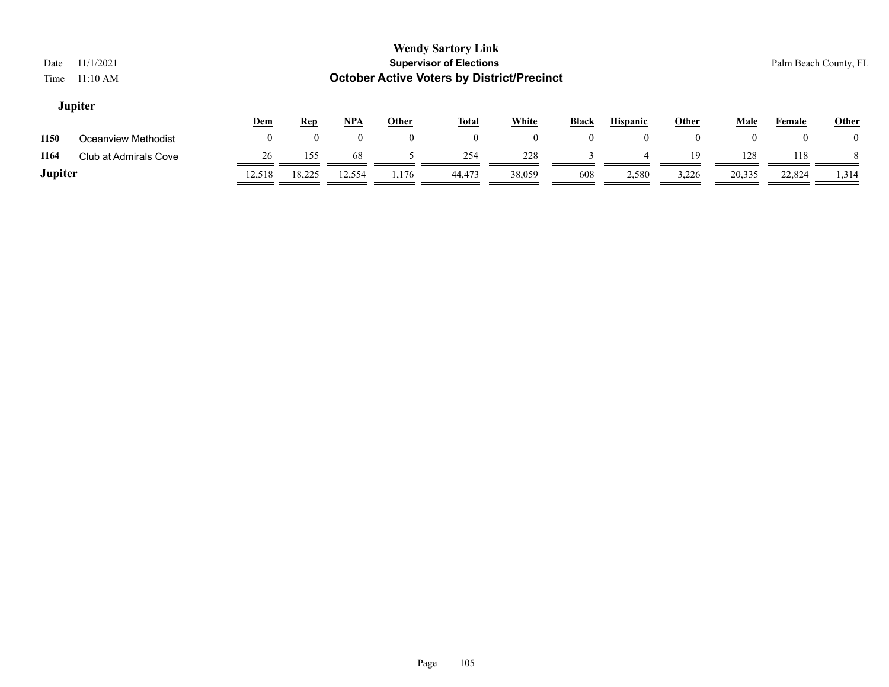|                             |            |            |            |              | <b>Wendy Sartory Link</b>      |              |              |                 |              |             |        |                       |
|-----------------------------|------------|------------|------------|--------------|--------------------------------|--------------|--------------|-----------------|--------------|-------------|--------|-----------------------|
| 11/1/2021<br>Date           |            |            |            |              | <b>Supervisor of Elections</b> |              |              |                 |              |             |        | Palm Beach County, FL |
| 11:10 AM<br>Time            |            |            |            |              |                                |              |              |                 |              |             |        |                       |
| <b>Jupiter</b>              | <u>Dem</u> | <u>Rep</u> | <b>NPA</b> | <u>Other</u> | <u>Total</u>                   | <b>White</b> | <b>Black</b> | <b>Hispanic</b> | <u>Other</u> | <b>Male</b> | Female | <b>Other</b>          |
| 1150<br>Oceanview Methodist | $\theta$   | $\Omega$   | 0          | $\Omega$     |                                | $\Omega$     | $\theta$     | $\theta$        |              | $^{\circ}$  |        | $\theta$              |

**1164** Club at Admirals Cove <u>26 155 68 5 254 228 228 3 4 19 128 128 118</u> 118 **Jupiter** 12,518 18,225 12,554 1,176 44,473 38,059 608 2,580 3,226 20,335 22,824 1,314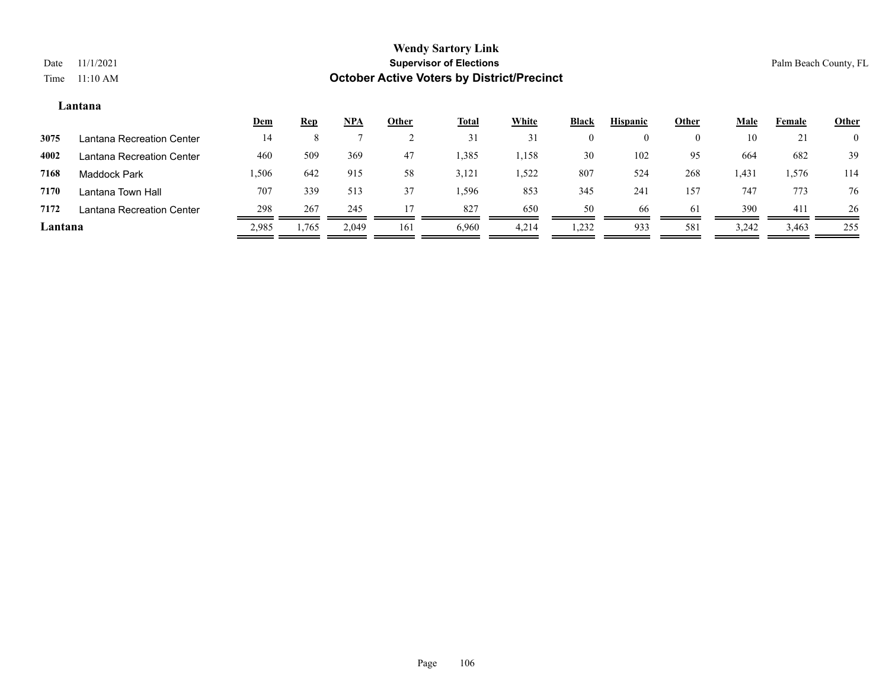## **Lantana**

|         |                           | Dem   | <u>Rep</u> | NPA   | <u>Other</u> | <u>Total</u> | <b>White</b> | <b>Black</b> | <b>Hispanic</b> | Other | <b>Male</b> | Female | <b>Other</b> |
|---------|---------------------------|-------|------------|-------|--------------|--------------|--------------|--------------|-----------------|-------|-------------|--------|--------------|
| 3075    | Lantana Recreation Center | 14    |            |       |              | 31           | 31           | 0            | $\theta$        |       | 10          | 21     | 0            |
| 4002    | Lantana Recreation Center | 460   | 509        | 369   | 47           | 1,385        | 1,158        | 30           | 102             | 95    | 664         | 682    | 39           |
| 7168    | Maddock Park              | 1,506 | 642        | 915   | 58           | 3,121        | 1,522        | 807          | 524             | 268   | 1,431       | 1,576  | 114          |
| 7170    | Lantana Town Hall         | 707   | 339        | 513   | 37           | .596         | 853          | 345          | 24              | 157   | 747         | 773    | 76           |
| 7172    | Lantana Recreation Center | 298   | 267        | 245   |              | 827          | 650          | 50           | 66              | 61    | 390         | 411    | 26           |
| Lantana |                           | 2,985 | 1,765      | 2,049 | 161          | 6,960        | 4,214        | 1,232        | 933             | 581   | 3,242       | 3,463  | 255          |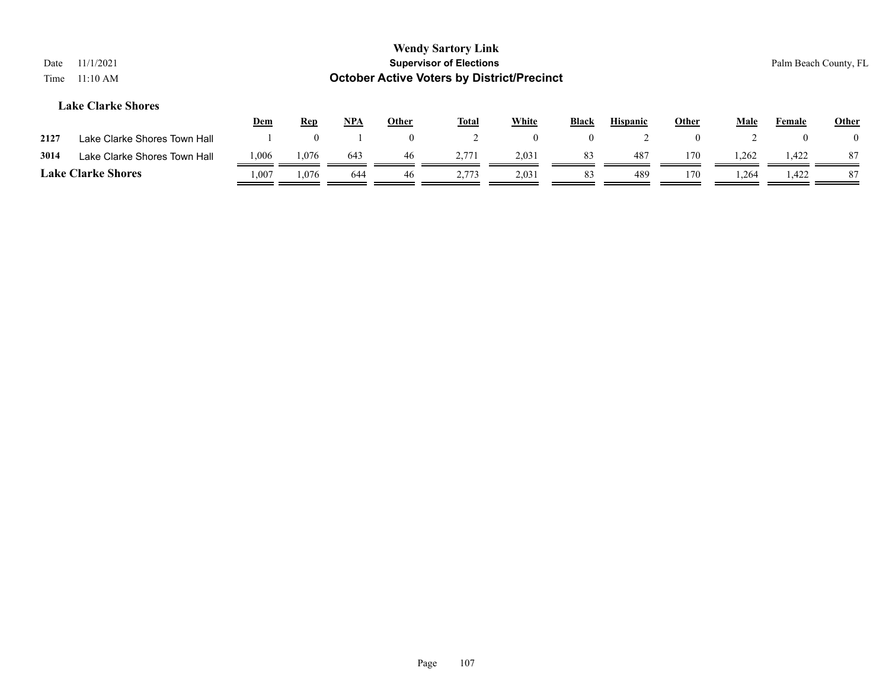| Date<br>Time              | 11/1/2021<br>11:10 AM        |            |            |            |              | <b>Wendy Sartory Link</b><br><b>Supervisor of Elections</b><br><b>October Active Voters by District/Precinct</b> |              |              |                 |              |             |          | Palm Beach County, FL |
|---------------------------|------------------------------|------------|------------|------------|--------------|------------------------------------------------------------------------------------------------------------------|--------------|--------------|-----------------|--------------|-------------|----------|-----------------------|
|                           | <b>Lake Clarke Shores</b>    | <u>Dem</u> | <b>Rep</b> | <u>NPA</u> | <b>Other</b> | <b>Total</b>                                                                                                     | <b>White</b> | <b>Black</b> | <b>Hispanic</b> | <b>Other</b> | <b>Male</b> | Female   | <b>Other</b>          |
| 2127                      | Lake Clarke Shores Town Hall |            |            |            | $\theta$     |                                                                                                                  | $\mathbf{0}$ | $\mathbf{0}$ |                 | $\theta$     |             | $\theta$ | $\theta$              |
| 3014                      | Lake Clarke Shores Town Hall | ,006       | 1,076      | 643        | 46           | 2,771                                                                                                            | 2,031        | 83           | 487             | 170          | 1,262       | 1,422    | 87                    |
| <b>Lake Clarke Shores</b> |                              | 1.007      | 1,076      | 644        | 46           | 2,773                                                                                                            | 2,031        | 83           | 489             | 170          | 1,264       | 1,422    | 87                    |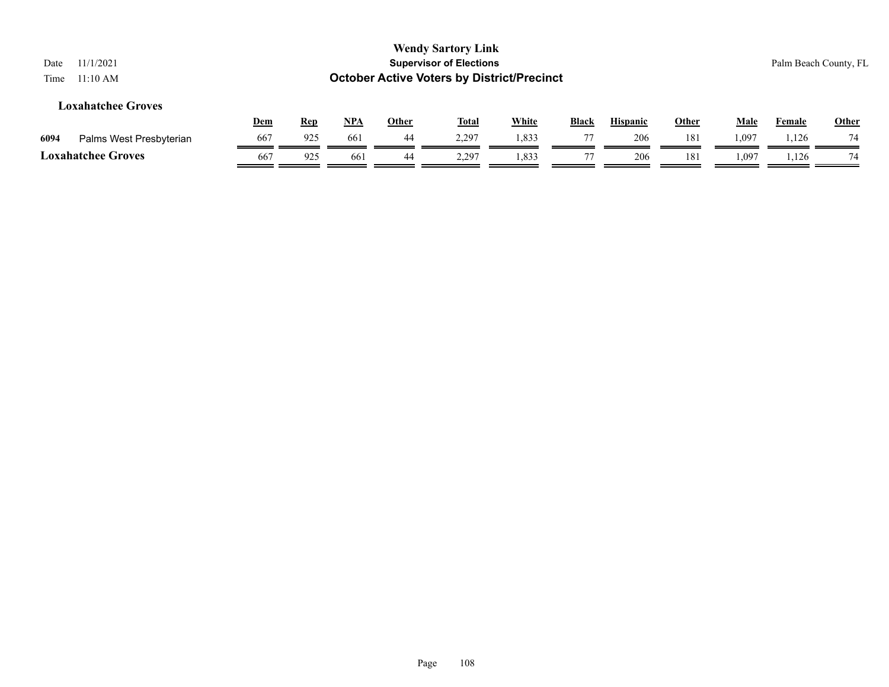| Date<br>Time | 11/1/2021<br>11:10 AM     |            |            |       |              | <b>Wendy Sartory Link</b><br><b>Supervisor of Elections</b><br><b>October Active Voters by District/Precinct</b> |              |       |                 |       |             |               | Palm Beach County, FL |
|--------------|---------------------------|------------|------------|-------|--------------|------------------------------------------------------------------------------------------------------------------|--------------|-------|-----------------|-------|-------------|---------------|-----------------------|
|              | <b>Loxahatchee Groves</b> | <u>Dem</u> | <u>Rep</u> | $NPA$ | <b>Other</b> | <b>Total</b>                                                                                                     | <b>White</b> | Black | <b>Hispanic</b> | Other | <u>Male</u> | <b>Female</b> | <u>Other</u>          |
| 6094         | Palms West Presbyterian   | 667        | 925        | 661   | 44           | 2,297                                                                                                            | 1,833        | 77    | 206             | 181   | 1,097       | 1,126         | 74                    |
|              | <b>Loxahatchee Groves</b> | 667        | 925        | 661   | 44           | 2,297                                                                                                            | 1,833        |       | 206             | 181   | 1,097       | 1,126         | 74                    |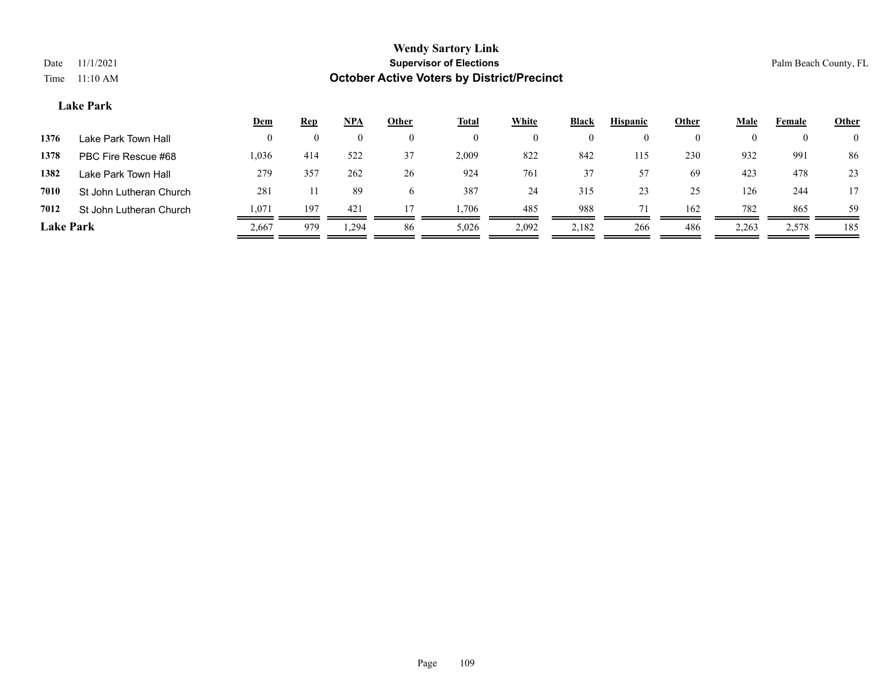# **Lake Park**

|                  |                         | <b>Dem</b>         | <b>Rep</b>         | <b>NPA</b> | <b>Other</b> | <b>Total</b> | White    | <b>Black</b> | <b>Hispanic</b> | Other    | Male  | Female | <b>Other</b>   |
|------------------|-------------------------|--------------------|--------------------|------------|--------------|--------------|----------|--------------|-----------------|----------|-------|--------|----------------|
| 1376             | Lake Park Town Hall     | $\left( 0 \right)$ | $\left( 0 \right)$ | $\theta$   | $\theta$     | $\theta$     | $\theta$ | $\theta$     | $\theta$        | $\theta$ |       |        | $\overline{0}$ |
| 1378             | PBC Fire Rescue #68     | 1,036              | 414                | 522        | 37           | 2,009        | 822      | 842          | 115             | 230      | 932   | 991    | 86             |
| 1382             | Lake Park Town Hall     | 279                | 357                | 262        | 26           | 924          | 761      | 37           | 57              | 69       | 423   | 478    | 23             |
| 7010             | St John Lutheran Church | 281                |                    | 89         | <sub>0</sub> | 387          | 24       | 315          | 23              | 25       | 126   | 244    | 17             |
| 7012             | St John Lutheran Church | 1,071              | 197                | 421        |              | 1.706        | 485      | 988          |                 | 162      | 782   | 865    | 59             |
| <b>Lake Park</b> |                         | 2,667              | 979                | .294       | 86           | 5,026        | 2,092    | 2,182        | 266             | 486      | 2,263 | 2,578  | 185            |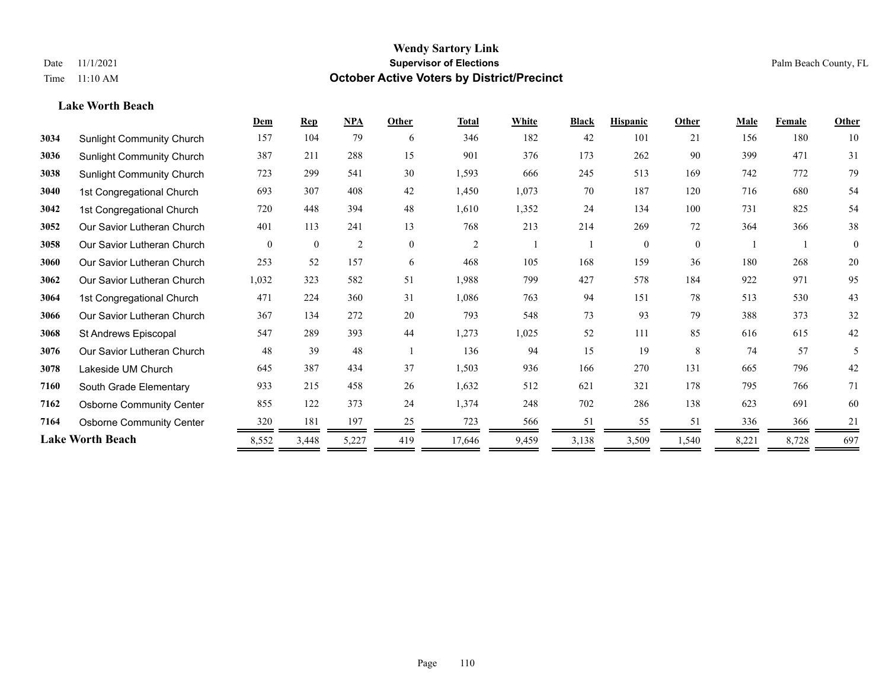**Lake Worth Beach**

## **Wendy Sartory Link** Date 11/1/2021 Palm Beach County, FL Time 11:10 AM **October Active Voters by District/Precinct**

|      |                                  | Dem      | <b>Rep</b>   | NPA   | Other          | <b>Total</b> | White | <b>Black</b> | <b>Hispanic</b> | Other    | <b>Male</b> | Female | Other    |
|------|----------------------------------|----------|--------------|-------|----------------|--------------|-------|--------------|-----------------|----------|-------------|--------|----------|
| 3034 | <b>Sunlight Community Church</b> | 157      | 104          | 79    | 6              | 346          | 182   | 42           | 101             | 21       | 156         | 180    | 10       |
| 3036 | <b>Sunlight Community Church</b> | 387      | 211          | 288   | 15             | 901          | 376   | 173          | 262             | 90       | 399         | 471    | 31       |
| 3038 | <b>Sunlight Community Church</b> | 723      | 299          | 541   | 30             | 1,593        | 666   | 245          | 513             | 169      | 742         | 772    | 79       |
| 3040 | 1st Congregational Church        | 693      | 307          | 408   | 42             | 1,450        | 1,073 | 70           | 187             | 120      | 716         | 680    | 54       |
| 3042 | 1st Congregational Church        | 720      | 448          | 394   | 48             | 1,610        | 1,352 | 24           | 134             | 100      | 731         | 825    | 54       |
| 3052 | Our Savior Lutheran Church       | 401      | 113          | 241   | 13             | 768          | 213   | 214          | 269             | 72       | 364         | 366    | 38       |
| 3058 | Our Savior Lutheran Church       | $\theta$ | $\mathbf{0}$ | 2     | $\overline{0}$ | 2            |       |              | $\theta$        | $\theta$ |             |        | $\theta$ |
| 3060 | Our Savior Lutheran Church       | 253      | 52           | 157   | 6              | 468          | 105   | 168          | 159             | 36       | 180         | 268    | 20       |
| 3062 | Our Savior Lutheran Church       | 1,032    | 323          | 582   | 51             | 1,988        | 799   | 427          | 578             | 184      | 922         | 971    | 95       |
| 3064 | 1st Congregational Church        | 471      | 224          | 360   | 31             | 1,086        | 763   | 94           | 151             | 78       | 513         | 530    | 43       |
| 3066 | Our Savior Lutheran Church       | 367      | 134          | 272   | 20             | 793          | 548   | 73           | 93              | 79       | 388         | 373    | 32       |
| 3068 | St Andrews Episcopal             | 547      | 289          | 393   | 44             | 1,273        | 1,025 | 52           | 111             | 85       | 616         | 615    | 42       |
| 3076 | Our Savior Lutheran Church       | 48       | 39           | 48    |                | 136          | 94    | 15           | 19              | 8        | 74          | 57     |          |
| 3078 | Lakeside UM Church               | 645      | 387          | 434   | 37             | 1,503        | 936   | 166          | 270             | 131      | 665         | 796    | 42       |
| 7160 | South Grade Elementary           | 933      | 215          | 458   | 26             | 1,632        | 512   | 621          | 321             | 178      | 795         | 766    | 71       |
| 7162 | <b>Osborne Community Center</b>  | 855      | 122          | 373   | 24             | 1,374        | 248   | 702          | 286             | 138      | 623         | 691    | 60       |
| 7164 | <b>Osborne Community Center</b>  | 320      | 181          | 197   | 25             | 723          | 566   | 51           | 55              | 51       | 336         | 366    | 21       |
|      | <b>Lake Worth Beach</b>          | 8,552    | 3,448        | 5,227 | 419            | 17,646       | 9,459 | 3,138        | 3,509           | 1,540    | 8,221       | 8,728  | 697      |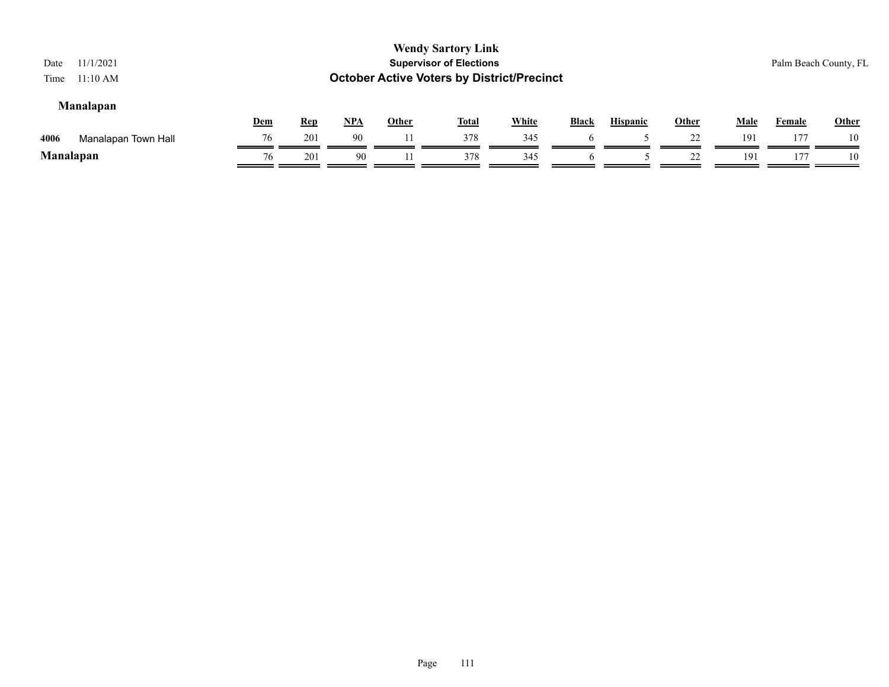| 11/1/2021<br>Date<br>11:10 AM<br>Time |     |            |            |              | <b>Wendy Sartory Link</b><br><b>Supervisor of Elections</b><br><b>October Active Voters by District/Precinct</b> |              |              |                 |              |      |        | Palm Beach County, FL |
|---------------------------------------|-----|------------|------------|--------------|------------------------------------------------------------------------------------------------------------------|--------------|--------------|-----------------|--------------|------|--------|-----------------------|
| <b>Manalapan</b>                      | Dem | <u>Rep</u> | <u>NPA</u> | <b>Other</b> | <u>Total</u>                                                                                                     | <b>White</b> | <b>Black</b> | <b>Hispanic</b> | <b>Other</b> | Male | Female | Other                 |
| 4006<br>Manalapan Town Hall           | 76  | 201        | 90         |              | 378                                                                                                              | 345          |              |                 |              | 191  | 177    | 10                    |
| Manalapan                             | 76  | 201        | 90         |              | 378                                                                                                              | 345          | O            |                 |              | 191  | 177    | 10                    |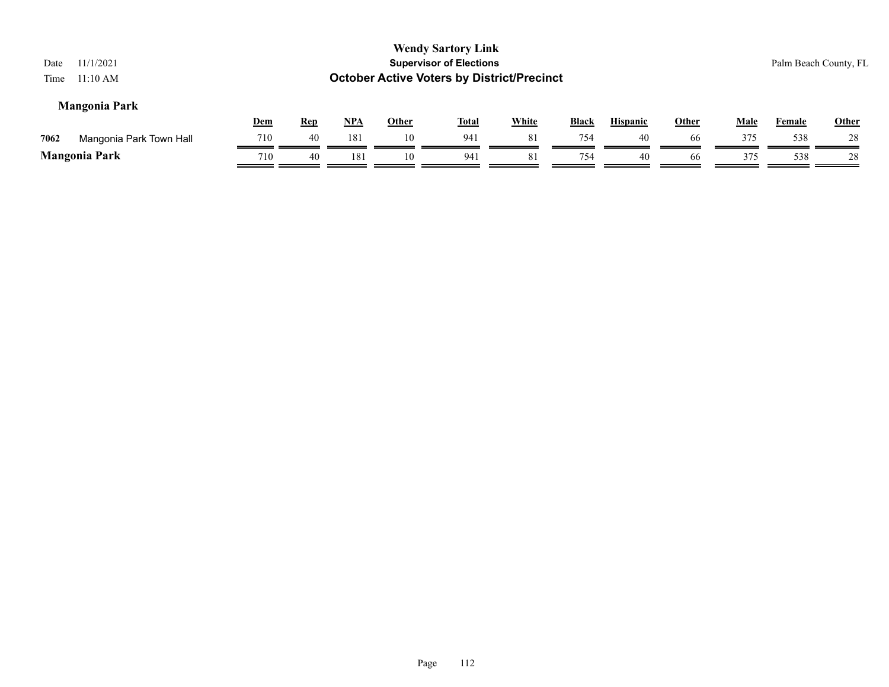| Date<br>Time | 11/1/2021<br>$11:10$ AM |            |            |            |              | <b>Wendy Sartory Link</b><br><b>Supervisor of Elections</b><br><b>October Active Voters by District/Precinct</b> |              |              |                 |              |             |               | Palm Beach County, FL |
|--------------|-------------------------|------------|------------|------------|--------------|------------------------------------------------------------------------------------------------------------------|--------------|--------------|-----------------|--------------|-------------|---------------|-----------------------|
|              | <b>Mangonia Park</b>    | <b>Dem</b> | <b>Rep</b> | <u>NPA</u> | <b>Other</b> | <b>Total</b>                                                                                                     | <b>White</b> | <b>Black</b> | <b>Hispanic</b> | <b>Other</b> | <u>Male</u> | <b>Female</b> | Other                 |
| 7062         | Mangonia Park Town Hall | 710        | 40         | 181        | 10           | 94 <sup>i</sup>                                                                                                  | 81           | 754          | 40              | 66           | 375         | 538           | 28                    |
|              | <b>Mangonia Park</b>    | 710        | 40         | 181        | 10           | 941                                                                                                              | 81           | 754          | 40              | 66           | 375         | 538           | 28                    |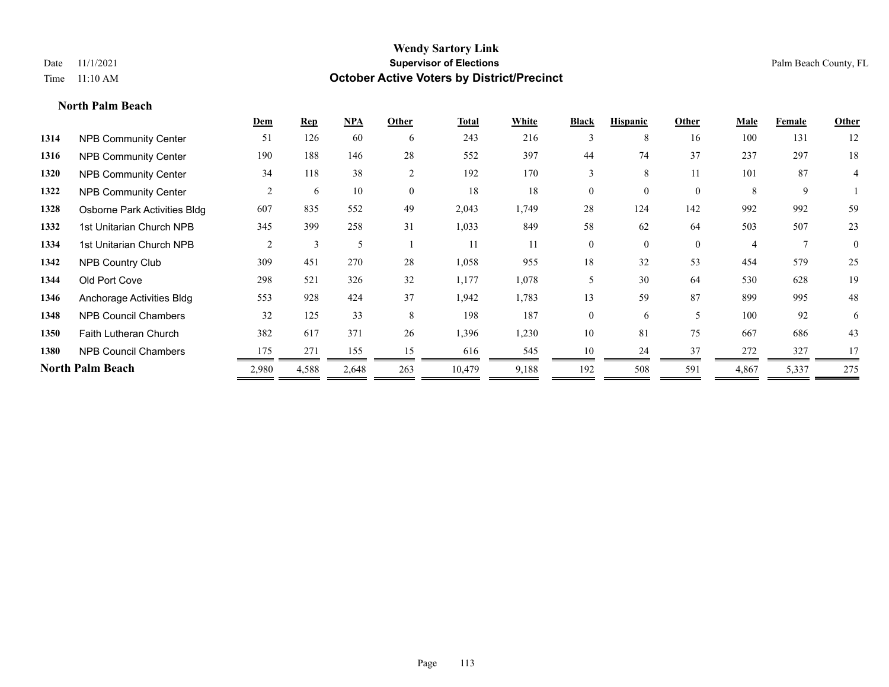## **North Palm Beach**

|      |                              | <b>Dem</b> | <b>Rep</b> | NPA   | Other    | <b>Total</b> | White | <b>Black</b>   | <b>Hispanic</b> | Other    | <b>Male</b>    | Female | <b>Other</b> |
|------|------------------------------|------------|------------|-------|----------|--------------|-------|----------------|-----------------|----------|----------------|--------|--------------|
| 1314 | <b>NPB Community Center</b>  | 51         | 126        | 60    | 6        | 243          | 216   | 3              | 8               | 16       | 100            | 131    | 12           |
| 1316 | <b>NPB Community Center</b>  | 190        | 188        | 146   | 28       | 552          | 397   | 44             | 74              | 37       | 237            | 297    | $18\,$       |
| 1320 | <b>NPB Community Center</b>  | 34         | 118        | 38    | 2        | 192          | 170   | 3              | 8               | 11       | 101            | 87     | 4            |
| 1322 | <b>NPB Community Center</b>  | 2          | 6          | 10    | $\theta$ | 18           | 18    | 0              | $\Omega$        | $\Omega$ | 8              | 9      |              |
| 1328 | Osborne Park Activities Bldg | 607        | 835        | 552   | 49       | 2,043        | 1,749 | 28             | 124             | 142      | 992            | 992    | 59           |
| 1332 | 1st Unitarian Church NPB     | 345        | 399        | 258   | 31       | 1,033        | 849   | 58             | 62              | 64       | 503            | 507    | 23           |
| 1334 | 1st Unitarian Church NPB     | 2          | 3          | 5     |          | 11           | 11    | $\overline{0}$ | $\Omega$        | $\theta$ | $\overline{4}$ |        | $\mathbf{0}$ |
| 1342 | <b>NPB Country Club</b>      | 309        | 451        | 270   | 28       | 1,058        | 955   | 18             | 32              | 53       | 454            | 579    | 25           |
| 1344 | Old Port Cove                | 298        | 521        | 326   | 32       | 1,177        | 1,078 | 5              | 30              | 64       | 530            | 628    | 19           |
| 1346 | Anchorage Activities Bldg    | 553        | 928        | 424   | 37       | 1,942        | 1,783 | 13             | 59              | 87       | 899            | 995    | 48           |
| 1348 | <b>NPB Council Chambers</b>  | 32         | 125        | 33    | 8        | 198          | 187   | $\Omega$       | 6               | 5        | 100            | 92     | 6            |
| 1350 | <b>Faith Lutheran Church</b> | 382        | 617        | 371   | 26       | 1,396        | 1,230 | 10             | 81              | 75       | 667            | 686    | 43           |
| 1380 | <b>NPB Council Chambers</b>  | 175        | 271        | 155   | 15       | 616          | 545   | 10             | 24              | 37       | 272            | 327    | 17           |
|      | <b>North Palm Beach</b>      | 2,980      | 4,588      | 2,648 | 263      | 10,479       | 9,188 | 192            | 508             | 591      | 4,867          | 5,337  | 275          |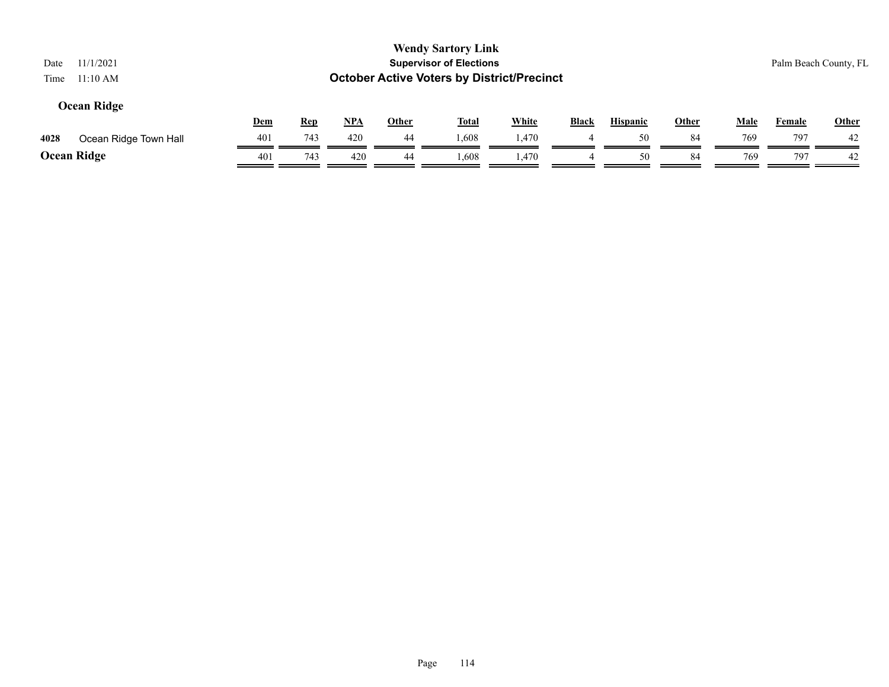| 11/1/2021<br>Date<br>11:10 AM<br>Time |            |            |            |              | <b>Wendy Sartory Link</b><br><b>Supervisor of Elections</b><br><b>October Active Voters by District/Precinct</b> |       |              |                 |              |             |               | Palm Beach County, FL |
|---------------------------------------|------------|------------|------------|--------------|------------------------------------------------------------------------------------------------------------------|-------|--------------|-----------------|--------------|-------------|---------------|-----------------------|
| <b>Ocean Ridge</b>                    | <b>Dem</b> | <b>Rep</b> | <u>NPA</u> | <b>Other</b> | <b>Total</b>                                                                                                     | White | <b>Black</b> | <b>Hispanic</b> | <b>Other</b> | <b>Male</b> | <b>Female</b> | <b>Other</b>          |
| 4028<br>Ocean Ridge Town Hall         | 401        | 743        | 420        | 44           | .608                                                                                                             | 1,470 | 4            | 50              | 84           | 769         | 797           | 42                    |
| <b>Ocean Ridge</b>                    | 401        | 743        | 420        | 44           | 1.608                                                                                                            | 1,470 |              | 50              | 84           | 769         | 797           | 42                    |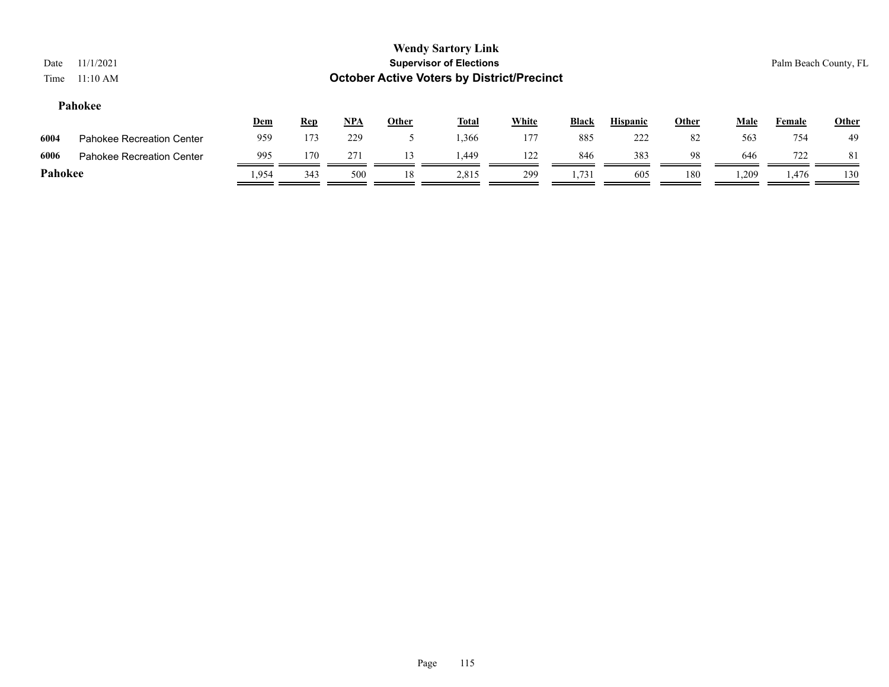| Date<br>Time | 11/1/2021<br>11:10 AM            |       |            |       |              | <b>Wendy Sartory Link</b><br><b>Supervisor of Elections</b><br><b>October Active Voters by District/Precinct</b> |              |       |                 |              |             |        | Palm Beach County, FL |
|--------------|----------------------------------|-------|------------|-------|--------------|------------------------------------------------------------------------------------------------------------------|--------------|-------|-----------------|--------------|-------------|--------|-----------------------|
|              | Pahokee                          | Dem   | <b>Rep</b> | $NPA$ | <b>Other</b> | <u>Total</u>                                                                                                     | <b>White</b> | Black | <b>Hispanic</b> | <b>Other</b> | <u>Male</u> | Female | <b>Other</b>          |
| 6004         | <b>Pahokee Recreation Center</b> | 959   | 173        | 229   |              | 1,366                                                                                                            | 177          | 885   | 222             | 82           | 563         | 754    | 49                    |
| 6006         | <b>Pahokee Recreation Center</b> | 995   | 170        | 271   | 13           | 449.ء                                                                                                            | 122          | 846   | 383             | 98           | 646         | 722    | 81                    |
| Pahokee      |                                  | 1,954 | 343        | 500   | 18           | 2,815                                                                                                            | 299          | 1,731 | 605             | 180          | .209        | 1,476  | 130                   |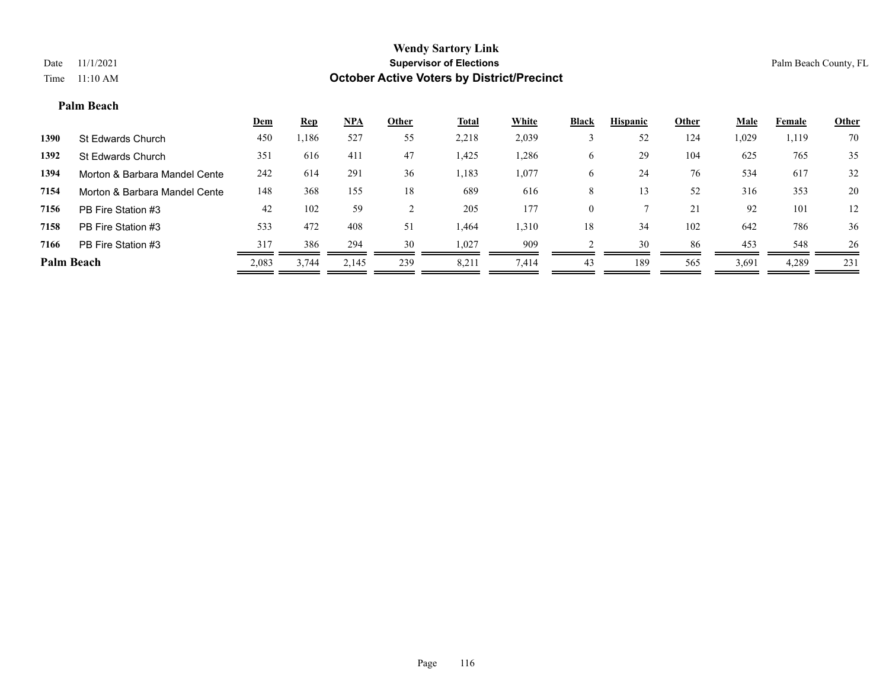#### **Palm Beach**

| 70<br>1,119  |       |     |     |          | White | <b>Total</b> | Other | NPA   | <b>Rep</b> | <b>Dem</b> |                                       |
|--------------|-------|-----|-----|----------|-------|--------------|-------|-------|------------|------------|---------------------------------------|
|              | 1,029 | 124 | 52  |          | 2,039 | 2,218        | 55    | 527   | ,186       | 450        | St Edwards Church<br>1390             |
| 35<br>765    | 625   | 104 | 29  | O        | 1,286 | 1,425        | 47    | 411   | 616        | 351        | 1392<br>St Edwards Church             |
| 32<br>617    | 534   | 76  | 24  | O        | 1,077 | 1,183        | 36    | 291   | 614        | 242        | 1394<br>Morton & Barbara Mandel Cente |
| 20<br>353    | 316   | 52  |     | 8        | 616   | 689          | 18    | 155   | 368        | 148        | 7154<br>Morton & Barbara Mandel Cente |
| 12<br>101    | 92    | 21  |     | $\theta$ | 177   | 205          |       | 59    | 102        | 42         | 7156<br>PB Fire Station #3            |
| 36<br>786    | 642   | 102 | 34  | 18       | 1,310 | 1,464        | 51    | 408   | 472        | 533        | 7158<br>PB Fire Station #3            |
| 26<br>548    | 453   | 86  | 30  |          | 909   | 1,027        | 30    | 294   | 386        | 317        | PB Fire Station #3<br>7166            |
| 4,289<br>231 | 3,691 | 565 | 189 | 43       | 7.414 | 8,211        | 239   | 2,145 | 3,744      | 2,083      | <b>Palm Beach</b>                     |
|              |       |     |     |          |       |              |       |       |            |            |                                       |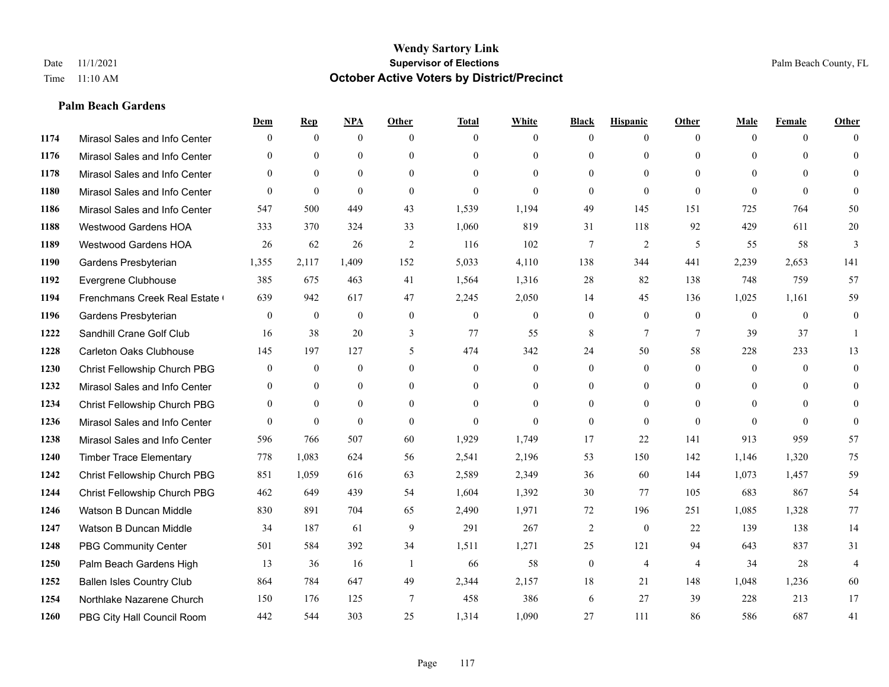#### **Palm Beach Gardens**

|      |                                  | Dem              | <b>Rep</b>       | NPA              | <b>Other</b>   | <b>Total</b>     | <b>White</b>     | <b>Black</b>     | <b>Hispanic</b> | <b>Other</b>    | <b>Male</b>    | <b>Female</b> | <b>Other</b>   |
|------|----------------------------------|------------------|------------------|------------------|----------------|------------------|------------------|------------------|-----------------|-----------------|----------------|---------------|----------------|
| 1174 | Mirasol Sales and Info Center    | $\Omega$         | $\mathbf{0}$     | $\mathbf{0}$     | $\Omega$       | $\Omega$         | $\overline{0}$   | $\mathbf{0}$     | $\mathbf{0}$    | $\theta$        | $\theta$       | $\theta$      | $\Omega$       |
| 1176 | Mirasol Sales and Info Center    | $\theta$         | $\theta$         | $\theta$         | $\Omega$       | $\Omega$         | $\overline{0}$   | $\theta$         | $\mathbf{0}$    | $\Omega$        | $\theta$       | $\Omega$      | $\theta$       |
| 1178 | Mirasol Sales and Info Center    | $\Omega$         | $\theta$         | $\theta$         | $\Omega$       | $\Omega$         | $\Omega$         | $\Omega$         | $\Omega$        | $\Omega$        | $\Omega$       | $\Omega$      | $\Omega$       |
| 1180 | Mirasol Sales and Info Center    | $\mathbf{0}$     | $\mathbf{0}$     | $\theta$         | $\mathbf{0}$   | $\theta$         | $\overline{0}$   | $\mathbf{0}$     | $\mathbf{0}$    | $\theta$        | $\theta$       | $\theta$      | $\Omega$       |
| 1186 | Mirasol Sales and Info Center    | 547              | 500              | 449              | 43             | 1,539            | 1,194            | 49               | 145             | 151             | 725            | 764           | 50             |
| 1188 | <b>Westwood Gardens HOA</b>      | 333              | 370              | 324              | 33             | 1,060            | 819              | 31               | 118             | 92              | 429            | 611           | 20             |
| 1189 | Westwood Gardens HOA             | 26               | 62               | 26               | $\overline{2}$ | 116              | 102              | $\tau$           | $\overline{2}$  | 5               | 55             | 58            | 3              |
| 1190 | Gardens Presbyterian             | 1,355            | 2,117            | 1,409            | 152            | 5,033            | 4,110            | 138              | 344             | 441             | 2,239          | 2,653         | 141            |
| 1192 | Evergrene Clubhouse              | 385              | 675              | 463              | 41             | 1,564            | 1,316            | 28               | 82              | 138             | 748            | 759           | 57             |
| 1194 | Frenchmans Creek Real Estate     | 639              | 942              | 617              | 47             | 2,245            | 2,050            | 14               | 45              | 136             | 1,025          | 1,161         | 59             |
| 1196 | Gardens Presbyterian             | $\overline{0}$   | $\mathbf{0}$     | $\mathbf{0}$     | $\mathbf{0}$   | $\mathbf{0}$     | $\overline{0}$   | $\mathbf{0}$     | $\mathbf{0}$    | $\overline{0}$  | $\overline{0}$ | $\theta$      | $\mathbf{0}$   |
| 1222 | Sandhill Crane Golf Club         | 16               | 38               | 20               | 3              | 77               | 55               | 8                | $7\phantom{.0}$ | $7\phantom{.0}$ | 39             | 37            | $\mathbf{1}$   |
| 1228 | <b>Carleton Oaks Clubhouse</b>   | 145              | 197              | 127              | 5              | 474              | 342              | 24               | 50              | 58              | 228            | 233           | 13             |
| 1230 | Christ Fellowship Church PBG     | $\boldsymbol{0}$ | $\boldsymbol{0}$ | $\boldsymbol{0}$ | $\mathbf{0}$   | $\boldsymbol{0}$ | $\boldsymbol{0}$ | $\boldsymbol{0}$ | $\overline{0}$  | $\overline{0}$  | $\mathbf{0}$   | $\mathbf{0}$  | $\mathbf{0}$   |
| 1232 | Mirasol Sales and Info Center    | $\mathbf{0}$     | $\mathbf{0}$     | $\mathbf{0}$     | $\theta$       | $\Omega$         | $\overline{0}$   | $\mathbf{0}$     | $\mathbf{0}$    | $\theta$        | $\theta$       | $\theta$      | $\mathbf{0}$   |
| 1234 | Christ Fellowship Church PBG     | $\theta$         | $\theta$         | $\theta$         | $\Omega$       | $\Omega$         | $\theta$         | $\theta$         | $\theta$        | $\Omega$        | $\theta$       | $\Omega$      | $\theta$       |
| 1236 | Mirasol Sales and Info Center    | $\theta$         | $\mathbf{0}$     | $\theta$         | $\theta$       | $\theta$         | $\Omega$         | $\mathbf{0}$     | $\theta$        | $\theta$        | $\Omega$       | $\theta$      | $\theta$       |
| 1238 | Mirasol Sales and Info Center    | 596              | 766              | 507              | 60             | 1,929            | 1,749            | 17               | 22              | 141             | 913            | 959           | 57             |
| 1240 | <b>Timber Trace Elementary</b>   | 778              | 1,083            | 624              | 56             | 2,541            | 2,196            | 53               | 150             | 142             | 1,146          | 1,320         | 75             |
| 1242 | Christ Fellowship Church PBG     | 851              | 1,059            | 616              | 63             | 2,589            | 2,349            | 36               | 60              | 144             | 1,073          | 1,457         | 59             |
| 1244 | Christ Fellowship Church PBG     | 462              | 649              | 439              | 54             | 1,604            | 1,392            | 30               | 77              | 105             | 683            | 867           | 54             |
| 1246 | Watson B Duncan Middle           | 830              | 891              | 704              | 65             | 2,490            | 1,971            | 72               | 196             | 251             | 1,085          | 1,328         | 77             |
| 1247 | Watson B Duncan Middle           | 34               | 187              | 61               | 9              | 291              | 267              | 2                | $\mathbf{0}$    | 22              | 139            | 138           | 14             |
| 1248 | <b>PBG Community Center</b>      | 501              | 584              | 392              | 34             | 1,511            | 1,271            | 25               | 121             | 94              | 643            | 837           | 31             |
| 1250 | Palm Beach Gardens High          | 13               | 36               | 16               | -1             | 66               | 58               | $\boldsymbol{0}$ | $\overline{4}$  | $\overline{4}$  | 34             | 28            | $\overline{4}$ |
| 1252 | <b>Ballen Isles Country Club</b> | 864              | 784              | 647              | 49             | 2,344            | 2,157            | 18               | 21              | 148             | 1,048          | 1,236         | 60             |
| 1254 | Northlake Nazarene Church        | 150              | 176              | 125              | 7              | 458              | 386              | 6                | 27              | 39              | 228            | 213           | 17             |
| 1260 | PBG City Hall Council Room       | 442              | 544              | 303              | 25             | 1,314            | 1,090            | 27               | 111             | 86              | 586            | 687           | 41             |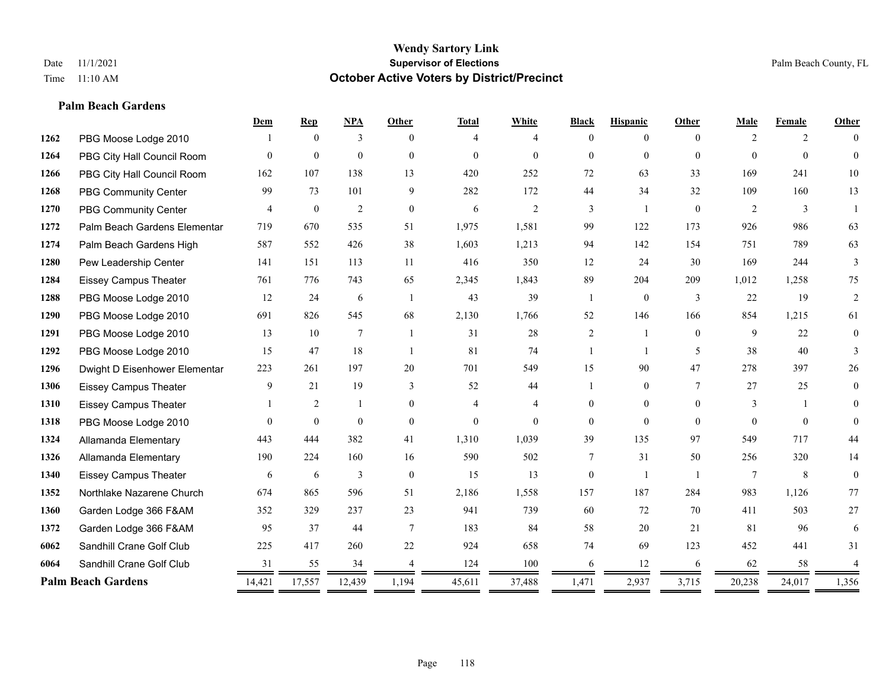**Palm Beach Gardens**

#### **Wendy Sartory Link** Date 11/1/2021 **Supervisor of Elections** Palm Beach County, FL Time 11:10 AM **October Active Voters by District/Precinct**

**Dem Rep NPA Other Total White Black Hispanic Other Male Female Other**

# PBG Moose Lodge 2010 1 0 3 0 4 4 0 0 0 2 2 0 PBG City Hall Council Room 0 0 0 0 0 0 0 0 0 0 0 0 PBG City Hall Council Room 162 107 138 13 420 252 72 63 33 169 241 10 PBG Community Center 99 73 101 9 282 172 44 34 32 109 160 13 PBG Community Center  $\begin{array}{ccccccccccccc}\n4 & 0 & 2 & 0 & 6 & 2 & 3 & 1 & 0 & 2 & 3 & 1\n\end{array}$  Palm Beach Gardens Elementary 719 670 535 51 1,975 1,581 99 122 173 926 986 63 Palm Beach Gardens High 587 552 426 38 1,603 1,213 94 142 154 751 789 63 Pew Leadership Center 141 151 113 11 416 350 12 24 30 169 244 3 Eissey Campus Theater 761 776 743 65 2,345 1,843 89 204 209 1,012 1,258 75 PBG Moose Lodge 2010 12 24 6 1 43 39 1 0 3 22 19 2 PBG Moose Lodge 2010 691 826 545 68 2,130 1,766 52 146 166 854 1,215 61 PBG Moose Lodge 2010 13 10 7 1 31 28 2 1 0 9 22 0 PBG Moose Lodge 2010 15 47 18 1 81 74 1 1 5 38 40 3 Dwight D Eisenhower Elementar 223 261 197 20 701 549 15 90 47 278 397 26 Eissey Campus Theater **9** 21 19 3 52 44 1 0 7 27 25 0 Eissey Campus Theater 1 2 1 0 4 4 0 0 0 3 1 0 PBG Moose Lodge 2010 0 0 0 0 0 0 0 0 0 0 0 0 Allamanda Elementary 443 444 382 41 1,310 1,039 39 135 97 549 717 44 Allamanda Elementary 190 224 160 16 590 502 7 31 50 256 320 14 Eissey Campus Theater 6 6 6 3 0 15 13 0 1 1 7 8 0 Northlake Nazarene Church 674 865 596 51 2,186 1,558 157 187 284 983 1,126 77 Garden Lodge 366 F&AM 352 329 237 23 941 739 60 72 70 411 503 27 Garden Lodge 366 F&AM 95 37 44 7 183 84 58 20 21 81 96 6 Sandhill Crane Golf Club 225 417 260 22 924 658 74 69 123 452 441 31 **6064** Sandhill Crane Golf Club  $\frac{31}{2} \frac{55}{2} \frac{34}{2} \frac{4}{2} \frac{4}{2} \frac{124}{2} \frac{100}{2} \frac{6}{2} \frac{6}{2} \frac{12}{2} \frac{6}{2} \frac{62}{2} \frac{58}{2} \frac{4}{2} \frac{4}{2} \frac{1}{2} \frac{1}{2} \frac{1}{2} \frac{1}{2} \frac{1}{2} \frac{1}{2} \frac{1}{2} \frac{1}{2} \frac{1}{2} \frac{1}{2} \frac{$

**Palm Beach Gardens** 14,421 17,557 12,439 1,194 45,611 37,488 1,471 2,937 3,715 20,238 24,017 1,356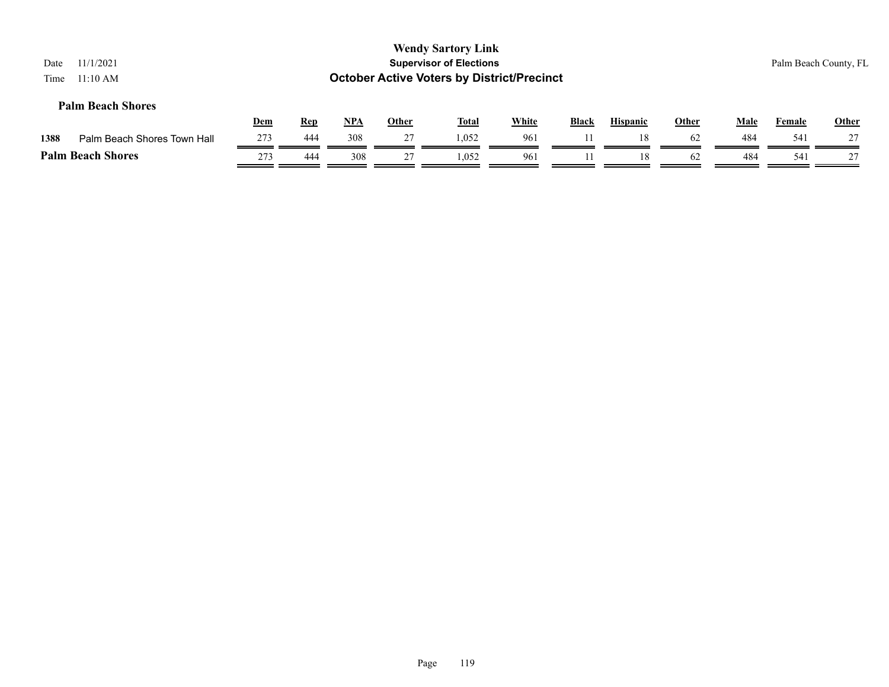| 11/1/2021<br>Date<br>11:10 AM<br>Time |            |            |       |       | <b>Wendy Sartory Link</b><br><b>Supervisor of Elections</b><br><b>October Active Voters by District/Precinct</b> |       |       |                 |       |      |        | Palm Beach County, FL |
|---------------------------------------|------------|------------|-------|-------|------------------------------------------------------------------------------------------------------------------|-------|-------|-----------------|-------|------|--------|-----------------------|
| <b>Palm Beach Shores</b>              | <b>Dem</b> | <b>Rep</b> | $NPA$ | Other | <u>Total</u>                                                                                                     | White | Black | <b>Hispanic</b> | Other | Male | Female | <b>Other</b>          |
| 1388<br>Palm Beach Shores Town Hall   | 273        | 444        | 308   | 27    | 1.052                                                                                                            | 961   |       | 18              | 62    | 484  | 54     | 27                    |
| <b>Palm Beach Shores</b>              | 273        | 444        | 308   |       | 1,052                                                                                                            | 961   |       | 18              | 62    | 484  | 541    |                       |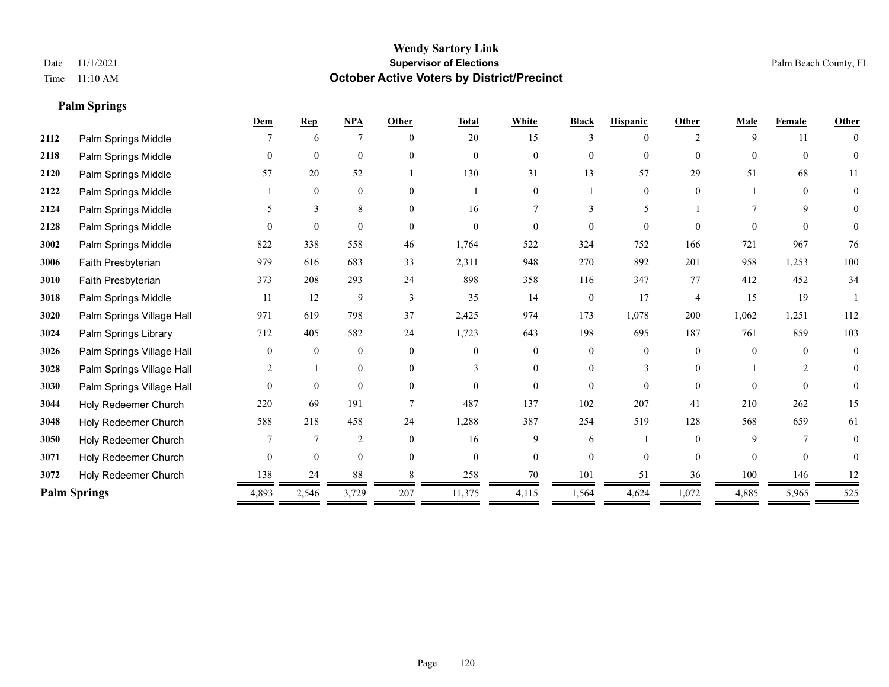# **Palm Springs**

|      |                           | Dem      | <b>Rep</b>   | <b>NPA</b>     | Other    | <b>Total</b> | <b>White</b>   | <b>Black</b>   | <b>Hispanic</b>          | Other          | Male     | Female   | Other    |
|------|---------------------------|----------|--------------|----------------|----------|--------------|----------------|----------------|--------------------------|----------------|----------|----------|----------|
| 2112 | Palm Springs Middle       |          | 6            | $\tau$         | $\Omega$ | 20           | 15             |                |                          |                | 9        | 11       |          |
| 2118 | Palm Springs Middle       | 0        | $\theta$     | $\theta$       | 0        | $\Omega$     | $\theta$       | 0              | $\theta$                 | $\Omega$       | $\Omega$ | $\theta$ | 0        |
| 2120 | Palm Springs Middle       | 57       | 20           | 52             |          | 130          | 31             | 13             | 57                       | 29             | 51       | 68       | 11       |
| 2122 | Palm Springs Middle       |          | $\mathbf{0}$ | $\mathbf{0}$   | $\Omega$ |              | $\Omega$       |                | $\theta$                 | $\Omega$       |          | $\theta$ | 0        |
| 2124 | Palm Springs Middle       |          | 3            | 8              | $\Omega$ | 16           |                |                | $\overline{\phantom{0}}$ |                |          | 9        | $\Omega$ |
| 2128 | Palm Springs Middle       | $\Omega$ | $\mathbf{0}$ | $\mathbf{0}$   | $\Omega$ | $\theta$     | $\Omega$       | 0              | $\Omega$                 | $\Omega$       | $\Omega$ | $\Omega$ | 0        |
| 3002 | Palm Springs Middle       | 822      | 338          | 558            | 46       | 1,764        | 522            | 324            | 752                      | 166            | 721      | 967      | 76       |
| 3006 | Faith Presbyterian        | 979      | 616          | 683            | 33       | 2,311        | 948            | 270            | 892                      | 201            | 958      | 1,253    | $100\,$  |
| 3010 | Faith Presbyterian        | 373      | 208          | 293            | 24       | 898          | 358            | 116            | 347                      | 77             | 412      | 452      | 34       |
| 3018 | Palm Springs Middle       | 11       | 12           | 9              | 3        | 35           | 14             | $\overline{0}$ | 17                       | $\overline{4}$ | 15       | 19       |          |
| 3020 | Palm Springs Village Hall | 971      | 619          | 798            | 37       | 2,425        | 974            | 173            | 1,078                    | 200            | 1,062    | 1,251    | 112      |
| 3024 | Palm Springs Library      | 712      | 405          | 582            | 24       | 1,723        | 643            | 198            | 695                      | 187            | 761      | 859      | 103      |
| 3026 | Palm Springs Village Hall | $\Omega$ | $\theta$     | $\mathbf{0}$   | $\theta$ | $\theta$     | $\overline{0}$ | $\Omega$       | $\Omega$                 | $\theta$       | $\Omega$ | $\theta$ | $\theta$ |
| 3028 | Palm Springs Village Hall | 2        |              | $\mathbf{0}$   | $\Omega$ |              | 0              |                | 3                        |                |          |          | 0        |
| 3030 | Palm Springs Village Hall | $\theta$ | $\mathbf{0}$ | $\mathbf{0}$   | $\Omega$ | $\Omega$     | $\theta$       | $\theta$       | $\theta$                 | $\Omega$       | $\Omega$ | $\Omega$ |          |
| 3044 | Holy Redeemer Church      | 220      | 69           | 191            |          | 487          | 137            | 102            | 207                      | 41             | 210      | 262      | 15       |
| 3048 | Holy Redeemer Church      | 588      | 218          | 458            | 24       | 1,288        | 387            | 254            | 519                      | 128            | 568      | 659      | 61       |
| 3050 | Holy Redeemer Church      |          | 7            | $\overline{c}$ | $\theta$ | 16           | 9              | 6              |                          | $\Omega$       | 9        |          | 0        |
| 3071 | Holy Redeemer Church      | $\theta$ | $\theta$     | $\theta$       | 0        | $\Omega$     | $\theta$       | 0              | 0                        | $\Omega$       | 0        | $\Omega$ | 0        |
| 3072 | Holy Redeemer Church      | 138      | 24           | 88             |          | 258          | 70             | 101            | 51                       | 36             | 100      | 146      | 12       |
|      | <b>Palm Springs</b>       | 4,893    | 2,546        | 3,729          | 207      | 11,375       | 4,115          | 1,564          | 4,624                    | 1,072          | 4,885    | 5,965    | 525      |
|      |                           |          |              |                |          |              |                |                |                          |                |          |          |          |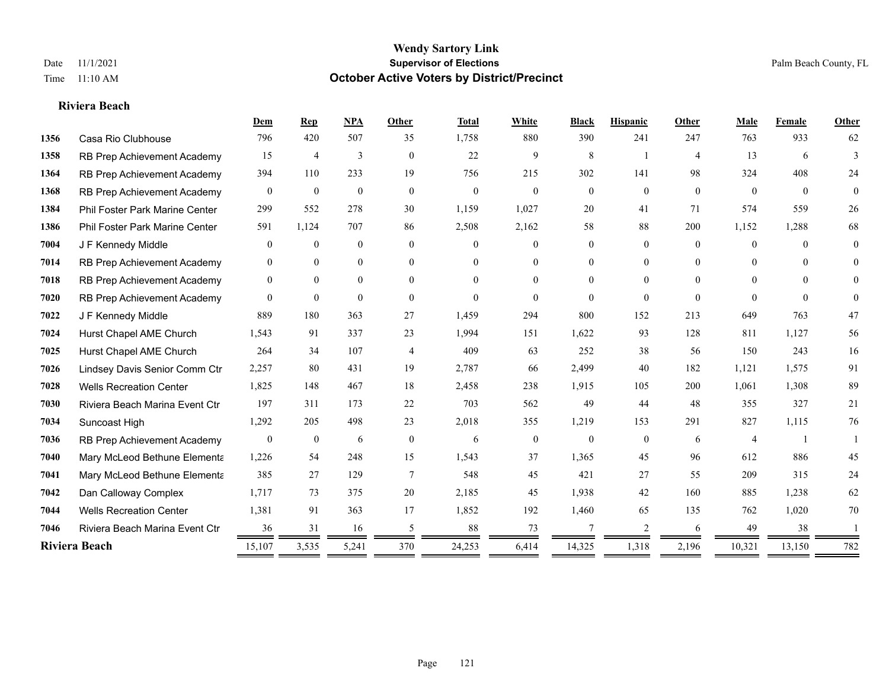#### **Riviera Beach**

|      |                                | Dem            | <b>Rep</b>       | <b>NPA</b>     | Other          | <b>Total</b> | White          | <b>Black</b>   | <b>Hispanic</b> | Other          | Male           | Female   | Other          |
|------|--------------------------------|----------------|------------------|----------------|----------------|--------------|----------------|----------------|-----------------|----------------|----------------|----------|----------------|
| 1356 | Casa Rio Clubhouse             | 796            | 420              | 507            | 35             | 1,758        | 880            | 390            | 241             | 247            | 763            | 933      | 62             |
| 1358 | RB Prep Achievement Academy    | 15             | $\overline{4}$   | 3              | $\overline{0}$ | 22           | 9              | 8              | -1              | $\overline{4}$ | 13             | 6        | 3              |
| 1364 | RB Prep Achievement Academy    | 394            | 110              | 233            | 19             | 756          | 215            | 302            | 141             | 98             | 324            | 408      | 24             |
| 1368 | RB Prep Achievement Academy    | $\overline{0}$ | $\mathbf{0}$     | $\mathbf{0}$   | $\overline{0}$ | $\mathbf{0}$ | $\mathbf{0}$   | $\overline{0}$ | $\overline{0}$  | $\mathbf{0}$   | $\overline{0}$ | $\theta$ | $\overline{0}$ |
| 1384 | Phil Foster Park Marine Center | 299            | 552              | 278            | 30             | 1,159        | 1,027          | 20             | 41              | 71             | 574            | 559      | 26             |
| 1386 | Phil Foster Park Marine Center | 591            | 1,124            | 707            | 86             | 2,508        | 2,162          | 58             | 88              | 200            | 1,152          | 1,288    | 68             |
| 7004 | J F Kennedy Middle             | $\overline{0}$ | $\mathbf{0}$     | $\mathbf{0}$   | $\theta$       | $\Omega$     | $\overline{0}$ | $\overline{0}$ | $\overline{0}$  | $\Omega$       | $\overline{0}$ | $\theta$ | $\mathbf{0}$   |
| 7014 | RB Prep Achievement Academy    | $\theta$       | $\mathbf{0}$     | $\mathbf{0}$   | $\theta$       | $\Omega$     | $\overline{0}$ | $\theta$       | $\overline{0}$  | $\Omega$       | $\theta$       | $\Omega$ | $\theta$       |
| 7018 | RB Prep Achievement Academy    | $\mathbf{0}$   | $\mathbf{0}$     | $\overline{0}$ | $\theta$       | $\Omega$     | $\overline{0}$ | $\Omega$       | $\overline{0}$  | $\Omega$       | $\Omega$       | $\Omega$ | $\Omega$       |
| 7020 | RB Prep Achievement Academy    | $\theta$       | $\mathbf{0}$     | $\theta$       | $\theta$       | $\Omega$     | $\Omega$       | $\theta$       | $\Omega$        | $\theta$       | $\Omega$       | $\theta$ | $\theta$       |
| 7022 | J F Kennedy Middle             | 889            | 180              | 363            | 27             | 1,459        | 294            | 800            | 152             | 213            | 649            | 763      | 47             |
| 7024 | Hurst Chapel AME Church        | 1,543          | 91               | 337            | 23             | 1,994        | 151            | 1,622          | 93              | 128            | 811            | 1,127    | 56             |
| 7025 | Hurst Chapel AME Church        | 264            | 34               | 107            | $\overline{4}$ | 409          | 63             | 252            | 38              | 56             | 150            | 243      | 16             |
| 7026 | Lindsey Davis Senior Comm Ctr  | 2,257          | 80               | 431            | 19             | 2,787        | 66             | 2,499          | 40              | 182            | 1,121          | 1,575    | 91             |
| 7028 | <b>Wells Recreation Center</b> | 1,825          | 148              | 467            | 18             | 2,458        | 238            | 1,915          | 105             | 200            | 1,061          | 1,308    | 89             |
| 7030 | Riviera Beach Marina Event Ctr | 197            | 311              | 173            | 22             | 703          | 562            | 49             | 44              | 48             | 355            | 327      | 21             |
| 7034 | Suncoast High                  | 1,292          | 205              | 498            | 23             | 2,018        | 355            | 1,219          | 153             | 291            | 827            | 1,115    | 76             |
| 7036 | RB Prep Achievement Academy    | $\mathbf{0}$   | $\boldsymbol{0}$ | 6              | $\mathbf{0}$   | 6            | $\mathbf{0}$   | $\mathbf{0}$   | $\mathbf{0}$    | 6              | $\overline{4}$ |          |                |
| 7040 | Mary McLeod Bethune Elementa   | 1,226          | 54               | 248            | 15             | 1,543        | 37             | 1,365          | 45              | 96             | 612            | 886      | 45             |
| 7041 | Mary McLeod Bethune Elementa   | 385            | 27               | 129            | $\overline{7}$ | 548          | 45             | 421            | 27              | 55             | 209            | 315      | 24             |
| 7042 | Dan Calloway Complex           | 1,717          | 73               | 375            | 20             | 2,185        | 45             | 1,938          | 42              | 160            | 885            | 1,238    | 62             |
| 7044 | <b>Wells Recreation Center</b> | 1,381          | 91               | 363            | 17             | 1,852        | 192            | 1,460          | 65              | 135            | 762            | 1,020    | 70             |
| 7046 | Riviera Beach Marina Event Ctr | 36             | 31               | 16             | 5              | 88           | 73             | 7              | 2               | 6              | 49             | 38       |                |
|      | Riviera Beach                  | 15,107         | 3,535            | 5,241          | 370            | 24,253       | 6,414          | 14,325         | 1,318           | 2,196          | 10,321         | 13,150   | 782            |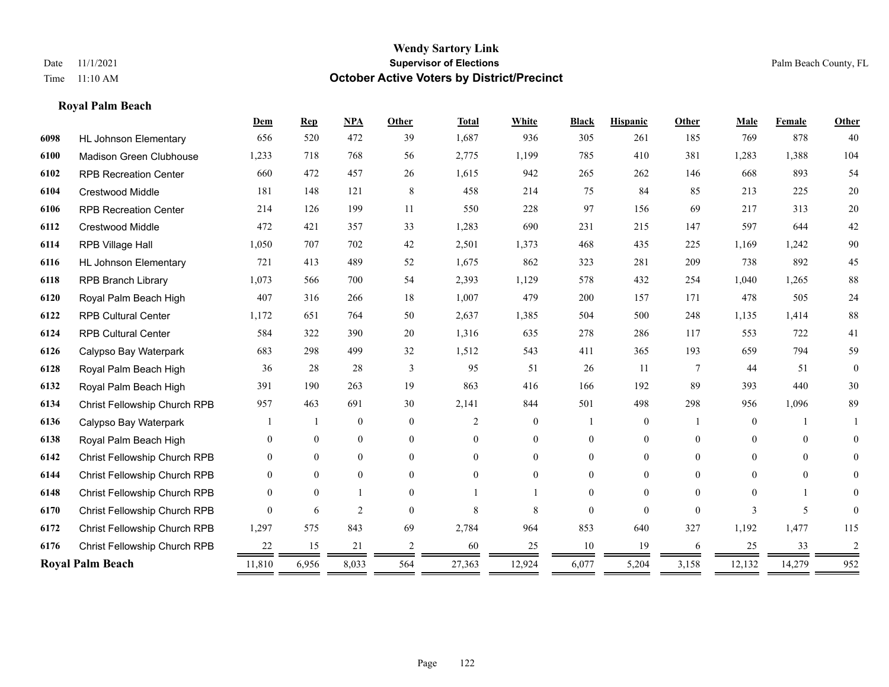# **Royal Palm Beach**

|      |                              | Dem      | <b>Rep</b>     | NPA            | <b>Other</b>   | <b>Total</b>   | White          | <b>Black</b>   | <b>Hispanic</b> | <b>Other</b> | Male           | Female   | Other          |
|------|------------------------------|----------|----------------|----------------|----------------|----------------|----------------|----------------|-----------------|--------------|----------------|----------|----------------|
| 6098 | <b>HL Johnson Elementary</b> | 656      | 520            | 472            | 39             | 1,687          | 936            | 305            | 261             | 185          | 769            | 878      | 40             |
| 6100 | Madison Green Clubhouse      | 1,233    | 718            | 768            | 56             | 2,775          | 1,199          | 785            | 410             | 381          | 1,283          | 1,388    | 104            |
| 6102 | <b>RPB Recreation Center</b> | 660      | 472            | 457            | 26             | 1,615          | 942            | 265            | 262             | 146          | 668            | 893      | 54             |
| 6104 | <b>Crestwood Middle</b>      | 181      | 148            | 121            | 8              | 458            | 214            | 75             | 84              | 85           | 213            | 225      | $20\,$         |
| 6106 | <b>RPB Recreation Center</b> | 214      | 126            | 199            | 11             | 550            | 228            | 97             | 156             | 69           | 217            | 313      | 20             |
| 6112 | Crestwood Middle             | 472      | 421            | 357            | 33             | 1,283          | 690            | 231            | 215             | 147          | 597            | 644      | $42\,$         |
| 6114 | RPB Village Hall             | 1,050    | 707            | 702            | 42             | 2,501          | 1,373          | 468            | 435             | 225          | 1,169          | 1,242    | $90\,$         |
| 6116 | <b>HL Johnson Elementary</b> | 721      | 413            | 489            | 52             | 1,675          | 862            | 323            | 281             | 209          | 738            | 892      | 45             |
| 6118 | <b>RPB Branch Library</b>    | 1,073    | 566            | 700            | 54             | 2,393          | 1,129          | 578            | 432             | 254          | 1,040          | 1,265    | 88             |
| 6120 | Royal Palm Beach High        | 407      | 316            | 266            | 18             | 1,007          | 479            | 200            | 157             | 171          | 478            | 505      | 24             |
| 6122 | <b>RPB Cultural Center</b>   | 1,172    | 651            | 764            | 50             | 2,637          | 1,385          | 504            | 500             | 248          | 1,135          | 1,414    | $88\,$         |
| 6124 | <b>RPB Cultural Center</b>   | 584      | 322            | 390            | 20             | 1,316          | 635            | 278            | 286             | 117          | 553            | 722      | 41             |
| 6126 | Calypso Bay Waterpark        | 683      | 298            | 499            | 32             | 1,512          | 543            | 411            | 365             | 193          | 659            | 794      | 59             |
| 6128 | Royal Palm Beach High        | 36       | 28             | 28             | 3              | 95             | 51             | 26             | 11              | 7            | 44             | 51       | $\theta$       |
| 6132 | Royal Palm Beach High        | 391      | 190            | 263            | 19             | 863            | 416            | 166            | 192             | 89           | 393            | 440      | $30\,$         |
| 6134 | Christ Fellowship Church RPB | 957      | 463            | 691            | 30             | 2,141          | 844            | 501            | 498             | 298          | 956            | 1,096    | 89             |
| 6136 | Calypso Bay Waterpark        |          |                | $\mathbf{0}$   | $\theta$       | $\overline{2}$ | $\overline{0}$ |                | $\overline{0}$  |              | $\overline{0}$ |          |                |
| 6138 | Royal Palm Beach High        | $\theta$ | $\overline{0}$ | $\mathbf{0}$   | $\overline{0}$ | $\Omega$       | $\overline{0}$ | $\overline{0}$ | $\overline{0}$  | $\theta$     | $\overline{0}$ | $\theta$ | 0              |
| 6142 | Christ Fellowship Church RPB | $\theta$ | $\theta$       | $\theta$       | $\theta$       | $\Omega$       | $\Omega$       | 0              | $\Omega$        | $\theta$     | $\Omega$       | $\theta$ | $\Omega$       |
| 6144 | Christ Fellowship Church RPB | $\Omega$ | $\theta$       | $\theta$       | 0              | $\Omega$       | $\Omega$       | 0              | $\theta$        | $\Omega$     | $\Omega$       | $\theta$ | 0              |
| 6148 | Christ Fellowship Church RPB | $\Omega$ | $\theta$       |                | $\Omega$       |                |                | $\theta$       | $\Omega$        | $\Omega$     | $\Omega$       |          | 0              |
| 6170 | Christ Fellowship Church RPB | $\theta$ | 6              | $\overline{2}$ | $\Omega$       | 8              | 8              | $\theta$       | $\Omega$        | $\Omega$     | 3              | 5        |                |
| 6172 | Christ Fellowship Church RPB | 1,297    | 575            | 843            | 69             | 2,784          | 964            | 853            | 640             | 327          | 1,192          | 1,477    | 115            |
| 6176 | Christ Fellowship Church RPB | 22       | 15             | 21             |                | 60             | 25             | 10             | 19              | 6            | 25             | 33       | $\overline{2}$ |
|      | <b>Royal Palm Beach</b>      | 11,810   | 6,956          | 8,033          | 564            | 27,363         | 12,924         | 6,077          | 5,204           | 3,158        | 12,132         | 14,279   | 952            |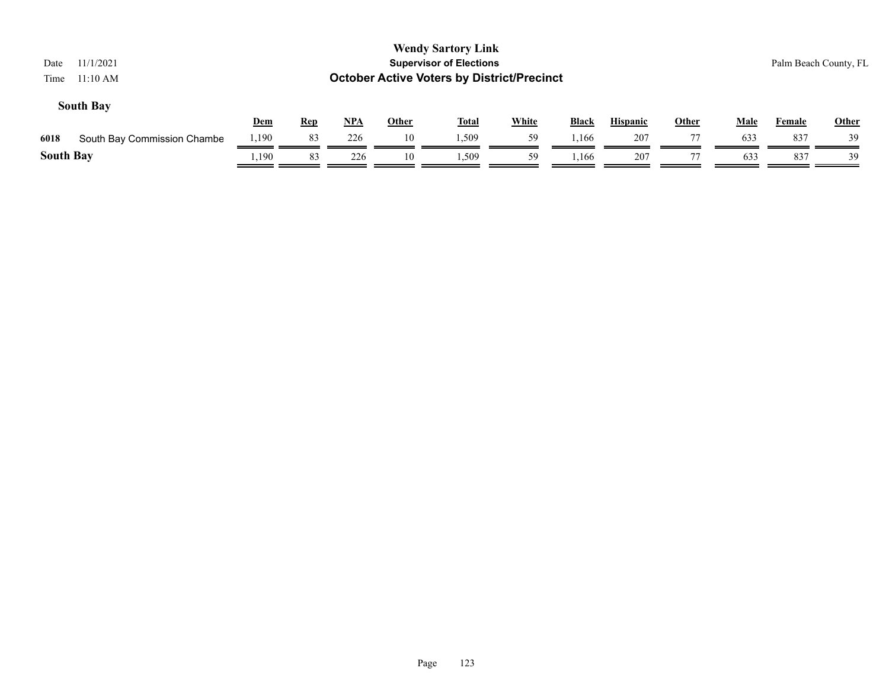| 11/1/2021<br>Date<br>11:10 AM<br>Time |       |            |            |              | <b>Wendy Sartory Link</b><br><b>Supervisor of Elections</b><br><b>October Active Voters by District/Precinct</b> |              |              |                 |              |             | Palm Beach County, FL |              |
|---------------------------------------|-------|------------|------------|--------------|------------------------------------------------------------------------------------------------------------------|--------------|--------------|-----------------|--------------|-------------|-----------------------|--------------|
| <b>South Bay</b>                      | Dem   | <b>Rep</b> | <u>NPA</u> | <b>Other</b> | <u>Total</u>                                                                                                     | <b>White</b> | <b>Black</b> | <b>Hispanic</b> | <u>Other</u> | <b>Male</b> | <b>Female</b>         | <b>Other</b> |
| 6018<br>South Bay Commission Chambe   | ,190  | 83         | 226        | 10           | 1.509                                                                                                            | 59           | 1,166        | 207             |              | 633         | 837                   | 39           |
| <b>South Bay</b>                      | 1,190 | 83         | 226        | 10           | 1,509                                                                                                            | 59           | ـ 166.،      | 207             |              | 633         | 837                   | 39           |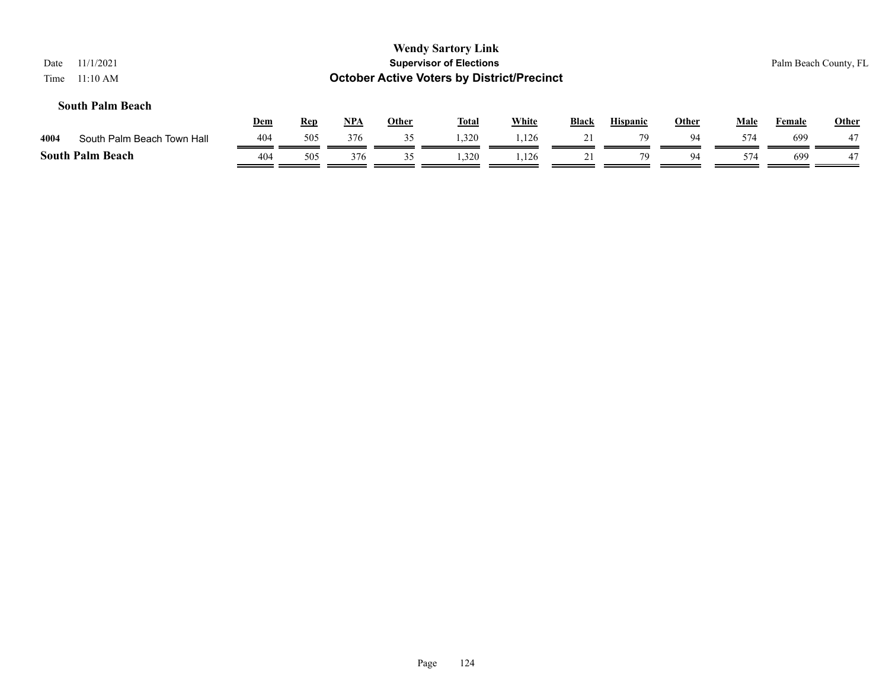| 11/1/2021<br>Date<br>11:10 AM<br>Time |            |            |       |              | <b>Wendy Sartory Link</b><br><b>Supervisor of Elections</b><br><b>October Active Voters by District/Precinct</b> |              |       |                 |              |             |               | Palm Beach County, FL |
|---------------------------------------|------------|------------|-------|--------------|------------------------------------------------------------------------------------------------------------------|--------------|-------|-----------------|--------------|-------------|---------------|-----------------------|
| <b>South Palm Beach</b>               | <b>Dem</b> | <u>Rep</u> | $NPA$ | <b>Other</b> | <b>Total</b>                                                                                                     | <b>White</b> | Black | <b>Hispanic</b> | <b>Other</b> | <b>Male</b> | <b>Female</b> | <b>Other</b>          |
| South Palm Beach Town Hall<br>4004    | 404        | 505        | 376   | 35           | 1.320                                                                                                            | 1,126        | 21    | 79              | 94           | 574         | 699           | 47                    |
| <b>South Palm Beach</b>               | 404        | 505        | 376   | 35           | 1,320                                                                                                            | 1,126        | 21    | 79              | 94           | 574         | 699           | 47                    |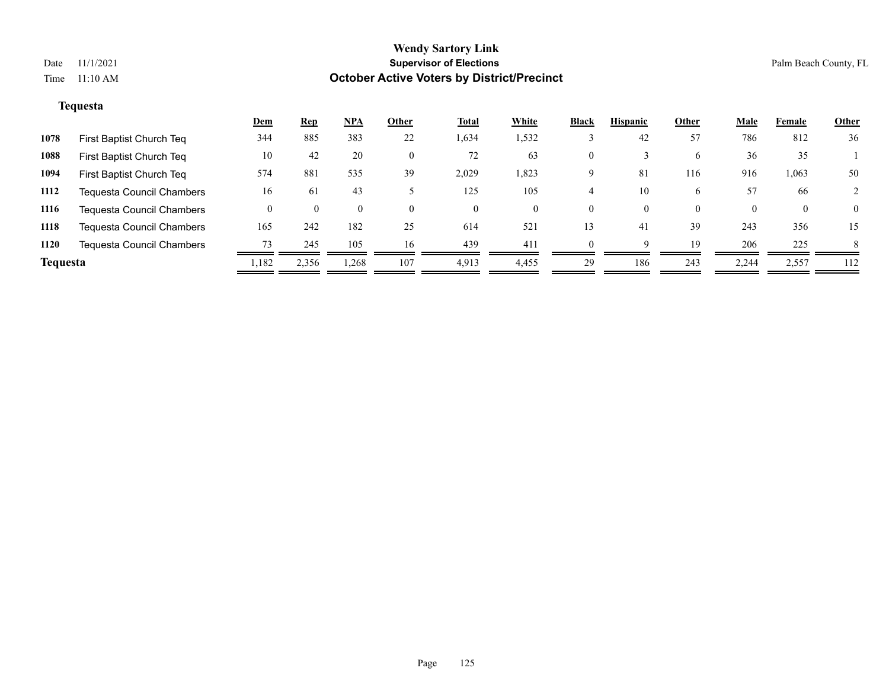# **Tequesta**

|                 |                                  | <u>Dem</u> | <b>Rep</b> | <u>NPA</u>         | Other        | <b>Total</b> | White | <b>Black</b> | <b>Hispanic</b> | Other    | <b>Male</b> | Female   | <b>Other</b>   |
|-----------------|----------------------------------|------------|------------|--------------------|--------------|--------------|-------|--------------|-----------------|----------|-------------|----------|----------------|
| 1078            | First Baptist Church Teq         | 344        | 885        | 383                | 22           | 1,634        | 1,532 |              | 42              | 57       | 786         | 812      | 36             |
| 1088            | First Baptist Church Teq         | 10         | 42         | 20                 | $\mathbf{0}$ | 72           | 63    | 0            |                 | 6        | 36          | 35       |                |
| 1094            | First Baptist Church Teq         | 574        | 881        | 535                | 39           | 2,029        | 1,823 | 9            | 81              | 116      | 916         | 1,063    | 50             |
| 1112            | <b>Tequesta Council Chambers</b> | 16         | 61         | 43                 |              | 125          | 105   |              | 10              | 6        | 57          | 66       |                |
| 1116            | <b>Tequesta Council Chambers</b> | $\Omega$   | $\theta$   | $\left( 0 \right)$ | $\theta$     | $\theta$     | 0     | 0            | $\theta$        | $\theta$ | $\theta$    | $\bf{0}$ | $\overline{0}$ |
| 1118            | Tequesta Council Chambers        | 165        | 242        | 182                | 25           | 614          | 521   | 13           | 41              | 39       | 243         | 356      | 15             |
| 1120            | Tequesta Council Chambers        | 73         | 245        | 105                | 16           | 439          | 411   |              | Q               | 19       | 206         | 225      | 8              |
| <b>Tequesta</b> |                                  | 1,182      | 2,356      | 1,268              | 107          | 4,913        | 4,455 | 29           | 186             | 243      | 2,244       | 2,557    | 112            |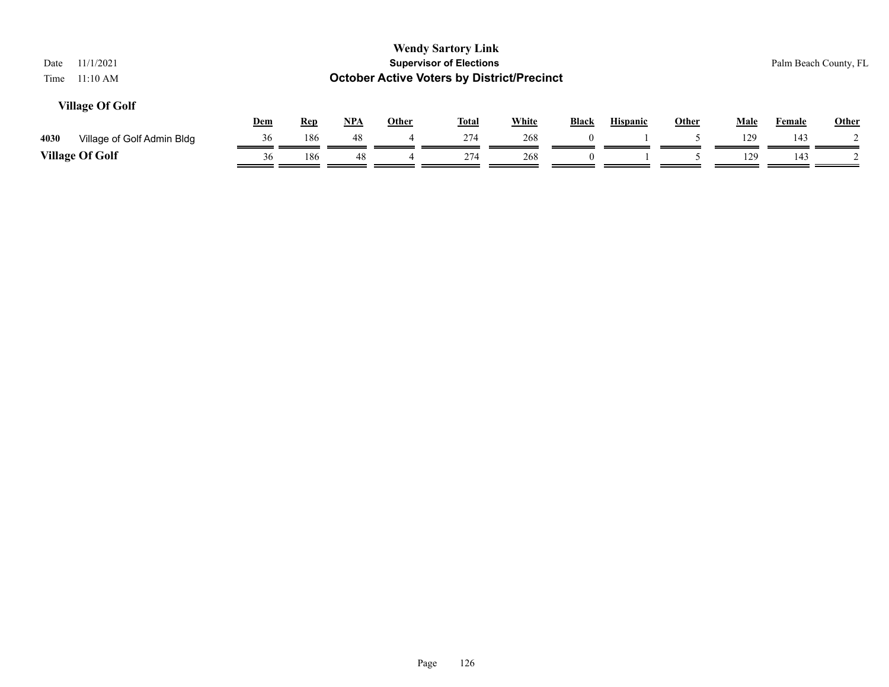| 11/1/2021<br>Date<br>11:10 AM<br>Time |            |            |       |              | <b>Wendy Sartory Link</b><br><b>Supervisor of Elections</b><br><b>October Active Voters by District/Precinct</b> |              |          |                 |              |      |        | Palm Beach County, FL |
|---------------------------------------|------------|------------|-------|--------------|------------------------------------------------------------------------------------------------------------------|--------------|----------|-----------------|--------------|------|--------|-----------------------|
| <b>Village Of Golf</b>                | <b>Dem</b> | <b>Rep</b> | $NPA$ | <b>Other</b> | <u>Total</u>                                                                                                     | <b>White</b> | Black    | <b>Hispanic</b> | <b>Other</b> | Male | Female | <b>Other</b>          |
| 4030<br>Village of Golf Admin Bldg    | 36         | 186        | 48    |              | 274                                                                                                              | 268          | $\Omega$ |                 |              | 129  | 143    |                       |
| <b>Village Of Golf</b>                | 36         | 186        | 48    |              | 274                                                                                                              | 268          | $\Omega$ |                 |              | 129  | 143    |                       |
|                                       |            |            |       |              |                                                                                                                  |              |          |                 |              |      |        |                       |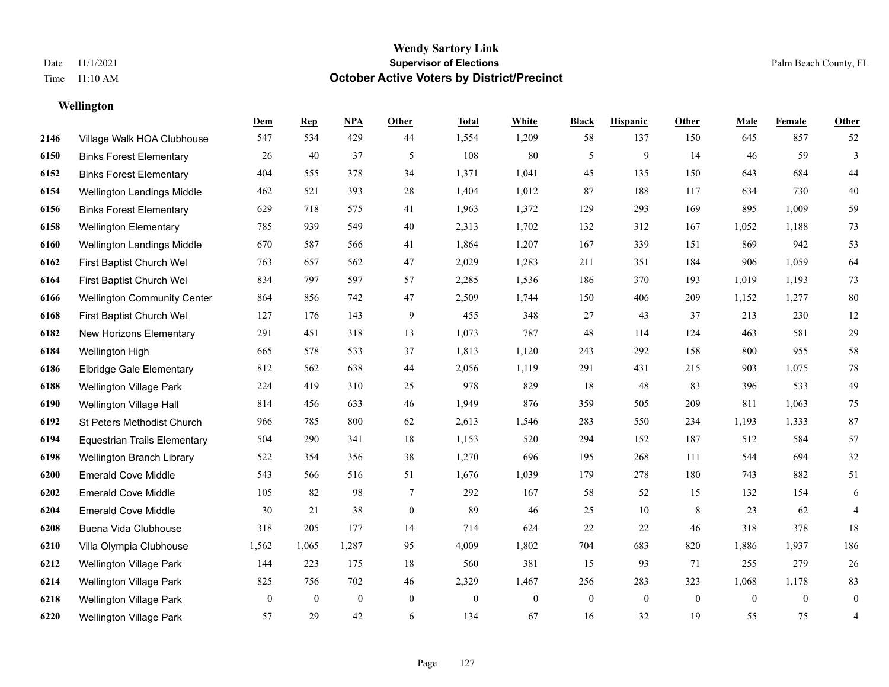**Wellington**

#### **Wendy Sartory Link** Date 11/1/2021 **Supervisor of Elections** Palm Beach County, FL Time 11:10 AM **October Active Voters by District/Precinct**

**Dem Rep NPA Other Total White Black Hispanic Other Male Female Other**

# Village Walk HOA Clubhouse 547 534 429 44 1,554 1,209 58 137 150 645 857 52 Binks Forest Elementary 26 40 37 5 108 80 5 9 14 46 59 3 Binks Forest Elementary 404 555 378 34 1,371 1,041 45 135 150 643 684 44 Wellington Landings Middle 462 521 393 28 1,404 1,012 87 188 117 634 730 40 Binks Forest Elementary 629 718 575 41 1,963 1,372 129 293 169 895 1,009 59 Wellington Elementary 785 939 549 40 2,313 1,702 132 312 167 1,052 1,188 73 Wellington Landings Middle 670 587 566 41 1,864 1,207 167 339 151 869 942 53 First Baptist Church Wel 763 657 562 47 2,029 1,283 211 351 184 906 1,059 64 First Baptist Church Wel 834 797 597 57 2,285 1,536 186 370 193 1,019 1,193 73 Wellington Community Center 864 856 742 47 2,509 1,744 150 406 209 1,152 1,277 80 First Baptist Church Wel 127 176 143 9 455 348 27 43 37 213 230 12 New Horizons Elementary 291 451 318 13 1,073 787 48 114 124 463 581 29 Wellington High 665 578 533 37 1,813 1,120 243 292 158 800 955 58 Elbridge Gale Elementary 812 562 638 44 2,056 1,119 291 431 215 903 1,075 78 Wellington Village Park 224 419 310 25 978 829 18 48 83 396 533 49 Wellington Village Hall 814 456 633 46 1,949 876 359 505 209 811 1,063 75 St Peters Methodist Church 966 785 800 62 2,613 1,546 283 550 234 1,193 1,333 87 Equestrian Trails Elementary 504 290 341 18 1,153 520 294 152 187 512 584 57 Wellington Branch Library 522 354 356 38 1,270 696 195 268 111 544 694 32 Emerald Cove Middle 543 566 516 51 1,676 1,039 179 278 180 743 882 51 Emerald Cove Middle 105 82 98 7 292 167 58 52 15 132 154 6 Emerald Cove Middle 30 21 38 0 89 46 25 10 8 23 62 4 Buena Vida Clubhouse 318 205 177 14 714 624 22 22 46 318 378 18 Villa Olympia Clubhouse 1,562 1,065 1,287 95 4,009 1,802 704 683 820 1,886 1,937 186 Wellington Village Park 144 223 175 18 560 381 15 93 71 255 279 26 Wellington Village Park 825 756 702 46 2,329 1,467 256 283 323 1,068 1,178 83 Wellington Village Park 0 0 0 0 0 0 0 0 0 0 0 0

Wellington Village Park 57 29 42 6 134 67 16 32 19 55 75 4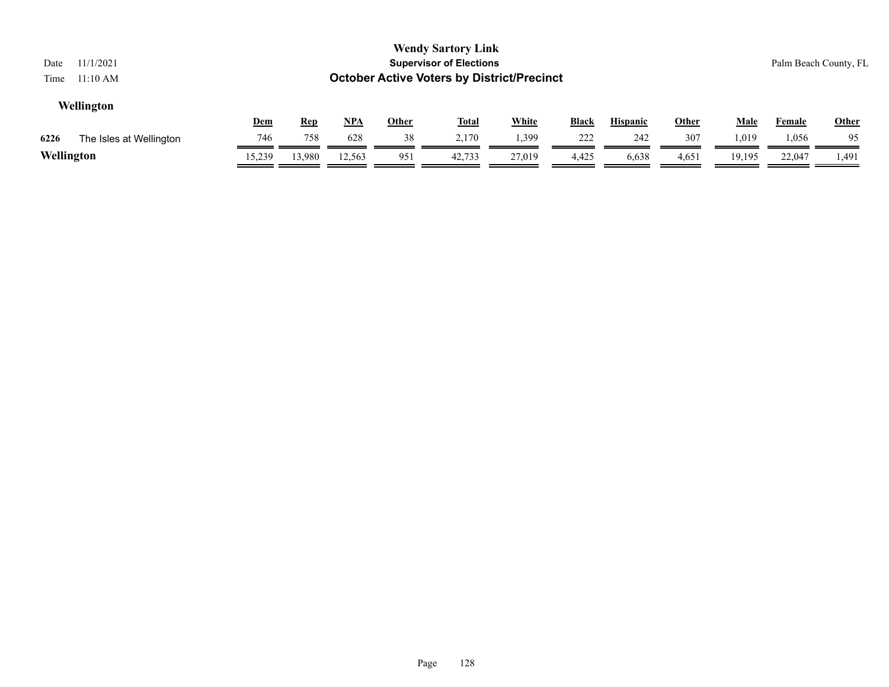| 11/1/2021<br>Date<br>11:10 AM<br>Time |            |            |            |              | <b>Wendy Sartory Link</b><br><b>Supervisor of Elections</b><br><b>October Active Voters by District/Precinct</b> |              |              |                 |              |             |               | Palm Beach County, FL |
|---------------------------------------|------------|------------|------------|--------------|------------------------------------------------------------------------------------------------------------------|--------------|--------------|-----------------|--------------|-------------|---------------|-----------------------|
| Wellington                            | <u>Dem</u> | <u>Rep</u> | <u>NPA</u> | <b>Other</b> | <u>Total</u>                                                                                                     | <u>White</u> | <b>Black</b> | <b>Hispanic</b> | <u>Other</u> | <u>Male</u> | <u>Female</u> | <b>Other</b>          |
| 6226<br>The Isles at Wellington       | 746        | 758        | 628        | 38           | 2.170                                                                                                            | 1,399        | 222          | 242             | 307          | 1,019       | 1,056         | 95                    |
| Wellington                            | 15,239     | 13,980     | 12,563     | 951          | 42,733                                                                                                           | 27,019       | 4,425        | 6,638           | 4,651        | 19,195      | 22,047        | 1,491                 |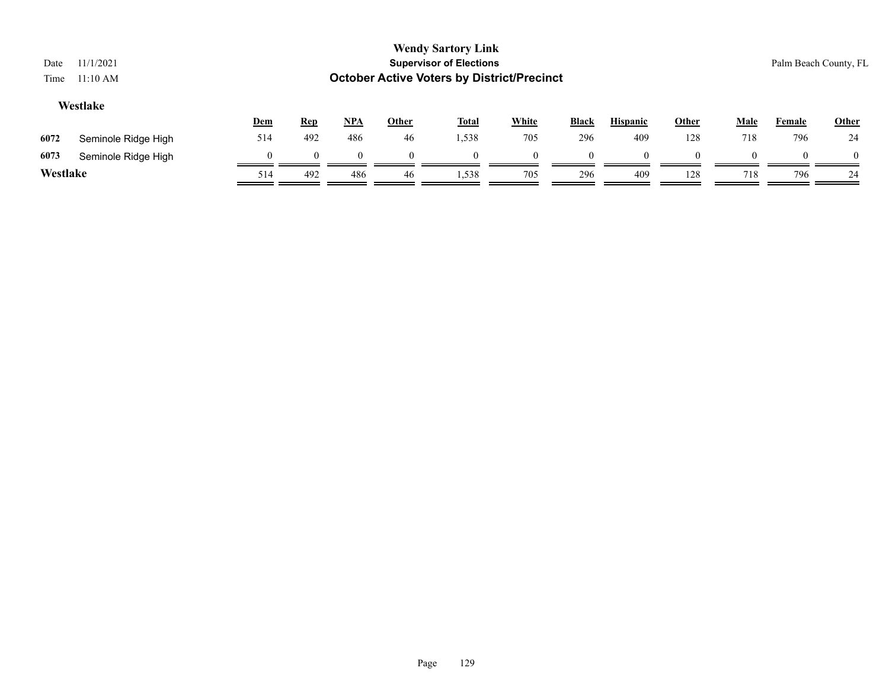| Date     | 11/1/2021           |          |            |       |              | <b>Wendy Sartory Link</b><br><b>Supervisor of Elections</b> |              |              |                 |       |             | Palm Beach County, FL |              |
|----------|---------------------|----------|------------|-------|--------------|-------------------------------------------------------------|--------------|--------------|-----------------|-------|-------------|-----------------------|--------------|
| Time     | 11:10 AM            |          |            |       |              | <b>October Active Voters by District/Precinct</b>           |              |              |                 |       |             |                       |              |
|          | Westlake            |          |            |       |              |                                                             |              |              |                 |       |             |                       |              |
|          |                     | Dem      | <b>Rep</b> | $NPA$ | <b>Other</b> | <b>Total</b>                                                | <b>White</b> | <b>Black</b> | <b>Hispanic</b> | Other | <b>Male</b> | Female                | <b>Other</b> |
| 6072     | Seminole Ridge High | 514      | 492        | 486   | 46           | 1,538                                                       | 705          | 296          | 409             | 128   | 718         | 796                   | 24           |
| 6073     | Seminole Ridge High | $\theta$ | $\Omega$   |       |              | $\theta$                                                    | $\Omega$     |              | $\Omega$        |       | $\theta$    |                       | $\theta$     |
| Westlake |                     | 514      | 492        | 486   | 46           | 1,538                                                       | 705          | 296          | 409             | 128   | 718         | 796                   | 24           |
|          |                     |          |            |       |              |                                                             |              |              |                 |       |             |                       |              |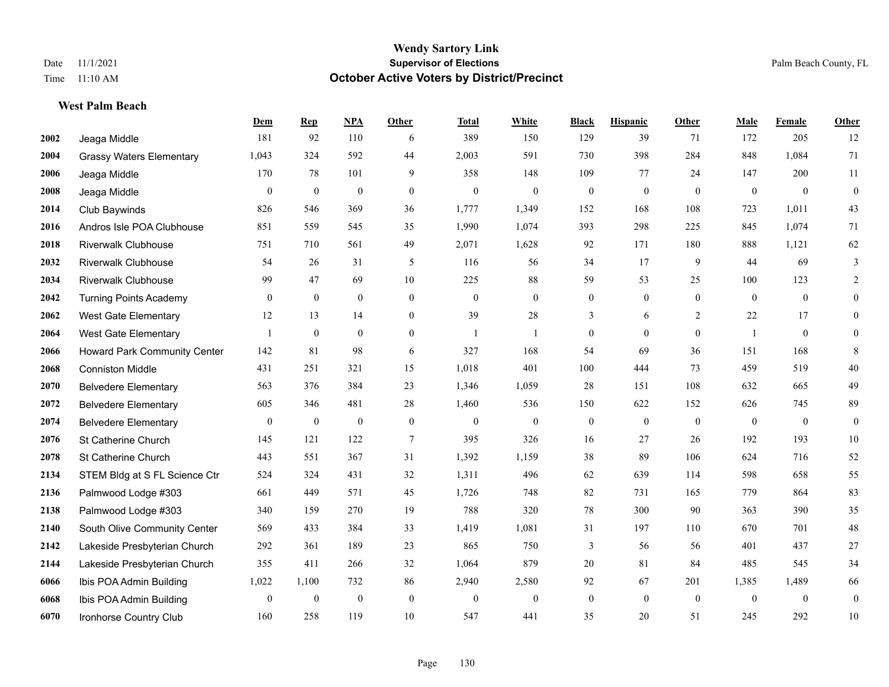## **West Palm Beach**

|      |                                     | Dem              | <b>Rep</b>       | NPA              | <b>Other</b>     | <b>Total</b>     | <b>White</b>     | <b>Black</b>     | <b>Hispanic</b>  | Other          | <b>Male</b>      | <b>Female</b>    | <b>Other</b>     |
|------|-------------------------------------|------------------|------------------|------------------|------------------|------------------|------------------|------------------|------------------|----------------|------------------|------------------|------------------|
| 2002 | Jeaga Middle                        | 181              | 92               | 110              | 6                | 389              | 150              | 129              | 39               | 71             | 172              | 205              | 12               |
| 2004 | <b>Grassy Waters Elementary</b>     | 1,043            | 324              | 592              | 44               | 2,003            | 591              | 730              | 398              | 284            | 848              | 1,084            | 71               |
| 2006 | Jeaga Middle                        | 170              | 78               | 101              | 9                | 358              | 148              | 109              | 77               | 24             | 147              | 200              | 11               |
| 2008 | Jeaga Middle                        | $\mathbf{0}$     | $\boldsymbol{0}$ | $\boldsymbol{0}$ | $\mathbf{0}$     | $\mathbf{0}$     | $\mathbf{0}$     | $\boldsymbol{0}$ | $\mathbf{0}$     | $\overline{0}$ | $\overline{0}$   | $\mathbf{0}$     | $\mathbf{0}$     |
| 2014 | <b>Club Baywinds</b>                | 826              | 546              | 369              | 36               | 1,777            | 1,349            | 152              | 168              | 108            | 723              | 1,011            | 43               |
| 2016 | Andros Isle POA Clubhouse           | 851              | 559              | 545              | 35               | 1,990            | 1,074            | 393              | 298              | 225            | 845              | 1,074            | 71               |
| 2018 | <b>Riverwalk Clubhouse</b>          | 751              | 710              | 561              | 49               | 2,071            | 1,628            | 92               | 171              | 180            | 888              | 1,121            | 62               |
| 2032 | <b>Riverwalk Clubhouse</b>          | 54               | 26               | 31               | 5                | 116              | 56               | 34               | 17               | 9              | 44               | 69               | $\overline{3}$   |
| 2034 | <b>Riverwalk Clubhouse</b>          | 99               | 47               | 69               | 10               | 225              | $88\,$           | 59               | 53               | 25             | 100              | 123              | 2                |
| 2042 | <b>Turning Points Academy</b>       | $\mathbf{0}$     | $\overline{0}$   | $\mathbf{0}$     | $\mathbf{0}$     | $\mathbf{0}$     | $\overline{0}$   | 0                | $\boldsymbol{0}$ | $\theta$       | $\theta$         | $\mathbf{0}$     | $\overline{0}$   |
| 2062 | West Gate Elementary                | 12               | 13               | 14               | $\theta$         | 39               | 28               | $\overline{3}$   | 6                | 2              | 22               | 17               | $\theta$         |
| 2064 | <b>West Gate Elementary</b>         |                  | $\mathbf{0}$     | $\mathbf{0}$     | $\overline{0}$   | -1               | $\mathbf{1}$     | $\overline{0}$   | $\mathbf{0}$     | $\theta$       | $\overline{1}$   | $\theta$         | $\overline{0}$   |
| 2066 | <b>Howard Park Community Center</b> | 142              | 81               | 98               | 6                | 327              | 168              | 54               | 69               | 36             | 151              | 168              | 8                |
| 2068 | <b>Conniston Middle</b>             | 431              | 251              | 321              | 15               | 1,018            | 401              | 100              | 444              | 73             | 459              | 519              | $40\,$           |
| 2070 | <b>Belvedere Elementary</b>         | 563              | 376              | 384              | 23               | 1,346            | 1,059            | 28               | 151              | 108            | 632              | 665              | 49               |
| 2072 | <b>Belvedere Elementary</b>         | 605              | 346              | 481              | 28               | 1,460            | 536              | 150              | 622              | 152            | 626              | 745              | 89               |
| 2074 | <b>Belvedere Elementary</b>         | $\boldsymbol{0}$ | $\boldsymbol{0}$ | $\boldsymbol{0}$ | $\boldsymbol{0}$ | $\boldsymbol{0}$ | $\boldsymbol{0}$ | $\boldsymbol{0}$ | $\boldsymbol{0}$ | $\mathbf{0}$   | $\boldsymbol{0}$ | $\boldsymbol{0}$ | $\boldsymbol{0}$ |
| 2076 | St Catherine Church                 | 145              | 121              | 122              | $7\phantom{.0}$  | 395              | 326              | 16               | 27               | 26             | 192              | 193              | $10\,$           |
| 2078 | St Catherine Church                 | 443              | 551              | 367              | 31               | 1,392            | 1,159            | 38               | 89               | 106            | 624              | 716              | 52               |
| 2134 | STEM Bldg at S FL Science Ctr       | 524              | 324              | 431              | 32               | 1,311            | 496              | 62               | 639              | 114            | 598              | 658              | 55               |
| 2136 | Palmwood Lodge #303                 | 661              | 449              | 571              | 45               | 1,726            | 748              | 82               | 731              | 165            | 779              | 864              | 83               |
| 2138 | Palmwood Lodge #303                 | 340              | 159              | 270              | 19               | 788              | 320              | 78               | 300              | 90             | 363              | 390              | 35               |
| 2140 | South Olive Community Center        | 569              | 433              | 384              | 33               | 1,419            | 1,081            | 31               | 197              | 110            | 670              | 701              | $48\,$           |
| 2142 | Lakeside Presbyterian Church        | 292              | 361              | 189              | 23               | 865              | 750              | 3                | 56               | 56             | 401              | 437              | 27               |
| 2144 | Lakeside Presbyterian Church        | 355              | 411              | 266              | 32               | 1,064            | 879              | 20               | 81               | 84             | 485              | 545              | 34               |
| 6066 | Ibis POA Admin Building             | 1,022            | 1,100            | 732              | 86               | 2,940            | 2,580            | 92               | 67               | 201            | 1,385            | 1,489            | 66               |
| 6068 | Ibis POA Admin Building             | $\mathbf{0}$     | $\boldsymbol{0}$ | $\boldsymbol{0}$ | $\mathbf{0}$     | $\overline{0}$   | $\overline{0}$   | $\boldsymbol{0}$ | $\mathbf{0}$     | $\mathbf{0}$   | $\mathbf{0}$     | $\mathbf{0}$     | $\mathbf{0}$     |
| 6070 | Ironhorse Country Club              | 160              | 258              | 119              | 10               | 547              | 441              | 35               | 20               | 51             | 245              | 292              | $10\,$           |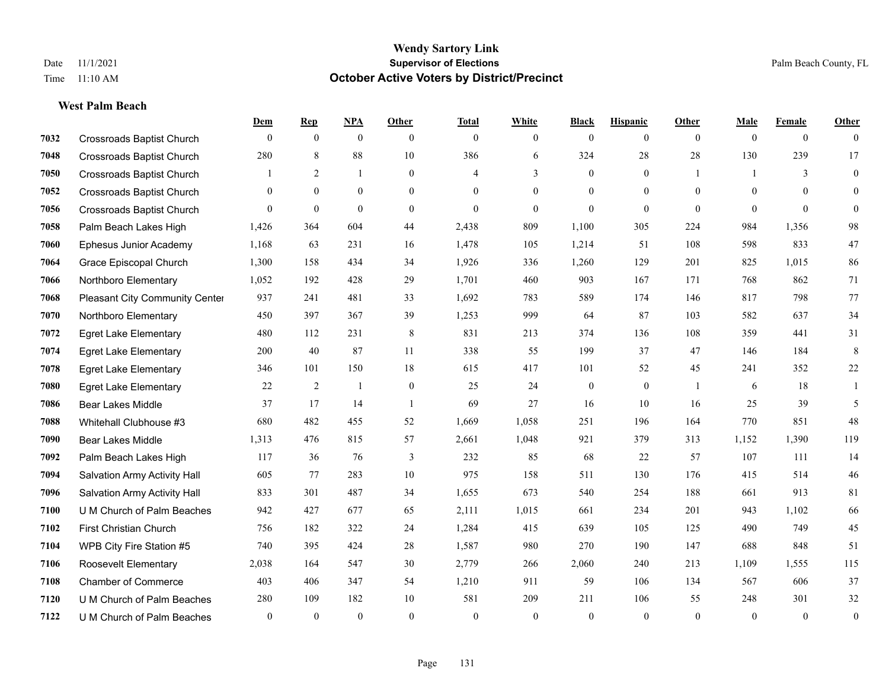**West Palm Beach**

## **Wendy Sartory Link** Date 11/1/2021 **Supervisor of Elections** Palm Beach County, FL Time 11:10 AM **October Active Voters by District/Precinct**

# **Dem Rep NPA Other Total White Black Hispanic Other Male Female Other** Crossroads Baptist Church 0 0 0 0 0 0 0 0 0 0 0 0 Crossroads Baptist Church 280 8 88 10 386 6 324 28 28 130 239 17 Crossroads Baptist Church 1 2 1 0 4 3 0 1 1 3 0 Crossroads Baptist Church 0 0 0 0 0 0 0 0 0 0 0 0 Crossroads Baptist Church 0 0 0 0 0 0 0 0 0 0 0 0 Palm Beach Lakes High 1,426 364 604 44 2,438 809 1,100 305 224 984 1,356 98 Ephesus Junior Academy 1,168 63 231 16 1,478 105 1,214 51 108 598 833 47 Grace Episcopal Church 1,300 158 434 34 1,926 336 1,260 129 201 825 1,015 86 Northboro Elementary 1,052 192 428 29 1,701 460 903 167 171 768 862 71 Pleasant City Community Center 937 241 481 33 1,692 783 589 174 146 817 798 77 Northboro Elementary 450 397 367 39 1,253 999 64 87 103 582 637 34 Egret Lake Elementary 480 112 231 8 831 213 374 136 108 359 441 31 Egret Lake Elementary 200 40 87 11 338 55 199 37 47 146 184 8 Egret Lake Elementary 346 101 150 18 615 417 101 52 45 241 352 22 Egret Lake Elementary 22 2 1 0 25 24 0 0 1 6 18 1 Bear Lakes Middle 37 17 14 1 69 27 16 10 16 25 39 5 Whitehall Clubhouse #3 680 482 455 52 1,669 1,058 251 196 164 770 851 48 Bear Lakes Middle 1,313 476 815 57 2,661 1,048 921 379 313 1,152 1,390 119 Palm Beach Lakes High 117 36 76 3 232 85 68 22 57 107 111 14 Salvation Army Activity Hall 605 77 283 10 975 158 511 130 176 415 514 46 Salvation Army Activity Hall 833 301 487 34 1,655 673 540 254 188 661 913 81 U M Church of Palm Beaches 942 427 677 65 2,111 1,015 661 234 201 943 1,102 66 First Christian Church 756 182 322 24 1,284 415 639 105 125 490 749 45 WPB City Fire Station #5 740 395 424 28 1,587 980 270 190 147 688 848 51 Roosevelt Elementary 2,038 164 547 30 2,779 266 2,060 240 213 1,109 1,555 115 Chamber of Commerce 403 406 347 54 1,210 911 59 106 134 567 606 37 U M Church of Palm Beaches 280 109 182 10 581 209 211 106 55 248 301 32 U M Church of Palm Beaches 0 0 0 0 0 0 0 0 0 0 0 0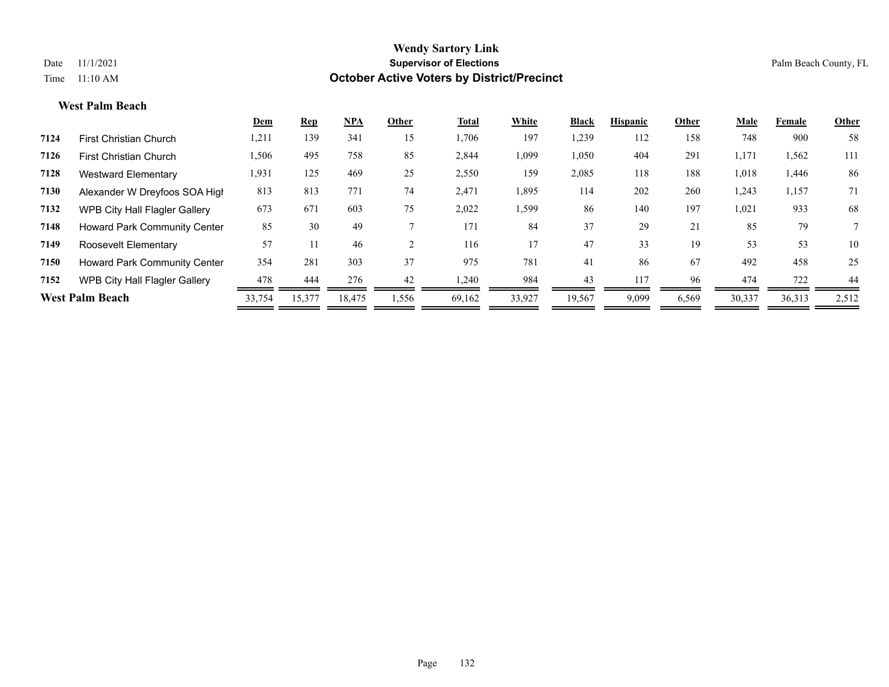#### **West Palm Beach**

|                                      | <u>Dem</u>             | <b>Rep</b> | <b>NPA</b> | Other | <b>Total</b> | White  | <b>Black</b> | <b>Hispanic</b> | Other | Male   | Female | Other |
|--------------------------------------|------------------------|------------|------------|-------|--------------|--------|--------------|-----------------|-------|--------|--------|-------|
| <b>First Christian Church</b>        | 1,211                  | 139        | 341        | 15    | 1,706        | 197    | ,239         | 112             | 158   | 748    | 900    | 58    |
| <b>First Christian Church</b>        | 1,506                  | 495        | 758        | 85    | 2,844        | 1,099  | 1,050        | 404             | 291   | 1,171  | 1,562  | 111   |
| Westward Elementary                  | 1,931                  | 125        | 469        | 25    | 2,550        | 159    | 2,085        | 118             | 188   | 1,018  | 1,446  | 86    |
| Alexander W Dreyfoos SOA High        | 813                    | 813        | 771        | 74    | 2,471        | 1,895  | 114          | 202             | 260   | 1,243  | 1,157  | 71    |
| <b>WPB City Hall Flagler Gallery</b> | 673                    | 671        | 603        | 75    | 2,022        | 1,599  | 86           | 140             | 197   | 1,021  | 933    | 68    |
| <b>Howard Park Community Center</b>  | 85                     | 30         | 49         |       | 171          | 84     | 37           | 29              | 21    | 85     | 79     |       |
| Roosevelt Elementary                 | 57                     |            | 46         |       | 116          | 17     | 47           | 33              | 19    | 53     | 53     | 10    |
| <b>Howard Park Community Center</b>  | 354                    | 281        | 303        | 37    | 975          | 781    | 41           | 86              | 67    | 492    | 458    | 25    |
| <b>WPB City Hall Flagler Gallery</b> | 478                    | 444        | 276        | 42    | 1,240        | 984    | 43           | 117             | 96    | 474    | 722    | 44    |
|                                      | 33,754                 | 15,377     | 18,475     | 1,556 | 69,162       | 33,927 | 19,567       | 9,099           | 6,569 | 30,337 | 36,313 | 2,512 |
|                                      | <b>West Palm Beach</b> |            |            |       |              |        |              |                 |       |        |        |       |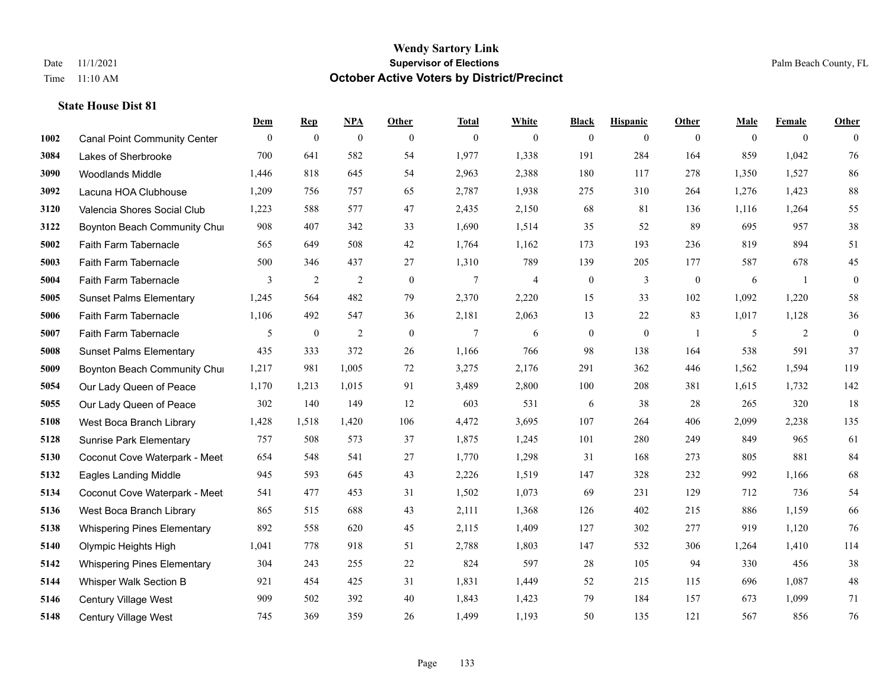|      |                                     | Dem            | <b>Rep</b>       | NPA              | <b>Other</b> | <b>Total</b>    | <b>White</b>   | <b>Black</b>     | <b>Hispanic</b> | <b>Other</b>   | <b>Male</b> | <b>Female</b>  | <b>Other</b> |
|------|-------------------------------------|----------------|------------------|------------------|--------------|-----------------|----------------|------------------|-----------------|----------------|-------------|----------------|--------------|
| 1002 | <b>Canal Point Community Center</b> | $\overline{0}$ | $\boldsymbol{0}$ | $\boldsymbol{0}$ | $\mathbf{0}$ | $\mathbf{0}$    | $\overline{0}$ | $\overline{0}$   | $\overline{0}$  | $\overline{0}$ | $\theta$    | $\overline{0}$ | $\theta$     |
| 3084 | Lakes of Sherbrooke                 | 700            | 641              | 582              | 54           | 1,977           | 1,338          | 191              | 284             | 164            | 859         | 1,042          | 76           |
| 3090 | Woodlands Middle                    | 1,446          | 818              | 645              | 54           | 2,963           | 2,388          | 180              | 117             | 278            | 1,350       | 1,527          | 86           |
| 3092 | Lacuna HOA Clubhouse                | 1,209          | 756              | 757              | 65           | 2,787           | 1,938          | 275              | 310             | 264            | 1,276       | 1,423          | $88\,$       |
| 3120 | Valencia Shores Social Club         | 1,223          | 588              | 577              | 47           | 2,435           | 2,150          | 68               | 81              | 136            | 1,116       | 1,264          | 55           |
| 3122 | Boynton Beach Community Chur        | 908            | 407              | 342              | 33           | 1,690           | 1,514          | 35               | 52              | 89             | 695         | 957            | $38\,$       |
| 5002 | Faith Farm Tabernacle               | 565            | 649              | 508              | 42           | 1,764           | 1,162          | 173              | 193             | 236            | 819         | 894            | 51           |
| 5003 | Faith Farm Tabernacle               | 500            | 346              | 437              | 27           | 1,310           | 789            | 139              | 205             | 177            | 587         | 678            | 45           |
| 5004 | Faith Farm Tabernacle               | 3              | $\sqrt{2}$       | $\overline{2}$   | $\mathbf{0}$ | $7\phantom{.0}$ | $\overline{4}$ | $\boldsymbol{0}$ | 3               | $\mathbf{0}$   | 6           | $\overline{1}$ | $\mathbf{0}$ |
| 5005 | <b>Sunset Palms Elementary</b>      | 1,245          | 564              | 482              | 79           | 2,370           | 2,220          | 15               | 33              | 102            | 1,092       | 1,220          | 58           |
| 5006 | Faith Farm Tabernacle               | 1,106          | 492              | 547              | 36           | 2,181           | 2,063          | 13               | 22              | 83             | 1,017       | 1,128          | 36           |
| 5007 | Faith Farm Tabernacle               | 5              | $\boldsymbol{0}$ | $\overline{2}$   | $\mathbf{0}$ | $\tau$          | 6              | $\boldsymbol{0}$ | $\overline{0}$  | $\overline{1}$ | 5           | $\overline{2}$ | $\theta$     |
| 5008 | <b>Sunset Palms Elementary</b>      | 435            | 333              | 372              | 26           | 1,166           | 766            | 98               | 138             | 164            | 538         | 591            | 37           |
| 5009 | Boynton Beach Community Chur        | 1,217          | 981              | 1,005            | 72           | 3,275           | 2,176          | 291              | 362             | 446            | 1,562       | 1,594          | 119          |
| 5054 | Our Lady Queen of Peace             | 1,170          | 1,213            | 1,015            | 91           | 3,489           | 2,800          | 100              | 208             | 381            | 1,615       | 1,732          | 142          |
| 5055 | Our Lady Queen of Peace             | 302            | 140              | 149              | 12           | 603             | 531            | 6                | 38              | 28             | 265         | 320            | 18           |
| 5108 | West Boca Branch Library            | 1,428          | 1,518            | 1,420            | 106          | 4,472           | 3,695          | 107              | 264             | 406            | 2,099       | 2,238          | 135          |
| 5128 | <b>Sunrise Park Elementary</b>      | 757            | 508              | 573              | 37           | 1,875           | 1,245          | 101              | 280             | 249            | 849         | 965            | 61           |
| 5130 | Coconut Cove Waterpark - Meet       | 654            | 548              | 541              | 27           | 1,770           | 1,298          | 31               | 168             | 273            | 805         | 881            | 84           |
| 5132 | <b>Eagles Landing Middle</b>        | 945            | 593              | 645              | 43           | 2,226           | 1,519          | 147              | 328             | 232            | 992         | 1,166          | 68           |
| 5134 | Coconut Cove Waterpark - Meet       | 541            | 477              | 453              | 31           | 1,502           | 1,073          | 69               | 231             | 129            | 712         | 736            | 54           |
| 5136 | West Boca Branch Library            | 865            | 515              | 688              | 43           | 2,111           | 1,368          | 126              | 402             | 215            | 886         | 1,159          | 66           |
| 5138 | <b>Whispering Pines Elementary</b>  | 892            | 558              | 620              | 45           | 2,115           | 1,409          | 127              | 302             | 277            | 919         | 1,120          | 76           |
| 5140 | Olympic Heights High                | 1,041          | 778              | 918              | 51           | 2,788           | 1,803          | 147              | 532             | 306            | 1,264       | 1,410          | 114          |
| 5142 | <b>Whispering Pines Elementary</b>  | 304            | 243              | 255              | 22           | 824             | 597            | 28               | 105             | 94             | 330         | 456            | 38           |
| 5144 | Whisper Walk Section B              | 921            | 454              | 425              | 31           | 1,831           | 1,449          | 52               | 215             | 115            | 696         | 1,087          | $48\,$       |
| 5146 | <b>Century Village West</b>         | 909            | 502              | 392              | 40           | 1,843           | 1,423          | 79               | 184             | 157            | 673         | 1,099          | 71           |
| 5148 | Century Village West                | 745            | 369              | 359              | 26           | 1,499           | 1,193          | 50               | 135             | 121            | 567         | 856            | 76           |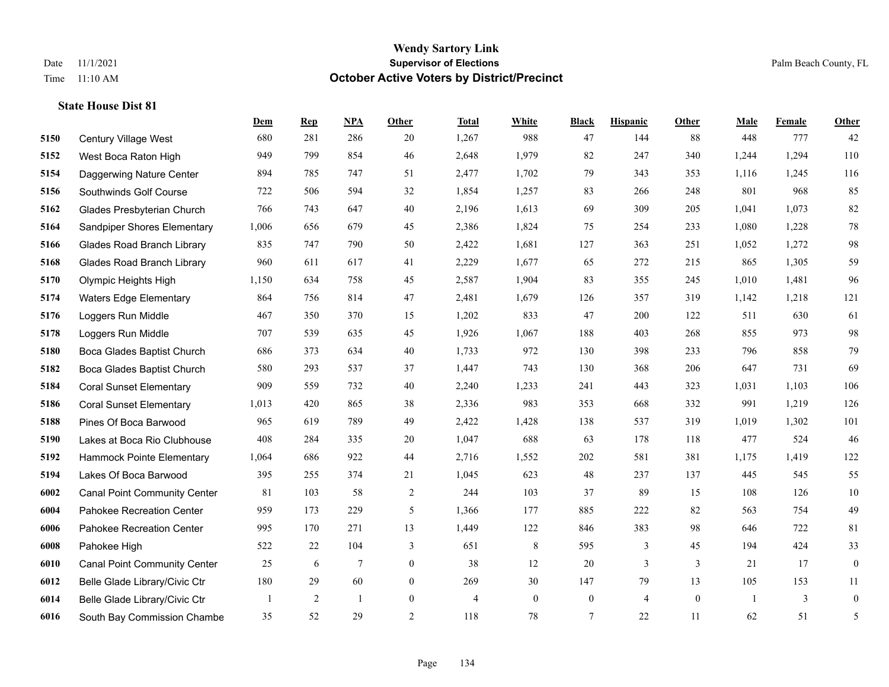|      |                                     | Dem          | <b>Rep</b> | NPA    | <b>Other</b>   | <b>Total</b> | <b>White</b>   | <b>Black</b>     | <b>Hispanic</b> | Other        | <b>Male</b>    | Female | <b>Other</b>     |
|------|-------------------------------------|--------------|------------|--------|----------------|--------------|----------------|------------------|-----------------|--------------|----------------|--------|------------------|
| 5150 | <b>Century Village West</b>         | 680          | 281        | 286    | 20             | 1,267        | 988            | 47               | 144             | 88           | 448            | 777    | 42               |
| 5152 | West Boca Raton High                | 949          | 799        | 854    | 46             | 2,648        | 1,979          | 82               | 247             | 340          | 1,244          | 1,294  | 110              |
| 5154 | Daggerwing Nature Center            | 894          | 785        | 747    | 51             | 2,477        | 1,702          | 79               | 343             | 353          | 1,116          | 1,245  | 116              |
| 5156 | Southwinds Golf Course              | 722          | 506        | 594    | 32             | 1,854        | 1,257          | 83               | 266             | 248          | 801            | 968    | 85               |
| 5162 | Glades Presbyterian Church          | 766          | 743        | 647    | 40             | 2,196        | 1,613          | 69               | 309             | 205          | 1,041          | 1,073  | 82               |
| 5164 | Sandpiper Shores Elementary         | 1,006        | 656        | 679    | 45             | 2,386        | 1,824          | 75               | 254             | 233          | 1,080          | 1,228  | $78\,$           |
| 5166 | <b>Glades Road Branch Library</b>   | 835          | 747        | 790    | 50             | 2,422        | 1,681          | 127              | 363             | 251          | 1,052          | 1,272  | 98               |
| 5168 | <b>Glades Road Branch Library</b>   | 960          | 611        | 617    | 41             | 2,229        | 1,677          | 65               | 272             | 215          | 865            | 1,305  | 59               |
| 5170 | Olympic Heights High                | 1,150        | 634        | 758    | 45             | 2,587        | 1,904          | 83               | 355             | 245          | 1,010          | 1,481  | 96               |
| 5174 | <b>Waters Edge Elementary</b>       | 864          | 756        | 814    | 47             | 2,481        | 1,679          | 126              | 357             | 319          | 1,142          | 1,218  | 121              |
| 5176 | Loggers Run Middle                  | 467          | 350        | 370    | 15             | 1,202        | 833            | 47               | 200             | 122          | 511            | 630    | 61               |
| 5178 | Loggers Run Middle                  | 707          | 539        | 635    | 45             | 1,926        | 1,067          | 188              | 403             | 268          | 855            | 973    | 98               |
| 5180 | Boca Glades Baptist Church          | 686          | 373        | 634    | 40             | 1,733        | 972            | 130              | 398             | 233          | 796            | 858    | 79               |
| 5182 | Boca Glades Baptist Church          | 580          | 293        | 537    | 37             | 1,447        | 743            | 130              | 368             | 206          | 647            | 731    | 69               |
| 5184 | <b>Coral Sunset Elementary</b>      | 909          | 559        | 732    | 40             | 2,240        | 1,233          | 241              | 443             | 323          | 1,031          | 1,103  | 106              |
| 5186 | <b>Coral Sunset Elementary</b>      | 1,013        | 420        | 865    | 38             | 2,336        | 983            | 353              | 668             | 332          | 991            | 1,219  | 126              |
| 5188 | Pines Of Boca Barwood               | 965          | 619        | 789    | 49             | 2,422        | 1,428          | 138              | 537             | 319          | 1,019          | 1,302  | 101              |
| 5190 | Lakes at Boca Rio Clubhouse         | 408          | 284        | 335    | 20             | 1,047        | 688            | 63               | 178             | 118          | 477            | 524    | 46               |
| 5192 | Hammock Pointe Elementary           | 1,064        | 686        | 922    | 44             | 2,716        | 1,552          | 202              | 581             | 381          | 1,175          | 1,419  | 122              |
| 5194 | Lakes Of Boca Barwood               | 395          | 255        | 374    | 21             | 1,045        | 623            | 48               | 237             | 137          | 445            | 545    | 55               |
| 6002 | <b>Canal Point Community Center</b> | 81           | 103        | 58     | 2              | 244          | 103            | 37               | 89              | 15           | 108            | 126    | 10               |
| 6004 | Pahokee Recreation Center           | 959          | 173        | 229    | 5              | 1,366        | 177            | 885              | 222             | 82           | 563            | 754    | 49               |
| 6006 | Pahokee Recreation Center           | 995          | 170        | 271    | 13             | 1,449        | 122            | 846              | 383             | 98           | 646            | 722    | 81               |
| 6008 | Pahokee High                        | 522          | 22         | 104    | 3              | 651          | 8              | 595              | 3               | 45           | 194            | 424    | 33               |
| 6010 | <b>Canal Point Community Center</b> | 25           | 6          | $\tau$ | $\overline{0}$ | 38           | 12             | 20               | 3               | 3            | 21             | 17     | $\boldsymbol{0}$ |
| 6012 | Belle Glade Library/Civic Ctr       | 180          | 29         | 60     | $\overline{0}$ | 269          | 30             | 147              | 79              | 13           | 105            | 153    | 11               |
| 6014 | Belle Glade Library/Civic Ctr       | $\mathbf{1}$ | 2          | 1      | $\overline{0}$ | 4            | $\overline{0}$ | $\boldsymbol{0}$ | $\overline{4}$  | $\mathbf{0}$ | $\overline{1}$ | 3      | $\boldsymbol{0}$ |
| 6016 | South Bay Commission Chambe         | 35           | 52         | 29     | $\overline{2}$ | 118          | 78             | $7\phantom{.0}$  | 22              | 11           | 62             | 51     | 5                |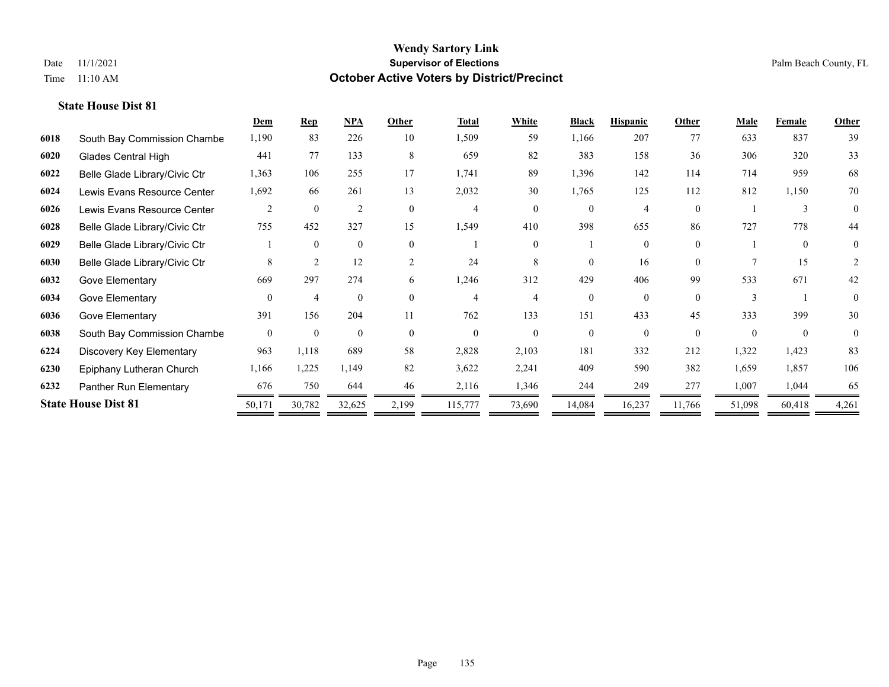|      |                               | Dem          | $\mathbf{Rep}$ | NPA            | <b>Other</b>   | <b>Total</b>   | <b>White</b> | <b>Black</b> | <b>Hispanic</b> | <b>Other</b> | <b>Male</b>  | Female       | <b>Other</b> |
|------|-------------------------------|--------------|----------------|----------------|----------------|----------------|--------------|--------------|-----------------|--------------|--------------|--------------|--------------|
| 6018 | South Bay Commission Chambe   | 1,190        | 83             | 226            | 10             | 1,509          | 59           | 1,166        | 207             | 77           | 633          | 837          | 39           |
| 6020 | Glades Central High           | 441          | 77             | 133            | 8              | 659            | 82           | 383          | 158             | 36           | 306          | 320          | 33           |
| 6022 | Belle Glade Library/Civic Ctr | 1,363        | 106            | 255            | 17             | 1,741          | 89           | 1,396        | 142             | 114          | 714          | 959          | 68           |
| 6024 | Lewis Evans Resource Center   | 1,692        | 66             | 261            | 13             | 2,032          | 30           | 1,765        | 125             | 112          | 812          | 1,150        | 70           |
| 6026 | Lewis Evans Resource Center   | 2            | $\theta$       | $\overline{2}$ | $\theta$       | $\overline{4}$ | $\Omega$     | $\Omega$     | $\overline{4}$  | $\Omega$     |              | 3            | $\Omega$     |
| 6028 | Belle Glade Library/Civic Ctr | 755          | 452            | 327            | 15             | 1,549          | 410          | 398          | 655             | 86           | 727          | 778          | 44           |
| 6029 | Belle Glade Library/Civic Ctr |              | $\mathbf{0}$   | $\overline{0}$ | $\theta$       |                | $\theta$     |              | $\theta$        | $\theta$     |              | $\mathbf{0}$ | $\theta$     |
| 6030 | Belle Glade Library/Civic Ctr | 8            | $\overline{2}$ | 12             | $\overline{c}$ | 24             | 8            | $\Omega$     | 16              | $\Omega$     |              | 15           |              |
| 6032 | Gove Elementary               | 669          | 297            | 274            | 6              | 1,246          | 312          | 429          | 406             | 99           | 533          | 671          | 42           |
| 6034 | Gove Elementary               | $\theta$     | $\overline{4}$ | $\Omega$       | $\theta$       | 4              |              | $\Omega$     | $\Omega$        | $\Omega$     | $\mathbf{3}$ |              | $\theta$     |
| 6036 | Gove Elementary               | 391          | 156            | 204            | 11             | 762            | 133          | 151          | 433             | 45           | 333          | 399          | $30\,$       |
| 6038 | South Bay Commission Chambe   | $\mathbf{0}$ | $\mathbf{0}$   | $\overline{0}$ | $\theta$       | $\mathbf{0}$   | $\Omega$     | $\theta$     | $\Omega$        | $\theta$     | $\Omega$     | $\theta$     | $\Omega$     |
| 6224 | Discovery Key Elementary      | 963          | 1,118          | 689            | 58             | 2,828          | 2,103        | 181          | 332             | 212          | 1,322        | 1,423        | 83           |
| 6230 | Epiphany Lutheran Church      | 1,166        | 1,225          | 1,149          | 82             | 3,622          | 2,241        | 409          | 590             | 382          | 1,659        | 1,857        | 106          |
| 6232 | Panther Run Elementary        | 676          | 750            | 644            | 46             | 2,116          | 1,346        | 244          | 249             | 277          | 1,007        | 1,044        | 65           |
|      | <b>State House Dist 81</b>    | 50,171       | 30,782         | 32,625         | 2,199          | 115,777        | 73,690       | 14,084       | 16,237          | 11,766       | 51,098       | 60,418       | 4,261        |
|      |                               |              |                |                |                |                |              |              |                 |              |              |              |              |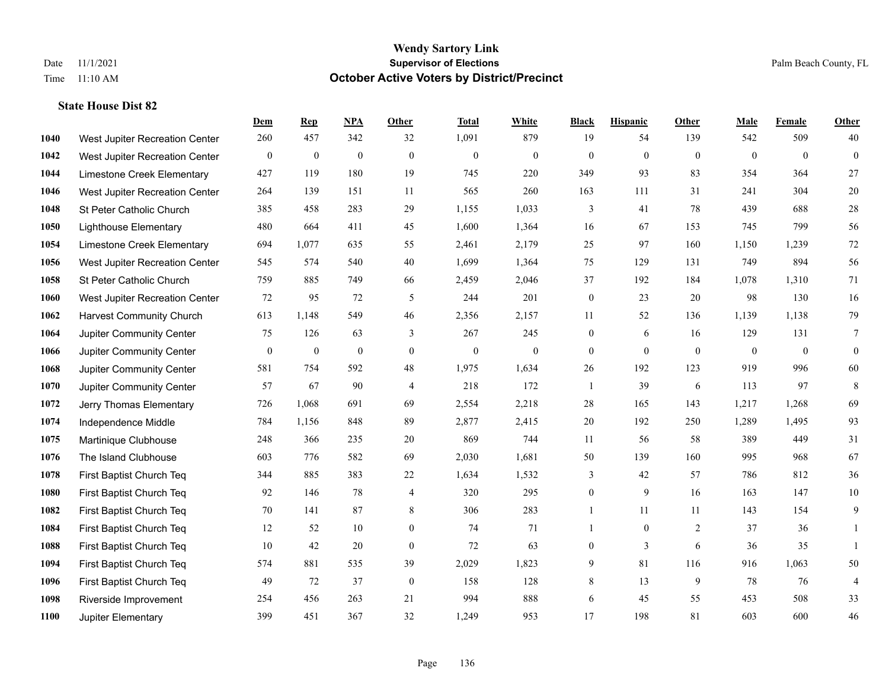|      |                                 | Dem              | <b>Rep</b>       | NPA          | <b>Other</b>   | <b>Total</b> | <b>White</b> | <b>Black</b>   | <b>Hispanic</b> | Other          | <b>Male</b>    | <b>Female</b>  | <b>Other</b>    |
|------|---------------------------------|------------------|------------------|--------------|----------------|--------------|--------------|----------------|-----------------|----------------|----------------|----------------|-----------------|
| 1040 | West Jupiter Recreation Center  | 260              | 457              | 342          | 32             | 1,091        | 879          | 19             | 54              | 139            | 542            | 509            | 40              |
| 1042 | West Jupiter Recreation Center  | $\boldsymbol{0}$ | $\mathbf{0}$     | $\mathbf{0}$ | $\mathbf{0}$   | $\mathbf{0}$ | $\mathbf{0}$ | $\mathbf{0}$   | $\mathbf{0}$    | $\theta$       | $\overline{0}$ | $\theta$       | $\mathbf{0}$    |
| 1044 | Limestone Creek Elementary      | 427              | 119              | 180          | 19             | 745          | 220          | 349            | 93              | 83             | 354            | 364            | 27              |
| 1046 | West Jupiter Recreation Center  | 264              | 139              | 151          | 11             | 565          | 260          | 163            | 111             | 31             | 241            | 304            | $20\,$          |
| 1048 | St Peter Catholic Church        | 385              | 458              | 283          | 29             | 1,155        | 1,033        | 3              | 41              | 78             | 439            | 688            | $28\,$          |
| 1050 | <b>Lighthouse Elementary</b>    | 480              | 664              | 411          | 45             | 1,600        | 1,364        | 16             | 67              | 153            | 745            | 799            | 56              |
| 1054 | Limestone Creek Elementary      | 694              | 1,077            | 635          | 55             | 2,461        | 2,179        | 25             | 97              | 160            | 1,150          | 1,239          | $72\,$          |
| 1056 | West Jupiter Recreation Center  | 545              | 574              | 540          | 40             | 1,699        | 1,364        | 75             | 129             | 131            | 749            | 894            | 56              |
| 1058 | St Peter Catholic Church        | 759              | 885              | 749          | 66             | 2,459        | 2,046        | 37             | 192             | 184            | 1,078          | 1,310          | 71              |
| 1060 | West Jupiter Recreation Center  | 72               | 95               | 72           | 5              | 244          | 201          | $\mathbf{0}$   | 23              | 20             | 98             | 130            | 16              |
| 1062 | <b>Harvest Community Church</b> | 613              | 1,148            | 549          | 46             | 2,356        | 2,157        | 11             | 52              | 136            | 1,139          | 1,138          | 79              |
| 1064 | Jupiter Community Center        | 75               | 126              | 63           | 3              | 267          | 245          | $\mathbf{0}$   | 6               | 16             | 129            | 131            | $7\phantom{.0}$ |
| 1066 | Jupiter Community Center        | $\mathbf{0}$     | $\boldsymbol{0}$ | $\mathbf{0}$ | $\theta$       | $\mathbf{0}$ | $\mathbf{0}$ | $\mathbf{0}$   | $\mathbf{0}$    | $\theta$       | $\overline{0}$ | $\overline{0}$ | $\mathbf{0}$    |
| 1068 | Jupiter Community Center        | 581              | 754              | 592          | 48             | 1,975        | 1,634        | $26\,$         | 192             | 123            | 919            | 996            | 60              |
| 1070 | Jupiter Community Center        | 57               | 67               | 90           | $\overline{4}$ | 218          | 172          | 1              | 39              | 6              | 113            | 97             | 8               |
| 1072 | Jerry Thomas Elementary         | 726              | 1,068            | 691          | 69             | 2,554        | 2,218        | 28             | 165             | 143            | 1,217          | 1,268          | 69              |
| 1074 | Independence Middle             | 784              | 1,156            | 848          | 89             | 2,877        | 2,415        | 20             | 192             | 250            | 1,289          | 1,495          | 93              |
| 1075 | Martinique Clubhouse            | 248              | 366              | 235          | 20             | 869          | 744          | 11             | 56              | 58             | 389            | 449            | 31              |
| 1076 | The Island Clubhouse            | 603              | 776              | 582          | 69             | 2,030        | 1,681        | 50             | 139             | 160            | 995            | 968            | 67              |
| 1078 | First Baptist Church Teq        | 344              | 885              | 383          | 22             | 1,634        | 1,532        | 3              | 42              | 57             | 786            | 812            | 36              |
| 1080 | First Baptist Church Teq        | 92               | 146              | 78           | $\overline{4}$ | 320          | 295          | $\overline{0}$ | 9               | 16             | 163            | 147            | $10\,$          |
| 1082 | First Baptist Church Teq        | 70               | 141              | 87           | 8              | 306          | 283          | $\mathbf{1}$   | 11              | 11             | 143            | 154            | 9               |
| 1084 | First Baptist Church Teq        | 12               | 52               | 10           | $\mathbf{0}$   | 74           | 71           |                | $\overline{0}$  | $\overline{2}$ | 37             | 36             |                 |
| 1088 | First Baptist Church Teq        | 10               | 42               | 20           | $\mathbf{0}$   | 72           | 63           | $\overline{0}$ | 3               | 6              | 36             | 35             | $\mathbf{1}$    |
| 1094 | First Baptist Church Teq        | 574              | 881              | 535          | 39             | 2,029        | 1,823        | 9              | 81              | 116            | 916            | 1,063          | $50\,$          |
| 1096 | First Baptist Church Teq        | 49               | 72               | 37           | $\mathbf{0}$   | 158          | 128          | 8              | 13              | 9              | 78             | 76             | $\overline{4}$  |
| 1098 | Riverside Improvement           | 254              | 456              | 263          | 21             | 994          | 888          | 6              | 45              | 55             | 453            | 508            | 33              |
| 1100 | Jupiter Elementary              | 399              | 451              | 367          | 32             | 1,249        | 953          | 17             | 198             | 81             | 603            | 600            | 46              |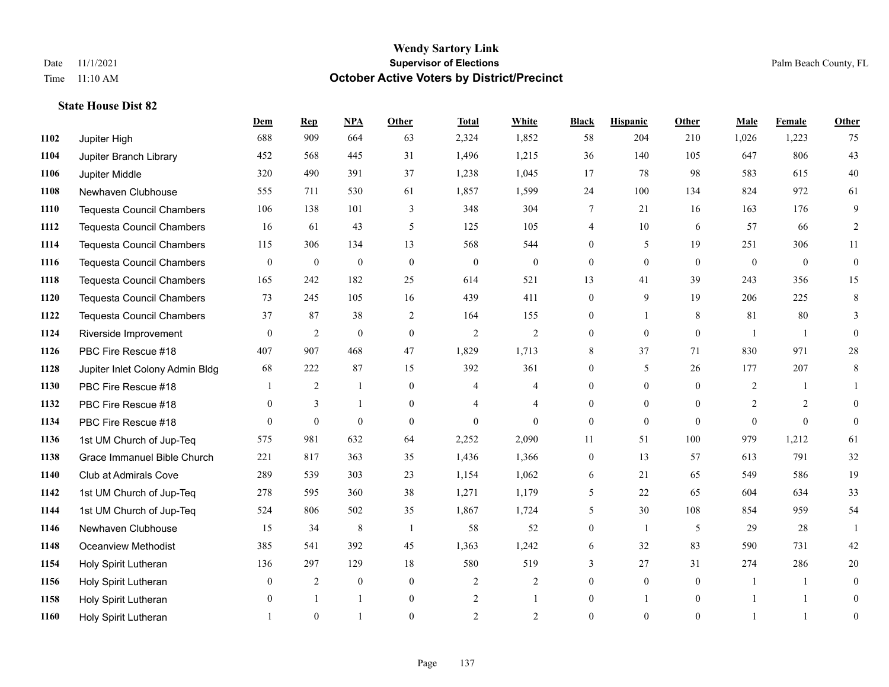|      |                                  | Dem            | <b>Rep</b>       | NPA          | <b>Other</b>   | <b>Total</b>   | <b>White</b>   | <b>Black</b>   | <b>Hispanic</b> | Other          | <b>Male</b>    | <b>Female</b>  | <b>Other</b>   |
|------|----------------------------------|----------------|------------------|--------------|----------------|----------------|----------------|----------------|-----------------|----------------|----------------|----------------|----------------|
| 1102 | Jupiter High                     | 688            | 909              | 664          | 63             | 2,324          | 1,852          | 58             | 204             | 210            | 1,026          | 1,223          | 75             |
| 1104 | Jupiter Branch Library           | 452            | 568              | 445          | 31             | 1,496          | 1,215          | 36             | 140             | 105            | 647            | 806            | 43             |
| 1106 | Jupiter Middle                   | 320            | 490              | 391          | 37             | 1,238          | 1,045          | 17             | 78              | 98             | 583            | 615            | 40             |
| 1108 | Newhaven Clubhouse               | 555            | 711              | 530          | 61             | 1,857          | 1,599          | 24             | 100             | 134            | 824            | 972            | 61             |
| 1110 | <b>Tequesta Council Chambers</b> | 106            | 138              | 101          | 3              | 348            | 304            | 7              | 21              | 16             | 163            | 176            | 9              |
| 1112 | <b>Tequesta Council Chambers</b> | 16             | 61               | 43           | 5              | 125            | 105            | 4              | 10              | 6              | 57             | 66             | 2              |
| 1114 | <b>Tequesta Council Chambers</b> | 115            | 306              | 134          | 13             | 568            | 544            | $\overline{0}$ | 5               | 19             | 251            | 306            | 11             |
| 1116 | <b>Tequesta Council Chambers</b> | $\overline{0}$ | $\boldsymbol{0}$ | $\mathbf{0}$ | $\theta$       | $\mathbf{0}$   | $\overline{0}$ | $\overline{0}$ | $\Omega$        | $\theta$       | $\theta$       | $\theta$       | $\theta$       |
| 1118 | <b>Tequesta Council Chambers</b> | 165            | 242              | 182          | 25             | 614            | 521            | 13             | 41              | 39             | 243            | 356            | 15             |
| 1120 | <b>Tequesta Council Chambers</b> | 73             | 245              | 105          | 16             | 439            | 411            | $\overline{0}$ | 9               | 19             | 206            | 225            | 8              |
| 1122 | <b>Tequesta Council Chambers</b> | 37             | 87               | 38           | 2              | 164            | 155            | $\overline{0}$ | $\mathbf{1}$    | 8              | 81             | 80             | 3              |
| 1124 | Riverside Improvement            | $\overline{0}$ | 2                | $\mathbf{0}$ | $\overline{0}$ | $\overline{2}$ | $\overline{2}$ | $\overline{0}$ | $\overline{0}$  | $\mathbf{0}$   | $\overline{1}$ | $\overline{1}$ | $\theta$       |
| 1126 | PBC Fire Rescue #18              | 407            | 907              | 468          | 47             | 1,829          | 1,713          | 8              | 37              | 71             | 830            | 971            | $28\,$         |
| 1128 | Jupiter Inlet Colony Admin Bldg  | 68             | 222              | 87           | 15             | 392            | 361            | $\overline{0}$ | 5               | 26             | 177            | 207            | 8              |
| 1130 | PBC Fire Rescue #18              |                | 2                | $\mathbf{1}$ | $\theta$       | $\overline{4}$ | 4              | 0              | $\overline{0}$  | $\theta$       | 2              |                |                |
| 1132 | PBC Fire Rescue #18              | $\theta$       | 3                |              | $\theta$       | $\overline{4}$ | 4              | $\overline{0}$ | $\overline{0}$  | $\theta$       | 2              | 2              | $\Omega$       |
| 1134 | PBC Fire Rescue #18              | $\theta$       | $\theta$         | $\theta$     | $\theta$       | $\theta$       | $\theta$       | $\overline{0}$ | $\Omega$        | $\theta$       | $\theta$       | $\theta$       | $\theta$       |
| 1136 | 1st UM Church of Jup-Teq         | 575            | 981              | 632          | 64             | 2,252          | 2,090          | 11             | 51              | 100            | 979            | 1,212          | 61             |
| 1138 | Grace Immanuel Bible Church      | 221            | 817              | 363          | 35             | 1,436          | 1,366          | $\overline{0}$ | 13              | 57             | 613            | 791            | 32             |
| 1140 | Club at Admirals Cove            | 289            | 539              | 303          | 23             | 1,154          | 1,062          | 6              | 21              | 65             | 549            | 586            | 19             |
| 1142 | 1st UM Church of Jup-Teq         | 278            | 595              | 360          | 38             | 1,271          | 1,179          | 5              | 22              | 65             | 604            | 634            | 33             |
| 1144 | 1st UM Church of Jup-Teq         | 524            | 806              | 502          | 35             | 1,867          | 1,724          | 5              | 30              | 108            | 854            | 959            | 54             |
| 1146 | Newhaven Clubhouse               | 15             | 34               | $\,$ 8 $\,$  | $\overline{1}$ | 58             | 52             | $\overline{0}$ | 1               | 5              | 29             | 28             |                |
| 1148 | <b>Oceanview Methodist</b>       | 385            | 541              | 392          | 45             | 1,363          | 1,242          | 6              | 32              | 83             | 590            | 731            | $42\,$         |
| 1154 | Holy Spirit Lutheran             | 136            | 297              | 129          | 18             | 580            | 519            | 3              | 27              | 31             | 274            | 286            | 20             |
| 1156 | Holy Spirit Lutheran             | $\mathbf{0}$   | $\overline{2}$   | $\mathbf{0}$ | $\overline{0}$ | $\overline{2}$ | $\overline{c}$ | $\overline{0}$ | $\overline{0}$  | $\mathbf{0}$   | $\overline{1}$ | $\mathbf{1}$   | $\mathbf{0}$   |
| 1158 | Holy Spirit Lutheran             | $\theta$       | $\mathbf{1}$     |              | $\overline{0}$ | $\overline{c}$ | 1              | $\overline{0}$ | 1               | $\overline{0}$ |                |                | $\theta$       |
| 1160 | Holy Spirit Lutheran             |                | $\theta$         |              | $\theta$       | $\overline{2}$ | $\overline{2}$ | $\Omega$       | $\Omega$        | $\theta$       |                |                | $\overline{0}$ |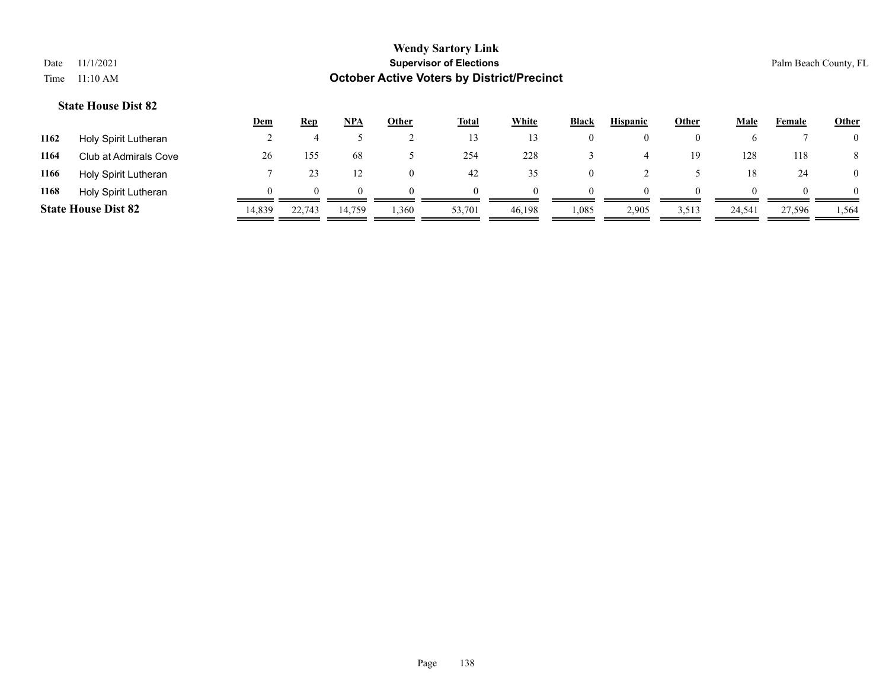|      |                            | Dem    | <b>Rep</b> | NPA        | Other    | <b>Total</b> | White  | <b>Black</b> | <b>Hispanic</b> | Other    | Male   | Female | <b>Other</b>   |
|------|----------------------------|--------|------------|------------|----------|--------------|--------|--------------|-----------------|----------|--------|--------|----------------|
| 1162 | Holy Spirit Lutheran       |        |            |            |          |              |        | O            |                 | $\theta$ |        |        | $\overline{0}$ |
| 1164 | Club at Admirals Cove      | 26     | 155        | 68         |          | 254          | 228    |              |                 | 19       | 128    | 118    | 8              |
| 1166 | Holy Spirit Lutheran       |        |            |            | $\theta$ | 42           | 35     | 0            |                 |          | 18     | 24     | $\overline{0}$ |
| 1168 | Holy Spirit Lutheran       |        | 0          | $^{\circ}$ | 0        | $\Omega$     |        | 0            | 0               | $\Omega$ |        |        | $\Omega$       |
|      | <b>State House Dist 82</b> | 14,839 | 22.743     | 14,759     | .360     | 53,701       | 46.198 | 1,085        | 2,905           | 3,513    | 24,541 | 27,596 | 1,564          |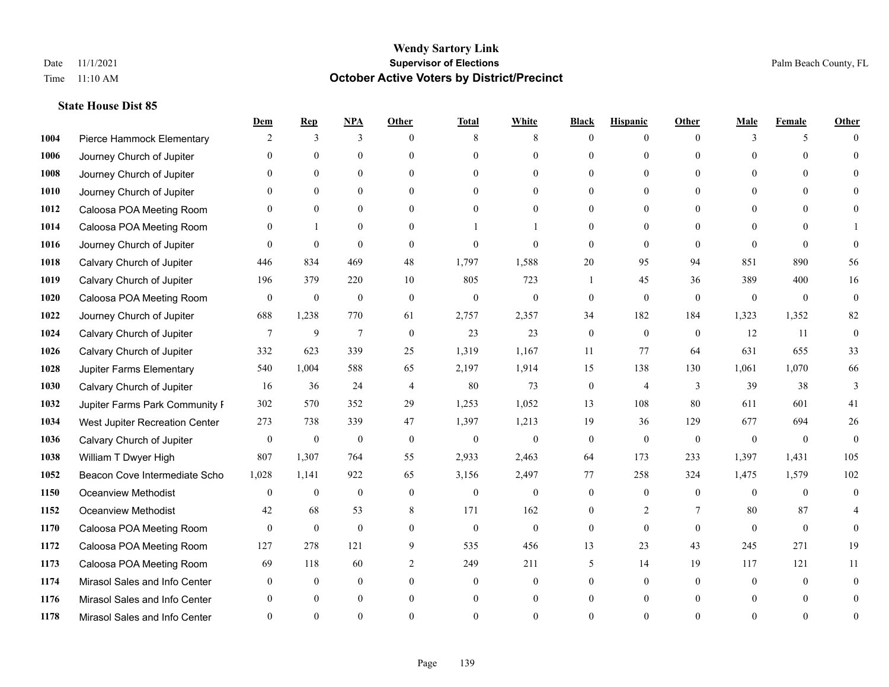|      |                                | Dem              | <b>Rep</b>       | NPA              | <b>Other</b>   | <b>Total</b>     | <b>White</b>     | <b>Black</b>     | <b>Hispanic</b> | <b>Other</b> | <b>Male</b>  | <b>Female</b>  | <b>Other</b> |
|------|--------------------------------|------------------|------------------|------------------|----------------|------------------|------------------|------------------|-----------------|--------------|--------------|----------------|--------------|
| 1004 | Pierce Hammock Elementary      | 2                | 3                | 3                | $\Omega$       | 8                | 8                | $\mathbf{0}$     | $\mathbf{0}$    | $\theta$     | 3            | 5              | $\Omega$     |
| 1006 | Journey Church of Jupiter      | $\Omega$         | $\theta$         | $\theta$         | $\Omega$       | $\Omega$         | $\overline{0}$   | $\theta$         | $\mathbf{0}$    | $\Omega$     | $\Omega$     | $\Omega$       | $\Omega$     |
| 1008 | Journey Church of Jupiter      | $\Omega$         | $\theta$         | $\theta$         | $\Omega$       | $\Omega$         | $\Omega$         | $\Omega$         | $\Omega$        | $\Omega$     | $\Omega$     | $\Omega$       |              |
| 1010 | Journey Church of Jupiter      |                  | $\mathbf{0}$     | $\mathbf{0}$     | $\mathbf{0}$   | $\theta$         | $\mathbf{0}$     | $\overline{0}$   | $\mathbf{0}$    | $\Omega$     | $\mathbf{0}$ | $\theta$       |              |
| 1012 | Caloosa POA Meeting Room       | $\Omega$         | $\theta$         | $\mathbf{0}$     | $\Omega$       | $\Omega$         | $\theta$         | $\theta$         | $\theta$        | $\Omega$     | $\theta$     | $\Omega$       | $\Omega$     |
| 1014 | Caloosa POA Meeting Room       | $\Omega$         | $\mathbf{1}$     | $\mathbf{0}$     | $\Omega$       |                  |                  | $\theta$         | $\theta$        | $\Omega$     | $\theta$     | $\Omega$       |              |
| 1016 | Journey Church of Jupiter      | $\Omega$         | $\mathbf{0}$     | $\mathbf{0}$     | $\mathbf{0}$   | $\theta$         | $\mathbf{0}$     | $\mathbf{0}$     | $\mathbf{0}$    | $\theta$     | $\theta$     | $\theta$       | $\Omega$     |
| 1018 | Calvary Church of Jupiter      | 446              | 834              | 469              | 48             | 1,797            | 1,588            | 20               | 95              | 94           | 851          | 890            | 56           |
| 1019 | Calvary Church of Jupiter      | 196              | 379              | 220              | 10             | 805              | 723              |                  | 45              | 36           | 389          | 400            | 16           |
| 1020 | Caloosa POA Meeting Room       | $\mathbf{0}$     | $\mathbf{0}$     | $\mathbf{0}$     | $\mathbf{0}$   | $\mathbf{0}$     | $\mathbf{0}$     | $\mathbf{0}$     | $\theta$        | $\theta$     | $\mathbf{0}$ | $\mathbf{0}$   | $\mathbf{0}$ |
| 1022 | Journey Church of Jupiter      | 688              | 1,238            | 770              | 61             | 2,757            | 2,357            | 34               | 182             | 184          | 1,323        | 1,352          | 82           |
| 1024 | Calvary Church of Jupiter      | $\tau$           | 9                | $7\phantom{.0}$  | $\mathbf{0}$   | 23               | 23               | $\boldsymbol{0}$ | $\mathbf{0}$    | $\mathbf{0}$ | 12           | 11             | $\theta$     |
| 1026 | Calvary Church of Jupiter      | 332              | 623              | 339              | 25             | 1,319            | 1,167            | 11               | 77              | 64           | 631          | 655            | 33           |
| 1028 | Jupiter Farms Elementary       | 540              | 1,004            | 588              | 65             | 2,197            | 1,914            | 15               | 138             | 130          | 1,061        | 1,070          | 66           |
| 1030 | Calvary Church of Jupiter      | 16               | 36               | 24               | 4              | 80               | 73               | $\boldsymbol{0}$ | 4               | 3            | 39           | 38             | 3            |
| 1032 | Jupiter Farms Park Community I | 302              | 570              | 352              | 29             | 1,253            | 1,052            | 13               | 108             | 80           | 611          | 601            | 41           |
| 1034 | West Jupiter Recreation Center | 273              | 738              | 339              | 47             | 1,397            | 1,213            | 19               | 36              | 129          | 677          | 694            | $26\,$       |
| 1036 | Calvary Church of Jupiter      | $\boldsymbol{0}$ | $\boldsymbol{0}$ | $\boldsymbol{0}$ | $\mathbf{0}$   | $\boldsymbol{0}$ | $\boldsymbol{0}$ | $\mathbf{0}$     | $\mathbf{0}$    | $\mathbf{0}$ | $\theta$     | $\overline{0}$ | $\mathbf{0}$ |
| 1038 | William T Dwyer High           | 807              | 1,307            | 764              | 55             | 2,933            | 2,463            | 64               | 173             | 233          | 1,397        | 1,431          | 105          |
| 1052 | Beacon Cove Intermediate Scho  | 1,028            | 1,141            | 922              | 65             | 3,156            | 2,497            | 77               | 258             | 324          | 1,475        | 1,579          | 102          |
| 1150 | <b>Oceanview Methodist</b>     | $\theta$         | $\mathbf{0}$     | $\mathbf{0}$     | $\Omega$       | $\theta$         | $\mathbf{0}$     | $\theta$         | $\theta$        | $\theta$     | $\Omega$     | $\Omega$       | $\theta$     |
| 1152 | <b>Oceanview Methodist</b>     | 42               | 68               | 53               | 8              | 171              | 162              | $\overline{0}$   | 2               | 7            | 80           | 87             |              |
| 1170 | Caloosa POA Meeting Room       | $\mathbf{0}$     | $\mathbf{0}$     | $\mathbf{0}$     | $\theta$       | $\theta$         | $\mathbf{0}$     | $\mathbf{0}$     | $\theta$        | $\theta$     | $\theta$     | $\theta$       | $\theta$     |
| 1172 | Caloosa POA Meeting Room       | 127              | 278              | 121              | 9              | 535              | 456              | 13               | 23              | 43           | 245          | 271            | 19           |
| 1173 | Caloosa POA Meeting Room       | 69               | 118              | 60               | $\overline{2}$ | 249              | 211              | 5                | 14              | 19           | 117          | 121            | 11           |
| 1174 | Mirasol Sales and Info Center  | $\theta$         | $\mathbf{0}$     | $\mathbf{0}$     | $\theta$       | $\overline{0}$   | $\overline{0}$   | $\theta$         | $\mathbf{0}$    | $\theta$     | $\theta$     | $\theta$       | $\theta$     |
| 1176 | Mirasol Sales and Info Center  |                  | $\theta$         | $\Omega$         | $\theta$       | $\theta$         | $\overline{0}$   | $\theta$         | $\theta$        | $\Omega$     |              | $\theta$       | $\theta$     |
| 1178 | Mirasol Sales and Info Center  |                  | $\Omega$         | $\Omega$         | $\Omega$       | $\Omega$         | $\Omega$         | $\Omega$         | $\Omega$        | $\Omega$     |              | $\Omega$       | $\theta$     |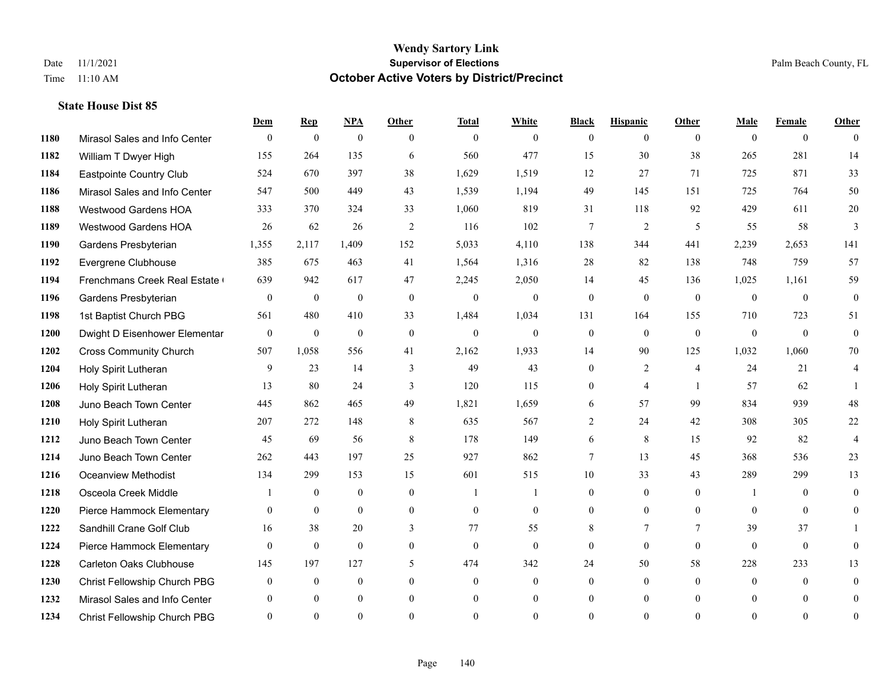|      |                                | Dem          | <b>Rep</b>       | $NPA$        | <b>Other</b> | <b>Total</b>     | <b>White</b>   | <b>Black</b>     | <b>Hispanic</b> | Other          | <b>Male</b>    | <b>Female</b>  | <b>Other</b>   |
|------|--------------------------------|--------------|------------------|--------------|--------------|------------------|----------------|------------------|-----------------|----------------|----------------|----------------|----------------|
| 1180 | Mirasol Sales and Info Center  | $\mathbf{0}$ | $\boldsymbol{0}$ | $\mathbf{0}$ | $\theta$     | $\overline{0}$   | $\overline{0}$ | $\overline{0}$   | $\overline{0}$  | $\theta$       | $\theta$       | $\overline{0}$ | $\theta$       |
| 1182 | William T Dwyer High           | 155          | 264              | 135          | 6            | 560              | 477            | 15               | 30              | 38             | 265            | 281            | 14             |
| 1184 | Eastpointe Country Club        | 524          | 670              | 397          | 38           | 1,629            | 1,519          | 12               | 27              | 71             | 725            | 871            | 33             |
| 1186 | Mirasol Sales and Info Center  | 547          | 500              | 449          | 43           | 1,539            | 1,194          | 49               | 145             | 151            | 725            | 764            | 50             |
| 1188 | Westwood Gardens HOA           | 333          | 370              | 324          | 33           | 1,060            | 819            | 31               | 118             | 92             | 429            | 611            | $20\,$         |
| 1189 | <b>Westwood Gardens HOA</b>    | 26           | 62               | 26           | 2            | 116              | 102            | $\tau$           | 2               | 5              | 55             | 58             | 3              |
| 1190 | Gardens Presbyterian           | 1,355        | 2,117            | 1,409        | 152          | 5,033            | 4,110          | 138              | 344             | 441            | 2,239          | 2,653          | 141            |
| 1192 | Evergrene Clubhouse            | 385          | 675              | 463          | 41           | 1,564            | 1,316          | 28               | 82              | 138            | 748            | 759            | 57             |
| 1194 | Frenchmans Creek Real Estate   | 639          | 942              | 617          | 47           | 2,245            | 2,050          | 14               | 45              | 136            | 1,025          | 1,161          | 59             |
| 1196 | Gardens Presbyterian           | $\mathbf{0}$ | $\mathbf{0}$     | $\mathbf{0}$ | $\mathbf{0}$ | $\mathbf{0}$     | $\overline{0}$ | $\mathbf{0}$     | $\mathbf{0}$    | $\theta$       | $\theta$       | $\theta$       | $\mathbf{0}$   |
| 1198 | 1st Baptist Church PBG         | 561          | 480              | 410          | 33           | 1,484            | 1,034          | 131              | 164             | 155            | 710            | 723            | 51             |
| 1200 | Dwight D Eisenhower Elementar  | $\mathbf{0}$ | $\mathbf{0}$     | $\mathbf{0}$ | $\mathbf{0}$ | $\overline{0}$   | $\overline{0}$ | $\boldsymbol{0}$ | $\mathbf{0}$    | $\mathbf{0}$   | $\mathbf{0}$   | $\theta$       | $\mathbf{0}$   |
| 1202 | <b>Cross Community Church</b>  | 507          | 1,058            | 556          | 41           | 2,162            | 1,933          | 14               | 90              | 125            | 1,032          | 1,060          | 70             |
| 1204 | Holy Spirit Lutheran           | 9            | 23               | 14           | 3            | 49               | 43             | 0                | $\overline{c}$  | $\overline{4}$ | 24             | 21             | $\overline{4}$ |
| 1206 | Holy Spirit Lutheran           | 13           | 80               | 24           | 3            | 120              | 115            | 0                | 4               | $\overline{1}$ | 57             | 62             |                |
| 1208 | Juno Beach Town Center         | 445          | 862              | 465          | 49           | 1,821            | 1,659          | 6                | 57              | 99             | 834            | 939            | 48             |
| 1210 | Holy Spirit Lutheran           | 207          | 272              | 148          | 8            | 635              | 567            | $\overline{2}$   | 24              | 42             | 308            | 305            | 22             |
| 1212 | Juno Beach Town Center         | 45           | 69               | 56           | 8            | 178              | 149            | 6                | 8               | 15             | 92             | 82             | 4              |
| 1214 | Juno Beach Town Center         | 262          | 443              | 197          | 25           | 927              | 862            | 7                | 13              | 45             | 368            | 536            | 23             |
| 1216 | <b>Oceanview Methodist</b>     | 134          | 299              | 153          | 15           | 601              | 515            | 10               | 33              | 43             | 289            | 299            | 13             |
| 1218 | Osceola Creek Middle           |              | $\theta$         | $\theta$     | $\theta$     | $\overline{1}$   |                | $\overline{0}$   | $\Omega$        | $\Omega$       | -1             | $\Omega$       | $\theta$       |
| 1220 | Pierce Hammock Elementary      | $\mathbf{0}$ | $\boldsymbol{0}$ | $\mathbf{0}$ | $\mathbf{0}$ | $\boldsymbol{0}$ | $\overline{0}$ | $\overline{0}$   | $\overline{0}$  | $\mathbf{0}$   | $\overline{0}$ | $\mathbf{0}$   | $\overline{0}$ |
| 1222 | Sandhill Crane Golf Club       | 16           | 38               | 20           | 3            | 77               | 55             | 8                | 7               | 7              | 39             | 37             |                |
| 1224 | Pierce Hammock Elementary      | $\theta$     | $\mathbf{0}$     | $\theta$     | $\theta$     | $\mathbf{0}$     | $\overline{0}$ | $\mathbf{0}$     | $\mathbf{0}$    | $\theta$       | $\theta$       | $\mathbf{0}$   | $\theta$       |
| 1228 | <b>Carleton Oaks Clubhouse</b> | 145          | 197              | 127          | 5            | 474              | 342            | 24               | 50              | 58             | 228            | 233            | 13             |
| 1230 | Christ Fellowship Church PBG   | $\theta$     | $\mathbf{0}$     | $\mathbf{0}$ | $\theta$     | $\mathbf{0}$     | $\overline{0}$ | 0                | $\overline{0}$  | $\theta$       | $\theta$       | $\theta$       | $\mathbf{0}$   |
| 1232 | Mirasol Sales and Info Center  |              | $\Omega$         | $\theta$     | $\theta$     | $\theta$         | $\overline{0}$ | $\overline{0}$   | $\overline{0}$  | $\Omega$       | $\Omega$       | $\theta$       | $\mathbf{0}$   |
| 1234 | Christ Fellowship Church PBG   | $\Omega$     | $\Omega$         | $\theta$     | $\Omega$     | $\Omega$         | $\theta$       | $\theta$         | $\theta$        | $\Omega$       | $\Omega$       | $\Omega$       | $\mathbf{0}$   |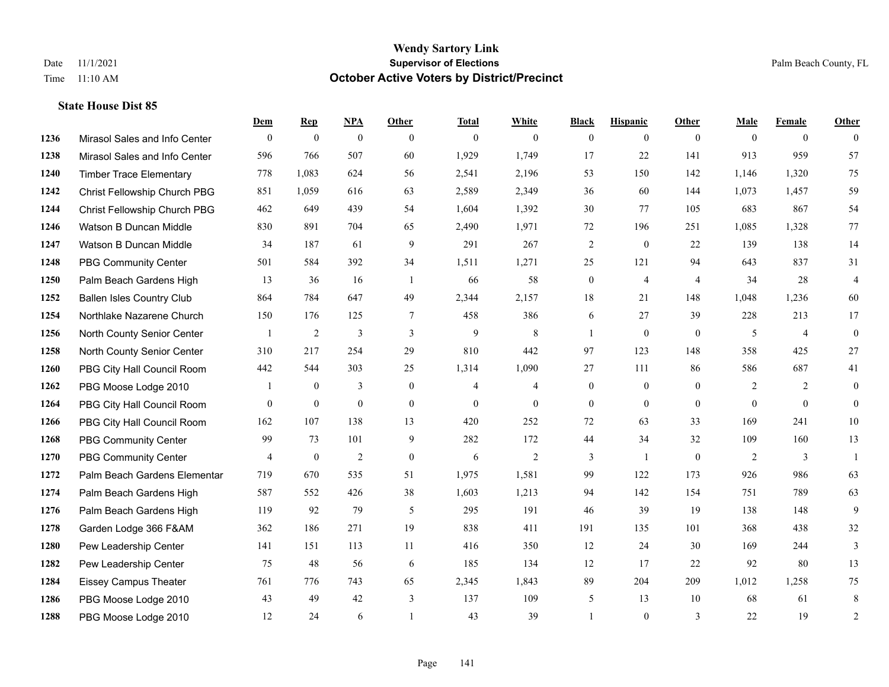|      |                                  | Dem            | <b>Rep</b>     | NPA              | <b>Other</b>   | <b>Total</b> | <b>White</b>   | <b>Black</b>     | <b>Hispanic</b> | <b>Other</b>   | <b>Male</b>    | <b>Female</b>  | <b>Other</b>     |
|------|----------------------------------|----------------|----------------|------------------|----------------|--------------|----------------|------------------|-----------------|----------------|----------------|----------------|------------------|
| 1236 | Mirasol Sales and Info Center    | $\mathbf{0}$   | $\mathbf{0}$   | $\boldsymbol{0}$ | $\theta$       | $\theta$     | $\mathbf{0}$   | $\mathbf{0}$     | $\mathbf{0}$    | $\theta$       | $\theta$       | $\overline{0}$ | $\theta$         |
| 1238 | Mirasol Sales and Info Center    | 596            | 766            | 507              | 60             | 1,929        | 1,749          | 17               | 22              | 141            | 913            | 959            | 57               |
| 1240 | <b>Timber Trace Elementary</b>   | 778            | 1,083          | 624              | 56             | 2,541        | 2,196          | 53               | 150             | 142            | 1,146          | 1,320          | 75               |
| 1242 | Christ Fellowship Church PBG     | 851            | 1,059          | 616              | 63             | 2,589        | 2,349          | 36               | 60              | 144            | 1,073          | 1,457          | 59               |
| 1244 | Christ Fellowship Church PBG     | 462            | 649            | 439              | 54             | 1,604        | 1,392          | 30               | 77              | 105            | 683            | 867            | 54               |
| 1246 | Watson B Duncan Middle           | 830            | 891            | 704              | 65             | 2,490        | 1,971          | 72               | 196             | 251            | 1,085          | 1,328          | 77               |
| 1247 | Watson B Duncan Middle           | 34             | 187            | 61               | 9              | 291          | 267            | $\sqrt{2}$       | $\mathbf{0}$    | 22             | 139            | 138            | 14               |
| 1248 | <b>PBG Community Center</b>      | 501            | 584            | 392              | 34             | 1,511        | 1,271          | 25               | 121             | 94             | 643            | 837            | 31               |
| 1250 | Palm Beach Gardens High          | 13             | 36             | 16               | -1             | 66           | 58             | $\boldsymbol{0}$ | $\overline{4}$  | $\overline{4}$ | 34             | 28             | $\overline{4}$   |
| 1252 | <b>Ballen Isles Country Club</b> | 864            | 784            | 647              | 49             | 2,344        | 2,157          | 18               | 21              | 148            | 1,048          | 1,236          | 60               |
| 1254 | Northlake Nazarene Church        | 150            | 176            | 125              | 7              | 458          | 386            | 6                | 27              | 39             | 228            | 213            | 17               |
| 1256 | North County Senior Center       |                | $\sqrt{2}$     | 3                | 3              | 9            | 8              | 1                | $\mathbf{0}$    | $\overline{0}$ | 5              | $\overline{4}$ | $\mathbf{0}$     |
| 1258 | North County Senior Center       | 310            | 217            | 254              | 29             | 810          | 442            | 97               | 123             | 148            | 358            | 425            | 27               |
| 1260 | PBG City Hall Council Room       | 442            | 544            | 303              | 25             | 1,314        | 1,090          | 27               | 111             | 86             | 586            | 687            | 41               |
| 1262 | PBG Moose Lodge 2010             |                | $\overline{0}$ | 3                | $\overline{0}$ | 4            | 4              | $\boldsymbol{0}$ | $\mathbf{0}$    | $\theta$       | $\overline{2}$ | 2              | $\boldsymbol{0}$ |
| 1264 | PBG City Hall Council Room       | $\mathbf{0}$   | $\mathbf{0}$   | $\mathbf{0}$     | $\theta$       | $\theta$     | $\mathbf{0}$   | $\mathbf{0}$     | $\mathbf{0}$    | $\theta$       | $\Omega$       | $\theta$       | $\mathbf{0}$     |
| 1266 | PBG City Hall Council Room       | 162            | 107            | 138              | 13             | 420          | 252            | 72               | 63              | 33             | 169            | 241            | $10\,$           |
| 1268 | <b>PBG Community Center</b>      | 99             | 73             | 101              | 9              | 282          | 172            | 44               | 34              | 32             | 109            | 160            | 13               |
| 1270 | <b>PBG Community Center</b>      | $\overline{4}$ | $\bf{0}$       | $\overline{2}$   | $\mathbf{0}$   | 6            | $\overline{c}$ | 3                | 1               | $\mathbf{0}$   | $\overline{2}$ | 3              | $\mathbf{1}$     |
| 1272 | Palm Beach Gardens Elementar     | 719            | 670            | 535              | 51             | 1,975        | 1,581          | 99               | 122             | 173            | 926            | 986            | 63               |
| 1274 | Palm Beach Gardens High          | 587            | 552            | 426              | 38             | 1,603        | 1,213          | 94               | 142             | 154            | 751            | 789            | 63               |
| 1276 | Palm Beach Gardens High          | 119            | 92             | 79               | 5              | 295          | 191            | 46               | 39              | 19             | 138            | 148            | 9                |
| 1278 | Garden Lodge 366 F&AM            | 362            | 186            | 271              | 19             | 838          | 411            | 191              | 135             | 101            | 368            | 438            | 32               |
| 1280 | Pew Leadership Center            | 141            | 151            | 113              | 11             | 416          | 350            | 12               | 24              | 30             | 169            | 244            | 3                |
| 1282 | Pew Leadership Center            | 75             | 48             | 56               | 6              | 185          | 134            | 12               | 17              | 22             | 92             | 80             | 13               |
| 1284 | <b>Eissey Campus Theater</b>     | 761            | 776            | 743              | 65             | 2,345        | 1,843          | 89               | 204             | 209            | 1,012          | 1,258          | 75               |
| 1286 | PBG Moose Lodge 2010             | 43             | 49             | 42               | 3              | 137          | 109            | 5                | 13              | 10             | 68             | 61             | 8                |
| 1288 | PBG Moose Lodge 2010             | 12             | 24             | 6                |                | 43           | 39             |                  | $\theta$        | 3              | 22             | 19             | 2                |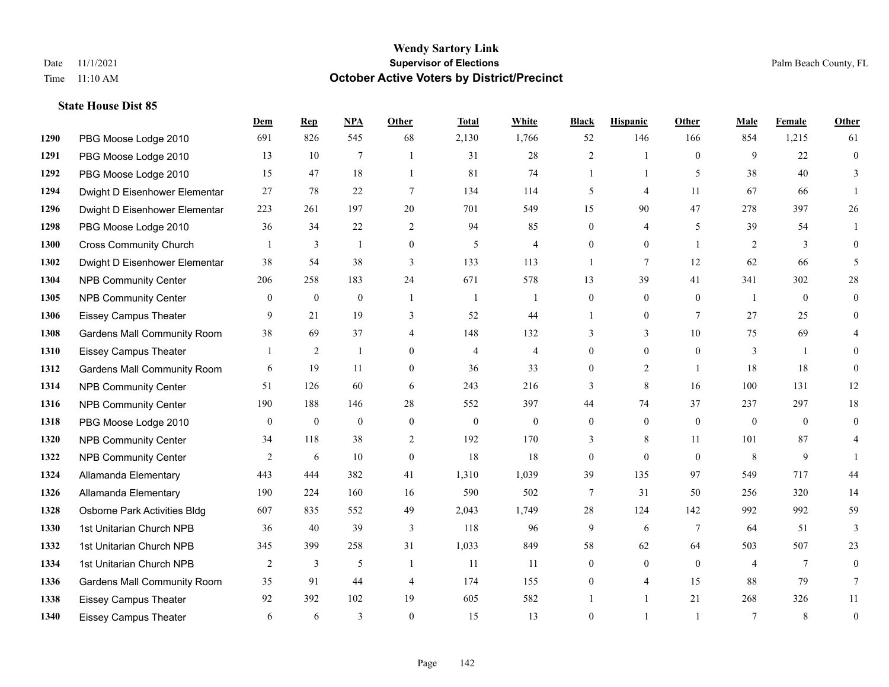|      |                                    | Dem            | <b>Rep</b>       | NPA              | <b>Other</b>     | <b>Total</b>   | <b>White</b>     | <b>Black</b>     | <b>Hispanic</b>  | <b>Other</b>    | <b>Male</b>    | Female         | <b>Other</b> |
|------|------------------------------------|----------------|------------------|------------------|------------------|----------------|------------------|------------------|------------------|-----------------|----------------|----------------|--------------|
| 1290 | PBG Moose Lodge 2010               | 691            | 826              | 545              | 68               | 2,130          | 1,766            | 52               | 146              | 166             | 854            | 1,215          | 61           |
| 1291 | PBG Moose Lodge 2010               | 13             | 10               | $\tau$           |                  | 31             | 28               | $\overline{2}$   |                  | $\theta$        | 9              | 22             | $\mathbf{0}$ |
| 1292 | PBG Moose Lodge 2010               | 15             | 47               | 18               | $\overline{1}$   | 81             | 74               | $\mathbf{1}$     | $\mathbf{1}$     | 5               | 38             | 40             | 3            |
| 1294 | Dwight D Eisenhower Elementar      | 27             | 78               | 22               | $\tau$           | 134            | 114              | 5                | $\overline{4}$   | 11              | 67             | 66             |              |
| 1296 | Dwight D Eisenhower Elementar      | 223            | 261              | 197              | 20               | 701            | 549              | 15               | 90               | 47              | 278            | 397            | 26           |
| 1298 | PBG Moose Lodge 2010               | 36             | 34               | 22               | 2                | 94             | 85               | $\mathbf{0}$     | 4                | 5               | 39             | 54             |              |
| 1300 | <b>Cross Community Church</b>      |                | 3                | 1                | $\overline{0}$   | 5              | $\overline{4}$   | $\overline{0}$   | $\mathbf{0}$     | $\overline{1}$  | 2              | 3              | $\mathbf{0}$ |
| 1302 | Dwight D Eisenhower Elementar      | 38             | 54               | 38               | 3                | 133            | 113              | $\mathbf{1}$     | $\tau$           | 12              | 62             | 66             | 5            |
| 1304 | <b>NPB Community Center</b>        | 206            | 258              | 183              | 24               | 671            | 578              | 13               | 39               | 41              | 341            | 302            | $28\,$       |
| 1305 | <b>NPB Community Center</b>        | $\theta$       | $\mathbf{0}$     | $\mathbf{0}$     | $\overline{1}$   | $\mathbf{1}$   | 1                | $\mathbf{0}$     | $\mathbf{0}$     | $\theta$        | $\overline{1}$ | $\overline{0}$ | $\mathbf{0}$ |
| 1306 | <b>Eissey Campus Theater</b>       | 9              | 21               | 19               | 3                | 52             | 44               | 1                | $\mathbf{0}$     | $\tau$          | 27             | 25             | $\theta$     |
| 1308 | <b>Gardens Mall Community Room</b> | 38             | 69               | 37               | 4                | 148            | 132              | 3                | 3                | 10              | 75             | 69             |              |
| 1310 | <b>Eissey Campus Theater</b>       |                | 2                | $\mathbf{1}$     | $\Omega$         | $\overline{4}$ | 4                | $\theta$         | $\theta$         | $\Omega$        | 3              | $\mathbf{1}$   | $\Omega$     |
| 1312 | <b>Gardens Mall Community Room</b> | 6              | 19               | 11               | $\mathbf{0}$     | 36             | 33               | $\boldsymbol{0}$ | $\overline{c}$   | $\mathbf{1}$    | 18             | 18             | $\mathbf{0}$ |
| 1314 | <b>NPB Community Center</b>        | 51             | 126              | 60               | 6                | 243            | 216              | 3                | 8                | 16              | 100            | 131            | 12           |
| 1316 | <b>NPB Community Center</b>        | 190            | 188              | 146              | 28               | 552            | 397              | 44               | 74               | 37              | 237            | 297            | 18           |
| 1318 | PBG Moose Lodge 2010               | $\bf{0}$       | $\boldsymbol{0}$ | $\boldsymbol{0}$ | $\boldsymbol{0}$ | $\mathbf{0}$   | $\boldsymbol{0}$ | $\boldsymbol{0}$ | $\boldsymbol{0}$ | $\mathbf{0}$    | $\mathbf{0}$   | $\mathbf{0}$   | $\mathbf{0}$ |
| 1320 | <b>NPB Community Center</b>        | 34             | 118              | 38               | 2                | 192            | 170              | 3                | 8                | 11              | 101            | 87             | 4            |
| 1322 | <b>NPB Community Center</b>        | $\overline{2}$ | 6                | 10               | $\overline{0}$   | 18             | 18               | $\mathbf{0}$     | $\mathbf{0}$     | $\theta$        | 8              | 9              |              |
| 1324 | Allamanda Elementary               | 443            | 444              | 382              | 41               | 1,310          | 1,039            | 39               | 135              | 97              | 549            | 717            | $44\,$       |
| 1326 | Allamanda Elementary               | 190            | 224              | 160              | 16               | 590            | 502              | 7                | 31               | 50              | 256            | 320            | 14           |
| 1328 | Osborne Park Activities Bldg       | 607            | 835              | 552              | 49               | 2,043          | 1,749            | 28               | 124              | 142             | 992            | 992            | 59           |
| 1330 | 1st Unitarian Church NPB           | 36             | 40               | 39               | 3                | 118            | 96               | 9                | 6                | $7\phantom{.0}$ | 64             | 51             | 3            |
| 1332 | 1st Unitarian Church NPB           | 345            | 399              | 258              | 31               | 1,033          | 849              | 58               | 62               | 64              | 503            | 507            | 23           |
| 1334 | 1st Unitarian Church NPB           | 2              | 3                | 5                | $\overline{1}$   | 11             | 11               | $\mathbf{0}$     | $\mathbf{0}$     | $\theta$        | 4              | $\tau$         | $\mathbf{0}$ |
| 1336 | <b>Gardens Mall Community Room</b> | 35             | 91               | 44               | 4                | 174            | 155              | 0                | 4                | 15              | 88             | 79             | 7            |
| 1338 | <b>Eissey Campus Theater</b>       | 92             | 392              | 102              | 19               | 605            | 582              |                  |                  | 21              | 268            | 326            | 11           |
| 1340 | <b>Eissey Campus Theater</b>       | 6              | 6                | 3                | $\Omega$         | 15             | 13               | $\theta$         |                  |                 | $\tau$         | 8              | $\mathbf{0}$ |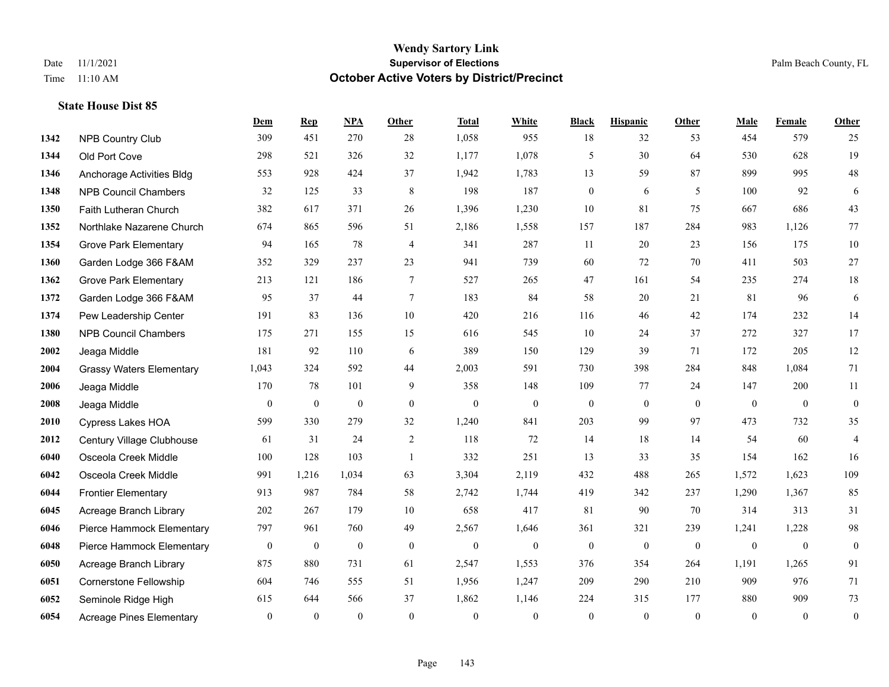|      |                                 | Dem          | <b>Rep</b>       | NPA              | <b>Other</b>   | <b>Total</b>     | <b>White</b> | <b>Black</b>     | <b>Hispanic</b>  | <b>Other</b> | <b>Male</b>      | Female       | Other            |
|------|---------------------------------|--------------|------------------|------------------|----------------|------------------|--------------|------------------|------------------|--------------|------------------|--------------|------------------|
| 1342 | <b>NPB Country Club</b>         | 309          | 451              | 270              | 28             | 1,058            | 955          | 18               | 32               | 53           | 454              | 579          | 25               |
| 1344 | Old Port Cove                   | 298          | 521              | 326              | 32             | 1,177            | 1,078        | 5                | 30               | 64           | 530              | 628          | 19               |
| 1346 | Anchorage Activities Bldg       | 553          | 928              | 424              | 37             | 1,942            | 1,783        | 13               | 59               | 87           | 899              | 995          | $48\,$           |
| 1348 | <b>NPB Council Chambers</b>     | 32           | 125              | 33               | $\,8\,$        | 198              | 187          | $\boldsymbol{0}$ | 6                | 5            | 100              | 92           | 6                |
| 1350 | Faith Lutheran Church           | 382          | 617              | 371              | 26             | 1,396            | 1,230        | 10               | 81               | 75           | 667              | 686          | 43               |
| 1352 | Northlake Nazarene Church       | 674          | 865              | 596              | 51             | 2,186            | 1,558        | 157              | 187              | 284          | 983              | 1,126        | 77               |
| 1354 | <b>Grove Park Elementary</b>    | 94           | 165              | 78               | $\overline{4}$ | 341              | 287          | 11               | 20               | 23           | 156              | 175          | $10\,$           |
| 1360 | Garden Lodge 366 F&AM           | 352          | 329              | 237              | 23             | 941              | 739          | 60               | 72               | 70           | 411              | 503          | 27               |
| 1362 | <b>Grove Park Elementary</b>    | 213          | 121              | 186              | $\tau$         | 527              | 265          | 47               | 161              | 54           | 235              | 274          | 18               |
| 1372 | Garden Lodge 366 F&AM           | 95           | 37               | 44               | $\tau$         | 183              | 84           | 58               | 20               | 21           | 81               | 96           | $\sqrt{6}$       |
| 1374 | Pew Leadership Center           | 191          | 83               | 136              | 10             | 420              | 216          | 116              | 46               | 42           | 174              | 232          | 14               |
| 1380 | <b>NPB Council Chambers</b>     | 175          | 271              | 155              | 15             | 616              | 545          | 10               | 24               | 37           | 272              | 327          | 17               |
| 2002 | Jeaga Middle                    | 181          | 92               | 110              | 6              | 389              | 150          | 129              | 39               | 71           | 172              | 205          | 12               |
| 2004 | <b>Grassy Waters Elementary</b> | 1,043        | 324              | 592              | 44             | 2,003            | 591          | 730              | 398              | 284          | 848              | 1,084        | 71               |
| 2006 | Jeaga Middle                    | 170          | 78               | 101              | 9              | 358              | 148          | 109              | 77               | 24           | 147              | 200          | 11               |
| 2008 | Jeaga Middle                    | $\mathbf{0}$ | $\mathbf{0}$     | $\mathbf{0}$     | $\mathbf{0}$   | $\mathbf{0}$     | $\mathbf{0}$ | $\boldsymbol{0}$ | $\mathbf{0}$     | $\theta$     | $\mathbf{0}$     | $\mathbf{0}$ | $\boldsymbol{0}$ |
| 2010 | <b>Cypress Lakes HOA</b>        | 599          | 330              | 279              | 32             | 1,240            | 841          | 203              | 99               | 97           | 473              | 732          | 35               |
| 2012 | Century Village Clubhouse       | 61           | 31               | 24               | 2              | 118              | 72           | 14               | 18               | 14           | 54               | 60           | $\overline{4}$   |
| 6040 | Osceola Creek Middle            | 100          | 128              | 103              | -1             | 332              | 251          | 13               | 33               | 35           | 154              | 162          | 16               |
| 6042 | Osceola Creek Middle            | 991          | 1,216            | 1,034            | 63             | 3,304            | 2,119        | 432              | 488              | 265          | 1,572            | 1,623        | 109              |
| 6044 | <b>Frontier Elementary</b>      | 913          | 987              | 784              | 58             | 2,742            | 1,744        | 419              | 342              | 237          | 1,290            | 1,367        | 85               |
| 6045 | Acreage Branch Library          | 202          | 267              | 179              | 10             | 658              | 417          | 81               | 90               | 70           | 314              | 313          | 31               |
| 6046 | Pierce Hammock Elementary       | 797          | 961              | 760              | 49             | 2,567            | 1,646        | 361              | 321              | 239          | 1,241            | 1,228        | 98               |
| 6048 | Pierce Hammock Elementary       | $\mathbf{0}$ | $\boldsymbol{0}$ | $\boldsymbol{0}$ | $\mathbf{0}$   | $\boldsymbol{0}$ | $\mathbf{0}$ | $\boldsymbol{0}$ | $\boldsymbol{0}$ | $\mathbf{0}$ | $\boldsymbol{0}$ | $\mathbf{0}$ | $\boldsymbol{0}$ |
| 6050 | Acreage Branch Library          | 875          | 880              | 731              | 61             | 2,547            | 1,553        | 376              | 354              | 264          | 1,191            | 1,265        | 91               |
| 6051 | Cornerstone Fellowship          | 604          | 746              | 555              | 51             | 1,956            | 1,247        | 209              | 290              | 210          | 909              | 976          | 71               |
| 6052 | Seminole Ridge High             | 615          | 644              | 566              | 37             | 1,862            | 1,146        | 224              | 315              | 177          | 880              | 909          | 73               |
| 6054 | <b>Acreage Pines Elementary</b> | $\mathbf{0}$ | $\mathbf{0}$     | $\mathbf{0}$     | $\theta$       | $\theta$         | $\mathbf{0}$ | $\mathbf{0}$     | $\mathbf{0}$     | $\mathbf{0}$ | $\theta$         | $\mathbf{0}$ | $\boldsymbol{0}$ |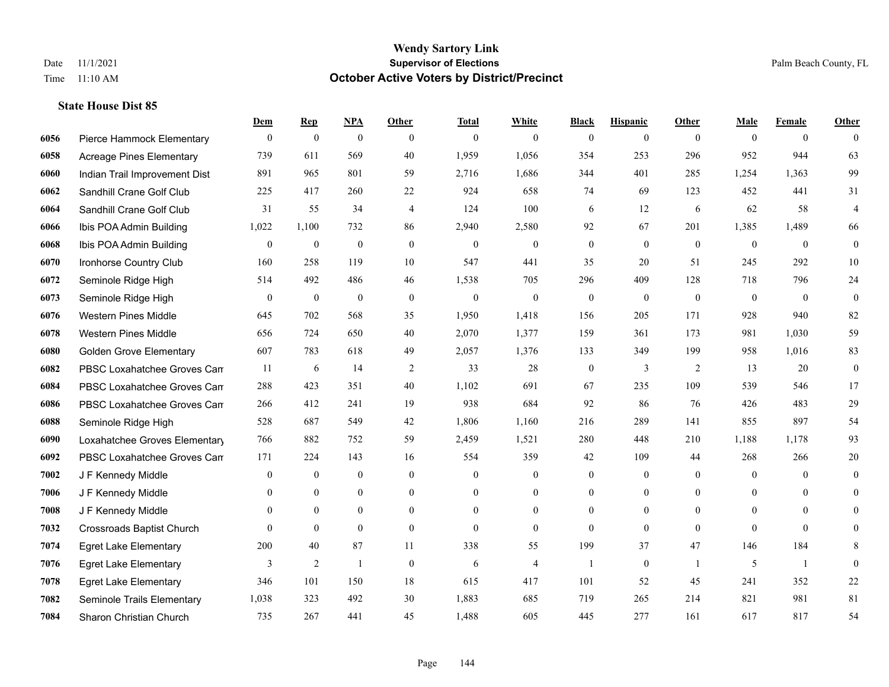|      |                                  | Dem          | <b>Rep</b>       | NPA              | <b>Other</b>   | <b>Total</b>     | <b>White</b>     | <b>Black</b>     | <b>Hispanic</b>  | Other          | <b>Male</b>    | <b>Female</b>  | <b>Other</b>     |
|------|----------------------------------|--------------|------------------|------------------|----------------|------------------|------------------|------------------|------------------|----------------|----------------|----------------|------------------|
| 6056 | Pierce Hammock Elementary        | $\mathbf{0}$ | $\boldsymbol{0}$ | $\boldsymbol{0}$ | $\theta$       | $\mathbf{0}$     | $\overline{0}$   | $\overline{0}$   | $\overline{0}$   | $\theta$       | $\theta$       | $\overline{0}$ | $\theta$         |
| 6058 | <b>Acreage Pines Elementary</b>  | 739          | 611              | 569              | 40             | 1,959            | 1,056            | 354              | 253              | 296            | 952            | 944            | 63               |
| 6060 | Indian Trail Improvement Dist    | 891          | 965              | 801              | 59             | 2,716            | 1,686            | 344              | 401              | 285            | 1,254          | 1,363          | 99               |
| 6062 | Sandhill Crane Golf Club         | 225          | 417              | 260              | 22             | 924              | 658              | 74               | 69               | 123            | 452            | 441            | 31               |
| 6064 | Sandhill Crane Golf Club         | 31           | 55               | 34               | $\overline{4}$ | 124              | 100              | 6                | 12               | 6              | 62             | 58             | $\overline{4}$   |
| 6066 | Ibis POA Admin Building          | 1,022        | 1,100            | 732              | 86             | 2,940            | 2,580            | 92               | 67               | 201            | 1,385          | 1,489          | 66               |
| 6068 | Ibis POA Admin Building          | $\mathbf{0}$ | $\boldsymbol{0}$ | $\boldsymbol{0}$ | $\mathbf{0}$   | $\boldsymbol{0}$ | $\boldsymbol{0}$ | $\boldsymbol{0}$ | $\mathbf{0}$     | $\mathbf{0}$   | $\mathbf{0}$   | $\mathbf{0}$   | $\boldsymbol{0}$ |
| 6070 | Ironhorse Country Club           | 160          | 258              | 119              | 10             | 547              | 441              | 35               | 20               | 51             | 245            | 292            | 10               |
| 6072 | Seminole Ridge High              | 514          | 492              | 486              | 46             | 1,538            | 705              | 296              | 409              | 128            | 718            | 796            | 24               |
| 6073 | Seminole Ridge High              | $\mathbf{0}$ | $\boldsymbol{0}$ | $\mathbf{0}$     | $\mathbf{0}$   | $\mathbf{0}$     | $\overline{0}$   | $\mathbf{0}$     | $\mathbf{0}$     | $\theta$       | $\mathbf{0}$   | $\theta$       | $\mathbf{0}$     |
| 6076 | <b>Western Pines Middle</b>      | 645          | 702              | 568              | 35             | 1,950            | 1,418            | 156              | 205              | 171            | 928            | 940            | 82               |
| 6078 | <b>Western Pines Middle</b>      | 656          | 724              | 650              | 40             | 2,070            | 1,377            | 159              | 361              | 173            | 981            | 1,030          | 59               |
| 6080 | <b>Golden Grove Elementary</b>   | 607          | 783              | 618              | 49             | 2,057            | 1,376            | 133              | 349              | 199            | 958            | 1,016          | 83               |
| 6082 | PBSC Loxahatchee Groves Can      | 11           | 6                | 14               | 2              | 33               | 28               | $\boldsymbol{0}$ | 3                | $\overline{2}$ | 13             | 20             | $\bf{0}$         |
| 6084 | PBSC Loxahatchee Groves Can      | 288          | 423              | 351              | 40             | 1,102            | 691              | 67               | 235              | 109            | 539            | 546            | 17               |
| 6086 | PBSC Loxahatchee Groves Can      | 266          | 412              | 241              | 19             | 938              | 684              | 92               | 86               | 76             | 426            | 483            | 29               |
| 6088 | Seminole Ridge High              | 528          | 687              | 549              | 42             | 1,806            | 1,160            | 216              | 289              | 141            | 855            | 897            | 54               |
| 6090 | Loxahatchee Groves Elementary    | 766          | 882              | 752              | 59             | 2,459            | 1,521            | 280              | 448              | 210            | 1,188          | 1,178          | 93               |
| 6092 | PBSC Loxahatchee Groves Can      | 171          | 224              | 143              | 16             | 554              | 359              | 42               | 109              | 44             | 268            | 266            | $20\,$           |
| 7002 | J F Kennedy Middle               | $\mathbf{0}$ | $\mathbf{0}$     | $\mathbf{0}$     | $\mathbf{0}$   | $\overline{0}$   | $\boldsymbol{0}$ | $\mathbf{0}$     | $\overline{0}$   | $\theta$       | $\overline{0}$ | $\theta$       | $\mathbf{0}$     |
| 7006 | J F Kennedy Middle               | $\theta$     | $\theta$         | $\theta$         | $\theta$       | $\Omega$         | $\theta$         | $\overline{0}$   | $\overline{0}$   | $\Omega$       | $\theta$       | $\theta$       | $\Omega$         |
| 7008 | J F Kennedy Middle               | $\mathbf{0}$ | $\overline{0}$   | $\boldsymbol{0}$ | $\overline{0}$ | $\theta$         | $\boldsymbol{0}$ | 0                | $\overline{0}$   | $\theta$       | $\mathbf{0}$   | $\theta$       | $\theta$         |
| 7032 | <b>Crossroads Baptist Church</b> | $\theta$     | $\overline{0}$   | $\mathbf{0}$     | $\mathbf{0}$   | $\theta$         | $\overline{0}$   | $\mathbf{0}$     | $\overline{0}$   | $\theta$       | $\theta$       | $\theta$       | 0                |
| 7074 | <b>Egret Lake Elementary</b>     | 200          | 40               | 87               | 11             | 338              | 55               | 199              | 37               | 47             | 146            | 184            | 8                |
| 7076 | <b>Egret Lake Elementary</b>     | 3            | $\sqrt{2}$       | $\mathbf{1}$     | $\mathbf{0}$   | 6                | $\overline{4}$   | $\overline{1}$   | $\boldsymbol{0}$ | $\overline{1}$ | 5              | $\overline{1}$ | $\mathbf{0}$     |
| 7078 | <b>Egret Lake Elementary</b>     | 346          | 101              | 150              | 18             | 615              | 417              | 101              | 52               | 45             | 241            | 352            | $22\,$           |
| 7082 | Seminole Trails Elementary       | 1,038        | 323              | 492              | 30             | 1,883            | 685              | 719              | 265              | 214            | 821            | 981            | 81               |
| 7084 | Sharon Christian Church          | 735          | 267              | 441              | 45             | 1,488            | 605              | 445              | 277              | 161            | 617            | 817            | 54               |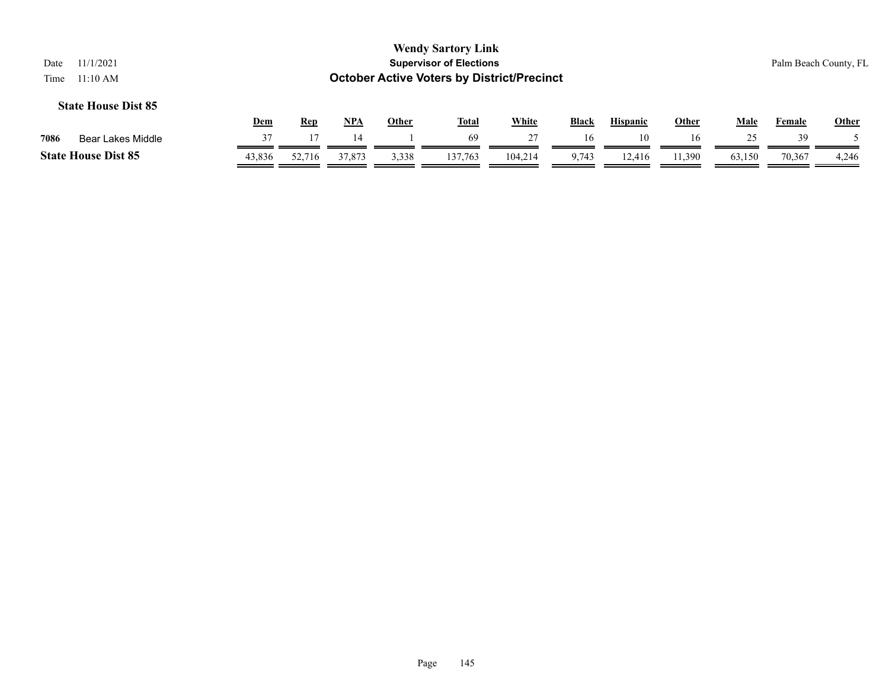|      |                            | Dem    | Rep    | <b>NPA</b> | Other | <b>Total</b> | White    | <b>Black</b> | <b>Hispanic</b> | Other | Male   | Female | <b>Other</b> |
|------|----------------------------|--------|--------|------------|-------|--------------|----------|--------------|-----------------|-------|--------|--------|--------------|
| 7086 | Lakes Middle<br>Bear       |        |        |            |       | 69           | <u>.</u> |              |                 | ١b    |        | 39     |              |
|      | <b>State House Dist 85</b> | 43.836 | 52.716 | 37,873     | 3,338 | 137,763      | 104,214  | 9,743        | 12,416          | 1,390 | 63.150 | 70,367 | 4,246        |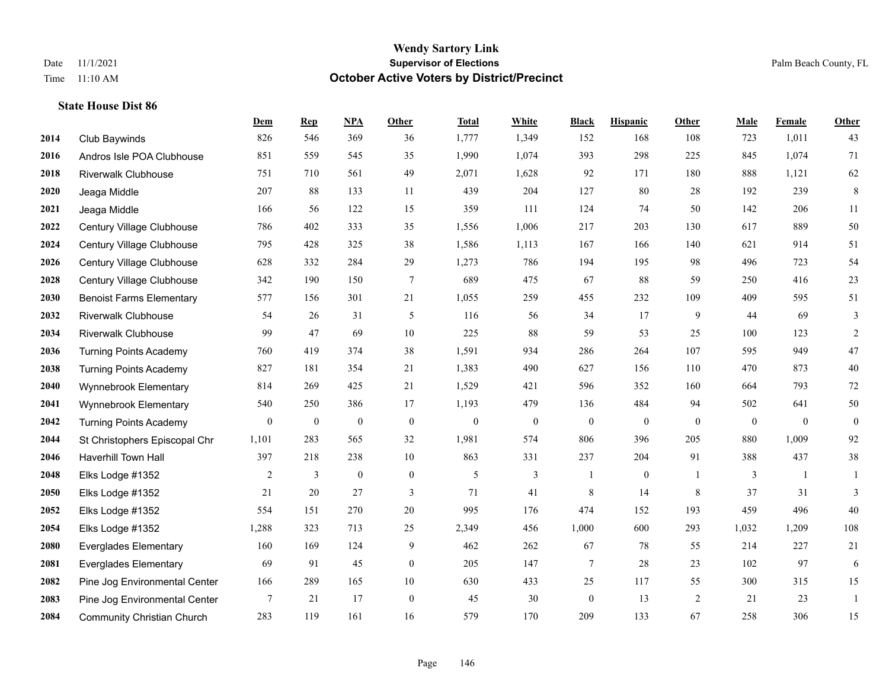|      |                                   | Dem              | <b>Rep</b>       | NPA              | <b>Other</b>     | <b>Total</b>     | <b>White</b>     | <b>Black</b>     | <b>Hispanic</b>  | <b>Other</b> | <b>Male</b>      | <b>Female</b> | <b>Other</b>     |
|------|-----------------------------------|------------------|------------------|------------------|------------------|------------------|------------------|------------------|------------------|--------------|------------------|---------------|------------------|
| 2014 | Club Baywinds                     | 826              | 546              | 369              | 36               | 1,777            | 1,349            | 152              | 168              | 108          | 723              | 1,011         | 43               |
| 2016 | Andros Isle POA Clubhouse         | 851              | 559              | 545              | 35               | 1,990            | 1,074            | 393              | 298              | 225          | 845              | 1,074         | 71               |
| 2018 | <b>Riverwalk Clubhouse</b>        | 751              | 710              | 561              | 49               | 2,071            | 1,628            | 92               | 171              | 180          | 888              | 1,121         | 62               |
| 2020 | Jeaga Middle                      | 207              | 88               | 133              | 11               | 439              | 204              | 127              | 80               | 28           | 192              | 239           | $\,8\,$          |
| 2021 | Jeaga Middle                      | 166              | 56               | 122              | 15               | 359              | 111              | 124              | 74               | 50           | 142              | 206           | 11               |
| 2022 | Century Village Clubhouse         | 786              | 402              | 333              | 35               | 1,556            | 1,006            | 217              | 203              | 130          | 617              | 889           | $50\,$           |
| 2024 | Century Village Clubhouse         | 795              | 428              | 325              | 38               | 1,586            | 1,113            | 167              | 166              | 140          | 621              | 914           | 51               |
| 2026 | Century Village Clubhouse         | 628              | 332              | 284              | 29               | 1,273            | 786              | 194              | 195              | 98           | 496              | 723           | 54               |
| 2028 | Century Village Clubhouse         | 342              | 190              | 150              | $\tau$           | 689              | 475              | 67               | 88               | 59           | 250              | 416           | $23\,$           |
| 2030 | <b>Benoist Farms Elementary</b>   | 577              | 156              | 301              | 21               | 1,055            | 259              | 455              | 232              | 109          | 409              | 595           | 51               |
| 2032 | <b>Riverwalk Clubhouse</b>        | 54               | 26               | 31               | 5                | 116              | 56               | 34               | 17               | 9            | 44               | 69            | $\mathfrak{Z}$   |
| 2034 | <b>Riverwalk Clubhouse</b>        | 99               | 47               | 69               | 10               | 225              | 88               | 59               | 53               | 25           | 100              | 123           | 2                |
| 2036 | <b>Turning Points Academy</b>     | 760              | 419              | 374              | 38               | 1,591            | 934              | 286              | 264              | 107          | 595              | 949           | $47\,$           |
| 2038 | <b>Turning Points Academy</b>     | 827              | 181              | 354              | 21               | 1,383            | 490              | 627              | 156              | 110          | 470              | 873           | $40\,$           |
| 2040 | Wynnebrook Elementary             | 814              | 269              | 425              | 21               | 1,529            | 421              | 596              | 352              | 160          | 664              | 793           | 72               |
| 2041 | Wynnebrook Elementary             | 540              | 250              | 386              | 17               | 1,193            | 479              | 136              | 484              | 94           | 502              | 641           | 50               |
| 2042 | <b>Turning Points Academy</b>     | $\boldsymbol{0}$ | $\boldsymbol{0}$ | $\boldsymbol{0}$ | $\boldsymbol{0}$ | $\boldsymbol{0}$ | $\boldsymbol{0}$ | $\boldsymbol{0}$ | $\boldsymbol{0}$ | $\mathbf{0}$ | $\boldsymbol{0}$ | $\mathbf{0}$  | $\boldsymbol{0}$ |
| 2044 | St Christophers Episcopal Chr     | 1,101            | 283              | 565              | 32               | 1,981            | 574              | 806              | 396              | 205          | 880              | 1,009         | 92               |
| 2046 | Haverhill Town Hall               | 397              | 218              | 238              | 10               | 863              | 331              | 237              | 204              | 91           | 388              | 437           | 38               |
| 2048 | Elks Lodge #1352                  | $\overline{2}$   | $\mathfrak{Z}$   | $\boldsymbol{0}$ | $\mathbf{0}$     | 5                | 3                | 1                | $\boldsymbol{0}$ | -1           | 3                | -1            | 1                |
| 2050 | Elks Lodge #1352                  | 21               | 20               | 27               | 3                | 71               | 41               | 8                | 14               | 8            | 37               | 31            | 3                |
| 2052 | Elks Lodge #1352                  | 554              | 151              | 270              | 20               | 995              | 176              | 474              | 152              | 193          | 459              | 496           | 40               |
| 2054 | Elks Lodge #1352                  | 1,288            | 323              | 713              | 25               | 2,349            | 456              | 1,000            | 600              | 293          | 1,032            | 1,209         | 108              |
| 2080 | <b>Everglades Elementary</b>      | 160              | 169              | 124              | 9                | 462              | 262              | 67               | 78               | 55           | 214              | 227           | 21               |
| 2081 | <b>Everglades Elementary</b>      | 69               | 91               | 45               | $\overline{0}$   | 205              | 147              | $\tau$           | 28               | 23           | 102              | 97            | 6                |
| 2082 | Pine Jog Environmental Center     | 166              | 289              | 165              | 10               | 630              | 433              | 25               | 117              | 55           | 300              | 315           | 15               |
| 2083 | Pine Jog Environmental Center     | $\tau$           | 21               | 17               | $\mathbf{0}$     | 45               | 30               | $\boldsymbol{0}$ | 13               | 2            | 21               | 23            | $\mathbf{1}$     |
| 2084 | <b>Community Christian Church</b> | 283              | 119              | 161              | 16               | 579              | 170              | 209              | 133              | 67           | 258              | 306           | 15               |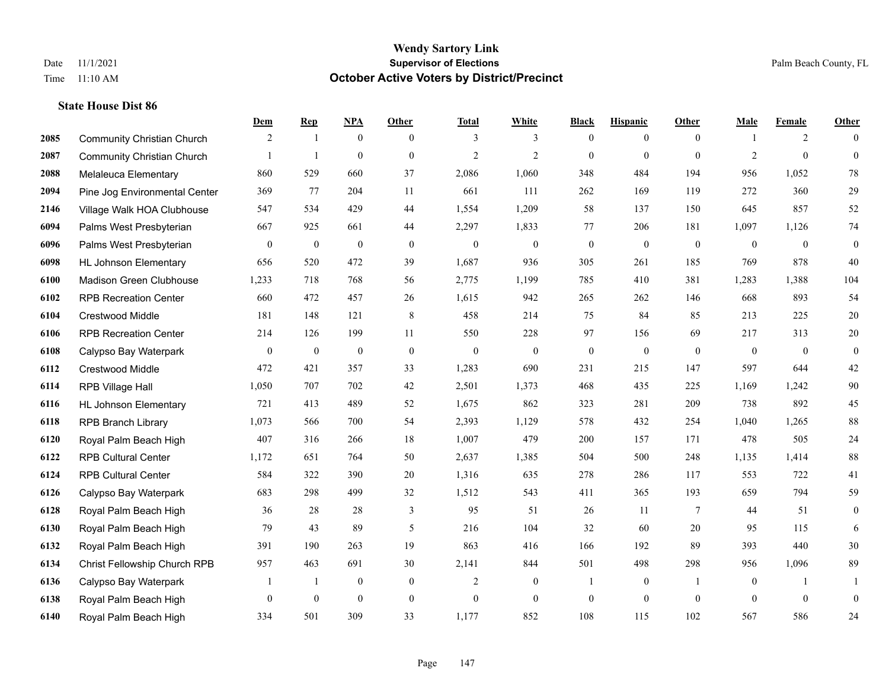|      |                                   | Dem              | <b>Rep</b>       | NPA              | <b>Other</b>     | <b>Total</b>   | <b>White</b>     | <b>Black</b>     | <b>Hispanic</b>  | <b>Other</b>   | <b>Male</b>  | <b>Female</b>  | <b>Other</b>     |
|------|-----------------------------------|------------------|------------------|------------------|------------------|----------------|------------------|------------------|------------------|----------------|--------------|----------------|------------------|
| 2085 | <b>Community Christian Church</b> | 2                | $\mathbf{1}$     | $\mathbf{0}$     | $\overline{0}$   | 3              | 3                | $\mathbf{0}$     | $\overline{0}$   | $\theta$       |              | 2              | $\theta$         |
| 2087 | <b>Community Christian Church</b> |                  | $\overline{1}$   | $\mathbf{0}$     | $\Omega$         | $\overline{2}$ | $\overline{2}$   | $\mathbf{0}$     | $\mathbf{0}$     | $\theta$       | 2            | $\theta$       | $\mathbf{0}$     |
| 2088 | Melaleuca Elementary              | 860              | 529              | 660              | 37               | 2,086          | 1,060            | 348              | 484              | 194            | 956          | 1,052          | $78\,$           |
| 2094 | Pine Jog Environmental Center     | 369              | 77               | 204              | 11               | 661            | 111              | 262              | 169              | 119            | 272          | 360            | 29               |
| 2146 | Village Walk HOA Clubhouse        | 547              | 534              | 429              | 44               | 1,554          | 1,209            | 58               | 137              | 150            | 645          | 857            | 52               |
| 6094 | Palms West Presbyterian           | 667              | 925              | 661              | 44               | 2,297          | 1,833            | 77               | 206              | 181            | 1,097        | 1,126          | $74\,$           |
| 6096 | Palms West Presbyterian           | $\boldsymbol{0}$ | $\bf{0}$         | $\boldsymbol{0}$ | $\boldsymbol{0}$ | $\mathbf{0}$   | $\boldsymbol{0}$ | $\boldsymbol{0}$ | $\boldsymbol{0}$ | $\mathbf{0}$   | $\mathbf{0}$ | $\overline{0}$ | $\boldsymbol{0}$ |
| 6098 | <b>HL Johnson Elementary</b>      | 656              | 520              | 472              | 39               | 1,687          | 936              | 305              | 261              | 185            | 769          | 878            | 40               |
| 6100 | Madison Green Clubhouse           | 1,233            | 718              | 768              | 56               | 2,775          | 1,199            | 785              | 410              | 381            | 1,283        | 1,388          | 104              |
| 6102 | <b>RPB Recreation Center</b>      | 660              | 472              | 457              | 26               | 1,615          | 942              | 265              | 262              | 146            | 668          | 893            | 54               |
| 6104 | <b>Crestwood Middle</b>           | 181              | 148              | 121              | 8                | 458            | 214              | 75               | 84               | 85             | 213          | 225            | $20\,$           |
| 6106 | <b>RPB Recreation Center</b>      | 214              | 126              | 199              | 11               | 550            | 228              | 97               | 156              | 69             | 217          | 313            | $20\,$           |
| 6108 | Calypso Bay Waterpark             | $\boldsymbol{0}$ | $\boldsymbol{0}$ | $\boldsymbol{0}$ | $\mathbf{0}$     | $\mathbf{0}$   | $\mathbf{0}$     | $\boldsymbol{0}$ | $\boldsymbol{0}$ | $\theta$       | $\mathbf{0}$ | $\overline{0}$ | $\boldsymbol{0}$ |
| 6112 | Crestwood Middle                  | 472              | 421              | 357              | 33               | 1,283          | 690              | 231              | 215              | 147            | 597          | 644            | $42\,$           |
| 6114 | RPB Village Hall                  | 1,050            | 707              | 702              | 42               | 2,501          | 1,373            | 468              | 435              | 225            | 1,169        | 1,242          | $90\,$           |
| 6116 | <b>HL Johnson Elementary</b>      | 721              | 413              | 489              | 52               | 1,675          | 862              | 323              | 281              | 209            | 738          | 892            | 45               |
| 6118 | <b>RPB Branch Library</b>         | 1,073            | 566              | 700              | 54               | 2,393          | 1,129            | 578              | 432              | 254            | 1,040        | 1,265          | $88\,$           |
| 6120 | Royal Palm Beach High             | 407              | 316              | 266              | 18               | 1,007          | 479              | 200              | 157              | 171            | 478          | 505            | $24\,$           |
| 6122 | <b>RPB Cultural Center</b>        | 1,172            | 651              | 764              | 50               | 2,637          | 1,385            | 504              | 500              | 248            | 1,135        | 1,414          | $88\,$           |
| 6124 | <b>RPB Cultural Center</b>        | 584              | 322              | 390              | 20               | 1,316          | 635              | 278              | 286              | 117            | 553          | 722            | 41               |
| 6126 | Calypso Bay Waterpark             | 683              | 298              | 499              | 32               | 1,512          | 543              | 411              | 365              | 193            | 659          | 794            | 59               |
| 6128 | Royal Palm Beach High             | 36               | $28\,$           | 28               | $\mathfrak{Z}$   | 95             | 51               | 26               | 11               | $\overline{7}$ | 44           | 51             | $\boldsymbol{0}$ |
| 6130 | Royal Palm Beach High             | 79               | 43               | 89               | 5                | 216            | 104              | 32               | 60               | 20             | 95           | 115            | 6                |
| 6132 | Royal Palm Beach High             | 391              | 190              | 263              | 19               | 863            | 416              | 166              | 192              | 89             | 393          | 440            | $30\,$           |
| 6134 | Christ Fellowship Church RPB      | 957              | 463              | 691              | 30               | 2,141          | 844              | 501              | 498              | 298            | 956          | 1,096          | 89               |
| 6136 | Calypso Bay Waterpark             |                  | $\mathbf{1}$     | $\boldsymbol{0}$ | $\mathbf{0}$     | $\overline{2}$ | $\boldsymbol{0}$ | 1                | $\boldsymbol{0}$ | $\overline{1}$ | $\mathbf{0}$ |                | 1                |
| 6138 | Royal Palm Beach High             | $\mathbf{0}$     | $\mathbf{0}$     | $\mathbf{0}$     | $\overline{0}$   | $\mathbf{0}$   | $\overline{0}$   | $\boldsymbol{0}$ | $\mathbf{0}$     | $\mathbf{0}$   | $\theta$     | $\mathbf{0}$   | $\mathbf{0}$     |
| 6140 | Royal Palm Beach High             | 334              | 501              | 309              | 33               | 1,177          | 852              | 108              | 115              | 102            | 567          | 586            | 24               |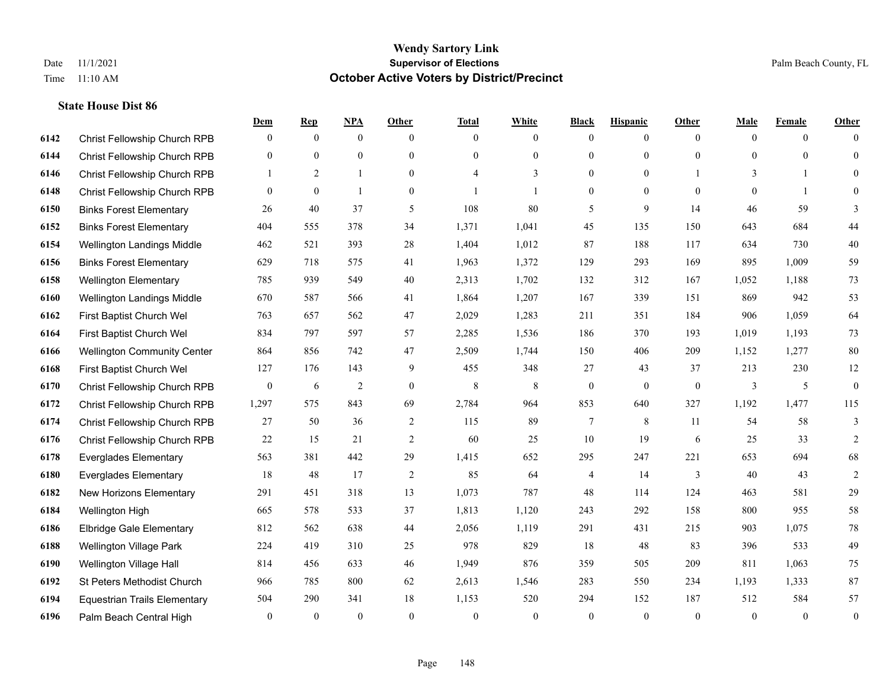|      |                                     | Dem            | <b>Rep</b>   | NPA          | <b>Other</b>   | <b>Total</b> | <b>White</b>   | <b>Black</b>     | <b>Hispanic</b>  | <b>Other</b> | <b>Male</b>  | <b>Female</b>  | <b>Other</b>     |
|------|-------------------------------------|----------------|--------------|--------------|----------------|--------------|----------------|------------------|------------------|--------------|--------------|----------------|------------------|
| 6142 | Christ Fellowship Church RPB        | $\mathbf{0}$   | $\mathbf{0}$ | $\mathbf{0}$ | $\overline{0}$ | $\theta$     | $\overline{0}$ | $\mathbf{0}$     | $\boldsymbol{0}$ | $\theta$     | $\mathbf{0}$ | $\overline{0}$ | $\Omega$         |
| 6144 | <b>Christ Fellowship Church RPB</b> | $\overline{0}$ | $\mathbf{0}$ | $\mathbf{0}$ | $\Omega$       | $\Omega$     | $\overline{0}$ | $\mathbf{0}$     | $\mathbf{0}$     | $\theta$     | $\theta$     | $\theta$       | $\mathbf{0}$     |
| 6146 | Christ Fellowship Church RPB        | $\mathbf{1}$   | 2            | $\mathbf{1}$ | $\overline{0}$ | 4            | 3              | $\mathbf{0}$     | $\mathbf{0}$     |              | 3            |                | $\theta$         |
| 6148 | Christ Fellowship Church RPB        | $\overline{0}$ | $\mathbf{0}$ | 1            | $\overline{0}$ |              | $\mathbf{1}$   | $\boldsymbol{0}$ | $\mathbf{0}$     | $\mathbf{0}$ | $\theta$     | $\mathbf{1}$   | $\theta$         |
| 6150 | <b>Binks Forest Elementary</b>      | 26             | 40           | 37           | 5              | 108          | 80             | 5                | 9                | 14           | 46           | 59             | 3                |
| 6152 | <b>Binks Forest Elementary</b>      | 404            | 555          | 378          | 34             | 1,371        | 1,041          | 45               | 135              | 150          | 643          | 684            | $44\,$           |
| 6154 | Wellington Landings Middle          | 462            | 521          | 393          | 28             | 1,404        | 1,012          | 87               | 188              | 117          | 634          | 730            | $40\,$           |
| 6156 | <b>Binks Forest Elementary</b>      | 629            | 718          | 575          | 41             | 1,963        | 1,372          | 129              | 293              | 169          | 895          | 1,009          | 59               |
| 6158 | <b>Wellington Elementary</b>        | 785            | 939          | 549          | 40             | 2,313        | 1,702          | 132              | 312              | 167          | 1,052        | 1,188          | 73               |
| 6160 | Wellington Landings Middle          | 670            | 587          | 566          | 41             | 1,864        | 1,207          | 167              | 339              | 151          | 869          | 942            | 53               |
| 6162 | First Baptist Church Wel            | 763            | 657          | 562          | 47             | 2,029        | 1,283          | 211              | 351              | 184          | 906          | 1,059          | 64               |
| 6164 | First Baptist Church Wel            | 834            | 797          | 597          | 57             | 2,285        | 1,536          | 186              | 370              | 193          | 1.019        | 1,193          | 73               |
| 6166 | <b>Wellington Community Center</b>  | 864            | 856          | 742          | 47             | 2,509        | 1,744          | 150              | 406              | 209          | 1,152        | 1,277          | $80\,$           |
| 6168 | First Baptist Church Wel            | 127            | 176          | 143          | 9              | 455          | 348            | 27               | 43               | 37           | 213          | 230            | 12               |
| 6170 | Christ Fellowship Church RPB        | $\overline{0}$ | 6            | 2            | $\overline{0}$ | 8            | $\,$ 8 $\,$    | $\mathbf{0}$     | $\mathbf{0}$     | $\mathbf{0}$ | 3            | 5              | $\mathbf{0}$     |
| 6172 | Christ Fellowship Church RPB        | 1,297          | 575          | 843          | 69             | 2,784        | 964            | 853              | 640              | 327          | 1,192        | 1,477          | 115              |
| 6174 | Christ Fellowship Church RPB        | 27             | 50           | 36           | $\overline{2}$ | 115          | 89             | 7                | 8                | 11           | 54           | 58             | 3                |
| 6176 | Christ Fellowship Church RPB        | 22             | 15           | 21           | $\overline{2}$ | 60           | 25             | 10               | 19               | 6            | 25           | 33             | 2                |
| 6178 | <b>Everglades Elementary</b>        | 563            | 381          | 442          | 29             | 1,415        | 652            | 295              | 247              | 221          | 653          | 694            | 68               |
| 6180 | <b>Everglades Elementary</b>        | 18             | 48           | 17           | $\overline{2}$ | 85           | 64             | $\overline{4}$   | 14               | 3            | 40           | 43             | 2                |
| 6182 | New Horizons Elementary             | 291            | 451          | 318          | 13             | 1,073        | 787            | 48               | 114              | 124          | 463          | 581            | 29               |
| 6184 | Wellington High                     | 665            | 578          | 533          | 37             | 1,813        | 1,120          | 243              | 292              | 158          | 800          | 955            | 58               |
| 6186 | <b>Elbridge Gale Elementary</b>     | 812            | 562          | 638          | 44             | 2,056        | 1,119          | 291              | 431              | 215          | 903          | 1,075          | $78\,$           |
| 6188 | <b>Wellington Village Park</b>      | 224            | 419          | 310          | 25             | 978          | 829            | 18               | 48               | 83           | 396          | 533            | 49               |
| 6190 | Wellington Village Hall             | 814            | 456          | 633          | 46             | 1,949        | 876            | 359              | 505              | 209          | 811          | 1.063          | 75               |
| 6192 | St Peters Methodist Church          | 966            | 785          | 800          | 62             | 2,613        | 1,546          | 283              | 550              | 234          | 1,193        | 1,333          | 87               |
| 6194 | <b>Equestrian Trails Elementary</b> | 504            | 290          | 341          | 18             | 1,153        | 520            | 294              | 152              | 187          | 512          | 584            | 57               |
| 6196 | Palm Beach Central High             | $\mathbf{0}$   | $\mathbf{0}$ | $\mathbf{0}$ | $\theta$       | $\theta$     | $\mathbf{0}$   | $\theta$         | $\mathbf{0}$     | $\theta$     | $\Omega$     | $\mathbf{0}$   | $\boldsymbol{0}$ |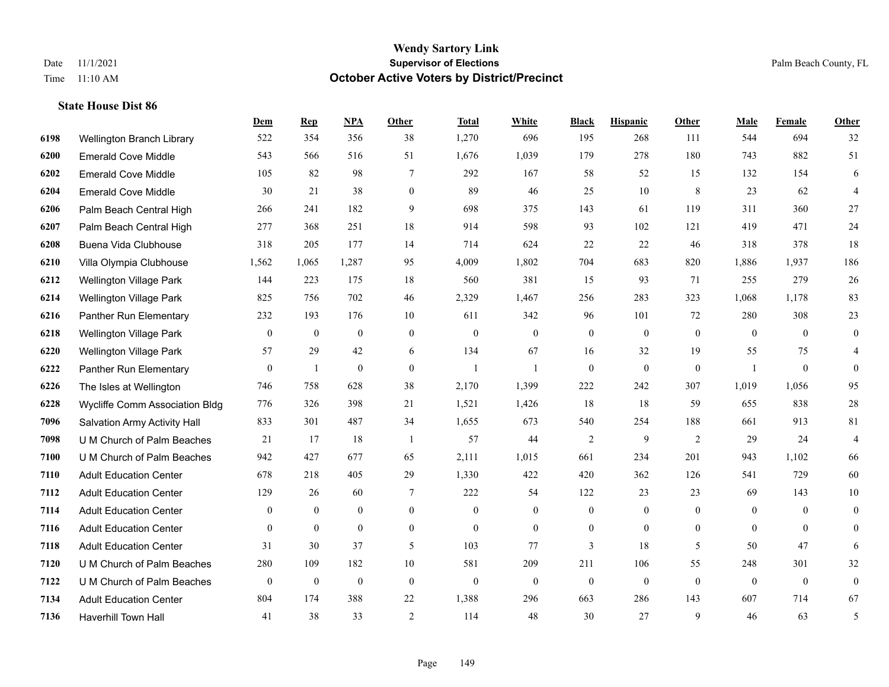|      |                                | Dem              | <b>Rep</b>       | NPA              | <b>Other</b>   | <b>Total</b>     | <b>White</b>     | <b>Black</b>     | <b>Hispanic</b>  | <b>Other</b>   | <b>Male</b>    | <b>Female</b>  | <b>Other</b>     |
|------|--------------------------------|------------------|------------------|------------------|----------------|------------------|------------------|------------------|------------------|----------------|----------------|----------------|------------------|
| 6198 | Wellington Branch Library      | 522              | 354              | 356              | 38             | 1,270            | 696              | 195              | 268              | 111            | 544            | 694            | 32               |
| 6200 | <b>Emerald Cove Middle</b>     | 543              | 566              | 516              | 51             | 1,676            | 1,039            | 179              | 278              | 180            | 743            | 882            | 51               |
| 6202 | <b>Emerald Cove Middle</b>     | 105              | 82               | 98               | $\tau$         | 292              | 167              | 58               | 52               | 15             | 132            | 154            | 6                |
| 6204 | <b>Emerald Cove Middle</b>     | 30               | 21               | 38               | $\mathbf{0}$   | 89               | 46               | 25               | 10               | 8              | 23             | 62             | $\overline{4}$   |
| 6206 | Palm Beach Central High        | 266              | 241              | 182              | 9              | 698              | 375              | 143              | 61               | 119            | 311            | 360            | 27               |
| 6207 | Palm Beach Central High        | 277              | 368              | 251              | 18             | 914              | 598              | 93               | 102              | 121            | 419            | 471            | $24\,$           |
| 6208 | Buena Vida Clubhouse           | 318              | 205              | 177              | 14             | 714              | 624              | 22               | 22               | 46             | 318            | 378            | 18               |
| 6210 | Villa Olympia Clubhouse        | 1,562            | 1,065            | 1,287            | 95             | 4,009            | 1,802            | 704              | 683              | 820            | 1,886          | 1,937          | 186              |
| 6212 | <b>Wellington Village Park</b> | 144              | 223              | 175              | 18             | 560              | 381              | 15               | 93               | 71             | 255            | 279            | 26               |
| 6214 | Wellington Village Park        | 825              | 756              | 702              | 46             | 2,329            | 1,467            | 256              | 283              | 323            | 1,068          | 1,178          | 83               |
| 6216 | Panther Run Elementary         | 232              | 193              | 176              | 10             | 611              | 342              | 96               | 101              | 72             | 280            | 308            | 23               |
| 6218 | <b>Wellington Village Park</b> | $\overline{0}$   | $\mathbf{0}$     | $\mathbf{0}$     | $\mathbf{0}$   | $\mathbf{0}$     | $\mathbf{0}$     | $\overline{0}$   | $\overline{0}$   | $\theta$       | $\theta$       | $\theta$       | $\mathbf{0}$     |
| 6220 | Wellington Village Park        | 57               | 29               | 42               | 6              | 134              | 67               | 16               | 32               | 19             | 55             | 75             | 4                |
| 6222 | Panther Run Elementary         | $\mathbf{0}$     | 1                | $\mathbf{0}$     | $\mathbf{0}$   | $\mathbf{1}$     | 1                | $\overline{0}$   | $\overline{0}$   | $\mathbf{0}$   | $\overline{1}$ | $\mathbf{0}$   | $\theta$         |
| 6226 | The Isles at Wellington        | 746              | 758              | 628              | 38             | 2,170            | 1,399            | 222              | 242              | 307            | 1,019          | 1,056          | 95               |
| 6228 | Wycliffe Comm Association Bldg | 776              | 326              | 398              | 21             | 1,521            | 1,426            | 18               | 18               | 59             | 655            | 838            | $28\,$           |
| 7096 | Salvation Army Activity Hall   | 833              | 301              | 487              | 34             | 1,655            | 673              | 540              | 254              | 188            | 661            | 913            | 81               |
| 7098 | U M Church of Palm Beaches     | 21               | 17               | 18               | $\overline{1}$ | 57               | 44               | $\overline{2}$   | 9                | 2              | 29             | 24             | $\overline{4}$   |
| 7100 | U M Church of Palm Beaches     | 942              | 427              | 677              | 65             | 2,111            | 1,015            | 661              | 234              | 201            | 943            | 1,102          | 66               |
| 7110 | <b>Adult Education Center</b>  | 678              | 218              | 405              | 29             | 1,330            | 422              | 420              | 362              | 126            | 541            | 729            | 60               |
| 7112 | <b>Adult Education Center</b>  | 129              | 26               | 60               | 7              | 222              | 54               | 122              | 23               | 23             | 69             | 143            | 10               |
| 7114 | <b>Adult Education Center</b>  | $\boldsymbol{0}$ | $\boldsymbol{0}$ | $\boldsymbol{0}$ | $\mathbf{0}$   | $\boldsymbol{0}$ | $\boldsymbol{0}$ | $\boldsymbol{0}$ | $\boldsymbol{0}$ | $\mathbf{0}$   | $\mathbf{0}$   | $\overline{0}$ | $\mathbf{0}$     |
| 7116 | <b>Adult Education Center</b>  | $\overline{0}$   | $\overline{0}$   | $\mathbf{0}$     | $\overline{0}$ | $\mathbf{0}$     | $\boldsymbol{0}$ | $\boldsymbol{0}$ | $\overline{0}$   | $\overline{0}$ | $\overline{0}$ | $\theta$       | $\overline{0}$   |
| 7118 | <b>Adult Education Center</b>  | 31               | 30               | 37               | 5              | 103              | 77               | 3                | 18               | 5              | 50             | 47             | 6                |
| 7120 | U M Church of Palm Beaches     | 280              | 109              | 182              | 10             | 581              | 209              | 211              | 106              | 55             | 248            | 301            | 32               |
| 7122 | U M Church of Palm Beaches     | $\boldsymbol{0}$ | $\boldsymbol{0}$ | $\boldsymbol{0}$ | $\mathbf{0}$   | $\theta$         | $\overline{0}$   | $\boldsymbol{0}$ | $\mathbf{0}$     | $\mathbf{0}$   | $\mathbf{0}$   | $\mathbf{0}$   | $\boldsymbol{0}$ |
| 7134 | <b>Adult Education Center</b>  | 804              | 174              | 388              | 22             | 1,388            | 296              | 663              | 286              | 143            | 607            | 714            | 67               |
| 7136 | <b>Haverhill Town Hall</b>     | 41               | 38               | 33               | 2              | 114              | 48               | 30               | 27               | $\mathbf{Q}$   | 46             | 63             | 5                |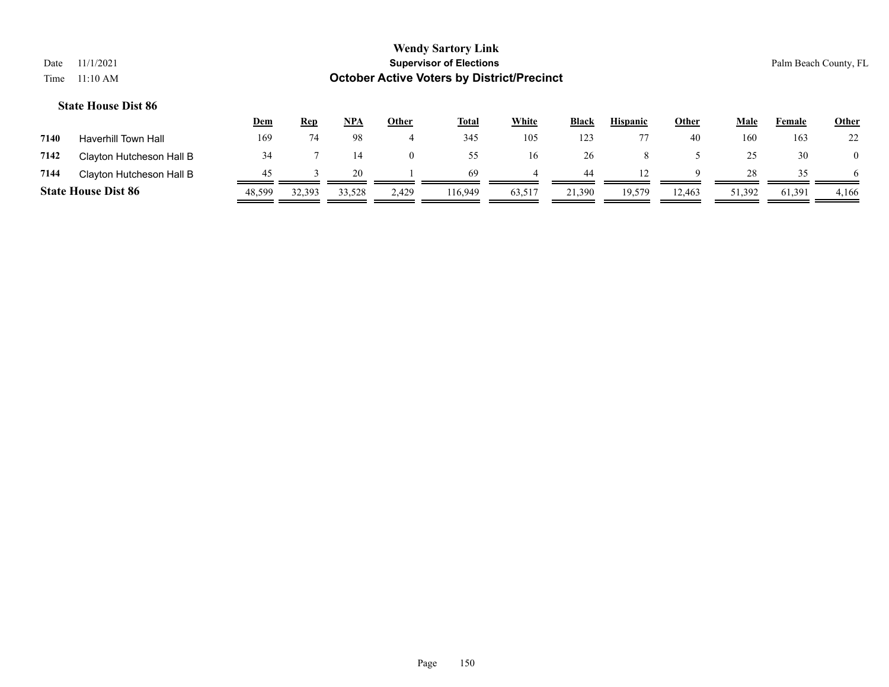|      |                            | <u>Dem</u> | <b>Rep</b> | <b>NPA</b> | <u>Other</u> | <b>Total</b> | <u>White</u> | <b>Black</b> | <b>Hispanic</b> | Other  | Male   | Female | <b>Other</b> |
|------|----------------------------|------------|------------|------------|--------------|--------------|--------------|--------------|-----------------|--------|--------|--------|--------------|
| 7140 | <b>Haverhill Town Hall</b> | 169        | 74         | 98         |              | 345          | 105          | 123          |                 | 40     | 160    | 163    | 22           |
| 7142 | Clayton Hutcheson Hall B   | 34         |            |            | $\Omega$     | 55           | 16           | 26           |                 |        |        | 30     |              |
| 7144 | Clayton Hutcheson Hall B   | 45         |            | 20         |              | -69          |              | 44           |                 |        | 28     | 35     |              |
|      | <b>State House Dist 86</b> | 48,599     | 32,393     | 33,528     | 2,429        | 116.949      | 63,517       | 21,390       | 19,579          | 12,463 | 51,392 | 61,391 | 4,166        |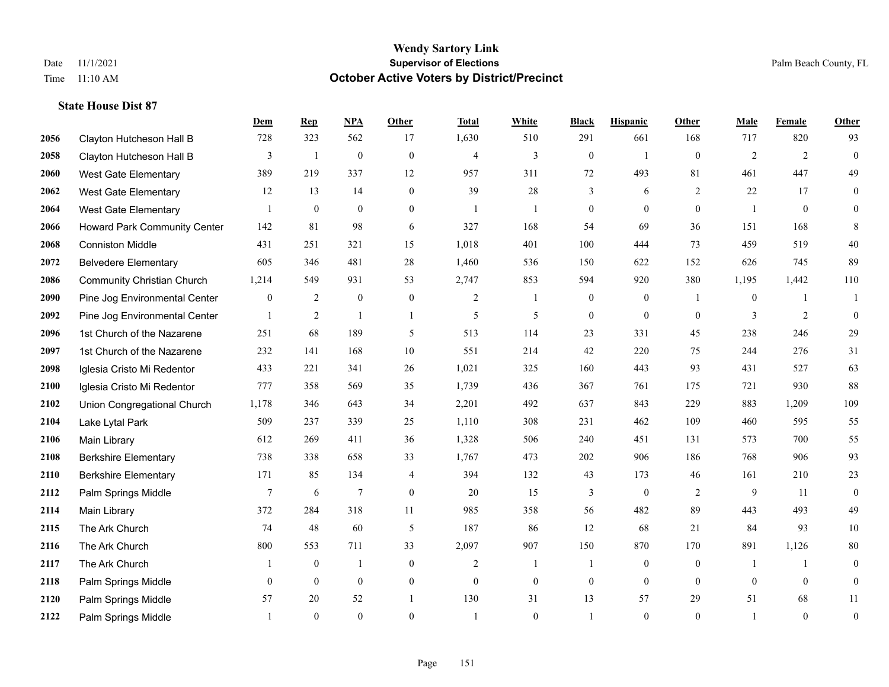|      |                                   | Dem          | <b>Rep</b>     | NPA            | <b>Other</b>   | <b>Total</b>   | <b>White</b> | <b>Black</b>   | <b>Hispanic</b>  | Other          | <b>Male</b>    | Female       | Other            |
|------|-----------------------------------|--------------|----------------|----------------|----------------|----------------|--------------|----------------|------------------|----------------|----------------|--------------|------------------|
| 2056 | Clayton Hutcheson Hall B          | 728          | 323            | 562            | 17             | 1,630          | 510          | 291            | 661              | 168            | 717            | 820          | 93               |
| 2058 | Clayton Hutcheson Hall B          | 3            | $\mathbf{1}$   | $\mathbf{0}$   | $\theta$       | $\overline{4}$ | 3            | $\mathbf{0}$   | $\overline{1}$   | $\theta$       | $\overline{2}$ | 2            | $\overline{0}$   |
| 2060 | <b>West Gate Elementary</b>       | 389          | 219            | 337            | 12             | 957            | 311          | 72             | 493              | 81             | 461            | 447          | 49               |
| 2062 | <b>West Gate Elementary</b>       | 12           | 13             | 14             | $\overline{0}$ | 39             | 28           | 3              | 6                | 2              | 22             | 17           | $\overline{0}$   |
| 2064 | <b>West Gate Elementary</b>       |              | $\overline{0}$ | $\theta$       | $\theta$       | $\overline{1}$ | 1            | $\overline{0}$ | $\theta$         | $\theta$       | $\mathbf{1}$   | $\theta$     | $\overline{0}$   |
| 2066 | Howard Park Community Center      | 142          | 81             | 98             | 6              | 327            | 168          | 54             | 69               | 36             | 151            | 168          | 8                |
| 2068 | <b>Conniston Middle</b>           | 431          | 251            | 321            | 15             | 1,018          | 401          | 100            | 444              | 73             | 459            | 519          | 40               |
| 2072 | <b>Belvedere Elementary</b>       | 605          | 346            | 481            | 28             | 1,460          | 536          | 150            | 622              | 152            | 626            | 745          | 89               |
| 2086 | <b>Community Christian Church</b> | 1,214        | 549            | 931            | 53             | 2,747          | 853          | 594            | 920              | 380            | 1,195          | 1,442        | 110              |
| 2090 | Pine Jog Environmental Center     | $\mathbf{0}$ | 2              | $\mathbf{0}$   | $\mathbf{0}$   | $\overline{2}$ | 1            | $\overline{0}$ | $\boldsymbol{0}$ | $\overline{1}$ | $\mathbf{0}$   | $\mathbf{1}$ | -1               |
| 2092 | Pine Jog Environmental Center     |              | 2              | $\mathbf{1}$   | $\mathbf{1}$   | 5              | 5            | $\mathbf{0}$   | $\theta$         | $\theta$       | 3              | 2            | $\overline{0}$   |
| 2096 | 1st Church of the Nazarene        | 251          | 68             | 189            | 5              | 513            | 114          | 23             | 331              | 45             | 238            | 246          | 29               |
| 2097 | 1st Church of the Nazarene        | 232          | 141            | 168            | 10             | 551            | 214          | 42             | 220              | 75             | 244            | 276          | 31               |
| 2098 | Iglesia Cristo Mi Redentor        | 433          | 221            | 341            | 26             | 1,021          | 325          | 160            | 443              | 93             | 431            | 527          | 63               |
| 2100 | Iglesia Cristo Mi Redentor        | 777          | 358            | 569            | 35             | 1,739          | 436          | 367            | 761              | 175            | 721            | 930          | 88               |
| 2102 | Union Congregational Church       | 1,178        | 346            | 643            | 34             | 2,201          | 492          | 637            | 843              | 229            | 883            | 1,209        | 109              |
| 2104 | Lake Lytal Park                   | 509          | 237            | 339            | 25             | 1,110          | 308          | 231            | 462              | 109            | 460            | 595          | 55               |
| 2106 | Main Library                      | 612          | 269            | 411            | 36             | 1,328          | 506          | 240            | 451              | 131            | 573            | 700          | 55               |
| 2108 | <b>Berkshire Elementary</b>       | 738          | 338            | 658            | 33             | 1,767          | 473          | 202            | 906              | 186            | 768            | 906          | 93               |
| 2110 | <b>Berkshire Elementary</b>       | 171          | 85             | 134            | 4              | 394            | 132          | 43             | 173              | 46             | 161            | 210          | 23               |
| 2112 | Palm Springs Middle               | 7            | 6              | $\overline{7}$ | $\mathbf{0}$   | 20             | 15           | 3              | $\overline{0}$   | 2              | 9              | 11           | $\overline{0}$   |
| 2114 | Main Library                      | 372          | 284            | 318            | 11             | 985            | 358          | 56             | 482              | 89             | 443            | 493          | 49               |
| 2115 | The Ark Church                    | 74           | 48             | 60             | 5              | 187            | 86           | 12             | 68               | 21             | 84             | 93           | $10\,$           |
| 2116 | The Ark Church                    | 800          | 553            | 711            | 33             | 2,097          | 907          | 150            | 870              | 170            | 891            | 1,126        | $80\,$           |
| 2117 | The Ark Church                    |              | $\mathbf{0}$   | $\overline{1}$ | $\mathbf{0}$   | $\overline{2}$ | 1            |                | $\overline{0}$   | $\theta$       | $\mathbf{1}$   | $\mathbf{1}$ | $\overline{0}$   |
| 2118 | Palm Springs Middle               | $\theta$     | $\mathbf{0}$   | $\mathbf{0}$   | $\mathbf{0}$   | $\theta$       | $\mathbf{0}$ | $\overline{0}$ | $\overline{0}$   | $\theta$       | $\theta$       | $\theta$     | $\overline{0}$   |
| 2120 | Palm Springs Middle               | 57           | 20             | 52             |                | 130            | 31           | 13             | 57               | 29             | 51             | 68           | 11               |
| 2122 | Palm Springs Middle               |              | $\theta$       | $\theta$       | $\theta$       | $\mathbf{1}$   | $\theta$     |                | $\Omega$         | $\theta$       |                | $\theta$     | $\boldsymbol{0}$ |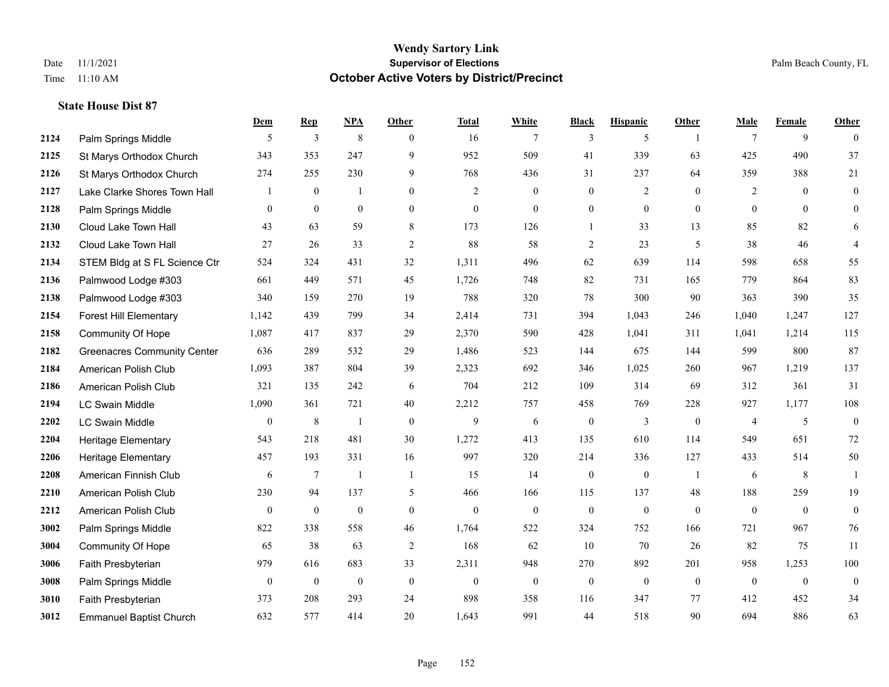|      |                                    | Dem          | <b>Rep</b>       | NPA              | <b>Other</b>     | <b>Total</b>     | <b>White</b>     | <b>Black</b>     | <b>Hispanic</b>  | <b>Other</b>   | <b>Male</b>    | <b>Female</b> | <b>Other</b>     |
|------|------------------------------------|--------------|------------------|------------------|------------------|------------------|------------------|------------------|------------------|----------------|----------------|---------------|------------------|
| 2124 | Palm Springs Middle                | 5            | 3                | $\,$ 8 $\,$      | $\theta$         | 16               | 7                | 3                | 5                | $\overline{1}$ | $\tau$         | 9             | $\Omega$         |
| 2125 | St Marys Orthodox Church           | 343          | 353              | 247              | 9                | 952              | 509              | 41               | 339              | 63             | 425            | 490           | 37               |
| 2126 | St Marys Orthodox Church           | 274          | 255              | 230              | 9                | 768              | 436              | 31               | 237              | 64             | 359            | 388           | 21               |
| 2127 | Lake Clarke Shores Town Hall       |              | $\boldsymbol{0}$ |                  | $\overline{0}$   | $\overline{2}$   | $\overline{0}$   | $\boldsymbol{0}$ | $\overline{c}$   | $\mathbf{0}$   | 2              | $\mathbf{0}$  | $\mathbf{0}$     |
| 2128 | Palm Springs Middle                | $\theta$     | $\mathbf{0}$     | $\mathbf{0}$     | $\theta$         | $\theta$         | $\overline{0}$   | $\overline{0}$   | $\overline{0}$   | $\theta$       | $\theta$       | $\theta$      | $\overline{0}$   |
| 2130 | Cloud Lake Town Hall               | 43           | 63               | 59               | 8                | 173              | 126              | 1                | 33               | 13             | 85             | 82            | 6                |
| 2132 | Cloud Lake Town Hall               | 27           | 26               | 33               | 2                | 88               | 58               | $\overline{2}$   | 23               | 5              | 38             | 46            | $\overline{4}$   |
| 2134 | STEM Bldg at S FL Science Ctr      | 524          | 324              | 431              | 32               | 1,311            | 496              | 62               | 639              | 114            | 598            | 658           | 55               |
| 2136 | Palmwood Lodge #303                | 661          | 449              | 571              | 45               | 1,726            | 748              | 82               | 731              | 165            | 779            | 864           | 83               |
| 2138 | Palmwood Lodge #303                | 340          | 159              | 270              | 19               | 788              | 320              | 78               | 300              | 90             | 363            | 390           | 35               |
| 2154 | <b>Forest Hill Elementary</b>      | 1,142        | 439              | 799              | 34               | 2,414            | 731              | 394              | 1,043            | 246            | 1,040          | 1,247         | 127              |
| 2158 | Community Of Hope                  | 1,087        | 417              | 837              | 29               | 2,370            | 590              | 428              | 1,041            | 311            | 1,041          | 1,214         | 115              |
| 2182 | <b>Greenacres Community Center</b> | 636          | 289              | 532              | 29               | 1,486            | 523              | 144              | 675              | 144            | 599            | 800           | 87               |
| 2184 | American Polish Club               | 1,093        | 387              | 804              | 39               | 2,323            | 692              | 346              | 1,025            | 260            | 967            | 1,219         | 137              |
| 2186 | American Polish Club               | 321          | 135              | 242              | 6                | 704              | 212              | 109              | 314              | 69             | 312            | 361           | 31               |
| 2194 | <b>LC Swain Middle</b>             | 1,090        | 361              | 721              | 40               | 2,212            | 757              | 458              | 769              | 228            | 927            | 1,177         | 108              |
| 2202 | <b>LC Swain Middle</b>             | $\mathbf{0}$ | $\,$ 8 $\,$      | 1                | $\boldsymbol{0}$ | 9                | 6                | $\boldsymbol{0}$ | 3                | $\mathbf{0}$   | $\overline{4}$ | 5             | $\boldsymbol{0}$ |
| 2204 | <b>Heritage Elementary</b>         | 543          | 218              | 481              | 30               | 1,272            | 413              | 135              | 610              | 114            | 549            | 651           | $72\,$           |
| 2206 | <b>Heritage Elementary</b>         | 457          | 193              | 331              | 16               | 997              | 320              | 214              | 336              | 127            | 433            | 514           | 50               |
| 2208 | American Finnish Club              | 6            | $\tau$           | -1               | -1               | 15               | 14               | $\boldsymbol{0}$ | $\boldsymbol{0}$ | -1             | 6              | $\,8\,$       | 1                |
| 2210 | American Polish Club               | 230          | 94               | 137              | 5                | 466              | 166              | 115              | 137              | 48             | 188            | 259           | 19               |
| 2212 | American Polish Club               | $\mathbf{0}$ | $\boldsymbol{0}$ | $\mathbf{0}$     | $\mathbf{0}$     | $\boldsymbol{0}$ | $\overline{0}$   | $\boldsymbol{0}$ | $\boldsymbol{0}$ | $\mathbf{0}$   | $\mathbf{0}$   | $\mathbf{0}$  | $\mathbf{0}$     |
| 3002 | Palm Springs Middle                | 822          | 338              | 558              | 46               | 1,764            | 522              | 324              | 752              | 166            | 721            | 967           | $76\,$           |
| 3004 | <b>Community Of Hope</b>           | 65           | 38               | 63               | 2                | 168              | 62               | 10               | 70               | 26             | 82             | 75            | 11               |
| 3006 | Faith Presbyterian                 | 979          | 616              | 683              | 33               | 2,311            | 948              | 270              | 892              | 201            | 958            | 1,253         | 100              |
| 3008 | Palm Springs Middle                | $\mathbf{0}$ | $\boldsymbol{0}$ | $\boldsymbol{0}$ | $\mathbf{0}$     | $\theta$         | $\boldsymbol{0}$ | $\boldsymbol{0}$ | $\boldsymbol{0}$ | $\mathbf{0}$   | $\overline{0}$ | $\mathbf{0}$  | $\mathbf{0}$     |
| 3010 | Faith Presbyterian                 | 373          | 208              | 293              | 24               | 898              | 358              | 116              | 347              | 77             | 412            | 452           | 34               |
| 3012 | <b>Emmanuel Baptist Church</b>     | 632          | 577              | 414              | 20               | 1,643            | 991              | 44               | 518              | 90             | 694            | 886           | 63               |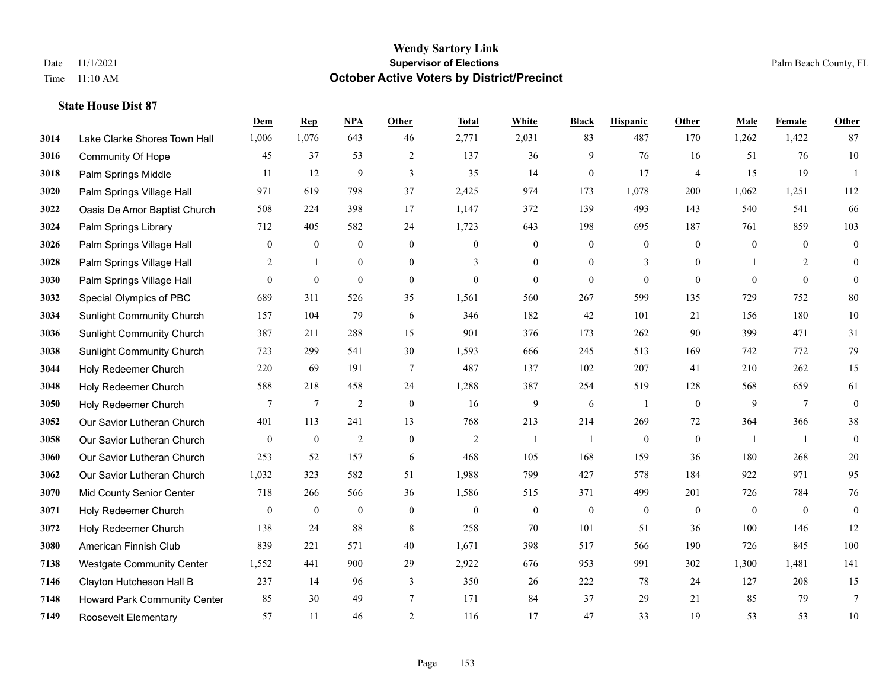|      |                                  | Dem              | <b>Rep</b>       | NPA              | Other            | <b>Total</b>     | White            | <b>Black</b>     | <b>Hispanic</b>  | <b>Other</b>   | <b>Male</b>      | <b>Female</b>  | <b>Other</b>     |
|------|----------------------------------|------------------|------------------|------------------|------------------|------------------|------------------|------------------|------------------|----------------|------------------|----------------|------------------|
| 3014 | Lake Clarke Shores Town Hall     | 1,006            | 1,076            | 643              | 46               | 2,771            | 2,031            | 83               | 487              | 170            | 1,262            | 1,422          | 87               |
| 3016 | Community Of Hope                | 45               | 37               | 53               | 2                | 137              | 36               | 9                | 76               | 16             | 51               | 76             | $10\,$           |
| 3018 | Palm Springs Middle              | 11               | 12               | 9                | 3                | 35               | 14               | $\mathbf{0}$     | 17               | $\overline{4}$ | 15               | 19             | $\overline{1}$   |
| 3020 | Palm Springs Village Hall        | 971              | 619              | 798              | 37               | 2,425            | 974              | 173              | 1,078            | 200            | 1,062            | 1,251          | 112              |
| 3022 | Oasis De Amor Baptist Church     | 508              | 224              | 398              | 17               | 1,147            | 372              | 139              | 493              | 143            | 540              | 541            | 66               |
| 3024 | Palm Springs Library             | 712              | 405              | 582              | 24               | 1,723            | 643              | 198              | 695              | 187            | 761              | 859            | 103              |
| 3026 | Palm Springs Village Hall        | $\boldsymbol{0}$ | $\boldsymbol{0}$ | $\boldsymbol{0}$ | $\boldsymbol{0}$ | $\boldsymbol{0}$ | $\boldsymbol{0}$ | $\boldsymbol{0}$ | $\boldsymbol{0}$ | $\mathbf{0}$   | $\boldsymbol{0}$ | $\mathbf{0}$   | $\boldsymbol{0}$ |
| 3028 | Palm Springs Village Hall        | 2                | $\mathbf{1}$     | $\mathbf{0}$     | $\overline{0}$   | 3                | $\overline{0}$   | $\mathbf{0}$     | 3                | $\theta$       |                  | $\overline{2}$ | $\mathbf{0}$     |
| 3030 | Palm Springs Village Hall        | $\overline{0}$   | $\mathbf{0}$     | $\mathbf{0}$     | $\boldsymbol{0}$ | $\boldsymbol{0}$ | $\overline{0}$   | $\mathbf{0}$     | $\mathbf{0}$     | $\mathbf{0}$   | $\theta$         | $\mathbf{0}$   | $\theta$         |
| 3032 | Special Olympics of PBC          | 689              | 311              | 526              | 35               | 1,561            | 560              | 267              | 599              | 135            | 729              | 752            | 80               |
| 3034 | <b>Sunlight Community Church</b> | 157              | 104              | 79               | 6                | 346              | 182              | 42               | 101              | 21             | 156              | 180            | $10\,$           |
| 3036 | <b>Sunlight Community Church</b> | 387              | 211              | 288              | 15               | 901              | 376              | 173              | 262              | 90             | 399              | 471            | 31               |
| 3038 | <b>Sunlight Community Church</b> | 723              | 299              | 541              | 30               | 1,593            | 666              | 245              | 513              | 169            | 742              | 772            | 79               |
| 3044 | Holy Redeemer Church             | 220              | 69               | 191              | 7                | 487              | 137              | 102              | 207              | 41             | 210              | 262            | 15               |
| 3048 | Holy Redeemer Church             | 588              | 218              | 458              | 24               | 1,288            | 387              | 254              | 519              | 128            | 568              | 659            | 61               |
| 3050 | Holy Redeemer Church             | 7                | 7                | $\sqrt{2}$       | $\mathbf{0}$     | 16               | 9                | 6                | 1                | $\mathbf{0}$   | 9                | $\overline{7}$ | $\mathbf{0}$     |
| 3052 | Our Savior Lutheran Church       | 401              | 113              | 241              | 13               | 768              | 213              | 214              | 269              | 72             | 364              | 366            | 38               |
| 3058 | Our Savior Lutheran Church       | $\overline{0}$   | $\mathbf{0}$     | $\overline{2}$   | $\boldsymbol{0}$ | $\overline{2}$   | -1               |                  | $\boldsymbol{0}$ | $\overline{0}$ | -1               | -1             | $\boldsymbol{0}$ |
| 3060 | Our Savior Lutheran Church       | 253              | 52               | 157              | 6                | 468              | 105              | 168              | 159              | 36             | 180              | 268            | $20\,$           |
| 3062 | Our Savior Lutheran Church       | 1,032            | 323              | 582              | 51               | 1,988            | 799              | 427              | 578              | 184            | 922              | 971            | 95               |
| 3070 | Mid County Senior Center         | 718              | 266              | 566              | 36               | 1,586            | 515              | 371              | 499              | 201            | 726              | 784            | 76               |
| 3071 | Holy Redeemer Church             | $\boldsymbol{0}$ | $\mathbf{0}$     | $\boldsymbol{0}$ | $\boldsymbol{0}$ | $\boldsymbol{0}$ | $\boldsymbol{0}$ | $\boldsymbol{0}$ | $\boldsymbol{0}$ | $\mathbf{0}$   | $\boldsymbol{0}$ | $\mathbf{0}$   | $\boldsymbol{0}$ |
| 3072 | Holy Redeemer Church             | 138              | 24               | 88               | 8                | 258              | 70               | 101              | 51               | 36             | 100              | 146            | 12               |
| 3080 | American Finnish Club            | 839              | 221              | 571              | 40               | 1,671            | 398              | 517              | 566              | 190            | 726              | 845            | 100              |
| 7138 | <b>Westgate Community Center</b> | 1,552            | 441              | 900              | 29               | 2,922            | 676              | 953              | 991              | 302            | 1,300            | 1,481          | 141              |
| 7146 | Clayton Hutcheson Hall B         | 237              | 14               | 96               | 3                | 350              | 26               | 222              | 78               | 24             | 127              | 208            | 15               |
| 7148 | Howard Park Community Center     | 85               | 30               | 49               | 7                | 171              | 84               | 37               | 29               | 21             | 85               | 79             | $7\phantom{.0}$  |
| 7149 | Roosevelt Elementary             | 57               | 11               | 46               | $\overline{2}$   | 116              | 17               | 47               | 33               | 19             | 53               | 53             | $10\,$           |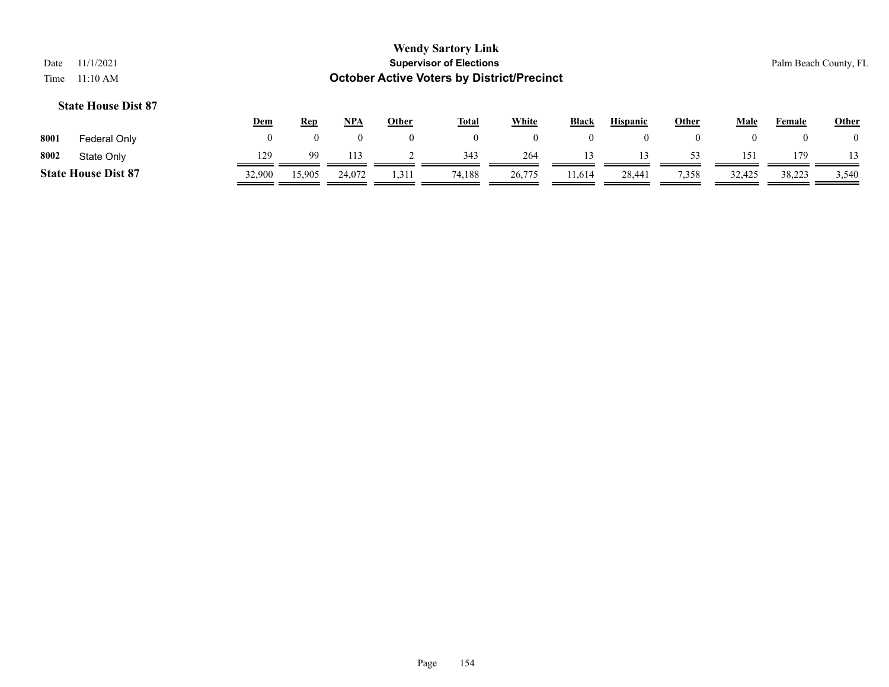| Date<br>Time | 11/1/2021<br>11:10 AM      |                |            |            |                | <b>Wendy Sartory Link</b><br><b>Supervisor of Elections</b><br><b>October Active Voters by District/Precinct</b> |              |              |                 |              |                |          | Palm Beach County, FL |
|--------------|----------------------------|----------------|------------|------------|----------------|------------------------------------------------------------------------------------------------------------------|--------------|--------------|-----------------|--------------|----------------|----------|-----------------------|
|              | <b>State House Dist 87</b> | <u>Dem</u>     | <u>Rep</u> | <u>NPA</u> | <b>Other</b>   | <u>Total</u>                                                                                                     | <b>White</b> | <b>Black</b> | <b>Hispanic</b> | <b>Other</b> | <b>Male</b>    | Female   | Other                 |
| 8001         | Federal Only               | $\overline{0}$ | 0          | $\theta$   | $\overline{0}$ | $\overline{0}$                                                                                                   | $\theta$     | $\theta$     | $\bf{0}$        | $\mathbf{0}$ | $\overline{0}$ | $\left($ |                       |
| 8002         | State Only                 | 129            | 99         | 113        |                | 343                                                                                                              | 264          | 13           | 13              | 53           | 151            | 179      |                       |
|              | <b>State House Dist 87</b> | 32,900         | 15,905     | 24,072     | 1,311          | 74,188                                                                                                           | 26,775       | 11,614       | 28,441          | 7,358        | 32,425         | 38,223   | 3,540                 |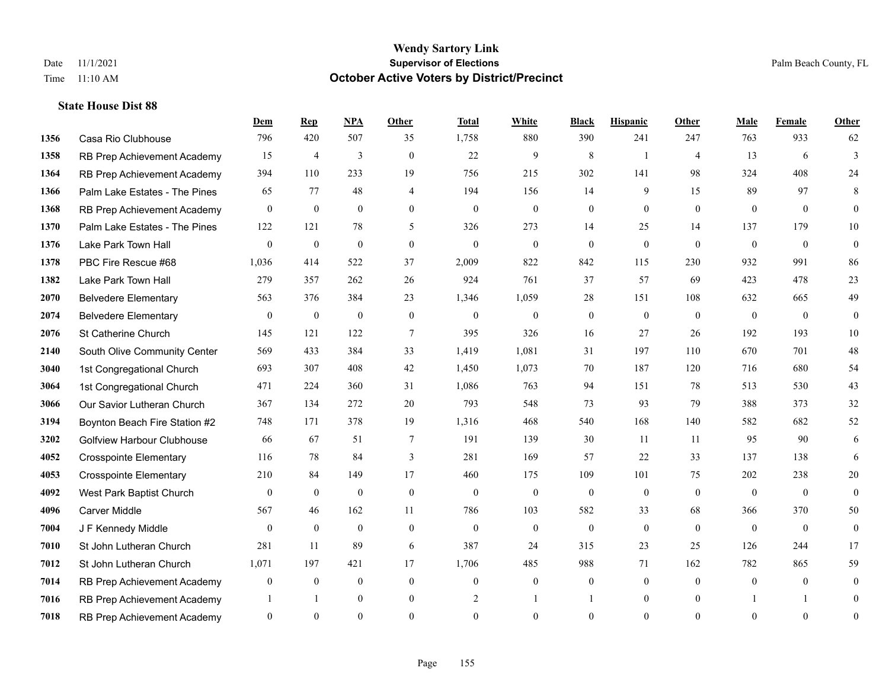|      |                                   | Dem              | <b>Rep</b>       | NPA              | <b>Other</b>   | <b>Total</b>   | <b>White</b>     | <b>Black</b>     | <b>Hispanic</b> | Other          | <b>Male</b>  | <b>Female</b>  | Other            |
|------|-----------------------------------|------------------|------------------|------------------|----------------|----------------|------------------|------------------|-----------------|----------------|--------------|----------------|------------------|
| 1356 | Casa Rio Clubhouse                | 796              | 420              | 507              | 35             | 1,758          | 880              | 390              | 241             | 247            | 763          | 933            | 62               |
| 1358 | RB Prep Achievement Academy       | 15               | $\overline{4}$   | 3                | $\theta$       | 22             | 9                | 8                | $\overline{1}$  | $\overline{4}$ | 13           | 6              | 3                |
| 1364 | RB Prep Achievement Academy       | 394              | 110              | 233              | 19             | 756            | 215              | 302              | 141             | 98             | 324          | 408            | 24               |
| 1366 | Palm Lake Estates - The Pines     | 65               | 77               | 48               | $\overline{4}$ | 194            | 156              | 14               | 9               | 15             | 89           | 97             | 8                |
| 1368 | RB Prep Achievement Academy       | $\mathbf{0}$     | $\mathbf{0}$     | $\mathbf{0}$     | $\theta$       | $\mathbf{0}$   | $\mathbf{0}$     | $\overline{0}$   | $\overline{0}$  | $\theta$       | $\theta$     | $\theta$       | $\overline{0}$   |
| 1370 | Palm Lake Estates - The Pines     | 122              | 121              | 78               | 5              | 326            | 273              | 14               | 25              | 14             | 137          | 179            | $10\,$           |
| 1376 | Lake Park Town Hall               | $\boldsymbol{0}$ | $\boldsymbol{0}$ | $\mathbf{0}$     | $\overline{0}$ | $\overline{0}$ | $\mathbf{0}$     | $\boldsymbol{0}$ | $\mathbf{0}$    | $\mathbf{0}$   | $\mathbf{0}$ | $\overline{0}$ | $\boldsymbol{0}$ |
| 1378 | PBC Fire Rescue #68               | 1,036            | 414              | 522              | 37             | 2,009          | 822              | 842              | 115             | 230            | 932          | 991            | 86               |
| 1382 | Lake Park Town Hall               | 279              | 357              | 262              | 26             | 924            | 761              | 37               | 57              | 69             | 423          | 478            | 23               |
| 2070 | <b>Belvedere Elementary</b>       | 563              | 376              | 384              | 23             | 1,346          | 1,059            | 28               | 151             | 108            | 632          | 665            | 49               |
| 2074 | <b>Belvedere Elementary</b>       | $\boldsymbol{0}$ | $\boldsymbol{0}$ | $\boldsymbol{0}$ | $\mathbf{0}$   | $\mathbf{0}$   | $\mathbf{0}$     | $\boldsymbol{0}$ | $\overline{0}$  | $\overline{0}$ | $\mathbf{0}$ | $\overline{0}$ | $\boldsymbol{0}$ |
| 2076 | St Catherine Church               | 145              | 121              | 122              | $\tau$         | 395            | 326              | 16               | 27              | 26             | 192          | 193            | 10               |
| 2140 | South Olive Community Center      | 569              | 433              | 384              | 33             | 1,419          | 1,081            | 31               | 197             | 110            | 670          | 701            | 48               |
| 3040 | 1st Congregational Church         | 693              | 307              | 408              | $42\,$         | 1,450          | 1,073            | 70               | 187             | 120            | 716          | 680            | 54               |
| 3064 | 1st Congregational Church         | 471              | 224              | 360              | 31             | 1,086          | 763              | 94               | 151             | 78             | 513          | 530            | 43               |
| 3066 | Our Savior Lutheran Church        | 367              | 134              | 272              | 20             | 793            | 548              | 73               | 93              | 79             | 388          | 373            | 32               |
| 3194 | Boynton Beach Fire Station #2     | 748              | 171              | 378              | 19             | 1,316          | 468              | 540              | 168             | 140            | 582          | 682            | 52               |
| 3202 | <b>Golfview Harbour Clubhouse</b> | 66               | 67               | 51               | 7              | 191            | 139              | 30               | 11              | 11             | 95           | 90             | 6                |
| 4052 | <b>Crosspointe Elementary</b>     | 116              | 78               | 84               | 3              | 281            | 169              | 57               | 22              | 33             | 137          | 138            | 6                |
| 4053 | <b>Crosspointe Elementary</b>     | 210              | 84               | 149              | 17             | 460            | 175              | 109              | 101             | 75             | 202          | 238            | 20               |
| 4092 | West Park Baptist Church          | $\theta$         | $\mathbf{0}$     | $\theta$         | $\theta$       | $\theta$       | $\mathbf{0}$     | $\mathbf{0}$     | $\mathbf{0}$    | $\theta$       | $\theta$     | $\theta$       | $\overline{0}$   |
| 4096 | Carver Middle                     | 567              | 46               | 162              | 11             | 786            | 103              | 582              | 33              | 68             | 366          | 370            | 50               |
| 7004 | J F Kennedy Middle                | $\mathbf{0}$     | $\mathbf{0}$     | $\mathbf{0}$     | $\mathbf{0}$   | $\mathbf{0}$   | $\boldsymbol{0}$ | $\mathbf{0}$     | $\overline{0}$  | $\theta$       | $\mathbf{0}$ | $\theta$       | $\overline{0}$   |
| 7010 | St John Lutheran Church           | 281              | 11               | 89               | 6              | 387            | 24               | 315              | 23              | 25             | 126          | 244            | 17               |
| 7012 | St John Lutheran Church           | 1,071            | 197              | 421              | 17             | 1,706          | 485              | 988              | 71              | 162            | 782          | 865            | 59               |
| 7014 | RB Prep Achievement Academy       | $\mathbf{0}$     | $\boldsymbol{0}$ | $\mathbf{0}$     | $\mathbf{0}$   | $\mathbf{0}$   | $\overline{0}$   | $\boldsymbol{0}$ | $\overline{0}$  | $\theta$       | $\mathbf{0}$ | $\overline{0}$ | $\boldsymbol{0}$ |
| 7016 | RB Prep Achievement Academy       |                  | -1               | $\mathbf{0}$     | $\mathbf{0}$   | 2              |                  |                  | $\overline{0}$  | $\mathbf{0}$   |              | 1              | $\overline{0}$   |
| 7018 | RB Prep Achievement Academy       | $\overline{0}$   | $\Omega$         | $\theta$         | $\Omega$       | $\Omega$       | $\theta$         | $\theta$         | $\theta$        | $\Omega$       | $\Omega$     | $\theta$       | $\overline{0}$   |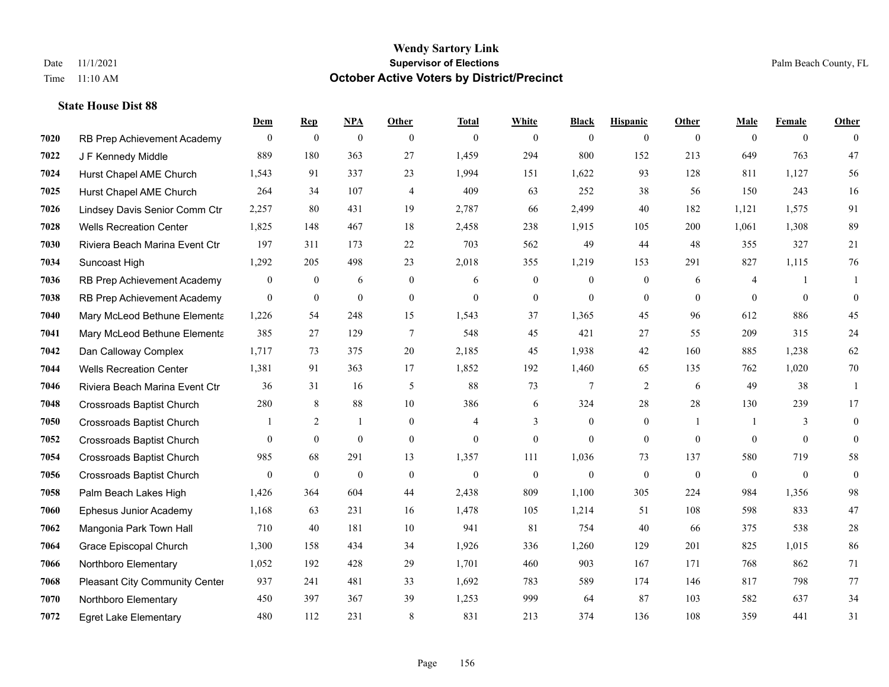|      |                                  | Dem            | <b>Rep</b>       | NPA              | <b>Other</b>   | <b>Total</b>   | <b>White</b>     | <b>Black</b>     | <b>Hispanic</b>  | <b>Other</b>   | <b>Male</b>    | <b>Female</b>  | <b>Other</b> |
|------|----------------------------------|----------------|------------------|------------------|----------------|----------------|------------------|------------------|------------------|----------------|----------------|----------------|--------------|
| 7020 | RB Prep Achievement Academy      | $\overline{0}$ | $\boldsymbol{0}$ | $\boldsymbol{0}$ | $\theta$       | $\theta$       | $\overline{0}$   | $\mathbf{0}$     | $\mathbf{0}$     | $\overline{0}$ | $\mathbf{0}$   | $\overline{0}$ | $\theta$     |
| 7022 | J F Kennedy Middle               | 889            | 180              | 363              | 27             | 1,459          | 294              | 800              | 152              | 213            | 649            | 763            | 47           |
| 7024 | Hurst Chapel AME Church          | 1,543          | 91               | 337              | 23             | 1,994          | 151              | 1,622            | 93               | 128            | 811            | 1.127          | 56           |
| 7025 | Hurst Chapel AME Church          | 264            | 34               | 107              | $\overline{4}$ | 409            | 63               | 252              | 38               | 56             | 150            | 243            | 16           |
| 7026 | Lindsey Davis Senior Comm Ctr    | 2,257          | 80               | 431              | 19             | 2,787          | 66               | 2,499            | 40               | 182            | 1,121          | 1,575          | 91           |
| 7028 | <b>Wells Recreation Center</b>   | 1,825          | 148              | 467              | 18             | 2,458          | 238              | 1,915            | 105              | 200            | 1,061          | 1,308          | 89           |
| 7030 | Riviera Beach Marina Event Ctr   | 197            | 311              | 173              | 22             | 703            | 562              | 49               | 44               | 48             | 355            | 327            | 21           |
| 7034 | Suncoast High                    | 1,292          | 205              | 498              | 23             | 2,018          | 355              | 1,219            | 153              | 291            | 827            | 1,115          | 76           |
| 7036 | RB Prep Achievement Academy      | $\mathbf{0}$   | $\bf{0}$         | 6                | $\mathbf{0}$   | 6              | $\boldsymbol{0}$ | $\boldsymbol{0}$ | $\boldsymbol{0}$ | 6              | 4              | -1             | -1           |
| 7038 | RB Prep Achievement Academy      | $\mathbf{0}$   | $\mathbf{0}$     | $\mathbf{0}$     | $\overline{0}$ | $\theta$       | $\mathbf{0}$     | $\mathbf{0}$     | $\mathbf{0}$     | $\theta$       | $\theta$       | $\mathbf{0}$   | $\mathbf{0}$ |
| 7040 | Mary McLeod Bethune Elementa     | 1,226          | 54               | 248              | 15             | 1,543          | 37               | 1,365            | 45               | 96             | 612            | 886            | 45           |
| 7041 | Mary McLeod Bethune Elementa     | 385            | 27               | 129              | $\tau$         | 548            | 45               | 421              | 27               | 55             | 209            | 315            | 24           |
| 7042 | Dan Calloway Complex             | 1,717          | 73               | 375              | 20             | 2,185          | 45               | 1,938            | 42               | 160            | 885            | 1,238          | 62           |
| 7044 | <b>Wells Recreation Center</b>   | 1,381          | 91               | 363              | 17             | 1,852          | 192              | 1,460            | 65               | 135            | 762            | 1,020          | $70\,$       |
| 7046 | Riviera Beach Marina Event Ctr   | 36             | 31               | 16               | 5              | 88             | 73               | 7                | 2                | 6              | 49             | 38             | 1            |
| 7048 | <b>Crossroads Baptist Church</b> | 280            | 8                | 88               | 10             | 386            | 6                | 324              | 28               | 28             | 130            | 239            | 17           |
| 7050 | <b>Crossroads Baptist Church</b> |                | 2                | -1               | $\overline{0}$ | $\overline{4}$ | 3                | $\boldsymbol{0}$ | $\mathbf{0}$     | $\overline{1}$ | -1             | 3              | $\mathbf{0}$ |
| 7052 | <b>Crossroads Baptist Church</b> | $\overline{0}$ | $\mathbf{0}$     | $\mathbf{0}$     | $\mathbf{0}$   | $\mathbf{0}$   | $\boldsymbol{0}$ | $\mathbf{0}$     | $\mathbf{0}$     | $\overline{0}$ | $\overline{0}$ | $\overline{0}$ | $\mathbf{0}$ |
| 7054 | <b>Crossroads Baptist Church</b> | 985            | 68               | 291              | 13             | 1,357          | 111              | 1,036            | 73               | 137            | 580            | 719            | 58           |
| 7056 | <b>Crossroads Baptist Church</b> | $\theta$       | $\mathbf{0}$     | $\mathbf{0}$     | $\mathbf{0}$   | $\theta$       | $\overline{0}$   | $\mathbf{0}$     | $\theta$         | $\theta$       | $\mathbf{0}$   | $\theta$       | $\mathbf{0}$ |
| 7058 | Palm Beach Lakes High            | 1,426          | 364              | 604              | 44             | 2,438          | 809              | 1,100            | 305              | 224            | 984            | 1,356          | 98           |
| 7060 | Ephesus Junior Academy           | 1,168          | 63               | 231              | 16             | 1,478          | 105              | 1,214            | 51               | 108            | 598            | 833            | 47           |
| 7062 | Mangonia Park Town Hall          | 710            | 40               | 181              | 10             | 941            | 81               | 754              | 40               | 66             | 375            | 538            | $28\,$       |
| 7064 | Grace Episcopal Church           | 1,300          | 158              | 434              | 34             | 1,926          | 336              | 1,260            | 129              | 201            | 825            | 1,015          | 86           |
| 7066 | Northboro Elementary             | 1,052          | 192              | 428              | 29             | 1,701          | 460              | 903              | 167              | 171            | 768            | 862            | 71           |
| 7068 | Pleasant City Community Center   | 937            | 241              | 481              | 33             | 1,692          | 783              | 589              | 174              | 146            | 817            | 798            | 77           |
| 7070 | Northboro Elementary             | 450            | 397              | 367              | 39             | 1,253          | 999              | 64               | 87               | 103            | 582            | 637            | 34           |
| 7072 | <b>Egret Lake Elementary</b>     | 480            | 112              | 231              | 8              | 831            | 213              | 374              | 136              | 108            | 359            | 441            | 31           |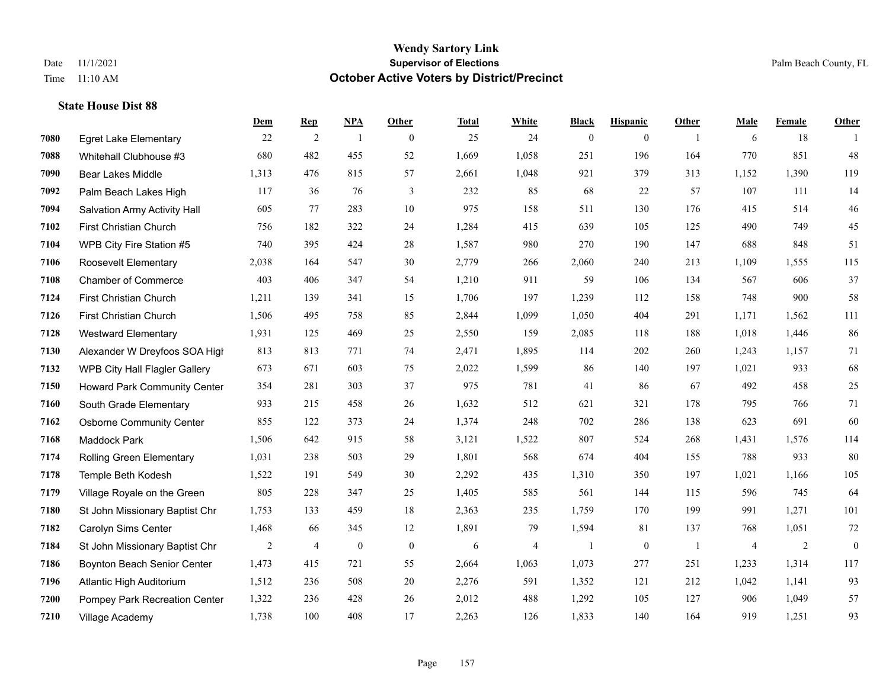|      |                                     | Dem   | <b>Rep</b>     | NPA              | <b>Other</b> | <b>Total</b> | <b>White</b> | <b>Black</b>   | <b>Hispanic</b>  | <b>Other</b>   | <b>Male</b>    | Female | <b>Other</b>   |
|------|-------------------------------------|-------|----------------|------------------|--------------|--------------|--------------|----------------|------------------|----------------|----------------|--------|----------------|
| 7080 | <b>Egret Lake Elementary</b>        | 22    | 2              | $\overline{1}$   | $\mathbf{0}$ | 25           | 24           | $\mathbf{0}$   | $\overline{0}$   | $\overline{1}$ | 6              | 18     |                |
| 7088 | Whitehall Clubhouse #3              | 680   | 482            | 455              | 52           | 1,669        | 1,058        | 251            | 196              | 164            | 770            | 851    | 48             |
| 7090 | <b>Bear Lakes Middle</b>            | 1,313 | 476            | 815              | 57           | 2,661        | 1,048        | 921            | 379              | 313            | 1,152          | 1,390  | 119            |
| 7092 | Palm Beach Lakes High               | 117   | 36             | 76               | 3            | 232          | 85           | 68             | 22               | 57             | 107            | 111    | 14             |
| 7094 | <b>Salvation Army Activity Hall</b> | 605   | 77             | 283              | 10           | 975          | 158          | 511            | 130              | 176            | 415            | 514    | 46             |
| 7102 | First Christian Church              | 756   | 182            | 322              | 24           | 1,284        | 415          | 639            | 105              | 125            | 490            | 749    | 45             |
| 7104 | WPB City Fire Station #5            | 740   | 395            | 424              | 28           | 1,587        | 980          | 270            | 190              | 147            | 688            | 848    | 51             |
| 7106 | Roosevelt Elementary                | 2,038 | 164            | 547              | 30           | 2,779        | 266          | 2,060          | 240              | 213            | 1,109          | 1,555  | 115            |
| 7108 | <b>Chamber of Commerce</b>          | 403   | 406            | 347              | 54           | 1,210        | 911          | 59             | 106              | 134            | 567            | 606    | 37             |
| 7124 | First Christian Church              | 1,211 | 139            | 341              | 15           | 1,706        | 197          | 1,239          | 112              | 158            | 748            | 900    | 58             |
| 7126 | First Christian Church              | 1,506 | 495            | 758              | 85           | 2,844        | 1,099        | 1,050          | 404              | 291            | 1,171          | 1,562  | 111            |
| 7128 | <b>Westward Elementary</b>          | 1,931 | 125            | 469              | 25           | 2,550        | 159          | 2,085          | 118              | 188            | 1,018          | 1,446  | $86\,$         |
| 7130 | Alexander W Dreyfoos SOA High       | 813   | 813            | 771              | 74           | 2,471        | 1,895        | 114            | 202              | 260            | 1,243          | 1,157  | 71             |
| 7132 | WPB City Hall Flagler Gallery       | 673   | 671            | 603              | 75           | 2,022        | 1,599        | 86             | 140              | 197            | 1,021          | 933    | 68             |
| 7150 | Howard Park Community Center        | 354   | 281            | 303              | 37           | 975          | 781          | 41             | 86               | 67             | 492            | 458    | 25             |
| 7160 | South Grade Elementary              | 933   | 215            | 458              | 26           | 1,632        | 512          | 621            | 321              | 178            | 795            | 766    | 71             |
| 7162 | <b>Osborne Community Center</b>     | 855   | 122            | 373              | 24           | 1,374        | 248          | 702            | 286              | 138            | 623            | 691    | 60             |
| 7168 | Maddock Park                        | 1,506 | 642            | 915              | 58           | 3,121        | 1,522        | 807            | 524              | 268            | 1,431          | 1,576  | 114            |
| 7174 | <b>Rolling Green Elementary</b>     | 1,031 | 238            | 503              | 29           | 1,801        | 568          | 674            | 404              | 155            | 788            | 933    | 80             |
| 7178 | Temple Beth Kodesh                  | 1,522 | 191            | 549              | 30           | 2,292        | 435          | 1,310          | 350              | 197            | 1,021          | 1,166  | 105            |
| 7179 | Village Royale on the Green         | 805   | 228            | 347              | 25           | 1,405        | 585          | 561            | 144              | 115            | 596            | 745    | 64             |
| 7180 | St John Missionary Baptist Chr      | 1,753 | 133            | 459              | 18           | 2,363        | 235          | 1,759          | 170              | 199            | 991            | 1,271  | 101            |
| 7182 | Carolyn Sims Center                 | 1,468 | 66             | 345              | 12           | 1,891        | 79           | 1,594          | 81               | 137            | 768            | 1,051  | $72\,$         |
| 7184 | St John Missionary Baptist Chr      | 2     | $\overline{4}$ | $\boldsymbol{0}$ | $\mathbf{0}$ | 6            | 4            | $\overline{1}$ | $\boldsymbol{0}$ | -1             | $\overline{4}$ | 2      | $\overline{0}$ |
| 7186 | Boynton Beach Senior Center         | 1,473 | 415            | 721              | 55           | 2,664        | 1,063        | 1.073          | 277              | 251            | 1,233          | 1,314  | 117            |
| 7196 | Atlantic High Auditorium            | 1,512 | 236            | 508              | 20           | 2,276        | 591          | 1,352          | 121              | 212            | 1,042          | 1,141  | 93             |
| 7200 | Pompey Park Recreation Center       | 1,322 | 236            | 428              | 26           | 2,012        | 488          | 1,292          | 105              | 127            | 906            | 1,049  | 57             |
| 7210 | Village Academy                     | 1,738 | 100            | 408              | 17           | 2,263        | 126          | 1,833          | 140              | 164            | 919            | 1,251  | 93             |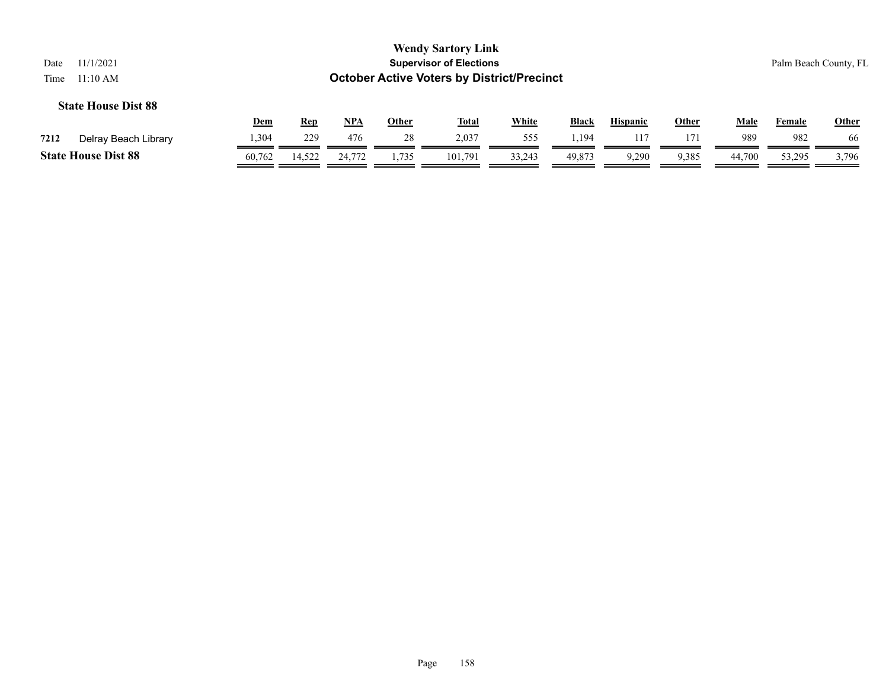| 11/1/2021<br>Date                                                     |            |            |            |              | <b>Wendy Sartory Link</b><br><b>Supervisor of Elections</b> |              |              |                 |              |        |        | Palm Beach County, FL |  |
|-----------------------------------------------------------------------|------------|------------|------------|--------------|-------------------------------------------------------------|--------------|--------------|-----------------|--------------|--------|--------|-----------------------|--|
| <b>October Active Voters by District/Precinct</b><br>11:10 AM<br>Time |            |            |            |              |                                                             |              |              |                 |              |        |        |                       |  |
| <b>State House Dist 88</b>                                            |            |            |            |              |                                                             |              |              |                 |              |        |        |                       |  |
|                                                                       | <b>Dem</b> | <u>Rep</u> | <u>NPA</u> | <b>Other</b> | <u>Total</u>                                                | <b>White</b> | <b>Black</b> | <b>Hispanic</b> | <b>Other</b> | Male   | Female | <b>Other</b>          |  |
| 7212<br>Delray Beach Library                                          | .304       | 229        | 476        | 28           | 2,037                                                       | 555          | 1,194        | 117             | 171          | 989    | 982    | -66                   |  |
| <b>State House Dist 88</b>                                            | 60,762     | 14,522     | 24,772     | . . 735      | 101,791                                                     | 33,243       | 49.873       | 9,290           | 9,385        | 44,700 | 53.295 | 3,796                 |  |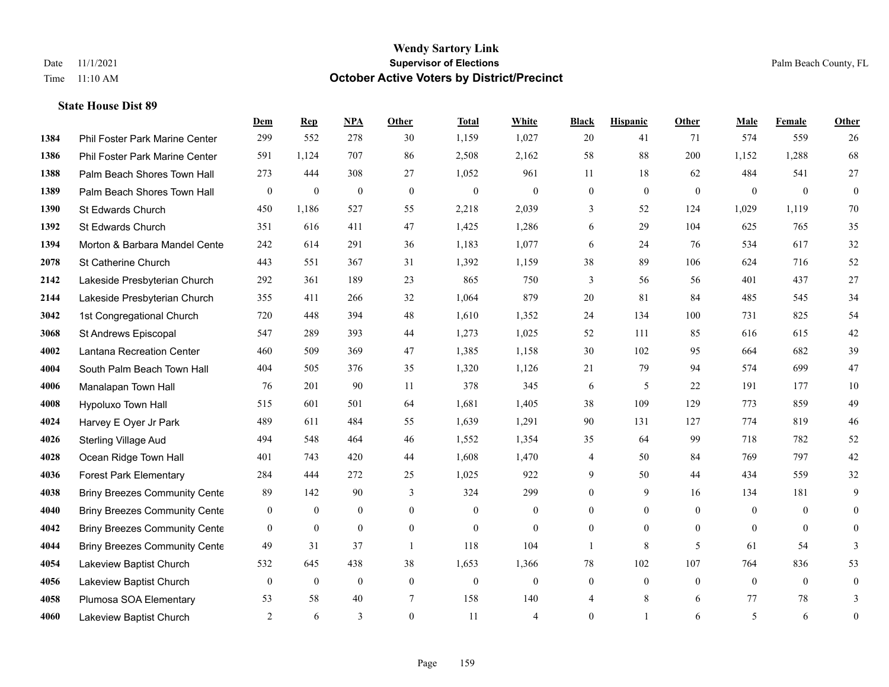**State House Dist 89**

## **Wendy Sartory Link** Date 11/1/2021 **Supervisor of Elections** Palm Beach County, FL Time 11:10 AM **October Active Voters by District/Precinct**

**Dem Rep NPA Other Total White Black Hispanic Other Male Female Other**

# Phil Foster Park Marine Center 299 552 278 30 1,159 1,027 20 41 71 574 559 26 Phil Foster Park Marine Center 591 1,124 707 86 2,508 2,162 58 88 200 1,152 1,288 68 Palm Beach Shores Town Hall 273 444 308 27 1,052 961 11 18 62 484 541 27 Palm Beach Shores Town Hall 0 0 0 0 0 0 0 0 0 0 0 0 St Edwards Church 450 1,186 527 55 2,218 2,039 3 52 124 1,029 1,119 70 St Edwards Church 351 616 411 47 1,425 1,286 6 29 104 625 765 35 Morton & Barbara Mandel Center 242 614 291 36 1,183 1,077 6 24 76 534 617 32 St Catherine Church 443 551 367 31 1,392 1,159 38 89 106 624 716 52 Lakeside Presbyterian Church 292 361 189 23 865 750 3 56 56 401 437 27 Lakeside Presbyterian Church 355 411 266 32 1,064 879 20 81 84 485 545 34 1st Congregational Church 720 448 394 48 1,610 1,352 24 134 100 731 825 54 St Andrews Episcopal 547 289 393 44 1,273 1,025 52 111 85 616 615 42 Lantana Recreation Center 460 509 369 47 1,385 1,158 30 102 95 664 682 39 South Palm Beach Town Hall 404 505 376 35 1,320 1,126 21 79 94 574 699 47 Manalapan Town Hall 76 201 90 11 378 345 6 5 22 191 177 10 Hypoluxo Town Hall 515 601 501 64 1,681 1,405 38 109 129 773 859 49 Harvey E Oyer Jr Park 489 611 484 55 1,639 1,291 90 131 127 774 819 46 Sterling Village Aud 494 548 464 46 1,552 1,354 35 64 99 718 782 52 Ocean Ridge Town Hall  $401$   $743$   $420$   $44$   $1,608$   $1,470$   $4$   $50$   $84$   $769$   $797$   $42$  Forest Park Elementary 284 444 272 25 1,025 922 9 50 44 434 559 32 Briny Breezes Community Cente 89 142 90 3 324 299 0 9 16 134 181 9 Briny Breezes Community Center 0 0 0 0 0 0 0 0 0 0 0 0 Briny Breezes Community Center 0 0 0 0 0 0 0 0 0 0 0 0 Briny Breezes Community Cente 49 31 37 1 118 104 1 8 5 61 54 3 Lakeview Baptist Church 532 645 438 38 1,653 1,366 78 102 107 764 836 53

 Lakeview Baptist Church 0 0 0 0 0 0 0 0 0 0 0 0 Plumosa SOA Elementary 53 58 40 7 158 140 4 8 6 77 78 3 Lakeview Baptist Church 2 6 3 0 11 4 0 1 6 5 6 0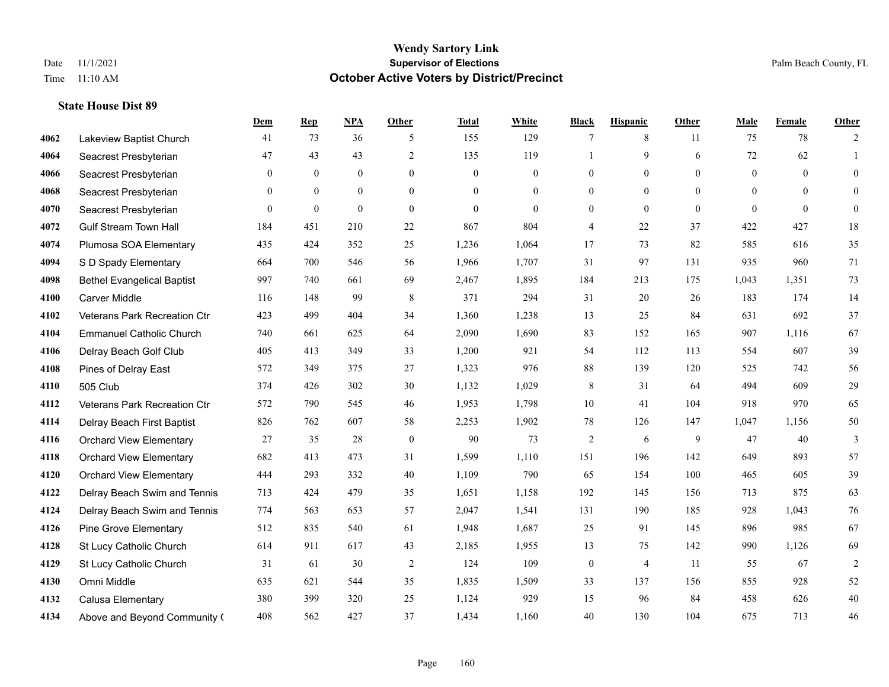|      |                                   | <b>Dem</b>     | <b>Rep</b>     | <u>NPA</u>   | <b>Other</b>   | <b>Total</b> | <b>White</b>     | <b>Black</b>     | <b>Hispanic</b> | <b>Other</b>   | <b>Male</b>  | <b>Female</b> | <b>Other</b> |
|------|-----------------------------------|----------------|----------------|--------------|----------------|--------------|------------------|------------------|-----------------|----------------|--------------|---------------|--------------|
| 4062 | Lakeview Baptist Church           | 41             | 73             | 36           | 5              | 155          | 129              | 7                | 8               | 11             | 75           | 78            | 2            |
| 4064 | Seacrest Presbyterian             | 47             | 43             | 43           | $\overline{2}$ | 135          | 119              | 1                | 9               | 6              | 72           | 62            | 1            |
| 4066 | Seacrest Presbyterian             | $\overline{0}$ | $\mathbf{0}$   | $\theta$     | $\theta$       | $\theta$     | $\mathbf{0}$     | $\theta$         | $\theta$        | $\Omega$       | $\theta$     | $\Omega$      | $\theta$     |
| 4068 | Seacrest Presbyterian             | $\overline{0}$ | $\mathbf{0}$   | $\bf{0}$     | $\mathbf{0}$   | $\theta$     | $\boldsymbol{0}$ | $\mathbf{0}$     | $\mathbf{0}$    | $\overline{0}$ | $\mathbf{0}$ | $\mathbf{0}$  | $\mathbf{0}$ |
| 4070 | Seacrest Presbyterian             | $\overline{0}$ | $\overline{0}$ | $\mathbf{0}$ | $\overline{0}$ | $\theta$     | $\overline{0}$   | $\mathbf{0}$     | $\overline{0}$  | $\Omega$       | $\theta$     | $\theta$      | $\mathbf{0}$ |
| 4072 | <b>Gulf Stream Town Hall</b>      | 184            | 451            | 210          | 22             | 867          | 804              | $\overline{4}$   | 22              | 37             | 422          | 427           | 18           |
| 4074 | Plumosa SOA Elementary            | 435            | 424            | 352          | 25             | 1,236        | 1,064            | 17               | 73              | 82             | 585          | 616           | 35           |
| 4094 | S D Spady Elementary              | 664            | 700            | 546          | 56             | 1,966        | 1,707            | 31               | 97              | 131            | 935          | 960           | 71           |
| 4098 | <b>Bethel Evangelical Baptist</b> | 997            | 740            | 661          | 69             | 2,467        | 1,895            | 184              | 213             | 175            | 1,043        | 1,351         | 73           |
| 4100 | <b>Carver Middle</b>              | 116            | 148            | 99           | 8              | 371          | 294              | 31               | 20              | 26             | 183          | 174           | 14           |
| 4102 | Veterans Park Recreation Ctr      | 423            | 499            | 404          | 34             | 1,360        | 1,238            | 13               | 25              | 84             | 631          | 692           | 37           |
| 4104 | <b>Emmanuel Catholic Church</b>   | 740            | 661            | 625          | 64             | 2,090        | 1,690            | 83               | 152             | 165            | 907          | 1,116         | 67           |
| 4106 | Delray Beach Golf Club            | 405            | 413            | 349          | 33             | 1,200        | 921              | 54               | 112             | 113            | 554          | 607           | 39           |
| 4108 | Pines of Delray East              | 572            | 349            | 375          | 27             | 1,323        | 976              | $88\,$           | 139             | 120            | 525          | 742           | 56           |
| 4110 | 505 Club                          | 374            | 426            | 302          | 30             | 1,132        | 1,029            | 8                | 31              | 64             | 494          | 609           | 29           |
| 4112 | Veterans Park Recreation Ctr      | 572            | 790            | 545          | 46             | 1,953        | 1,798            | 10               | 41              | 104            | 918          | 970           | 65           |
| 4114 | Delray Beach First Baptist        | 826            | 762            | 607          | 58             | 2,253        | 1,902            | 78               | 126             | 147            | 1,047        | 1,156         | 50           |
| 4116 | <b>Orchard View Elementary</b>    | 27             | 35             | 28           | $\mathbf{0}$   | 90           | 73               | 2                | 6               | 9              | 47           | 40            | 3            |
| 4118 | <b>Orchard View Elementary</b>    | 682            | 413            | 473          | 31             | 1,599        | 1,110            | 151              | 196             | 142            | 649          | 893           | 57           |
| 4120 | <b>Orchard View Elementary</b>    | 444            | 293            | 332          | 40             | 1,109        | 790              | 65               | 154             | 100            | 465          | 605           | 39           |
| 4122 | Delray Beach Swim and Tennis      | 713            | 424            | 479          | 35             | 1,651        | 1,158            | 192              | 145             | 156            | 713          | 875           | 63           |
| 4124 | Delray Beach Swim and Tennis      | 774            | 563            | 653          | 57             | 2,047        | 1,541            | 131              | 190             | 185            | 928          | 1,043         | 76           |
| 4126 | <b>Pine Grove Elementary</b>      | 512            | 835            | 540          | 61             | 1,948        | 1,687            | 25               | 91              | 145            | 896          | 985           | 67           |
| 4128 | St Lucy Catholic Church           | 614            | 911            | 617          | 43             | 2,185        | 1,955            | 13               | 75              | 142            | 990          | 1,126         | 69           |
| 4129 | St Lucy Catholic Church           | 31             | 61             | 30           | $\sqrt{2}$     | 124          | 109              | $\boldsymbol{0}$ | $\overline{4}$  | 11             | 55           | 67            | $\sqrt{2}$   |
| 4130 | Omni Middle                       | 635            | 621            | 544          | 35             | 1,835        | 1,509            | 33               | 137             | 156            | 855          | 928           | 52           |
| 4132 | Calusa Elementary                 | 380            | 399            | 320          | 25             | 1,124        | 929              | 15               | 96              | 84             | 458          | 626           | 40           |
| 4134 | Above and Beyond Community (      | 408            | 562            | 427          | 37             | 1,434        | 1,160            | 40               | 130             | 104            | 675          | 713           | 46           |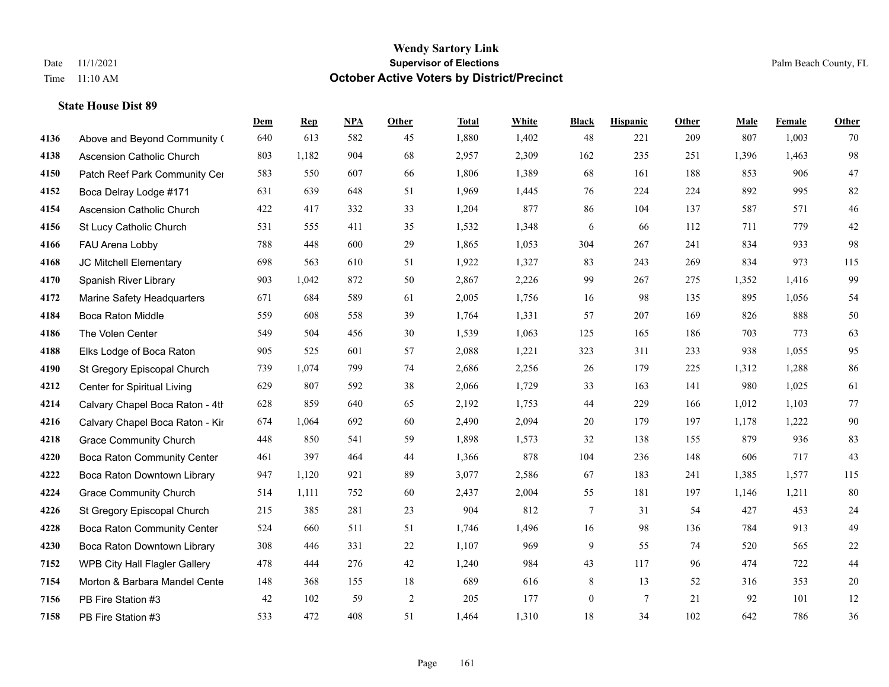|      |                                    | Dem | <b>Rep</b> | NPA | <b>Other</b> | <b>Total</b> | <b>White</b> | <b>Black</b>     | <b>Hispanic</b> | <b>Other</b> | <b>Male</b> | <b>Female</b> | Other  |
|------|------------------------------------|-----|------------|-----|--------------|--------------|--------------|------------------|-----------------|--------------|-------------|---------------|--------|
| 4136 | Above and Beyond Community (       | 640 | 613        | 582 | 45           | 1,880        | 1,402        | 48               | 221             | 209          | 807         | 1,003         | 70     |
| 4138 | <b>Ascension Catholic Church</b>   | 803 | 1,182      | 904 | 68           | 2,957        | 2,309        | 162              | 235             | 251          | 1,396       | 1,463         | 98     |
| 4150 | Patch Reef Park Community Cer      | 583 | 550        | 607 | 66           | 1,806        | 1,389        | 68               | 161             | 188          | 853         | 906           | 47     |
| 4152 | Boca Delray Lodge #171             | 631 | 639        | 648 | 51           | 1,969        | 1,445        | 76               | 224             | 224          | 892         | 995           | 82     |
| 4154 | Ascension Catholic Church          | 422 | 417        | 332 | 33           | 1,204        | 877          | 86               | 104             | 137          | 587         | 571           | $46\,$ |
| 4156 | St Lucy Catholic Church            | 531 | 555        | 411 | 35           | 1,532        | 1,348        | 6                | 66              | 112          | 711         | 779           | $42\,$ |
| 4166 | FAU Arena Lobby                    | 788 | 448        | 600 | 29           | 1,865        | 1,053        | 304              | 267             | 241          | 834         | 933           | 98     |
| 4168 | JC Mitchell Elementary             | 698 | 563        | 610 | 51           | 1,922        | 1,327        | 83               | 243             | 269          | 834         | 973           | 115    |
| 4170 | Spanish River Library              | 903 | 1,042      | 872 | 50           | 2,867        | 2,226        | 99               | 267             | 275          | 1,352       | 1,416         | 99     |
| 4172 | Marine Safety Headquarters         | 671 | 684        | 589 | 61           | 2,005        | 1,756        | 16               | 98              | 135          | 895         | 1,056         | 54     |
| 4184 | <b>Boca Raton Middle</b>           | 559 | 608        | 558 | 39           | 1,764        | 1,331        | 57               | 207             | 169          | 826         | 888           | 50     |
| 4186 | The Volen Center                   | 549 | 504        | 456 | 30           | 1,539        | 1,063        | 125              | 165             | 186          | 703         | 773           | 63     |
| 4188 | Elks Lodge of Boca Raton           | 905 | 525        | 601 | 57           | 2,088        | 1,221        | 323              | 311             | 233          | 938         | 1,055         | 95     |
| 4190 | St Gregory Episcopal Church        | 739 | 1,074      | 799 | 74           | 2,686        | 2,256        | 26               | 179             | 225          | 1,312       | 1,288         | $86\,$ |
| 4212 | Center for Spiritual Living        | 629 | 807        | 592 | 38           | 2,066        | 1,729        | 33               | 163             | 141          | 980         | 1,025         | 61     |
| 4214 | Calvary Chapel Boca Raton - 4th    | 628 | 859        | 640 | 65           | 2,192        | 1,753        | 44               | 229             | 166          | 1,012       | 1,103         | 77     |
| 4216 | Calvary Chapel Boca Raton - Kir    | 674 | 1,064      | 692 | 60           | 2,490        | 2,094        | 20               | 179             | 197          | 1,178       | 1,222         | 90     |
| 4218 | <b>Grace Community Church</b>      | 448 | 850        | 541 | 59           | 1,898        | 1,573        | 32               | 138             | 155          | 879         | 936           | 83     |
| 4220 | <b>Boca Raton Community Center</b> | 461 | 397        | 464 | 44           | 1,366        | 878          | 104              | 236             | 148          | 606         | 717           | 43     |
| 4222 | Boca Raton Downtown Library        | 947 | 1,120      | 921 | 89           | 3,077        | 2,586        | 67               | 183             | 241          | 1,385       | 1,577         | 115    |
| 4224 | <b>Grace Community Church</b>      | 514 | 1,111      | 752 | 60           | 2,437        | 2,004        | 55               | 181             | 197          | 1,146       | 1,211         | 80     |
| 4226 | St Gregory Episcopal Church        | 215 | 385        | 281 | 23           | 904          | 812          | 7                | 31              | 54           | 427         | 453           | 24     |
| 4228 | <b>Boca Raton Community Center</b> | 524 | 660        | 511 | 51           | 1,746        | 1,496        | 16               | 98              | 136          | 784         | 913           | 49     |
| 4230 | Boca Raton Downtown Library        | 308 | 446        | 331 | 22           | 1,107        | 969          | 9                | 55              | 74           | 520         | 565           | $22\,$ |
| 7152 | WPB City Hall Flagler Gallery      | 478 | 444        | 276 | 42           | 1,240        | 984          | 43               | 117             | 96           | 474         | 722           | 44     |
| 7154 | Morton & Barbara Mandel Cente      | 148 | 368        | 155 | 18           | 689          | 616          | $\,8\,$          | 13              | 52           | 316         | 353           | $20\,$ |
| 7156 | PB Fire Station #3                 | 42  | 102        | 59  | 2            | 205          | 177          | $\boldsymbol{0}$ | 7               | 21           | 92          | 101           | 12     |
| 7158 | PB Fire Station #3                 | 533 | 472        | 408 | 51           | 1,464        | 1,310        | 18               | 34              | 102          | 642         | 786           | 36     |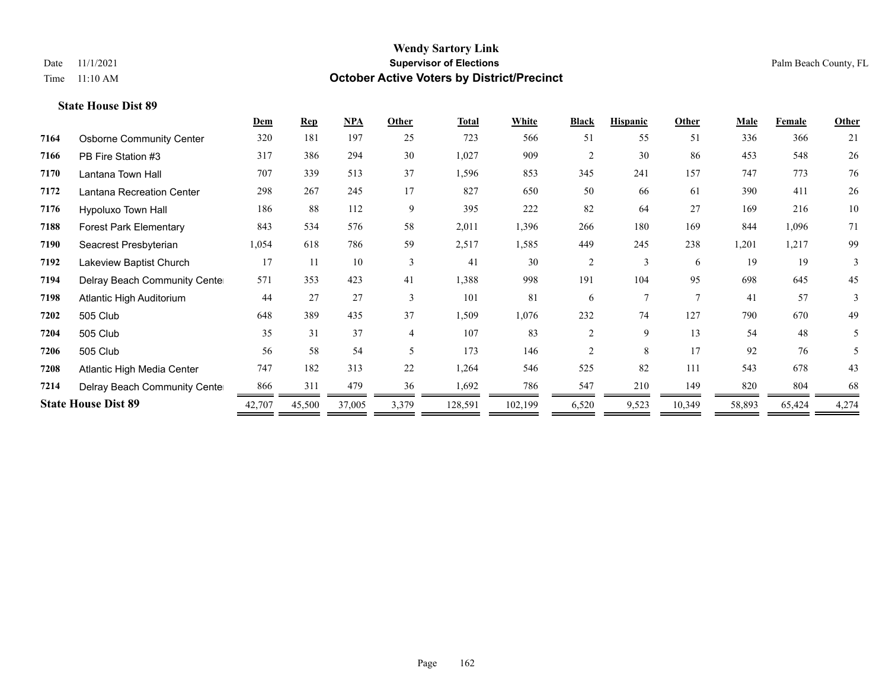|      |                                 | Dem    | <b>Rep</b> | NPA    | Other          | <b>Total</b> | White   | <b>Black</b>   | <b>Hispanic</b> | Other  | <b>Male</b> | Female | <b>Other</b> |
|------|---------------------------------|--------|------------|--------|----------------|--------------|---------|----------------|-----------------|--------|-------------|--------|--------------|
| 7164 | <b>Osborne Community Center</b> | 320    | 181        | 197    | 25             | 723          | 566     | 51             | 55              | 51     | 336         | 366    | 21           |
| 7166 | PB Fire Station #3              | 317    | 386        | 294    | 30             | 1,027        | 909     | 2              | 30              | 86     | 453         | 548    | 26           |
| 7170 | Lantana Town Hall               | 707    | 339        | 513    | 37             | 1,596        | 853     | 345            | 241             | 157    | 747         | 773    | 76           |
| 7172 | Lantana Recreation Center       | 298    | 267        | 245    | 17             | 827          | 650     | 50             | 66              | 61     | 390         | 411    | 26           |
| 7176 | Hypoluxo Town Hall              | 186    | 88         | 112    | 9              | 395          | 222     | 82             | 64              | 27     | 169         | 216    | 10           |
| 7188 | <b>Forest Park Elementary</b>   | 843    | 534        | 576    | 58             | 2,011        | 1,396   | 266            | 180             | 169    | 844         | 1,096  | 71           |
| 7190 | Seacrest Presbyterian           | 1,054  | 618        | 786    | 59             | 2,517        | 1,585   | 449            | 245             | 238    | 1,201       | 1,217  | 99           |
| 7192 | Lakeview Baptist Church         | 17     | 11         | 10     | 3              | 41           | 30      | $\overline{2}$ | 3               | 6      | 19          | 19     | 3            |
| 7194 | Delray Beach Community Cente    | 571    | 353        | 423    | 41             | 1,388        | 998     | 191            | 104             | 95     | 698         | 645    | 45           |
| 7198 | Atlantic High Auditorium        | 44     | 27         | 27     | 3              | 101          | 81      | 6              | $\overline{7}$  | 7      | 41          | 57     | 3            |
| 7202 | 505 Club                        | 648    | 389        | 435    | 37             | 1,509        | 1,076   | 232            | 74              | 127    | 790         | 670    | 49           |
| 7204 | 505 Club                        | 35     | 31         | 37     | $\overline{4}$ | 107          | 83      | 2              | 9               | 13     | 54          | 48     | 5            |
| 7206 | 505 Club                        | 56     | 58         | 54     | $\sim$         | 173          | 146     | $\mathfrak{D}$ | 8               | 17     | 92          | 76     | 5            |
| 7208 | Atlantic High Media Center      | 747    | 182        | 313    | 22             | 1,264        | 546     | 525            | 82              | 111    | 543         | 678    | 43           |
| 7214 | Delray Beach Community Cente    | 866    | 311        | 479    | 36             | 1,692        | 786     | 547            | 210             | 149    | 820         | 804    | 68           |
|      | <b>State House Dist 89</b>      | 42,707 | 45,500     | 37,005 | 3,379          | 128,591      | 102,199 | 6,520          | 9,523           | 10,349 | 58,893      | 65,424 | 4,274        |
|      |                                 |        |            |        |                |              |         |                |                 |        |             |        |              |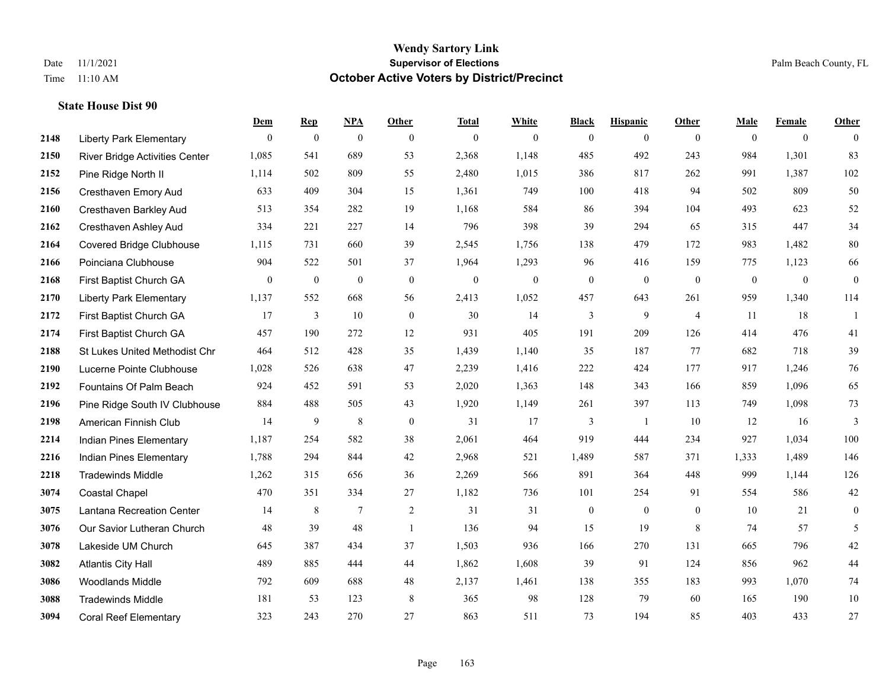|      |                                       | Dem          | <b>Rep</b>       | NPA              | <b>Other</b> | <b>Total</b>     | <b>White</b>   | <b>Black</b>   | <b>Hispanic</b> | <b>Other</b>   | <b>Male</b>  | <b>Female</b>  | <b>Other</b>   |
|------|---------------------------------------|--------------|------------------|------------------|--------------|------------------|----------------|----------------|-----------------|----------------|--------------|----------------|----------------|
| 2148 | <b>Liberty Park Elementary</b>        | $\mathbf{0}$ | $\boldsymbol{0}$ | $\boldsymbol{0}$ | $\theta$     | $\mathbf{0}$     | $\overline{0}$ | $\overline{0}$ | $\overline{0}$  | $\overline{0}$ | $\theta$     | $\overline{0}$ | $\theta$       |
| 2150 | <b>River Bridge Activities Center</b> | 1,085        | 541              | 689              | 53           | 2,368            | 1,148          | 485            | 492             | 243            | 984          | 1,301          | 83             |
| 2152 | Pine Ridge North II                   | 1,114        | 502              | 809              | 55           | 2,480            | 1,015          | 386            | 817             | 262            | 991          | 1,387          | $102\,$        |
| 2156 | Cresthaven Emory Aud                  | 633          | 409              | 304              | 15           | 1,361            | 749            | 100            | 418             | 94             | 502          | 809            | 50             |
| 2160 | <b>Cresthaven Barkley Aud</b>         | 513          | 354              | 282              | 19           | 1,168            | 584            | 86             | 394             | 104            | 493          | 623            | 52             |
| 2162 | Cresthaven Ashley Aud                 | 334          | 221              | 227              | 14           | 796              | 398            | 39             | 294             | 65             | 315          | 447            | 34             |
| 2164 | <b>Covered Bridge Clubhouse</b>       | 1,115        | 731              | 660              | 39           | 2,545            | 1,756          | 138            | 479             | 172            | 983          | 1,482          | $80\,$         |
| 2166 | Poinciana Clubhouse                   | 904          | 522              | 501              | 37           | 1,964            | 1,293          | 96             | 416             | 159            | 775          | 1,123          | 66             |
| 2168 | First Baptist Church GA               | $\mathbf{0}$ | $\boldsymbol{0}$ | $\boldsymbol{0}$ | $\mathbf{0}$ | $\boldsymbol{0}$ | $\mathbf{0}$   | $\overline{0}$ | $\mathbf{0}$    | $\bf{0}$       | $\mathbf{0}$ | $\mathbf{0}$   | $\mathbf{0}$   |
| 2170 | <b>Liberty Park Elementary</b>        | 1,137        | 552              | 668              | 56           | 2,413            | 1,052          | 457            | 643             | 261            | 959          | 1,340          | 114            |
| 2172 | First Baptist Church GA               | 17           | 3                | 10               | $\theta$     | 30               | 14             | 3              | 9               | $\overline{4}$ | 11           | 18             | $\overline{1}$ |
| 2174 | First Baptist Church GA               | 457          | 190              | 272              | 12           | 931              | 405            | 191            | 209             | 126            | 414          | 476            | 41             |
| 2188 | St Lukes United Methodist Chr         | 464          | 512              | 428              | 35           | 1,439            | 1,140          | 35             | 187             | 77             | 682          | 718            | 39             |
| 2190 | Lucerne Pointe Clubhouse              | 1,028        | 526              | 638              | 47           | 2,239            | 1,416          | 222            | 424             | 177            | 917          | 1,246          | $76\,$         |
| 2192 | Fountains Of Palm Beach               | 924          | 452              | 591              | 53           | 2,020            | 1,363          | 148            | 343             | 166            | 859          | 1,096          | 65             |
| 2196 | Pine Ridge South IV Clubhouse         | 884          | 488              | 505              | 43           | 1,920            | 1,149          | 261            | 397             | 113            | 749          | 1,098          | 73             |
| 2198 | American Finnish Club                 | 14           | $\overline{9}$   | $\,$ 8 $\,$      | $\mathbf{0}$ | 31               | 17             | 3              | -1              | 10             | 12           | 16             | $\mathfrak{Z}$ |
| 2214 | Indian Pines Elementary               | 1,187        | 254              | 582              | 38           | 2,061            | 464            | 919            | 444             | 234            | 927          | 1,034          | $100\,$        |
| 2216 | Indian Pines Elementary               | 1,788        | 294              | 844              | 42           | 2,968            | 521            | 1,489          | 587             | 371            | 1,333        | 1,489          | 146            |
| 2218 | <b>Tradewinds Middle</b>              | 1,262        | 315              | 656              | 36           | 2,269            | 566            | 891            | 364             | 448            | 999          | 1,144          | 126            |
| 3074 | Coastal Chapel                        | 470          | 351              | 334              | 27           | 1,182            | 736            | 101            | 254             | 91             | 554          | 586            | $42\,$         |
| 3075 | Lantana Recreation Center             | 14           | $\,8\,$          | $\tau$           | 2            | 31               | 31             | $\overline{0}$ | $\mathbf{0}$    | $\mathbf{0}$   | 10           | 21             | $\mathbf{0}$   |
| 3076 | Our Savior Lutheran Church            | 48           | 39               | 48               | -1           | 136              | 94             | 15             | 19              | 8              | 74           | 57             | 5              |
| 3078 | Lakeside UM Church                    | 645          | 387              | 434              | 37           | 1,503            | 936            | 166            | 270             | 131            | 665          | 796            | $42\,$         |
| 3082 | <b>Atlantis City Hall</b>             | 489          | 885              | 444              | 44           | 1,862            | 1,608          | 39             | 91              | 124            | 856          | 962            | 44             |
| 3086 | <b>Woodlands Middle</b>               | 792          | 609              | 688              | 48           | 2,137            | 1,461          | 138            | 355             | 183            | 993          | 1,070          | 74             |
| 3088 | <b>Tradewinds Middle</b>              | 181          | 53               | 123              | 8            | 365              | 98             | 128            | 79              | 60             | 165          | 190            | $10\,$         |
| 3094 | <b>Coral Reef Elementary</b>          | 323          | 243              | 270              | 27           | 863              | 511            | 73             | 194             | 85             | 403          | 433            | 27             |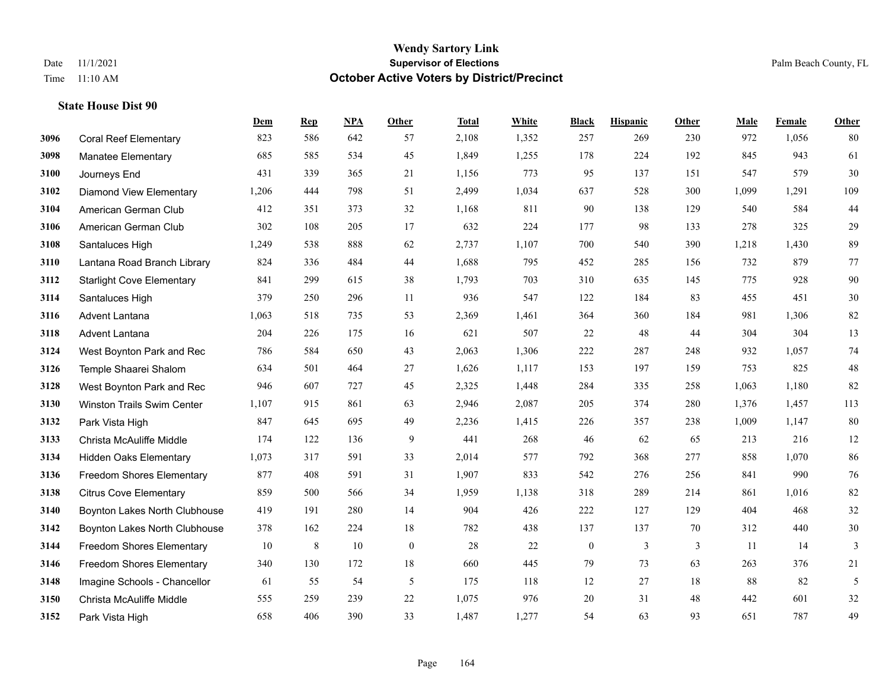|      |                                   | Dem   | <b>Rep</b> | NPA | <b>Other</b> | <b>Total</b> | White | <b>Black</b>     | <b>Hispanic</b> | Other | <b>Male</b> | Female | <b>Other</b> |
|------|-----------------------------------|-------|------------|-----|--------------|--------------|-------|------------------|-----------------|-------|-------------|--------|--------------|
| 3096 | <b>Coral Reef Elementary</b>      | 823   | 586        | 642 | 57           | 2,108        | 1,352 | 257              | 269             | 230   | 972         | 1,056  | 80           |
| 3098 | <b>Manatee Elementary</b>         | 685   | 585        | 534 | 45           | 1,849        | 1,255 | 178              | 224             | 192   | 845         | 943    | 61           |
| 3100 | Journeys End                      | 431   | 339        | 365 | 21           | 1,156        | 773   | 95               | 137             | 151   | 547         | 579    | $30\,$       |
| 3102 | <b>Diamond View Elementary</b>    | 1,206 | 444        | 798 | 51           | 2,499        | 1,034 | 637              | 528             | 300   | 1,099       | 1,291  | 109          |
| 3104 | American German Club              | 412   | 351        | 373 | 32           | 1,168        | 811   | 90               | 138             | 129   | 540         | 584    | $44$         |
| 3106 | American German Club              | 302   | 108        | 205 | 17           | 632          | 224   | 177              | 98              | 133   | 278         | 325    | 29           |
| 3108 | Santaluces High                   | 1,249 | 538        | 888 | 62           | 2,737        | 1,107 | 700              | 540             | 390   | 1,218       | 1,430  | 89           |
| 3110 | Lantana Road Branch Library       | 824   | 336        | 484 | 44           | 1,688        | 795   | 452              | 285             | 156   | 732         | 879    | 77           |
| 3112 | <b>Starlight Cove Elementary</b>  | 841   | 299        | 615 | 38           | 1,793        | 703   | 310              | 635             | 145   | 775         | 928    | 90           |
| 3114 | Santaluces High                   | 379   | 250        | 296 | 11           | 936          | 547   | 122              | 184             | 83    | 455         | 451    | $30\,$       |
| 3116 | Advent Lantana                    | 1,063 | 518        | 735 | 53           | 2,369        | 1,461 | 364              | 360             | 184   | 981         | 1,306  | 82           |
| 3118 | Advent Lantana                    | 204   | 226        | 175 | 16           | 621          | 507   | 22               | 48              | 44    | 304         | 304    | 13           |
| 3124 | West Boynton Park and Rec         | 786   | 584        | 650 | 43           | 2,063        | 1,306 | 222              | 287             | 248   | 932         | 1,057  | $74\,$       |
| 3126 | Temple Shaarei Shalom             | 634   | 501        | 464 | 27           | 1,626        | 1,117 | 153              | 197             | 159   | 753         | 825    | $48\,$       |
| 3128 | West Boynton Park and Rec         | 946   | 607        | 727 | 45           | 2,325        | 1,448 | 284              | 335             | 258   | 1,063       | 1,180  | 82           |
| 3130 | <b>Winston Trails Swim Center</b> | 1,107 | 915        | 861 | 63           | 2,946        | 2,087 | 205              | 374             | 280   | 1,376       | 1,457  | 113          |
| 3132 | Park Vista High                   | 847   | 645        | 695 | 49           | 2,236        | 1,415 | 226              | 357             | 238   | 1,009       | 1,147  | 80           |
| 3133 | Christa McAuliffe Middle          | 174   | 122        | 136 | 9            | 441          | 268   | 46               | 62              | 65    | 213         | 216    | 12           |
| 3134 | <b>Hidden Oaks Elementary</b>     | 1,073 | 317        | 591 | 33           | 2,014        | 577   | 792              | 368             | 277   | 858         | 1,070  | 86           |
| 3136 | <b>Freedom Shores Elementary</b>  | 877   | 408        | 591 | 31           | 1,907        | 833   | 542              | 276             | 256   | 841         | 990    | 76           |
| 3138 | <b>Citrus Cove Elementary</b>     | 859   | 500        | 566 | 34           | 1,959        | 1,138 | 318              | 289             | 214   | 861         | 1,016  | 82           |
| 3140 | Boynton Lakes North Clubhouse     | 419   | 191        | 280 | 14           | 904          | 426   | 222              | 127             | 129   | 404         | 468    | $32\,$       |
| 3142 | Boynton Lakes North Clubhouse     | 378   | 162        | 224 | 18           | 782          | 438   | 137              | 137             | 70    | 312         | 440    | $30\,$       |
| 3144 | Freedom Shores Elementary         | 10    | 8          | 10  | $\mathbf{0}$ | 28           | 22    | $\boldsymbol{0}$ | 3               | 3     | 11          | 14     | 3            |
| 3146 | <b>Freedom Shores Elementary</b>  | 340   | 130        | 172 | 18           | 660          | 445   | 79               | 73              | 63    | 263         | 376    | 21           |
| 3148 | Imagine Schools - Chancellor      | 61    | 55         | 54  | 5            | 175          | 118   | 12               | 27              | 18    | 88          | 82     | 5            |
| 3150 | Christa McAuliffe Middle          | 555   | 259        | 239 | 22           | 1,075        | 976   | 20               | 31              | 48    | 442         | 601    | $32\,$       |
| 3152 | Park Vista High                   | 658   | 406        | 390 | 33           | 1,487        | 1,277 | 54               | 63              | 93    | 651         | 787    | 49           |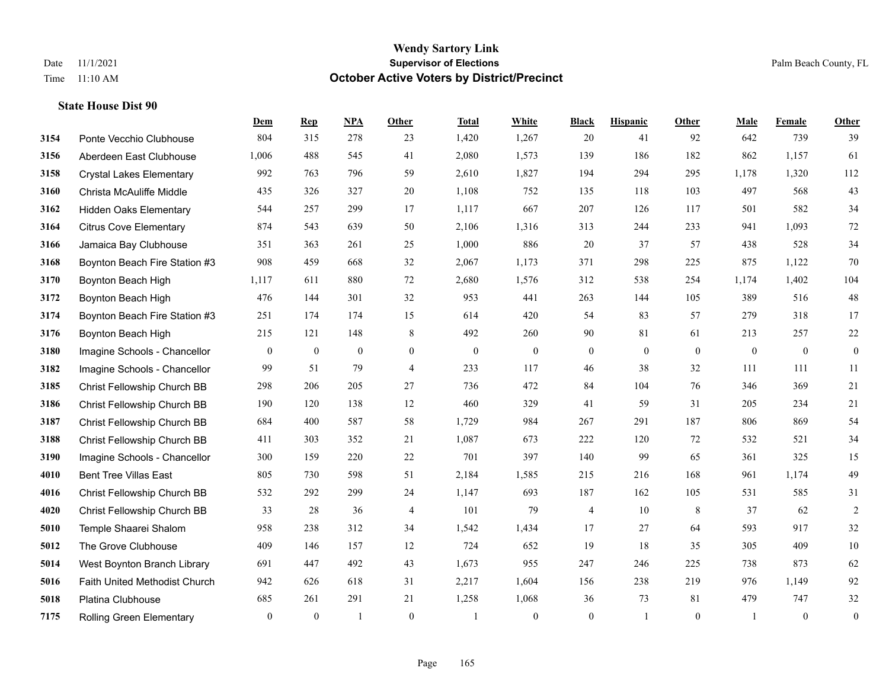|      |                                 | Dem            | <b>Rep</b>       | NPA              | <b>Other</b>   | <b>Total</b>     | White            | <b>Black</b>     | <b>Hispanic</b>  | <b>Other</b> | <b>Male</b>  | Female       | <b>Other</b>     |
|------|---------------------------------|----------------|------------------|------------------|----------------|------------------|------------------|------------------|------------------|--------------|--------------|--------------|------------------|
| 3154 | Ponte Vecchio Clubhouse         | 804            | 315              | 278              | 23             | 1,420            | 1,267            | 20               | 41               | 92           | 642          | 739          | 39               |
| 3156 | Aberdeen East Clubhouse         | 1,006          | 488              | 545              | 41             | 2,080            | 1,573            | 139              | 186              | 182          | 862          | 1,157        | 61               |
| 3158 | <b>Crystal Lakes Elementary</b> | 992            | 763              | 796              | 59             | 2,610            | 1,827            | 194              | 294              | 295          | 1,178        | 1,320        | 112              |
| 3160 | Christa McAuliffe Middle        | 435            | 326              | 327              | 20             | 1,108            | 752              | 135              | 118              | 103          | 497          | 568          | 43               |
| 3162 | Hidden Oaks Elementary          | 544            | 257              | 299              | 17             | 1,117            | 667              | 207              | 126              | 117          | 501          | 582          | 34               |
| 3164 | <b>Citrus Cove Elementary</b>   | 874            | 543              | 639              | 50             | 2,106            | 1,316            | 313              | 244              | 233          | 941          | 1.093        | $72\,$           |
| 3166 | Jamaica Bay Clubhouse           | 351            | 363              | 261              | 25             | 1,000            | 886              | 20               | 37               | 57           | 438          | 528          | 34               |
| 3168 | Boynton Beach Fire Station #3   | 908            | 459              | 668              | 32             | 2,067            | 1,173            | 371              | 298              | 225          | 875          | 1,122        | 70               |
| 3170 | Boynton Beach High              | 1,117          | 611              | 880              | 72             | 2,680            | 1,576            | 312              | 538              | 254          | 1,174        | 1,402        | 104              |
| 3172 | Boynton Beach High              | 476            | 144              | 301              | 32             | 953              | 441              | 263              | 144              | 105          | 389          | 516          | 48               |
| 3174 | Boynton Beach Fire Station #3   | 251            | 174              | 174              | 15             | 614              | 420              | 54               | 83               | 57           | 279          | 318          | 17               |
| 3176 | Boynton Beach High              | 215            | 121              | 148              | 8              | 492              | 260              | 90               | 81               | 61           | 213          | 257          | $22\,$           |
| 3180 | Imagine Schools - Chancellor    | $\mathbf{0}$   | $\boldsymbol{0}$ | $\boldsymbol{0}$ | $\overline{0}$ | $\boldsymbol{0}$ | $\boldsymbol{0}$ | $\boldsymbol{0}$ | $\boldsymbol{0}$ | $\mathbf{0}$ | $\mathbf{0}$ | $\mathbf{0}$ | $\boldsymbol{0}$ |
| 3182 | Imagine Schools - Chancellor    | 99             | 51               | 79               | $\overline{4}$ | 233              | 117              | 46               | 38               | 32           | 111          | 111          | 11               |
| 3185 | Christ Fellowship Church BB     | 298            | 206              | 205              | 27             | 736              | 472              | 84               | 104              | 76           | 346          | 369          | 21               |
| 3186 | Christ Fellowship Church BB     | 190            | 120              | 138              | 12             | 460              | 329              | 41               | 59               | 31           | 205          | 234          | 21               |
| 3187 | Christ Fellowship Church BB     | 684            | 400              | 587              | 58             | 1.729            | 984              | 267              | 291              | 187          | 806          | 869          | 54               |
| 3188 | Christ Fellowship Church BB     | 411            | 303              | 352              | 21             | 1,087            | 673              | 222              | 120              | 72           | 532          | 521          | 34               |
| 3190 | Imagine Schools - Chancellor    | 300            | 159              | 220              | 22             | 701              | 397              | 140              | 99               | 65           | 361          | 325          | 15               |
| 4010 | <b>Bent Tree Villas East</b>    | 805            | 730              | 598              | 51             | 2,184            | 1,585            | 215              | 216              | 168          | 961          | 1,174        | 49               |
| 4016 | Christ Fellowship Church BB     | 532            | 292              | 299              | 24             | 1,147            | 693              | 187              | 162              | 105          | 531          | 585          | 31               |
| 4020 | Christ Fellowship Church BB     | 33             | 28               | 36               | 4              | 101              | 79               | $\overline{4}$   | 10               | 8            | 37           | 62           | $\sqrt{2}$       |
| 5010 | Temple Shaarei Shalom           | 958            | 238              | 312              | 34             | 1,542            | 1,434            | 17               | 27               | 64           | 593          | 917          | $32\,$           |
| 5012 | The Grove Clubhouse             | 409            | 146              | 157              | 12             | 724              | 652              | 19               | 18               | 35           | 305          | 409          | $10\,$           |
| 5014 | West Boynton Branch Library     | 691            | 447              | 492              | 43             | 1,673            | 955              | 247              | 246              | 225          | 738          | 873          | 62               |
| 5016 | Faith United Methodist Church   | 942            | 626              | 618              | 31             | 2,217            | 1,604            | 156              | 238              | 219          | 976          | 1,149        | 92               |
| 5018 | Platina Clubhouse               | 685            | 261              | 291              | 21             | 1,258            | 1,068            | 36               | 73               | 81           | 479          | 747          | $32\,$           |
| 7175 | <b>Rolling Green Elementary</b> | $\overline{0}$ | $\mathbf{0}$     | $\overline{1}$   | $\Omega$       |                  | $\overline{0}$   | $\mathbf{0}$     | $\mathbf{1}$     | $\theta$     |              | $\mathbf{0}$ | $\boldsymbol{0}$ |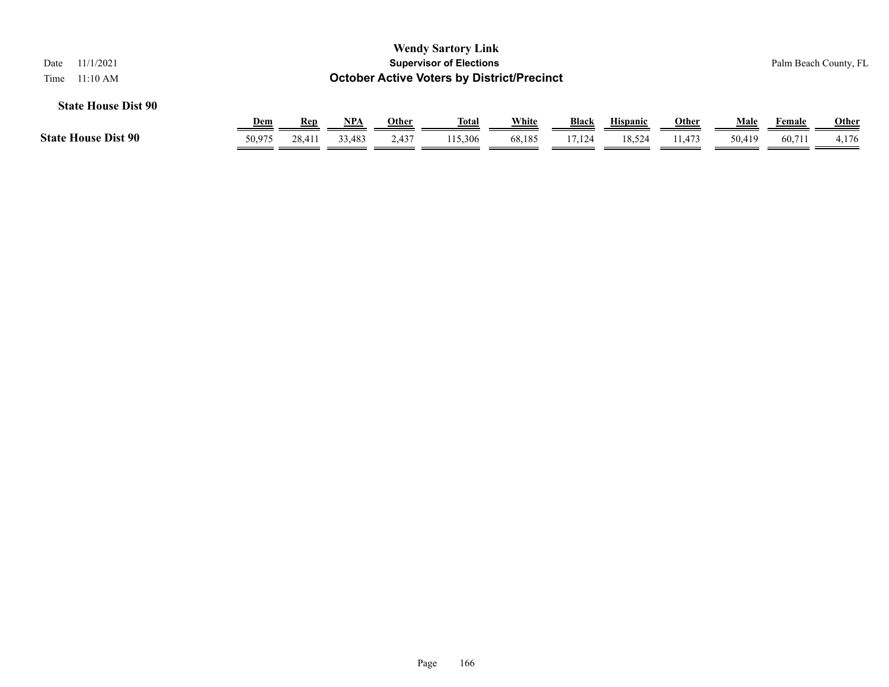| 11/1/2021<br>Date<br>11:10 AM<br>Time                                                                                                                                                                |        |        |        |       | <b>Wendy Sartory Link</b><br><b>Supervisor of Elections</b> |        |        |        |        |        |        | Palm Beach County, FL |
|------------------------------------------------------------------------------------------------------------------------------------------------------------------------------------------------------|--------|--------|--------|-------|-------------------------------------------------------------|--------|--------|--------|--------|--------|--------|-----------------------|
| <b>October Active Voters by District/Precinct</b><br><b>State House Dist 90</b><br>White<br>Black<br>Male<br>Other<br><b>Hispanic</b><br>NPA<br>Total<br><u>Other</u><br><u>Dem</u><br>Rep<br>Female |        |        |        |       |                                                             |        |        |        |        |        |        | <b>Other</b>          |
| <b>State House Dist 90</b>                                                                                                                                                                           | 50,975 | 28.411 | 33.483 | 2,437 | 115,306                                                     | 68,185 | 17,124 | 18,524 | 11.473 | 50,419 | 60,711 | 4,176                 |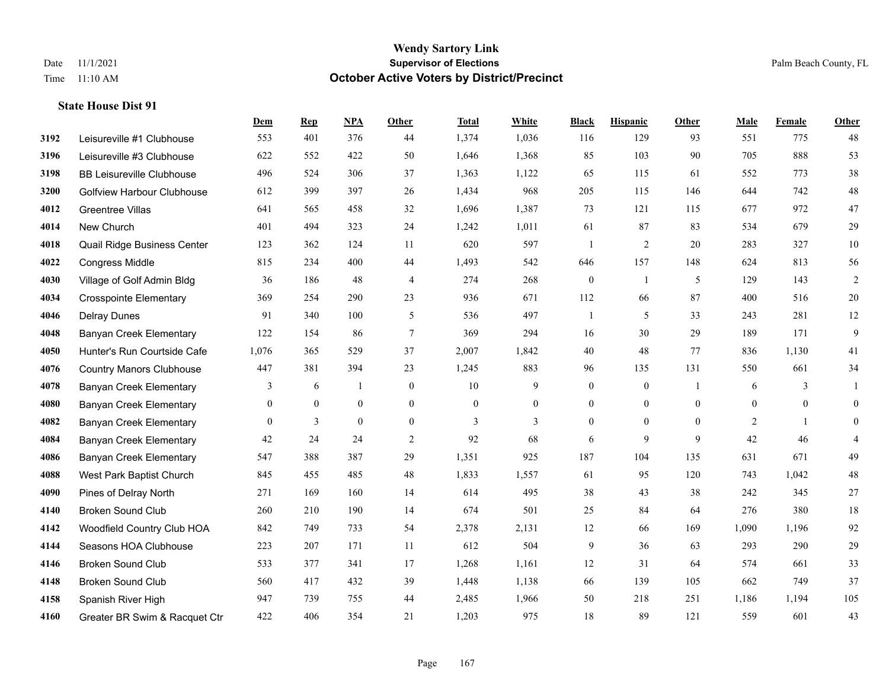|      |                                   | Dem            | <b>Rep</b>     | NPA          | <b>Other</b>     | <b>Total</b>   | White          | <b>Black</b>     | <b>Hispanic</b> | <b>Other</b> | <b>Male</b>    | Female       | <b>Other</b>   |
|------|-----------------------------------|----------------|----------------|--------------|------------------|----------------|----------------|------------------|-----------------|--------------|----------------|--------------|----------------|
| 3192 | Leisureville #1 Clubhouse         | 553            | 401            | 376          | 44               | 1,374          | 1,036          | 116              | 129             | 93           | 551            | 775          | 48             |
| 3196 | Leisureville #3 Clubhouse         | 622            | 552            | 422          | 50               | 1,646          | 1,368          | 85               | 103             | 90           | 705            | 888          | 53             |
| 3198 | <b>BB Leisureville Clubhouse</b>  | 496            | 524            | 306          | 37               | 1,363          | 1,122          | 65               | 115             | 61           | 552            | 773          | $38\,$         |
| 3200 | <b>Golfview Harbour Clubhouse</b> | 612            | 399            | 397          | 26               | 1,434          | 968            | 205              | 115             | 146          | 644            | 742          | $48\,$         |
| 4012 | <b>Greentree Villas</b>           | 641            | 565            | 458          | 32               | 1,696          | 1,387          | 73               | 121             | 115          | 677            | 972          | $47\,$         |
| 4014 | New Church                        | 401            | 494            | 323          | 24               | 1,242          | 1,011          | 61               | 87              | 83           | 534            | 679          | 29             |
| 4018 | Quail Ridge Business Center       | 123            | 362            | 124          | 11               | 620            | 597            | $\mathbf{1}$     | $\overline{2}$  | 20           | 283            | 327          | $10\,$         |
| 4022 | <b>Congress Middle</b>            | 815            | 234            | 400          | 44               | 1,493          | 542            | 646              | 157             | 148          | 624            | 813          | 56             |
| 4030 | Village of Golf Admin Bldg        | 36             | 186            | 48           | 4                | 274            | 268            | $\boldsymbol{0}$ | 1               | 5            | 129            | 143          | $\overline{c}$ |
| 4034 | <b>Crosspointe Elementary</b>     | 369            | 254            | 290          | 23               | 936            | 671            | 112              | 66              | 87           | 400            | 516          | $20\,$         |
| 4046 | <b>Delray Dunes</b>               | 91             | 340            | 100          | 5                | 536            | 497            | $\mathbf{1}$     | 5               | 33           | 243            | 281          | $12\,$         |
| 4048 | Banyan Creek Elementary           | 122            | 154            | 86           | $\tau$           | 369            | 294            | 16               | 30              | 29           | 189            | 171          | 9              |
| 4050 | Hunter's Run Courtside Cafe       | 1,076          | 365            | 529          | 37               | 2,007          | 1,842          | 40               | 48              | 77           | 836            | 1,130        | 41             |
| 4076 | <b>Country Manors Clubhouse</b>   | 447            | 381            | 394          | 23               | 1,245          | 883            | 96               | 135             | 131          | 550            | 661          | 34             |
| 4078 | <b>Banyan Creek Elementary</b>    | 3              | 6              | 1            | $\mathbf{0}$     | 10             | 9              | $\boldsymbol{0}$ | $\mathbf{0}$    | -1           | 6              | 3            | 1              |
| 4080 | <b>Banyan Creek Elementary</b>    | $\overline{0}$ | $\mathbf{0}$   | $\mathbf{0}$ | $\overline{0}$   | $\theta$       | $\overline{0}$ | $\mathbf{0}$     | $\mathbf{0}$    | $\theta$     | $\overline{0}$ | $\theta$     | $\mathbf{0}$   |
| 4082 | <b>Banyan Creek Elementary</b>    | $\mathbf{0}$   | $\mathfrak{Z}$ | $\mathbf{0}$ | $\boldsymbol{0}$ | $\mathfrak{Z}$ | 3              | $\boldsymbol{0}$ | $\mathbf{0}$    | $\mathbf{0}$ | $\overline{2}$ | $\mathbf{1}$ | $\overline{0}$ |
| 4084 | <b>Banyan Creek Elementary</b>    | 42             | 24             | 24           | 2                | 92             | 68             | 6                | 9               | 9            | 42             | 46           | 4              |
| 4086 | <b>Banyan Creek Elementary</b>    | 547            | 388            | 387          | 29               | 1,351          | 925            | 187              | 104             | 135          | 631            | 671          | 49             |
| 4088 | West Park Baptist Church          | 845            | 455            | 485          | 48               | 1,833          | 1,557          | 61               | 95              | 120          | 743            | 1,042        | $48\,$         |
| 4090 | Pines of Delray North             | 271            | 169            | 160          | 14               | 614            | 495            | 38               | 43              | 38           | 242            | 345          | 27             |
| 4140 | <b>Broken Sound Club</b>          | 260            | 210            | 190          | 14               | 674            | 501            | 25               | 84              | 64           | 276            | 380          | 18             |
| 4142 | Woodfield Country Club HOA        | 842            | 749            | 733          | 54               | 2,378          | 2,131          | 12               | 66              | 169          | 1,090          | 1,196        | 92             |
| 4144 | Seasons HOA Clubhouse             | 223            | 207            | 171          | 11               | 612            | 504            | 9                | 36              | 63           | 293            | 290          | 29             |
| 4146 | <b>Broken Sound Club</b>          | 533            | 377            | 341          | 17               | 1,268          | 1,161          | 12               | 31              | 64           | 574            | 661          | 33             |
| 4148 | <b>Broken Sound Club</b>          | 560            | 417            | 432          | 39               | 1,448          | 1,138          | 66               | 139             | 105          | 662            | 749          | 37             |
| 4158 | Spanish River High                | 947            | 739            | 755          | 44               | 2,485          | 1,966          | 50               | 218             | 251          | 1,186          | 1,194        | 105            |
| 4160 | Greater BR Swim & Racquet Ctr     | 422            | 406            | 354          | 21               | 1,203          | 975            | 18               | 89              | 121          | 559            | 601          | 43             |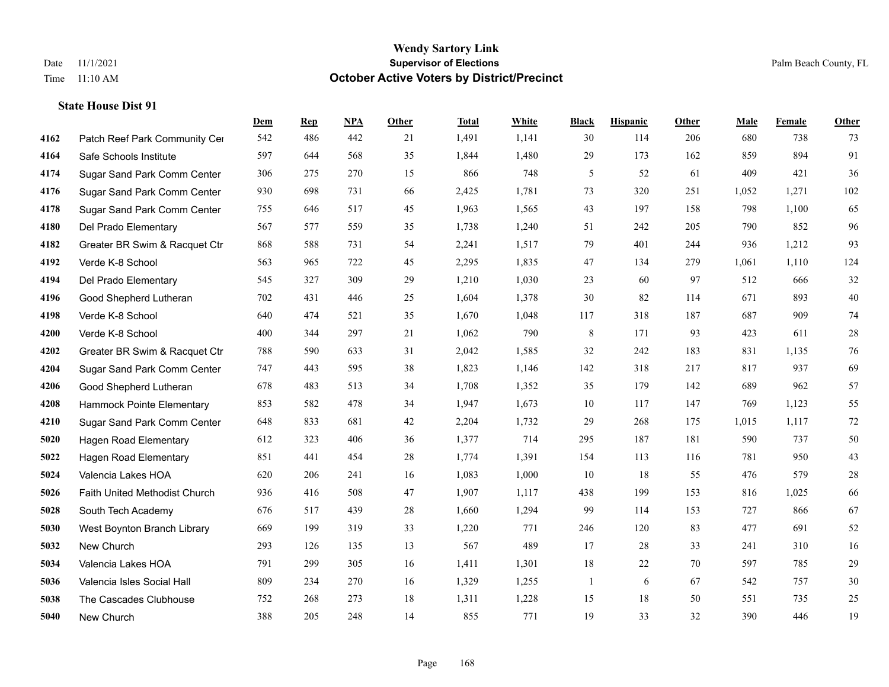|      |                               | Dem | <b>Rep</b> | NPA | <b>Other</b> | <b>Total</b> | White | <b>Black</b> | <b>Hispanic</b> | <b>Other</b> | <b>Male</b> | <b>Female</b> | <b>Other</b> |
|------|-------------------------------|-----|------------|-----|--------------|--------------|-------|--------------|-----------------|--------------|-------------|---------------|--------------|
| 4162 | Patch Reef Park Community Cer | 542 | 486        | 442 | 21           | 1,491        | 1,141 | 30           | 114             | 206          | 680         | 738           | 73           |
| 4164 | Safe Schools Institute        | 597 | 644        | 568 | 35           | 1,844        | 1,480 | 29           | 173             | 162          | 859         | 894           | 91           |
| 4174 | Sugar Sand Park Comm Center   | 306 | 275        | 270 | 15           | 866          | 748   | 5            | 52              | 61           | 409         | 421           | 36           |
| 4176 | Sugar Sand Park Comm Center   | 930 | 698        | 731 | 66           | 2,425        | 1,781 | 73           | 320             | 251          | 1,052       | 1,271         | 102          |
| 4178 | Sugar Sand Park Comm Center   | 755 | 646        | 517 | 45           | 1,963        | 1,565 | 43           | 197             | 158          | 798         | 1.100         | 65           |
| 4180 | Del Prado Elementary          | 567 | 577        | 559 | 35           | 1,738        | 1,240 | 51           | 242             | 205          | 790         | 852           | 96           |
| 4182 | Greater BR Swim & Racquet Ctr | 868 | 588        | 731 | 54           | 2,241        | 1,517 | 79           | 401             | 244          | 936         | 1,212         | 93           |
| 4192 | Verde K-8 School              | 563 | 965        | 722 | 45           | 2,295        | 1,835 | 47           | 134             | 279          | 1,061       | 1,110         | 124          |
| 4194 | Del Prado Elementary          | 545 | 327        | 309 | 29           | 1,210        | 1,030 | 23           | 60              | 97           | 512         | 666           | $32\,$       |
| 4196 | Good Shepherd Lutheran        | 702 | 431        | 446 | 25           | 1,604        | 1,378 | 30           | 82              | 114          | 671         | 893           | $40\,$       |
| 4198 | Verde K-8 School              | 640 | 474        | 521 | 35           | 1,670        | 1,048 | 117          | 318             | 187          | 687         | 909           | $74\,$       |
| 4200 | Verde K-8 School              | 400 | 344        | 297 | 21           | 1,062        | 790   | 8            | 171             | 93           | 423         | 611           | $28\,$       |
| 4202 | Greater BR Swim & Racquet Ctr | 788 | 590        | 633 | 31           | 2,042        | 1,585 | 32           | 242             | 183          | 831         | 1,135         | $76\,$       |
| 4204 | Sugar Sand Park Comm Center   | 747 | 443        | 595 | 38           | 1,823        | 1,146 | 142          | 318             | 217          | 817         | 937           | 69           |
| 4206 | Good Shepherd Lutheran        | 678 | 483        | 513 | 34           | 1,708        | 1,352 | 35           | 179             | 142          | 689         | 962           | 57           |
| 4208 | Hammock Pointe Elementary     | 853 | 582        | 478 | 34           | 1,947        | 1,673 | 10           | 117             | 147          | 769         | 1,123         | 55           |
| 4210 | Sugar Sand Park Comm Center   | 648 | 833        | 681 | $42\,$       | 2,204        | 1,732 | 29           | 268             | 175          | 1,015       | 1,117         | $72\,$       |
| 5020 | <b>Hagen Road Elementary</b>  | 612 | 323        | 406 | 36           | 1,377        | 714   | 295          | 187             | 181          | 590         | 737           | 50           |
| 5022 | <b>Hagen Road Elementary</b>  | 851 | 441        | 454 | 28           | 1,774        | 1,391 | 154          | 113             | 116          | 781         | 950           | 43           |
| 5024 | Valencia Lakes HOA            | 620 | 206        | 241 | 16           | 1,083        | 1,000 | 10           | 18              | 55           | 476         | 579           | $28\,$       |
| 5026 | Faith United Methodist Church | 936 | 416        | 508 | 47           | 1,907        | 1,117 | 438          | 199             | 153          | 816         | 1,025         | 66           |
| 5028 | South Tech Academy            | 676 | 517        | 439 | 28           | 1,660        | 1,294 | 99           | 114             | 153          | 727         | 866           | 67           |
| 5030 | West Boynton Branch Library   | 669 | 199        | 319 | 33           | 1,220        | 771   | 246          | 120             | 83           | 477         | 691           | 52           |
| 5032 | New Church                    | 293 | 126        | 135 | 13           | 567          | 489   | 17           | 28              | 33           | 241         | 310           | 16           |
| 5034 | Valencia Lakes HOA            | 791 | 299        | 305 | 16           | 1,411        | 1,301 | 18           | 22              | 70           | 597         | 785           | 29           |
| 5036 | Valencia Isles Social Hall    | 809 | 234        | 270 | 16           | 1,329        | 1,255 | 1            | 6               | 67           | 542         | 757           | $30\,$       |
| 5038 | The Cascades Clubhouse        | 752 | 268        | 273 | 18           | 1,311        | 1,228 | 15           | 18              | 50           | 551         | 735           | 25           |
| 5040 | New Church                    | 388 | 205        | 248 | 14           | 855          | 771   | 19           | 33              | 32           | 390         | 446           | 19           |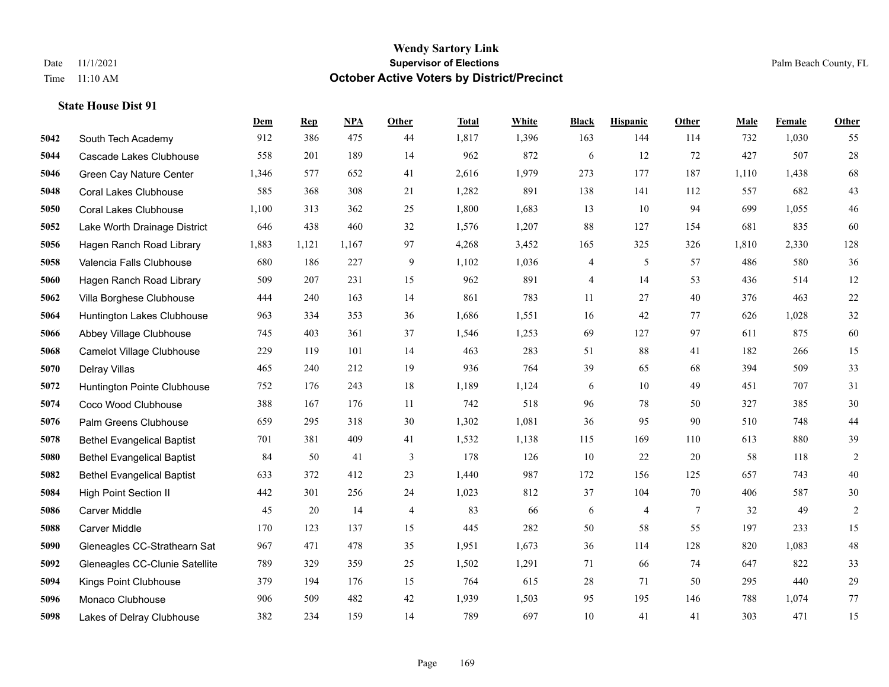|      |                                   | Dem   | <b>Rep</b> | NPA   | <b>Other</b> | <b>Total</b> | White | <b>Black</b>             | <b>Hispanic</b> | Other          | <b>Male</b> | Female | <b>Other</b>   |
|------|-----------------------------------|-------|------------|-------|--------------|--------------|-------|--------------------------|-----------------|----------------|-------------|--------|----------------|
| 5042 | South Tech Academy                | 912   | 386        | 475   | 44           | 1,817        | 1,396 | 163                      | 144             | 114            | 732         | 1,030  | 55             |
| 5044 | Cascade Lakes Clubhouse           | 558   | 201        | 189   | 14           | 962          | 872   | 6                        | 12              | 72             | 427         | 507    | $28\,$         |
| 5046 | Green Cay Nature Center           | 1,346 | 577        | 652   | 41           | 2,616        | 1,979 | 273                      | 177             | 187            | 1,110       | 1,438  | 68             |
| 5048 | <b>Coral Lakes Clubhouse</b>      | 585   | 368        | 308   | 21           | 1,282        | 891   | 138                      | 141             | 112            | 557         | 682    | 43             |
| 5050 | <b>Coral Lakes Clubhouse</b>      | 1,100 | 313        | 362   | 25           | 1,800        | 1,683 | 13                       | 10              | 94             | 699         | 1,055  | $46\,$         |
| 5052 | Lake Worth Drainage District      | 646   | 438        | 460   | 32           | 1,576        | 1,207 | 88                       | 127             | 154            | 681         | 835    | 60             |
| 5056 | Hagen Ranch Road Library          | 1,883 | 1,121      | 1,167 | 97           | 4,268        | 3,452 | 165                      | 325             | 326            | 1,810       | 2,330  | 128            |
| 5058 | Valencia Falls Clubhouse          | 680   | 186        | 227   | 9            | 1,102        | 1,036 | 4                        | 5               | 57             | 486         | 580    | $36\,$         |
| 5060 | Hagen Ranch Road Library          | 509   | 207        | 231   | 15           | 962          | 891   | $\overline{\mathcal{A}}$ | 14              | 53             | 436         | 514    | $12\,$         |
| 5062 | Villa Borghese Clubhouse          | 444   | 240        | 163   | 14           | 861          | 783   | 11                       | 27              | 40             | 376         | 463    | $22\,$         |
| 5064 | Huntington Lakes Clubhouse        | 963   | 334        | 353   | 36           | 1,686        | 1,551 | 16                       | 42              | 77             | 626         | 1,028  | $32\,$         |
| 5066 | Abbey Village Clubhouse           | 745   | 403        | 361   | 37           | 1,546        | 1,253 | 69                       | 127             | 97             | 611         | 875    | 60             |
| 5068 | Camelot Village Clubhouse         | 229   | 119        | 101   | 14           | 463          | 283   | 51                       | 88              | 41             | 182         | 266    | 15             |
| 5070 | Delray Villas                     | 465   | 240        | 212   | 19           | 936          | 764   | 39                       | 65              | 68             | 394         | 509    | 33             |
| 5072 | Huntington Pointe Clubhouse       | 752   | 176        | 243   | 18           | 1,189        | 1,124 | 6                        | 10              | 49             | 451         | 707    | 31             |
| 5074 | Coco Wood Clubhouse               | 388   | 167        | 176   | 11           | 742          | 518   | 96                       | 78              | 50             | 327         | 385    | $30\,$         |
| 5076 | Palm Greens Clubhouse             | 659   | 295        | 318   | 30           | 1,302        | 1,081 | 36                       | 95              | 90             | 510         | 748    | $44\,$         |
| 5078 | <b>Bethel Evangelical Baptist</b> | 701   | 381        | 409   | 41           | 1,532        | 1,138 | 115                      | 169             | 110            | 613         | 880    | 39             |
| 5080 | <b>Bethel Evangelical Baptist</b> | 84    | 50         | 41    | 3            | 178          | 126   | 10                       | 22              | 20             | 58          | 118    | $\sqrt{2}$     |
| 5082 | <b>Bethel Evangelical Baptist</b> | 633   | 372        | 412   | 23           | 1,440        | 987   | 172                      | 156             | 125            | 657         | 743    | $40\,$         |
| 5084 | <b>High Point Section II</b>      | 442   | 301        | 256   | 24           | 1,023        | 812   | 37                       | 104             | 70             | 406         | 587    | $30\,$         |
| 5086 | <b>Carver Middle</b>              | 45    | 20         | 14    | 4            | 83           | 66    | 6                        | $\overline{4}$  | $\overline{7}$ | 32          | 49     | $\overline{2}$ |
| 5088 | <b>Carver Middle</b>              | 170   | 123        | 137   | 15           | 445          | 282   | 50                       | 58              | 55             | 197         | 233    | 15             |
| 5090 | Gleneagles CC-Strathearn Sat      | 967   | 471        | 478   | 35           | 1,951        | 1,673 | 36                       | 114             | 128            | 820         | 1,083  | $48\,$         |
| 5092 | Gleneagles CC-Clunie Satellite    | 789   | 329        | 359   | 25           | 1,502        | 1,291 | 71                       | 66              | 74             | 647         | 822    | 33             |
| 5094 | Kings Point Clubhouse             | 379   | 194        | 176   | 15           | 764          | 615   | 28                       | 71              | 50             | 295         | 440    | 29             |
| 5096 | Monaco Clubhouse                  | 906   | 509        | 482   | 42           | 1,939        | 1,503 | 95                       | 195             | 146            | 788         | 1,074  | 77             |
| 5098 | Lakes of Delray Clubhouse         | 382   | 234        | 159   | 14           | 789          | 697   | 10                       | 41              | 41             | 303         | 471    | 15             |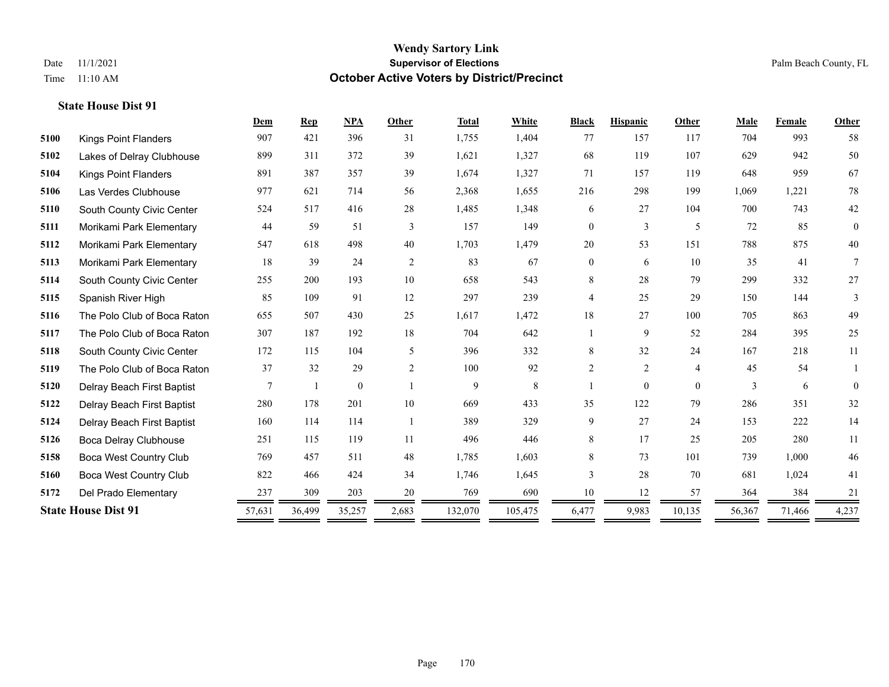|                             | Dem    | Rep    | <b>NPA</b>       | Other          | <b>Total</b> | White   | <b>Black</b>   | <b>Hispanic</b> | Other          | Male         | Female | Other    |
|-----------------------------|--------|--------|------------------|----------------|--------------|---------|----------------|-----------------|----------------|--------------|--------|----------|
| <b>Kings Point Flanders</b> | 907    | 421    | 396              | 31             | 1,755        | 1,404   | 77             | 157             | 117            | 704          | 993    | 58       |
| Lakes of Delray Clubhouse   | 899    | 311    | 372              | 39             | 1,621        | 1,327   | 68             | 119             | 107            | 629          | 942    | 50       |
| <b>Kings Point Flanders</b> | 891    | 387    | 357              | 39             | 1,674        | 1,327   | 71             | 157             | 119            | 648          | 959    | 67       |
| Las Verdes Clubhouse        | 977    | 621    | 714              | 56             | 2,368        | 1,655   | 216            | 298             | 199            | 1,069        | 1,221  | 78       |
| South County Civic Center   | 524    | 517    | 416              | 28             | 1,485        | 1,348   | 6              | 27              | 104            | 700          | 743    | 42       |
| Morikami Park Elementary    | 44     | 59     | 51               | 3              | 157          | 149     | $\overline{0}$ | 3               | 5              | 72           | 85     | $\theta$ |
| Morikami Park Elementary    | 547    | 618    | 498              | 40             | 1,703        | 1,479   | 20             | 53              | 151            | 788          | 875    | 40       |
| Morikami Park Elementary    | 18     | 39     | 24               | 2              | 83           | 67      | $\overline{0}$ | 6               | 10             | 35           | 41     | 7        |
| South County Civic Center   | 255    | 200    | 193              | 10             | 658          | 543     | 8              | 28              | 79             | 299          | 332    | 27       |
| Spanish River High          | 85     | 109    | 91               | 12             | 297          | 239     | 4              | 25              | 29             | 150          | 144    | 3        |
| The Polo Club of Boca Raton | 655    | 507    | 430              | 25             | 1,617        | 1,472   | 18             | 27              | 100            | 705          | 863    | 49       |
| The Polo Club of Boca Raton | 307    | 187    | 192              | $18\,$         | 704          | 642     |                | 9               | 52             | 284          | 395    | 25       |
| South County Civic Center   | 172    | 115    | 104              | 5              | 396          | 332     | 8              | 32              | 24             | 167          | 218    | 11       |
| The Polo Club of Boca Raton | 37     | 32     | 29               | 2              | 100          | 92      | $\overline{2}$ | $\overline{c}$  | $\overline{4}$ | 45           | 54     |          |
| Delray Beach First Baptist  | 7      |        | $\boldsymbol{0}$ |                | 9            | 8       |                | $\overline{0}$  | $\theta$       | $\mathbf{3}$ | 6      | $\theta$ |
| Delray Beach First Baptist  | 280    | 178    | 201              | 10             | 669          | 433     | 35             | 122             | 79             | 286          | 351    | 32       |
| Delray Beach First Baptist  | 160    | 114    | 114              | $\overline{1}$ | 389          | 329     | 9              | 27              | 24             | 153          | 222    | 14       |
| Boca Delray Clubhouse       | 251    | 115    | 119              | 11             | 496          | 446     | 8              | 17              | 25             | 205          | 280    | 11       |
| Boca West Country Club      | 769    | 457    | 511              | 48             | 1,785        | 1,603   | 8              | 73              | 101            | 739          | 1,000  | $46\,$   |
| Boca West Country Club      | 822    | 466    | 424              | 34             | 1,746        | 1,645   | 3              | 28              | 70             | 681          | 1,024  | 41       |
| Del Prado Elementary        | 237    | 309    | 203              | 20             | 769          | 690     | 10             | 12              | 57             | 364          | 384    | 21       |
| <b>State House Dist 91</b>  | 57,631 | 36,499 | 35,257           | 2,683          | 132,070      | 105,475 | 6,477          | 9,983           | 10,135         | 56,367       | 71,466 | 4,237    |
|                             |        |        |                  |                |              |         |                |                 |                |              |        |          |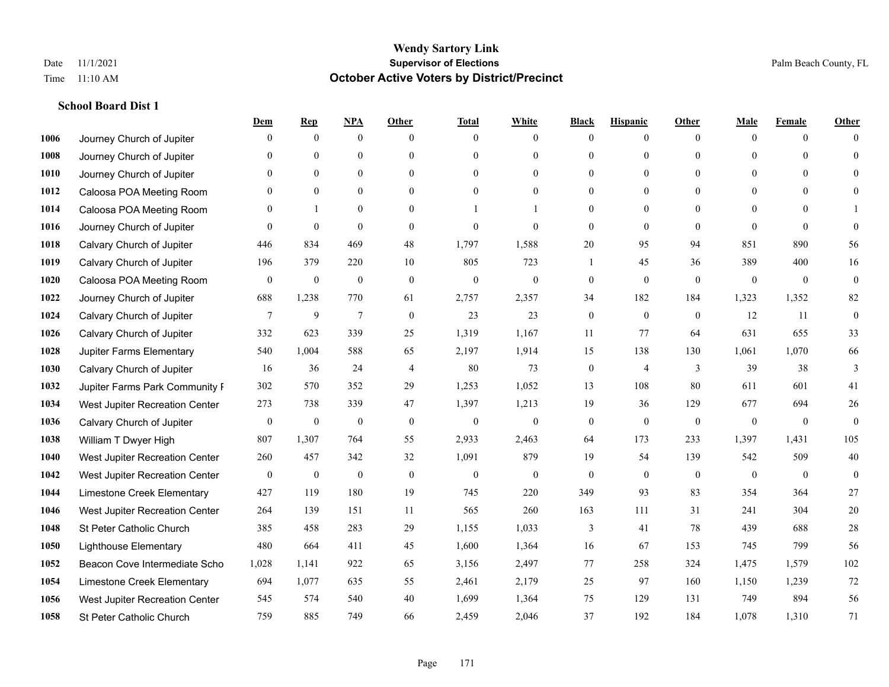|      |                                | Dem              | <b>Rep</b>       | NPA              | <b>Other</b>   | <b>Total</b>     | <b>White</b>     | <b>Black</b>     | <b>Hispanic</b> | <b>Other</b> | <b>Male</b>  | <b>Female</b> | <b>Other</b> |
|------|--------------------------------|------------------|------------------|------------------|----------------|------------------|------------------|------------------|-----------------|--------------|--------------|---------------|--------------|
| 1006 | Journey Church of Jupiter      | $\Omega$         | $\boldsymbol{0}$ | $\mathbf{0}$     | $\theta$       | $\mathbf{0}$     | $\overline{0}$   | $\overline{0}$   | $\mathbf{0}$    | $\theta$     | $\mathbf{0}$ | $\theta$      | $\Omega$     |
| 1008 | Journey Church of Jupiter      |                  | $\mathbf{0}$     | $\mathbf{0}$     | $\theta$       | $\theta$         | $\overline{0}$   | $\theta$         | $\mathbf{0}$    | $\Omega$     | $\theta$     | $\Omega$      | $\theta$     |
| 1010 | Journey Church of Jupiter      | $\Omega$         | $\theta$         | $\theta$         | $\Omega$       | $\Omega$         | $\theta$         | $\Omega$         | $\theta$        | $\Omega$     | $\theta$     | $\Omega$      | $\Omega$     |
| 1012 | Caloosa POA Meeting Room       |                  | $\mathbf{0}$     | $\mathbf{0}$     | $\overline{0}$ | $\mathbf{0}$     | $\overline{0}$   | $\overline{0}$   | $\mathbf{0}$    | $\Omega$     | $\mathbf{0}$ | $\Omega$      | $\Omega$     |
| 1014 | Caloosa POA Meeting Room       | $\theta$         |                  | $\mathbf{0}$     | $\theta$       |                  |                  | $\overline{0}$   | $\mathbf{0}$    | $\theta$     | $\theta$     | $\theta$      |              |
| 1016 | Journey Church of Jupiter      | $\Omega$         | $\mathbf{0}$     | $\mathbf{0}$     | $\theta$       | $\mathbf{0}$     | $\theta$         | $\Omega$         | $\mathbf{0}$    | $\Omega$     | $\theta$     | $\Omega$      | $\theta$     |
| 1018 | Calvary Church of Jupiter      | 446              | 834              | 469              | 48             | 1,797            | 1,588            | 20               | 95              | 94           | 851          | 890           | 56           |
| 1019 | Calvary Church of Jupiter      | 196              | 379              | 220              | 10             | 805              | 723              | 1                | 45              | 36           | 389          | 400           | 16           |
| 1020 | Caloosa POA Meeting Room       | $\mathbf{0}$     | $\boldsymbol{0}$ | $\boldsymbol{0}$ | $\mathbf{0}$   | $\boldsymbol{0}$ | $\boldsymbol{0}$ | $\boldsymbol{0}$ | $\mathbf{0}$    | $\mathbf{0}$ | $\mathbf{0}$ | $\mathbf{0}$  | $\mathbf{0}$ |
| 1022 | Journey Church of Jupiter      | 688              | 1,238            | 770              | 61             | 2,757            | 2,357            | 34               | 182             | 184          | 1,323        | 1,352         | 82           |
| 1024 | Calvary Church of Jupiter      | 7                | 9                | $7\phantom{.0}$  | $\mathbf{0}$   | 23               | 23               | $\boldsymbol{0}$ | $\mathbf{0}$    | $\mathbf{0}$ | 12           | 11            | $\mathbf{0}$ |
| 1026 | Calvary Church of Jupiter      | 332              | 623              | 339              | 25             | 1,319            | 1,167            | 11               | 77              | 64           | 631          | 655           | 33           |
| 1028 | Jupiter Farms Elementary       | 540              | 1,004            | 588              | 65             | 2,197            | 1,914            | 15               | 138             | 130          | 1,061        | 1,070         | 66           |
| 1030 | Calvary Church of Jupiter      | 16               | 36               | 24               | $\overline{4}$ | 80               | 73               | $\boldsymbol{0}$ | $\overline{4}$  | 3            | 39           | 38            | 3            |
| 1032 | Jupiter Farms Park Community F | 302              | 570              | 352              | 29             | 1,253            | 1,052            | 13               | 108             | 80           | 611          | 601           | 41           |
| 1034 | West Jupiter Recreation Center | 273              | 738              | 339              | 47             | 1,397            | 1,213            | 19               | 36              | 129          | 677          | 694           | $26\,$       |
| 1036 | Calvary Church of Jupiter      | $\boldsymbol{0}$ | $\boldsymbol{0}$ | $\boldsymbol{0}$ | $\mathbf{0}$   | $\mathbf{0}$     | $\mathbf{0}$     | $\boldsymbol{0}$ | $\mathbf{0}$    | $\mathbf{0}$ | $\mathbf{0}$ | $\mathbf{0}$  | $\theta$     |
| 1038 | William T Dwyer High           | 807              | 1,307            | 764              | 55             | 2,933            | 2,463            | 64               | 173             | 233          | 1,397        | 1,431         | 105          |
| 1040 | West Jupiter Recreation Center | 260              | 457              | 342              | 32             | 1,091            | 879              | 19               | 54              | 139          | 542          | 509           | $40\,$       |
| 1042 | West Jupiter Recreation Center | $\mathbf{0}$     | $\boldsymbol{0}$ | $\mathbf{0}$     | $\mathbf{0}$   | $\mathbf{0}$     | $\mathbf{0}$     | $\mathbf{0}$     | $\mathbf{0}$    | $\theta$     | $\mathbf{0}$ | $\theta$      | $\mathbf{0}$ |
| 1044 | Limestone Creek Elementary     | 427              | 119              | 180              | 19             | 745              | 220              | 349              | 93              | 83           | 354          | 364           | 27           |
| 1046 | West Jupiter Recreation Center | 264              | 139              | 151              | 11             | 565              | 260              | 163              | 111             | 31           | 241          | 304           | $20\,$       |
| 1048 | St Peter Catholic Church       | 385              | 458              | 283              | 29             | 1,155            | 1,033            | 3                | 41              | 78           | 439          | 688           | $28\,$       |
| 1050 | <b>Lighthouse Elementary</b>   | 480              | 664              | 411              | 45             | 1,600            | 1,364            | 16               | 67              | 153          | 745          | 799           | 56           |
| 1052 | Beacon Cove Intermediate Scho  | 1,028            | 1,141            | 922              | 65             | 3,156            | 2,497            | $77\,$           | 258             | 324          | 1,475        | 1,579         | 102          |
| 1054 | Limestone Creek Elementary     | 694              | 1,077            | 635              | 55             | 2,461            | 2,179            | 25               | 97              | 160          | 1,150        | 1,239         | 72           |
| 1056 | West Jupiter Recreation Center | 545              | 574              | 540              | 40             | 1,699            | 1,364            | 75               | 129             | 131          | 749          | 894           | 56           |
| 1058 | St Peter Catholic Church       | 759              | 885              | 749              | 66             | 2,459            | 2,046            | 37               | 192             | 184          | 1,078        | 1,310         | 71           |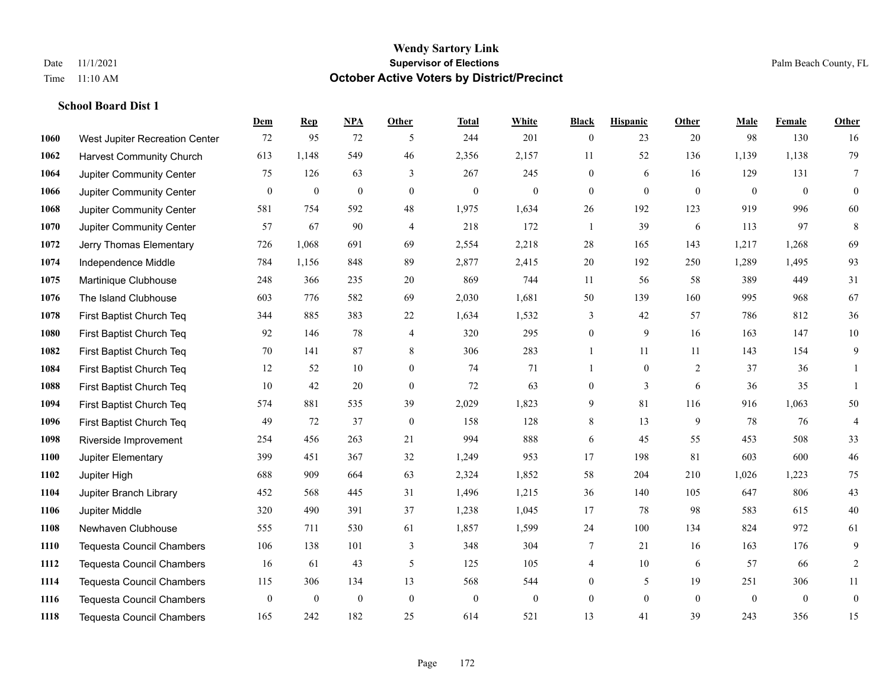|      |                                  | Dem              | <b>Rep</b>       | NPA              | Other            | <b>Total</b>     | White            | <b>Black</b>     | <b>Hispanic</b> | <b>Other</b> | Male             | Female           | <b>Other</b>     |
|------|----------------------------------|------------------|------------------|------------------|------------------|------------------|------------------|------------------|-----------------|--------------|------------------|------------------|------------------|
| 1060 | West Jupiter Recreation Center   | 72               | 95               | 72               | 5                | 244              | 201              | $\mathbf{0}$     | 23              | 20           | 98               | 130              | 16               |
| 1062 | <b>Harvest Community Church</b>  | 613              | 1,148            | 549              | 46               | 2,356            | 2,157            | 11               | 52              | 136          | 1,139            | 1,138            | 79               |
| 1064 | Jupiter Community Center         | 75               | 126              | 63               | 3                | 267              | 245              | $\boldsymbol{0}$ | 6               | 16           | 129              | 131              | $\tau$           |
| 1066 | Jupiter Community Center         | $\mathbf{0}$     | $\mathbf{0}$     | $\mathbf{0}$     | $\theta$         | $\mathbf{0}$     | $\mathbf{0}$     | $\mathbf{0}$     | $\theta$        | $\theta$     | $\theta$         | $\theta$         | $\theta$         |
| 1068 | Jupiter Community Center         | 581              | 754              | 592              | 48               | 1,975            | 1,634            | 26               | 192             | 123          | 919              | 996              | 60               |
| 1070 | Jupiter Community Center         | 57               | 67               | 90               | $\overline{4}$   | 218              | 172              | $\mathbf{1}$     | 39              | 6            | 113              | 97               | $\,8\,$          |
| 1072 | Jerry Thomas Elementary          | 726              | 1,068            | 691              | 69               | 2,554            | 2,218            | 28               | 165             | 143          | 1,217            | 1,268            | 69               |
| 1074 | Independence Middle              | 784              | 1,156            | 848              | 89               | 2,877            | 2,415            | $20\,$           | 192             | 250          | 1,289            | 1,495            | 93               |
| 1075 | Martinique Clubhouse             | 248              | 366              | 235              | 20               | 869              | 744              | 11               | 56              | 58           | 389              | 449              | 31               |
| 1076 | The Island Clubhouse             | 603              | 776              | 582              | 69               | 2,030            | 1,681            | 50               | 139             | 160          | 995              | 968              | 67               |
| 1078 | First Baptist Church Teq         | 344              | 885              | 383              | $22\,$           | 1,634            | 1,532            | 3                | 42              | 57           | 786              | 812              | 36               |
| 1080 | First Baptist Church Teq         | 92               | 146              | 78               | $\overline{4}$   | 320              | 295              | $\mathbf{0}$     | 9               | 16           | 163              | 147              | 10               |
| 1082 | First Baptist Church Teq         | 70               | 141              | 87               | 8                | 306              | 283              | $\mathbf{1}$     | 11              | 11           | 143              | 154              | 9                |
| 1084 | First Baptist Church Teq         | 12               | 52               | 10               | $\boldsymbol{0}$ | 74               | 71               | $\mathbf{1}$     | $\mathbf{0}$    | 2            | 37               | 36               | 1                |
| 1088 | First Baptist Church Teq         | 10               | 42               | 20               | $\mathbf{0}$     | 72               | 63               | $\overline{0}$   | 3               | 6            | 36               | 35               | $\mathbf{1}$     |
| 1094 | First Baptist Church Teq         | 574              | 881              | 535              | 39               | 2,029            | 1,823            | 9                | 81              | 116          | 916              | 1,063            | $50\,$           |
| 1096 | First Baptist Church Teq         | 49               | 72               | 37               | $\mathbf{0}$     | 158              | 128              | 8                | 13              | 9            | 78               | 76               | $\overline{4}$   |
| 1098 | Riverside Improvement            | 254              | 456              | 263              | 21               | 994              | 888              | 6                | 45              | 55           | 453              | 508              | 33               |
| 1100 | Jupiter Elementary               | 399              | 451              | 367              | 32               | 1,249            | 953              | 17               | 198             | 81           | 603              | 600              | $46\,$           |
| 1102 | Jupiter High                     | 688              | 909              | 664              | 63               | 2,324            | 1,852            | 58               | 204             | 210          | 1,026            | 1,223            | 75               |
| 1104 | Jupiter Branch Library           | 452              | 568              | 445              | 31               | 1,496            | 1,215            | 36               | 140             | 105          | 647              | 806              | $43\,$           |
| 1106 | Jupiter Middle                   | 320              | 490              | 391              | 37               | 1,238            | 1,045            | 17               | 78              | 98           | 583              | 615              | $40\,$           |
| 1108 | Newhaven Clubhouse               | 555              | 711              | 530              | 61               | 1,857            | 1,599            | 24               | 100             | 134          | 824              | 972              | 61               |
| 1110 | <b>Tequesta Council Chambers</b> | 106              | 138              | 101              | 3                | 348              | 304              | 7                | 21              | 16           | 163              | 176              | 9                |
| 1112 | <b>Tequesta Council Chambers</b> | 16               | 61               | 43               | 5                | 125              | 105              | 4                | 10              | 6            | 57               | 66               | $\overline{2}$   |
| 1114 | <b>Tequesta Council Chambers</b> | 115              | 306              | 134              | 13               | 568              | 544              | $\overline{0}$   | 5               | 19           | 251              | 306              | 11               |
| 1116 | <b>Tequesta Council Chambers</b> | $\boldsymbol{0}$ | $\boldsymbol{0}$ | $\boldsymbol{0}$ | $\boldsymbol{0}$ | $\boldsymbol{0}$ | $\boldsymbol{0}$ | $\boldsymbol{0}$ | $\mathbf{0}$    | $\mathbf{0}$ | $\boldsymbol{0}$ | $\boldsymbol{0}$ | $\boldsymbol{0}$ |
| 1118 | <b>Tequesta Council Chambers</b> | 165              | 242              | 182              | 25               | 614              | 521              | 13               | 41              | 39           | 243              | 356              | 15               |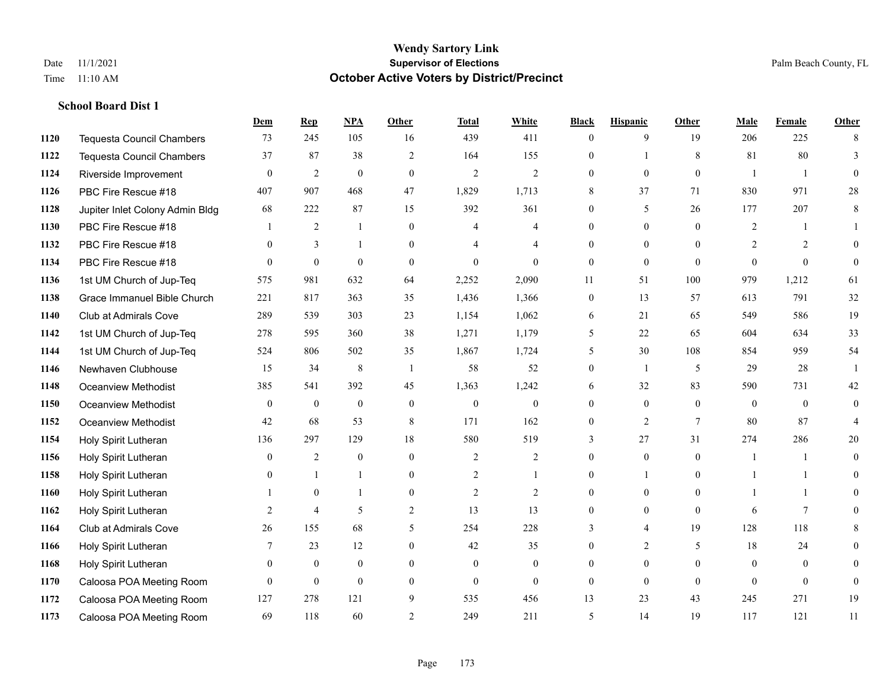|      |                                  | Dem            | <b>Rep</b>       | NPA              | <b>Other</b>   | <b>Total</b>     | <b>White</b>   | <b>Black</b>     | <b>Hispanic</b> | <b>Other</b> | <b>Male</b>    | <b>Female</b>  | <b>Other</b>   |
|------|----------------------------------|----------------|------------------|------------------|----------------|------------------|----------------|------------------|-----------------|--------------|----------------|----------------|----------------|
| 1120 | <b>Tequesta Council Chambers</b> | 73             | 245              | 105              | 16             | 439              | 411            | $\overline{0}$   | 9               | 19           | 206            | 225            | 8              |
| 1122 | <b>Tequesta Council Chambers</b> | 37             | 87               | 38               | 2              | 164              | 155            | $\mathbf{0}$     | 1               | 8            | 81             | 80             | 3              |
| 1124 | Riverside Improvement            | $\theta$       | $\overline{2}$   | $\theta$         | $\theta$       | $\overline{2}$   | $\overline{2}$ | $\Omega$         | $\Omega$        | $\Omega$     | $\overline{1}$ | $\mathbf{1}$   | $\Omega$       |
| 1126 | PBC Fire Rescue #18              | 407            | 907              | 468              | 47             | 1,829            | 1,713          | 8                | 37              | 71           | 830            | 971            | $28\,$         |
| 1128 | Jupiter Inlet Colony Admin Bldg  | 68             | 222              | 87               | 15             | 392              | 361            | $\overline{0}$   | 5               | 26           | 177            | 207            | 8              |
| 1130 | PBC Fire Rescue #18              |                | $\overline{2}$   | $\mathbf{1}$     | $\overline{0}$ | 4                | 4              | 0                | $\overline{0}$  | $\theta$     | 2              |                |                |
| 1132 | PBC Fire Rescue #18              | $\Omega$       | 3                | $\overline{1}$   | $\theta$       | 4                | 4              | $\theta$         | $\Omega$        | $\Omega$     | 2              | $\overline{2}$ | $\theta$       |
| 1134 | PBC Fire Rescue #18              | $\theta$       | $\boldsymbol{0}$ | $\mathbf{0}$     | $\theta$       | $\theta$         | $\theta$       | $\overline{0}$   | $\overline{0}$  | $\theta$     | $\Omega$       | $\theta$       | $\theta$       |
| 1136 | 1st UM Church of Jup-Teq         | 575            | 981              | 632              | 64             | 2,252            | 2,090          | 11               | 51              | 100          | 979            | 1,212          | 61             |
| 1138 | Grace Immanuel Bible Church      | 221            | 817              | 363              | 35             | 1,436            | 1,366          | $\overline{0}$   | 13              | 57           | 613            | 791            | 32             |
| 1140 | Club at Admirals Cove            | 289            | 539              | 303              | 23             | 1,154            | 1,062          | 6                | 21              | 65           | 549            | 586            | 19             |
| 1142 | 1st UM Church of Jup-Teq         | 278            | 595              | 360              | 38             | 1,271            | 1,179          | 5                | 22              | 65           | 604            | 634            | 33             |
| 1144 | 1st UM Church of Jup-Teq         | 524            | 806              | 502              | 35             | 1,867            | 1,724          | 5                | 30              | 108          | 854            | 959            | 54             |
| 1146 | Newhaven Clubhouse               | 15             | 34               | $\,$ 8 $\,$      | $\overline{1}$ | 58               | 52             | $\boldsymbol{0}$ | $\mathbf{1}$    | 5            | 29             | 28             |                |
| 1148 | Oceanview Methodist              | 385            | 541              | 392              | 45             | 1,363            | 1,242          | 6                | 32              | 83           | 590            | 731            | 42             |
| 1150 | Oceanview Methodist              | $\mathbf{0}$   | $\boldsymbol{0}$ | $\boldsymbol{0}$ | $\overline{0}$ | $\boldsymbol{0}$ | $\mathbf{0}$   | $\overline{0}$   | $\overline{0}$  | $\theta$     | $\mathbf{0}$   | $\overline{0}$ | $\mathbf{0}$   |
| 1152 | <b>Oceanview Methodist</b>       | 42             | 68               | 53               | 8              | 171              | 162            | $\overline{0}$   | $\overline{2}$  | $\tau$       | 80             | 87             | $\overline{4}$ |
| 1154 | Holy Spirit Lutheran             | 136            | 297              | 129              | 18             | 580              | 519            | 3                | 27              | 31           | 274            | 286            | 20             |
| 1156 | Holy Spirit Lutheran             | $\mathbf{0}$   | $\overline{2}$   | $\mathbf{0}$     | $\theta$       | 2                | 2              | $\Omega$         | $\overline{0}$  | $\theta$     | $\overline{1}$ |                | $\theta$       |
| 1158 | Holy Spirit Lutheran             | $\Omega$       | $\overline{1}$   |                  | $\theta$       | $\overline{c}$   |                | $\Omega$         | 1               | $\Omega$     |                |                | $\Omega$       |
| 1160 | Holy Spirit Lutheran             |                | $\mathbf{0}$     |                  | $\theta$       | 2                | 2              | $\overline{0}$   | $\overline{0}$  | $\theta$     |                |                | 0              |
| 1162 | Holy Spirit Lutheran             | 2              | $\overline{4}$   | 5                | $\overline{c}$ | 13               | 13             | 0                | $\overline{0}$  | $\theta$     | 6              | 7              | 0              |
| 1164 | <b>Club at Admirals Cove</b>     | 26             | 155              | 68               | 5              | 254              | 228            | 3                | 4               | 19           | 128            | 118            | 8              |
| 1166 | Holy Spirit Lutheran             | 7              | 23               | 12               | $\theta$       | 42               | 35             | $\Omega$         | $\overline{2}$  | 5            | 18             | 24             | $\Omega$       |
| 1168 | Holy Spirit Lutheran             | $\overline{0}$ | $\boldsymbol{0}$ | $\mathbf{0}$     | $\overline{0}$ | $\mathbf{0}$     | $\overline{0}$ | 0                | $\overline{0}$  | $\theta$     | $\mathbf{0}$   | $\overline{0}$ | $\theta$       |
| 1170 | Caloosa POA Meeting Room         | $\theta$       | $\mathbf{0}$     | $\mathbf{0}$     | $\theta$       | $\mathbf{0}$     | $\overline{0}$ | $\theta$         | $\theta$        | $\theta$     | $\theta$       | $\theta$       | $\overline{0}$ |
| 1172 | Caloosa POA Meeting Room         | 127            | 278              | 121              | 9              | 535              | 456            | 13               | 23              | 43           | 245            | 271            | 19             |
| 1173 | Caloosa POA Meeting Room         | 69             | 118              | 60               | $\overline{c}$ | 249              | 211            | 5                | 14              | 19           | 117            | 121            | 11             |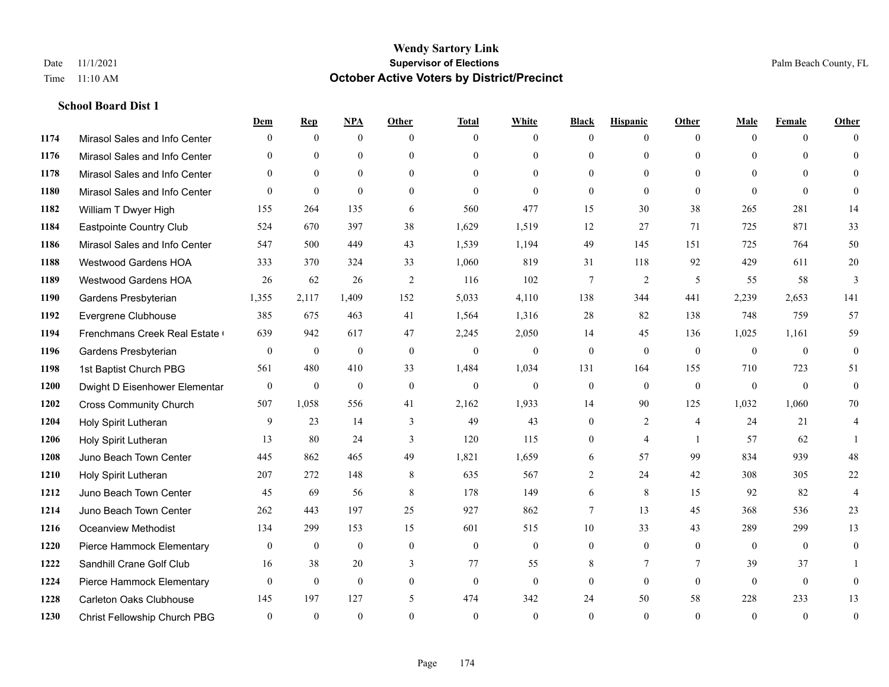|      |                                | Dem          | <b>Rep</b>       | NPA          | <b>Other</b>   | <b>Total</b> | <b>White</b>   | <b>Black</b>   | <b>Hispanic</b> | <b>Other</b>    | <b>Male</b>  | <b>Female</b> | <b>Other</b>   |
|------|--------------------------------|--------------|------------------|--------------|----------------|--------------|----------------|----------------|-----------------|-----------------|--------------|---------------|----------------|
| 1174 | Mirasol Sales and Info Center  | $\Omega$     | $\mathbf{0}$     | $\mathbf{0}$ | $\Omega$       | $\Omega$     | $\overline{0}$ | $\mathbf{0}$   | $\overline{0}$  | $\theta$        | $\theta$     | $\theta$      | $\Omega$       |
| 1176 | Mirasol Sales and Info Center  | $\Omega$     | $\theta$         | $\theta$     | $\Omega$       | $\Omega$     | $\overline{0}$ | $\theta$       | $\theta$        | $\Omega$        | $\theta$     | $\Omega$      | $\theta$       |
| 1178 | Mirasol Sales and Info Center  | $\Omega$     | $\theta$         | $\theta$     | $\Omega$       | $\Omega$     | $\Omega$       | $\Omega$       | $\Omega$        | $\Omega$        | $\Omega$     | $\Omega$      | $\Omega$       |
| 1180 | Mirasol Sales and Info Center  | $\theta$     | $\mathbf{0}$     | $\mathbf{0}$ | $\overline{0}$ | $\theta$     | $\mathbf{0}$   | $\mathbf{0}$   | $\mathbf{0}$    | $\theta$        | $\theta$     | $\theta$      | $\Omega$       |
| 1182 | William T Dwyer High           | 155          | 264              | 135          | 6              | 560          | 477            | 15             | 30              | 38              | 265          | 281           | 14             |
| 1184 | Eastpointe Country Club        | 524          | 670              | 397          | 38             | 1,629        | 1,519          | 12             | 27              | 71              | 725          | 871           | 33             |
| 1186 | Mirasol Sales and Info Center  | 547          | 500              | 449          | 43             | 1,539        | 1,194          | 49             | 145             | 151             | 725          | 764           | 50             |
| 1188 | <b>Westwood Gardens HOA</b>    | 333          | 370              | 324          | 33             | 1,060        | 819            | 31             | 118             | 92              | 429          | 611           | $20\,$         |
| 1189 | <b>Westwood Gardens HOA</b>    | 26           | 62               | 26           | 2              | 116          | 102            | 7              | $\overline{2}$  | 5               | 55           | 58            | 3              |
| 1190 | Gardens Presbyterian           | 1,355        | 2,117            | 1,409        | 152            | 5,033        | 4,110          | 138            | 344             | 441             | 2,239        | 2,653         | 141            |
| 1192 | Evergrene Clubhouse            | 385          | 675              | 463          | 41             | 1,564        | 1,316          | 28             | 82              | 138             | 748          | 759           | 57             |
| 1194 | Frenchmans Creek Real Estate   | 639          | 942              | 617          | 47             | 2,245        | 2,050          | 14             | 45              | 136             | 1,025        | 1,161         | 59             |
| 1196 | Gardens Presbyterian           | $\mathbf{0}$ | $\mathbf{0}$     | $\mathbf{0}$ | $\theta$       | $\mathbf{0}$ | $\mathbf{0}$   | $\mathbf{0}$   | $\mathbf{0}$    | $\theta$        | $\theta$     | $\theta$      | $\mathbf{0}$   |
| 1198 | 1st Baptist Church PBG         | 561          | 480              | 410          | 33             | 1,484        | 1,034          | 131            | 164             | 155             | 710          | 723           | 51             |
| 1200 | Dwight D Eisenhower Elementar  | $\mathbf{0}$ | $\boldsymbol{0}$ | $\mathbf{0}$ | $\mathbf{0}$   | $\mathbf{0}$ | $\mathbf{0}$   | $\mathbf{0}$   | $\mathbf{0}$    | $\mathbf{0}$    | $\mathbf{0}$ | $\theta$      | $\mathbf{0}$   |
| 1202 | <b>Cross Community Church</b>  | 507          | 1,058            | 556          | 41             | 2,162        | 1,933          | 14             | 90              | 125             | 1,032        | 1,060         | 70             |
| 1204 | Holy Spirit Lutheran           | 9            | 23               | 14           | 3              | 49           | 43             | $\mathbf{0}$   | $\overline{2}$  | $\overline{4}$  | 24           | 21            | 4              |
| 1206 | Holy Spirit Lutheran           | 13           | 80               | 24           | 3              | 120          | 115            | $\mathbf{0}$   | $\overline{4}$  | $\overline{1}$  | 57           | 62            |                |
| 1208 | Juno Beach Town Center         | 445          | 862              | 465          | 49             | 1,821        | 1,659          | 6              | 57              | 99              | 834          | 939           | 48             |
| 1210 | Holy Spirit Lutheran           | 207          | 272              | 148          | 8              | 635          | 567            | $\overline{2}$ | 24              | 42              | 308          | 305           | $22\,$         |
| 1212 | Juno Beach Town Center         | 45           | 69               | 56           | 8              | 178          | 149            | 6              | 8               | 15              | 92           | 82            | $\overline{4}$ |
| 1214 | Juno Beach Town Center         | 262          | 443              | 197          | 25             | 927          | 862            | 7              | 13              | 45              | 368          | 536           | 23             |
| 1216 | <b>Oceanview Methodist</b>     | 134          | 299              | 153          | 15             | 601          | 515            | 10             | 33              | 43              | 289          | 299           | 13             |
| 1220 | Pierce Hammock Elementary      | $\mathbf{0}$ | $\mathbf{0}$     | $\mathbf{0}$ | $\theta$       | $\mathbf{0}$ | $\mathbf{0}$   | $\mathbf{0}$   | $\theta$        | $\theta$        | $\theta$     | $\theta$      | $\mathbf{0}$   |
| 1222 | Sandhill Crane Golf Club       | 16           | 38               | 20           | 3              | 77           | 55             | 8              | $\overline{7}$  | $7\phantom{.0}$ | 39           | 37            |                |
| 1224 | Pierce Hammock Elementary      | $\theta$     | $\mathbf{0}$     | $\mathbf{0}$ | $\theta$       | $\theta$     | $\mathbf{0}$   | $\mathbf{0}$   | $\theta$        | $\theta$        | $\theta$     | $\theta$      | $\mathbf{0}$   |
| 1228 | <b>Carleton Oaks Clubhouse</b> | 145          | 197              | 127          | 5              | 474          | 342            | 24             | 50              | 58              | 228          | 233           | 13             |
| 1230 | Christ Fellowship Church PBG   | $\theta$     | $\theta$         | $\theta$     | $\Omega$       | $\theta$     | $\theta$       | $\theta$       | $\Omega$        | $\Omega$        | $\Omega$     | $\theta$      | $\mathbf{0}$   |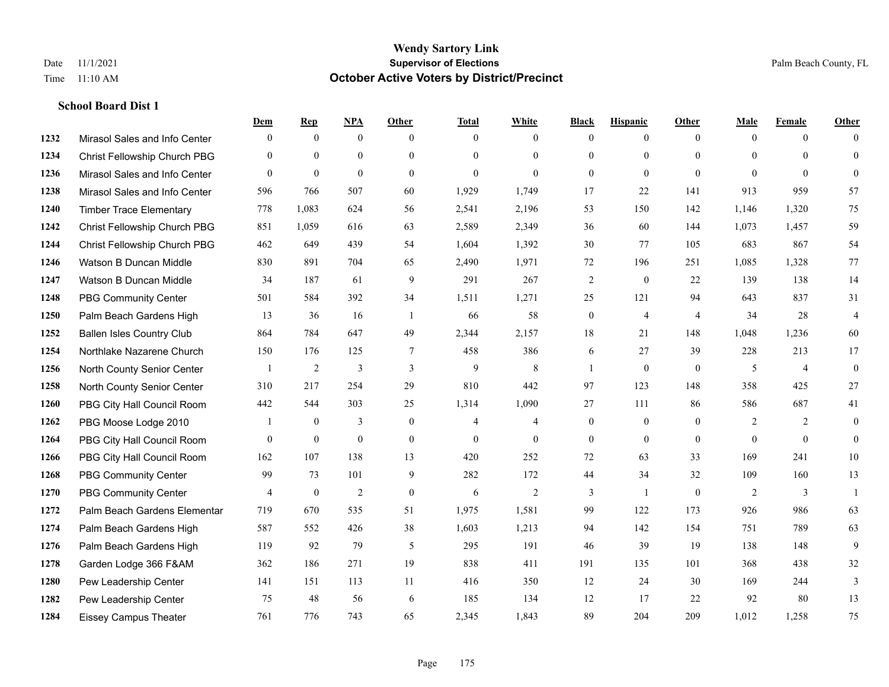|      |                                  | Dem          | <b>Rep</b>       | $NPA$          | <b>Other</b>   | <b>Total</b>   | <b>White</b>   | <b>Black</b>     | <b>Hispanic</b>  | <b>Other</b>   | <b>Male</b>    | <b>Female</b>  | <b>Other</b>   |
|------|----------------------------------|--------------|------------------|----------------|----------------|----------------|----------------|------------------|------------------|----------------|----------------|----------------|----------------|
| 1232 | Mirasol Sales and Info Center    | $\mathbf{0}$ | $\mathbf{0}$     | $\mathbf{0}$   | $\theta$       | $\theta$       | $\overline{0}$ | $\Omega$         | $\overline{0}$   | $\theta$       | $\theta$       | $\theta$       | $\Omega$       |
| 1234 | Christ Fellowship Church PBG     | $\Omega$     | $\mathbf{0}$     | $\mathbf{0}$   | $\theta$       | $\Omega$       | $\overline{0}$ | $\theta$         | $\overline{0}$   | $\Omega$       | $\Omega$       | $\Omega$       | $\overline{0}$ |
| 1236 | Mirasol Sales and Info Center    | $\Omega$     | $\theta$         | $\theta$       | $\Omega$       | $\Omega$       | $\Omega$       | $\Omega$         | $\Omega$         | $\Omega$       | $\Omega$       | $\Omega$       | $\Omega$       |
| 1238 | Mirasol Sales and Info Center    | 596          | 766              | 507            | 60             | 1,929          | 1,749          | 17               | 22               | 141            | 913            | 959            | 57             |
| 1240 | <b>Timber Trace Elementary</b>   | 778          | 1,083            | 624            | 56             | 2,541          | 2,196          | 53               | 150              | 142            | 1,146          | 1,320          | 75             |
| 1242 | Christ Fellowship Church PBG     | 851          | 1,059            | 616            | 63             | 2,589          | 2,349          | 36               | 60               | 144            | 1,073          | 1,457          | 59             |
| 1244 | Christ Fellowship Church PBG     | 462          | 649              | 439            | 54             | 1,604          | 1,392          | 30               | 77               | 105            | 683            | 867            | 54             |
| 1246 | Watson B Duncan Middle           | 830          | 891              | 704            | 65             | 2,490          | 1,971          | 72               | 196              | 251            | 1,085          | 1,328          | 77             |
| 1247 | Watson B Duncan Middle           | 34           | 187              | 61             | 9              | 291            | 267            | $\overline{2}$   | $\mathbf{0}$     | 22             | 139            | 138            | 14             |
| 1248 | <b>PBG Community Center</b>      | 501          | 584              | 392            | 34             | 1,511          | 1,271          | 25               | 121              | 94             | 643            | 837            | 31             |
| 1250 | Palm Beach Gardens High          | 13           | 36               | 16             | $\overline{1}$ | 66             | 58             | $\mathbf{0}$     | 4                | $\overline{4}$ | 34             | 28             | 4              |
| 1252 | <b>Ballen Isles Country Club</b> | 864          | 784              | 647            | 49             | 2,344          | 2,157          | 18               | 21               | 148            | 1,048          | 1,236          | 60             |
| 1254 | Northlake Nazarene Church        | 150          | 176              | 125            | $\tau$         | 458            | 386            | 6                | 27               | 39             | 228            | 213            | 17             |
| 1256 | North County Senior Center       |              | $\sqrt{2}$       | 3              | $\mathfrak{Z}$ | $\mathbf{9}$   | 8              | 1                | $\boldsymbol{0}$ | $\mathbf{0}$   | 5              | $\overline{4}$ | $\overline{0}$ |
| 1258 | North County Senior Center       | 310          | 217              | 254            | 29             | 810            | 442            | 97               | 123              | 148            | 358            | 425            | $27\,$         |
| 1260 | PBG City Hall Council Room       | 442          | 544              | 303            | 25             | 1,314          | 1,090          | 27               | 111              | 86             | 586            | 687            | 41             |
| 1262 | PBG Moose Lodge 2010             |              | $\mathbf{0}$     | 3              | $\mathbf{0}$   | 4              | 4              | $\mathbf{0}$     | $\overline{0}$   | $\mathbf{0}$   | $\overline{2}$ | 2              | $\overline{0}$ |
| 1264 | PBG City Hall Council Room       | $\Omega$     | $\boldsymbol{0}$ | $\mathbf{0}$   | $\overline{0}$ | $\overline{0}$ | $\overline{0}$ | $\boldsymbol{0}$ | $\overline{0}$   | $\overline{0}$ | $\theta$       | $\theta$       | $\overline{0}$ |
| 1266 | PBG City Hall Council Room       | 162          | 107              | 138            | 13             | 420            | 252            | 72               | 63               | 33             | 169            | 241            | $10\,$         |
| 1268 | <b>PBG Community Center</b>      | 99           | 73               | 101            | 9              | 282            | 172            | 44               | 34               | 32             | 109            | 160            | 13             |
| 1270 | <b>PBG Community Center</b>      | 4            | $\mathbf{0}$     | $\overline{2}$ | $\theta$       | 6              | 2              | 3                | $\mathbf{1}$     | $\theta$       | 2              | 3              |                |
| 1272 | Palm Beach Gardens Elementar     | 719          | 670              | 535            | 51             | 1,975          | 1,581          | 99               | 122              | 173            | 926            | 986            | 63             |
| 1274 | Palm Beach Gardens High          | 587          | 552              | 426            | 38             | 1,603          | 1,213          | 94               | 142              | 154            | 751            | 789            | 63             |
| 1276 | Palm Beach Gardens High          | 119          | 92               | 79             | 5              | 295            | 191            | 46               | 39               | 19             | 138            | 148            | 9              |
| 1278 | Garden Lodge 366 F&AM            | 362          | 186              | 271            | 19             | 838            | 411            | 191              | 135              | 101            | 368            | 438            | 32             |
| 1280 | Pew Leadership Center            | 141          | 151              | 113            | 11             | 416            | 350            | 12               | 24               | 30             | 169            | 244            | 3              |
| 1282 | Pew Leadership Center            | 75           | 48               | 56             | 6              | 185            | 134            | 12               | 17               | 22             | 92             | 80             | 13             |
| 1284 | <b>Eissey Campus Theater</b>     | 761          | 776              | 743            | 65             | 2,345          | 1,843          | 89               | 204              | 209            | 1,012          | 1,258          | 75             |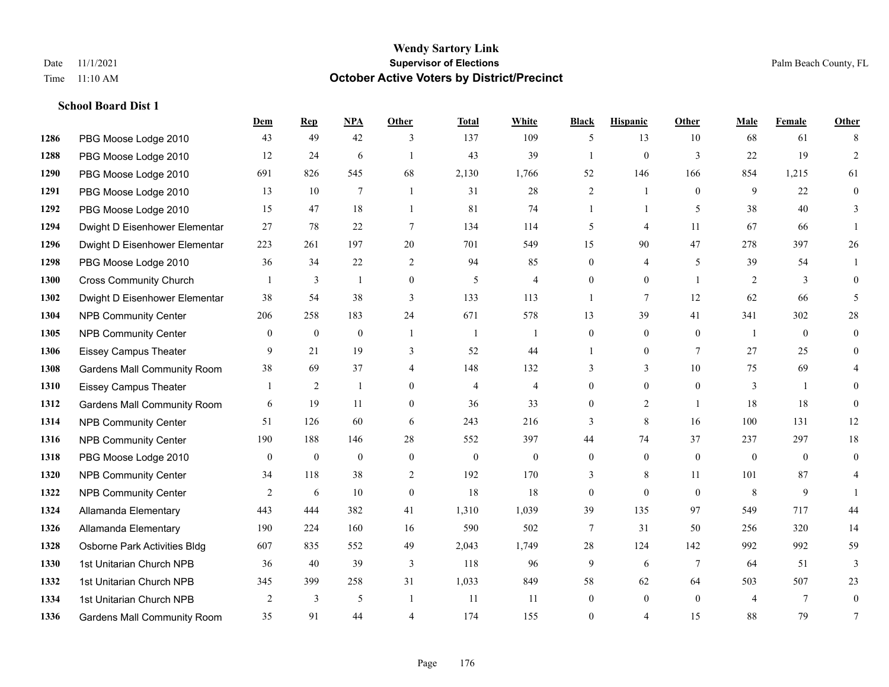**School Board Dist 1**

# **Wendy Sartory Link** Date 11/1/2021 Palm Beach County, FL Time 11:10 AM **October Active Voters by District/Precinct**

|      |                                    | Dem          | <b>Rep</b>       | <b>NPA</b>       | Other          | <b>Total</b>   | White          | <b>Black</b>     | <b>Hispanic</b> | Other        | Male                     | Female         | Other          |
|------|------------------------------------|--------------|------------------|------------------|----------------|----------------|----------------|------------------|-----------------|--------------|--------------------------|----------------|----------------|
| 1286 | PBG Moose Lodge 2010               | 43           | 49               | 42               | 3              | 137            | 109            | 5                | 13              | 10           | 68                       | 61             | 8              |
| 1288 | PBG Moose Lodge 2010               | 12           | 24               | 6                | $\overline{1}$ | 43             | 39             | $\mathbf{1}$     | $\mathbf{0}$    | 3            | 22                       | 19             | $\overline{2}$ |
| 1290 | PBG Moose Lodge 2010               | 691          | 826              | 545              | 68             | 2,130          | 1,766          | 52               | 146             | 166          | 854                      | 1,215          | 61             |
| 1291 | PBG Moose Lodge 2010               | 13           | 10               | $\overline{7}$   | $\overline{1}$ | 31             | 28             | 2                | -1              | $\theta$     | 9                        | 22             | $\mathbf{0}$   |
| 1292 | PBG Moose Lodge 2010               | 15           | 47               | 18               | $\mathbf{1}$   | 81             | 74             | $\mathbf{1}$     | $\mathbf{1}$    | 5            | 38                       | 40             | 3              |
| 1294 | Dwight D Eisenhower Elementar      | 27           | 78               | 22               | $\tau$         | 134            | 114            | 5                | $\overline{4}$  | 11           | 67                       | 66             | $\mathbf{1}$   |
| 1296 | Dwight D Eisenhower Elementar      | 223          | 261              | 197              | 20             | 701            | 549            | 15               | 90              | 47           | 278                      | 397            | 26             |
| 1298 | PBG Moose Lodge 2010               | 36           | 34               | 22               | 2              | 94             | 85             | $\mathbf{0}$     | $\overline{4}$  | 5            | 39                       | 54             |                |
| 1300 | <b>Cross Community Church</b>      |              | 3                | $\mathbf{1}$     | $\overline{0}$ | 5              | 4              | $\theta$         | $\mathbf{0}$    | $\mathbf{1}$ | $\overline{2}$           | 3              | $\theta$       |
| 1302 | Dwight D Eisenhower Elementar      | 38           | 54               | 38               | 3              | 133            | 113            | $\mathbf{1}$     | $\overline{7}$  | 12           | 62                       | 66             | 5              |
| 1304 | <b>NPB Community Center</b>        | 206          | 258              | 183              | 24             | 671            | 578            | 13               | 39              | 41           | 341                      | 302            | $28\,$         |
| 1305 | <b>NPB Community Center</b>        | $\mathbf{0}$ | $\boldsymbol{0}$ | $\boldsymbol{0}$ | $\overline{1}$ | -1             | -1             | $\mathbf{0}$     | $\mathbf{0}$    | $\theta$     | -1                       | $\overline{0}$ | $\mathbf{0}$   |
| 1306 | <b>Eissey Campus Theater</b>       | 9            | 21               | 19               | 3              | 52             | 44             |                  | $\mathbf{0}$    | $\tau$       | 27                       | 25             | $\mathbf{0}$   |
| 1308 | <b>Gardens Mall Community Room</b> | 38           | 69               | 37               | $\overline{4}$ | 148            | 132            | 3                | 3               | 10           | 75                       | 69             |                |
| 1310 | <b>Eissey Campus Theater</b>       | $\mathbf{1}$ | 2                | 1                | $\overline{0}$ | $\overline{4}$ | 4              | $\mathbf{0}$     | $\mathbf{0}$    | $\theta$     | 3                        | $\overline{1}$ | $\theta$       |
| 1312 | <b>Gardens Mall Community Room</b> | 6            | 19               | 11               | $\overline{0}$ | 36             | 33             | $\overline{0}$   | $\overline{2}$  | $\mathbf{1}$ | 18                       | 18             | $\mathbf{0}$   |
| 1314 | <b>NPB Community Center</b>        | 51           | 126              | 60               | 6              | 243            | 216            | 3                | 8               | 16           | 100                      | 131            | 12             |
| 1316 | <b>NPB Community Center</b>        | 190          | 188              | 146              | 28             | 552            | 397            | 44               | 74              | 37           | 237                      | 297            | 18             |
| 1318 | PBG Moose Lodge 2010               | $\mathbf{0}$ | $\mathbf{0}$     | $\mathbf{0}$     | $\mathbf{0}$   | $\mathbf{0}$   | $\overline{0}$ | $\mathbf{0}$     | $\mathbf{0}$    | $\theta$     | $\mathbf{0}$             | $\theta$       | $\mathbf{0}$   |
| 1320 | <b>NPB Community Center</b>        | 34           | 118              | 38               | 2              | 192            | 170            | 3                | 8               | 11           | 101                      | 87             | $\overline{4}$ |
| 1322 | <b>NPB Community Center</b>        | 2            | 6                | 10               | $\theta$       | 18             | 18             | $\boldsymbol{0}$ | $\theta$        | $\Omega$     | 8                        | 9              |                |
| 1324 | Allamanda Elementary               | 443          | 444              | 382              | 41             | 1,310          | 1,039          | 39               | 135             | 97           | 549                      | 717            | 44             |
| 1326 | Allamanda Elementary               | 190          | 224              | 160              | 16             | 590            | 502            | 7                | 31              | 50           | 256                      | 320            | 14             |
| 1328 | Osborne Park Activities Bldg       | 607          | 835              | 552              | 49             | 2,043          | 1,749          | 28               | 124             | 142          | 992                      | 992            | 59             |
| 1330 | 1st Unitarian Church NPB           | 36           | 40               | 39               | 3              | 118            | 96             | 9                | 6               | 7            | 64                       | 51             | 3              |
| 1332 | 1st Unitarian Church NPB           | 345          | 399              | 258              | 31             | 1,033          | 849            | 58               | 62              | 64           | 503                      | 507            | 23             |
| 1334 | 1st Unitarian Church NPB           | 2            | 3                | 5                | $\mathbf{1}$   | 11             | 11             | $\theta$         | $\theta$        | $\Omega$     | $\overline{\mathcal{A}}$ | 7              | $\theta$       |
| 1336 | <b>Gardens Mall Community Room</b> | 35           | 91               | 44               |                | 174            | 155            | $\Omega$         | $\overline{4}$  | 15           | 88                       | 79             | 7              |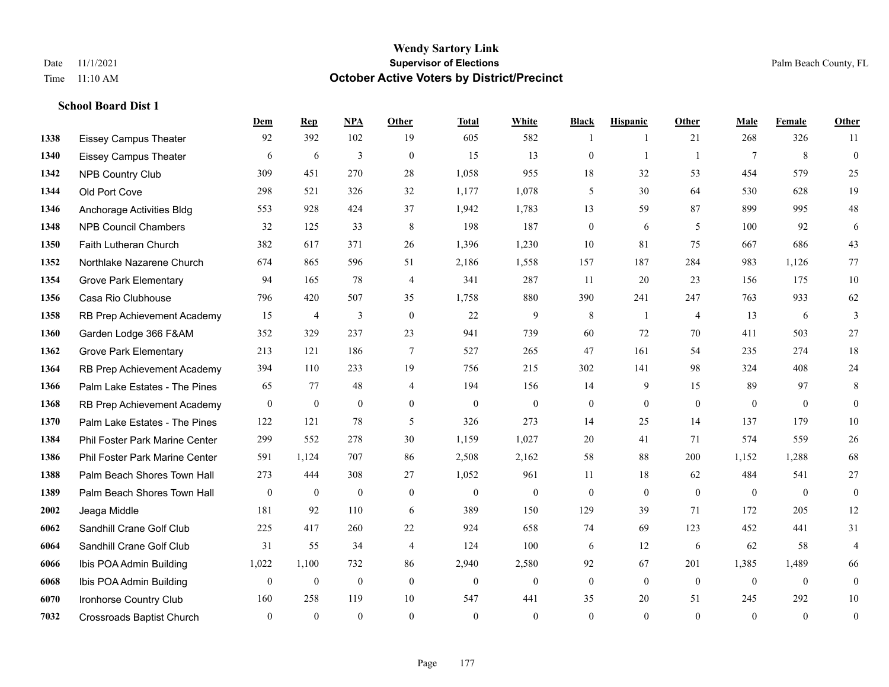|      |                                  | Dem              | <b>Rep</b>       | NPA              | <b>Other</b>   | <b>Total</b> | <b>White</b>     | <b>Black</b>     | <b>Hispanic</b> | <b>Other</b>   | <b>Male</b>  | Female       | <b>Other</b>     |
|------|----------------------------------|------------------|------------------|------------------|----------------|--------------|------------------|------------------|-----------------|----------------|--------------|--------------|------------------|
| 1338 | <b>Eissey Campus Theater</b>     | 92               | 392              | 102              | 19             | 605          | 582              | 1                | 1               | 21             | 268          | 326          | 11               |
| 1340 | <b>Eissey Campus Theater</b>     | 6                | 6                | 3                | $\mathbf{0}$   | 15           | 13               | $\boldsymbol{0}$ | 1               | $\mathbf{1}$   | $\tau$       | 8            | $\boldsymbol{0}$ |
| 1342 | <b>NPB Country Club</b>          | 309              | 451              | 270              | 28             | 1,058        | 955              | 18               | 32              | 53             | 454          | 579          | 25               |
| 1344 | Old Port Cove                    | 298              | 521              | 326              | 32             | 1,177        | 1,078            | 5                | 30              | 64             | 530          | 628          | 19               |
| 1346 | Anchorage Activities Bldg        | 553              | 928              | 424              | 37             | 1,942        | 1,783            | 13               | 59              | 87             | 899          | 995          | $48\,$           |
| 1348 | <b>NPB Council Chambers</b>      | 32               | 125              | 33               | 8              | 198          | 187              | $\boldsymbol{0}$ | 6               | 5              | 100          | 92           | 6                |
| 1350 | Faith Lutheran Church            | 382              | 617              | 371              | 26             | 1,396        | 1,230            | 10               | 81              | 75             | 667          | 686          | 43               |
| 1352 | Northlake Nazarene Church        | 674              | 865              | 596              | 51             | 2,186        | 1,558            | 157              | 187             | 284            | 983          | 1,126        | 77               |
| 1354 | <b>Grove Park Elementary</b>     | 94               | 165              | 78               | $\overline{4}$ | 341          | 287              | 11               | 20              | 23             | 156          | 175          | $10\,$           |
| 1356 | Casa Rio Clubhouse               | 796              | 420              | 507              | 35             | 1,758        | 880              | 390              | 241             | 247            | 763          | 933          | 62               |
| 1358 | RB Prep Achievement Academy      | 15               | $\overline{4}$   | 3                | $\theta$       | 22           | 9                | 8                | $\mathbf{1}$    | $\overline{4}$ | 13           | 6            | 3                |
| 1360 | Garden Lodge 366 F&AM            | 352              | 329              | 237              | 23             | 941          | 739              | 60               | 72              | 70             | 411          | 503          | $27\,$           |
| 1362 | <b>Grove Park Elementary</b>     | 213              | 121              | 186              | $\tau$         | 527          | 265              | 47               | 161             | 54             | 235          | 274          | 18               |
| 1364 | RB Prep Achievement Academy      | 394              | 110              | 233              | 19             | 756          | 215              | 302              | 141             | 98             | 324          | 408          | $24\,$           |
| 1366 | Palm Lake Estates - The Pines    | 65               | 77               | 48               | 4              | 194          | 156              | 14               | 9               | 15             | 89           | 97           | 8                |
| 1368 | RB Prep Achievement Academy      | $\mathbf{0}$     | $\boldsymbol{0}$ | $\mathbf{0}$     | $\overline{0}$ | $\theta$     | $\mathbf{0}$     | $\boldsymbol{0}$ | $\mathbf{0}$    | $\theta$       | $\mathbf{0}$ | $\mathbf{0}$ | $\mathbf{0}$     |
| 1370 | Palm Lake Estates - The Pines    | 122              | 121              | 78               | 5              | 326          | 273              | 14               | 25              | 14             | 137          | 179          | $10\,$           |
| 1384 | Phil Foster Park Marine Center   | 299              | 552              | 278              | 30             | 1,159        | 1,027            | 20               | 41              | 71             | 574          | 559          | $26\,$           |
| 1386 | Phil Foster Park Marine Center   | 591              | 1,124            | 707              | 86             | 2,508        | 2,162            | 58               | 88              | 200            | 1,152        | 1,288        | 68               |
| 1388 | Palm Beach Shores Town Hall      | 273              | 444              | 308              | 27             | 1,052        | 961              | 11               | 18              | 62             | 484          | 541          | 27               |
| 1389 | Palm Beach Shores Town Hall      | $\mathbf{0}$     | $\mathbf{0}$     | $\mathbf{0}$     | $\theta$       | $\Omega$     | $\mathbf{0}$     | $\mathbf{0}$     | $\theta$        | $\theta$       | $\theta$     | $\theta$     | $\mathbf{0}$     |
| 2002 | Jeaga Middle                     | 181              | 92               | 110              | 6              | 389          | 150              | 129              | 39              | 71             | 172          | 205          | 12               |
| 6062 | Sandhill Crane Golf Club         | 225              | 417              | 260              | 22             | 924          | 658              | 74               | 69              | 123            | 452          | 441          | 31               |
| 6064 | Sandhill Crane Golf Club         | 31               | 55               | 34               | $\overline{4}$ | 124          | 100              | 6                | 12              | 6              | 62           | 58           | $\overline{4}$   |
| 6066 | Ibis POA Admin Building          | 1,022            | 1,100            | 732              | 86             | 2,940        | 2,580            | 92               | 67              | 201            | 1,385        | 1,489        | 66               |
| 6068 | Ibis POA Admin Building          | $\boldsymbol{0}$ | $\boldsymbol{0}$ | $\boldsymbol{0}$ | $\overline{0}$ | $\theta$     | $\boldsymbol{0}$ | $\boldsymbol{0}$ | $\mathbf{0}$    | $\mathbf{0}$   | $\mathbf{0}$ | $\mathbf{0}$ | $\boldsymbol{0}$ |
| 6070 | Ironhorse Country Club           | 160              | 258              | 119              | 10             | 547          | 441              | 35               | 20              | 51             | 245          | 292          | 10               |
| 7032 | <b>Crossroads Baptist Church</b> | $\mathbf{0}$     | $\mathbf{0}$     | $\mathbf{0}$     | $\theta$       | $\theta$     | $\mathbf{0}$     | $\overline{0}$   | $\theta$        | $\theta$       | $\theta$     | $\theta$     | $\boldsymbol{0}$ |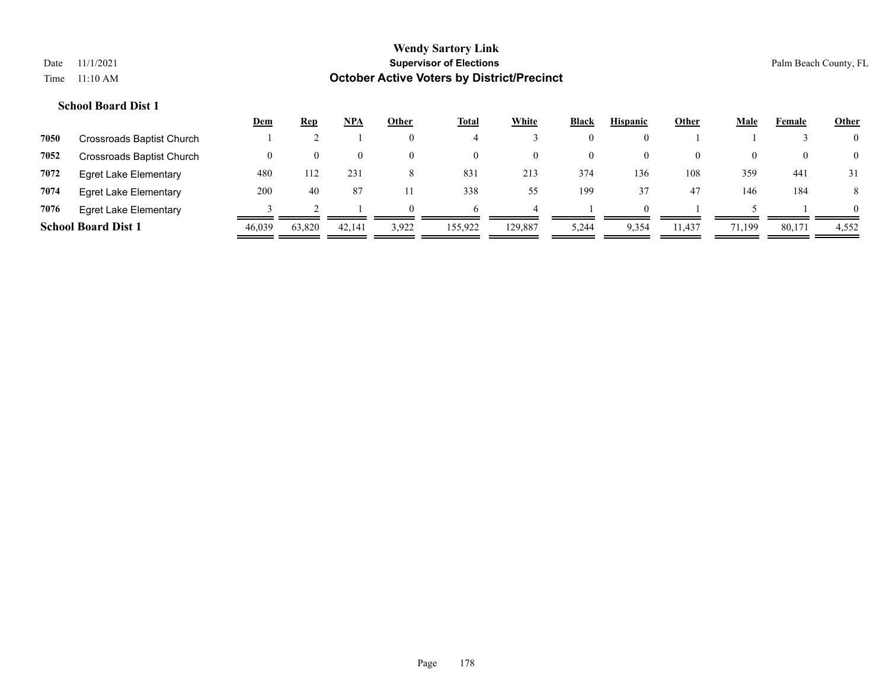|      |                              | <u>Dem</u> | <u>Rep</u> | <u>NPA</u> | Other    | Total   | White    | Black | <b>Hispanic</b> | Other    | Male   | Female | <b>Other</b>   |
|------|------------------------------|------------|------------|------------|----------|---------|----------|-------|-----------------|----------|--------|--------|----------------|
| 7050 | Crossroads Baptist Church    |            |            |            | $\Omega$ |         |          |       |                 |          |        |        | $\overline{0}$ |
| 7052 | Crossroads Baptist Church    |            | $\theta$   |            | $\Omega$ |         | $\theta$ |       | $\theta$        | $\left($ |        |        | $\overline{0}$ |
| 7072 | <b>Egret Lake Elementary</b> | 480        | 112        | 231        | Ō        | 831     | 213      | 374   | 136             | 108      | 359    | 441    | 31             |
| 7074 | <b>Egret Lake Elementary</b> | 200        | 40         | 87         |          | 338     | 55       | 199   | 37              | 47       | 146    | 184    | 8              |
| 7076 | <b>Egret Lake Elementary</b> |            |            |            | $\Omega$ |         |          |       |                 |          |        |        | $\Omega$       |
|      | <b>School Board Dist 1</b>   | 46,039     | 63.820     | 42,141     | 3,922    | 155,922 | 129,887  | 5,244 | 9,354           | 1,437    | 71.199 | 80,171 | 4,552          |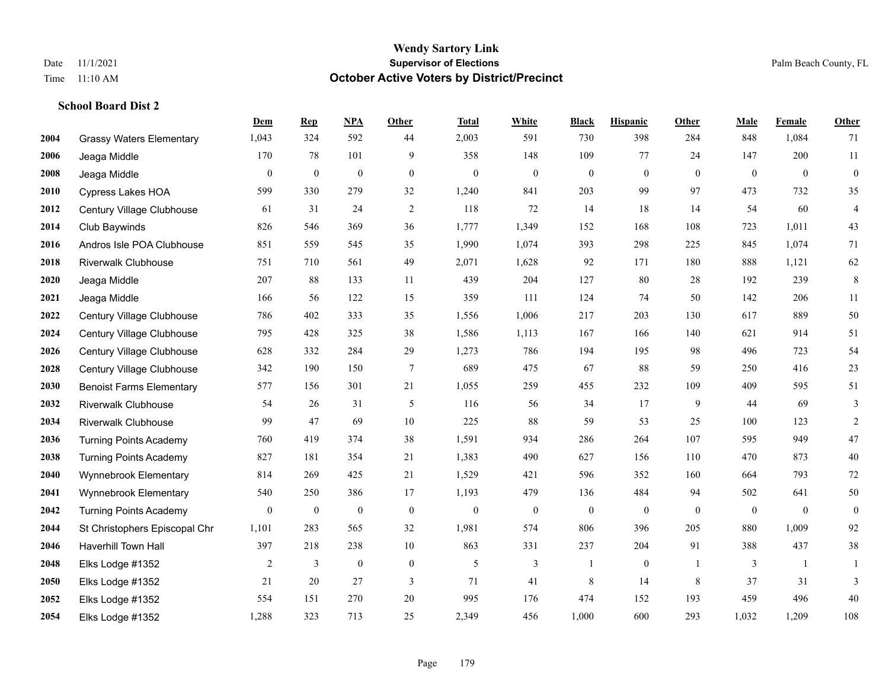|      |                                 | Dem              | <b>Rep</b>       | NPA              | <b>Other</b>   | <b>Total</b>     | <b>White</b>     | <b>Black</b>     | <b>Hispanic</b>  | <b>Other</b>             | <b>Male</b>      | Female         | Other            |
|------|---------------------------------|------------------|------------------|------------------|----------------|------------------|------------------|------------------|------------------|--------------------------|------------------|----------------|------------------|
| 2004 | <b>Grassy Waters Elementary</b> | 1,043            | 324              | 592              | 44             | 2,003            | 591              | 730              | 398              | 284                      | 848              | 1,084          | 71               |
| 2006 | Jeaga Middle                    | 170              | 78               | 101              | 9              | 358              | 148              | 109              | 77               | 24                       | 147              | 200            | $11\,$           |
| 2008 | Jeaga Middle                    | $\boldsymbol{0}$ | $\boldsymbol{0}$ | $\boldsymbol{0}$ | $\mathbf{0}$   | $\theta$         | $\mathbf{0}$     | $\boldsymbol{0}$ | $\boldsymbol{0}$ | $\overline{0}$           | $\overline{0}$   | $\overline{0}$ | $\boldsymbol{0}$ |
| 2010 | <b>Cypress Lakes HOA</b>        | 599              | 330              | 279              | 32             | 1,240            | 841              | 203              | 99               | 97                       | 473              | 732            | 35               |
| 2012 | Century Village Clubhouse       | 61               | 31               | 24               | $\overline{2}$ | 118              | 72               | 14               | 18               | 14                       | 54               | 60             | $\overline{4}$   |
| 2014 | Club Baywinds                   | 826              | 546              | 369              | 36             | 1,777            | 1,349            | 152              | 168              | 108                      | 723              | 1,011          | 43               |
| 2016 | Andros Isle POA Clubhouse       | 851              | 559              | 545              | 35             | 1,990            | 1,074            | 393              | 298              | 225                      | 845              | 1,074          | 71               |
| 2018 | <b>Riverwalk Clubhouse</b>      | 751              | 710              | 561              | 49             | 2,071            | 1,628            | 92               | 171              | 180                      | 888              | 1,121          | 62               |
| 2020 | Jeaga Middle                    | 207              | 88               | 133              | 11             | 439              | 204              | 127              | 80               | 28                       | 192              | 239            | $8\,$            |
| 2021 | Jeaga Middle                    | 166              | 56               | 122              | 15             | 359              | 111              | 124              | 74               | 50                       | 142              | 206            | 11               |
| 2022 | Century Village Clubhouse       | 786              | 402              | 333              | 35             | 1,556            | 1,006            | 217              | 203              | 130                      | 617              | 889            | 50               |
| 2024 | Century Village Clubhouse       | 795              | 428              | 325              | 38             | 1,586            | 1,113            | 167              | 166              | 140                      | 621              | 914            | 51               |
| 2026 | Century Village Clubhouse       | 628              | 332              | 284              | 29             | 1,273            | 786              | 194              | 195              | 98                       | 496              | 723            | 54               |
| 2028 | Century Village Clubhouse       | 342              | 190              | 150              | $\tau$         | 689              | 475              | 67               | 88               | 59                       | 250              | 416            | $23\,$           |
| 2030 | <b>Benoist Farms Elementary</b> | 577              | 156              | 301              | 21             | 1,055            | 259              | 455              | 232              | 109                      | 409              | 595            | 51               |
| 2032 | <b>Riverwalk Clubhouse</b>      | 54               | 26               | 31               | 5              | 116              | 56               | 34               | 17               | 9                        | 44               | 69             | 3                |
| 2034 | <b>Riverwalk Clubhouse</b>      | 99               | 47               | 69               | 10             | 225              | 88               | 59               | 53               | 25                       | 100              | 123            | $\overline{c}$   |
| 2036 | <b>Turning Points Academy</b>   | 760              | 419              | 374              | 38             | 1,591            | 934              | 286              | 264              | 107                      | 595              | 949            | $47\,$           |
| 2038 | <b>Turning Points Academy</b>   | 827              | 181              | 354              | 21             | 1,383            | 490              | 627              | 156              | 110                      | 470              | 873            | $40\,$           |
| 2040 | Wynnebrook Elementary           | 814              | 269              | 425              | 21             | 1,529            | 421              | 596              | 352              | 160                      | 664              | 793            | $72\,$           |
| 2041 | Wynnebrook Elementary           | 540              | 250              | 386              | 17             | 1,193            | 479              | 136              | 484              | 94                       | 502              | 641            | 50               |
| 2042 | <b>Turning Points Academy</b>   | $\boldsymbol{0}$ | $\boldsymbol{0}$ | $\boldsymbol{0}$ | $\mathbf{0}$   | $\boldsymbol{0}$ | $\boldsymbol{0}$ | $\boldsymbol{0}$ | $\boldsymbol{0}$ | $\overline{0}$           | $\boldsymbol{0}$ | $\mathbf{0}$   | $\boldsymbol{0}$ |
| 2044 | St Christophers Episcopal Chr   | 1,101            | 283              | 565              | 32             | 1,981            | 574              | 806              | 396              | 205                      | 880              | 1,009          | 92               |
| 2046 | <b>Haverhill Town Hall</b>      | 397              | 218              | 238              | $10\,$         | 863              | 331              | 237              | 204              | 91                       | 388              | 437            | $38\,$           |
| 2048 | Elks Lodge #1352                | 2                | 3                | $\mathbf{0}$     | $\mathbf{0}$   | 5                | 3                | 1                | $\boldsymbol{0}$ | $\overline{\phantom{a}}$ | 3                | -1             | 1                |
| 2050 | Elks Lodge #1352                | 21               | 20               | 27               | 3              | 71               | 41               | $\,8\,$          | 14               | $8\phantom{.0}$          | 37               | 31             | 3                |
| 2052 | Elks Lodge #1352                | 554              | 151              | 270              | 20             | 995              | 176              | 474              | 152              | 193                      | 459              | 496            | 40               |
| 2054 | Elks Lodge #1352                | 1,288            | 323              | 713              | 25             | 2,349            | 456              | 1,000            | 600              | 293                      | 1,032            | 1,209          | 108              |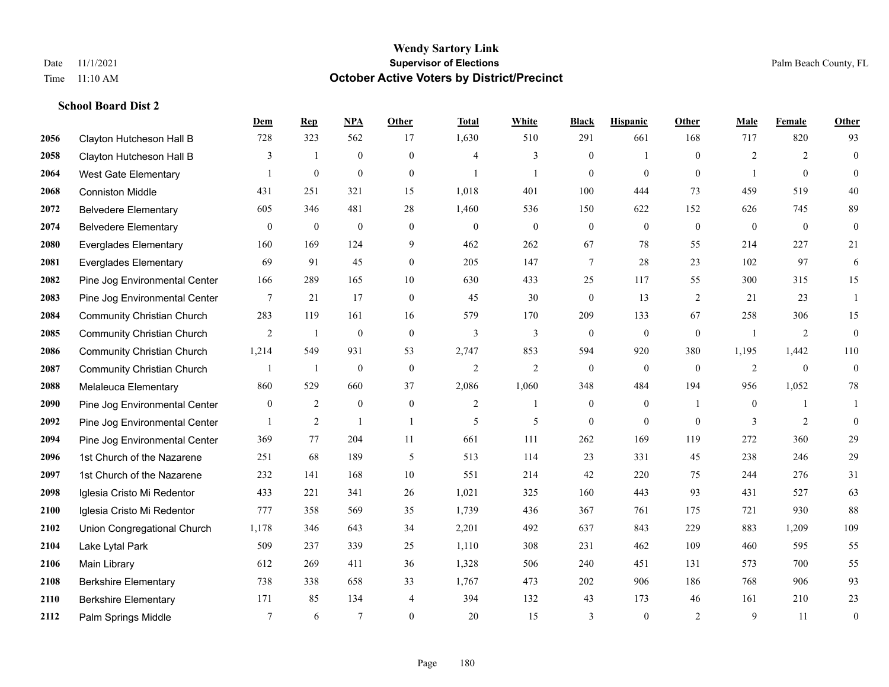|      |                                   | Dem             | <b>Rep</b>       | NPA              | <b>Other</b>     | <b>Total</b>   | <b>White</b>     | <b>Black</b>     | <b>Hispanic</b>  | Other          | <b>Male</b>    | Female       | <b>Other</b>     |
|------|-----------------------------------|-----------------|------------------|------------------|------------------|----------------|------------------|------------------|------------------|----------------|----------------|--------------|------------------|
| 2056 | Clayton Hutcheson Hall B          | 728             | 323              | 562              | 17               | 1,630          | 510              | 291              | 661              | 168            | 717            | 820          | 93               |
| 2058 | Clayton Hutcheson Hall B          | 3               | $\mathbf{1}$     | $\boldsymbol{0}$ | $\overline{0}$   | $\overline{4}$ | $\mathfrak{Z}$   | $\boldsymbol{0}$ | $\mathbf{1}$     | $\theta$       | $\overline{2}$ | 2            | $\boldsymbol{0}$ |
| 2064 | West Gate Elementary              | 1               | $\boldsymbol{0}$ | $\boldsymbol{0}$ | $\overline{0}$   | $\mathbf{1}$   | $\mathbf{1}$     | $\mathbf{0}$     | $\mathbf{0}$     | $\theta$       | -1             | $\theta$     | $\mathbf{0}$     |
| 2068 | <b>Conniston Middle</b>           | 431             | 251              | 321              | 15               | 1,018          | 401              | 100              | 444              | 73             | 459            | 519          | 40               |
| 2072 | <b>Belvedere Elementary</b>       | 605             | 346              | 481              | 28               | 1,460          | 536              | 150              | 622              | 152            | 626            | 745          | 89               |
| 2074 | <b>Belvedere Elementary</b>       | $\mathbf{0}$    | $\boldsymbol{0}$ | $\boldsymbol{0}$ | $\overline{0}$   | $\mathbf{0}$   | $\boldsymbol{0}$ | $\boldsymbol{0}$ | $\mathbf{0}$     | $\mathbf{0}$   | $\mathbf{0}$   | $\mathbf{0}$ | $\mathbf{0}$     |
| 2080 | <b>Everglades Elementary</b>      | 160             | 169              | 124              | 9                | 462            | 262              | 67               | 78               | 55             | 214            | 227          | 21               |
| 2081 | <b>Everglades Elementary</b>      | 69              | 91               | 45               | $\Omega$         | 205            | 147              | $\tau$           | 28               | 23             | 102            | 97           | 6                |
| 2082 | Pine Jog Environmental Center     | 166             | 289              | 165              | 10               | 630            | 433              | 25               | 117              | 55             | 300            | 315          | 15               |
| 2083 | Pine Jog Environmental Center     | 7               | 21               | 17               | $\mathbf{0}$     | 45             | 30               | $\boldsymbol{0}$ | 13               | 2              | 21             | 23           | 1                |
| 2084 | <b>Community Christian Church</b> | 283             | 119              | 161              | 16               | 579            | 170              | 209              | 133              | 67             | 258            | 306          | 15               |
| 2085 | <b>Community Christian Church</b> | 2               | -1               | $\mathbf{0}$     | $\mathbf{0}$     | 3              | 3                | $\boldsymbol{0}$ | $\mathbf{0}$     | $\overline{0}$ | $\overline{1}$ | 2            | $\boldsymbol{0}$ |
| 2086 | <b>Community Christian Church</b> | 1,214           | 549              | 931              | 53               | 2,747          | 853              | 594              | 920              | 380            | 1,195          | 1,442        | 110              |
| 2087 | <b>Community Christian Church</b> |                 | $\mathbf{1}$     | $\boldsymbol{0}$ | $\boldsymbol{0}$ | $\mathfrak{2}$ | $\overline{2}$   | $\boldsymbol{0}$ | $\boldsymbol{0}$ | $\mathbf{0}$   | $\overline{2}$ | $\mathbf{0}$ | $\boldsymbol{0}$ |
| 2088 | Melaleuca Elementary              | 860             | 529              | 660              | 37               | 2,086          | 1,060            | 348              | 484              | 194            | 956            | 1,052        | 78               |
| 2090 | Pine Jog Environmental Center     | $\overline{0}$  | 2                | $\mathbf{0}$     | $\mathbf{0}$     | $\overline{2}$ | $\mathbf{1}$     | $\mathbf{0}$     | $\mathbf{0}$     | $\overline{1}$ | $\overline{0}$ | $\mathbf{1}$ | $\mathbf{1}$     |
| 2092 | Pine Jog Environmental Center     | $\mathbf{1}$    | $\overline{2}$   | $\overline{1}$   | $\overline{1}$   | 5              | 5                | $\mathbf{0}$     | $\mathbf{0}$     | $\theta$       | 3              | 2            | $\mathbf{0}$     |
| 2094 | Pine Jog Environmental Center     | 369             | 77               | 204              | 11               | 661            | 111              | 262              | 169              | 119            | 272            | 360          | 29               |
| 2096 | 1st Church of the Nazarene        | 251             | 68               | 189              | 5                | 513            | 114              | 23               | 331              | 45             | 238            | 246          | $29\,$           |
| 2097 | 1st Church of the Nazarene        | 232             | 141              | 168              | 10               | 551            | 214              | 42               | 220              | 75             | 244            | 276          | 31               |
| 2098 | Iglesia Cristo Mi Redentor        | 433             | 221              | 341              | 26               | 1,021          | 325              | 160              | 443              | 93             | 431            | 527          | 63               |
| 2100 | Iglesia Cristo Mi Redentor        | 777             | 358              | 569              | 35               | 1,739          | 436              | 367              | 761              | 175            | 721            | 930          | 88               |
| 2102 | Union Congregational Church       | 1,178           | 346              | 643              | 34               | 2,201          | 492              | 637              | 843              | 229            | 883            | 1,209        | 109              |
| 2104 | Lake Lytal Park                   | 509             | 237              | 339              | 25               | 1,110          | 308              | 231              | 462              | 109            | 460            | 595          | 55               |
| 2106 | Main Library                      | 612             | 269              | 411              | 36               | 1,328          | 506              | 240              | 451              | 131            | 573            | 700          | 55               |
| 2108 | <b>Berkshire Elementary</b>       | 738             | 338              | 658              | 33               | 1,767          | 473              | 202              | 906              | 186            | 768            | 906          | 93               |
| 2110 | <b>Berkshire Elementary</b>       | 171             | 85               | 134              | 4                | 394            | 132              | 43               | 173              | 46             | 161            | 210          | 23               |
| 2112 | Palm Springs Middle               | $7\phantom{.0}$ | 6                | $7\phantom{.0}$  | $\theta$         | 20             | 15               | 3                | $\mathbf{0}$     | 2              | 9              | 11           | $\boldsymbol{0}$ |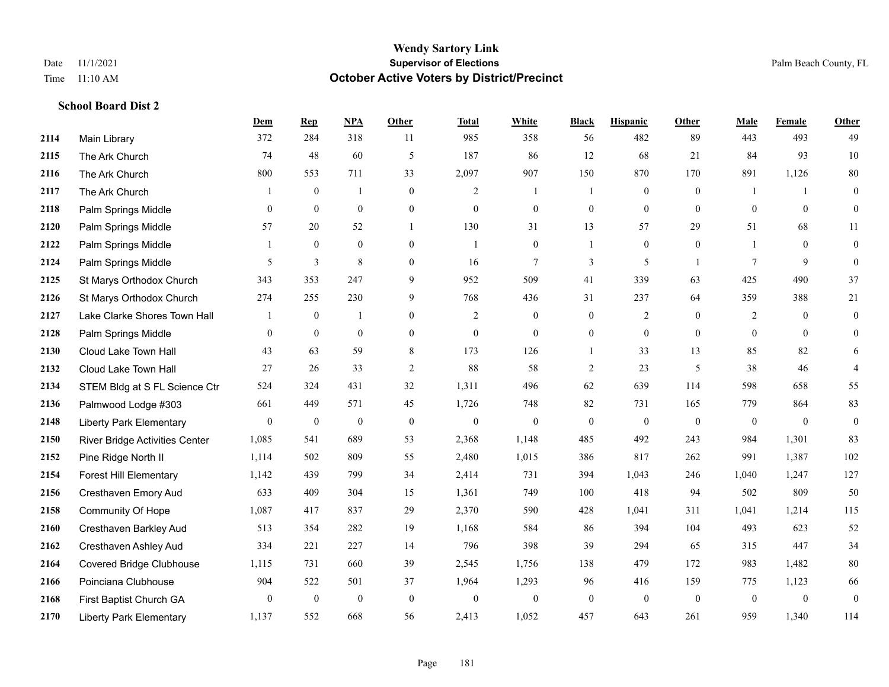|      |                                 | <b>Dem</b>     | <b>Rep</b>       | NPA              | <b>Other</b>     | <b>Total</b>     | <b>White</b>     | <b>Black</b>     | <b>Hispanic</b>  | <b>Other</b>   | <b>Male</b>      | <b>Female</b>  | <b>Other</b>     |
|------|---------------------------------|----------------|------------------|------------------|------------------|------------------|------------------|------------------|------------------|----------------|------------------|----------------|------------------|
| 2114 | Main Library                    | 372            | 284              | 318              | 11               | 985              | 358              | 56               | 482              | 89             | 443              | 493            | 49               |
| 2115 | The Ark Church                  | 74             | 48               | 60               | 5                | 187              | 86               | 12               | 68               | 21             | 84               | 93             | $10\,$           |
| 2116 | The Ark Church                  | 800            | 553              | 711              | 33               | 2,097            | 907              | 150              | 870              | 170            | 891              | 1,126          | 80               |
| 2117 | The Ark Church                  |                | $\boldsymbol{0}$ | $\overline{1}$   | $\overline{0}$   | $\overline{c}$   | 1                |                  | $\boldsymbol{0}$ | $\mathbf{0}$   | -1               | $\mathbf{1}$   | $\overline{0}$   |
| 2118 | Palm Springs Middle             | $\theta$       | $\overline{0}$   | $\overline{0}$   | $\overline{0}$   | $\theta$         | $\overline{0}$   | $\mathbf{0}$     | $\theta$         | $\theta$       | $\theta$         | $\theta$       | $\overline{0}$   |
| 2120 | Palm Springs Middle             | 57             | 20               | 52               | $\overline{1}$   | 130              | 31               | 13               | 57               | 29             | 51               | 68             | 11               |
| 2122 | Palm Springs Middle             | 1              | $\mathbf{0}$     | $\mathbf{0}$     | $\overline{0}$   | $\overline{1}$   | $\overline{0}$   | 1                | $\mathbf{0}$     | $\mathbf{0}$   | -1               | $\theta$       | $\overline{0}$   |
| 2124 | Palm Springs Middle             | 5              | 3                | 8                | $\Omega$         | 16               | $\tau$           | 3                | 5                | $\overline{1}$ | 7                | 9              | $\Omega$         |
| 2125 | St Marys Orthodox Church        | 343            | 353              | 247              | 9                | 952              | 509              | 41               | 339              | 63             | 425              | 490            | 37               |
| 2126 | St Marys Orthodox Church        | 274            | 255              | 230              | 9                | 768              | 436              | 31               | 237              | 64             | 359              | 388            | 21               |
| 2127 | Lake Clarke Shores Town Hall    | 1              | $\mathbf{0}$     | $\mathbf{1}$     | $\Omega$         | $\overline{2}$   | $\overline{0}$   | $\mathbf{0}$     | 2                | $\theta$       | 2                | $\theta$       | $\overline{0}$   |
| 2128 | Palm Springs Middle             | $\overline{0}$ | $\mathbf{0}$     | $\mathbf{0}$     | $\overline{0}$   | $\mathbf{0}$     | $\overline{0}$   | $\boldsymbol{0}$ | $\mathbf{0}$     | $\mathbf{0}$   | $\mathbf{0}$     | $\theta$       | $\overline{0}$   |
| 2130 | Cloud Lake Town Hall            | 43             | 63               | 59               | 8                | 173              | 126              | $\mathbf{1}$     | 33               | 13             | 85               | 82             | 6                |
| 2132 | Cloud Lake Town Hall            | 27             | 26               | 33               | $\sqrt{2}$       | 88               | 58               | $\overline{c}$   | 23               | 5              | 38               | 46             | $\overline{4}$   |
| 2134 | STEM Bldg at S FL Science Ctr   | 524            | 324              | 431              | 32               | 1,311            | 496              | 62               | 639              | 114            | 598              | 658            | 55               |
| 2136 | Palmwood Lodge #303             | 661            | 449              | 571              | 45               | 1,726            | 748              | 82               | 731              | 165            | 779              | 864            | 83               |
| 2148 | <b>Liberty Park Elementary</b>  | $\overline{0}$ | $\boldsymbol{0}$ | $\boldsymbol{0}$ | $\boldsymbol{0}$ | $\boldsymbol{0}$ | $\boldsymbol{0}$ | $\boldsymbol{0}$ | $\mathbf{0}$     | $\mathbf{0}$   | $\boldsymbol{0}$ | $\overline{0}$ | $\boldsymbol{0}$ |
| 2150 | River Bridge Activities Center  | 1,085          | 541              | 689              | 53               | 2,368            | 1,148            | 485              | 492              | 243            | 984              | 1,301          | 83               |
| 2152 | Pine Ridge North II             | 1,114          | 502              | 809              | 55               | 2,480            | 1,015            | 386              | 817              | 262            | 991              | 1,387          | 102              |
| 2154 | <b>Forest Hill Elementary</b>   | 1,142          | 439              | 799              | 34               | 2,414            | 731              | 394              | 1,043            | 246            | 1,040            | 1,247          | 127              |
| 2156 | Cresthaven Emory Aud            | 633            | 409              | 304              | 15               | 1,361            | 749              | 100              | 418              | 94             | 502              | 809            | 50               |
| 2158 | Community Of Hope               | 1,087          | 417              | 837              | 29               | 2,370            | 590              | 428              | 1,041            | 311            | 1,041            | 1,214          | 115              |
| 2160 | Cresthaven Barkley Aud          | 513            | 354              | 282              | 19               | 1,168            | 584              | 86               | 394              | 104            | 493              | 623            | 52               |
| 2162 | Cresthaven Ashley Aud           | 334            | 221              | 227              | 14               | 796              | 398              | 39               | 294              | 65             | 315              | 447            | 34               |
| 2164 | <b>Covered Bridge Clubhouse</b> | 1,115          | 731              | 660              | 39               | 2,545            | 1,756            | 138              | 479              | 172            | 983              | 1,482          | 80               |
| 2166 | Poinciana Clubhouse             | 904            | 522              | 501              | 37               | 1,964            | 1,293            | 96               | 416              | 159            | 775              | 1,123          | 66               |
| 2168 | First Baptist Church GA         | $\overline{0}$ | $\boldsymbol{0}$ | $\boldsymbol{0}$ | $\mathbf{0}$     | $\mathbf{0}$     | $\boldsymbol{0}$ | $\boldsymbol{0}$ | $\mathbf{0}$     | $\mathbf{0}$   | $\mathbf{0}$     | $\mathbf{0}$   | $\mathbf{0}$     |
| 2170 | <b>Liberty Park Elementary</b>  | 1,137          | 552              | 668              | 56               | 2,413            | 1,052            | 457              | 643              | 261            | 959              | 1,340          | 114              |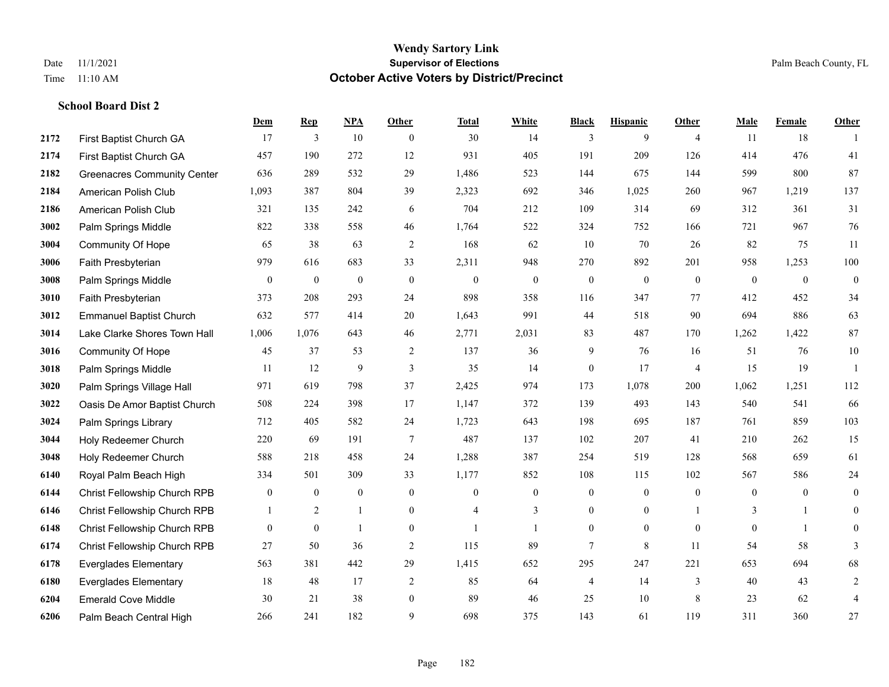**School Board Dist 2**

#### **Wendy Sartory Link** Date 11/1/2021 **Supervisor of Elections** Palm Beach County, FL Time 11:10 AM **October Active Voters by District/Precinct**

**Dem Rep NPA Other Total White Black Hispanic Other Male Female Other**

# First Baptist Church GA 17 3 10 0 30 14 3 9 4 11 18 1 First Baptist Church GA 457 190 272 12 931 405 191 209 126 414 476 41 Greenacres Community Center 636 289 532 29 1,486 523 144 675 144 599 800 87 American Polish Club 1,093 387 804 39 2,323 692 346 1,025 260 967 1,219 137 American Polish Club 321 135 242 6 704 212 109 314 69 312 361 31 Palm Springs Middle 822 338 558 46 1,764 522 324 752 166 721 967 76 Community Of Hope 65 38 63 2 168 62 10 70 26 82 75 11 Faith Presbyterian 979 616 683 33 2,311 948 270 892 201 958 1,253 100 Palm Springs Middle 0 0 0 0 0 0 0 0 0 0 0 0 Faith Presbyterian 373 208 293 24 898 358 116 347 77 412 452 34 Emmanuel Baptist Church 632 577 414 20 1,643 991 44 518 90 694 886 63 Lake Clarke Shores Town Hall 1,006 1,076 643 46 2,771 2,031 83 487 170 1,262 1,422 87 Community Of Hope 45 37 53 2 137 36 9 76 16 51 76 10 Palm Springs Middle 1 11 12 9 3 35 14 0 17 4 15 19 1 Palm Springs Village Hall 971 619 798 37 2,425 974 173 1,078 200 1,062 1,251 112 Oasis De Amor Baptist Church 508 224 398 17 1,147 372 139 493 143 540 541 66 Palm Springs Library 712 405 582 24 1,723 643 198 695 187 761 859 103 Holy Redeemer Church 220 69 191 7 487 137 102 207 41 210 262 15 Holy Redeemer Church 588 218 458 24 1,288 387 254 519 128 568 659 61 Royal Palm Beach High 334 501 309 33 1,177 852 108 115 102 567 586 24 Christ Fellowship Church RPB 0 0 0 0 0 0 0 0 0 0 0 0 Christ Fellowship Church RPB 1 2 1 0 4 3 0 0 1 3 1 0 Christ Fellowship Church RPB 0 0 1 0 1 1 0 0 0 0 1 0 Christ Fellowship Church RPB 27 50 36 2 115 89 7 8 11 54 58 3 Everglades Elementary 563 381 442 29 1,415 652 295 247 221 653 694 68

 Everglades Elementary 18 48 17 2 85 64 4 14 3 40 43 2 Emerald Cove Middle 30 21 38 0 89 46 25 10 8 23 62 4 Palm Beach Central High 266 241 182 9 698 375 143 61 119 311 360 27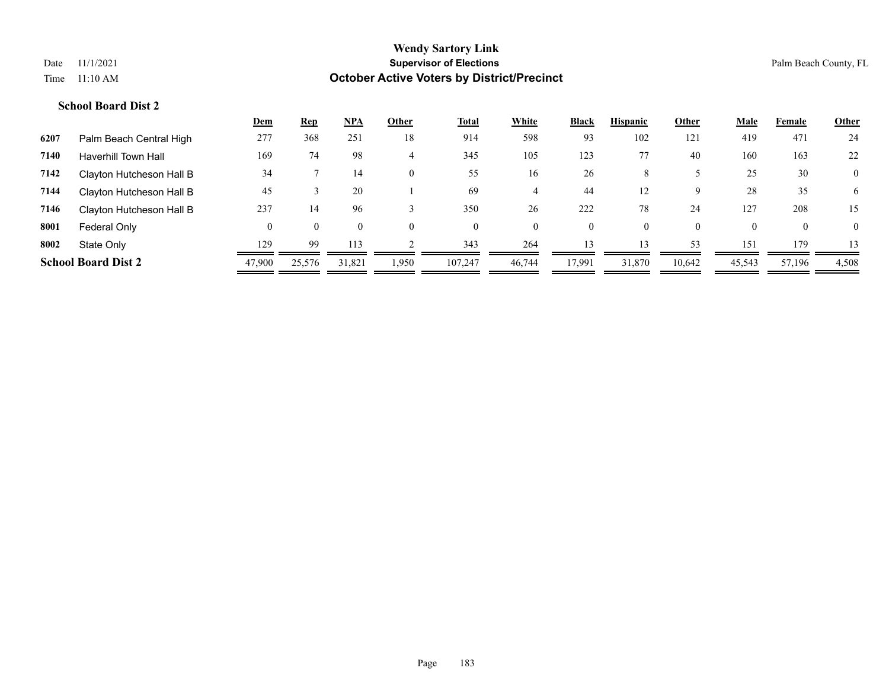|      |                            | <u>Dem</u> | <b>Rep</b> | <u>NPA</u> | Other    | <u>Total</u> | White    | <b>Black</b> | <b>Hispanic</b> | Other    | <b>Male</b> | Female         | <b>Other</b>   |
|------|----------------------------|------------|------------|------------|----------|--------------|----------|--------------|-----------------|----------|-------------|----------------|----------------|
| 6207 | Palm Beach Central High    | 277        | 368        | 251        | 18       | 914          | 598      | 93           | 102             | 121      | 419         | 471            | 24             |
| 7140 | <b>Haverhill Town Hall</b> | 169        | 74         | 98         | 4        | 345          | 105      | 123          | 77              | 40       | 160         | 163            | 22             |
| 7142 | Clayton Hutcheson Hall B   | 34         |            | 14         | $\Omega$ | 55           | 16       | 26           | 8               |          | 25          | 30             | $\mathbf{0}$   |
| 7144 | Clayton Hutcheson Hall B   | 45         |            | 20         |          | 69           |          | 44           |                 | 9        | 28          | 35             | 6              |
| 7146 | Clayton Hutcheson Hall B   | 237        | 14         | 96         |          | 350          | 26       | 222          | 78              | 24       | 127         | 208            | 15             |
| 8001 | Federal Only               | $\theta$   | $\theta$   | $\theta$   | $\Omega$ | $\theta$     | $\theta$ | $\mathbf{0}$ | $\theta$        | $\theta$ | $\Omega$    | $\overline{0}$ | $\overline{0}$ |
| 8002 | State Only                 | 129        | -99        | 113        |          | 343          | 264      | 13           |                 | 53       | 151         | 179            | 13             |
|      | <b>School Board Dist 2</b> | 47,900     | 25,576     | 31,821     | 1,950    | 107,247      | 46,744   | 17,991       | 31,870          | 10,642   | 45,543      | 57,196         | 4,508          |
|      |                            |            |            |            |          |              |          |              |                 |          |             |                |                |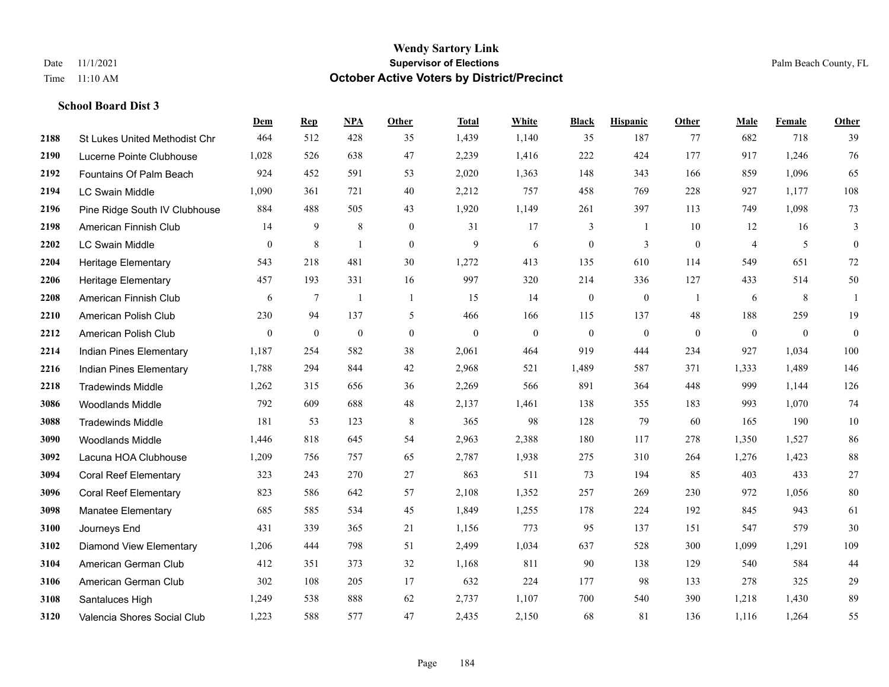|      |                                | Dem            | <b>Rep</b>     | <b>NPA</b>       | <b>Other</b>   | <b>Total</b> | White            | <b>Black</b>     | <b>Hispanic</b>  | Other          | Male           | Female       | Other          |
|------|--------------------------------|----------------|----------------|------------------|----------------|--------------|------------------|------------------|------------------|----------------|----------------|--------------|----------------|
| 2188 | St Lukes United Methodist Chr  | 464            | 512            | 428              | 35             | 1,439        | 1,140            | 35               | 187              | 77             | 682            | 718          | 39             |
| 2190 | Lucerne Pointe Clubhouse       | 1,028          | 526            | 638              | 47             | 2,239        | 1,416            | 222              | 424              | 177            | 917            | 1,246        | 76             |
| 2192 | Fountains Of Palm Beach        | 924            | 452            | 591              | 53             | 2,020        | 1,363            | 148              | 343              | 166            | 859            | 1,096        | 65             |
| 2194 | <b>LC Swain Middle</b>         | 1,090          | 361            | 721              | 40             | 2,212        | 757              | 458              | 769              | 228            | 927            | 1,177        | 108            |
| 2196 | Pine Ridge South IV Clubhouse  | 884            | 488            | 505              | 43             | 1,920        | 1,149            | 261              | 397              | 113            | 749            | 1,098        | 73             |
| 2198 | American Finnish Club          | 14             | 9              | $\,8\,$          | $\mathbf{0}$   | 31           | 17               | 3                | 1                | 10             | 12             | 16           | 3              |
| 2202 | LC Swain Middle                | $\mathbf{0}$   | $\,8\,$        | $\overline{1}$   | $\mathbf{0}$   | 9            | 6                | $\boldsymbol{0}$ | 3                | $\mathbf{0}$   | $\overline{4}$ | 5            | $\overline{0}$ |
| 2204 | <b>Heritage Elementary</b>     | 543            | 218            | 481              | 30             | 1,272        | 413              | 135              | 610              | 114            | 549            | 651          | $72\,$         |
| 2206 | <b>Heritage Elementary</b>     | 457            | 193            | 331              | 16             | 997          | 320              | 214              | 336              | 127            | 433            | 514          | 50             |
| 2208 | American Finnish Club          | 6              | $\overline{7}$ | $\mathbf{1}$     | $\mathbf{1}$   | 15           | 14               | $\boldsymbol{0}$ | $\boldsymbol{0}$ | $\overline{1}$ | 6              | 8            | $\mathbf{1}$   |
| 2210 | American Polish Club           | 230            | 94             | 137              | 5              | 466          | 166              | 115              | 137              | 48             | 188            | 259          | 19             |
| 2212 | American Polish Club           | $\overline{0}$ | $\bf{0}$       | $\boldsymbol{0}$ | $\overline{0}$ | $\mathbf{0}$ | $\boldsymbol{0}$ | $\boldsymbol{0}$ | $\boldsymbol{0}$ | $\mathbf{0}$   | $\mathbf{0}$   | $\mathbf{0}$ | $\mathbf{0}$   |
| 2214 | Indian Pines Elementary        | 1,187          | 254            | 582              | 38             | 2,061        | 464              | 919              | 444              | 234            | 927            | 1,034        | 100            |
| 2216 | Indian Pines Elementary        | 1,788          | 294            | 844              | 42             | 2,968        | 521              | 1,489            | 587              | 371            | 1,333          | 1,489        | 146            |
| 2218 | <b>Tradewinds Middle</b>       | 1,262          | 315            | 656              | 36             | 2,269        | 566              | 891              | 364              | 448            | 999            | 1,144        | 126            |
| 3086 | <b>Woodlands Middle</b>        | 792            | 609            | 688              | 48             | 2,137        | 1,461            | 138              | 355              | 183            | 993            | 1,070        | 74             |
| 3088 | <b>Tradewinds Middle</b>       | 181            | 53             | 123              | 8              | 365          | 98               | 128              | 79               | 60             | 165            | 190          | 10             |
| 3090 | <b>Woodlands Middle</b>        | 1,446          | 818            | 645              | 54             | 2,963        | 2,388            | 180              | 117              | 278            | 1,350          | 1,527        | 86             |
| 3092 | Lacuna HOA Clubhouse           | 1,209          | 756            | 757              | 65             | 2,787        | 1,938            | 275              | 310              | 264            | 1,276          | 1,423        | $88\,$         |
| 3094 | <b>Coral Reef Elementary</b>   | 323            | 243            | 270              | 27             | 863          | 511              | 73               | 194              | 85             | 403            | 433          | $27\,$         |
| 3096 | <b>Coral Reef Elementary</b>   | 823            | 586            | 642              | 57             | 2,108        | 1,352            | 257              | 269              | 230            | 972            | 1,056        | $80\,$         |
| 3098 | <b>Manatee Elementary</b>      | 685            | 585            | 534              | 45             | 1,849        | 1,255            | 178              | 224              | 192            | 845            | 943          | 61             |
| 3100 | Journeys End                   | 431            | 339            | 365              | 21             | 1,156        | 773              | 95               | 137              | 151            | 547            | 579          | 30             |
| 3102 | <b>Diamond View Elementary</b> | 1,206          | 444            | 798              | 51             | 2,499        | 1,034            | 637              | 528              | 300            | 1,099          | 1,291        | 109            |
| 3104 | American German Club           | 412            | 351            | 373              | 32             | 1,168        | 811              | 90               | 138              | 129            | 540            | 584          | 44             |
| 3106 | American German Club           | 302            | 108            | 205              | 17             | 632          | 224              | 177              | 98               | 133            | 278            | 325          | 29             |
| 3108 | Santaluces High                | 1,249          | 538            | 888              | 62             | 2,737        | 1,107            | 700              | 540              | 390            | 1,218          | 1,430        | 89             |
| 3120 | Valencia Shores Social Club    | 1,223          | 588            | 577              | 47             | 2,435        | 2,150            | 68               | 81               | 136            | 1,116          | 1,264        | 55             |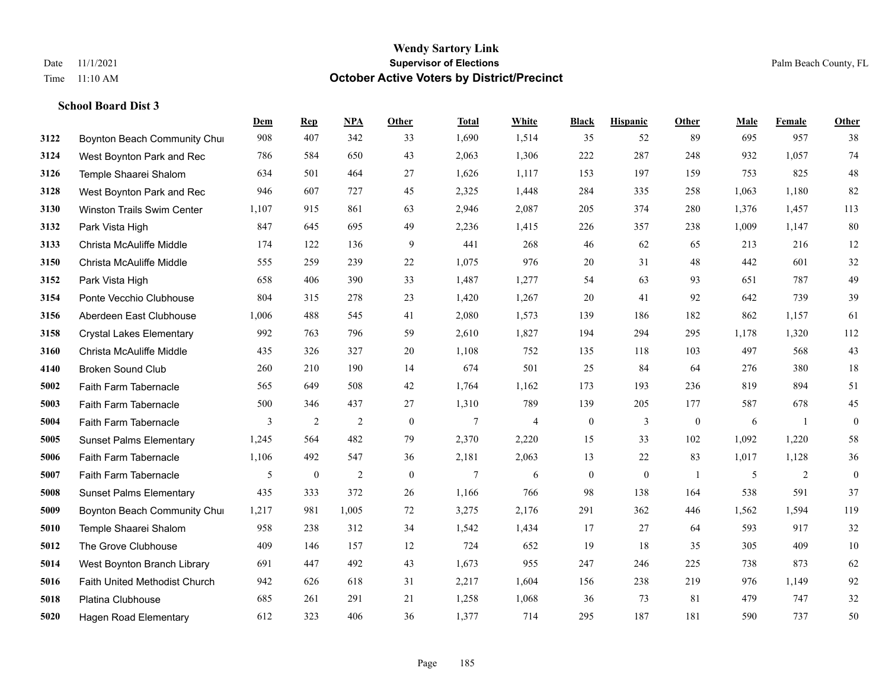|      |                                   | Dem   | <b>Rep</b>       | NPA            | <b>Other</b>     | <b>Total</b>   | White          | <b>Black</b>     | <b>Hispanic</b>  | <b>Other</b>     | <b>Male</b> | <b>Female</b> | Other            |
|------|-----------------------------------|-------|------------------|----------------|------------------|----------------|----------------|------------------|------------------|------------------|-------------|---------------|------------------|
| 3122 | Boynton Beach Community Chur      | 908   | 407              | 342            | 33               | 1,690          | 1,514          | 35               | 52               | 89               | 695         | 957           | 38               |
| 3124 | West Boynton Park and Rec         | 786   | 584              | 650            | 43               | 2,063          | 1,306          | 222              | 287              | 248              | 932         | 1,057         | 74               |
| 3126 | Temple Shaarei Shalom             | 634   | 501              | 464            | 27               | 1,626          | 1,117          | 153              | 197              | 159              | 753         | 825           | $48\,$           |
| 3128 | West Boynton Park and Rec         | 946   | 607              | 727            | 45               | 2,325          | 1,448          | 284              | 335              | 258              | 1,063       | 1,180         | 82               |
| 3130 | <b>Winston Trails Swim Center</b> | 1,107 | 915              | 861            | 63               | 2,946          | 2,087          | 205              | 374              | 280              | 1.376       | 1,457         | 113              |
| 3132 | Park Vista High                   | 847   | 645              | 695            | 49               | 2,236          | 1,415          | 226              | 357              | 238              | 1,009       | 1,147         | $80\,$           |
| 3133 | Christa McAuliffe Middle          | 174   | 122              | 136            | 9                | 441            | 268            | 46               | 62               | 65               | 213         | 216           | 12               |
| 3150 | Christa McAuliffe Middle          | 555   | 259              | 239            | 22               | 1,075          | 976            | 20               | 31               | 48               | 442         | 601           | 32               |
| 3152 | Park Vista High                   | 658   | 406              | 390            | 33               | 1,487          | 1,277          | 54               | 63               | 93               | 651         | 787           | 49               |
| 3154 | Ponte Vecchio Clubhouse           | 804   | 315              | 278            | 23               | 1,420          | 1,267          | 20               | 41               | 92               | 642         | 739           | 39               |
| 3156 | Aberdeen East Clubhouse           | 1,006 | 488              | 545            | 41               | 2,080          | 1,573          | 139              | 186              | 182              | 862         | 1,157         | 61               |
| 3158 | <b>Crystal Lakes Elementary</b>   | 992   | 763              | 796            | 59               | 2,610          | 1,827          | 194              | 294              | 295              | 1,178       | 1,320         | 112              |
| 3160 | Christa McAuliffe Middle          | 435   | 326              | 327            | 20               | 1,108          | 752            | 135              | 118              | 103              | 497         | 568           | 43               |
| 4140 | <b>Broken Sound Club</b>          | 260   | 210              | 190            | 14               | 674            | 501            | 25               | 84               | 64               | 276         | 380           | $18\,$           |
| 5002 | Faith Farm Tabernacle             | 565   | 649              | 508            | 42               | 1,764          | 1,162          | 173              | 193              | 236              | 819         | 894           | 51               |
| 5003 | Faith Farm Tabernacle             | 500   | 346              | 437            | 27               | 1,310          | 789            | 139              | 205              | 177              | 587         | 678           | 45               |
| 5004 | Faith Farm Tabernacle             | 3     | $\sqrt{2}$       | $\overline{2}$ | $\boldsymbol{0}$ | $\tau$         | $\overline{4}$ | $\boldsymbol{0}$ | 3                | $\boldsymbol{0}$ | 6           | 1             | $\boldsymbol{0}$ |
| 5005 | <b>Sunset Palms Elementary</b>    | 1,245 | 564              | 482            | 79               | 2,370          | 2,220          | 15               | 33               | 102              | 1,092       | 1,220         | 58               |
| 5006 | Faith Farm Tabernacle             | 1,106 | 492              | 547            | 36               | 2,181          | 2,063          | 13               | 22               | 83               | 1,017       | 1,128         | 36               |
| 5007 | Faith Farm Tabernacle             | 5     | $\boldsymbol{0}$ | $\overline{2}$ | $\mathbf{0}$     | $\overline{7}$ | 6              | $\boldsymbol{0}$ | $\boldsymbol{0}$ | -1               | 5           | 2             | $\mathbf{0}$     |
| 5008 | <b>Sunset Palms Elementary</b>    | 435   | 333              | 372            | 26               | 1,166          | 766            | 98               | 138              | 164              | 538         | 591           | 37               |
| 5009 | Boynton Beach Community Chur      | 1,217 | 981              | 1,005          | 72               | 3,275          | 2,176          | 291              | 362              | 446              | 1,562       | 1,594         | 119              |
| 5010 | Temple Shaarei Shalom             | 958   | 238              | 312            | 34               | 1,542          | 1,434          | 17               | 27               | 64               | 593         | 917           | 32               |
| 5012 | The Grove Clubhouse               | 409   | 146              | 157            | 12               | 724            | 652            | 19               | 18               | 35               | 305         | 409           | $10\,$           |
| 5014 | West Boynton Branch Library       | 691   | 447              | 492            | 43               | 1,673          | 955            | 247              | 246              | 225              | 738         | 873           | 62               |
| 5016 | Faith United Methodist Church     | 942   | 626              | 618            | 31               | 2,217          | 1,604          | 156              | 238              | 219              | 976         | 1,149         | 92               |
| 5018 | <b>Platina Clubhouse</b>          | 685   | 261              | 291            | 21               | 1,258          | 1,068          | 36               | 73               | 81               | 479         | 747           | 32               |
| 5020 | <b>Hagen Road Elementary</b>      | 612   | 323              | 406            | 36               | 1,377          | 714            | 295              | 187              | 181              | 590         | 737           | 50               |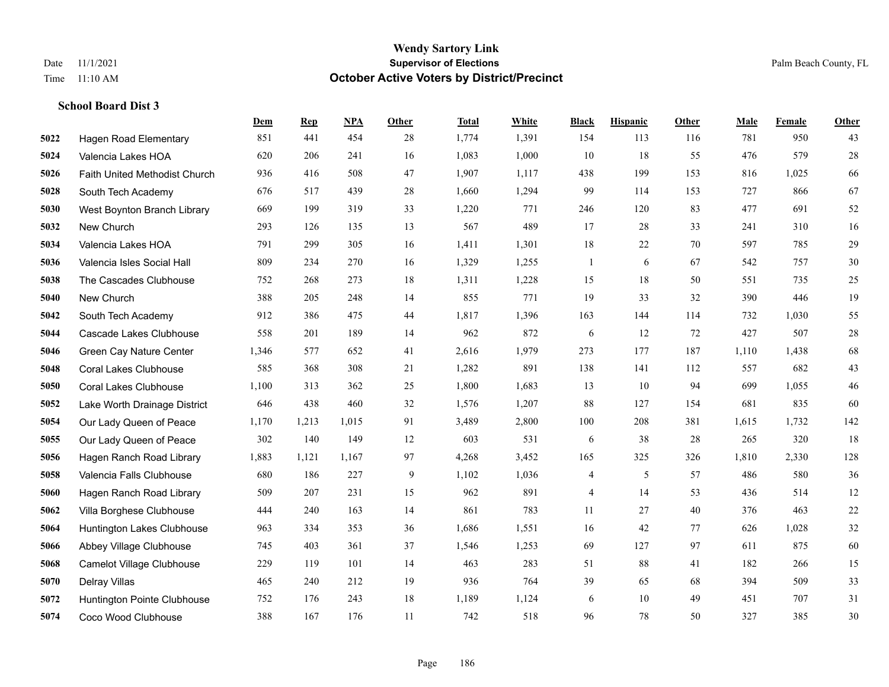|      |                               | Dem   | <b>Rep</b> | NPA   | <b>Other</b> | <b>Total</b> | White | <b>Black</b>             | <b>Hispanic</b> | Other | <b>Male</b> | Female | <b>Other</b> |
|------|-------------------------------|-------|------------|-------|--------------|--------------|-------|--------------------------|-----------------|-------|-------------|--------|--------------|
| 5022 | <b>Hagen Road Elementary</b>  | 851   | 441        | 454   | 28           | 1,774        | 1,391 | 154                      | 113             | 116   | 781         | 950    | 43           |
| 5024 | Valencia Lakes HOA            | 620   | 206        | 241   | 16           | 1,083        | 1,000 | 10                       | 18              | 55    | 476         | 579    | $28\,$       |
| 5026 | Faith United Methodist Church | 936   | 416        | 508   | 47           | 1,907        | 1,117 | 438                      | 199             | 153   | 816         | 1,025  | 66           |
| 5028 | South Tech Academy            | 676   | 517        | 439   | 28           | 1,660        | 1,294 | 99                       | 114             | 153   | 727         | 866    | 67           |
| 5030 | West Boynton Branch Library   | 669   | 199        | 319   | 33           | 1,220        | 771   | 246                      | 120             | 83    | 477         | 691    | 52           |
| 5032 | New Church                    | 293   | 126        | 135   | 13           | 567          | 489   | 17                       | 28              | 33    | 241         | 310    | 16           |
| 5034 | Valencia Lakes HOA            | 791   | 299        | 305   | 16           | 1,411        | 1,301 | 18                       | 22              | 70    | 597         | 785    | 29           |
| 5036 | Valencia Isles Social Hall    | 809   | 234        | 270   | 16           | 1,329        | 1,255 | $\mathbf{1}$             | 6               | 67    | 542         | 757    | 30           |
| 5038 | The Cascades Clubhouse        | 752   | 268        | 273   | 18           | 1,311        | 1,228 | 15                       | 18              | 50    | 551         | 735    | $25\,$       |
| 5040 | New Church                    | 388   | 205        | 248   | 14           | 855          | 771   | 19                       | 33              | 32    | 390         | 446    | 19           |
| 5042 | South Tech Academy            | 912   | 386        | 475   | 44           | 1,817        | 1,396 | 163                      | 144             | 114   | 732         | 1.030  | 55           |
| 5044 | Cascade Lakes Clubhouse       | 558   | 201        | 189   | 14           | 962          | 872   | 6                        | 12              | 72    | 427         | 507    | $28\,$       |
| 5046 | Green Cay Nature Center       | 1,346 | 577        | 652   | 41           | 2,616        | 1,979 | 273                      | 177             | 187   | 1,110       | 1,438  | 68           |
| 5048 | <b>Coral Lakes Clubhouse</b>  | 585   | 368        | 308   | 21           | 1,282        | 891   | 138                      | 141             | 112   | 557         | 682    | $43\,$       |
| 5050 | <b>Coral Lakes Clubhouse</b>  | 1,100 | 313        | 362   | 25           | 1,800        | 1,683 | 13                       | 10              | 94    | 699         | 1,055  | $46\,$       |
| 5052 | Lake Worth Drainage District  | 646   | 438        | 460   | 32           | 1,576        | 1,207 | 88                       | 127             | 154   | 681         | 835    | 60           |
| 5054 | Our Lady Queen of Peace       | 1,170 | 1,213      | 1,015 | 91           | 3,489        | 2,800 | 100                      | 208             | 381   | 1,615       | 1,732  | 142          |
| 5055 | Our Lady Queen of Peace       | 302   | 140        | 149   | 12           | 603          | 531   | 6                        | 38              | 28    | 265         | 320    | 18           |
| 5056 | Hagen Ranch Road Library      | 1,883 | 1,121      | 1,167 | 97           | 4,268        | 3,452 | 165                      | 325             | 326   | 1,810       | 2,330  | 128          |
| 5058 | Valencia Falls Clubhouse      | 680   | 186        | 227   | 9            | 1,102        | 1,036 | $\overline{\mathcal{A}}$ | 5               | 57    | 486         | 580    | 36           |
| 5060 | Hagen Ranch Road Library      | 509   | 207        | 231   | 15           | 962          | 891   | 4                        | 14              | 53    | 436         | 514    | 12           |
| 5062 | Villa Borghese Clubhouse      | 444   | 240        | 163   | 14           | 861          | 783   | 11                       | 27              | 40    | 376         | 463    | $22\,$       |
| 5064 | Huntington Lakes Clubhouse    | 963   | 334        | 353   | 36           | 1,686        | 1,551 | 16                       | 42              | 77    | 626         | 1,028  | $32\,$       |
| 5066 | Abbey Village Clubhouse       | 745   | 403        | 361   | 37           | 1,546        | 1,253 | 69                       | 127             | 97    | 611         | 875    | 60           |
| 5068 | Camelot Village Clubhouse     | 229   | 119        | 101   | 14           | 463          | 283   | 51                       | 88              | 41    | 182         | 266    | 15           |
| 5070 | Delray Villas                 | 465   | 240        | 212   | 19           | 936          | 764   | 39                       | 65              | 68    | 394         | 509    | 33           |
| 5072 | Huntington Pointe Clubhouse   | 752   | 176        | 243   | 18           | 1,189        | 1,124 | 6                        | 10              | 49    | 451         | 707    | 31           |
| 5074 | Coco Wood Clubhouse           | 388   | 167        | 176   | 11           | 742          | 518   | 96                       | 78              | 50    | 327         | 385    | 30           |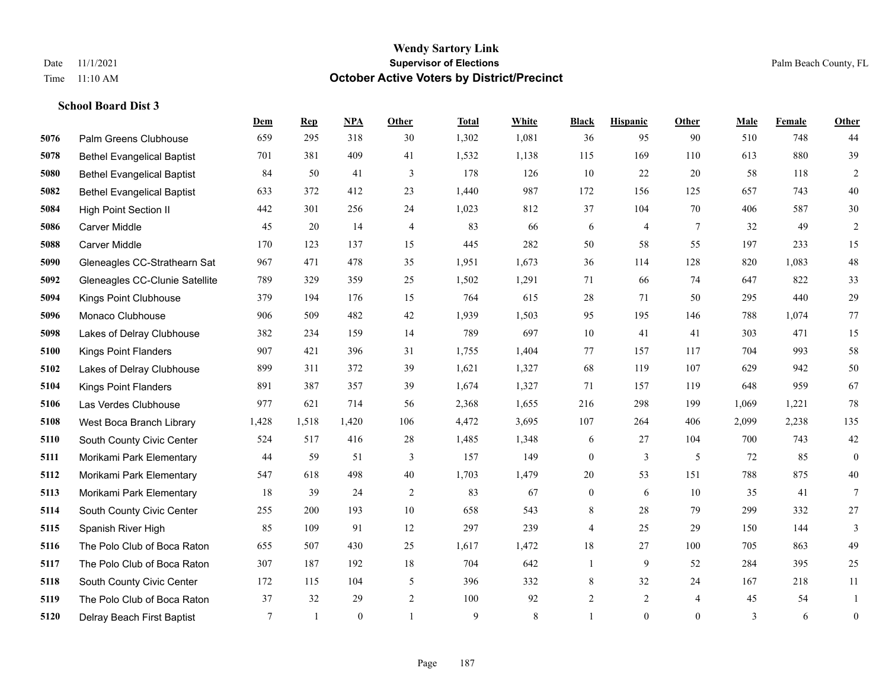|      |                                   | Dem    | <b>Rep</b>   | NPA          | <b>Other</b> | <b>Total</b> | White       | <b>Black</b>     | <b>Hispanic</b> | <b>Other</b>   | <b>Male</b> | Female | <b>Other</b>     |
|------|-----------------------------------|--------|--------------|--------------|--------------|--------------|-------------|------------------|-----------------|----------------|-------------|--------|------------------|
| 5076 | Palm Greens Clubhouse             | 659    | 295          | 318          | 30           | 1,302        | 1,081       | 36               | 95              | 90             | 510         | 748    | 44               |
| 5078 | <b>Bethel Evangelical Baptist</b> | 701    | 381          | 409          | 41           | 1,532        | 1,138       | 115              | 169             | 110            | 613         | 880    | 39               |
| 5080 | <b>Bethel Evangelical Baptist</b> | 84     | 50           | 41           | 3            | 178          | 126         | 10               | 22              | 20             | 58          | 118    | $\overline{c}$   |
| 5082 | <b>Bethel Evangelical Baptist</b> | 633    | 372          | 412          | 23           | 1,440        | 987         | 172              | 156             | 125            | 657         | 743    | $40\,$           |
| 5084 | <b>High Point Section II</b>      | 442    | 301          | 256          | 24           | 1,023        | 812         | 37               | 104             | 70             | 406         | 587    | 30               |
| 5086 | <b>Carver Middle</b>              | 45     | 20           | 14           | 4            | 83           | 66          | 6                | $\overline{4}$  | 7              | 32          | 49     | $\overline{c}$   |
| 5088 | Carver Middle                     | 170    | 123          | 137          | 15           | 445          | 282         | 50               | 58              | 55             | 197         | 233    | 15               |
| 5090 | Gleneagles CC-Strathearn Sat      | 967    | 471          | 478          | 35           | 1,951        | 1,673       | 36               | 114             | 128            | 820         | 1.083  | $48\,$           |
| 5092 | Gleneagles CC-Clunie Satellite    | 789    | 329          | 359          | 25           | 1,502        | 1,291       | 71               | 66              | 74             | 647         | 822    | 33               |
| 5094 | Kings Point Clubhouse             | 379    | 194          | 176          | 15           | 764          | 615         | 28               | 71              | 50             | 295         | 440    | 29               |
| 5096 | Monaco Clubhouse                  | 906    | 509          | 482          | 42           | 1,939        | 1,503       | 95               | 195             | 146            | 788         | 1.074  | 77               |
| 5098 | Lakes of Delray Clubhouse         | 382    | 234          | 159          | 14           | 789          | 697         | 10               | 41              | 41             | 303         | 471    | 15               |
| 5100 | <b>Kings Point Flanders</b>       | 907    | 421          | 396          | 31           | 1,755        | 1,404       | 77               | 157             | 117            | 704         | 993    | $58\,$           |
| 5102 | Lakes of Delray Clubhouse         | 899    | 311          | 372          | 39           | 1,621        | 1,327       | 68               | 119             | 107            | 629         | 942    | $50\,$           |
| 5104 | <b>Kings Point Flanders</b>       | 891    | 387          | 357          | 39           | 1,674        | 1,327       | 71               | 157             | 119            | 648         | 959    | 67               |
| 5106 | Las Verdes Clubhouse              | 977    | 621          | 714          | 56           | 2,368        | 1,655       | 216              | 298             | 199            | 1,069       | 1,221  | $78\,$           |
| 5108 | West Boca Branch Library          | 1,428  | 1,518        | 1,420        | 106          | 4,472        | 3,695       | 107              | 264             | 406            | 2,099       | 2,238  | 135              |
| 5110 | South County Civic Center         | 524    | 517          | 416          | 28           | 1,485        | 1,348       | 6                | 27              | 104            | 700         | 743    | $42\,$           |
| 5111 | Morikami Park Elementary          | 44     | 59           | 51           | 3            | 157          | 149         | $\boldsymbol{0}$ | 3               | 5              | 72          | 85     | $\mathbf{0}$     |
| 5112 | Morikami Park Elementary          | 547    | 618          | 498          | $40\,$       | 1,703        | 1,479       | 20               | 53              | 151            | 788         | 875    | $40\,$           |
| 5113 | Morikami Park Elementary          | 18     | 39           | 24           | 2            | 83           | 67          | $\boldsymbol{0}$ | 6               | 10             | 35          | 41     | $\tau$           |
| 5114 | South County Civic Center         | 255    | 200          | 193          | $10\,$       | 658          | 543         | 8                | 28              | 79             | 299         | 332    | 27               |
| 5115 | Spanish River High                | 85     | 109          | 91           | 12           | 297          | 239         | 4                | 25              | 29             | 150         | 144    | 3                |
| 5116 | The Polo Club of Boca Raton       | 655    | 507          | 430          | 25           | 1,617        | 1,472       | 18               | 27              | 100            | 705         | 863    | 49               |
| 5117 | The Polo Club of Boca Raton       | 307    | 187          | 192          | 18           | 704          | 642         | $\mathbf{1}$     | 9               | 52             | 284         | 395    | 25               |
| 5118 | South County Civic Center         | 172    | 115          | 104          | 5            | 396          | 332         | 8                | 32              | 24             | 167         | 218    | 11               |
| 5119 | The Polo Club of Boca Raton       | 37     | 32           | 29           | $\sqrt{2}$   | 100          | 92          | $\overline{c}$   | $\overline{c}$  | $\overline{4}$ | 45          | 54     | 1                |
| 5120 | Delray Beach First Baptist        | $\tau$ | $\mathbf{1}$ | $\mathbf{0}$ |              | 9            | $\,$ 8 $\,$ | $\mathbf{1}$     | $\theta$        | $\mathbf{0}$   | 3           | 6      | $\boldsymbol{0}$ |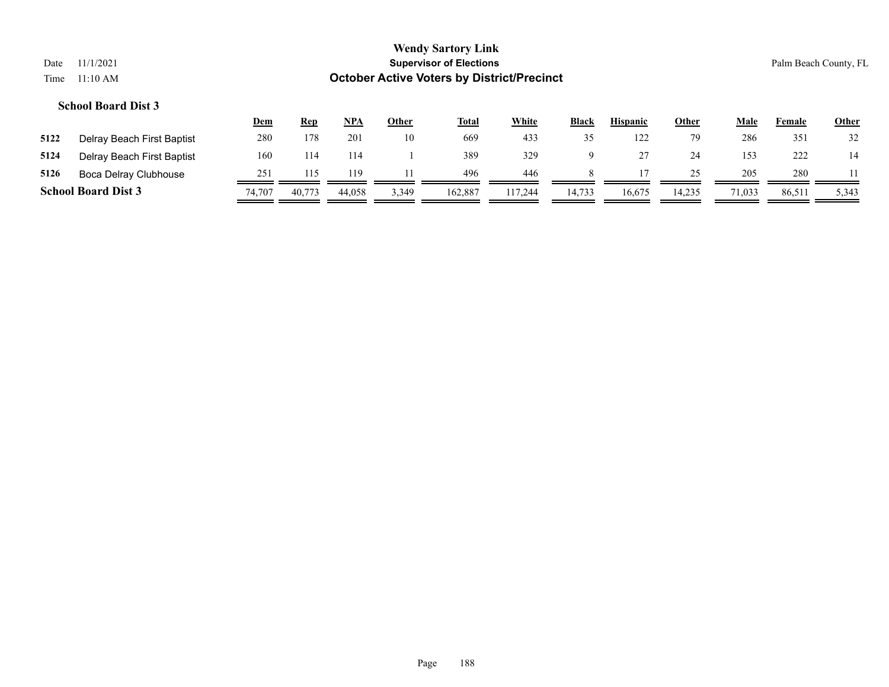|      |                            | <u>Dem</u> | Rep    | NPA    | Other | <b>Total</b> | White   | <b>Black</b> | <b>Hispanic</b> | <u>Other</u> | Male   | Female | <b>Other</b> |
|------|----------------------------|------------|--------|--------|-------|--------------|---------|--------------|-----------------|--------------|--------|--------|--------------|
| 5122 | Delray Beach First Baptist | 280        | 178    | 201    | 10    | 669          | 433     | 35           | 122             | 79           | 286    | 351    | 32           |
| 5124 | Delray Beach First Baptist | 160        | 114    |        |       | 389          | 329     | a            |                 | 24           | 153    | 222    | 14           |
| 5126 | Boca Delray Clubhouse      | 251        | 115    | 119    |       | 496          | 446     |              |                 | 25           | 205    | 280    |              |
|      | <b>School Board Dist 3</b> | 74.707     | 40,773 | 44.058 | 3.349 | 162,887      | 117.244 | 14.733       | 16.675          | 14.235       | 71,033 | 86,511 | 5,343        |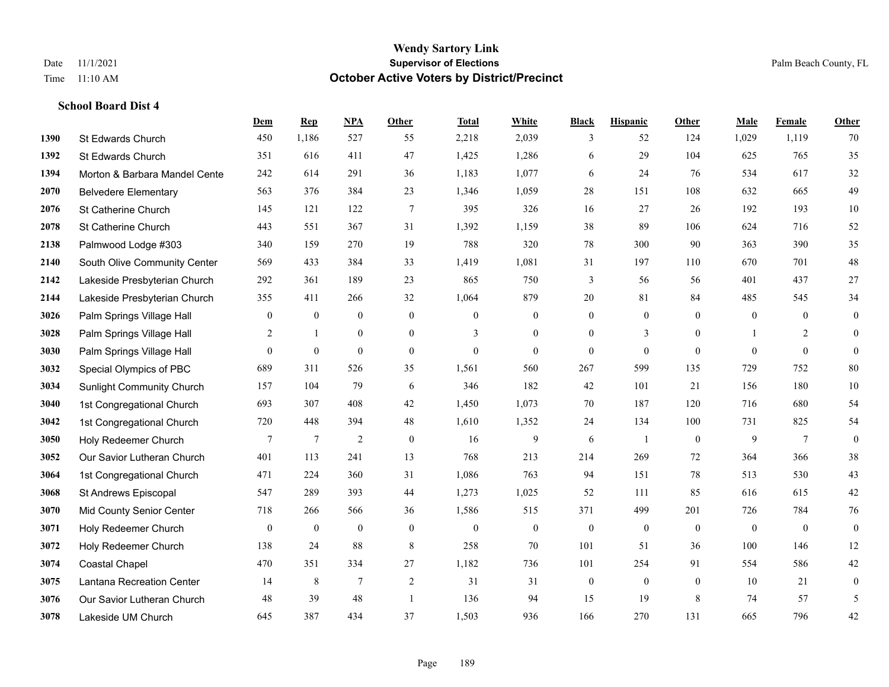|      |                                  | Dem          | <b>Rep</b>       | NPA            | <b>Other</b>   | <b>Total</b> | <b>White</b>     | <b>Black</b>     | <b>Hispanic</b>  | Other          | <b>Male</b>  | <b>Female</b>  | <b>Other</b>   |
|------|----------------------------------|--------------|------------------|----------------|----------------|--------------|------------------|------------------|------------------|----------------|--------------|----------------|----------------|
| 1390 | St Edwards Church                | 450          | 1,186            | 527            | 55             | 2,218        | 2,039            | 3                | 52               | 124            | 1,029        | 1,119          | 70             |
| 1392 | St Edwards Church                | 351          | 616              | 411            | 47             | 1,425        | 1,286            | 6                | 29               | 104            | 625          | 765            | 35             |
| 1394 | Morton & Barbara Mandel Cente    | 242          | 614              | 291            | 36             | 1,183        | 1,077            | 6                | 24               | 76             | 534          | 617            | 32             |
| 2070 | <b>Belvedere Elementary</b>      | 563          | 376              | 384            | 23             | 1,346        | 1,059            | 28               | 151              | 108            | 632          | 665            | 49             |
| 2076 | St Catherine Church              | 145          | 121              | 122            | 7              | 395          | 326              | 16               | 27               | 26             | 192          | 193            | $10\,$         |
| 2078 | St Catherine Church              | 443          | 551              | 367            | 31             | 1,392        | 1,159            | 38               | 89               | 106            | 624          | 716            | 52             |
| 2138 | Palmwood Lodge #303              | 340          | 159              | 270            | 19             | 788          | 320              | 78               | 300              | 90             | 363          | 390            | 35             |
| 2140 | South Olive Community Center     | 569          | 433              | 384            | 33             | 1,419        | 1,081            | 31               | 197              | 110            | 670          | 701            | $48\,$         |
| 2142 | Lakeside Presbyterian Church     | 292          | 361              | 189            | 23             | 865          | 750              | 3                | 56               | 56             | 401          | 437            | 27             |
| 2144 | Lakeside Presbyterian Church     | 355          | 411              | 266            | 32             | 1,064        | 879              | 20               | 81               | 84             | 485          | 545            | 34             |
| 3026 | Palm Springs Village Hall        | $\mathbf{0}$ | $\mathbf{0}$     | $\mathbf{0}$   | $\mathbf{0}$   | $\mathbf{0}$ | $\boldsymbol{0}$ | $\overline{0}$   | $\overline{0}$   | $\mathbf{0}$   | $\mathbf{0}$ | $\overline{0}$ | $\mathbf{0}$   |
| 3028 | Palm Springs Village Hall        | 2            | $\mathbf{1}$     | $\mathbf{0}$   | $\overline{0}$ | 3            | $\overline{0}$   | $\overline{0}$   | 3                | $\overline{0}$ | 1            | 2              | $\overline{0}$ |
| 3030 | Palm Springs Village Hall        | $\theta$     | $\boldsymbol{0}$ | $\mathbf{0}$   | $\theta$       | $\theta$     | $\overline{0}$   | $\overline{0}$   | $\overline{0}$   | $\theta$       | $\Omega$     | $\theta$       | $\theta$       |
| 3032 | Special Olympics of PBC          | 689          | 311              | 526            | 35             | 1,561        | 560              | 267              | 599              | 135            | 729          | 752            | $80\,$         |
| 3034 | <b>Sunlight Community Church</b> | 157          | 104              | 79             | 6              | 346          | 182              | 42               | 101              | 21             | 156          | 180            | $10\,$         |
| 3040 | 1st Congregational Church        | 693          | 307              | 408            | 42             | 1,450        | 1,073            | 70               | 187              | 120            | 716          | 680            | 54             |
| 3042 | 1st Congregational Church        | 720          | 448              | 394            | 48             | 1,610        | 1,352            | 24               | 134              | 100            | 731          | 825            | 54             |
| 3050 | Holy Redeemer Church             | $\tau$       | $\tau$           | $\overline{2}$ | $\theta$       | 16           | 9                | 6                | $\overline{1}$   | $\mathbf{0}$   | 9            | $\tau$         | $\mathbf{0}$   |
| 3052 | Our Savior Lutheran Church       | 401          | 113              | 241            | 13             | 768          | 213              | 214              | 269              | 72             | 364          | 366            | 38             |
| 3064 | 1st Congregational Church        | 471          | 224              | 360            | 31             | 1,086        | 763              | 94               | 151              | 78             | 513          | 530            | $43\,$         |
| 3068 | St Andrews Episcopal             | 547          | 289              | 393            | 44             | 1,273        | 1,025            | 52               | 111              | 85             | 616          | 615            | 42             |
| 3070 | Mid County Senior Center         | 718          | 266              | 566            | 36             | 1,586        | 515              | 371              | 499              | 201            | 726          | 784            | 76             |
| 3071 | Holy Redeemer Church             | $\mathbf{0}$ | $\boldsymbol{0}$ | $\mathbf{0}$   | $\mathbf{0}$   | $\theta$     | $\mathbf{0}$     | $\boldsymbol{0}$ | $\mathbf{0}$     | $\mathbf{0}$   | $\mathbf{0}$ | $\overline{0}$ | $\mathbf{0}$   |
| 3072 | Holy Redeemer Church             | 138          | 24               | 88             | 8              | 258          | $70\,$           | 101              | 51               | 36             | 100          | 146            | 12             |
| 3074 | <b>Coastal Chapel</b>            | 470          | 351              | 334            | 27             | 1,182        | 736              | 101              | 254              | 91             | 554          | 586            | $42\,$         |
| 3075 | Lantana Recreation Center        | 14           | $\,$ 8 $\,$      | 7              | $\sqrt{2}$     | 31           | 31               | $\boldsymbol{0}$ | $\boldsymbol{0}$ | $\mathbf{0}$   | 10           | 21             | $\bf{0}$       |
| 3076 | Our Savior Lutheran Church       | 48           | 39               | 48             | $\overline{1}$ | 136          | 94               | 15               | 19               | 8              | 74           | 57             | 5              |
| 3078 | Lakeside UM Church               | 645          | 387              | 434            | 37             | 1,503        | 936              | 166              | 270              | 131            | 665          | 796            | 42             |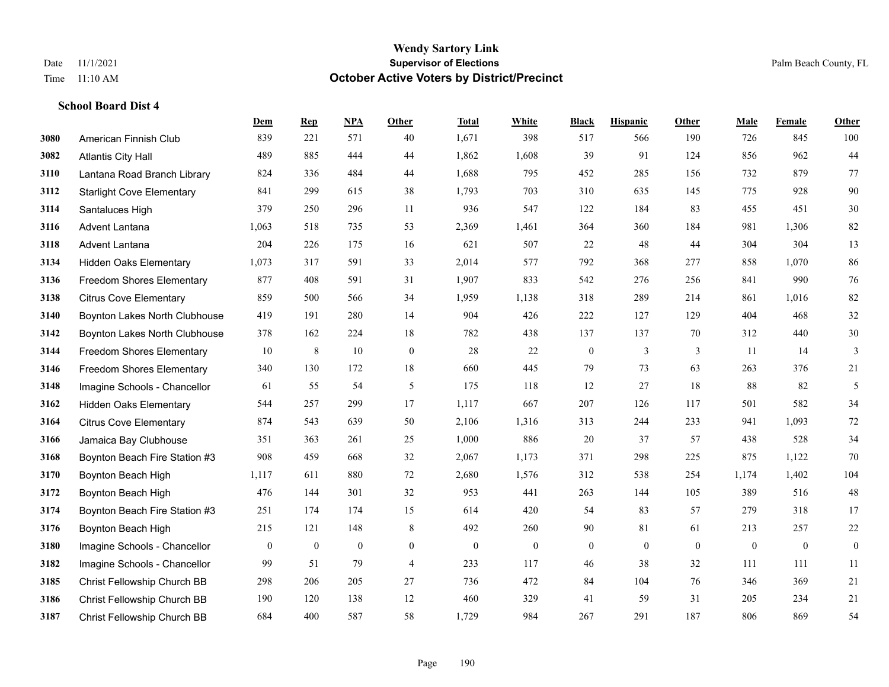|      |                                  | Dem          | <b>Rep</b>   | NPA            | <b>Other</b>     | <b>Total</b> | <b>White</b> | <b>Black</b>     | <b>Hispanic</b> | <b>Other</b> | <b>Male</b>  | Female       | <b>Other</b>     |
|------|----------------------------------|--------------|--------------|----------------|------------------|--------------|--------------|------------------|-----------------|--------------|--------------|--------------|------------------|
| 3080 | American Finnish Club            | 839          | 221          | 571            | 40               | 1,671        | 398          | 517              | 566             | 190          | 726          | 845          | 100              |
| 3082 | <b>Atlantis City Hall</b>        | 489          | 885          | 444            | 44               | 1,862        | 1,608        | 39               | 91              | 124          | 856          | 962          | 44               |
| 3110 | Lantana Road Branch Library      | 824          | 336          | 484            | 44               | 1,688        | 795          | 452              | 285             | 156          | 732          | 879          | $77\,$           |
| 3112 | <b>Starlight Cove Elementary</b> | 841          | 299          | 615            | 38               | 1,793        | 703          | 310              | 635             | 145          | 775          | 928          | 90               |
| 3114 | Santaluces High                  | 379          | 250          | 296            | 11               | 936          | 547          | 122              | 184             | 83           | 455          | 451          | $30\,$           |
| 3116 | Advent Lantana                   | 1,063        | 518          | 735            | 53               | 2,369        | 1,461        | 364              | 360             | 184          | 981          | 1,306        | $82\,$           |
| 3118 | Advent Lantana                   | 204          | 226          | 175            | 16               | 621          | 507          | 22               | 48              | 44           | 304          | 304          | 13               |
| 3134 | <b>Hidden Oaks Elementary</b>    | 1,073        | 317          | 591            | 33               | 2,014        | 577          | 792              | 368             | 277          | 858          | 1,070        | 86               |
| 3136 | <b>Freedom Shores Elementary</b> | 877          | 408          | 591            | 31               | 1,907        | 833          | 542              | 276             | 256          | 841          | 990          | 76               |
| 3138 | <b>Citrus Cove Elementary</b>    | 859          | 500          | 566            | 34               | 1,959        | 1,138        | 318              | 289             | 214          | 861          | 1,016        | 82               |
| 3140 | Boynton Lakes North Clubhouse    | 419          | 191          | 280            | 14               | 904          | 426          | 222              | 127             | 129          | 404          | 468          | $32\,$           |
| 3142 | Boynton Lakes North Clubhouse    | 378          | 162          | 224            | 18               | 782          | 438          | 137              | 137             | 70           | 312          | 440          | 30               |
| 3144 | Freedom Shores Elementary        | 10           | 8            | 10             | $\boldsymbol{0}$ | 28           | 22           | $\boldsymbol{0}$ | 3               | 3            | 11           | 14           | 3                |
| 3146 | <b>Freedom Shores Elementary</b> | 340          | 130          | 172            | 18               | 660          | 445          | 79               | 73              | 63           | 263          | 376          | 21               |
| 3148 | Imagine Schools - Chancellor     | 61           | 55           | 54             | 5                | 175          | 118          | 12               | 27              | 18           | 88           | 82           | 5                |
| 3162 | Hidden Oaks Elementary           | 544          | 257          | 299            | 17               | 1,117        | 667          | 207              | 126             | 117          | 501          | 582          | 34               |
| 3164 | <b>Citrus Cove Elementary</b>    | 874          | 543          | 639            | 50               | 2,106        | 1,316        | 313              | 244             | 233          | 941          | 1,093        | $72\,$           |
| 3166 | Jamaica Bay Clubhouse            | 351          | 363          | 261            | 25               | 1,000        | 886          | 20               | 37              | 57           | 438          | 528          | 34               |
| 3168 | Boynton Beach Fire Station #3    | 908          | 459          | 668            | 32               | 2,067        | 1,173        | 371              | 298             | 225          | 875          | 1,122        | $70\,$           |
| 3170 | Boynton Beach High               | 1,117        | 611          | 880            | 72               | 2,680        | 1,576        | 312              | 538             | 254          | 1,174        | 1,402        | 104              |
| 3172 | Boynton Beach High               | 476          | 144          | 301            | 32               | 953          | 441          | 263              | 144             | 105          | 389          | 516          | 48               |
| 3174 | Boynton Beach Fire Station #3    | 251          | 174          | 174            | 15               | 614          | 420          | 54               | 83              | 57           | 279          | 318          | 17               |
| 3176 | Boynton Beach High               | 215          | 121          | 148            | 8                | 492          | 260          | 90               | 81              | 61           | 213          | 257          | $22\,$           |
| 3180 | Imagine Schools - Chancellor     | $\mathbf{0}$ | $\mathbf{0}$ | $\overline{0}$ | $\overline{0}$   | $\mathbf{0}$ | $\mathbf{0}$ | $\boldsymbol{0}$ | $\mathbf{0}$    | $\theta$     | $\mathbf{0}$ | $\mathbf{0}$ | $\boldsymbol{0}$ |
| 3182 | Imagine Schools - Chancellor     | 99           | 51           | 79             | $\overline{4}$   | 233          | 117          | 46               | 38              | 32           | 111          | 111          | 11               |
| 3185 | Christ Fellowship Church BB      | 298          | 206          | 205            | 27               | 736          | 472          | 84               | 104             | 76           | 346          | 369          | 21               |
| 3186 | Christ Fellowship Church BB      | 190          | 120          | 138            | 12               | 460          | 329          | 41               | 59              | 31           | 205          | 234          | 21               |
| 3187 | Christ Fellowship Church BB      | 684          | 400          | 587            | 58               | 1,729        | 984          | 267              | 291             | 187          | 806          | 869          | 54               |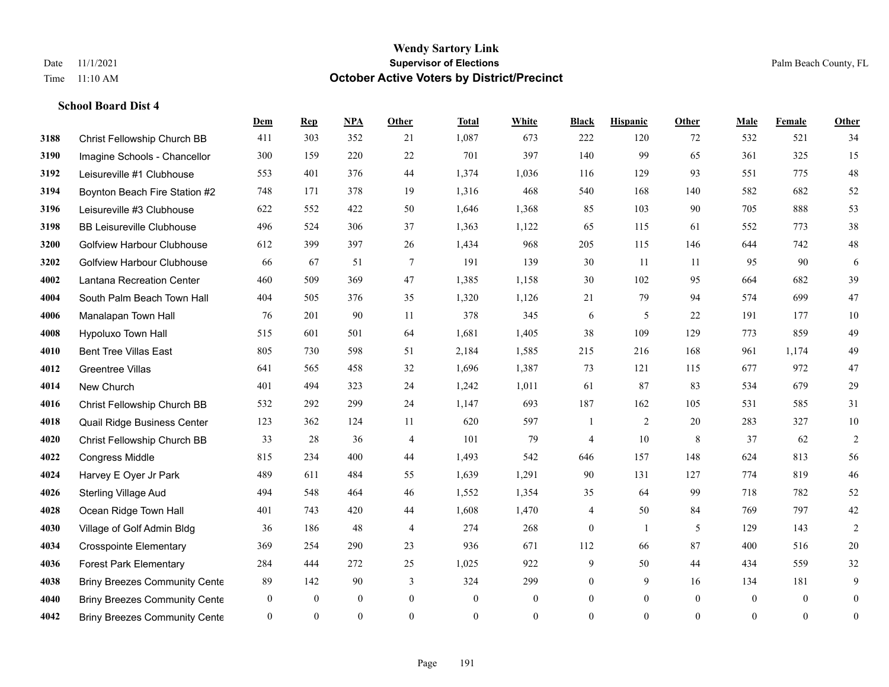**School Board Dist 4**

#### **Wendy Sartory Link** Date 11/1/2021 **Supervisor of Elections** Palm Beach County, FL Time 11:10 AM **October Active Voters by District/Precinct**

# **Dem Rep NPA Other Total White Black Hispanic Other Male Female Other** Christ Fellowship Church BB 411 303 352 21 1,087 673 222 120 72 532 521 34 Imagine Schools - Chancellor 300 159 220 22 701 397 140 99 65 361 325 15 Leisureville #1 Clubhouse 553 401 376 44 1,374 1,036 116 129 93 551 775 48 Boynton Beach Fire Station #2 748 171 378 19 1,316 468 540 168 140 582 682 52 Leisureville #3 Clubhouse 622 552 422 50 1,646 1,368 85 103 90 705 888 53 BB Leisureville Clubhouse 496 524 306 37 1,363 1,122 65 115 61 552 773 38 Golfview Harbour Clubhouse 612 399 397 26 1,434 968 205 115 146 644 742 48 Golfview Harbour Clubhouse 66 67 51 7 191 139 30 11 11 95 90 6 Lantana Recreation Center 460 509 369 47 1,385 1,158 30 102 95 664 682 39 South Palm Beach Town Hall 404 505 376 35 1,320 1,126 21 79 94 574 699 47 Manalapan Town Hall 76 201 90 11 378 345 6 5 22 191 177 10 Hypoluxo Town Hall 515 601 501 64 1,681 1,405 38 109 129 773 859 49 Bent Tree Villas East 805 730 598 51 2,184 1,585 215 216 168 961 1,174 49 Greentree Villas 641 565 458 32 1,696 1,387 73 121 115 677 972 47 New Church 401 494 323 24 1,242 1,011 61 87 83 534 679 29 Christ Fellowship Church BB 532 292 299 24 1,147 693 187 162 105 531 585 31 Quail Ridge Business Center 123 362 124 11 620 597 1 2 20 283 327 10 Christ Fellowship Church BB 33 28 36 4 101 79 4 10 8 37 62 2 Congress Middle 815 234 400 44 1,493 542 646 157 148 624 813 56 Harvey E Oyer Jr Park 489 611 484 55 1,639 1,291 90 131 127 774 819 46 Sterling Village Aud 494 548 464 46 1,552 1,354 35 64 99 718 782 52 Ocean Ridge Town Hall  $401$   $743$   $420$   $44$   $1,608$   $1,470$   $4$   $50$   $84$   $769$   $797$   $42$  Village of Golf Admin Bldg 36 186 48 4 274 268 0 1 5 129 143 2 Crosspointe Elementary 369 254 290 23 936 671 112 66 87 400 516 20 Forest Park Elementary 284 444 272 25 1,025 922 9 50 44 434 559 32 Briny Breezes Community Cente 89 142 90 3 324 299 0 9 16 134 181 9 Briny Breezes Community Center 0 0 0 0 0 0 0 0 0 0 0 0 Briny Breezes Community Center 0 0 0 0 0 0 0 0 0 0 0 0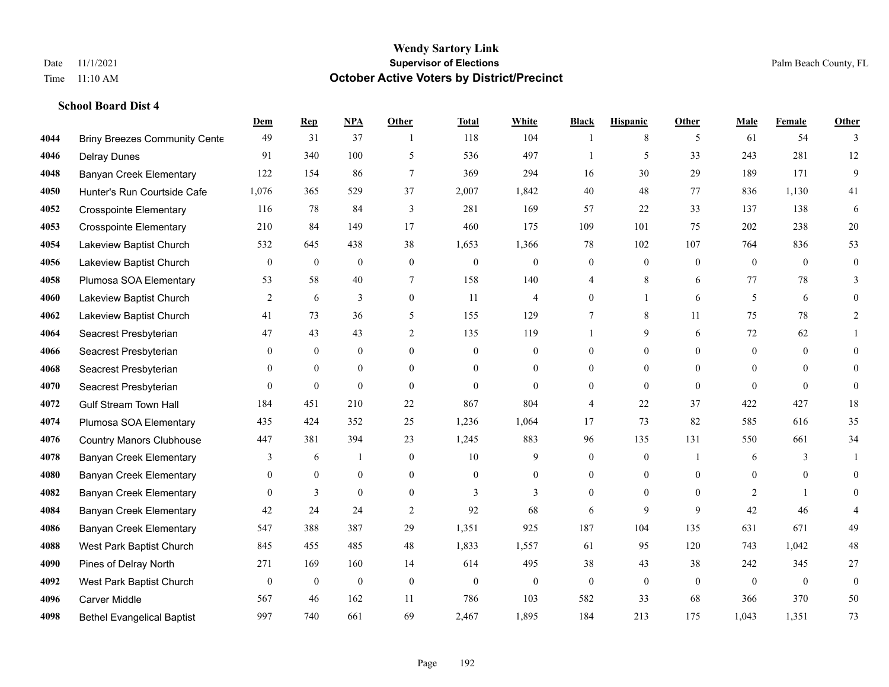|      |                                      | Dem          | <b>Rep</b>       | NPA              | <b>Other</b>   | <b>Total</b> | <b>White</b>     | <b>Black</b>     | <b>Hispanic</b>  | <b>Other</b>   | <b>Male</b>    | <b>Female</b>  | <b>Other</b>     |
|------|--------------------------------------|--------------|------------------|------------------|----------------|--------------|------------------|------------------|------------------|----------------|----------------|----------------|------------------|
| 4044 | <b>Briny Breezes Community Cente</b> | 49           | 31               | 37               | $\overline{1}$ | 118          | 104              | -1               | 8                | 5              | 61             | 54             | 3                |
| 4046 | <b>Delray Dunes</b>                  | 91           | 340              | 100              | 5              | 536          | 497              | -1               | 5                | 33             | 243            | 281            | 12               |
| 4048 | <b>Banyan Creek Elementary</b>       | 122          | 154              | 86               | $\tau$         | 369          | 294              | 16               | 30               | 29             | 189            | 171            | 9                |
| 4050 | Hunter's Run Courtside Cafe          | 1,076        | 365              | 529              | 37             | 2,007        | 1,842            | 40               | 48               | 77             | 836            | 1,130          | 41               |
| 4052 | <b>Crosspointe Elementary</b>        | 116          | 78               | 84               | 3              | 281          | 169              | 57               | 22               | 33             | 137            | 138            | 6                |
| 4053 | <b>Crosspointe Elementary</b>        | 210          | 84               | 149              | 17             | 460          | 175              | 109              | 101              | 75             | 202            | 238            | $20\,$           |
| 4054 | Lakeview Baptist Church              | 532          | 645              | 438              | 38             | 1,653        | 1,366            | 78               | 102              | 107            | 764            | 836            | 53               |
| 4056 | Lakeview Baptist Church              | $\Omega$     | $\mathbf{0}$     | $\overline{0}$   | $\Omega$       | $\theta$     | $\mathbf{0}$     | $\mathbf{0}$     | $\theta$         | $\theta$       | $\theta$       | $\theta$       | $\mathbf{0}$     |
| 4058 | Plumosa SOA Elementary               | 53           | 58               | 40               | $\tau$         | 158          | 140              | 4                | 8                | 6              | 77             | 78             | 3                |
| 4060 | Lakeview Baptist Church              | 2            | 6                | 3                | $\overline{0}$ | 11           | $\overline{4}$   | $\mathbf{0}$     | $\mathbf{1}$     | 6              | 5              | 6              | $\Omega$         |
| 4062 | Lakeview Baptist Church              | 41           | 73               | 36               | 5              | 155          | 129              | 7                | 8                | 11             | 75             | 78             | $\overline{2}$   |
| 4064 | Seacrest Presbyterian                | 47           | 43               | 43               | $\overline{2}$ | 135          | 119              | 1                | 9                | 6              | 72             | 62             |                  |
| 4066 | Seacrest Presbyterian                | $\mathbf{0}$ | $\mathbf{0}$     | $\overline{0}$   | $\Omega$       | $\theta$     | $\mathbf{0}$     | $\mathbf{0}$     | $\mathbf{0}$     | $\Omega$       | $\Omega$       | $\theta$       | $\Omega$         |
| 4068 | Seacrest Presbyterian                | $\mathbf{0}$ | $\mathbf{0}$     | $\boldsymbol{0}$ | $\overline{0}$ | $\mathbf{0}$ | $\mathbf{0}$     | $\boldsymbol{0}$ | $\boldsymbol{0}$ | $\mathbf{0}$   | $\overline{0}$ | $\mathbf{0}$   | $\Omega$         |
| 4070 | Seacrest Presbyterian                | $\theta$     | $\mathbf{0}$     | $\mathbf{0}$     | $\theta$       | $\theta$     | $\overline{0}$   | $\mathbf{0}$     | $\mathbf{0}$     | $\theta$       | $\theta$       | $\theta$       | $\mathbf{0}$     |
| 4072 | <b>Gulf Stream Town Hall</b>         | 184          | 451              | 210              | 22             | 867          | 804              | 4                | 22               | 37             | 422            | 427            | 18               |
| 4074 | Plumosa SOA Elementary               | 435          | 424              | 352              | 25             | 1,236        | 1,064            | 17               | 73               | 82             | 585            | 616            | 35               |
| 4076 | <b>Country Manors Clubhouse</b>      | 447          | 381              | 394              | 23             | 1,245        | 883              | 96               | 135              | 131            | 550            | 661            | 34               |
| 4078 | <b>Banyan Creek Elementary</b>       | 3            | 6                | $\mathbf{1}$     | $\overline{0}$ | 10           | 9                | $\mathbf{0}$     | $\mathbf{0}$     | $\overline{1}$ | 6              | 3              |                  |
| 4080 | <b>Banyan Creek Elementary</b>       | $\mathbf{0}$ | $\mathbf{0}$     | $\boldsymbol{0}$ | $\overline{0}$ | $\mathbf{0}$ | $\mathbf{0}$     | $\boldsymbol{0}$ | $\boldsymbol{0}$ | $\theta$       | $\mathbf{0}$   | $\mathbf{0}$   | $\overline{0}$   |
| 4082 | <b>Banyan Creek Elementary</b>       | $\theta$     | 3                | $\theta$         | $\Omega$       | 3            | 3                | $\mathbf{0}$     | $\theta$         | $\theta$       | 2              | $\mathbf{1}$   | $\Omega$         |
| 4084 | <b>Banyan Creek Elementary</b>       | 42           | 24               | 24               | $\overline{2}$ | 92           | 68               | 6                | 9                | 9              | 42             | 46             |                  |
| 4086 | <b>Banyan Creek Elementary</b>       | 547          | 388              | 387              | 29             | 1,351        | 925              | 187              | 104              | 135            | 631            | 671            | 49               |
| 4088 | West Park Baptist Church             | 845          | 455              | 485              | 48             | 1,833        | 1,557            | 61               | 95               | 120            | 743            | 1,042          | $48\,$           |
| 4090 | Pines of Delray North                | 271          | 169              | 160              | 14             | 614          | 495              | 38               | 43               | 38             | 242            | 345            | 27               |
| 4092 | West Park Baptist Church             | $\mathbf{0}$ | $\boldsymbol{0}$ | $\boldsymbol{0}$ | $\overline{0}$ | $\mathbf{0}$ | $\boldsymbol{0}$ | $\mathbf{0}$     | $\mathbf{0}$     | $\theta$       | $\theta$       | $\overline{0}$ | $\boldsymbol{0}$ |
| 4096 | Carver Middle                        | 567          | 46               | 162              | 11             | 786          | 103              | 582              | 33               | 68             | 366            | 370            | 50               |
| 4098 | <b>Bethel Evangelical Baptist</b>    | 997          | 740              | 661              | 69             | 2,467        | 1,895            | 184              | 213              | 175            | 1,043          | 1,351          | 73               |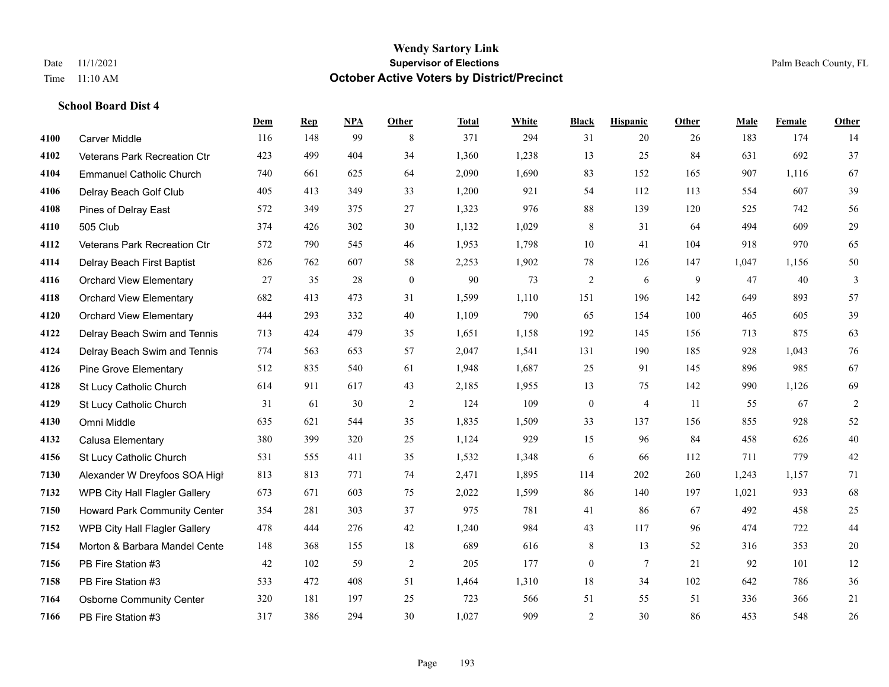**School Board Dist 4**

# **Wendy Sartory Link** Date 11/1/2021 **Supervisor of Elections** Palm Beach County, FL Time 11:10 AM **October Active Voters by District/Precinct**

|      |                                      | Dem | <b>Rep</b> | <b>NPA</b> | Other          | <b>Total</b> | White | <b>Black</b>     | <b>Hispanic</b> | Other | Male  | Female | Other          |
|------|--------------------------------------|-----|------------|------------|----------------|--------------|-------|------------------|-----------------|-------|-------|--------|----------------|
| 4100 | Carver Middle                        | 116 | 148        | 99         | 8              | 371          | 294   | 31               | 20              | 26    | 183   | 174    | 14             |
| 4102 | Veterans Park Recreation Ctr         | 423 | 499        | 404        | 34             | 1,360        | 1,238 | 13               | 25              | 84    | 631   | 692    | 37             |
| 4104 | <b>Emmanuel Catholic Church</b>      | 740 | 661        | 625        | 64             | 2,090        | 1,690 | 83               | 152             | 165   | 907   | 1,116  | 67             |
| 4106 | Delray Beach Golf Club               | 405 | 413        | 349        | 33             | 1,200        | 921   | 54               | 112             | 113   | 554   | 607    | 39             |
| 4108 | Pines of Delray East                 | 572 | 349        | 375        | 27             | 1,323        | 976   | 88               | 139             | 120   | 525   | 742    | 56             |
| 4110 | 505 Club                             | 374 | 426        | 302        | 30             | 1,132        | 1,029 | $\,8\,$          | 31              | 64    | 494   | 609    | 29             |
| 4112 | Veterans Park Recreation Ctr         | 572 | 790        | 545        | 46             | 1,953        | 1,798 | 10               | 41              | 104   | 918   | 970    | 65             |
| 4114 | Delray Beach First Baptist           | 826 | 762        | 607        | 58             | 2,253        | 1,902 | 78               | 126             | 147   | 1,047 | 1,156  | 50             |
| 4116 | <b>Orchard View Elementary</b>       | 27  | 35         | 28         | $\overline{0}$ | 90           | 73    | $\overline{2}$   | 6               | 9     | 47    | 40     | 3              |
| 4118 | <b>Orchard View Elementary</b>       | 682 | 413        | 473        | 31             | 1,599        | 1,110 | 151              | 196             | 142   | 649   | 893    | 57             |
| 4120 | <b>Orchard View Elementary</b>       | 444 | 293        | 332        | 40             | 1,109        | 790   | 65               | 154             | 100   | 465   | 605    | 39             |
| 4122 | Delray Beach Swim and Tennis         | 713 | 424        | 479        | 35             | 1,651        | 1,158 | 192              | 145             | 156   | 713   | 875    | 63             |
| 4124 | Delray Beach Swim and Tennis         | 774 | 563        | 653        | 57             | 2,047        | 1,541 | 131              | 190             | 185   | 928   | 1,043  | 76             |
| 4126 | <b>Pine Grove Elementary</b>         | 512 | 835        | 540        | 61             | 1,948        | 1,687 | 25               | 91              | 145   | 896   | 985    | 67             |
| 4128 | St Lucy Catholic Church              | 614 | 911        | 617        | 43             | 2,185        | 1,955 | 13               | 75              | 142   | 990   | 1,126  | 69             |
| 4129 | St Lucy Catholic Church              | 31  | 61         | 30         | 2              | 124          | 109   | $\boldsymbol{0}$ | 4               | 11    | 55    | 67     | $\overline{c}$ |
| 4130 | Omni Middle                          | 635 | 621        | 544        | 35             | 1,835        | 1,509 | 33               | 137             | 156   | 855   | 928    | 52             |
| 4132 | Calusa Elementary                    | 380 | 399        | 320        | 25             | 1,124        | 929   | 15               | 96              | 84    | 458   | 626    | 40             |
| 4156 | St Lucy Catholic Church              | 531 | 555        | 411        | 35             | 1,532        | 1,348 | 6                | 66              | 112   | 711   | 779    | 42             |
| 7130 | Alexander W Dreyfoos SOA High        | 813 | 813        | 771        | 74             | 2,471        | 1,895 | 114              | 202             | 260   | 1,243 | 1,157  | 71             |
| 7132 | <b>WPB City Hall Flagler Gallery</b> | 673 | 671        | 603        | 75             | 2,022        | 1,599 | 86               | 140             | 197   | 1,021 | 933    | 68             |
| 7150 | <b>Howard Park Community Center</b>  | 354 | 281        | 303        | 37             | 975          | 781   | 41               | 86              | 67    | 492   | 458    | 25             |
| 7152 | WPB City Hall Flagler Gallery        | 478 | 444        | 276        | 42             | 1,240        | 984   | 43               | 117             | 96    | 474   | 722    | 44             |
| 7154 | Morton & Barbara Mandel Cente        | 148 | 368        | 155        | 18             | 689          | 616   | 8                | 13              | 52    | 316   | 353    | 20             |
| 7156 | PB Fire Station #3                   | 42  | 102        | 59         | $\sqrt{2}$     | 205          | 177   | $\boldsymbol{0}$ | $\tau$          | 21    | 92    | 101    | 12             |
| 7158 | PB Fire Station #3                   | 533 | 472        | 408        | 51             | 1,464        | 1,310 | 18               | 34              | 102   | 642   | 786    | 36             |
| 7164 | <b>Osborne Community Center</b>      | 320 | 181        | 197        | 25             | 723          | 566   | 51               | 55              | 51    | 336   | 366    | 21             |
| 7166 | PB Fire Station #3                   | 317 | 386        | 294        | 30             | 1,027        | 909   | $\overline{2}$   | 30              | 86    | 453   | 548    | 26             |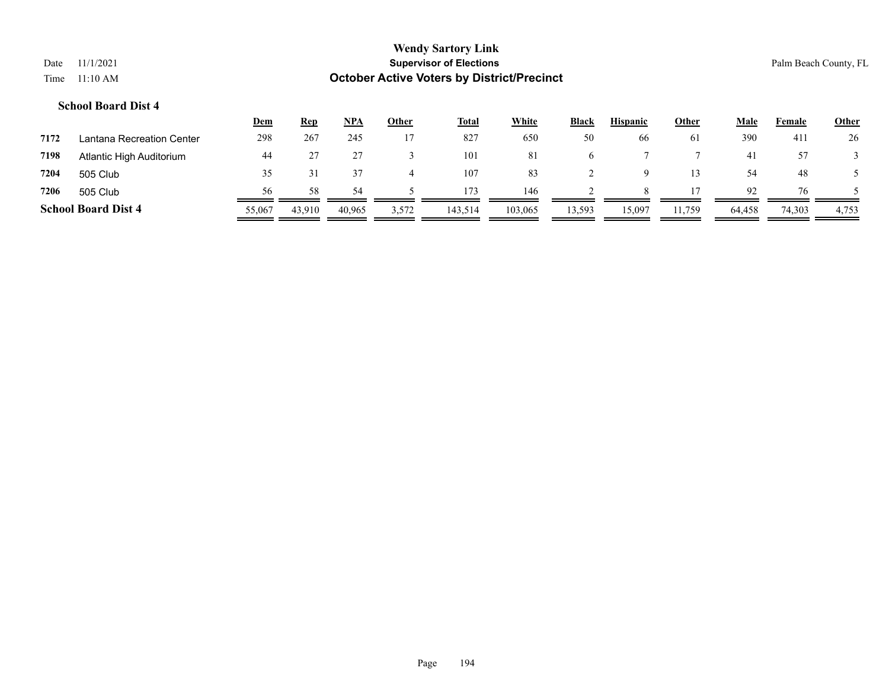|      |                            | <u>Dem</u> | <b>Rep</b> | NPA    | Other | <b>Total</b> | White   | <b>Black</b> | <b>Hispanic</b> | Other  | Male   | Female | <b>Other</b> |
|------|----------------------------|------------|------------|--------|-------|--------------|---------|--------------|-----------------|--------|--------|--------|--------------|
| 7172 | Lantana Recreation Center  | 298        | 267        | 245    |       | 827          | 650     | 50           | 66              | 61     | 390    | 411    | 26           |
| 7198 | Atlantic High Auditorium   | 44         |            |        |       | 101          | 81      | $\sigma$     |                 |        | 41     | 57     |              |
| 7204 | 505 Club                   | 35         |            |        | 4     | 107          | 83      |              |                 |        | 54     | 48     |              |
| 7206 | 505 Club                   | 56         | 58         | 54     |       | 173          | 146     |              |                 |        | 92     | 76     |              |
|      | <b>School Board Dist 4</b> | 55,067     | 43.910     | 40.965 | 3,572 | 143,514      | 103,065 | 13,593       | 15,097          | 11,759 | 64,458 | 74,303 | 4,753        |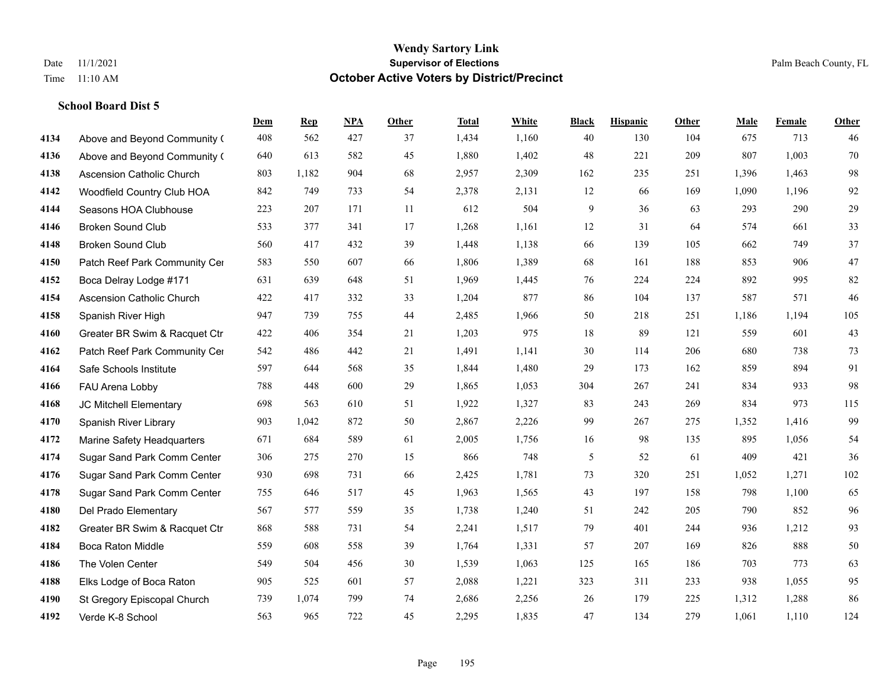**School Board Dist 5**

#### **Wendy Sartory Link** Date 11/1/2021 **Supervisor of Elections** Palm Beach County, FL Time 11:10 AM **October Active Voters by District/Precinct**

Above and Beyond Community Church 408 562 427 37 1,434 1,160 40 130 104 675 713 46

**Dem Rep NPA Other Total White Black Hispanic Other Male Female Other**

# Above and Beyond Community Church 640 613 582 45 1,880 1,402 48 221 209 807 1,003 70 Ascension Catholic Church 803 1,182 904 68 2,957 2,309 162 235 251 1,396 1,463 98 Woodfield Country Club HOA 842 749 733 54 2,378 2,131 12 66 169 1,090 1,196 92 Seasons HOA Clubhouse 223 207 171 11 612 504 9 36 63 293 290 29 Broken Sound Club 533 377 341 17 1,268 1,161 12 31 64 574 661 33 Broken Sound Club 560 417 432 39 1,448 1,138 66 139 105 662 749 37 4150 Patch Reef Park Community Center 583 550 607 66 1,806 1,389 68 161 188 853 906 47 Boca Delray Lodge #171 631 639 648 51 1,969 1,445 76 224 224 892 995 82 Ascension Catholic Church 422 417 332 33 1,204 877 86 104 137 587 571 46 Spanish River High 947 739 755 44 2,485 1,966 50 218 251 1,186 1,194 105 Greater BR Swim & Racquet Ctr 422 406 354 21 1,203 975 18 89 121 559 601 43 4162 Patch Reef Park Community Center 542 486 442 21 1,491 1,141 30 114 206 680 738 73 Safe Schools Institute 597 644 568 35 1,844 1,480 29 173 162 859 894 91 FAU Arena Lobby 788 448 600 29 1,865 1,053 304 267 241 834 933 98 JC Mitchell Elementary 698 563 610 51 1,922 1,327 83 243 269 834 973 115 Spanish River Library 903 1,042 872 50 2,867 2,226 99 267 275 1,352 1,416 99 Marine Safety Headquarters 671 684 589 61 2,005 1,756 16 98 135 895 1,056 54 Sugar Sand Park Comm Center 306 275 270 15 866 748 5 52 61 409 421 36 Sugar Sand Park Comm Center 930 698 731 66 2,425 1,781 73 320 251 1,052 1,271 102 Sugar Sand Park Comm Center 755 646 517 45 1,963 1,565 43 197 158 798 1,100 65 Del Prado Elementary 567 577 559 35 1,738 1,240 51 242 205 790 852 96 Greater BR Swim & Racquet Ctr 868 588 731 54 2,241 1,517 79 401 244 936 1,212 93 Boca Raton Middle 559 608 558 39 1,764 1,331 57 207 169 826 888 50

 The Volen Center 549 504 456 30 1,539 1,063 125 165 186 703 773 63 Elks Lodge of Boca Raton 905 525 601 57 2,088 1,221 323 311 233 938 1,055 95 St Gregory Episcopal Church 739 1,074 799 74 2,686 2,256 26 179 225 1,312 1,288 86 Verde K-8 School 563 965 722 45 2,295 1,835 47 134 279 1,061 1,110 124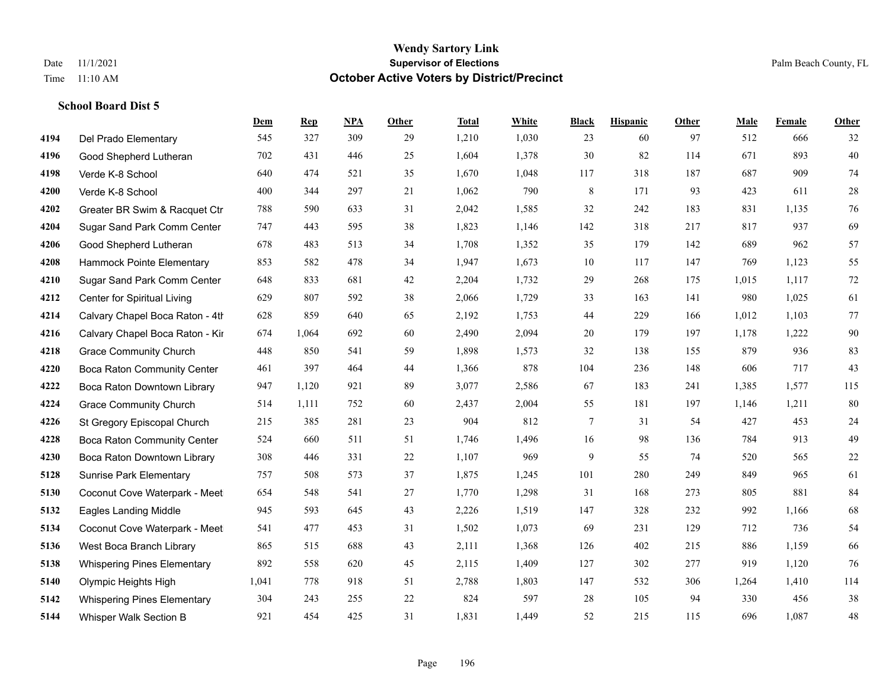|      |                                    | Dem   | <b>Rep</b> | NPA | <b>Other</b> | <b>Total</b> | <b>White</b> | <b>Black</b>   | <b>Hispanic</b> | <b>Other</b> | <b>Male</b> | Female | <b>Other</b> |
|------|------------------------------------|-------|------------|-----|--------------|--------------|--------------|----------------|-----------------|--------------|-------------|--------|--------------|
| 4194 | Del Prado Elementary               | 545   | 327        | 309 | 29           | 1,210        | 1,030        | 23             | 60              | 97           | 512         | 666    | 32           |
| 4196 | Good Shepherd Lutheran             | 702   | 431        | 446 | 25           | 1,604        | 1,378        | 30             | 82              | 114          | 671         | 893    | 40           |
| 4198 | Verde K-8 School                   | 640   | 474        | 521 | 35           | 1,670        | 1,048        | 117            | 318             | 187          | 687         | 909    | 74           |
| 4200 | Verde K-8 School                   | 400   | 344        | 297 | 21           | 1,062        | 790          | $\,8\,$        | 171             | 93           | 423         | 611    | $28\,$       |
| 4202 | Greater BR Swim & Racquet Ctr      | 788   | 590        | 633 | 31           | 2,042        | 1,585        | 32             | 242             | 183          | 831         | 1.135  | 76           |
| 4204 | Sugar Sand Park Comm Center        | 747   | 443        | 595 | 38           | 1,823        | 1,146        | 142            | 318             | 217          | 817         | 937    | 69           |
| 4206 | Good Shepherd Lutheran             | 678   | 483        | 513 | 34           | 1,708        | 1,352        | 35             | 179             | 142          | 689         | 962    | 57           |
| 4208 | Hammock Pointe Elementary          | 853   | 582        | 478 | 34           | 1,947        | 1,673        | 10             | 117             | 147          | 769         | 1,123  | 55           |
| 4210 | Sugar Sand Park Comm Center        | 648   | 833        | 681 | 42           | 2,204        | 1,732        | 29             | 268             | 175          | 1,015       | 1,117  | $72\,$       |
| 4212 | Center for Spiritual Living        | 629   | 807        | 592 | 38           | 2,066        | 1,729        | 33             | 163             | 141          | 980         | 1,025  | 61           |
| 4214 | Calvary Chapel Boca Raton - 4th    | 628   | 859        | 640 | 65           | 2,192        | 1,753        | 44             | 229             | 166          | 1,012       | 1,103  | 77           |
| 4216 | Calvary Chapel Boca Raton - Kir    | 674   | 1,064      | 692 | 60           | 2,490        | 2,094        | $20\,$         | 179             | 197          | 1,178       | 1,222  | $90\,$       |
| 4218 | <b>Grace Community Church</b>      | 448   | 850        | 541 | 59           | 1,898        | 1,573        | 32             | 138             | 155          | 879         | 936    | 83           |
| 4220 | Boca Raton Community Center        | 461   | 397        | 464 | 44           | 1,366        | 878          | 104            | 236             | 148          | 606         | 717    | 43           |
| 4222 | Boca Raton Downtown Library        | 947   | 1,120      | 921 | 89           | 3,077        | 2,586        | 67             | 183             | 241          | 1,385       | 1,577  | 115          |
| 4224 | <b>Grace Community Church</b>      | 514   | 1,111      | 752 | 60           | 2,437        | 2,004        | 55             | 181             | 197          | 1,146       | 1,211  | 80           |
| 4226 | St Gregory Episcopal Church        | 215   | 385        | 281 | 23           | 904          | 812          | $\overline{7}$ | 31              | 54           | 427         | 453    | 24           |
| 4228 | Boca Raton Community Center        | 524   | 660        | 511 | 51           | 1,746        | 1,496        | 16             | 98              | 136          | 784         | 913    | 49           |
| 4230 | Boca Raton Downtown Library        | 308   | 446        | 331 | 22           | 1,107        | 969          | 9              | 55              | 74           | 520         | 565    | $22\,$       |
| 5128 | <b>Sunrise Park Elementary</b>     | 757   | 508        | 573 | 37           | 1,875        | 1,245        | 101            | 280             | 249          | 849         | 965    | 61           |
| 5130 | Coconut Cove Waterpark - Meet      | 654   | 548        | 541 | 27           | 1,770        | 1,298        | 31             | 168             | 273          | 805         | 881    | 84           |
| 5132 | <b>Eagles Landing Middle</b>       | 945   | 593        | 645 | 43           | 2,226        | 1,519        | 147            | 328             | 232          | 992         | 1,166  | 68           |
| 5134 | Coconut Cove Waterpark - Meet      | 541   | 477        | 453 | 31           | 1,502        | 1,073        | 69             | 231             | 129          | 712         | 736    | 54           |
| 5136 | West Boca Branch Library           | 865   | 515        | 688 | 43           | 2,111        | 1,368        | 126            | 402             | 215          | 886         | 1,159  | 66           |
| 5138 | <b>Whispering Pines Elementary</b> | 892   | 558        | 620 | 45           | 2,115        | 1,409        | 127            | 302             | 277          | 919         | 1,120  | 76           |
| 5140 | Olympic Heights High               | 1,041 | 778        | 918 | 51           | 2,788        | 1,803        | 147            | 532             | 306          | 1,264       | 1,410  | 114          |
| 5142 | <b>Whispering Pines Elementary</b> | 304   | 243        | 255 | 22           | 824          | 597          | 28             | 105             | 94           | 330         | 456    | $38\,$       |
| 5144 | Whisper Walk Section B             | 921   | 454        | 425 | 31           | 1,831        | 1,449        | 52             | 215             | 115          | 696         | 1,087  | $48\,$       |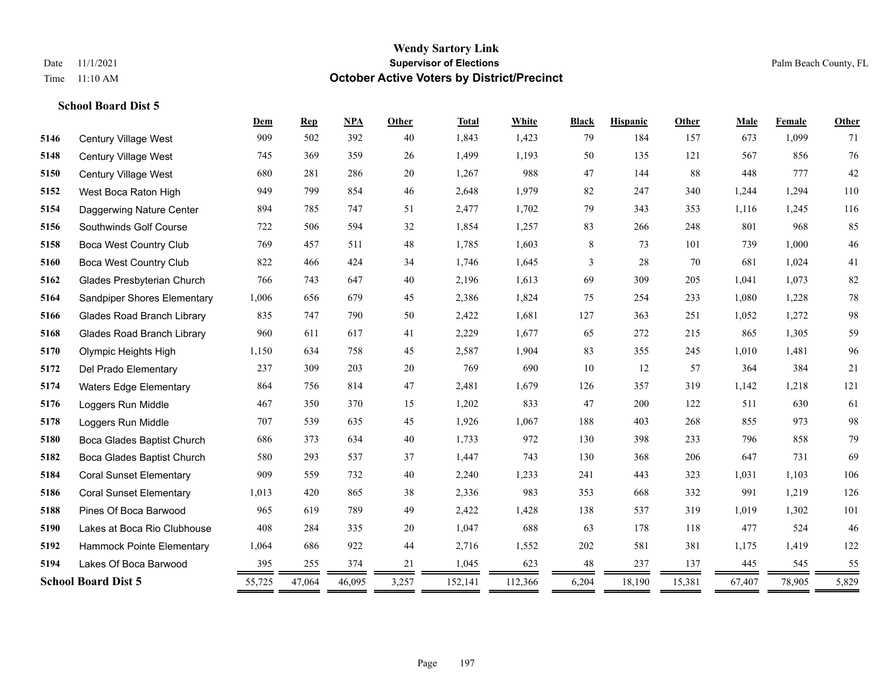|      |                                   | Dem    | <b>Rep</b> | NPA    | <b>Other</b> | <b>Total</b> | White   | <b>Black</b> | <b>Hispanic</b> | Other  | Male   | Female | Other  |
|------|-----------------------------------|--------|------------|--------|--------------|--------------|---------|--------------|-----------------|--------|--------|--------|--------|
| 5146 | <b>Century Village West</b>       | 909    | 502        | 392    | 40           | 1,843        | 1,423   | 79           | 184             | 157    | 673    | 1,099  | 71     |
| 5148 | Century Village West              | 745    | 369        | 359    | 26           | 1,499        | 1,193   | 50           | 135             | 121    | 567    | 856    | 76     |
| 5150 | Century Village West              | 680    | 281        | 286    | 20           | 1,267        | 988     | 47           | 144             | 88     | 448    | 777    | 42     |
| 5152 | West Boca Raton High              | 949    | 799        | 854    | 46           | 2,648        | 1,979   | 82           | 247             | 340    | 1,244  | 1,294  | 110    |
| 5154 | Daggerwing Nature Center          | 894    | 785        | 747    | 51           | 2,477        | 1,702   | 79           | 343             | 353    | 1,116  | 1,245  | 116    |
| 5156 | Southwinds Golf Course            | 722    | 506        | 594    | 32           | 1,854        | 1,257   | 83           | 266             | 248    | 801    | 968    | 85     |
| 5158 | <b>Boca West Country Club</b>     | 769    | 457        | 511    | 48           | 1,785        | 1,603   | $\,$ 8 $\,$  | 73              | 101    | 739    | 1,000  | $46\,$ |
| 5160 | <b>Boca West Country Club</b>     | 822    | 466        | 424    | 34           | 1,746        | 1,645   | 3            | 28              | 70     | 681    | 1,024  | 41     |
| 5162 | Glades Presbyterian Church        | 766    | 743        | 647    | 40           | 2,196        | 1,613   | 69           | 309             | 205    | 1,041  | 1,073  | 82     |
| 5164 | Sandpiper Shores Elementary       | 1,006  | 656        | 679    | 45           | 2,386        | 1,824   | 75           | 254             | 233    | 1,080  | 1,228  | $78\,$ |
| 5166 | <b>Glades Road Branch Library</b> | 835    | 747        | 790    | 50           | 2,422        | 1,681   | 127          | 363             | 251    | 1,052  | 1,272  | 98     |
| 5168 | <b>Glades Road Branch Library</b> | 960    | 611        | 617    | 41           | 2,229        | 1,677   | 65           | 272             | 215    | 865    | 1,305  | 59     |
| 5170 | Olympic Heights High              | 1,150  | 634        | 758    | 45           | 2,587        | 1,904   | 83           | 355             | 245    | 1,010  | 1,481  | 96     |
| 5172 | Del Prado Elementary              | 237    | 309        | 203    | 20           | 769          | 690     | 10           | 12              | 57     | 364    | 384    | 21     |
| 5174 | <b>Waters Edge Elementary</b>     | 864    | 756        | 814    | 47           | 2,481        | 1,679   | 126          | 357             | 319    | 1,142  | 1,218  | 121    |
| 5176 | Loggers Run Middle                | 467    | 350        | 370    | 15           | 1,202        | 833     | 47           | 200             | 122    | 511    | 630    | 61     |
| 5178 | Loggers Run Middle                | 707    | 539        | 635    | 45           | 1,926        | 1,067   | 188          | 403             | 268    | 855    | 973    | $98\,$ |
| 5180 | Boca Glades Baptist Church        | 686    | 373        | 634    | 40           | 1,733        | 972     | 130          | 398             | 233    | 796    | 858    | 79     |
| 5182 | Boca Glades Baptist Church        | 580    | 293        | 537    | 37           | 1,447        | 743     | 130          | 368             | 206    | 647    | 731    | 69     |
| 5184 | <b>Coral Sunset Elementary</b>    | 909    | 559        | 732    | 40           | 2,240        | 1,233   | 241          | 443             | 323    | 1,031  | 1,103  | 106    |
| 5186 | <b>Coral Sunset Elementary</b>    | 1,013  | 420        | 865    | 38           | 2,336        | 983     | 353          | 668             | 332    | 991    | 1,219  | 126    |
| 5188 | Pines Of Boca Barwood             | 965    | 619        | 789    | 49           | 2,422        | 1,428   | 138          | 537             | 319    | 1,019  | 1,302  | 101    |
| 5190 | Lakes at Boca Rio Clubhouse       | 408    | 284        | 335    | 20           | 1,047        | 688     | 63           | 178             | 118    | 477    | 524    | 46     |
| 5192 | Hammock Pointe Elementary         | 1,064  | 686        | 922    | 44           | 2,716        | 1,552   | 202          | 581             | 381    | 1,175  | 1,419  | 122    |
| 5194 | Lakes Of Boca Barwood             | 395    | 255        | 374    | 21           | 1,045        | 623     | 48           | 237             | 137    | 445    | 545    | 55     |
|      | <b>School Board Dist 5</b>        | 55,725 | 47,064     | 46,095 | 3,257        | 152,141      | 112,366 | 6,204        | 18,190          | 15,381 | 67,407 | 78,905 | 5,829  |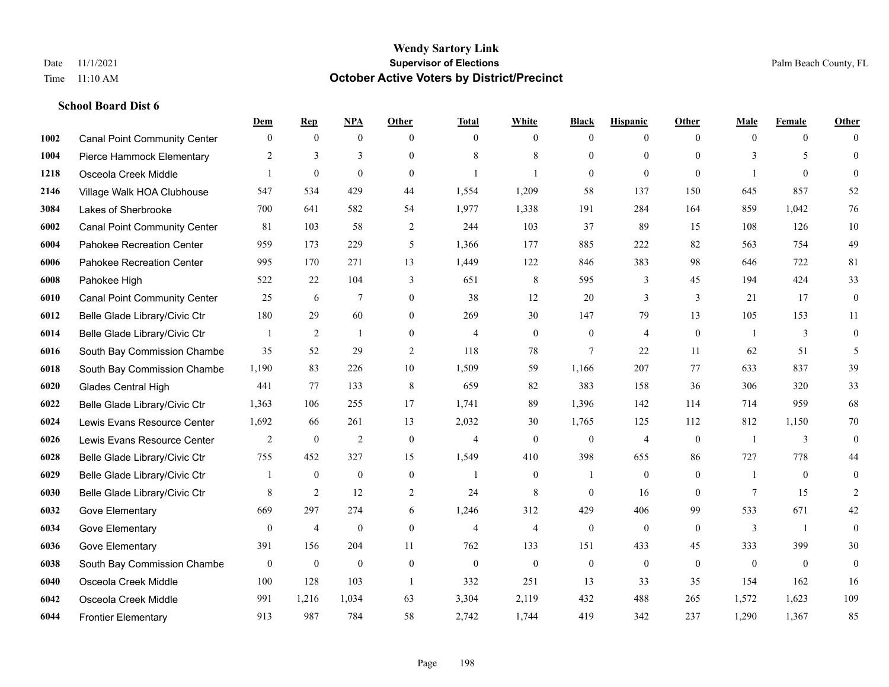|      |                                     | Dem              | <b>Rep</b>       | NPA              | <b>Other</b>   | <b>Total</b>   | <b>White</b>     | <b>Black</b>     | <b>Hispanic</b> | <b>Other</b>   | <b>Male</b>  | <b>Female</b>    | <b>Other</b>     |
|------|-------------------------------------|------------------|------------------|------------------|----------------|----------------|------------------|------------------|-----------------|----------------|--------------|------------------|------------------|
| 1002 | <b>Canal Point Community Center</b> | $\mathbf{0}$     | $\mathbf{0}$     | $\mathbf{0}$     | $\theta$       | $\theta$       | $\overline{0}$   | $\mathbf{0}$     | $\overline{0}$  | $\theta$       | $\theta$     | $\overline{0}$   | $\Omega$         |
| 1004 | Pierce Hammock Elementary           | 2                | 3                | 3                | $\Omega$       | 8              | 8                | $\mathbf{0}$     | $\mathbf{0}$    | $\theta$       | 3            | 5                | $\mathbf{0}$     |
| 1218 | Osceola Creek Middle                | $\mathbf{1}$     | $\mathbf{0}$     | $\theta$         | $\Omega$       |                | $\mathbf{1}$     | $\theta$         | $\theta$        | $\Omega$       | $\mathbf{1}$ | $\theta$         | $\theta$         |
| 2146 | Village Walk HOA Clubhouse          | 547              | 534              | 429              | 44             | 1,554          | 1,209            | 58               | 137             | 150            | 645          | 857              | 52               |
| 3084 | Lakes of Sherbrooke                 | 700              | 641              | 582              | 54             | 1,977          | 1,338            | 191              | 284             | 164            | 859          | 1.042            | 76               |
| 6002 | <b>Canal Point Community Center</b> | 81               | 103              | 58               | $\overline{2}$ | 244            | 103              | 37               | 89              | 15             | 108          | 126              | 10               |
| 6004 | Pahokee Recreation Center           | 959              | 173              | 229              | 5              | 1,366          | 177              | 885              | 222             | 82             | 563          | 754              | 49               |
| 6006 | Pahokee Recreation Center           | 995              | 170              | 271              | 13             | 1,449          | 122              | 846              | 383             | 98             | 646          | 722              | 81               |
| 6008 | Pahokee High                        | 522              | 22               | 104              | 3              | 651            | $\,$ 8 $\,$      | 595              | 3               | 45             | 194          | 424              | 33               |
| 6010 | <b>Canal Point Community Center</b> | 25               | 6                | 7                | $\overline{0}$ | 38             | 12               | 20               | 3               | 3              | 21           | 17               | $\boldsymbol{0}$ |
| 6012 | Belle Glade Library/Civic Ctr       | 180              | 29               | 60               | $\overline{0}$ | 269            | 30               | 147              | 79              | 13             | 105          | 153              | 11               |
| 6014 | Belle Glade Library/Civic Ctr       |                  | $\overline{2}$   | 1                | $\overline{0}$ | $\overline{4}$ | $\overline{0}$   | $\boldsymbol{0}$ | $\overline{4}$  | $\mathbf{0}$   |              | 3                | $\mathbf{0}$     |
| 6016 | South Bay Commission Chambe         | 35               | 52               | 29               | $\overline{2}$ | 118            | 78               | $\overline{7}$   | 22              | 11             | 62           | 51               | 5                |
| 6018 | South Bay Commission Chambe         | 1,190            | 83               | 226              | 10             | 1,509          | 59               | 1,166            | 207             | 77             | 633          | 837              | 39               |
| 6020 | Glades Central High                 | 441              | 77               | 133              | 8              | 659            | 82               | 383              | 158             | 36             | 306          | 320              | 33               |
| 6022 | Belle Glade Library/Civic Ctr       | 1,363            | 106              | 255              | 17             | 1,741          | 89               | 1,396            | 142             | 114            | 714          | 959              | 68               |
| 6024 | Lewis Evans Resource Center         | 1,692            | 66               | 261              | 13             | 2,032          | 30               | 1,765            | 125             | 112            | 812          | 1,150            | 70               |
| 6026 | Lewis Evans Resource Center         | 2                | $\boldsymbol{0}$ | $\overline{2}$   | $\mathbf{0}$   | $\overline{4}$ | $\overline{0}$   | $\mathbf{0}$     | 4               | $\overline{0}$ | -1           | 3                | $\boldsymbol{0}$ |
| 6028 | Belle Glade Library/Civic Ctr       | 755              | 452              | 327              | 15             | 1,549          | 410              | 398              | 655             | 86             | 727          | 778              | 44               |
| 6029 | Belle Glade Library/Civic Ctr       |                  | $\mathbf{0}$     | $\mathbf{0}$     | $\mathbf{0}$   | $\mathbf{1}$   | $\overline{0}$   | $\mathbf{1}$     | $\mathbf{0}$    | $\theta$       | -1           | $\theta$         | $\mathbf{0}$     |
| 6030 | Belle Glade Library/Civic Ctr       | 8                | 2                | 12               | 2              | 24             | 8                | $\theta$         | 16              | $\Omega$       | $\tau$       | 15               | $\overline{2}$   |
| 6032 | Gove Elementary                     | 669              | 297              | 274              | 6              | 1,246          | 312              | 429              | 406             | 99             | 533          | 671              | 42               |
| 6034 | Gove Elementary                     | $\mathbf{0}$     | $\overline{4}$   | $\mathbf{0}$     | $\mathbf{0}$   | $\overline{4}$ | $\overline{4}$   | $\mathbf{0}$     | $\mathbf{0}$    | $\theta$       | 3            | -1               | $\mathbf{0}$     |
| 6036 | Gove Elementary                     | 391              | 156              | 204              | 11             | 762            | 133              | 151              | 433             | 45             | 333          | 399              | 30               |
| 6038 | South Bay Commission Chambe         | $\boldsymbol{0}$ | $\boldsymbol{0}$ | $\boldsymbol{0}$ | $\mathbf{0}$   | $\mathbf{0}$   | $\boldsymbol{0}$ | $\boldsymbol{0}$ | $\mathbf{0}$    | $\mathbf{0}$   | $\mathbf{0}$ | $\boldsymbol{0}$ | $\mathbf{0}$     |
| 6040 | Osceola Creek Middle                | 100              | 128              | 103              | $\overline{1}$ | 332            | 251              | 13               | 33              | 35             | 154          | 162              | 16               |
| 6042 | Osceola Creek Middle                | 991              | 1,216            | 1,034            | 63             | 3,304          | 2,119            | 432              | 488             | 265            | 1,572        | 1,623            | 109              |
| 6044 | <b>Frontier Elementary</b>          | 913              | 987              | 784              | 58             | 2,742          | 1,744            | 419              | 342             | 237            | 1,290        | 1,367            | 85               |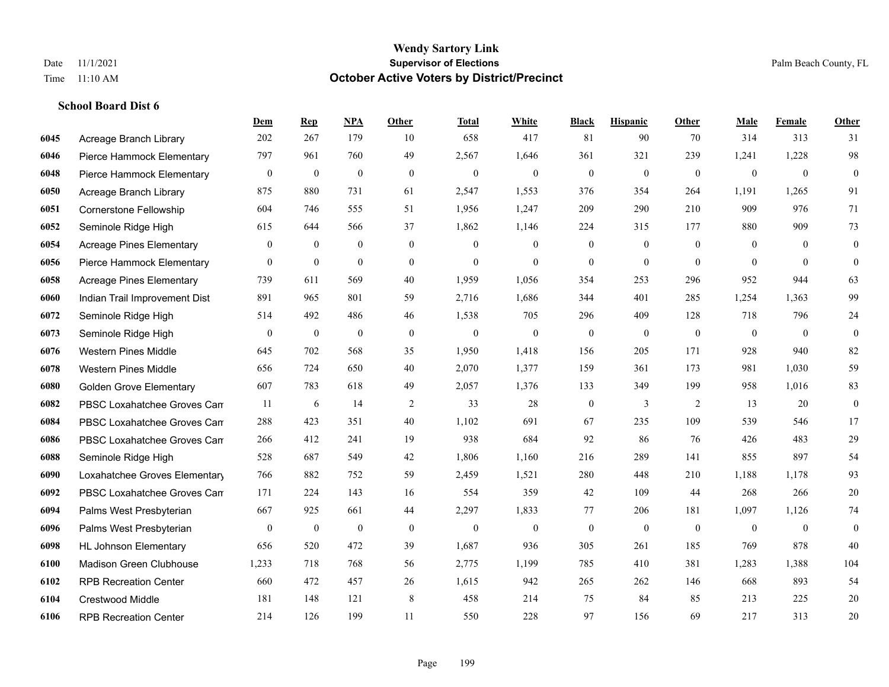|      |                                 | Dem            | <b>Rep</b>       | NPA              | <b>Other</b>     | <b>Total</b> | <b>White</b>   | <b>Black</b>     | <b>Hispanic</b>  | <b>Other</b>   | <b>Male</b>  | Female         | <b>Other</b>     |
|------|---------------------------------|----------------|------------------|------------------|------------------|--------------|----------------|------------------|------------------|----------------|--------------|----------------|------------------|
| 6045 | Acreage Branch Library          | 202            | 267              | 179              | 10               | 658          | 417            | 81               | 90               | 70             | 314          | 313            | 31               |
| 6046 | Pierce Hammock Elementary       | 797            | 961              | 760              | 49               | 2,567        | 1,646          | 361              | 321              | 239            | 1,241        | 1,228          | 98               |
| 6048 | Pierce Hammock Elementary       | $\mathbf{0}$   | $\mathbf{0}$     | $\mathbf{0}$     | $\mathbf{0}$     | $\mathbf{0}$ | $\mathbf{0}$   | $\mathbf{0}$     | $\mathbf{0}$     | $\theta$       | $\mathbf{0}$ | $\mathbf{0}$   | $\mathbf{0}$     |
| 6050 | Acreage Branch Library          | 875            | 880              | 731              | 61               | 2,547        | 1,553          | 376              | 354              | 264            | 1,191        | 1,265          | 91               |
| 6051 | <b>Cornerstone Fellowship</b>   | 604            | 746              | 555              | 51               | 1,956        | 1,247          | 209              | 290              | 210            | 909          | 976            | 71               |
| 6052 | Seminole Ridge High             | 615            | 644              | 566              | 37               | 1,862        | 1,146          | 224              | 315              | 177            | 880          | 909            | 73               |
| 6054 | <b>Acreage Pines Elementary</b> | $\mathbf{0}$   | $\boldsymbol{0}$ | $\boldsymbol{0}$ | $\boldsymbol{0}$ | $\mathbf{0}$ | $\mathbf{0}$   | $\boldsymbol{0}$ | $\boldsymbol{0}$ | $\mathbf{0}$   | $\mathbf{0}$ | $\theta$       | $\boldsymbol{0}$ |
| 6056 | Pierce Hammock Elementary       | $\theta$       | $\mathbf{0}$     | $\mathbf{0}$     | $\mathbf{0}$     | $\theta$     | $\overline{0}$ | $\mathbf{0}$     | $\mathbf{0}$     | $\theta$       | $\theta$     | $\theta$       | $\mathbf{0}$     |
| 6058 | <b>Acreage Pines Elementary</b> | 739            | 611              | 569              | 40               | 1,959        | 1,056          | 354              | 253              | 296            | 952          | 944            | 63               |
| 6060 | Indian Trail Improvement Dist   | 891            | 965              | 801              | 59               | 2,716        | 1,686          | 344              | 401              | 285            | 1,254        | 1.363          | 99               |
| 6072 | Seminole Ridge High             | 514            | 492              | 486              | 46               | 1,538        | 705            | 296              | 409              | 128            | 718          | 796            | 24               |
| 6073 | Seminole Ridge High             | $\overline{0}$ | $\boldsymbol{0}$ | $\boldsymbol{0}$ | $\mathbf{0}$     | $\mathbf{0}$ | $\mathbf{0}$   | $\boldsymbol{0}$ | $\mathbf{0}$     | $\mathbf{0}$   | $\theta$     | $\mathbf{0}$   | $\mathbf{0}$     |
| 6076 | <b>Western Pines Middle</b>     | 645            | 702              | 568              | 35               | 1,950        | 1,418          | 156              | 205              | 171            | 928          | 940            | 82               |
| 6078 | <b>Western Pines Middle</b>     | 656            | 724              | 650              | 40               | 2,070        | 1,377          | 159              | 361              | 173            | 981          | 1,030          | 59               |
| 6080 | <b>Golden Grove Elementary</b>  | 607            | 783              | 618              | 49               | 2,057        | 1,376          | 133              | 349              | 199            | 958          | 1,016          | 83               |
| 6082 | PBSC Loxahatchee Groves Can     | 11             | 6                | 14               | 2                | 33           | 28             | $\boldsymbol{0}$ | 3                | 2              | 13           | 20             | $\boldsymbol{0}$ |
| 6084 | PBSC Loxahatchee Groves Can     | 288            | 423              | 351              | 40               | 1,102        | 691            | 67               | 235              | 109            | 539          | 546            | 17               |
| 6086 | PBSC Loxahatchee Groves Can     | 266            | 412              | 241              | 19               | 938          | 684            | 92               | 86               | 76             | 426          | 483            | $29\,$           |
| 6088 | Seminole Ridge High             | 528            | 687              | 549              | 42               | 1,806        | 1,160          | 216              | 289              | 141            | 855          | 897            | 54               |
| 6090 | Loxahatchee Groves Elementary   | 766            | 882              | 752              | 59               | 2,459        | 1,521          | 280              | 448              | 210            | 1,188        | 1,178          | 93               |
| 6092 | PBSC Loxahatchee Groves Can     | 171            | 224              | 143              | 16               | 554          | 359            | 42               | 109              | 44             | 268          | 266            | $20\,$           |
| 6094 | Palms West Presbyterian         | 667            | 925              | 661              | 44               | 2,297        | 1,833          | 77               | 206              | 181            | 1,097        | 1,126          | 74               |
| 6096 | Palms West Presbyterian         | $\overline{0}$ | $\boldsymbol{0}$ | $\boldsymbol{0}$ | $\theta$         | $\mathbf{0}$ | $\mathbf{0}$   | $\boldsymbol{0}$ | $\mathbf{0}$     | $\overline{0}$ | $\mathbf{0}$ | $\overline{0}$ | $\boldsymbol{0}$ |
| 6098 | <b>HL Johnson Elementary</b>    | 656            | 520              | 472              | 39               | 1,687        | 936            | 305              | 261              | 185            | 769          | 878            | 40               |
| 6100 | Madison Green Clubhouse         | 1,233          | 718              | 768              | 56               | 2,775        | 1,199          | 785              | 410              | 381            | 1,283        | 1,388          | 104              |
| 6102 | <b>RPB Recreation Center</b>    | 660            | 472              | 457              | 26               | 1,615        | 942            | 265              | 262              | 146            | 668          | 893            | 54               |
| 6104 | <b>Crestwood Middle</b>         | 181            | 148              | 121              | 8                | 458          | 214            | 75               | 84               | 85             | 213          | 225            | $20\,$           |
| 6106 | <b>RPB Recreation Center</b>    | 214            | 126              | 199              | 11               | 550          | 228            | 97               | 156              | 69             | 217          | 313            | 20               |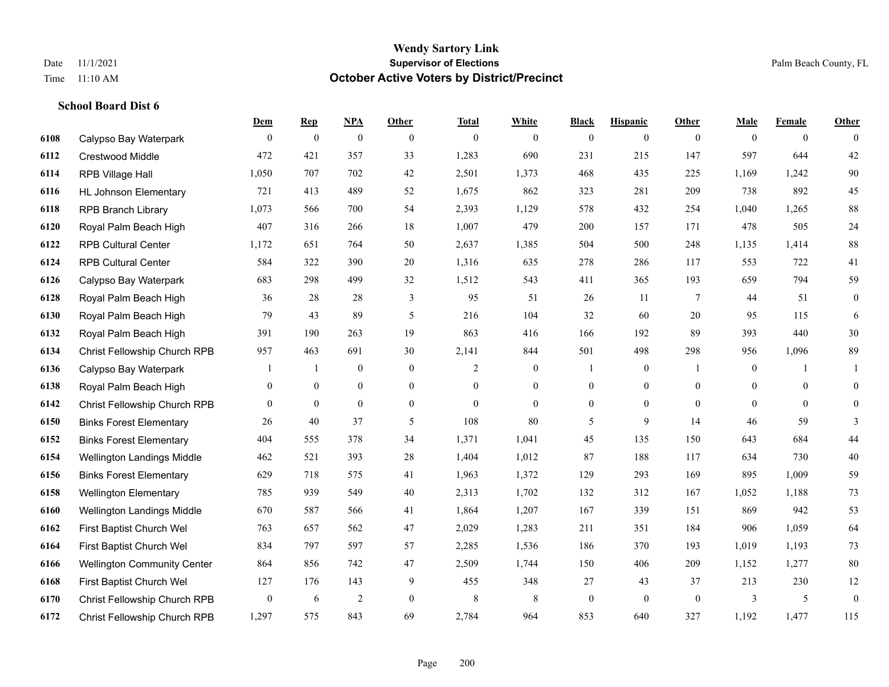|      |                                    | Dem              | <b>Rep</b>       | NPA              | <b>Other</b>   | <b>Total</b> | <b>White</b>     | <b>Black</b>     | <b>Hispanic</b>  | <b>Other</b>   | <b>Male</b>    | <b>Female</b>  | <b>Other</b>     |
|------|------------------------------------|------------------|------------------|------------------|----------------|--------------|------------------|------------------|------------------|----------------|----------------|----------------|------------------|
| 6108 | Calypso Bay Waterpark              | $\mathbf{0}$     | $\boldsymbol{0}$ | $\boldsymbol{0}$ | $\overline{0}$ | $\mathbf{0}$ | $\overline{0}$   | $\mathbf{0}$     | $\mathbf{0}$     | $\overline{0}$ | $\mathbf{0}$   | $\overline{0}$ | $\theta$         |
| 6112 | <b>Crestwood Middle</b>            | 472              | 421              | 357              | 33             | 1,283        | 690              | 231              | 215              | 147            | 597            | 644            | $42\,$           |
| 6114 | RPB Village Hall                   | 1,050            | 707              | 702              | 42             | 2,501        | 1,373            | 468              | 435              | 225            | 1,169          | 1,242          | $90\,$           |
| 6116 | <b>HL Johnson Elementary</b>       | 721              | 413              | 489              | 52             | 1,675        | 862              | 323              | 281              | 209            | 738            | 892            | 45               |
| 6118 | <b>RPB Branch Library</b>          | 1,073            | 566              | 700              | 54             | 2,393        | 1,129            | 578              | 432              | 254            | 1,040          | 1,265          | $\bf 88$         |
| 6120 | Royal Palm Beach High              | 407              | 316              | 266              | 18             | 1,007        | 479              | 200              | 157              | 171            | 478            | 505            | $24\,$           |
| 6122 | <b>RPB Cultural Center</b>         | 1,172            | 651              | 764              | 50             | 2,637        | 1,385            | 504              | 500              | 248            | 1,135          | 1,414          | $88\,$           |
| 6124 | <b>RPB Cultural Center</b>         | 584              | 322              | 390              | 20             | 1,316        | 635              | 278              | 286              | 117            | 553            | 722            | 41               |
| 6126 | Calypso Bay Waterpark              | 683              | 298              | 499              | 32             | 1,512        | 543              | 411              | 365              | 193            | 659            | 794            | 59               |
| 6128 | Royal Palm Beach High              | 36               | 28               | 28               | 3              | 95           | 51               | 26               | 11               | 7              | 44             | 51             | $\boldsymbol{0}$ |
| 6130 | Royal Palm Beach High              | 79               | 43               | 89               | 5              | 216          | 104              | 32               | 60               | 20             | 95             | 115            | 6                |
| 6132 | Royal Palm Beach High              | 391              | 190              | 263              | 19             | 863          | 416              | 166              | 192              | 89             | 393            | 440            | $30\,$           |
| 6134 | Christ Fellowship Church RPB       | 957              | 463              | 691              | 30             | 2,141        | 844              | 501              | 498              | 298            | 956            | 1,096          | 89               |
| 6136 | Calypso Bay Waterpark              |                  | 1                | $\boldsymbol{0}$ | $\mathbf{0}$   | 2            | $\boldsymbol{0}$ |                  | $\boldsymbol{0}$ | -1             | $\mathbf{0}$   | -1             | 1                |
| 6138 | Royal Palm Beach High              | $\overline{0}$   | $\mathbf{0}$     | $\overline{0}$   | $\overline{0}$ | $\theta$     | $\overline{0}$   | $\boldsymbol{0}$ | $\overline{0}$   | $\theta$       | $\overline{0}$ | $\mathbf{0}$   | $\mathbf{0}$     |
| 6142 | Christ Fellowship Church RPB       | $\mathbf{0}$     | $\mathbf{0}$     | $\overline{0}$   | $\overline{0}$ | $\theta$     | $\overline{0}$   | $\mathbf{0}$     | $\mathbf{0}$     | $\theta$       | $\mathbf{0}$   | $\theta$       | $\mathbf{0}$     |
| 6150 | <b>Binks Forest Elementary</b>     | 26               | 40               | 37               | 5              | 108          | 80               | 5                | 9                | 14             | 46             | 59             | 3                |
| 6152 | <b>Binks Forest Elementary</b>     | 404              | 555              | 378              | 34             | 1,371        | 1,041            | 45               | 135              | 150            | 643            | 684            | 44               |
| 6154 | Wellington Landings Middle         | 462              | 521              | 393              | 28             | 1,404        | 1,012            | 87               | 188              | 117            | 634            | 730            | 40               |
| 6156 | <b>Binks Forest Elementary</b>     | 629              | 718              | 575              | 41             | 1,963        | 1,372            | 129              | 293              | 169            | 895            | 1,009          | 59               |
| 6158 | <b>Wellington Elementary</b>       | 785              | 939              | 549              | 40             | 2,313        | 1,702            | 132              | 312              | 167            | 1,052          | 1,188          | 73               |
| 6160 | <b>Wellington Landings Middle</b>  | 670              | 587              | 566              | 41             | 1,864        | 1,207            | 167              | 339              | 151            | 869            | 942            | 53               |
| 6162 | First Baptist Church Wel           | 763              | 657              | 562              | 47             | 2,029        | 1,283            | 211              | 351              | 184            | 906            | 1,059          | 64               |
| 6164 | First Baptist Church Wel           | 834              | 797              | 597              | 57             | 2,285        | 1,536            | 186              | 370              | 193            | 1,019          | 1,193          | 73               |
| 6166 | <b>Wellington Community Center</b> | 864              | 856              | 742              | 47             | 2,509        | 1,744            | 150              | 406              | 209            | 1,152          | 1,277          | $80\,$           |
| 6168 | First Baptist Church Wel           | 127              | 176              | 143              | 9              | 455          | 348              | 27               | 43               | 37             | 213            | 230            | 12               |
| 6170 | Christ Fellowship Church RPB       | $\boldsymbol{0}$ | 6                | $\overline{2}$   | $\overline{0}$ | 8            | $\,$ 8 $\,$      | $\boldsymbol{0}$ | $\mathbf{0}$     | $\mathbf{0}$   | 3              | 5              | $\boldsymbol{0}$ |
| 6172 | Christ Fellowship Church RPB       | 1,297            | 575              | 843              | 69             | 2,784        | 964              | 853              | 640              | 327            | 1,192          | 1,477          | 115              |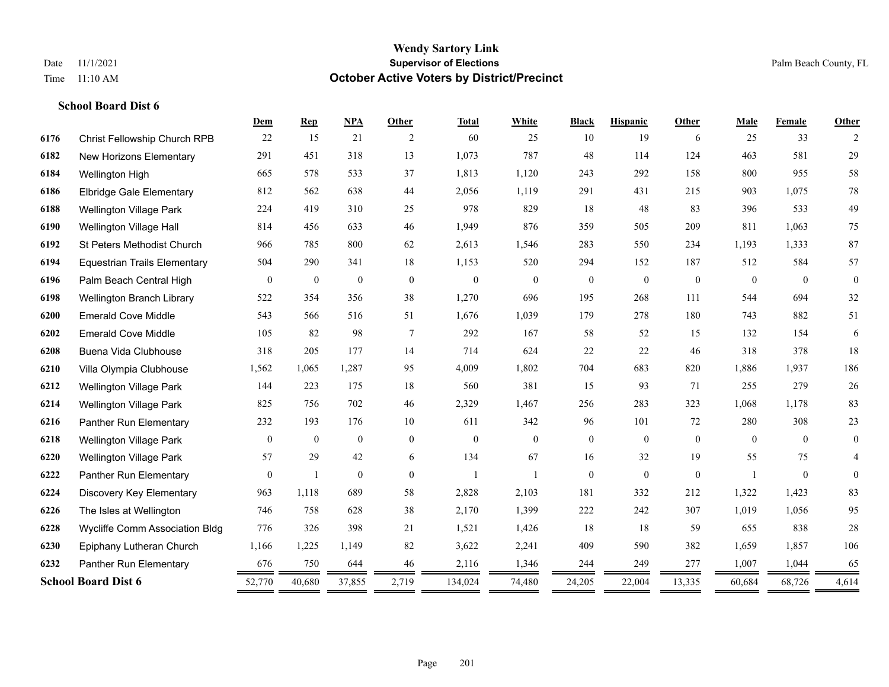**School Board Dist 6**

#### **Wendy Sartory Link** Date 11/1/2021 **Supervisor of Elections** Palm Beach County, FL Time 11:10 AM **October Active Voters by District/Precinct**

# **Dem Rep NPA Other Total White Black Hispanic Other Male Female Other** Christ Fellowship Church RPB 22 15 21 2 60 25 10 19 6 25 33 2 New Horizons Elementary 291 451 318 13 1,073 787 48 114 124 463 581 29 Wellington High 665 578 533 37 1,813 1,120 243 292 158 800 955 58 Elbridge Gale Elementary 812 562 638 44 2,056 1,119 291 431 215 903 1,075 78 Wellington Village Park 224 419 310 25 978 829 18 48 83 396 533 49 Wellington Village Hall 814 456 633 46 1,949 876 359 505 209 811 1,063 75 St Peters Methodist Church 966 785 800 62 2,613 1,546 283 550 234 1,193 1,333 87 Equestrian Trails Elementary 504 290 341 18 1,153 520 294 152 187 512 584 57 Palm Beach Central High 0 0 0 0 0 0 0 0 0 0 0 0 Wellington Branch Library 522 354 356 38 1,270 696 195 268 111 544 694 32 Emerald Cove Middle 543 566 516 51 1,676 1,039 179 278 180 743 882 51 Emerald Cove Middle 105 82 98 7 292 167 58 52 15 132 154 6 Buena Vida Clubhouse 318 205 177 14 714 624 22 22 46 318 378 18 Villa Olympia Clubhouse 1,562 1,065 1,287 95 4,009 1,802 704 683 820 1,886 1,937 186 Wellington Village Park 144 223 175 18 560 381 15 93 71 255 279 26 Wellington Village Park 825 756 702 46 2,329 1,467 256 283 323 1,068 1,178 83 Panther Run Elementary 232 193 176 10 611 342 96 101 72 280 308 23 Wellington Village Park 0 0 0 0 0 0 0 0 0 0 0 0 Wellington Village Park 57 29 42 6 134 67 16 32 19 55 75 4 Panther Run Elementary 0 1 0 0 1 1 0 0 0 1 0 0 Discovery Key Elementary 963 1,118 689 58 2,828 2,103 181 332 212 1,322 1,423 83 The Isles at Wellington 746 758 628 38 2,170 1,399 222 242 307 1,019 1,056 95 Wycliffe Comm Association Bldg 776 326 398 21 1,521 1,426 18 18 59 655 838 28 Epiphany Lutheran Church 1,166 1,225 1,149 82 3,622 2,241 409 590 382 1,659 1,857 106 Panther Run Elementary 676 750 644 46 2,116 1,346 244 249 277 1,007 1,044 65 **School Board Dist 6** 52,770 40,680 37,855 2,719 134,024 74,480 24,205 22,004 13,335 60,684 68,726 4,614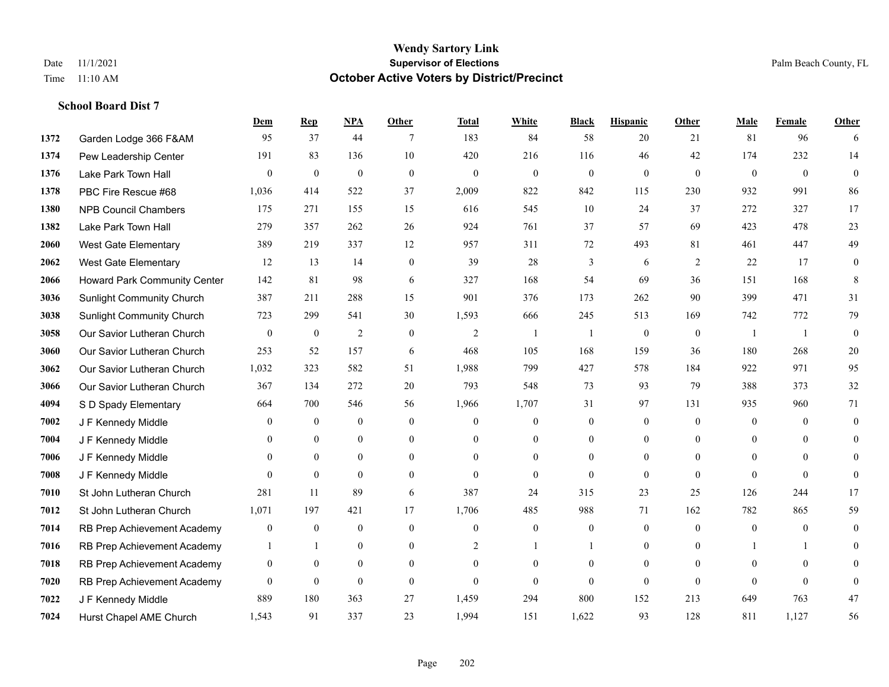|      |                                     | Dem              | <b>Rep</b>       | NPA              | <b>Other</b> | <b>Total</b>   | <b>White</b>     | <b>Black</b>     | <b>Hispanic</b>  | <b>Other</b> | <b>Male</b>    | <b>Female</b>  | <b>Other</b>   |
|------|-------------------------------------|------------------|------------------|------------------|--------------|----------------|------------------|------------------|------------------|--------------|----------------|----------------|----------------|
| 1372 | Garden Lodge 366 F&AM               | 95               | 37               | 44               | 7            | 183            | 84               | 58               | 20               | 21           | 81             | 96             | 6              |
| 1374 | Pew Leadership Center               | 191              | 83               | 136              | 10           | 420            | 216              | 116              | 46               | 42           | 174            | 232            | 14             |
| 1376 | Lake Park Town Hall                 | $\theta$         | $\mathbf{0}$     | $\mathbf{0}$     | $\mathbf{0}$ | $\mathbf{0}$   | $\mathbf{0}$     | $\mathbf{0}$     | $\overline{0}$   | $\theta$     | $\overline{0}$ | $\theta$       | $\theta$       |
| 1378 | PBC Fire Rescue #68                 | 1,036            | 414              | 522              | 37           | 2,009          | 822              | 842              | 115              | 230          | 932            | 991            | 86             |
| 1380 | <b>NPB Council Chambers</b>         | 175              | 271              | 155              | 15           | 616            | 545              | 10               | 24               | 37           | 272            | 327            | 17             |
| 1382 | Lake Park Town Hall                 | 279              | 357              | 262              | 26           | 924            | 761              | 37               | 57               | 69           | 423            | 478            | 23             |
| 2060 | <b>West Gate Elementary</b>         | 389              | 219              | 337              | 12           | 957            | 311              | $72\,$           | 493              | 81           | 461            | 447            | 49             |
| 2062 | West Gate Elementary                | 12               | 13               | 14               | $\mathbf{0}$ | 39             | 28               | 3                | 6                | 2            | 22             | 17             | $\mathbf{0}$   |
| 2066 | <b>Howard Park Community Center</b> | 142              | 81               | 98               | 6            | 327            | 168              | 54               | 69               | 36           | 151            | 168            | 8              |
| 3036 | <b>Sunlight Community Church</b>    | 387              | 211              | 288              | 15           | 901            | 376              | 173              | 262              | 90           | 399            | 471            | 31             |
| 3038 | <b>Sunlight Community Church</b>    | 723              | 299              | 541              | 30           | 1,593          | 666              | 245              | 513              | 169          | 742            | 772            | 79             |
| 3058 | Our Savior Lutheran Church          | $\mathbf{0}$     | $\boldsymbol{0}$ | $\overline{2}$   | $\mathbf{0}$ | $\overline{2}$ | 1                | $\overline{1}$   | $\boldsymbol{0}$ | $\mathbf{0}$ | -1             | $\overline{1}$ | $\mathbf{0}$   |
| 3060 | Our Savior Lutheran Church          | 253              | 52               | 157              | 6            | 468            | 105              | 168              | 159              | 36           | 180            | 268            | $20\,$         |
| 3062 | Our Savior Lutheran Church          | 1,032            | 323              | 582              | 51           | 1,988          | 799              | 427              | 578              | 184          | 922            | 971            | 95             |
| 3066 | Our Savior Lutheran Church          | 367              | 134              | 272              | 20           | 793            | 548              | 73               | 93               | 79           | 388            | 373            | $32\,$         |
| 4094 | S D Spady Elementary                | 664              | 700              | 546              | 56           | 1,966          | 1,707            | 31               | 97               | 131          | 935            | 960            | 71             |
| 7002 | J F Kennedy Middle                  | $\mathbf{0}$     | $\boldsymbol{0}$ | $\boldsymbol{0}$ | $\mathbf{0}$ | $\theta$       | $\boldsymbol{0}$ | $\boldsymbol{0}$ | $\overline{0}$   | $\mathbf{0}$ | $\mathbf{0}$   | $\mathbf{0}$   | $\overline{0}$ |
| 7004 | J F Kennedy Middle                  | $\theta$         | $\overline{0}$   | $\mathbf{0}$     | $\mathbf{0}$ | $\Omega$       | 0                | 0                | $\overline{0}$   | $\theta$     | $\theta$       | $\theta$       | $\mathbf{0}$   |
| 7006 | J F Kennedy Middle                  | $\mathbf{0}$     | $\mathbf{0}$     | $\mathbf{0}$     | $\theta$     | $\theta$       | $\overline{0}$   | $\overline{0}$   | $\overline{0}$   | $\theta$     | $\theta$       | $\theta$       | 0              |
| 7008 | J F Kennedy Middle                  | $\Omega$         | $\theta$         | $\theta$         | $\theta$     | $\theta$       | $\Omega$         | $\theta$         | $\Omega$         | $\theta$     | $\theta$       | $\theta$       | $\theta$       |
| 7010 | St John Lutheran Church             | 281              | 11               | 89               | 6            | 387            | 24               | 315              | 23               | 25           | 126            | 244            | 17             |
| 7012 | St John Lutheran Church             | 1,071            | 197              | 421              | 17           | 1,706          | 485              | 988              | 71               | 162          | 782            | 865            | 59             |
| 7014 | RB Prep Achievement Academy         | $\mathbf{0}$     | $\boldsymbol{0}$ | $\mathbf{0}$     | $\mathbf{0}$ | $\theta$       | $\boldsymbol{0}$ | $\boldsymbol{0}$ | $\mathbf{0}$     | $\theta$     | $\overline{0}$ | $\theta$       | $\mathbf{0}$   |
| 7016 | RB Prep Achievement Academy         |                  | $\overline{1}$   | $\mathbf{0}$     | $\Omega$     | $\overline{c}$ | 1                |                  | $\overline{0}$   | $\theta$     |                |                | $\Omega$       |
| 7018 | RB Prep Achievement Academy         | $\boldsymbol{0}$ | $\boldsymbol{0}$ | $\mathbf{0}$     | $\mathbf{0}$ | $\Omega$       | $\overline{0}$   | $\mathbf{0}$     | $\boldsymbol{0}$ | $\theta$     | $\mathbf{0}$   | $\theta$       | $\theta$       |
| 7020 | RB Prep Achievement Academy         | $\mathbf{0}$     | $\mathbf{0}$     | $\mathbf{0}$     | $\theta$     | $\theta$       | $\overline{0}$   | $\Omega$         | $\overline{0}$   | $\theta$     | $\theta$       | $\theta$       | $\overline{0}$ |
| 7022 | J F Kennedy Middle                  | 889              | 180              | 363              | 27           | 1,459          | 294              | 800              | 152              | 213          | 649            | 763            | 47             |
| 7024 | Hurst Chapel AME Church             | 1,543            | 91               | 337              | 23           | 1,994          | 151              | 1,622            | 93               | 128          | 811            | 1,127          | 56             |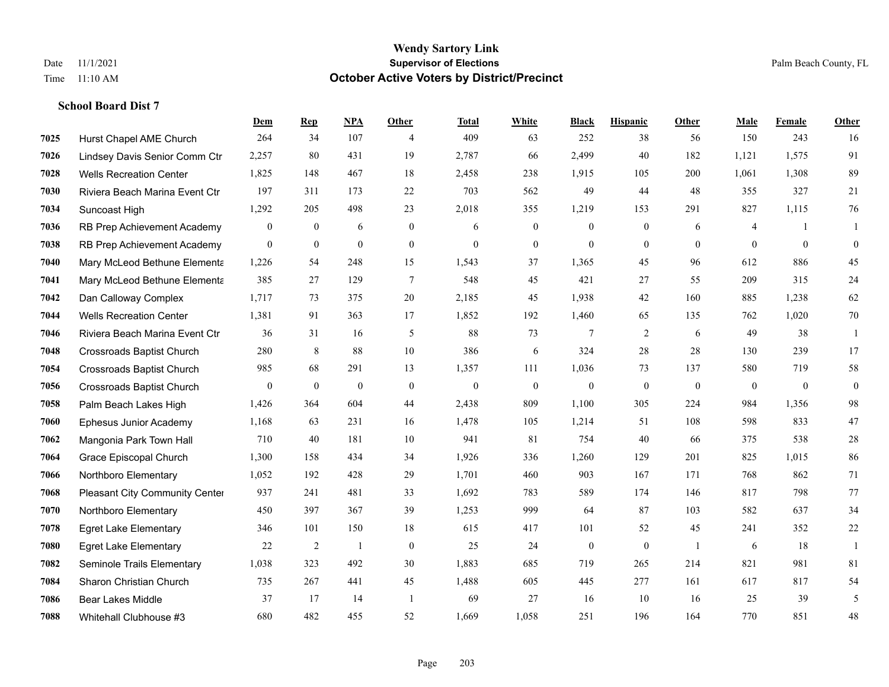|      |                                  | Dem          | <b>Rep</b>       | NPA              | <b>Other</b>   | Total        | <b>White</b>     | <b>Black</b>     | <b>Hispanic</b>  | <b>Other</b>   | <b>Male</b>    | <b>Female</b>  | <b>Other</b>     |
|------|----------------------------------|--------------|------------------|------------------|----------------|--------------|------------------|------------------|------------------|----------------|----------------|----------------|------------------|
| 7025 | Hurst Chapel AME Church          | 264          | 34               | 107              | $\overline{4}$ | 409          | 63               | 252              | 38               | 56             | 150            | 243            | 16               |
| 7026 | Lindsey Davis Senior Comm Ctr    | 2,257        | 80               | 431              | 19             | 2,787        | 66               | 2,499            | 40               | 182            | 1,121          | 1,575          | 91               |
| 7028 | <b>Wells Recreation Center</b>   | 1,825        | 148              | 467              | 18             | 2,458        | 238              | 1,915            | 105              | 200            | 1,061          | 1,308          | 89               |
| 7030 | Riviera Beach Marina Event Ctr   | 197          | 311              | 173              | $22\,$         | 703          | 562              | 49               | 44               | 48             | 355            | 327            | 21               |
| 7034 | Suncoast High                    | 1,292        | 205              | 498              | 23             | 2,018        | 355              | 1,219            | 153              | 291            | 827            | 1,115          | 76               |
| 7036 | RB Prep Achievement Academy      | $\mathbf{0}$ | $\boldsymbol{0}$ | 6                | $\mathbf{0}$   | 6            | $\overline{0}$   | $\mathbf{0}$     | $\mathbf{0}$     | 6              | 4              | $\overline{1}$ | 1                |
| 7038 | RB Prep Achievement Academy      | $\mathbf{0}$ | $\boldsymbol{0}$ | $\mathbf{0}$     | $\mathbf{0}$   | $\mathbf{0}$ | $\boldsymbol{0}$ | $\boldsymbol{0}$ | $\boldsymbol{0}$ | $\overline{0}$ | $\overline{0}$ | $\mathbf{0}$   | $\boldsymbol{0}$ |
| 7040 | Mary McLeod Bethune Elementa     | 1,226        | 54               | 248              | 15             | 1,543        | 37               | 1,365            | 45               | 96             | 612            | 886            | 45               |
| 7041 | Mary McLeod Bethune Elementa     | 385          | 27               | 129              | $\tau$         | 548          | 45               | 421              | 27               | 55             | 209            | 315            | 24               |
| 7042 | Dan Calloway Complex             | 1,717        | 73               | 375              | 20             | 2,185        | 45               | 1,938            | 42               | 160            | 885            | 1,238          | 62               |
| 7044 | <b>Wells Recreation Center</b>   | 1,381        | 91               | 363              | 17             | 1,852        | 192              | 1,460            | 65               | 135            | 762            | 1,020          | 70               |
| 7046 | Riviera Beach Marina Event Ctr   | 36           | 31               | 16               | 5              | 88           | 73               | 7                | $\overline{2}$   | 6              | 49             | 38             | -1               |
| 7048 | <b>Crossroads Baptist Church</b> | 280          | 8                | 88               | 10             | 386          | 6                | 324              | 28               | 28             | 130            | 239            | 17               |
| 7054 | <b>Crossroads Baptist Church</b> | 985          | 68               | 291              | 13             | 1,357        | 111              | 1,036            | 73               | 137            | 580            | 719            | 58               |
| 7056 | <b>Crossroads Baptist Church</b> | $\mathbf{0}$ | $\boldsymbol{0}$ | $\boldsymbol{0}$ | $\mathbf{0}$   | $\mathbf{0}$ | $\boldsymbol{0}$ | $\boldsymbol{0}$ | $\mathbf{0}$     | $\overline{0}$ | $\mathbf{0}$   | $\mathbf{0}$   | $\boldsymbol{0}$ |
| 7058 | Palm Beach Lakes High            | 1,426        | 364              | 604              | 44             | 2,438        | 809              | 1,100            | 305              | 224            | 984            | 1,356          | 98               |
| 7060 | Ephesus Junior Academy           | 1,168        | 63               | 231              | 16             | 1,478        | 105              | 1,214            | 51               | 108            | 598            | 833            | 47               |
| 7062 | Mangonia Park Town Hall          | 710          | 40               | 181              | 10             | 941          | 81               | 754              | 40               | 66             | 375            | 538            | 28               |
| 7064 | Grace Episcopal Church           | 1,300        | 158              | 434              | 34             | 1,926        | 336              | 1,260            | 129              | 201            | 825            | 1,015          | 86               |
| 7066 | Northboro Elementary             | 1,052        | 192              | 428              | 29             | 1,701        | 460              | 903              | 167              | 171            | 768            | 862            | 71               |
| 7068 | Pleasant City Community Center   | 937          | 241              | 481              | 33             | 1,692        | 783              | 589              | 174              | 146            | 817            | 798            | 77               |
| 7070 | Northboro Elementary             | 450          | 397              | 367              | 39             | 1,253        | 999              | 64               | 87               | 103            | 582            | 637            | 34               |
| 7078 | <b>Egret Lake Elementary</b>     | 346          | 101              | 150              | 18             | 615          | 417              | 101              | 52               | 45             | 241            | 352            | $22\,$           |
| 7080 | <b>Egret Lake Elementary</b>     | 22           | $\overline{2}$   | $\mathbf{1}$     | $\theta$       | 25           | 24               | $\mathbf{0}$     | $\mathbf{0}$     | $\overline{1}$ | 6              | 18             | $\mathbf{1}$     |
| 7082 | Seminole Trails Elementary       | 1,038        | 323              | 492              | 30             | 1,883        | 685              | 719              | 265              | 214            | 821            | 981            | 81               |
| 7084 | Sharon Christian Church          | 735          | 267              | 441              | 45             | 1,488        | 605              | 445              | 277              | 161            | 617            | 817            | 54               |
| 7086 | <b>Bear Lakes Middle</b>         | 37           | 17               | 14               | $\overline{1}$ | 69           | 27               | 16               | 10               | 16             | 25             | 39             | 5                |
| 7088 | Whitehall Clubhouse #3           | 680          | 482              | 455              | 52             | 1,669        | 1,058            | 251              | 196              | 164            | 770            | 851            | 48               |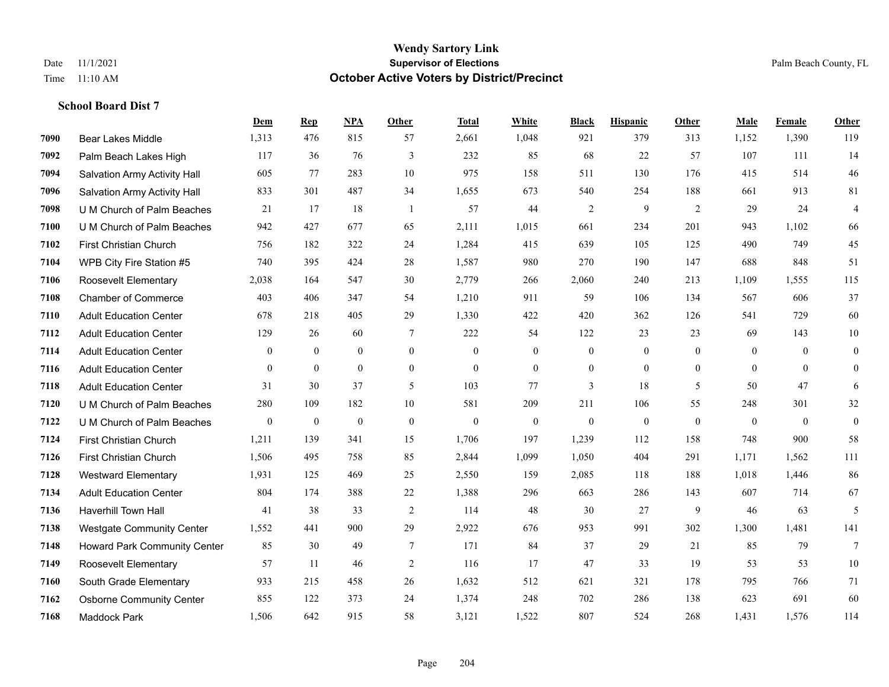|      |                                     | Dem            | <b>Rep</b>     | NPA            | <b>Other</b>     | <b>Total</b>     | White            | <b>Black</b>     | <b>Hispanic</b>  | <b>Other</b> | <b>Male</b>  | Female       | <b>Other</b>     |
|------|-------------------------------------|----------------|----------------|----------------|------------------|------------------|------------------|------------------|------------------|--------------|--------------|--------------|------------------|
| 7090 | Bear Lakes Middle                   | 1,313          | 476            | 815            | 57               | 2,661            | 1,048            | 921              | 379              | 313          | 1,152        | 1,390        | 119              |
| 7092 | Palm Beach Lakes High               | 117            | 36             | 76             | 3                | 232              | 85               | 68               | 22               | 57           | 107          | 111          | 14               |
| 7094 | <b>Salvation Army Activity Hall</b> | 605            | 77             | 283            | 10               | 975              | 158              | 511              | 130              | 176          | 415          | 514          | 46               |
| 7096 | Salvation Army Activity Hall        | 833            | 301            | 487            | 34               | 1,655            | 673              | 540              | 254              | 188          | 661          | 913          | 81               |
| 7098 | U M Church of Palm Beaches          | 21             | 17             | 18             | $\overline{1}$   | 57               | 44               | $\overline{c}$   | 9                | 2            | 29           | 24           | $\overline{4}$   |
| 7100 | U M Church of Palm Beaches          | 942            | 427            | 677            | 65               | 2,111            | 1,015            | 661              | 234              | 201          | 943          | 1,102        | 66               |
| 7102 | First Christian Church              | 756            | 182            | 322            | 24               | 1,284            | 415              | 639              | 105              | 125          | 490          | 749          | 45               |
| 7104 | WPB City Fire Station #5            | 740            | 395            | 424            | 28               | 1,587            | 980              | 270              | 190              | 147          | 688          | 848          | 51               |
| 7106 | Roosevelt Elementary                | 2,038          | 164            | 547            | 30               | 2,779            | 266              | 2,060            | 240              | 213          | 1,109        | 1,555        | 115              |
| 7108 | <b>Chamber of Commerce</b>          | 403            | 406            | 347            | 54               | 1,210            | 911              | 59               | 106              | 134          | 567          | 606          | 37               |
| 7110 | <b>Adult Education Center</b>       | 678            | 218            | 405            | 29               | 1,330            | 422              | 420              | 362              | 126          | 541          | 729          | 60               |
| 7112 | <b>Adult Education Center</b>       | 129            | 26             | 60             | 7                | 222              | 54               | 122              | 23               | 23           | 69           | 143          | $10\,$           |
| 7114 | <b>Adult Education Center</b>       | $\mathbf{0}$   | $\overline{0}$ | $\overline{0}$ | $\mathbf{0}$     | $\mathbf{0}$     | $\overline{0}$   | $\boldsymbol{0}$ | $\mathbf{0}$     | $\theta$     | $\theta$     | $\theta$     | $\boldsymbol{0}$ |
| 7116 | <b>Adult Education Center</b>       | $\overline{0}$ | $\mathbf{0}$   | $\overline{0}$ | $\boldsymbol{0}$ | $\boldsymbol{0}$ | $\boldsymbol{0}$ | $\boldsymbol{0}$ | $\boldsymbol{0}$ | $\bf{0}$     | $\mathbf{0}$ | $\mathbf{0}$ | $\boldsymbol{0}$ |
| 7118 | <b>Adult Education Center</b>       | 31             | 30             | 37             | 5                | 103              | 77               | 3                | 18               | 5            | 50           | 47           | 6                |
| 7120 | U M Church of Palm Beaches          | 280            | 109            | 182            | 10               | 581              | 209              | 211              | 106              | 55           | 248          | 301          | 32               |
| 7122 | U M Church of Palm Beaches          | $\mathbf{0}$   | $\mathbf{0}$   | $\overline{0}$ | $\mathbf{0}$     | $\mathbf{0}$     | $\mathbf{0}$     | $\mathbf{0}$     | $\mathbf{0}$     | $\theta$     | $\theta$     | $\theta$     | $\mathbf{0}$     |
| 7124 | <b>First Christian Church</b>       | 1,211          | 139            | 341            | 15               | 1,706            | 197              | 1,239            | 112              | 158          | 748          | 900          | 58               |
| 7126 | First Christian Church              | 1,506          | 495            | 758            | 85               | 2,844            | 1,099            | 1,050            | 404              | 291          | 1,171        | 1,562        | 111              |
| 7128 | <b>Westward Elementary</b>          | 1,931          | 125            | 469            | 25               | 2,550            | 159              | 2,085            | 118              | 188          | 1,018        | 1,446        | 86               |
| 7134 | <b>Adult Education Center</b>       | 804            | 174            | 388            | 22               | 1,388            | 296              | 663              | 286              | 143          | 607          | 714          | 67               |
| 7136 | Haverhill Town Hall                 | 41             | 38             | 33             | $\overline{2}$   | 114              | 48               | 30               | 27               | 9            | 46           | 63           | 5                |
| 7138 | <b>Westgate Community Center</b>    | 1,552          | 441            | 900            | 29               | 2,922            | 676              | 953              | 991              | 302          | 1,300        | 1,481        | 141              |
| 7148 | Howard Park Community Center        | 85             | 30             | 49             | $\overline{7}$   | 171              | 84               | 37               | 29               | 21           | 85           | 79           | $7\phantom{.0}$  |
| 7149 | Roosevelt Elementary                | 57             | 11             | 46             | $\sqrt{2}$       | 116              | 17               | 47               | 33               | 19           | 53           | 53           | $10\,$           |
| 7160 | South Grade Elementary              | 933            | 215            | 458            | 26               | 1,632            | 512              | 621              | 321              | 178          | 795          | 766          | 71               |
| 7162 | <b>Osborne Community Center</b>     | 855            | 122            | 373            | 24               | 1,374            | 248              | 702              | 286              | 138          | 623          | 691          | 60               |
| 7168 | <b>Maddock Park</b>                 | 1,506          | 642            | 915            | 58               | 3,121            | 1,522            | 807              | 524              | 268          | 1,431        | 1,576        | 114              |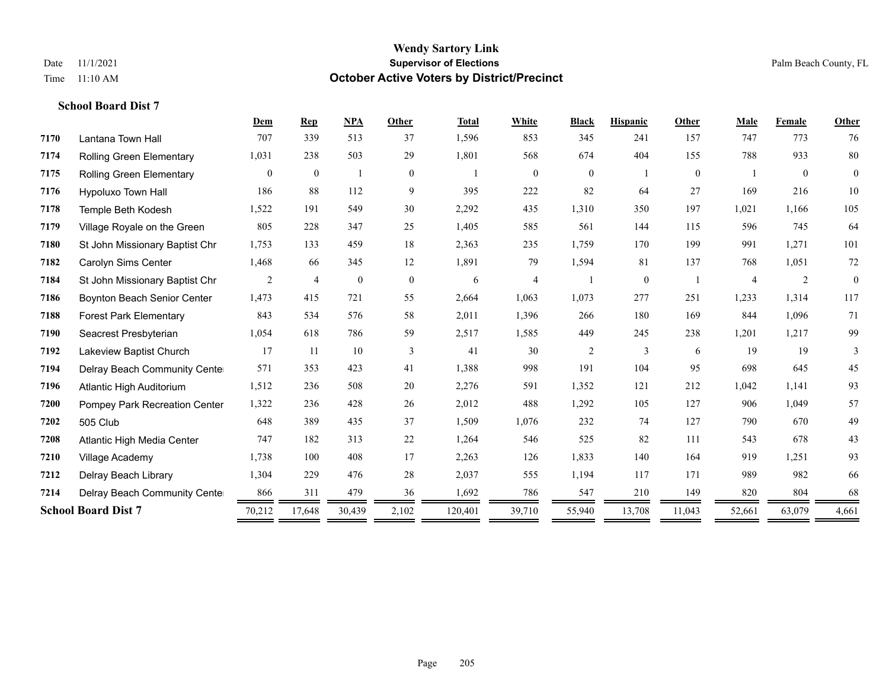|      |                                    | Dem            | <b>Rep</b>       | <b>NPA</b>       | Other          | <b>Total</b> | White          | <b>Black</b> | <b>Hispanic</b> | Other          | Male           | Female         | Other          |
|------|------------------------------------|----------------|------------------|------------------|----------------|--------------|----------------|--------------|-----------------|----------------|----------------|----------------|----------------|
| 7170 | Lantana Town Hall                  | 707            | 339              | 513              | 37             | 1,596        | 853            | 345          | 241             | 157            | 747            | 773            | 76             |
| 7174 | <b>Rolling Green Elementary</b>    | 1,031          | 238              | 503              | 29             | 1,801        | 568            | 674          | 404             | 155            | 788            | 933            | 80             |
| 7175 | <b>Rolling Green Elementary</b>    | $\overline{0}$ | $\boldsymbol{0}$ |                  | $\overline{0}$ |              | $\overline{0}$ | $\mathbf{0}$ |                 | $\overline{0}$ |                | $\overline{0}$ | $\overline{0}$ |
| 7176 | Hypoluxo Town Hall                 | 186            | 88               | 112              | 9              | 395          | 222            | 82           | 64              | 27             | 169            | 216            | $10\,$         |
| 7178 | Temple Beth Kodesh                 | 1,522          | 191              | 549              | 30             | 2,292        | 435            | 1,310        | 350             | 197            | 1,021          | 1,166          | 105            |
| 7179 | Village Royale on the Green        | 805            | 228              | 347              | 25             | 1,405        | 585            | 561          | 144             | 115            | 596            | 745            | 64             |
| 7180 | St John Missionary Baptist Chr     | 1,753          | 133              | 459              | 18             | 2,363        | 235            | 1,759        | 170             | 199            | 991            | 1,271          | 101            |
| 7182 | Carolyn Sims Center                | 1,468          | 66               | 345              | 12             | 1,891        | 79             | 1,594        | 81              | 137            | 768            | 1,051          | 72             |
| 7184 | St John Missionary Baptist Chr     | $\overline{2}$ | $\overline{4}$   | $\boldsymbol{0}$ | $\overline{0}$ | 6            | 4              |              | $\mathbf{0}$    |                | $\overline{4}$ | 2              | $\overline{0}$ |
| 7186 | <b>Boynton Beach Senior Center</b> | 1,473          | 415              | 721              | 55             | 2,664        | 1,063          | 1,073        | 277             | 251            | 1,233          | 1,314          | 117            |
| 7188 | <b>Forest Park Elementary</b>      | 843            | 534              | 576              | 58             | 2,011        | 1,396          | 266          | 180             | 169            | 844            | 1,096          | 71             |
| 7190 | Seacrest Presbyterian              | 1,054          | 618              | 786              | 59             | 2,517        | 1,585          | 449          | 245             | 238            | 1,201          | 1,217          | 99             |
| 7192 | Lakeview Baptist Church            | 17             | 11               | 10               | 3              | 41           | 30             | 2            | 3               | 6              | 19             | 19             | 3              |
| 7194 | Delray Beach Community Cente       | 571            | 353              | 423              | 41             | 1,388        | 998            | 191          | 104             | 95             | 698            | 645            | 45             |
| 7196 | Atlantic High Auditorium           | 1,512          | 236              | 508              | 20             | 2,276        | 591            | 1,352        | 121             | 212            | 1,042          | 1,141          | 93             |
| 7200 | Pompey Park Recreation Center      | 1,322          | 236              | 428              | 26             | 2,012        | 488            | 1,292        | 105             | 127            | 906            | 1,049          | 57             |
| 7202 | 505 Club                           | 648            | 389              | 435              | 37             | 1,509        | 1,076          | 232          | 74              | 127            | 790            | 670            | 49             |
| 7208 | Atlantic High Media Center         | 747            | 182              | 313              | 22             | 1,264        | 546            | 525          | 82              | 111            | 543            | 678            | 43             |
| 7210 | Village Academy                    | 1,738          | 100              | 408              | 17             | 2,263        | 126            | 1,833        | 140             | 164            | 919            | 1,251          | 93             |
| 7212 | Delray Beach Library               | 1,304          | 229              | 476              | 28             | 2,037        | 555            | 1,194        | 117             | 171            | 989            | 982            | 66             |
| 7214 | Delray Beach Community Cente       | 866            | 311              | 479              | 36             | 1,692        | 786            | 547          | 210             | 149            | 820            | 804            | 68             |
|      | <b>School Board Dist 7</b>         | 70,212         | 17,648           | 30,439           | 2,102          | 120,401      | 39,710         | 55,940       | 13,708          | 11,043         | 52,661         | 63,079         | 4,661          |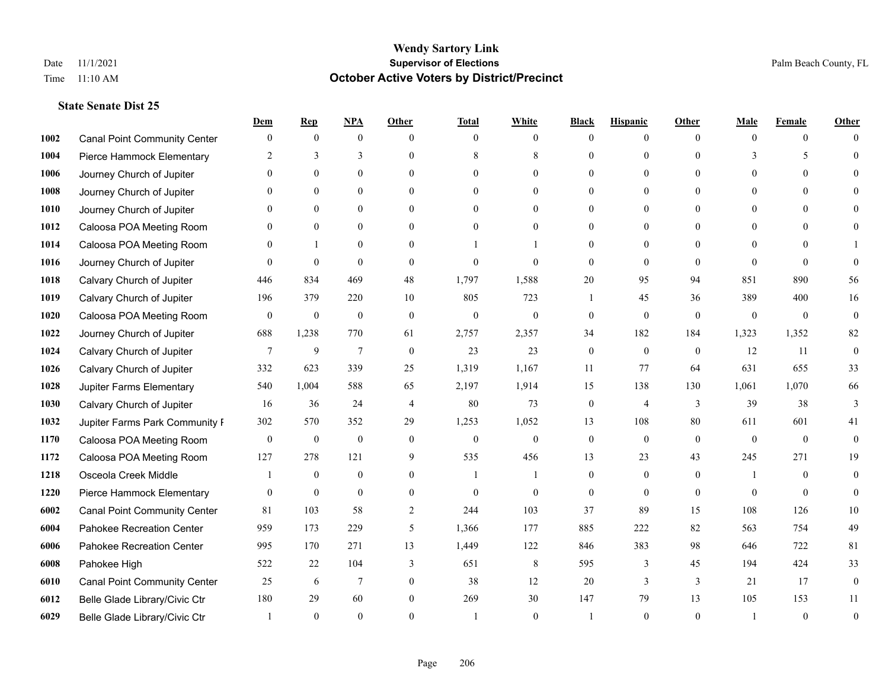|      |                                     | Dem          | <b>Rep</b>       | NPA              | <b>Other</b>   | <b>Total</b> | <b>White</b>     | <b>Black</b>     | <b>Hispanic</b> | <b>Other</b> | <b>Male</b>    | <b>Female</b> | <b>Other</b>     |
|------|-------------------------------------|--------------|------------------|------------------|----------------|--------------|------------------|------------------|-----------------|--------------|----------------|---------------|------------------|
| 1002 | <b>Canal Point Community Center</b> | $\mathbf{0}$ | $\mathbf{0}$     | $\boldsymbol{0}$ | $\Omega$       | $\Omega$     | $\overline{0}$   | $\theta$         | $\mathbf{0}$    | $\Omega$     | $\theta$       | $\theta$      | $\Omega$         |
| 1004 | Pierce Hammock Elementary           | 2            | 3                | 3                | $\Omega$       | 8            | 8                | $\theta$         | $\mathbf{0}$    | $\Omega$     | 3              | 5             | $\Omega$         |
| 1006 | Journey Church of Jupiter           | $\Omega$     | $\theta$         | $\theta$         | $\Omega$       | $\Omega$     | $\Omega$         | $\Omega$         | $\theta$        | $\Omega$     | $\Omega$       | $\Omega$      |                  |
| 1008 | Journey Church of Jupiter           | $\Omega$     | $\mathbf{0}$     | $\mathbf{0}$     | $\mathbf{0}$   | $\theta$     | $\mathbf{0}$     | $\overline{0}$   | $\mathbf{0}$    | $\Omega$     | $\mathbf{0}$   | $\theta$      |                  |
| 1010 | Journey Church of Jupiter           | 0            | $\theta$         | $\mathbf{0}$     | $\Omega$       | $\Omega$     | $\overline{0}$   | $\theta$         | $\mathbf{0}$    | $\Omega$     | $\theta$       | $\theta$      | $\Omega$         |
| 1012 | Caloosa POA Meeting Room            | $\theta$     | $\mathbf{0}$     | $\mathbf{0}$     | $\Omega$       | $\theta$     | $\overline{0}$   | $\theta$         | $\mathbf{0}$    | $\Omega$     | $\overline{0}$ | $\Omega$      |                  |
| 1014 | Caloosa POA Meeting Room            | $\Omega$     | $\mathbf{1}$     | $\theta$         | $\Omega$       |              |                  | $\theta$         | $\theta$        | $\Omega$     | $\theta$       | $\Omega$      |                  |
| 1016 | Journey Church of Jupiter           | $\Omega$     | $\mathbf{0}$     | $\mathbf{0}$     | $\theta$       | $\Omega$     | $\theta$         | $\theta$         | $\theta$        | $\Omega$     | $\Omega$       | $\Omega$      | $\theta$         |
| 1018 | Calvary Church of Jupiter           | 446          | 834              | 469              | 48             | 1,797        | 1,588            | 20               | 95              | 94           | 851            | 890           | 56               |
| 1019 | Calvary Church of Jupiter           | 196          | 379              | 220              | 10             | 805          | 723              | 1                | 45              | 36           | 389            | 400           | 16               |
| 1020 | Caloosa POA Meeting Room            | $\theta$     | $\boldsymbol{0}$ | $\mathbf{0}$     | $\theta$       | $\mathbf{0}$ | $\mathbf{0}$     | $\mathbf{0}$     | $\mathbf{0}$    | $\theta$     | $\theta$       | $\theta$      | $\mathbf{0}$     |
| 1022 | Journey Church of Jupiter           | 688          | 1,238            | 770              | 61             | 2,757        | 2,357            | 34               | 182             | 184          | 1,323          | 1,352         | 82               |
| 1024 | Calvary Church of Jupiter           | 7            | 9                | $\overline{7}$   | $\mathbf{0}$   | 23           | 23               | $\mathbf{0}$     | $\mathbf{0}$    | $\theta$     | 12             | 11            | $\boldsymbol{0}$ |
| 1026 | Calvary Church of Jupiter           | 332          | 623              | 339              | 25             | 1,319        | 1,167            | 11               | 77              | 64           | 631            | 655           | 33               |
| 1028 | Jupiter Farms Elementary            | 540          | 1,004            | 588              | 65             | 2,197        | 1,914            | 15               | 138             | 130          | 1,061          | 1,070         | 66               |
| 1030 | Calvary Church of Jupiter           | 16           | 36               | 24               | $\overline{4}$ | $80\,$       | 73               | $\boldsymbol{0}$ | $\overline{4}$  | 3            | 39             | 38            | 3                |
| 1032 | Jupiter Farms Park Community I      | 302          | 570              | 352              | 29             | 1,253        | 1,052            | 13               | 108             | 80           | 611            | 601           | 41               |
| 1170 | Caloosa POA Meeting Room            | $\mathbf{0}$ | $\mathbf{0}$     | $\mathbf{0}$     | $\theta$       | $\mathbf{0}$ | $\boldsymbol{0}$ | $\mathbf{0}$     | $\mathbf{0}$    | $\theta$     | $\theta$       | $\theta$      | $\mathbf{0}$     |
| 1172 | Caloosa POA Meeting Room            | 127          | 278              | 121              | 9              | 535          | 456              | 13               | 23              | 43           | 245            | 271           | 19               |
| 1218 | Osceola Creek Middle                |              | $\theta$         | $\theta$         | $\theta$       | $\mathbf{1}$ | 1                | $\theta$         | $\theta$        | $\theta$     | $\mathbf{1}$   | $\Omega$      | $\Omega$         |
| 1220 | Pierce Hammock Elementary           | $\theta$     | $\mathbf{0}$     | $\mathbf{0}$     | $\Omega$       | $\mathbf{0}$ | $\mathbf{0}$     | $\mathbf{0}$     | $\mathbf{0}$    | $\theta$     | $\Omega$       | $\theta$      | $\mathbf{0}$     |
| 6002 | <b>Canal Point Community Center</b> | 81           | 103              | 58               | $\overline{c}$ | 244          | 103              | 37               | 89              | 15           | 108            | 126           | 10               |
| 6004 | Pahokee Recreation Center           | 959          | 173              | 229              | 5              | 1,366        | 177              | 885              | 222             | 82           | 563            | 754           | 49               |
| 6006 | Pahokee Recreation Center           | 995          | 170              | 271              | 13             | 1,449        | 122              | 846              | 383             | 98           | 646            | 722           | 81               |
| 6008 | Pahokee High                        | 522          | 22               | 104              | 3              | 651          | 8                | 595              | 3               | 45           | 194            | 424           | 33               |
| 6010 | <b>Canal Point Community Center</b> | 25           | 6                | 7                | $\mathbf{0}$   | 38           | 12               | 20               | 3               | 3            | 21             | 17            | $\boldsymbol{0}$ |
| 6012 | Belle Glade Library/Civic Ctr       | 180          | 29               | 60               | $\theta$       | 269          | 30               | 147              | 79              | 13           | 105            | 153           | 11               |
| 6029 | Belle Glade Library/Civic Ctr       |              | $\Omega$         | $\theta$         | $\Omega$       | $\mathbf{1}$ | $\theta$         |                  | $\Omega$        | $\Omega$     | $\mathbf{1}$   | $\Omega$      | $\theta$         |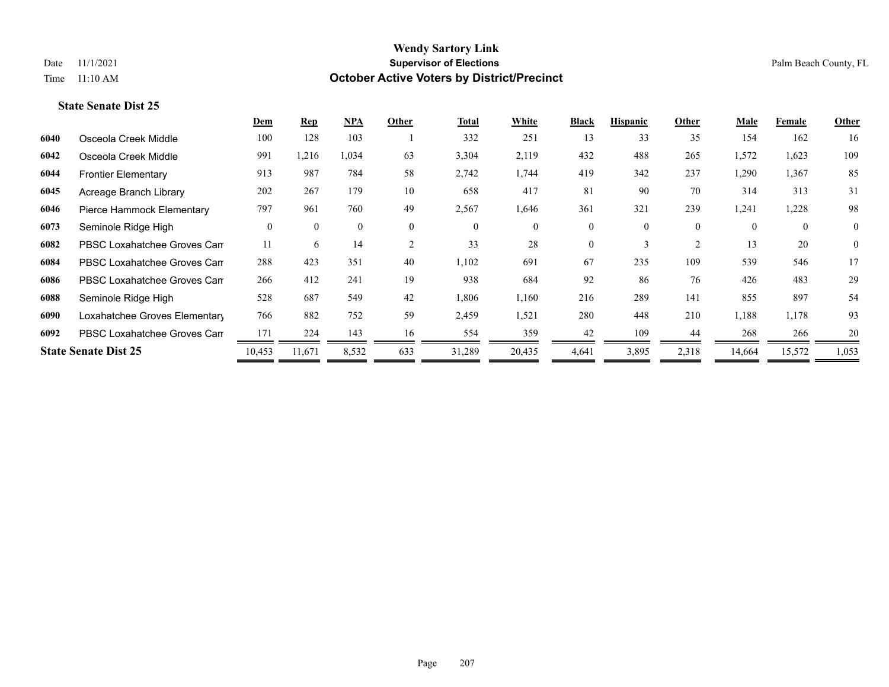|      |                               | Dem      | Rep          | $NPA$        | Other          | <b>Total</b> | White    | <b>Black</b> | <b>Hispanic</b> | Other          | Male     | Female         | Other          |
|------|-------------------------------|----------|--------------|--------------|----------------|--------------|----------|--------------|-----------------|----------------|----------|----------------|----------------|
| 6040 | Osceola Creek Middle          | 100      | 128          | 103          |                | 332          | 251      | 13           | 33              | 35             | 154      | 162            | 16             |
| 6042 | Osceola Creek Middle          | 991      | 1,216        | 1,034        | 63             | 3,304        | 2,119    | 432          | 488             | 265            | 1,572    | 1,623          | 109            |
| 6044 | <b>Frontier Elementary</b>    | 913      | 987          | 784          | 58             | 2,742        | 1,744    | 419          | 342             | 237            | 1,290    | 1,367          | 85             |
| 6045 | Acreage Branch Library        | 202      | 267          | 179          | 10             | 658          | 417      | 81           | 90              | 70             | 314      | 313            | 31             |
| 6046 | Pierce Hammock Elementary     | 797      | 961          | 760          | 49             | 2,567        | 1,646    | 361          | 321             | 239            | 1,241    | 1,228          | 98             |
| 6073 | Seminole Ridge High           | $\theta$ | $\mathbf{0}$ | $\mathbf{0}$ | $\overline{0}$ | $\mathbf{0}$ | $\theta$ | 0            | 0               | $\overline{0}$ | $\theta$ | $\overline{0}$ | $\overline{0}$ |
| 6082 | PBSC Loxahatchee Groves Can   | 11       | 6            | 14           | 2              | 33           | 28       | $\Omega$     | 3               | $\overline{2}$ | 13       | 20             | $\overline{0}$ |
| 6084 | PBSC Loxahatchee Groves Can   | 288      | 423          | 351          | 40             | 1,102        | 691      | 67           | 235             | 109            | 539      | 546            | 17             |
| 6086 | PBSC Loxahatchee Groves Can   | 266      | 412          | 241          | 19             | 938          | 684      | 92           | 86              | 76             | 426      | 483            | 29             |
| 6088 | Seminole Ridge High           | 528      | 687          | 549          | 42             | 1,806        | 1,160    | 216          | 289             | 141            | 855      | 897            | 54             |
| 6090 | Loxahatchee Groves Elementary | 766      | 882          | 752          | 59             | 2,459        | 1,521    | 280          | 448             | 210            | 1,188    | 1,178          | 93             |
| 6092 | PBSC Loxahatchee Groves Can   | 171      | 224          | 143          | 16             | 554          | 359      | 42           | 109             | 44             | 268      | 266            | 20             |
|      | <b>State Senate Dist 25</b>   | 10,453   | 11,671       | 8,532        | 633            | 31,289       | 20,435   | 4,641        | 3,895           | 2,318          | 14,664   | 15,572         | 1,053          |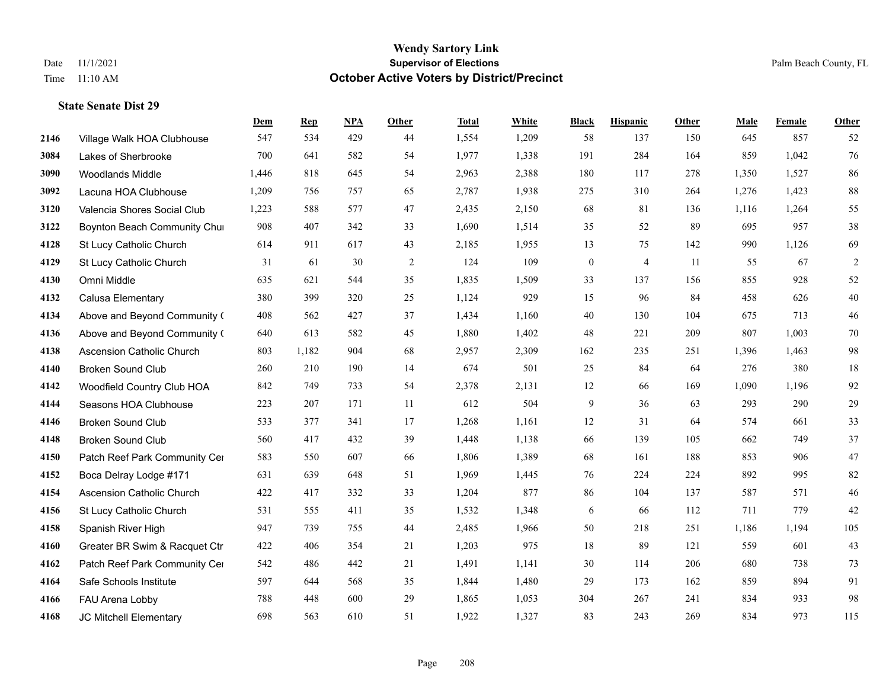|      |                                  | Dem   | <b>Rep</b> | NPA | <b>Other</b> | <b>Total</b> | <b>White</b> | <b>Black</b>     | <b>Hispanic</b> | <b>Other</b> | <b>Male</b> | <b>Female</b> | <b>Other</b>   |
|------|----------------------------------|-------|------------|-----|--------------|--------------|--------------|------------------|-----------------|--------------|-------------|---------------|----------------|
| 2146 | Village Walk HOA Clubhouse       | 547   | 534        | 429 | 44           | 1,554        | 1,209        | 58               | 137             | 150          | 645         | 857           | 52             |
| 3084 | Lakes of Sherbrooke              | 700   | 641        | 582 | 54           | 1,977        | 1,338        | 191              | 284             | 164          | 859         | 1,042         | 76             |
| 3090 | <b>Woodlands Middle</b>          | 1,446 | 818        | 645 | 54           | 2,963        | 2,388        | 180              | 117             | 278          | 1,350       | 1,527         | 86             |
| 3092 | Lacuna HOA Clubhouse             | 1,209 | 756        | 757 | 65           | 2,787        | 1,938        | 275              | 310             | 264          | 1,276       | 1,423         | $88\,$         |
| 3120 | Valencia Shores Social Club      | 1,223 | 588        | 577 | 47           | 2,435        | 2,150        | 68               | 81              | 136          | 1,116       | 1,264         | 55             |
| 3122 | Boynton Beach Community Chur     | 908   | 407        | 342 | 33           | 1,690        | 1,514        | 35               | 52              | 89           | 695         | 957           | 38             |
| 4128 | St Lucy Catholic Church          | 614   | 911        | 617 | 43           | 2,185        | 1,955        | 13               | 75              | 142          | 990         | 1,126         | 69             |
| 4129 | St Lucy Catholic Church          | 31    | 61         | 30  | 2            | 124          | 109          | $\boldsymbol{0}$ | $\overline{4}$  | 11           | 55          | 67            | $\overline{c}$ |
| 4130 | Omni Middle                      | 635   | 621        | 544 | 35           | 1,835        | 1,509        | 33               | 137             | 156          | 855         | 928           | 52             |
| 4132 | Calusa Elementary                | 380   | 399        | 320 | 25           | 1,124        | 929          | 15               | 96              | 84           | 458         | 626           | $40\,$         |
| 4134 | Above and Beyond Community (     | 408   | 562        | 427 | 37           | 1,434        | 1,160        | 40               | 130             | 104          | 675         | 713           | $46\,$         |
| 4136 | Above and Beyond Community (     | 640   | 613        | 582 | 45           | 1,880        | 1,402        | 48               | 221             | 209          | 807         | 1,003         | $70\,$         |
| 4138 | Ascension Catholic Church        | 803   | 1,182      | 904 | 68           | 2,957        | 2,309        | 162              | 235             | 251          | 1,396       | 1,463         | 98             |
| 4140 | <b>Broken Sound Club</b>         | 260   | 210        | 190 | 14           | 674          | 501          | 25               | 84              | 64           | 276         | 380           | $18\,$         |
| 4142 | Woodfield Country Club HOA       | 842   | 749        | 733 | 54           | 2,378        | 2,131        | 12               | 66              | 169          | 1,090       | 1,196         | 92             |
| 4144 | Seasons HOA Clubhouse            | 223   | 207        | 171 | 11           | 612          | 504          | 9                | 36              | 63           | 293         | 290           | 29             |
| 4146 | <b>Broken Sound Club</b>         | 533   | 377        | 341 | 17           | 1,268        | 1,161        | 12               | 31              | 64           | 574         | 661           | 33             |
| 4148 | <b>Broken Sound Club</b>         | 560   | 417        | 432 | 39           | 1,448        | 1,138        | 66               | 139             | 105          | 662         | 749           | 37             |
| 4150 | Patch Reef Park Community Cer    | 583   | 550        | 607 | 66           | 1,806        | 1,389        | 68               | 161             | 188          | 853         | 906           | $47\,$         |
| 4152 | Boca Delray Lodge #171           | 631   | 639        | 648 | 51           | 1,969        | 1,445        | 76               | 224             | 224          | 892         | 995           | 82             |
| 4154 | <b>Ascension Catholic Church</b> | 422   | 417        | 332 | 33           | 1,204        | 877          | 86               | 104             | 137          | 587         | 571           | $46\,$         |
| 4156 | St Lucy Catholic Church          | 531   | 555        | 411 | 35           | 1,532        | 1,348        | 6                | 66              | 112          | 711         | 779           | 42             |
| 4158 | Spanish River High               | 947   | 739        | 755 | 44           | 2,485        | 1,966        | 50               | 218             | 251          | 1,186       | 1,194         | 105            |
| 4160 | Greater BR Swim & Racquet Ctr    | 422   | 406        | 354 | 21           | 1,203        | 975          | 18               | 89              | 121          | 559         | 601           | 43             |
| 4162 | Patch Reef Park Community Cer    | 542   | 486        | 442 | 21           | 1,491        | 1,141        | 30               | 114             | 206          | 680         | 738           | 73             |
| 4164 | Safe Schools Institute           | 597   | 644        | 568 | 35           | 1,844        | 1,480        | 29               | 173             | 162          | 859         | 894           | 91             |
| 4166 | FAU Arena Lobby                  | 788   | 448        | 600 | 29           | 1,865        | 1,053        | 304              | 267             | 241          | 834         | 933           | 98             |
| 4168 | JC Mitchell Elementary           | 698   | 563        | 610 | 51           | 1,922        | 1,327        | 83               | 243             | 269          | 834         | 973           | 115            |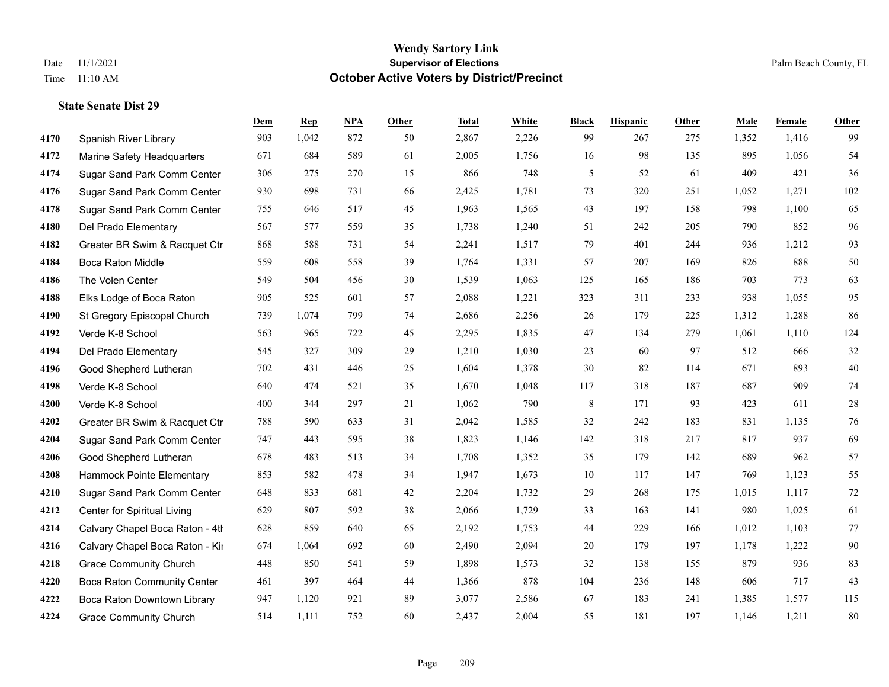**State Senate Dist 29**

#### **Wendy Sartory Link** Date 11/1/2021 **Supervisor of Elections** Palm Beach County, FL Time 11:10 AM **October Active Voters by District/Precinct**

# **Dem Rep NPA Other Total White Black Hispanic Other Male Female Other** Spanish River Library 903 1,042 872 50 2,867 2,226 99 267 275 1,352 1,416 99 Marine Safety Headquarters 671 684 589 61 2,005 1,756 16 98 135 895 1,056 54 Sugar Sand Park Comm Center 306 275 270 15 866 748 5 52 61 409 421 36 Sugar Sand Park Comm Center 930 698 731 66 2,425 1,781 73 320 251 1,052 1,271 102 Sugar Sand Park Comm Center 755 646 517 45 1,963 1,565 43 197 158 798 1,100 65 Del Prado Elementary 567 577 559 35 1,738 1,240 51 242 205 790 852 96 Greater BR Swim & Racquet Ctr 868 588 731 54 2,241 1,517 79 401 244 936 1,212 93 Boca Raton Middle 559 608 558 39 1,764 1,331 57 207 169 826 888 50 The Volen Center 549 504 456 30 1,539 1,063 125 165 186 703 773 63 Elks Lodge of Boca Raton 905 525 601 57 2,088 1,221 323 311 233 938 1,055 95 St Gregory Episcopal Church 739 1,074 799 74 2,686 2,256 26 179 225 1,312 1,288 86 Verde K-8 School 563 965 722 45 2,295 1,835 47 134 279 1,061 1,110 124 Del Prado Elementary 545 327 309 29 1,210 1,030 23 60 97 512 666 32 Good Shepherd Lutheran 702 431 446 25 1,604 1,378 30 82 114 671 893 40 Verde K-8 School 640 474 521 35 1,670 1,048 117 318 187 687 909 74 Verde K-8 School 400 344 297 21 1,062 790 8 171 93 423 611 28 Greater BR Swim & Racquet Ctr 788 590 633 31 2,042 1,585 32 242 183 831 1,135 76 Sugar Sand Park Comm Center 747 443 595 38 1,823 1,146 142 318 217 817 937 69 Good Shepherd Lutheran 678 483 513 34 1,708 1,352 35 179 142 689 962 57 Hammock Pointe Elementary 853 582 478 34 1,947 1,673 10 117 147 769 1,123 55 Sugar Sand Park Comm Center 648 833 681 42 2,204 1,732 29 268 175 1,015 1,117 72 Center for Spiritual Living 629 807 592 38 2,066 1,729 33 163 141 980 1,025 61 4214 Calvary Chapel Boca Raton - 4th $628$  859 640 65 2,192 1,753 44 229 166 1,012 1,103 77 4216 Calvary Chapel Boca Raton - Kir 674 1,064 692 60 2,490 2,094 20 179 197 1,178 1,222 90 Grace Community Church 448 850 541 59 1,898 1,573 32 138 155 879 936 83 Boca Raton Community Center 461 397 464 44 1,366 878 104 236 148 606 717 43 Boca Raton Downtown Library 947 1,120 921 89 3,077 2,586 67 183 241 1,385 1,577 115 Grace Community Church 514 1,111 752 60 2,437 2,004 55 181 197 1,146 1,211 80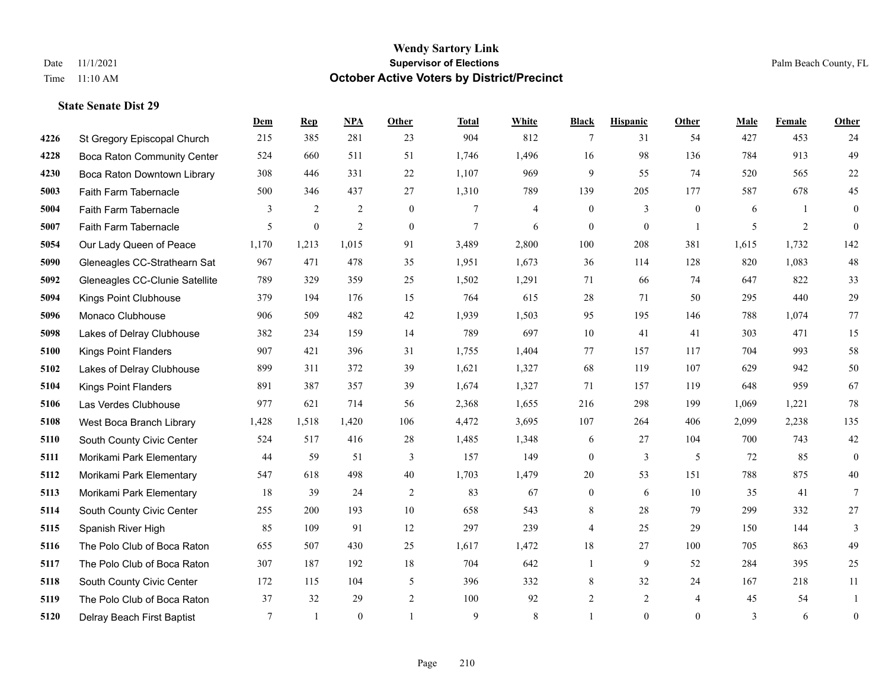**State Senate Dist 29**

#### **Wendy Sartory Link** Date 11/1/2021 **Supervisor of Elections** Palm Beach County, FL Time 11:10 AM **October Active Voters by District/Precinct**

# **Dem Rep NPA Other Total White Black Hispanic Other Male Female Other** St Gregory Episcopal Church 215 385 281 23 904 812 7 31 54 427 453 24 Boca Raton Community Center 524 660 511 51 1,746 1,496 16 98 136 784 913 49 Boca Raton Downtown Library 308 446 331 22 1,107 969 9 55 74 520 565 22 Faith Farm Tabernacle 500 346 437 27 1,310 789 139 205 177 587 678 45 Faith Farm Tabernacle 3 2 2 0 7 4 0 3 0 6 1 0 Faith Farm Tabernacle 5 0 2 0 7 6 0 0 1 5 2 0 Our Lady Queen of Peace 1,170 1,213 1,015 91 3,489 2,800 100 208 381 1,615 1,732 142 Gleneagles CC-Strathearn Sat 967 471 478 35 1,951 1,673 36 114 128 820 1,083 48 Gleneagles CC-Clunie Satellite 789 329 359 25 1,502 1,291 71 66 74 647 822 33 Kings Point Clubhouse 379 194 176 15 764 615 28 71 50 295 440 29 Monaco Clubhouse 906 509 482 42 1,939 1,503 95 195 146 788 1,074 77 Lakes of Delray Clubhouse 382 234 159 14 789 697 10 41 41 303 471 15 Kings Point Flanders 907 421 396 31 1,755 1,404 77 157 117 704 993 58 Lakes of Delray Clubhouse 899 311 372 39 1,621 1,327 68 119 107 629 942 50 Kings Point Flanders 891 387 357 39 1,674 1,327 71 157 119 648 959 67 Las Verdes Clubhouse 977 621 714 56 2,368 1,655 216 298 199 1,069 1,221 78 West Boca Branch Library 1,428 1,518 1,420 106 4,472 3,695 107 264 406 2,099 2,238 135 South County Civic Center 524 517 416 28 1,485 1,348 6 27 104 700 743 42 Morikami Park Elementary 44 59 51 3 157 149 0 3 5 72 85 0 Morikami Park Elementary 547 618 498 40 1,703 1,479 20 53 151 788 875 40 Morikami Park Elementary 18 39 24 2 83 67 0 6 10 35 41 7 South County Civic Center 255 200 193 10 658 543 8 28 79 299 332 27 Spanish River High 85 109 91 12 297 239 4 25 29 150 144 3 The Polo Club of Boca Raton 655 507 430 25 1,617 1,472 18 27 100 705 863 49 The Polo Club of Boca Raton 307 187 192 18 704 642 1 9 52 284 395 25 South County Civic Center 172 115 104 5 396 332 8 32 24 167 218 11 The Polo Club of Boca Raton 37 32 29 2 100 92 2 2 4 45 54 1 Delray Beach First Baptist 7 1 0 1 9 8 1 0 0 3 6 0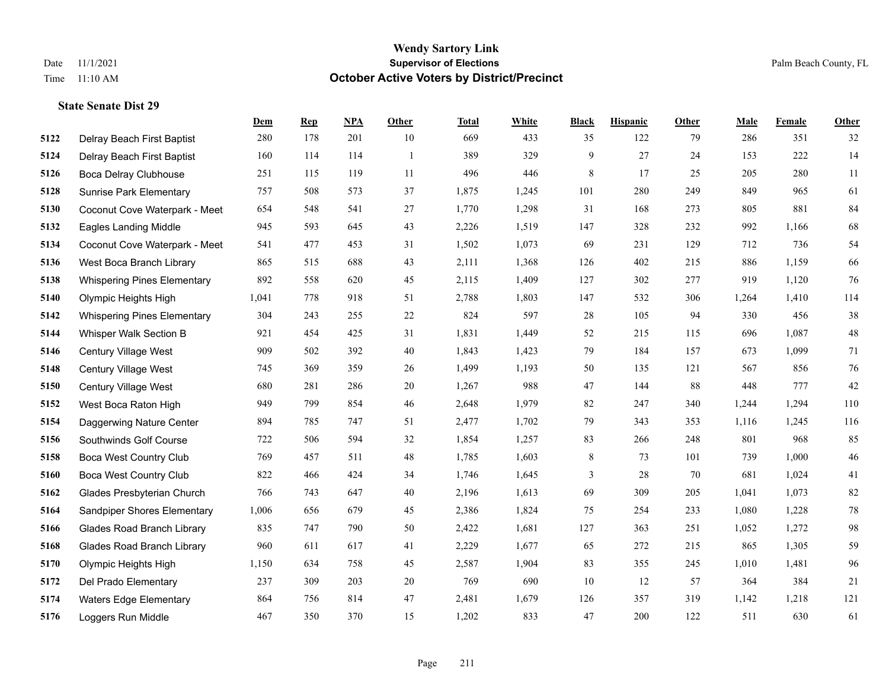|      |                                    | Dem   | <b>Rep</b> | NPA | <b>Other</b>   | <b>Total</b> | <b>White</b> | <b>Black</b> | <b>Hispanic</b> | <b>Other</b> | <b>Male</b> | <b>Female</b> | <b>Other</b> |
|------|------------------------------------|-------|------------|-----|----------------|--------------|--------------|--------------|-----------------|--------------|-------------|---------------|--------------|
| 5122 | Delray Beach First Baptist         | 280   | 178        | 201 | 10             | 669          | 433          | 35           | 122             | 79           | 286         | 351           | 32           |
| 5124 | Delray Beach First Baptist         | 160   | 114        | 114 | $\overline{1}$ | 389          | 329          | 9            | 27              | 24           | 153         | 222           | 14           |
| 5126 | Boca Delray Clubhouse              | 251   | 115        | 119 | 11             | 496          | 446          | 8            | 17              | 25           | 205         | 280           | 11           |
| 5128 | <b>Sunrise Park Elementary</b>     | 757   | 508        | 573 | 37             | 1,875        | 1,245        | 101          | 280             | 249          | 849         | 965           | 61           |
| 5130 | Coconut Cove Waterpark - Meet      | 654   | 548        | 541 | 27             | 1,770        | 1,298        | 31           | 168             | 273          | 805         | 881           | 84           |
| 5132 | <b>Eagles Landing Middle</b>       | 945   | 593        | 645 | 43             | 2,226        | 1,519        | 147          | 328             | 232          | 992         | 1,166         | 68           |
| 5134 | Coconut Cove Waterpark - Meet      | 541   | 477        | 453 | 31             | 1,502        | 1,073        | 69           | 231             | 129          | 712         | 736           | 54           |
| 5136 | West Boca Branch Library           | 865   | 515        | 688 | 43             | 2,111        | 1,368        | 126          | 402             | 215          | 886         | 1,159         | 66           |
| 5138 | <b>Whispering Pines Elementary</b> | 892   | 558        | 620 | 45             | 2,115        | 1,409        | 127          | 302             | 277          | 919         | 1,120         | 76           |
| 5140 | Olympic Heights High               | 1,041 | 778        | 918 | 51             | 2,788        | 1,803        | 147          | 532             | 306          | 1,264       | 1,410         | 114          |
| 5142 | <b>Whispering Pines Elementary</b> | 304   | 243        | 255 | $22\,$         | 824          | 597          | 28           | 105             | 94           | 330         | 456           | $38\,$       |
| 5144 | Whisper Walk Section B             | 921   | 454        | 425 | 31             | 1,831        | 1,449        | 52           | 215             | 115          | 696         | 1,087         | $48\,$       |
| 5146 | Century Village West               | 909   | 502        | 392 | $40\,$         | 1,843        | 1,423        | 79           | 184             | 157          | 673         | 1,099         | 71           |
| 5148 | Century Village West               | 745   | 369        | 359 | 26             | 1,499        | 1,193        | 50           | 135             | 121          | 567         | 856           | $76\,$       |
| 5150 | Century Village West               | 680   | 281        | 286 | 20             | 1,267        | 988          | 47           | 144             | 88           | 448         | 777           | $42\,$       |
| 5152 | West Boca Raton High               | 949   | 799        | 854 | 46             | 2,648        | 1,979        | 82           | 247             | 340          | 1,244       | 1,294         | 110          |
| 5154 | Daggerwing Nature Center           | 894   | 785        | 747 | 51             | 2,477        | 1,702        | 79           | 343             | 353          | 1,116       | 1,245         | 116          |
| 5156 | Southwinds Golf Course             | 722   | 506        | 594 | 32             | 1,854        | 1,257        | 83           | 266             | 248          | 801         | 968           | 85           |
| 5158 | <b>Boca West Country Club</b>      | 769   | 457        | 511 | 48             | 1,785        | 1,603        | 8            | 73              | 101          | 739         | 1,000         | 46           |
| 5160 | <b>Boca West Country Club</b>      | 822   | 466        | 424 | 34             | 1,746        | 1,645        | 3            | 28              | 70           | 681         | 1,024         | 41           |
| 5162 | Glades Presbyterian Church         | 766   | 743        | 647 | 40             | 2,196        | 1,613        | 69           | 309             | 205          | 1,041       | 1,073         | 82           |
| 5164 | Sandpiper Shores Elementary        | 1,006 | 656        | 679 | 45             | 2,386        | 1,824        | 75           | 254             | 233          | 1,080       | 1,228         | $78\,$       |
| 5166 | <b>Glades Road Branch Library</b>  | 835   | 747        | 790 | 50             | 2,422        | 1,681        | 127          | 363             | 251          | 1,052       | 1,272         | 98           |
| 5168 | <b>Glades Road Branch Library</b>  | 960   | 611        | 617 | 41             | 2,229        | 1,677        | 65           | 272             | 215          | 865         | 1,305         | 59           |
| 5170 | Olympic Heights High               | 1,150 | 634        | 758 | 45             | 2,587        | 1,904        | 83           | 355             | 245          | 1,010       | 1,481         | 96           |
| 5172 | Del Prado Elementary               | 237   | 309        | 203 | 20             | 769          | 690          | 10           | 12              | 57           | 364         | 384           | $21\,$       |
| 5174 | <b>Waters Edge Elementary</b>      | 864   | 756        | 814 | 47             | 2,481        | 1,679        | 126          | 357             | 319          | 1,142       | 1,218         | 121          |
| 5176 | Loggers Run Middle                 | 467   | 350        | 370 | 15             | 1,202        | 833          | 47           | 200             | 122          | 511         | 630           | 61           |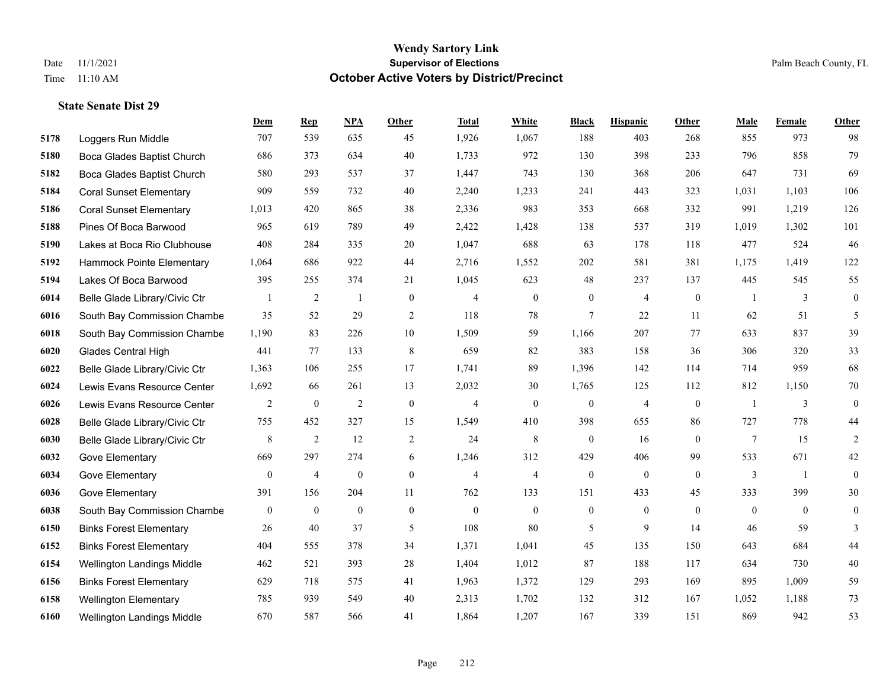**State Senate Dist 29**

# **Wendy Sartory Link** Date 11/1/2021 Palm Beach County, FL Time 11:10 AM **October Active Voters by District/Precinct**

|      |                                   | Dem            | <b>Rep</b>     | <b>NPA</b>       | <b>Other</b>     | <b>Total</b>   | White          | <b>Black</b>     | <b>Hispanic</b>  | Other          | Male         | Female         | Other            |
|------|-----------------------------------|----------------|----------------|------------------|------------------|----------------|----------------|------------------|------------------|----------------|--------------|----------------|------------------|
| 5178 | Loggers Run Middle                | 707            | 539            | 635              | 45               | 1,926          | 1,067          | 188              | 403              | 268            | 855          | 973            | 98               |
| 5180 | Boca Glades Baptist Church        | 686            | 373            | 634              | 40               | 1,733          | 972            | 130              | 398              | 233            | 796          | 858            | 79               |
| 5182 | Boca Glades Baptist Church        | 580            | 293            | 537              | 37               | 1,447          | 743            | 130              | 368              | 206            | 647          | 731            | 69               |
| 5184 | <b>Coral Sunset Elementary</b>    | 909            | 559            | 732              | 40               | 2,240          | 1,233          | 241              | 443              | 323            | 1,031        | 1.103          | 106              |
| 5186 | <b>Coral Sunset Elementary</b>    | 1,013          | 420            | 865              | 38               | 2,336          | 983            | 353              | 668              | 332            | 991          | 1,219          | 126              |
| 5188 | Pines Of Boca Barwood             | 965            | 619            | 789              | 49               | 2,422          | 1,428          | 138              | 537              | 319            | 1,019        | 1,302          | 101              |
| 5190 | Lakes at Boca Rio Clubhouse       | 408            | 284            | 335              | 20               | 1,047          | 688            | 63               | 178              | 118            | 477          | 524            | 46               |
| 5192 | Hammock Pointe Elementary         | 1,064          | 686            | 922              | 44               | 2,716          | 1,552          | 202              | 581              | 381            | 1.175        | 1.419          | 122              |
| 5194 | Lakes Of Boca Barwood             | 395            | 255            | 374              | 21               | 1,045          | 623            | 48               | 237              | 137            | 445          | 545            | 55               |
| 6014 | Belle Glade Library/Civic Ctr     | $\overline{1}$ | $\overline{2}$ | $\mathbf{1}$     | $\boldsymbol{0}$ | $\overline{4}$ | $\overline{0}$ | $\boldsymbol{0}$ | $\overline{4}$   | $\mathbf{0}$   | $\mathbf{1}$ | 3              | $\overline{0}$   |
| 6016 | South Bay Commission Chambe       | 35             | 52             | 29               | $\overline{2}$   | 118            | 78             | 7                | 22               | 11             | 62           | 51             | 5                |
| 6018 | South Bay Commission Chambe       | 1,190          | 83             | 226              | 10               | 1,509          | 59             | 1,166            | 207              | 77             | 633          | 837            | 39               |
| 6020 | <b>Glades Central High</b>        | 441            | 77             | 133              | 8                | 659            | 82             | 383              | 158              | 36             | 306          | 320            | 33               |
| 6022 | Belle Glade Library/Civic Ctr     | 1,363          | 106            | 255              | 17               | 1,741          | 89             | 1,396            | 142              | 114            | 714          | 959            | 68               |
| 6024 | Lewis Evans Resource Center       | 1,692          | 66             | 261              | 13               | 2,032          | 30             | 1,765            | 125              | 112            | 812          | 1,150          | 70               |
| 6026 | Lewis Evans Resource Center       | 2              | $\mathbf{0}$   | $\mathfrak{2}$   | $\mathbf{0}$     | $\overline{4}$ | $\overline{0}$ | $\mathbf{0}$     | $\overline{4}$   | $\theta$       | $\mathbf{1}$ | 3              | $\boldsymbol{0}$ |
| 6028 | Belle Glade Library/Civic Ctr     | 755            | 452            | 327              | 15               | 1,549          | 410            | 398              | 655              | 86             | 727          | 778            | 44               |
| 6030 | Belle Glade Library/Civic Ctr     | 8              | $\overline{2}$ | 12               | $\overline{2}$   | 24             | 8              | $\mathbf{0}$     | 16               | $\mathbf{0}$   | $\tau$       | 15             | $\overline{2}$   |
| 6032 | Gove Elementary                   | 669            | 297            | 274              | 6                | 1,246          | 312            | 429              | 406              | 99             | 533          | 671            | 42               |
| 6034 | Gove Elementary                   | $\overline{0}$ | $\overline{4}$ | $\boldsymbol{0}$ | $\mathbf{0}$     | $\overline{4}$ | 4              | $\boldsymbol{0}$ | $\boldsymbol{0}$ | $\overline{0}$ | 3            | $\overline{1}$ | $\overline{0}$   |
| 6036 | Gove Elementary                   | 391            | 156            | 204              | 11               | 762            | 133            | 151              | 433              | 45             | 333          | 399            | 30               |
| 6038 | South Bay Commission Chambe       | $\mathbf{0}$   | $\mathbf{0}$   | $\mathbf{0}$     | $\mathbf{0}$     | $\mathbf{0}$   | $\mathbf{0}$   | $\boldsymbol{0}$ | $\mathbf{0}$     | $\theta$       | $\mathbf{0}$ | $\theta$       | $\overline{0}$   |
| 6150 | <b>Binks Forest Elementary</b>    | 26             | 40             | 37               | 5                | 108            | 80             | 5                | 9                | 14             | 46           | 59             | 3                |
| 6152 | <b>Binks Forest Elementary</b>    | 404            | 555            | 378              | 34               | 1,371          | 1,041          | 45               | 135              | 150            | 643          | 684            | 44               |
| 6154 | Wellington Landings Middle        | 462            | 521            | 393              | 28               | 1,404          | 1,012          | 87               | 188              | 117            | 634          | 730            | $40\,$           |
| 6156 | <b>Binks Forest Elementary</b>    | 629            | 718            | 575              | 41               | 1,963          | 1,372          | 129              | 293              | 169            | 895          | 1,009          | 59               |
| 6158 | <b>Wellington Elementary</b>      | 785            | 939            | 549              | 40               | 2,313          | 1,702          | 132              | 312              | 167            | 1,052        | 1,188          | 73               |
| 6160 | <b>Wellington Landings Middle</b> | 670            | 587            | 566              | 41               | 1,864          | 1,207          | 167              | 339              | 151            | 869          | 942            | 53               |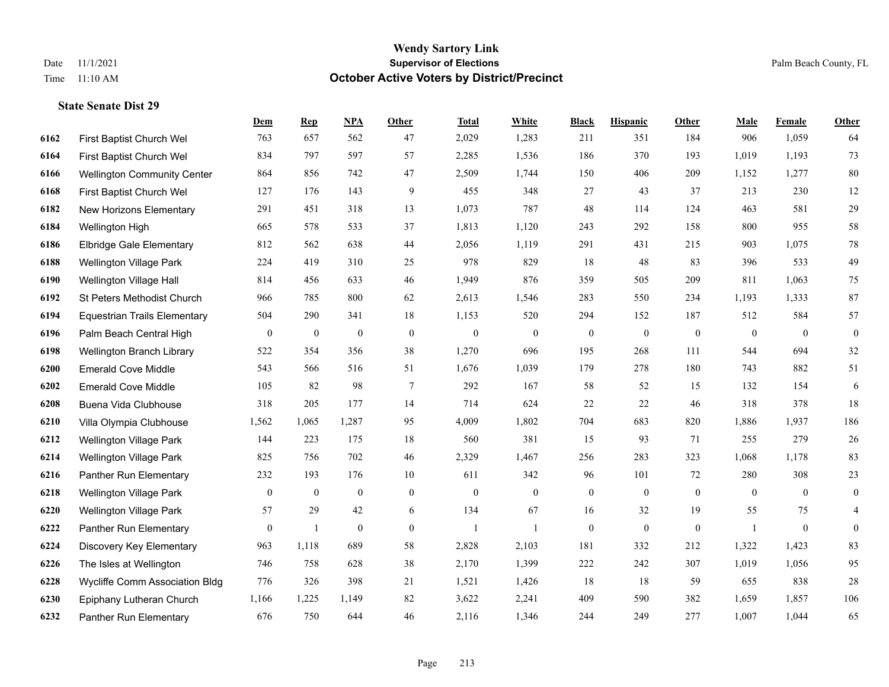|      |                                     | Dem            | <b>Rep</b>       | NPA              | <b>Other</b>   | <b>Total</b> | <b>White</b>     | <b>Black</b>     | <b>Hispanic</b> | <b>Other</b> | <b>Male</b>    | <b>Female</b>  | <b>Other</b>     |
|------|-------------------------------------|----------------|------------------|------------------|----------------|--------------|------------------|------------------|-----------------|--------------|----------------|----------------|------------------|
| 6162 | First Baptist Church Wel            | 763            | 657              | 562              | 47             | 2,029        | 1,283            | 211              | 351             | 184          | 906            | 1,059          | 64               |
| 6164 | First Baptist Church Wel            | 834            | 797              | 597              | 57             | 2,285        | 1,536            | 186              | 370             | 193          | 1,019          | 1,193          | 73               |
| 6166 | <b>Wellington Community Center</b>  | 864            | 856              | 742              | 47             | 2,509        | 1,744            | 150              | 406             | 209          | 1,152          | 1,277          | $80\,$           |
| 6168 | First Baptist Church Wel            | 127            | 176              | 143              | 9              | 455          | 348              | 27               | 43              | 37           | 213            | 230            | 12               |
| 6182 | New Horizons Elementary             | 291            | 451              | 318              | 13             | 1,073        | 787              | 48               | 114             | 124          | 463            | 581            | $29\,$           |
| 6184 | Wellington High                     | 665            | 578              | 533              | 37             | 1,813        | 1,120            | 243              | 292             | 158          | 800            | 955            | 58               |
| 6186 | <b>Elbridge Gale Elementary</b>     | 812            | 562              | 638              | 44             | 2,056        | 1,119            | 291              | 431             | 215          | 903            | 1,075          | $78\,$           |
| 6188 | <b>Wellington Village Park</b>      | 224            | 419              | 310              | 25             | 978          | 829              | 18               | 48              | 83           | 396            | 533            | 49               |
| 6190 | Wellington Village Hall             | 814            | 456              | 633              | 46             | 1,949        | 876              | 359              | 505             | 209          | 811            | 1,063          | 75               |
| 6192 | St Peters Methodist Church          | 966            | 785              | 800              | 62             | 2,613        | 1,546            | 283              | 550             | 234          | 1,193          | 1,333          | 87               |
| 6194 | <b>Equestrian Trails Elementary</b> | 504            | 290              | 341              | 18             | 1,153        | 520              | 294              | 152             | 187          | 512            | 584            | 57               |
| 6196 | Palm Beach Central High             | $\bf{0}$       | $\boldsymbol{0}$ | $\mathbf{0}$     | $\mathbf{0}$   | $\mathbf{0}$ | $\boldsymbol{0}$ | $\overline{0}$   | $\mathbf{0}$    | $\mathbf{0}$ | $\overline{0}$ | $\theta$       | $\boldsymbol{0}$ |
| 6198 | Wellington Branch Library           | 522            | 354              | 356              | 38             | 1,270        | 696              | 195              | 268             | 111          | 544            | 694            | $32\,$           |
| 6200 | <b>Emerald Cove Middle</b>          | 543            | 566              | 516              | 51             | 1,676        | 1,039            | 179              | 278             | 180          | 743            | 882            | 51               |
| 6202 | <b>Emerald Cove Middle</b>          | 105            | 82               | 98               | $\overline{7}$ | 292          | 167              | 58               | 52              | 15           | 132            | 154            | 6                |
| 6208 | Buena Vida Clubhouse                | 318            | 205              | 177              | 14             | 714          | 624              | 22               | 22              | 46           | 318            | 378            | $18\,$           |
| 6210 | Villa Olympia Clubhouse             | 1,562          | 1,065            | 1,287            | 95             | 4,009        | 1,802            | 704              | 683             | 820          | 1,886          | 1,937          | 186              |
| 6212 | <b>Wellington Village Park</b>      | 144            | 223              | 175              | 18             | 560          | 381              | 15               | 93              | 71           | 255            | 279            | 26               |
| 6214 | Wellington Village Park             | 825            | 756              | 702              | $46\,$         | 2,329        | 1,467            | 256              | 283             | 323          | 1,068          | 1,178          | 83               |
| 6216 | Panther Run Elementary              | 232            | 193              | 176              | 10             | 611          | 342              | 96               | 101             | 72           | 280            | 308            | 23               |
| 6218 | <b>Wellington Village Park</b>      | $\mathbf{0}$   | $\mathbf{0}$     | $\mathbf{0}$     | $\overline{0}$ | $\mathbf{0}$ | $\overline{0}$   | $\overline{0}$   | $\mathbf{0}$    | $\theta$     | $\theta$       | $\theta$       | $\boldsymbol{0}$ |
| 6220 | Wellington Village Park             | 57             | 29               | 42               | 6              | 134          | 67               | 16               | 32              | 19           | 55             | 75             | 4                |
| 6222 | Panther Run Elementary              | $\overline{0}$ | 1                | $\boldsymbol{0}$ | $\overline{0}$ | $\mathbf{1}$ | 1                | $\boldsymbol{0}$ | $\overline{0}$  | $\mathbf{0}$ | $\mathbf{1}$   | $\overline{0}$ | $\overline{0}$   |
| 6224 | Discovery Key Elementary            | 963            | 1,118            | 689              | 58             | 2,828        | 2,103            | 181              | 332             | 212          | 1,322          | 1,423          | 83               |
| 6226 | The Isles at Wellington             | 746            | 758              | 628              | 38             | 2,170        | 1,399            | 222              | 242             | 307          | 1,019          | 1,056          | 95               |
| 6228 | Wycliffe Comm Association Bldg      | 776            | 326              | 398              | 21             | 1,521        | 1,426            | 18               | 18              | 59           | 655            | 838            | $28\,$           |
| 6230 | Epiphany Lutheran Church            | 1,166          | 1,225            | 1,149            | 82             | 3,622        | 2,241            | 409              | 590             | 382          | 1,659          | 1,857          | 106              |
| 6232 | Panther Run Elementary              | 676            | 750              | 644              | 46             | 2,116        | 1,346            | 244              | 249             | 277          | 1,007          | 1,044          | 65               |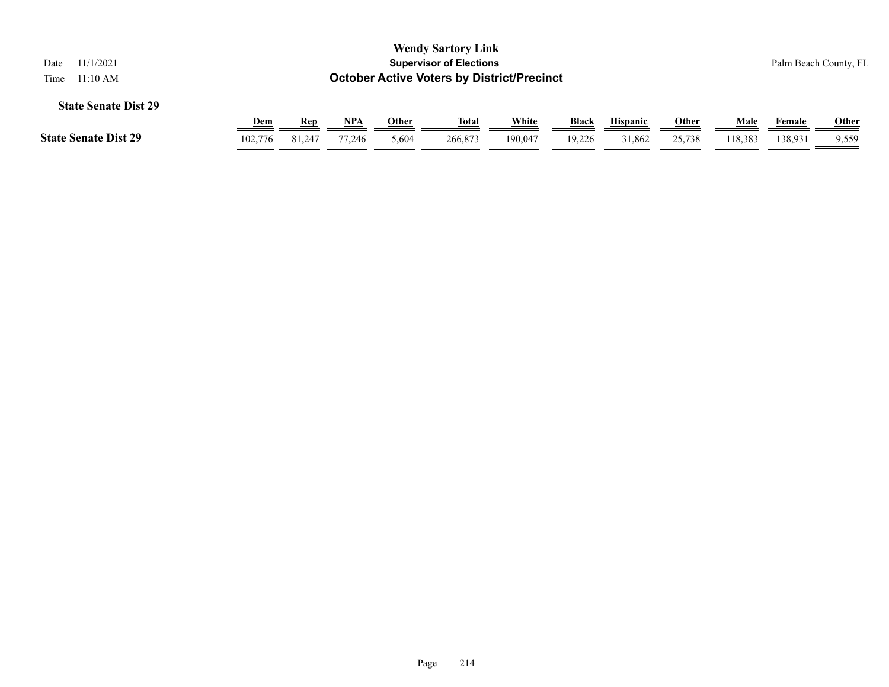| <b>Wendy Sartory Link</b><br><b>Supervisor of Elections</b><br>11/1/2021<br>Date<br><b>October Active Voters by District/Precinct</b><br>11:10 AM<br>Time |            |            |        |       |              |         |              |                 |              |         | Palm Beach County, FL |              |  |
|-----------------------------------------------------------------------------------------------------------------------------------------------------------|------------|------------|--------|-------|--------------|---------|--------------|-----------------|--------------|---------|-----------------------|--------------|--|
| <b>State Senate Dist 29</b>                                                                                                                               | <u>Dem</u> | <u>Rep</u> | NPA    | Other | <u>Total</u> | White   | <b>Black</b> | <b>Hispanic</b> | <b>Other</b> | Male    | Female                | <b>Other</b> |  |
| <b>State Senate Dist 29</b>                                                                                                                               | 102,776    | 81,247     | 77.246 | 5,604 | 266,873      | 190.047 | 19.226       | 31.862          | 25,738       | 118.383 | 138,931               | 9,559        |  |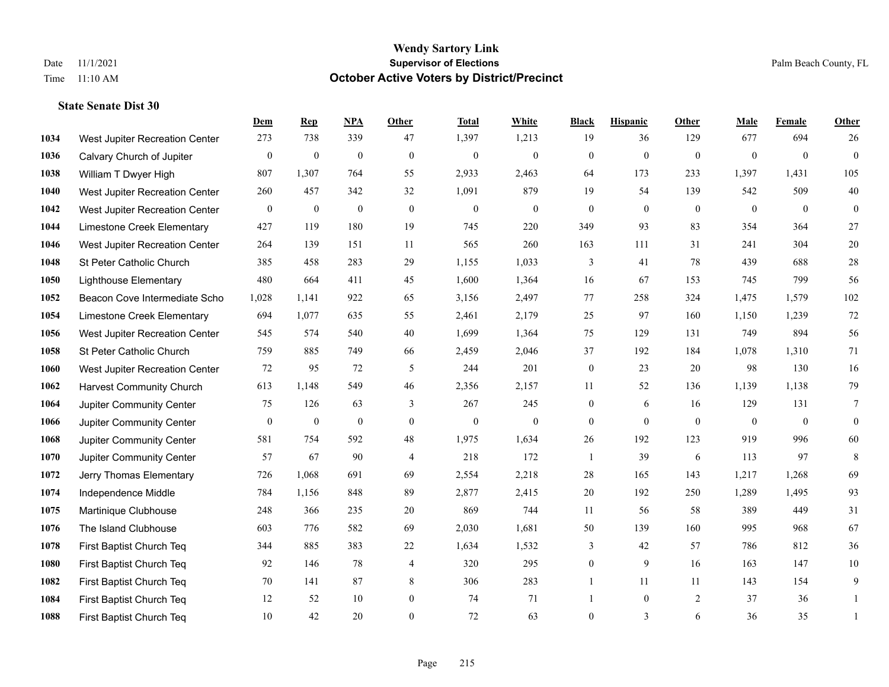|      |                                 | Dem              | <b>Rep</b>       | NPA              | <b>Other</b>   | <b>Total</b>     | <b>White</b>     | <b>Black</b>     | <b>Hispanic</b> | <b>Other</b> | <b>Male</b>  | Female       | <b>Other</b>     |
|------|---------------------------------|------------------|------------------|------------------|----------------|------------------|------------------|------------------|-----------------|--------------|--------------|--------------|------------------|
| 1034 | West Jupiter Recreation Center  | 273              | 738              | 339              | 47             | 1,397            | 1,213            | 19               | 36              | 129          | 677          | 694          | 26               |
| 1036 | Calvary Church of Jupiter       | $\boldsymbol{0}$ | $\mathbf{0}$     | $\mathbf{0}$     | $\mathbf{0}$   | $\mathbf{0}$     | $\overline{0}$   | $\mathbf{0}$     | $\mathbf{0}$    | $\mathbf{0}$ | $\mathbf{0}$ | $\mathbf{0}$ | $\mathbf{0}$     |
| 1038 | William T Dwyer High            | 807              | 1,307            | 764              | 55             | 2,933            | 2,463            | 64               | 173             | 233          | 1,397        | 1,431        | 105              |
| 1040 | West Jupiter Recreation Center  | 260              | 457              | 342              | 32             | 1,091            | 879              | 19               | 54              | 139          | 542          | 509          | $40\,$           |
| 1042 | West Jupiter Recreation Center  | $\overline{0}$   | $\boldsymbol{0}$ | $\mathbf{0}$     | $\theta$       | $\Omega$         | $\overline{0}$   | $\mathbf{0}$     | $\theta$        | $\theta$     | $\theta$     | $\theta$     | $\mathbf{0}$     |
| 1044 | Limestone Creek Elementary      | 427              | 119              | 180              | 19             | 745              | 220              | 349              | 93              | 83           | 354          | 364          | $27\,$           |
| 1046 | West Jupiter Recreation Center  | 264              | 139              | 151              | 11             | 565              | 260              | 163              | 111             | 31           | 241          | 304          | $20\,$           |
| 1048 | St Peter Catholic Church        | 385              | 458              | 283              | 29             | 1,155            | 1,033            | 3                | 41              | 78           | 439          | 688          | $28\,$           |
| 1050 | <b>Lighthouse Elementary</b>    | 480              | 664              | 411              | 45             | 1,600            | 1,364            | 16               | 67              | 153          | 745          | 799          | 56               |
| 1052 | Beacon Cove Intermediate Scho   | 1,028            | 1,141            | 922              | 65             | 3,156            | 2,497            | 77               | 258             | 324          | 1,475        | 1,579        | 102              |
| 1054 | Limestone Creek Elementary      | 694              | 1,077            | 635              | 55             | 2,461            | 2,179            | 25               | 97              | 160          | 1,150        | 1,239        | $72\,$           |
| 1056 | West Jupiter Recreation Center  | 545              | 574              | 540              | 40             | 1,699            | 1,364            | 75               | 129             | 131          | 749          | 894          | 56               |
| 1058 | St Peter Catholic Church        | 759              | 885              | 749              | 66             | 2,459            | 2,046            | 37               | 192             | 184          | 1,078        | 1,310        | 71               |
| 1060 | West Jupiter Recreation Center  | 72               | 95               | 72               | 5              | 244              | 201              | $\boldsymbol{0}$ | 23              | 20           | 98           | 130          | 16               |
| 1062 | <b>Harvest Community Church</b> | 613              | 1,148            | 549              | 46             | 2,356            | 2,157            | 11               | 52              | 136          | 1,139        | 1,138        | 79               |
| 1064 | Jupiter Community Center        | 75               | 126              | 63               | 3              | 267              | 245              | $\boldsymbol{0}$ | 6               | 16           | 129          | 131          | 7                |
| 1066 | Jupiter Community Center        | $\mathbf{0}$     | $\boldsymbol{0}$ | $\boldsymbol{0}$ | $\mathbf{0}$   | $\boldsymbol{0}$ | $\boldsymbol{0}$ | $\boldsymbol{0}$ | $\mathbf{0}$    | $\mathbf{0}$ | $\mathbf{0}$ | $\mathbf{0}$ | $\boldsymbol{0}$ |
| 1068 | Jupiter Community Center        | 581              | 754              | 592              | 48             | 1,975            | 1,634            | 26               | 192             | 123          | 919          | 996          | 60               |
| 1070 | Jupiter Community Center        | 57               | 67               | 90               | $\overline{4}$ | 218              | 172              | 1                | 39              | 6            | 113          | 97           | 8                |
| 1072 | Jerry Thomas Elementary         | 726              | 1,068            | 691              | 69             | 2,554            | 2,218            | $28\,$           | 165             | 143          | 1,217        | 1,268        | 69               |
| 1074 | Independence Middle             | 784              | 1,156            | 848              | 89             | 2,877            | 2,415            | $20\,$           | 192             | 250          | 1,289        | 1,495        | 93               |
| 1075 | Martinique Clubhouse            | 248              | 366              | 235              | 20             | 869              | 744              | 11               | 56              | 58           | 389          | 449          | 31               |
| 1076 | The Island Clubhouse            | 603              | 776              | 582              | 69             | 2,030            | 1,681            | 50               | 139             | 160          | 995          | 968          | 67               |
| 1078 | First Baptist Church Teq        | 344              | 885              | 383              | 22             | 1,634            | 1,532            | 3                | 42              | 57           | 786          | 812          | 36               |
| 1080 | First Baptist Church Teq        | 92               | 146              | 78               | $\overline{4}$ | 320              | 295              | $\boldsymbol{0}$ | 9               | 16           | 163          | 147          | 10               |
| 1082 | First Baptist Church Teq        | 70               | 141              | 87               | 8              | 306              | 283              | $\mathbf{1}$     | 11              | 11           | 143          | 154          | 9                |
| 1084 | First Baptist Church Teq        | 12               | 52               | 10               | $\mathbf{0}$   | 74               | 71               |                  | $\mathbf{0}$    | 2            | 37           | 36           | 1                |
| 1088 | First Baptist Church Teq        | 10               | 42               | 20               | $\Omega$       | 72               | 63               | $\overline{0}$   | 3               | 6            | 36           | 35           | 1                |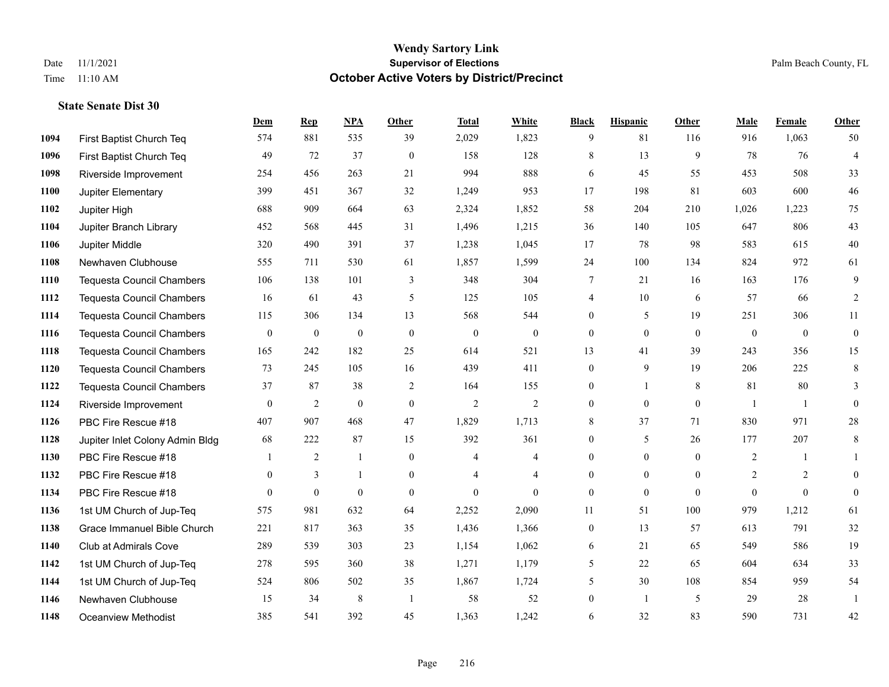|      |                                  | Dem            | <b>Rep</b>       | NPA          | <b>Other</b>   | <b>Total</b>   | <b>White</b>     | <b>Black</b>     | <b>Hispanic</b> | Other          | <b>Male</b>    | Female         | Other            |
|------|----------------------------------|----------------|------------------|--------------|----------------|----------------|------------------|------------------|-----------------|----------------|----------------|----------------|------------------|
| 1094 | First Baptist Church Teq         | 574            | 881              | 535          | 39             | 2,029          | 1,823            | 9                | 81              | 116            | 916            | 1,063          | 50               |
| 1096 | First Baptist Church Teq         | 49             | 72               | 37           | $\mathbf{0}$   | 158            | 128              | $\,$ 8 $\,$      | 13              | 9              | 78             | 76             | $\overline{4}$   |
| 1098 | Riverside Improvement            | 254            | 456              | 263          | 21             | 994            | 888              | 6                | 45              | 55             | 453            | 508            | 33               |
| 1100 | Jupiter Elementary               | 399            | 451              | 367          | 32             | 1,249          | 953              | 17               | 198             | 81             | 603            | 600            | $46\,$           |
| 1102 | Jupiter High                     | 688            | 909              | 664          | 63             | 2,324          | 1,852            | 58               | 204             | 210            | 1,026          | 1.223          | 75               |
| 1104 | Jupiter Branch Library           | 452            | 568              | 445          | 31             | 1,496          | 1,215            | 36               | 140             | 105            | 647            | 806            | $43\,$           |
| 1106 | Jupiter Middle                   | 320            | 490              | 391          | 37             | 1,238          | 1,045            | 17               | 78              | 98             | 583            | 615            | 40               |
| 1108 | Newhaven Clubhouse               | 555            | 711              | 530          | 61             | 1,857          | 1,599            | 24               | 100             | 134            | 824            | 972            | 61               |
| 1110 | <b>Tequesta Council Chambers</b> | 106            | 138              | 101          | 3              | 348            | 304              | 7                | 21              | 16             | 163            | 176            | 9                |
| 1112 | Tequesta Council Chambers        | 16             | 61               | 43           | 5              | 125            | 105              | 4                | 10              | 6              | 57             | 66             | 2                |
| 1114 | <b>Tequesta Council Chambers</b> | 115            | 306              | 134          | 13             | 568            | 544              | $\mathbf{0}$     | 5               | 19             | 251            | 306            | 11               |
| 1116 | <b>Tequesta Council Chambers</b> | $\mathbf{0}$   | $\boldsymbol{0}$ | $\mathbf{0}$ | $\mathbf{0}$   | $\mathbf{0}$   | $\boldsymbol{0}$ | $\boldsymbol{0}$ | $\mathbf{0}$    | $\theta$       | $\mathbf{0}$   | $\mathbf{0}$   | $\boldsymbol{0}$ |
| 1118 | <b>Tequesta Council Chambers</b> | 165            | 242              | 182          | 25             | 614            | 521              | 13               | 41              | 39             | 243            | 356            | 15               |
| 1120 | <b>Tequesta Council Chambers</b> | 73             | 245              | 105          | 16             | 439            | 411              | $\boldsymbol{0}$ | 9               | 19             | 206            | 225            | $\,8\,$          |
| 1122 | <b>Tequesta Council Chambers</b> | 37             | 87               | 38           | 2              | 164            | 155              | $\boldsymbol{0}$ | 1               | 8              | 81             | 80             | 3                |
| 1124 | Riverside Improvement            | $\overline{0}$ | $\overline{2}$   | $\mathbf{0}$ | $\overline{0}$ | $\overline{2}$ | $\mathfrak{2}$   | $\mathbf{0}$     | $\mathbf{0}$    | $\theta$       | $\overline{1}$ | -1             | $\mathbf{0}$     |
| 1126 | PBC Fire Rescue #18              | 407            | 907              | 468          | 47             | 1,829          | 1,713            | $\,$ 8 $\,$      | 37              | 71             | 830            | 971            | $28\,$           |
| 1128 | Jupiter Inlet Colony Admin Bldg  | 68             | 222              | 87           | 15             | 392            | 361              | $\overline{0}$   | 5               | 26             | 177            | 207            | 8                |
| 1130 | PBC Fire Rescue #18              | 1              | 2                | $\mathbf{1}$ | $\overline{0}$ | $\overline{4}$ | $\overline{4}$   | $\mathbf{0}$     | $\mathbf{0}$    | $\theta$       | $\overline{2}$ | 1              | $\mathbf{1}$     |
| 1132 | PBC Fire Rescue #18              | $\overline{0}$ | 3                | $\mathbf{1}$ | $\overline{0}$ | $\overline{4}$ | $\overline{4}$   | $\boldsymbol{0}$ | $\mathbf{0}$    | $\overline{0}$ | $\overline{2}$ | $\overline{2}$ | $\boldsymbol{0}$ |
| 1134 | PBC Fire Rescue #18              | $\Omega$       | $\mathbf{0}$     | $\mathbf{0}$ | $\Omega$       | $\theta$       | $\Omega$         | $\mathbf{0}$     | $\theta$        | $\theta$       | $\theta$       | $\theta$       | $\mathbf{0}$     |
| 1136 | 1st UM Church of Jup-Teq         | 575            | 981              | 632          | 64             | 2,252          | 2,090            | 11               | 51              | 100            | 979            | 1,212          | 61               |
| 1138 | Grace Immanuel Bible Church      | 221            | 817              | 363          | 35             | 1,436          | 1,366            | $\boldsymbol{0}$ | 13              | 57             | 613            | 791            | 32               |
| 1140 | <b>Club at Admirals Cove</b>     | 289            | 539              | 303          | 23             | 1,154          | 1,062            | 6                | 21              | 65             | 549            | 586            | 19               |
| 1142 | 1st UM Church of Jup-Teq         | 278            | 595              | 360          | 38             | 1,271          | 1,179            | 5                | 22              | 65             | 604            | 634            | 33               |
| 1144 | 1st UM Church of Jup-Teq         | 524            | 806              | 502          | 35             | 1,867          | 1,724            | 5                | 30              | 108            | 854            | 959            | 54               |
| 1146 | Newhaven Clubhouse               | 15             | 34               | 8            | $\overline{1}$ | 58             | 52               | $\boldsymbol{0}$ | 1               | 5              | 29             | 28             | -1               |
| 1148 | Oceanview Methodist              | 385            | 541              | 392          | 45             | 1,363          | 1,242            | 6                | 32              | 83             | 590            | 731            | 42               |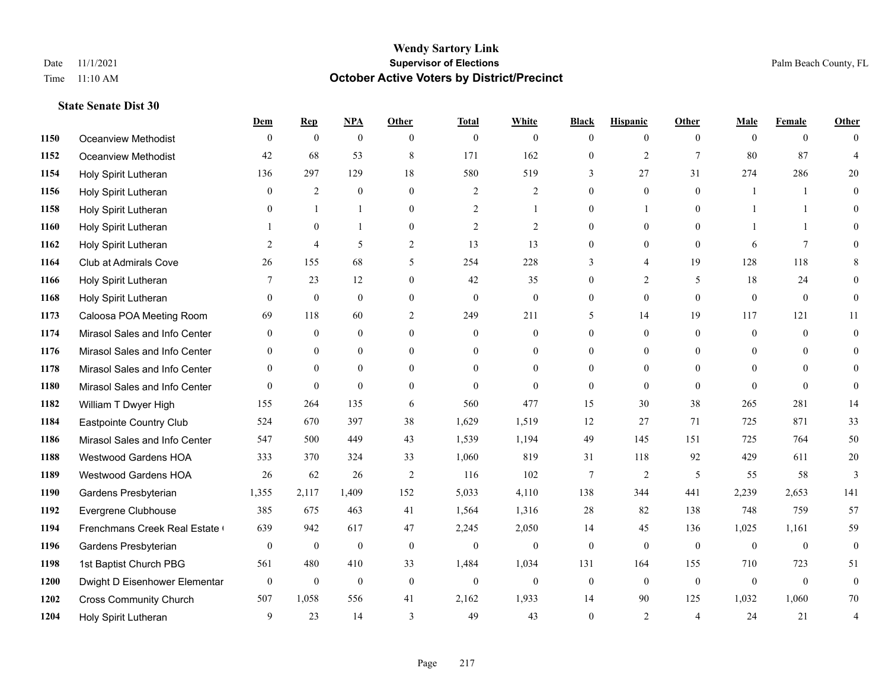|      |                               | Dem              | <b>Rep</b>       | NPA              | <b>Other</b>   | <b>Total</b>   | <b>White</b>     | <b>Black</b>     | <b>Hispanic</b> | <b>Other</b>   | <b>Male</b>  | <b>Female</b>   | <b>Other</b>     |
|------|-------------------------------|------------------|------------------|------------------|----------------|----------------|------------------|------------------|-----------------|----------------|--------------|-----------------|------------------|
| 1150 | Oceanview Methodist           | $\mathbf{0}$     | $\mathbf{0}$     | $\mathbf{0}$     | $\theta$       | $\theta$       | $\overline{0}$   | $\mathbf{0}$     | $\overline{0}$  | $\theta$       | $\theta$     | $\theta$        | $\Omega$         |
| 1152 | Oceanview Methodist           | 42               | 68               | 53               | $\,$ 8 $\,$    | 171            | 162              | $\boldsymbol{0}$ | $\mathfrak{2}$  | $\tau$         | 80           | 87              | $\overline{4}$   |
| 1154 | Holy Spirit Lutheran          | 136              | 297              | 129              | 18             | 580            | 519              | 3                | 27              | 31             | 274          | 286             | 20               |
| 1156 | Holy Spirit Lutheran          | $\mathbf{0}$     | $\overline{2}$   | $\overline{0}$   | $\mathbf{0}$   | $\overline{2}$ | $\overline{2}$   | $\mathbf{0}$     | $\mathbf{0}$    | $\mathbf{0}$   |              | 1               | $\theta$         |
| 1158 | Holy Spirit Lutheran          | $\Omega$         | 1                | $\mathbf{1}$     | $\overline{0}$ | 2              | -1               | $\mathbf{0}$     | 1               | $\theta$       |              | 1               | $\Omega$         |
| 1160 | Holy Spirit Lutheran          |                  | $\mathbf{0}$     | $\mathbf{1}$     | $\overline{0}$ | $\overline{2}$ | $\overline{2}$   | $\mathbf{0}$     | $\mathbf{0}$    | $\theta$       |              | -1              | $\Omega$         |
| 1162 | Holy Spirit Lutheran          | 2                | $\overline{4}$   | 5                | $\overline{2}$ | 13             | 13               | $\boldsymbol{0}$ | $\mathbf{0}$    | $\mathbf{0}$   | 6            | $7\phantom{.0}$ | $\Omega$         |
| 1164 | Club at Admirals Cove         | 26               | 155              | 68               | 5              | 254            | 228              | 3                | 4               | 19             | 128          | 118             | 8                |
| 1166 | Holy Spirit Lutheran          | $\tau$           | 23               | 12               | $\overline{0}$ | 42             | 35               | $\mathbf{0}$     | $\overline{2}$  | 5              | 18           | 24              | $\Omega$         |
| 1168 | Holy Spirit Lutheran          | $\theta$         | $\mathbf{0}$     | $\overline{0}$   | $\overline{0}$ | $\mathbf{0}$   | $\boldsymbol{0}$ | $\overline{0}$   | $\mathbf{0}$    | $\theta$       | $\mathbf{0}$ | $\overline{0}$  | $\overline{0}$   |
| 1173 | Caloosa POA Meeting Room      | 69               | 118              | 60               | 2              | 249            | 211              | 5                | 14              | 19             | 117          | 121             | 11               |
| 1174 | Mirasol Sales and Info Center | $\overline{0}$   | $\mathbf{0}$     | $\overline{0}$   | $\overline{0}$ | $\theta$       | $\overline{0}$   | $\mathbf{0}$     | $\mathbf{0}$    | $\theta$       | $\mathbf{0}$ | $\theta$        | $\mathbf{0}$     |
| 1176 | Mirasol Sales and Info Center | $\Omega$         | $\mathbf{0}$     | $\overline{0}$   | $\Omega$       | $\Omega$       | $\overline{0}$   | $\Omega$         | $\theta$        | $\Omega$       | $\theta$     | $\Omega$        | $\Omega$         |
| 1178 | Mirasol Sales and Info Center | $\mathbf{0}$     | $\mathbf{0}$     | $\boldsymbol{0}$ | $\overline{0}$ | $\theta$       | $\boldsymbol{0}$ | $\boldsymbol{0}$ | $\mathbf{0}$    | $\mathbf{0}$   | $\mathbf{0}$ | $\mathbf{0}$    |                  |
| 1180 | Mirasol Sales and Info Center | $\theta$         | $\mathbf{0}$     | $\mathbf{0}$     | $\theta$       | $\Omega$       | $\Omega$         | $\mathbf{0}$     | $\theta$        | $\theta$       | $\theta$     | $\Omega$        | $\theta$         |
| 1182 | William T Dwyer High          | 155              | 264              | 135              | 6              | 560            | 477              | 15               | 30              | 38             | 265          | 281             | 14               |
| 1184 | Eastpointe Country Club       | 524              | 670              | 397              | 38             | 1,629          | 1,519            | 12               | 27              | 71             | 725          | 871             | 33               |
| 1186 | Mirasol Sales and Info Center | 547              | 500              | 449              | 43             | 1,539          | 1,194            | 49               | 145             | 151            | 725          | 764             | 50               |
| 1188 | Westwood Gardens HOA          | 333              | 370              | 324              | 33             | 1,060          | 819              | 31               | 118             | 92             | 429          | 611             | $20\,$           |
| 1189 | Westwood Gardens HOA          | 26               | 62               | 26               | $\overline{2}$ | 116            | 102              | $\overline{7}$   | $\overline{2}$  | 5              | 55           | 58              | 3                |
| 1190 | Gardens Presbyterian          | 1,355            | 2,117            | 1,409            | 152            | 5,033          | 4,110            | 138              | 344             | 441            | 2,239        | 2,653           | 141              |
| 1192 | Evergrene Clubhouse           | 385              | 675              | 463              | 41             | 1,564          | 1,316            | 28               | 82              | 138            | 748          | 759             | 57               |
| 1194 | Frenchmans Creek Real Estate  | 639              | 942              | 617              | 47             | 2,245          | 2,050            | 14               | 45              | 136            | 1,025        | 1,161           | 59               |
| 1196 | Gardens Presbyterian          | $\overline{0}$   | $\boldsymbol{0}$ | $\boldsymbol{0}$ | $\mathbf{0}$   | $\mathbf{0}$   | $\boldsymbol{0}$ | $\boldsymbol{0}$ | $\mathbf{0}$    | $\mathbf{0}$   | $\mathbf{0}$ | $\mathbf{0}$    | $\mathbf{0}$     |
| 1198 | 1st Baptist Church PBG        | 561              | 480              | 410              | 33             | 1,484          | 1,034            | 131              | 164             | 155            | 710          | 723             | 51               |
| 1200 | Dwight D Eisenhower Elementar | $\boldsymbol{0}$ | $\boldsymbol{0}$ | $\boldsymbol{0}$ | $\mathbf{0}$   | $\mathbf{0}$   | $\boldsymbol{0}$ | $\boldsymbol{0}$ | $\mathbf{0}$    | $\mathbf{0}$   | $\mathbf{0}$ | $\mathbf{0}$    | $\boldsymbol{0}$ |
| 1202 | <b>Cross Community Church</b> | 507              | 1,058            | 556              | 41             | 2,162          | 1,933            | 14               | 90              | 125            | 1,032        | 1,060           | 70               |
| 1204 | Holy Spirit Lutheran          | 9                | 23               | 14               | 3              | 49             | 43               | $\theta$         | $\overline{c}$  | $\overline{4}$ | 24           | 21              | 4                |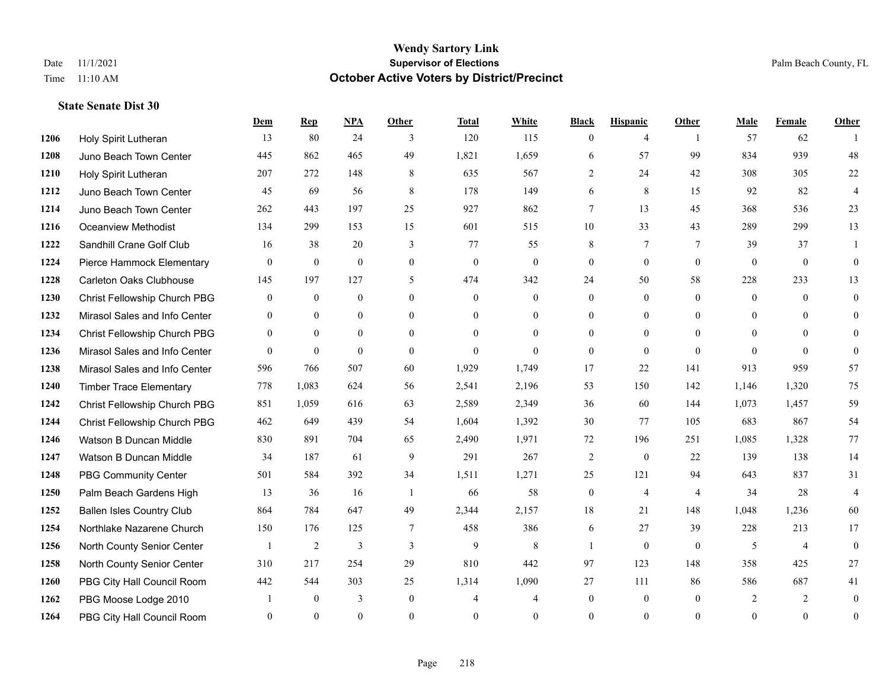|      |                                  | Dem          | <b>Rep</b>     | NPA              | <b>Other</b>   | <b>Total</b> | <b>White</b>   | <b>Black</b>     | <b>Hispanic</b>  | <b>Other</b>   | <b>Male</b> | Female         | <b>Other</b>   |
|------|----------------------------------|--------------|----------------|------------------|----------------|--------------|----------------|------------------|------------------|----------------|-------------|----------------|----------------|
| 1206 | Holy Spirit Lutheran             | 13           | 80             | 24               | 3              | 120          | 115            | $\theta$         | $\overline{4}$   | $\overline{1}$ | 57          | 62             |                |
| 1208 | Juno Beach Town Center           | 445          | 862            | 465              | 49             | 1,821        | 1,659          | 6                | 57               | 99             | 834         | 939            | $48\,$         |
| 1210 | Holy Spirit Lutheran             | 207          | 272            | 148              | 8              | 635          | 567            | 2                | 24               | 42             | 308         | 305            | 22             |
| 1212 | Juno Beach Town Center           | 45           | 69             | 56               | 8              | 178          | 149            | 6                | 8                | 15             | 92          | 82             | $\overline{4}$ |
| 1214 | Juno Beach Town Center           | 262          | 443            | 197              | 25             | 927          | 862            | $\tau$           | 13               | 45             | 368         | 536            | 23             |
| 1216 | <b>Oceanview Methodist</b>       | 134          | 299            | 153              | 15             | 601          | 515            | 10               | 33               | 43             | 289         | 299            | 13             |
| 1222 | Sandhill Crane Golf Club         | 16           | 38             | 20               | 3              | 77           | 55             | 8                | $7\overline{ }$  | $\tau$         | 39          | 37             | 1              |
| 1224 | Pierce Hammock Elementary        | $\mathbf{0}$ | $\overline{0}$ | $\mathbf{0}$     | $\theta$       | $\mathbf{0}$ | $\overline{0}$ | $\overline{0}$   | $\overline{0}$   | $\theta$       | $\theta$    | $\theta$       | $\theta$       |
| 1228 | <b>Carleton Oaks Clubhouse</b>   | 145          | 197            | 127              | 5              | 474          | 342            | 24               | 50               | 58             | 228         | 233            | 13             |
| 1230 | Christ Fellowship Church PBG     | $\mathbf{0}$ | $\overline{0}$ | $\mathbf{0}$     | $\overline{0}$ | $\mathbf{0}$ | $\overline{0}$ | $\theta$         | $\overline{0}$   | $\theta$       | $\theta$    | $\theta$       | $\overline{0}$ |
| 1232 | Mirasol Sales and Info Center    | $\mathbf{0}$ | $\theta$       | $\mathbf{0}$     | $\theta$       | $\Omega$     | $\overline{0}$ | $\overline{0}$   | $\overline{0}$   | $\theta$       | $\theta$    | $\theta$       | $\Omega$       |
| 1234 | Christ Fellowship Church PBG     | $\mathbf{0}$ | $\overline{0}$ | $\boldsymbol{0}$ | $\theta$       | $\theta$     | $\overline{0}$ | $\overline{0}$   | $\overline{0}$   | $\theta$       | $\theta$    | $\Omega$       | $\theta$       |
| 1236 | Mirasol Sales and Info Center    | $\Omega$     | $\mathbf{0}$   | $\theta$         | $\Omega$       | $\theta$     | $\theta$       | $\theta$         | $\Omega$         | $\Omega$       | $\Omega$    | $\Omega$       | $\Omega$       |
| 1238 | Mirasol Sales and Info Center    | 596          | 766            | 507              | 60             | 1,929        | 1,749          | 17               | 22               | 141            | 913         | 959            | 57             |
| 1240 | <b>Timber Trace Elementary</b>   | 778          | 1,083          | 624              | 56             | 2,541        | 2,196          | 53               | 150              | 142            | 1,146       | 1,320          | 75             |
| 1242 | Christ Fellowship Church PBG     | 851          | 1,059          | 616              | 63             | 2,589        | 2,349          | 36               | 60               | 144            | 1,073       | 1,457          | 59             |
| 1244 | Christ Fellowship Church PBG     | 462          | 649            | 439              | 54             | 1,604        | 1,392          | 30               | 77               | 105            | 683         | 867            | 54             |
| 1246 | Watson B Duncan Middle           | 830          | 891            | 704              | 65             | 2,490        | 1,971          | 72               | 196              | 251            | 1,085       | 1,328          | 77             |
| 1247 | Watson B Duncan Middle           | 34           | 187            | 61               | 9              | 291          | 267            | $\overline{c}$   | $\boldsymbol{0}$ | 22             | 139         | 138            | 14             |
| 1248 | <b>PBG Community Center</b>      | 501          | 584            | 392              | 34             | 1,511        | 1,271          | 25               | 121              | 94             | 643         | 837            | 31             |
| 1250 | Palm Beach Gardens High          | 13           | 36             | 16               | $\overline{1}$ | 66           | 58             | $\overline{0}$   | $\overline{4}$   | $\overline{4}$ | 34          | 28             | $\overline{4}$ |
| 1252 | <b>Ballen Isles Country Club</b> | 864          | 784            | 647              | 49             | 2,344        | 2,157          | 18               | 21               | 148            | 1,048       | 1,236          | 60             |
| 1254 | Northlake Nazarene Church        | 150          | 176            | 125              | $\tau$         | 458          | 386            | 6                | 27               | 39             | 228         | 213            | 17             |
| 1256 | North County Senior Center       |              | 2              | 3                | 3              | 9            | $8\,$          | -1               | $\overline{0}$   | $\mathbf{0}$   | 5           | $\overline{4}$ | $\mathbf{0}$   |
| 1258 | North County Senior Center       | 310          | 217            | 254              | 29             | 810          | 442            | 97               | 123              | 148            | 358         | 425            | 27             |
| 1260 | PBG City Hall Council Room       | 442          | 544            | 303              | 25             | 1,314        | 1,090          | 27               | 111              | 86             | 586         | 687            | 41             |
| 1262 | PBG Moose Lodge 2010             |              | $\mathbf{0}$   | 3                | $\mathbf{0}$   | 4            | 4              | $\boldsymbol{0}$ | $\mathbf{0}$     | $\mathbf{0}$   | 2           | 2              | $\overline{0}$ |
| 1264 | PBG City Hall Council Room       | $\theta$     | $\theta$       | $\theta$         | $\Omega$       | $\theta$     | $\theta$       | $\overline{0}$   | $\Omega$         | $\theta$       | $\Omega$    | $\theta$       | $\mathbf{0}$   |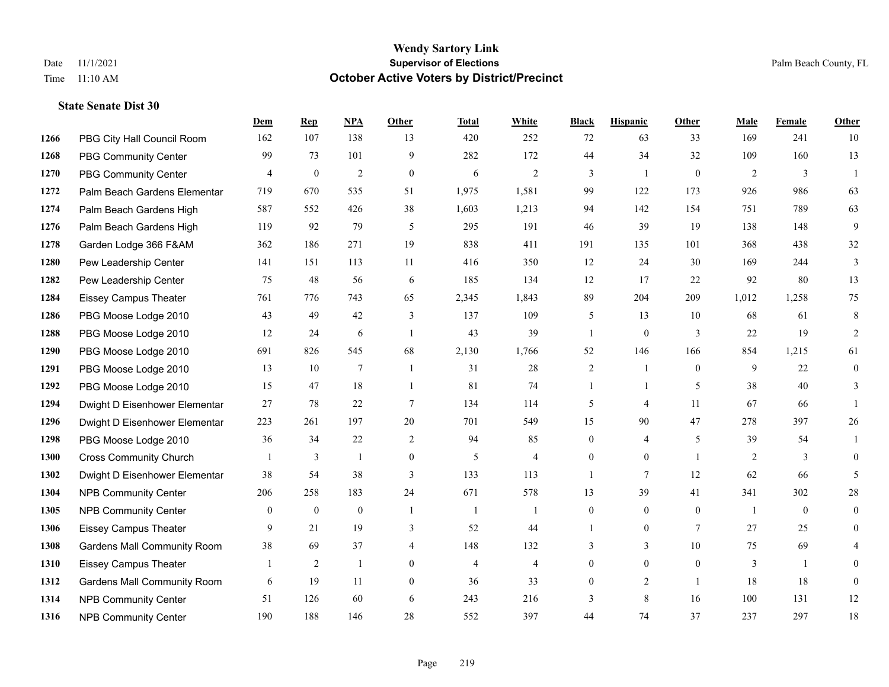**State Senate Dist 30**

#### **Wendy Sartory Link** Date 11/1/2021 **Supervisor of Elections** Palm Beach County, FL Time 11:10 AM **October Active Voters by District/Precinct**

# **Dem Rep NPA Other Total White Black Hispanic Other Male Female Other** PBG City Hall Council Room 162 107 138 13 420 252 72 63 33 169 241 10 PBG Community Center 99 73 101 9 282 172 44 34 32 109 160 13 PBG Community Center  $\begin{array}{ccccccccccccc}\n4 & 0 & 2 & 0 & 6 & 2 & 3 & 1 & 0 & 2 & 3 & 1\n\end{array}$  Palm Beach Gardens Elementary 719 670 535 51 1,975 1,581 99 122 173 926 986 63 Palm Beach Gardens High 587 552 426 38 1,603 1,213 94 142 154 751 789 63 Palm Beach Gardens High 119 92 79 5 295 191 46 39 19 138 148 9 Garden Lodge 366 F&AM 362 186 271 19 838 411 191 135 101 368 438 32 Pew Leadership Center 141 151 113 11 416 350 12 24 30 169 244 3 Pew Leadership Center 75 48 56 6 185 134 12 17 22 92 80 13 Eissey Campus Theater 761 776 743 65 2,345 1,843 89 204 209 1,012 1,258 75 PBG Moose Lodge 2010 43 49 42 3 137 109 5 13 10 68 61 8 PBG Moose Lodge 2010 12 24 6 1 43 39 1 0 3 22 19 2 PBG Moose Lodge 2010 691 826 545 68 2,130 1,766 52 146 166 854 1,215 61 PBG Moose Lodge 2010 13 10 7 1 31 28 2 1 0 9 22 0 PBG Moose Lodge 2010 15 47 18 1 81 74 1 1 5 38 40 3 Dwight D Eisenhower Elementar 27 78 22 7 134 114 5 4 11 67 66 1 Dwight D Eisenhower Elementar 223 261 197 20 701 549 15 90 47 278 397 26 PBG Moose Lodge 2010 36 34 22 2 94 85 0 4 5 39 54 1 Cross Community Church 1 3 1 0 5 4 0 0 1 2 3 0 Dwight D Eisenhower Elementar 38 54 38 3 133 113 1 7 12 62 66 5 NPB Community Center 206 258 183 24 671 578 13 39 41 341 302 28 NPB Community Center 0 0 0 1 1 1 0 0 0 1 0 0 Eissey Campus Theater **9** 21 19 3 52 44 1 0 7 27 25 0 Gardens Mall Community Room 38 69 37 4 148 132 3 3 10 75 69 4 Eissey Campus Theater 1 2 1 0 4 4 0 0 0 3 1 0 Gardens Mall Community Room 6 19 11 0 36 33 0 2 1 18 18 0 NPB Community Center 51 126 60 6 243 216 3 8 16 100 131 12 NPB Community Center 190 188 146 28 552 397 44 74 37 237 297 18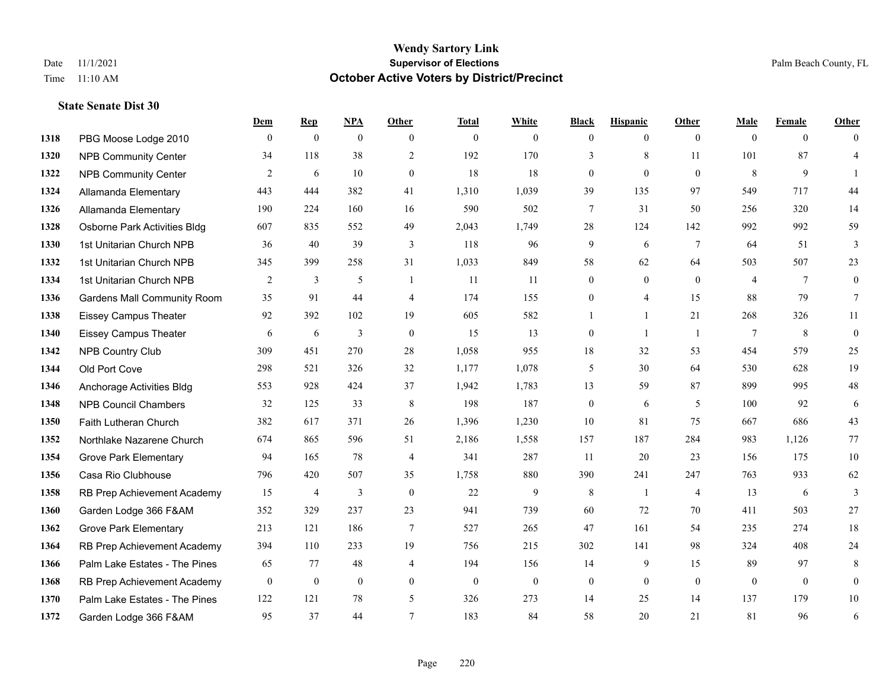|      |                                    | Dem            | <b>Rep</b>       | NPA          | <b>Other</b>   | <b>Total</b> | <b>White</b>     | <b>Black</b>     | <b>Hispanic</b>  | <b>Other</b>    | <b>Male</b>    | <b>Female</b>  | <b>Other</b>     |
|------|------------------------------------|----------------|------------------|--------------|----------------|--------------|------------------|------------------|------------------|-----------------|----------------|----------------|------------------|
| 1318 | PBG Moose Lodge 2010               | $\mathbf{0}$   | $\mathbf{0}$     | $\mathbf{0}$ | $\theta$       | $\theta$     | $\overline{0}$   | $\mathbf{0}$     | $\mathbf{0}$     | $\overline{0}$  | $\mathbf{0}$   | $\overline{0}$ | $\Omega$         |
| 1320 | <b>NPB Community Center</b>        | 34             | 118              | 38           | $\overline{2}$ | 192          | 170              | 3                | 8                | 11              | 101            | 87             | $\overline{4}$   |
| 1322 | <b>NPB Community Center</b>        | 2              | 6                | 10           | $\overline{0}$ | 18           | 18               | $\mathbf{0}$     | $\mathbf{0}$     | $\theta$        | 8              | 9              | $\mathbf{1}$     |
| 1324 | Allamanda Elementary               | 443            | 444              | 382          | 41             | 1,310        | 1,039            | 39               | 135              | 97              | 549            | 717            | 44               |
| 1326 | Allamanda Elementary               | 190            | 224              | 160          | 16             | 590          | 502              | $\overline{7}$   | 31               | 50              | 256            | 320            | 14               |
| 1328 | Osborne Park Activities Bldg       | 607            | 835              | 552          | 49             | 2,043        | 1,749            | 28               | 124              | 142             | 992            | 992            | 59               |
| 1330 | 1st Unitarian Church NPB           | 36             | 40               | 39           | 3              | 118          | 96               | 9                | 6                | $7\phantom{.0}$ | 64             | 51             | 3                |
| 1332 | 1st Unitarian Church NPB           | 345            | 399              | 258          | 31             | 1,033        | 849              | 58               | 62               | 64              | 503            | 507            | 23               |
| 1334 | 1st Unitarian Church NPB           | $\overline{2}$ | 3                | 5            | -1             | 11           | 11               | $\boldsymbol{0}$ | $\boldsymbol{0}$ | $\mathbf{0}$    | $\overline{4}$ | 7              | $\boldsymbol{0}$ |
| 1336 | <b>Gardens Mall Community Room</b> | 35             | 91               | 44           | $\overline{4}$ | 174          | 155              | $\overline{0}$   | 4                | 15              | 88             | 79             | $7\phantom{.0}$  |
| 1338 | <b>Eissey Campus Theater</b>       | 92             | 392              | 102          | 19             | 605          | 582              | $\mathbf{1}$     | $\mathbf{1}$     | 21              | 268            | 326            | 11               |
| 1340 | <b>Eissey Campus Theater</b>       | 6              | 6                | 3            | $\overline{0}$ | 15           | 13               | $\mathbf{0}$     | 1                | -1              | $\tau$         | 8              | $\mathbf{0}$     |
| 1342 | <b>NPB Country Club</b>            | 309            | 451              | 270          | 28             | 1,058        | 955              | 18               | 32               | 53              | 454            | 579            | 25               |
| 1344 | Old Port Cove                      | 298            | 521              | 326          | 32             | 1,177        | 1,078            | 5                | 30               | 64              | 530            | 628            | 19               |
| 1346 | Anchorage Activities Bldg          | 553            | 928              | 424          | 37             | 1,942        | 1,783            | 13               | 59               | 87              | 899            | 995            | $48\,$           |
| 1348 | <b>NPB Council Chambers</b>        | 32             | 125              | 33           | 8              | 198          | 187              | $\boldsymbol{0}$ | 6                | 5               | 100            | 92             | 6                |
| 1350 | Faith Lutheran Church              | 382            | 617              | 371          | 26             | 1,396        | 1,230            | 10               | 81               | 75              | 667            | 686            | 43               |
| 1352 | Northlake Nazarene Church          | 674            | 865              | 596          | 51             | 2,186        | 1,558            | 157              | 187              | 284             | 983            | 1,126          | 77               |
| 1354 | <b>Grove Park Elementary</b>       | 94             | 165              | 78           | $\overline{4}$ | 341          | 287              | 11               | 20               | 23              | 156            | 175            | 10               |
| 1356 | Casa Rio Clubhouse                 | 796            | 420              | 507          | 35             | 1,758        | 880              | 390              | 241              | 247             | 763            | 933            | 62               |
| 1358 | RB Prep Achievement Academy        | 15             | $\overline{4}$   | 3            | $\overline{0}$ | 22           | 9                | 8                | $\mathbf{1}$     | $\overline{4}$  | 13             | 6              | $\overline{3}$   |
| 1360 | Garden Lodge 366 F&AM              | 352            | 329              | 237          | 23             | 941          | 739              | 60               | 72               | 70              | 411            | 503            | 27               |
| 1362 | <b>Grove Park Elementary</b>       | 213            | 121              | 186          | $\tau$         | 527          | 265              | 47               | 161              | 54              | 235            | 274            | 18               |
| 1364 | RB Prep Achievement Academy        | 394            | 110              | 233          | 19             | 756          | 215              | 302              | 141              | 98              | 324            | 408            | $24\,$           |
| 1366 | Palm Lake Estates - The Pines      | 65             | 77               | 48           | $\overline{4}$ | 194          | 156              | 14               | 9                | 15              | 89             | 97             | 8                |
| 1368 | RB Prep Achievement Academy        | $\bf{0}$       | $\boldsymbol{0}$ | $\mathbf{0}$ | $\overline{0}$ | $\theta$     | $\boldsymbol{0}$ | $\mathbf{0}$     | $\mathbf{0}$     | $\theta$        | $\overline{0}$ | $\overline{0}$ | $\mathbf{0}$     |
| 1370 | Palm Lake Estates - The Pines      | 122            | 121              | 78           | 5              | 326          | 273              | 14               | 25               | 14              | 137            | 179            | $10\,$           |
| 1372 | Garden Lodge 366 F&AM              | 95             | 37               | 44           | $\tau$         | 183          | 84               | 58               | 20               | 21              | 81             | 96             | 6                |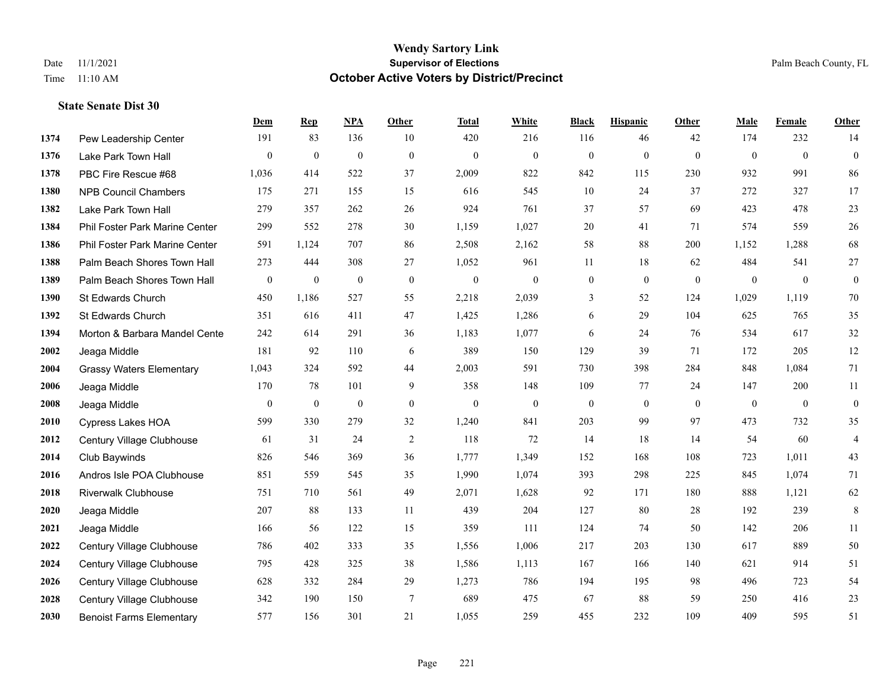|      |                                 | Dem          | <b>Rep</b>       | NPA              | <b>Other</b>   | <b>Total</b>     | <b>White</b>     | <b>Black</b>     | <b>Hispanic</b>  | <b>Other</b>     | <b>Male</b>      | <b>Female</b>  | <b>Other</b>     |
|------|---------------------------------|--------------|------------------|------------------|----------------|------------------|------------------|------------------|------------------|------------------|------------------|----------------|------------------|
| 1374 | Pew Leadership Center           | 191          | 83               | 136              | 10             | 420              | 216              | 116              | 46               | 42               | 174              | 232            | 14               |
| 1376 | Lake Park Town Hall             | $\mathbf{0}$ | $\mathbf{0}$     | $\mathbf{0}$     | $\mathbf{0}$   | $\mathbf{0}$     | $\mathbf{0}$     | $\mathbf{0}$     | $\mathbf{0}$     | $\theta$         | $\mathbf{0}$     | $\overline{0}$ | $\boldsymbol{0}$ |
| 1378 | PBC Fire Rescue #68             | 1,036        | 414              | 522              | 37             | 2,009            | 822              | 842              | 115              | 230              | 932              | 991            | 86               |
| 1380 | <b>NPB Council Chambers</b>     | 175          | 271              | 155              | 15             | 616              | 545              | 10               | 24               | 37               | 272              | 327            | 17               |
| 1382 | Lake Park Town Hall             | 279          | 357              | 262              | 26             | 924              | 761              | 37               | 57               | 69               | 423              | 478            | 23               |
| 1384 | Phil Foster Park Marine Center  | 299          | 552              | 278              | 30             | 1,159            | 1,027            | $20\,$           | 41               | 71               | 574              | 559            | $26\,$           |
| 1386 | Phil Foster Park Marine Center  | 591          | 1,124            | 707              | 86             | 2,508            | 2,162            | 58               | 88               | 200              | 1,152            | 1,288          | 68               |
| 1388 | Palm Beach Shores Town Hall     | 273          | 444              | 308              | 27             | 1,052            | 961              | 11               | 18               | 62               | 484              | 541            | 27               |
| 1389 | Palm Beach Shores Town Hall     | $\bf{0}$     | $\boldsymbol{0}$ | $\boldsymbol{0}$ | $\mathbf{0}$   | $\boldsymbol{0}$ | $\boldsymbol{0}$ | $\boldsymbol{0}$ | $\boldsymbol{0}$ | $\boldsymbol{0}$ | $\boldsymbol{0}$ | $\mathbf{0}$   | $\mathbf{0}$     |
| 1390 | St Edwards Church               | 450          | 1,186            | 527              | 55             | 2,218            | 2,039            | 3                | 52               | 124              | 1,029            | 1,119          | 70               |
| 1392 | St Edwards Church               | 351          | 616              | 411              | 47             | 1,425            | 1,286            | 6                | 29               | 104              | 625              | 765            | 35               |
| 1394 | Morton & Barbara Mandel Cente   | 242          | 614              | 291              | 36             | 1,183            | 1,077            | 6                | 24               | 76               | 534              | 617            | 32               |
| 2002 | Jeaga Middle                    | 181          | 92               | 110              | 6              | 389              | 150              | 129              | 39               | 71               | 172              | 205            | 12               |
| 2004 | <b>Grassy Waters Elementary</b> | 1,043        | 324              | 592              | 44             | 2,003            | 591              | 730              | 398              | 284              | 848              | 1,084          | 71               |
| 2006 | Jeaga Middle                    | 170          | 78               | 101              | 9              | 358              | 148              | 109              | 77               | 24               | 147              | 200            | $11\,$           |
| 2008 | Jeaga Middle                    | $\mathbf{0}$ | $\boldsymbol{0}$ | $\mathbf{0}$     | $\mathbf{0}$   | $\overline{0}$   | $\boldsymbol{0}$ | $\mathbf{0}$     | $\overline{0}$   | $\overline{0}$   | $\mathbf{0}$     | $\overline{0}$ | $\boldsymbol{0}$ |
| 2010 | Cypress Lakes HOA               | 599          | 330              | 279              | 32             | 1,240            | 841              | 203              | 99               | 97               | 473              | 732            | 35               |
| 2012 | Century Village Clubhouse       | 61           | 31               | 24               | 2              | 118              | 72               | 14               | 18               | 14               | 54               | 60             | 4                |
| 2014 | Club Baywinds                   | 826          | 546              | 369              | 36             | 1,777            | 1,349            | 152              | 168              | 108              | 723              | 1,011          | 43               |
| 2016 | Andros Isle POA Clubhouse       | 851          | 559              | 545              | 35             | 1,990            | 1,074            | 393              | 298              | 225              | 845              | 1,074          | 71               |
| 2018 | <b>Riverwalk Clubhouse</b>      | 751          | 710              | 561              | 49             | 2,071            | 1,628            | 92               | 171              | 180              | 888              | 1,121          | 62               |
| 2020 | Jeaga Middle                    | 207          | 88               | 133              | 11             | 439              | 204              | 127              | 80               | 28               | 192              | 239            | $\,8\,$          |
| 2021 | Jeaga Middle                    | 166          | 56               | 122              | 15             | 359              | 111              | 124              | 74               | 50               | 142              | 206            | $11\,$           |
| 2022 | Century Village Clubhouse       | 786          | 402              | 333              | 35             | 1,556            | 1,006            | 217              | 203              | 130              | 617              | 889            | 50               |
| 2024 | Century Village Clubhouse       | 795          | 428              | 325              | 38             | 1,586            | 1,113            | 167              | 166              | 140              | 621              | 914            | 51               |
| 2026 | Century Village Clubhouse       | 628          | 332              | 284              | 29             | 1,273            | 786              | 194              | 195              | 98               | 496              | 723            | 54               |
| 2028 | Century Village Clubhouse       | 342          | 190              | 150              | $\overline{7}$ | 689              | 475              | 67               | 88               | 59               | 250              | 416            | 23               |
| 2030 | <b>Benoist Farms Elementary</b> | 577          | 156              | 301              | 21             | 1,055            | 259              | 455              | 232              | 109              | 409              | 595            | 51               |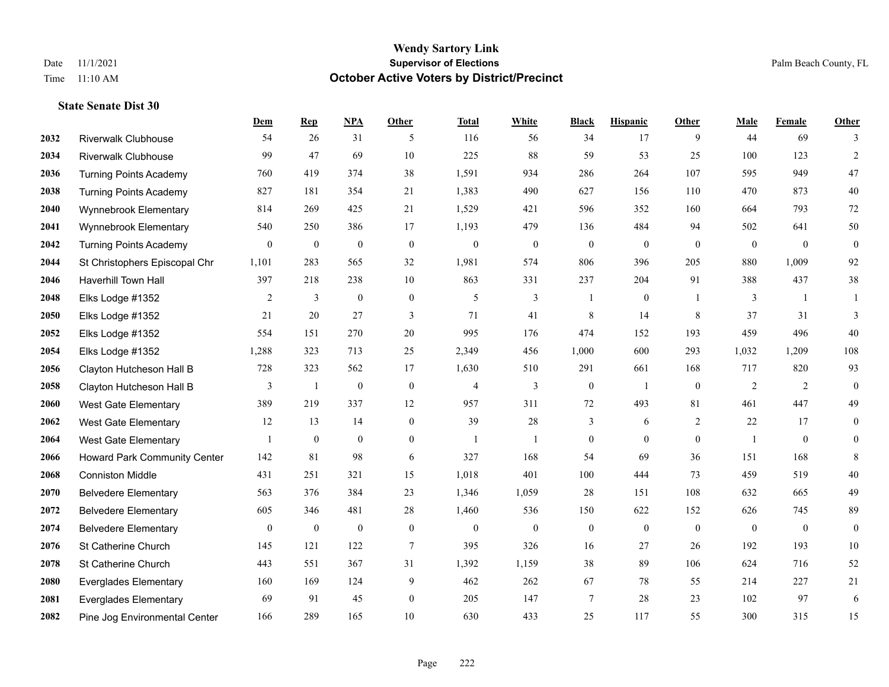|      |                               | Dem            | <b>Rep</b>       | NPA              | <b>Other</b>   | <b>Total</b> | <b>White</b>     | <b>Black</b>     | <b>Hispanic</b> | <b>Other</b>   | <b>Male</b>    | <b>Female</b>  | <b>Other</b>   |
|------|-------------------------------|----------------|------------------|------------------|----------------|--------------|------------------|------------------|-----------------|----------------|----------------|----------------|----------------|
| 2032 | <b>Riverwalk Clubhouse</b>    | 54             | 26               | 31               | 5              | 116          | 56               | 34               | 17              | 9              | 44             | 69             | 3              |
| 2034 | <b>Riverwalk Clubhouse</b>    | 99             | 47               | 69               | 10             | 225          | 88               | 59               | 53              | 25             | 100            | 123            | 2              |
| 2036 | <b>Turning Points Academy</b> | 760            | 419              | 374              | 38             | 1,591        | 934              | 286              | 264             | 107            | 595            | 949            | $47\,$         |
| 2038 | <b>Turning Points Academy</b> | 827            | 181              | 354              | 21             | 1,383        | 490              | 627              | 156             | 110            | 470            | 873            | 40             |
| 2040 | Wynnebrook Elementary         | 814            | 269              | 425              | 21             | 1,529        | 421              | 596              | 352             | 160            | 664            | 793            | $72\,$         |
| 2041 | Wynnebrook Elementary         | 540            | 250              | 386              | 17             | 1,193        | 479              | 136              | 484             | 94             | 502            | 641            | $50\,$         |
| 2042 | <b>Turning Points Academy</b> | $\bf{0}$       | $\boldsymbol{0}$ | $\boldsymbol{0}$ | $\mathbf{0}$   | $\theta$     | $\boldsymbol{0}$ | $\mathbf{0}$     | $\mathbf{0}$    | $\mathbf{0}$   | $\mathbf{0}$   | $\mathbf{0}$   | $\mathbf{0}$   |
| 2044 | St Christophers Episcopal Chr | 1,101          | 283              | 565              | 32             | 1,981        | 574              | 806              | 396             | 205            | 880            | 1,009          | 92             |
| 2046 | <b>Haverhill Town Hall</b>    | 397            | 218              | 238              | 10             | 863          | 331              | 237              | 204             | 91             | 388            | 437            | $38\,$         |
| 2048 | Elks Lodge #1352              | $\overline{2}$ | 3                | $\mathbf{0}$     | $\mathbf{0}$   | 5            | 3                |                  | $\overline{0}$  |                | 3              | $\overline{1}$ |                |
| 2050 | Elks Lodge #1352              | 21             | 20               | 27               | 3              | 71           | 41               | 8                | 14              | 8              | 37             | 31             | 3              |
| 2052 | Elks Lodge #1352              | 554            | 151              | 270              | 20             | 995          | 176              | 474              | 152             | 193            | 459            | 496            | 40             |
| 2054 | Elks Lodge #1352              | 1,288          | 323              | 713              | 25             | 2,349        | 456              | 1,000            | 600             | 293            | 1,032          | 1,209          | 108            |
| 2056 | Clayton Hutcheson Hall B      | 728            | 323              | 562              | 17             | 1,630        | 510              | 291              | 661             | 168            | 717            | 820            | 93             |
| 2058 | Clayton Hutcheson Hall B      | 3              | -1               | $\boldsymbol{0}$ | $\mathbf{0}$   | 4            | 3                | $\boldsymbol{0}$ | $\overline{1}$  | $\overline{0}$ | 2              | 2              | $\overline{0}$ |
| 2060 | <b>West Gate Elementary</b>   | 389            | 219              | 337              | 12             | 957          | 311              | 72               | 493             | 81             | 461            | 447            | 49             |
| 2062 | <b>West Gate Elementary</b>   | 12             | 13               | 14               | $\mathbf{0}$   | 39           | 28               | $\mathfrak{Z}$   | 6               | 2              | 22             | 17             | $\overline{0}$ |
| 2064 | <b>West Gate Elementary</b>   |                | $\mathbf{0}$     | $\mathbf{0}$     | $\overline{0}$ | $\mathbf{1}$ | 1                | $\overline{0}$   | $\overline{0}$  | $\mathbf{0}$   | $\overline{1}$ | $\overline{0}$ | $\overline{0}$ |
| 2066 | Howard Park Community Center  | 142            | 81               | 98               | 6              | 327          | 168              | 54               | 69              | 36             | 151            | 168            | 8              |
| 2068 | <b>Conniston Middle</b>       | 431            | 251              | 321              | 15             | 1,018        | 401              | 100              | 444             | 73             | 459            | 519            | 40             |
| 2070 | <b>Belvedere Elementary</b>   | 563            | 376              | 384              | 23             | 1,346        | 1,059            | 28               | 151             | 108            | 632            | 665            | 49             |
| 2072 | <b>Belvedere Elementary</b>   | 605            | 346              | 481              | 28             | 1,460        | 536              | 150              | 622             | 152            | 626            | 745            | 89             |
| 2074 | <b>Belvedere Elementary</b>   | $\mathbf{0}$   | $\boldsymbol{0}$ | $\boldsymbol{0}$ | $\mathbf{0}$   | $\mathbf{0}$ | $\boldsymbol{0}$ | $\mathbf{0}$     | $\mathbf{0}$    | $\overline{0}$ | $\overline{0}$ | $\overline{0}$ | $\mathbf{0}$   |
| 2076 | St Catherine Church           | 145            | 121              | 122              | $\overline{7}$ | 395          | 326              | 16               | 27              | 26             | 192            | 193            | $10\,$         |
| 2078 | St Catherine Church           | 443            | 551              | 367              | 31             | 1,392        | 1,159            | 38               | 89              | 106            | 624            | 716            | 52             |
| 2080 | <b>Everglades Elementary</b>  | 160            | 169              | 124              | 9              | 462          | 262              | 67               | 78              | 55             | 214            | 227            | 21             |
| 2081 | <b>Everglades Elementary</b>  | 69             | 91               | 45               | $\mathbf{0}$   | 205          | 147              | $\tau$           | 28              | 23             | 102            | 97             | 6              |
| 2082 | Pine Jog Environmental Center | 166            | 289              | 165              | 10             | 630          | 433              | 25               | 117             | 55             | 300            | 315            | 15             |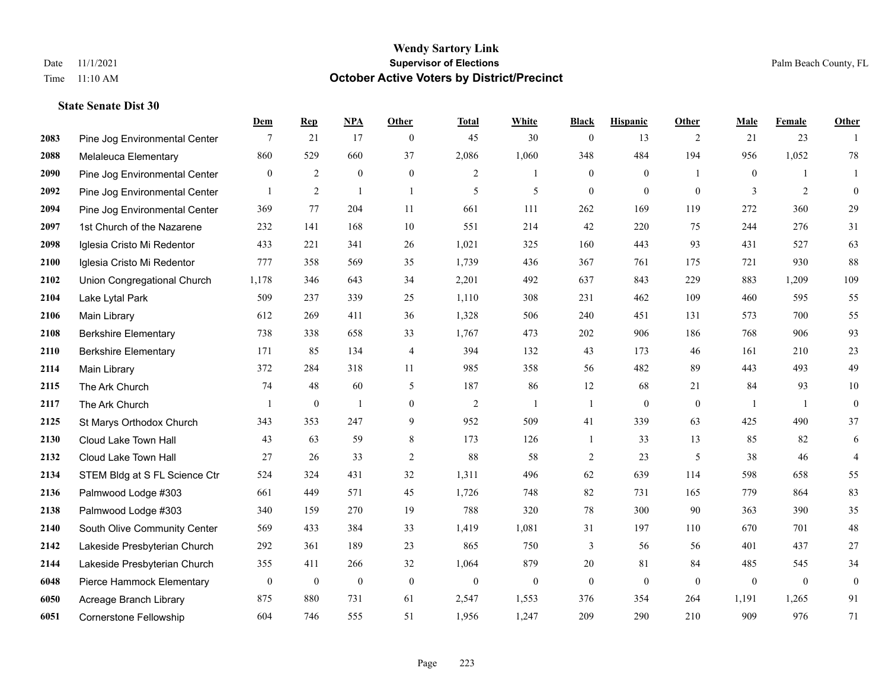|      |                               | Dem              | <b>Rep</b>       | NPA              | <b>Other</b>     | <b>Total</b>   | <b>White</b>     | <b>Black</b>     | <b>Hispanic</b>  | <b>Other</b>   | <b>Male</b>    | <b>Female</b>  | <b>Other</b>     |
|------|-------------------------------|------------------|------------------|------------------|------------------|----------------|------------------|------------------|------------------|----------------|----------------|----------------|------------------|
| 2083 | Pine Jog Environmental Center | 7                | 21               | 17               | $\overline{0}$   | 45             | 30               | $\boldsymbol{0}$ | 13               | 2              | 21             | 23             | $\mathbf{1}$     |
| 2088 | Melaleuca Elementary          | 860              | 529              | 660              | 37               | 2,086          | 1,060            | 348              | 484              | 194            | 956            | 1,052          | 78               |
| 2090 | Pine Jog Environmental Center | $\overline{0}$   | $\overline{c}$   | $\boldsymbol{0}$ | $\boldsymbol{0}$ | 2              | $\mathbf{1}$     | $\boldsymbol{0}$ | $\boldsymbol{0}$ | $\overline{1}$ | $\mathbf{0}$   | -1             | $\mathbf{1}$     |
| 2092 | Pine Jog Environmental Center | $\mathbf{1}$     | $\overline{2}$   | $\overline{1}$   | $\mathbf{1}$     | 5              | 5                | $\boldsymbol{0}$ | $\mathbf{0}$     | $\mathbf{0}$   | 3              | $\overline{2}$ | $\boldsymbol{0}$ |
| 2094 | Pine Jog Environmental Center | 369              | 77               | 204              | 11               | 661            | 111              | 262              | 169              | 119            | 272            | 360            | 29               |
| 2097 | 1st Church of the Nazarene    | 232              | 141              | 168              | 10               | 551            | 214              | 42               | 220              | 75             | 244            | 276            | 31               |
| 2098 | Iglesia Cristo Mi Redentor    | 433              | 221              | 341              | 26               | 1,021          | 325              | 160              | 443              | 93             | 431            | 527            | 63               |
| 2100 | Iglesia Cristo Mi Redentor    | 777              | 358              | 569              | 35               | 1,739          | 436              | 367              | 761              | 175            | 721            | 930            | 88               |
| 2102 | Union Congregational Church   | 1,178            | 346              | 643              | 34               | 2,201          | 492              | 637              | 843              | 229            | 883            | 1,209          | 109              |
| 2104 | Lake Lytal Park               | 509              | 237              | 339              | 25               | 1,110          | 308              | 231              | 462              | 109            | 460            | 595            | 55               |
| 2106 | Main Library                  | 612              | 269              | 411              | 36               | 1,328          | 506              | 240              | 451              | 131            | 573            | 700            | 55               |
| 2108 | <b>Berkshire Elementary</b>   | 738              | 338              | 658              | 33               | 1,767          | 473              | 202              | 906              | 186            | 768            | 906            | 93               |
| 2110 | <b>Berkshire Elementary</b>   | 171              | 85               | 134              | $\overline{4}$   | 394            | 132              | 43               | 173              | 46             | 161            | 210            | $23\,$           |
| 2114 | Main Library                  | 372              | 284              | 318              | 11               | 985            | 358              | 56               | 482              | 89             | 443            | 493            | 49               |
| 2115 | The Ark Church                | 74               | 48               | 60               | 5                | 187            | 86               | 12               | 68               | 21             | 84             | 93             | $10\,$           |
| 2117 | The Ark Church                | $\mathbf{1}$     | $\boldsymbol{0}$ | $\mathbf{1}$     | $\overline{0}$   | $\overline{2}$ | $\mathbf{1}$     | $\mathbf{1}$     | $\mathbf{0}$     | $\mathbf{0}$   | $\overline{1}$ | -1             | $\boldsymbol{0}$ |
| 2125 | St Marys Orthodox Church      | 343              | 353              | 247              | 9                | 952            | 509              | 41               | 339              | 63             | 425            | 490            | 37               |
| 2130 | Cloud Lake Town Hall          | 43               | 63               | 59               | 8                | 173            | 126              | 1                | 33               | 13             | 85             | 82             | $\sqrt{6}$       |
| 2132 | Cloud Lake Town Hall          | 27               | 26               | 33               | $\overline{2}$   | 88             | 58               | $\overline{c}$   | 23               | 5              | 38             | 46             | $\overline{4}$   |
| 2134 | STEM Bldg at S FL Science Ctr | 524              | 324              | 431              | 32               | 1,311          | 496              | 62               | 639              | 114            | 598            | 658            | 55               |
| 2136 | Palmwood Lodge #303           | 661              | 449              | 571              | 45               | 1,726          | 748              | 82               | 731              | 165            | 779            | 864            | 83               |
| 2138 | Palmwood Lodge #303           | 340              | 159              | 270              | 19               | 788            | 320              | 78               | 300              | 90             | 363            | 390            | 35               |
| 2140 | South Olive Community Center  | 569              | 433              | 384              | 33               | 1,419          | 1,081            | 31               | 197              | 110            | 670            | 701            | $48\,$           |
| 2142 | Lakeside Presbyterian Church  | 292              | 361              | 189              | 23               | 865            | 750              | 3                | 56               | 56             | 401            | 437            | 27               |
| 2144 | Lakeside Presbyterian Church  | 355              | 411              | 266              | 32               | 1,064          | 879              | 20               | 81               | 84             | 485            | 545            | 34               |
| 6048 | Pierce Hammock Elementary     | $\boldsymbol{0}$ | $\bf{0}$         | $\boldsymbol{0}$ | $\mathbf{0}$     | $\mathbf{0}$   | $\boldsymbol{0}$ | $\boldsymbol{0}$ | $\boldsymbol{0}$ | $\theta$       | $\mathbf{0}$   | $\mathbf{0}$   | $\boldsymbol{0}$ |
| 6050 | Acreage Branch Library        | 875              | 880              | 731              | 61               | 2,547          | 1,553            | 376              | 354              | 264            | 1,191          | 1,265          | 91               |
| 6051 | <b>Cornerstone Fellowship</b> | 604              | 746              | 555              | 51               | 1,956          | 1,247            | 209              | 290              | 210            | 909            | 976            | 71               |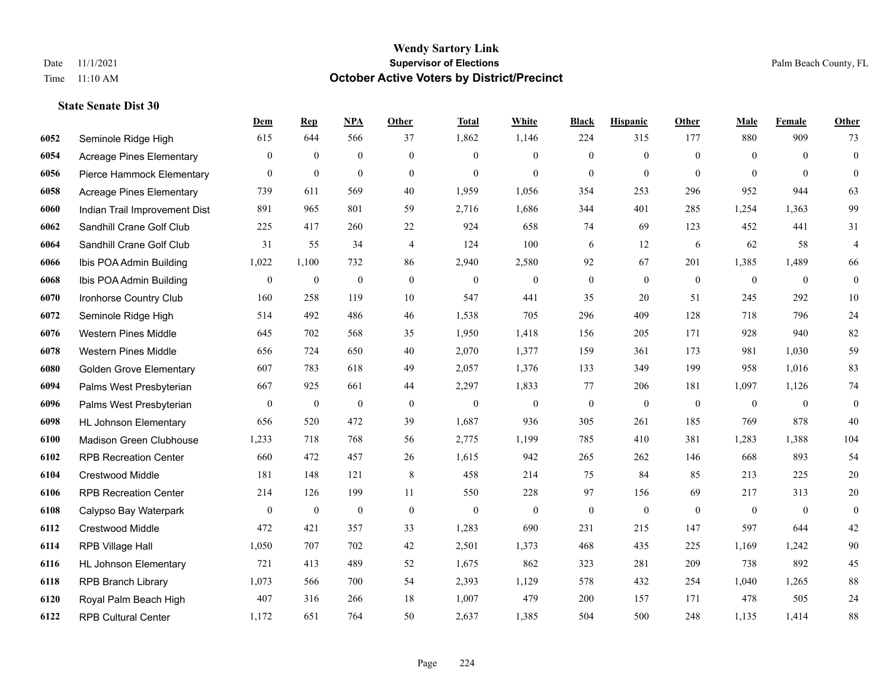**State Senate Dist 30**

#### **Wendy Sartory Link** Date 11/1/2021 **Supervisor of Elections** Palm Beach County, FL Time 11:10 AM **October Active Voters by District/Precinct**

# **Dem Rep NPA Other Total White Black Hispanic Other Male Female Other** Seminole Ridge High 615 644 566 37 1,862 1,146 224 315 177 880 909 73 Acreage Pines Elementary 0 0 0 0 0 0 0 0 0 0 0 0 Pierce Hammock Elementary 0 0 0 0 0 0 0 0 0 0 0 0 Acreage Pines Elementary 739 611 569 40 1,959 1,056 354 253 296 952 944 63 Indian Trail Improvement Dist 891 965 801 59 2,716 1,686 344 401 285 1,254 1,363 99 Sandhill Crane Golf Club 225 417 260 22 924 658 74 69 123 452 441 31 Sandhill Crane Golf Club 31 55 34 4 124 100 6 12 6 62 58 4 Ibis POA Admin Building 1,022 1,100 732 86 2,940 2,580 92 67 201 1,385 1,489 66 Ibis POA Admin Building 0 0 0 0 0 0 0 0 0 0 0 0 Ironhorse Country Club 160 258 119 10 547 441 35 20 51 245 292 10 Seminole Ridge High 514 492 486 46 1,538 705 296 409 128 718 796 24 Western Pines Middle 645 702 568 35 1,950 1,418 156 205 171 928 940 82 Western Pines Middle 656 724 650 40 2,070 1,377 159 361 173 981 1,030 59 Golden Grove Elementary 607 783 618 49 2,057 1,376 133 349 199 958 1,016 83 Palms West Presbyterian 667 925 661 44 2,297 1,833 77 206 181 1,097 1,126 74 Palms West Presbyterian 0 0 0 0 0 0 0 0 0 0 0 0 HL Johnson Elementary 656 520 472 39 1,687 936 305 261 185 769 878 40 Madison Green Clubhouse 1,233 718 768 56 2,775 1,199 785 410 381 1,283 1,388 104 RPB Recreation Center 660 472 457 26 1,615 942 265 262 146 668 893 54 Crestwood Middle 181 148 121 8 458 214 75 84 85 213 225 20 RPB Recreation Center 214 126 199 11 550 228 97 156 69 217 313 20 Calypso Bay Waterpark 0 0 0 0 0 0 0 0 0 0 0 0 Crestwood Middle 472 421 357 33 1,283 690 231 215 147 597 644 42 RPB Village Hall 1,050 707 702 42 2,501 1,373 468 435 225 1,169 1,242 90 HL Johnson Elementary 721 413 489 52 1,675 862 323 281 209 738 892 45 RPB Branch Library 1,073 566 700 54 2,393 1,129 578 432 254 1,040 1,265 88 Royal Palm Beach High 407 316 266 18 1,007 479 200 157 171 478 505 24 RPB Cultural Center 1,172 651 764 50 2,637 1,385 504 500 248 1,135 1,414 88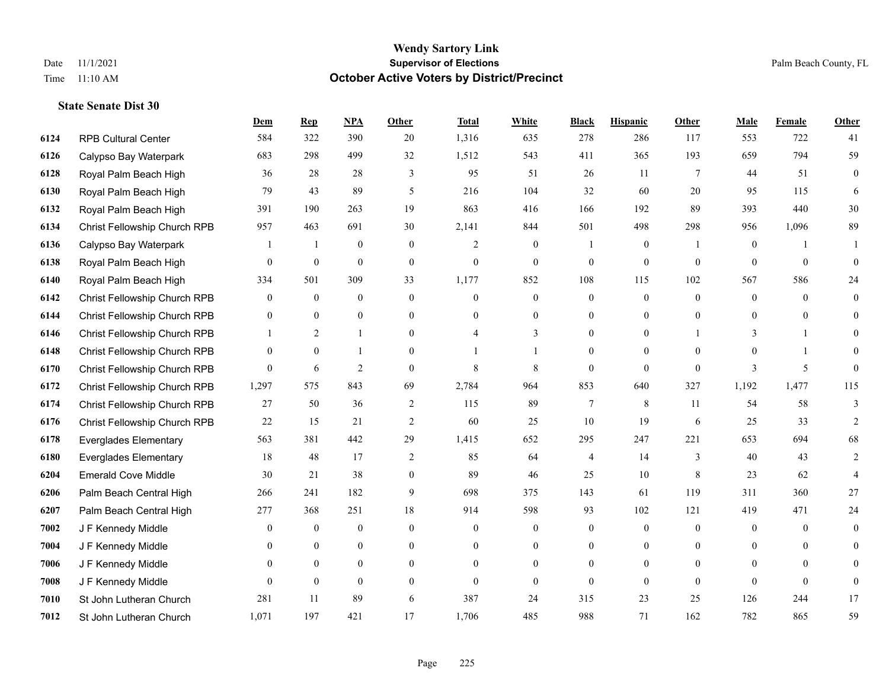|      |                              | <b>Dem</b>     | <b>Rep</b>       | NPA              | <b>Other</b>     | <b>Total</b>   | <b>White</b>     | <b>Black</b>   | <b>Hispanic</b> | <b>Other</b> | <b>Male</b>  | Female         | <b>Other</b>     |
|------|------------------------------|----------------|------------------|------------------|------------------|----------------|------------------|----------------|-----------------|--------------|--------------|----------------|------------------|
| 6124 | <b>RPB Cultural Center</b>   | 584            | 322              | 390              | 20               | 1,316          | 635              | 278            | 286             | 117          | 553          | 722            | 41               |
| 6126 | Calypso Bay Waterpark        | 683            | 298              | 499              | 32               | 1,512          | 543              | 411            | 365             | 193          | 659          | 794            | 59               |
| 6128 | Royal Palm Beach High        | 36             | 28               | 28               | 3                | 95             | 51               | 26             | 11              | 7            | 44           | 51             | $\boldsymbol{0}$ |
| 6130 | Royal Palm Beach High        | 79             | 43               | 89               | 5                | 216            | 104              | 32             | 60              | 20           | 95           | 115            | 6                |
| 6132 | Royal Palm Beach High        | 391            | 190              | 263              | 19               | 863            | 416              | 166            | 192             | 89           | 393          | 440            | 30               |
| 6134 | Christ Fellowship Church RPB | 957            | 463              | 691              | 30               | 2,141          | 844              | 501            | 498             | 298          | 956          | 1,096          | 89               |
| 6136 | Calypso Bay Waterpark        | 1              | $\mathbf{1}$     | $\mathbf{0}$     | $\overline{0}$   | $\overline{2}$ | $\overline{0}$   |                | $\mathbf{0}$    | -1           | $\mathbf{0}$ | $\mathbf{1}$   | 1                |
| 6138 | Royal Palm Beach High        | 0              | $\mathbf{0}$     | $\theta$         | $\Omega$         | $\theta$       | $\overline{0}$   | $\theta$       | $\theta$        | $\Omega$     | $\Omega$     | $\Omega$       | $\Omega$         |
| 6140 | Royal Palm Beach High        | 334            | 501              | 309              | 33               | 1,177          | 852              | 108            | 115             | 102          | 567          | 586            | 24               |
| 6142 | Christ Fellowship Church RPB | 0              | $\mathbf{0}$     | $\mathbf{0}$     | $\overline{0}$   | $\theta$       | $\overline{0}$   | $\overline{0}$ | $\mathbf{0}$    | $\theta$     | $\mathbf{0}$ | $\theta$       | $\overline{0}$   |
| 6144 | Christ Fellowship Church RPB | 0              | $\theta$         | $\theta$         | $\Omega$         | $\Omega$       | $\overline{0}$   | $\overline{0}$ | $\theta$        | $\Omega$     | $\Omega$     | $\Omega$       | $\theta$         |
| 6146 | Christ Fellowship Church RPB |                | 2                | $\mathbf{1}$     | $\Omega$         |                | 3                | $\overline{0}$ | $\mathbf{0}$    |              | 3            |                | 0                |
| 6148 | Christ Fellowship Church RPB | 0              | $\mathbf{0}$     | $\overline{1}$   | $\Omega$         |                |                  | $\Omega$       | $\theta$        | $\Omega$     | $\Omega$     |                | 0                |
| 6170 | Christ Fellowship Church RPB | $\overline{0}$ | 6                | $\overline{2}$   | $\overline{0}$   | 8              | 8                | $\mathbf{0}$   | $\mathbf{0}$    | $\mathbf{0}$ | 3            | 5              | $\overline{0}$   |
| 6172 | Christ Fellowship Church RPB | 1,297          | 575              | 843              | 69               | 2,784          | 964              | 853            | 640             | 327          | 1,192        | 1,477          | 115              |
| 6174 | Christ Fellowship Church RPB | 27             | 50               | 36               | 2                | 115            | 89               | $\tau$         | 8               | 11           | 54           | 58             | 3                |
| 6176 | Christ Fellowship Church RPB | 22             | 15               | 21               | $\overline{2}$   | 60             | 25               | 10             | 19              | 6            | 25           | 33             | 2                |
| 6178 | <b>Everglades Elementary</b> | 563            | 381              | 442              | 29               | 1,415          | 652              | 295            | 247             | 221          | 653          | 694            | 68               |
| 6180 | <b>Everglades Elementary</b> | 18             | 48               | 17               | $\overline{2}$   | 85             | 64               | 4              | 14              | 3            | 40           | 43             | 2                |
| 6204 | <b>Emerald Cove Middle</b>   | 30             | 21               | 38               | $\boldsymbol{0}$ | 89             | 46               | 25             | 10              | 8            | 23           | 62             | 4                |
| 6206 | Palm Beach Central High      | 266            | 241              | 182              | 9                | 698            | 375              | 143            | 61              | 119          | 311          | 360            | 27               |
| 6207 | Palm Beach Central High      | 277            | 368              | 251              | 18               | 914            | 598              | 93             | 102             | 121          | 419          | 471            | 24               |
| 7002 | J F Kennedy Middle           | 0              | $\boldsymbol{0}$ | $\boldsymbol{0}$ | $\overline{0}$   | $\mathbf{0}$   | $\boldsymbol{0}$ | $\mathbf{0}$   | $\mathbf{0}$    | $\mathbf{0}$ | $\mathbf{0}$ | $\theta$       | $\mathbf{0}$     |
| 7004 | J F Kennedy Middle           | 0              | $\mathbf{0}$     | $\overline{0}$   | $\overline{0}$   | $\theta$       | $\boldsymbol{0}$ | $\mathbf{0}$   | $\mathbf{0}$    | $\theta$     | $\mathbf{0}$ | $\overline{0}$ | $\theta$         |
| 7006 | J F Kennedy Middle           | 0              | $\theta$         | $\theta$         | $\Omega$         | $\Omega$       | $\overline{0}$   | $\mathbf{0}$   | $\mathbf{0}$    | $\Omega$     | $\Omega$     | $\Omega$       | $\Omega$         |
| 7008 | J F Kennedy Middle           | 0              | $\mathbf{0}$     | $\mathbf{0}$     | $\theta$         | $\Omega$       | $\overline{0}$   | $\Omega$       | $\theta$        | $\Omega$     | $\theta$     | $\Omega$       | $\Omega$         |
| 7010 | St John Lutheran Church      | 281            | 11               | 89               | 6                | 387            | 24               | 315            | 23              | 25           | 126          | 244            | 17               |
| 7012 | St John Lutheran Church      | 1,071          | 197              | 421              | 17               | 1,706          | 485              | 988            | 71              | 162          | 782          | 865            | 59               |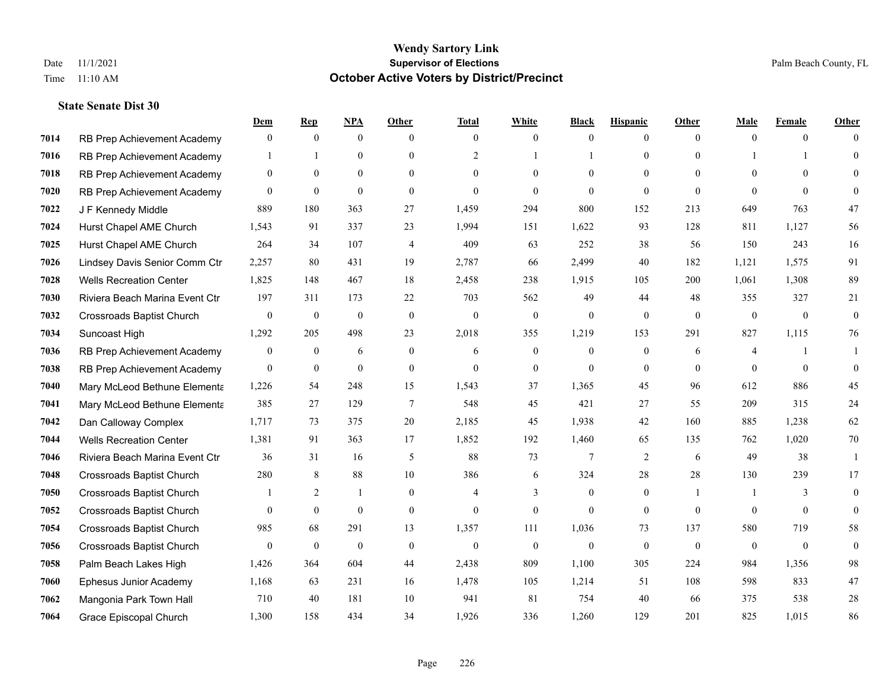|      |                                  | Dem            | <b>Rep</b>       | NPA              | <b>Other</b>   | <b>Total</b>   | <b>White</b>     | <b>Black</b> | <b>Hispanic</b> | Other          | <b>Male</b>    | <b>Female</b> | <b>Other</b> |
|------|----------------------------------|----------------|------------------|------------------|----------------|----------------|------------------|--------------|-----------------|----------------|----------------|---------------|--------------|
| 7014 | RB Prep Achievement Academy      | $\mathbf{0}$   | $\mathbf{0}$     | $\mathbf{0}$     | $\theta$       | $\theta$       | $\overline{0}$   | $\mathbf{0}$ | $\mathbf{0}$    | $\theta$       | $\theta$       | $\theta$      | $\Omega$     |
| 7016 | RB Prep Achievement Academy      |                |                  | $\mathbf{0}$     | $\theta$       | $\overline{2}$ |                  |              | $\mathbf{0}$    | $\theta$       |                |               | $\Omega$     |
| 7018 | RB Prep Achievement Academy      | $\theta$       | $\theta$         | $\theta$         | $\Omega$       | $\Omega$       | $\Omega$         | $\Omega$     | $\theta$        | $\Omega$       | $\Omega$       | $\Omega$      |              |
| 7020 | RB Prep Achievement Academy      | $\mathbf{0}$   | $\mathbf{0}$     | $\mathbf{0}$     | $\overline{0}$ | $\mathbf{0}$   | $\overline{0}$   | $\mathbf{0}$ | $\theta$        | $\theta$       | $\theta$       | $\mathbf{0}$  | $\Omega$     |
| 7022 | J F Kennedy Middle               | 889            | 180              | 363              | 27             | 1,459          | 294              | 800          | 152             | 213            | 649            | 763           | 47           |
| 7024 | Hurst Chapel AME Church          | 1,543          | 91               | 337              | 23             | 1,994          | 151              | 1,622        | 93              | 128            | 811            | 1,127         | 56           |
| 7025 | Hurst Chapel AME Church          | 264            | 34               | 107              | 4              | 409            | 63               | 252          | 38              | 56             | 150            | 243           | 16           |
| 7026 | Lindsey Davis Senior Comm Ctr    | 2,257          | 80               | 431              | 19             | 2,787          | 66               | 2,499        | 40              | 182            | 1,121          | 1,575         | 91           |
| 7028 | <b>Wells Recreation Center</b>   | 1,825          | 148              | 467              | 18             | 2,458          | 238              | 1,915        | 105             | 200            | 1,061          | 1,308         | 89           |
| 7030 | Riviera Beach Marina Event Ctr   | 197            | 311              | 173              | 22             | 703            | 562              | 49           | 44              | 48             | 355            | 327           | 21           |
| 7032 | <b>Crossroads Baptist Church</b> | $\mathbf{0}$   | $\bf{0}$         | $\boldsymbol{0}$ | $\mathbf{0}$   | $\mathbf{0}$   | $\boldsymbol{0}$ | $\mathbf{0}$ | $\mathbf{0}$    | $\theta$       | $\overline{0}$ | $\mathbf{0}$  | $\mathbf{0}$ |
| 7034 | Suncoast High                    | 1,292          | 205              | 498              | 23             | 2,018          | 355              | 1,219        | 153             | 291            | 827            | 1,115         | 76           |
| 7036 | RB Prep Achievement Academy      | $\mathbf{0}$   | $\mathbf{0}$     | 6                | $\overline{0}$ | 6              | $\overline{0}$   | $\mathbf{0}$ | $\mathbf{0}$    | 6              | $\overline{4}$ | $\mathbf{1}$  |              |
| 7038 | RB Prep Achievement Academy      | $\mathbf{0}$   | $\bf{0}$         | $\mathbf{0}$     | $\overline{0}$ | $\mathbf{0}$   | $\boldsymbol{0}$ | $\mathbf{0}$ | $\mathbf{0}$    | $\theta$       | $\theta$       | $\mathbf{0}$  | $\theta$     |
| 7040 | Mary McLeod Bethune Elementa     | 1,226          | 54               | 248              | 15             | 1,543          | 37               | 1,365        | 45              | 96             | 612            | 886           | 45           |
| 7041 | Mary McLeod Bethune Elementa     | 385            | 27               | 129              | $\tau$         | 548            | 45               | 421          | 27              | 55             | 209            | 315           | 24           |
| 7042 | Dan Calloway Complex             | 1,717          | 73               | 375              | 20             | 2,185          | 45               | 1,938        | 42              | 160            | 885            | 1,238         | 62           |
| 7044 | <b>Wells Recreation Center</b>   | 1,381          | 91               | 363              | 17             | 1,852          | 192              | 1,460        | 65              | 135            | 762            | 1,020         | 70           |
| 7046 | Riviera Beach Marina Event Ctr   | 36             | 31               | 16               | 5              | 88             | 73               | 7            | 2               | 6              | 49             | 38            | $\mathbf{1}$ |
| 7048 | <b>Crossroads Baptist Church</b> | 280            | 8                | 88               | 10             | 386            | 6                | 324          | 28              | 28             | 130            | 239           | 17           |
| 7050 | <b>Crossroads Baptist Church</b> |                | 2                | $\mathbf{1}$     | $\Omega$       | 4              | 3                | $\theta$     | $\Omega$        | $\overline{1}$ | 1              | 3             | $\Omega$     |
| 7052 | <b>Crossroads Baptist Church</b> | $\overline{0}$ | $\boldsymbol{0}$ | $\mathbf{0}$     | $\overline{0}$ | $\mathbf{0}$   | $\overline{0}$   | $\mathbf{0}$ | $\mathbf{0}$    | $\mathbf{0}$   | $\mathbf{0}$   | $\mathbf{0}$  | $\mathbf{0}$ |
| 7054 | <b>Crossroads Baptist Church</b> | 985            | 68               | 291              | 13             | 1,357          | 111              | 1,036        | 73              | 137            | 580            | 719           | 58           |
| 7056 | <b>Crossroads Baptist Church</b> | $\mathbf{0}$   | $\mathbf{0}$     | $\mathbf{0}$     | $\theta$       | $\theta$       | $\overline{0}$   | $\theta$     | $\theta$        | $\theta$       | $\theta$       | $\theta$      | $\theta$     |
| 7058 | Palm Beach Lakes High            | 1,426          | 364              | 604              | 44             | 2,438          | 809              | 1,100        | 305             | 224            | 984            | 1,356         | 98           |
| 7060 | Ephesus Junior Academy           | 1,168          | 63               | 231              | 16             | 1,478          | 105              | 1,214        | 51              | 108            | 598            | 833           | 47           |
| 7062 | Mangonia Park Town Hall          | 710            | 40               | 181              | 10             | 941            | 81               | 754          | 40              | 66             | 375            | 538           | 28           |
| 7064 | Grace Episcopal Church           | 1,300          | 158              | 434              | 34             | 1,926          | 336              | 1,260        | 129             | 201            | 825            | 1,015         | 86           |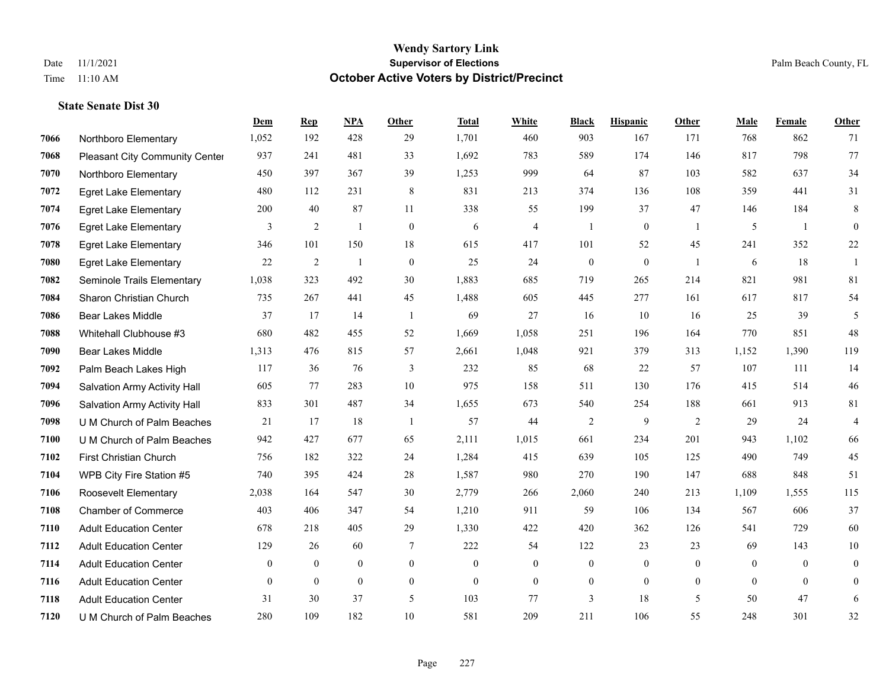**State Senate Dist 30**

#### **Wendy Sartory Link** Date 11/1/2021 **Supervisor of Elections** Palm Beach County, FL Time 11:10 AM **October Active Voters by District/Precinct**

# **Dem Rep NPA Other Total White Black Hispanic Other Male Female Other** Northboro Elementary 1,052 192 428 29 1,701 460 903 167 171 768 862 71 Pleasant City Community Center 937 241 481 33 1,692 783 589 174 146 817 798 77 Northboro Elementary 450 397 367 39 1,253 999 64 87 103 582 637 34 Egret Lake Elementary 480 112 231 8 831 213 374 136 108 359 441 31 Egret Lake Elementary 200 40 87 11 338 55 199 37 47 146 184 8 Egret Lake Elementary 3 2 1 0 6 4 1 0 1 5 1 0 Egret Lake Elementary 346 101 150 18 615 417 101 52 45 241 352 22 Egret Lake Elementary 22 2 1 0 25 24 0 0 1 6 18 1 Seminole Trails Elementary 1,038 323 492 30 1,883 685 719 265 214 821 981 81 Sharon Christian Church 735 267 441 45 1,488 605 445 277 161 617 817 54 Bear Lakes Middle 37 17 14 1 69 27 16 10 16 25 39 5 Whitehall Clubhouse #3 680 482 455 52 1,669 1,058 251 196 164 770 851 48 Bear Lakes Middle 1,313 476 815 57 2,661 1,048 921 379 313 1,152 1,390 119 Palm Beach Lakes High 117 36 76 3 232 85 68 22 57 107 111 14 Salvation Army Activity Hall 605 77 283 10 975 158 511 130 176 415 514 46 Salvation Army Activity Hall 833 301 487 34 1,655 673 540 254 188 661 913 81 U M Church of Palm Beaches 21 17 18 1 57 44 2 9 2 29 24 4 U M Church of Palm Beaches 942 427 677 65 2,111 1,015 661 234 201 943 1,102 66 First Christian Church 756 182 322 24 1,284 415 639 105 125 490 749 45 WPB City Fire Station #5 740 395 424 28 1,587 980 270 190 147 688 848 51 Roosevelt Elementary 2,038 164 547 30 2,779 266 2,060 240 213 1,109 1,555 115 Chamber of Commerce 403 406 347 54 1,210 911 59 106 134 567 606 37 Adult Education Center 678 218 405 29 1,330 422 420 362 126 541 729 60 Adult Education Center 129 26 60 7 222 54 122 23 23 69 143 10 Adult Education Center 0 0 0 0 0 0 0 0 0 0 0 0 Adult Education Center 0 0 0 0 0 0 0 0 0 0 0 0 Adult Education Center 31 30 37 5 103 77 3 18 5 50 47 6

U M Church of Palm Beaches 280 109 182 10 581 209 211 106 55 248 301 32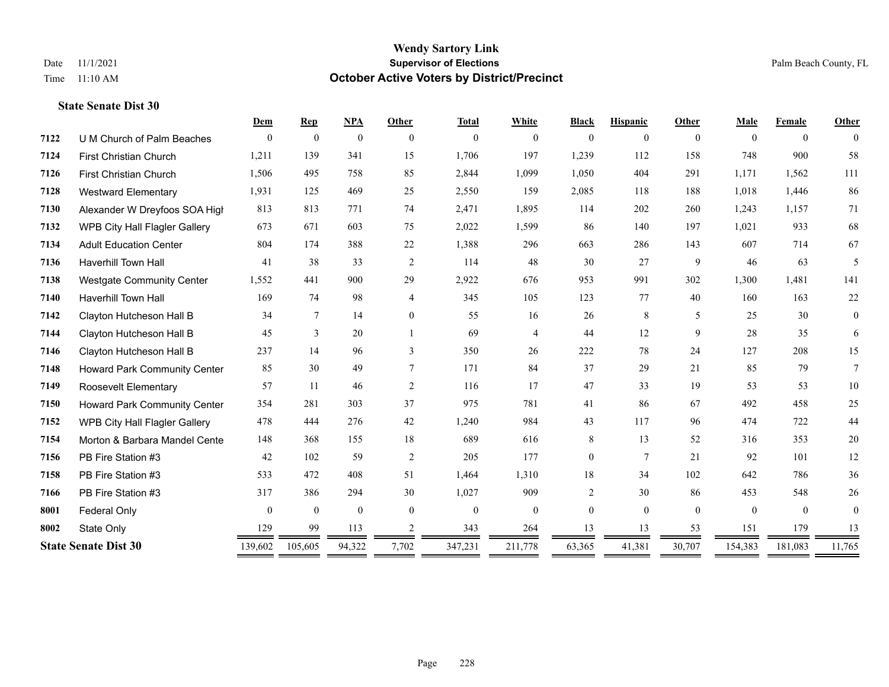|      |                                      | Dem          | <b>Rep</b>      | <b>NPA</b>   | <b>Other</b>   | <b>Total</b> | White          | <b>Black</b>   | <b>Hispanic</b> | Other        | Male         | Female       | Other        |
|------|--------------------------------------|--------------|-----------------|--------------|----------------|--------------|----------------|----------------|-----------------|--------------|--------------|--------------|--------------|
| 7122 | U M Church of Palm Beaches           | $\theta$     | $\theta$        | $\mathbf{0}$ | $\theta$       | $\mathbf{0}$ | $\overline{0}$ | $\mathbf{0}$   | $\mathbf{0}$    | $\theta$     | $\Omega$     | $\theta$     | $\theta$     |
| 7124 | <b>First Christian Church</b>        | 1,211        | 139             | 341          | 15             | 1,706        | 197            | 1,239          | 112             | 158          | 748          | 900          | 58           |
| 7126 | <b>First Christian Church</b>        | 1,506        | 495             | 758          | 85             | 2,844        | 1,099          | 1,050          | 404             | 291          | 1,171        | 1,562        | 111          |
| 7128 | <b>Westward Elementary</b>           | 1,931        | 125             | 469          | 25             | 2,550        | 159            | 2,085          | 118             | 188          | 1,018        | 1,446        | 86           |
| 7130 | Alexander W Dreyfoos SOA High        | 813          | 813             | 771          | 74             | 2,471        | 1,895          | 114            | 202             | 260          | 1,243        | 1,157        | 71           |
| 7132 | <b>WPB City Hall Flagler Gallery</b> | 673          | 671             | 603          | 75             | 2,022        | 1,599          | 86             | 140             | 197          | 1,021        | 933          | 68           |
| 7134 | <b>Adult Education Center</b>        | 804          | 174             | 388          | 22             | 1,388        | 296            | 663            | 286             | 143          | 607          | 714          | 67           |
| 7136 | <b>Haverhill Town Hall</b>           | 41           | 38              | 33           | 2              | 114          | 48             | 30             | 27              | 9            | 46           | 63           | 5            |
| 7138 | <b>Westgate Community Center</b>     | 1,552        | 441             | 900          | 29             | 2,922        | 676            | 953            | 991             | 302          | 1,300        | 1,481        | 141          |
| 7140 | <b>Haverhill Town Hall</b>           | 169          | 74              | 98           | $\overline{4}$ | 345          | 105            | 123            | 77              | 40           | 160          | 163          | 22           |
| 7142 | Clayton Hutcheson Hall B             | 34           | $7\phantom{.0}$ | 14           | $\overline{0}$ | 55           | 16             | 26             | 8               | 5            | 25           | 30           | $\mathbf{0}$ |
| 7144 | Clayton Hutcheson Hall B             | 45           | $\mathbf{3}$    | 20           |                | 69           | 4              | 44             | 12              | 9            | 28           | 35           | 6            |
| 7146 | Clayton Hutcheson Hall B             | 237          | 14              | 96           | 3              | 350          | 26             | 222            | 78              | 24           | 127          | 208          | 15           |
| 7148 | <b>Howard Park Community Center</b>  | 85           | 30              | 49           | $\tau$         | 171          | 84             | 37             | 29              | 21           | 85           | 79           | 7            |
| 7149 | <b>Roosevelt Elementary</b>          | 57           | 11              | 46           | $\overline{2}$ | 116          | 17             | 47             | 33              | 19           | 53           | 53           | 10           |
| 7150 | Howard Park Community Center         | 354          | 281             | 303          | 37             | 975          | 781            | 41             | 86              | 67           | 492          | 458          | 25           |
| 7152 | WPB City Hall Flagler Gallery        | 478          | 444             | 276          | 42             | 1,240        | 984            | 43             | 117             | 96           | 474          | 722          | 44           |
| 7154 | Morton & Barbara Mandel Cente        | 148          | 368             | 155          | 18             | 689          | 616            | 8              | 13              | 52           | 316          | 353          | 20           |
| 7156 | PB Fire Station #3                   | 42           | 102             | 59           | 2              | 205          | 177            | $\overline{0}$ | $\overline{7}$  | 21           | 92           | 101          | 12           |
| 7158 | PB Fire Station #3                   | 533          | 472             | 408          | 51             | 1,464        | 1,310          | 18             | 34              | 102          | 642          | 786          | 36           |
| 7166 | PB Fire Station #3                   | 317          | 386             | 294          | 30             | 1,027        | 909            | $\overline{c}$ | 30              | 86           | 453          | 548          | 26           |
| 8001 | <b>Federal Only</b>                  | $\mathbf{0}$ | $\mathbf{0}$    | $\mathbf{0}$ | $\theta$       | $\theta$     | $\overline{0}$ | $\mathbf{0}$   | $\Omega$        | $\mathbf{0}$ | $\mathbf{0}$ | $\mathbf{0}$ | $\theta$     |
| 8002 | State Only                           | 129          | 99              | 113          | 2              | 343          | 264            | 13             | 13              | 53           | 151          | 179          | 13           |
|      | <b>State Senate Dist 30</b>          | 139,602      | 105,605         | 94,322       | 7,702          | 347,231      | 211,778        | 63,365         | 41,381          | 30,707       | 154,383      | 181,083      | 11,765       |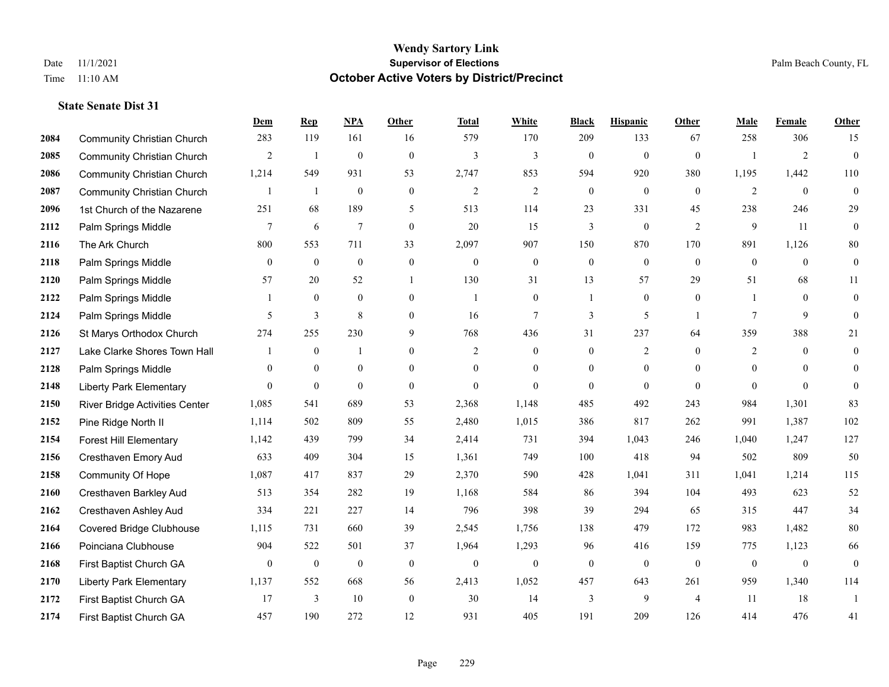|      |                                   | Dem              | <b>Rep</b>       | NPA              | <b>Other</b>     | <b>Total</b>     | <b>White</b>     | <b>Black</b>     | <b>Hispanic</b>  | <b>Other</b>     | <b>Male</b>    | <b>Female</b>    | <b>Other</b>     |
|------|-----------------------------------|------------------|------------------|------------------|------------------|------------------|------------------|------------------|------------------|------------------|----------------|------------------|------------------|
| 2084 | <b>Community Christian Church</b> | 283              | 119              | 161              | 16               | 579              | 170              | 209              | 133              | 67               | 258            | 306              | 15               |
| 2085 | <b>Community Christian Church</b> | $\overline{2}$   | 1                | $\mathbf{0}$     | $\mathbf{0}$     | $\mathfrak{Z}$   | 3                | $\mathbf{0}$     | $\mathbf{0}$     | $\mathbf{0}$     | $\overline{1}$ | $\overline{2}$   | $\mathbf{0}$     |
| 2086 | <b>Community Christian Church</b> | 1,214            | 549              | 931              | 53               | 2,747            | 853              | 594              | 920              | 380              | 1,195          | 1,442            | 110              |
| 2087 | <b>Community Christian Church</b> |                  | $\mathbf{1}$     | $\boldsymbol{0}$ | $\boldsymbol{0}$ | $\overline{2}$   | $\mathbf{2}$     | $\boldsymbol{0}$ | $\mathbf{0}$     | $\mathbf{0}$     | $\overline{2}$ | $\mathbf{0}$     | $\boldsymbol{0}$ |
| 2096 | 1st Church of the Nazarene        | 251              | 68               | 189              | 5                | 513              | 114              | 23               | 331              | 45               | 238            | 246              | 29               |
| 2112 | Palm Springs Middle               | 7                | 6                | 7                | $\mathbf{0}$     | 20               | 15               | 3                | $\mathbf{0}$     | 2                | 9              | 11               | $\mathbf{0}$     |
| 2116 | The Ark Church                    | 800              | 553              | 711              | 33               | 2,097            | 907              | 150              | 870              | 170              | 891            | 1,126            | $80\,$           |
| 2118 | Palm Springs Middle               | $\overline{0}$   | $\mathbf{0}$     | $\mathbf{0}$     | $\overline{0}$   | $\theta$         | $\boldsymbol{0}$ | $\boldsymbol{0}$ | $\mathbf{0}$     | $\theta$         | $\theta$       | $\theta$         | $\mathbf{0}$     |
| 2120 | Palm Springs Middle               | 57               | 20               | 52               | $\mathbf{1}$     | 130              | 31               | 13               | 57               | 29               | 51             | 68               | 11               |
| 2122 | Palm Springs Middle               |                  | $\mathbf{0}$     | $\mathbf{0}$     | $\theta$         | $\overline{1}$   | $\overline{0}$   | 1                | $\mathbf{0}$     | $\theta$         | 1              | $\theta$         | $\mathbf{0}$     |
| 2124 | Palm Springs Middle               | 5                | 3                | 8                | $\overline{0}$   | 16               | 7                | 3                | 5                | $\overline{1}$   | 7              | 9                | $\mathbf{0}$     |
| 2126 | St Marys Orthodox Church          | 274              | 255              | 230              | 9                | 768              | 436              | 31               | 237              | 64               | 359            | 388              | 21               |
| 2127 | Lake Clarke Shores Town Hall      |                  | $\mathbf{0}$     | 1                | $\theta$         | $\overline{2}$   | $\overline{0}$   | $\mathbf{0}$     | $\overline{2}$   | $\theta$         | 2              | $\theta$         | $\mathbf{0}$     |
| 2128 | Palm Springs Middle               | $\mathbf{0}$     | $\boldsymbol{0}$ | $\boldsymbol{0}$ | $\overline{0}$   | $\mathbf{0}$     | $\boldsymbol{0}$ | $\boldsymbol{0}$ | $\boldsymbol{0}$ | $\overline{0}$   | $\mathbf{0}$   | $\mathbf{0}$     | $\mathbf{0}$     |
| 2148 | <b>Liberty Park Elementary</b>    | $\overline{0}$   | $\mathbf{0}$     | $\mathbf{0}$     | $\theta$         | $\mathbf{0}$     | $\overline{0}$   | $\mathbf{0}$     | $\mathbf{0}$     | $\theta$         | $\theta$       | $\theta$         | $\mathbf{0}$     |
| 2150 | River Bridge Activities Center    | 1,085            | 541              | 689              | 53               | 2,368            | 1,148            | 485              | 492              | 243              | 984            | 1,301            | 83               |
| 2152 | Pine Ridge North II               | 1,114            | 502              | 809              | 55               | 2,480            | 1,015            | 386              | 817              | 262              | 991            | 1,387            | 102              |
| 2154 | <b>Forest Hill Elementary</b>     | 1,142            | 439              | 799              | 34               | 2,414            | 731              | 394              | 1,043            | 246              | 1,040          | 1,247            | 127              |
| 2156 | Cresthaven Emory Aud              | 633              | 409              | 304              | 15               | 1,361            | 749              | 100              | 418              | 94               | 502            | 809              | 50               |
| 2158 | Community Of Hope                 | 1,087            | 417              | 837              | 29               | 2,370            | 590              | 428              | 1,041            | 311              | 1,041          | 1,214            | 115              |
| 2160 | Cresthaven Barkley Aud            | 513              | 354              | 282              | 19               | 1,168            | 584              | 86               | 394              | 104              | 493            | 623              | 52               |
| 2162 | Cresthaven Ashley Aud             | 334              | 221              | 227              | 14               | 796              | 398              | 39               | 294              | 65               | 315            | 447              | 34               |
| 2164 | <b>Covered Bridge Clubhouse</b>   | 1,115            | 731              | 660              | 39               | 2,545            | 1,756            | 138              | 479              | 172              | 983            | 1,482            | 80               |
| 2166 | Poinciana Clubhouse               | 904              | 522              | 501              | 37               | 1,964            | 1,293            | 96               | 416              | 159              | 775            | 1,123            | 66               |
| 2168 | First Baptist Church GA           | $\boldsymbol{0}$ | $\boldsymbol{0}$ | $\boldsymbol{0}$ | $\mathbf{0}$     | $\boldsymbol{0}$ | $\boldsymbol{0}$ | $\boldsymbol{0}$ | $\boldsymbol{0}$ | $\boldsymbol{0}$ | $\mathbf{0}$   | $\boldsymbol{0}$ | $\boldsymbol{0}$ |
| 2170 | <b>Liberty Park Elementary</b>    | 1,137            | 552              | 668              | 56               | 2,413            | 1,052            | 457              | 643              | 261              | 959            | 1,340            | 114              |
| 2172 | First Baptist Church GA           | 17               | 3                | 10               | $\mathbf{0}$     | 30               | 14               | 3                | 9                | $\overline{4}$   | 11             | 18               | $\overline{1}$   |
| 2174 | First Baptist Church GA           | 457              | 190              | 272              | 12               | 931              | 405              | 191              | 209              | 126              | 414            | 476              | 41               |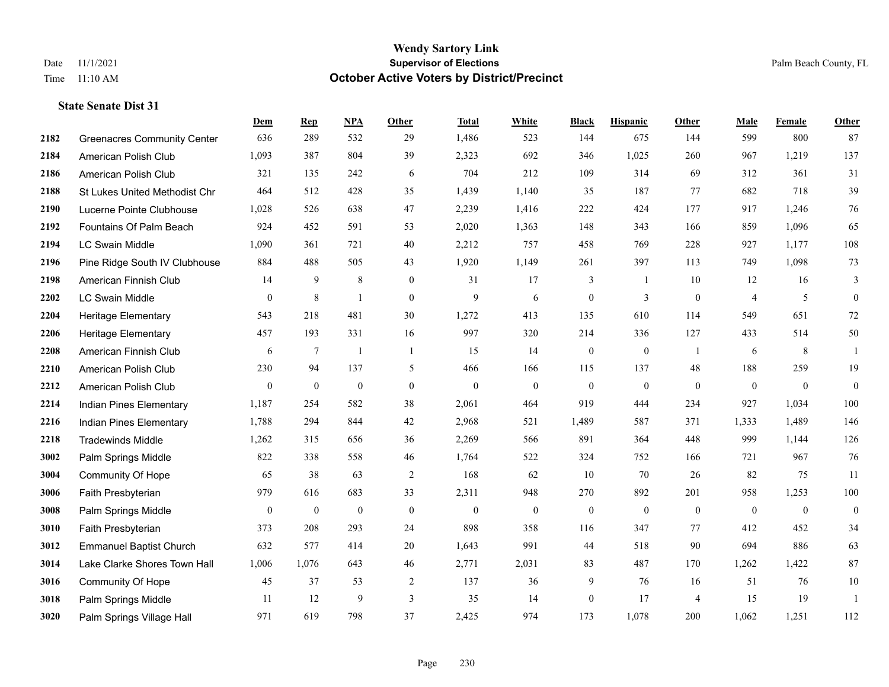|      |                                    | Dem            | <b>Rep</b>       | <b>NPA</b>       | <b>Other</b>   | <b>Total</b>     | White        | <b>Black</b>     | <b>Hispanic</b>  | Other          | Male           | Female       | <b>Other</b>   |
|------|------------------------------------|----------------|------------------|------------------|----------------|------------------|--------------|------------------|------------------|----------------|----------------|--------------|----------------|
| 2182 | <b>Greenacres Community Center</b> | 636            | 289              | 532              | 29             | 1,486            | 523          | 144              | 675              | 144            | 599            | 800          | 87             |
| 2184 | American Polish Club               | 1,093          | 387              | 804              | 39             | 2,323            | 692          | 346              | 1,025            | 260            | 967            | 1,219        | 137            |
| 2186 | American Polish Club               | 321            | 135              | 242              | 6              | 704              | 212          | 109              | 314              | 69             | 312            | 361          | 31             |
| 2188 | St Lukes United Methodist Chr      | 464            | 512              | 428              | 35             | 1,439            | 1,140        | 35               | 187              | 77             | 682            | 718          | 39             |
| 2190 | Lucerne Pointe Clubhouse           | 1,028          | 526              | 638              | 47             | 2,239            | 1,416        | 222              | 424              | 177            | 917            | 1,246        | $76\,$         |
| 2192 | Fountains Of Palm Beach            | 924            | 452              | 591              | 53             | 2,020            | 1,363        | 148              | 343              | 166            | 859            | 1,096        | 65             |
| 2194 | <b>LC Swain Middle</b>             | 1,090          | 361              | 721              | 40             | 2,212            | 757          | 458              | 769              | 228            | 927            | 1,177        | 108            |
| 2196 | Pine Ridge South IV Clubhouse      | 884            | 488              | 505              | 43             | 1,920            | 1,149        | 261              | 397              | 113            | 749            | 1,098        | 73             |
| 2198 | American Finnish Club              | 14             | 9                | $\,$ 8 $\,$      | $\overline{0}$ | 31               | 17           | 3                | 1                | 10             | 12             | 16           | 3              |
| 2202 | <b>LC Swain Middle</b>             | $\mathbf{0}$   | 8                | $\mathbf{1}$     | $\mathbf{0}$   | 9                | 6            | $\boldsymbol{0}$ | 3                | $\mathbf{0}$   | $\overline{4}$ | 5            | $\overline{0}$ |
| 2204 | <b>Heritage Elementary</b>         | 543            | 218              | 481              | 30             | 1,272            | 413          | 135              | 610              | 114            | 549            | 651          | $72\,$         |
| 2206 | Heritage Elementary                | 457            | 193              | 331              | 16             | 997              | 320          | 214              | 336              | 127            | 433            | 514          | $50\,$         |
| 2208 | American Finnish Club              | 6              | $\tau$           | -1               | -1             | 15               | 14           | $\boldsymbol{0}$ | $\boldsymbol{0}$ | $\overline{1}$ | 6              | 8            | -1             |
| 2210 | American Polish Club               | 230            | 94               | 137              | 5              | 466              | 166          | 115              | 137              | 48             | 188            | 259          | 19             |
| 2212 | American Polish Club               | $\overline{0}$ | $\boldsymbol{0}$ | $\theta$         | $\mathbf{0}$   | $\mathbf{0}$     | $\mathbf{0}$ | $\mathbf{0}$     | $\mathbf{0}$     | $\mathbf{0}$   | $\mathbf{0}$   | $\theta$     | $\theta$       |
| 2214 | Indian Pines Elementary            | 1,187          | 254              | 582              | 38             | 2,061            | 464          | 919              | 444              | 234            | 927            | 1,034        | $100\,$        |
| 2216 | Indian Pines Elementary            | 1,788          | 294              | 844              | 42             | 2,968            | 521          | 1,489            | 587              | 371            | 1,333          | 1,489        | 146            |
| 2218 | <b>Tradewinds Middle</b>           | 1,262          | 315              | 656              | 36             | 2,269            | 566          | 891              | 364              | 448            | 999            | 1,144        | 126            |
| 3002 | Palm Springs Middle                | 822            | 338              | 558              | 46             | 1,764            | 522          | 324              | 752              | 166            | 721            | 967          | 76             |
| 3004 | <b>Community Of Hope</b>           | 65             | 38               | 63               | 2              | 168              | 62           | 10               | 70               | 26             | 82             | 75           | 11             |
| 3006 | Faith Presbyterian                 | 979            | 616              | 683              | 33             | 2,311            | 948          | 270              | 892              | 201            | 958            | 1,253        | 100            |
| 3008 | Palm Springs Middle                | $\bf{0}$       | $\boldsymbol{0}$ | $\boldsymbol{0}$ | $\mathbf{0}$   | $\boldsymbol{0}$ | $\mathbf{0}$ | $\boldsymbol{0}$ | $\mathbf{0}$     | $\bf{0}$       | $\overline{0}$ | $\mathbf{0}$ | $\mathbf{0}$   |
| 3010 | Faith Presbyterian                 | 373            | 208              | 293              | 24             | 898              | 358          | 116              | 347              | 77             | 412            | 452          | 34             |
| 3012 | <b>Emmanuel Baptist Church</b>     | 632            | 577              | 414              | 20             | 1,643            | 991          | 44               | 518              | 90             | 694            | 886          | 63             |
| 3014 | Lake Clarke Shores Town Hall       | 1,006          | 1,076            | 643              | 46             | 2,771            | 2,031        | 83               | 487              | 170            | 1,262          | 1,422        | 87             |
| 3016 | <b>Community Of Hope</b>           | 45             | 37               | 53               | $\overline{2}$ | 137              | 36           | 9                | 76               | 16             | 51             | 76           | $10\,$         |
| 3018 | Palm Springs Middle                | 11             | 12               | 9                | 3              | 35               | 14           | $\boldsymbol{0}$ | 17               | $\overline{4}$ | 15             | 19           | -1             |
| 3020 | Palm Springs Village Hall          | 971            | 619              | 798              | 37             | 2,425            | 974          | 173              | 1,078            | 200            | 1,062          | 1,251        | 112            |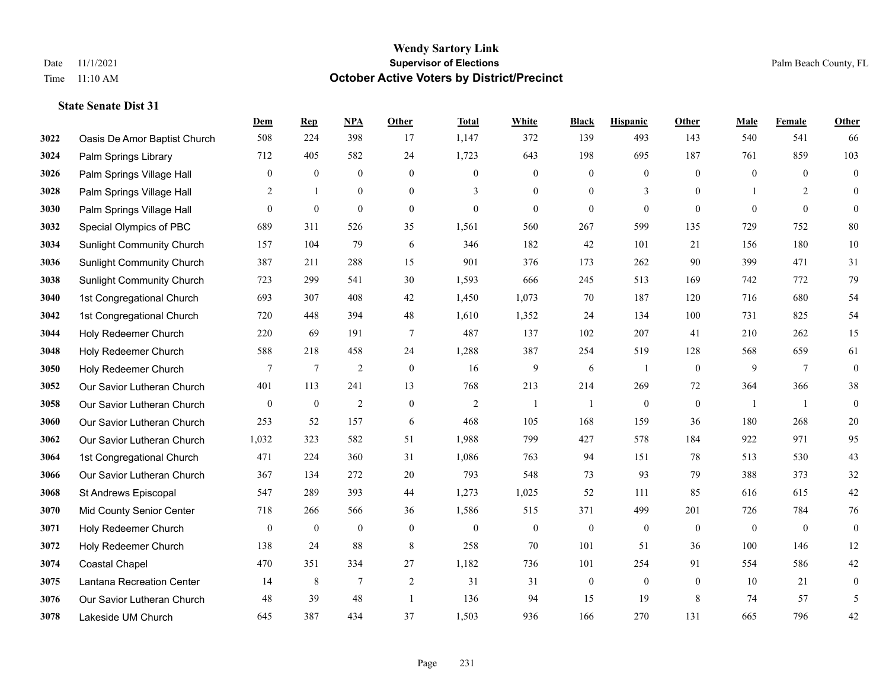|      |                                  | Dem              | <b>Rep</b>   | NPA              | <b>Other</b>     | <b>Total</b> | <b>White</b>     | <b>Black</b>     | <b>Hispanic</b>  | <b>Other</b>   | <b>Male</b>  | <b>Female</b>  | <b>Other</b>     |
|------|----------------------------------|------------------|--------------|------------------|------------------|--------------|------------------|------------------|------------------|----------------|--------------|----------------|------------------|
| 3022 | Oasis De Amor Baptist Church     | 508              | 224          | 398              | 17               | 1,147        | 372              | 139              | 493              | 143            | 540          | 541            | 66               |
| 3024 | Palm Springs Library             | 712              | 405          | 582              | 24               | 1,723        | 643              | 198              | 695              | 187            | 761          | 859            | 103              |
| 3026 | Palm Springs Village Hall        | $\boldsymbol{0}$ | $\bf{0}$     | $\boldsymbol{0}$ | $\mathbf{0}$     | $\mathbf{0}$ | $\mathbf{0}$     | $\boldsymbol{0}$ | $\boldsymbol{0}$ | $\theta$       | $\mathbf{0}$ | $\theta$       | $\boldsymbol{0}$ |
| 3028 | Palm Springs Village Hall        | $\overline{c}$   | 1            | $\boldsymbol{0}$ | $\mathbf{0}$     | 3            | $\mathbf{0}$     | $\boldsymbol{0}$ | 3                | $\overline{0}$ |              | 2              | $\mathbf{0}$     |
| 3030 | Palm Springs Village Hall        | $\Omega$         | $\mathbf{0}$ | $\mathbf{0}$     | $\overline{0}$   | $\mathbf{0}$ | $\mathbf{0}$     | $\mathbf{0}$     | $\mathbf{0}$     | $\theta$       | $\theta$     | $\theta$       | $\mathbf{0}$     |
| 3032 | Special Olympics of PBC          | 689              | 311          | 526              | 35               | 1,561        | 560              | 267              | 599              | 135            | 729          | 752            | $80\,$           |
| 3034 | <b>Sunlight Community Church</b> | 157              | 104          | 79               | 6                | 346          | 182              | 42               | 101              | 21             | 156          | 180            | $10\,$           |
| 3036 | <b>Sunlight Community Church</b> | 387              | 211          | 288              | 15               | 901          | 376              | 173              | 262              | 90             | 399          | 471            | 31               |
| 3038 | <b>Sunlight Community Church</b> | 723              | 299          | 541              | 30               | 1,593        | 666              | 245              | 513              | 169            | 742          | 772            | 79               |
| 3040 | 1st Congregational Church        | 693              | 307          | 408              | 42               | 1,450        | 1,073            | 70               | 187              | 120            | 716          | 680            | 54               |
| 3042 | 1st Congregational Church        | 720              | 448          | 394              | 48               | 1,610        | 1,352            | 24               | 134              | 100            | 731          | 825            | 54               |
| 3044 | Holy Redeemer Church             | 220              | 69           | 191              | $\overline{7}$   | 487          | 137              | 102              | 207              | 41             | 210          | 262            | 15               |
| 3048 | Holy Redeemer Church             | 588              | 218          | 458              | 24               | 1,288        | 387              | 254              | 519              | 128            | 568          | 659            | 61               |
| 3050 | Holy Redeemer Church             | 7                | $\tau$       | $\overline{2}$   | $\boldsymbol{0}$ | 16           | 9                | 6                | 1                | $\mathbf{0}$   | 9            | $\overline{7}$ | $\boldsymbol{0}$ |
| 3052 | Our Savior Lutheran Church       | 401              | 113          | 241              | 13               | 768          | 213              | 214              | 269              | 72             | 364          | 366            | 38               |
| 3058 | Our Savior Lutheran Church       | $\boldsymbol{0}$ | $\bf{0}$     | 2                | $\boldsymbol{0}$ | 2            | -1               | 1                | $\boldsymbol{0}$ | $\overline{0}$ | -1           | -1             | $\boldsymbol{0}$ |
| 3060 | Our Savior Lutheran Church       | 253              | 52           | 157              | 6                | 468          | 105              | 168              | 159              | 36             | 180          | 268            | $20\,$           |
| 3062 | Our Savior Lutheran Church       | 1,032            | 323          | 582              | 51               | 1,988        | 799              | 427              | 578              | 184            | 922          | 971            | 95               |
| 3064 | 1st Congregational Church        | 471              | 224          | 360              | 31               | 1,086        | 763              | 94               | 151              | 78             | 513          | 530            | 43               |
| 3066 | Our Savior Lutheran Church       | 367              | 134          | 272              | 20               | 793          | 548              | 73               | 93               | 79             | 388          | 373            | 32               |
| 3068 | St Andrews Episcopal             | 547              | 289          | 393              | 44               | 1,273        | 1,025            | 52               | 111              | 85             | 616          | 615            | $42\,$           |
| 3070 | Mid County Senior Center         | 718              | 266          | 566              | 36               | 1,586        | 515              | 371              | 499              | 201            | 726          | 784            | $76\,$           |
| 3071 | Holy Redeemer Church             | $\boldsymbol{0}$ | $\bf{0}$     | $\boldsymbol{0}$ | $\mathbf{0}$     | $\mathbf{0}$ | $\boldsymbol{0}$ | $\boldsymbol{0}$ | $\boldsymbol{0}$ | $\overline{0}$ | $\mathbf{0}$ | $\overline{0}$ | $\boldsymbol{0}$ |
| 3072 | Holy Redeemer Church             | 138              | 24           | 88               | $\,8\,$          | 258          | 70               | 101              | 51               | 36             | 100          | 146            | $12\,$           |
| 3074 | <b>Coastal Chapel</b>            | 470              | 351          | 334              | 27               | 1,182        | 736              | 101              | 254              | 91             | 554          | 586            | 42               |
| 3075 | Lantana Recreation Center        | 14               | 8            | $\overline{7}$   | $\overline{2}$   | 31           | 31               | $\boldsymbol{0}$ | $\mathbf{0}$     | $\overline{0}$ | 10           | 21             | $\boldsymbol{0}$ |
| 3076 | Our Savior Lutheran Church       | 48               | 39           | 48               | $\overline{1}$   | 136          | 94               | 15               | 19               | 8              | 74           | 57             | 5                |
| 3078 | Lakeside UM Church               | 645              | 387          | 434              | 37               | 1,503        | 936              | 166              | 270              | 131            | 665          | 796            | 42               |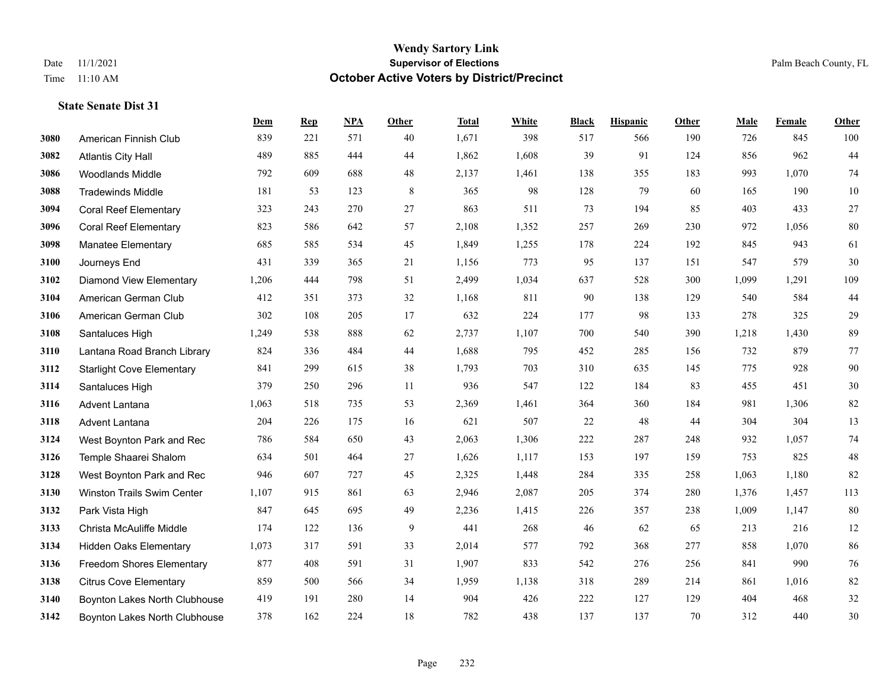|      |                                      | <b>Dem</b> | <b>Rep</b> | NPA | <b>Other</b> | <b>Total</b> | <b>White</b> | <b>Black</b> | <b>Hispanic</b> | <b>Other</b> | <b>Male</b> | Female | <b>Other</b> |
|------|--------------------------------------|------------|------------|-----|--------------|--------------|--------------|--------------|-----------------|--------------|-------------|--------|--------------|
| 3080 | American Finnish Club                | 839        | 221        | 571 | 40           | 1,671        | 398          | 517          | 566             | 190          | 726         | 845    | 100          |
| 3082 | <b>Atlantis City Hall</b>            | 489        | 885        | 444 | 44           | 1,862        | 1,608        | 39           | 91              | 124          | 856         | 962    | 44           |
| 3086 | <b>Woodlands Middle</b>              | 792        | 609        | 688 | 48           | 2,137        | 1,461        | 138          | 355             | 183          | 993         | 1,070  | $74\,$       |
| 3088 | <b>Tradewinds Middle</b>             | 181        | 53         | 123 | 8            | 365          | 98           | 128          | 79              | 60           | 165         | 190    | $10\,$       |
| 3094 | <b>Coral Reef Elementary</b>         | 323        | 243        | 270 | 27           | 863          | 511          | 73           | 194             | 85           | 403         | 433    | 27           |
| 3096 | <b>Coral Reef Elementary</b>         | 823        | 586        | 642 | 57           | 2,108        | 1,352        | 257          | 269             | 230          | 972         | 1,056  | $80\,$       |
| 3098 | Manatee Elementary                   | 685        | 585        | 534 | 45           | 1,849        | 1,255        | 178          | 224             | 192          | 845         | 943    | 61           |
| 3100 | Journeys End                         | 431        | 339        | 365 | 21           | 1,156        | 773          | 95           | 137             | 151          | 547         | 579    | 30           |
| 3102 | <b>Diamond View Elementary</b>       | 1,206      | 444        | 798 | 51           | 2,499        | 1,034        | 637          | 528             | 300          | 1,099       | 1,291  | 109          |
| 3104 | American German Club                 | 412        | 351        | 373 | 32           | 1,168        | 811          | 90           | 138             | 129          | 540         | 584    | 44           |
| 3106 | American German Club                 | 302        | 108        | 205 | 17           | 632          | 224          | 177          | 98              | 133          | 278         | 325    | 29           |
| 3108 | Santaluces High                      | 1,249      | 538        | 888 | 62           | 2,737        | 1,107        | 700          | 540             | 390          | 1,218       | 1,430  | 89           |
| 3110 | Lantana Road Branch Library          | 824        | 336        | 484 | 44           | 1,688        | 795          | 452          | 285             | 156          | 732         | 879    | $77\,$       |
| 3112 | <b>Starlight Cove Elementary</b>     | 841        | 299        | 615 | 38           | 1,793        | 703          | 310          | 635             | 145          | 775         | 928    | $90\,$       |
| 3114 | Santaluces High                      | 379        | 250        | 296 | 11           | 936          | 547          | 122          | 184             | 83           | 455         | 451    | $30\,$       |
| 3116 | Advent Lantana                       | 1,063      | 518        | 735 | 53           | 2,369        | 1,461        | 364          | 360             | 184          | 981         | 1,306  | 82           |
| 3118 | <b>Advent Lantana</b>                | 204        | 226        | 175 | 16           | 621          | 507          | 22           | 48              | 44           | 304         | 304    | 13           |
| 3124 | West Boynton Park and Rec            | 786        | 584        | 650 | 43           | 2,063        | 1,306        | 222          | 287             | 248          | 932         | 1,057  | $74\,$       |
| 3126 | Temple Shaarei Shalom                | 634        | 501        | 464 | 27           | 1,626        | 1,117        | 153          | 197             | 159          | 753         | 825    | $48\,$       |
| 3128 | West Boynton Park and Rec            | 946        | 607        | 727 | 45           | 2,325        | 1,448        | 284          | 335             | 258          | 1,063       | 1,180  | 82           |
| 3130 | Winston Trails Swim Center           | 1,107      | 915        | 861 | 63           | 2,946        | 2,087        | 205          | 374             | 280          | 1,376       | 1,457  | 113          |
| 3132 | Park Vista High                      | 847        | 645        | 695 | 49           | 2,236        | 1,415        | 226          | 357             | 238          | 1,009       | 1,147  | 80           |
| 3133 | Christa McAuliffe Middle             | 174        | 122        | 136 | 9            | 441          | 268          | 46           | 62              | 65           | 213         | 216    | 12           |
| 3134 | <b>Hidden Oaks Elementary</b>        | 1,073      | 317        | 591 | 33           | 2,014        | 577          | 792          | 368             | 277          | 858         | 1,070  | 86           |
| 3136 | <b>Freedom Shores Elementary</b>     | 877        | 408        | 591 | 31           | 1,907        | 833          | 542          | 276             | 256          | 841         | 990    | 76           |
| 3138 | <b>Citrus Cove Elementary</b>        | 859        | 500        | 566 | 34           | 1,959        | 1,138        | 318          | 289             | 214          | 861         | 1,016  | $82\,$       |
| 3140 | Boynton Lakes North Clubhouse        | 419        | 191        | 280 | 14           | 904          | 426          | 222          | 127             | 129          | 404         | 468    | $32\,$       |
| 3142 | <b>Boynton Lakes North Clubhouse</b> | 378        | 162        | 224 | 18           | 782          | 438          | 137          | 137             | 70           | 312         | 440    | 30           |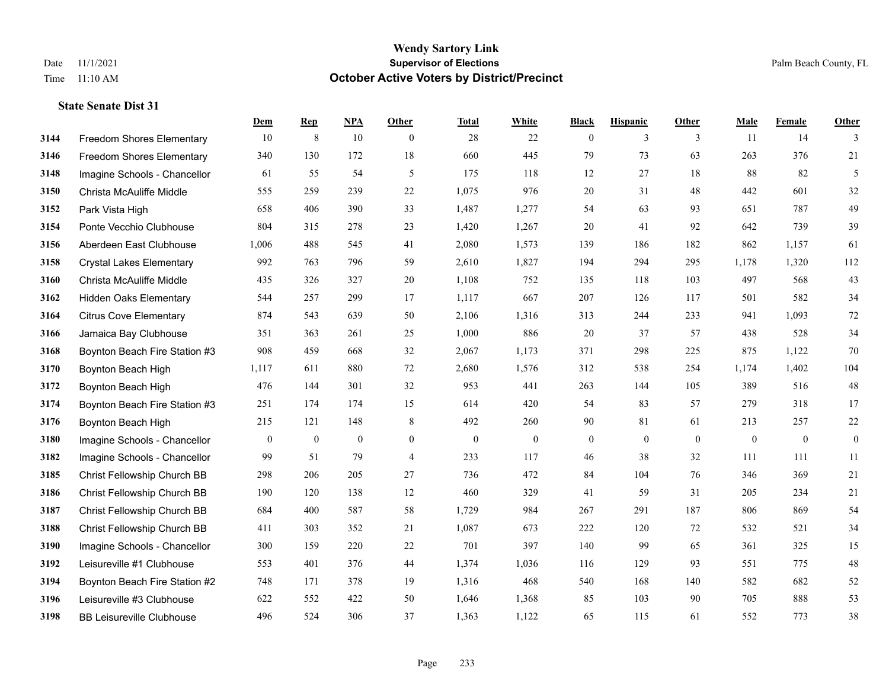|      |                                  | Dem            | <b>Rep</b>       | NPA          | <b>Other</b>   | <b>Total</b> | <b>White</b>   | <b>Black</b>     | <b>Hispanic</b> | <b>Other</b> | <b>Male</b>  | Female       | <b>Other</b>     |
|------|----------------------------------|----------------|------------------|--------------|----------------|--------------|----------------|------------------|-----------------|--------------|--------------|--------------|------------------|
| 3144 | Freedom Shores Elementary        | 10             | $\,8\,$          | 10           | $\overline{0}$ | 28           | 22             | $\mathbf{0}$     | 3               | 3            | 11           | 14           | 3                |
| 3146 | <b>Freedom Shores Elementary</b> | 340            | 130              | 172          | 18             | 660          | 445            | 79               | 73              | 63           | 263          | 376          | 21               |
| 3148 | Imagine Schools - Chancellor     | 61             | 55               | 54           | 5              | 175          | 118            | 12               | 27              | 18           | 88           | 82           | 5                |
| 3150 | Christa McAuliffe Middle         | 555            | 259              | 239          | $22\,$         | 1,075        | 976            | 20               | 31              | 48           | 442          | 601          | 32               |
| 3152 | Park Vista High                  | 658            | 406              | 390          | 33             | 1,487        | 1,277          | 54               | 63              | 93           | 651          | 787          | 49               |
| 3154 | Ponte Vecchio Clubhouse          | 804            | 315              | 278          | 23             | 1,420        | 1,267          | 20               | 41              | 92           | 642          | 739          | 39               |
| 3156 | Aberdeen East Clubhouse          | 1,006          | 488              | 545          | 41             | 2,080        | 1,573          | 139              | 186             | 182          | 862          | 1,157        | 61               |
| 3158 | <b>Crystal Lakes Elementary</b>  | 992            | 763              | 796          | 59             | 2,610        | 1,827          | 194              | 294             | 295          | 1,178        | 1,320        | 112              |
| 3160 | Christa McAuliffe Middle         | 435            | 326              | 327          | 20             | 1,108        | 752            | 135              | 118             | 103          | 497          | 568          | 43               |
| 3162 | <b>Hidden Oaks Elementary</b>    | 544            | 257              | 299          | 17             | 1,117        | 667            | 207              | 126             | 117          | 501          | 582          | 34               |
| 3164 | <b>Citrus Cove Elementary</b>    | 874            | 543              | 639          | 50             | 2,106        | 1,316          | 313              | 244             | 233          | 941          | 1.093        | $72\,$           |
| 3166 | Jamaica Bay Clubhouse            | 351            | 363              | 261          | 25             | 1,000        | 886            | 20               | 37              | 57           | 438          | 528          | 34               |
| 3168 | Boynton Beach Fire Station #3    | 908            | 459              | 668          | 32             | 2,067        | 1,173          | 371              | 298             | 225          | 875          | 1,122        | $70\,$           |
| 3170 | Boynton Beach High               | 1,117          | 611              | 880          | 72             | 2,680        | 1,576          | 312              | 538             | 254          | 1,174        | 1,402        | 104              |
| 3172 | Boynton Beach High               | 476            | 144              | 301          | 32             | 953          | 441            | 263              | 144             | 105          | 389          | 516          | 48               |
| 3174 | Boynton Beach Fire Station #3    | 251            | 174              | 174          | 15             | 614          | 420            | 54               | 83              | 57           | 279          | 318          | 17               |
| 3176 | Boynton Beach High               | 215            | 121              | 148          | $\,8\,$        | 492          | 260            | 90               | 81              | 61           | 213          | 257          | $22\,$           |
| 3180 | Imagine Schools - Chancellor     | $\overline{0}$ | $\boldsymbol{0}$ | $\mathbf{0}$ | $\overline{0}$ | $\mathbf{0}$ | $\overline{0}$ | $\boldsymbol{0}$ | $\mathbf{0}$    | $\theta$     | $\mathbf{0}$ | $\mathbf{0}$ | $\boldsymbol{0}$ |
| 3182 | Imagine Schools - Chancellor     | 99             | 51               | 79           | $\overline{4}$ | 233          | 117            | 46               | 38              | 32           | 111          | 111          | 11               |
| 3185 | Christ Fellowship Church BB      | 298            | 206              | 205          | 27             | 736          | 472            | 84               | 104             | 76           | 346          | 369          | 21               |
| 3186 | Christ Fellowship Church BB      | 190            | 120              | 138          | 12             | 460          | 329            | 41               | 59              | 31           | 205          | 234          | 21               |
| 3187 | Christ Fellowship Church BB      | 684            | 400              | 587          | 58             | 1,729        | 984            | 267              | 291             | 187          | 806          | 869          | 54               |
| 3188 | Christ Fellowship Church BB      | 411            | 303              | 352          | 21             | 1,087        | 673            | 222              | 120             | 72           | 532          | 521          | 34               |
| 3190 | Imagine Schools - Chancellor     | 300            | 159              | 220          | 22             | 701          | 397            | 140              | 99              | 65           | 361          | 325          | 15               |
| 3192 | Leisureville #1 Clubhouse        | 553            | 401              | 376          | 44             | 1,374        | 1,036          | 116              | 129             | 93           | 551          | 775          | $48\,$           |
| 3194 | Boynton Beach Fire Station #2    | 748            | 171              | 378          | 19             | 1,316        | 468            | 540              | 168             | 140          | 582          | 682          | 52               |
| 3196 | Leisureville #3 Clubhouse        | 622            | 552              | 422          | 50             | 1,646        | 1,368          | 85               | 103             | 90           | 705          | 888          | 53               |
| 3198 | <b>BB Leisureville Clubhouse</b> | 496            | 524              | 306          | 37             | 1,363        | 1,122          | 65               | 115             | 61           | 552          | 773          | 38               |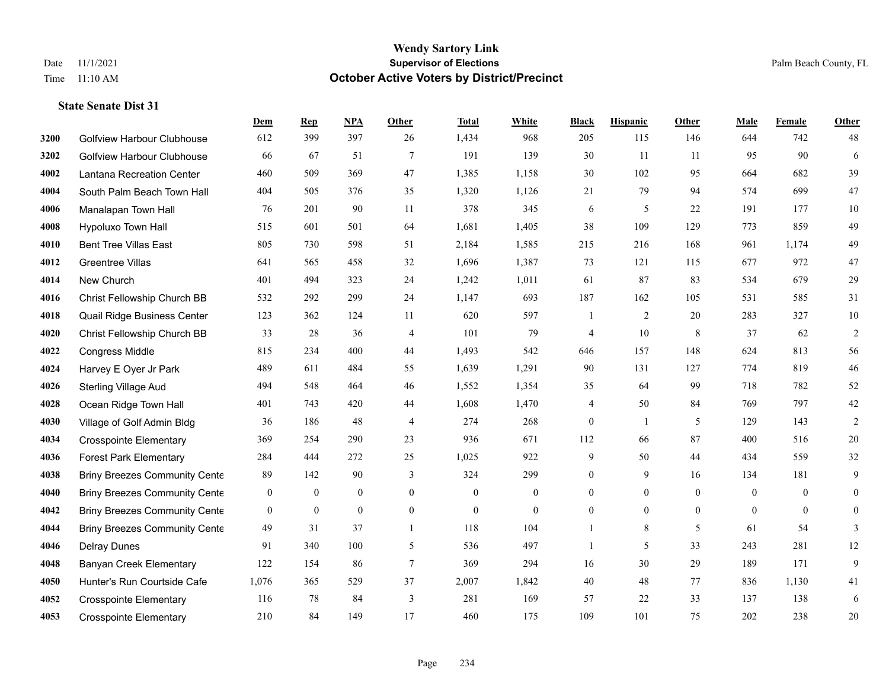|      |                                      | Dem            | <b>Rep</b>   | NPA          | <b>Other</b>   | <b>Total</b> | <b>White</b>   | <b>Black</b>   | <b>Hispanic</b> | Other        | <b>Male</b> | <b>Female</b>  | <b>Other</b>   |
|------|--------------------------------------|----------------|--------------|--------------|----------------|--------------|----------------|----------------|-----------------|--------------|-------------|----------------|----------------|
| 3200 | Golfview Harbour Clubhouse           | 612            | 399          | 397          | 26             | 1,434        | 968            | 205            | 115             | 146          | 644         | 742            | 48             |
| 3202 | <b>Golfview Harbour Clubhouse</b>    | 66             | 67           | 51           | $\tau$         | 191          | 139            | 30             | 11              | 11           | 95          | 90             | 6              |
| 4002 | Lantana Recreation Center            | 460            | 509          | 369          | 47             | 1,385        | 1,158          | 30             | 102             | 95           | 664         | 682            | 39             |
| 4004 | South Palm Beach Town Hall           | 404            | 505          | 376          | 35             | 1,320        | 1,126          | 21             | 79              | 94           | 574         | 699            | $47\,$         |
| 4006 | Manalapan Town Hall                  | 76             | 201          | 90           | 11             | 378          | 345            | 6              | 5               | 22           | 191         | 177            | $10\,$         |
| 4008 | Hypoluxo Town Hall                   | 515            | 601          | 501          | 64             | 1,681        | 1,405          | 38             | 109             | 129          | 773         | 859            | 49             |
| 4010 | <b>Bent Tree Villas East</b>         | 805            | 730          | 598          | 51             | 2,184        | 1,585          | 215            | 216             | 168          | 961         | 1,174          | 49             |
| 4012 | <b>Greentree Villas</b>              | 641            | 565          | 458          | 32             | 1,696        | 1,387          | 73             | 121             | 115          | 677         | 972            | 47             |
| 4014 | New Church                           | 401            | 494          | 323          | 24             | 1,242        | 1,011          | 61             | 87              | 83           | 534         | 679            | $29\,$         |
| 4016 | Christ Fellowship Church BB          | 532            | 292          | 299          | 24             | 1,147        | 693            | 187            | 162             | 105          | 531         | 585            | 31             |
| 4018 | Quail Ridge Business Center          | 123            | 362          | 124          | 11             | 620          | 597            | $\overline{1}$ | 2               | 20           | 283         | 327            | 10             |
| 4020 | Christ Fellowship Church BB          | 33             | 28           | 36           | 4              | 101          | 79             | 4              | 10              | 8            | 37          | 62             | $\sqrt{2}$     |
| 4022 | Congress Middle                      | 815            | 234          | 400          | 44             | 1,493        | 542            | 646            | 157             | 148          | 624         | 813            | 56             |
| 4024 | Harvey E Oyer Jr Park                | 489            | 611          | 484          | 55             | 1,639        | 1,291          | 90             | 131             | 127          | 774         | 819            | $46\,$         |
| 4026 | <b>Sterling Village Aud</b>          | 494            | 548          | 464          | 46             | 1,552        | 1,354          | 35             | 64              | 99           | 718         | 782            | $52\,$         |
| 4028 | Ocean Ridge Town Hall                | 401            | 743          | 420          | 44             | 1,608        | 1,470          | 4              | 50              | 84           | 769         | 797            | $42\,$         |
| 4030 | Village of Golf Admin Bldg           | 36             | 186          | 48           | $\overline{4}$ | 274          | 268            | $\overline{0}$ | 1               | 5            | 129         | 143            | $\overline{2}$ |
| 4034 | <b>Crosspointe Elementary</b>        | 369            | 254          | 290          | 23             | 936          | 671            | 112            | 66              | 87           | 400         | 516            | $20\,$         |
| 4036 | <b>Forest Park Elementary</b>        | 284            | 444          | 272          | 25             | 1,025        | 922            | 9              | 50              | 44           | 434         | 559            | 32             |
| 4038 | <b>Briny Breezes Community Cente</b> | 89             | 142          | 90           | 3              | 324          | 299            | $\overline{0}$ | 9               | 16           | 134         | 181            | 9              |
| 4040 | <b>Briny Breezes Community Cente</b> | $\overline{0}$ | $\mathbf{0}$ | $\mathbf{0}$ | $\overline{0}$ | $\mathbf{0}$ | $\overline{0}$ | $\overline{0}$ | $\overline{0}$  | $\theta$     | $\theta$    | $\theta$       | $\mathbf{0}$   |
| 4042 | <b>Briny Breezes Community Cente</b> | $\overline{0}$ | $\mathbf{0}$ | $\mathbf{0}$ | $\overline{0}$ | $\mathbf{0}$ | $\overline{0}$ | $\overline{0}$ | $\overline{0}$  | $\mathbf{0}$ | $\Omega$    | $\overline{0}$ | $\theta$       |
| 4044 | <b>Briny Breezes Community Cente</b> | 49             | 31           | 37           | 1              | 118          | 104            | 1              | 8               | 5            | 61          | 54             | 3              |
| 4046 | <b>Delray Dunes</b>                  | 91             | 340          | 100          | 5              | 536          | 497            | $\mathbf{1}$   | 5               | 33           | 243         | 281            | 12             |
| 4048 | <b>Banyan Creek Elementary</b>       | 122            | 154          | 86           | $\overline{7}$ | 369          | 294            | 16             | 30              | 29           | 189         | 171            | 9              |
| 4050 | Hunter's Run Courtside Cafe          | 1,076          | 365          | 529          | 37             | 2,007        | 1,842          | 40             | 48              | 77           | 836         | 1,130          | 41             |
| 4052 | <b>Crosspointe Elementary</b>        | 116            | 78           | 84           | 3              | 281          | 169            | 57             | 22              | 33           | 137         | 138            | 6              |
| 4053 | <b>Crosspointe Elementary</b>        | 210            | 84           | 149          | 17             | 460          | 175            | 109            | 101             | 75           | 202         | 238            | $20\,$         |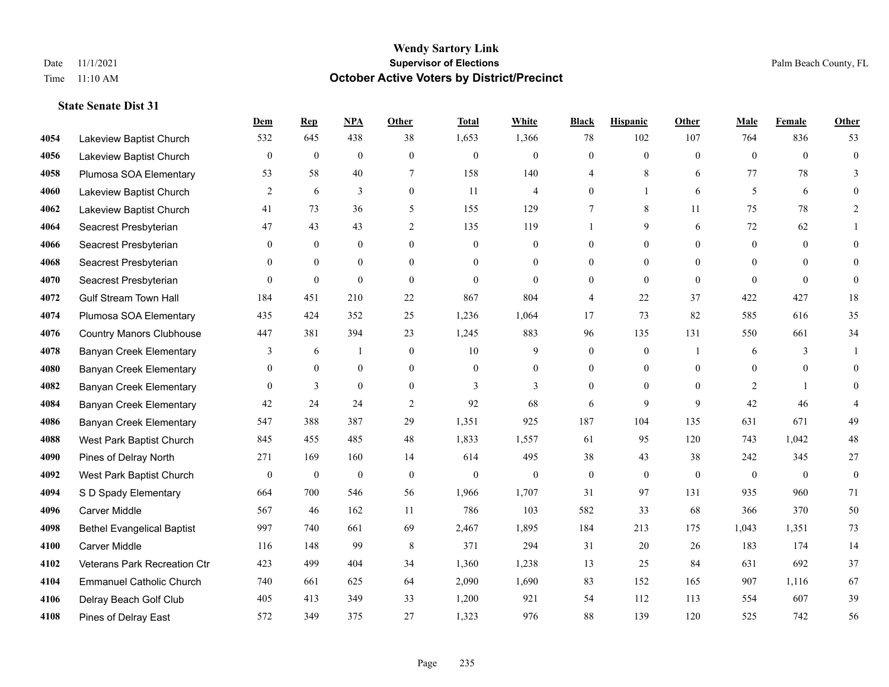|      |                                   | Dem              | <b>Rep</b>       | NPA              | <b>Other</b>     | <b>Total</b>     | <b>White</b>     | <b>Black</b>     | <b>Hispanic</b>  | <b>Other</b> | <b>Male</b>  | <b>Female</b>  | <b>Other</b>     |
|------|-----------------------------------|------------------|------------------|------------------|------------------|------------------|------------------|------------------|------------------|--------------|--------------|----------------|------------------|
| 4054 | Lakeview Baptist Church           | 532              | 645              | 438              | 38               | 1,653            | 1,366            | 78               | 102              | 107          | 764          | 836            | 53               |
| 4056 | Lakeview Baptist Church           | $\overline{0}$   | $\mathbf{0}$     | $\mathbf{0}$     | $\theta$         | $\mathbf{0}$     | $\mathbf{0}$     | $\overline{0}$   | $\mathbf{0}$     | $\theta$     | $\theta$     | $\theta$       | $\overline{0}$   |
| 4058 | Plumosa SOA Elementary            | 53               | 58               | 40               | 7                | 158              | 140              | 4                | 8                | 6            | 77           | 78             | 3                |
| 4060 | Lakeview Baptist Church           | $\overline{2}$   | 6                | 3                | $\mathbf{0}$     | 11               | $\overline{4}$   | $\boldsymbol{0}$ | $\mathbf{1}$     | 6            | 5            | 6              | $\theta$         |
| 4062 | Lakeview Baptist Church           | 41               | 73               | 36               | 5                | 155              | 129              | $\tau$           | 8                | 11           | 75           | 78             | $\overline{2}$   |
| 4064 | Seacrest Presbyterian             | 47               | 43               | 43               | 2                | 135              | 119              | 1                | 9                | 6            | 72           | 62             |                  |
| 4066 | Seacrest Presbyterian             | $\mathbf{0}$     | $\mathbf{0}$     | $\mathbf{0}$     | $\overline{0}$   | $\theta$         | $\boldsymbol{0}$ | $\overline{0}$   | $\overline{0}$   | $\theta$     | $\mathbf{0}$ | $\theta$       | $\overline{0}$   |
| 4068 | Seacrest Presbyterian             | $\Omega$         | $\theta$         | $\theta$         | $\Omega$         | $\Omega$         | $\theta$         | $\Omega$         | $\Omega$         | $\Omega$     | $\Omega$     | $\Omega$       | $\Omega$         |
| 4070 | Seacrest Presbyterian             | $\overline{0}$   | $\boldsymbol{0}$ | $\mathbf{0}$     | $\mathbf{0}$     | $\theta$         | $\mathbf{0}$     | $\overline{0}$   | $\overline{0}$   | $\mathbf{0}$ | $\mathbf{0}$ | $\theta$       | $\mathbf{0}$     |
| 4072 | <b>Gulf Stream Town Hall</b>      | 184              | 451              | 210              | 22               | 867              | 804              | 4                | 22               | 37           | 422          | 427            | $18\,$           |
| 4074 | Plumosa SOA Elementary            | 435              | 424              | 352              | 25               | 1,236            | 1,064            | 17               | 73               | 82           | 585          | 616            | 35               |
| 4076 | <b>Country Manors Clubhouse</b>   | 447              | 381              | 394              | 23               | 1,245            | 883              | 96               | 135              | 131          | 550          | 661            | 34               |
| 4078 | <b>Banyan Creek Elementary</b>    | 3                | 6                |                  | $\mathbf{0}$     | 10               | 9                | $\overline{0}$   | $\overline{0}$   | $\mathbf{1}$ | 6            | 3              |                  |
| 4080 | <b>Banyan Creek Elementary</b>    | $\mathbf{0}$     | $\boldsymbol{0}$ | $\boldsymbol{0}$ | $\boldsymbol{0}$ | $\boldsymbol{0}$ | $\boldsymbol{0}$ | $\boldsymbol{0}$ | $\boldsymbol{0}$ | $\mathbf{0}$ | $\mathbf{0}$ | $\mathbf{0}$   | $\overline{0}$   |
| 4082 | <b>Banyan Creek Elementary</b>    | $\theta$         | 3                | $\mathbf{0}$     | $\theta$         | 3                | 3                | $\overline{0}$   | $\overline{0}$   | $\Omega$     | 2            | $\mathbf{1}$   | $\overline{0}$   |
| 4084 | <b>Banyan Creek Elementary</b>    | 42               | 24               | 24               | 2                | 92               | 68               | 6                | 9                | $\mathbf{Q}$ | 42           | 46             | 4                |
| 4086 | Banyan Creek Elementary           | 547              | 388              | 387              | 29               | 1,351            | 925              | 187              | 104              | 135          | 631          | 671            | 49               |
| 4088 | West Park Baptist Church          | 845              | 455              | 485              | 48               | 1,833            | 1,557            | 61               | 95               | 120          | 743          | 1,042          | 48               |
| 4090 | Pines of Delray North             | 271              | 169              | 160              | 14               | 614              | 495              | 38               | 43               | 38           | 242          | 345            | 27               |
| 4092 | West Park Baptist Church          | $\boldsymbol{0}$ | $\boldsymbol{0}$ | $\boldsymbol{0}$ | $\mathbf{0}$     | $\mathbf{0}$     | $\boldsymbol{0}$ | $\boldsymbol{0}$ | $\boldsymbol{0}$ | $\mathbf{0}$ | $\mathbf{0}$ | $\overline{0}$ | $\boldsymbol{0}$ |
| 4094 | S D Spady Elementary              | 664              | 700              | 546              | 56               | 1,966            | 1,707            | 31               | 97               | 131          | 935          | 960            | 71               |
| 4096 | <b>Carver Middle</b>              | 567              | 46               | 162              | 11               | 786              | 103              | 582              | 33               | 68           | 366          | 370            | 50               |
| 4098 | <b>Bethel Evangelical Baptist</b> | 997              | 740              | 661              | 69               | 2,467            | 1,895            | 184              | 213              | 175          | 1,043        | 1,351          | 73               |
| 4100 | <b>Carver Middle</b>              | 116              | 148              | 99               | 8                | 371              | 294              | 31               | 20               | 26           | 183          | 174            | 14               |
| 4102 | Veterans Park Recreation Ctr      | 423              | 499              | 404              | 34               | 1,360            | 1,238            | 13               | 25               | 84           | 631          | 692            | 37               |
| 4104 | <b>Emmanuel Catholic Church</b>   | 740              | 661              | 625              | 64               | 2,090            | 1,690            | 83               | 152              | 165          | 907          | 1,116          | 67               |
| 4106 | Delray Beach Golf Club            | 405              | 413              | 349              | 33               | 1,200            | 921              | 54               | 112              | 113          | 554          | 607            | 39               |
| 4108 | Pines of Delray East              | 572              | 349              | 375              | 27               | 1,323            | 976              | 88               | 139              | 120          | 525          | 742            | 56               |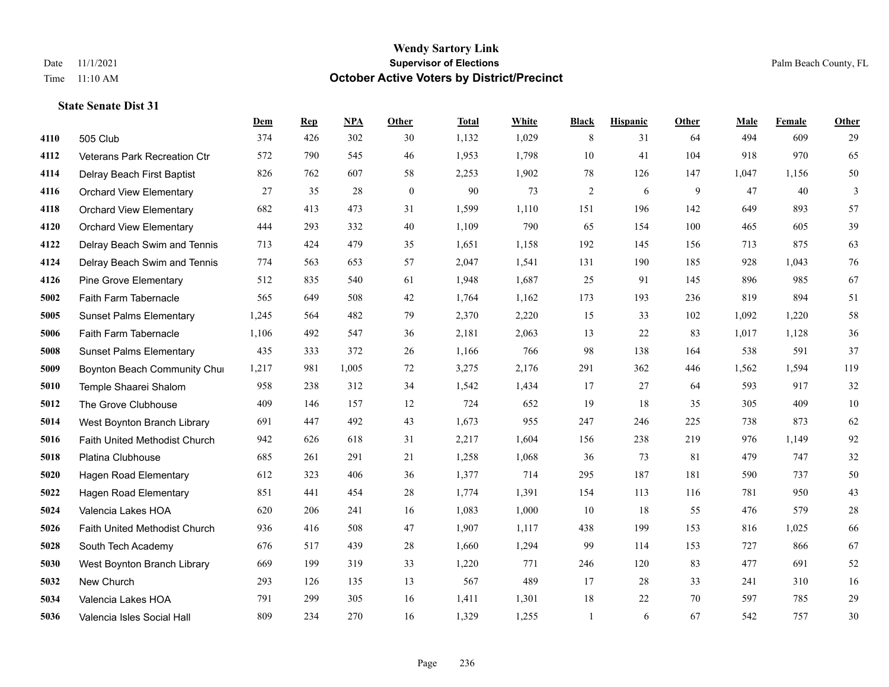|      |                                | <b>Dem</b> | <b>Rep</b> | NPA   | <b>Other</b> | <b>Total</b> | White | <b>Black</b>   | <b>Hispanic</b> | Other | <b>Male</b> | Female | <b>Other</b> |
|------|--------------------------------|------------|------------|-------|--------------|--------------|-------|----------------|-----------------|-------|-------------|--------|--------------|
| 4110 | 505 Club                       | 374        | 426        | 302   | 30           | 1,132        | 1,029 | $\,8\,$        | 31              | 64    | 494         | 609    | 29           |
| 4112 | Veterans Park Recreation Ctr   | 572        | 790        | 545   | 46           | 1,953        | 1,798 | 10             | 41              | 104   | 918         | 970    | 65           |
| 4114 | Delray Beach First Baptist     | 826        | 762        | 607   | 58           | 2,253        | 1,902 | 78             | 126             | 147   | 1,047       | 1,156  | 50           |
| 4116 | <b>Orchard View Elementary</b> | 27         | 35         | 28    | $\mathbf{0}$ | 90           | 73    | $\overline{2}$ | 6               | 9     | 47          | 40     | 3            |
| 4118 | <b>Orchard View Elementary</b> | 682        | 413        | 473   | 31           | 1,599        | 1,110 | 151            | 196             | 142   | 649         | 893    | 57           |
| 4120 | <b>Orchard View Elementary</b> | 444        | 293        | 332   | 40           | 1,109        | 790   | 65             | 154             | 100   | 465         | 605    | 39           |
| 4122 | Delray Beach Swim and Tennis   | 713        | 424        | 479   | 35           | 1,651        | 1,158 | 192            | 145             | 156   | 713         | 875    | 63           |
| 4124 | Delray Beach Swim and Tennis   | 774        | 563        | 653   | 57           | 2,047        | 1,541 | 131            | 190             | 185   | 928         | 1,043  | 76           |
| 4126 | <b>Pine Grove Elementary</b>   | 512        | 835        | 540   | 61           | 1,948        | 1,687 | 25             | 91              | 145   | 896         | 985    | 67           |
| 5002 | Faith Farm Tabernacle          | 565        | 649        | 508   | 42           | 1,764        | 1,162 | 173            | 193             | 236   | 819         | 894    | 51           |
| 5005 | <b>Sunset Palms Elementary</b> | 1,245      | 564        | 482   | 79           | 2,370        | 2,220 | 15             | 33              | 102   | 1,092       | 1,220  | 58           |
| 5006 | Faith Farm Tabernacle          | 1,106      | 492        | 547   | 36           | 2,181        | 2,063 | 13             | 22              | 83    | 1,017       | 1,128  | 36           |
| 5008 | <b>Sunset Palms Elementary</b> | 435        | 333        | 372   | 26           | 1,166        | 766   | 98             | 138             | 164   | 538         | 591    | 37           |
| 5009 | Boynton Beach Community Chur   | 1,217      | 981        | 1,005 | 72           | 3,275        | 2,176 | 291            | 362             | 446   | 1,562       | 1,594  | 119          |
| 5010 | Temple Shaarei Shalom          | 958        | 238        | 312   | 34           | 1,542        | 1,434 | 17             | 27              | 64    | 593         | 917    | $32\,$       |
| 5012 | The Grove Clubhouse            | 409        | 146        | 157   | 12           | 724          | 652   | 19             | 18              | 35    | 305         | 409    | $10\,$       |
| 5014 | West Boynton Branch Library    | 691        | 447        | 492   | 43           | 1,673        | 955   | 247            | 246             | 225   | 738         | 873    | 62           |
| 5016 | Faith United Methodist Church  | 942        | 626        | 618   | 31           | 2,217        | 1,604 | 156            | 238             | 219   | 976         | 1,149  | 92           |
| 5018 | Platina Clubhouse              | 685        | 261        | 291   | 21           | 1,258        | 1,068 | 36             | 73              | 81    | 479         | 747    | 32           |
| 5020 | <b>Hagen Road Elementary</b>   | 612        | 323        | 406   | 36           | 1,377        | 714   | 295            | 187             | 181   | 590         | 737    | 50           |
| 5022 | <b>Hagen Road Elementary</b>   | 851        | 441        | 454   | 28           | 1,774        | 1,391 | 154            | 113             | 116   | 781         | 950    | 43           |
| 5024 | Valencia Lakes HOA             | 620        | 206        | 241   | 16           | 1,083        | 1,000 | 10             | 18              | 55    | 476         | 579    | $28\,$       |
| 5026 | Faith United Methodist Church  | 936        | 416        | 508   | 47           | 1,907        | 1,117 | 438            | 199             | 153   | 816         | 1,025  | 66           |
| 5028 | South Tech Academy             | 676        | 517        | 439   | 28           | 1,660        | 1,294 | 99             | 114             | 153   | 727         | 866    | 67           |
| 5030 | West Boynton Branch Library    | 669        | 199        | 319   | 33           | 1,220        | 771   | 246            | 120             | 83    | 477         | 691    | 52           |
| 5032 | New Church                     | 293        | 126        | 135   | 13           | 567          | 489   | 17             | 28              | 33    | 241         | 310    | 16           |
| 5034 | Valencia Lakes HOA             | 791        | 299        | 305   | 16           | 1,411        | 1,301 | 18             | 22              | 70    | 597         | 785    | 29           |
| 5036 | Valencia Isles Social Hall     | 809        | 234        | 270   | 16           | 1,329        | 1,255 |                | 6               | 67    | 542         | 757    | 30           |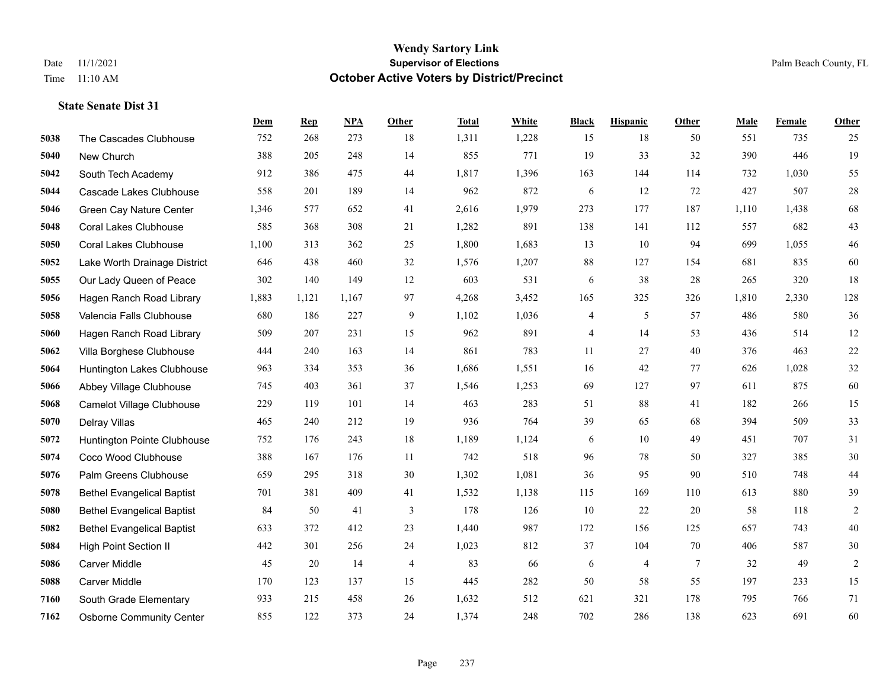|      |                                   | Dem   | <b>Rep</b> | NPA   | <b>Other</b>   | <b>Total</b> | White | <b>Black</b> | <b>Hispanic</b> | <b>Other</b>    | <b>Male</b> | Female | <b>Other</b>   |
|------|-----------------------------------|-------|------------|-------|----------------|--------------|-------|--------------|-----------------|-----------------|-------------|--------|----------------|
| 5038 | The Cascades Clubhouse            | 752   | 268        | 273   | 18             | 1,311        | 1,228 | 15           | 18              | 50              | 551         | 735    | 25             |
| 5040 | New Church                        | 388   | 205        | 248   | 14             | 855          | 771   | 19           | 33              | 32              | 390         | 446    | 19             |
| 5042 | South Tech Academy                | 912   | 386        | 475   | 44             | 1,817        | 1,396 | 163          | 144             | 114             | 732         | 1,030  | 55             |
| 5044 | Cascade Lakes Clubhouse           | 558   | 201        | 189   | 14             | 962          | 872   | 6            | 12              | 72              | 427         | 507    | $28\,$         |
| 5046 | Green Cay Nature Center           | 1,346 | 577        | 652   | 41             | 2,616        | 1,979 | 273          | 177             | 187             | 1.110       | 1.438  | 68             |
| 5048 | <b>Coral Lakes Clubhouse</b>      | 585   | 368        | 308   | 21             | 1,282        | 891   | 138          | 141             | 112             | 557         | 682    | $43\,$         |
| 5050 | <b>Coral Lakes Clubhouse</b>      | 1,100 | 313        | 362   | 25             | 1,800        | 1,683 | 13           | 10              | 94              | 699         | 1,055  | $46\,$         |
| 5052 | Lake Worth Drainage District      | 646   | 438        | 460   | 32             | 1,576        | 1,207 | 88           | 127             | 154             | 681         | 835    | 60             |
| 5055 | Our Lady Queen of Peace           | 302   | 140        | 149   | 12             | 603          | 531   | 6            | 38              | 28              | 265         | 320    | $18\,$         |
| 5056 | Hagen Ranch Road Library          | 1,883 | 1,121      | 1,167 | 97             | 4,268        | 3,452 | 165          | 325             | 326             | 1,810       | 2,330  | 128            |
| 5058 | Valencia Falls Clubhouse          | 680   | 186        | 227   | 9              | 1,102        | 1,036 | 4            | 5               | 57              | 486         | 580    | 36             |
| 5060 | Hagen Ranch Road Library          | 509   | 207        | 231   | 15             | 962          | 891   | 4            | 14              | 53              | 436         | 514    | 12             |
| 5062 | Villa Borghese Clubhouse          | 444   | 240        | 163   | 14             | 861          | 783   | 11           | 27              | 40              | 376         | 463    | $22\,$         |
| 5064 | Huntington Lakes Clubhouse        | 963   | 334        | 353   | 36             | 1,686        | 1,551 | 16           | 42              | 77              | 626         | 1,028  | $32\,$         |
| 5066 | Abbey Village Clubhouse           | 745   | 403        | 361   | 37             | 1,546        | 1,253 | 69           | 127             | 97              | 611         | 875    | 60             |
| 5068 | Camelot Village Clubhouse         | 229   | 119        | 101   | 14             | 463          | 283   | 51           | 88              | 41              | 182         | 266    | 15             |
| 5070 | Delray Villas                     | 465   | 240        | 212   | 19             | 936          | 764   | 39           | 65              | 68              | 394         | 509    | 33             |
| 5072 | Huntington Pointe Clubhouse       | 752   | 176        | 243   | 18             | 1,189        | 1,124 | 6            | 10              | 49              | 451         | 707    | 31             |
| 5074 | Coco Wood Clubhouse               | 388   | 167        | 176   | 11             | 742          | 518   | 96           | 78              | 50              | 327         | 385    | $30\,$         |
| 5076 | Palm Greens Clubhouse             | 659   | 295        | 318   | 30             | 1,302        | 1,081 | 36           | 95              | 90              | 510         | 748    | $44\,$         |
| 5078 | <b>Bethel Evangelical Baptist</b> | 701   | 381        | 409   | 41             | 1,532        | 1,138 | 115          | 169             | 110             | 613         | 880    | 39             |
| 5080 | <b>Bethel Evangelical Baptist</b> | 84    | 50         | 41    | 3              | 178          | 126   | 10           | 22              | 20              | 58          | 118    | 2              |
| 5082 | <b>Bethel Evangelical Baptist</b> | 633   | 372        | 412   | 23             | 1,440        | 987   | 172          | 156             | 125             | 657         | 743    | $40\,$         |
| 5084 | <b>High Point Section II</b>      | 442   | 301        | 256   | 24             | 1,023        | 812   | 37           | 104             | 70              | 406         | 587    | $30\,$         |
| 5086 | Carver Middle                     | 45    | 20         | 14    | $\overline{4}$ | 83           | 66    | 6            | $\overline{4}$  | $7\phantom{.0}$ | 32          | 49     | $\overline{2}$ |
| 5088 | <b>Carver Middle</b>              | 170   | 123        | 137   | 15             | 445          | 282   | 50           | 58              | 55              | 197         | 233    | 15             |
| 7160 | South Grade Elementary            | 933   | 215        | 458   | 26             | 1,632        | 512   | 621          | 321             | 178             | 795         | 766    | 71             |
| 7162 | <b>Osborne Community Center</b>   | 855   | 122        | 373   | 24             | 1,374        | 248   | 702          | 286             | 138             | 623         | 691    | 60             |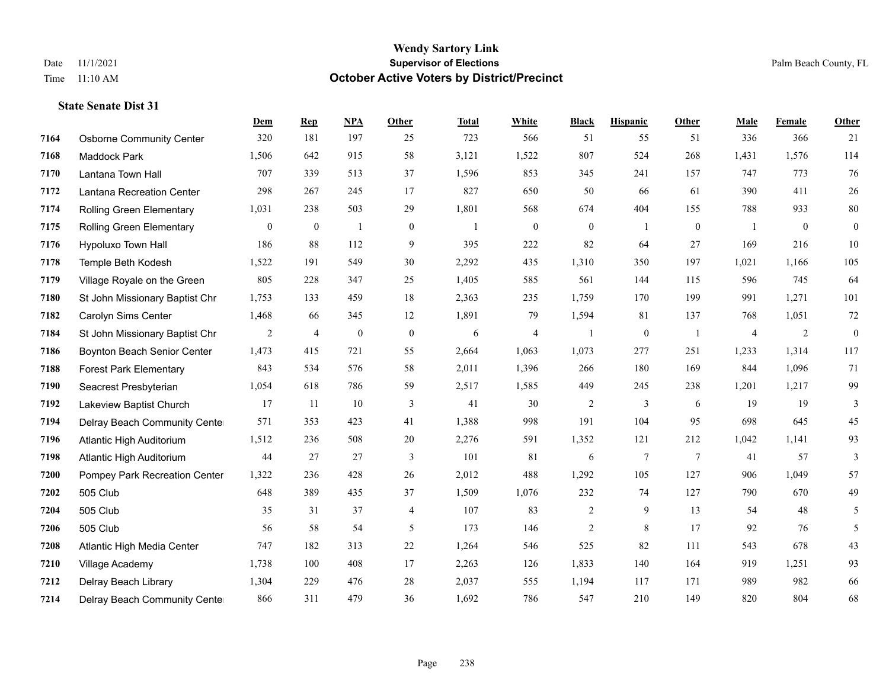|      |                                  | <b>Dem</b>     | <b>Rep</b>     | <b>NPA</b>       | <b>Other</b>     | <b>Total</b>   | White          | <b>Black</b>     | <b>Hispanic</b>  | Other           | Male           | <b>Female</b>  | Other            |
|------|----------------------------------|----------------|----------------|------------------|------------------|----------------|----------------|------------------|------------------|-----------------|----------------|----------------|------------------|
| 7164 | <b>Osborne Community Center</b>  | 320            | 181            | 197              | 25               | 723            | 566            | 51               | 55               | 51              | 336            | 366            | 21               |
| 7168 | Maddock Park                     | 1,506          | 642            | 915              | 58               | 3,121          | 1,522          | 807              | 524              | 268             | 1,431          | 1,576          | 114              |
| 7170 | Lantana Town Hall                | 707            | 339            | 513              | 37               | 1,596          | 853            | 345              | 241              | 157             | 747            | 773            | 76               |
| 7172 | <b>Lantana Recreation Center</b> | 298            | 267            | 245              | 17               | 827            | 650            | 50               | 66               | 61              | 390            | 411            | $26\,$           |
| 7174 | Rolling Green Elementary         | 1,031          | 238            | 503              | 29               | 1,801          | 568            | 674              | 404              | 155             | 788            | 933            | $80\,$           |
| 7175 | Rolling Green Elementary         | $\overline{0}$ | $\overline{0}$ | $\mathbf{1}$     | $\mathbf{0}$     | $\overline{1}$ | $\overline{0}$ | $\boldsymbol{0}$ | $\mathbf{1}$     | $\overline{0}$  | -1             | $\overline{0}$ | $\boldsymbol{0}$ |
| 7176 | Hypoluxo Town Hall               | 186            | 88             | 112              | 9                | 395            | 222            | 82               | 64               | 27              | 169            | 216            | 10               |
| 7178 | Temple Beth Kodesh               | 1,522          | 191            | 549              | 30               | 2,292          | 435            | 1,310            | 350              | 197             | 1,021          | 1,166          | 105              |
| 7179 | Village Royale on the Green      | 805            | 228            | 347              | 25               | 1,405          | 585            | 561              | 144              | 115             | 596            | 745            | 64               |
| 7180 | St John Missionary Baptist Chr   | 1,753          | 133            | 459              | 18               | 2,363          | 235            | 1,759            | 170              | 199             | 991            | 1,271          | 101              |
| 7182 | Carolyn Sims Center              | 1,468          | 66             | 345              | 12               | 1,891          | 79             | 1,594            | 81               | 137             | 768            | 1,051          | $72\,$           |
| 7184 | St John Missionary Baptist Chr   | $\overline{c}$ | $\overline{4}$ | $\boldsymbol{0}$ | $\boldsymbol{0}$ | 6              | $\overline{4}$ | $\overline{1}$   | $\boldsymbol{0}$ | -1              | $\overline{4}$ | 2              | $\boldsymbol{0}$ |
| 7186 | Boynton Beach Senior Center      | 1,473          | 415            | 721              | 55               | 2,664          | 1,063          | 1,073            | 277              | 251             | 1,233          | 1,314          | 117              |
| 7188 | <b>Forest Park Elementary</b>    | 843            | 534            | 576              | 58               | 2,011          | 1,396          | 266              | 180              | 169             | 844            | 1,096          | 71               |
| 7190 | Seacrest Presbyterian            | 1,054          | 618            | 786              | 59               | 2,517          | 1,585          | 449              | 245              | 238             | 1,201          | 1,217          | 99               |
| 7192 | Lakeview Baptist Church          | 17             | 11             | 10               | 3                | 41             | 30             | $\overline{c}$   | 3                | 6               | 19             | 19             | 3                |
| 7194 | Delray Beach Community Cente     | 571            | 353            | 423              | 41               | 1,388          | 998            | 191              | 104              | 95              | 698            | 645            | 45               |
| 7196 | Atlantic High Auditorium         | 1,512          | 236            | 508              | 20               | 2,276          | 591            | 1,352            | 121              | 212             | 1,042          | 1,141          | 93               |
| 7198 | Atlantic High Auditorium         | 44             | 27             | 27               | 3                | 101            | 81             | 6                | 7                | $7\phantom{.0}$ | 41             | 57             | 3                |
| 7200 | Pompey Park Recreation Center    | 1,322          | 236            | 428              | 26               | 2,012          | 488            | 1,292            | 105              | 127             | 906            | 1,049          | 57               |
| 7202 | 505 Club                         | 648            | 389            | 435              | 37               | 1,509          | 1,076          | 232              | 74               | 127             | 790            | 670            | 49               |
| 7204 | 505 Club                         | 35             | 31             | 37               | $\overline{4}$   | 107            | 83             | $\overline{c}$   | 9                | 13              | 54             | 48             | 5                |
| 7206 | 505 Club                         | 56             | 58             | 54               | 5                | 173            | 146            | $\overline{c}$   | 8                | 17              | 92             | 76             | 5                |
| 7208 | Atlantic High Media Center       | 747            | 182            | 313              | 22               | 1,264          | 546            | 525              | 82               | 111             | 543            | 678            | 43               |
| 7210 | Village Academy                  | 1,738          | 100            | 408              | 17               | 2,263          | 126            | 1,833            | 140              | 164             | 919            | 1,251          | 93               |
| 7212 | Delray Beach Library             | 1,304          | 229            | 476              | 28               | 2,037          | 555            | 1,194            | 117              | 171             | 989            | 982            | 66               |
| 7214 | Delray Beach Community Cente     | 866            | 311            | 479              | 36               | 1,692          | 786            | 547              | 210              | 149             | 820            | 804            | 68               |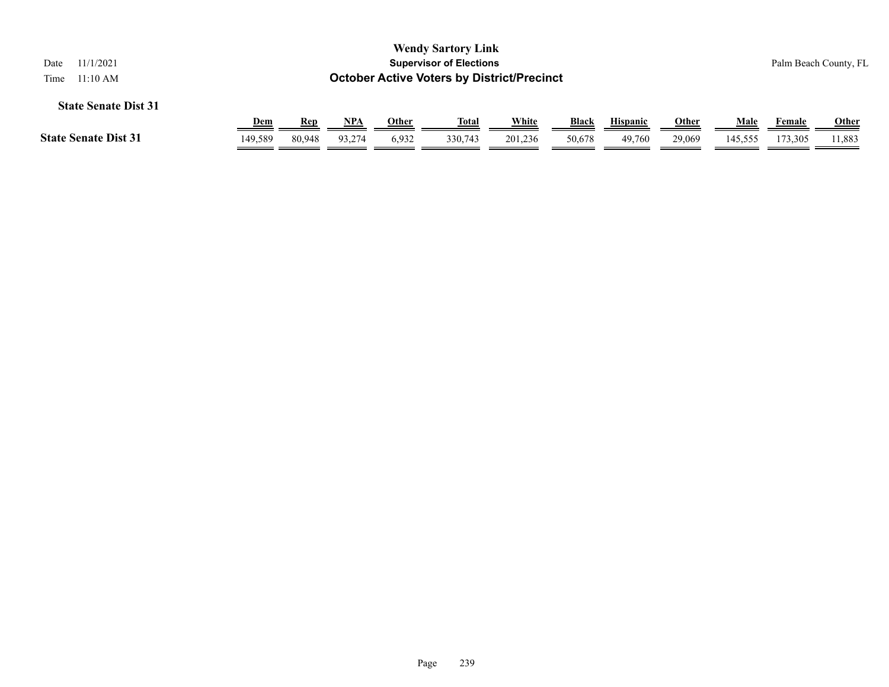| 11/1/2021<br>Date<br>11:10 AM<br>Time |            |        |            |              | <b>Wendy Sartory Link</b><br><b>Supervisor of Elections</b><br><b>October Active Voters by District/Precinct</b> |              |        |                 |              |             |               | Palm Beach County, FL |
|---------------------------------------|------------|--------|------------|--------------|------------------------------------------------------------------------------------------------------------------|--------------|--------|-----------------|--------------|-------------|---------------|-----------------------|
| <b>State Senate Dist 31</b>           |            |        |            |              |                                                                                                                  |              |        |                 |              |             |               |                       |
|                                       | <u>Dem</u> | Rep    | <u>NPA</u> | <b>Other</b> | <u>Total</u>                                                                                                     | <u>White</u> | Black  | <b>Hispanic</b> | <b>Other</b> | <u>Male</u> | <b>Female</b> | <u>Other</u>          |
| <b>State Senate Dist 31</b>           | 149,589    | 80,948 | 93.274     | 6,932        | 330.743                                                                                                          | 201,236      | 50,678 | 49,760          | 29,069       | 145,555     | 173,305       | 11,883                |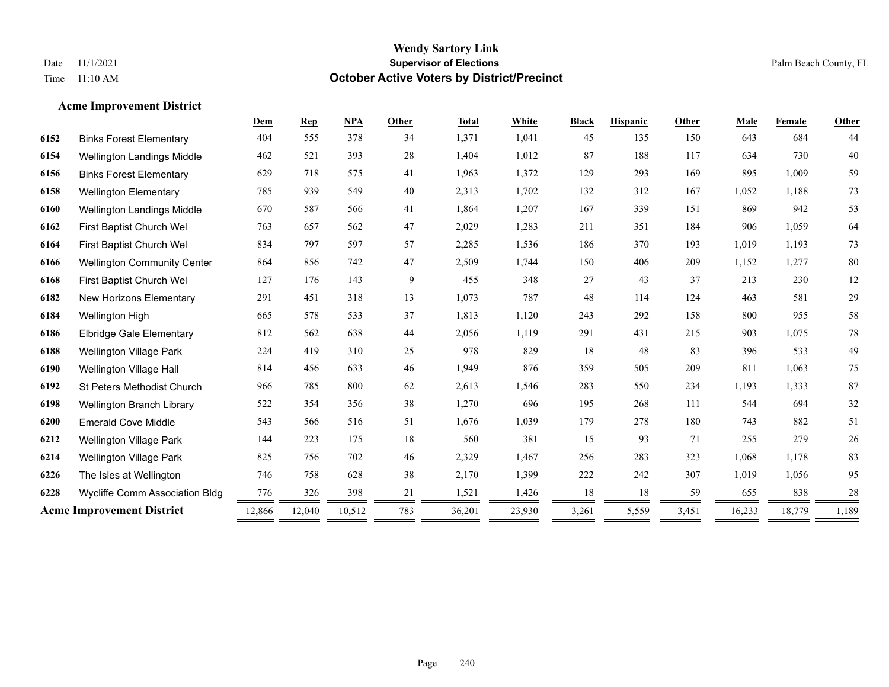# **Acme Improvement District**

| 378<br>1,371<br>45<br>643<br>404<br>555<br>34<br>1,041<br>135<br>150<br>684<br>6152<br><b>Binks Forest Elementary</b><br>393<br>28<br>1,404<br>1,012<br>87<br>188<br>117<br>730<br>6154<br>462<br>521<br>634<br><b>Wellington Landings Middle</b><br>41<br>1,963<br>1,372<br>129<br>293<br>169<br>895<br>1,009<br><b>Binks Forest Elementary</b><br>629<br>718<br>575<br>6156 | 44<br>40<br>59<br>73<br>53<br>64 |
|-------------------------------------------------------------------------------------------------------------------------------------------------------------------------------------------------------------------------------------------------------------------------------------------------------------------------------------------------------------------------------|----------------------------------|
|                                                                                                                                                                                                                                                                                                                                                                               |                                  |
|                                                                                                                                                                                                                                                                                                                                                                               |                                  |
|                                                                                                                                                                                                                                                                                                                                                                               |                                  |
| 785<br>939<br>549<br>40<br>2,313<br>1,702<br>132<br>312<br>167<br>1,052<br>1,188<br>6158<br><b>Wellington Elementary</b>                                                                                                                                                                                                                                                      |                                  |
| 41<br>167<br>942<br>670<br>587<br>566<br>1,864<br>1,207<br>339<br>151<br>869<br>6160<br>Wellington Landings Middle                                                                                                                                                                                                                                                            |                                  |
| 47<br>211<br>184<br>First Baptist Church Wel<br>763<br>657<br>562<br>2,029<br>1,283<br>351<br>906<br>1,059<br>6162                                                                                                                                                                                                                                                            |                                  |
| 57<br>1,019<br>6164<br>834<br>797<br>597<br>2,285<br>1,536<br>186<br>370<br>193<br>1,193<br>First Baptist Church Wel                                                                                                                                                                                                                                                          | 73                               |
| 742<br>47<br>864<br>856<br>2,509<br>1,744<br>150<br>406<br>209<br>1,152<br>1,277<br>6166<br><b>Wellington Community Center</b>                                                                                                                                                                                                                                                | 80                               |
| 143<br>9<br>27<br>37<br>127<br>455<br>348<br>43<br>213<br>230<br>First Baptist Church Wel<br>176<br>6168                                                                                                                                                                                                                                                                      | 12                               |
| 318<br>48<br>6182<br>291<br>451<br>13<br>1,073<br>787<br>114<br>124<br>463<br>581<br><b>New Horizons Elementary</b>                                                                                                                                                                                                                                                           | 29                               |
| 292<br>6184<br>665<br>578<br>533<br>37<br>1,813<br>1,120<br>243<br>158<br>800<br>955<br>Wellington High                                                                                                                                                                                                                                                                       | 58                               |
| 812<br>562<br>638<br>44<br>2,056<br>1,119<br>291<br>431<br>215<br>903<br>1,075<br>6186<br><b>Elbridge Gale Elementary</b>                                                                                                                                                                                                                                                     | 78                               |
| 48<br>224<br>419<br>310<br>25<br>978<br>829<br>18<br>83<br>396<br>533<br>6188<br><b>Wellington Village Park</b>                                                                                                                                                                                                                                                               | 49                               |
| 814<br>633<br>46<br>1,949<br>876<br>359<br>505<br>209<br>811<br>1,063<br>6190<br>Wellington Village Hall<br>456                                                                                                                                                                                                                                                               | 75                               |
| 6192<br>800<br>62<br>2,613<br>283<br>234<br>1,193<br>1,333<br>966<br>785<br>1,546<br>550<br><b>St Peters Methodist Church</b>                                                                                                                                                                                                                                                 | 87                               |
| 354<br>356<br>38<br>1,270<br>696<br>195<br>268<br>111<br>544<br>694<br>522<br>6198<br>Wellington Branch Library                                                                                                                                                                                                                                                               | 32                               |
| 51<br>1,676<br>1,039<br>179<br>278<br>180<br>882<br>543<br>516<br>743<br>6200<br><b>Emerald Cove Middle</b><br>566                                                                                                                                                                                                                                                            | 51                               |
| 18<br>560<br>6212<br>144<br>223<br>175<br>381<br>15<br>93<br>71<br>255<br>279<br><b>Wellington Village Park</b>                                                                                                                                                                                                                                                               | 26                               |
| 702<br>2,329<br>283<br>323<br>1,068<br>825<br>46<br>1,467<br>256<br>1,178<br>6214<br><b>Wellington Village Park</b><br>756                                                                                                                                                                                                                                                    | 83                               |
| 628<br>38<br>1,399<br>222<br>242<br>1,019<br>746<br>758<br>2,170<br>307<br>6226<br>1,056<br>The Isles at Wellington                                                                                                                                                                                                                                                           | 95                               |
| 326<br>398<br>18<br>18<br>838<br>6228<br>776<br>21<br>1,521<br>1,426<br>59<br>655<br>Wycliffe Comm Association Bldg                                                                                                                                                                                                                                                           | $28\,$                           |
| <b>Acme Improvement District</b><br>783<br>16,233<br>18,779<br>12,866<br>12,040<br>10,512<br>36,201<br>23,930<br>3,261<br>5,559<br>3,451                                                                                                                                                                                                                                      | 1,189                            |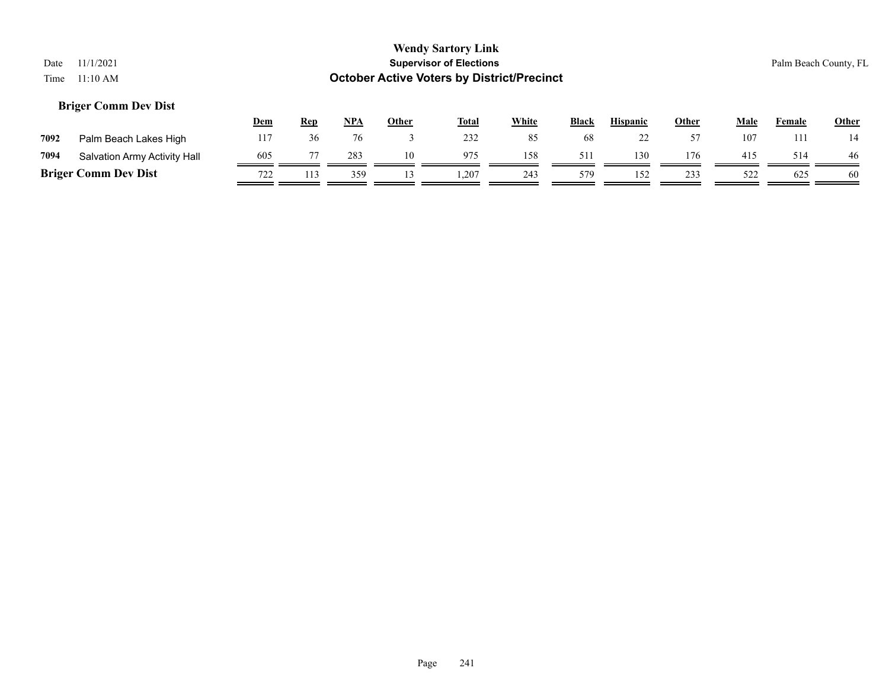# **Briger Comm Dev Dist**

|      |                              | <b>Dem</b> | <u>Rep</u> | <u>NPA</u> | Other | <b>Total</b> | White | <b>Black</b> | <b>Hispanic</b> | Other | Male | Female | <b>Other</b> |
|------|------------------------------|------------|------------|------------|-------|--------------|-------|--------------|-----------------|-------|------|--------|--------------|
| 7092 | Palm Beach Lakes High        | 117        | 36         |            |       | 232          |       | 68           |                 |       | 107  | l 11   |              |
| 7094 | Salvation Army Activity Hall | 605        |            | 283        | 10    | 975          | 158   | 511          | 130             | 176   | 415  | 514    | 46           |
|      | <b>Briger Comm Dev Dist</b>  | 722        |            | 359        |       | .207         | 243   | 579          | 152             | 233   | 522  | 625    | 60           |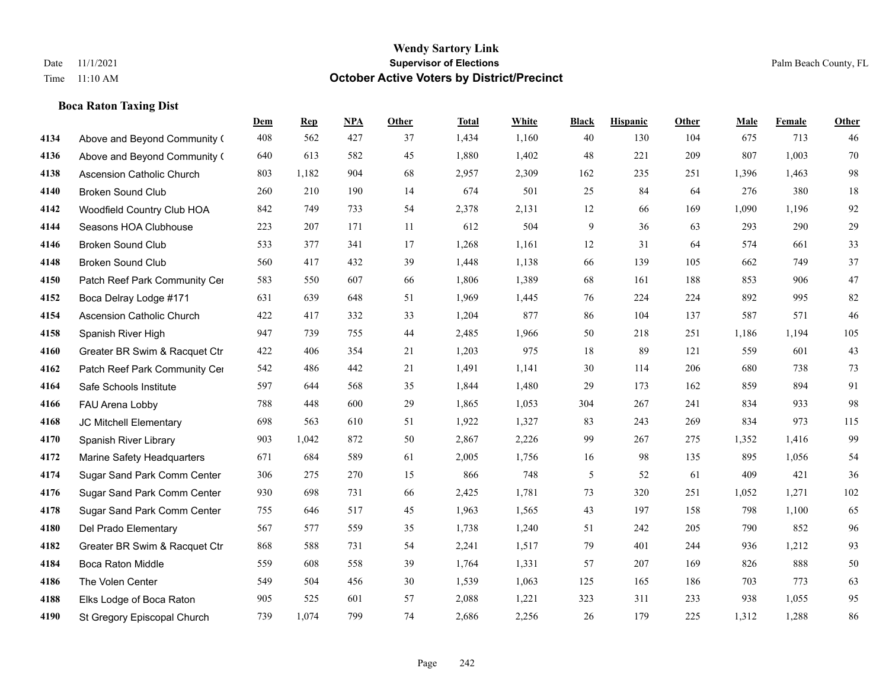**Boca Raton Taxing Dist**

#### **Wendy Sartory Link** Date 11/1/2021 **Supervisor of Elections** Palm Beach County, FL Time 11:10 AM **October Active Voters by District/Precinct**

**Dem Rep NPA Other Total White Black Hispanic Other Male Female Other**

# Above and Beyond Community Church 408 562 427 37 1,434 1,160 40 130 104 675 713 46 Above and Beyond Community Church 640 613 582 45 1,880 1,402 48 221 209 807 1,003 70 Ascension Catholic Church 803 1,182 904 68 2,957 2,309 162 235 251 1,396 1,463 98 Broken Sound Club 260 210 190 14 674 501 25 84 64 276 380 18 Woodfield Country Club HOA 842 749 733 54 2,378 2,131 12 66 169 1,090 1,196 92 Seasons HOA Clubhouse 223 207 171 11 612 504 9 36 63 293 290 29 Broken Sound Club 533 377 341 17 1,268 1,161 12 31 64 574 661 33 Broken Sound Club 560 417 432 39 1,448 1,138 66 139 105 662 749 37 4150 Patch Reef Park Community Center 583 550 607 66 1,806 1,389 68 161 188 853 906 47 Boca Delray Lodge #171 631 639 648 51 1,969 1,445 76 224 224 892 995 82 Ascension Catholic Church 422 417 332 33 1,204 877 86 104 137 587 571 46 Spanish River High 947 739 755 44 2,485 1,966 50 218 251 1,186 1,194 105 Greater BR Swim & Racquet Ctr 422 406 354 21 1,203 975 18 89 121 559 601 43 4162 Patch Reef Park Community Center 542 486 442 21 1,491 1,141 30 114 206 680 738 73 Safe Schools Institute 597 644 568 35 1,844 1,480 29 173 162 859 894 91 FAU Arena Lobby 788 448 600 29 1,865 1,053 304 267 241 834 933 98 JC Mitchell Elementary 698 563 610 51 1,922 1,327 83 243 269 834 973 115 Spanish River Library 903 1,042 872 50 2,867 2,226 99 267 275 1,352 1,416 99 Marine Safety Headquarters 671 684 589 61 2,005 1,756 16 98 135 895 1,056 54 Sugar Sand Park Comm Center 306 275 270 15 866 748 5 52 61 409 421 36 Sugar Sand Park Comm Center 930 698 731 66 2,425 1,781 73 320 251 1,052 1,271 102 Sugar Sand Park Comm Center 755 646 517 45 1,963 1,565 43 197 158 798 1,100 65 Del Prado Elementary 567 577 559 35 1,738 1,240 51 242 205 790 852 96 Greater BR Swim & Racquet Ctr 868 588 731 54 2,241 1,517 79 401 244 936 1,212 93 Boca Raton Middle 559 608 558 39 1,764 1,331 57 207 169 826 888 50 The Volen Center 549 504 456 30 1,539 1,063 125 165 186 703 773 63

 Elks Lodge of Boca Raton 905 525 601 57 2,088 1,221 323 311 233 938 1,055 95 St Gregory Episcopal Church 739 1,074 799 74 2,686 2,256 26 179 225 1,312 1,288 86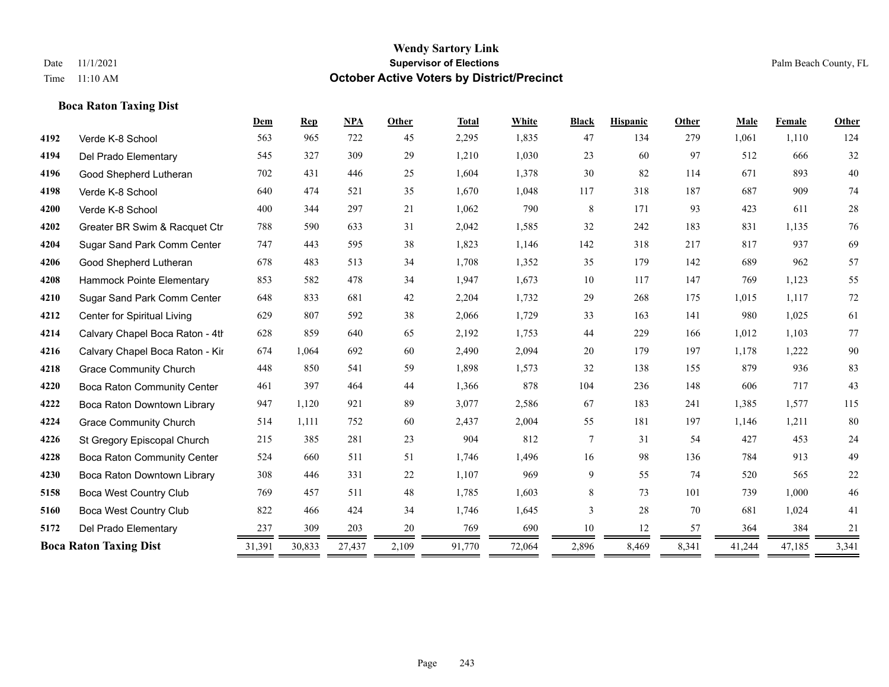# **Boca Raton Taxing Dist**

|      |                                 | Dem    | <b>Rep</b> | <b>NPA</b> | Other | <b>Total</b> | White  | <b>Black</b> | <b>Hispanic</b> | Other | Male   | Female | Other  |
|------|---------------------------------|--------|------------|------------|-------|--------------|--------|--------------|-----------------|-------|--------|--------|--------|
| 4192 | Verde K-8 School                | 563    | 965        | 722        | 45    | 2,295        | 1,835  | 47           | 134             | 279   | 1,061  | 1,110  | 124    |
| 4194 | Del Prado Elementary            | 545    | 327        | 309        | 29    | 1,210        | 1,030  | 23           | 60              | 97    | 512    | 666    | 32     |
| 4196 | Good Shepherd Lutheran          | 702    | 431        | 446        | 25    | 1,604        | 1,378  | 30           | 82              | 114   | 671    | 893    | 40     |
| 4198 | Verde K-8 School                | 640    | 474        | 521        | 35    | 1,670        | 1,048  | 117          | 318             | 187   | 687    | 909    | $74\,$ |
| 4200 | Verde K-8 School                | 400    | 344        | 297        | 21    | 1,062        | 790    | 8            | 171             | 93    | 423    | 611    | $28\,$ |
| 4202 | Greater BR Swim & Racquet Ctr   | 788    | 590        | 633        | 31    | 2,042        | 1,585  | 32           | 242             | 183   | 831    | 1,135  | 76     |
| 4204 | Sugar Sand Park Comm Center     | 747    | 443        | 595        | 38    | 1,823        | 1,146  | 142          | 318             | 217   | 817    | 937    | 69     |
| 4206 | Good Shepherd Lutheran          | 678    | 483        | 513        | 34    | 1,708        | 1,352  | 35           | 179             | 142   | 689    | 962    | 57     |
| 4208 | Hammock Pointe Elementary       | 853    | 582        | 478        | 34    | 1,947        | 1,673  | 10           | 117             | 147   | 769    | 1,123  | 55     |
| 4210 | Sugar Sand Park Comm Center     | 648    | 833        | 681        | 42    | 2,204        | 1,732  | 29           | 268             | 175   | 1,015  | 1,117  | 72     |
| 4212 | Center for Spiritual Living     | 629    | 807        | 592        | 38    | 2,066        | 1,729  | 33           | 163             | 141   | 980    | 1,025  | 61     |
| 4214 | Calvary Chapel Boca Raton - 4th | 628    | 859        | 640        | 65    | 2,192        | 1,753  | 44           | 229             | 166   | 1,012  | 1,103  | 77     |
| 4216 | Calvary Chapel Boca Raton - Kir | 674    | 1,064      | 692        | 60    | 2,490        | 2,094  | 20           | 179             | 197   | 1,178  | 1,222  | $90\,$ |
| 4218 | <b>Grace Community Church</b>   | 448    | 850        | 541        | 59    | 1,898        | 1,573  | 32           | 138             | 155   | 879    | 936    | 83     |
| 4220 | Boca Raton Community Center     | 461    | 397        | 464        | 44    | 1,366        | 878    | 104          | 236             | 148   | 606    | 717    | 43     |
| 4222 | Boca Raton Downtown Library     | 947    | 1,120      | 921        | 89    | 3,077        | 2,586  | 67           | 183             | 241   | 1,385  | 1,577  | 115    |
| 4224 | <b>Grace Community Church</b>   | 514    | 1,111      | 752        | 60    | 2,437        | 2,004  | 55           | 181             | 197   | 1,146  | 1,211  | 80     |
| 4226 | St Gregory Episcopal Church     | 215    | 385        | 281        | 23    | 904          | 812    | 7            | 31              | 54    | 427    | 453    | 24     |
| 4228 | Boca Raton Community Center     | 524    | 660        | 511        | 51    | 1,746        | 1,496  | 16           | 98              | 136   | 784    | 913    | 49     |
| 4230 | Boca Raton Downtown Library     | 308    | 446        | 331        | 22    | 1,107        | 969    | 9            | 55              | 74    | 520    | 565    | 22     |
| 5158 | Boca West Country Club          | 769    | 457        | 511        | 48    | 1,785        | 1,603  | 8            | 73              | 101   | 739    | 1,000  | 46     |
| 5160 | Boca West Country Club          | 822    | 466        | 424        | 34    | 1,746        | 1,645  | 3            | 28              | 70    | 681    | 1,024  | 41     |
| 5172 | Del Prado Elementary            | 237    | 309        | 203        | 20    | 769          | 690    | 10           | 12              | 57    | 364    | 384    | 21     |
|      | <b>Boca Raton Taxing Dist</b>   | 31,391 | 30,833     | 27,437     | 2,109 | 91,770       | 72,064 | 2,896        | 8,469           | 8,341 | 41,244 | 47,185 | 3,341  |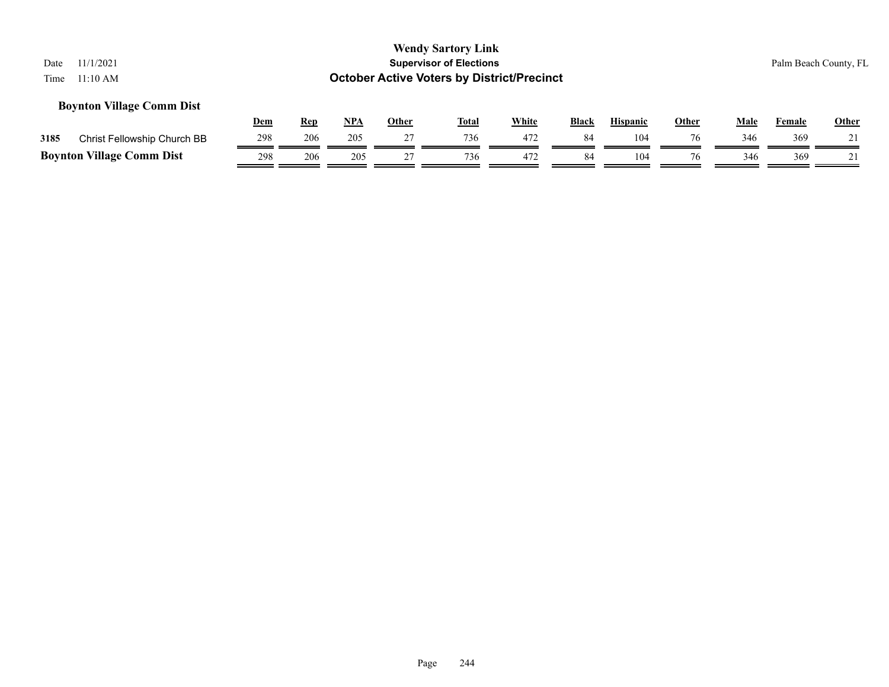# **Boynton Village Comm Dist**

|      |                                  | <u>Dem</u> | Rep | NPA | Other | <b>Total</b> | White | <b>Black</b> | <b>Hispanic</b> | Other | Male | Female | <u>Other</u>      |
|------|----------------------------------|------------|-----|-----|-------|--------------|-------|--------------|-----------------|-------|------|--------|-------------------|
| 3185 | Christ Fellowship Church BB      | 298        | 206 | 205 |       | 736          | 472   | 84           | 104             | 76    | 346  | 369    | $\mathbf{\Omega}$ |
|      | <b>Boynton Village Comm Dist</b> | 298        | 206 | 205 |       | 736          | 472   |              | 10 <sup>′</sup> | 76    | 346  | 369    |                   |

Page 244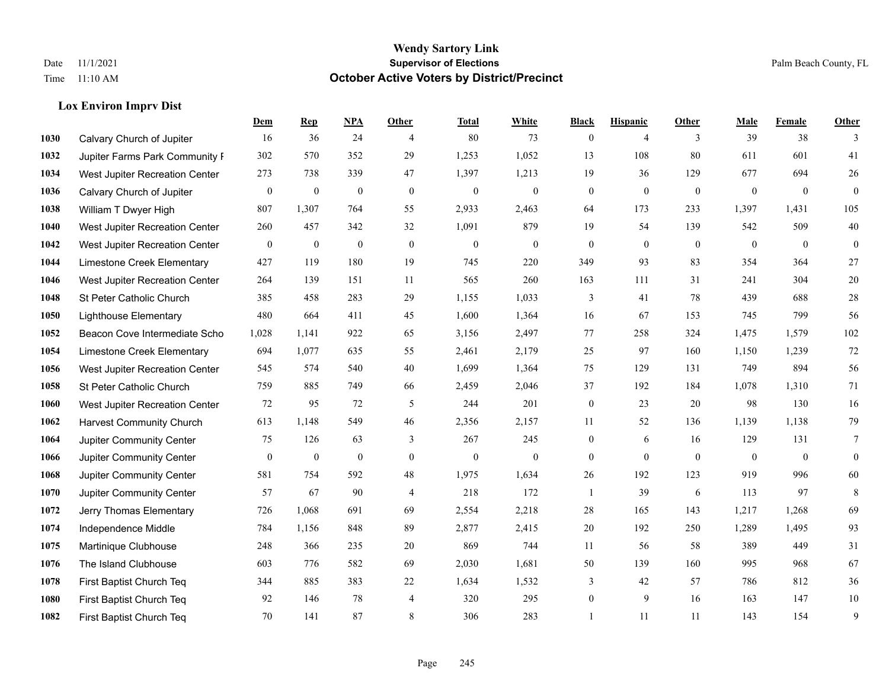**Lox Environ Imprv Dist**

#### **Wendy Sartory Link** Date 11/1/2021 **Supervisor of Elections** Palm Beach County, FL Time 11:10 AM **October Active Voters by District/Precinct**

# **Dem Rep NPA Other Total White Black Hispanic Other Male Female Other** Calvary Church of Jupiter 16 36 24 4 80 73 0 4 3 39 38 3 Jupiter Farms Park Community F 302 570 352 29 1,253 1,052 13 108 80 611 601 41 West Jupiter Recreation Center 273 738 339 47 1,397 1,213 19 36 129 677 694 26 Calvary Church of Jupiter 0 0 0 0 0 0 0 0 0 0 0 0 William T Dwyer High 807 1,307 764 55 2,933 2,463 64 173 233 1,397 1,431 105 West Jupiter Recreation Center 260 457 342 32 1,091 879 19 54 139 542 509 40 West Jupiter Recreation Center 0 0 0 0 0 0 0 0 0 0 0 0 Limestone Creek Elementary 427 119 180 19 745 220 349 93 83 354 364 27 West Jupiter Recreation Center 264 139 151 11 565 260 163 111 31 241 304 20 St Peter Catholic Church 385 458 283 29 1,155 1,033 3 41 78 439 688 28 Lighthouse Elementary 480 664 411 45 1,600 1,364 16 67 153 745 799 56 Beacon Cove Intermediate School 1,028 1,141 922 65 3,156 2,497 77 258 324 1,475 1,579 102 Limestone Creek Elementary 694 1,077 635 55 2,461 2,179 25 97 160 1,150 1,239 72 West Jupiter Recreation Center 545 574 540 40 1,699 1,364 75 129 131 749 894 56 St Peter Catholic Church 759 885 749 66 2,459 2,046 37 192 184 1,078 1,310 71 West Jupiter Recreation Center 72 95 72 5 244 201 0 23 20 98 130 16 Harvest Community Church 613 1,148 549 46 2,356 2,157 11 52 136 1,139 1,138 79 Jupiter Community Center  $\begin{array}{cccc} 75 & 126 & 63 & 3 & 267 & 245 & 0 & 6 & 16 & 129 & 131 & 7 \end{array}$  Jupiter Community Center 0 0 0 0 0 0 0 0 0 0 0 0 Jupiter Community Center 581 754 592 48 1,975 1,634 26 192 123 919 996 60 Jupiter Community Center 57 67 90 4 218 172 1 39 6 113 97 8 Jerry Thomas Elementary 726 1,068 691 69 2,554 2,218 28 165 143 1,217 1,268 69 Independence Middle 784 1,156 848 89 2,877 2,415 20 192 250 1,289 1,495 93 Martinique Clubhouse 248 366 235 20 869 744 11 56 58 389 449 31 The Island Clubhouse 603 776 582 69 2,030 1,681 50 139 160 995 968 67 First Baptist Church Teq 344 885 383 22 1,634 1,532 3 42 57 786 812 36 First Baptist Church Teq 92 146 78 4 320 295 0 9 16 163 147 10 First Baptist Church Teq **70** 141 87 8 306 283 1 1 11 11 143 154 9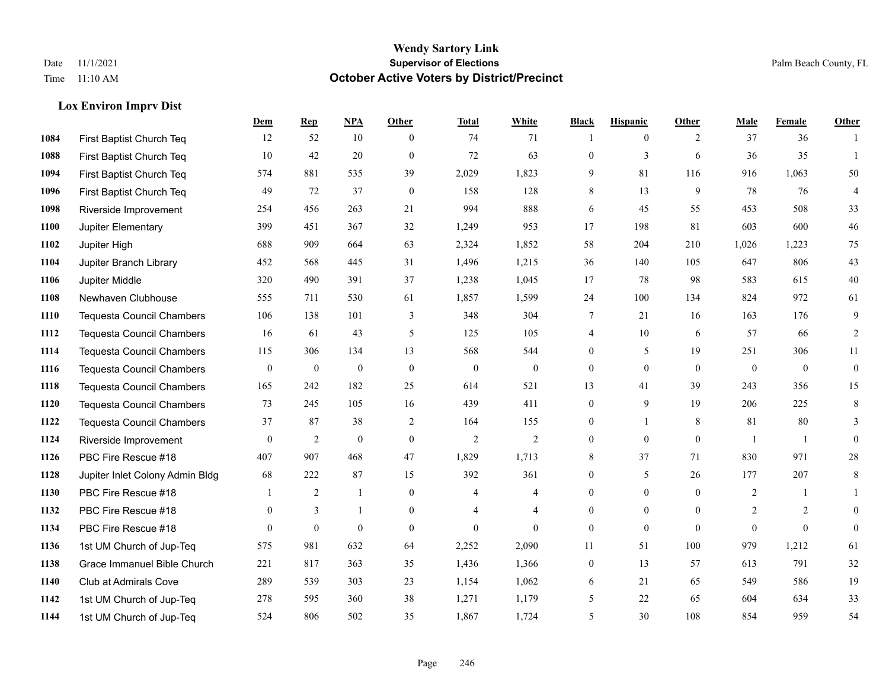# **Lox Environ Imprv Dist**

|      |                                  | Dem          | <b>Rep</b>       | NPA              | <b>Other</b>   | <b>Total</b>   | <b>White</b>     | <b>Black</b>     | <b>Hispanic</b> | <b>Other</b> | <b>Male</b>  | Female       | <b>Other</b>     |
|------|----------------------------------|--------------|------------------|------------------|----------------|----------------|------------------|------------------|-----------------|--------------|--------------|--------------|------------------|
| 1084 | First Baptist Church Teq         | 12           | 52               | 10               | $\theta$       | 74             | 71               | 1                | $\mathbf{0}$    | 2            | 37           | 36           | $\mathbf{1}$     |
| 1088 | First Baptist Church Teq         | 10           | 42               | 20               | $\theta$       | 72             | 63               | $\mathbf{0}$     | 3               | 6            | 36           | 35           | $\mathbf{1}$     |
| 1094 | First Baptist Church Teq         | 574          | 881              | 535              | 39             | 2,029          | 1,823            | 9                | 81              | 116          | 916          | 1,063        | 50               |
| 1096 | First Baptist Church Teq         | 49           | 72               | 37               | $\mathbf{0}$   | 158            | 128              | 8                | 13              | 9            | 78           | 76           | $\overline{4}$   |
| 1098 | Riverside Improvement            | 254          | 456              | 263              | 21             | 994            | 888              | 6                | 45              | 55           | 453          | 508          | 33               |
| 1100 | Jupiter Elementary               | 399          | 451              | 367              | 32             | 1,249          | 953              | 17               | 198             | 81           | 603          | 600          | $46\,$           |
| 1102 | Jupiter High                     | 688          | 909              | 664              | 63             | 2,324          | 1,852            | 58               | 204             | 210          | 1,026        | 1,223        | 75               |
| 1104 | Jupiter Branch Library           | 452          | 568              | 445              | 31             | 1,496          | 1,215            | 36               | 140             | 105          | 647          | 806          | 43               |
| 1106 | Jupiter Middle                   | 320          | 490              | 391              | 37             | 1,238          | 1,045            | 17               | 78              | 98           | 583          | 615          | $40\,$           |
| 1108 | Newhaven Clubhouse               | 555          | 711              | 530              | 61             | 1,857          | 1,599            | 24               | 100             | 134          | 824          | 972          | 61               |
| 1110 | <b>Tequesta Council Chambers</b> | 106          | 138              | 101              | 3              | 348            | 304              | 7                | 21              | 16           | 163          | 176          | 9                |
| 1112 | <b>Tequesta Council Chambers</b> | 16           | 61               | 43               | 5              | 125            | 105              | 4                | 10              | 6            | 57           | 66           | $\overline{2}$   |
| 1114 | <b>Tequesta Council Chambers</b> | 115          | 306              | 134              | 13             | 568            | 544              | $\overline{0}$   | 5               | 19           | 251          | 306          | $11\,$           |
| 1116 | <b>Tequesta Council Chambers</b> | $\mathbf{0}$ | $\boldsymbol{0}$ | $\boldsymbol{0}$ | $\mathbf{0}$   | $\theta$       | $\boldsymbol{0}$ | $\boldsymbol{0}$ | $\mathbf{0}$    | $\mathbf{0}$ | $\mathbf{0}$ | $\mathbf{0}$ | $\boldsymbol{0}$ |
| 1118 | <b>Tequesta Council Chambers</b> | 165          | 242              | 182              | 25             | 614            | 521              | 13               | 41              | 39           | 243          | 356          | 15               |
| 1120 | <b>Tequesta Council Chambers</b> | 73           | 245              | 105              | 16             | 439            | 411              | $\boldsymbol{0}$ | 9               | 19           | 206          | 225          | 8                |
| 1122 | Tequesta Council Chambers        | 37           | 87               | 38               | 2              | 164            | 155              | $\mathbf{0}$     | $\mathbf{1}$    | 8            | 81           | 80           | 3                |
| 1124 | Riverside Improvement            | $\mathbf{0}$ | $\sqrt{2}$       | $\boldsymbol{0}$ | $\overline{0}$ | $\sqrt{2}$     | $\overline{c}$   | $\boldsymbol{0}$ | $\mathbf{0}$    | $\mathbf{0}$ |              | -1           | $\mathbf{0}$     |
| 1126 | PBC Fire Rescue #18              | 407          | 907              | 468              | 47             | 1,829          | 1,713            | 8                | 37              | 71           | 830          | 971          | $28\,$           |
| 1128 | Jupiter Inlet Colony Admin Bldg  | 68           | 222              | 87               | 15             | 392            | 361              | $\mathbf{0}$     | 5               | 26           | 177          | 207          | 8                |
| 1130 | PBC Fire Rescue #18              |              | $\overline{2}$   | -1               | $\overline{0}$ | 4              | 4                | $\boldsymbol{0}$ | $\mathbf{0}$    | $\theta$     | 2            | 1            | $\mathbf{1}$     |
| 1132 | PBC Fire Rescue #18              | $\theta$     | 3                | $\mathbf{1}$     | $\overline{0}$ | $\overline{4}$ | $\overline{4}$   | $\overline{0}$   | $\theta$        | $\theta$     | 2            | 2            | $\theta$         |
| 1134 | PBC Fire Rescue #18              | $\theta$     | $\mathbf{0}$     | $\mathbf{0}$     | $\theta$       | $\theta$       | $\theta$         | $\mathbf{0}$     | $\theta$        | $\Omega$     | $\Omega$     | $\theta$     | $\mathbf{0}$     |
| 1136 | 1st UM Church of Jup-Teq         | 575          | 981              | 632              | 64             | 2,252          | 2,090            | 11               | 51              | 100          | 979          | 1,212        | 61               |
| 1138 | Grace Immanuel Bible Church      | 221          | 817              | 363              | 35             | 1,436          | 1,366            | $\boldsymbol{0}$ | 13              | 57           | 613          | 791          | 32               |
| 1140 | Club at Admirals Cove            | 289          | 539              | 303              | 23             | 1,154          | 1,062            | 6                | 21              | 65           | 549          | 586          | 19               |
| 1142 | 1st UM Church of Jup-Teq         | 278          | 595              | 360              | 38             | 1,271          | 1,179            | 5                | 22              | 65           | 604          | 634          | 33               |
| 1144 | 1st UM Church of Jup-Teq         | 524          | 806              | 502              | 35             | 1,867          | 1,724            | 5                | 30              | 108          | 854          | 959          | 54               |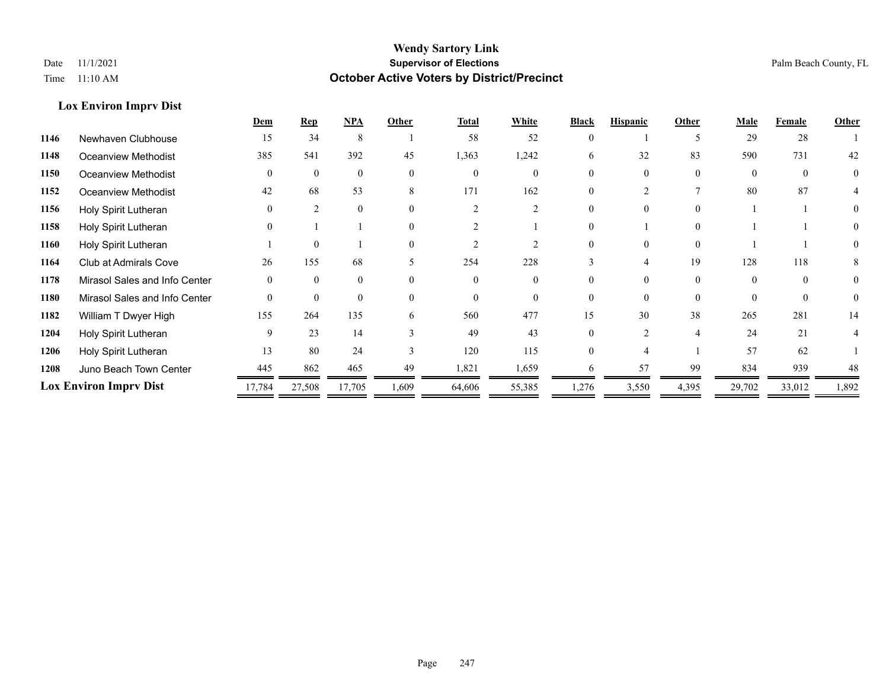**Lox Environ Imprv Dist**

## **Wendy Sartory Link** Date 11/1/2021 **Supervisor of Elections** Palm Beach County, FL Time 11:10 AM **October Active Voters by District/Precinct**

|                               |                               | Dem          | <b>Rep</b>   | NPA      | Other        | <b>Total</b> | White          | <b>Black</b> | <b>Hispanic</b> | Other    | Male     | Female | Other    |
|-------------------------------|-------------------------------|--------------|--------------|----------|--------------|--------------|----------------|--------------|-----------------|----------|----------|--------|----------|
| 1146                          | Newhaven Clubhouse            | 15           | 34           | 8        |              | 58           | 52             | $\theta$     |                 | C        | 29       | 28     |          |
| 1148                          | Oceanview Methodist           | 385          | 541          | 392      | 45           | 1,363        | 1,242          | 6            | 32              | 83       | 590      | 731    | 42       |
| 1150                          | Oceanview Methodist           | $\mathbf{0}$ | $\mathbf{0}$ | $\Omega$ |              | $\theta$     | $\theta$       |              |                 |          | $\Omega$ |        | $\Omega$ |
| 1152                          | <b>Oceanview Methodist</b>    | 42           | 68           | 53       | 8            | 171          | 162            | $\Omega$     |                 |          | 80       | 87     |          |
| 1156                          | Holy Spirit Lutheran          | $\Omega$     | 2            | $\Omega$ |              |              | $\mathfrak{D}$ |              |                 | $\Omega$ |          |        | $\Omega$ |
| 1158                          | Holy Spirit Lutheran          | $\mathbf{0}$ |              |          |              |              |                |              |                 |          |          |        | $\Omega$ |
| 1160                          | Holy Spirit Lutheran          |              | $\theta$     |          | $\Omega$     |              |                | $\Omega$     |                 | $\Omega$ |          |        | $\Omega$ |
| 1164                          | Club at Admirals Cove         | 26           | 155          | 68       |              | 254          | 228            |              |                 | 19       | 128      | 118    |          |
| 1178                          | Mirasol Sales and Info Center | $\theta$     | $\theta$     | $\theta$ |              | $\theta$     | $\theta$       |              |                 | $\theta$ | $\Omega$ | 0      | $\Omega$ |
| 1180                          | Mirasol Sales and Info Center | $\theta$     | $\theta$     | $\Omega$ | $\theta$     | $\theta$     | $\Omega$       | $\Omega$     |                 | $\Omega$ |          |        | $\Omega$ |
| 1182                          | William T Dwyer High          | 155          | 264          | 135      | 6            | 560          | 477            | 15           | 30              | 38       | 265      | 281    | 14       |
| 1204                          | Holy Spirit Lutheran          | 9            | 23           | 14       | $\mathbf{3}$ | 49           | 43             | $\Omega$     | $\mathcal{D}$   | 4        | 24       | 21     |          |
| 1206                          | Holy Spirit Lutheran          | 13           | 80           | 24       |              | 120          | 115            |              |                 |          | 57       | 62     |          |
| 1208                          | Juno Beach Town Center        | 445          | 862          | 465      | 49           | 1,821        | 1,659          |              | 57              | 99       | 834      | 939    | 48       |
| <b>Lox Environ Imprv Dist</b> |                               | 17,784       | 27,508       | 17,705   | 1,609        | 64,606       | 55,385         | 1,276        | 3,550           | 4,395    | 29,702   | 33,012 | 1,892    |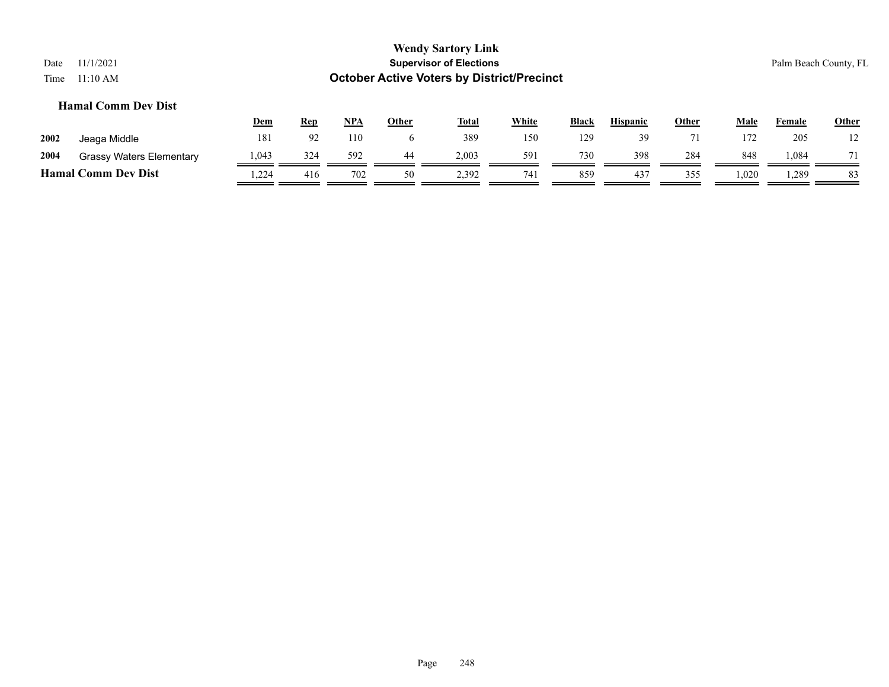#### **Hamal Comm Dev Dist**

|      |                                 | <u>Dem</u> | Rep            | NPA | Other | <b>Total</b> | <u>White</u> | <b>Black</b> | <b>Hispanic</b> | <u>Other</u> | Male  | Female | <b>Other</b> |
|------|---------------------------------|------------|----------------|-----|-------|--------------|--------------|--------------|-----------------|--------------|-------|--------|--------------|
| 2002 | Jeaga Middle                    | 181        | Q <sub>2</sub> | 110 |       | 389          | 150          | 129          | 39              | 71           | 172   | 205    |              |
| 2004 | <b>Grassy Waters Elementary</b> | 1,043      | 324            | 592 | 44    | 2.003        | 591          | 730          | 398             | 284          | 848   | 1,084  | 71           |
|      | <b>Hamal Comm Dev Dist</b>      | .224       | 416            | 702 | 50    | 2,392        | 741          | 859          | 437             | 355          | 1,020 | .289   | 83           |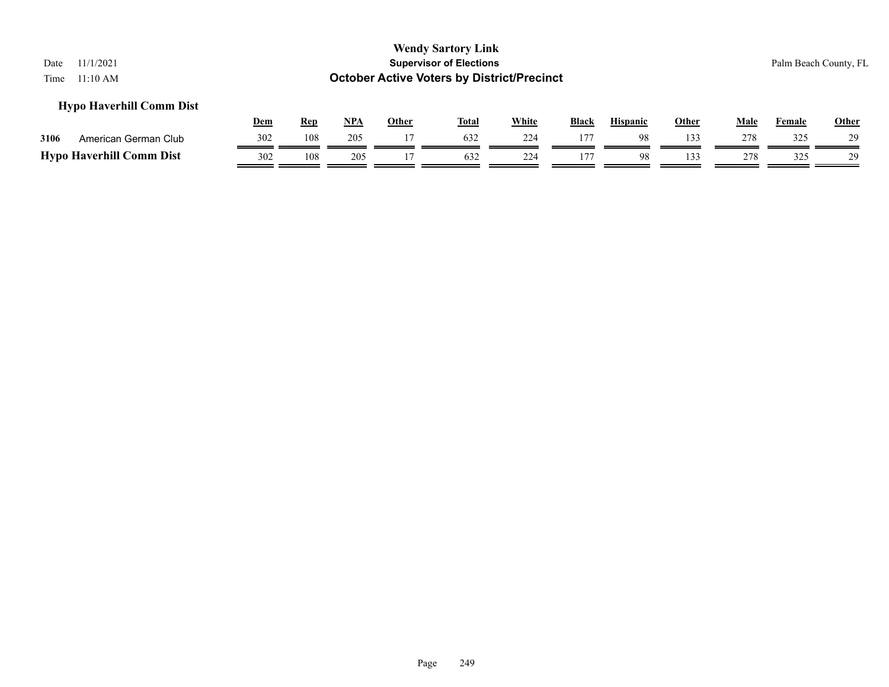# **Hypo Haverhill Comm Dist**

|      |                                 | Dem | Rep | NPA | Other | <b>Total</b> | White | <b>Black</b> | <b>Hispanic</b> | Other | Male | <b>Female</b> | <b>Other</b> |
|------|---------------------------------|-----|-----|-----|-------|--------------|-------|--------------|-----------------|-------|------|---------------|--------------|
| 3106 | American German Club            | 302 | 108 | 205 |       |              | 224   |              | 98              | 33    | 278  | 325           | 29           |
|      | <b>Hypo Haverhill Comm Dist</b> | 302 | 108 | 205 |       | 632          |       |              | 98              |       | 278  | 325<br>ن نے ب | 20           |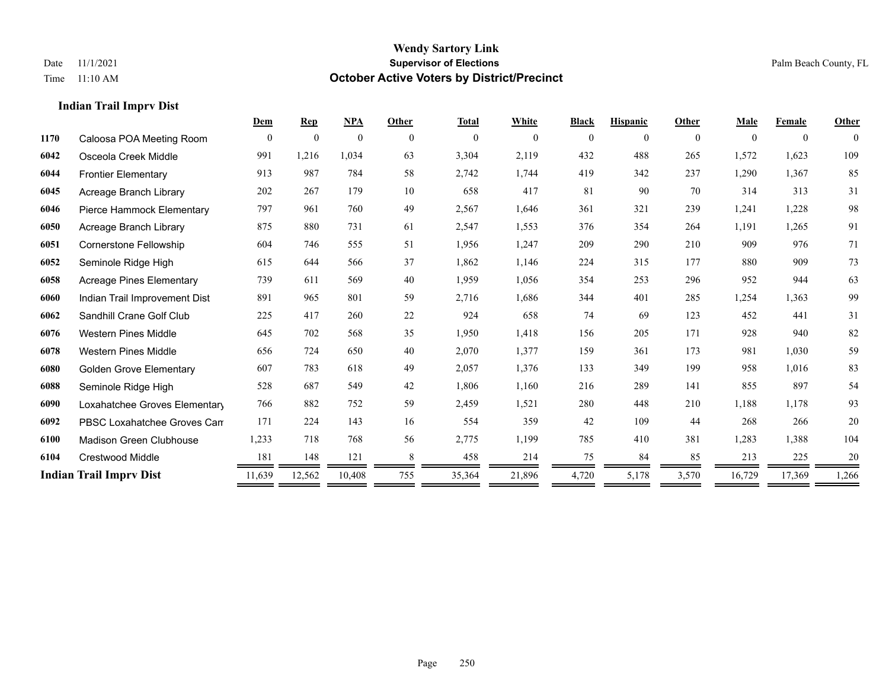**Indian Trail Imprv Dist**

## **Wendy Sartory Link** Date 11/1/2021 **Supervisor of Elections** Palm Beach County, FL Time 11:10 AM **October Active Voters by District/Precinct**

|      |                                    | Dem          | <b>Rep</b>   | <b>NPA</b>   | Other          | <b>Total</b> | White          | <b>Black</b>   | <b>Hispanic</b> | Other          | Male     | Female         | Other        |
|------|------------------------------------|--------------|--------------|--------------|----------------|--------------|----------------|----------------|-----------------|----------------|----------|----------------|--------------|
| 1170 | Caloosa POA Meeting Room           | $\mathbf{0}$ | $\mathbf{0}$ | $\mathbf{0}$ | $\overline{0}$ | $\mathbf{0}$ | $\overline{0}$ | $\overline{0}$ | $\mathbf{0}$    | $\overline{0}$ | $\theta$ | $\overline{0}$ | $\mathbf{0}$ |
| 6042 | Osceola Creek Middle               | 991          | 1,216        | 1,034        | 63             | 3,304        | 2,119          | 432            | 488             | 265            | 1,572    | 1,623          | 109          |
| 6044 | <b>Frontier Elementary</b>         | 913          | 987          | 784          | 58             | 2,742        | 1,744          | 419            | 342             | 237            | 1,290    | 1,367          | 85           |
| 6045 | Acreage Branch Library             | 202          | 267          | 179          | 10             | 658          | 417            | 81             | 90              | 70             | 314      | 313            | 31           |
| 6046 | Pierce Hammock Elementary          | 797          | 961          | 760          | 49             | 2,567        | 1,646          | 361            | 321             | 239            | 1,241    | 1,228          | 98           |
| 6050 | Acreage Branch Library             | 875          | 880          | 731          | 61             | 2,547        | 1,553          | 376            | 354             | 264            | 1,191    | 1,265          | 91           |
| 6051 | Cornerstone Fellowship             | 604          | 746          | 555          | 51             | 1,956        | 1,247          | 209            | 290             | 210            | 909      | 976            | 71           |
| 6052 | Seminole Ridge High                | 615          | 644          | 566          | 37             | 1,862        | 1,146          | 224            | 315             | 177            | 880      | 909            | 73           |
| 6058 | Acreage Pines Elementary           | 739          | 611          | 569          | 40             | 1,959        | 1,056          | 354            | 253             | 296            | 952      | 944            | 63           |
| 6060 | Indian Trail Improvement Dist      | 891          | 965          | 801          | 59             | 2,716        | 1,686          | 344            | 401             | 285            | 1,254    | 1,363          | 99           |
| 6062 | Sandhill Crane Golf Club           | 225          | 417          | 260          | 22             | 924          | 658            | 74             | 69              | 123            | 452      | 441            | 31           |
| 6076 | <b>Western Pines Middle</b>        | 645          | 702          | 568          | 35             | 1,950        | 1,418          | 156            | 205             | 171            | 928      | 940            | 82           |
| 6078 | <b>Western Pines Middle</b>        | 656          | 724          | 650          | 40             | 2,070        | 1,377          | 159            | 361             | 173            | 981      | 1,030          | 59           |
| 6080 | <b>Golden Grove Elementary</b>     | 607          | 783          | 618          | 49             | 2,057        | 1,376          | 133            | 349             | 199            | 958      | 1,016          | 83           |
| 6088 | Seminole Ridge High                | 528          | 687          | 549          | 42             | 1,806        | 1,160          | 216            | 289             | 141            | 855      | 897            | 54           |
| 6090 | Loxahatchee Groves Elementary      | 766          | 882          | 752          | 59             | 2,459        | 1,521          | 280            | 448             | 210            | 1,188    | 1.178          | 93           |
| 6092 | <b>PBSC Loxahatchee Groves Can</b> | 171          | 224          | 143          | 16             | 554          | 359            | 42             | 109             | 44             | 268      | 266            | 20           |
| 6100 | <b>Madison Green Clubhouse</b>     | 1,233        | 718          | 768          | 56             | 2,775        | 1,199          | 785            | 410             | 381            | 1,283    | 1,388          | 104          |
| 6104 | Crestwood Middle                   | 181          | 148          | 121          | 8              | 458          | 214            | 75             | 84              | 85             | 213      | 225            | 20           |
|      | <b>Indian Trail Imprv Dist</b>     | 11,639       | 12,562       | 10,408       | 755            | 35,364       | 21,896         | 4,720          | 5,178           | 3,570          | 16,729   | 17,369         | 1,266        |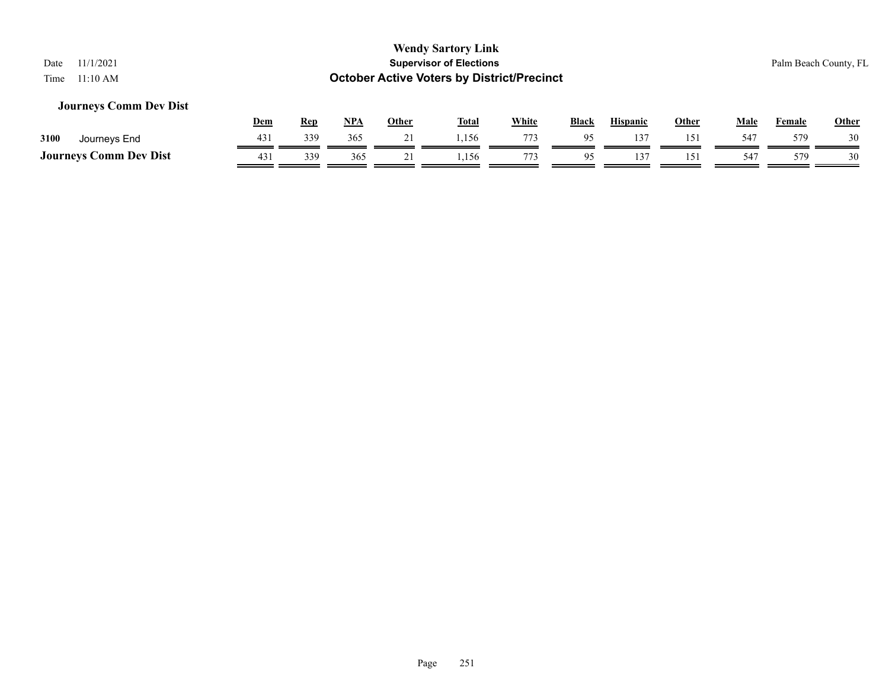# **Journeys Comm Dev Dist**

|                               | <b>Dem</b>      | <u>Rep</u> | NPA | Other | <b>Total</b> | White | <b>Black</b> | <b>Hispanic</b> | Other | Male            | Female | <b>Other</b> |
|-------------------------------|-----------------|------------|-----|-------|--------------|-------|--------------|-----------------|-------|-----------------|--------|--------------|
| 3100<br>Journeys End          | 43 <sup>1</sup> | 339        | 365 | - 1   | 1,156        | 773   | 05           |                 | 151   | $54^{\circ}$    | 579    | 30           |
| <b>Journeys Comm Dev Dist</b> | 431             | 339        | 365 | - -   | .156         | 773   | 05           |                 | 151   | 54 <sup>7</sup> | 579    | 30           |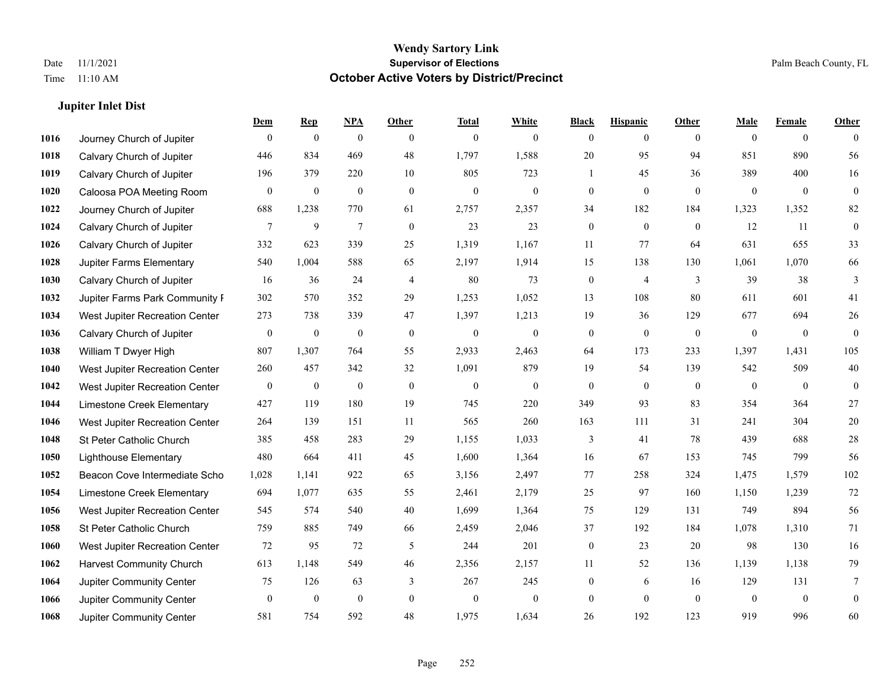**Jupiter Inlet Dist**

## **Wendy Sartory Link** Date 11/1/2021 **Supervisor of Elections** Palm Beach County, FL Time 11:10 AM **October Active Voters by District/Precinct**

# **Dem Rep NPA Other Total White Black Hispanic Other Male Female Other** Journey Church of Jupiter 0 0 0 0 0 0 0 0 0 0 0 0 Calvary Church of Jupiter 446 834 469 48 1,797 1,588 20 95 94 851 890 56 Calvary Church of Jupiter 196 379 220 10 805 723 1 45 36 389 400 16 Caloosa POA Meeting Room 0 0 0 0 0 0 0 0 0 0 0 0 Journey Church of Jupiter 688 1,238 770 61 2,757 2,357 34 182 184 1,323 1,352 82 Calvary Church of Jupiter  $\begin{array}{cccccccc} 7 & 9 & 7 & 0 & 23 & 23 & 0 & 0 & 0 & 12 & 11 & 0 \end{array}$  Calvary Church of Jupiter 332 623 339 25 1,319 1,167 11 77 64 631 655 33 Jupiter Farms Elementary 540 1,004 588 65 2,197 1,914 15 138 130 1,061 1,070 66 **1030 Calvary Church of Jupiter** 16 36 24 4 80 73 0 4 3 39 38 3 Jupiter Farms Park Community F 302 570 352 29 1,253 1,052 13 108 80 611 601 41 West Jupiter Recreation Center 273 738 339 47 1,397 1,213 19 36 129 677 694 26 Calvary Church of Jupiter 0 0 0 0 0 0 0 0 0 0 0 0 William T Dwyer High 807 1,307 764 55 2,933 2,463 64 173 233 1,397 1,431 105 West Jupiter Recreation Center 260 457 342 32 1,091 879 19 54 139 542 509 40 West Jupiter Recreation Center 0 0 0 0 0 0 0 0 0 0 0 0 Limestone Creek Elementary 427 119 180 19 745 220 349 93 83 354 364 27 West Jupiter Recreation Center 264 139 151 11 565 260 163 111 31 241 304 20 St Peter Catholic Church 385 458 283 29 1,155 1,033 3 41 78 439 688 28 Lighthouse Elementary 480 664 411 45 1,600 1,364 16 67 153 745 799 56 Beacon Cove Intermediate School 1,028 1,141 922 65 3,156 2,497 77 258 324 1,475 1,579 102 Limestone Creek Elementary 694 1,077 635 55 2,461 2,179 25 97 160 1,150 1,239 72 West Jupiter Recreation Center 545 574 540 40 1,699 1,364 75 129 131 749 894 56 St Peter Catholic Church 759 885 749 66 2,459 2,046 37 192 184 1,078 1,310 71 West Jupiter Recreation Center 72 95 72 5 244 201 0 23 20 98 130 16 Harvest Community Church 613 1,148 549 46 2,356 2,157 11 52 136 1,139 1,138 79 Jupiter Community Center  $\begin{array}{cccc} 75 & 126 & 63 & 3 & 267 & 245 & 0 & 6 & 16 & 129 & 131 & 7 \end{array}$  Jupiter Community Center 0 0 0 0 0 0 0 0 0 0 0 0 Jupiter Community Center 581 754 592 48 1,975 1,634 26 192 123 919 996 60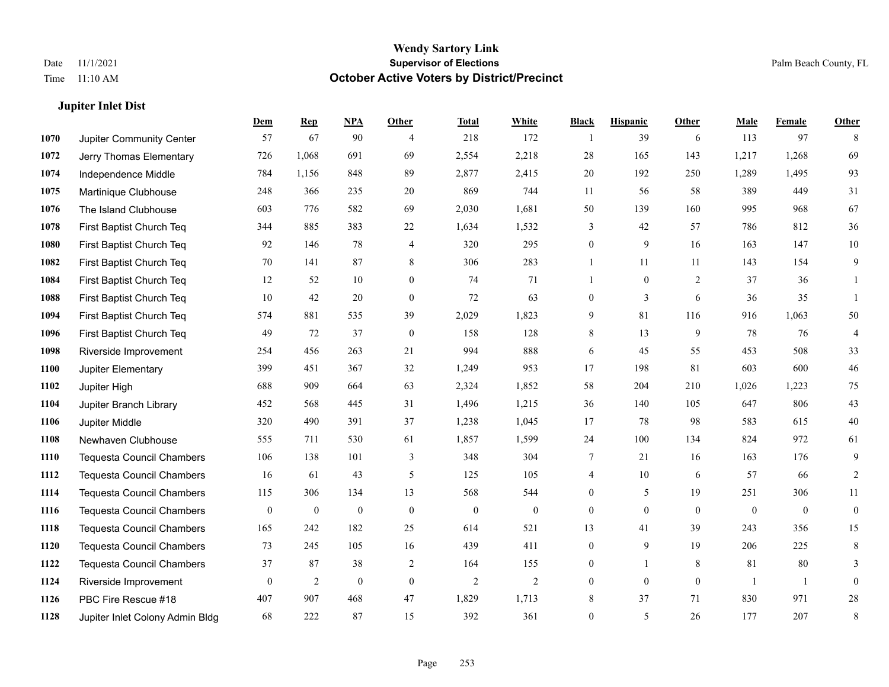# **Jupiter Inlet Dist**

|      |                                  | <b>Dem</b>       | <b>Rep</b>       | NPA              | <b>Other</b>     | <b>Total</b>     | <b>White</b>     | <b>Black</b>     | <b>Hispanic</b>  | <b>Other</b>     | <b>Male</b>      | <b>Female</b>    | Other            |
|------|----------------------------------|------------------|------------------|------------------|------------------|------------------|------------------|------------------|------------------|------------------|------------------|------------------|------------------|
| 1070 | Jupiter Community Center         | 57               | 67               | 90               | $\overline{4}$   | 218              | 172              | -1               | 39               | 6                | 113              | 97               | 8                |
| 1072 | Jerry Thomas Elementary          | 726              | 1,068            | 691              | 69               | 2,554            | 2,218            | 28               | 165              | 143              | 1,217            | 1,268            | 69               |
| 1074 | Independence Middle              | 784              | 1,156            | 848              | 89               | 2,877            | 2,415            | $20\,$           | 192              | 250              | 1,289            | 1,495            | 93               |
| 1075 | Martinique Clubhouse             | 248              | 366              | 235              | 20               | 869              | 744              | 11               | 56               | 58               | 389              | 449              | 31               |
| 1076 | The Island Clubhouse             | 603              | 776              | 582              | 69               | 2,030            | 1,681            | 50               | 139              | 160              | 995              | 968              | 67               |
| 1078 | First Baptist Church Teq         | 344              | 885              | 383              | $22\,$           | 1,634            | 1,532            | 3                | 42               | 57               | 786              | 812              | $36\,$           |
| 1080 | First Baptist Church Teq         | 92               | 146              | 78               | $\overline{4}$   | 320              | 295              | $\overline{0}$   | 9                | 16               | 163              | 147              | 10               |
| 1082 | First Baptist Church Teq         | 70               | 141              | 87               | 8                | 306              | 283              | $\mathbf{1}$     | 11               | 11               | 143              | 154              | 9                |
| 1084 | First Baptist Church Teq         | 12               | 52               | 10               | $\boldsymbol{0}$ | 74               | 71               | 1                | $\overline{0}$   | 2                | 37               | 36               | 1                |
| 1088 | First Baptist Church Teq         | 10               | 42               | 20               | $\mathbf{0}$     | 72               | 63               | $\mathbf{0}$     | 3                | 6                | 36               | 35               | -1               |
| 1094 | First Baptist Church Teq         | 574              | 881              | 535              | 39               | 2,029            | 1,823            | 9                | 81               | 116              | 916              | 1,063            | 50               |
| 1096 | First Baptist Church Teq         | 49               | 72               | 37               | $\mathbf{0}$     | 158              | 128              | 8                | 13               | 9                | 78               | 76               | $\overline{4}$   |
| 1098 | Riverside Improvement            | 254              | 456              | 263              | 21               | 994              | 888              | 6                | 45               | 55               | 453              | 508              | 33               |
| 1100 | Jupiter Elementary               | 399              | 451              | 367              | 32               | 1,249            | 953              | 17               | 198              | 81               | 603              | 600              | 46               |
| 1102 | Jupiter High                     | 688              | 909              | 664              | 63               | 2,324            | 1,852            | 58               | 204              | 210              | 1,026            | 1,223            | 75               |
| 1104 | Jupiter Branch Library           | 452              | 568              | 445              | 31               | 1,496            | 1,215            | 36               | 140              | 105              | 647              | 806              | 43               |
| 1106 | Jupiter Middle                   | 320              | 490              | 391              | 37               | 1,238            | 1,045            | 17               | 78               | 98               | 583              | 615              | $40\,$           |
| 1108 | Newhaven Clubhouse               | 555              | 711              | 530              | 61               | 1,857            | 1,599            | 24               | 100              | 134              | 824              | 972              | 61               |
| 1110 | <b>Tequesta Council Chambers</b> | 106              | 138              | 101              | $\mathfrak{Z}$   | 348              | 304              | 7                | 21               | 16               | 163              | 176              | 9                |
| 1112 | <b>Tequesta Council Chambers</b> | 16               | 61               | 43               | 5                | 125              | 105              | 4                | 10               | 6                | 57               | 66               | 2                |
| 1114 | <b>Tequesta Council Chambers</b> | 115              | 306              | 134              | 13               | 568              | 544              | $\overline{0}$   | 5                | 19               | 251              | 306              | 11               |
| 1116 | Tequesta Council Chambers        | $\boldsymbol{0}$ | $\boldsymbol{0}$ | $\boldsymbol{0}$ | $\boldsymbol{0}$ | $\boldsymbol{0}$ | $\boldsymbol{0}$ | $\boldsymbol{0}$ | $\boldsymbol{0}$ | $\boldsymbol{0}$ | $\boldsymbol{0}$ | $\boldsymbol{0}$ | $\boldsymbol{0}$ |
| 1118 | <b>Tequesta Council Chambers</b> | 165              | 242              | 182              | 25               | 614              | 521              | 13               | 41               | 39               | 243              | 356              | 15               |
| 1120 | <b>Tequesta Council Chambers</b> | 73               | 245              | 105              | 16               | 439              | 411              | $\overline{0}$   | 9                | 19               | 206              | 225              | 8                |
| 1122 | <b>Tequesta Council Chambers</b> | 37               | 87               | 38               | 2                | 164              | 155              | $\overline{0}$   | $\mathbf{1}$     | 8                | 81               | 80               | 3                |
| 1124 | Riverside Improvement            | $\mathbf{0}$     | $\overline{c}$   | $\mathbf{0}$     | $\mathbf{0}$     | $\overline{c}$   | $\overline{2}$   | $\mathbf{0}$     | $\overline{0}$   | $\mathbf{0}$     | $\overline{1}$   | $\mathbf{1}$     | $\boldsymbol{0}$ |
| 1126 | PBC Fire Rescue #18              | 407              | 907              | 468              | 47               | 1,829            | 1,713            | 8                | 37               | 71               | 830              | 971              | $28\,$           |
| 1128 | Jupiter Inlet Colony Admin Bldg  | 68               | 222              | 87               | 15               | 392              | 361              | $\mathbf{0}$     | 5                | 26               | 177              | 207              | $\,$ 8 $\,$      |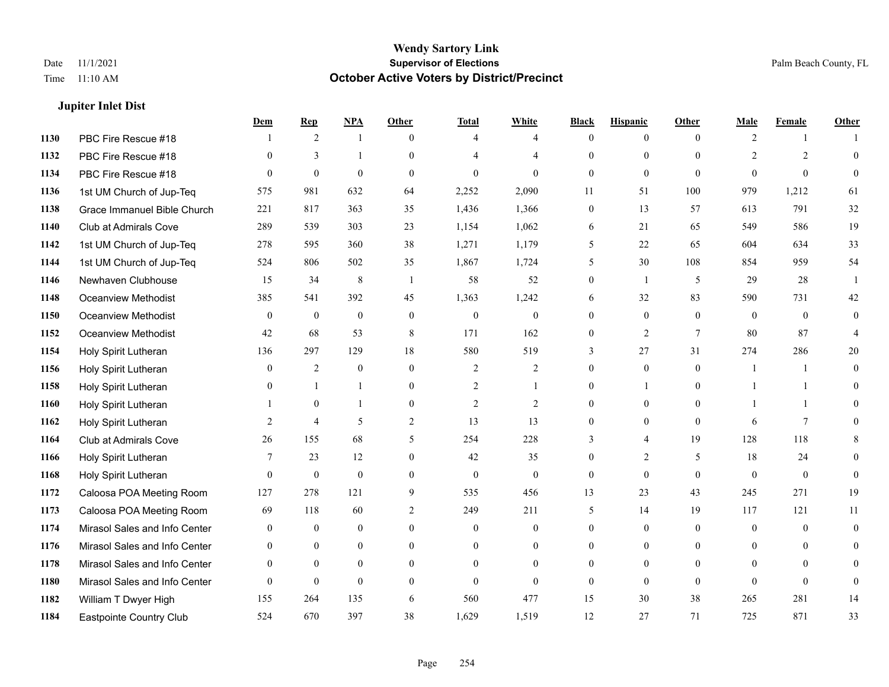# **Jupiter Inlet Dist**

|      |                               | Dem            | <b>Rep</b>     | NPA          | <b>Other</b>   | <b>Total</b>   | <b>White</b>   | <b>Black</b>     | <b>Hispanic</b> | <b>Other</b>    | <b>Male</b>    | <b>Female</b>  | <b>Other</b>   |
|------|-------------------------------|----------------|----------------|--------------|----------------|----------------|----------------|------------------|-----------------|-----------------|----------------|----------------|----------------|
| 1130 | PBC Fire Rescue #18           |                | 2              | 1            | $\theta$       | 4              | $\overline{4}$ | $\mathbf{0}$     | $\overline{0}$  | $\theta$        | 2              | $\mathbf{1}$   |                |
| 1132 | PBC Fire Rescue #18           | $\theta$       | 3              | 1            | $\Omega$       |                | $\overline{4}$ | $\theta$         | $\mathbf{0}$    | $\Omega$        | 2              | $\overline{2}$ | $\mathbf{0}$   |
| 1134 | PBC Fire Rescue #18           | $\Omega$       | $\mathbf{0}$   | $\theta$     | $\Omega$       | $\theta$       | $\Omega$       | $\Omega$         | $\theta$        | $\Omega$        | $\theta$       | $\Omega$       | $\theta$       |
| 1136 | 1st UM Church of Jup-Teq      | 575            | 981            | 632          | 64             | 2,252          | 2,090          | 11               | 51              | 100             | 979            | 1,212          | 61             |
| 1138 | Grace Immanuel Bible Church   | 221            | 817            | 363          | 35             | 1,436          | 1,366          | $\mathbf{0}$     | 13              | 57              | 613            | 791            | $32\,$         |
| 1140 | Club at Admirals Cove         | 289            | 539            | 303          | 23             | 1,154          | 1,062          | 6                | 21              | 65              | 549            | 586            | 19             |
| 1142 | 1st UM Church of Jup-Teq      | 278            | 595            | 360          | 38             | 1,271          | 1,179          | 5                | 22              | 65              | 604            | 634            | 33             |
| 1144 | 1st UM Church of Jup-Teq      | 524            | 806            | 502          | 35             | 1,867          | 1,724          | 5                | 30              | 108             | 854            | 959            | 54             |
| 1146 | Newhaven Clubhouse            | 15             | 34             | $\,8\,$      | -1             | 58             | 52             | $\boldsymbol{0}$ | 1               | 5               | 29             | 28             |                |
| 1148 | Oceanview Methodist           | 385            | 541            | 392          | 45             | 1,363          | 1,242          | 6                | 32              | 83              | 590            | 731            | 42             |
| 1150 | Oceanview Methodist           | $\theta$       | $\mathbf{0}$   | $\mathbf{0}$ | $\theta$       | $\mathbf{0}$   | $\mathbf{0}$   | $\theta$         | $\theta$        | $\Omega$        | $\theta$       | $\theta$       | $\theta$       |
| 1152 | <b>Oceanview Methodist</b>    | 42             | 68             | 53           | $\,8\,$        | 171            | 162            | $\boldsymbol{0}$ | $\overline{2}$  | $7\phantom{.0}$ | 80             | 87             | $\overline{4}$ |
| 1154 | Holy Spirit Lutheran          | 136            | 297            | 129          | 18             | 580            | 519            | 3                | 27              | 31              | 274            | 286            | 20             |
| 1156 | Holy Spirit Lutheran          | $\overline{0}$ | 2              | $\mathbf{0}$ | $\mathbf{0}$   | 2              | $\overline{c}$ | $\mathbf{0}$     | $\mathbf{0}$    | $\mathbf{0}$    | -1             | -1             | $\theta$       |
| 1158 | Holy Spirit Lutheran          | $\Omega$       | $\mathbf{1}$   | $\mathbf{1}$ | $\theta$       | $\overline{2}$ | $\mathbf{1}$   | $\theta$         |                 | $\Omega$        |                | $\mathbf{1}$   | $\theta$       |
| 1160 | Holy Spirit Lutheran          |                | $\mathbf{0}$   | $\mathbf{1}$ | $\overline{0}$ | $\overline{2}$ | $\overline{c}$ | $\mathbf{0}$     | $\theta$        | $\theta$        | $\mathbf{1}$   | $\mathbf{1}$   | $\theta$       |
| 1162 | Holy Spirit Lutheran          | 2              | $\overline{4}$ | 5            | $\overline{2}$ | 13             | 13             | $\mathbf{0}$     | $\mathbf{0}$    | $\overline{0}$  | 6              | $\tau$         | 0              |
| 1164 | Club at Admirals Cove         | 26             | 155            | 68           | 5              | 254            | 228            | 3                | 4               | 19              | 128            | 118            | 8              |
| 1166 | Holy Spirit Lutheran          | 7              | 23             | 12           | $\theta$       | 42             | 35             | $\mathbf{0}$     | $\overline{2}$  | 5               | 18             | 24             | $\theta$       |
| 1168 | Holy Spirit Lutheran          | $\Omega$       | $\theta$       | $\theta$     | $\theta$       | $\mathbf{0}$   | $\mathbf{0}$   | $\theta$         | $\theta$        | $\theta$        | $\theta$       | $\theta$       | $\theta$       |
| 1172 | Caloosa POA Meeting Room      | 127            | 278            | 121          | 9              | 535            | 456            | 13               | 23              | 43              | 245            | 271            | 19             |
| 1173 | Caloosa POA Meeting Room      | 69             | 118            | 60           | $\overline{c}$ | 249            | 211            | 5                | 14              | 19              | 117            | 121            | 11             |
| 1174 | Mirasol Sales and Info Center | $\theta$       | $\mathbf{0}$   | $\mathbf{0}$ | $\theta$       | $\theta$       | $\overline{0}$ | $\mathbf{0}$     | $\mathbf{0}$    | $\theta$        | $\theta$       | $\theta$       | $\mathbf{0}$   |
| 1176 | Mirasol Sales and Info Center | $\theta$       | $\theta$       | $\theta$     | $\Omega$       | $\theta$       | $\Omega$       | $\theta$         | $\theta$        | $\Omega$        | $\theta$       | $\Omega$       | $\Omega$       |
| 1178 | Mirasol Sales and Info Center | $\overline{0}$ | $\mathbf{0}$   | $\mathbf{0}$ | $\theta$       | $\theta$       | $\overline{0}$ | $\overline{0}$   | $\mathbf{0}$    | $\theta$        | $\overline{0}$ | $\theta$       | $\Omega$       |
| 1180 | Mirasol Sales and Info Center | $\Omega$       | $\mathbf{0}$   | $\mathbf{0}$ | $\theta$       | $\theta$       | $\Omega$       | $\overline{0}$   | $\theta$        | $\theta$        | $\theta$       | $\theta$       | $\overline{0}$ |
| 1182 | William T Dwyer High          | 155            | 264            | 135          | 6              | 560            | 477            | 15               | 30              | 38              | 265            | 281            | 14             |
| 1184 | Eastpointe Country Club       | 524            | 670            | 397          | 38             | 1,629          | 1,519          | 12               | 27              | 71              | 725            | 871            | 33             |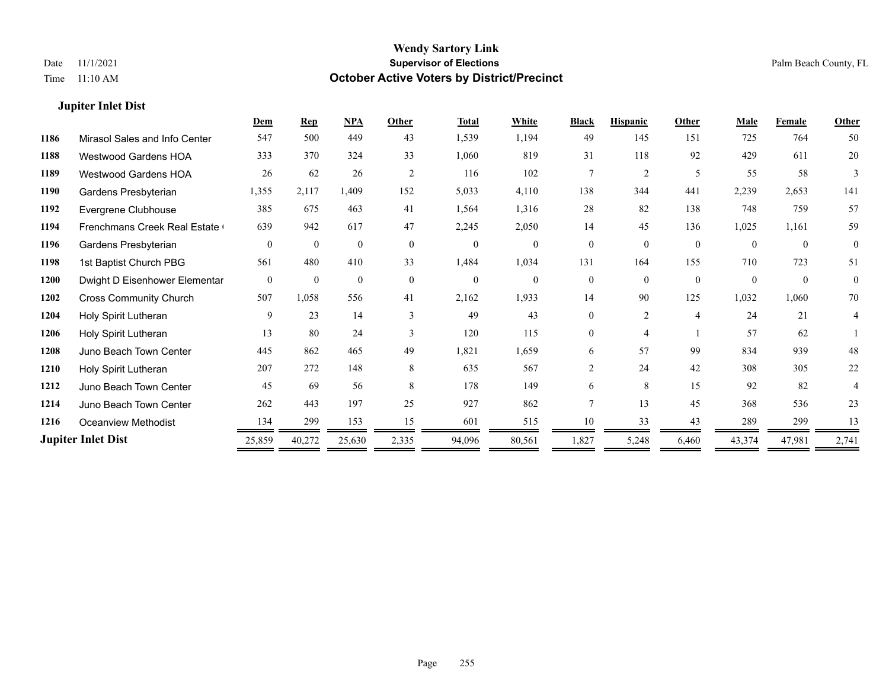# **Jupiter Inlet Dist**

|      |                               | Dem            | <b>Rep</b>   | NPA          | Other        | <b>Total</b> | White          | <b>Black</b> | <b>Hispanic</b> | Other          | Male     | <b>Female</b> | <b>Other</b>   |
|------|-------------------------------|----------------|--------------|--------------|--------------|--------------|----------------|--------------|-----------------|----------------|----------|---------------|----------------|
| 1186 | Mirasol Sales and Info Center | 547            | 500          | 449          | 43           | 1,539        | 1,194          | 49           | 145             | 151            | 725      | 764           | 50             |
| 1188 | Westwood Gardens HOA          | 333            | 370          | 324          | 33           | 1,060        | 819            | 31           | 118             | 92             | 429      | 611           | 20             |
| 1189 | <b>Westwood Gardens HOA</b>   | 26             | 62           | 26           | 2            | 116          | 102            | $\tau$       | 2               | 5              | 55       | 58            | 3              |
| 1190 | Gardens Presbyterian          | 1,355          | 2,117        | 1,409        | 152          | 5,033        | 4,110          | 138          | 344             | 441            | 2,239    | 2,653         | 141            |
| 1192 | Evergrene Clubhouse           | 385            | 675          | 463          | 41           | 1,564        | 1,316          | 28           | 82              | 138            | 748      | 759           | 57             |
| 1194 | Frenchmans Creek Real Estate  | 639            | 942          | 617          | 47           | 2,245        | 2,050          | 14           | 45              | 136            | 1,025    | 1,161         | 59             |
| 1196 | Gardens Presbyterian          | $\theta$       | $\theta$     | $\mathbf{0}$ | $\theta$     | $\theta$     | $\theta$       | $\theta$     | $\theta$        | $\theta$       | $\theta$ | $\theta$      | $\theta$       |
| 1198 | 1st Baptist Church PBG        | 561            | 480          | 410          | 33           | 1,484        | 1,034          | 131          | 164             | 155            | 710      | 723           | 51             |
| 1200 | Dwight D Eisenhower Elementar | $\overline{0}$ | $\mathbf{0}$ | $\mathbf{0}$ | $\mathbf{0}$ | $\mathbf{0}$ | $\overline{0}$ | $\theta$     | $\theta$        | $\theta$       | $\Omega$ | $\theta$      | $\overline{0}$ |
| 1202 | <b>Cross Community Church</b> | 507            | 1,058        | 556          | 41           | 2,162        | 1,933          | 14           | 90              | 125            | 1,032    | 1,060         | 70             |
| 1204 | Holy Spirit Lutheran          | 9              | 23           | 14           | $\mathbf{3}$ | 49           | 43             | 0            | $\overline{2}$  | $\overline{4}$ | 24       | 21            | 4              |
| 1206 | Holy Spirit Lutheran          | 13             | 80           | 24           | $\mathbf{3}$ | 120          | 115            | 0            | 4               |                | 57       | 62            |                |
| 1208 | Juno Beach Town Center        | 445            | 862          | 465          | 49           | 1,821        | 1,659          | 6            | 57              | 99             | 834      | 939           | 48             |
| 1210 | Holy Spirit Lutheran          | 207            | 272          | 148          | 8            | 635          | 567            | 2            | 24              | 42             | 308      | 305           | 22             |
| 1212 | Juno Beach Town Center        | 45             | 69           | 56           | 8            | 178          | 149            | 6            | 8               | 15             | 92       | 82            |                |
| 1214 | Juno Beach Town Center        | 262            | 443          | 197          | 25           | 927          | 862            | $\tau$       | 13              | 45             | 368      | 536           | 23             |
| 1216 | Oceanview Methodist           | 134            | 299          | 153          | 15           | 601          | 515            | 10           | 33              | 43             | 289      | 299           | 13             |
|      | <b>Jupiter Inlet Dist</b>     | 25,859         | 40,272       | 25,630       | 2,335        | 94,096       | 80,561         | 1,827        | 5,248           | 6,460          | 43,374   | 47,981        | 2,741          |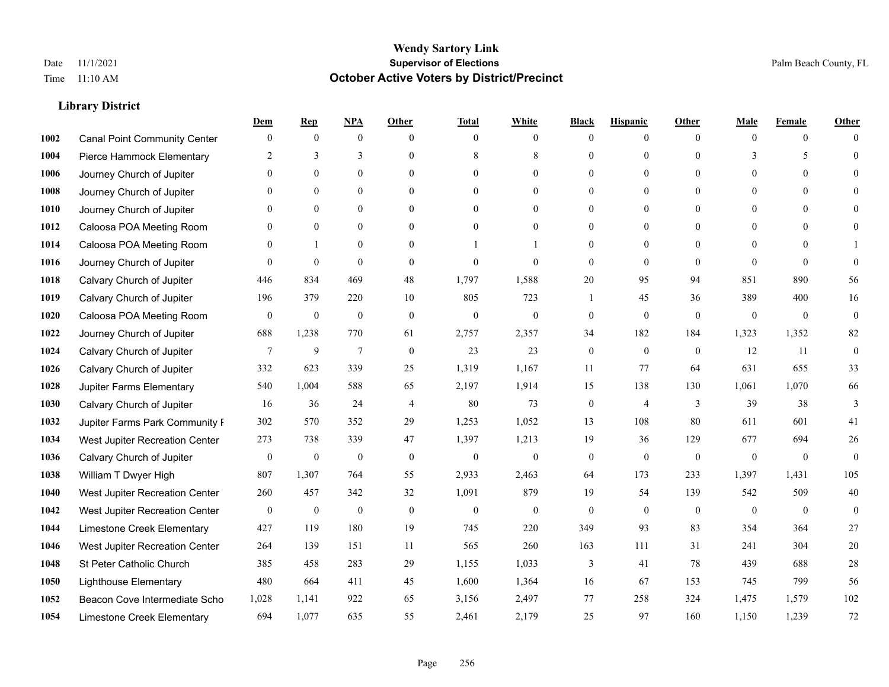|      |                                     | Dem              | <b>Rep</b>       | NPA              | <b>Other</b>   | <b>Total</b>     | <b>White</b>     | <b>Black</b>     | <b>Hispanic</b>  | <b>Other</b>   | <b>Male</b>  | <b>Female</b>  | <b>Other</b>     |
|------|-------------------------------------|------------------|------------------|------------------|----------------|------------------|------------------|------------------|------------------|----------------|--------------|----------------|------------------|
| 1002 | <b>Canal Point Community Center</b> | $\mathbf{0}$     | $\mathbf{0}$     | $\boldsymbol{0}$ | $\Omega$       | $\Omega$         | $\overline{0}$   | $\mathbf{0}$     | $\mathbf{0}$     | $\theta$       | $\theta$     | $\overline{0}$ | $\Omega$         |
| 1004 | Pierce Hammock Elementary           | 2                | 3                | 3                | $\theta$       | 8                | 8                | $\theta$         | $\mathbf{0}$     | $\theta$       | 3            | 5              | $\theta$         |
| 1006 | Journey Church of Jupiter           | $\Omega$         | $\theta$         | $\theta$         | $\Omega$       | $\Omega$         | $\Omega$         | $\Omega$         | $\theta$         | $\Omega$       | $\Omega$     | $\Omega$       | $\Omega$         |
| 1008 | Journey Church of Jupiter           | $\overline{0}$   | $\mathbf{0}$     | $\mathbf{0}$     | $\overline{0}$ | $\theta$         | $\boldsymbol{0}$ | $\overline{0}$   | $\boldsymbol{0}$ | $\theta$       | $\mathbf{0}$ | $\mathbf{0}$   |                  |
| 1010 | Journey Church of Jupiter           | 0                | $\mathbf{0}$     | $\mathbf{0}$     | $\theta$       | $\Omega$         | $\overline{0}$   | $\overline{0}$   | $\mathbf{0}$     | $\theta$       | $\theta$     | $\theta$       | $\Omega$         |
| 1012 | Caloosa POA Meeting Room            | 0                | $\mathbf{0}$     | $\mathbf{0}$     | $\theta$       | $\Omega$         | $\mathbf{0}$     | $\overline{0}$   | $\mathbf{0}$     | $\Omega$       | $\theta$     | $\Omega$       | $\mathbf{0}$     |
| 1014 | Caloosa POA Meeting Room            | $\theta$         | $\mathbf{1}$     | $\theta$         | $\theta$       |                  | 1                | $\overline{0}$   | $\mathbf{0}$     | $\theta$       | $\theta$     | $\Omega$       |                  |
| 1016 | Journey Church of Jupiter           | $\Omega$         | $\mathbf{0}$     | $\mathbf{0}$     | $\theta$       | $\theta$         | $\overline{0}$   | $\mathbf{0}$     | $\mathbf{0}$     | $\theta$       | $\Omega$     | $\theta$       | $\theta$         |
| 1018 | Calvary Church of Jupiter           | 446              | 834              | 469              | 48             | 1,797            | 1,588            | 20               | 95               | 94             | 851          | 890            | 56               |
| 1019 | Calvary Church of Jupiter           | 196              | 379              | 220              | 10             | 805              | 723              | 1                | 45               | 36             | 389          | 400            | 16               |
| 1020 | Caloosa POA Meeting Room            | $\mathbf{0}$     | $\boldsymbol{0}$ | $\mathbf{0}$     | $\theta$       | $\mathbf{0}$     | $\mathbf{0}$     | $\mathbf{0}$     | $\mathbf{0}$     | $\theta$       | $\theta$     | $\theta$       | $\mathbf{0}$     |
| 1022 | Journey Church of Jupiter           | 688              | 1,238            | 770              | 61             | 2,757            | 2,357            | 34               | 182              | 184            | 1,323        | 1,352          | 82               |
| 1024 | Calvary Church of Jupiter           | 7                | 9                | $\overline{7}$   | $\mathbf{0}$   | 23               | 23               | $\boldsymbol{0}$ | $\mathbf{0}$     | $\overline{0}$ | 12           | 11             | $\boldsymbol{0}$ |
| 1026 | Calvary Church of Jupiter           | 332              | 623              | 339              | 25             | 1,319            | 1,167            | 11               | 77               | 64             | 631          | 655            | 33               |
| 1028 | Jupiter Farms Elementary            | 540              | 1,004            | 588              | 65             | 2,197            | 1,914            | 15               | 138              | 130            | 1,061        | 1,070          | 66               |
| 1030 | Calvary Church of Jupiter           | 16               | 36               | 24               | $\overline{4}$ | $80\,$           | 73               | $\boldsymbol{0}$ | 4                | 3              | 39           | 38             | 3                |
| 1032 | Jupiter Farms Park Community I      | 302              | 570              | 352              | 29             | 1,253            | 1,052            | 13               | 108              | 80             | 611          | 601            | 41               |
| 1034 | West Jupiter Recreation Center      | 273              | 738              | 339              | 47             | 1,397            | 1,213            | 19               | 36               | 129            | 677          | 694            | 26               |
| 1036 | Calvary Church of Jupiter           | $\boldsymbol{0}$ | $\boldsymbol{0}$ | $\mathbf{0}$     | $\theta$       | $\boldsymbol{0}$ | $\mathbf{0}$     | $\mathbf{0}$     | $\mathbf{0}$     | $\theta$       | $\mathbf{0}$ | $\mathbf{0}$   | $\mathbf{0}$     |
| 1038 | William T Dwyer High                | 807              | 1,307            | 764              | 55             | 2,933            | 2,463            | 64               | 173              | 233            | 1,397        | 1,431          | 105              |
| 1040 | West Jupiter Recreation Center      | 260              | 457              | 342              | 32             | 1,091            | 879              | 19               | 54               | 139            | 542          | 509            | 40               |
| 1042 | West Jupiter Recreation Center      | $\boldsymbol{0}$ | $\boldsymbol{0}$ | $\boldsymbol{0}$ | $\mathbf{0}$   | $\boldsymbol{0}$ | $\mathbf{0}$     | $\boldsymbol{0}$ | $\mathbf{0}$     | $\overline{0}$ | $\mathbf{0}$ | $\mathbf{0}$   | $\mathbf{0}$     |
| 1044 | Limestone Creek Elementary          | 427              | 119              | 180              | 19             | 745              | 220              | 349              | 93               | 83             | 354          | 364            | 27               |
| 1046 | West Jupiter Recreation Center      | 264              | 139              | 151              | 11             | 565              | 260              | 163              | 111              | 31             | 241          | 304            | 20               |
| 1048 | St Peter Catholic Church            | 385              | 458              | 283              | 29             | 1,155            | 1,033            | 3                | 41               | 78             | 439          | 688            | $28\,$           |
| 1050 | <b>Lighthouse Elementary</b>        | 480              | 664              | 411              | 45             | 1,600            | 1,364            | 16               | 67               | 153            | 745          | 799            | 56               |
| 1052 | Beacon Cove Intermediate Scho       | 1,028            | 1,141            | 922              | 65             | 3,156            | 2,497            | 77               | 258              | 324            | 1,475        | 1,579          | 102              |
| 1054 | Limestone Creek Elementary          | 694              | 1,077            | 635              | 55             | 2,461            | 2,179            | 25               | 97               | 160            | 1,150        | 1,239          | 72               |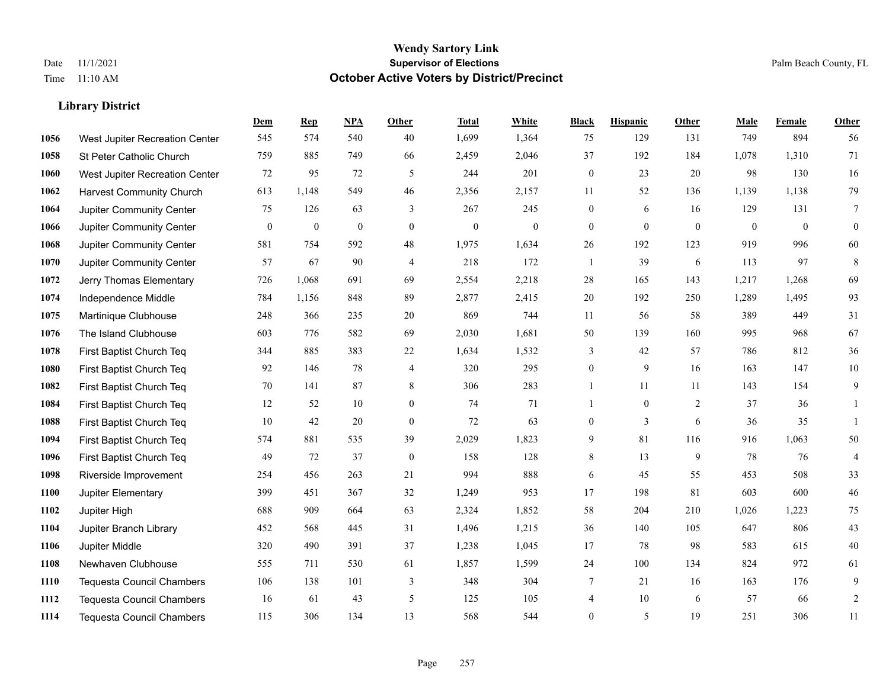|      |                                  | Dem          | <b>Rep</b>       | NPA              | <b>Other</b>     | <b>Total</b>     | <b>White</b> | <b>Black</b>     | <b>Hispanic</b> | <b>Other</b> | <b>Male</b>  | <b>Female</b> | Other            |
|------|----------------------------------|--------------|------------------|------------------|------------------|------------------|--------------|------------------|-----------------|--------------|--------------|---------------|------------------|
| 1056 | West Jupiter Recreation Center   | 545          | 574              | 540              | 40               | 1,699            | 1,364        | 75               | 129             | 131          | 749          | 894           | 56               |
| 1058 | St Peter Catholic Church         | 759          | 885              | 749              | 66               | 2,459            | 2,046        | 37               | 192             | 184          | 1,078        | 1,310         | 71               |
| 1060 | West Jupiter Recreation Center   | 72           | 95               | 72               | 5                | 244              | 201          | $\boldsymbol{0}$ | 23              | 20           | 98           | 130           | 16               |
| 1062 | <b>Harvest Community Church</b>  | 613          | 1,148            | 549              | 46               | 2,356            | 2,157        | 11               | 52              | 136          | 1,139        | 1,138         | 79               |
| 1064 | Jupiter Community Center         | 75           | 126              | 63               | 3                | 267              | 245          | $\boldsymbol{0}$ | 6               | 16           | 129          | 131           | $\overline{7}$   |
| 1066 | Jupiter Community Center         | $\mathbf{0}$ | $\boldsymbol{0}$ | $\boldsymbol{0}$ | $\mathbf{0}$     | $\boldsymbol{0}$ | $\mathbf{0}$ | $\mathbf{0}$     | $\mathbf{0}$    | $\mathbf{0}$ | $\mathbf{0}$ | $\mathbf{0}$  | $\boldsymbol{0}$ |
| 1068 | Jupiter Community Center         | 581          | 754              | 592              | 48               | 1,975            | 1,634        | 26               | 192             | 123          | 919          | 996           | 60               |
| 1070 | Jupiter Community Center         | 57           | 67               | 90               | $\overline{4}$   | 218              | 172          | $\mathbf{1}$     | 39              | 6            | 113          | 97            | $\,8\,$          |
| 1072 | Jerry Thomas Elementary          | 726          | 1,068            | 691              | 69               | 2,554            | 2,218        | 28               | 165             | 143          | 1,217        | 1,268         | 69               |
| 1074 | Independence Middle              | 784          | 1,156            | 848              | 89               | 2,877            | 2,415        | 20               | 192             | 250          | 1,289        | 1,495         | 93               |
| 1075 | Martinique Clubhouse             | 248          | 366              | 235              | 20               | 869              | 744          | 11               | 56              | 58           | 389          | 449           | 31               |
| 1076 | The Island Clubhouse             | 603          | 776              | 582              | 69               | 2,030            | 1,681        | 50               | 139             | 160          | 995          | 968           | 67               |
| 1078 | First Baptist Church Teq         | 344          | 885              | 383              | $22\,$           | 1,634            | 1,532        | 3                | 42              | 57           | 786          | 812           | 36               |
| 1080 | First Baptist Church Teq         | 92           | 146              | 78               | $\overline{4}$   | 320              | 295          | $\boldsymbol{0}$ | 9               | 16           | 163          | 147           | $10\,$           |
| 1082 | First Baptist Church Teq         | 70           | 141              | 87               | 8                | 306              | 283          | 1                | 11              | 11           | 143          | 154           | 9                |
| 1084 | First Baptist Church Teq         | 12           | 52               | 10               | $\overline{0}$   | 74               | 71           | $\mathbf{1}$     | $\mathbf{0}$    | 2            | 37           | 36            | 1                |
| 1088 | First Baptist Church Teq         | 10           | 42               | 20               | $\boldsymbol{0}$ | 72               | 63           | $\boldsymbol{0}$ | 3               | 6            | 36           | 35            | $\mathbf{1}$     |
| 1094 | First Baptist Church Teq         | 574          | 881              | 535              | 39               | 2,029            | 1,823        | 9                | 81              | 116          | 916          | 1,063         | 50               |
| 1096 | First Baptist Church Teq         | 49           | 72               | 37               | $\mathbf{0}$     | 158              | 128          | 8                | 13              | 9            | 78           | 76            | $\overline{4}$   |
| 1098 | Riverside Improvement            | 254          | 456              | 263              | 21               | 994              | 888          | 6                | 45              | 55           | 453          | 508           | 33               |
| 1100 | Jupiter Elementary               | 399          | 451              | 367              | 32               | 1,249            | 953          | 17               | 198             | 81           | 603          | 600           | $46\,$           |
| 1102 | Jupiter High                     | 688          | 909              | 664              | 63               | 2,324            | 1,852        | 58               | 204             | 210          | 1,026        | 1,223         | 75               |
| 1104 | Jupiter Branch Library           | 452          | 568              | 445              | 31               | 1,496            | 1,215        | 36               | 140             | 105          | 647          | 806           | 43               |
| 1106 | Jupiter Middle                   | 320          | 490              | 391              | 37               | 1,238            | 1,045        | 17               | 78              | 98           | 583          | 615           | $40\,$           |
| 1108 | Newhaven Clubhouse               | 555          | 711              | 530              | 61               | 1,857            | 1,599        | 24               | 100             | 134          | 824          | 972           | 61               |
| 1110 | Tequesta Council Chambers        | 106          | 138              | 101              | 3                | 348              | 304          | 7                | 21              | 16           | 163          | 176           | 9                |
| 1112 | <b>Tequesta Council Chambers</b> | 16           | 61               | 43               | 5                | 125              | 105          | 4                | 10              | 6            | 57           | 66            | $\sqrt{2}$       |
| 1114 | <b>Tequesta Council Chambers</b> | 115          | 306              | 134              | 13               | 568              | 544          | $\mathbf{0}$     | 5               | 19           | 251          | 306           | 11               |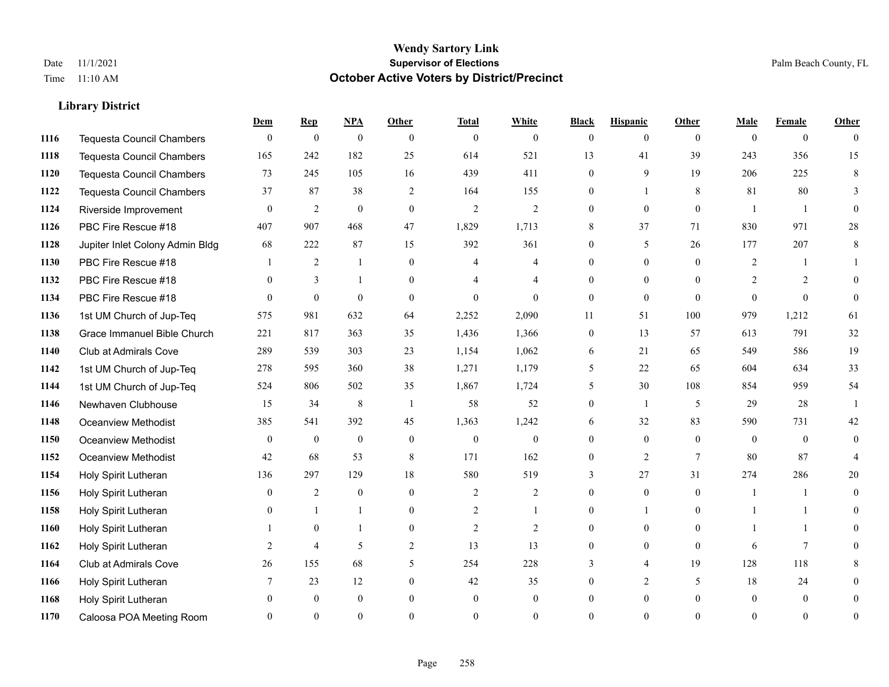|      |                                  | Dem            | <b>Rep</b>       | NPA              | <b>Other</b>   | <b>Total</b>   | <b>White</b>   | <b>Black</b>     | <b>Hispanic</b> | <b>Other</b> | <b>Male</b>    | <b>Female</b>  | <b>Other</b>   |
|------|----------------------------------|----------------|------------------|------------------|----------------|----------------|----------------|------------------|-----------------|--------------|----------------|----------------|----------------|
| 1116 | <b>Tequesta Council Chambers</b> | $\overline{0}$ | $\boldsymbol{0}$ | $\boldsymbol{0}$ | $\theta$       | $\mathbf{0}$   | $\overline{0}$ | $\overline{0}$   | $\overline{0}$  | $\theta$     | $\theta$       | $\overline{0}$ | $\theta$       |
| 1118 | <b>Tequesta Council Chambers</b> | 165            | 242              | 182              | 25             | 614            | 521            | 13               | 41              | 39           | 243            | 356            | 15             |
| 1120 | <b>Tequesta Council Chambers</b> | 73             | 245              | 105              | 16             | 439            | 411            | $\Omega$         | 9               | 19           | 206            | 225            | 8              |
| 1122 | Tequesta Council Chambers        | 37             | 87               | 38               | 2              | 164            | 155            | $\overline{0}$   | 1               | 8            | 81             | 80             | 3              |
| 1124 | Riverside Improvement            | $\theta$       | 2                | $\mathbf{0}$     | $\theta$       | $\overline{2}$ | $\overline{2}$ | $\theta$         | $\theta$        | $\theta$     | $\overline{1}$ | $\overline{1}$ | $\theta$       |
| 1126 | PBC Fire Rescue #18              | 407            | 907              | 468              | 47             | 1,829          | 1,713          | 8                | 37              | 71           | 830            | 971            | 28             |
| 1128 | Jupiter Inlet Colony Admin Bldg  | 68             | 222              | 87               | 15             | 392            | 361            | $\overline{0}$   | 5               | 26           | 177            | 207            | $\,8\,$        |
| 1130 | PBC Fire Rescue #18              |                | 2                | $\mathbf{1}$     | $\theta$       | 4              | 4              | $\theta$         | $\Omega$        | $\Omega$     | 2              |                |                |
| 1132 | PBC Fire Rescue #18              | $\Omega$       | 3                | 1                | $\Omega$       |                | 4              | $\overline{0}$   | $\overline{0}$  | $\Omega$     | $\overline{2}$ | 2              | $\Omega$       |
| 1134 | PBC Fire Rescue #18              | $\Omega$       | $\theta$         | $\theta$         | $\theta$       | $\theta$       | $\theta$       | $\overline{0}$   | $\mathbf{0}$    | $\theta$     | $\Omega$       | $\theta$       | $\theta$       |
| 1136 | 1st UM Church of Jup-Teq         | 575            | 981              | 632              | 64             | 2,252          | 2,090          | 11               | 51              | 100          | 979            | 1,212          | 61             |
| 1138 | Grace Immanuel Bible Church      | 221            | 817              | 363              | 35             | 1,436          | 1,366          | $\boldsymbol{0}$ | 13              | 57           | 613            | 791            | 32             |
| 1140 | Club at Admirals Cove            | 289            | 539              | 303              | 23             | 1,154          | 1,062          | 6                | 21              | 65           | 549            | 586            | 19             |
| 1142 | 1st UM Church of Jup-Teq         | 278            | 595              | 360              | 38             | 1,271          | 1,179          | 5                | 22              | 65           | 604            | 634            | 33             |
| 1144 | 1st UM Church of Jup-Teq         | 524            | 806              | 502              | 35             | 1,867          | 1,724          | 5                | 30              | 108          | 854            | 959            | 54             |
| 1146 | Newhaven Clubhouse               | 15             | 34               | $\,8\,$          | -1             | 58             | 52             | $\overline{0}$   | $\mathbf{1}$    | 5            | 29             | 28             | $\mathbf{1}$   |
| 1148 | Oceanview Methodist              | 385            | 541              | 392              | 45             | 1,363          | 1,242          | 6                | 32              | 83           | 590            | 731            | 42             |
| 1150 | Oceanview Methodist              | $\theta$       | $\mathbf{0}$     | $\mathbf{0}$     | $\overline{0}$ | $\mathbf{0}$   | $\overline{0}$ | $\overline{0}$   | $\overline{0}$  | $\theta$     | $\theta$       | $\theta$       | 0              |
| 1152 | Oceanview Methodist              | 42             | 68               | 53               | 8              | 171            | 162            | $\overline{0}$   | 2               | $\tau$       | 80             | 87             | $\overline{4}$ |
| 1154 | Holy Spirit Lutheran             | 136            | 297              | 129              | 18             | 580            | 519            | 3                | 27              | 31           | 274            | 286            | 20             |
| 1156 | Holy Spirit Lutheran             | $\theta$       | 2                | $\theta$         | $\Omega$       | $\overline{2}$ | $\overline{2}$ | $\Omega$         | $\Omega$        | $\Omega$     | $\overline{1}$ |                | $\Omega$       |
| 1158 | Holy Spirit Lutheran             | $\Omega$       | 1                | 1                | $\overline{0}$ | $\overline{c}$ | 1              | $\overline{0}$   | 1               | $\theta$     |                |                | 0              |
| 1160 | Holy Spirit Lutheran             |                | $\mathbf{0}$     | 1                | $\overline{0}$ | $\overline{2}$ | 2              | $\overline{0}$   | $\overline{0}$  | $\Omega$     |                |                | 0              |
| 1162 | Holy Spirit Lutheran             | 2              | $\overline{4}$   | 5                | 2              | 13             | 13             | $\theta$         | $\overline{0}$  | $\theta$     | 6              | $\tau$         | 0              |
| 1164 | <b>Club at Admirals Cove</b>     | 26             | 155              | 68               | 5              | 254            | 228            | 3                | $\overline{4}$  | 19           | 128            | 118            | 8              |
| 1166 | Holy Spirit Lutheran             | 7              | 23               | 12               | $\theta$       | 42             | 35             | $\Omega$         | 2               | 5            | 18             | 24             | 0              |
| 1168 | Holy Spirit Lutheran             | $\Omega$       | $\mathbf{0}$     | $\mathbf{0}$     | $\theta$       | $\mathbf{0}$   | $\overline{0}$ | 0                | $\overline{0}$  | $\theta$     | $\theta$       | $\overline{0}$ | 0              |
| 1170 | Caloosa POA Meeting Room         |                | $\Omega$         | $\theta$         | $\Omega$       | $\Omega$       | $\theta$       | $\Omega$         | $\Omega$        | $\Omega$     | $\Omega$       | $\Omega$       | $\overline{0}$ |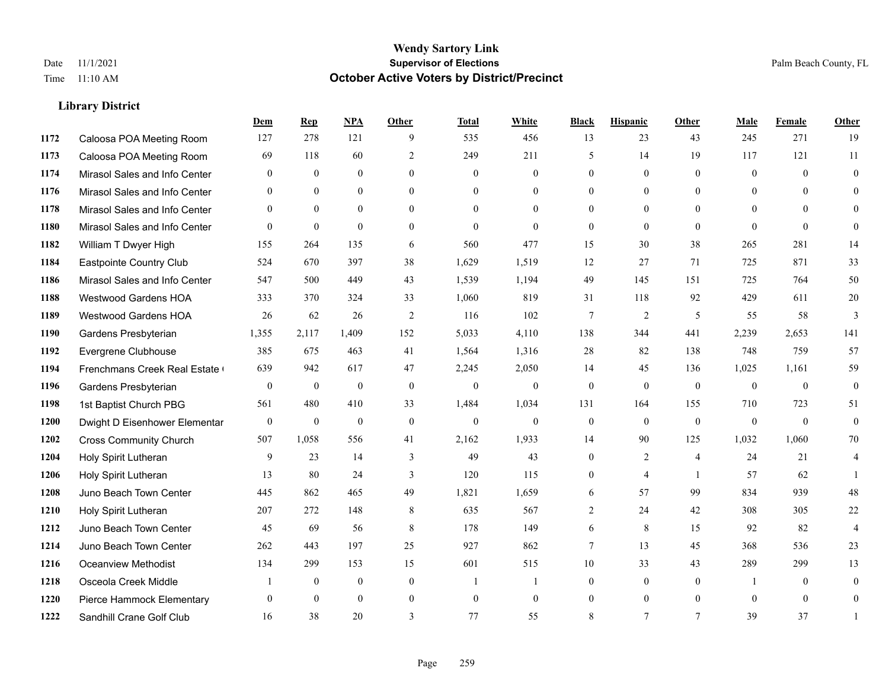|      |                               | Dem          | <b>Rep</b>       | NPA              | <b>Other</b>   | <b>Total</b>   | <b>White</b>     | <b>Black</b>     | <b>Hispanic</b> | <b>Other</b>   | <b>Male</b>  | Female       | <b>Other</b>     |
|------|-------------------------------|--------------|------------------|------------------|----------------|----------------|------------------|------------------|-----------------|----------------|--------------|--------------|------------------|
| 1172 | Caloosa POA Meeting Room      | 127          | 278              | 121              | 9              | 535            | 456              | 13               | 23              | 43             | 245          | 271          | 19               |
| 1173 | Caloosa POA Meeting Room      | 69           | 118              | 60               | $\overline{2}$ | 249            | 211              | 5                | 14              | 19             | 117          | 121          | 11               |
| 1174 | Mirasol Sales and Info Center | $\theta$     | $\theta$         | $\theta$         | $\Omega$       | $\Omega$       | $\overline{0}$   | $\theta$         | $\theta$        | $\Omega$       | $\theta$     | $\theta$     | $\theta$         |
| 1176 | Mirasol Sales and Info Center | $\mathbf{0}$ | $\mathbf{0}$     | $\boldsymbol{0}$ | $\overline{0}$ | $\mathbf{0}$   | $\boldsymbol{0}$ | $\overline{0}$   | $\mathbf{0}$    | $\overline{0}$ | $\mathbf{0}$ | $\mathbf{0}$ | $\mathbf{0}$     |
| 1178 | Mirasol Sales and Info Center | $\theta$     | $\theta$         | $\mathbf{0}$     | $\theta$       | $\theta$       | $\Omega$         | $\mathbf{0}$     | $\theta$        | $\theta$       | $\theta$     | $\Omega$     | $\theta$         |
| 1180 | Mirasol Sales and Info Center | $\mathbf{0}$ | $\mathbf{0}$     | $\mathbf{0}$     | $\theta$       | $\Omega$       | $\theta$         | $\mathbf{0}$     | $\theta$        | $\theta$       | $\theta$     | $\theta$     | $\mathbf{0}$     |
| 1182 | William T Dwyer High          | 155          | 264              | 135              | 6              | 560            | 477              | 15               | 30              | 38             | 265          | 281          | 14               |
| 1184 | Eastpointe Country Club       | 524          | 670              | 397              | 38             | 1,629          | 1,519            | 12               | 27              | 71             | 725          | 871          | 33               |
| 1186 | Mirasol Sales and Info Center | 547          | 500              | 449              | 43             | 1,539          | 1,194            | 49               | 145             | 151            | 725          | 764          | 50               |
| 1188 | <b>Westwood Gardens HOA</b>   | 333          | 370              | 324              | 33             | 1,060          | 819              | 31               | 118             | 92             | 429          | 611          | 20               |
| 1189 | Westwood Gardens HOA          | 26           | 62               | 26               | 2              | 116            | 102              | 7                | 2               | 5              | 55           | 58           | 3                |
| 1190 | Gardens Presbyterian          | 1,355        | 2,117            | 1,409            | 152            | 5,033          | 4,110            | 138              | 344             | 441            | 2,239        | 2,653        | 141              |
| 1192 | Evergrene Clubhouse           | 385          | 675              | 463              | 41             | 1,564          | 1,316            | 28               | 82              | 138            | 748          | 759          | 57               |
| 1194 | Frenchmans Creek Real Estate  | 639          | 942              | 617              | 47             | 2,245          | 2,050            | 14               | 45              | 136            | 1,025        | 1,161        | 59               |
| 1196 | Gardens Presbyterian          | $\bf{0}$     | $\boldsymbol{0}$ | $\mathbf{0}$     | $\mathbf{0}$   | $\theta$       | $\boldsymbol{0}$ | $\boldsymbol{0}$ | $\mathbf{0}$    | $\mathbf{0}$   | $\mathbf{0}$ | $\theta$     | $\boldsymbol{0}$ |
| 1198 | 1st Baptist Church PBG        | 561          | 480              | 410              | 33             | 1,484          | 1,034            | 131              | 164             | 155            | 710          | 723          | 51               |
| 1200 | Dwight D Eisenhower Elementar | $\mathbf{0}$ | $\mathbf{0}$     | $\mathbf{0}$     | $\theta$       | $\mathbf{0}$   | $\overline{0}$   | $\mathbf{0}$     | $\theta$        | $\theta$       | $\theta$     | $\theta$     | $\mathbf{0}$     |
| 1202 | <b>Cross Community Church</b> | 507          | 1,058            | 556              | 41             | 2,162          | 1,933            | 14               | 90              | 125            | 1,032        | 1,060        | 70               |
| 1204 | Holy Spirit Lutheran          | 9            | 23               | 14               | 3              | 49             | 43               | $\mathbf{0}$     | 2               | $\overline{4}$ | 24           | 21           | 4                |
| 1206 | Holy Spirit Lutheran          | 13           | 80               | 24               | 3              | 120            | 115              | $\mathbf{0}$     | $\overline{4}$  | $\overline{1}$ | 57           | 62           | $\mathbf{1}$     |
| 1208 | Juno Beach Town Center        | 445          | 862              | 465              | 49             | 1,821          | 1,659            | 6                | 57              | 99             | 834          | 939          | 48               |
| 1210 | Holy Spirit Lutheran          | 207          | 272              | 148              | 8              | 635            | 567              | $\overline{2}$   | 24              | 42             | 308          | 305          | 22               |
| 1212 | Juno Beach Town Center        | 45           | 69               | 56               | 8              | 178            | 149              | 6                | 8               | 15             | 92           | 82           | $\overline{4}$   |
| 1214 | Juno Beach Town Center        | 262          | 443              | 197              | 25             | 927            | 862              | $\tau$           | 13              | 45             | 368          | 536          | 23               |
| 1216 | Oceanview Methodist           | 134          | 299              | 153              | 15             | 601            | 515              | 10               | 33              | 43             | 289          | 299          | 13               |
| 1218 | Osceola Creek Middle          |              | $\mathbf{0}$     | $\mathbf{0}$     | $\mathbf{0}$   | $\overline{1}$ | 1                | $\mathbf{0}$     | $\mathbf{0}$    | $\theta$       |              | $\theta$     | $\mathbf{0}$     |
| 1220 | Pierce Hammock Elementary     | $\theta$     | $\theta$         | $\theta$         | $\overline{0}$ | $\theta$       | $\mathbf{0}$     | $\mathbf{0}$     | $\mathbf{0}$    | $\theta$       | $\theta$     | $\theta$     | $\mathbf{0}$     |
| 1222 | Sandhill Crane Golf Club      | 16           | 38               | 20               | 3              | 77             | 55               | 8                | $\tau$          | $\overline{7}$ | 39           | 37           |                  |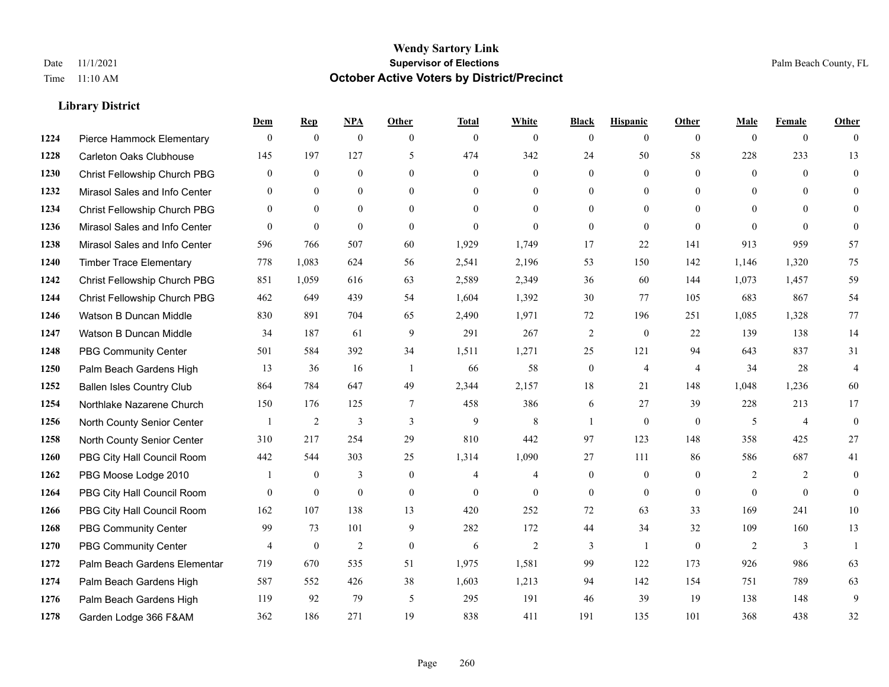|      |                                  | Dem            | <b>Rep</b>     | $NPA$          | <b>Other</b>   | <b>Total</b>   | <b>White</b>   | <b>Black</b>   | <b>Hispanic</b> | <b>Other</b>   | <b>Male</b>    | <b>Female</b>  | <b>Other</b>   |
|------|----------------------------------|----------------|----------------|----------------|----------------|----------------|----------------|----------------|-----------------|----------------|----------------|----------------|----------------|
| 1224 | Pierce Hammock Elementary        | $\mathbf{0}$   | $\mathbf{0}$   | $\mathbf{0}$   | $\theta$       | $\mathbf{0}$   | $\overline{0}$ | $\theta$       | $\overline{0}$  | $\theta$       | $\theta$       | $\overline{0}$ | $\Omega$       |
| 1228 | <b>Carleton Oaks Clubhouse</b>   | 145            | 197            | 127            | 5              | 474            | 342            | 24             | 50              | 58             | 228            | 233            | 13             |
| 1230 | Christ Fellowship Church PBG     | $\theta$       | $\mathbf{0}$   | $\theta$       | $\Omega$       | $\Omega$       | $\Omega$       | $\Omega$       | $\Omega$        | $\Omega$       | $\Omega$       | $\Omega$       | $\Omega$       |
| 1232 | Mirasol Sales and Info Center    | $\mathbf{0}$   | $\mathbf{0}$   | $\mathbf{0}$   | $\mathbf{0}$   | $\overline{0}$ | $\overline{0}$ | $\overline{0}$ | $\overline{0}$  | $\overline{0}$ | $\overline{0}$ | $\theta$       | $\theta$       |
| 1234 | Christ Fellowship Church PBG     | $\theta$       | $\theta$       | $\theta$       | $\theta$       | $\Omega$       | $\overline{0}$ | $\overline{0}$ | $\overline{0}$  | $\theta$       | $\theta$       | $\theta$       | $\overline{0}$ |
| 1236 | Mirasol Sales and Info Center    | $\Omega$       | $\mathbf{0}$   | $\mathbf{0}$   | $\theta$       | $\mathbf{0}$   | $\theta$       | $\Omega$       | $\overline{0}$  | $\Omega$       | $\Omega$       | $\Omega$       | $\theta$       |
| 1238 | Mirasol Sales and Info Center    | 596            | 766            | 507            | 60             | 1,929          | 1,749          | 17             | 22              | 141            | 913            | 959            | 57             |
| 1240 | <b>Timber Trace Elementary</b>   | 778            | 1,083          | 624            | 56             | 2,541          | 2,196          | 53             | 150             | 142            | 1,146          | 1,320          | 75             |
| 1242 | Christ Fellowship Church PBG     | 851            | 1,059          | 616            | 63             | 2,589          | 2,349          | 36             | 60              | 144            | 1,073          | 1,457          | 59             |
| 1244 | Christ Fellowship Church PBG     | 462            | 649            | 439            | 54             | 1,604          | 1,392          | 30             | 77              | 105            | 683            | 867            | 54             |
| 1246 | Watson B Duncan Middle           | 830            | 891            | 704            | 65             | 2,490          | 1,971          | 72             | 196             | 251            | 1,085          | 1,328          | 77             |
| 1247 | Watson B Duncan Middle           | 34             | 187            | 61             | 9              | 291            | 267            | $\overline{c}$ | $\mathbf{0}$    | 22             | 139            | 138            | 14             |
| 1248 | <b>PBG Community Center</b>      | 501            | 584            | 392            | 34             | 1,511          | 1,271          | 25             | 121             | 94             | 643            | 837            | 31             |
| 1250 | Palm Beach Gardens High          | 13             | 36             | 16             | -1             | 66             | 58             | $\overline{0}$ | 4               | $\overline{4}$ | 34             | 28             | 4              |
| 1252 | <b>Ballen Isles Country Club</b> | 864            | 784            | 647            | 49             | 2,344          | 2,157          | 18             | 21              | 148            | 1,048          | 1,236          | 60             |
| 1254 | Northlake Nazarene Church        | 150            | 176            | 125            | $\tau$         | 458            | 386            | 6              | 27              | 39             | 228            | 213            | 17             |
| 1256 | North County Senior Center       |                | $\overline{2}$ | 3              | $\overline{3}$ | 9              | 8              | $\mathbf{1}$   | $\overline{0}$  | $\theta$       | 5              | $\overline{4}$ | $\overline{0}$ |
| 1258 | North County Senior Center       | 310            | 217            | 254            | 29             | 810            | 442            | 97             | 123             | 148            | 358            | 425            | 27             |
| 1260 | PBG City Hall Council Room       | 442            | 544            | 303            | 25             | 1,314          | 1,090          | 27             | 111             | 86             | 586            | 687            | 41             |
| 1262 | PBG Moose Lodge 2010             |                | $\mathbf{0}$   | 3              | $\mathbf{0}$   | $\overline{4}$ | 4              | $\mathbf{0}$   | $\overline{0}$  | $\theta$       | $\overline{2}$ | 2              | $\overline{0}$ |
| 1264 | PBG City Hall Council Room       | $\Omega$       | $\mathbf{0}$   | $\theta$       | $\Omega$       | $\theta$       | $\theta$       | $\overline{0}$ | $\theta$        | $\theta$       | $\Omega$       | $\Omega$       | $\overline{0}$ |
| 1266 | PBG City Hall Council Room       | 162            | 107            | 138            | 13             | 420            | 252            | 72             | 63              | 33             | 169            | 241            | $10\,$         |
| 1268 | <b>PBG Community Center</b>      | 99             | 73             | 101            | 9              | 282            | 172            | 44             | 34              | 32             | 109            | 160            | 13             |
| 1270 | <b>PBG Community Center</b>      | $\overline{4}$ | $\mathbf{0}$   | $\overline{2}$ | $\mathbf{0}$   | 6              | 2              | 3              | $\mathbf{1}$    | $\theta$       | 2              | 3              |                |
| 1272 | Palm Beach Gardens Elementar     | 719            | 670            | 535            | 51             | 1,975          | 1,581          | 99             | 122             | 173            | 926            | 986            | 63             |
| 1274 | Palm Beach Gardens High          | 587            | 552            | 426            | 38             | 1,603          | 1,213          | 94             | 142             | 154            | 751            | 789            | 63             |
| 1276 | Palm Beach Gardens High          | 119            | 92             | 79             | 5              | 295            | 191            | 46             | 39              | 19             | 138            | 148            | 9              |
| 1278 | Garden Lodge 366 F&AM            | 362            | 186            | 271            | 19             | 838            | 411            | 191            | 135             | 101            | 368            | 438            | 32             |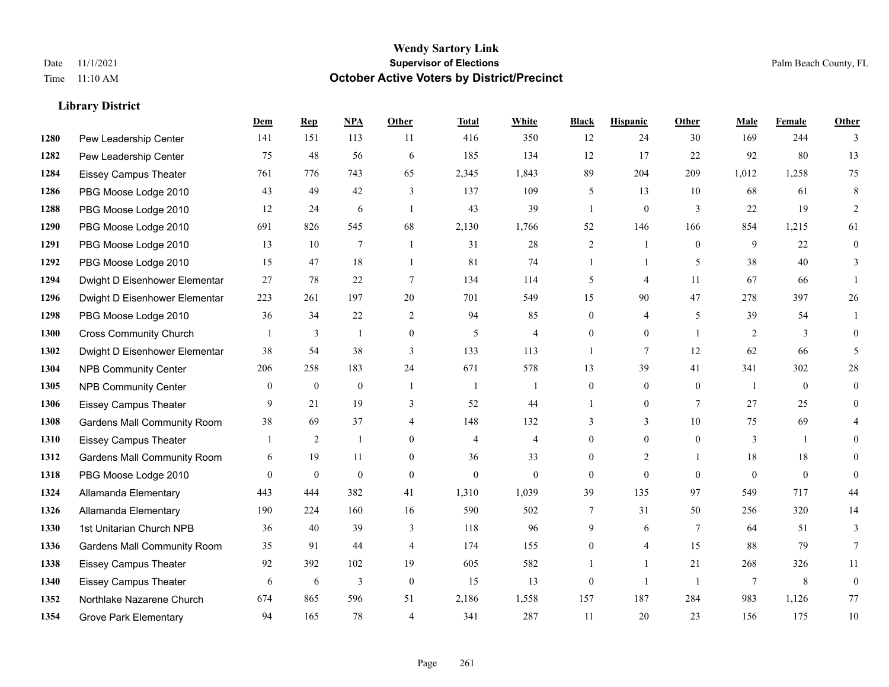|      |                                    | Dem          | <b>Rep</b>     | NPA              | <b>Other</b>   | <b>Total</b>   | <b>White</b>   | <b>Black</b>   | <b>Hispanic</b> | Other          | <b>Male</b> | <b>Female</b> | <b>Other</b> |
|------|------------------------------------|--------------|----------------|------------------|----------------|----------------|----------------|----------------|-----------------|----------------|-------------|---------------|--------------|
| 1280 | Pew Leadership Center              | 141          | 151            | 113              | 11             | 416            | 350            | 12             | 24              | 30             | 169         | 244           | 3            |
| 1282 | Pew Leadership Center              | 75           | 48             | 56               | 6              | 185            | 134            | 12             | 17              | 22             | 92          | 80            | 13           |
| 1284 | <b>Eissey Campus Theater</b>       | 761          | 776            | 743              | 65             | 2,345          | 1,843          | 89             | 204             | 209            | 1,012       | 1,258         | 75           |
| 1286 | PBG Moose Lodge 2010               | 43           | 49             | 42               | 3              | 137            | 109            | 5              | 13              | 10             | 68          | 61            | 8            |
| 1288 | PBG Moose Lodge 2010               | 12           | 24             | 6                | $\overline{1}$ | 43             | 39             | 1              | $\overline{0}$  | 3              | 22          | 19            | 2            |
| 1290 | PBG Moose Lodge 2010               | 691          | 826            | 545              | 68             | 2,130          | 1,766          | 52             | 146             | 166            | 854         | 1,215         | 61           |
| 1291 | PBG Moose Lodge 2010               | 13           | 10             | $\boldsymbol{7}$ | $\mathbf{1}$   | 31             | 28             | $\overline{c}$ | $\mathbf{1}$    | $\theta$       | 9           | 22            | $\bf{0}$     |
| 1292 | PBG Moose Lodge 2010               | 15           | 47             | 18               | $\overline{1}$ | 81             | 74             | 1              | $\mathbf{1}$    | 5              | 38          | 40            | 3            |
| 1294 | Dwight D Eisenhower Elementar      | 27           | 78             | 22               | $\overline{7}$ | 134            | 114            | 5              | 4               | 11             | 67          | 66            |              |
| 1296 | Dwight D Eisenhower Elementar      | 223          | 261            | 197              | 20             | 701            | 549            | 15             | 90              | 47             | 278         | 397           | 26           |
| 1298 | PBG Moose Lodge 2010               | 36           | 34             | 22               | 2              | 94             | 85             | $\overline{0}$ | 4               | 5              | 39          | 54            | 1            |
| 1300 | <b>Cross Community Church</b>      |              | 3              | $\mathbf{1}$     | $\mathbf{0}$   | 5              | $\overline{4}$ | $\overline{0}$ | $\overline{0}$  | $\overline{1}$ | 2           | 3             | $\theta$     |
| 1302 | Dwight D Eisenhower Elementar      | 38           | 54             | 38               | 3              | 133            | 113            | $\mathbf{1}$   | 7               | 12             | 62          | 66            | 5            |
| 1304 | <b>NPB Community Center</b>        | 206          | 258            | 183              | 24             | 671            | 578            | 13             | 39              | 41             | 341         | 302           | $28\,$       |
| 1305 | <b>NPB Community Center</b>        | $\mathbf{0}$ | $\mathbf{0}$   | $\mathbf{0}$     | $\mathbf{1}$   | -1             | $\mathbf{1}$   | $\overline{0}$ | $\overline{0}$  | $\theta$       | -1          | $\theta$      | $\mathbf{0}$ |
| 1306 | <b>Eissey Campus Theater</b>       | 9            | 21             | 19               | 3              | 52             | 44             | 1              | $\overline{0}$  | $\tau$         | 27          | 25            | $\theta$     |
| 1308 | <b>Gardens Mall Community Room</b> | 38           | 69             | 37               | $\overline{4}$ | 148            | 132            | 3              | $\overline{3}$  | 10             | 75          | 69            |              |
| 1310 | <b>Eissey Campus Theater</b>       |              | $\overline{c}$ | 1                | $\theta$       | $\overline{4}$ | $\overline{4}$ | $\overline{0}$ | $\overline{0}$  | $\theta$       | 3           |               | 0            |
| 1312 | <b>Gardens Mall Community Room</b> | 6            | 19             | 11               | $\overline{0}$ | 36             | 33             | $\overline{0}$ | $\overline{2}$  | $\overline{1}$ | 18          | 18            | 0            |
| 1318 | PBG Moose Lodge 2010               | $\theta$     | $\theta$       | $\theta$         | $\theta$       | $\Omega$       | $\theta$       | $\Omega$       | $\Omega$        | $\theta$       | $\theta$    | $\theta$      | $\theta$     |
| 1324 | Allamanda Elementary               | 443          | 444            | 382              | 41             | 1,310          | 1,039          | 39             | 135             | 97             | 549         | 717           | 44           |
| 1326 | Allamanda Elementary               | 190          | 224            | 160              | 16             | 590            | 502            | 7              | 31              | 50             | 256         | 320           | 14           |
| 1330 | 1st Unitarian Church NPB           | 36           | 40             | 39               | 3              | 118            | 96             | 9              | 6               | 7              | 64          | 51            | 3            |
| 1336 | <b>Gardens Mall Community Room</b> | 35           | 91             | 44               | $\overline{4}$ | 174            | 155            | $\overline{0}$ | 4               | 15             | 88          | 79            | $\tau$       |
| 1338 | <b>Eissey Campus Theater</b>       | 92           | 392            | 102              | 19             | 605            | 582            |                | 1               | 21             | 268         | 326           | 11           |
| 1340 | <b>Eissey Campus Theater</b>       | 6            | 6              | 3                | $\mathbf{0}$   | 15             | 13             | $\theta$       | 1               | $\overline{1}$ | $\tau$      | 8             | $\mathbf{0}$ |
| 1352 | Northlake Nazarene Church          | 674          | 865            | 596              | 51             | 2,186          | 1,558          | 157            | 187             | 284            | 983         | 1,126         | 77           |
| 1354 | <b>Grove Park Elementary</b>       | 94           | 165            | 78               | $\overline{4}$ | 341            | 287            | 11             | 20              | 23             | 156         | 175           | 10           |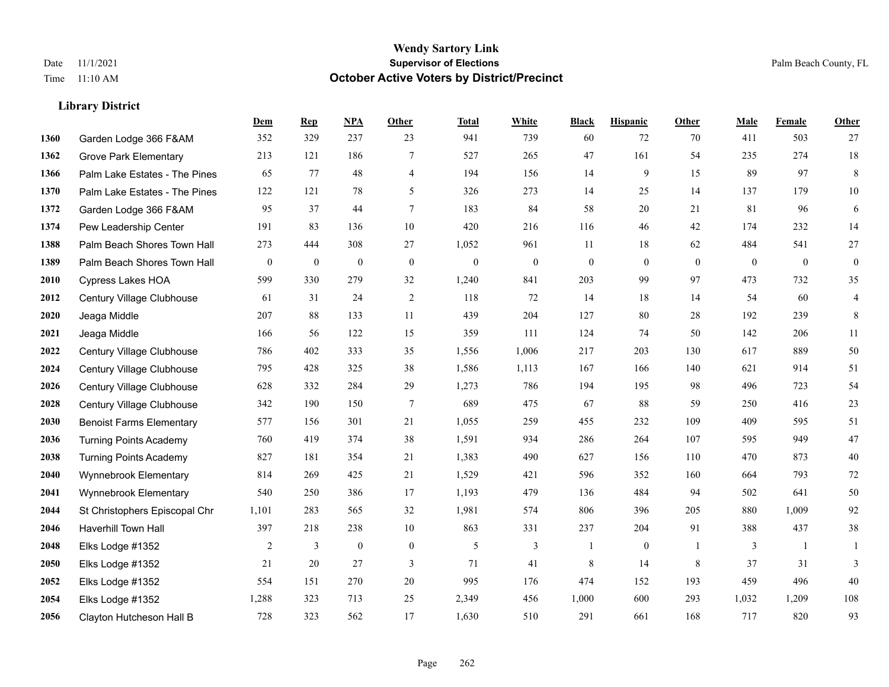**Library District**

#### **Wendy Sartory Link** Date 11/1/2021 **Supervisor of Elections** Palm Beach County, FL Time 11:10 AM **October Active Voters by District/Precinct**

**Dem Rep NPA Other Total White Black Hispanic Other Male Female Other**

# Garden Lodge 366 F&AM 352 329 237 23 941 739 60 72 70 411 503 27 Grove Park Elementary 213 121 186 7 527 265 47 161 54 235 274 18 Palm Lake Estates - The Pines 65 77 48 4 194 156 14 9 15 89 97 8 Palm Lake Estates - The Pines 122 121 78 5 326 273 14 25 14 137 179 10 Garden Lodge 366 F&AM 95 37 44 7 183 84 58 20 21 81 96 6 Pew Leadership Center 191 83 136 10 420 216 116 46 42 174 232 14 Palm Beach Shores Town Hall 273 444 308 27 1,052 961 11 18 62 484 541 27 Palm Beach Shores Town Hall 0 0 0 0 0 0 0 0 0 0 0 0 Cypress Lakes HOA 599 330 279 32 1,240 841 203 99 97 473 732 35 Century Village Clubhouse 61 31 24 2 118 72 14 18 14 54 60 4 Jeaga Middle 207 88 133 11 439 204 127 80 28 192 239 8 Jeaga Middle 166 56 122 15 359 111 124 74 50 142 206 11 Century Village Clubhouse 786 402 333 35 1,556 1,006 217 203 130 617 889 50 Century Village Clubhouse 795 428 325 38 1,586 1,113 167 166 140 621 914 51 Century Village Clubhouse 628 332 284 29 1,273 786 194 195 98 496 723 54 Century Village Clubhouse 342 190 150 7 689 475 67 88 59 250 416 23 Benoist Farms Elementary 577 156 301 21 1,055 259 455 232 109 409 595 51 Turning Points Academy 760 419 374 38 1,591 934 286 264 107 595 949 47 Turning Points Academy 827 181 354 21 1,383 490 627 156 110 470 873 40 Wynnebrook Elementary 814 269 425 21 1,529 421 596 352 160 664 793 72 Wynnebrook Elementary 540 250 386 17 1,193 479 136 484 94 502 641 50 St Christophers Episcopal Chr 1,101 283 565 32 1,981 574 806 396 205 880 1,009 92 Haverhill Town Hall 397 218 238 10 863 331 237 204 91 388 437 38 Elks Lodge #1352 2 3 0 0 5 3 1 0 1 3 1 1 Elks Lodge #1352 21 20 27 3 71 41 8 14 8 37 31 3 Elks Lodge #1352 554 151 270 20 995 176 474 152 193 459 496 40

 Elks Lodge #1352 1,288 323 713 25 2,349 456 1,000 600 293 1,032 1,209 108 Clayton Hutcheson Hall B 728 323 562 17 1,630 510 291 661 168 717 820 93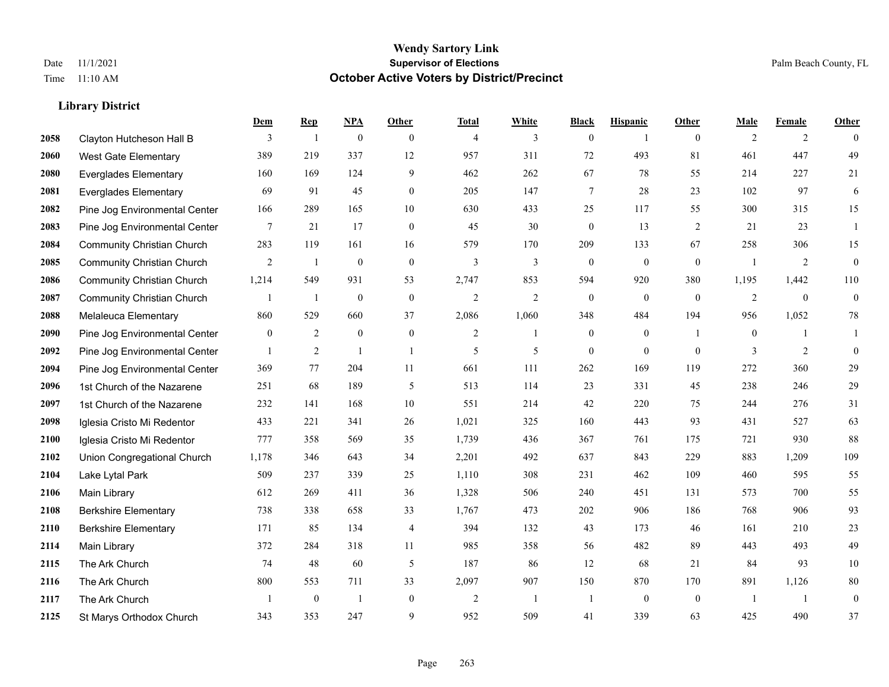**Library District**

#### **Wendy Sartory Link** Date 11/1/2021 **Supervisor of Elections** Palm Beach County, FL Time 11:10 AM **October Active Voters by District/Precinct**

**Dem Rep NPA Other Total White Black Hispanic Other Male Female Other**

# Clayton Hutcheson Hall B 3 1 0 0 4 3 0 1 0 2 2 0 West Gate Elementary 389 219 337 12 957 311 72 493 81 461 447 49 Everglades Elementary 160 169 124 9 462 262 67 78 55 214 227 21 Everglades Elementary 69 91 45 0 205 147 7 28 23 102 97 6 Pine Jog Environmental Center 166 289 165 10 630 433 25 117 55 300 315 15 Pine Jog Environmental Center 7 21 17 0 45 30 0 13 2 21 23 1 Community Christian Church 283 119 161 16 579 170 209 133 67 258 306 15 Community Christian Church 2 1 0 0 3 3 0 0 0 1 2 0 Community Christian Church 1,214 549 931 53 2,747 853 594 920 380 1,195 1,442 110 Community Christian Church 1 1 0 0 2 2 0 0 0 2 0 0 Melaleuca Elementary 860 529 660 37 2,086 1,060 348 484 194 956 1,052 78 Pine Jog Environmental Center  $\begin{array}{cccccccc} 0 & 2 & 0 & 0 & 2 & 1 & 0 & 1 & 0 & 1 \end{array}$ **2092** Pine Jog Environmental Center  $\begin{array}{ccccccccccccc} & 1 & 2 & 1 & 1 & 5 & 5 & 0 & 0 & 0 & 3 & 2 & 0 \end{array}$  Pine Jog Environmental Center 369 77 204 11 661 111 262 169 119 272 360 29 1st Church of the Nazarene 251 68 189 5 513 114 23 331 45 238 246 29 1st Church of the Nazarene 232 141 168 10 551 214 42 220 75 244 276 31 Iglesia Cristo Mi Redentor 433 221 341 26 1,021 325 160 443 93 431 527 63 Iglesia Cristo Mi Redentor 777 358 569 35 1,739 436 367 761 175 721 930 88 Union Congregational Church 1,178 346 643 34 2,201 492 637 843 229 883 1,209 109 Lake Lytal Park 509 237 339 25 1,110 308 231 462 109 460 595 55 Main Library 612 269 411 36 1,328 506 240 451 131 573 700 55 Berkshire Elementary 738 338 658 33 1,767 473 202 906 186 768 906 93 Berkshire Elementary 171 85 134 4 394 132 43 173 46 161 210 23 Main Library 372 284 318 11 985 358 56 482 89 443 493 49 The Ark Church 74 48 60 5 187 86 12 68 21 84 93 10 The Ark Church 800 553 711 33 2,097 907 150 870 170 891 1,126 80 The Ark Church 1 0 1 0 2 1 1 0 0 1 1 0

St Marys Orthodox Church 343 353 247 9 952 509 41 339 63 425 490 37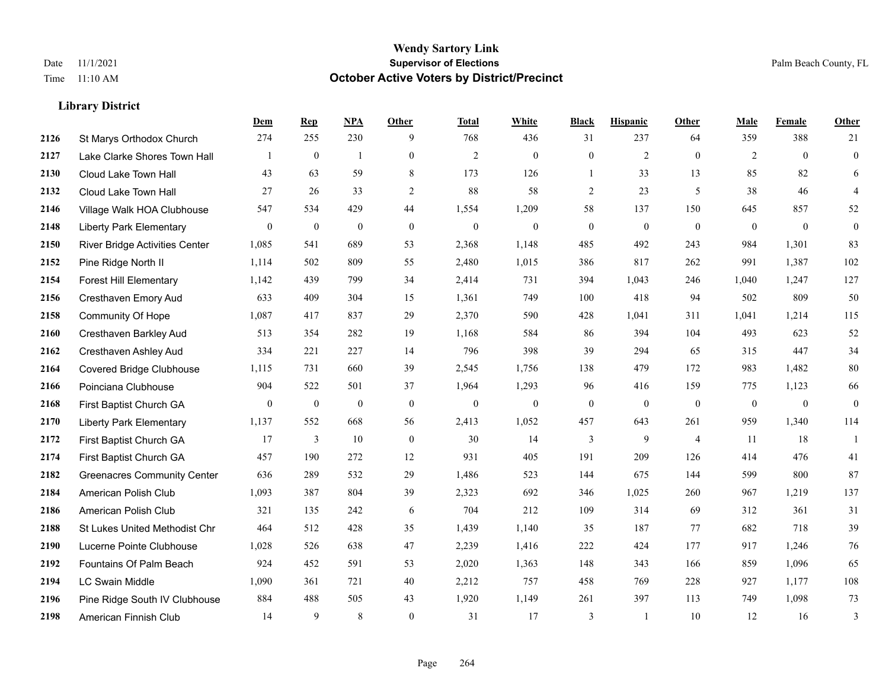|      |                                       | Dem              | <b>Rep</b>       | NPA              | <b>Other</b>     | <b>Total</b>     | <b>White</b>     | <b>Black</b>     | <b>Hispanic</b>  | <b>Other</b>   | <b>Male</b>  | Female       | <b>Other</b>     |
|------|---------------------------------------|------------------|------------------|------------------|------------------|------------------|------------------|------------------|------------------|----------------|--------------|--------------|------------------|
| 2126 | St Marys Orthodox Church              | 274              | 255              | 230              | 9                | 768              | 436              | 31               | 237              | 64             | 359          | 388          | 21               |
| 2127 | Lake Clarke Shores Town Hall          |                  | $\mathbf{0}$     | $\mathbf{1}$     | $\overline{0}$   | $\overline{2}$   | $\mathbf{0}$     | $\mathbf{0}$     | $\mathfrak{2}$   | $\theta$       | 2            | $\theta$     | $\mathbf{0}$     |
| 2130 | Cloud Lake Town Hall                  | 43               | 63               | 59               | 8                | 173              | 126              | $\mathbf{1}$     | 33               | 13             | 85           | 82           | 6                |
| 2132 | Cloud Lake Town Hall                  | 27               | 26               | 33               | $\overline{c}$   | 88               | 58               | $\overline{c}$   | 23               | 5              | 38           | 46           | $\overline{4}$   |
| 2146 | Village Walk HOA Clubhouse            | 547              | 534              | 429              | 44               | 1,554            | 1,209            | 58               | 137              | 150            | 645          | 857          | 52               |
| 2148 | <b>Liberty Park Elementary</b>        | $\overline{0}$   | $\boldsymbol{0}$ | $\boldsymbol{0}$ | $\boldsymbol{0}$ | $\boldsymbol{0}$ | $\boldsymbol{0}$ | $\boldsymbol{0}$ | $\boldsymbol{0}$ | $\mathbf{0}$   | $\mathbf{0}$ | $\mathbf{0}$ | $\boldsymbol{0}$ |
| 2150 | <b>River Bridge Activities Center</b> | 1,085            | 541              | 689              | 53               | 2,368            | 1,148            | 485              | 492              | 243            | 984          | 1,301        | 83               |
| 2152 | Pine Ridge North II                   | 1,114            | 502              | 809              | 55               | 2,480            | 1,015            | 386              | 817              | 262            | 991          | 1,387        | 102              |
| 2154 | <b>Forest Hill Elementary</b>         | 1,142            | 439              | 799              | 34               | 2,414            | 731              | 394              | 1,043            | 246            | 1,040        | 1,247        | 127              |
| 2156 | Cresthaven Emory Aud                  | 633              | 409              | 304              | 15               | 1,361            | 749              | 100              | 418              | 94             | 502          | 809          | 50               |
| 2158 | <b>Community Of Hope</b>              | 1,087            | 417              | 837              | 29               | 2,370            | 590              | 428              | 1,041            | 311            | 1,041        | 1,214        | 115              |
| 2160 | Cresthaven Barkley Aud                | 513              | 354              | 282              | 19               | 1,168            | 584              | 86               | 394              | 104            | 493          | 623          | 52               |
| 2162 | Cresthaven Ashley Aud                 | 334              | 221              | 227              | 14               | 796              | 398              | 39               | 294              | 65             | 315          | 447          | 34               |
| 2164 | <b>Covered Bridge Clubhouse</b>       | 1,115            | 731              | 660              | 39               | 2,545            | 1,756            | 138              | 479              | 172            | 983          | 1,482        | $80\,$           |
| 2166 | Poinciana Clubhouse                   | 904              | 522              | 501              | 37               | 1,964            | 1,293            | 96               | 416              | 159            | 775          | 1,123        | 66               |
| 2168 | First Baptist Church GA               | $\boldsymbol{0}$ | $\boldsymbol{0}$ | $\boldsymbol{0}$ | $\mathbf{0}$     | $\mathbf{0}$     | $\mathbf{0}$     | $\boldsymbol{0}$ | $\boldsymbol{0}$ | $\overline{0}$ | $\mathbf{0}$ | $\mathbf{0}$ | $\boldsymbol{0}$ |
| 2170 | <b>Liberty Park Elementary</b>        | 1,137            | 552              | 668              | 56               | 2,413            | 1,052            | 457              | 643              | 261            | 959          | 1,340        | 114              |
| 2172 | First Baptist Church GA               | 17               | 3                | 10               | $\mathbf{0}$     | 30               | 14               | 3                | 9                | $\overline{4}$ | 11           | 18           | $\mathbf{1}$     |
| 2174 | First Baptist Church GA               | 457              | 190              | 272              | 12               | 931              | 405              | 191              | 209              | 126            | 414          | 476          | 41               |
| 2182 | <b>Greenacres Community Center</b>    | 636              | 289              | 532              | 29               | 1,486            | 523              | 144              | 675              | 144            | 599          | 800          | 87               |
| 2184 | American Polish Club                  | 1,093            | 387              | 804              | 39               | 2,323            | 692              | 346              | 1,025            | 260            | 967          | 1,219        | 137              |
| 2186 | American Polish Club                  | 321              | 135              | 242              | 6                | 704              | 212              | 109              | 314              | 69             | 312          | 361          | 31               |
| 2188 | St Lukes United Methodist Chr         | 464              | 512              | 428              | 35               | 1,439            | 1,140            | 35               | 187              | 77             | 682          | 718          | 39               |
| 2190 | Lucerne Pointe Clubhouse              | 1,028            | 526              | 638              | 47               | 2,239            | 1,416            | 222              | 424              | 177            | 917          | 1,246        | 76               |
| 2192 | Fountains Of Palm Beach               | 924              | 452              | 591              | 53               | 2,020            | 1,363            | 148              | 343              | 166            | 859          | 1,096        | 65               |
| 2194 | LC Swain Middle                       | 1,090            | 361              | 721              | 40               | 2,212            | 757              | 458              | 769              | 228            | 927          | 1,177        | 108              |
| 2196 | Pine Ridge South IV Clubhouse         | 884              | 488              | 505              | 43               | 1,920            | 1,149            | 261              | 397              | 113            | 749          | 1,098        | 73               |
| 2198 | American Finnish Club                 | 14               | 9                | 8                | $\theta$         | 31               | 17               | 3                | 1                | 10             | 12           | 16           | $\mathfrak{Z}$   |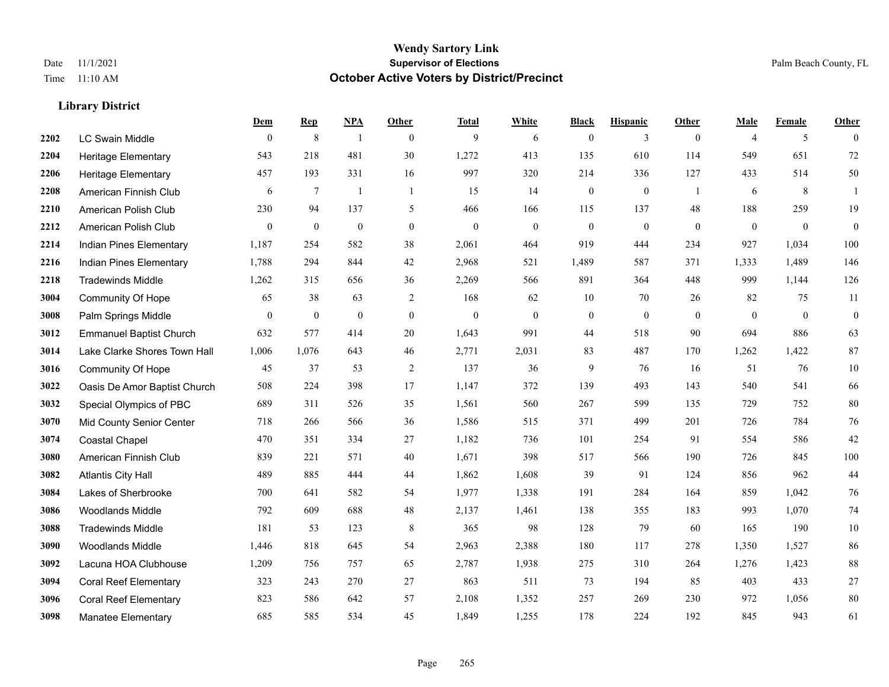|      |                                | Dem          | <b>Rep</b>       | NPA              | <b>Other</b> | <b>Total</b>     | <b>White</b> | <b>Black</b>     | <b>Hispanic</b>  | <b>Other</b>   | <b>Male</b>      | <b>Female</b> | <b>Other</b>     |
|------|--------------------------------|--------------|------------------|------------------|--------------|------------------|--------------|------------------|------------------|----------------|------------------|---------------|------------------|
| 2202 | <b>LC Swain Middle</b>         | $\mathbf{0}$ | $\,$ 8 $\,$      | $\overline{1}$   | $\mathbf{0}$ | 9                | 6            | $\boldsymbol{0}$ | 3                | $\overline{0}$ | $\overline{4}$   | 5             | $\theta$         |
| 2204 | <b>Heritage Elementary</b>     | 543          | 218              | 481              | 30           | 1,272            | 413          | 135              | 610              | 114            | 549              | 651           | 72               |
| 2206 | <b>Heritage Elementary</b>     | 457          | 193              | 331              | 16           | 997              | 320          | 214              | 336              | 127            | 433              | 514           | 50               |
| 2208 | American Finnish Club          | 6            | $7\phantom{.0}$  | $\overline{1}$   | -1           | 15               | 14           | $\boldsymbol{0}$ | $\boldsymbol{0}$ | $\overline{1}$ | 6                | 8             | $\mathbf{1}$     |
| 2210 | American Polish Club           | 230          | 94               | 137              | 5            | 466              | 166          | 115              | 137              | 48             | 188              | 259           | 19               |
| 2212 | American Polish Club           | $\mathbf{0}$ | $\boldsymbol{0}$ | $\boldsymbol{0}$ | $\mathbf{0}$ | $\boldsymbol{0}$ | $\mathbf{0}$ | $\boldsymbol{0}$ | $\boldsymbol{0}$ | $\mathbf{0}$   | $\boldsymbol{0}$ | $\mathbf{0}$  | $\boldsymbol{0}$ |
| 2214 | Indian Pines Elementary        | 1,187        | 254              | 582              | 38           | 2,061            | 464          | 919              | 444              | 234            | 927              | 1,034         | 100              |
| 2216 | Indian Pines Elementary        | 1,788        | 294              | 844              | 42           | 2,968            | 521          | 1,489            | 587              | 371            | 1,333            | 1,489         | 146              |
| 2218 | <b>Tradewinds Middle</b>       | 1,262        | 315              | 656              | 36           | 2,269            | 566          | 891              | 364              | 448            | 999              | 1,144         | 126              |
| 3004 | <b>Community Of Hope</b>       | 65           | 38               | 63               | 2            | 168              | 62           | 10               | 70               | 26             | 82               | 75            | 11               |
| 3008 | Palm Springs Middle            | $\theta$     | $\mathbf{0}$     | $\mathbf{0}$     | $\theta$     | $\mathbf{0}$     | $\mathbf{0}$ | $\mathbf{0}$     | $\mathbf{0}$     | $\theta$       | $\theta$         | $\theta$      | $\boldsymbol{0}$ |
| 3012 | <b>Emmanuel Baptist Church</b> | 632          | 577              | 414              | 20           | 1,643            | 991          | 44               | 518              | 90             | 694              | 886           | 63               |
| 3014 | Lake Clarke Shores Town Hall   | 1,006        | 1,076            | 643              | 46           | 2,771            | 2,031        | 83               | 487              | 170            | 1,262            | 1,422         | 87               |
| 3016 | Community Of Hope              | 45           | 37               | 53               | $\sqrt{2}$   | 137              | 36           | $\mathbf{9}$     | 76               | 16             | 51               | 76            | $10\,$           |
| 3022 | Oasis De Amor Baptist Church   | 508          | 224              | 398              | 17           | 1,147            | 372          | 139              | 493              | 143            | 540              | 541           | 66               |
| 3032 | Special Olympics of PBC        | 689          | 311              | 526              | 35           | 1,561            | 560          | 267              | 599              | 135            | 729              | 752           | $80\,$           |
| 3070 | Mid County Senior Center       | 718          | 266              | 566              | 36           | 1,586            | 515          | 371              | 499              | 201            | 726              | 784           | $76\,$           |
| 3074 | <b>Coastal Chapel</b>          | 470          | 351              | 334              | 27           | 1,182            | 736          | 101              | 254              | 91             | 554              | 586           | $42\,$           |
| 3080 | American Finnish Club          | 839          | 221              | 571              | 40           | 1,671            | 398          | 517              | 566              | 190            | 726              | 845           | 100              |
| 3082 | <b>Atlantis City Hall</b>      | 489          | 885              | 444              | 44           | 1,862            | 1,608        | 39               | 91               | 124            | 856              | 962           | $44\,$           |
| 3084 | Lakes of Sherbrooke            | 700          | 641              | 582              | 54           | 1,977            | 1,338        | 191              | 284              | 164            | 859              | 1,042         | 76               |
| 3086 | <b>Woodlands Middle</b>        | 792          | 609              | 688              | 48           | 2,137            | 1,461        | 138              | 355              | 183            | 993              | 1,070         | $74\,$           |
| 3088 | <b>Tradewinds Middle</b>       | 181          | 53               | 123              | 8            | 365              | 98           | 128              | 79               | 60             | 165              | 190           | $10\,$           |
| 3090 | <b>Woodlands Middle</b>        | 1,446        | 818              | 645              | 54           | 2,963            | 2,388        | 180              | 117              | 278            | 1,350            | 1,527         | 86               |
| 3092 | Lacuna HOA Clubhouse           | 1,209        | 756              | 757              | 65           | 2,787            | 1,938        | 275              | 310              | 264            | 1,276            | 1,423         | $88\,$           |
| 3094 | <b>Coral Reef Elementary</b>   | 323          | 243              | 270              | 27           | 863              | 511          | 73               | 194              | 85             | 403              | 433           | $27\,$           |
| 3096 | <b>Coral Reef Elementary</b>   | 823          | 586              | 642              | 57           | 2,108            | 1,352        | 257              | 269              | 230            | 972              | 1,056         | $80\,$           |
| 3098 | <b>Manatee Elementary</b>      | 685          | 585              | 534              | 45           | 1,849            | 1,255        | 178              | 224              | 192            | 845              | 943           | 61               |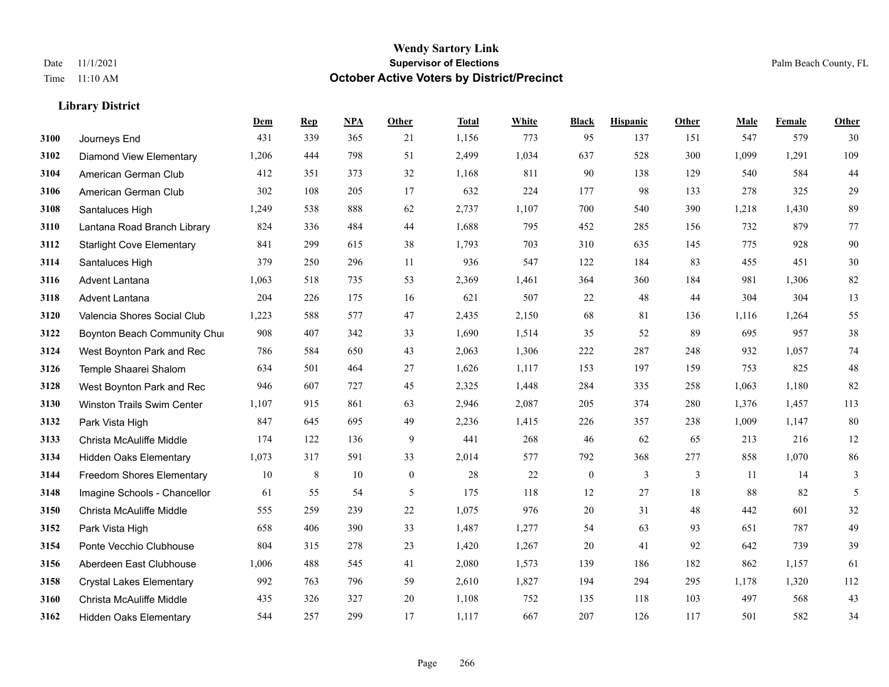|      |                                  | Dem   | <b>Rep</b> | NPA | <b>Other</b> | <b>Total</b> | <b>White</b> | <b>Black</b>     | <b>Hispanic</b> | Other | <b>Male</b> | <b>Female</b> | <b>Other</b>   |
|------|----------------------------------|-------|------------|-----|--------------|--------------|--------------|------------------|-----------------|-------|-------------|---------------|----------------|
| 3100 | Journeys End                     | 431   | 339        | 365 | 21           | 1,156        | 773          | 95               | 137             | 151   | 547         | 579           | 30             |
| 3102 | <b>Diamond View Elementary</b>   | 1,206 | 444        | 798 | 51           | 2,499        | 1,034        | 637              | 528             | 300   | 1,099       | 1,291         | 109            |
| 3104 | American German Club             | 412   | 351        | 373 | 32           | 1,168        | 811          | 90               | 138             | 129   | 540         | 584           | 44             |
| 3106 | American German Club             | 302   | 108        | 205 | 17           | 632          | 224          | 177              | 98              | 133   | 278         | 325           | 29             |
| 3108 | Santaluces High                  | 1,249 | 538        | 888 | 62           | 2,737        | 1,107        | 700              | 540             | 390   | 1,218       | 1,430         | 89             |
| 3110 | Lantana Road Branch Library      | 824   | 336        | 484 | 44           | 1,688        | 795          | 452              | 285             | 156   | 732         | 879           | 77             |
| 3112 | <b>Starlight Cove Elementary</b> | 841   | 299        | 615 | 38           | 1,793        | 703          | 310              | 635             | 145   | 775         | 928           | $90\,$         |
| 3114 | Santaluces High                  | 379   | 250        | 296 | 11           | 936          | 547          | 122              | 184             | 83    | 455         | 451           | $30\,$         |
| 3116 | Advent Lantana                   | 1,063 | 518        | 735 | 53           | 2,369        | 1,461        | 364              | 360             | 184   | 981         | 1,306         | $82\,$         |
| 3118 | Advent Lantana                   | 204   | 226        | 175 | 16           | 621          | 507          | 22               | 48              | 44    | 304         | 304           | 13             |
| 3120 | Valencia Shores Social Club      | 1,223 | 588        | 577 | 47           | 2,435        | 2,150        | 68               | 81              | 136   | 1,116       | 1,264         | 55             |
| 3122 | Boynton Beach Community Chur     | 908   | 407        | 342 | 33           | 1,690        | 1,514        | 35               | 52              | 89    | 695         | 957           | $38\,$         |
| 3124 | West Boynton Park and Rec        | 786   | 584        | 650 | 43           | 2,063        | 1,306        | 222              | 287             | 248   | 932         | 1,057         | $74\,$         |
| 3126 | Temple Shaarei Shalom            | 634   | 501        | 464 | 27           | 1,626        | 1,117        | 153              | 197             | 159   | 753         | 825           | $48\,$         |
| 3128 | West Boynton Park and Rec        | 946   | 607        | 727 | 45           | 2,325        | 1,448        | 284              | 335             | 258   | 1,063       | 1,180         | 82             |
| 3130 | Winston Trails Swim Center       | 1,107 | 915        | 861 | 63           | 2,946        | 2,087        | 205              | 374             | 280   | 1,376       | 1,457         | 113            |
| 3132 | Park Vista High                  | 847   | 645        | 695 | 49           | 2,236        | 1,415        | 226              | 357             | 238   | 1,009       | 1,147         | 80             |
| 3133 | Christa McAuliffe Middle         | 174   | 122        | 136 | 9            | 441          | 268          | 46               | 62              | 65    | 213         | 216           | 12             |
| 3134 | <b>Hidden Oaks Elementary</b>    | 1,073 | 317        | 591 | 33           | 2,014        | 577          | 792              | 368             | 277   | 858         | 1,070         | 86             |
| 3144 | <b>Freedom Shores Elementary</b> | 10    | $\,8\,$    | 10  | $\mathbf{0}$ | 28           | 22           | $\boldsymbol{0}$ | 3               | 3     | 11          | 14            | $\mathfrak{Z}$ |
| 3148 | Imagine Schools - Chancellor     | 61    | 55         | 54  | 5            | 175          | 118          | 12               | 27              | 18    | 88          | 82            | 5              |
| 3150 | Christa McAuliffe Middle         | 555   | 259        | 239 | 22           | 1,075        | 976          | $20\,$           | 31              | 48    | 442         | 601           | 32             |
| 3152 | Park Vista High                  | 658   | 406        | 390 | 33           | 1,487        | 1,277        | 54               | 63              | 93    | 651         | 787           | 49             |
| 3154 | Ponte Vecchio Clubhouse          | 804   | 315        | 278 | 23           | 1,420        | 1,267        | 20               | 41              | 92    | 642         | 739           | 39             |
| 3156 | Aberdeen East Clubhouse          | 1,006 | 488        | 545 | 41           | 2,080        | 1,573        | 139              | 186             | 182   | 862         | 1,157         | 61             |
| 3158 | <b>Crystal Lakes Elementary</b>  | 992   | 763        | 796 | 59           | 2,610        | 1,827        | 194              | 294             | 295   | 1,178       | 1,320         | 112            |
| 3160 | Christa McAuliffe Middle         | 435   | 326        | 327 | 20           | 1,108        | 752          | 135              | 118             | 103   | 497         | 568           | 43             |
| 3162 | <b>Hidden Oaks Elementary</b>    | 544   | 257        | 299 | 17           | 1,117        | 667          | 207              | 126             | 117   | 501         | 582           | 34             |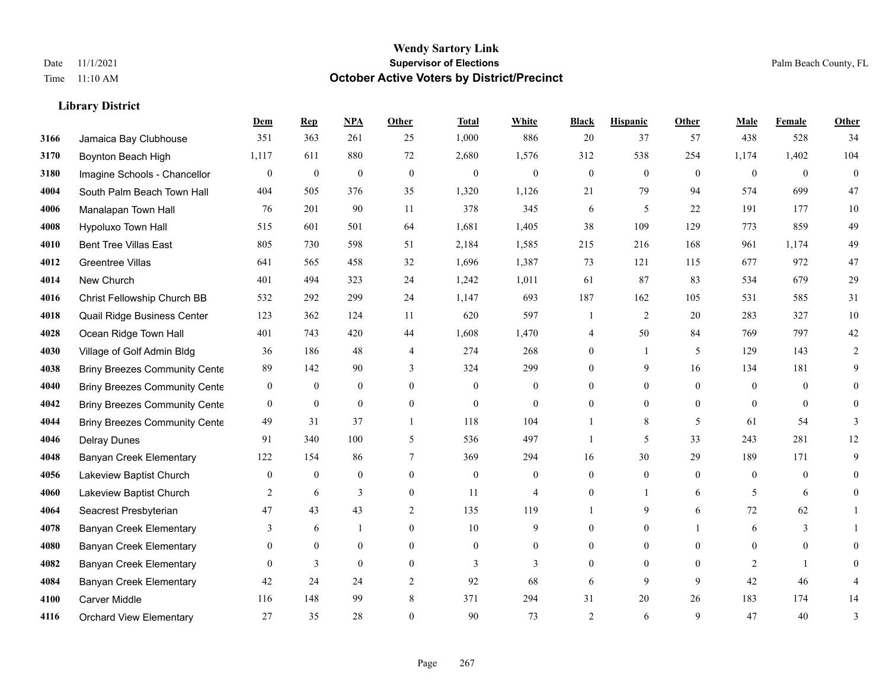|      |                                      | Dem            | <b>Rep</b>       | NPA          | <b>Other</b>   | <b>Total</b> | <b>White</b>     | <b>Black</b>     | <b>Hispanic</b> | <b>Other</b> | <b>Male</b>    | <b>Female</b>  | <b>Other</b>   |
|------|--------------------------------------|----------------|------------------|--------------|----------------|--------------|------------------|------------------|-----------------|--------------|----------------|----------------|----------------|
| 3166 | Jamaica Bay Clubhouse                | 351            | 363              | 261          | 25             | 1,000        | 886              | 20               | 37              | 57           | 438            | 528            | 34             |
| 3170 | Boynton Beach High                   | 1,117          | 611              | 880          | 72             | 2,680        | 1,576            | 312              | 538             | 254          | 1,174          | 1,402          | 104            |
| 3180 | Imagine Schools - Chancellor         | $\theta$       | $\boldsymbol{0}$ | $\mathbf{0}$ | $\mathbf{0}$   | $\mathbf{0}$ | $\mathbf{0}$     | $\overline{0}$   | $\overline{0}$  | $\theta$     | $\theta$       | $\theta$       | $\overline{0}$ |
| 4004 | South Palm Beach Town Hall           | 404            | 505              | 376          | 35             | 1,320        | 1,126            | 21               | 79              | 94           | 574            | 699            | 47             |
| 4006 | Manalapan Town Hall                  | 76             | 201              | 90           | 11             | 378          | 345              | 6                | 5               | 22           | 191            | 177            | $10\,$         |
| 4008 | Hypoluxo Town Hall                   | 515            | 601              | 501          | 64             | 1,681        | 1,405            | 38               | 109             | 129          | 773            | 859            | 49             |
| 4010 | <b>Bent Tree Villas East</b>         | 805            | 730              | 598          | 51             | 2,184        | 1,585            | 215              | 216             | 168          | 961            | 1,174          | 49             |
| 4012 | <b>Greentree Villas</b>              | 641            | 565              | 458          | 32             | 1,696        | 1,387            | 73               | 121             | 115          | 677            | 972            | 47             |
| 4014 | New Church                           | 401            | 494              | 323          | 24             | 1,242        | 1,011            | 61               | 87              | 83           | 534            | 679            | 29             |
| 4016 | Christ Fellowship Church BB          | 532            | 292              | 299          | 24             | 1,147        | 693              | 187              | 162             | 105          | 531            | 585            | 31             |
| 4018 | Quail Ridge Business Center          | 123            | 362              | 124          | 11             | 620          | 597              | 1                | $\overline{2}$  | 20           | 283            | 327            | $10\,$         |
| 4028 | Ocean Ridge Town Hall                | 401            | 743              | 420          | 44             | 1,608        | 1,470            | 4                | 50              | 84           | 769            | 797            | 42             |
| 4030 | Village of Golf Admin Bldg           | 36             | 186              | 48           | $\overline{4}$ | 274          | 268              | $\overline{0}$   | $\mathbf{1}$    | 5            | 129            | 143            | $\overline{2}$ |
| 4038 | <b>Briny Breezes Community Cente</b> | 89             | 142              | 90           | 3              | 324          | 299              | $\boldsymbol{0}$ | 9               | 16           | 134            | 181            | 9              |
| 4040 | <b>Briny Breezes Community Cente</b> | $\mathbf{0}$   | $\mathbf{0}$     | $\mathbf{0}$ | $\mathbf{0}$   | $\theta$     | $\overline{0}$   | $\overline{0}$   | $\overline{0}$  | $\theta$     | $\mathbf{0}$   | $\theta$       | $\overline{0}$ |
| 4042 | <b>Briny Breezes Community Cente</b> | $\mathbf{0}$   | $\mathbf{0}$     | $\mathbf{0}$ | $\theta$       | $\mathbf{0}$ | $\mathbf{0}$     | $\Omega$         | $\Omega$        | $\theta$     | $\theta$       | $\theta$       | $\Omega$       |
| 4044 | <b>Briny Breezes Community Cente</b> | 49             | 31               | 37           | $\mathbf{1}$   | 118          | 104              |                  | 8               | 5            | 61             | 54             | 3              |
| 4046 | <b>Delray Dunes</b>                  | 91             | 340              | 100          | 5              | 536          | 497              |                  | 5               | 33           | 243            | 281            | 12             |
| 4048 | <b>Banyan Creek Elementary</b>       | 122            | 154              | 86           | 7              | 369          | 294              | 16               | 30              | 29           | 189            | 171            | 9              |
| 4056 | Lakeview Baptist Church              | $\overline{0}$ | $\mathbf{0}$     | $\mathbf{0}$ | $\mathbf{0}$   | $\theta$     | $\boldsymbol{0}$ | $\overline{0}$   | $\overline{0}$  | $\theta$     | $\mathbf{0}$   | $\theta$       | $\overline{0}$ |
| 4060 | Lakeview Baptist Church              | 2              | 6                | 3            | $\theta$       | 11           | $\overline{4}$   | $\theta$         | $\mathbf{1}$    | 6            | 5              | 6              | $\overline{0}$ |
| 4064 | Seacrest Presbyterian                | 47             | 43               | 43           | 2              | 135          | 119              |                  | 9               | 6            | 72             | 62             |                |
| 4078 | <b>Banyan Creek Elementary</b>       | 3              | 6                |              | $\mathbf{0}$   | 10           | 9                | $\overline{0}$   | $\overline{0}$  |              | 6              | 3              |                |
| 4080 | <b>Banyan Creek Elementary</b>       | $\theta$       | $\theta$         | $\mathbf{0}$ | $\theta$       | $\mathbf{0}$ | $\mathbf{0}$     | $\overline{0}$   | $\overline{0}$  | $\theta$     | $\theta$       | $\overline{0}$ | $\Omega$       |
| 4082 | <b>Banyan Creek Elementary</b>       | $\overline{0}$ | 3                | $\mathbf{0}$ | $\mathbf{0}$   | 3            | 3                | $\overline{0}$   | $\mathbf{0}$    | $\theta$     | $\overline{2}$ | $\mathbf{1}$   | $\theta$       |
| 4084 | <b>Banyan Creek Elementary</b>       | 42             | 24               | 24           | 2              | 92           | 68               | 6                | 9               | 9            | 42             | 46             | 4              |
| 4100 | <b>Carver Middle</b>                 | 116            | 148              | 99           | 8              | 371          | 294              | 31               | 20              | 26           | 183            | 174            | 14             |
| 4116 | <b>Orchard View Elementary</b>       | 27             | 35               | 28           | $\Omega$       | 90           | 73               | $\overline{2}$   | 6               | $\mathbf Q$  | 47             | 40             | 3              |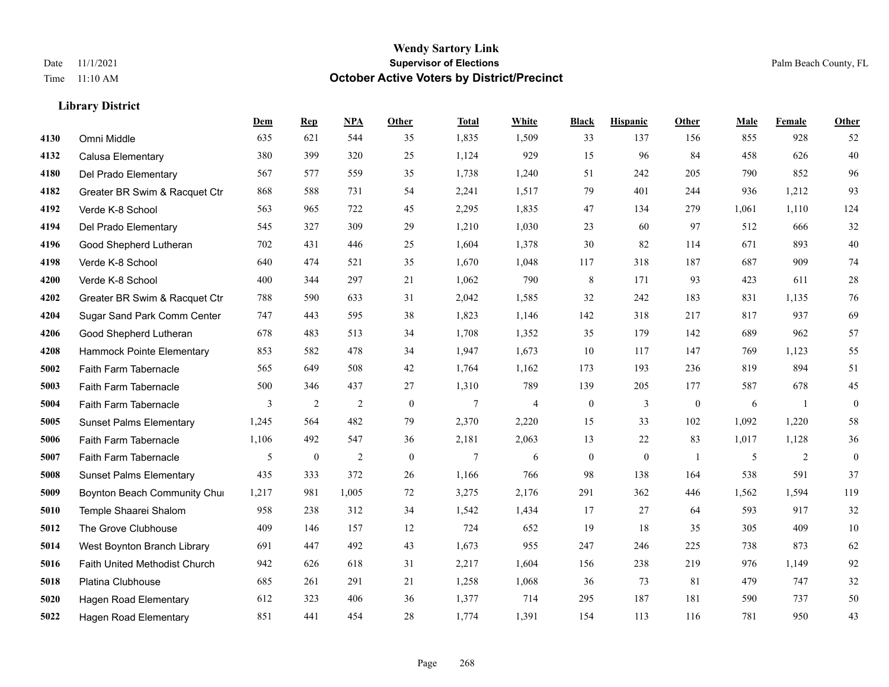|      |                                | Dem   | <b>Rep</b>       | NPA            | <b>Other</b>   | <b>Total</b>   | <b>White</b>   | <b>Black</b>     | <b>Hispanic</b>  | <b>Other</b>   | <b>Male</b> | <b>Female</b> | <b>Other</b>     |
|------|--------------------------------|-------|------------------|----------------|----------------|----------------|----------------|------------------|------------------|----------------|-------------|---------------|------------------|
| 4130 | Omni Middle                    | 635   | 621              | 544            | 35             | 1,835          | 1,509          | 33               | 137              | 156            | 855         | 928           | 52               |
| 4132 | Calusa Elementary              | 380   | 399              | 320            | 25             | 1,124          | 929            | 15               | 96               | 84             | 458         | 626           | 40               |
| 4180 | Del Prado Elementary           | 567   | 577              | 559            | 35             | 1,738          | 1,240          | 51               | 242              | 205            | 790         | 852           | 96               |
| 4182 | Greater BR Swim & Racquet Ctr  | 868   | 588              | 731            | 54             | 2,241          | 1,517          | 79               | 401              | 244            | 936         | 1,212         | 93               |
| 4192 | Verde K-8 School               | 563   | 965              | 722            | 45             | 2,295          | 1,835          | 47               | 134              | 279            | 1,061       | 1,110         | 124              |
| 4194 | Del Prado Elementary           | 545   | 327              | 309            | 29             | 1,210          | 1,030          | 23               | 60               | 97             | 512         | 666           | $32\,$           |
| 4196 | Good Shepherd Lutheran         | 702   | 431              | 446            | 25             | 1,604          | 1,378          | 30               | 82               | 114            | 671         | 893           | $40\,$           |
| 4198 | Verde K-8 School               | 640   | 474              | 521            | 35             | 1,670          | 1,048          | 117              | 318              | 187            | 687         | 909           | $74\,$           |
| 4200 | Verde K-8 School               | 400   | 344              | 297            | 21             | 1,062          | 790            | $\,8\,$          | 171              | 93             | 423         | 611           | $28\,$           |
| 4202 | Greater BR Swim & Racquet Ctr  | 788   | 590              | 633            | 31             | 2,042          | 1,585          | 32               | 242              | 183            | 831         | 1,135         | 76               |
| 4204 | Sugar Sand Park Comm Center    | 747   | 443              | 595            | 38             | 1,823          | 1,146          | 142              | 318              | 217            | 817         | 937           | 69               |
| 4206 | Good Shepherd Lutheran         | 678   | 483              | 513            | 34             | 1,708          | 1,352          | 35               | 179              | 142            | 689         | 962           | 57               |
| 4208 | Hammock Pointe Elementary      | 853   | 582              | 478            | 34             | 1,947          | 1,673          | 10               | 117              | 147            | 769         | 1,123         | 55               |
| 5002 | Faith Farm Tabernacle          | 565   | 649              | 508            | 42             | 1,764          | 1,162          | 173              | 193              | 236            | 819         | 894           | 51               |
| 5003 | Faith Farm Tabernacle          | 500   | 346              | 437            | 27             | 1,310          | 789            | 139              | 205              | 177            | 587         | 678           | 45               |
| 5004 | Faith Farm Tabernacle          | 3     | $\overline{2}$   | $\overline{2}$ | $\overline{0}$ | $\overline{7}$ | $\overline{4}$ | $\boldsymbol{0}$ | 3                | $\mathbf{0}$   | 6           | -1            | $\boldsymbol{0}$ |
| 5005 | <b>Sunset Palms Elementary</b> | 1,245 | 564              | 482            | 79             | 2,370          | 2,220          | 15               | 33               | 102            | 1,092       | 1,220         | 58               |
| 5006 | Faith Farm Tabernacle          | 1,106 | 492              | 547            | 36             | 2,181          | 2,063          | 13               | 22               | 83             | 1,017       | 1,128         | $36\,$           |
| 5007 | Faith Farm Tabernacle          | 5     | $\boldsymbol{0}$ | $\overline{2}$ | $\overline{0}$ | $\tau$         | 6              | $\boldsymbol{0}$ | $\boldsymbol{0}$ | $\overline{1}$ | 5           | 2             | $\boldsymbol{0}$ |
| 5008 | <b>Sunset Palms Elementary</b> | 435   | 333              | 372            | 26             | 1,166          | 766            | 98               | 138              | 164            | 538         | 591           | 37               |
| 5009 | Boynton Beach Community Chur   | 1,217 | 981              | 1,005          | 72             | 3,275          | 2,176          | 291              | 362              | 446            | 1,562       | 1,594         | 119              |
| 5010 | Temple Shaarei Shalom          | 958   | 238              | 312            | 34             | 1,542          | 1,434          | 17               | 27               | 64             | 593         | 917           | $32\,$           |
| 5012 | The Grove Clubhouse            | 409   | 146              | 157            | 12             | 724            | 652            | 19               | 18               | 35             | 305         | 409           | $10\,$           |
| 5014 | West Boynton Branch Library    | 691   | 447              | 492            | 43             | 1,673          | 955            | 247              | 246              | 225            | 738         | 873           | 62               |
| 5016 | Faith United Methodist Church  | 942   | 626              | 618            | 31             | 2,217          | 1,604          | 156              | 238              | 219            | 976         | 1,149         | 92               |
| 5018 | Platina Clubhouse              | 685   | 261              | 291            | 21             | 1,258          | 1,068          | 36               | 73               | 81             | 479         | 747           | $32\,$           |
| 5020 | Hagen Road Elementary          | 612   | 323              | 406            | 36             | 1,377          | 714            | 295              | 187              | 181            | 590         | 737           | 50               |
| 5022 | <b>Hagen Road Elementary</b>   | 851   | 441              | 454            | 28             | 1,774          | 1,391          | 154              | 113              | 116            | 781         | 950           | 43               |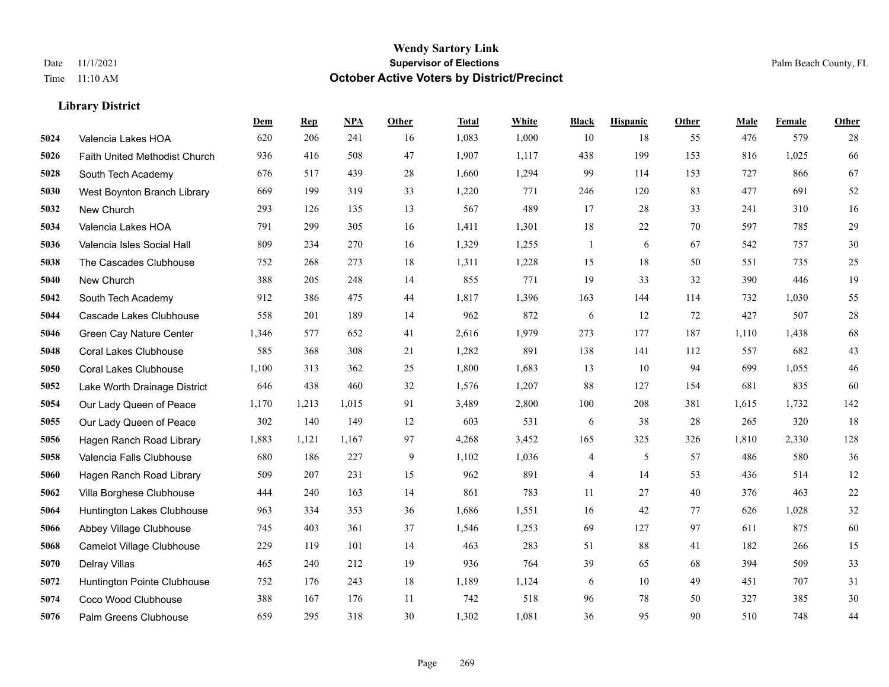|      |                               | Dem   | <b>Rep</b> | NPA   | <b>Other</b> | <b>Total</b> | White | <b>Black</b>   | <b>Hispanic</b> | <b>Other</b> | <b>Male</b> | Female | <b>Other</b> |
|------|-------------------------------|-------|------------|-------|--------------|--------------|-------|----------------|-----------------|--------------|-------------|--------|--------------|
| 5024 | Valencia Lakes HOA            | 620   | 206        | 241   | 16           | 1,083        | 1,000 | 10             | 18              | 55           | 476         | 579    | 28           |
| 5026 | Faith United Methodist Church | 936   | 416        | 508   | 47           | 1,907        | 1,117 | 438            | 199             | 153          | 816         | 1,025  | 66           |
| 5028 | South Tech Academy            | 676   | 517        | 439   | 28           | 1,660        | 1,294 | 99             | 114             | 153          | 727         | 866    | 67           |
| 5030 | West Boynton Branch Library   | 669   | 199        | 319   | 33           | 1,220        | 771   | 246            | 120             | 83           | 477         | 691    | 52           |
| 5032 | New Church                    | 293   | 126        | 135   | 13           | 567          | 489   | 17             | 28              | 33           | 241         | 310    | 16           |
| 5034 | Valencia Lakes HOA            | 791   | 299        | 305   | 16           | 1,411        | 1,301 | 18             | $22\,$          | 70           | 597         | 785    | 29           |
| 5036 | Valencia Isles Social Hall    | 809   | 234        | 270   | 16           | 1,329        | 1,255 | $\mathbf{1}$   | 6               | 67           | 542         | 757    | 30           |
| 5038 | The Cascades Clubhouse        | 752   | 268        | 273   | 18           | 1,311        | 1,228 | 15             | 18              | 50           | 551         | 735    | 25           |
| 5040 | New Church                    | 388   | 205        | 248   | 14           | 855          | 771   | 19             | 33              | 32           | 390         | 446    | 19           |
| 5042 | South Tech Academy            | 912   | 386        | 475   | 44           | 1,817        | 1,396 | 163            | 144             | 114          | 732         | 1,030  | 55           |
| 5044 | Cascade Lakes Clubhouse       | 558   | 201        | 189   | 14           | 962          | 872   | 6              | 12              | 72           | 427         | 507    | $28\,$       |
| 5046 | Green Cay Nature Center       | 1,346 | 577        | 652   | 41           | 2,616        | 1,979 | 273            | 177             | 187          | 1,110       | 1,438  | 68           |
| 5048 | <b>Coral Lakes Clubhouse</b>  | 585   | 368        | 308   | 21           | 1,282        | 891   | 138            | 141             | 112          | 557         | 682    | 43           |
| 5050 | <b>Coral Lakes Clubhouse</b>  | 1,100 | 313        | 362   | 25           | 1,800        | 1,683 | 13             | 10              | 94           | 699         | 1,055  | $46\,$       |
| 5052 | Lake Worth Drainage District  | 646   | 438        | 460   | 32           | 1,576        | 1,207 | 88             | 127             | 154          | 681         | 835    | 60           |
| 5054 | Our Lady Queen of Peace       | 1,170 | 1,213      | 1,015 | 91           | 3,489        | 2,800 | 100            | 208             | 381          | 1,615       | 1,732  | 142          |
| 5055 | Our Lady Queen of Peace       | 302   | 140        | 149   | 12           | 603          | 531   | 6              | 38              | 28           | 265         | 320    | $18\,$       |
| 5056 | Hagen Ranch Road Library      | 1,883 | 1,121      | 1,167 | 97           | 4,268        | 3,452 | 165            | 325             | 326          | 1,810       | 2,330  | 128          |
| 5058 | Valencia Falls Clubhouse      | 680   | 186        | 227   | 9            | 1,102        | 1,036 | 4              | 5               | 57           | 486         | 580    | 36           |
| 5060 | Hagen Ranch Road Library      | 509   | 207        | 231   | 15           | 962          | 891   | $\overline{4}$ | 14              | 53           | 436         | 514    | 12           |
| 5062 | Villa Borghese Clubhouse      | 444   | 240        | 163   | 14           | 861          | 783   | 11             | 27              | 40           | 376         | 463    | $22\,$       |
| 5064 | Huntington Lakes Clubhouse    | 963   | 334        | 353   | 36           | 1,686        | 1,551 | 16             | 42              | 77           | 626         | 1,028  | 32           |
| 5066 | Abbey Village Clubhouse       | 745   | 403        | 361   | 37           | 1,546        | 1,253 | 69             | 127             | 97           | 611         | 875    | 60           |
| 5068 | Camelot Village Clubhouse     | 229   | 119        | 101   | 14           | 463          | 283   | 51             | 88              | 41           | 182         | 266    | 15           |
| 5070 | Delray Villas                 | 465   | 240        | 212   | 19           | 936          | 764   | 39             | 65              | 68           | 394         | 509    | 33           |
| 5072 | Huntington Pointe Clubhouse   | 752   | 176        | 243   | 18           | 1,189        | 1,124 | 6              | 10              | 49           | 451         | 707    | 31           |
| 5074 | Coco Wood Clubhouse           | 388   | 167        | 176   | 11           | 742          | 518   | 96             | 78              | 50           | 327         | 385    | 30           |
| 5076 | Palm Greens Clubhouse         | 659   | 295        | 318   | 30           | 1,302        | 1,081 | 36             | 95              | 90           | 510         | 748    | 44           |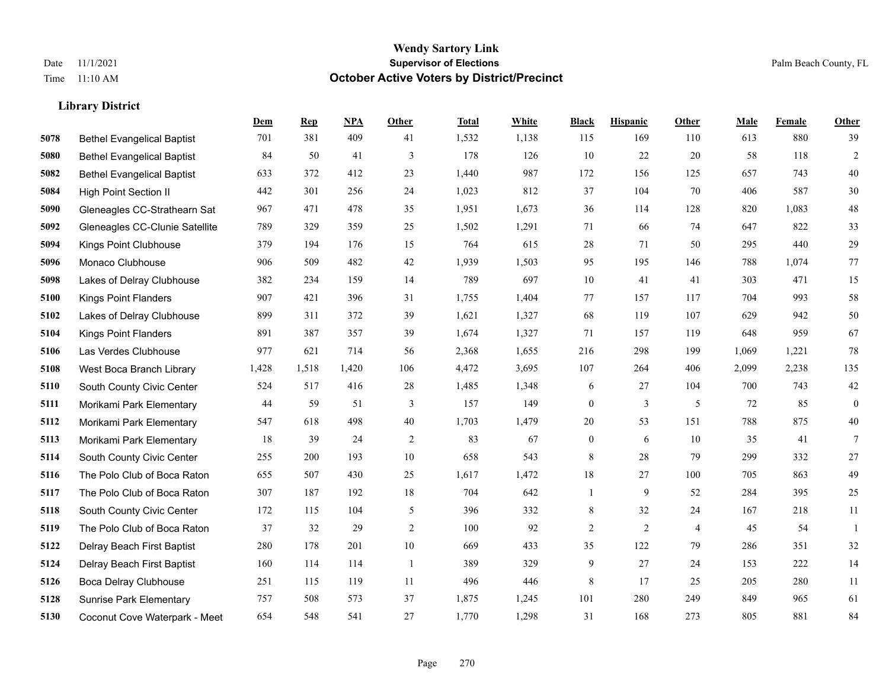**Library District**

#### **Wendy Sartory Link** Date 11/1/2021 **Supervisor of Elections** Palm Beach County, FL Time 11:10 AM **October Active Voters by District/Precinct**

# **Dem Rep NPA Other Total White Black Hispanic Other Male Female Other** Bethel Evangelical Baptist 701 381 409 41 1,532 1,138 115 169 110 613 880 39 Bethel Evangelical Baptist 84 50 41 3 178 126 10 22 20 58 118 2 Bethel Evangelical Baptist 633 372 412 23 1,440 987 172 156 125 657 743 40 High Point Section II 442 301 256 24 1,023 812 37 104 70 406 587 30 Gleneagles CC-Strathearn Sat 967 471 478 35 1,951 1,673 36 114 128 820 1,083 48 Gleneagles CC-Clunie Satellite 789 329 359 25 1,502 1,291 71 66 74 647 822 33 Kings Point Clubhouse 379 194 176 15 764 615 28 71 50 295 440 29 Monaco Clubhouse 906 509 482 42 1,939 1,503 95 195 146 788 1,074 77 Lakes of Delray Clubhouse 382 234 159 14 789 697 10 41 41 303 471 15 Kings Point Flanders 907 421 396 31 1,755 1,404 77 157 117 704 993 58 Lakes of Delray Clubhouse 899 311 372 39 1,621 1,327 68 119 107 629 942 50 Kings Point Flanders 891 387 357 39 1,674 1,327 71 157 119 648 959 67 Las Verdes Clubhouse 977 621 714 56 2,368 1,655 216 298 199 1,069 1,221 78 West Boca Branch Library 1,428 1,518 1,420 106 4,472 3,695 107 264 406 2,099 2,238 135 South County Civic Center 524 517 416 28 1,485 1,348 6 27 104 700 743 42 Morikami Park Elementary 44 59 51 3 157 149 0 3 5 72 85 0 Morikami Park Elementary 547 618 498 40 1,703 1,479 20 53 151 788 875 40 Morikami Park Elementary 18 39 24 2 83 67 0 6 10 35 41 7 South County Civic Center 255 200 193 10 658 543 8 28 79 299 332 27 The Polo Club of Boca Raton 655 507 430 25 1,617 1,472 18 27 100 705 863 49 The Polo Club of Boca Raton 307 187 192 18 704 642 1 9 52 284 395 25 South County Civic Center 172 115 104 5 396 332 8 32 24 167 218 11 The Polo Club of Boca Raton 37 32 29 2 100 92 2 2 4 45 54 1 Delray Beach First Baptist 280 178 201 10 669 433 35 122 79 286 351 32 Delray Beach First Baptist 160 114 114 1 389 329 9 27 24 153 222 14 Boca Delray Clubhouse 251 115 119 11 496 446 8 17 25 205 280 11 Sunrise Park Elementary 757 508 573 37 1,875 1,245 101 280 249 849 965 61 Coconut Cove Waterpark - Meet 654 548 541 27 1,770 1,298 31 168 273 805 881 84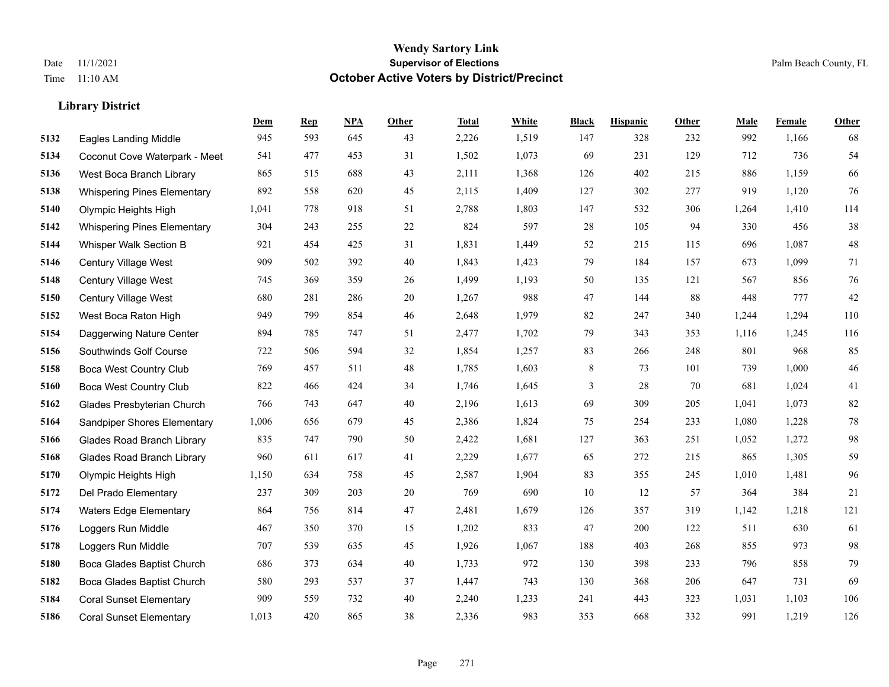|      |                                    | Dem   | <b>Rep</b> | NPA | <b>Other</b> | <b>Total</b> | <b>White</b> | <b>Black</b> | <b>Hispanic</b> | <b>Other</b> | <b>Male</b> | <b>Female</b> | <b>Other</b> |
|------|------------------------------------|-------|------------|-----|--------------|--------------|--------------|--------------|-----------------|--------------|-------------|---------------|--------------|
| 5132 | <b>Eagles Landing Middle</b>       | 945   | 593        | 645 | 43           | 2,226        | 1,519        | 147          | 328             | 232          | 992         | 1,166         | 68           |
| 5134 | Coconut Cove Waterpark - Meet      | 541   | 477        | 453 | 31           | 1,502        | 1,073        | 69           | 231             | 129          | 712         | 736           | 54           |
| 5136 | West Boca Branch Library           | 865   | 515        | 688 | 43           | 2,111        | 1,368        | 126          | 402             | 215          | 886         | 1,159         | 66           |
| 5138 | <b>Whispering Pines Elementary</b> | 892   | 558        | 620 | 45           | 2,115        | 1,409        | 127          | 302             | 277          | 919         | 1,120         | 76           |
| 5140 | Olympic Heights High               | 1,041 | 778        | 918 | 51           | 2,788        | 1,803        | 147          | 532             | 306          | 1,264       | 1,410         | 114          |
| 5142 | <b>Whispering Pines Elementary</b> | 304   | 243        | 255 | 22           | 824          | 597          | 28           | 105             | 94           | 330         | 456           | 38           |
| 5144 | Whisper Walk Section B             | 921   | 454        | 425 | 31           | 1,831        | 1,449        | 52           | 215             | 115          | 696         | 1,087         | $48\,$       |
| 5146 | Century Village West               | 909   | 502        | 392 | 40           | 1,843        | 1,423        | 79           | 184             | 157          | 673         | 1,099         | 71           |
| 5148 | Century Village West               | 745   | 369        | 359 | 26           | 1,499        | 1,193        | 50           | 135             | 121          | 567         | 856           | 76           |
| 5150 | Century Village West               | 680   | 281        | 286 | 20           | 1,267        | 988          | 47           | 144             | 88           | 448         | 777           | 42           |
| 5152 | West Boca Raton High               | 949   | 799        | 854 | 46           | 2,648        | 1,979        | 82           | 247             | 340          | 1,244       | 1,294         | 110          |
| 5154 | Daggerwing Nature Center           | 894   | 785        | 747 | 51           | 2,477        | 1,702        | 79           | 343             | 353          | 1,116       | 1,245         | 116          |
| 5156 | Southwinds Golf Course             | 722   | 506        | 594 | 32           | 1,854        | 1,257        | 83           | 266             | 248          | 801         | 968           | 85           |
| 5158 | <b>Boca West Country Club</b>      | 769   | 457        | 511 | 48           | 1,785        | 1,603        | 8            | 73              | 101          | 739         | 1,000         | $46\,$       |
| 5160 | <b>Boca West Country Club</b>      | 822   | 466        | 424 | 34           | 1,746        | 1,645        | 3            | 28              | 70           | 681         | 1,024         | 41           |
| 5162 | Glades Presbyterian Church         | 766   | 743        | 647 | 40           | 2,196        | 1,613        | 69           | 309             | 205          | 1,041       | 1,073         | $82\,$       |
| 5164 | Sandpiper Shores Elementary        | 1,006 | 656        | 679 | 45           | 2,386        | 1,824        | 75           | 254             | 233          | 1,080       | 1,228         | $78\,$       |
| 5166 | <b>Glades Road Branch Library</b>  | 835   | 747        | 790 | 50           | 2,422        | 1,681        | 127          | 363             | 251          | 1,052       | 1,272         | $98\,$       |
| 5168 | <b>Glades Road Branch Library</b>  | 960   | 611        | 617 | 41           | 2,229        | 1,677        | 65           | 272             | 215          | 865         | 1,305         | 59           |
| 5170 | Olympic Heights High               | 1,150 | 634        | 758 | 45           | 2,587        | 1,904        | 83           | 355             | 245          | 1,010       | 1,481         | 96           |
| 5172 | Del Prado Elementary               | 237   | 309        | 203 | 20           | 769          | 690          | 10           | 12              | 57           | 364         | 384           | 21           |
| 5174 | <b>Waters Edge Elementary</b>      | 864   | 756        | 814 | 47           | 2,481        | 1,679        | 126          | 357             | 319          | 1,142       | 1,218         | 121          |
| 5176 | Loggers Run Middle                 | 467   | 350        | 370 | 15           | 1,202        | 833          | 47           | 200             | 122          | 511         | 630           | 61           |
| 5178 | Loggers Run Middle                 | 707   | 539        | 635 | 45           | 1,926        | 1,067        | 188          | 403             | 268          | 855         | 973           | 98           |
| 5180 | Boca Glades Baptist Church         | 686   | 373        | 634 | $40\,$       | 1,733        | 972          | 130          | 398             | 233          | 796         | 858           | 79           |
| 5182 | Boca Glades Baptist Church         | 580   | 293        | 537 | 37           | 1,447        | 743          | 130          | 368             | 206          | 647         | 731           | 69           |
| 5184 | <b>Coral Sunset Elementary</b>     | 909   | 559        | 732 | 40           | 2,240        | 1,233        | 241          | 443             | 323          | 1,031       | 1,103         | 106          |
| 5186 | <b>Coral Sunset Elementary</b>     | 1,013 | 420        | 865 | 38           | 2,336        | 983          | 353          | 668             | 332          | 991         | 1,219         | 126          |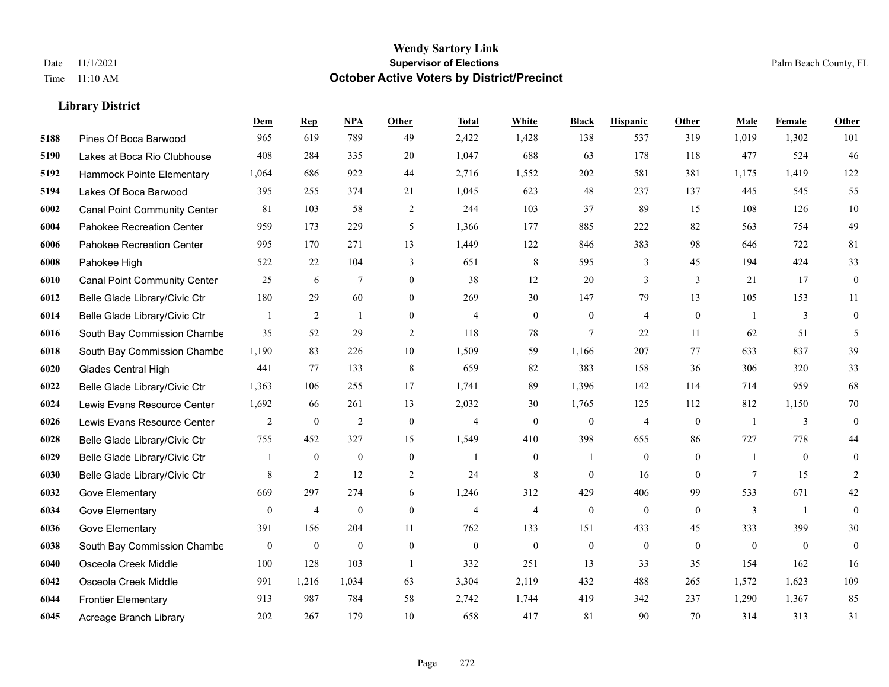|      |                                     | Dem            | <b>Rep</b>       | NPA            | <b>Other</b>     | <b>Total</b>   | White            | <b>Black</b>     | <b>Hispanic</b> | Other        | <b>Male</b>    | Female         | <b>Other</b>     |
|------|-------------------------------------|----------------|------------------|----------------|------------------|----------------|------------------|------------------|-----------------|--------------|----------------|----------------|------------------|
| 5188 | Pines Of Boca Barwood               | 965            | 619              | 789            | 49               | 2,422          | 1,428            | 138              | 537             | 319          | 1,019          | 1,302          | 101              |
| 5190 | Lakes at Boca Rio Clubhouse         | 408            | 284              | 335            | 20               | 1,047          | 688              | 63               | 178             | 118          | 477            | 524            | 46               |
| 5192 | Hammock Pointe Elementary           | 1,064          | 686              | 922            | 44               | 2,716          | 1,552            | 202              | 581             | 381          | 1,175          | 1,419          | 122              |
| 5194 | Lakes Of Boca Barwood               | 395            | 255              | 374            | 21               | 1,045          | 623              | 48               | 237             | 137          | 445            | 545            | 55               |
| 6002 | <b>Canal Point Community Center</b> | 81             | 103              | 58             | $\overline{2}$   | 244            | 103              | 37               | 89              | 15           | 108            | 126            | 10               |
| 6004 | Pahokee Recreation Center           | 959            | 173              | 229            | 5                | 1,366          | 177              | 885              | 222             | 82           | 563            | 754            | 49               |
| 6006 | Pahokee Recreation Center           | 995            | 170              | 271            | 13               | 1,449          | 122              | 846              | 383             | 98           | 646            | 722            | 81               |
| 6008 | Pahokee High                        | 522            | 22               | 104            | 3                | 651            | 8                | 595              | 3               | 45           | 194            | 424            | 33               |
| 6010 | <b>Canal Point Community Center</b> | 25             | 6                | $\tau$         | $\boldsymbol{0}$ | 38             | 12               | 20               | 3               | 3            | 21             | 17             | $\boldsymbol{0}$ |
| 6012 | Belle Glade Library/Civic Ctr       | 180            | 29               | 60             | $\overline{0}$   | 269            | 30               | 147              | 79              | 13           | 105            | 153            | 11               |
| 6014 | Belle Glade Library/Civic Ctr       |                | 2                | $\mathbf{1}$   | $\Omega$         | $\overline{4}$ | $\mathbf{0}$     | $\mathbf{0}$     | $\overline{4}$  | $\theta$     | $\overline{1}$ | 3              | $\mathbf{0}$     |
| 6016 | South Bay Commission Chambe         | 35             | 52               | 29             | 2                | 118            | 78               | $7\phantom{.0}$  | 22              | 11           | 62             | 51             | 5                |
| 6018 | South Bay Commission Chambe         | 1,190          | 83               | 226            | 10               | 1,509          | 59               | 1,166            | 207             | 77           | 633            | 837            | 39               |
| 6020 | <b>Glades Central High</b>          | 441            | 77               | 133            | $\,8\,$          | 659            | 82               | 383              | 158             | 36           | 306            | 320            | 33               |
| 6022 | Belle Glade Library/Civic Ctr       | 1,363          | 106              | 255            | 17               | 1,741          | 89               | 1,396            | 142             | 114          | 714            | 959            | 68               |
| 6024 | Lewis Evans Resource Center         | 1,692          | 66               | 261            | 13               | 2,032          | 30               | 1,765            | 125             | 112          | 812            | 1,150          | 70               |
| 6026 | Lewis Evans Resource Center         | $\overline{2}$ | $\boldsymbol{0}$ | $\overline{2}$ | $\boldsymbol{0}$ | $\overline{4}$ | $\boldsymbol{0}$ | $\boldsymbol{0}$ | $\overline{4}$  | $\mathbf{0}$ | -1             | 3              | $\boldsymbol{0}$ |
| 6028 | Belle Glade Library/Civic Ctr       | 755            | 452              | 327            | 15               | 1,549          | 410              | 398              | 655             | 86           | 727            | 778            | 44               |
| 6029 | Belle Glade Library/Civic Ctr       |                | $\boldsymbol{0}$ | $\mathbf{0}$   | $\overline{0}$   | $\mathbf{1}$   | $\overline{0}$   | 1                | $\mathbf{0}$    | $\theta$     | $\overline{1}$ | $\overline{0}$ | $\mathbf{0}$     |
| 6030 | Belle Glade Library/Civic Ctr       | 8              | $\overline{2}$   | 12             | 2                | 24             | $\,$ 8 $\,$      | $\boldsymbol{0}$ | 16              | $\mathbf{0}$ | $\tau$         | 15             | $\overline{2}$   |
| 6032 | Gove Elementary                     | 669            | 297              | 274            | 6                | 1,246          | 312              | 429              | 406             | 99           | 533            | 671            | $42\,$           |
| 6034 | Gove Elementary                     | $\overline{0}$ | $\overline{4}$   | $\overline{0}$ | $\overline{0}$   | $\overline{4}$ | $\overline{4}$   | $\mathbf{0}$     | $\mathbf{0}$    | $\theta$     | 3              | $\mathbf{1}$   | $\mathbf{0}$     |
| 6036 | Gove Elementary                     | 391            | 156              | 204            | 11               | 762            | 133              | 151              | 433             | 45           | 333            | 399            | $30\,$           |
| 6038 | South Bay Commission Chambe         | $\mathbf{0}$   | $\boldsymbol{0}$ | $\mathbf{0}$   | $\overline{0}$   | $\mathbf{0}$   | $\overline{0}$   | $\boldsymbol{0}$ | $\mathbf{0}$    | $\theta$     | $\theta$       | $\overline{0}$ | $\mathbf{0}$     |
| 6040 | Osceola Creek Middle                | 100            | 128              | 103            | $\overline{1}$   | 332            | 251              | 13               | 33              | 35           | 154            | 162            | 16               |
| 6042 | Osceola Creek Middle                | 991            | 1,216            | 1,034          | 63               | 3,304          | 2,119            | 432              | 488             | 265          | 1,572          | 1,623          | 109              |
| 6044 | <b>Frontier Elementary</b>          | 913            | 987              | 784            | 58               | 2,742          | 1,744            | 419              | 342             | 237          | 1,290          | 1,367          | 85               |
| 6045 | Acreage Branch Library              | 202            | 267              | 179            | 10               | 658            | 417              | 81               | 90              | 70           | 314            | 313            | 31               |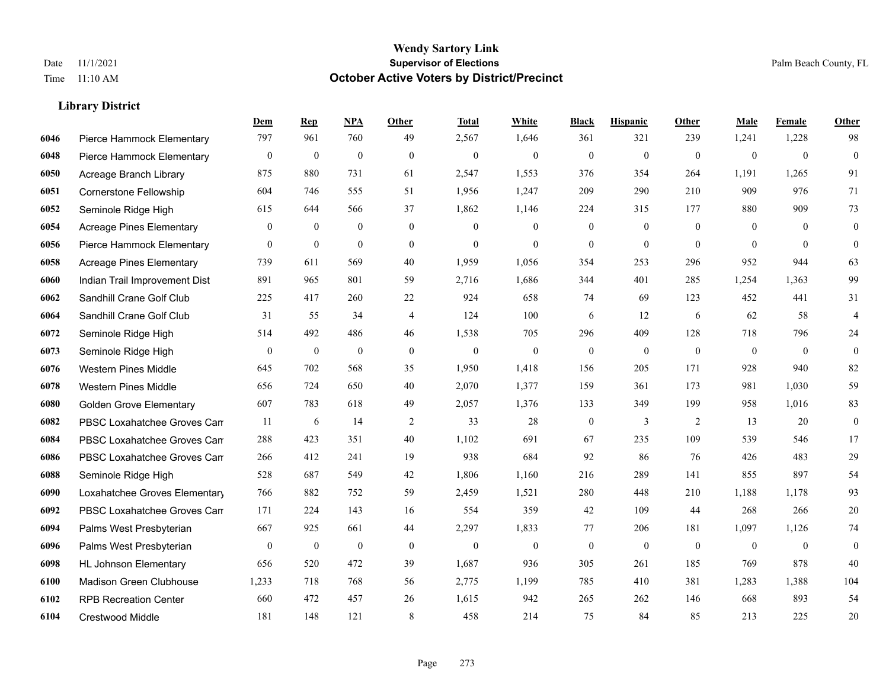|      |                                 | Dem              | <b>Rep</b>       | NPA              | <b>Other</b>   | <b>Total</b> | White            | <b>Black</b>     | <b>Hispanic</b>  | Other          | <b>Male</b>    | Female         | <b>Other</b>            |
|------|---------------------------------|------------------|------------------|------------------|----------------|--------------|------------------|------------------|------------------|----------------|----------------|----------------|-------------------------|
| 6046 | Pierce Hammock Elementary       | 797              | 961              | 760              | 49             | 2,567        | 1,646            | 361              | 321              | 239            | 1,241          | 1,228          | 98                      |
| 6048 | Pierce Hammock Elementary       | $\boldsymbol{0}$ | $\mathbf{0}$     | $\mathbf{0}$     | $\Omega$       | $\mathbf{0}$ | $\mathbf{0}$     | $\mathbf{0}$     | $\mathbf{0}$     | $\theta$       | $\overline{0}$ | $\mathbf{0}$   | $\mathbf{0}$            |
| 6050 | Acreage Branch Library          | 875              | 880              | 731              | 61             | 2,547        | 1,553            | 376              | 354              | 264            | 1,191          | 1,265          | 91                      |
| 6051 | Cornerstone Fellowship          | 604              | 746              | 555              | 51             | 1,956        | 1,247            | 209              | 290              | 210            | 909            | 976            | 71                      |
| 6052 | Seminole Ridge High             | 615              | 644              | 566              | 37             | 1,862        | 1,146            | 224              | 315              | 177            | 880            | 909            | 73                      |
| 6054 | <b>Acreage Pines Elementary</b> | $\mathbf{0}$     | $\boldsymbol{0}$ | $\mathbf{0}$     | $\overline{0}$ | $\mathbf{0}$ | $\mathbf{0}$     | $\boldsymbol{0}$ | $\boldsymbol{0}$ | $\overline{0}$ | $\overline{0}$ | $\overline{0}$ | $\boldsymbol{0}$        |
| 6056 | Pierce Hammock Elementary       | $\mathbf{0}$     | $\mathbf{0}$     | $\mathbf{0}$     | $\mathbf{0}$   | $\mathbf{0}$ | $\overline{0}$   | $\mathbf{0}$     | $\mathbf{0}$     | $\theta$       | $\theta$       | $\theta$       | $\mathbf{0}$            |
| 6058 | <b>Acreage Pines Elementary</b> | 739              | 611              | 569              | 40             | 1,959        | 1,056            | 354              | 253              | 296            | 952            | 944            | 63                      |
| 6060 | Indian Trail Improvement Dist   | 891              | 965              | 801              | 59             | 2,716        | 1,686            | 344              | 401              | 285            | 1,254          | 1,363          | 99                      |
| 6062 | Sandhill Crane Golf Club        | 225              | 417              | 260              | 22             | 924          | 658              | 74               | 69               | 123            | 452            | 441            | 31                      |
| 6064 | Sandhill Crane Golf Club        | 31               | 55               | 34               | $\overline{4}$ | 124          | 100              | 6                | 12               | 6              | 62             | 58             | $\overline{\mathbf{4}}$ |
| 6072 | Seminole Ridge High             | 514              | 492              | 486              | 46             | 1,538        | 705              | 296              | 409              | 128            | 718            | 796            | $24\,$                  |
| 6073 | Seminole Ridge High             | $\mathbf{0}$     | $\bf{0}$         | $\mathbf{0}$     | $\mathbf{0}$   | $\mathbf{0}$ | $\overline{0}$   | $\mathbf{0}$     | $\mathbf{0}$     | $\theta$       | $\mathbf{0}$   | $\mathbf{0}$   | $\mathbf{0}$            |
| 6076 | <b>Western Pines Middle</b>     | 645              | 702              | 568              | 35             | 1,950        | 1,418            | 156              | 205              | 171            | 928            | 940            | 82                      |
| 6078 | <b>Western Pines Middle</b>     | 656              | 724              | 650              | 40             | 2,070        | 1,377            | 159              | 361              | 173            | 981            | 1,030          | 59                      |
| 6080 | <b>Golden Grove Elementary</b>  | 607              | 783              | 618              | 49             | 2,057        | 1,376            | 133              | 349              | 199            | 958            | 1,016          | 83                      |
| 6082 | PBSC Loxahatchee Groves Can     | 11               | 6                | 14               | 2              | 33           | 28               | $\boldsymbol{0}$ | 3                | 2              | 13             | 20             | $\boldsymbol{0}$        |
| 6084 | PBSC Loxahatchee Groves Can     | 288              | 423              | 351              | 40             | 1,102        | 691              | 67               | 235              | 109            | 539            | 546            | 17                      |
| 6086 | PBSC Loxahatchee Groves Can     | 266              | 412              | 241              | 19             | 938          | 684              | 92               | 86               | 76             | 426            | 483            | 29                      |
| 6088 | Seminole Ridge High             | 528              | 687              | 549              | 42             | 1,806        | 1,160            | 216              | 289              | 141            | 855            | 897            | 54                      |
| 6090 | Loxahatchee Groves Elementary   | 766              | 882              | 752              | 59             | 2,459        | 1,521            | 280              | 448              | 210            | 1,188          | 1,178          | 93                      |
| 6092 | PBSC Loxahatchee Groves Can     | 171              | 224              | 143              | 16             | 554          | 359              | 42               | 109              | 44             | 268            | 266            | $20\,$                  |
| 6094 | Palms West Presbyterian         | 667              | 925              | 661              | 44             | 2,297        | 1,833            | 77               | 206              | 181            | 1,097          | 1,126          | 74                      |
| 6096 | Palms West Presbyterian         | $\mathbf{0}$     | $\bf{0}$         | $\boldsymbol{0}$ | $\theta$       | $\mathbf{0}$ | $\boldsymbol{0}$ | $\boldsymbol{0}$ | $\mathbf{0}$     | $\mathbf{0}$   | $\overline{0}$ | $\mathbf{0}$   | $\mathbf{0}$            |
| 6098 | <b>HL Johnson Elementary</b>    | 656              | 520              | 472              | 39             | 1,687        | 936              | 305              | 261              | 185            | 769            | 878            | 40                      |
| 6100 | Madison Green Clubhouse         | 1,233            | 718              | 768              | 56             | 2,775        | 1,199            | 785              | 410              | 381            | 1,283          | 1,388          | 104                     |
| 6102 | <b>RPB Recreation Center</b>    | 660              | 472              | 457              | 26             | 1,615        | 942              | 265              | 262              | 146            | 668            | 893            | 54                      |
| 6104 | <b>Crestwood Middle</b>         | 181              | 148              | 121              | 8              | 458          | 214              | 75               | 84               | 85             | 213            | 225            | 20                      |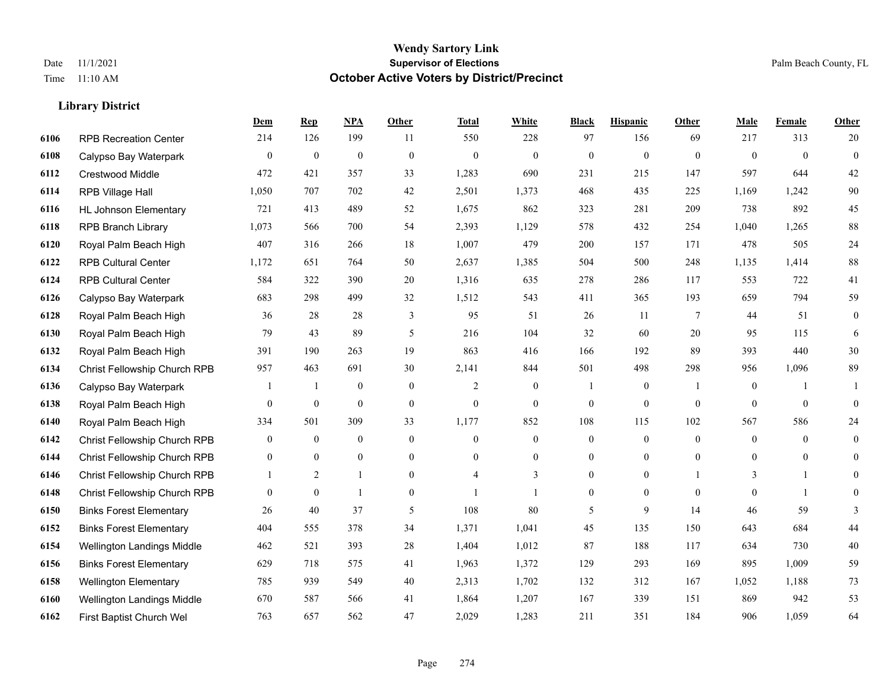|      |                                | Dem            | <b>Rep</b>       | NPA            | <b>Other</b>   | <b>Total</b>   | <b>White</b>     | <b>Black</b>     | <b>Hispanic</b>  | <b>Other</b>   | <b>Male</b>    | Female         | <b>Other</b>     |
|------|--------------------------------|----------------|------------------|----------------|----------------|----------------|------------------|------------------|------------------|----------------|----------------|----------------|------------------|
| 6106 | <b>RPB Recreation Center</b>   | 214            | 126              | 199            | 11             | 550            | 228              | 97               | 156              | 69             | 217            | 313            | 20               |
| 6108 | Calypso Bay Waterpark          | $\mathbf{0}$   | $\mathbf{0}$     | $\mathbf{0}$   | $\mathbf{0}$   | $\mathbf{0}$   | $\mathbf{0}$     | $\mathbf{0}$     | $\mathbf{0}$     | $\mathbf{0}$   | $\mathbf{0}$   | $\theta$       | $\overline{0}$   |
| 6112 | Crestwood Middle               | 472            | 421              | 357            | 33             | 1,283          | 690              | 231              | 215              | 147            | 597            | 644            | 42               |
| 6114 | <b>RPB Village Hall</b>        | 1,050          | 707              | 702            | 42             | 2,501          | 1,373            | 468              | 435              | 225            | 1,169          | 1,242          | 90               |
| 6116 | <b>HL Johnson Elementary</b>   | 721            | 413              | 489            | 52             | 1,675          | 862              | 323              | 281              | 209            | 738            | 892            | 45               |
| 6118 | <b>RPB Branch Library</b>      | 1,073          | 566              | 700            | 54             | 2,393          | 1,129            | 578              | 432              | 254            | 1,040          | 1,265          | 88               |
| 6120 | Royal Palm Beach High          | 407            | 316              | 266            | 18             | 1,007          | 479              | 200              | 157              | 171            | 478            | 505            | 24               |
| 6122 | <b>RPB Cultural Center</b>     | 1,172          | 651              | 764            | 50             | 2,637          | 1,385            | 504              | 500              | 248            | 1,135          | 1,414          | 88               |
| 6124 | <b>RPB Cultural Center</b>     | 584            | 322              | 390            | $20\,$         | 1,316          | 635              | 278              | 286              | 117            | 553            | 722            | 41               |
| 6126 | Calypso Bay Waterpark          | 683            | 298              | 499            | 32             | 1,512          | 543              | 411              | 365              | 193            | 659            | 794            | 59               |
| 6128 | Royal Palm Beach High          | 36             | 28               | 28             | 3              | 95             | 51               | 26               | 11               | $\overline{7}$ | 44             | 51             | $\overline{0}$   |
| 6130 | Royal Palm Beach High          | 79             | 43               | 89             | 5              | 216            | 104              | 32               | 60               | 20             | 95             | 115            | 6                |
| 6132 | Royal Palm Beach High          | 391            | 190              | 263            | 19             | 863            | 416              | 166              | 192              | 89             | 393            | 440            | 30               |
| 6134 | Christ Fellowship Church RPB   | 957            | 463              | 691            | $30\,$         | 2,141          | 844              | 501              | 498              | 298            | 956            | 1,096          | 89               |
| 6136 | Calypso Bay Waterpark          |                | $\mathbf{1}$     | $\mathbf{0}$   | $\mathbf{0}$   | $\overline{2}$ | $\boldsymbol{0}$ |                  | $\boldsymbol{0}$ |                | $\mathbf{0}$   |                |                  |
| 6138 | Royal Palm Beach High          | $\overline{0}$ | $\boldsymbol{0}$ | $\mathbf{0}$   | $\mathbf{0}$   | $\mathbf{0}$   | $\mathbf{0}$     | $\overline{0}$   | $\mathbf{0}$     | $\theta$       | $\mathbf{0}$   | $\theta$       | $\overline{0}$   |
| 6140 | Royal Palm Beach High          | 334            | 501              | 309            | 33             | 1,177          | 852              | 108              | 115              | 102            | 567            | 586            | 24               |
| 6142 | Christ Fellowship Church RPB   | $\overline{0}$ | $\overline{0}$   | $\mathbf{0}$   | $\theta$       | $\theta$       | $\mathbf{0}$     | $\overline{0}$   | $\overline{0}$   | $\theta$       | $\overline{0}$ | $\theta$       | $\boldsymbol{0}$ |
| 6144 | Christ Fellowship Church RPB   | $\overline{0}$ | $\mathbf{0}$     | $\mathbf{0}$   | $\mathbf{0}$   | $\overline{0}$ | $\boldsymbol{0}$ | $\overline{0}$   | $\overline{0}$   | $\theta$       | $\overline{0}$ | $\overline{0}$ | $\overline{0}$   |
| 6146 | Christ Fellowship Church RPB   |                | $\overline{2}$   | $\mathbf{1}$   | $\overline{0}$ | $\overline{4}$ | 3                | $\boldsymbol{0}$ | $\boldsymbol{0}$ |                | 3              | 1              | $\overline{0}$   |
| 6148 | Christ Fellowship Church RPB   | $\theta$       | $\mathbf{0}$     | $\overline{1}$ | $\mathbf{0}$   | $\mathbf{1}$   | $\mathbf{1}$     | $\overline{0}$   | $\Omega$         | $\theta$       | $\theta$       | $\mathbf{1}$   | $\overline{0}$   |
| 6150 | <b>Binks Forest Elementary</b> | 26             | 40               | 37             | 5              | 108            | 80               | 5                | 9                | 14             | 46             | 59             | 3                |
| 6152 | <b>Binks Forest Elementary</b> | 404            | 555              | 378            | 34             | 1,371          | 1,041            | 45               | 135              | 150            | 643            | 684            | 44               |
| 6154 | Wellington Landings Middle     | 462            | 521              | 393            | 28             | 1,404          | 1,012            | 87               | 188              | 117            | 634            | 730            | 40               |
| 6156 | <b>Binks Forest Elementary</b> | 629            | 718              | 575            | 41             | 1,963          | 1,372            | 129              | 293              | 169            | 895            | 1,009          | 59               |
| 6158 | <b>Wellington Elementary</b>   | 785            | 939              | 549            | 40             | 2,313          | 1,702            | 132              | 312              | 167            | 1,052          | 1,188          | $73\,$           |
| 6160 | Wellington Landings Middle     | 670            | 587              | 566            | 41             | 1,864          | 1,207            | 167              | 339              | 151            | 869            | 942            | 53               |
| 6162 | First Baptist Church Wel       | 763            | 657              | 562            | 47             | 2,029          | 1,283            | 211              | 351              | 184            | 906            | 1,059          | 64               |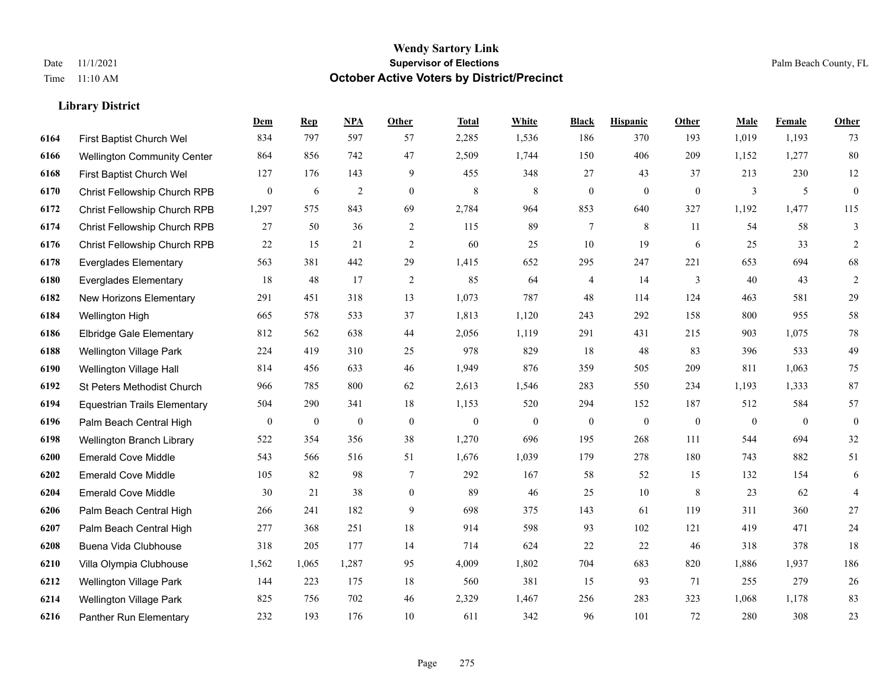**Library District**

#### **Wendy Sartory Link** Date 11/1/2021 **Supervisor of Elections** Palm Beach County, FL Time 11:10 AM **October Active Voters by District/Precinct**

# **Dem Rep NPA Other Total White Black Hispanic Other Male Female Other** First Baptist Church Wel 834 797 597 57 2,285 1,536 186 370 193 1,019 1,193 73 Wellington Community Center 864 856 742 47 2,509 1,744 150 406 209 1,152 1,277 80 First Baptist Church Wel 127 176 143 9 455 348 27 43 37 213 230 12 Christ Fellowship Church RPB 0 6 2 0 8 8 0 0 0 3 5 0 Christ Fellowship Church RPB 1,297 575 843 69 2,784 964 853 640 327 1,192 1,477 115 Christ Fellowship Church RPB 27 50 36 2 115 89 7 8 11 54 58 3 Christ Fellowship Church RPB 22 15 21 2 60 25 10 19 6 25 33 2 Everglades Elementary 563 381 442 29 1,415 652 295 247 221 653 694 68 Everglades Elementary 18 48 17 2 85 64 4 14 3 40 43 2 New Horizons Elementary 291 451 318 13 1,073 787 48 114 124 463 581 29 Wellington High 665 578 533 37 1,813 1,120 243 292 158 800 955 58 Elbridge Gale Elementary 812 562 638 44 2,056 1,119 291 431 215 903 1,075 78 Wellington Village Park 224 419 310 25 978 829 18 48 83 396 533 49 Wellington Village Hall 814 456 633 46 1,949 876 359 505 209 811 1,063 75 St Peters Methodist Church 966 785 800 62 2,613 1,546 283 550 234 1,193 1,333 87 Equestrian Trails Elementary 504 290 341 18 1,153 520 294 152 187 512 584 57 Palm Beach Central High 0 0 0 0 0 0 0 0 0 0 0 0 Wellington Branch Library 522 354 356 38 1,270 696 195 268 111 544 694 32 Emerald Cove Middle 543 566 516 51 1,676 1,039 179 278 180 743 882 51 Emerald Cove Middle 105 82 98 7 292 167 58 52 15 132 154 6 Emerald Cove Middle 30 21 38 0 89 46 25 10 8 23 62 4 Palm Beach Central High 266 241 182 9 698 375 143 61 119 311 360 27 Palm Beach Central High 277 368 251 18 914 598 93 102 121 419 471 24 Buena Vida Clubhouse 318 205 177 14 714 624 22 22 46 318 378 18 Villa Olympia Clubhouse 1,562 1,065 1,287 95 4,009 1,802 704 683 820 1,886 1,937 186 Wellington Village Park 144 223 175 18 560 381 15 93 71 255 279 26 Wellington Village Park 825 756 702 46 2,329 1,467 256 283 323 1,068 1,178 83 Panther Run Elementary 232 193 176 10 611 342 96 101 72 280 308 23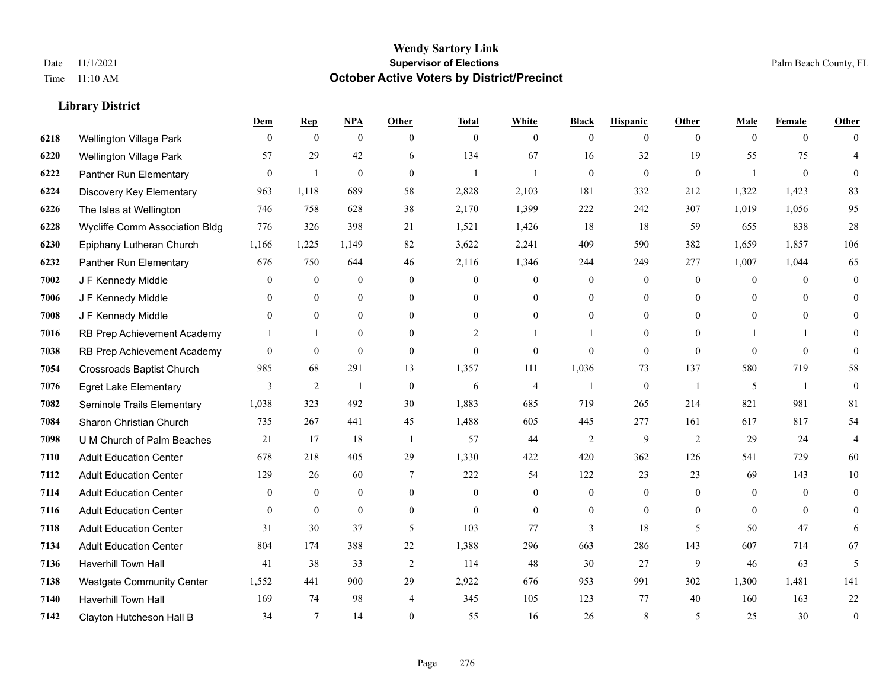|      |                                  | Dem            | <b>Rep</b>       | NPA              | <b>Other</b>   | <b>Total</b>   | <b>White</b>   | <b>Black</b>   | <b>Hispanic</b>  | <b>Other</b>   | <b>Male</b>    | <b>Female</b>  | <b>Other</b>     |
|------|----------------------------------|----------------|------------------|------------------|----------------|----------------|----------------|----------------|------------------|----------------|----------------|----------------|------------------|
| 6218 | Wellington Village Park          | $\mathbf{0}$   | $\mathbf{0}$     | $\boldsymbol{0}$ | $\theta$       | $\mathbf{0}$   | $\overline{0}$ | $\overline{0}$ | $\overline{0}$   | $\theta$       | $\theta$       | $\overline{0}$ | $\Omega$         |
| 6220 | <b>Wellington Village Park</b>   | 57             | 29               | 42               | 6              | 134            | 67             | 16             | 32               | 19             | 55             | 75             | 4                |
| 6222 | Panther Run Elementary           | $\mathbf{0}$   | $\mathbf{1}$     | $\mathbf{0}$     | $\theta$       | $\mathbf{1}$   |                | $\mathbf{0}$   | $\boldsymbol{0}$ | $\mathbf{0}$   | $\overline{1}$ | $\mathbf{0}$   | $\theta$         |
| 6224 | Discovery Key Elementary         | 963            | 1,118            | 689              | 58             | 2,828          | 2,103          | 181            | 332              | 212            | 1,322          | 1,423          | 83               |
| 6226 | The Isles at Wellington          | 746            | 758              | 628              | 38             | 2,170          | 1,399          | 222            | 242              | 307            | 1,019          | 1,056          | 95               |
| 6228 | Wycliffe Comm Association Bldg   | 776            | 326              | 398              | 21             | 1,521          | 1,426          | 18             | 18               | 59             | 655            | 838            | $28\,$           |
| 6230 | Epiphany Lutheran Church         | 1,166          | 1,225            | 1,149            | 82             | 3,622          | 2,241          | 409            | 590              | 382            | 1,659          | 1,857          | 106              |
| 6232 | Panther Run Elementary           | 676            | 750              | 644              | 46             | 2,116          | 1,346          | 244            | 249              | 277            | 1,007          | 1,044          | 65               |
| 7002 | J F Kennedy Middle               | $\theta$       | $\overline{0}$   | $\mathbf{0}$     | $\mathbf{0}$   | $\theta$       | $\overline{0}$ | $\mathbf{0}$   | $\overline{0}$   | $\theta$       | $\mathbf{0}$   | $\theta$       | $\theta$         |
| 7006 | J F Kennedy Middle               | $\overline{0}$ | $\overline{0}$   | $\mathbf{0}$     | $\mathbf{0}$   | $\Omega$       | 0              | $\mathbf{0}$   | $\boldsymbol{0}$ | $\theta$       | $\overline{0}$ | $\theta$       | 0                |
| 7008 | J F Kennedy Middle               | $\theta$       | $\theta$         | $\mathbf{0}$     | $\Omega$       | $\theta$       | $\overline{0}$ | $\overline{0}$ | $\overline{0}$   | $\theta$       | $\theta$       | $\theta$       | $\Omega$         |
| 7016 | RB Prep Achievement Academy      |                | $\mathbf{1}$     | $\theta$         | $\Omega$       | $\overline{c}$ |                |                | $\Omega$         | $\Omega$       |                |                | $\Omega$         |
| 7038 | RB Prep Achievement Academy      | $\mathbf{0}$   | $\mathbf{0}$     | $\mathbf{0}$     | $\theta$       | $\mathbf{0}$   | $\overline{0}$ | $\theta$       | $\overline{0}$   | $\theta$       | $\theta$       | $\theta$       | $\theta$         |
| 7054 | <b>Crossroads Baptist Church</b> | 985            | 68               | 291              | 13             | 1,357          | 111            | 1,036          | 73               | 137            | 580            | 719            | 58               |
| 7076 | <b>Egret Lake Elementary</b>     | 3              | 2                | -1               | $\theta$       | 6              | 4              |                | $\mathbf{0}$     | $\overline{1}$ | 5              | $\overline{1}$ | $\theta$         |
| 7082 | Seminole Trails Elementary       | 1,038          | 323              | 492              | 30             | 1,883          | 685            | 719            | 265              | 214            | 821            | 981            | 81               |
| 7084 | Sharon Christian Church          | 735            | 267              | 441              | 45             | 1,488          | 605            | 445            | 277              | 161            | 617            | 817            | 54               |
| 7098 | U M Church of Palm Beaches       | 21             | 17               | 18               | $\overline{1}$ | 57             | 44             | $\overline{c}$ | 9                | 2              | 29             | 24             | 4                |
| 7110 | <b>Adult Education Center</b>    | 678            | 218              | 405              | 29             | 1,330          | 422            | 420            | 362              | 126            | 541            | 729            | 60               |
| 7112 | <b>Adult Education Center</b>    | 129            | 26               | 60               | 7              | 222            | 54             | 122            | 23               | 23             | 69             | 143            | 10               |
| 7114 | <b>Adult Education Center</b>    | $\theta$       | $\overline{0}$   | $\theta$         | $\Omega$       | $\theta$       | $\Omega$       | $\mathbf{0}$   | $\overline{0}$   | $\Omega$       | $\Omega$       | $\Omega$       | $\theta$         |
| 7116 | <b>Adult Education Center</b>    | $\mathbf{0}$   | $\boldsymbol{0}$ | $\boldsymbol{0}$ | $\mathbf{0}$   | $\overline{0}$ | $\mathbf{0}$   | $\overline{0}$ | $\overline{0}$   | $\mathbf{0}$   | $\mathbf{0}$   | $\mathbf{0}$   | $\overline{0}$   |
| 7118 | <b>Adult Education Center</b>    | 31             | 30               | 37               | 5              | 103            | 77             | 3              | 18               | 5              | 50             | 47             | 6                |
| 7134 | <b>Adult Education Center</b>    | 804            | 174              | 388              | 22             | 1,388          | 296            | 663            | 286              | 143            | 607            | 714            | 67               |
| 7136 | <b>Haverhill Town Hall</b>       | 41             | 38               | 33               | 2              | 114            | 48             | 30             | 27               | 9              | 46             | 63             | 5                |
| 7138 | <b>Westgate Community Center</b> | 1,552          | 441              | 900              | 29             | 2,922          | 676            | 953            | 991              | 302            | 1,300          | 1,481          | 141              |
| 7140 | Haverhill Town Hall              | 169            | 74               | 98               | 4              | 345            | 105            | 123            | 77               | 40             | 160            | 163            | 22               |
| 7142 | Clayton Hutcheson Hall B         | 34             | $\tau$           | 14               | $\Omega$       | 55             | 16             | 26             | 8                | 5              | 25             | 30             | $\boldsymbol{0}$ |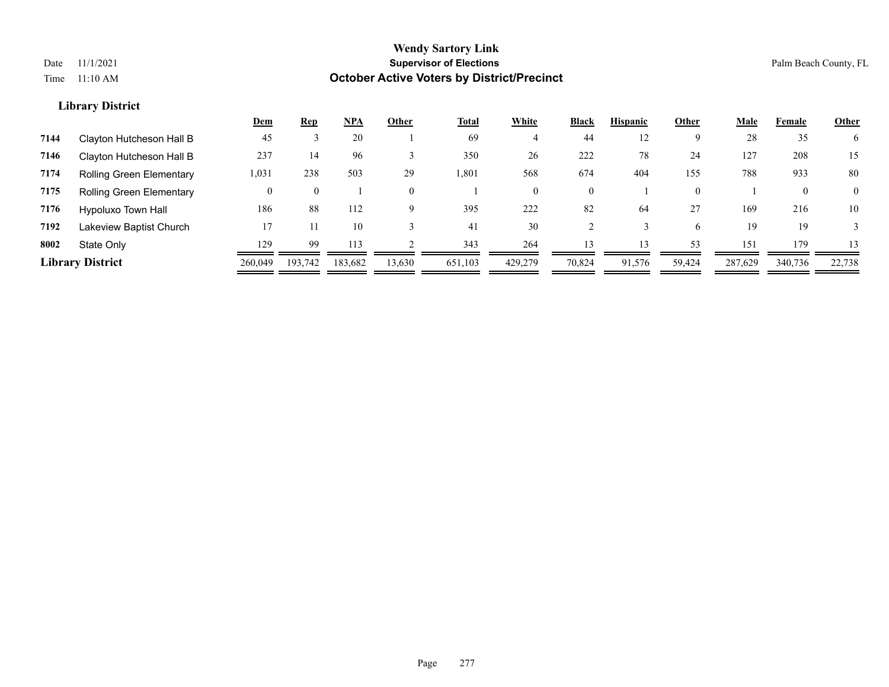|      |                                 | <u>Dem</u> | <b>Rep</b> | $NPA$   | Other    | <b>Total</b> | White    | <b>Black</b>   | <b>Hispanic</b> | Other    | <u>Male</u> | Female       | <b>Other</b>   |
|------|---------------------------------|------------|------------|---------|----------|--------------|----------|----------------|-----------------|----------|-------------|--------------|----------------|
| 7144 | Clayton Hutcheson Hall B        | 45         |            | 20      |          | 69           |          | 44             | 12              | 9        | 28          | 35           | 6              |
| 7146 | Clayton Hutcheson Hall B        | 237        | 14         | 96      |          | 350          | 26       | 222            | 78              | 24       | 127         | 208          | 15             |
| 7174 | <b>Rolling Green Elementary</b> | 1,031      | 238        | 503     | 29       | 1,801        | 568      | 674            | 404             | 155      | 788         | 933          | 80             |
| 7175 | <b>Rolling Green Elementary</b> | $^{(1)}$   | $\theta$   |         | $\Omega$ |              | $\theta$ | $\overline{0}$ |                 | $\Omega$ |             | $\mathbf{0}$ | $\overline{0}$ |
| 7176 | Hypoluxo Town Hall              | 186        | 88         | 112     | 9        | 395          | 222      | 82             | -64             | 27       | 169         | 216          | 10             |
| 7192 | Lakeview Baptist Church         |            |            | 10      |          | 41           | 30       |                |                 | 6        | 19          | 19           |                |
| 8002 | State Only                      | 129        | 99         | 113     |          | 343          | 264      | 13             | 13              | 53       | 151         | 179          | 13             |
|      | <b>Library District</b>         | 260,049    | 193,742    | 183,682 | 13,630   | 651,103      | 429,279  | 70,824         | 91,576          | 59,424   | 287,629     | 340,736      | 22,738         |
|      |                                 |            |            |         |          |              |          |                |                 |          |             |              |                |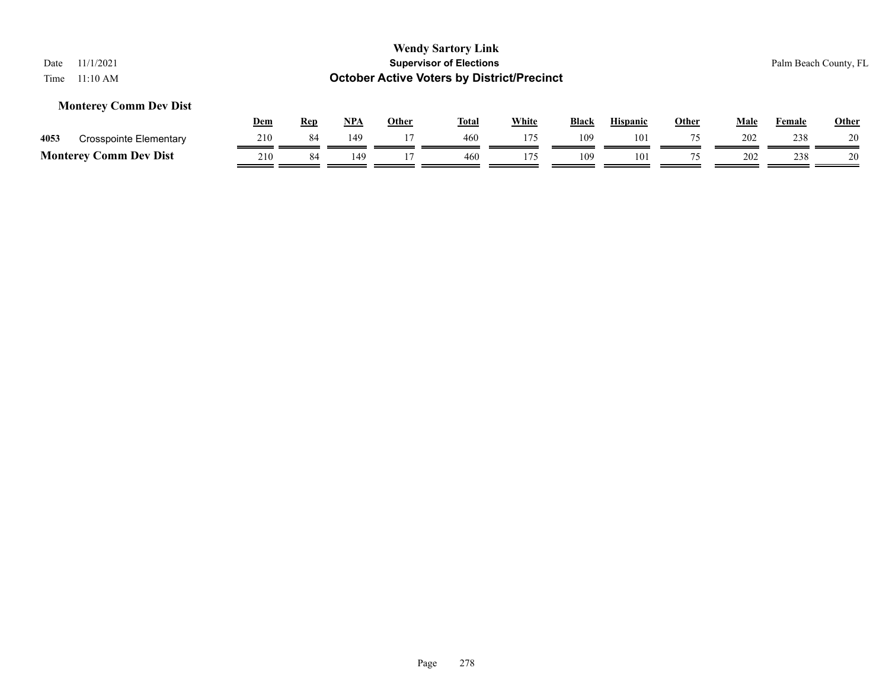# **Monterey Comm Dev Dist**

|      |                               | Dem | Rep | NP/ | Other | <b>Total</b> | White | <b>Black</b> | <b>Hispanic</b> | Other | Male | Female | <b>Other</b> |
|------|-------------------------------|-----|-----|-----|-------|--------------|-------|--------------|-----------------|-------|------|--------|--------------|
| 4053 | Crosspointe Elementary        | 210 |     | 149 |       | 460          | 175   | 109          | 101             |       | 202  | 238    | 20           |
|      | <b>Monterey Comm Dev Dist</b> | 210 |     | .49 |       | 460          | 175   | 109          | 101             |       | 202  | 238    |              |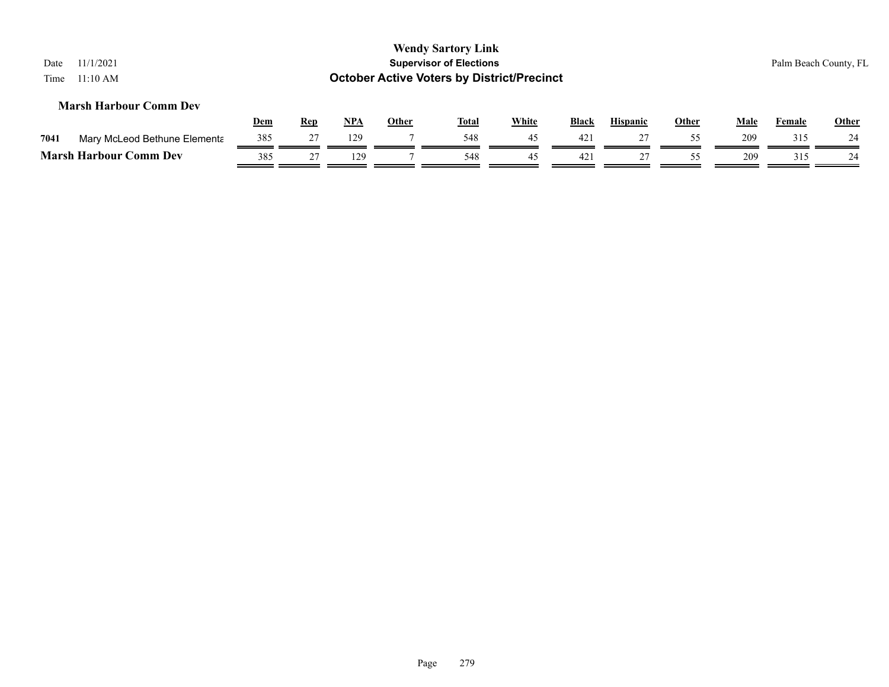| 11/1/2021<br>Date<br>11:10 AM<br>Time |            |            |            |              | <b>Wendy Sartory Link</b><br><b>Supervisor of Elections</b><br><b>October Active Voters by District/Precinct</b> |              |              |                 |              |             |        | Palm Beach County, FL |
|---------------------------------------|------------|------------|------------|--------------|------------------------------------------------------------------------------------------------------------------|--------------|--------------|-----------------|--------------|-------------|--------|-----------------------|
| <b>Marsh Harbour Comm Dev</b>         | <u>Dem</u> | <b>Rep</b> | <u>NPA</u> | <b>Other</b> | <u>Total</u>                                                                                                     | <b>White</b> | <b>Black</b> | <b>Hispanic</b> | <b>Other</b> | <b>Male</b> | Female | <b>Other</b>          |
| Mary McLeod Bethune Elementa<br>7041  | 385        | 27         | 129        |              | 548                                                                                                              | 45           | 421          | 27              | 55           | 209         | 315    |                       |
| <b>Marsh Harbour Comm Dev</b>         | 385        | 27         | 129        |              | 548                                                                                                              | 45           | 421          | 27              | 55           | 209         | 315    |                       |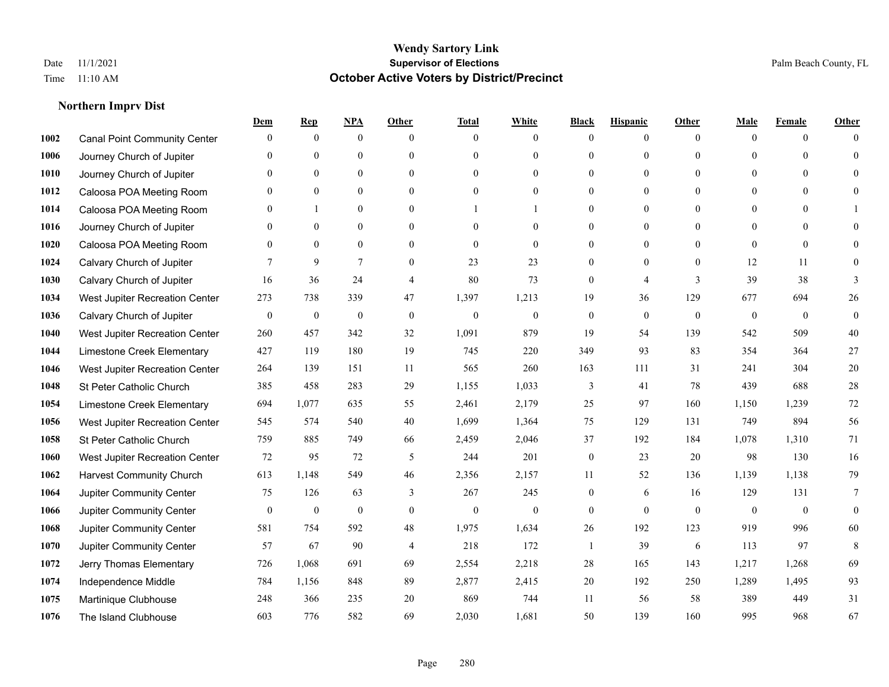|      |                                     | Dem              | <b>Rep</b>       | NPA              | <b>Other</b>   | <b>Total</b>     | <b>White</b>     | <b>Black</b>     | <b>Hispanic</b>  | <b>Other</b> | <b>Male</b>  | <b>Female</b>  | <b>Other</b> |
|------|-------------------------------------|------------------|------------------|------------------|----------------|------------------|------------------|------------------|------------------|--------------|--------------|----------------|--------------|
| 1002 | <b>Canal Point Community Center</b> | $\mathbf{0}$     | $\mathbf{0}$     | $\boldsymbol{0}$ | $\Omega$       | $\Omega$         | $\overline{0}$   | $\mathbf{0}$     | $\boldsymbol{0}$ | $\theta$     | $\theta$     | $\overline{0}$ | $\Omega$     |
| 1006 | Journey Church of Jupiter           | $\theta$         | $\theta$         | $\mathbf{0}$     | $\theta$       | $\Omega$         | $\overline{0}$   | $\overline{0}$   | $\mathbf{0}$     | $\theta$     | $\theta$     | $\theta$       | $\theta$     |
| 1010 | Journey Church of Jupiter           | 0                | $\theta$         | $\theta$         | $\Omega$       | $\Omega$         | $\Omega$         | $\Omega$         | $\theta$         | $\Omega$     | $\Omega$     | $\Omega$       | $\Omega$     |
| 1012 | Caloosa POA Meeting Room            | 0                | $\mathbf{0}$     | $\boldsymbol{0}$ | $\overline{0}$ | $\theta$         | $\boldsymbol{0}$ | $\overline{0}$   | $\boldsymbol{0}$ | $\mathbf{0}$ | $\mathbf{0}$ | $\mathbf{0}$   | $\theta$     |
| 1014 | Caloosa POA Meeting Room            | 0                |                  | $\mathbf{0}$     | $\theta$       |                  |                  | $\overline{0}$   | $\mathbf{0}$     | $\theta$     | $\mathbf{0}$ | $\Omega$       |              |
| 1016 | Journey Church of Jupiter           | 0                | $\mathbf{0}$     | $\mathbf{0}$     | $\theta$       | $\Omega$         | $\overline{0}$   | $\overline{0}$   | $\mathbf{0}$     | $\theta$     | $\mathbf{0}$ | $\Omega$       | $\Omega$     |
| 1020 | Caloosa POA Meeting Room            | 0                | $\theta$         | $\mathbf{0}$     | $\theta$       | $\theta$         | $\mathbf{0}$     | $\overline{0}$   | $\mathbf{0}$     | $\theta$     | $\theta$     | $\theta$       | $\Omega$     |
| 1024 | Calvary Church of Jupiter           |                  | 9                | $\overline{7}$   | $\Omega$       | 23               | 23               | $\overline{0}$   | $\mathbf{0}$     | $\theta$     | 12           | 11             | $\theta$     |
| 1030 | Calvary Church of Jupiter           | 16               | 36               | 24               | $\overline{4}$ | 80               | 73               | $\boldsymbol{0}$ | $\overline{4}$   | 3            | 39           | 38             | 3            |
| 1034 | West Jupiter Recreation Center      | 273              | 738              | 339              | 47             | 1,397            | 1,213            | 19               | 36               | 129          | 677          | 694            | 26           |
| 1036 | Calvary Church of Jupiter           | $\mathbf{0}$     | $\mathbf{0}$     | $\mathbf{0}$     | $\theta$       | $\theta$         | $\mathbf{0}$     | $\mathbf{0}$     | $\mathbf{0}$     | $\theta$     | $\theta$     | $\theta$       | $\mathbf{0}$ |
| 1040 | West Jupiter Recreation Center      | 260              | 457              | 342              | 32             | 1,091            | 879              | 19               | 54               | 139          | 542          | 509            | $40\,$       |
| 1044 | Limestone Creek Elementary          | 427              | 119              | 180              | 19             | 745              | 220              | 349              | 93               | 83           | 354          | 364            | $27\,$       |
| 1046 | West Jupiter Recreation Center      | 264              | 139              | 151              | 11             | 565              | 260              | 163              | 111              | 31           | 241          | 304            | $20\,$       |
| 1048 | St Peter Catholic Church            | 385              | 458              | 283              | 29             | 1,155            | 1,033            | 3                | 41               | 78           | 439          | 688            | 28           |
| 1054 | Limestone Creek Elementary          | 694              | 1,077            | 635              | 55             | 2,461            | 2,179            | 25               | 97               | 160          | 1,150        | 1,239          | 72           |
| 1056 | West Jupiter Recreation Center      | 545              | 574              | 540              | 40             | 1,699            | 1,364            | 75               | 129              | 131          | 749          | 894            | 56           |
| 1058 | St Peter Catholic Church            | 759              | 885              | 749              | 66             | 2,459            | 2,046            | 37               | 192              | 184          | 1,078        | 1,310          | 71           |
| 1060 | West Jupiter Recreation Center      | 72               | 95               | 72               | 5              | 244              | 201              | $\boldsymbol{0}$ | 23               | 20           | 98           | 130            | 16           |
| 1062 | <b>Harvest Community Church</b>     | 613              | 1.148            | 549              | 46             | 2,356            | 2,157            | 11               | 52               | 136          | 1,139        | 1,138          | 79           |
| 1064 | Jupiter Community Center            | 75               | 126              | 63               | 3              | 267              | 245              | $\boldsymbol{0}$ | 6                | 16           | 129          | 131            | 7            |
| 1066 | Jupiter Community Center            | $\boldsymbol{0}$ | $\boldsymbol{0}$ | $\boldsymbol{0}$ | $\mathbf{0}$   | $\boldsymbol{0}$ | $\boldsymbol{0}$ | $\boldsymbol{0}$ | $\mathbf{0}$     | $\mathbf{0}$ | $\mathbf{0}$ | $\mathbf{0}$   | $\mathbf{0}$ |
| 1068 | Jupiter Community Center            | 581              | 754              | 592              | 48             | 1,975            | 1,634            | 26               | 192              | 123          | 919          | 996            | 60           |
| 1070 | Jupiter Community Center            | 57               | 67               | 90               | $\overline{4}$ | 218              | 172              | 1                | 39               | 6            | 113          | 97             | 8            |
| 1072 | Jerry Thomas Elementary             | 726              | 1,068            | 691              | 69             | 2,554            | 2,218            | 28               | 165              | 143          | 1,217        | 1,268          | 69           |
| 1074 | Independence Middle                 | 784              | 1,156            | 848              | 89             | 2,877            | 2,415            | 20               | 192              | 250          | 1,289        | 1,495          | 93           |
| 1075 | Martinique Clubhouse                | 248              | 366              | 235              | 20             | 869              | 744              | 11               | 56               | 58           | 389          | 449            | 31           |
| 1076 | The Island Clubhouse                | 603              | 776              | 582              | 69             | 2,030            | 1,681            | 50               | 139              | 160          | 995          | 968            | 67           |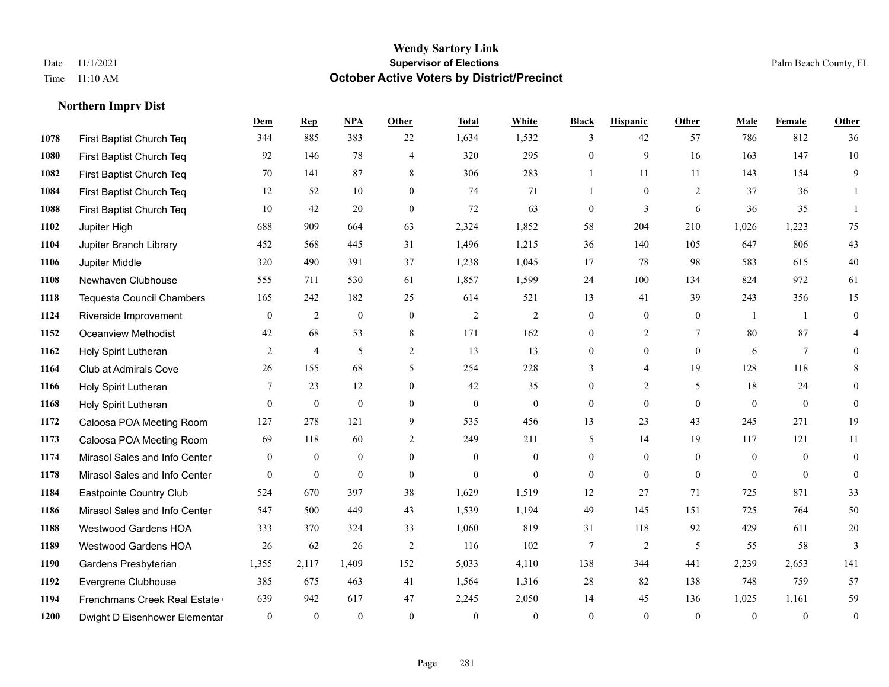|      |                                  | Dem              | <b>Rep</b>       | NPA              | <b>Other</b>   | <b>Total</b>   | White            | <b>Black</b>     | <b>Hispanic</b>  | <b>Other</b>   | <b>Male</b>      | Female         | Other            |
|------|----------------------------------|------------------|------------------|------------------|----------------|----------------|------------------|------------------|------------------|----------------|------------------|----------------|------------------|
| 1078 | First Baptist Church Teq         | 344              | 885              | 383              | 22             | 1,634          | 1,532            | 3                | 42               | 57             | 786              | 812            | 36               |
| 1080 | First Baptist Church Teq         | 92               | 146              | 78               | $\overline{4}$ | 320            | 295              | $\boldsymbol{0}$ | 9                | 16             | 163              | 147            | $10\,$           |
| 1082 | First Baptist Church Teq         | 70               | 141              | 87               | 8              | 306            | 283              | $\mathbf{1}$     | 11               | 11             | 143              | 154            | 9                |
| 1084 | First Baptist Church Teq         | 12               | 52               | 10               | $\overline{0}$ | 74             | 71               | $\mathbf{1}$     | $\mathbf{0}$     | 2              | 37               | 36             | 1                |
| 1088 | First Baptist Church Teq         | 10               | 42               | 20               | $\mathbf{0}$   | 72             | 63               | $\boldsymbol{0}$ | 3                | 6              | 36               | 35             | 1                |
| 1102 | Jupiter High                     | 688              | 909              | 664              | 63             | 2,324          | 1,852            | 58               | 204              | 210            | 1,026            | 1,223          | 75               |
| 1104 | Jupiter Branch Library           | 452              | 568              | 445              | 31             | 1,496          | 1,215            | 36               | 140              | 105            | 647              | 806            | 43               |
| 1106 | Jupiter Middle                   | 320              | 490              | 391              | 37             | 1,238          | 1,045            | 17               | 78               | 98             | 583              | 615            | 40               |
| 1108 | Newhaven Clubhouse               | 555              | 711              | 530              | 61             | 1,857          | 1,599            | 24               | 100              | 134            | 824              | 972            | 61               |
| 1118 | <b>Tequesta Council Chambers</b> | 165              | 242              | 182              | 25             | 614            | 521              | 13               | 41               | 39             | 243              | 356            | 15               |
| 1124 | Riverside Improvement            | $\mathbf{0}$     | 2                | $\mathbf{0}$     | $\mathbf{0}$   | $\overline{2}$ | $\mathfrak{2}$   | $\mathbf{0}$     | $\mathbf{0}$     | $\mathbf{0}$   | $\overline{1}$   | $\overline{1}$ | $\mathbf{0}$     |
| 1152 | <b>Oceanview Methodist</b>       | 42               | 68               | 53               | 8              | 171            | 162              | $\boldsymbol{0}$ | $\overline{2}$   | $\tau$         | 80               | 87             | 4                |
| 1162 | Holy Spirit Lutheran             | 2                | $\overline{4}$   | 5                | 2              | 13             | 13               | $\mathbf{0}$     | $\theta$         | $\theta$       | 6                | $\tau$         | $\mathbf{0}$     |
| 1164 | Club at Admirals Cove            | 26               | 155              | 68               | 5              | 254            | 228              | 3                | 4                | 19             | 128              | 118            | 8                |
| 1166 | Holy Spirit Lutheran             | 7                | 23               | 12               | $\mathbf{0}$   | 42             | 35               | $\mathbf{0}$     | 2                | 5              | 18               | 24             | $\mathbf{0}$     |
| 1168 | Holy Spirit Lutheran             | $\mathbf{0}$     | $\mathbf{0}$     | $\mathbf{0}$     | $\overline{0}$ | $\mathbf{0}$   | $\mathbf{0}$     | $\mathbf{0}$     | $\mathbf{0}$     | $\theta$       | $\mathbf{0}$     | $\mathbf{0}$   | $\mathbf{0}$     |
| 1172 | Caloosa POA Meeting Room         | 127              | 278              | 121              | 9              | 535            | 456              | 13               | 23               | 43             | 245              | 271            | 19               |
| 1173 | Caloosa POA Meeting Room         | 69               | 118              | 60               | 2              | 249            | 211              | 5                | 14               | 19             | 117              | 121            | 11               |
| 1174 | Mirasol Sales and Info Center    | $\boldsymbol{0}$ | $\boldsymbol{0}$ | $\boldsymbol{0}$ | $\mathbf{0}$   | $\mathbf{0}$   | $\boldsymbol{0}$ | $\boldsymbol{0}$ | $\boldsymbol{0}$ | $\overline{0}$ | $\boldsymbol{0}$ | $\mathbf{0}$   | $\boldsymbol{0}$ |
| 1178 | Mirasol Sales and Info Center    | $\theta$         | $\mathbf{0}$     | $\mathbf{0}$     | $\mathbf{0}$   | $\mathbf{0}$   | $\mathbf{0}$     | $\mathbf{0}$     | $\mathbf{0}$     | $\theta$       | $\theta$         | $\theta$       | $\mathbf{0}$     |
| 1184 | <b>Eastpointe Country Club</b>   | 524              | 670              | 397              | 38             | 1,629          | 1,519            | 12               | 27               | 71             | 725              | 871            | 33               |
| 1186 | Mirasol Sales and Info Center    | 547              | 500              | 449              | 43             | 1,539          | 1,194            | 49               | 145              | 151            | 725              | 764            | 50               |
| 1188 | <b>Westwood Gardens HOA</b>      | 333              | 370              | 324              | 33             | 1,060          | 819              | 31               | 118              | 92             | 429              | 611            | $20\,$           |
| 1189 | Westwood Gardens HOA             | 26               | 62               | 26               | 2              | 116            | 102              | $\tau$           | $\overline{2}$   | 5              | 55               | 58             | 3                |
| 1190 | Gardens Presbyterian             | 1,355            | 2,117            | 1,409            | 152            | 5,033          | 4,110            | 138              | 344              | 441            | 2,239            | 2,653          | 141              |
| 1192 | Evergrene Clubhouse              | 385              | 675              | 463              | 41             | 1,564          | 1,316            | $28\,$           | 82               | 138            | 748              | 759            | 57               |
| 1194 | Frenchmans Creek Real Estate     | 639              | 942              | 617              | 47             | 2,245          | 2,050            | 14               | 45               | 136            | 1,025            | 1,161          | 59               |
| 1200 | Dwight D Eisenhower Elementar    | $\boldsymbol{0}$ | $\mathbf{0}$     | $\mathbf{0}$     | $\Omega$       | $\theta$       | $\mathbf{0}$     | $\mathbf{0}$     | $\theta$         | $\mathbf{0}$   | $\theta$         | $\mathbf{0}$   | $\boldsymbol{0}$ |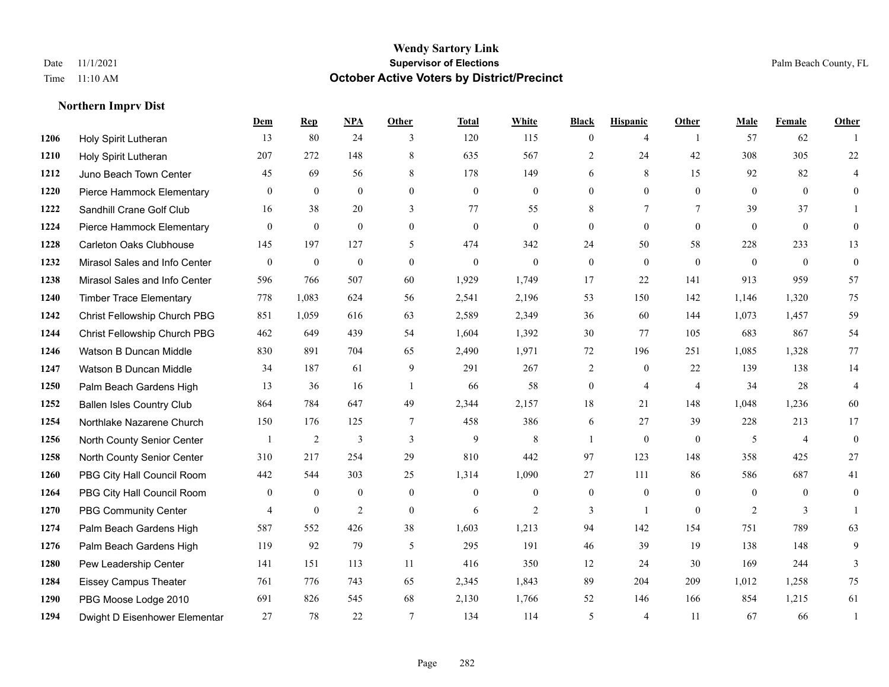|      |                                  | Dem            | <b>Rep</b>       | NPA            | <b>Other</b>   | <b>Total</b> | <b>White</b>   | <b>Black</b>     | <b>Hispanic</b> | <b>Other</b>   | <b>Male</b>    | Female         | <b>Other</b>   |
|------|----------------------------------|----------------|------------------|----------------|----------------|--------------|----------------|------------------|-----------------|----------------|----------------|----------------|----------------|
| 1206 | Holy Spirit Lutheran             | 13             | 80               | 24             | 3              | 120          | 115            | $\overline{0}$   | 4               | $\overline{1}$ | 57             | 62             |                |
| 1210 | Holy Spirit Lutheran             | 207            | 272              | 148            | 8              | 635          | 567            | $\overline{2}$   | 24              | 42             | 308            | 305            | 22             |
| 1212 | Juno Beach Town Center           | 45             | 69               | 56             | 8              | 178          | 149            | 6                | 8               | 15             | 92             | 82             | 4              |
| 1220 | Pierce Hammock Elementary        | $\theta$       | $\mathbf{0}$     | $\mathbf{0}$   | $\mathbf{0}$   | $\mathbf{0}$ | $\mathbf{0}$   | $\overline{0}$   | $\overline{0}$  | $\mathbf{0}$   | $\mathbf{0}$   | $\overline{0}$ | $\overline{0}$ |
| 1222 | Sandhill Crane Golf Club         | 16             | 38               | 20             | 3              | 77           | 55             | 8                | $\tau$          | $\tau$         | 39             | 37             |                |
| 1224 | Pierce Hammock Elementary        | $\overline{0}$ | $\boldsymbol{0}$ | $\mathbf{0}$   | $\mathbf{0}$   | $\mathbf{0}$ | $\overline{0}$ | $\overline{0}$   | $\overline{0}$  | $\mathbf{0}$   | $\theta$       | $\overline{0}$ | $\overline{0}$ |
| 1228 | Carleton Oaks Clubhouse          | 145            | 197              | 127            | 5              | 474          | 342            | 24               | 50              | 58             | 228            | 233            | 13             |
| 1232 | Mirasol Sales and Info Center    | $\theta$       | $\mathbf{0}$     | $\theta$       | $\Omega$       | $\theta$     | $\theta$       | $\overline{0}$   | $\theta$        | $\Omega$       | $\theta$       | $\Omega$       | $\mathbf{0}$   |
| 1238 | Mirasol Sales and Info Center    | 596            | 766              | 507            | 60             | 1,929        | 1,749          | 17               | 22              | 141            | 913            | 959            | 57             |
| 1240 | <b>Timber Trace Elementary</b>   | 778            | 1,083            | 624            | 56             | 2,541        | 2,196          | 53               | 150             | 142            | 1,146          | 1,320          | 75             |
| 1242 | Christ Fellowship Church PBG     | 851            | 1,059            | 616            | 63             | 2,589        | 2,349          | 36               | 60              | 144            | 1,073          | 1,457          | 59             |
| 1244 | Christ Fellowship Church PBG     | 462            | 649              | 439            | 54             | 1,604        | 1,392          | 30               | 77              | 105            | 683            | 867            | 54             |
| 1246 | Watson B Duncan Middle           | 830            | 891              | 704            | 65             | 2,490        | 1,971          | 72               | 196             | 251            | 1,085          | 1,328          | $77\,$         |
| 1247 | Watson B Duncan Middle           | 34             | 187              | 61             | 9              | 291          | 267            | $\overline{c}$   | $\overline{0}$  | 22             | 139            | 138            | 14             |
| 1250 | Palm Beach Gardens High          | 13             | 36               | 16             | $\overline{1}$ | 66           | 58             | $\boldsymbol{0}$ | $\overline{4}$  | $\overline{4}$ | 34             | 28             | 4              |
| 1252 | <b>Ballen Isles Country Club</b> | 864            | 784              | 647            | 49             | 2,344        | 2,157          | 18               | 21              | 148            | 1,048          | 1,236          | 60             |
| 1254 | Northlake Nazarene Church        | 150            | 176              | 125            | $\tau$         | 458          | 386            | 6                | 27              | 39             | 228            | 213            | $17\,$         |
| 1256 | North County Senior Center       |                | $\overline{2}$   | 3              | 3              | 9            | 8              | 1                | $\overline{0}$  | $\theta$       | 5              | $\overline{4}$ | $\overline{0}$ |
| 1258 | North County Senior Center       | 310            | 217              | 254            | 29             | 810          | 442            | 97               | 123             | 148            | 358            | 425            | 27             |
| 1260 | PBG City Hall Council Room       | 442            | 544              | 303            | 25             | 1,314        | 1,090          | 27               | 111             | 86             | 586            | 687            | 41             |
| 1264 | PBG City Hall Council Room       | $\Omega$       | $\mathbf{0}$     | $\mathbf{0}$   | $\theta$       | $\Omega$     | $\overline{0}$ | $\mathbf{0}$     | $\overline{0}$  | $\theta$       | $\theta$       | $\theta$       | $\overline{0}$ |
| 1270 | <b>PBG Community Center</b>      | 4              | $\mathbf{0}$     | $\overline{2}$ | $\mathbf{0}$   | 6            | 2              | 3                | $\mathbf{1}$    | $\mathbf{0}$   | $\overline{2}$ | 3              |                |
| 1274 | Palm Beach Gardens High          | 587            | 552              | 426            | 38             | 1,603        | 1,213          | 94               | 142             | 154            | 751            | 789            | 63             |
| 1276 | Palm Beach Gardens High          | 119            | 92               | 79             | 5              | 295          | 191            | 46               | 39              | 19             | 138            | 148            | 9              |
| 1280 | Pew Leadership Center            | 141            | 151              | 113            | 11             | 416          | 350            | 12               | 24              | 30             | 169            | 244            | 3              |
| 1284 | <b>Eissey Campus Theater</b>     | 761            | 776              | 743            | 65             | 2,345        | 1,843          | 89               | 204             | 209            | 1,012          | 1,258          | 75             |
| 1290 | PBG Moose Lodge 2010             | 691            | 826              | 545            | 68             | 2,130        | 1,766          | 52               | 146             | 166            | 854            | 1,215          | 61             |
| 1294 | Dwight D Eisenhower Elementar    | 27             | 78               | 22             | $\tau$         | 134          | 114            | 5                | $\overline{4}$  | 11             | 67             | 66             | 1              |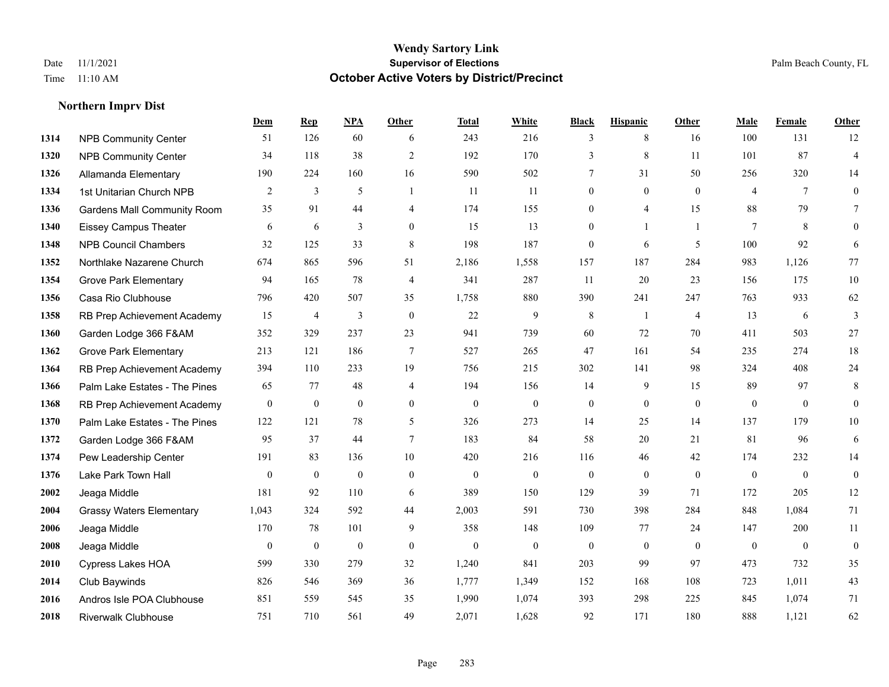**Northern Imprv Dist**

#### **Wendy Sartory Link** Date 11/1/2021 **Supervisor of Elections** Palm Beach County, FL Time 11:10 AM **October Active Voters by District/Precinct**

|      |                                    | Dem          | $\mathbf{Rep}$ | <b>NPA</b>       | Other          | <b>Total</b>     | White            | <b>Black</b>     | <b>Hispanic</b> | Other          | Male           | Female         | Other            |
|------|------------------------------------|--------------|----------------|------------------|----------------|------------------|------------------|------------------|-----------------|----------------|----------------|----------------|------------------|
| 1314 | <b>NPB Community Center</b>        | 51           | 126            | 60               | 6              | 243              | 216              | 3                | 8               | 16             | 100            | 131            | 12               |
| 1320 | <b>NPB Community Center</b>        | 34           | 118            | 38               | $\overline{2}$ | 192              | 170              | 3                | $\,$ 8 $\,$     | 11             | 101            | 87             | $\overline{4}$   |
| 1326 | Allamanda Elementary               | 190          | 224            | 160              | 16             | 590              | 502              | 7                | 31              | 50             | 256            | 320            | 14               |
| 1334 | 1st Unitarian Church NPB           | 2            | 3              | 5                | $\overline{1}$ | 11               | 11               | $\mathbf{0}$     | $\mathbf{0}$    | $\theta$       | $\overline{4}$ | 7              | $\overline{0}$   |
| 1336 | <b>Gardens Mall Community Room</b> | 35           | 91             | 44               | $\overline{4}$ | 174              | 155              | $\mathbf{0}$     | $\overline{4}$  | 15             | 88             | 79             | $\tau$           |
| 1340 | <b>Eissey Campus Theater</b>       | 6            | 6              | 3                | $\overline{0}$ | 15               | 13               | $\boldsymbol{0}$ | $\mathbf{1}$    | 1              | 7              | 8              | $\boldsymbol{0}$ |
| 1348 | <b>NPB Council Chambers</b>        | 32           | 125            | 33               | 8              | 198              | 187              | $\mathbf{0}$     | 6               | 5              | 100            | 92             | 6                |
| 1352 | Northlake Nazarene Church          | 674          | 865            | 596              | 51             | 2,186            | 1,558            | 157              | 187             | 284            | 983            | 1,126          | 77               |
| 1354 | <b>Grove Park Elementary</b>       | 94           | 165            | 78               | $\overline{4}$ | 341              | 287              | 11               | 20              | 23             | 156            | 175            | $10\,$           |
| 1356 | Casa Rio Clubhouse                 | 796          | 420            | 507              | 35             | 1,758            | 880              | 390              | 241             | 247            | 763            | 933            | 62               |
| 1358 | RB Prep Achievement Academy        | 15           | 4              | 3                | $\mathbf{0}$   | 22               | 9                | 8                | $\mathbf{1}$    | $\overline{4}$ | 13             | 6              | 3                |
| 1360 | Garden Lodge 366 F&AM              | 352          | 329            | 237              | 23             | 941              | 739              | 60               | 72              | 70             | 411            | 503            | 27               |
| 1362 | <b>Grove Park Elementary</b>       | 213          | 121            | 186              | $\tau$         | 527              | 265              | 47               | 161             | 54             | 235            | 274            | 18               |
| 1364 | RB Prep Achievement Academy        | 394          | 110            | 233              | 19             | 756              | 215              | 302              | 141             | 98             | 324            | 408            | 24               |
| 1366 | Palm Lake Estates - The Pines      | 65           | 77             | 48               | $\overline{4}$ | 194              | 156              | 14               | 9               | 15             | 89             | 97             | $\,$ 8 $\,$      |
| 1368 | RB Prep Achievement Academy        | $\mathbf{0}$ | $\mathbf{0}$   | $\boldsymbol{0}$ | $\overline{0}$ | $\boldsymbol{0}$ | $\mathbf{0}$     | $\boldsymbol{0}$ | $\mathbf{0}$    | $\overline{0}$ | $\overline{0}$ | $\overline{0}$ | $\mathbf{0}$     |
| 1370 | Palm Lake Estates - The Pines      | 122          | 121            | 78               | 5              | 326              | 273              | 14               | 25              | 14             | 137            | 179            | $10\,$           |
| 1372 | Garden Lodge 366 F&AM              | 95           | 37             | 44               | $\tau$         | 183              | 84               | 58               | 20              | 21             | 81             | 96             | 6                |
| 1374 | Pew Leadership Center              | 191          | 83             | 136              | 10             | 420              | 216              | 116              | 46              | 42             | 174            | 232            | 14               |
| 1376 | Lake Park Town Hall                | $\mathbf{0}$ | $\mathbf{0}$   | $\boldsymbol{0}$ | $\mathbf{0}$   | $\mathbf{0}$     | $\boldsymbol{0}$ | $\boldsymbol{0}$ | $\mathbf{0}$    | $\mathbf{0}$   | $\mathbf{0}$   | $\mathbf{0}$   | $\mathbf{0}$     |
| 2002 | Jeaga Middle                       | 181          | 92             | 110              | 6              | 389              | 150              | 129              | 39              | 71             | 172            | 205            | 12               |
| 2004 | <b>Grassy Waters Elementary</b>    | 1,043        | 324            | 592              | 44             | 2,003            | 591              | 730              | 398             | 284            | 848            | 1,084          | 71               |
| 2006 | Jeaga Middle                       | 170          | 78             | 101              | 9              | 358              | 148              | 109              | 77              | 24             | 147            | 200            | 11               |
| 2008 | Jeaga Middle                       | $\theta$     | $\mathbf{0}$   | $\mathbf{0}$     | $\mathbf{0}$   | $\mathbf{0}$     | $\overline{0}$   | $\mathbf{0}$     | $\mathbf{0}$    | $\Omega$       | $\theta$       | $\theta$       | $\boldsymbol{0}$ |
| 2010 | Cypress Lakes HOA                  | 599          | 330            | 279              | 32             | 1,240            | 841              | 203              | 99              | 97             | 473            | 732            | 35               |
| 2014 | Club Baywinds                      | 826          | 546            | 369              | 36             | 1,777            | 1,349            | 152              | 168             | 108            | 723            | 1,011          | 43               |
| 2016 | Andros Isle POA Clubhouse          | 851          | 559            | 545              | 35             | 1,990            | 1,074            | 393              | 298             | 225            | 845            | 1,074          | 71               |
| 2018 | <b>Riverwalk Clubhouse</b>         | 751          | 710            | 561              | 49             | 2.071            | 1.628            | 92               | 171             | 180            | 888            | 1.121          | 62               |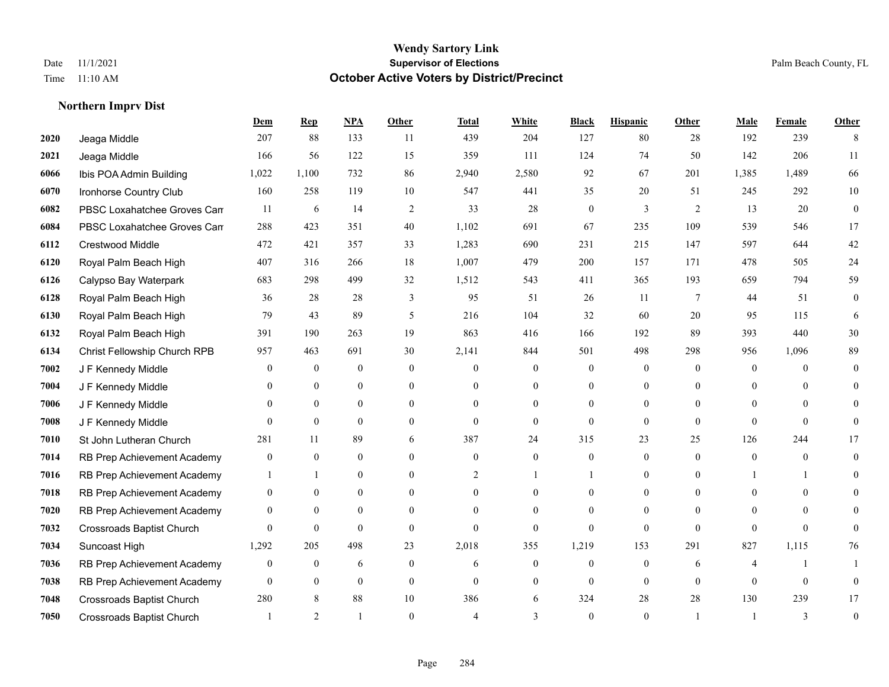**Northern Imprv Dist**

#### **Wendy Sartory Link** Date 11/1/2021 **Supervisor of Elections** Palm Beach County, FL Time 11:10 AM **October Active Voters by District/Precinct**

# **Dem Rep NPA Other Total White Black Hispanic Other Male Female Other** Jeaga Middle 207 88 133 11 439 204 127 80 28 192 239 8 Jeaga Middle 166 56 122 15 359 111 124 74 50 142 206 11 Ibis POA Admin Building 1,022 1,100 732 86 2,940 2,580 92 67 201 1,385 1,489 66 Ironhorse Country Club 160 258 119 10 547 441 35 20 51 245 292 10 **6082** PBSC Loxahatchee Groves Can 6  $14$  2  $33$  28 0  $3$  2  $13$  20 0 PBSC Loxahatchee Groves Campus 288 423 351 40 1,102 691 67 235 109 539 546 17 Crestwood Middle 472 421 357 33 1,283 690 231 215 147 597 644 42 Royal Palm Beach High 407 316 266 18 1,007 479 200 157 171 478 505 24 Calypso Bay Waterpark 683 298 499 32 1,512 543 411 365 193 659 794 59 Royal Palm Beach High 36 28 28 3 95 51 26 11 7 44 51 0 Royal Palm Beach High 79 43 89 5 216 104 32 60 20 95 115 6 Royal Palm Beach High 391 190 263 19 863 416 166 192 89 393 440 30 Christ Fellowship Church RPB 957 463 691 30 2,141 844 501 498 298 956 1,096 89 J F Kennedy Middle 0 0 0 0 0 0 0 0 0 0 0 0 J F Kennedy Middle 0 0 0 0 0 0 0 0 0 0 0 0 J F Kennedy Middle 0 0 0 0 0 0 0 0 0 0 0 0 J F Kennedy Middle 0 0 0 0 0 0 0 0 0 0 St John Lutheran Church 281 11 89 6 387 24 315 23 25 126 244 17 RB Prep Achievement Academy 0 0 0 0 0 0 0 0 0 0 0 0 RB Prep Achievement Academy 1 1 0 0 0 2 1 1 0 1 0 0 1 1 0 RB Prep Achievement Academy 0 0 0 0 0 0 0 0 0 0 0 0 RB Prep Achievement Academy 0 0 0 0 0 0 0 0 0 0 0 0 Crossroads Baptist Church 0 0 0 0 0 0 0 0 0 0 0 0 Suncoast High 1,292 205 498 23 2,018 355 1,219 153 291 827 1,115 76 RB Prep Achievement Academy 0 0 0 6 0 0 6 0 0 0 0 6 4 1 1 RB Prep Achievement Academy 0 0 0 0 0 0 0 0 0 0 0 0 Crossroads Baptist Church 280 8 88 10 386 6 324 28 28 130 239 17 Crossroads Baptist Church 1 2 1 0 4 3 0 1 1 3 0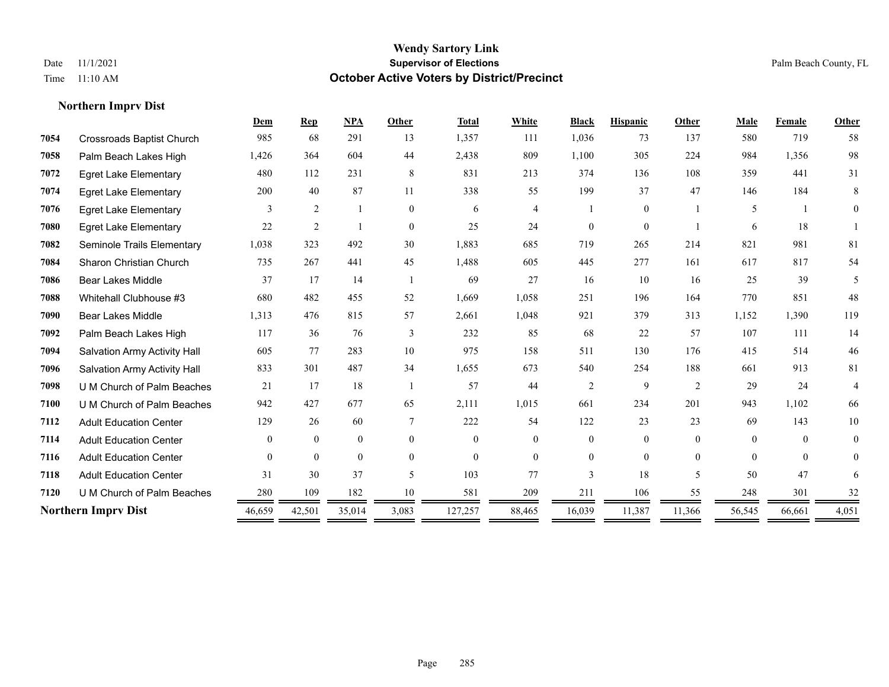|      |                                  | Dem            | Rep            | <b>NPA</b>     | Other        | <b>Total</b> | White          | <b>Black</b>   | <b>Hispanic</b> | Other                    | Male     | Female   | Other          |
|------|----------------------------------|----------------|----------------|----------------|--------------|--------------|----------------|----------------|-----------------|--------------------------|----------|----------|----------------|
| 7054 | <b>Crossroads Baptist Church</b> | 985            | 68             | 291            | 13           | 1,357        | 111            | 1,036          | 73              | 137                      | 580      | 719      | 58             |
| 7058 | Palm Beach Lakes High            | 1,426          | 364            | 604            | 44           | 2,438        | 809            | 1,100          | 305             | 224                      | 984      | 1,356    | 98             |
| 7072 | <b>Egret Lake Elementary</b>     | 480            | 112            | 231            | 8            | 831          | 213            | 374            | 136             | 108                      | 359      | 441      | 31             |
| 7074 | <b>Egret Lake Elementary</b>     | 200            | 40             | 87             | 11           | 338          | 55             | 199            | 37              | 47                       | 146      | 184      | 8              |
| 7076 | <b>Egret Lake Elementary</b>     | 3              | 2              |                | $\mathbf{0}$ | 6            | $\overline{4}$ |                | $\overline{0}$  |                          | 5        |          | $\Omega$       |
| 7080 | <b>Egret Lake Elementary</b>     | 22             | $\overline{2}$ |                | $\theta$     | 25           | 24             | $\Omega$       | $\theta$        |                          | 6        | 18       |                |
| 7082 | Seminole Trails Elementary       | 1,038          | 323            | 492            | 30           | 1,883        | 685            | 719            | 265             | 214                      | 821      | 981      | 81             |
| 7084 | Sharon Christian Church          | 735            | 267            | 441            | 45           | 1,488        | 605            | 445            | 277             | 161                      | 617      | 817      | 54             |
| 7086 | <b>Bear Lakes Middle</b>         | 37             | 17             | 14             |              | 69           | 27             | 16             | 10              | 16                       | 25       | 39       | 5              |
| 7088 | Whitehall Clubhouse #3           | 680            | 482            | 455            | 52           | 1,669        | 1,058          | 251            | 196             | 164                      | 770      | 851      | 48             |
| 7090 | <b>Bear Lakes Middle</b>         | 1,313          | 476            | 815            | 57           | 2,661        | 1,048          | 921            | 379             | 313                      | 1,152    | 1,390    | 119            |
| 7092 | Palm Beach Lakes High            | 117            | 36             | 76             | 3            | 232          | 85             | 68             | 22              | 57                       | 107      | 111      | 14             |
| 7094 | Salvation Army Activity Hall     | 605            | 77             | 283            | 10           | 975          | 158            | 511            | 130             | 176                      | 415      | 514      | 46             |
| 7096 | Salvation Army Activity Hall     | 833            | 301            | 487            | 34           | 1,655        | 673            | 540            | 254             | 188                      | 661      | 913      | 81             |
| 7098 | U M Church of Palm Beaches       | 21             | 17             | 18             |              | 57           | 44             | 2              | 9               | $\overline{2}$           | 29       | 24       | $\overline{4}$ |
| 7100 | U M Church of Palm Beaches       | 942            | 427            | 677            | 65           | 2,111        | 1,015          | 661            | 234             | 201                      | 943      | 1,102    | 66             |
| 7112 | <b>Adult Education Center</b>    | 129            | 26             | 60             | 7            | 222          | 54             | 122            | 23              | 23                       | 69       | 143      | $10\,$         |
| 7114 | <b>Adult Education Center</b>    | $\overline{0}$ | $\mathbf{0}$   | $\overline{0}$ | $\theta$     | $\theta$     | $\overline{0}$ | $\overline{0}$ | $\overline{0}$  | $\Omega$                 | $\theta$ | $\Omega$ | $\overline{0}$ |
| 7116 | <b>Adult Education Center</b>    | $\theta$       | $\theta$       | $\theta$       | $\theta$     | $\theta$     | $\theta$       | $\theta$       | $\Omega$        | $\theta$                 | $\theta$ | $\theta$ | $\Omega$       |
| 7118 | <b>Adult Education Center</b>    | 31             | 30             | 37             | 5            | 103          | 77             | 3              | 18              | $\overline{\phantom{0}}$ | 50       | 47       | 6              |
| 7120 | U M Church of Palm Beaches       | 280            | 109            | 182            | 10           | 581          | 209            | 211            | 106             | 55                       | 248      | 301      | 32             |
|      | <b>Northern Imprv Dist</b>       | 46,659         | 42,501         | 35,014         | 3,083        | 127,257      | 88,465         | 16,039         | 11,387          | 11,366                   | 56,545   | 66,661   | 4,051          |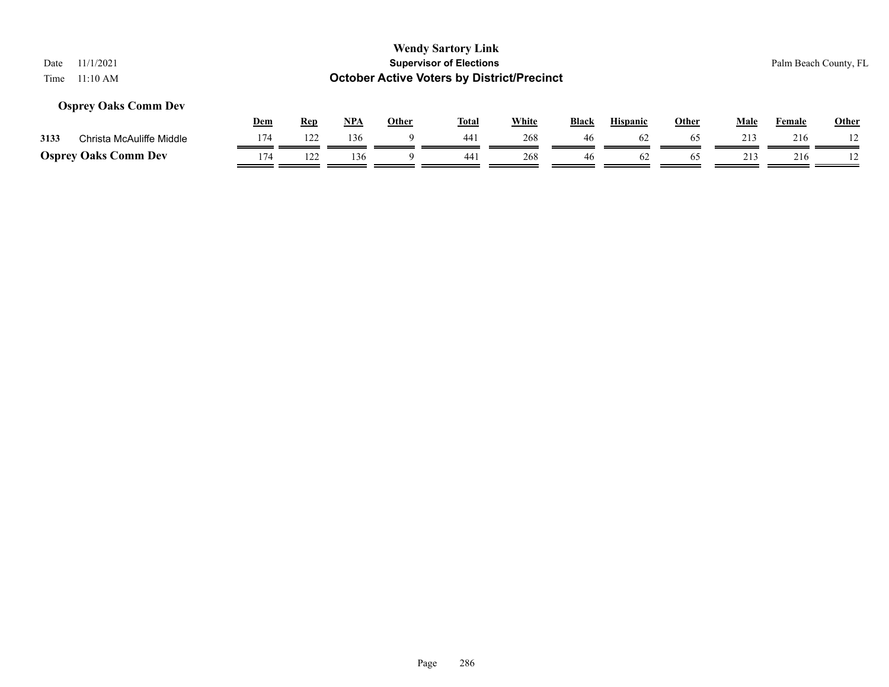# **Osprey Oaks Comm Dev**

|      |                             | Dem | Rep | <b>NPA</b> | Other | <b>Total</b> | <u>White</u> | <b>Black</b> | <b>Hispanic</b> | Other | Male | Female | <b>Other</b> |
|------|-----------------------------|-----|-----|------------|-------|--------------|--------------|--------------|-----------------|-------|------|--------|--------------|
| 3133 | Christa McAuliffe Middle    |     | 122 | 136        |       | $44^{\circ}$ | 268          |              | 02              | 65    | 213  | 216    |              |
|      | <b>Osprey Oaks Comm Dev</b> | 174 |     | .36        |       | 441          | 268          | 46           |                 |       | 213  | 216    |              |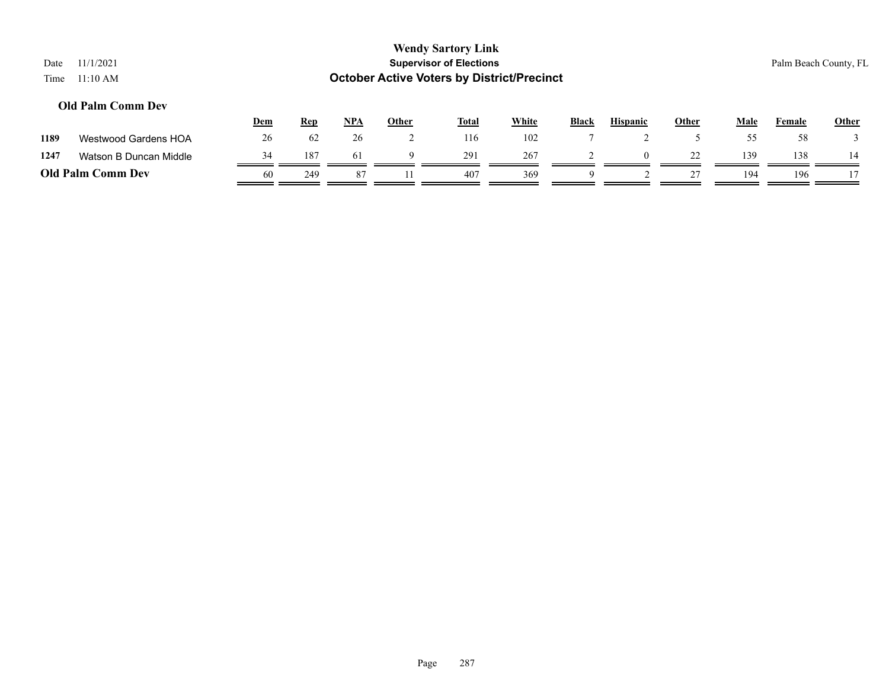# **Wendy Sartory Link** Date 11/1/2021 **Supervisor of Elections** Palm Beach County, FL Time 11:10 AM **October Active Voters by District/Precinct Dem Rep NPA Other Total White Black Hispanic Other Male Female Other Old Palm Comm Dev 1189** Westwood Gardens HOA 26 62 26 2 116 102 7 2 5 55 58 3

|      |                          | $\sim$ $\sim$ $\sim$ | <b>TTC</b> | 11111 | $\ddotsc$ | 10.11 | ,, ,,,, | <br><b>THE PRINC</b> | $rac{1}{2}$ |     | $\sim$ $\sim$ $\sim$ | $rac{1}{2}$ |
|------|--------------------------|----------------------|------------|-------|-----------|-------|---------|----------------------|-------------|-----|----------------------|-------------|
| 1189 | Westwood Gardens HOA     | 26                   | 62         | 26    |           | 116   | 102     |                      |             |     | 58                   |             |
| 1247 | Watson B Duncan Middle   |                      | 187        | 0 L   |           | 291   | 267     |                      | 22          | 139 | 138                  | 14          |
|      | <b>Old Palm Comm Dev</b> | 60                   | 249        | 87    |           | 407   | 369     |                      |             | 194 | 196                  | 17          |
|      |                          |                      |            |       |           |       |         |                      |             |     |                      |             |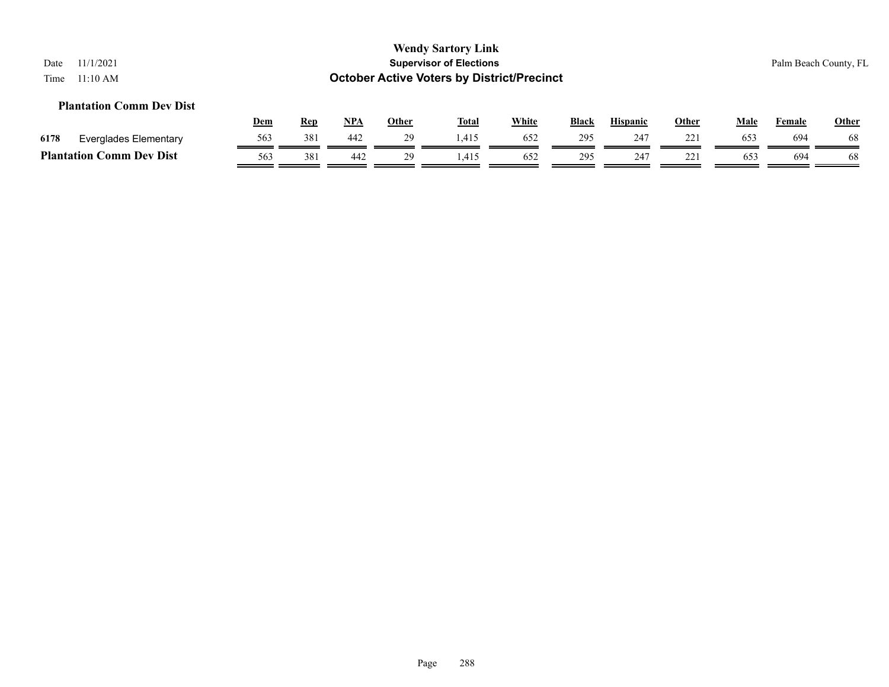#### **Plantation Comm Dev Dist**

|      |                                    | Dem | Ren | <b>NPA</b> | Other | <b>Total</b> | White | <b>Black</b> | <b>Hispanic</b> | Other    | Male | Female | Other |
|------|------------------------------------|-----|-----|------------|-------|--------------|-------|--------------|-----------------|----------|------|--------|-------|
| 6178 | Everglades Elementary              | 563 | 381 | 442        |       | .415         | 652   | 295          | 247             | າາ<br>-- | 653  | 694    |       |
|      | <b>Comm Dev Dist</b><br>Plantation | 563 | 381 | 442        | າດ    | 1.41:        | 652   | 295          | 247             | າາ<br>-- | 653  | 694    |       |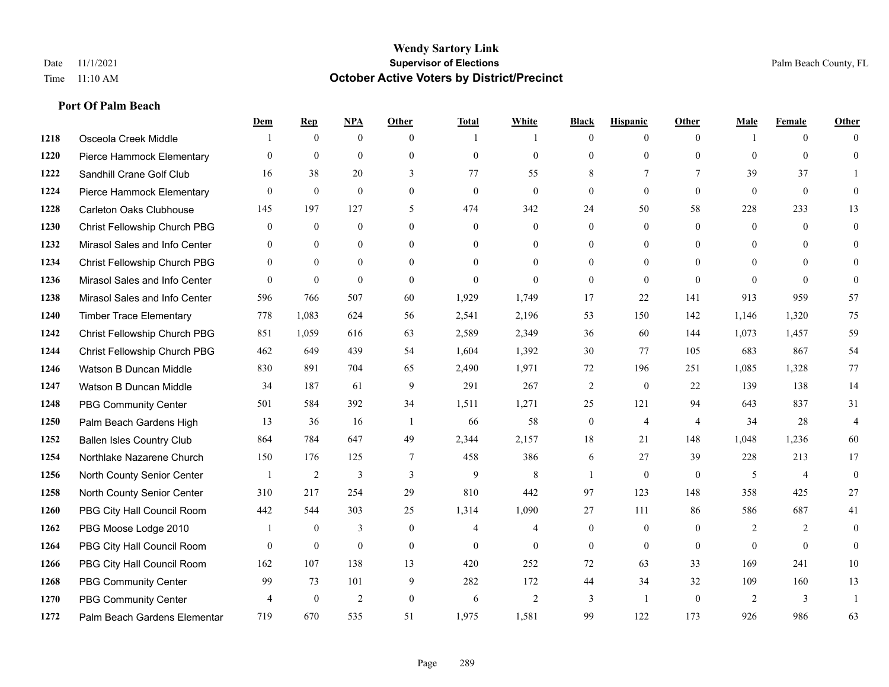|      |                                  | Dem            | <b>Rep</b>       | $NPA$          | <b>Other</b>     | <b>Total</b>     | <b>White</b>   | <b>Black</b>     | <b>Hispanic</b> | Other          | <b>Male</b>    | <b>Female</b>  | <b>Other</b>   |
|------|----------------------------------|----------------|------------------|----------------|------------------|------------------|----------------|------------------|-----------------|----------------|----------------|----------------|----------------|
| 1218 | Osceola Creek Middle             |                | $\mathbf{0}$     | $\mathbf{0}$   | $\theta$         | $\overline{1}$   |                | $\theta$         | $\overline{0}$  | $\theta$       |                | $\theta$       | $\Omega$       |
| 1220 | Pierce Hammock Elementary        | $\theta$       | $\mathbf{0}$     | $\mathbf{0}$   | $\theta$         | $\mathbf{0}$     | $\overline{0}$ | $\theta$         | $\overline{0}$  | $\theta$       | $\theta$       | $\Omega$       | $\theta$       |
| 1222 | Sandhill Crane Golf Club         | 16             | 38               | 20             | 3                | 77               | 55             | 8                | 7               | $\tau$         | 39             | 37             |                |
| 1224 | Pierce Hammock Elementary        | $\mathbf{0}$   | $\mathbf{0}$     | $\mathbf{0}$   | $\boldsymbol{0}$ | $\boldsymbol{0}$ | $\overline{0}$ | $\boldsymbol{0}$ | $\overline{0}$  | $\mathbf{0}$   | $\mathbf{0}$   | $\mathbf{0}$   | $\theta$       |
| 1228 | <b>Carleton Oaks Clubhouse</b>   | 145            | 197              | 127            | 5                | 474              | 342            | 24               | 50              | 58             | 228            | 233            | 13             |
| 1230 | Christ Fellowship Church PBG     | $\overline{0}$ | $\mathbf{0}$     | $\mathbf{0}$   | $\mathbf{0}$     | $\overline{0}$   | $\overline{0}$ | $\overline{0}$   | $\mathbf{0}$    | $\theta$       | $\overline{0}$ | $\theta$       | $\theta$       |
| 1232 | Mirasol Sales and Info Center    | $\theta$       | $\theta$         | $\theta$       | $\theta$         | $\Omega$         | $\overline{0}$ | $\theta$         | $\mathbf{0}$    | $\Omega$       | $\theta$       | $\theta$       | $\Omega$       |
| 1234 | Christ Fellowship Church PBG     | $\theta$       | $\theta$         | $\theta$       | $\Omega$         | $\Omega$         | $\theta$       | $\overline{0}$   | $\mathbf{0}$    | $\Omega$       | $\Omega$       | $\Omega$       | $\Omega$       |
| 1236 | Mirasol Sales and Info Center    | $\theta$       | $\boldsymbol{0}$ | $\mathbf{0}$   | $\mathbf{0}$     | $\mathbf{0}$     | $\overline{0}$ | $\overline{0}$   | $\overline{0}$  | $\theta$       | $\Omega$       | $\theta$       | $\Omega$       |
| 1238 | Mirasol Sales and Info Center    | 596            | 766              | 507            | 60               | 1,929            | 1,749          | 17               | 22              | 141            | 913            | 959            | 57             |
| 1240 | <b>Timber Trace Elementary</b>   | 778            | 1,083            | 624            | 56               | 2,541            | 2,196          | 53               | 150             | 142            | 1,146          | 1,320          | 75             |
| 1242 | Christ Fellowship Church PBG     | 851            | 1,059            | 616            | 63               | 2,589            | 2,349          | 36               | 60              | 144            | 1,073          | 1,457          | 59             |
| 1244 | Christ Fellowship Church PBG     | 462            | 649              | 439            | 54               | 1,604            | 1,392          | 30               | 77              | 105            | 683            | 867            | 54             |
| 1246 | Watson B Duncan Middle           | 830            | 891              | 704            | 65               | 2,490            | 1,971          | 72               | 196             | 251            | 1,085          | 1,328          | 77             |
| 1247 | Watson B Duncan Middle           | 34             | 187              | 61             | 9                | 291              | 267            | 2                | $\mathbf{0}$    | 22             | 139            | 138            | 14             |
| 1248 | <b>PBG Community Center</b>      | 501            | 584              | 392            | 34               | 1,511            | 1,271          | 25               | 121             | 94             | 643            | 837            | 31             |
| 1250 | Palm Beach Gardens High          | 13             | 36               | 16             | -1               | 66               | 58             | $\mathbf{0}$     | $\overline{4}$  | $\overline{4}$ | 34             | 28             | $\overline{4}$ |
| 1252 | <b>Ballen Isles Country Club</b> | 864            | 784              | 647            | 49               | 2,344            | 2,157          | 18               | 21              | 148            | 1,048          | 1,236          | 60             |
| 1254 | Northlake Nazarene Church        | 150            | 176              | 125            | $\tau$           | 458              | 386            | 6                | 27              | 39             | 228            | 213            | 17             |
| 1256 | North County Senior Center       |                | $\overline{2}$   | 3              | 3                | 9                | 8              | 1                | $\theta$        | $\theta$       | 5              | $\overline{4}$ | $\theta$       |
| 1258 | North County Senior Center       | 310            | 217              | 254            | 29               | 810              | 442            | 97               | 123             | 148            | 358            | 425            | 27             |
| 1260 | PBG City Hall Council Room       | 442            | 544              | 303            | 25               | 1,314            | 1,090          | 27               | 111             | 86             | 586            | 687            | 41             |
| 1262 | PBG Moose Lodge 2010             |                | $\mathbf{0}$     | 3              | $\mathbf{0}$     | 4                | $\overline{4}$ | $\overline{0}$   | $\mathbf{0}$    | $\theta$       | 2              | 2              | $\mathbf{0}$   |
| 1264 | PBG City Hall Council Room       | $\Omega$       | $\mathbf{0}$     | $\theta$       | $\theta$         | $\theta$         | $\theta$       | $\theta$         | $\theta$        | $\theta$       | $\theta$       | $\theta$       | $\Omega$       |
| 1266 | PBG City Hall Council Room       | 162            | 107              | 138            | 13               | 420              | 252            | 72               | 63              | 33             | 169            | 241            | 10             |
| 1268 | <b>PBG Community Center</b>      | 99             | 73               | 101            | 9                | 282              | 172            | 44               | 34              | 32             | 109            | 160            | 13             |
| 1270 | <b>PBG Community Center</b>      | $\overline{4}$ | $\mathbf{0}$     | $\overline{2}$ | $\mathbf{0}$     | 6                | 2              | 3                |                 | $\theta$       | 2              | 3              |                |
| 1272 | Palm Beach Gardens Elementar     | 719            | 670              | 535            | 51               | 1,975            | 1,581          | 99               | 122             | 173            | 926            | 986            | 63             |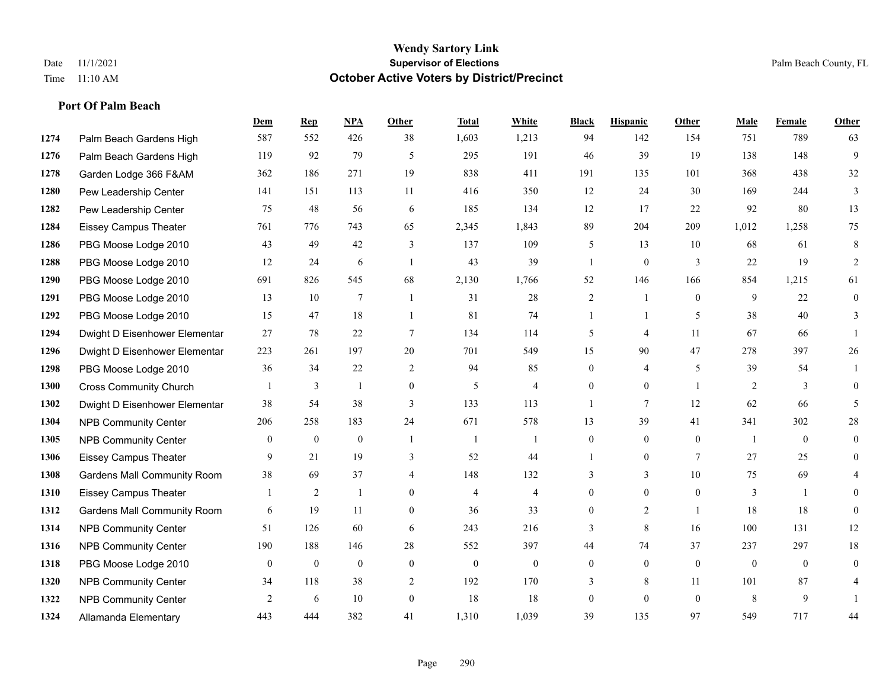|      |                                    | Dem          | <b>Rep</b>       | NPA              | <b>Other</b>     | <b>Total</b>     | <b>White</b>   | <b>Black</b>   | <b>Hispanic</b>  | Other          | <b>Male</b>    | <b>Female</b>  | <b>Other</b>   |
|------|------------------------------------|--------------|------------------|------------------|------------------|------------------|----------------|----------------|------------------|----------------|----------------|----------------|----------------|
| 1274 | Palm Beach Gardens High            | 587          | 552              | 426              | 38               | 1,603            | 1,213          | 94             | 142              | 154            | 751            | 789            | 63             |
| 1276 | Palm Beach Gardens High            | 119          | 92               | 79               | 5                | 295              | 191            | 46             | 39               | 19             | 138            | 148            | 9              |
| 1278 | Garden Lodge 366 F&AM              | 362          | 186              | 271              | 19               | 838              | 411            | 191            | 135              | 101            | 368            | 438            | 32             |
| 1280 | Pew Leadership Center              | 141          | 151              | 113              | 11               | 416              | 350            | 12             | 24               | 30             | 169            | 244            | $\mathfrak{Z}$ |
| 1282 | Pew Leadership Center              | 75           | 48               | 56               | 6                | 185              | 134            | 12             | 17               | 22             | 92             | 80             | 13             |
| 1284 | <b>Eissey Campus Theater</b>       | 761          | 776              | 743              | 65               | 2,345            | 1,843          | 89             | 204              | 209            | 1,012          | 1,258          | 75             |
| 1286 | PBG Moose Lodge 2010               | 43           | 49               | 42               | 3                | 137              | 109            | 5              | 13               | 10             | 68             | 61             | $\,8\,$        |
| 1288 | PBG Moose Lodge 2010               | 12           | 24               | 6                | $\overline{1}$   | 43               | 39             | $\mathbf{1}$   | $\boldsymbol{0}$ | 3              | 22             | 19             | 2              |
| 1290 | PBG Moose Lodge 2010               | 691          | 826              | 545              | 68               | 2,130            | 1,766          | 52             | 146              | 166            | 854            | 1,215          | 61             |
| 1291 | PBG Moose Lodge 2010               | 13           | 10               | 7                | $\mathbf{1}$     | 31               | 28             | 2              | $\mathbf{1}$     | $\theta$       | 9              | 22             | $\mathbf{0}$   |
| 1292 | PBG Moose Lodge 2010               | 15           | 47               | 18               | $\overline{1}$   | 81               | 74             | 1              | $\mathbf{1}$     | 5              | 38             | 40             | 3              |
| 1294 | Dwight D Eisenhower Elementar      | 27           | 78               | 22               | $7\phantom{.0}$  | 134              | 114            | 5              | 4                | 11             | 67             | 66             |                |
| 1296 | Dwight D Eisenhower Elementar      | 223          | 261              | 197              | 20               | 701              | 549            | 15             | 90               | 47             | 278            | 397            | 26             |
| 1298 | PBG Moose Lodge 2010               | 36           | 34               | 22               | 2                | 94               | 85             | 0              | 4                | 5              | 39             | 54             | $\mathbf{1}$   |
| 1300 | <b>Cross Community Church</b>      |              | 3                | $\mathbf{1}$     | $\mathbf{0}$     | 5                | $\overline{4}$ | $\overline{0}$ | $\overline{0}$   | $\overline{1}$ | 2              | 3              | $\theta$       |
| 1302 | Dwight D Eisenhower Elementar      | 38           | 54               | 38               | 3                | 133              | 113            | $\mathbf{1}$   | $\overline{7}$   | 12             | 62             | 66             | 5              |
| 1304 | <b>NPB Community Center</b>        | 206          | 258              | 183              | 24               | 671              | 578            | 13             | 39               | 41             | 341            | 302            | $28\,$         |
| 1305 | <b>NPB Community Center</b>        | $\theta$     | $\mathbf{0}$     | $\mathbf{0}$     | $\overline{1}$   | -1               | $\mathbf{1}$   | $\overline{0}$ | $\overline{0}$   | $\theta$       | $\overline{1}$ | $\theta$       | $\mathbf{0}$   |
| 1306 | <b>Eissey Campus Theater</b>       | 9            | 21               | 19               | 3                | 52               | 44             | $\mathbf{1}$   | $\overline{0}$   | $\tau$         | 27             | 25             | $\theta$       |
| 1308 | Gardens Mall Community Room        | 38           | 69               | 37               | $\overline{4}$   | 148              | 132            | 3              | $\overline{3}$   | 10             | 75             | 69             |                |
| 1310 | <b>Eissey Campus Theater</b>       |              | $\overline{c}$   | 1                | $\theta$         | $\overline{4}$   | $\overline{4}$ | $\overline{0}$ | $\overline{0}$   | $\theta$       | 3              | $\overline{1}$ | $\Omega$       |
| 1312 | <b>Gardens Mall Community Room</b> | 6            | 19               | 11               | $\boldsymbol{0}$ | 36               | 33             | $\overline{0}$ | $\overline{c}$   | $\mathbf{1}$   | 18             | 18             | $\theta$       |
| 1314 | <b>NPB Community Center</b>        | 51           | 126              | 60               | 6                | 243              | 216            | 3              | 8                | 16             | 100            | 131            | 12             |
| 1316 | <b>NPB Community Center</b>        | 190          | 188              | 146              | 28               | 552              | 397            | 44             | 74               | 37             | 237            | 297            | 18             |
| 1318 | PBG Moose Lodge 2010               | $\mathbf{0}$ | $\boldsymbol{0}$ | $\boldsymbol{0}$ | $\boldsymbol{0}$ | $\boldsymbol{0}$ | $\mathbf{0}$   | 0              | $\mathbf{0}$     | $\mathbf{0}$   | $\bf{0}$       | $\mathbf{0}$   | $\overline{0}$ |
| 1320 | <b>NPB Community Center</b>        | 34           | 118              | 38               | 2                | 192              | 170            | 3              | 8                | 11             | 101            | 87             | 4              |
| 1322 | <b>NPB Community Center</b>        | 2            | 6                | 10               | $\theta$         | 18               | 18             | $\overline{0}$ | $\overline{0}$   | $\mathbf{0}$   | 8              | 9              |                |
| 1324 | Allamanda Elementary               | 443          | 444              | 382              | 41               | 1,310            | 1,039          | 39             | 135              | 97             | 549            | 717            | 44             |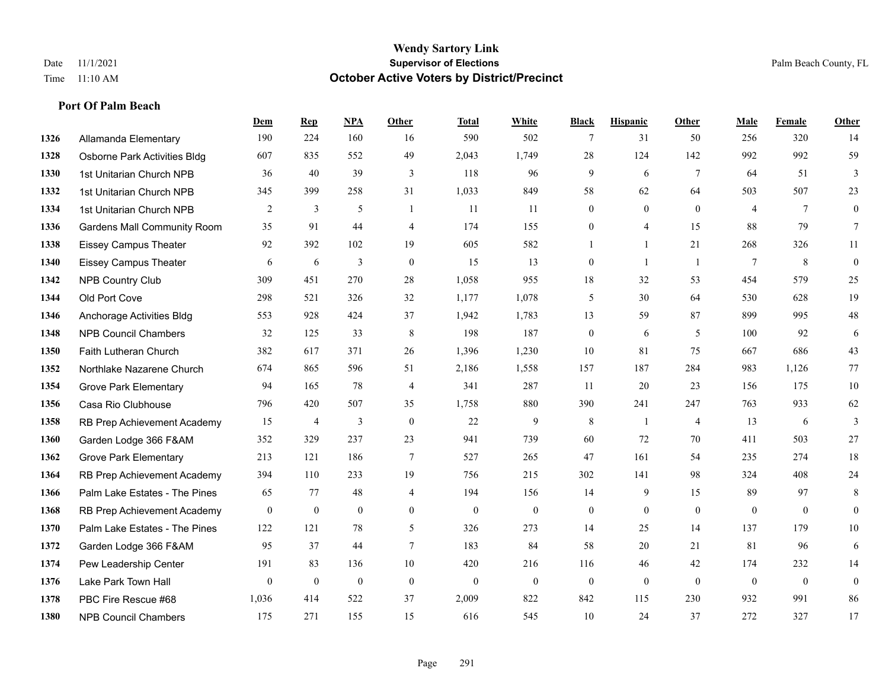**Port Of Palm Beach**

#### **Wendy Sartory Link** Date 11/1/2021 **Supervisor of Elections** Palm Beach County, FL Time 11:10 AM **October Active Voters by District/Precinct**

# **Dem Rep NPA Other Total White Black Hispanic Other Male Female Other** Allamanda Elementary 190 224 160 16 590 502 7 31 50 256 320 14 Osborne Park Activities Bldg 607 835 552 49 2,043 1,749 28 124 142 992 992 59 1st Unitarian Church NPB 36 40 39 3 118 96 9 6 7 64 51 3 1st Unitarian Church NPB 345 399 258 31 1,033 849 58 62 64 503 507 23 1st Unitarian Church NPB 2 3 5 1 11 11 0 0 0 4 7 0 Gardens Mall Community Room 35 91 44 4 174 155 0 4 15 88 79 7 Eissey Campus Theater 92 392 102 19 605 582 1 1 21 268 326 11 Eissey Campus Theater 6 6 6 3 0 15 13 0 1 1 7 8 0 NPB Country Club 309 451 270 28 1,058 955 18 32 53 454 579 25 Old Port Cove 298 521 326 32 1,177 1,078 5 30 64 530 628 19 Anchorage Activities Bldg 553 928 424 37 1,942 1,783 13 59 87 899 995 48 NPB Council Chambers 32 125 33 8 198 187 0 6 5 100 92 6 Faith Lutheran Church 382 617 371 26 1,396 1,230 10 81 75 667 686 43 Northlake Nazarene Church 674 865 596 51 2,186 1,558 157 187 284 983 1,126 77 Grove Park Elementary 94 165 78 4 341 287 11 20 23 156 175 10 Casa Rio Clubhouse 796 420 507 35 1,758 880 390 241 247 763 933 62 RB Prep Achievement Academy 15 4 3 0 22 9 8 1 4 13 6 3 Garden Lodge 366 F&AM 352 329 237 23 941 739 60 72 70 411 503 27 Grove Park Elementary 213 121 186 7 527 265 47 161 54 235 274 18 RB Prep Achievement Academy 394 110 233 19 756 215 302 141 98 324 408 24 Palm Lake Estates - The Pines 65 77 48 4 194 156 14 9 15 89 97 8 RB Prep Achievement Academy 0 0 0 0 0 0 0 0 0 0 0 0 Palm Lake Estates - The Pines 122 121 78 5 326 273 14 25 14 137 179 10 Garden Lodge 366 F&AM 95 37 44 7 183 84 58 20 21 81 96 6 Pew Leadership Center 191 83 136 10 420 216 116 46 42 174 232 14 Lake Park Town Hall 0 0 0 0 0 0 0 0 0 0 0 0 PBC Fire Rescue #68 1,036 414 522 37 2,009 822 842 115 230 932 991 86 NPB Council Chambers 175 271 155 15 616 545 10 24 37 272 327 17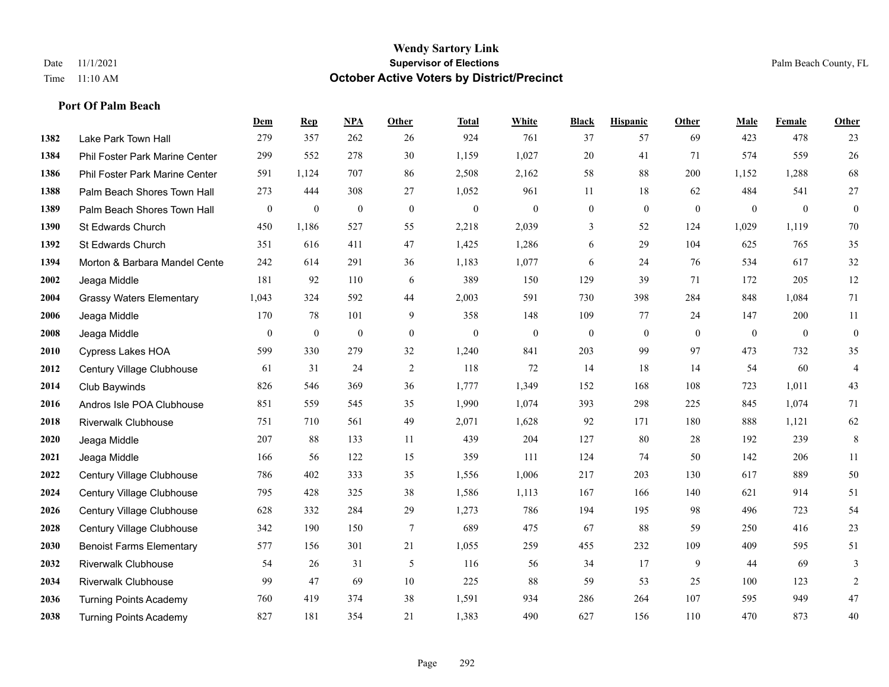**Port Of Palm Beach**

## **Wendy Sartory Link** Date 11/1/2021 **Supervisor of Elections** Palm Beach County, FL Time 11:10 AM **October Active Voters by District/Precinct**

|      |                                       | Dem              | <b>Rep</b>       | NPA              | Other            | <b>Total</b>     | White            | <b>Black</b>     | <b>Hispanic</b> | Other          | Male         | Female       | Other            |
|------|---------------------------------------|------------------|------------------|------------------|------------------|------------------|------------------|------------------|-----------------|----------------|--------------|--------------|------------------|
| 1382 | Lake Park Town Hall                   | 279              | 357              | 262              | 26               | 924              | 761              | 37               | 57              | 69             | 423          | 478          | 23               |
| 1384 | <b>Phil Foster Park Marine Center</b> | 299              | 552              | 278              | 30               | 1,159            | 1,027            | 20               | 41              | 71             | 574          | 559          | 26               |
| 1386 | Phil Foster Park Marine Center        | 591              | 1,124            | 707              | 86               | 2,508            | 2,162            | 58               | 88              | 200            | 1,152        | 1,288        | 68               |
| 1388 | Palm Beach Shores Town Hall           | 273              | 444              | 308              | 27               | 1,052            | 961              | 11               | 18              | 62             | 484          | 541          | $27\,$           |
| 1389 | Palm Beach Shores Town Hall           | $\boldsymbol{0}$ | $\boldsymbol{0}$ | $\boldsymbol{0}$ | $\boldsymbol{0}$ | $\boldsymbol{0}$ | $\boldsymbol{0}$ | $\boldsymbol{0}$ | $\mathbf{0}$    | $\overline{0}$ | $\mathbf{0}$ | $\mathbf{0}$ | $\boldsymbol{0}$ |
| 1390 | St Edwards Church                     | 450              | 1,186            | 527              | 55               | 2,218            | 2,039            | 3                | 52              | 124            | 1,029        | 1,119        | 70               |
| 1392 | St Edwards Church                     | 351              | 616              | 411              | 47               | 1,425            | 1,286            | 6                | 29              | 104            | 625          | 765          | 35               |
| 1394 | Morton & Barbara Mandel Cente         | 242              | 614              | 291              | 36               | 1,183            | 1,077            | 6                | 24              | 76             | 534          | 617          | 32               |
| 2002 | Jeaga Middle                          | 181              | 92               | 110              | 6                | 389              | 150              | 129              | 39              | 71             | 172          | 205          | 12               |
| 2004 | <b>Grassy Waters Elementary</b>       | 1,043            | 324              | 592              | 44               | 2,003            | 591              | 730              | 398             | 284            | 848          | 1,084        | 71               |
| 2006 | Jeaga Middle                          | 170              | 78               | 101              | 9                | 358              | 148              | 109              | 77              | 24             | 147          | 200          | 11               |
| 2008 | Jeaga Middle                          | $\boldsymbol{0}$ | $\boldsymbol{0}$ | $\overline{0}$   | $\boldsymbol{0}$ | $\mathbf{0}$     | $\mathbf{0}$     | $\boldsymbol{0}$ | $\mathbf{0}$    | $\overline{0}$ | $\mathbf{0}$ | $\mathbf{0}$ | $\boldsymbol{0}$ |
| 2010 | <b>Cypress Lakes HOA</b>              | 599              | 330              | 279              | 32               | 1,240            | 841              | 203              | 99              | 97             | 473          | 732          | 35               |
| 2012 | Century Village Clubhouse             | 61               | 31               | 24               | $\overline{2}$   | 118              | 72               | 14               | 18              | 14             | 54           | 60           | $\overline{4}$   |
| 2014 | Club Baywinds                         | 826              | 546              | 369              | 36               | 1,777            | 1,349            | 152              | 168             | 108            | 723          | 1,011        | $43\,$           |
| 2016 | Andros Isle POA Clubhouse             | 851              | 559              | 545              | 35               | 1,990            | 1,074            | 393              | 298             | 225            | 845          | 1,074        | 71               |
| 2018 | <b>Riverwalk Clubhouse</b>            | 751              | 710              | 561              | 49               | 2,071            | 1,628            | 92               | 171             | 180            | 888          | 1,121        | 62               |
| 2020 | Jeaga Middle                          | 207              | 88               | 133              | 11               | 439              | 204              | 127              | 80              | 28             | 192          | 239          | $\,$ 8 $\,$      |
| 2021 | Jeaga Middle                          | 166              | 56               | 122              | 15               | 359              | 111              | 124              | 74              | 50             | 142          | 206          | 11               |
| 2022 | Century Village Clubhouse             | 786              | 402              | 333              | 35               | 1,556            | 1,006            | 217              | 203             | 130            | 617          | 889          | 50               |
| 2024 | Century Village Clubhouse             | 795              | 428              | 325              | 38               | 1,586            | 1,113            | 167              | 166             | 140            | 621          | 914          | 51               |
| 2026 | Century Village Clubhouse             | 628              | 332              | 284              | 29               | 1,273            | 786              | 194              | 195             | 98             | 496          | 723          | 54               |
| 2028 | Century Village Clubhouse             | 342              | 190              | 150              | $\tau$           | 689              | 475              | 67               | 88              | 59             | 250          | 416          | 23               |
| 2030 | <b>Benoist Farms Elementary</b>       | 577              | 156              | 301              | 21               | 1,055            | 259              | 455              | 232             | 109            | 409          | 595          | 51               |
| 2032 | <b>Riverwalk Clubhouse</b>            | 54               | 26               | 31               | 5                | 116              | 56               | 34               | 17              | 9              | 44           | 69           | 3                |
| 2034 | <b>Riverwalk Clubhouse</b>            | 99               | 47               | 69               | 10               | 225              | 88               | 59               | 53              | 25             | 100          | 123          | $\overline{2}$   |
| 2036 | <b>Turning Points Academy</b>         | 760              | 419              | 374              | 38               | 1,591            | 934              | 286              | 264             | 107            | 595          | 949          | 47               |
| 2038 | <b>Turning Points Academy</b>         | 827              | 181              | 354              | 21               | 1,383            | 490              | 627              | 156             | 110            | 470          | 873          | 40               |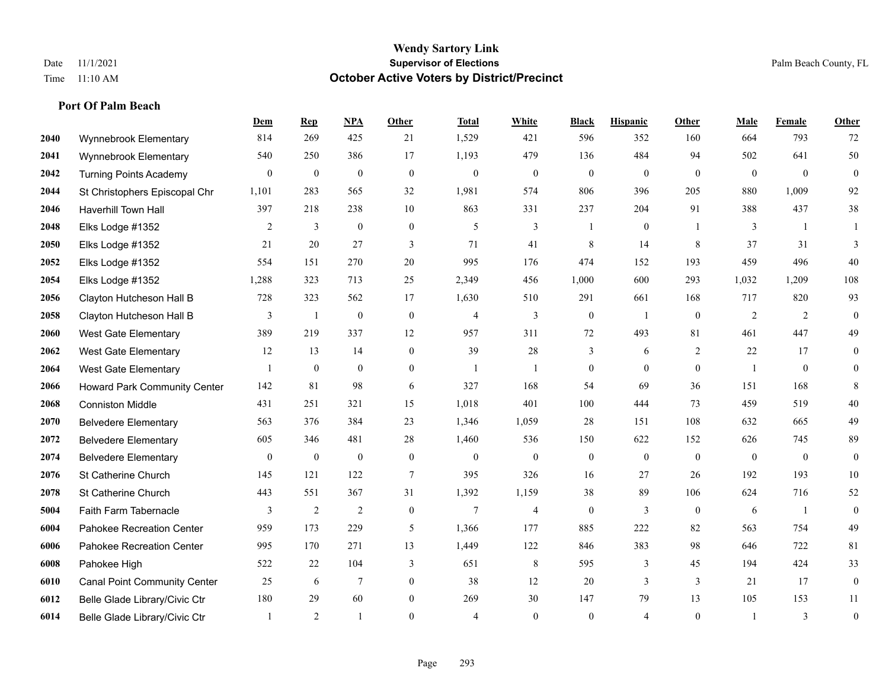**Port Of Palm Beach**

#### **Wendy Sartory Link** Date 11/1/2021 **Supervisor of Elections** Palm Beach County, FL Time 11:10 AM **October Active Voters by District/Precinct**

# **Dem Rep NPA Other Total White Black Hispanic Other Male Female Other** Wynnebrook Elementary 814 269 425 21 1,529 421 596 352 160 664 793 72 Wynnebrook Elementary 540 250 386 17 1,193 479 136 484 94 502 641 50 Turning Points Academy 0 0 0 0 0 0 0 0 0 0 0 0 St Christophers Episcopal Chr 1,101 283 565 32 1,981 574 806 396 205 880 1,009 92 Haverhill Town Hall 397 218 238 10 863 331 237 204 91 388 437 38 Elks Lodge #1352 2 3 0 0 5 3 1 0 1 3 1 1 Elks Lodge #1352 21 20 27 3 71 41 8 14 8 37 31 3 Elks Lodge #1352 554 151 270 20 995 176 474 152 193 459 496 40 Elks Lodge #1352 1,288 323 713 25 2,349 456 1,000 600 293 1,032 1,209 108 Clayton Hutcheson Hall B 728 323 562 17 1,630 510 291 661 168 717 820 93 Clayton Hutcheson Hall B 3 1 0 0 4 3 0 1 0 2 2 0 West Gate Elementary 389 219 337 12 957 311 72 493 81 461 447 49 West Gate Elementary 12 13 14 0 39 28 3 6 2 22 17 0 West Gate Elementary 1 0 0 0 1 1 0 0 0 1 0 0 Howard Park Community Center 142 81 98 6 327 168 54 69 36 151 168 8 Conniston Middle 431 251 321 15 1,018 401 100 444 73 459 519 40 Belvedere Elementary 563 376 384 23 1,346 1,059 28 151 108 632 665 49 Belvedere Elementary 605 346 481 28 1,460 536 150 622 152 626 745 89 Belvedere Elementary 0 0 0 0 0 0 0 0 0 0 0 0 St Catherine Church 145 121 122 7 395 326 16 27 26 192 193 10 St Catherine Church 443 551 367 31 1,392 1,159 38 89 106 624 716 52 Faith Farm Tabernacle 3 2 2 0 7 4 0 3 0 6 1 0 Pahokee Recreation Center 959 173 229 5 1,366 177 885 222 82 563 754 49 Pahokee Recreation Center 995 170 271 13 1,449 122 846 383 98 646 722 81 Pahokee High 522 22 104 3 651 8 595 3 45 194 424 33 Canal Point Community Center 25 6 7 0 38 12 20 3 3 21 17 0 Belle Glade Library/Civic Ctr 180 29 60 0 269 30 147 79 13 105 153 11 Belle Glade Library/Civic Ctr 1 2 1 0 4 0 0 4 0 1 3 0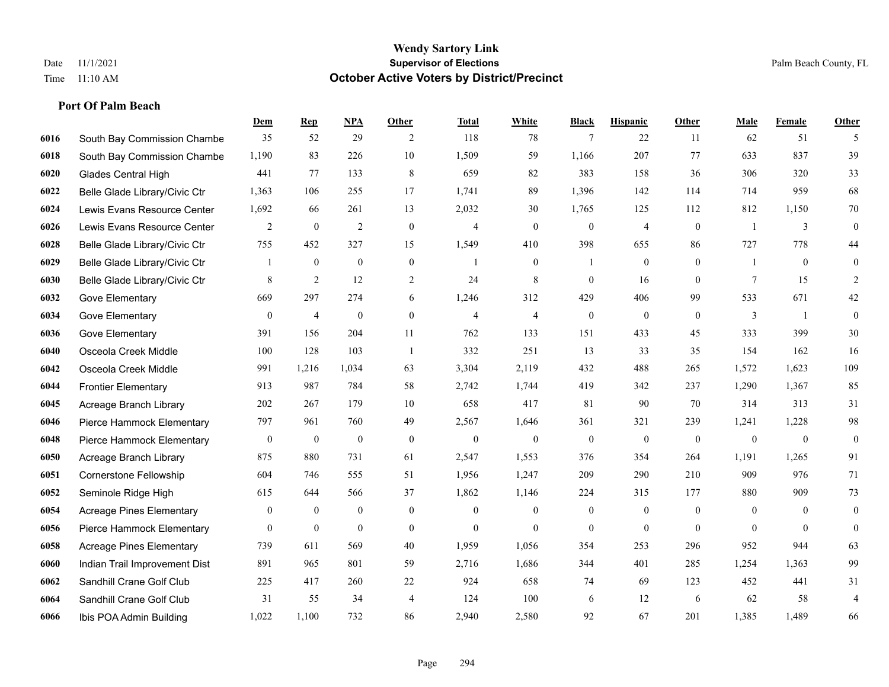|      |                                 | Dem              | <b>Rep</b>       | NPA              | <b>Other</b>     | <b>Total</b>     | <b>White</b>   | <b>Black</b>     | <b>Hispanic</b>  | <b>Other</b>   | <b>Male</b>    | <b>Female</b>    | <b>Other</b>     |
|------|---------------------------------|------------------|------------------|------------------|------------------|------------------|----------------|------------------|------------------|----------------|----------------|------------------|------------------|
| 6016 | South Bay Commission Chambe     | 35               | 52               | 29               | 2                | 118              | 78             | $\overline{7}$   | 22               | 11             | 62             | 51               | 5                |
| 6018 | South Bay Commission Chambe     | 1,190            | 83               | 226              | $10\,$           | 1,509            | 59             | 1.166            | 207              | 77             | 633            | 837              | 39               |
| 6020 | <b>Glades Central High</b>      | 441              | 77               | 133              | 8                | 659              | 82             | 383              | 158              | 36             | 306            | 320              | 33               |
| 6022 | Belle Glade Library/Civic Ctr   | 1,363            | 106              | 255              | 17               | 1,741            | 89             | 1,396            | 142              | 114            | 714            | 959              | 68               |
| 6024 | Lewis Evans Resource Center     | 1,692            | 66               | 261              | 13               | 2,032            | 30             | 1,765            | 125              | 112            | 812            | 1,150            | $70\,$           |
| 6026 | Lewis Evans Resource Center     | $\overline{2}$   | $\mathbf{0}$     | 2                | $\mathbf{0}$     | $\overline{4}$   | $\overline{0}$ | $\boldsymbol{0}$ | $\overline{4}$   | $\mathbf{0}$   | $\overline{1}$ | 3                | $\mathbf{0}$     |
| 6028 | Belle Glade Library/Civic Ctr   | 755              | 452              | 327              | 15               | 1,549            | 410            | 398              | 655              | 86             | 727            | 778              | $44\,$           |
| 6029 | Belle Glade Library/Civic Ctr   | 1                | $\overline{0}$   | $\mathbf{0}$     | $\mathbf{0}$     | $\overline{1}$   | $\overline{0}$ | -1               | $\mathbf{0}$     | $\Omega$       | 1              | $\theta$         | $\mathbf{0}$     |
| 6030 | Belle Glade Library/Civic Ctr   | 8                | $\overline{2}$   | 12               | $\overline{c}$   | 24               | $\,$ 8 $\,$    | $\boldsymbol{0}$ | 16               | $\mathbf{0}$   | 7              | 15               | 2                |
| 6032 | Gove Elementary                 | 669              | 297              | 274              | 6                | 1,246            | 312            | 429              | 406              | 99             | 533            | 671              | $42\,$           |
| 6034 | Gove Elementary                 | $\overline{0}$   | $\overline{4}$   | $\boldsymbol{0}$ | $\overline{0}$   | $\overline{4}$   | 4              | $\boldsymbol{0}$ | $\mathbf{0}$     | $\theta$       | 3              | -1               | $\mathbf{0}$     |
| 6036 | Gove Elementary                 | 391              | 156              | 204              | 11               | 762              | 133            | 151              | 433              | 45             | 333            | 399              | $30\,$           |
| 6040 | Osceola Creek Middle            | 100              | 128              | 103              | $\overline{1}$   | 332              | 251            | 13               | 33               | 35             | 154            | 162              | 16               |
| 6042 | Osceola Creek Middle            | 991              | 1,216            | 1,034            | 63               | 3,304            | 2,119          | 432              | 488              | 265            | 1,572          | 1,623            | 109              |
| 6044 | <b>Frontier Elementary</b>      | 913              | 987              | 784              | 58               | 2,742            | 1,744          | 419              | 342              | 237            | 1,290          | 1,367            | 85               |
| 6045 | Acreage Branch Library          | 202              | 267              | 179              | 10               | 658              | 417            | 81               | 90               | 70             | 314            | 313              | 31               |
| 6046 | Pierce Hammock Elementary       | 797              | 961              | 760              | 49               | 2,567            | 1,646          | 361              | 321              | 239            | 1,241          | 1,228            | 98               |
| 6048 | Pierce Hammock Elementary       | $\boldsymbol{0}$ | $\mathbf{0}$     | $\boldsymbol{0}$ | $\overline{0}$   | $\boldsymbol{0}$ | $\mathbf{0}$   | $\mathbf{0}$     | $\boldsymbol{0}$ | $\overline{0}$ | $\overline{0}$ | $\boldsymbol{0}$ | $\boldsymbol{0}$ |
| 6050 | Acreage Branch Library          | 875              | 880              | 731              | 61               | 2,547            | 1,553          | 376              | 354              | 264            | 1,191          | 1,265            | 91               |
| 6051 | Cornerstone Fellowship          | 604              | 746              | 555              | 51               | 1,956            | 1,247          | 209              | 290              | 210            | 909            | 976              | 71               |
| 6052 | Seminole Ridge High             | 615              | 644              | 566              | 37               | 1,862            | 1,146          | 224              | 315              | 177            | 880            | 909              | 73               |
| 6054 | <b>Acreage Pines Elementary</b> | 0                | $\boldsymbol{0}$ | $\boldsymbol{0}$ | $\boldsymbol{0}$ | $\mathbf{0}$     | $\mathbf{0}$   | $\boldsymbol{0}$ | $\boldsymbol{0}$ | $\overline{0}$ | $\overline{0}$ | $\overline{0}$   | $\mathbf{0}$     |
| 6056 | Pierce Hammock Elementary       | $\overline{0}$   | $\mathbf{0}$     | $\mathbf{0}$     | $\overline{0}$   | $\theta$         | $\overline{0}$ | $\mathbf{0}$     | $\mathbf{0}$     | $\theta$       | $\theta$       | $\theta$         | $\mathbf{0}$     |
| 6058 | <b>Acreage Pines Elementary</b> | 739              | 611              | 569              | 40               | 1,959            | 1,056          | 354              | 253              | 296            | 952            | 944              | 63               |
| 6060 | Indian Trail Improvement Dist   | 891              | 965              | 801              | 59               | 2,716            | 1,686          | 344              | 401              | 285            | 1,254          | 1,363            | 99               |
| 6062 | Sandhill Crane Golf Club        | 225              | 417              | 260              | 22               | 924              | 658            | 74               | 69               | 123            | 452            | 441              | 31               |
| 6064 | Sandhill Crane Golf Club        | 31               | 55               | 34               | $\overline{4}$   | 124              | 100            | 6                | 12               | 6              | 62             | 58               | $\overline{4}$   |
| 6066 | Ibis POA Admin Building         | 1,022            | 1.100            | 732              | 86               | 2,940            | 2,580          | 92               | 67               | 201            | 1,385          | 1,489            | 66               |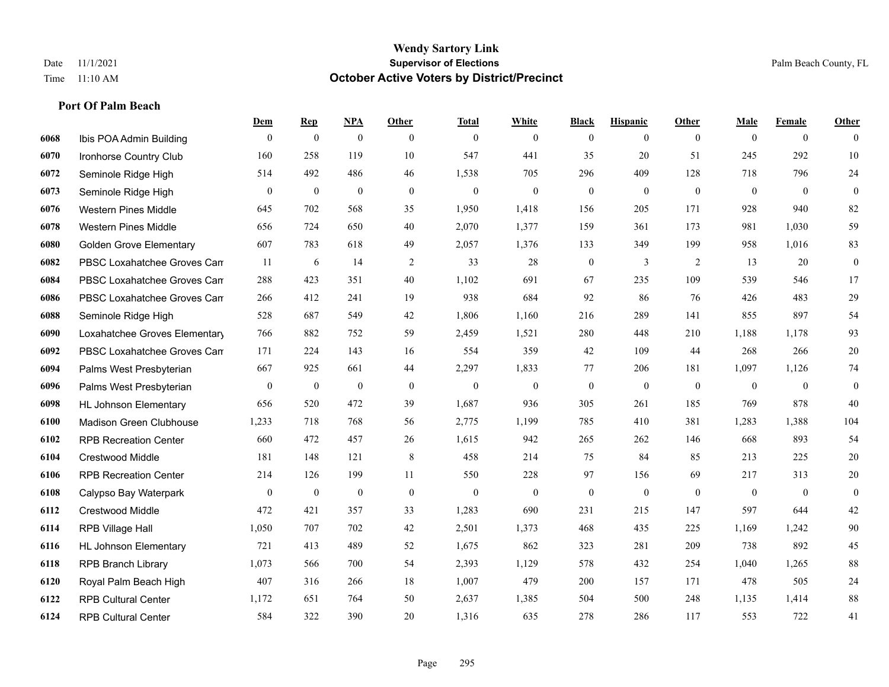|      |                                | Dem              | <b>Rep</b>       | NPA              | <b>Other</b> | <b>Total</b> | <b>White</b>     | <b>Black</b>     | <b>Hispanic</b>  | <b>Other</b>   | <b>Male</b>  | <b>Female</b>  | <b>Other</b>     |
|------|--------------------------------|------------------|------------------|------------------|--------------|--------------|------------------|------------------|------------------|----------------|--------------|----------------|------------------|
| 6068 | Ibis POA Admin Building        | $\mathbf{0}$     | $\mathbf{0}$     | $\boldsymbol{0}$ | $\theta$     | $\mathbf{0}$ | $\overline{0}$   | $\overline{0}$   | $\overline{0}$   | $\overline{0}$ | $\theta$     | $\overline{0}$ | $\Omega$         |
| 6070 | Ironhorse Country Club         | 160              | 258              | 119              | 10           | 547          | 441              | 35               | 20               | 51             | 245          | 292            | $10\,$           |
| 6072 | Seminole Ridge High            | 514              | 492              | 486              | 46           | 1,538        | 705              | 296              | 409              | 128            | 718          | 796            | 24               |
| 6073 | Seminole Ridge High            | $\boldsymbol{0}$ | $\boldsymbol{0}$ | $\theta$         | $\mathbf{0}$ | $\mathbf{0}$ | $\mathbf{0}$     | $\boldsymbol{0}$ | $\overline{0}$   | $\mathbf{0}$   | $\mathbf{0}$ | $\overline{0}$ | $\mathbf{0}$     |
| 6076 | <b>Western Pines Middle</b>    | 645              | 702              | 568              | 35           | 1,950        | 1,418            | 156              | 205              | 171            | 928          | 940            | 82               |
| 6078 | <b>Western Pines Middle</b>    | 656              | 724              | 650              | 40           | 2,070        | 1,377            | 159              | 361              | 173            | 981          | 1,030          | 59               |
| 6080 | <b>Golden Grove Elementary</b> | 607              | 783              | 618              | 49           | 2,057        | 1,376            | 133              | 349              | 199            | 958          | 1,016          | 83               |
| 6082 | PBSC Loxahatchee Groves Can    | 11               | 6                | 14               | 2            | 33           | 28               | $\overline{0}$   | 3                | 2              | 13           | 20             | $\overline{0}$   |
| 6084 | PBSC Loxahatchee Groves Can    | 288              | 423              | 351              | 40           | 1,102        | 691              | 67               | 235              | 109            | 539          | 546            | 17               |
| 6086 | PBSC Loxahatchee Groves Can    | 266              | 412              | 241              | 19           | 938          | 684              | 92               | 86               | 76             | 426          | 483            | 29               |
| 6088 | Seminole Ridge High            | 528              | 687              | 549              | 42           | 1,806        | 1,160            | 216              | 289              | 141            | 855          | 897            | 54               |
| 6090 | Loxahatchee Groves Elementary  | 766              | 882              | 752              | 59           | 2,459        | 1,521            | 280              | 448              | 210            | 1,188        | 1,178          | 93               |
| 6092 | PBSC Loxahatchee Groves Can    | 171              | 224              | 143              | 16           | 554          | 359              | 42               | 109              | 44             | 268          | 266            | $20\,$           |
| 6094 | Palms West Presbyterian        | 667              | 925              | 661              | 44           | 2,297        | 1,833            | 77               | 206              | 181            | 1,097        | 1,126          | 74               |
| 6096 | Palms West Presbyterian        | $\boldsymbol{0}$ | $\boldsymbol{0}$ | $\theta$         | $\mathbf{0}$ | $\mathbf{0}$ | $\boldsymbol{0}$ | $\overline{0}$   | $\boldsymbol{0}$ | $\mathbf{0}$   | $\mathbf{0}$ | $\overline{0}$ | $\boldsymbol{0}$ |
| 6098 | <b>HL Johnson Elementary</b>   | 656              | 520              | 472              | 39           | 1,687        | 936              | 305              | 261              | 185            | 769          | 878            | 40               |
| 6100 | Madison Green Clubhouse        | 1,233            | 718              | 768              | 56           | 2,775        | 1,199            | 785              | 410              | 381            | 1,283        | 1,388          | 104              |
| 6102 | <b>RPB Recreation Center</b>   | 660              | 472              | 457              | 26           | 1,615        | 942              | 265              | 262              | 146            | 668          | 893            | 54               |
| 6104 | <b>Crestwood Middle</b>        | 181              | 148              | 121              | 8            | 458          | 214              | 75               | 84               | 85             | 213          | 225            | $20\,$           |
| 6106 | <b>RPB Recreation Center</b>   | 214              | 126              | 199              | 11           | 550          | 228              | 97               | 156              | 69             | 217          | 313            | $20\,$           |
| 6108 | Calypso Bay Waterpark          | $\overline{0}$   | $\boldsymbol{0}$ | $\theta$         | $\mathbf{0}$ | $\mathbf{0}$ | $\mathbf{0}$     | $\overline{0}$   | $\overline{0}$   | $\theta$       | $\theta$     | $\overline{0}$ | $\overline{0}$   |
| 6112 | <b>Crestwood Middle</b>        | 472              | 421              | 357              | 33           | 1,283        | 690              | 231              | 215              | 147            | 597          | 644            | 42               |
| 6114 | RPB Village Hall               | 1,050            | 707              | 702              | $42\,$       | 2,501        | 1,373            | 468              | 435              | 225            | 1,169        | 1,242          | 90               |
| 6116 | <b>HL Johnson Elementary</b>   | 721              | 413              | 489              | 52           | 1,675        | 862              | 323              | 281              | 209            | 738          | 892            | 45               |
| 6118 | <b>RPB Branch Library</b>      | 1,073            | 566              | 700              | 54           | 2,393        | 1,129            | 578              | 432              | 254            | 1,040        | 1,265          | 88               |
| 6120 | Royal Palm Beach High          | 407              | 316              | 266              | 18           | 1,007        | 479              | 200              | 157              | 171            | 478          | 505            | 24               |
| 6122 | <b>RPB Cultural Center</b>     | 1,172            | 651              | 764              | 50           | 2,637        | 1,385            | 504              | 500              | 248            | 1,135        | 1,414          | 88               |
| 6124 | <b>RPB Cultural Center</b>     | 584              | 322              | 390              | 20           | 1,316        | 635              | 278              | 286              | 117            | 553          | 722            | 41               |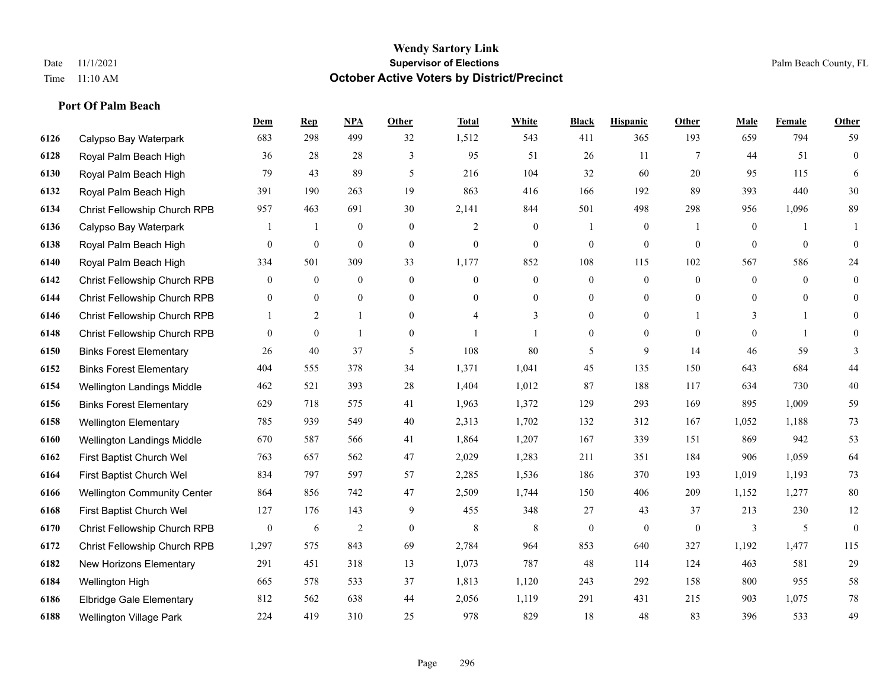|      |                                     | Dem              | <b>Rep</b>       | NPA              | <b>Other</b>     | <b>Total</b>   | <b>White</b>     | <b>Black</b>     | <b>Hispanic</b>  | <b>Other</b>    | <b>Male</b>      | <b>Female</b>  | <b>Other</b>     |
|------|-------------------------------------|------------------|------------------|------------------|------------------|----------------|------------------|------------------|------------------|-----------------|------------------|----------------|------------------|
| 6126 | Calypso Bay Waterpark               | 683              | 298              | 499              | 32               | 1,512          | 543              | 411              | 365              | 193             | 659              | 794            | 59               |
| 6128 | Royal Palm Beach High               | 36               | 28               | 28               | 3                | 95             | 51               | 26               | 11               | $7\phantom{.0}$ | 44               | 51             | $\mathbf{0}$     |
| 6130 | Royal Palm Beach High               | 79               | 43               | 89               | 5                | 216            | 104              | 32               | 60               | 20              | 95               | 115            | 6                |
| 6132 | Royal Palm Beach High               | 391              | 190              | 263              | 19               | 863            | 416              | 166              | 192              | 89              | 393              | 440            | $30\,$           |
| 6134 | <b>Christ Fellowship Church RPB</b> | 957              | 463              | 691              | 30               | 2,141          | 844              | 501              | 498              | 298             | 956              | 1,096          | 89               |
| 6136 | Calypso Bay Waterpark               |                  | -1               | $\boldsymbol{0}$ | $\mathbf{0}$     | 2              | $\boldsymbol{0}$ | 1                | $\boldsymbol{0}$ | -1              | $\boldsymbol{0}$ |                |                  |
| 6138 | Royal Palm Beach High               | $\mathbf{0}$     | $\mathbf{0}$     | $\mathbf{0}$     | $\mathbf{0}$     | $\mathbf{0}$   | $\overline{0}$   | $\boldsymbol{0}$ | $\mathbf{0}$     | $\mathbf{0}$    | $\mathbf{0}$     | $\mathbf{0}$   | $\mathbf{0}$     |
| 6140 | Royal Palm Beach High               | 334              | 501              | 309              | 33               | 1,177          | 852              | 108              | 115              | 102             | 567              | 586            | 24               |
| 6142 | Christ Fellowship Church RPB        | $\boldsymbol{0}$ | $\boldsymbol{0}$ | $\boldsymbol{0}$ | $\boldsymbol{0}$ | $\mathbf{0}$   | $\boldsymbol{0}$ | $\boldsymbol{0}$ | $\boldsymbol{0}$ | $\mathbf{0}$    | $\mathbf{0}$     | $\overline{0}$ | $\boldsymbol{0}$ |
| 6144 | Christ Fellowship Church RPB        | $\overline{0}$   | $\mathbf{0}$     | $\mathbf{0}$     | $\overline{0}$   | $\theta$       | $\overline{0}$   | $\boldsymbol{0}$ | $\mathbf{0}$     | $\theta$        | $\overline{0}$   | $\mathbf{0}$   | $\mathbf{0}$     |
| 6146 | Christ Fellowship Church RPB        |                  | 2                | $\mathbf{1}$     | $\overline{0}$   | $\overline{4}$ | $\overline{3}$   | $\mathbf{0}$     | $\mathbf{0}$     |                 | 3                | $\mathbf{1}$   | $\theta$         |
| 6148 | Christ Fellowship Church RPB        | $\overline{0}$   | $\theta$         | $\mathbf{1}$     | $\overline{0}$   |                | $\mathbf{1}$     | $\overline{0}$   | $\mathbf{0}$     | $\theta$        | $\theta$         | $\mathbf{1}$   | $\mathbf{0}$     |
| 6150 | <b>Binks Forest Elementary</b>      | 26               | 40               | 37               | 5                | 108            | 80               | 5                | 9                | 14              | 46               | 59             | 3                |
| 6152 | <b>Binks Forest Elementary</b>      | 404              | 555              | 378              | 34               | 1,371          | 1,041            | 45               | 135              | 150             | 643              | 684            | $44\,$           |
| 6154 | Wellington Landings Middle          | 462              | 521              | 393              | 28               | 1,404          | 1,012            | 87               | 188              | 117             | 634              | 730            | $40\,$           |
| 6156 | <b>Binks Forest Elementary</b>      | 629              | 718              | 575              | 41               | 1,963          | 1,372            | 129              | 293              | 169             | 895              | 1,009          | 59               |
| 6158 | <b>Wellington Elementary</b>        | 785              | 939              | 549              | 40               | 2,313          | 1,702            | 132              | 312              | 167             | 1,052            | 1,188          | $73\,$           |
| 6160 | <b>Wellington Landings Middle</b>   | 670              | 587              | 566              | 41               | 1,864          | 1,207            | 167              | 339              | 151             | 869              | 942            | 53               |
| 6162 | First Baptist Church Wel            | 763              | 657              | 562              | 47               | 2,029          | 1,283            | 211              | 351              | 184             | 906              | 1,059          | 64               |
| 6164 | First Baptist Church Wel            | 834              | 797              | 597              | 57               | 2,285          | 1,536            | 186              | 370              | 193             | 1,019            | 1,193          | 73               |
| 6166 | <b>Wellington Community Center</b>  | 864              | 856              | 742              | 47               | 2,509          | 1,744            | 150              | 406              | 209             | 1,152            | 1,277          | $80\,$           |
| 6168 | First Baptist Church Wel            | 127              | 176              | 143              | 9                | 455            | 348              | 27               | 43               | 37              | 213              | 230            | 12               |
| 6170 | Christ Fellowship Church RPB        | $\boldsymbol{0}$ | 6                | $\overline{2}$   | $\mathbf{0}$     | 8              | 8                | $\boldsymbol{0}$ | $\boldsymbol{0}$ | $\mathbf{0}$    | 3                | 5              | $\boldsymbol{0}$ |
| 6172 | Christ Fellowship Church RPB        | 1,297            | 575              | 843              | 69               | 2,784          | 964              | 853              | 640              | 327             | 1,192            | 1,477          | 115              |
| 6182 | New Horizons Elementary             | 291              | 451              | 318              | 13               | 1,073          | 787              | 48               | 114              | 124             | 463              | 581            | 29               |
| 6184 | Wellington High                     | 665              | 578              | 533              | 37               | 1,813          | 1,120            | 243              | 292              | 158             | 800              | 955            | 58               |
| 6186 | <b>Elbridge Gale Elementary</b>     | 812              | 562              | 638              | 44               | 2,056          | 1,119            | 291              | 431              | 215             | 903              | 1,075          | $78\,$           |
| 6188 | Wellington Village Park             | 224              | 419              | 310              | 25               | 978            | 829              | 18               | 48               | 83              | 396              | 533            | 49               |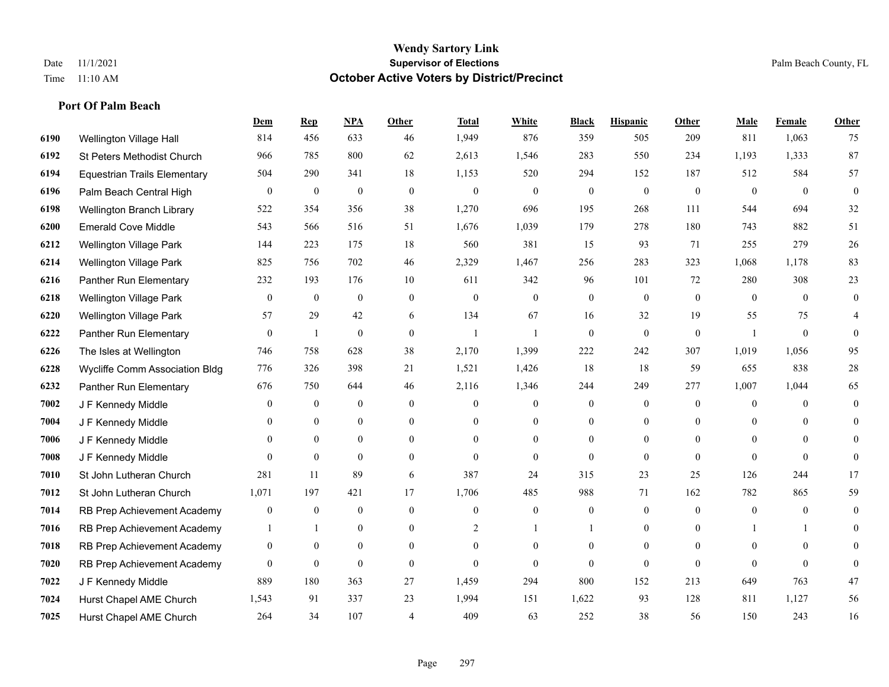|      |                                     | Dem              | <b>Rep</b>       | NPA              | <b>Other</b>   | <b>Total</b>     | <b>White</b>   | <b>Black</b>     | <b>Hispanic</b>  | Other            | <b>Male</b>    | <b>Female</b>  | <b>Other</b> |
|------|-------------------------------------|------------------|------------------|------------------|----------------|------------------|----------------|------------------|------------------|------------------|----------------|----------------|--------------|
| 6190 | Wellington Village Hall             | 814              | 456              | 633              | 46             | 1,949            | 876            | 359              | 505              | 209              | 811            | 1,063          | 75           |
| 6192 | St Peters Methodist Church          | 966              | 785              | 800              | 62             | 2,613            | 1,546          | 283              | 550              | 234              | 1,193          | 1,333          | 87           |
| 6194 | <b>Equestrian Trails Elementary</b> | 504              | 290              | 341              | 18             | 1,153            | 520            | 294              | 152              | 187              | 512            | 584            | 57           |
| 6196 | Palm Beach Central High             | $\boldsymbol{0}$ | $\boldsymbol{0}$ | $\boldsymbol{0}$ | $\mathbf{0}$   | $\boldsymbol{0}$ | $\mathbf{0}$   | $\boldsymbol{0}$ | $\overline{0}$   | $\boldsymbol{0}$ | $\mathbf{0}$   | $\mathbf{0}$   | $\mathbf{0}$ |
| 6198 | Wellington Branch Library           | 522              | 354              | 356              | 38             | 1,270            | 696            | 195              | 268              | 111              | 544            | 694            | 32           |
| 6200 | <b>Emerald Cove Middle</b>          | 543              | 566              | 516              | 51             | 1,676            | 1,039          | 179              | 278              | 180              | 743            | 882            | 51           |
| 6212 | Wellington Village Park             | 144              | 223              | 175              | 18             | 560              | 381            | 15               | 93               | 71               | 255            | 279            | $26\,$       |
| 6214 | Wellington Village Park             | 825              | 756              | 702              | 46             | 2,329            | 1,467          | 256              | 283              | 323              | 1,068          | 1,178          | 83           |
| 6216 | Panther Run Elementary              | 232              | 193              | 176              | 10             | 611              | 342            | 96               | 101              | 72               | 280            | 308            | 23           |
| 6218 | <b>Wellington Village Park</b>      | $\mathbf{0}$     | $\mathbf{0}$     | $\mathbf{0}$     | $\mathbf{0}$   | $\theta$         | $\mathbf{0}$   | $\overline{0}$   | $\overline{0}$   | $\mathbf{0}$     | $\mathbf{0}$   | $\mathbf{0}$   | $\mathbf{0}$ |
| 6220 | Wellington Village Park             | 57               | 29               | 42               | 6              | 134              | 67             | 16               | 32               | 19               | 55             | 75             | 4            |
| 6222 | Panther Run Elementary              | $\mathbf{0}$     | 1                | $\mathbf{0}$     | $\mathbf{0}$   | $\mathbf{1}$     |                | $\mathbf{0}$     | $\overline{0}$   | $\mathbf{0}$     | -1             | $\theta$       | $\Omega$     |
| 6226 | The Isles at Wellington             | 746              | 758              | 628              | 38             | 2,170            | 1,399          | 222              | 242              | 307              | 1,019          | 1,056          | 95           |
| 6228 | Wycliffe Comm Association Bldg      | 776              | 326              | 398              | 21             | 1,521            | 1,426          | 18               | 18               | 59               | 655            | 838            | $28\,$       |
| 6232 | Panther Run Elementary              | 676              | 750              | 644              | 46             | 2,116            | 1,346          | 244              | 249              | 277              | 1,007          | 1,044          | 65           |
| 7002 | J F Kennedy Middle                  | $\theta$         | $\boldsymbol{0}$ | $\mathbf{0}$     | $\theta$       | $\overline{0}$   | $\overline{0}$ | $\mathbf{0}$     | $\overline{0}$   | $\theta$         | $\overline{0}$ | $\theta$       | $\theta$     |
| 7004 | J F Kennedy Middle                  | $\theta$         | $\overline{0}$   | $\mathbf{0}$     | $\overline{0}$ | $\theta$         | $\overline{0}$ | $\theta$         | $\overline{0}$   | $\theta$         | $\Omega$       | $\theta$       | $\Omega$     |
| 7006 | J F Kennedy Middle                  | $\theta$         | $\overline{0}$   | $\mathbf{0}$     | $\overline{0}$ | $\Omega$         | $\overline{0}$ | $\overline{0}$   | $\overline{0}$   | $\theta$         | $\theta$       | $\theta$       | 0            |
| 7008 | J F Kennedy Middle                  | $\theta$         | $\mathbf{0}$     | $\mathbf{0}$     | $\theta$       | $\theta$         | $\overline{0}$ | $\mathbf{0}$     | $\mathbf{0}$     | $\theta$         | $\Omega$       | $\theta$       | $\theta$     |
| 7010 | St John Lutheran Church             | 281              | 11               | 89               | 6              | 387              | 24             | 315              | 23               | 25               | 126            | 244            | 17           |
| 7012 | St John Lutheran Church             | 1,071            | 197              | 421              | 17             | 1,706            | 485            | 988              | 71               | 162              | 782            | 865            | 59           |
| 7014 | RB Prep Achievement Academy         | $\boldsymbol{0}$ | $\boldsymbol{0}$ | $\boldsymbol{0}$ | $\mathbf{0}$   | $\boldsymbol{0}$ | $\mathbf{0}$   | $\boldsymbol{0}$ | $\boldsymbol{0}$ | $\overline{0}$   | $\mathbf{0}$   | $\overline{0}$ | $\mathbf{0}$ |
| 7016 | RB Prep Achievement Academy         |                  | $\mathbf{1}$     | $\mathbf{0}$     | $\mathbf{0}$   | 2                | 1              |                  | $\overline{0}$   | $\theta$         |                |                | 0            |
| 7018 | RB Prep Achievement Academy         | $\mathbf{0}$     | $\mathbf{0}$     | $\theta$         | $\theta$       | $\mathbf{0}$     | $\overline{0}$ | $\mathbf{0}$     | $\overline{0}$   | $\theta$         | $\Omega$       | $\theta$       | 0            |
| 7020 | RB Prep Achievement Academy         | $\mathbf{0}$     | $\boldsymbol{0}$ | $\mathbf{0}$     | $\mathbf{0}$   | $\theta$         | $\overline{0}$ | $\mathbf{0}$     | $\mathbf{0}$     | $\mathbf{0}$     | $\Omega$       | $\theta$       | $\Omega$     |
| 7022 | J F Kennedy Middle                  | 889              | 180              | 363              | 27             | 1,459            | 294            | 800              | 152              | 213              | 649            | 763            | 47           |
| 7024 | Hurst Chapel AME Church             | 1,543            | 91               | 337              | 23             | 1,994            | 151            | 1,622            | 93               | 128              | 811            | 1,127          | 56           |
| 7025 | Hurst Chapel AME Church             | 264              | 34               | 107              | $\overline{4}$ | 409              | 63             | 252              | 38               | 56               | 150            | 243            | 16           |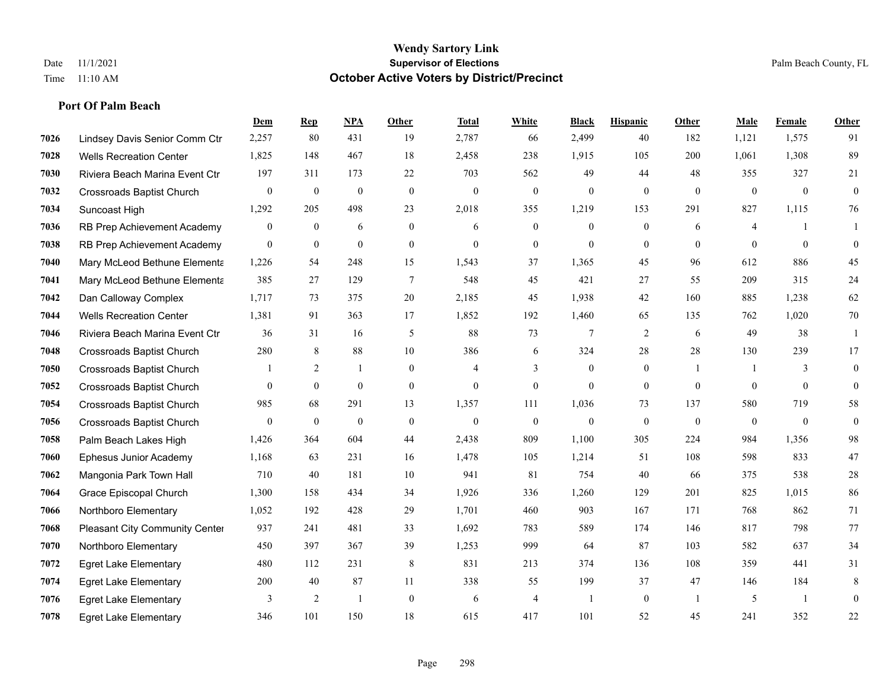|      |                                       | Dem              | <b>Rep</b>     | NPA              | Other            | <b>Total</b>     | <b>White</b>     | <b>Black</b>     | <b>Hispanic</b>  | Other          | <b>Male</b>  | Female       | <b>Other</b>     |
|------|---------------------------------------|------------------|----------------|------------------|------------------|------------------|------------------|------------------|------------------|----------------|--------------|--------------|------------------|
| 7026 | Lindsey Davis Senior Comm Ctr         | 2,257            | 80             | 431              | 19               | 2,787            | 66               | 2,499            | 40               | 182            | 1,121        | 1,575        | 91               |
| 7028 | <b>Wells Recreation Center</b>        | 1,825            | 148            | 467              | 18               | 2,458            | 238              | 1,915            | 105              | 200            | 1,061        | 1,308        | 89               |
| 7030 | Riviera Beach Marina Event Ctr        | 197              | 311            | 173              | 22               | 703              | 562              | 49               | 44               | 48             | 355          | 327          | 21               |
| 7032 | <b>Crossroads Baptist Church</b>      | $\boldsymbol{0}$ | $\mathbf{0}$   | $\boldsymbol{0}$ | $\boldsymbol{0}$ | $\boldsymbol{0}$ | $\boldsymbol{0}$ | $\boldsymbol{0}$ | $\mathbf{0}$     | $\mathbf{0}$   | $\mathbf{0}$ | $\mathbf{0}$ | $\boldsymbol{0}$ |
| 7034 | Suncoast High                         | 1,292            | 205            | 498              | 23               | 2,018            | 355              | 1,219            | 153              | 291            | 827          | 1,115        | 76               |
| 7036 | RB Prep Achievement Academy           | $\boldsymbol{0}$ | $\bf{0}$       | 6                | $\mathbf{0}$     | 6                | $\boldsymbol{0}$ | $\boldsymbol{0}$ | $\boldsymbol{0}$ | 6              | 4            |              | 1                |
| 7038 | RB Prep Achievement Academy           | $\overline{0}$   | $\overline{0}$ | $\mathbf{0}$     | $\mathbf{0}$     | $\mathbf{0}$     | $\boldsymbol{0}$ | $\mathbf{0}$     | $\mathbf{0}$     | $\theta$       | $\theta$     | $\mathbf{0}$ | $\mathbf{0}$     |
| 7040 | Mary McLeod Bethune Elementa          | 1,226            | 54             | 248              | 15               | 1,543            | 37               | 1,365            | 45               | 96             | 612          | 886          | 45               |
| 7041 | Mary McLeod Bethune Elementa          | 385              | 27             | 129              | $\overline{7}$   | 548              | 45               | 421              | 27               | 55             | 209          | 315          | $24\,$           |
| 7042 | Dan Calloway Complex                  | 1,717            | 73             | 375              | 20               | 2,185            | 45               | 1,938            | 42               | 160            | 885          | 1,238        | 62               |
| 7044 | <b>Wells Recreation Center</b>        | 1,381            | 91             | 363              | 17               | 1,852            | 192              | 1,460            | 65               | 135            | 762          | 1,020        | 70               |
| 7046 | Riviera Beach Marina Event Ctr        | 36               | 31             | 16               | 5                | 88               | 73               | 7                | 2                | 6              | 49           | 38           | $\mathbf{1}$     |
| 7048 | Crossroads Baptist Church             | 280              | 8              | 88               | 10               | 386              | 6                | 324              | 28               | 28             | 130          | 239          | 17               |
| 7050 | <b>Crossroads Baptist Church</b>      | 1                | 2              | $\mathbf{1}$     | $\mathbf{0}$     | $\overline{4}$   | 3                | $\boldsymbol{0}$ | $\overline{0}$   | $\overline{1}$ |              | 3            | $\mathbf{0}$     |
| 7052 | <b>Crossroads Baptist Church</b>      | $\overline{0}$   | $\mathbf{0}$   | $\mathbf{0}$     | $\mathbf{0}$     | $\theta$         | $\mathbf{0}$     | $\theta$         | $\Omega$         | $\theta$       | $\theta$     | $\theta$     | $\mathbf{0}$     |
| 7054 | Crossroads Baptist Church             | 985              | 68             | 291              | 13               | 1,357            | 111              | 1,036            | 73               | 137            | 580          | 719          | 58               |
| 7056 | Crossroads Baptist Church             | $\overline{0}$   | $\mathbf{0}$   | $\mathbf{0}$     | $\boldsymbol{0}$ | $\theta$         | $\mathbf{0}$     | $\mathbf{0}$     | $\mathbf{0}$     | $\theta$       | $\mathbf{0}$ | $\mathbf{0}$ | $\mathbf{0}$     |
| 7058 | Palm Beach Lakes High                 | 1,426            | 364            | 604              | 44               | 2,438            | 809              | 1.100            | 305              | 224            | 984          | 1.356        | 98               |
| 7060 | Ephesus Junior Academy                | 1,168            | 63             | 231              | 16               | 1,478            | 105              | 1,214            | 51               | 108            | 598          | 833          | $47\,$           |
| 7062 | Mangonia Park Town Hall               | 710              | 40             | 181              | 10               | 941              | 81               | 754              | 40               | 66             | 375          | 538          | $28\,$           |
| 7064 | Grace Episcopal Church                | 1,300            | 158            | 434              | 34               | 1,926            | 336              | 1,260            | 129              | 201            | 825          | 1,015        | 86               |
| 7066 | Northboro Elementary                  | 1,052            | 192            | 428              | 29               | 1,701            | 460              | 903              | 167              | 171            | 768          | 862          | 71               |
| 7068 | <b>Pleasant City Community Center</b> | 937              | 241            | 481              | 33               | 1,692            | 783              | 589              | 174              | 146            | 817          | 798          | 77               |
| 7070 | Northboro Elementary                  | 450              | 397            | 367              | 39               | 1,253            | 999              | 64               | 87               | 103            | 582          | 637          | 34               |
| 7072 | <b>Egret Lake Elementary</b>          | 480              | 112            | 231              | 8                | 831              | 213              | 374              | 136              | 108            | 359          | 441          | 31               |
| 7074 | <b>Egret Lake Elementary</b>          | 200              | 40             | 87               | 11               | 338              | 55               | 199              | 37               | 47             | 146          | 184          | 8                |
| 7076 | <b>Egret Lake Elementary</b>          | 3                | 2              | $\mathbf{1}$     | $\mathbf{0}$     | 6                | $\overline{4}$   |                  | $\mathbf{0}$     | -1             | 5            | -1           | $\mathbf{0}$     |
| 7078 | <b>Egret Lake Elementary</b>          | 346              | 101            | 150              | 18               | 615              | 417              | 101              | 52               | 45             | 241          | 352          | 22               |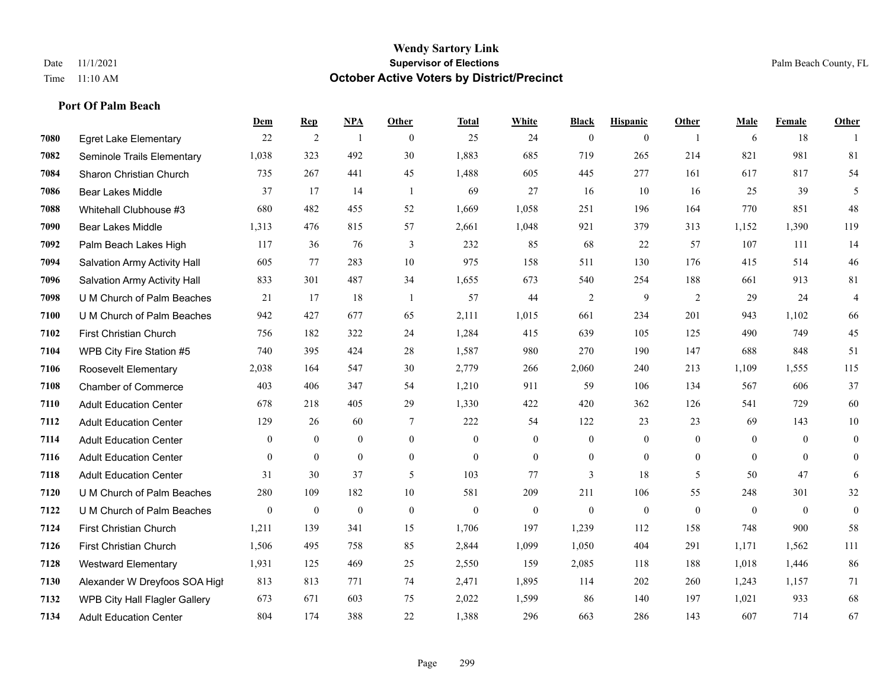|      |                               | Dem          | <b>Rep</b>       | <b>NPA</b>   | <b>Other</b>   | <b>Total</b> | White          | <b>Black</b>     | <b>Hispanic</b> | Other          | Male           | Female         | <b>Other</b>   |
|------|-------------------------------|--------------|------------------|--------------|----------------|--------------|----------------|------------------|-----------------|----------------|----------------|----------------|----------------|
| 7080 | <b>Egret Lake Elementary</b>  | 22           | $\mathfrak{2}$   |              | $\theta$       | 25           | 24             | $\boldsymbol{0}$ | $\mathbf{0}$    | $\overline{1}$ | 6              | 18             |                |
| 7082 | Seminole Trails Elementary    | 1,038        | 323              | 492          | 30             | 1,883        | 685            | 719              | 265             | 214            | 821            | 981            | 81             |
| 7084 | Sharon Christian Church       | 735          | 267              | 441          | 45             | 1,488        | 605            | 445              | 277             | 161            | 617            | 817            | 54             |
| 7086 | <b>Bear Lakes Middle</b>      | 37           | 17               | 14           | -1             | 69           | 27             | 16               | 10              | 16             | 25             | 39             | 5              |
| 7088 | Whitehall Clubhouse #3        | 680          | 482              | 455          | 52             | 1,669        | 1,058          | 251              | 196             | 164            | 770            | 851            | 48             |
| 7090 | <b>Bear Lakes Middle</b>      | 1,313        | 476              | 815          | 57             | 2,661        | 1,048          | 921              | 379             | 313            | 1,152          | 1,390          | 119            |
| 7092 | Palm Beach Lakes High         | 117          | 36               | 76           | 3              | 232          | 85             | 68               | 22              | 57             | 107            | 111            | 14             |
| 7094 | Salvation Army Activity Hall  | 605          | 77               | 283          | 10             | 975          | 158            | 511              | 130             | 176            | 415            | 514            | 46             |
| 7096 | Salvation Army Activity Hall  | 833          | 301              | 487          | 34             | 1,655        | 673            | 540              | 254             | 188            | 661            | 913            | $81\,$         |
| 7098 | U M Church of Palm Beaches    | 21           | 17               | 18           | $\overline{1}$ | 57           | 44             | $\overline{c}$   | 9               | 2              | 29             | 24             | $\overline{4}$ |
| 7100 | U M Church of Palm Beaches    | 942          | 427              | 677          | 65             | 2,111        | 1,015          | 661              | 234             | 201            | 943            | 1,102          | 66             |
| 7102 | First Christian Church        | 756          | 182              | 322          | 24             | 1,284        | 415            | 639              | 105             | 125            | 490            | 749            | 45             |
| 7104 | WPB City Fire Station #5      | 740          | 395              | 424          | 28             | 1,587        | 980            | 270              | 190             | 147            | 688            | 848            | 51             |
| 7106 | Roosevelt Elementary          | 2,038        | 164              | 547          | 30             | 2,779        | 266            | 2,060            | 240             | 213            | 1,109          | 1,555          | 115            |
| 7108 | <b>Chamber of Commerce</b>    | 403          | 406              | 347          | 54             | 1,210        | 911            | 59               | 106             | 134            | 567            | 606            | 37             |
| 7110 | <b>Adult Education Center</b> | 678          | 218              | 405          | 29             | 1,330        | 422            | 420              | 362             | 126            | 541            | 729            | 60             |
| 7112 | <b>Adult Education Center</b> | 129          | 26               | 60           | $\tau$         | 222          | 54             | 122              | 23              | 23             | 69             | 143            | 10             |
| 7114 | <b>Adult Education Center</b> | $\mathbf{0}$ | $\mathbf{0}$     | $\mathbf{0}$ | $\overline{0}$ | $\mathbf{0}$ | $\overline{0}$ | $\overline{0}$   | $\overline{0}$  | $\theta$       | $\overline{0}$ | $\theta$       | $\overline{0}$ |
| 7116 | <b>Adult Education Center</b> | $\mathbf{0}$ | $\mathbf{0}$     | $\mathbf{0}$ | $\overline{0}$ | $\mathbf{0}$ | $\overline{0}$ | $\overline{0}$   | $\overline{0}$  | $\mathbf{0}$   | $\mathbf{0}$   | $\mathbf{0}$   | $\overline{0}$ |
| 7118 | <b>Adult Education Center</b> | 31           | 30               | 37           | 5              | 103          | 77             | 3                | 18              | 5              | 50             | 47             | 6              |
| 7120 | U M Church of Palm Beaches    | 280          | 109              | 182          | 10             | 581          | 209            | 211              | 106             | 55             | 248            | 301            | 32             |
| 7122 | U M Church of Palm Beaches    | $\bf{0}$     | $\boldsymbol{0}$ | $\mathbf{0}$ | $\mathbf{0}$   | $\theta$     | $\mathbf{0}$   | $\mathbf{0}$     | $\mathbf{0}$    | $\overline{0}$ | $\mathbf{0}$   | $\overline{0}$ | $\overline{0}$ |
| 7124 | First Christian Church        | 1,211        | 139              | 341          | 15             | 1,706        | 197            | 1,239            | 112             | 158            | 748            | 900            | 58             |
| 7126 | First Christian Church        | 1,506        | 495              | 758          | 85             | 2,844        | 1,099          | 1,050            | 404             | 291            | 1,171          | 1,562          | 111            |
| 7128 | <b>Westward Elementary</b>    | 1,931        | 125              | 469          | 25             | 2,550        | 159            | 2,085            | 118             | 188            | 1,018          | 1,446          | 86             |
| 7130 | Alexander W Dreyfoos SOA High | 813          | 813              | 771          | 74             | 2,471        | 1,895          | 114              | 202             | 260            | 1,243          | 1,157          | 71             |
| 7132 | WPB City Hall Flagler Gallery | 673          | 671              | 603          | 75             | 2,022        | 1,599          | 86               | 140             | 197            | 1,021          | 933            | 68             |
| 7134 | <b>Adult Education Center</b> | 804          | 174              | 388          | 22             | 1,388        | 296            | 663              | 286             | 143            | 607            | 714            | 67             |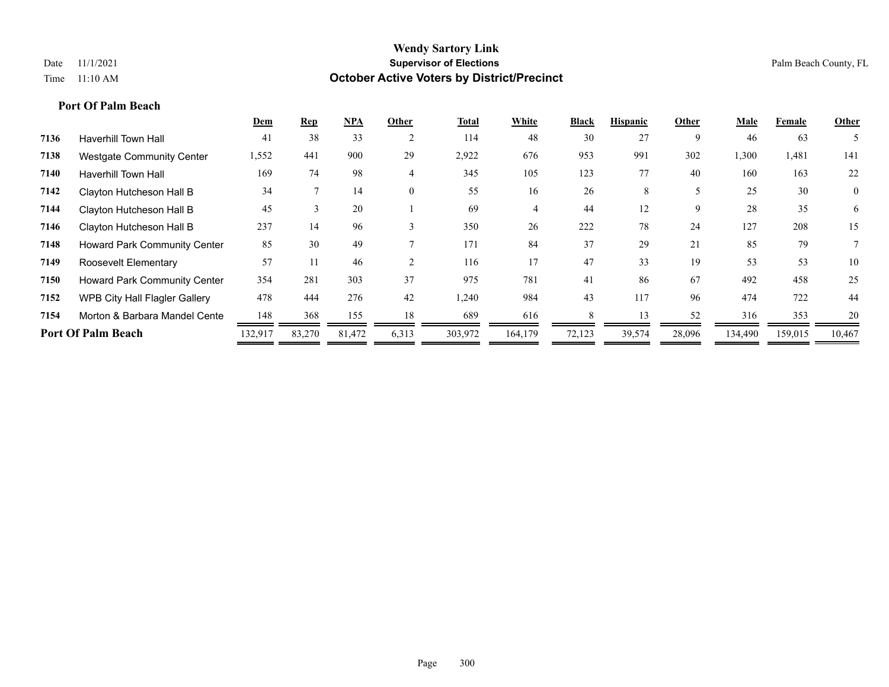|      |                                     | Dem     | Rep           | <b>NPA</b> | Other          | Total   | White   | <b>Black</b> | <b>Hispanic</b> | Other  | Male    | Female  | Other          |
|------|-------------------------------------|---------|---------------|------------|----------------|---------|---------|--------------|-----------------|--------|---------|---------|----------------|
| 7136 | <b>Haverhill Town Hall</b>          | 41      | 38            | 33         | $\overline{2}$ | 114     | 48      | 30           | 27              | 9      | 46      | 63      |                |
| 7138 | <b>Westgate Community Center</b>    | 1,552   | 441           | 900        | 29             | 2,922   | 676     | 953          | 991             | 302    | 1,300   | 1,481   | 141            |
| 7140 | <b>Haverhill Town Hall</b>          | 169     | 74            | 98         | $\overline{4}$ | 345     | 105     | 123          | 77              | 40     | 160     | 163     | 22             |
| 7142 | Clayton Hutcheson Hall B            | 34      |               | 14         | $\theta$       | 55      | 16      | 26           | 8               |        | 25      | 30      | $\overline{0}$ |
| 7144 | Clayton Hutcheson Hall B            | 45      | $\rightarrow$ | 20         |                | 69      | 4       | 44           | 12              | 9      | 28      | 35      | 6              |
| 7146 | Clayton Hutcheson Hall B            | 237     | 14            | 96         | $\mathcal{E}$  | 350     | 26      | 222          | 78              | 24     | 127     | 208     | 15             |
| 7148 | Howard Park Community Center        | 85      | 30            | 49         |                | 171     | 84      | 37           | 29              | 21     | 85      | 79      |                |
| 7149 | Roosevelt Elementary                | 57      |               | 46         |                | 116     | 17      | 47           | 33              | 19     | 53      | 53      | 10             |
| 7150 | <b>Howard Park Community Center</b> | 354     | 281           | 303        | 37             | 975     | 781     | 41           | 86              | 67     | 492     | 458     | 25             |
| 7152 | WPB City Hall Flagler Gallery       | 478     | 444           | 276        | 42             | 1,240   | 984     | 43           | 117             | 96     | 474     | 722     | 44             |
| 7154 | Morton & Barbara Mandel Cente       | 148     | 368           | 155        | 18             | 689     | 616     |              | 13              | 52     | 316     | 353     | 20             |
|      | <b>Port Of Palm Beach</b>           | 132,917 | 83,270        | 81,472     | 6,313          | 303,972 | 164,179 | 72,123       | 39,574          | 28,096 | 134,490 | 159,015 | 10,467         |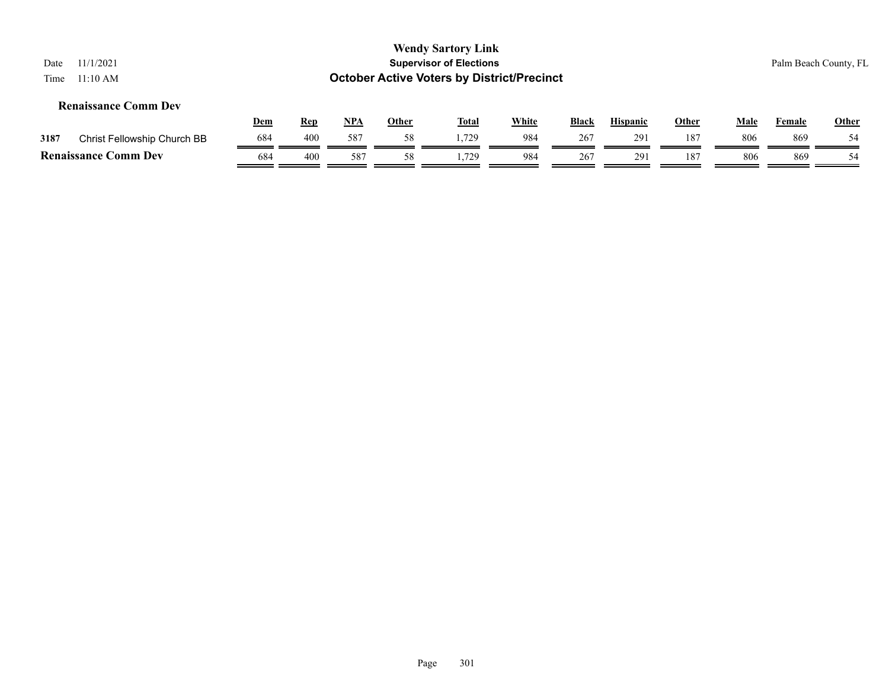|      |                             |            |            |     |              | <b>Wendy Sartory Link</b>                         |              |              |                 |              |      |                       |              |
|------|-----------------------------|------------|------------|-----|--------------|---------------------------------------------------|--------------|--------------|-----------------|--------------|------|-----------------------|--------------|
| Date | 11/1/2021                   |            |            |     |              | <b>Supervisor of Elections</b>                    |              |              |                 |              |      | Palm Beach County, FL |              |
| Time | 11:10 AM                    |            |            |     |              | <b>October Active Voters by District/Precinct</b> |              |              |                 |              |      |                       |              |
|      | <b>Renaissance Comm Dev</b> |            |            |     |              |                                                   |              |              |                 |              |      |                       |              |
|      |                             | <u>Dem</u> | <u>Rep</u> | NPA | <b>Other</b> | <b>Total</b>                                      | <u>White</u> | <b>Black</b> | <b>Hispanic</b> | <b>Other</b> | Male | Female                | <b>Other</b> |
| 3187 | Christ Fellowship Church BB | 684        | 400        | 587 | 58           | 1,729                                             | 984          | 267          | 291             | 187          | 806  | 869                   | 54           |
|      | <b>Renaissance Comm Dev</b> | 684        | 400        | 587 | 58           | 1.729                                             | 984          | 267          | 291             | 187          | 806  | 869                   | 54           |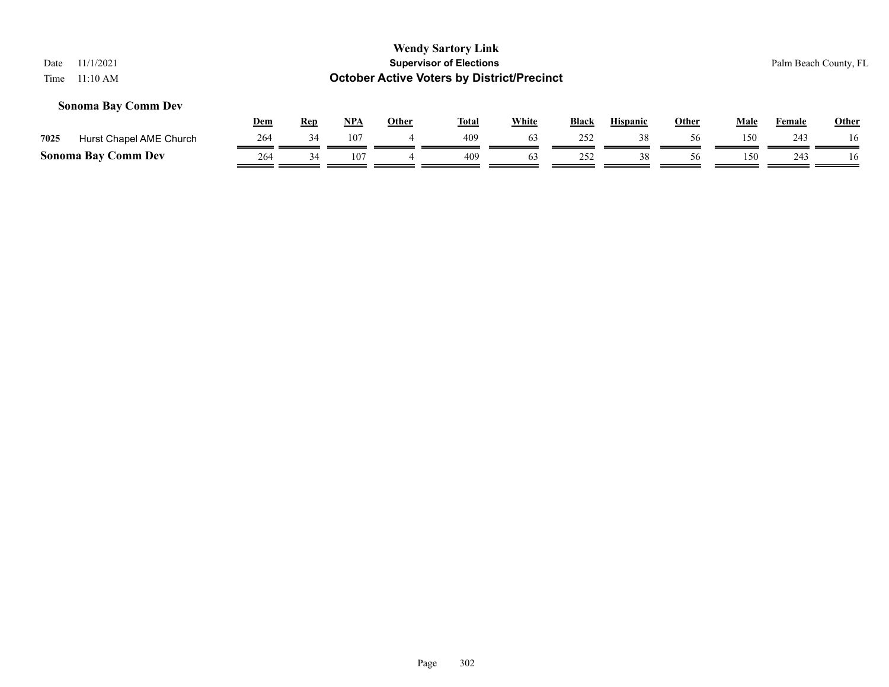## **Sonoma Bay Comm Dev**

|      |                            | Dem | Rep | NP/ | Other | <b>Total</b> | White | <b>Black</b> | <b>Hispanic</b>     | Other | Male | Female | <b>Other</b> |
|------|----------------------------|-----|-----|-----|-------|--------------|-------|--------------|---------------------|-------|------|--------|--------------|
| 7025 | Hurst Chapel AME Church    | 264 |     | 107 |       | 409          | 0.1   | 252          |                     | 56    | 150  | 243    | 16           |
|      | <b>Sonoma Bay Comm Dev</b> | 264 |     | 107 |       | 409          | h۰    | 252<br>ے بے  | $20^{\circ}$<br>٥ō. | 56    | 150  | 243    | 16           |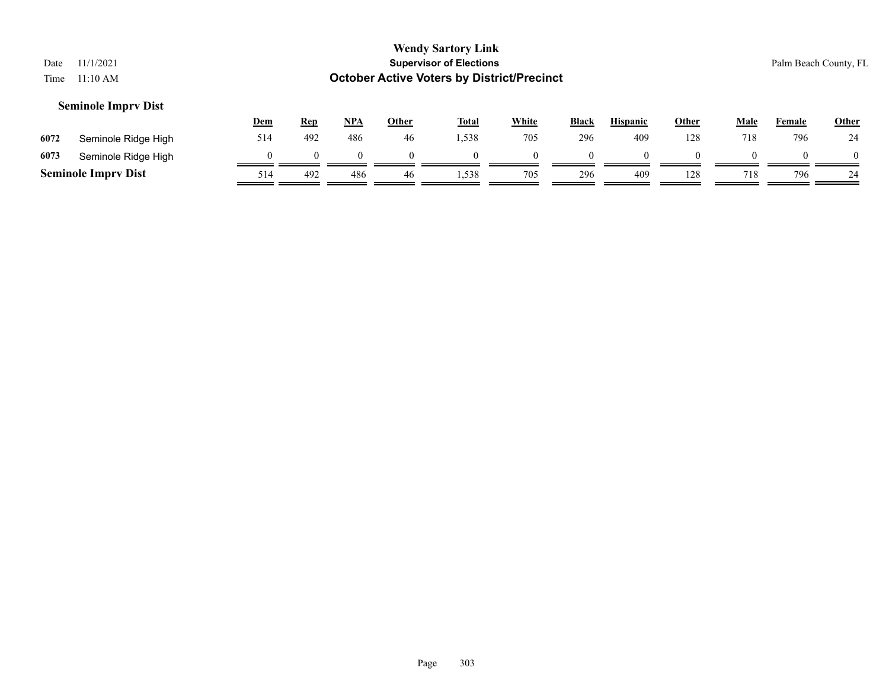# **Wendy Sartory Link** Date 11/1/2021 **Supervisor of Elections** Palm Beach County, FL Time 11:10 AM **October Active Voters by District/Precinct Dem Rep NPA Other Total White Black Hispanic Other Male Female Other Seminole Imprv Dist 6072** Seminole Ridge High 514 492 486 46 1,538 705 296 409 128 718 796 24

**6073** Seminole Ridge High  $\frac{0}{\sqrt{1-\frac{0}{2}}} = \frac{0}{\sqrt{1-\frac{0}{2}}} = \frac{0}{\sqrt{1-\frac{0}{2}}} = \frac{0}{\sqrt{1-\frac{0}{2}}} = \frac{0}{\sqrt{1-\frac{0}{2}}} = \frac{0}{\sqrt{1-\frac{0}{2}}} = \frac{0}{\sqrt{1-\frac{0}{2}}} = \frac{0}{\sqrt{1-\frac{0}{2}}} = \frac{0}{\sqrt{1-\frac{0}{2}}} = \frac{0}{\sqrt{1-\frac{0}{2}}} = \frac{0}{\sqrt{1-\frac{0}{2}}} = \frac{0}{\$ **Seminole Imprv Dist** 514 492 486 46 1,538 705 296 409 128 718 796 24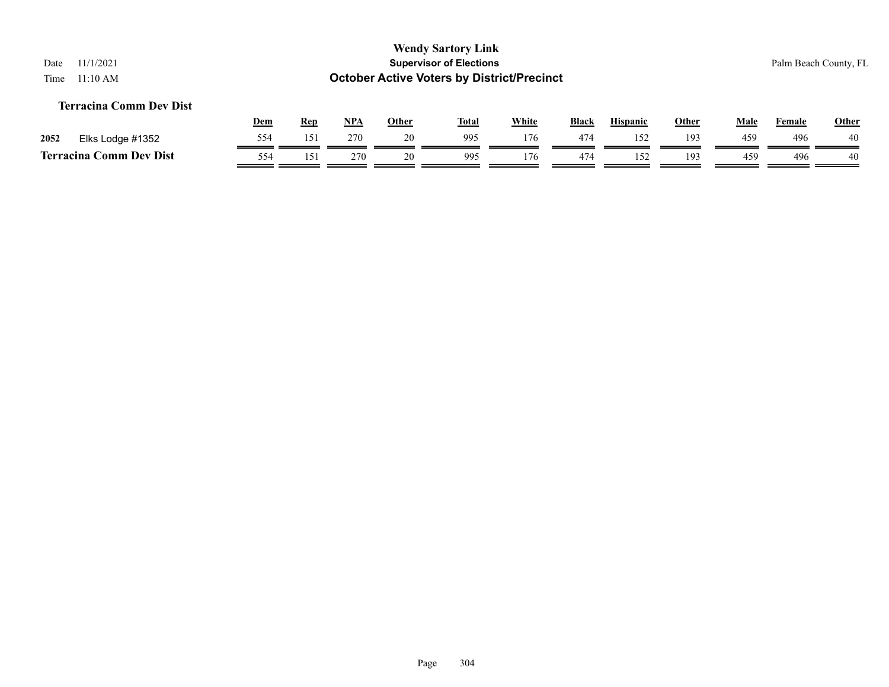## **Terracina Comm Dev Dist**

|      |                                     | Dem | Rep | <b>NPA</b> | Other | <b>Total</b> | <b>White</b> | <b>Black</b> | Hispanic | Other | Male | Female | <b>Other</b> |
|------|-------------------------------------|-----|-----|------------|-------|--------------|--------------|--------------|----------|-------|------|--------|--------------|
| 2052 | Elks Lodge #1352                    | 554 | 151 | 270        |       | 995          | 176          | 474          |          | 193   | 459  | 496    | 40           |
|      | <b>Comm Dev Dist</b><br>Terracina ( | 554 |     | 270        |       | 995          | 176          | 474          |          | 193   |      | 496    | 40           |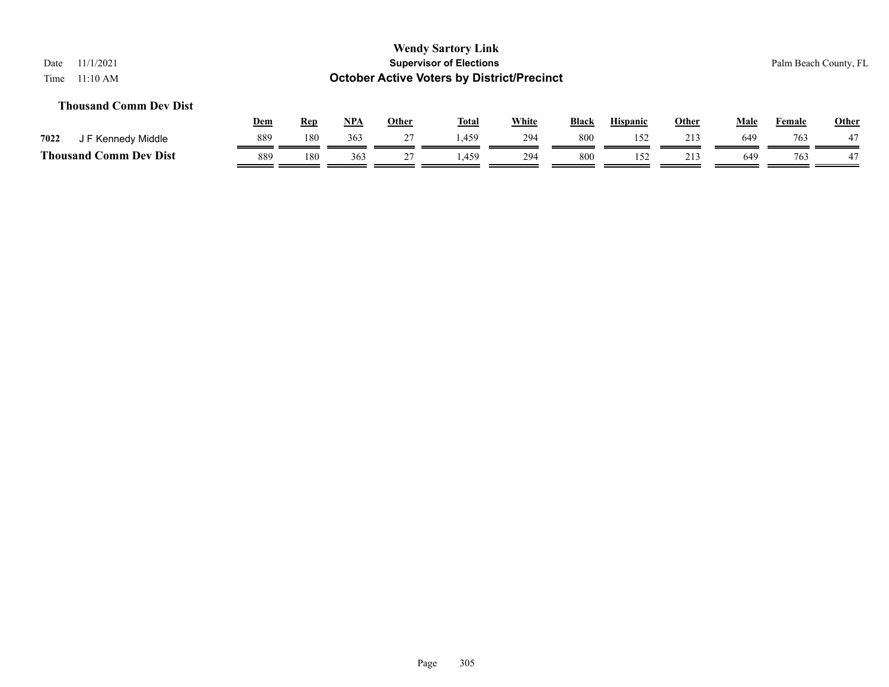## **Thousand Comm Dev Dist**

|                               | <u>Dem</u> | Rep | <b>NPA</b> | Other    | <b>Total</b> | <u>White</u> | <b>Black</b> | <b>Hispanic</b> | Other | Male | Female | <b>Other</b> |
|-------------------------------|------------|-----|------------|----------|--------------|--------------|--------------|-----------------|-------|------|--------|--------------|
| 7022<br>I F Kennedy Middle    | 889        | 180 | 363        | <u>_</u> | .459         | 294          | 800          |                 |       | 649  | 763    | 17           |
| <b>Thousand Comm Dev Dist</b> | 889        | 180 | 363        |          | .459         | 294          | 800          |                 |       | 649  | 763    |              |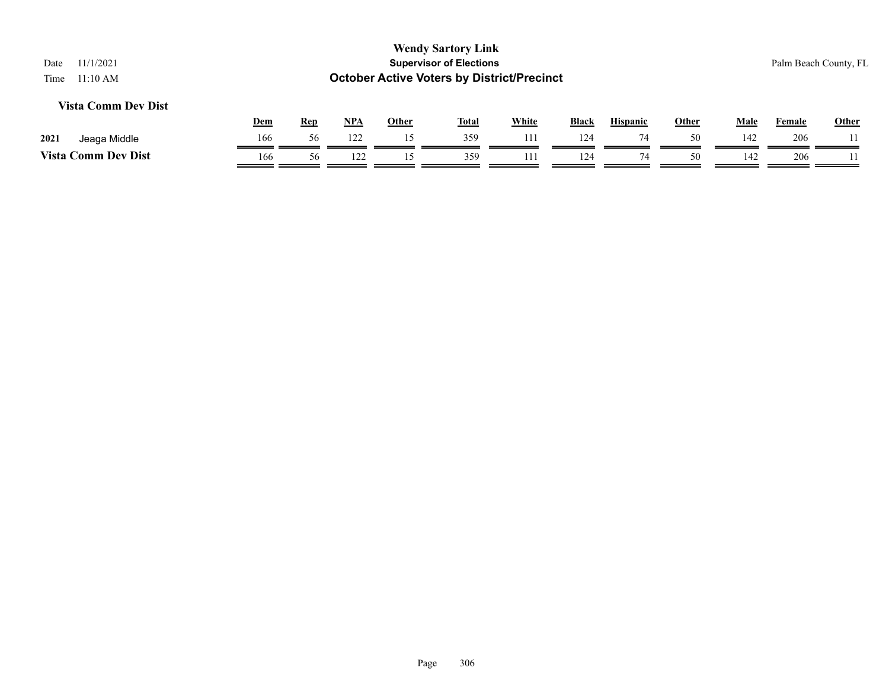## **Vista Comm Dev Dist**

|                          | Dem | Rep | <b>NPA</b>      | Other | <b>Total</b> | <b>White</b> | <b>Black</b> | <b>Hispanic</b> | Other | Male | Female | <b>Other</b> |
|--------------------------|-----|-----|-----------------|-------|--------------|--------------|--------------|-----------------|-------|------|--------|--------------|
| 2021<br>Middle<br>Jeaga  | 166 |     | 122             |       | 359          |              | 124          |                 | 50    | 142  | 206    |              |
| Vista (<br>Comm Dev Dist | 166 |     | 10 <sup>6</sup> |       | 359          |              | 124          | 7 <sub>A</sub>  | 50    | 142  | 206    |              |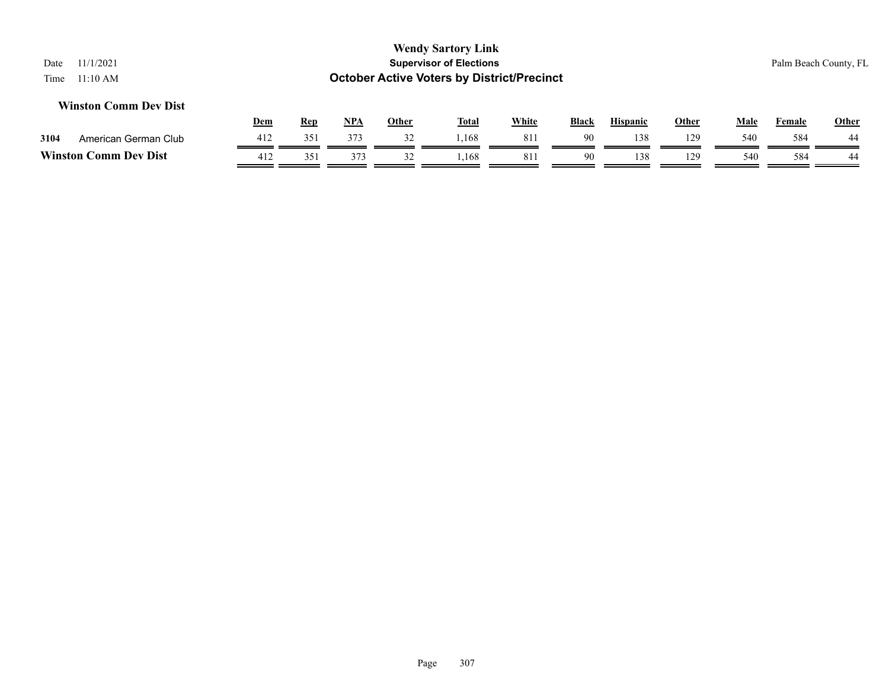#### **Winston Comm Dev Dist**

|      |                              | Dem | <b>Rep</b> | <b>NPA</b> | Other | Tota. | White | Black | <b>Hispanic</b> | Other | Male | Female | <b>Other</b> |
|------|------------------------------|-----|------------|------------|-------|-------|-------|-------|-----------------|-------|------|--------|--------------|
| 3104 | American German Club         | 412 | 351        | 373        |       | 1.168 | 81    |       | 138             | 129   | 540  | 584    | 44           |
|      | <b>Winston Comm Dev Dist</b> | 412 | 351        | 272        | ے ر   | ,168  | 811   | -90   | 138             | 129   | 540  | 584    | 44           |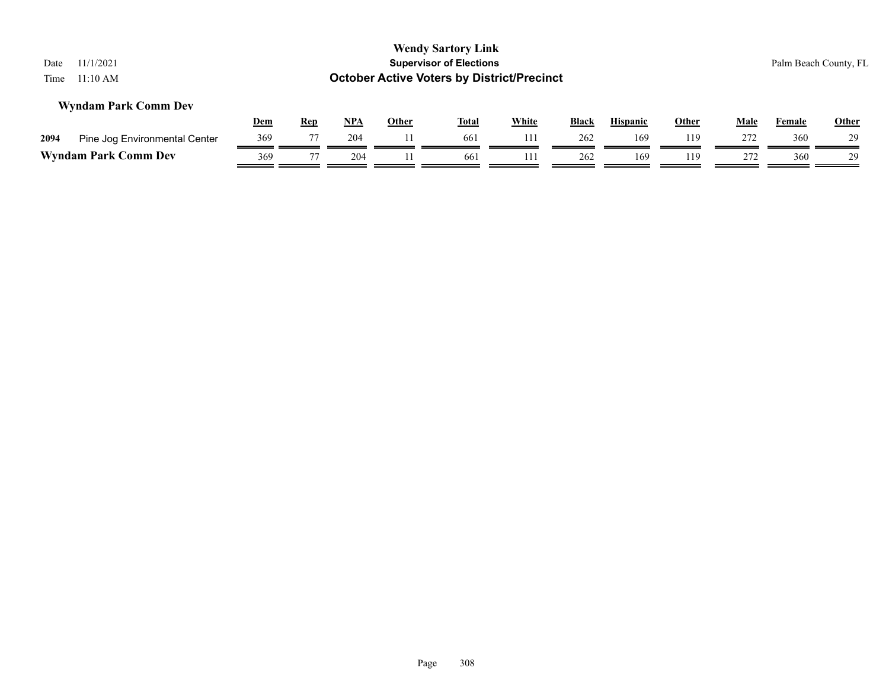| 11/1/2021<br>Date<br>11:10 AM<br>Time |            |            |            |              | <b>Wendy Sartory Link</b><br><b>Supervisor of Elections</b><br><b>October Active Voters by District/Precinct</b> |              |       |                 |              |             |               | Palm Beach County, FL |
|---------------------------------------|------------|------------|------------|--------------|------------------------------------------------------------------------------------------------------------------|--------------|-------|-----------------|--------------|-------------|---------------|-----------------------|
| <b>Wyndam Park Comm Dev</b>           | <u>Dem</u> | <b>Rep</b> | <u>NPA</u> | <u>Other</u> | <b>Total</b>                                                                                                     | <b>White</b> | Black | <b>Hispanic</b> | <u>Other</u> | <b>Male</b> | <b>Female</b> | Other                 |
| 2094<br>Pine Jog Environmental Center | 369        |            | 204        |              | 661                                                                                                              | 111          | 262   | 169             | 119          | 272         | 360           | 29                    |
| <b>Wyndam Park Comm Dev</b>           | 369        |            | 204        |              | 661                                                                                                              | 111          | 262   | 169             | 119          | 272         | 360           | 29                    |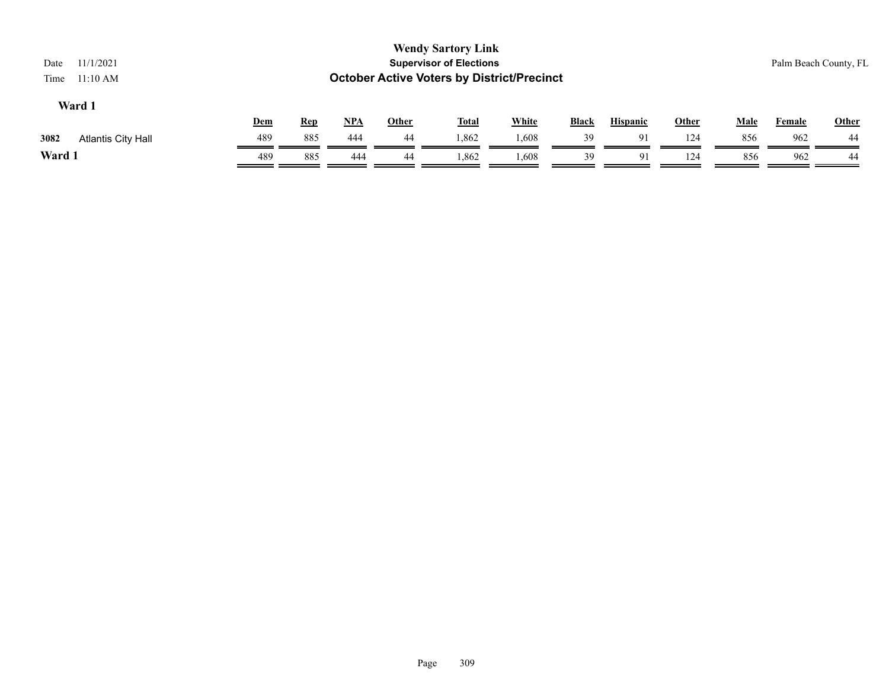| 11/1/2021<br>Date<br>$11:10$ AM<br>Time |     |            |            |              | <b>Wendy Sartory Link</b><br><b>Supervisor of Elections</b><br><b>October Active Voters by District/Precinct</b> |              |              |                 |              |             |               | Palm Beach County, FL |
|-----------------------------------------|-----|------------|------------|--------------|------------------------------------------------------------------------------------------------------------------|--------------|--------------|-----------------|--------------|-------------|---------------|-----------------------|
| Ward 1                                  | Dem | <b>Rep</b> | <u>NPA</u> | <u>Other</u> | <b>Total</b>                                                                                                     | <b>White</b> | <b>Black</b> | <b>Hispanic</b> | <b>Other</b> | <b>Male</b> | <b>Female</b> | <b>Other</b>          |
| 3082<br><b>Atlantis City Hall</b>       | 489 | 885        | 444        | 44           | 1,862                                                                                                            | 1,608        | 39           | 91              | 124          | 856         | 962           | 44                    |
| Ward 1                                  | 489 | 885        | 444        | -44          | 1,862                                                                                                            | 1,608        | 39           | 91              | 124          | 856         | 962           | 44                    |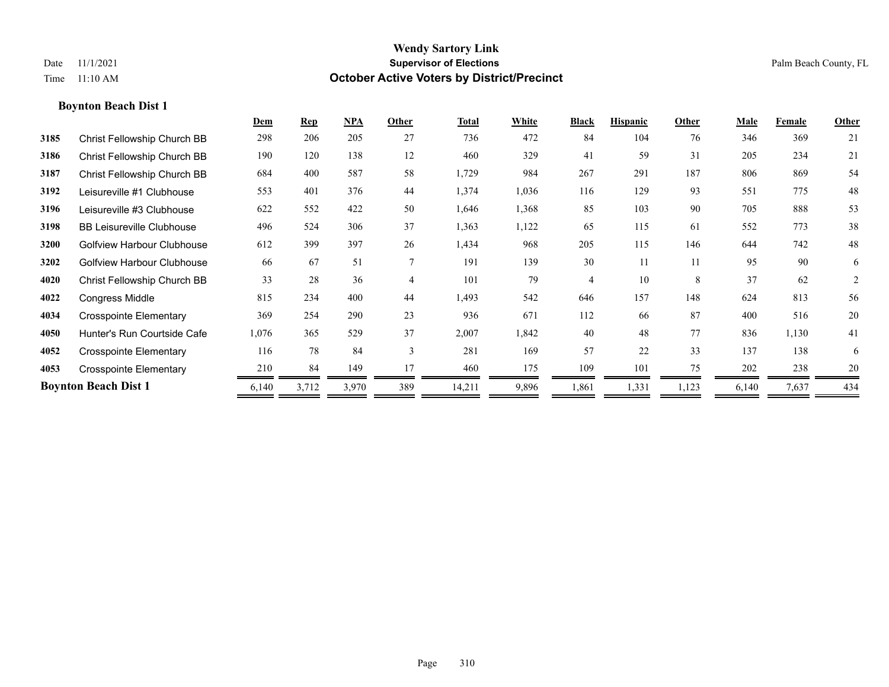|      |                                   | Dem   | <b>Rep</b> | $NPA$ | Other          | <b>Total</b> | White | <b>Black</b>   | <b>Hispanic</b> | Other | Male  | Female | Other |
|------|-----------------------------------|-------|------------|-------|----------------|--------------|-------|----------------|-----------------|-------|-------|--------|-------|
| 3185 | Christ Fellowship Church BB       | 298   | 206        | 205   | 27             | 736          | 472   | 84             | 104             | 76    | 346   | 369    | 21    |
| 3186 | Christ Fellowship Church BB       | 190   | 120        | 138   | 12             | 460          | 329   | 41             | 59              | 31    | 205   | 234    | 21    |
| 3187 | Christ Fellowship Church BB       | 684   | 400        | 587   | 58             | 1,729        | 984   | 267            | 291             | 187   | 806   | 869    | 54    |
| 3192 | Leisureville #1 Clubhouse         | 553   | 401        | 376   | 44             | 1,374        | 1,036 | 116            | 129             | 93    | 551   | 775    | 48    |
| 3196 | Leisureville #3 Clubhouse         | 622   | 552        | 422   | 50             | 1,646        | 1,368 | 85             | 103             | 90    | 705   | 888    | 53    |
| 3198 | <b>BB Leisureville Clubhouse</b>  | 496   | 524        | 306   | 37             | 1,363        | 1,122 | 65             | 115             | 61    | 552   | 773    | 38    |
| 3200 | Golfview Harbour Clubhouse        | 612   | 399        | 397   | 26             | 1,434        | 968   | 205            | 115             | 146   | 644   | 742    | 48    |
| 3202 | <b>Golfview Harbour Clubhouse</b> | 66    | 67         | 51    |                | 191          | 139   | 30             | 11              | 11    | 95    | 90     | 6     |
| 4020 | Christ Fellowship Church BB       | 33    | 28         | 36    | $\overline{4}$ | 101          | 79    | $\overline{4}$ | 10              | 8     | 37    | 62     | 2     |
| 4022 | Congress Middle                   | 815   | 234        | 400   | 44             | 1,493        | 542   | 646            | 157             | 148   | 624   | 813    | 56    |
| 4034 | <b>Crosspointe Elementary</b>     | 369   | 254        | 290   | 23             | 936          | 671   | 112            | 66              | 87    | 400   | 516    | 20    |
| 4050 | Hunter's Run Courtside Cafe       | 1,076 | 365        | 529   | 37             | 2,007        | 1,842 | 40             | 48              | 77    | 836   | 1,130  | 41    |
| 4052 | <b>Crosspointe Elementary</b>     | 116   | 78         | 84    | 3              | 281          | 169   | 57             | 22              | 33    | 137   | 138    | 6     |
| 4053 | <b>Crosspointe Elementary</b>     | 210   | 84         | 149   | 17             | 460          | 175   | 109            | 101             | 75    | 202   | 238    | 20    |
|      | <b>Boynton Beach Dist 1</b>       | 6,140 | 3,712      | 3,970 | 389            | 14,211       | 9,896 | 1,861          | 1,331           | 1,123 | 6,140 | 7,637  | 434   |
|      |                                   |       |            |       |                |              |       |                |                 |       |       |        |       |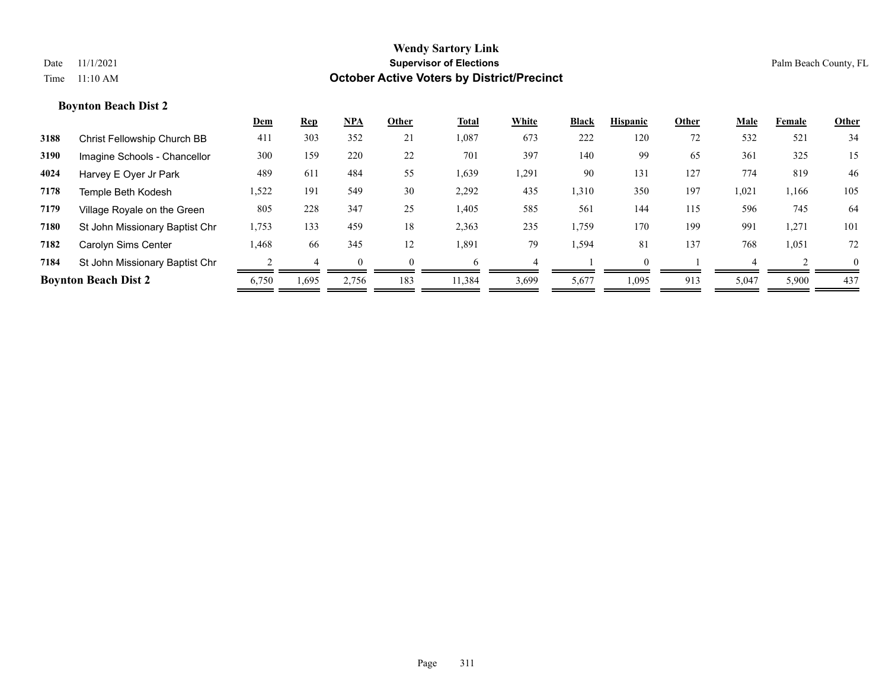|      |                                | Dem   | Rep   | <b>NPA</b> | Other    | Total  | White | <b>Black</b> | <b>Hispanic</b> | Other | Male  | Female | Other    |
|------|--------------------------------|-------|-------|------------|----------|--------|-------|--------------|-----------------|-------|-------|--------|----------|
| 3188 | Christ Fellowship Church BB    | 411   | 303   | 352        | 21       | 1,087  | 673   | 222          | 120             | 72    | 532   | 521    | 34       |
| 3190 | Imagine Schools - Chancellor   | 300   | 159   | 220        | 22       | 701    | 397   | 140          | 99              | 65    | 361   | 325    | 15       |
| 4024 | Harvey E Oyer Jr Park          | 489   | 611   | 484        | 55       | 1,639  | 1,291 | 90           | 131             | 127   | 774   | 819    | 46       |
| 7178 | Temple Beth Kodesh             | 1,522 | 191   | 549        | 30       | 2,292  | 435   | 1,310        | 350             | 197   | 1,021 | 1,166  | 105      |
| 7179 | Village Royale on the Green    | 805   | 228   | 347        | 25       | 1,405  | 585   | 561          | 144             | 115   | 596   | 745    | 64       |
| 7180 | St John Missionary Baptist Chr | 1,753 | 133   | 459        | 18       | 2,363  | 235   | 1,759        | 170             | 199   | 991   | 1,271  | 101      |
| 7182 | Carolyn Sims Center            | 1,468 | 66    | 345        | 12       | 1,891  | 79    | 1,594        | 81              | 137   | 768   | 1,051  | 72       |
| 7184 | St John Missionary Baptist Chr |       |       |            | $\Omega$ | h      |       |              | $\Omega$        |       |       |        | $\theta$ |
|      | <b>Boynton Beach Dist 2</b>    | 6,750 | 1,695 | 2,756      | 183      | 11,384 | 3,699 | 5,677        | 1,095           | 913   | 5,047 | 5,900  | 437      |
|      |                                |       |       |            |          |        |       |              |                 |       |       |        |          |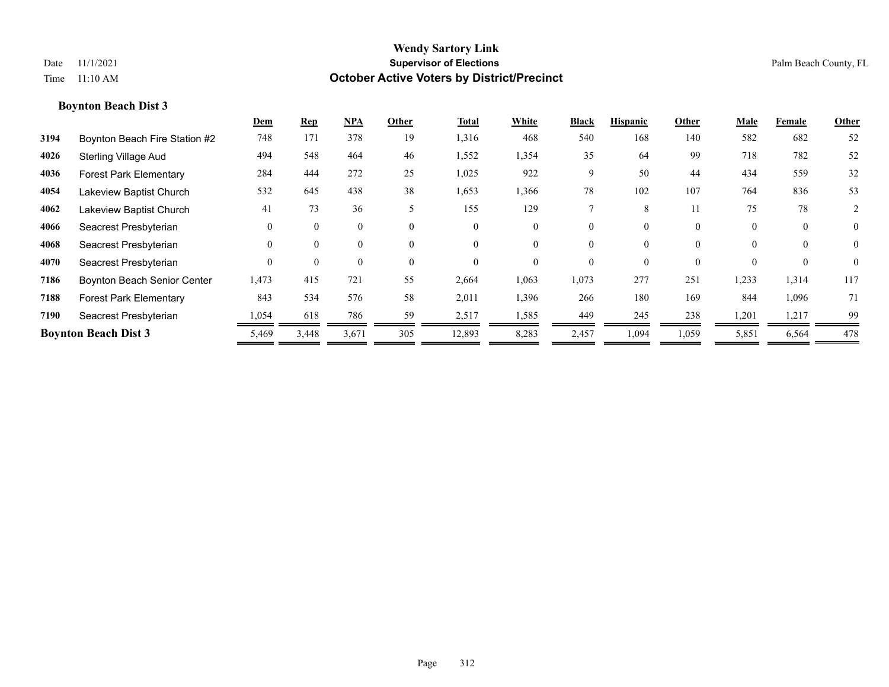|      |                               | Dem      | <b>Rep</b> | $NPA$    | Other                    | Total    | White    | <b>Black</b> | <b>Hispanic</b> | Other    | Male     | Female   | Other          |
|------|-------------------------------|----------|------------|----------|--------------------------|----------|----------|--------------|-----------------|----------|----------|----------|----------------|
| 3194 | Boynton Beach Fire Station #2 | 748      | 171        | 378      | 19                       | 1,316    | 468      | 540          | 168             | 140      | 582      | 682      | 52             |
| 4026 | <b>Sterling Village Aud</b>   | 494      | 548        | 464      | 46                       | 1,552    | 1,354    | 35           | 64              | 99       | 718      | 782      | 52             |
| 4036 | <b>Forest Park Elementary</b> | 284      | 444        | 272      | 25                       | 1,025    | 922      | 9            | 50              | 44       | 434      | 559      | 32             |
| 4054 | Lakeview Baptist Church       | 532      | 645        | 438      | 38                       | 1,653    | 1,366    | 78           | 102             | 107      | 764      | 836      | 53             |
| 4062 | Lakeview Baptist Church       | 41       | 73         | 36       | $\overline{\mathcal{L}}$ | 155      | 129      |              | 8               | 11       | 75       | 78       | 2              |
| 4066 | Seacrest Presbyterian         | $\theta$ | $\theta$   | 0        | $\theta$                 | $\theta$ | $\Omega$ | $\Omega$     | $\theta$        | $\theta$ | $\theta$ | $\theta$ | $\overline{0}$ |
| 4068 | Seacrest Presbyterian         | $\theta$ | $\theta$   | 0        | $\theta$                 | $\theta$ |          | $\Omega$     | $\theta$        | $\Omega$ | $\theta$ | $\Omega$ | $\theta$       |
| 4070 | Seacrest Presbyterian         | $\theta$ | $\theta$   | $\Omega$ | $\theta$                 | $\theta$ |          | $\Omega$     | $\Omega$        | $\theta$ | $\Omega$ | $\Omega$ | $\theta$       |
| 7186 | Boynton Beach Senior Center   | 1,473    | 415        | 721      | 55                       | 2,664    | 1,063    | 1,073        | 277             | 251      | 1,233    | 1,314    | 117            |
| 7188 | <b>Forest Park Elementary</b> | 843      | 534        | 576      | 58                       | 2,011    | 1,396    | 266          | 180             | 169      | 844      | 1,096    | 71             |
| 7190 | Seacrest Presbyterian         | 1,054    | 618        | 786      | 59                       | 2,517    | 1,585    | 449          | 245             | 238      | 1,201    | 1,217    | 99             |
|      | <b>Boynton Beach Dist 3</b>   | 5,469    | 3,448      | 3,671    | 305                      | 12,893   | 8,283    | 2,457        | 1,094           | 1,059    | 5,851    | 6,564    | 478            |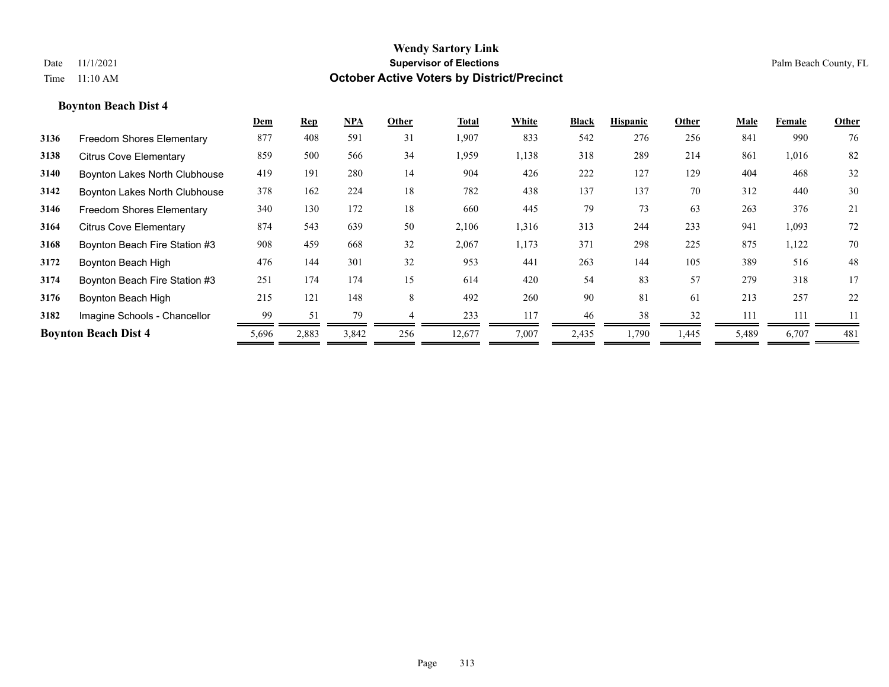|      |                                  | Dem   | <u>Rep</u> | NPA   | Other | Total  | White | <b>Black</b> | <b>Hispanic</b> | Other | Male  | Female | Other |
|------|----------------------------------|-------|------------|-------|-------|--------|-------|--------------|-----------------|-------|-------|--------|-------|
| 3136 | <b>Freedom Shores Elementary</b> | 877   | 408        | 591   | 31    | 1,907  | 833   | 542          | 276             | 256   | 841   | 990    | 76    |
| 3138 | <b>Citrus Cove Elementary</b>    | 859   | 500        | 566   | 34    | 1,959  | 1,138 | 318          | 289             | 214   | 861   | 1,016  | 82    |
| 3140 | Boynton Lakes North Clubhouse    | 419   | 191        | 280   | 14    | 904    | 426   | 222          | 127             | 129   | 404   | 468    | 32    |
| 3142 | Boynton Lakes North Clubhouse    | 378   | 162        | 224   | 18    | 782    | 438   | 137          | 137             | 70    | 312   | 440    | 30    |
| 3146 | <b>Freedom Shores Elementary</b> | 340   | 130        | 172   | 18    | 660    | 445   | 79           | 73              | 63    | 263   | 376    | 21    |
| 3164 | <b>Citrus Cove Elementary</b>    | 874   | 543        | 639   | 50    | 2,106  | 1,316 | 313          | 244             | 233   | 941   | 1,093  | 72    |
| 3168 | Boynton Beach Fire Station #3    | 908   | 459        | 668   | 32    | 2,067  | 1,173 | 371          | 298             | 225   | 875   | 1,122  | 70    |
| 3172 | Boynton Beach High               | 476   | 144        | 301   | 32    | 953    | 441   | 263          | 144             | 105   | 389   | 516    | 48    |
| 3174 | Boynton Beach Fire Station #3    | 251   | 174        | 174   | 15    | 614    | 420   | 54           | 83              | 57    | 279   | 318    | 17    |
| 3176 | Boynton Beach High               | 215   | 121        | 148   | 8     | 492    | 260   | 90           | 81              | 61    | 213   | 257    | 22    |
| 3182 | Imagine Schools - Chancellor     | 99    | 51         | 79    |       | 233    | 117   | 46           | 38              | 32    | 111   | 111    | 11    |
|      | <b>Boynton Beach Dist 4</b>      | 5,696 | 2,883      | 3,842 | 256   | 12,677 | 7,007 | 2,435        | 1,790           | 1,445 | 5,489 | 6,707  | 481   |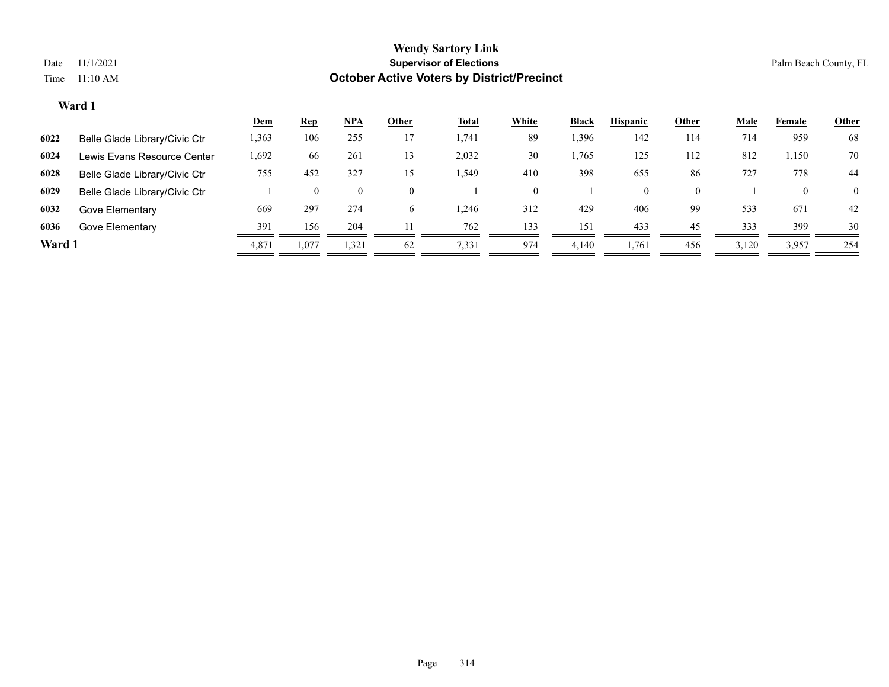|        |                               | Dem   | <u>Rep</u> | <b>NPA</b> | Other | <b>Total</b> | White | <b>Black</b> | <b>Hispanic</b> | Other        | <b>Male</b> | Female   | <b>Other</b>   |
|--------|-------------------------------|-------|------------|------------|-------|--------------|-------|--------------|-----------------|--------------|-------------|----------|----------------|
| 6022   | Belle Glade Library/Civic Ctr | 1,363 | 106        | 255        |       | 1,741        | 89    | 1,396        | 142             | 114          | 714         | 959      | 68             |
| 6024   | Lewis Evans Resource Center   | 1,692 | -66        | 261        | 13    | 2,032        | 30    | .,765        | 125             | 112          | 812         | 1,150    | 70             |
| 6028   | Belle Glade Library/Civic Ctr | 755   | 452        | 327        | 15    | 549ء         | 410   | 398          | 655             | 86           | 727         | 778      | 44             |
| 6029   | Belle Glade Library/Civic Ctr |       |            |            |       |              |       |              | $\theta$        | $\mathbf{0}$ |             | $\bf{0}$ | $\overline{0}$ |
| 6032   | Gove Elementary               | 669   | 297        | 274        | b.    | 1,246        | 312   | 429          | 406             | 99           | 533         | 671      | 42             |
| 6036   | Gove Elementary               | 391   | 156        | 204        |       | 762          | 133   | 151          | 433             | 45           | 333         | 399      | 30             |
| Ward 1 |                               | 4,871 | 1,077      | 1,321      | 62    | 7,331        | 974   | 4,140        | 1,761           | 456          | 3,120       | 3,957    | 254            |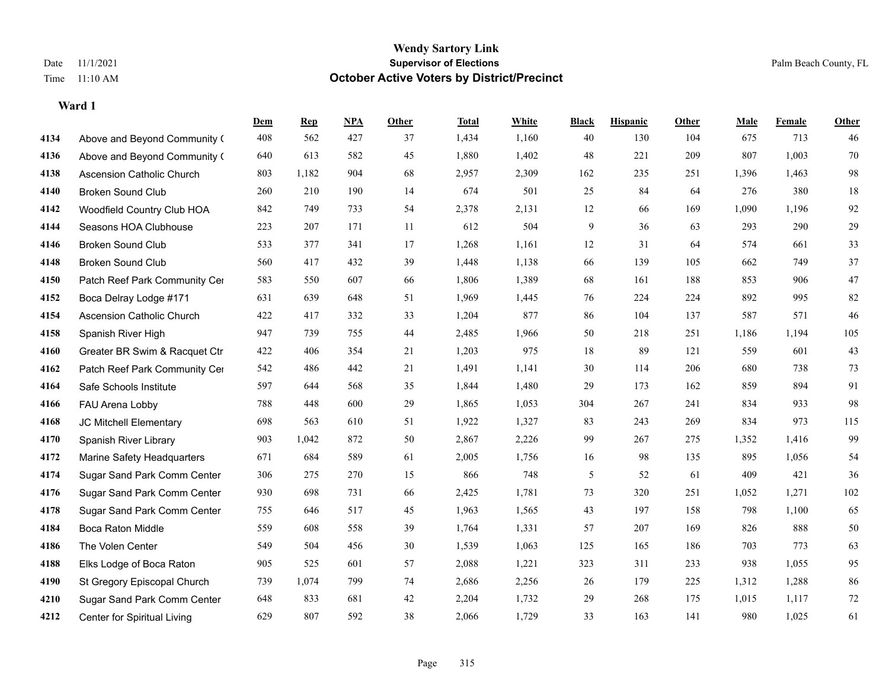|      |                                  | Dem | <b>Rep</b> | NPA | <b>Other</b> | <b>Total</b> | <b>White</b> | <b>Black</b> | <b>Hispanic</b> | Other | <b>Male</b> | <b>Female</b> | <b>Other</b> |
|------|----------------------------------|-----|------------|-----|--------------|--------------|--------------|--------------|-----------------|-------|-------------|---------------|--------------|
| 4134 | Above and Beyond Community (     | 408 | 562        | 427 | 37           | 1,434        | 1,160        | 40           | 130             | 104   | 675         | 713           | 46           |
| 4136 | Above and Beyond Community (     | 640 | 613        | 582 | 45           | 1,880        | 1,402        | 48           | 221             | 209   | 807         | 1,003         | 70           |
| 4138 | <b>Ascension Catholic Church</b> | 803 | 1,182      | 904 | 68           | 2,957        | 2,309        | 162          | 235             | 251   | 1,396       | 1,463         | $\bf{98}$    |
| 4140 | <b>Broken Sound Club</b>         | 260 | 210        | 190 | 14           | 674          | 501          | 25           | 84              | 64    | 276         | 380           | 18           |
| 4142 | Woodfield Country Club HOA       | 842 | 749        | 733 | 54           | 2,378        | 2,131        | 12           | 66              | 169   | 1,090       | 1,196         | 92           |
| 4144 | Seasons HOA Clubhouse            | 223 | 207        | 171 | $11\,$       | 612          | 504          | 9            | 36              | 63    | 293         | 290           | $29\,$       |
| 4146 | <b>Broken Sound Club</b>         | 533 | 377        | 341 | 17           | 1,268        | 1,161        | 12           | 31              | 64    | 574         | 661           | 33           |
| 4148 | <b>Broken Sound Club</b>         | 560 | 417        | 432 | 39           | 1,448        | 1,138        | 66           | 139             | 105   | 662         | 749           | 37           |
| 4150 | Patch Reef Park Community Cer    | 583 | 550        | 607 | 66           | 1,806        | 1,389        | 68           | 161             | 188   | 853         | 906           | $47\,$       |
| 4152 | Boca Delray Lodge #171           | 631 | 639        | 648 | 51           | 1,969        | 1,445        | 76           | 224             | 224   | 892         | 995           | $82\,$       |
| 4154 | Ascension Catholic Church        | 422 | 417        | 332 | 33           | 1,204        | 877          | 86           | 104             | 137   | 587         | 571           | 46           |
| 4158 | Spanish River High               | 947 | 739        | 755 | 44           | 2,485        | 1,966        | 50           | 218             | 251   | 1,186       | 1,194         | 105          |
| 4160 | Greater BR Swim & Racquet Ctr    | 422 | 406        | 354 | 21           | 1,203        | 975          | 18           | 89              | 121   | 559         | 601           | $43\,$       |
| 4162 | Patch Reef Park Community Cer    | 542 | 486        | 442 | 21           | 1,491        | 1,141        | 30           | 114             | 206   | 680         | 738           | 73           |
| 4164 | Safe Schools Institute           | 597 | 644        | 568 | 35           | 1,844        | 1,480        | 29           | 173             | 162   | 859         | 894           | 91           |
| 4166 | FAU Arena Lobby                  | 788 | 448        | 600 | 29           | 1,865        | 1,053        | 304          | 267             | 241   | 834         | 933           | 98           |
| 4168 | JC Mitchell Elementary           | 698 | 563        | 610 | 51           | 1,922        | 1,327        | 83           | 243             | 269   | 834         | 973           | 115          |
| 4170 | Spanish River Library            | 903 | 1,042      | 872 | 50           | 2,867        | 2,226        | 99           | 267             | 275   | 1,352       | 1,416         | 99           |
| 4172 | Marine Safety Headquarters       | 671 | 684        | 589 | 61           | 2,005        | 1,756        | 16           | 98              | 135   | 895         | 1,056         | 54           |
| 4174 | Sugar Sand Park Comm Center      | 306 | 275        | 270 | 15           | 866          | 748          | 5            | 52              | 61    | 409         | 421           | 36           |
| 4176 | Sugar Sand Park Comm Center      | 930 | 698        | 731 | 66           | 2,425        | 1,781        | 73           | 320             | 251   | 1,052       | 1,271         | 102          |
| 4178 | Sugar Sand Park Comm Center      | 755 | 646        | 517 | 45           | 1,963        | 1,565        | 43           | 197             | 158   | 798         | 1,100         | 65           |
| 4184 | Boca Raton Middle                | 559 | 608        | 558 | 39           | 1,764        | 1,331        | 57           | 207             | 169   | 826         | 888           | $50\,$       |
| 4186 | The Volen Center                 | 549 | 504        | 456 | 30           | 1,539        | 1,063        | 125          | 165             | 186   | 703         | 773           | 63           |
| 4188 | Elks Lodge of Boca Raton         | 905 | 525        | 601 | 57           | 2,088        | 1,221        | 323          | 311             | 233   | 938         | 1,055         | 95           |
| 4190 | St Gregory Episcopal Church      | 739 | 1,074      | 799 | 74           | 2,686        | 2,256        | 26           | 179             | 225   | 1,312       | 1,288         | 86           |
| 4210 | Sugar Sand Park Comm Center      | 648 | 833        | 681 | 42           | 2,204        | 1,732        | 29           | 268             | 175   | 1,015       | 1,117         | $72\,$       |
| 4212 | Center for Spiritual Living      | 629 | 807        | 592 | 38           | 2,066        | 1,729        | 33           | 163             | 141   | 980         | 1,025         | 61           |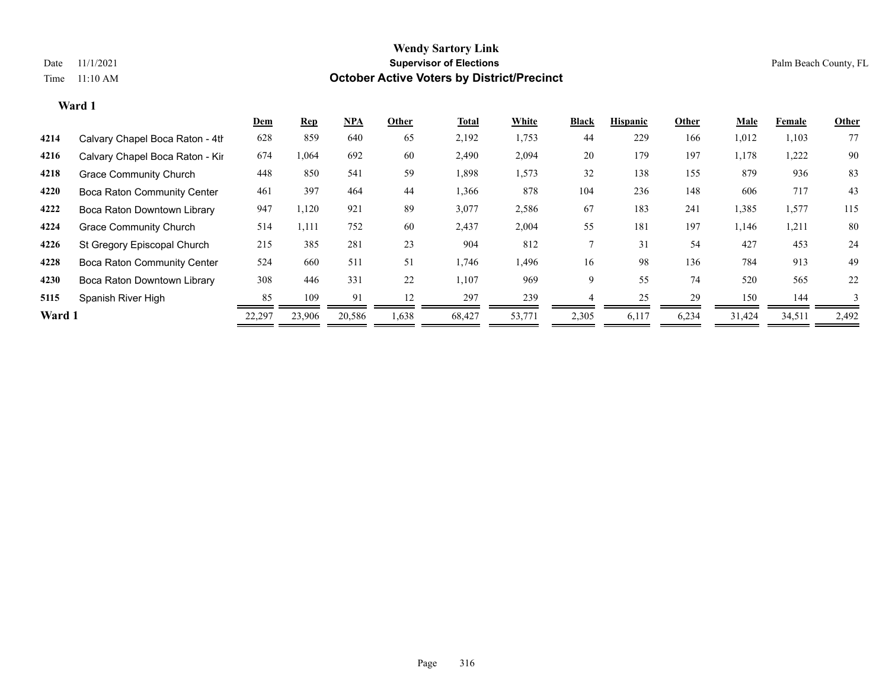|        |                                    | <b>Dem</b> | <b>Rep</b> | <u>NPA</u> | Other | Total  | White  | <b>Black</b> | <b>Hispanic</b> | Other | Male   | Female | Other |
|--------|------------------------------------|------------|------------|------------|-------|--------|--------|--------------|-----------------|-------|--------|--------|-------|
| 4214   | Calvary Chapel Boca Raton - 4th    | 628        | 859        | 640        | 65    | 2,192  | 1,753  | 44           | 229             | 166   | 1,012  | 1,103  | 77    |
| 4216   | Calvary Chapel Boca Raton - Kir    | 674        | 1,064      | 692        | 60    | 2,490  | 2,094  | 20           | 179             | 197   | 1,178  | 1,222  | 90    |
| 4218   | <b>Grace Community Church</b>      | 448        | 850        | 541        | 59    | 1,898  | 1,573  | 32           | 138             | 155   | 879    | 936    | 83    |
| 4220   | <b>Boca Raton Community Center</b> | 461        | 397        | 464        | 44    | 1,366  | 878    | 104          | 236             | 148   | 606    | 717    | 43    |
| 4222   | Boca Raton Downtown Library        | 947        | 1,120      | 921        | 89    | 3,077  | 2,586  | 67           | 183             | 241   | 1,385  | 1,577  | 115   |
| 4224   | <b>Grace Community Church</b>      | 514        | 1,111      | 752        | 60    | 2,437  | 2,004  | 55           | 181             | 197   | 1,146  | 1,211  | 80    |
| 4226   | St Gregory Episcopal Church        | 215        | 385        | 281        | 23    | 904    | 812    |              | 31              | 54    | 427    | 453    | 24    |
| 4228   | <b>Boca Raton Community Center</b> | 524        | 660        | 511        | 51    | 1,746  | 1,496  | 16           | 98              | 136   | 784    | 913    | 49    |
| 4230   | Boca Raton Downtown Library        | 308        | 446        | 331        | 22    | 1,107  | 969    | 9            | 55              | 74    | 520    | 565    | 22    |
| 5115   | Spanish River High                 | 85         | 109        | 91         | 12    | 297    | 239    |              | 25              | 29    | 150    | 144    |       |
| Ward 1 |                                    | 22,297     | 23,906     | 20,586     | 1,638 | 68,427 | 53,771 | 2,305        | 6,117           | 6,234 | 31,424 | 34,511 | 2,492 |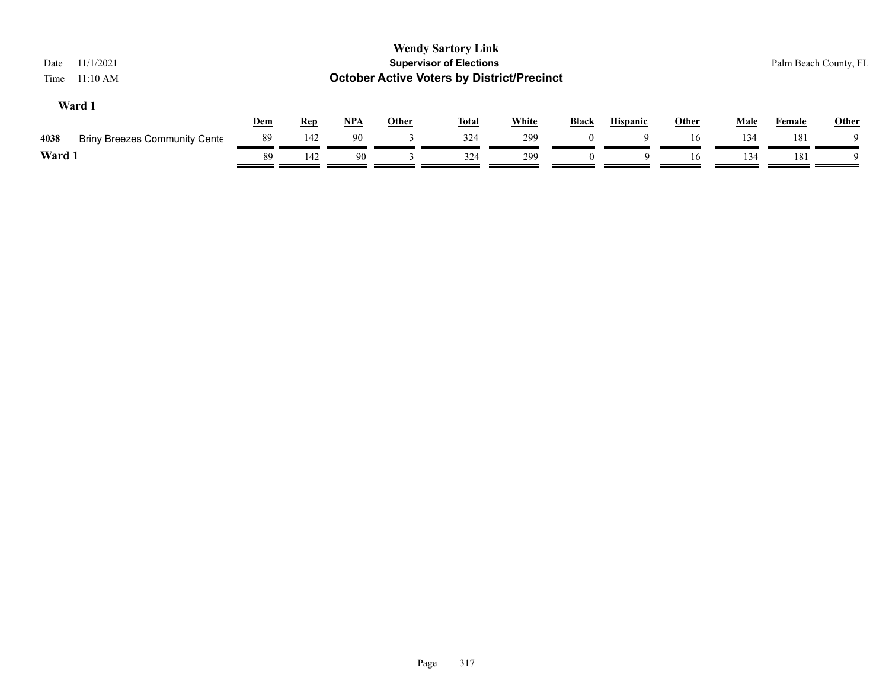| <b>Wendy Sartory Link</b><br><b>Supervisor of Elections</b><br>11/1/2021<br>Date<br><b>October Active Voters by District/Precinct</b><br>11:10 AM<br>Time |     |            |       |              |              |              |              |                 |              |             |               | Palm Beach County, FL |
|-----------------------------------------------------------------------------------------------------------------------------------------------------------|-----|------------|-------|--------------|--------------|--------------|--------------|-----------------|--------------|-------------|---------------|-----------------------|
| Ward 1                                                                                                                                                    | Dem | <b>Rep</b> | $NPA$ | <b>Other</b> | <b>Total</b> | <b>White</b> | <b>Black</b> | <b>Hispanic</b> | <b>Other</b> | <u>Male</u> | <b>Female</b> | <b>Other</b>          |
| 4038<br><b>Briny Breezes Community Cente</b>                                                                                                              | 89  | 142        | 90    |              | 324          | 299          | $\theta$     | - Q             | 16           | 134         | 181           |                       |
| Ward 1                                                                                                                                                    | 89  | 142        | 90    |              | 324          | 299          | $\Omega$     | $\Omega$        | 16           | 134         | 181           | Q                     |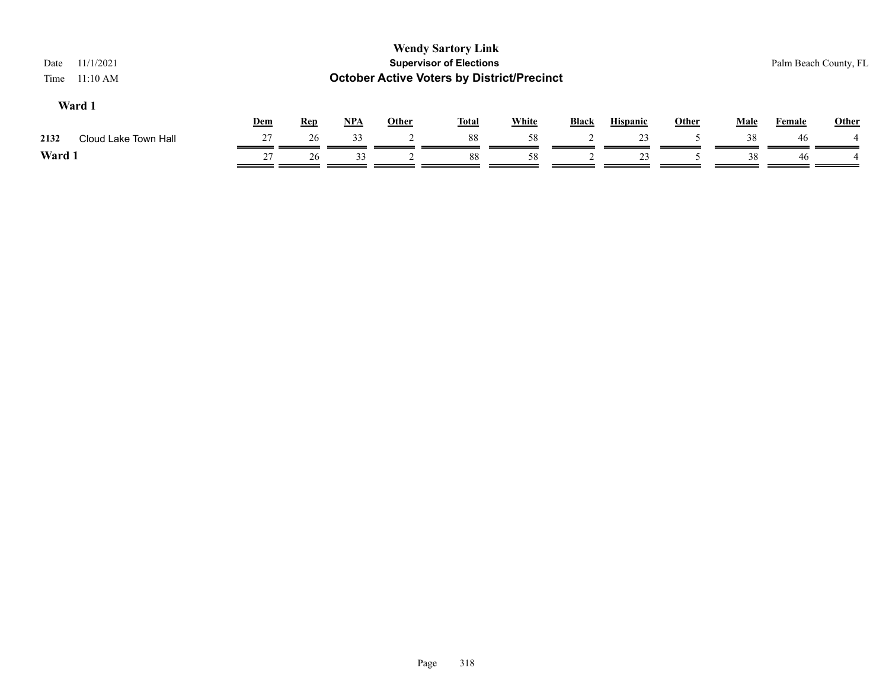| 11/1/2021<br>Date<br>11:10 AM<br>Time |     |            |            |              | <b>Wendy Sartory Link</b><br><b>Supervisor of Elections</b><br><b>October Active Voters by District/Precinct</b> |              |       |                 |              |             |               | Palm Beach County, FL |
|---------------------------------------|-----|------------|------------|--------------|------------------------------------------------------------------------------------------------------------------|--------------|-------|-----------------|--------------|-------------|---------------|-----------------------|
| Ward 1                                | Dem | <b>Rep</b> | <u>NPA</u> | <b>Other</b> | <b>Total</b>                                                                                                     | <b>White</b> | Black | <b>Hispanic</b> | <b>Other</b> | <b>Male</b> | <b>Female</b> | <b>Other</b>          |
| Cloud Lake Town Hall<br>2132          | 27  | 26         | 33         |              | 88                                                                                                               | 58           |       | 23              |              | 38          | 46            |                       |
| Ward 1                                | 27  | 26         | 33         |              | 88                                                                                                               | 58           |       | 23              |              | 38          | 46            |                       |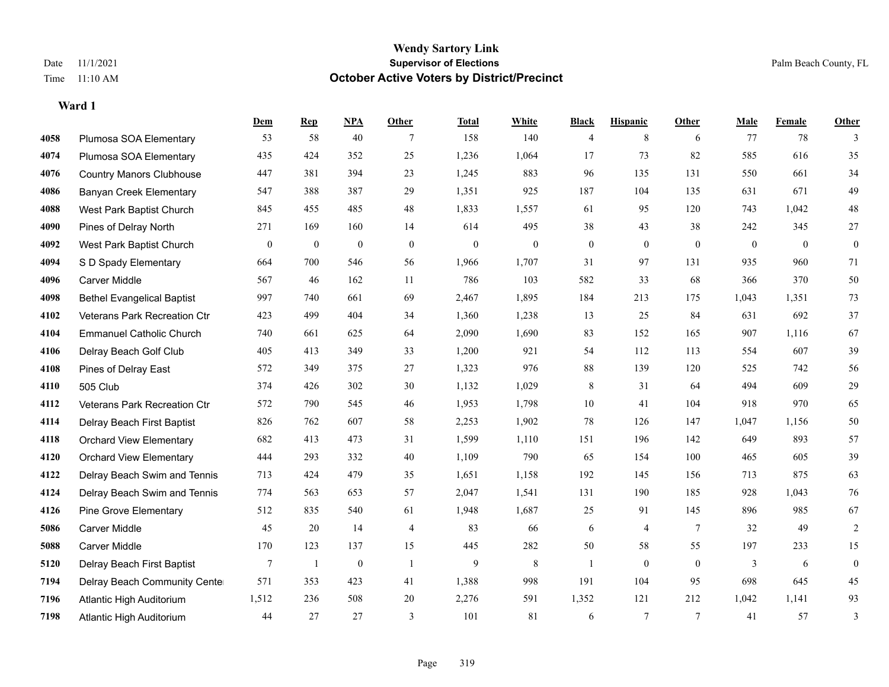**Ward 1**

#### **Wendy Sartory Link** Date 11/1/2021 **Supervisor of Elections** Palm Beach County, FL Time 11:10 AM **October Active Voters by District/Precinct**

# **Dem Rep NPA Other Total White Black Hispanic Other Male Female Other** Plumosa SOA Elementary 53 58 40 7 158 140 4 8 6 77 78 3 Plumosa SOA Elementary 435 424 352 25 1,236 1,064 17 73 82 585 616 35 Country Manors Clubhouse 447 381 394 23 1,245 883 96 135 131 550 661 34 Banyan Creek Elementary 547 388 387 29 1,351 925 187 104 135 631 671 49 West Park Baptist Church 845 455 485 48 1,833 1,557 61 95 120 743 1,042 48 Pines of Delray North 271 169 160 14 614 495 38 43 38 242 345 27 West Park Baptist Church 0 0 0 0 0 0 0 0 0 0 0 0 S D Spady Elementary 664 700 546 56 1,966 1,707 31 97 131 935 960 71 Carver Middle 567 46 162 11 786 103 582 33 68 366 370 50 Bethel Evangelical Baptist 997 740 661 69 2,467 1,895 184 213 175 1,043 1,351 73 Veterans Park Recreation Ctr 423 499 404 34 1,360 1,238 13 25 84 631 692 37 Emmanuel Catholic Church 740 661 625 64 2,090 1,690 83 152 165 907 1,116 67 Delray Beach Golf Club 405 413 349 33 1,200 921 54 112 113 554 607 39 Pines of Delray East 572 349 375 27 1,323 976 88 139 120 525 742 56 505 Club 374 426 302 30 1,132 1,029 8 31 64 494 609 29 Veterans Park Recreation Ctr 572 790 545 46 1,953 1,798 10 41 104 918 970 65 Delray Beach First Baptist 826 762 607 58 2,253 1,902 78 126 147 1,047 1,156 50 Orchard View Elementary 682 413 473 31 1,599 1,110 151 196 142 649 893 57 Orchard View Elementary 444 293 332 40 1,109 790 65 154 100 465 605 39 Delray Beach Swim and Tennis 713 424 479 35 1,651 1,158 192 145 156 713 875 63 Delray Beach Swim and Tennis 774 563 653 57 2,047 1,541 131 190 185 928 1,043 76 Pine Grove Elementary 512 835 540 61 1,948 1,687 25 91 145 896 985 67 Carver Middle 45 20 14 4 83 66 6 4 7 32 49 2 Carver Middle 170 123 137 15 445 282 50 58 55 197 233 15 Delray Beach First Baptist 7 1 0 1 9 8 1 0 0 3 6 0 Delray Beach Community Center 571 353 423 41 1,388 998 191 104 95 698 645 45 Atlantic High Auditorium 1,512 236 508 20 2,276 591 1,352 121 212 1,042 1,141 93 Atlantic High Auditorium 44 27 27 3 101 81 6 7 7 41 57 3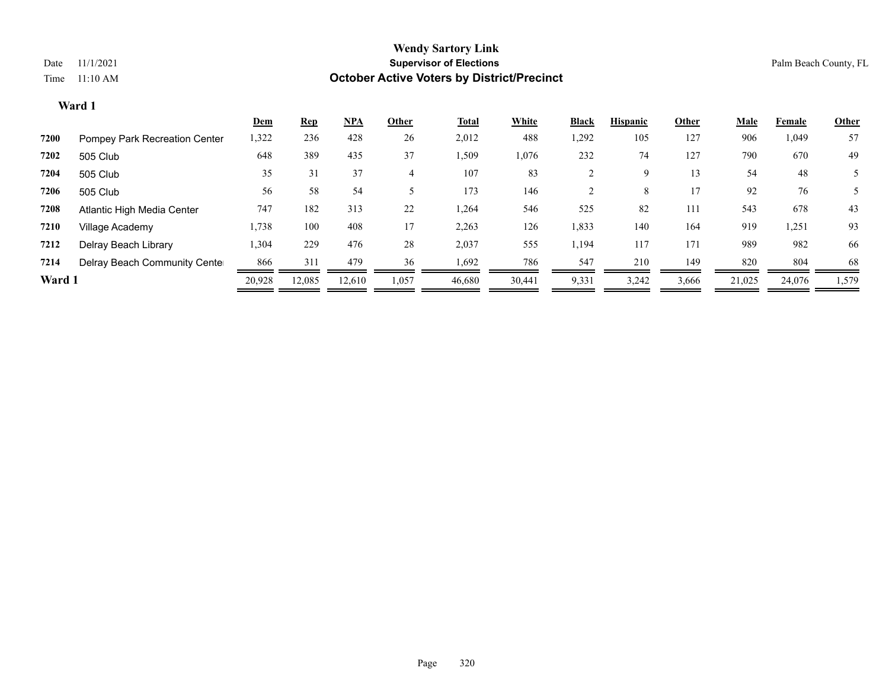|        |                               | <u>Dem</u> | <b>Rep</b> | <u>NPA</u> | Other | <b>Total</b> | White  | <b>Black</b> | <b>Hispanic</b> | Other | Male   | Female | <b>Other</b> |
|--------|-------------------------------|------------|------------|------------|-------|--------------|--------|--------------|-----------------|-------|--------|--------|--------------|
| 7200   | Pompey Park Recreation Center | 1,322      | 236        | 428        | 26    | 2,012        | 488    | 1,292        | 105             | 127   | 906    | 1,049  | 57           |
| 7202   | 505 Club                      | 648        | 389        | 435        | 37    | 1,509        | 1,076  | 232          | 74              | 127   | 790    | 670    | 49           |
| 7204   | 505 Club                      | 35         | 31         | 37         | 4     | 107          | 83     |              | 9               | 13    | 54     | 48     |              |
| 7206   | 505 Club                      | 56         | 58         | 54         |       | 173          | 146    |              | 8               | 17    | 92     | 76     |              |
| 7208   | Atlantic High Media Center    | 747        | 182        | 313        | 22    | 1,264        | 546    | 525          | 82              | 111   | 543    | 678    | 43           |
| 7210   | Village Academy               | 1,738      | 100        | 408        | 17    | 2,263        | 126    | 1,833        | 140             | 164   | 919    | 1,251  | 93           |
| 7212   | Delray Beach Library          | 1,304      | 229        | 476        | 28    | 2,037        | 555    | 1,194        | 117             | 171   | 989    | 982    | 66           |
| 7214   | Delray Beach Community Cente  | 866        | 311        | 479        | 36    | 1,692        | 786    | 547          | 210             | 149   | 820    | 804    | 68           |
| Ward 1 |                               | 20,928     | 12,085     | 12.610     | .057  | 46,680       | 30,441 | 9,331        | 3,242           | 3,666 | 21,025 | 24,076 | 1,579        |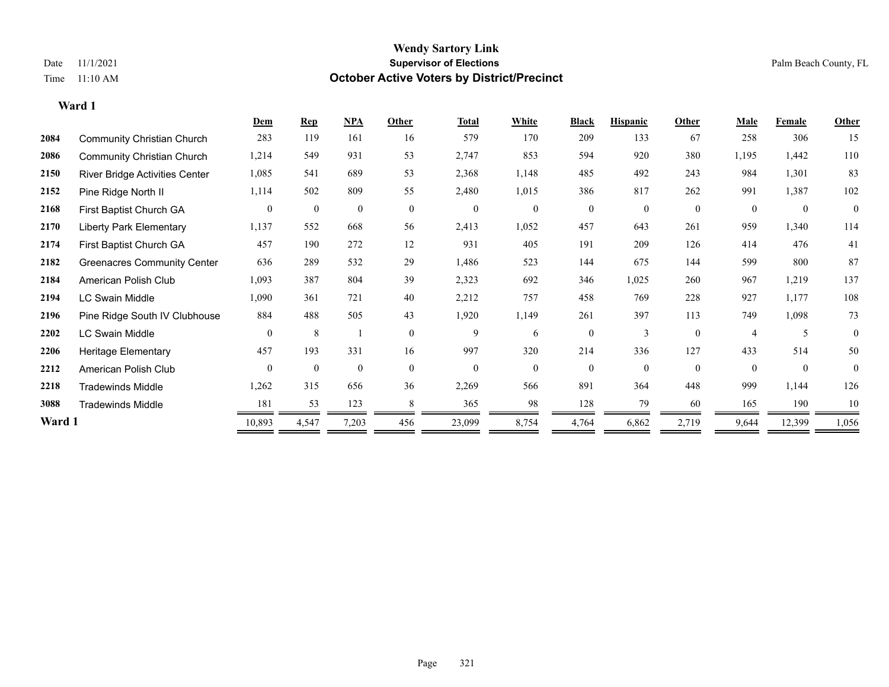|        |                                    | Dem            | <b>Rep</b>   | NPA              | Other          | <b>Total</b>     | White        | <b>Black</b>   | <b>Hispanic</b> | Other          | Male           | Female           | Other          |
|--------|------------------------------------|----------------|--------------|------------------|----------------|------------------|--------------|----------------|-----------------|----------------|----------------|------------------|----------------|
| 2084   | <b>Community Christian Church</b>  | 283            | 119          | 161              | 16             | 579              | 170          | 209            | 133             | 67             | 258            | 306              | 15             |
| 2086   | <b>Community Christian Church</b>  | 1,214          | 549          | 931              | 53             | 2,747            | 853          | 594            | 920             | 380            | 1,195          | 1,442            | 110            |
| 2150   | River Bridge Activities Center     | 1,085          | 541          | 689              | 53             | 2,368            | 1,148        | 485            | 492             | 243            | 984            | 1,301            | 83             |
| 2152   | Pine Ridge North II                | 1,114          | 502          | 809              | 55             | 2,480            | 1,015        | 386            | 817             | 262            | 991            | 1,387            | 102            |
| 2168   | First Baptist Church GA            | $\overline{0}$ | $\mathbf{0}$ | $\boldsymbol{0}$ | $\mathbf{0}$   | $\boldsymbol{0}$ | $\mathbf{0}$ | $\overline{0}$ | $\overline{0}$  | $\overline{0}$ | $\theta$       | $\boldsymbol{0}$ | $\overline{0}$ |
| 2170   | <b>Liberty Park Elementary</b>     | 1,137          | 552          | 668              | 56             | 2,413            | 1,052        | 457            | 643             | 261            | 959            | 1,340            | 114            |
| 2174   | First Baptist Church GA            | 457            | 190          | 272              | 12             | 931              | 405          | 191            | 209             | 126            | 414            | 476              | 41             |
| 2182   | <b>Greenacres Community Center</b> | 636            | 289          | 532              | 29             | 1,486            | 523          | 144            | 675             | 144            | 599            | 800              | 87             |
| 2184   | American Polish Club               | 1,093          | 387          | 804              | 39             | 2,323            | 692          | 346            | 1,025           | 260            | 967            | 1,219            | 137            |
| 2194   | <b>LC Swain Middle</b>             | 1,090          | 361          | 721              | 40             | 2,212            | 757          | 458            | 769             | 228            | 927            | 1,177            | 108            |
| 2196   | Pine Ridge South IV Clubhouse      | 884            | 488          | 505              | 43             | 1,920            | 1,149        | 261            | 397             | 113            | 749            | 1,098            | 73             |
| 2202   | <b>LC Swain Middle</b>             | $\Omega$       | 8            |                  | $\theta$       | 9                | 6            | $\overline{0}$ | 3               | $\theta$       | $\overline{4}$ |                  | $\theta$       |
| 2206   | Heritage Elementary                | 457            | 193          | 331              | 16             | 997              | 320          | 214            | 336             | 127            | 433            | 514              | 50             |
| 2212   | American Polish Club               | $\theta$       | $\mathbf{0}$ | $\mathbf{0}$     | $\overline{0}$ | $\mathbf{0}$     | $\mathbf{0}$ | $\overline{0}$ | $\theta$        | $\overline{0}$ | $\theta$       | $\overline{0}$   | $\theta$       |
| 2218   | <b>Tradewinds Middle</b>           | 1,262          | 315          | 656              | 36             | 2,269            | 566          | 891            | 364             | 448            | 999            | 1,144            | 126            |
| 3088   | <b>Tradewinds Middle</b>           | 181            | 53           | 123              | 8              | 365              | 98           | 128            | 79              | 60             | 165            | 190              | 10             |
| Ward 1 |                                    | 10,893         | 4,547        | 7,203            | 456            | 23,099           | 8,754        | 4,764          | 6,862           | 2,719          | 9,644          | 12,399           | 1,056          |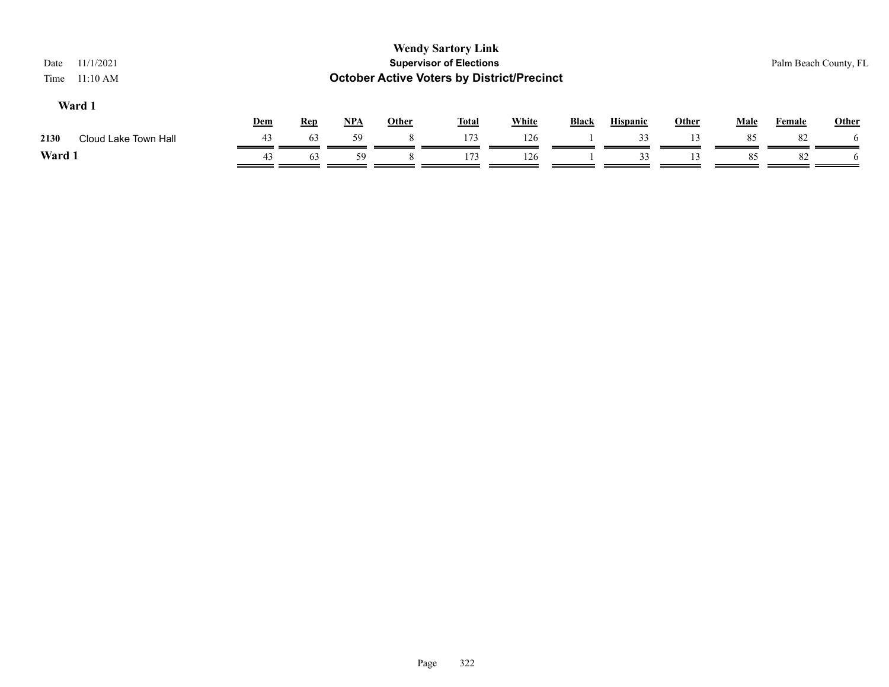| 11/1/2021<br>Date<br>11:10 AM<br>Time |     |            |       |              | <b>Wendy Sartory Link</b><br><b>Supervisor of Elections</b><br><b>October Active Voters by District/Precinct</b> |              |       |                 |              |      | Palm Beach County, FL |              |
|---------------------------------------|-----|------------|-------|--------------|------------------------------------------------------------------------------------------------------------------|--------------|-------|-----------------|--------------|------|-----------------------|--------------|
| Ward 1                                | Dem | <b>Rep</b> | $NPA$ | <b>Other</b> | <b>Total</b>                                                                                                     | <b>White</b> | Black | <b>Hispanic</b> | <b>Other</b> | Male | Female                | Other        |
| Cloud Lake Town Hall<br>2130          | 43  | 63         | 59    |              | 173                                                                                                              | 126          |       | 33              | 13.          | 85   | 82                    | <sub>0</sub> |
| Ward 1                                | 43  | 63         | 59    |              | 173                                                                                                              | 126          |       | 33              |              | 85   | 82                    | <sub>n</sub> |
|                                       |     |            |       |              |                                                                                                                  |              |       |                 |              |      |                       |              |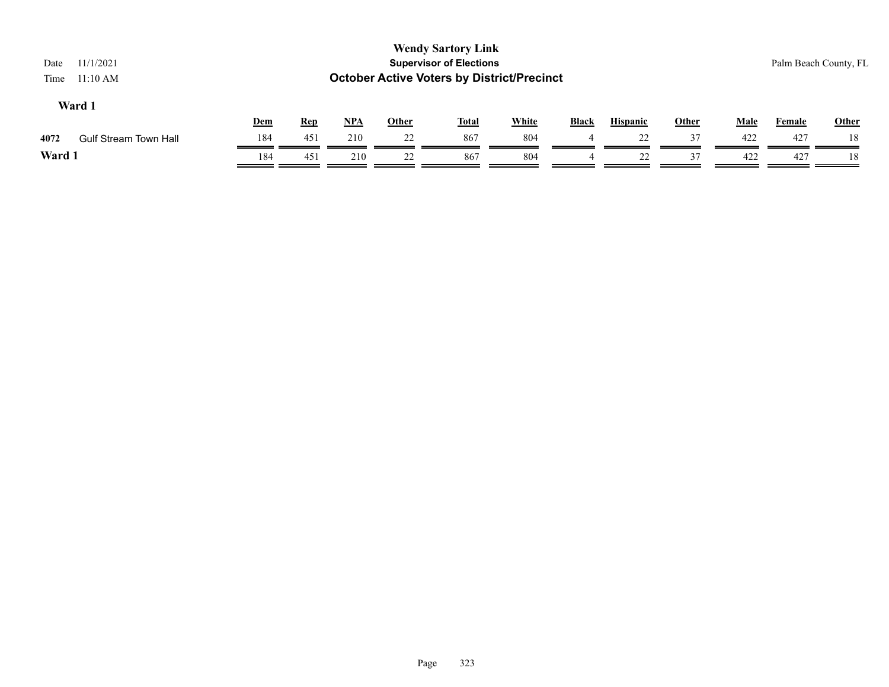| Date<br>Time | 11/1/2021<br>$11:10$ AM      |     |            |            |              | <b>Wendy Sartory Link</b><br><b>Supervisor of Elections</b><br><b>October Active Voters by District/Precinct</b> |              |              |                 |              |             | Palm Beach County, FL |              |
|--------------|------------------------------|-----|------------|------------|--------------|------------------------------------------------------------------------------------------------------------------|--------------|--------------|-----------------|--------------|-------------|-----------------------|--------------|
|              | Ward 1                       | Dem | <u>Rep</u> | <u>NPA</u> | <b>Other</b> | <b>Total</b>                                                                                                     | <b>White</b> | <b>Black</b> | <b>Hispanic</b> | <b>Other</b> | <b>Male</b> | Female                | <b>Other</b> |
| 4072         | <b>Gulf Stream Town Hall</b> | 184 | 451        | 210        | 22           | 867                                                                                                              | 804          |              | 22              | 37           | 422         | 427                   | 18           |
| Ward 1       |                              | 184 | 451        | 210        | 22           | 867                                                                                                              | 804          |              | 22              | 37           | 422         | 427                   | 18           |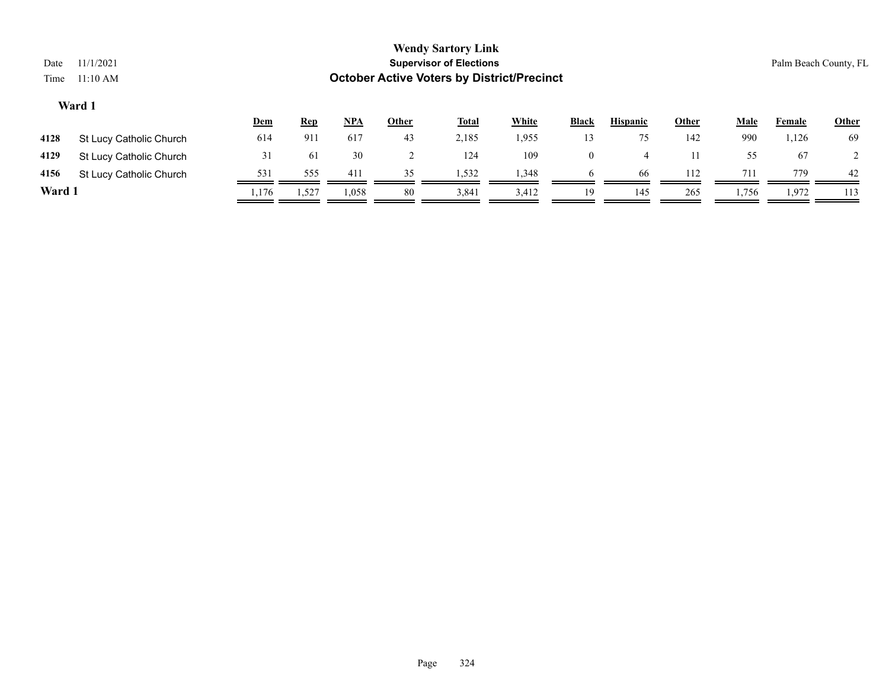| Date<br>Time | <b>Wendy Sartory Link</b><br><b>Supervisor of Elections</b><br>11/1/2021<br>Palm Beach County, FL<br><b>October Active Voters by District/Precinct</b><br>11:10 AM |       |            |            |       |              |              |                |                 |              |       |        |              |
|--------------|--------------------------------------------------------------------------------------------------------------------------------------------------------------------|-------|------------|------------|-------|--------------|--------------|----------------|-----------------|--------------|-------|--------|--------------|
|              | Ward 1                                                                                                                                                             | Dem   | <u>Rep</u> | <u>NPA</u> | Other | <b>Total</b> | <b>White</b> | <b>Black</b>   | <b>Hispanic</b> | <b>Other</b> | Male  | Female | <b>Other</b> |
| 4128         | St Lucy Catholic Church                                                                                                                                            | 614   | 911        | 617        | 43    | 2,185        | 1,955        | 13             | 75              | 142          | 990   | 1,126  | -69          |
| 4129         | St Lucy Catholic Church                                                                                                                                            | 31    | 61         | 30         |       | 124          | 109          | $\overline{0}$ | $\overline{4}$  | 11           | 55    | 67     |              |
| 4156         | St Lucy Catholic Church                                                                                                                                            | 531   | 555        | 411        | 35    | 1,532        | 1,348        | 6              | 66              | 112          | 711   | 779    | 42           |
| Ward 1       |                                                                                                                                                                    | 1,176 | 1,527      | 1,058      | 80    | 3,841        | 3,412        | 19             | 145             | 265          | 1,756 | 1,972  | 113          |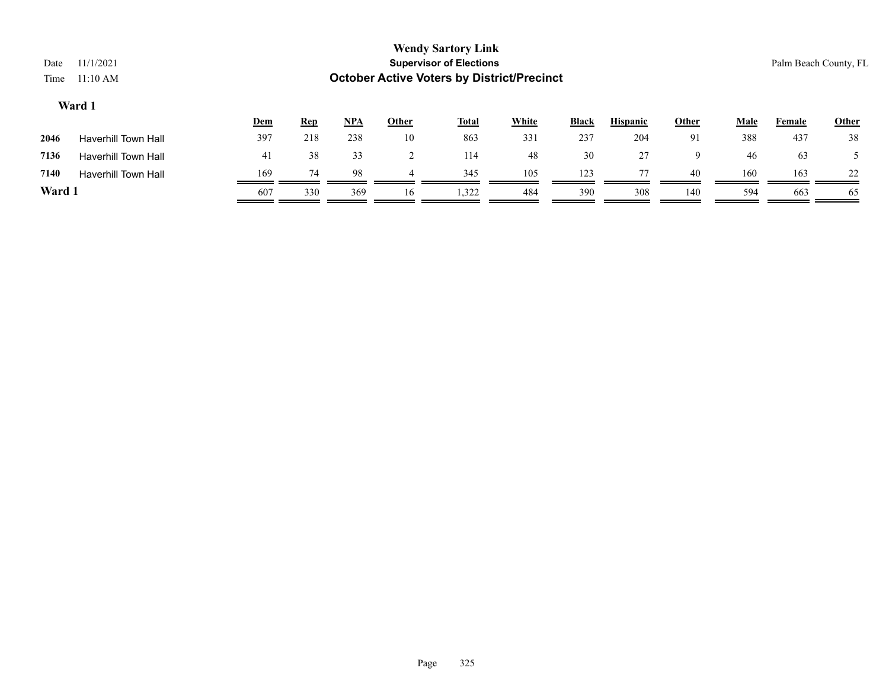| Date<br>Time | 11/1/2021<br>11:10 AM      |     |            |            |       | <b>Wendy Sartory Link</b><br><b>Supervisor of Elections</b><br><b>October Active Voters by District/Precinct</b> |              |              |                 |              |      |        | Palm Beach County, FL |
|--------------|----------------------------|-----|------------|------------|-------|------------------------------------------------------------------------------------------------------------------|--------------|--------------|-----------------|--------------|------|--------|-----------------------|
|              | Ward 1                     | Dem | <u>Rep</u> | <u>NPA</u> | Other | <b>Total</b>                                                                                                     | <b>White</b> | <b>Black</b> | <b>Hispanic</b> | <b>Other</b> | Male | Female | <b>Other</b>          |
| 2046         | Haverhill Town Hall        | 397 | 218        | 238        | 10    | 863                                                                                                              | 331          | 237          | 204             | 91           | 388  | 437    | 38                    |
| 7136         | <b>Haverhill Town Hall</b> | 41  | 38         | 33         |       | 114                                                                                                              | 48           | 30           | 27              | 9            | 46   | 63     |                       |
| 7140         | <b>Haverhill Town Hall</b> | 169 | 74         | 98         | 4     | 345                                                                                                              | 105          | 123          | 77              | 40           | 160  | 163    | 22                    |
| Ward 1       |                            | 607 | 330        | 369        | 16    | 1,322                                                                                                            | 484          | 390          | 308             | 140          | 594  | 663    | 65                    |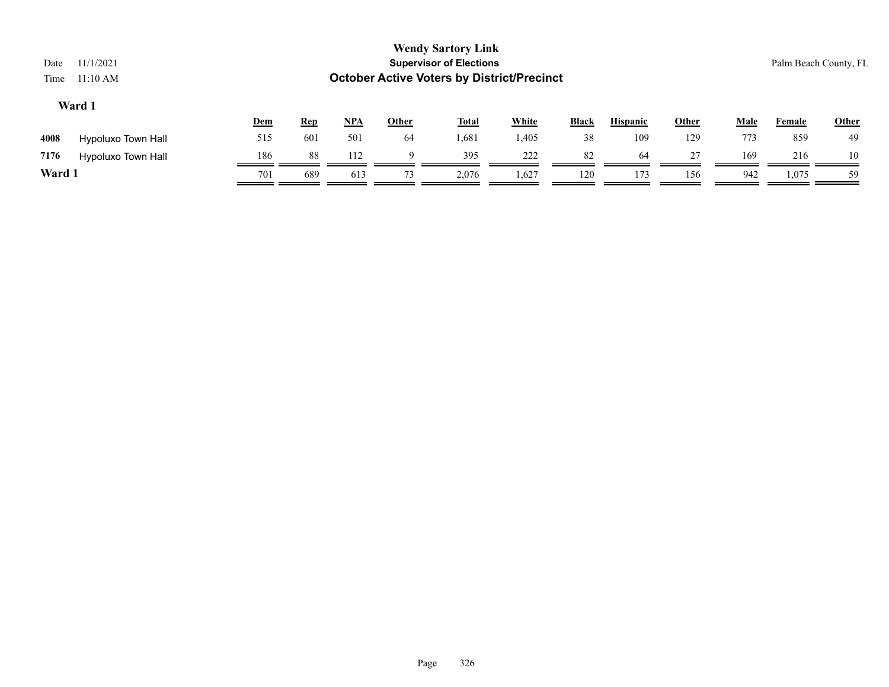|        |                    |     |            |            |              | <b>Wendy Sartory Link</b>                         |              |              |                 |       |             |                       |              |
|--------|--------------------|-----|------------|------------|--------------|---------------------------------------------------|--------------|--------------|-----------------|-------|-------------|-----------------------|--------------|
| Date   | 11/1/2021          |     |            |            |              | <b>Supervisor of Elections</b>                    |              |              |                 |       |             | Palm Beach County, FL |              |
| Time   | 11:10 AM           |     |            |            |              | <b>October Active Voters by District/Precinct</b> |              |              |                 |       |             |                       |              |
|        | Ward 1             | Dem | <u>Rep</u> | <u>NPA</u> | <b>Other</b> | <b>Total</b>                                      | <b>White</b> | <b>Black</b> | <b>Hispanic</b> | Other | <b>Male</b> | Female                | <b>Other</b> |
| 4008   | Hypoluxo Town Hall | 515 | 601        | 501        | 64           | 1,681                                             | 1,405        | 38           | 109             | 129   | 773         | 859                   | 49           |
| 7176   | Hypoluxo Town Hall | 186 | 88         | 112        | Q            | 395                                               | 222          | 82           | 64              | 27    | 169         | 216                   | 10           |
| Ward 1 |                    | 701 | 689        | 613        | 73           | 2,076                                             | 1,627        | 120          | 173             | 156   | 942         | 1,075                 | 59           |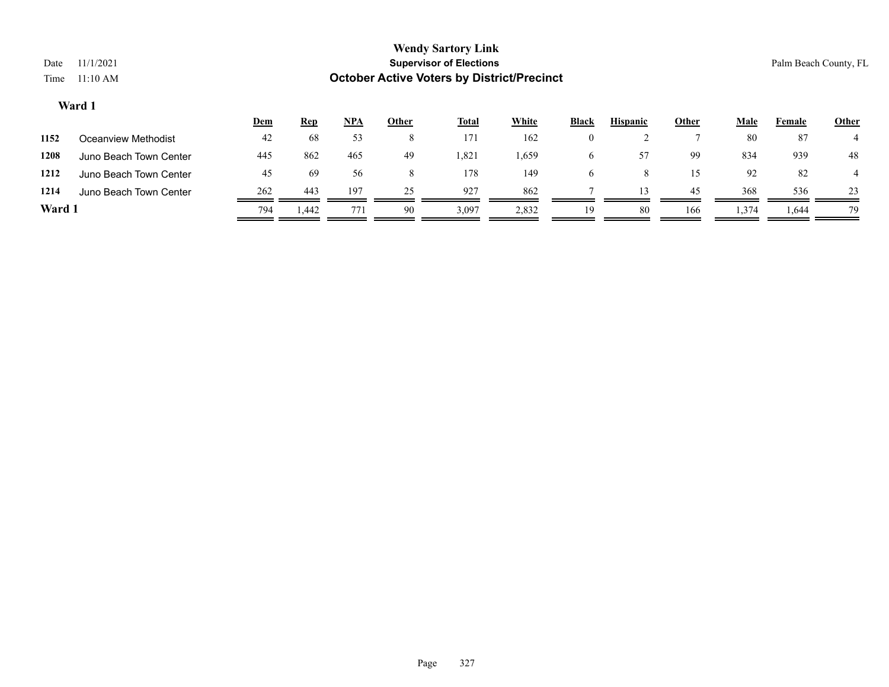## **Wendy Sartory Link** Date 11/1/2021 **Supervisor of Elections** Palm Beach County, FL Time 11:10 AM **October Active Voters by District/Precinct Dem Rep NPA Other Total White Black Hispanic Other Male Female Other Ward 1**

| 1152   | Oceanview Methodist    | 42  | 68    |     |    | 171    | 162   | $\theta$     |    |     | 80   | 87    | 4  |
|--------|------------------------|-----|-------|-----|----|--------|-------|--------------|----|-----|------|-------|----|
| 1208   | Juno Beach Town Center | 445 | 862   | 465 | 49 | 821. ا | .,659 | O            |    | 99  | 834  | 939   | 48 |
| 1212   | Juno Beach Town Center | 45  | 69    | 56  |    | 178    | 149   | <sub>n</sub> |    | 15  | 92   | 82    | 4  |
| 1214   | Juno Beach Town Center | 262 | 443   | 197 | 25 | 927    | 862   |              |    | 45  | 368  | 536   | 23 |
| Ward 1 |                        | 794 | 1,442 | 771 | 90 | 3,097  | 2,832 | 19           | 80 | 166 | .374 | 1,644 | 79 |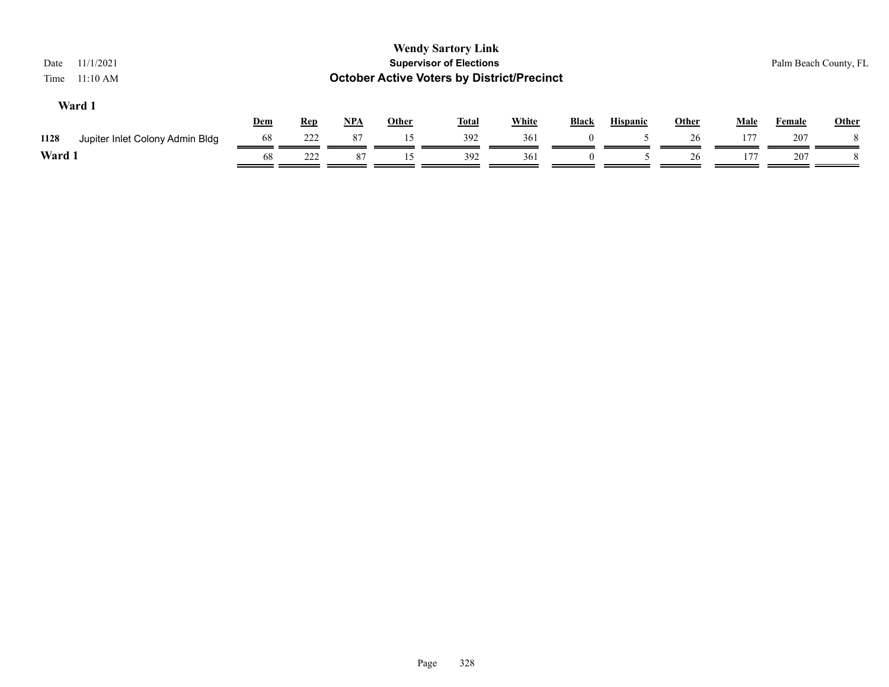| 11/1/2021<br>Date<br>11:10 AM<br>Time   |     |            |       |              | <b>Wendy Sartory Link</b><br><b>Supervisor of Elections</b><br><b>October Active Voters by District/Precinct</b> |              |              |                 |              |             |               | Palm Beach County, FL |
|-----------------------------------------|-----|------------|-------|--------------|------------------------------------------------------------------------------------------------------------------|--------------|--------------|-----------------|--------------|-------------|---------------|-----------------------|
| Ward 1                                  | Dem | <b>Rep</b> | $NPA$ | <b>Other</b> | <b>Total</b>                                                                                                     | <b>White</b> | <b>Black</b> | <b>Hispanic</b> | <b>Other</b> | <b>Male</b> | <b>Female</b> | <b>Other</b>          |
| 1128<br>Jupiter Inlet Colony Admin Bldg | 68  | 222        | 87    | 15           | 392                                                                                                              | 361          | 0            |                 | 26           | 177         | 207           |                       |
| Ward 1                                  | 68  | 222        | 87    |              | 392                                                                                                              | 361          |              |                 | 26           | 177         | 207           |                       |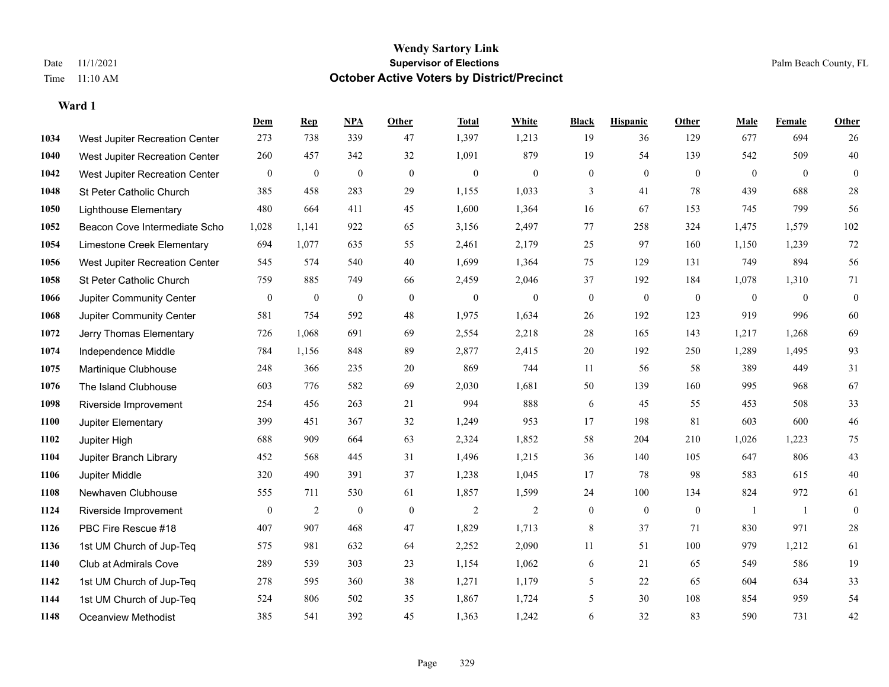### **Wendy Sartory Link** Date 11/1/2021 Palm Beach County, FL Time 11:10 AM **October Active Voters by District/Precinct**

|      |                                | Dem          | <b>Rep</b>       | NPA              | <b>Other</b> | <b>Total</b>     | <b>White</b>   | <b>Black</b>     | <b>Hispanic</b>  | <b>Other</b>     | <b>Male</b>    | <b>Female</b> | Other            |
|------|--------------------------------|--------------|------------------|------------------|--------------|------------------|----------------|------------------|------------------|------------------|----------------|---------------|------------------|
| 1034 | West Jupiter Recreation Center | 273          | 738              | 339              | 47           | 1,397            | 1,213          | 19               | 36               | 129              | 677            | 694           | 26               |
| 1040 | West Jupiter Recreation Center | 260          | 457              | 342              | 32           | 1,091            | 879            | 19               | 54               | 139              | 542            | 509           | 40               |
| 1042 | West Jupiter Recreation Center | $\mathbf{0}$ | $\mathbf{0}$     | $\boldsymbol{0}$ | $\mathbf{0}$ | $\boldsymbol{0}$ | $\mathbf{0}$   | $\boldsymbol{0}$ | $\mathbf{0}$     | $\mathbf{0}$     | $\overline{0}$ | $\mathbf{0}$  | $\boldsymbol{0}$ |
| 1048 | St Peter Catholic Church       | 385          | 458              | 283              | 29           | 1,155            | 1,033          | 3                | 41               | 78               | 439            | 688           | $28\,$           |
| 1050 | <b>Lighthouse Elementary</b>   | 480          | 664              | 411              | 45           | 1,600            | 1,364          | 16               | 67               | 153              | 745            | 799           | 56               |
| 1052 | Beacon Cove Intermediate Scho  | 1,028        | 1,141            | 922              | 65           | 3,156            | 2,497          | 77               | 258              | 324              | 1,475          | 1,579         | 102              |
| 1054 | Limestone Creek Elementary     | 694          | 1,077            | 635              | 55           | 2,461            | 2,179          | $25\,$           | 97               | 160              | 1,150          | 1,239         | 72               |
| 1056 | West Jupiter Recreation Center | 545          | 574              | 540              | 40           | 1,699            | 1,364          | 75               | 129              | 131              | 749            | 894           | 56               |
| 1058 | St Peter Catholic Church       | 759          | 885              | 749              | 66           | 2,459            | 2,046          | 37               | 192              | 184              | 1,078          | 1,310         | 71               |
| 1066 | Jupiter Community Center       | $\mathbf{0}$ | $\mathbf{0}$     | $\boldsymbol{0}$ | $\mathbf{0}$ | $\boldsymbol{0}$ | $\mathbf{0}$   | $\boldsymbol{0}$ | $\boldsymbol{0}$ | $\overline{0}$   | $\overline{0}$ | $\theta$      | $\boldsymbol{0}$ |
| 1068 | Jupiter Community Center       | 581          | 754              | 592              | 48           | 1,975            | 1,634          | 26               | 192              | 123              | 919            | 996           | 60               |
| 1072 | Jerry Thomas Elementary        | 726          | 1,068            | 691              | 69           | 2,554            | 2,218          | $28\,$           | 165              | 143              | 1,217          | 1,268         | 69               |
| 1074 | Independence Middle            | 784          | 1,156            | 848              | 89           | 2,877            | 2,415          | 20               | 192              | 250              | 1,289          | 1,495         | 93               |
| 1075 | Martinique Clubhouse           | 248          | 366              | 235              | 20           | 869              | 744            | 11               | 56               | 58               | 389            | 449           | 31               |
| 1076 | The Island Clubhouse           | 603          | 776              | 582              | 69           | 2,030            | 1,681          | 50               | 139              | 160              | 995            | 968           | 67               |
| 1098 | Riverside Improvement          | 254          | 456              | 263              | 21           | 994              | 888            | 6                | 45               | 55               | 453            | 508           | 33               |
| 1100 | Jupiter Elementary             | 399          | 451              | 367              | 32           | 1,249            | 953            | 17               | 198              | 81               | 603            | 600           | $46\,$           |
| 1102 | Jupiter High                   | 688          | 909              | 664              | 63           | 2,324            | 1,852          | 58               | 204              | 210              | 1,026          | 1,223         | 75               |
| 1104 | Jupiter Branch Library         | 452          | 568              | 445              | 31           | 1,496            | 1,215          | 36               | 140              | 105              | 647            | 806           | 43               |
| 1106 | Jupiter Middle                 | 320          | 490              | 391              | 37           | 1,238            | 1,045          | 17               | 78               | 98               | 583            | 615           | 40               |
| 1108 | Newhaven Clubhouse             | 555          | 711              | 530              | 61           | 1,857            | 1,599          | 24               | $100\,$          | 134              | 824            | 972           | 61               |
| 1124 | Riverside Improvement          | $\mathbf{0}$ | $\boldsymbol{2}$ | $\boldsymbol{0}$ | $\mathbf{0}$ | $\sqrt{2}$       | $\overline{c}$ | $\boldsymbol{0}$ | $\boldsymbol{0}$ | $\boldsymbol{0}$ | -1             | -1            | $\boldsymbol{0}$ |
| 1126 | PBC Fire Rescue #18            | 407          | 907              | 468              | 47           | 1,829            | 1,713          | 8                | 37               | 71               | 830            | 971           | 28               |
| 1136 | 1st UM Church of Jup-Teq       | 575          | 981              | 632              | 64           | 2,252            | 2,090          | 11               | 51               | 100              | 979            | 1,212         | 61               |
| 1140 | Club at Admirals Cove          | 289          | 539              | 303              | 23           | 1,154            | 1,062          | 6                | 21               | 65               | 549            | 586           | 19               |
| 1142 | 1st UM Church of Jup-Teq       | 278          | 595              | 360              | 38           | 1,271            | 1,179          | 5                | 22               | 65               | 604            | 634           | 33               |
| 1144 | 1st UM Church of Jup-Teq       | 524          | 806              | 502              | 35           | 1,867            | 1,724          | 5                | 30               | 108              | 854            | 959           | 54               |
| 1148 | <b>Oceanview Methodist</b>     | 385          | 541              | 392              | 45           | 1,363            | 1.242          | 6                | 32               | 83               | 590            | 731           | 42               |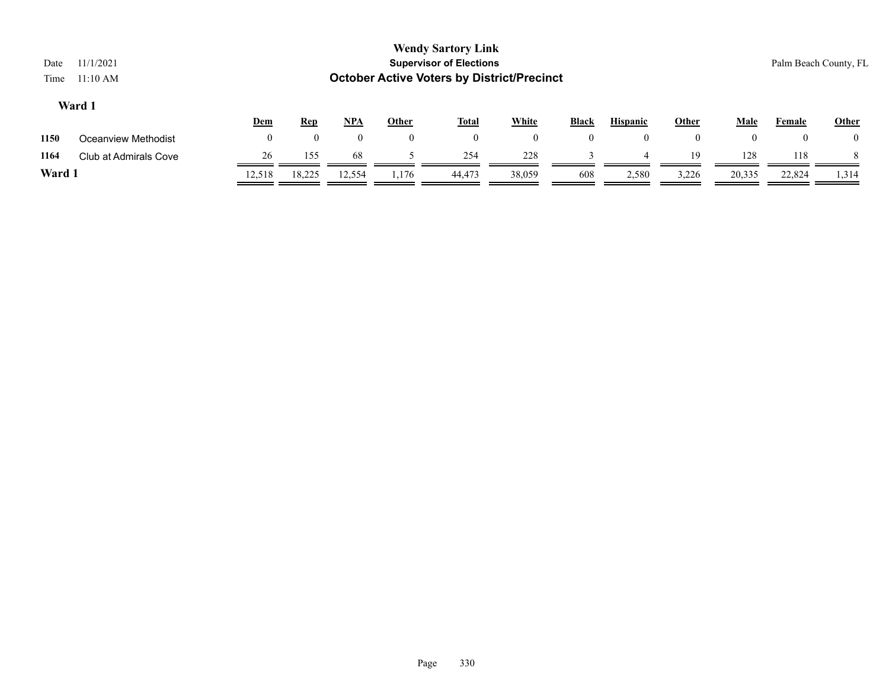| Date<br>Time | 11/1/2021<br>11:10 AM        |            |            |            |                | <b>Wendy Sartory Link</b><br><b>Supervisor of Elections</b><br><b>October Active Voters by District/Precinct</b> |                |              |                 |              |                | Palm Beach County, FL |              |
|--------------|------------------------------|------------|------------|------------|----------------|------------------------------------------------------------------------------------------------------------------|----------------|--------------|-----------------|--------------|----------------|-----------------------|--------------|
|              | Ward 1                       | <b>Dem</b> | <b>Rep</b> | <u>NPA</u> | <b>Other</b>   | <u>Total</u>                                                                                                     | White          | <b>Black</b> | <b>Hispanic</b> | <b>Other</b> | Male           | Female                | <b>Other</b> |
| 1150         | Oceanview Methodist          | $\bf{0}$   | $\theta$   | $\Omega$   | $\overline{0}$ | $\theta$                                                                                                         | $\overline{0}$ | $\theta$     | $\overline{0}$  | $\theta$     | $\overline{0}$ | $\left($              | $\left($     |
| 1164         | <b>Club at Admirals Cove</b> | 26         | 155        | 68         |                | 254                                                                                                              | 228            |              |                 | 19           | 128            | 118                   |              |
| Ward 1       |                              | 12,518     | 18,225     | 12,554     | 1,176          | 44,473                                                                                                           | 38,059         | 608          | 2,580           | 3,226        | 20,335         | 22,824                | .314         |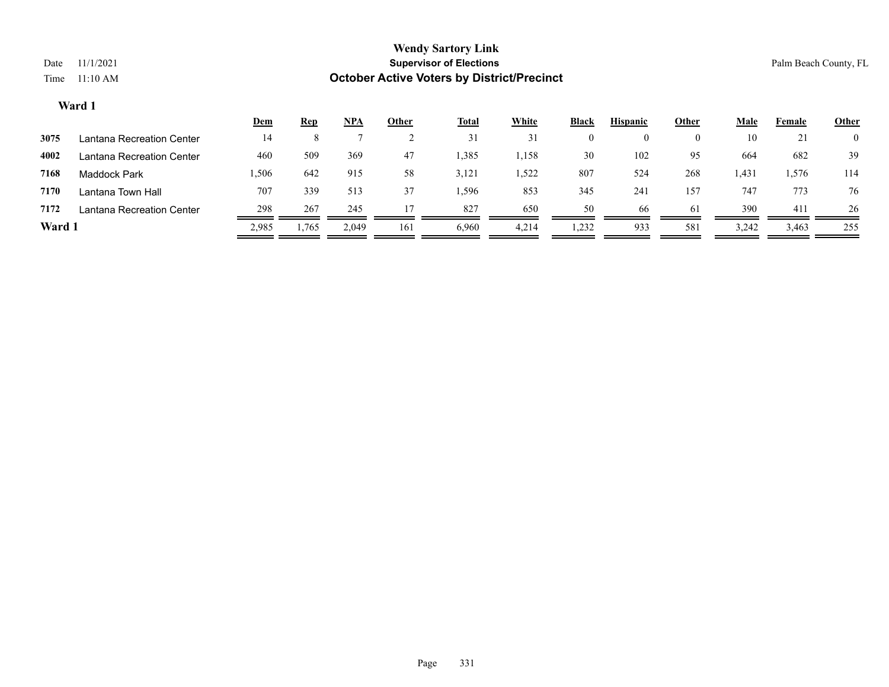|        |                           | <u>Dem</u> | <b>Rep</b> | <u>NPA</u> | <b>Other</b> | <b>Total</b> | White | <b>Black</b> | <b>Hispanic</b> | Other    | Male  | Female   | <b>Other</b>   |
|--------|---------------------------|------------|------------|------------|--------------|--------------|-------|--------------|-----------------|----------|-------|----------|----------------|
| 3075   | Lantana Recreation Center | 14         |            |            |              | 31           | 31    |              |                 | $\theta$ | 10    | $\sim$ 1 | $\overline{0}$ |
| 4002   | Lantana Recreation Center | 460        | 509        | 369        | 47           | 1,385        | 1,158 | 30           | 102             | 95       | 664   | 682      | 39             |
| 7168   | <b>Maddock Park</b>       | 1,506      | 642        | 915        | 58           | 3,121        | 1,522 | 807          | 524             | 268      | 1,431 | 1,576    | 114            |
| 7170   | Lantana Town Hall         | 707        | 339        | 513        | 37           | .596         | 853   | 345          | 241             | 157      | 747   | 773      | 76             |
| 7172   | Lantana Recreation Center | 298        | 267        | 245        |              | 827          | 650   | 50           | -66             | 61       | 390   | -41 ì    | 26             |
| Ward 1 |                           | 2,985      | 1,765      | 2,049      | 161          | 6,960        | 4,214 | 1,232        | 933             | 581      | 3,242 | 3,463    | 255            |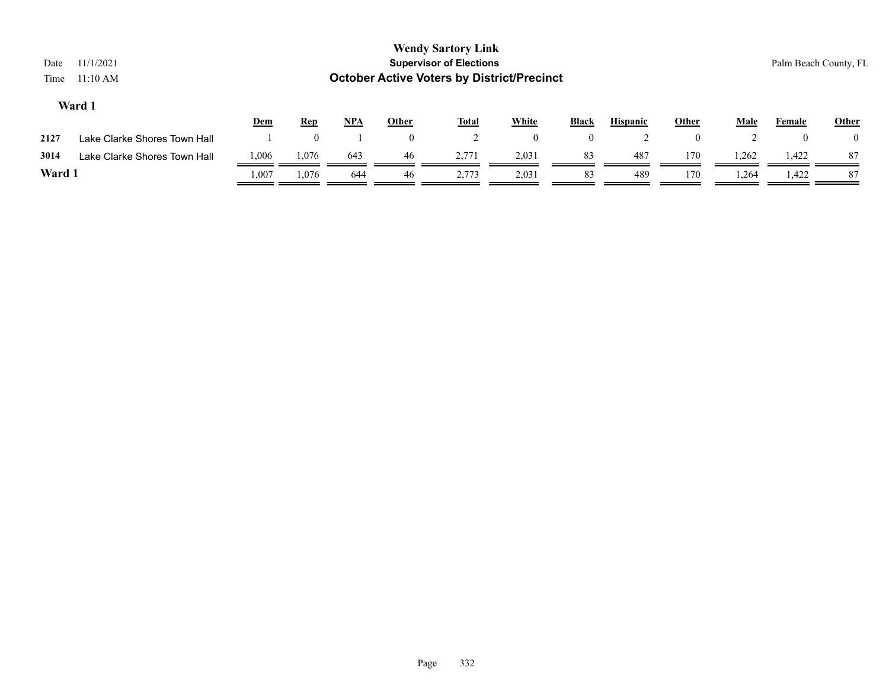| Date<br>Time | 11/1/2021<br>$11:10 \text{ AM}$ |       |            |            |                | <b>Wendy Sartory Link</b><br><b>Supervisor of Elections</b><br><b>October Active Voters by District/Precinct</b> |                |              |                 |              |             | Palm Beach County, FL |                |
|--------------|---------------------------------|-------|------------|------------|----------------|------------------------------------------------------------------------------------------------------------------|----------------|--------------|-----------------|--------------|-------------|-----------------------|----------------|
|              | Ward 1                          | Dem   | <b>Rep</b> | <u>NPA</u> | <b>Other</b>   | <b>Total</b>                                                                                                     | <b>White</b>   | <b>Black</b> | <b>Hispanic</b> | <b>Other</b> | <b>Male</b> | Female                | <b>Other</b>   |
| 2127         | Lake Clarke Shores Town Hall    |       |            |            | $\overline{0}$ |                                                                                                                  | $\overline{0}$ | $\theta$     |                 | $\theta$     | ∠           |                       | $\overline{0}$ |
| 3014         | Lake Clarke Shores Town Hall    | 1,006 | 1,076      | 643        | 46             | 2,771                                                                                                            | 2,031          | 83           | 487             | 170          | 1,262       | 1,422                 | -87            |
| Ward 1       |                                 | .007  | 1,076      | 644        | 46             | 2,773                                                                                                            | 2,031          | 83           | 489             | 170          | 1,264       | 1,422                 | 87             |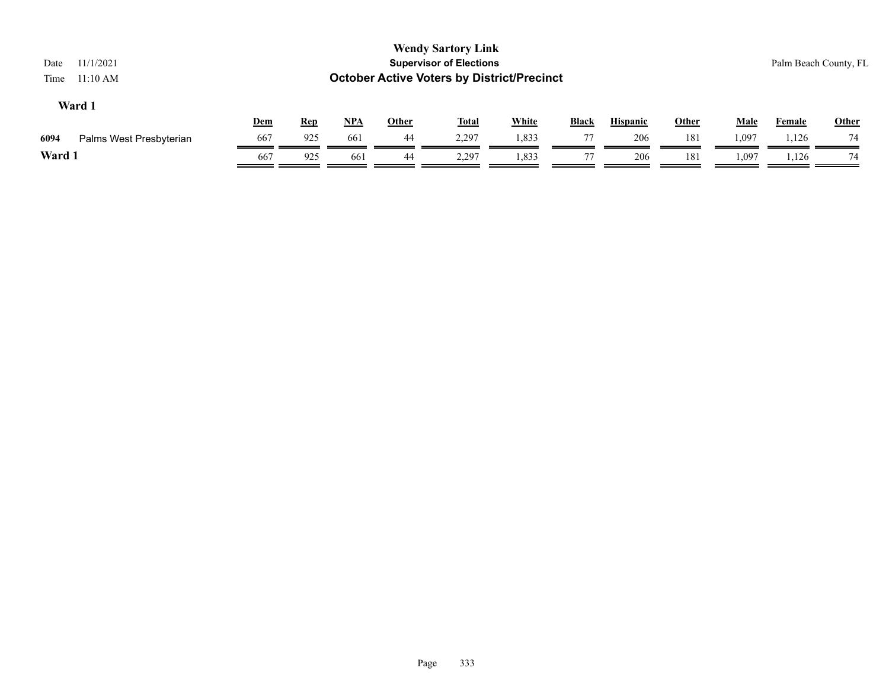| 11/1/2021<br>Date<br>$11:10$ AM<br>Time |     |            |            |              | <b>Wendy Sartory Link</b><br><b>Supervisor of Elections</b><br><b>October Active Voters by District/Precinct</b> |              |              |                 |              |             |               | Palm Beach County, FL |
|-----------------------------------------|-----|------------|------------|--------------|------------------------------------------------------------------------------------------------------------------|--------------|--------------|-----------------|--------------|-------------|---------------|-----------------------|
| Ward 1                                  | Dem | <u>Rep</u> | <u>NPA</u> | <b>Other</b> | <b>Total</b>                                                                                                     | <b>White</b> | <b>Black</b> | <b>Hispanic</b> | <b>Other</b> | <b>Male</b> | <b>Female</b> | <b>Other</b>          |
| 6094<br>Palms West Presbyterian         | 667 | 925        | 661        | 44           | 2,297                                                                                                            | 1,833        | 77           | 206             | 181          | 1,097       | 1,126         | 74                    |
| Ward 1                                  | 667 | 925        | 661        | 44           | 2.297                                                                                                            | 1,833        | 77           | 206             | 181          | 1,097       | 1,126         | 74                    |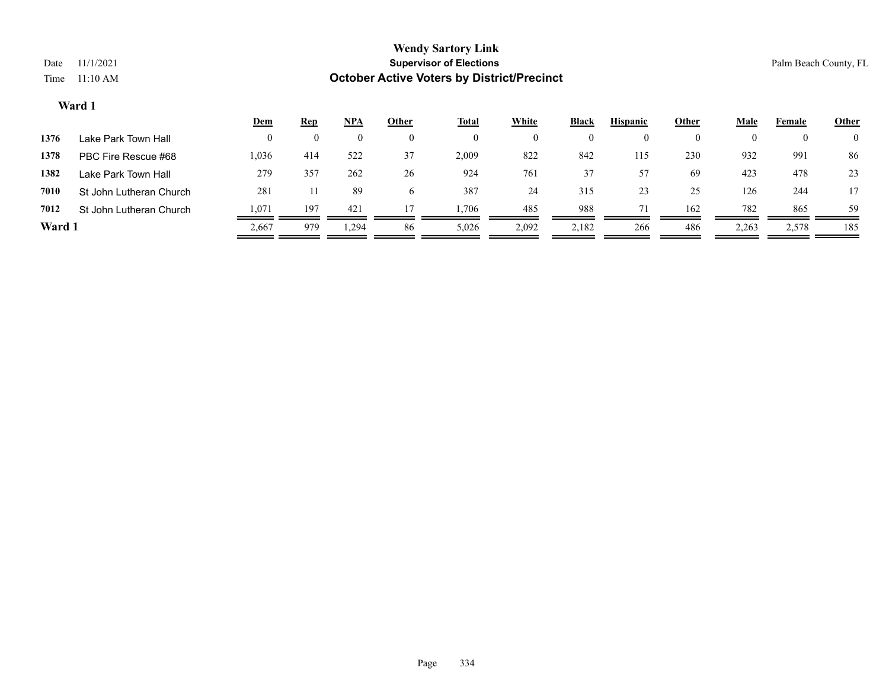|        |                         | <u>Dem</u> | <u>Rep</u> | <u>NPA</u> | Other        | <u>Total</u> | White    | <b>Black</b> | <b>Hispanic</b> | Other    | Male  | Female | <b>Other</b>   |
|--------|-------------------------|------------|------------|------------|--------------|--------------|----------|--------------|-----------------|----------|-------|--------|----------------|
| 1376   | Lake Park Town Hall     |            |            |            |              |              | $\theta$ |              |                 | $\theta$ |       |        | $\overline{0}$ |
| 1378   | PBC Fire Rescue #68     | 1,036      | 414        | 522        | 37           | 2,009        | 822      | 842          | 115             | 230      | 932   | 991    | 86             |
| 1382   | Lake Park Town Hall     | 279        | 357        | 262        | 26           | 924          | 761      | 37           | 57              | 69       | 423   | 478    | 23             |
| 7010   | St John Lutheran Church | 281        |            | 89         | <sub>0</sub> | 387          | 24       | 315          | 23              | 25       | 126   | 244    | 17             |
| 7012   | St John Lutheran Church | 1.071      | 197        | 421        | 17           | .706         | 485      | 988          |                 | 162      | 782   | 865    | 59             |
| Ward 1 |                         | 2,667      | 979        | 1,294      | 86           | 5,026        | 2,092    | 2,182        | 266             | 486      | 2,263 | 2,578  | 185            |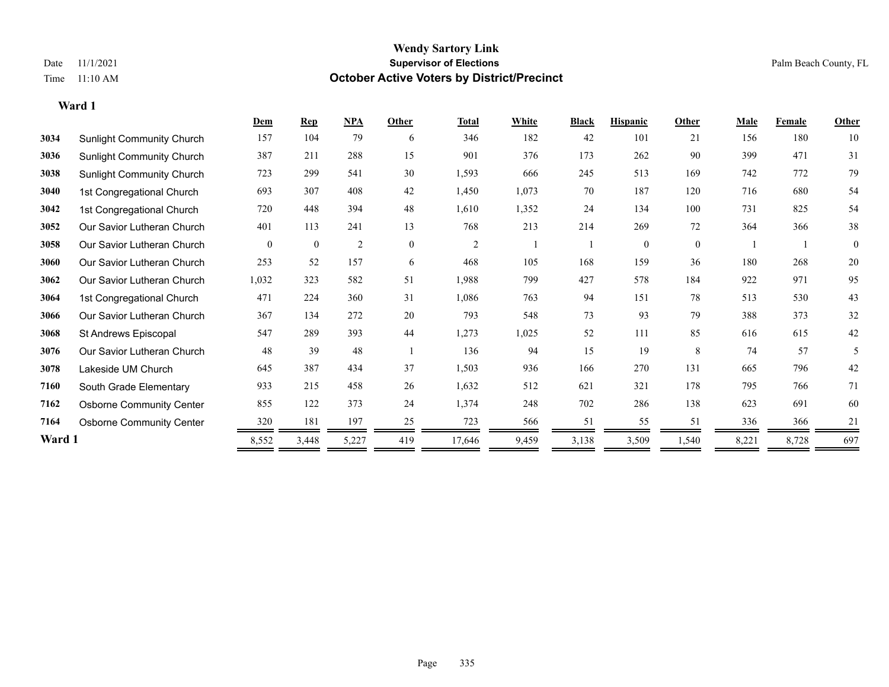|        |                                  | Dem      | <b>Rep</b>   | NPA            | Other    | <b>Total</b>   | White | <b>Black</b> | <b>Hispanic</b> | Other    | <b>Male</b> | <b>Female</b> | <b>Other</b> |
|--------|----------------------------------|----------|--------------|----------------|----------|----------------|-------|--------------|-----------------|----------|-------------|---------------|--------------|
| 3034   | <b>Sunlight Community Church</b> | 157      | 104          | 79             | 6        | 346            | 182   | 42           | 101             | 21       | 156         | 180           | 10           |
| 3036   | <b>Sunlight Community Church</b> | 387      | 211          | 288            | 15       | 901            | 376   | 173          | 262             | 90       | 399         | 471           | 31           |
| 3038   | <b>Sunlight Community Church</b> | 723      | 299          | 541            | 30       | 1,593          | 666   | 245          | 513             | 169      | 742         | 772           | 79           |
| 3040   | 1st Congregational Church        | 693      | 307          | 408            | 42       | 1,450          | 1,073 | 70           | 187             | 120      | 716         | 680           | 54           |
| 3042   | 1st Congregational Church        | 720      | 448          | 394            | 48       | 1,610          | 1,352 | 24           | 134             | 100      | 731         | 825           | 54           |
| 3052   | Our Savior Lutheran Church       | 401      | 113          | 241            | 13       | 768            | 213   | 214          | 269             | 72       | 364         | 366           | 38           |
| 3058   | Our Savior Lutheran Church       | $\theta$ | $\mathbf{0}$ | $\overline{2}$ | $\theta$ | $\overline{2}$ |       |              | $\Omega$        | $\theta$ |             |               | $\theta$     |
| 3060   | Our Savior Lutheran Church       | 253      | 52           | 157            | 6        | 468            | 105   | 168          | 159             | 36       | 180         | 268           | 20           |
| 3062   | Our Savior Lutheran Church       | 1,032    | 323          | 582            | 51       | 1,988          | 799   | 427          | 578             | 184      | 922         | 971           | 95           |
| 3064   | 1st Congregational Church        | 471      | 224          | 360            | 31       | 1,086          | 763   | 94           | 151             | 78       | 513         | 530           | 43           |
| 3066   | Our Savior Lutheran Church       | 367      | 134          | 272            | 20       | 793            | 548   | 73           | 93              | 79       | 388         | 373           | 32           |
| 3068   | St Andrews Episcopal             | 547      | 289          | 393            | 44       | 1,273          | 1,025 | 52           | 111             | 85       | 616         | 615           | 42           |
| 3076   | Our Savior Lutheran Church       | 48       | 39           | 48             |          | 136            | 94    | 15           | 19              | 8        | 74          | 57            | 5            |
| 3078   | Lakeside UM Church               | 645      | 387          | 434            | 37       | 1,503          | 936   | 166          | 270             | 131      | 665         | 796           | 42           |
| 7160   | South Grade Elementary           | 933      | 215          | 458            | 26       | 1,632          | 512   | 621          | 321             | 178      | 795         | 766           | 71           |
| 7162   | <b>Osborne Community Center</b>  | 855      | 122          | 373            | 24       | 1,374          | 248   | 702          | 286             | 138      | 623         | 691           | 60           |
| 7164   | <b>Osborne Community Center</b>  | 320      | 181          | 197            | 25       | 723            | 566   | 51           | 55              | 51       | 336         | 366           | 21           |
| Ward 1 |                                  | 8,552    | 3,448        | 5,227          | 419      | 17,646         | 9,459 | 3,138        | 3,509           | 1,540    | 8,221       | 8,728         | 697          |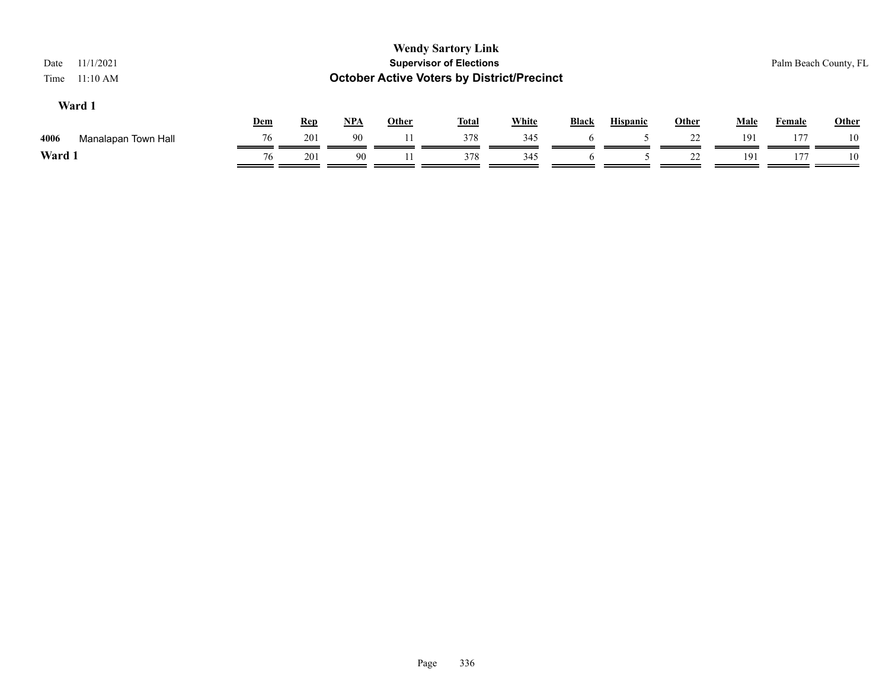| 11/1/2021<br>Date<br>11:10 AM<br>Time |     |            |            |              | <b>Wendy Sartory Link</b><br><b>Supervisor of Elections</b><br><b>October Active Voters by District/Precinct</b> |              |              |                 |       |             |               | Palm Beach County, FL |
|---------------------------------------|-----|------------|------------|--------------|------------------------------------------------------------------------------------------------------------------|--------------|--------------|-----------------|-------|-------------|---------------|-----------------------|
| Ward 1                                | Dem | <b>Rep</b> | <u>NPA</u> | <b>Other</b> | <b>Total</b>                                                                                                     | <b>White</b> | <b>Black</b> | <b>Hispanic</b> | Other | <b>Male</b> | <b>Female</b> | <b>Other</b>          |
| 4006<br>Manalapan Town Hall           | 76  | 201        | 90         |              | 378                                                                                                              | 345          |              |                 | 22    | 191         | 177           | 10                    |
| Ward 1                                | 76  | 201        | 90         |              | 378                                                                                                              | 345          | $\mathbf{p}$ |                 | 22    | 191         | 177           | 10                    |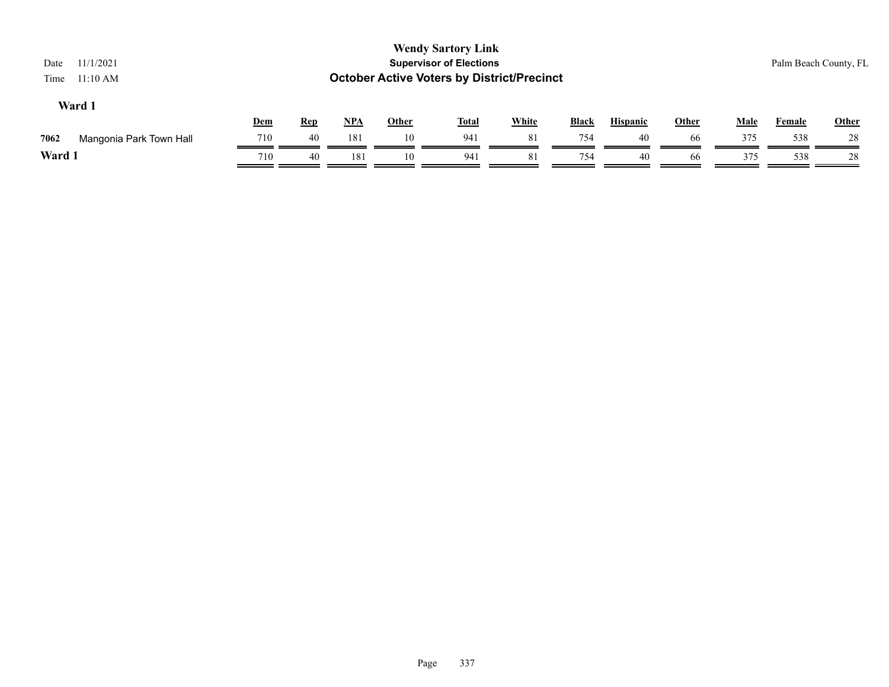| 11/1/2021<br>Date<br>11:10 AM<br>Time |     |            |       |              | <b>Wendy Sartory Link</b><br><b>Supervisor of Elections</b><br><b>October Active Voters by District/Precinct</b> |              |       |                 |              |      |        | Palm Beach County, FL |
|---------------------------------------|-----|------------|-------|--------------|------------------------------------------------------------------------------------------------------------------|--------------|-------|-----------------|--------------|------|--------|-----------------------|
| Ward 1                                | Dem | <u>Rep</u> | $NPA$ | <b>Other</b> | <b>Total</b>                                                                                                     | <b>White</b> | Black | <b>Hispanic</b> | <b>Other</b> | Male | Female | Other                 |
| 7062<br>Mangonia Park Town Hall       | 710 | 40         | 181   | 10           | 941                                                                                                              | 81           | 754   | 40              | -66          | 375  | 538    | 28                    |
| Ward 1                                | 710 | 40         | 181   | 10           | 941                                                                                                              | 81           | 754   | 40              | 66           | 375  | 538    | 28                    |
|                                       |     |            |       |              |                                                                                                                  |              |       |                 |              |      |        |                       |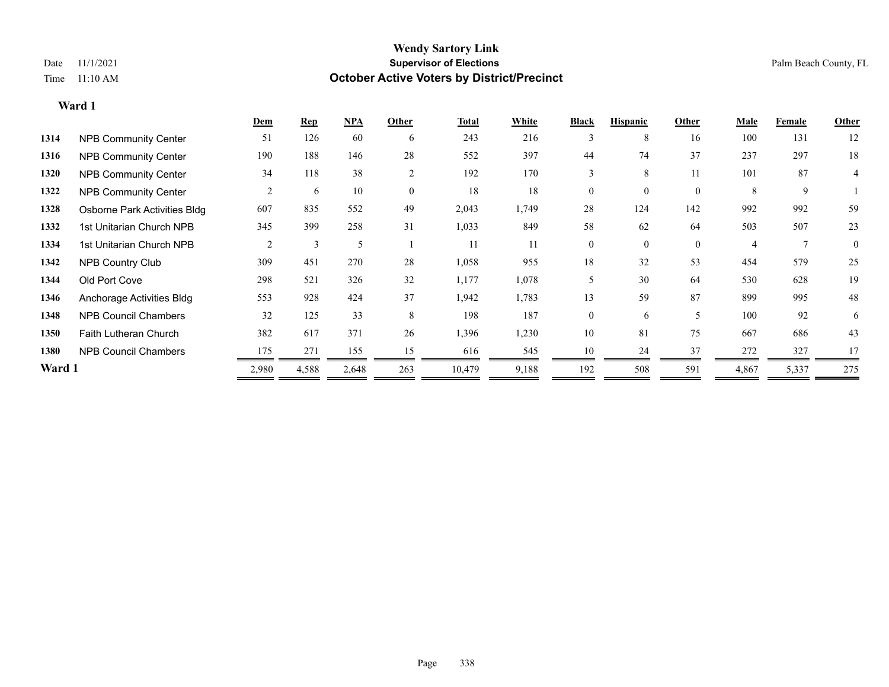### **Wendy Sartory Link** Date 11/1/2021 **Supervisor of Elections** Palm Beach County, FL Time 11:10 AM **October Active Voters by District/Precinct**

|        |                              | Dem            | <b>Rep</b> | $NPA$ | Other            | <b>Total</b> | White | <b>Black</b> | <b>Hispanic</b> | Other            | <b>Male</b>    | Female       | Other    |
|--------|------------------------------|----------------|------------|-------|------------------|--------------|-------|--------------|-----------------|------------------|----------------|--------------|----------|
| 1314   | <b>NPB Community Center</b>  | 51             | 126        | 60    | 6                | 243          | 216   | 3            | 8               | 16               | 100            | 131          | 12       |
| 1316   | <b>NPB Community Center</b>  | 190            | 188        | 146   | 28               | 552          | 397   | 44           | 74              | 37               | 237            | 297          | 18       |
| 1320   | <b>NPB Community Center</b>  | 34             | 118        | 38    | $\overline{2}$   | 192          | 170   | 3            | 8               | 11               | 101            | 87           | 4        |
| 1322   | <b>NPB Community Center</b>  | $\overline{c}$ | 6          | 10    | $\boldsymbol{0}$ | 18           | 18    | $\theta$     | $\overline{0}$  | $\boldsymbol{0}$ | 8              | 9            |          |
| 1328   | Osborne Park Activities Bldg | 607            | 835        | 552   | 49               | 2,043        | 1,749 | 28           | 124             | 142              | 992            | 992          | 59       |
| 1332   | 1st Unitarian Church NPB     | 345            | 399        | 258   | 31               | 1,033        | 849   | 58           | 62              | 64               | 503            | 507          | 23       |
| 1334   | 1st Unitarian Church NPB     | $\overline{2}$ | 3          | 5     |                  | 11           | 11    | $\theta$     | $\theta$        | $\overline{0}$   | $\overline{4}$ | $\mathbf{7}$ | $\theta$ |
| 1342   | <b>NPB Country Club</b>      | 309            | 451        | 270   | 28               | 1,058        | 955   | 18           | 32              | 53               | 454            | 579          | 25       |
| 1344   | Old Port Cove                | 298            | 521        | 326   | 32               | 1,177        | 1,078 | 5            | 30              | 64               | 530            | 628          | 19       |
| 1346   | Anchorage Activities Bldg    | 553            | 928        | 424   | 37               | 1,942        | 1,783 | 13           | 59              | 87               | 899            | 995          | 48       |
| 1348   | <b>NPB Council Chambers</b>  | 32             | 125        | 33    | 8                | 198          | 187   | $\theta$     | 6               | 5                | 100            | 92           | 6        |
| 1350   | <b>Faith Lutheran Church</b> | 382            | 617        | 371   | 26               | 1,396        | 1,230 | 10           | 81              | 75               | 667            | 686          | 43       |
| 1380   | <b>NPB Council Chambers</b>  | 175            | 271        | 155   | 15               | 616          | 545   | 10           | 24              | 37               | 272            | 327          | 17       |
| Ward 1 |                              | 2,980          | 4,588      | 2,648 | 263              | 10,479       | 9,188 | 192          | 508             | 591              | 4,867          | 5,337        | 275      |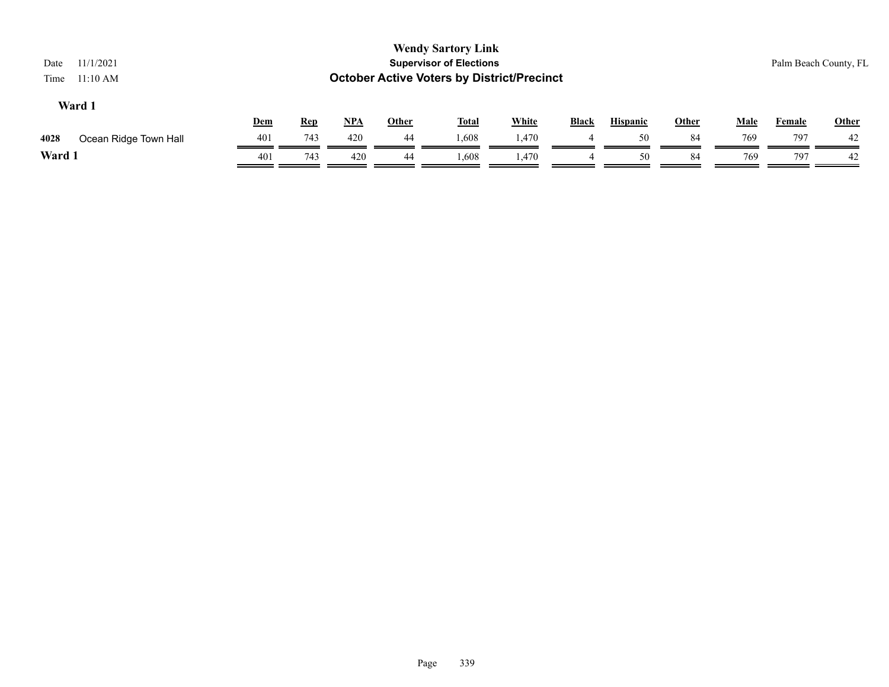| 11/1/2021<br>Date<br>11:10 AM<br>Time |     |            |       |              | <b>Wendy Sartory Link</b><br><b>Supervisor of Elections</b><br><b>October Active Voters by District/Precinct</b> |              |              |                 |       |             | Palm Beach County, FL |              |
|---------------------------------------|-----|------------|-------|--------------|------------------------------------------------------------------------------------------------------------------|--------------|--------------|-----------------|-------|-------------|-----------------------|--------------|
| Ward 1                                | Dem | <b>Rep</b> | $NPA$ | <u>Other</u> | <b>Total</b>                                                                                                     | <b>White</b> | <b>Black</b> | <b>Hispanic</b> | Other | <b>Male</b> | Female                | <b>Other</b> |
| 4028<br>Ocean Ridge Town Hall         | 401 | 743        | 420   | 44           | 1,608                                                                                                            | 1,470        | 4            | 50              | 84    | 769         | 797                   | 42           |
| Ward 1                                | 401 | 743        | 420   | 44           | 1,608                                                                                                            | 1.470        | 4            | 50              | 84    | 769         | 797                   | 42           |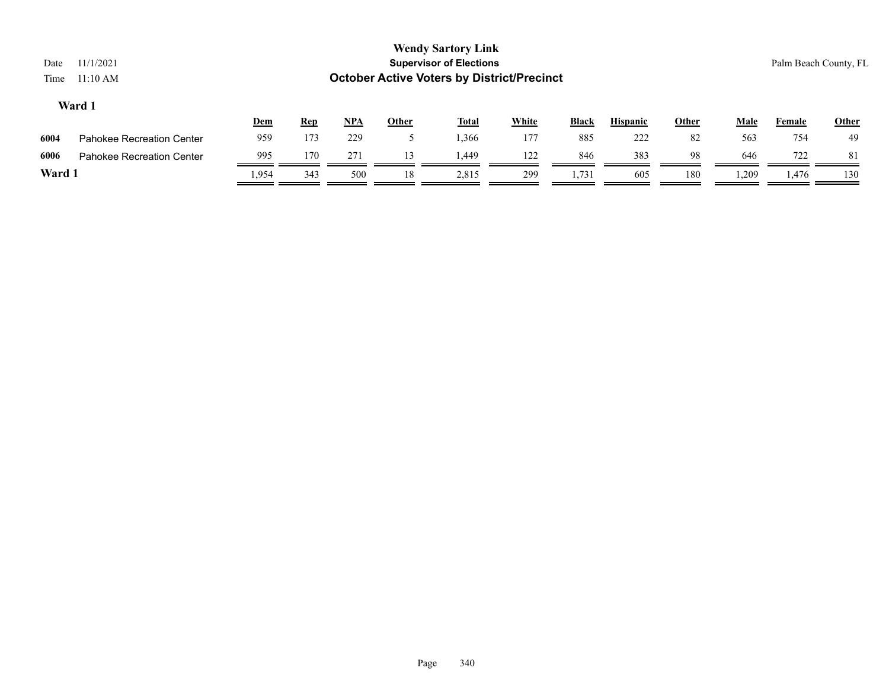| Date<br>Time | 11/1/2021<br>11:10 AM            |       |            |       |              | <b>Wendy Sartory Link</b><br><b>Supervisor of Elections</b><br><b>October Active Voters by District/Precinct</b> |              |       |                 |              |             | Palm Beach County, FL |       |
|--------------|----------------------------------|-------|------------|-------|--------------|------------------------------------------------------------------------------------------------------------------|--------------|-------|-----------------|--------------|-------------|-----------------------|-------|
|              | Ward 1                           | Dem   | <b>Rep</b> | $NPA$ | <b>Other</b> | <b>Total</b>                                                                                                     | <b>White</b> | Black | <b>Hispanic</b> | <b>Other</b> | <b>Male</b> | Female                | Other |
| 6004         | <b>Pahokee Recreation Center</b> | 959   | 173        | 229   |              | 1,366                                                                                                            | 177          | 885   | 222             | 82           | 563         | 754                   | 49    |
| 6006         | Pahokee Recreation Center        | 995   | 170        | 271   | 13           | 1.449                                                                                                            | 122          | 846   | 383             | 98           | 646         | 722                   | -81   |
| Ward 1       |                                  | 1,954 | 343        | 500   | 18           | 2,815                                                                                                            | 299          | 1,731 | 605             | 180          | 1,209       | 1,476                 | 130   |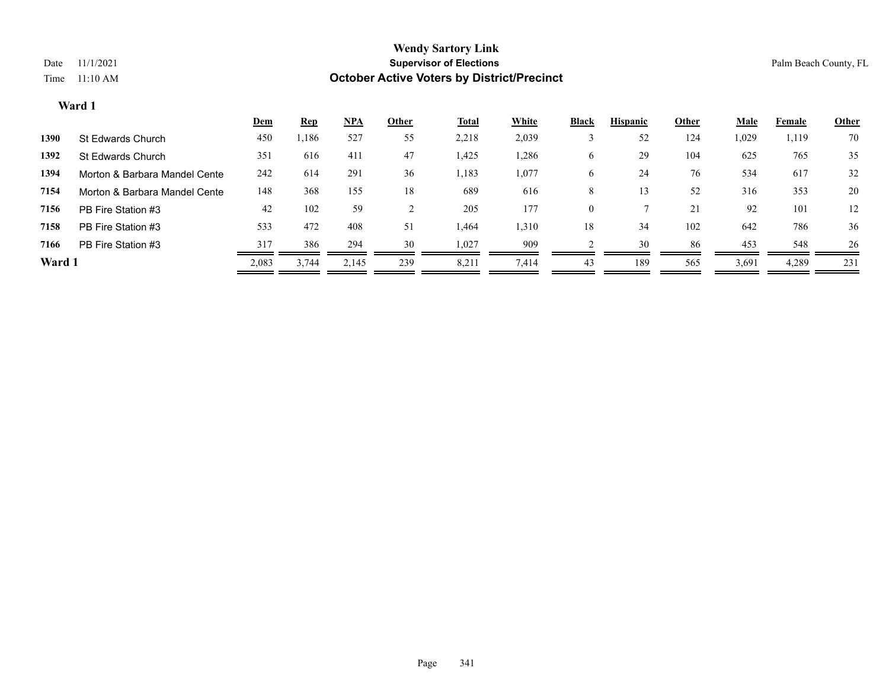|                               | <u>Dem</u> | <b>Rep</b> | $NPA$ | Other | <u>Total</u> | White | <b>Black</b> | <b>Hispanic</b> | Other | <b>Male</b> | Female | <b>Other</b> |
|-------------------------------|------------|------------|-------|-------|--------------|-------|--------------|-----------------|-------|-------------|--------|--------------|
| St Edwards Church             | 450        | 1,186      | 527   | 55    | 2,218        | 2,039 |              | 52              | 124   | 1,029       | 1,119  | 70           |
| St Edwards Church             | 351        | 616        | 411   | 47    | 1,425        | 1,286 | O            | 29              | 104   | 625         | 765    | 35           |
| Morton & Barbara Mandel Cente | 242        | 614        | 291   | 36    | 1,183        | 1,077 | 6            | 24              | 76    | 534         | 617    | 32           |
| Morton & Barbara Mandel Cente | 148        | 368        | 155   | 18    | 689          | 616   | 8            | 13              | 52    | 316         | 353    | 20           |
| PB Fire Station #3            | 42         | 102        | 59    |       | 205          | 177   | $\mathbf{0}$ |                 | 21    | 92          | 101    | 12           |
| PB Fire Station #3            | 533        | 472        | 408   | 51    | 1,464        | 1,310 | 18           | 34              | 102   | 642         | 786    | 36           |
| PB Fire Station #3            | 317        | 386        | 294   | 30    | 1,027        | 909   |              | 30              | 86    | 453         | 548    | 26           |
|                               | 2,083      | 3.744      | 2,145 | 239   | 8,211        | 7,414 | 43           | 189             | 565   | 3,691       | 4,289  | 231          |
|                               | Ward 1     |            |       |       |              |       |              |                 |       |             |        |              |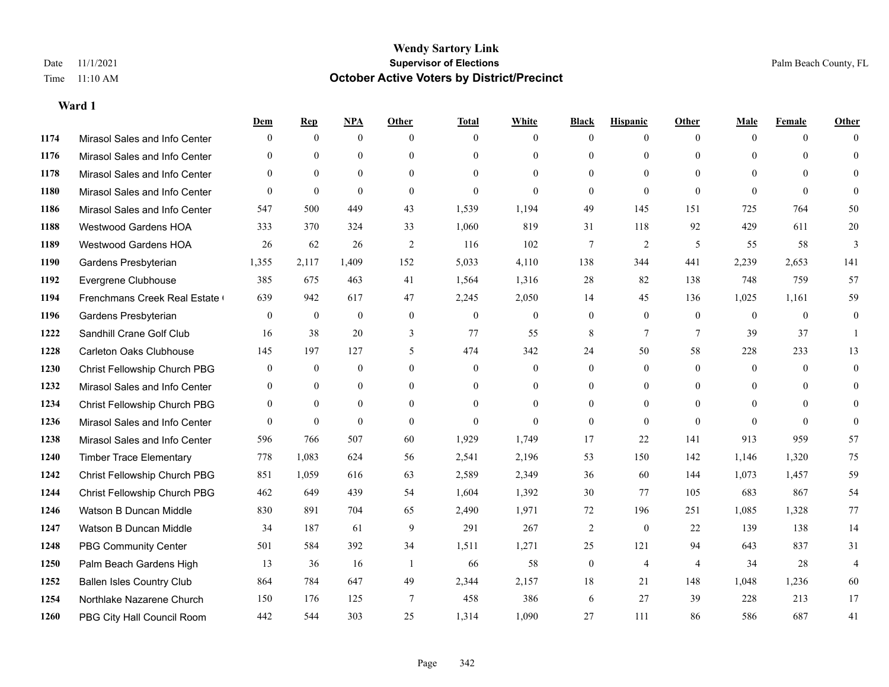|      |                                  | Dem            | <b>Rep</b>       | NPA              | <b>Other</b>   | <b>Total</b>     | <b>White</b>     | <b>Black</b>     | <b>Hispanic</b> | Other          | <b>Male</b>    | <b>Female</b> | <b>Other</b>   |
|------|----------------------------------|----------------|------------------|------------------|----------------|------------------|------------------|------------------|-----------------|----------------|----------------|---------------|----------------|
| 1174 | Mirasol Sales and Info Center    | $\Omega$       | $\mathbf{0}$     | $\mathbf{0}$     | $\theta$       | $\theta$         | $\overline{0}$   | $\Omega$         | $\overline{0}$  | $\theta$       | $\theta$       | $\theta$      | $\Omega$       |
| 1176 | Mirasol Sales and Info Center    | $\Omega$       | $\theta$         | $\theta$         | $\Omega$       | $\Omega$         | $\overline{0}$   | $\theta$         | $\overline{0}$  | $\Omega$       | $\Omega$       | $\Omega$      | $\theta$       |
| 1178 | Mirasol Sales and Info Center    | $\Omega$       | $\theta$         | $\theta$         | $\Omega$       | $\Omega$         | $\Omega$         | $\Omega$         | $\Omega$        | $\Omega$       | $\Omega$       | $\Omega$      | $\Omega$       |
| 1180 | Mirasol Sales and Info Center    | $\overline{0}$ | $\mathbf{0}$     | $\mathbf{0}$     | $\mathbf{0}$   | $\mathbf{0}$     | $\Omega$         | $\mathbf{0}$     | $\overline{0}$  | $\mathbf{0}$   | $\theta$       | $\mathbf{0}$  | $\theta$       |
| 1186 | Mirasol Sales and Info Center    | 547            | 500              | 449              | 43             | 1,539            | 1,194            | 49               | 145             | 151            | 725            | 764           | 50             |
| 1188 | <b>Westwood Gardens HOA</b>      | 333            | 370              | 324              | 33             | 1,060            | 819              | 31               | 118             | 92             | 429            | 611           | 20             |
| 1189 | Westwood Gardens HOA             | 26             | 62               | 26               | $\overline{2}$ | 116              | 102              | $\tau$           | $\mathfrak{2}$  | 5              | 55             | 58            | 3              |
| 1190 | Gardens Presbyterian             | 1,355          | 2,117            | 1,409            | 152            | 5,033            | 4,110            | 138              | 344             | 441            | 2,239          | 2,653         | 141            |
| 1192 | Evergrene Clubhouse              | 385            | 675              | 463              | 41             | 1,564            | 1,316            | 28               | 82              | 138            | 748            | 759           | 57             |
| 1194 | Frenchmans Creek Real Estate     | 639            | 942              | 617              | 47             | 2,245            | 2,050            | 14               | 45              | 136            | 1,025          | 1,161         | 59             |
| 1196 | Gardens Presbyterian             | $\overline{0}$ | $\mathbf{0}$     | $\mathbf{0}$     | $\overline{0}$ | $\mathbf{0}$     | $\boldsymbol{0}$ | $\overline{0}$   | $\overline{0}$  | $\theta$       | $\overline{0}$ | $\theta$      | $\overline{0}$ |
| 1222 | Sandhill Crane Golf Club         | 16             | 38               | 20               | 3              | 77               | 55               | 8                | $\tau$          | $\tau$         | 39             | 37            | $\mathbf{1}$   |
| 1228 | <b>Carleton Oaks Clubhouse</b>   | 145            | 197              | 127              | 5              | 474              | 342              | 24               | 50              | 58             | 228            | 233           | 13             |
| 1230 | Christ Fellowship Church PBG     | $\mathbf{0}$   | $\boldsymbol{0}$ | $\boldsymbol{0}$ | $\mathbf{0}$   | $\boldsymbol{0}$ | $\boldsymbol{0}$ | $\overline{0}$   | $\overline{0}$  | $\theta$       | $\mathbf{0}$   | $\mathbf{0}$  | $\overline{0}$ |
| 1232 | Mirasol Sales and Info Center    | $\overline{0}$ | $\mathbf{0}$     | $\mathbf{0}$     | $\theta$       | $\theta$         | $\overline{0}$   | $\mathbf{0}$     | $\overline{0}$  | $\theta$       | $\theta$       | $\theta$      | $\mathbf{0}$   |
| 1234 | Christ Fellowship Church PBG     | $\theta$       | $\theta$         | $\theta$         | $\theta$       | $\theta$         | $\Omega$         | $\theta$         | $\Omega$        | $\Omega$       | $\theta$       | $\Omega$      | $\theta$       |
| 1236 | Mirasol Sales and Info Center    | $\Omega$       | $\theta$         | $\theta$         | $\theta$       | $\theta$         | $\Omega$         | $\overline{0}$   | $\theta$        | $\theta$       | $\Omega$       | $\Omega$      | $\theta$       |
| 1238 | Mirasol Sales and Info Center    | 596            | 766              | 507              | 60             | 1,929            | 1,749            | 17               | 22              | 141            | 913            | 959           | 57             |
| 1240 | <b>Timber Trace Elementary</b>   | 778            | 1,083            | 624              | 56             | 2,541            | 2,196            | 53               | 150             | 142            | 1,146          | 1,320         | 75             |
| 1242 | Christ Fellowship Church PBG     | 851            | 1.059            | 616              | 63             | 2,589            | 2,349            | 36               | 60              | 144            | 1,073          | 1,457         | 59             |
| 1244 | Christ Fellowship Church PBG     | 462            | 649              | 439              | 54             | 1,604            | 1,392            | 30               | 77              | 105            | 683            | 867           | 54             |
| 1246 | Watson B Duncan Middle           | 830            | 891              | 704              | 65             | 2,490            | 1,971            | 72               | 196             | 251            | 1,085          | 1,328         | 77             |
| 1247 | Watson B Duncan Middle           | 34             | 187              | 61               | 9              | 291              | 267              | $\overline{c}$   | $\mathbf{0}$    | 22             | 139            | 138           | 14             |
| 1248 | <b>PBG Community Center</b>      | 501            | 584              | 392              | 34             | 1,511            | 1,271            | 25               | 121             | 94             | 643            | 837           | 31             |
| 1250 | Palm Beach Gardens High          | 13             | 36               | 16               | $\mathbf{1}$   | 66               | 58               | $\boldsymbol{0}$ | $\overline{4}$  | $\overline{4}$ | 34             | 28            | $\overline{4}$ |
| 1252 | <b>Ballen Isles Country Club</b> | 864            | 784              | 647              | 49             | 2,344            | 2,157            | 18               | 21              | 148            | 1,048          | 1,236         | 60             |
| 1254 | Northlake Nazarene Church        | 150            | 176              | 125              | 7              | 458              | 386              | 6                | 27              | 39             | 228            | 213           | 17             |
| 1260 | PBG City Hall Council Room       | 442            | 544              | 303              | 25             | 1,314            | 1,090            | 27               | 111             | 86             | 586            | 687           | 41             |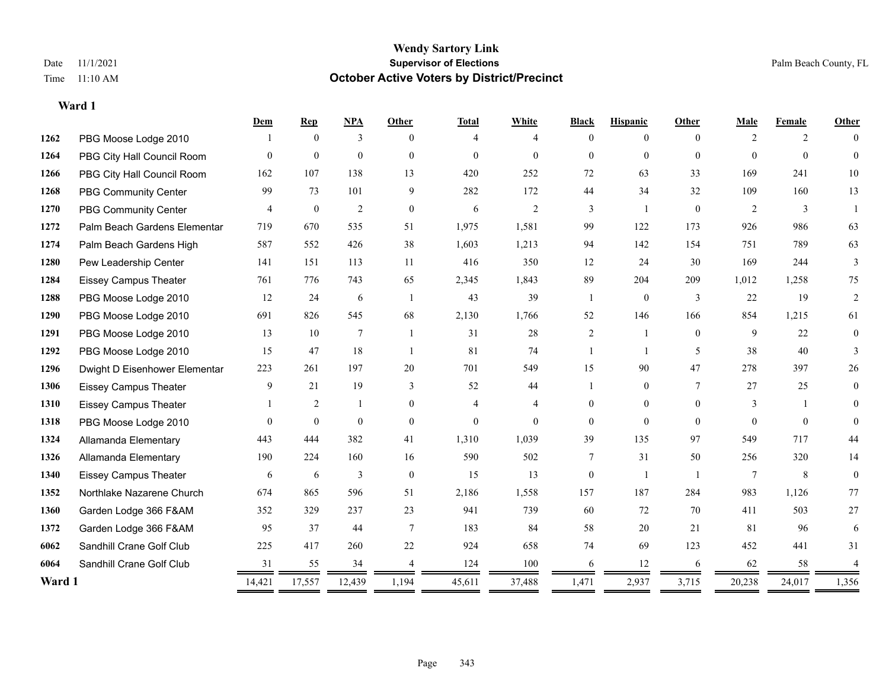|        |                               | Dem            | <b>Rep</b>     | NPA            | <b>Other</b>   | <b>Total</b> | White          | <b>Black</b>   | <b>Hispanic</b> | Other          | Male          | Female   | Other        |
|--------|-------------------------------|----------------|----------------|----------------|----------------|--------------|----------------|----------------|-----------------|----------------|---------------|----------|--------------|
| 1262   | PBG Moose Lodge 2010          |                | $\theta$       | 3              | $\Omega$       | 4            | 4              | $\Omega$       | $\Omega$        | $\Omega$       | $\mathcal{L}$ | 2        | $\Omega$     |
| 1264   | PBG City Hall Council Room    | $\Omega$       | $\mathbf{0}$   | $\mathbf{0}$   | $\theta$       | $\theta$     | $\theta$       | $\theta$       | $\mathbf{0}$    | $\theta$       | $\Omega$      | $\theta$ | $\Omega$     |
| 1266   | PBG City Hall Council Room    | 162            | 107            | 138            | 13             | 420          | 252            | 72             | 63              | 33             | 169           | 241      | 10           |
| 1268   | <b>PBG Community Center</b>   | 99             | 73             | 101            | 9              | 282          | 172            | 44             | 34              | 32             | 109           | 160      | 13           |
| 1270   | <b>PBG Community Center</b>   | $\overline{4}$ | $\mathbf{0}$   | $\overline{2}$ | $\theta$       | 6            | 2              | 3              | $\mathbf{1}$    | $\theta$       | 2             | 3        |              |
| 1272   | Palm Beach Gardens Elementar  | 719            | 670            | 535            | 51             | 1,975        | 1,581          | 99             | 122             | 173            | 926           | 986      | 63           |
| 1274   | Palm Beach Gardens High       | 587            | 552            | 426            | 38             | 1,603        | 1,213          | 94             | 142             | 154            | 751           | 789      | 63           |
| 1280   | Pew Leadership Center         | 141            | 151            | 113            | 11             | 416          | 350            | 12             | 24              | 30             | 169           | 244      | 3            |
| 1284   | <b>Eissey Campus Theater</b>  | 761            | 776            | 743            | 65             | 2,345        | 1,843          | 89             | 204             | 209            | 1,012         | 1,258    | 75           |
| 1288   | PBG Moose Lodge 2010          | 12             | 24             | 6              | $\overline{1}$ | 43           | 39             | 1              | $\mathbf{0}$    | 3              | 22            | 19       | 2            |
| 1290   | PBG Moose Lodge 2010          | 691            | 826            | 545            | 68             | 2,130        | 1,766          | 52             | 146             | 166            | 854           | 1,215    | 61           |
| 1291   | PBG Moose Lodge 2010          | 13             | 10             | 7              | $\overline{1}$ | 31           | 28             | $\overline{c}$ |                 | $\theta$       | 9             | 22       | $\mathbf{0}$ |
| 1292   | PBG Moose Lodge 2010          | 15             | 47             | 18             | $\overline{1}$ | 81           | 74             |                | 1               | 5              | 38            | 40       | 3            |
| 1296   | Dwight D Eisenhower Elementar | 223            | 261            | 197            | 20             | 701          | 549            | 15             | 90              | 47             | 278           | 397      | 26           |
| 1306   | <b>Eissey Campus Theater</b>  | 9              | 21             | 19             | 3              | 52           | 44             | $\mathbf{1}$   | $\theta$        | 7              | 27            | 25       | $\theta$     |
| 1310   | <b>Eissey Campus Theater</b>  |                | $\overline{c}$ | -1             | $\overline{0}$ | 4            | $\overline{4}$ | 0              | $\overline{0}$  | $\theta$       | 3             |          | 0            |
| 1318   | PBG Moose Lodge 2010          | $\Omega$       | $\mathbf{0}$   | $\theta$       | $\theta$       | $\mathbf{0}$ | $\Omega$       | $\Omega$       | $\theta$        | $\Omega$       | $\Omega$      | $\Omega$ | $\Omega$     |
| 1324   | Allamanda Elementary          | 443            | 444            | 382            | 41             | 1,310        | 1,039          | 39             | 135             | 97             | 549           | 717      | 44           |
| 1326   | Allamanda Elementary          | 190            | 224            | 160            | 16             | 590          | 502            | 7              | 31              | 50             | 256           | 320      | 14           |
| 1340   | <b>Eissey Campus Theater</b>  | 6              | 6              | 3              | $\mathbf{0}$   | 15           | 13             | $\overline{0}$ | 1               | $\overline{1}$ | 7             | 8        | $\theta$     |
| 1352   | Northlake Nazarene Church     | 674            | 865            | 596            | 51             | 2,186        | 1,558          | 157            | 187             | 284            | 983           | 1,126    | 77           |
| 1360   | Garden Lodge 366 F&AM         | 352            | 329            | 237            | 23             | 941          | 739            | 60             | 72              | 70             | 411           | 503      | 27           |
| 1372   | Garden Lodge 366 F&AM         | 95             | 37             | 44             | $\overline{7}$ | 183          | 84             | 58             | 20              | 21             | 81            | 96       | 6            |
| 6062   | Sandhill Crane Golf Club      | 225            | 417            | 260            | $22\,$         | 924          | 658            | 74             | 69              | 123            | 452           | 441      | 31           |
| 6064   | Sandhill Crane Golf Club      | 31             | 55             | 34             |                | 124          | 100            | 6              | 12              | 6              | 62            | 58       |              |
| Ward 1 |                               | 14,421         | 17,557         | 12,439         | 1,194          | 45,611       | 37,488         | 1,471          | 2,937           | 3,715          | 20,238        | 24,017   | 1,356        |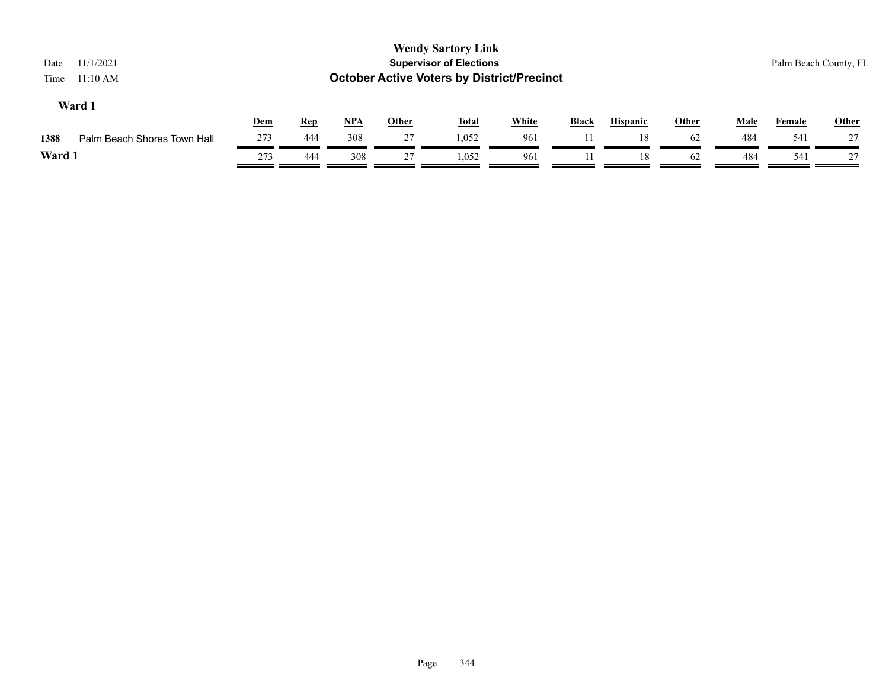| 11/1/2021<br>Date<br>11:10 AM<br>Time |            |            |            |       | <b>Wendy Sartory Link</b><br><b>Supervisor of Elections</b><br><b>October Active Voters by District/Precinct</b> |              |              |                 |       |      |        | Palm Beach County, FL |
|---------------------------------------|------------|------------|------------|-------|------------------------------------------------------------------------------------------------------------------|--------------|--------------|-----------------|-------|------|--------|-----------------------|
| Ward 1                                | <u>Dem</u> | <b>Rep</b> | <u>NPA</u> | Other | <u>Total</u>                                                                                                     | <b>White</b> | <b>Black</b> | <b>Hispanic</b> | Other | Male | Female | Other                 |
| 1388<br>Palm Beach Shores Town Hall   | 273        | 444        | 308        | 27    | 1.052                                                                                                            | 961          |              | 18              | 62    | 484  | 541    | 27                    |
| Ward 1                                | 273        | 444        | 308        | 27    | 1,052                                                                                                            | 961          |              | 18              | 62    | 484  | 541    | 27                    |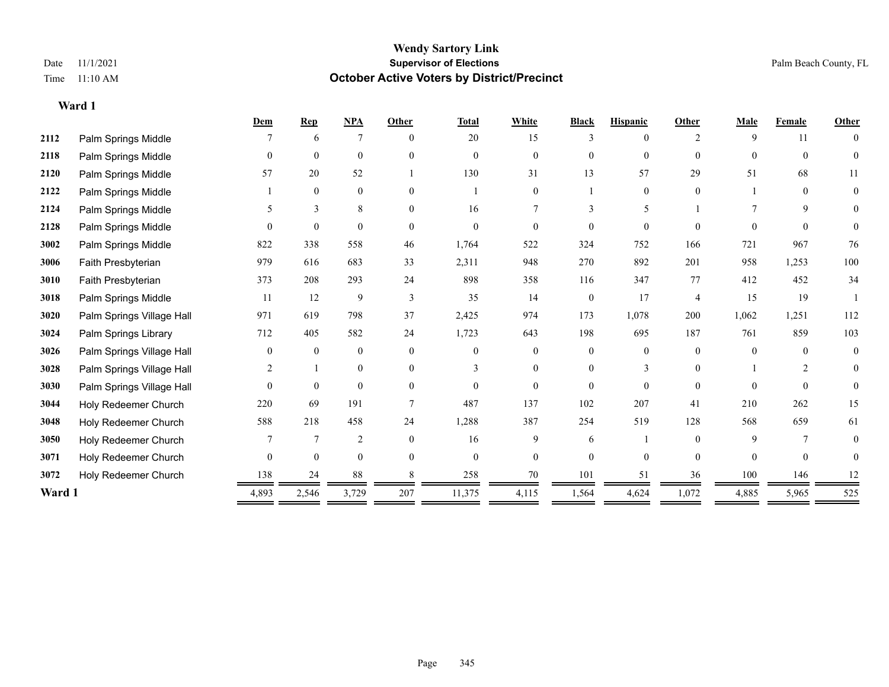|        |                           | Dem      | <b>Rep</b>       | <b>NPA</b>     | Other    | <b>Total</b> | <b>White</b>   | <b>Black</b>   | <b>Hispanic</b> | Other          | Male     | Female   | <b>Other</b> |
|--------|---------------------------|----------|------------------|----------------|----------|--------------|----------------|----------------|-----------------|----------------|----------|----------|--------------|
| 2112   | Palm Springs Middle       |          | 6                | 7              | $\Omega$ | 20           | 15             |                |                 | $\mathcal{P}$  | 9        | 11       | $\Omega$     |
| 2118   | Palm Springs Middle       | $\theta$ | $\theta$         | $\theta$       | $\theta$ | $\theta$     | $\Omega$       | 0              | $\Omega$        | $\Omega$       | 0        | $\theta$ | $\theta$     |
| 2120   | Palm Springs Middle       | 57       | 20               | 52             |          | 130          | 31             | 13             | 57              | 29             | 51       | 68       | 11           |
| 2122   | Palm Springs Middle       |          | $\mathbf{0}$     | $\mathbf{0}$   | $\Omega$ |              | $\Omega$       |                | $\Omega$        | $\theta$       |          | $\Omega$ | 0            |
| 2124   | Palm Springs Middle       | 5.       | 3                | 8              | 0        | 16           | 7              |                | 5               |                |          | 9        | 0            |
| 2128   | Palm Springs Middle       | $\Omega$ | $\mathbf{0}$     | $\mathbf{0}$   | $\Omega$ | $\theta$     | $\theta$       | 0              | $\Omega$        | $\Omega$       | $\Omega$ | $\theta$ | $\theta$     |
| 3002   | Palm Springs Middle       | 822      | 338              | 558            | 46       | 1,764        | 522            | 324            | 752             | 166            | 721      | 967      | 76           |
| 3006   | Faith Presbyterian        | 979      | 616              | 683            | 33       | 2,311        | 948            | 270            | 892             | 201            | 958      | 1,253    | 100          |
| 3010   | Faith Presbyterian        | 373      | 208              | 293            | 24       | 898          | 358            | 116            | 347             | 77             | 412      | 452      | 34           |
| 3018   | Palm Springs Middle       | 11       | 12               | 9              | 3        | 35           | 14             | $\overline{0}$ | 17              | $\overline{4}$ | 15       | 19       |              |
| 3020   | Palm Springs Village Hall | 971      | 619              | 798            | 37       | 2,425        | 974            | 173            | 1,078           | 200            | 1,062    | 1,251    | 112          |
| 3024   | Palm Springs Library      | 712      | 405              | 582            | 24       | 1,723        | 643            | 198            | 695             | 187            | 761      | 859      | 103          |
| 3026   | Palm Springs Village Hall | $\theta$ | $\mathbf{0}$     | $\mathbf{0}$   | $\theta$ | $\theta$     | $\overline{0}$ | $\Omega$       | $\Omega$        | $\theta$       | $\Omega$ | $\theta$ | $\Omega$     |
| 3028   | Palm Springs Village Hall | 2        |                  | $\mathbf{0}$   | $\Omega$ | $\mathbf{3}$ | 0              | 0              | 3               | $\Omega$       |          | 2        | 0            |
| 3030   | Palm Springs Village Hall | $\theta$ | $\boldsymbol{0}$ | $\mathbf{0}$   | $\theta$ | $\theta$     | $\theta$       | $\theta$       | $\Omega$        | $\Omega$       | $\Omega$ | $\Omega$ | 0            |
| 3044   | Holy Redeemer Church      | 220      | 69               | 191            |          | 487          | 137            | 102            | 207             | 41             | 210      | 262      | 15           |
| 3048   | Holy Redeemer Church      | 588      | 218              | 458            | 24       | 1,288        | 387            | 254            | 519             | 128            | 568      | 659      | 61           |
| 3050   | Holy Redeemer Church      |          | $\overline{7}$   | $\overline{2}$ | $\theta$ | 16           | 9              | 6              |                 | $\Omega$       | 9        |          | 0            |
| 3071   | Holy Redeemer Church      | $\theta$ | $\mathbf{0}$     | $\mathbf{0}$   | $\theta$ | $\theta$     | $\theta$       | 0              | $\Omega$        | $\theta$       | $\Omega$ | $\Omega$ | 0            |
| 3072   | Holy Redeemer Church      | 138      | 24               | 88             |          | 258          | 70             | 101            | 51              | 36             | 100      | 146      | 12           |
| Ward 1 |                           | 4,893    | 2,546            | 3,729          | 207      | 11,375       | 4,115          | 1,564          | 4,624           | 1,072          | 4,885    | 5,965    | 525          |
|        |                           |          |                  |                |          |              |                |                |                 |                |          |          |              |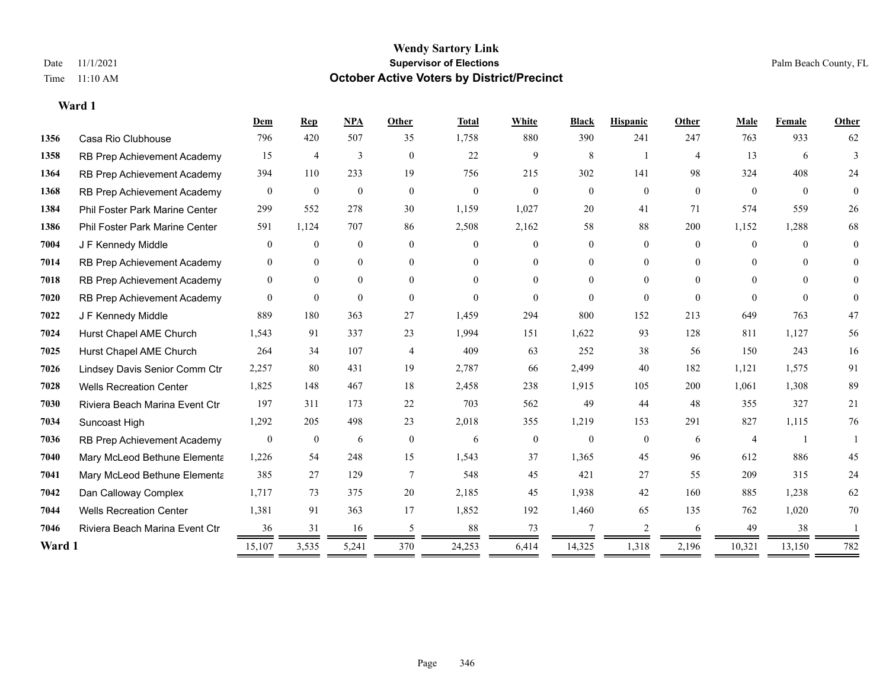|        |                                | Dem            | Rep              | NPA            | Other          | <b>Total</b> | White          | <b>Black</b> | <b>Hispanic</b> | Other        | Male           | Female         | Other          |
|--------|--------------------------------|----------------|------------------|----------------|----------------|--------------|----------------|--------------|-----------------|--------------|----------------|----------------|----------------|
| 1356   | Casa Rio Clubhouse             | 796            | 420              | 507            | 35             | 1,758        | 880            | 390          | 241             | 247          | 763            | 933            | 62             |
| 1358   | RB Prep Achievement Academy    | 15             | 4                | 3              | $\overline{0}$ | 22           | 9              | 8            |                 | 4            | 13             | 6              | 3              |
| 1364   | RB Prep Achievement Academy    | 394            | 110              | 233            | 19             | 756          | 215            | 302          | 141             | 98           | 324            | 408            | 24             |
| 1368   | RB Prep Achievement Academy    | $\overline{0}$ | $\theta$         | $\mathbf{0}$   | $\overline{0}$ | $\mathbf{0}$ | $\overline{0}$ | $\mathbf{0}$ | $\overline{0}$  | $\mathbf{0}$ | $\mathbf{0}$   | $\overline{0}$ | $\overline{0}$ |
| 1384   | Phil Foster Park Marine Center | 299            | 552              | 278            | 30             | 1,159        | 1,027          | 20           | 41              | 71           | 574            | 559            | 26             |
| 1386   | Phil Foster Park Marine Center | 591            | 1,124            | 707            | 86             | 2,508        | 2,162          | 58           | 88              | 200          | 1,152          | 1,288          | 68             |
| 7004   | J F Kennedy Middle             | $\mathbf{0}$   | $\mathbf{0}$     | $\mathbf{0}$   | $\overline{0}$ | $\Omega$     | $\overline{0}$ | $\theta$     | $\overline{0}$  | $\theta$     | $\overline{0}$ | $\Omega$       | $\theta$       |
| 7014   | RB Prep Achievement Academy    | $\overline{0}$ | $\theta$         | $\mathbf{0}$   | $\theta$       | $\Omega$     | $\overline{0}$ | 0            | $\overline{0}$  | $\theta$     | $\theta$       | $\theta$       | $\Omega$       |
| 7018   | RB Prep Achievement Academy    | $\overline{0}$ | $\mathbf{0}$     | $\overline{0}$ | $\theta$       | $\Omega$     | $\overline{0}$ | $\theta$     | $\Omega$        | $\Omega$     | $\theta$       | $\Omega$       | 0              |
| 7020   | RB Prep Achievement Academy    | $\theta$       | $\theta$         | $\theta$       | $\theta$       | $\Omega$     | $\theta$       | $\theta$     | $\theta$        | $\theta$     | $\theta$       | $\theta$       | $\theta$       |
| 7022   | J F Kennedy Middle             | 889            | 180              | 363            | 27             | 1,459        | 294            | 800          | 152             | 213          | 649            | 763            | 47             |
| 7024   | Hurst Chapel AME Church        | 1,543          | 91               | 337            | 23             | 1,994        | 151            | 1,622        | 93              | 128          | 811            | 1,127          | 56             |
| 7025   | Hurst Chapel AME Church        | 264            | 34               | 107            | $\overline{4}$ | 409          | 63             | 252          | 38              | 56           | 150            | 243            | 16             |
| 7026   | Lindsey Davis Senior Comm Ctr  | 2,257          | 80               | 431            | 19             | 2,787        | 66             | 2,499        | 40              | 182          | 1,121          | 1,575          | 91             |
| 7028   | <b>Wells Recreation Center</b> | 1,825          | 148              | 467            | 18             | 2,458        | 238            | 1,915        | 105             | 200          | 1,061          | 1,308          | 89             |
| 7030   | Riviera Beach Marina Event Ctr | 197            | 311              | 173            | 22             | 703          | 562            | 49           | 44              | 48           | 355            | 327            | 21             |
| 7034   | Suncoast High                  | 1,292          | 205              | 498            | 23             | 2,018        | 355            | 1,219        | 153             | 291          | 827            | 1,115          | 76             |
| 7036   | RB Prep Achievement Academy    | $\mathbf{0}$   | $\boldsymbol{0}$ | 6              | $\mathbf{0}$   | 6            | $\mathbf{0}$   | $\mathbf{0}$ | $\overline{0}$  | 6            | $\overline{4}$ |                |                |
| 7040   | Mary McLeod Bethune Elementa   | 1,226          | 54               | 248            | 15             | 1,543        | 37             | 1,365        | 45              | 96           | 612            | 886            | 45             |
| 7041   | Mary McLeod Bethune Elementa   | 385            | 27               | 129            | $\overline{7}$ | 548          | 45             | 421          | 27              | 55           | 209            | 315            | 24             |
| 7042   | Dan Calloway Complex           | 1,717          | 73               | 375            | 20             | 2,185        | 45             | 1,938        | 42              | 160          | 885            | 1,238          | 62             |
| 7044   | <b>Wells Recreation Center</b> | 1,381          | 91               | 363            | 17             | 1,852        | 192            | 1,460        | 65              | 135          | 762            | 1,020          | 70             |
| 7046   | Riviera Beach Marina Event Ctr | 36             | 31               | 16             | 5              | 88           | 73             | 7            | 2               | 6            | 49             | 38             |                |
| Ward 1 |                                | 15,107         | 3,535            | 5,241          | 370            | 24,253       | 6,414          | 14,325       | 1,318           | 2,196        | 10,321         | 13,150         | 782            |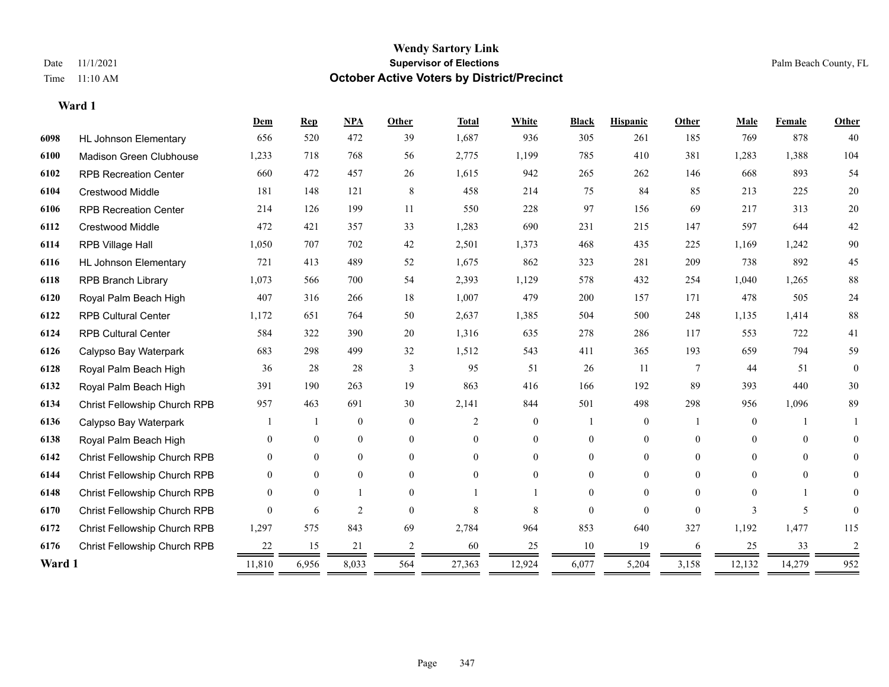|        |                                | Dem          | $\mathbf{Rep}$ | NPA            | <b>Other</b> | <b>Total</b>   | White          | <b>Black</b> | <b>Hispanic</b> | <b>Other</b>   | Male     | <b>Female</b> | Other        |
|--------|--------------------------------|--------------|----------------|----------------|--------------|----------------|----------------|--------------|-----------------|----------------|----------|---------------|--------------|
| 6098   | <b>HL Johnson Elementary</b>   | 656          | 520            | 472            | 39           | 1,687          | 936            | 305          | 261             | 185            | 769      | 878           | 40           |
| 6100   | <b>Madison Green Clubhouse</b> | 1,233        | 718            | 768            | 56           | 2,775          | 1,199          | 785          | 410             | 381            | 1,283    | 1,388         | 104          |
| 6102   | <b>RPB Recreation Center</b>   | 660          | 472            | 457            | 26           | 1,615          | 942            | 265          | 262             | 146            | 668      | 893           | 54           |
| 6104   | <b>Crestwood Middle</b>        | 181          | 148            | 121            | 8            | 458            | 214            | 75           | 84              | 85             | 213      | 225           | $20\,$       |
| 6106   | <b>RPB Recreation Center</b>   | 214          | 126            | 199            | 11           | 550            | 228            | 97           | 156             | 69             | 217      | 313           | $20\,$       |
| 6112   | <b>Crestwood Middle</b>        | 472          | 421            | 357            | 33           | 1,283          | 690            | 231          | 215             | 147            | 597      | 644           | 42           |
| 6114   | RPB Village Hall               | 1,050        | 707            | 702            | 42           | 2,501          | 1,373          | 468          | 435             | 225            | 1,169    | 1,242         | 90           |
| 6116   | <b>HL Johnson Elementary</b>   | 721          | 413            | 489            | 52           | 1,675          | 862            | 323          | 281             | 209            | 738      | 892           | 45           |
| 6118   | <b>RPB Branch Library</b>      | 1,073        | 566            | 700            | 54           | 2,393          | 1,129          | 578          | 432             | 254            | 1,040    | 1,265         | 88           |
| 6120   | Royal Palm Beach High          | 407          | 316            | 266            | 18           | 1,007          | 479            | 200          | 157             | 171            | 478      | 505           | 24           |
| 6122   | <b>RPB Cultural Center</b>     | 1,172        | 651            | 764            | 50           | 2,637          | 1,385          | 504          | 500             | 248            | 1,135    | 1,414         | $88\,$       |
| 6124   | <b>RPB Cultural Center</b>     | 584          | 322            | 390            | 20           | 1,316          | 635            | 278          | 286             | 117            | 553      | 722           | 41           |
| 6126   | Calypso Bay Waterpark          | 683          | 298            | 499            | 32           | 1,512          | 543            | 411          | 365             | 193            | 659      | 794           | 59           |
| 6128   | Royal Palm Beach High          | 36           | 28             | 28             | 3            | 95             | 51             | 26           | 11              | $\overline{7}$ | 44       | 51            | $\mathbf{0}$ |
| 6132   | Royal Palm Beach High          | 391          | 190            | 263            | 19           | 863            | 416            | 166          | 192             | 89             | 393      | 440           | 30           |
| 6134   | Christ Fellowship Church RPB   | 957          | 463            | 691            | 30           | 2,141          | 844            | 501          | 498             | 298            | 956      | 1,096         | 89           |
| 6136   | Calypso Bay Waterpark          |              |                | $\mathbf{0}$   | $\theta$     | $\mathfrak{D}$ | $\overline{0}$ |              | $\overline{0}$  |                | $\theta$ |               |              |
| 6138   | Royal Palm Beach High          | $\Omega$     | $\theta$       | $\mathbf{0}$   | $\theta$     | $\Omega$       | $\overline{0}$ | 0            | $\overline{0}$  | $\Omega$       | $\theta$ | $\Omega$      | $\theta$     |
| 6142   | Christ Fellowship Church RPB   | $\Omega$     | $\theta$       | $\theta$       | $\Omega$     | $\Omega$       | $\Omega$       | $\theta$     | $\theta$        | $\Omega$       | $\Omega$ | $\theta$      | $\theta$     |
| 6144   | Christ Fellowship Church RPB   | $\Omega$     | $\theta$       | $\theta$       | $\Omega$     | $\Omega$       | $\theta$       | 0            | $\theta$        | $\Omega$       | $\Omega$ | $\Omega$      | 0            |
| 6148   | Christ Fellowship Church RPB   | $\theta$     | $\theta$       | 1              | $\theta$     |                |                | 0            | $\theta$        | $\theta$       | $\Omega$ | 1             | $\Omega$     |
| 6170   | Christ Fellowship Church RPB   | $\Omega$     | 6              | $\overline{c}$ | $\theta$     | 8              | 8              | 0            | $\theta$        | $\theta$       | 3        | 5             | $\Omega$     |
| 6172   | Christ Fellowship Church RPB   | 1,297        | 575            | 843            | 69           | 2,784          | 964            | 853          | 640             | 327            | 1,192    | 1,477         | 115          |
| 6176   | Christ Fellowship Church RPB   | 22           | 15             | 21             | 2            | 60             | 25             | 10           | 19              | 6              | 25       | 33            | 2            |
| Ward 1 |                                | 11,810<br>== | 6,956          | 8,033<br>$=$   | 564          | 27,363         | 12,924         | 6,077        | 5,204           | 3,158          | 12,132   | 14,279        | 952          |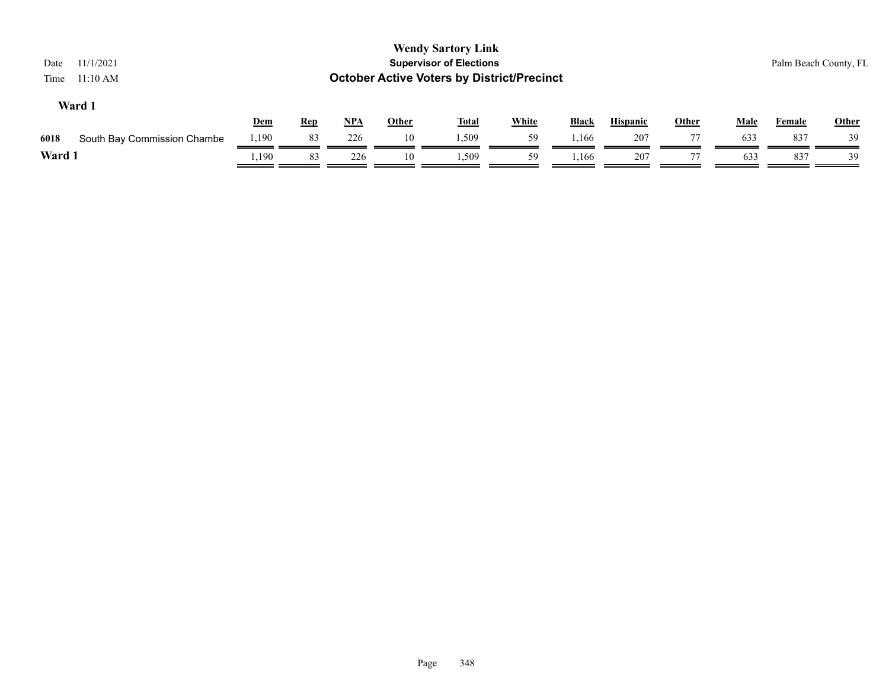| 11/1/2021<br>Date<br>11:10 AM<br>Time |       |            |       |              | <b>Wendy Sartory Link</b><br><b>Supervisor of Elections</b><br><b>October Active Voters by District/Precinct</b> |              |              |                 |              |             |               | Palm Beach County, FL |
|---------------------------------------|-------|------------|-------|--------------|------------------------------------------------------------------------------------------------------------------|--------------|--------------|-----------------|--------------|-------------|---------------|-----------------------|
| Ward 1                                | Dem   | <b>Rep</b> | $NPA$ | <b>Other</b> | <b>Total</b>                                                                                                     | <b>White</b> | <b>Black</b> | <b>Hispanic</b> | <b>Other</b> | <b>Male</b> | <b>Female</b> | <b>Other</b>          |
| 6018<br>South Bay Commission Chambe   | 1,190 | 83         | 226   | 10           | 1,509                                                                                                            | 59           | 1,166        | 207             |              | 633         | 837           | 39                    |
| Ward 1                                | .,190 | 83         | 226   | 10           | 1,509                                                                                                            | 59           | ,166         | 207             |              | 633         | 837           | 39                    |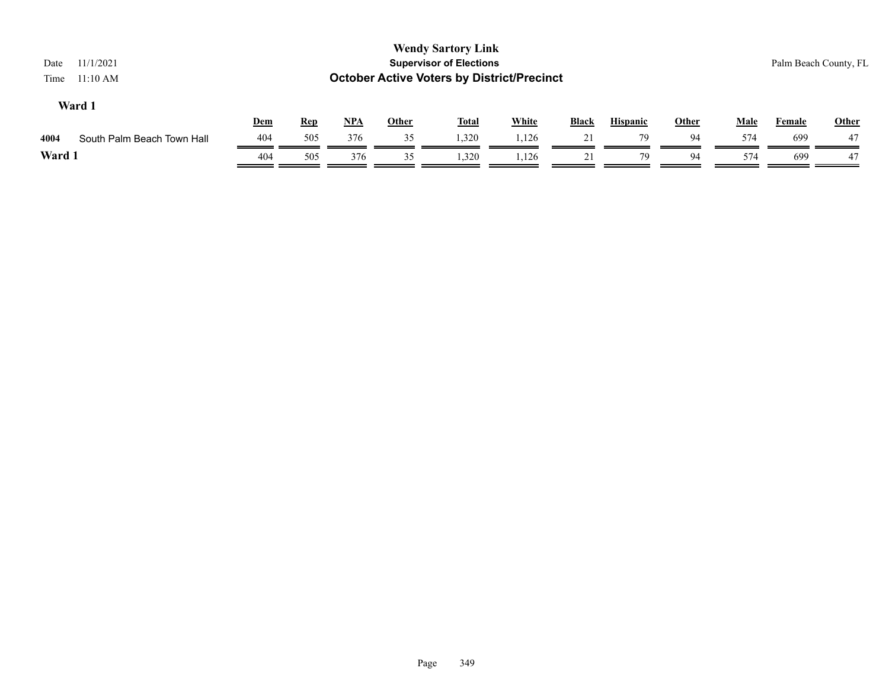| Date<br>Time | 11/1/2021<br>11:10 AM      |     |            |     |              | <b>Wendy Sartory Link</b><br><b>Supervisor of Elections</b><br><b>October Active Voters by District/Precinct</b> |              |              |                 |              |             | Palm Beach County, FL |              |
|--------------|----------------------------|-----|------------|-----|--------------|------------------------------------------------------------------------------------------------------------------|--------------|--------------|-----------------|--------------|-------------|-----------------------|--------------|
|              | Ward 1                     | Dem | <b>Rep</b> | NPA | <b>Other</b> | <b>Total</b>                                                                                                     | <b>White</b> | <b>Black</b> | <b>Hispanic</b> | <b>Other</b> | <b>Male</b> | <b>Female</b>         | <b>Other</b> |
| 4004         | South Palm Beach Town Hall | 404 | 505        | 376 | 35           | 1,320                                                                                                            | 1,126        | 21           | 79              | 94           | 574         | 699                   | 47           |
| Ward 1       |                            | 404 | 505        | 376 | 35           | 1,320                                                                                                            | 1,126        | 21           | 79              | 94           | 574         | 699                   | 47           |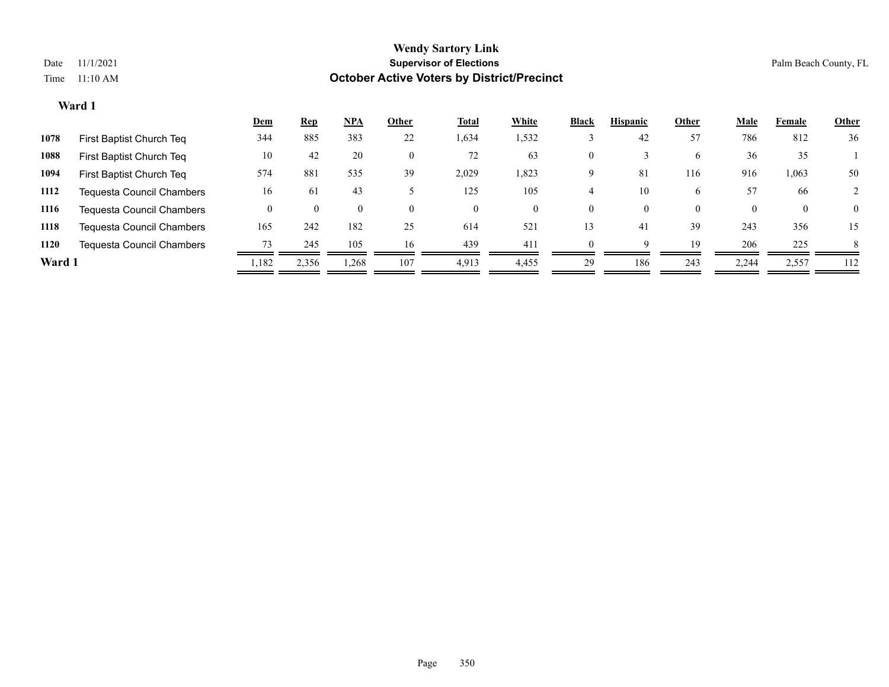|        |                                  | <b>Dem</b> | <b>Rep</b> | $NPA$    | Other    | <u>Total</u> | White | <b>Black</b>   | <b>Hispanic</b>    | Other    | <b>Male</b> | Female   | <b>Other</b> |
|--------|----------------------------------|------------|------------|----------|----------|--------------|-------|----------------|--------------------|----------|-------------|----------|--------------|
| 1078   | First Baptist Church Teq         | 344        | 885        | 383      | 22       | 1,634        | 1,532 |                | 42                 | 57       | 786         | 812      | 36           |
| 1088   | First Baptist Church Teq         | 10         | 42         | 20       | $\Omega$ | 72           | 63    | $\overline{0}$ |                    | 6        | 36          | 35       |              |
| 1094   | First Baptist Church Teq         | 574        | 881        | 535      | 39       | 2,029        | 1,823 | 9              | 81                 | 116      | 916         | 1,063    | 50           |
| 1112   | Tequesta Council Chambers        | 16         | -61        | 43       |          | 125          | 105   | 4              | 10                 | 6        | 57          | 66       |              |
| 1116   | <b>Tequesta Council Chambers</b> |            |            | $\Omega$ | $\Omega$ | $\theta$     | 0     | $\theta$       | $\left( 0 \right)$ | $\theta$ | $\theta$    | $\bf{0}$ | $\mathbf{0}$ |
| 1118   | <b>Tequesta Council Chambers</b> | 165        | 242        | 182      | 25       | 614          | 521   | 13             | 41                 | 39       | 243         | 356      | 15           |
| 1120   | Tequesta Council Chambers        | 73         | 245        | 105      | 16       | 439          | 411   | $\Omega$       | $\Omega$           | 19       | 206         | 225      | 8            |
| Ward 1 |                                  | 1,182      | 2,356      | 1,268    | 107      | 4,913        | 4,455 | 29             | 186                | 243      | 2,244       | 2,557    | 112          |
|        |                                  |            |            |          |          |              |       |                |                    |          |             |          |              |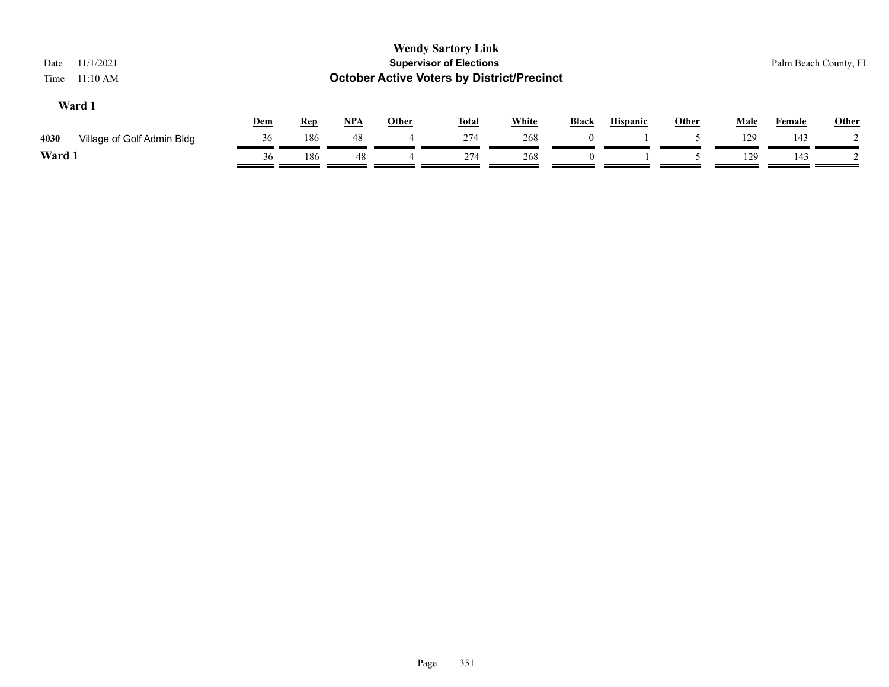| Date<br>Time | 11/1/2021<br>$11:10$ AM    |     |            |       |              | <b>Wendy Sartory Link</b><br><b>Supervisor of Elections</b><br><b>October Active Voters by District/Precinct</b> |              |          |                 |              |             |        | Palm Beach County, FL |
|--------------|----------------------------|-----|------------|-------|--------------|------------------------------------------------------------------------------------------------------------------|--------------|----------|-----------------|--------------|-------------|--------|-----------------------|
|              | Ward 1                     | Dem | <b>Rep</b> | $NPA$ | <b>Other</b> | <b>Total</b>                                                                                                     | <b>White</b> | Black    | <b>Hispanic</b> | <b>Other</b> | <b>Male</b> | Female | <b>Other</b>          |
| 4030         | Village of Golf Admin Bldg | 36  | 186        | 48    |              | 274                                                                                                              | 268          |          |                 |              | 129         | 143    |                       |
| Ward 1       |                            | 36  | 186        | 48    |              | 274                                                                                                              | 268          | $\Omega$ |                 |              | 129         | 143    |                       |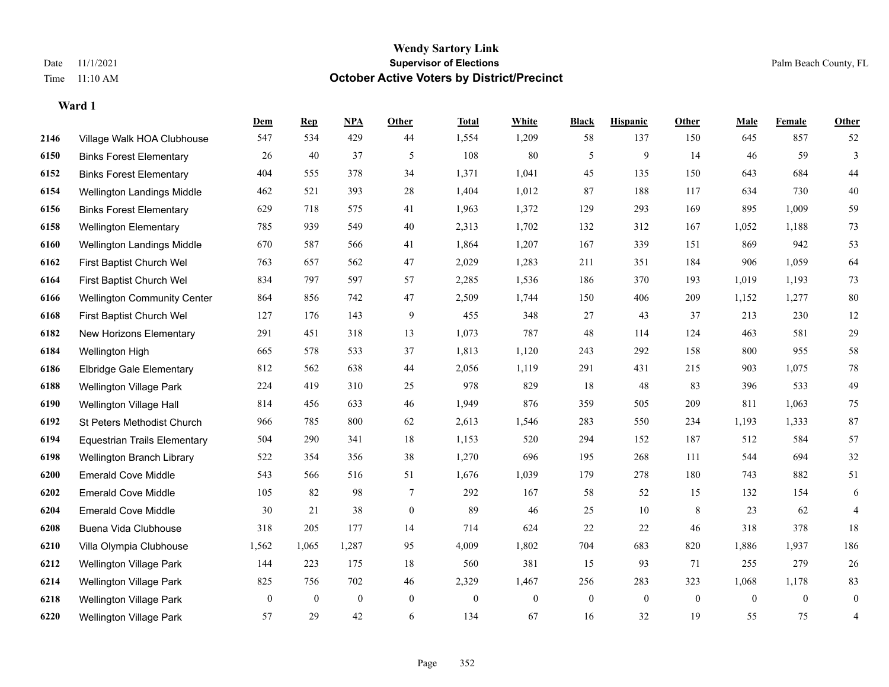### **Wendy Sartory Link** Date 11/1/2021 **Supervisor of Elections** Palm Beach County, FL Time 11:10 AM **October Active Voters by District/Precinct**

|      |                                     | Dem            | <b>Rep</b>   | NPA      | <b>Other</b>     | <b>Total</b> | <b>White</b> | <b>Black</b>     | <b>Hispanic</b> | <b>Other</b> | <b>Male</b>  | Female       | <b>Other</b>   |
|------|-------------------------------------|----------------|--------------|----------|------------------|--------------|--------------|------------------|-----------------|--------------|--------------|--------------|----------------|
| 2146 | Village Walk HOA Clubhouse          | 547            | 534          | 429      | 44               | 1,554        | 1,209        | 58               | 137             | 150          | 645          | 857          | 52             |
| 6150 | <b>Binks Forest Elementary</b>      | 26             | 40           | 37       | 5                | 108          | 80           | 5                | 9               | 14           | 46           | 59           | $\mathfrak{Z}$ |
| 6152 | <b>Binks Forest Elementary</b>      | 404            | 555          | 378      | 34               | 1,371        | 1,041        | 45               | 135             | 150          | 643          | 684          | 44             |
| 6154 | Wellington Landings Middle          | 462            | 521          | 393      | $28\,$           | 1,404        | 1,012        | 87               | 188             | 117          | 634          | 730          | 40             |
| 6156 | <b>Binks Forest Elementary</b>      | 629            | 718          | 575      | 41               | 1,963        | 1,372        | 129              | 293             | 169          | 895          | 1,009        | 59             |
| 6158 | <b>Wellington Elementary</b>        | 785            | 939          | 549      | 40               | 2,313        | 1,702        | 132              | 312             | 167          | 1,052        | 1,188        | 73             |
| 6160 | Wellington Landings Middle          | 670            | 587          | 566      | 41               | 1,864        | 1,207        | 167              | 339             | 151          | 869          | 942          | 53             |
| 6162 | First Baptist Church Wel            | 763            | 657          | 562      | 47               | 2,029        | 1,283        | 211              | 351             | 184          | 906          | 1,059        | 64             |
| 6164 | First Baptist Church Wel            | 834            | 797          | 597      | 57               | 2,285        | 1,536        | 186              | 370             | 193          | 1,019        | 1,193        | 73             |
| 6166 | <b>Wellington Community Center</b>  | 864            | 856          | 742      | 47               | 2,509        | 1,744        | 150              | 406             | 209          | 1,152        | 1,277        | 80             |
| 6168 | First Baptist Church Wel            | 127            | 176          | 143      | 9                | 455          | 348          | 27               | 43              | 37           | 213          | 230          | 12             |
| 6182 | New Horizons Elementary             | 291            | 451          | 318      | 13               | 1,073        | 787          | 48               | 114             | 124          | 463          | 581          | 29             |
| 6184 | Wellington High                     | 665            | 578          | 533      | 37               | 1,813        | 1,120        | 243              | 292             | 158          | 800          | 955          | 58             |
| 6186 | <b>Elbridge Gale Elementary</b>     | 812            | 562          | 638      | 44               | 2,056        | 1,119        | 291              | 431             | 215          | 903          | 1,075        | $78\,$         |
| 6188 | <b>Wellington Village Park</b>      | 224            | 419          | 310      | 25               | 978          | 829          | 18               | 48              | 83           | 396          | 533          | 49             |
| 6190 | Wellington Village Hall             | 814            | 456          | 633      | 46               | 1,949        | 876          | 359              | 505             | 209          | 811          | 1,063        | $75\,$         |
| 6192 | St Peters Methodist Church          | 966            | 785          | 800      | 62               | 2,613        | 1,546        | 283              | 550             | 234          | 1,193        | 1,333        | 87             |
| 6194 | <b>Equestrian Trails Elementary</b> | 504            | 290          | 341      | 18               | 1,153        | 520          | 294              | 152             | 187          | 512          | 584          | 57             |
| 6198 | Wellington Branch Library           | 522            | 354          | 356      | 38               | 1,270        | 696          | 195              | 268             | 111          | 544          | 694          | 32             |
| 6200 | <b>Emerald Cove Middle</b>          | 543            | 566          | 516      | 51               | 1,676        | 1,039        | 179              | 278             | 180          | 743          | 882          | 51             |
| 6202 | <b>Emerald Cove Middle</b>          | 105            | 82           | 98       | 7                | 292          | 167          | 58               | 52              | 15           | 132          | 154          | 6              |
| 6204 | <b>Emerald Cove Middle</b>          | 30             | 21           | 38       | $\boldsymbol{0}$ | 89           | 46           | 25               | 10              | 8            | 23           | 62           | $\overline{4}$ |
| 6208 | Buena Vida Clubhouse                | 318            | 205          | 177      | 14               | 714          | 624          | 22               | 22              | 46           | 318          | 378          | 18             |
| 6210 | Villa Olympia Clubhouse             | 1,562          | 1,065        | 1,287    | 95               | 4,009        | 1,802        | 704              | 683             | 820          | 1,886        | 1,937        | 186            |
| 6212 | <b>Wellington Village Park</b>      | 144            | 223          | 175      | 18               | 560          | 381          | 15               | 93              | 71           | 255          | 279          | 26             |
| 6214 | Wellington Village Park             | 825            | 756          | 702      | 46               | 2,329        | 1,467        | 256              | 283             | 323          | 1,068        | 1,178        | 83             |
| 6218 | <b>Wellington Village Park</b>      | $\overline{0}$ | $\mathbf{0}$ | $\bf{0}$ | $\boldsymbol{0}$ | $\mathbf{0}$ | $\mathbf{0}$ | $\boldsymbol{0}$ | $\overline{0}$  | $\mathbf{0}$ | $\mathbf{0}$ | $\mathbf{0}$ | $\mathbf{0}$   |
| 6220 | <b>Wellington Village Park</b>      | 57             | 29           | 42       | 6                | 134          | 67           | 16               | 32              | 19           | 55           | 75           | $\overline{4}$ |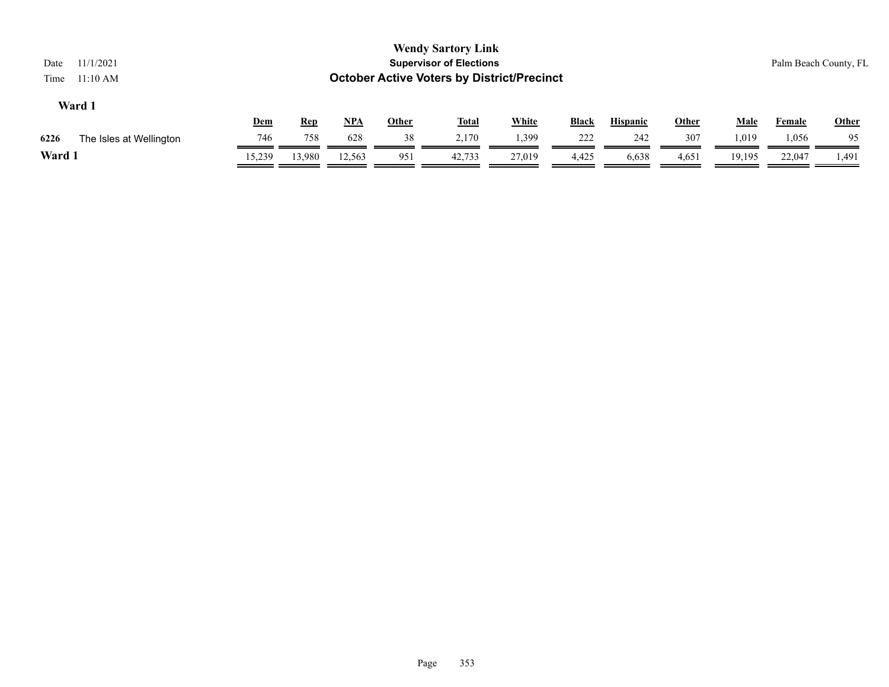| 11/1/2021<br>Date<br>$11:10$ AM<br>Time |            |            |            |              | <b>Wendy Sartory Link</b><br><b>Supervisor of Elections</b><br><b>October Active Voters by District/Precinct</b> |              |              |                 |              |             |               | Palm Beach County, FL |
|-----------------------------------------|------------|------------|------------|--------------|------------------------------------------------------------------------------------------------------------------|--------------|--------------|-----------------|--------------|-------------|---------------|-----------------------|
| Ward 1                                  | <u>Dem</u> | <u>Rep</u> | <u>NPA</u> | <b>Other</b> | <b>Total</b>                                                                                                     | <b>White</b> | <b>Black</b> | <b>Hispanic</b> | <u>Other</u> | <b>Male</b> | <b>Female</b> | <b>Other</b>          |
| 6226<br>The Isles at Wellington         | 746        | 758        | 628        | 38           | 2.170                                                                                                            | 1,399        | 222          | 242             | 307          | 1,019       | 1,056         | 95                    |
| Ward 1                                  | 15,239     | 13,980     | 12,563     | 951          | 42,733                                                                                                           | 27,019       | 4,425        | 6,638           | 4,651        | 19,195      | 22,047        | 1,491                 |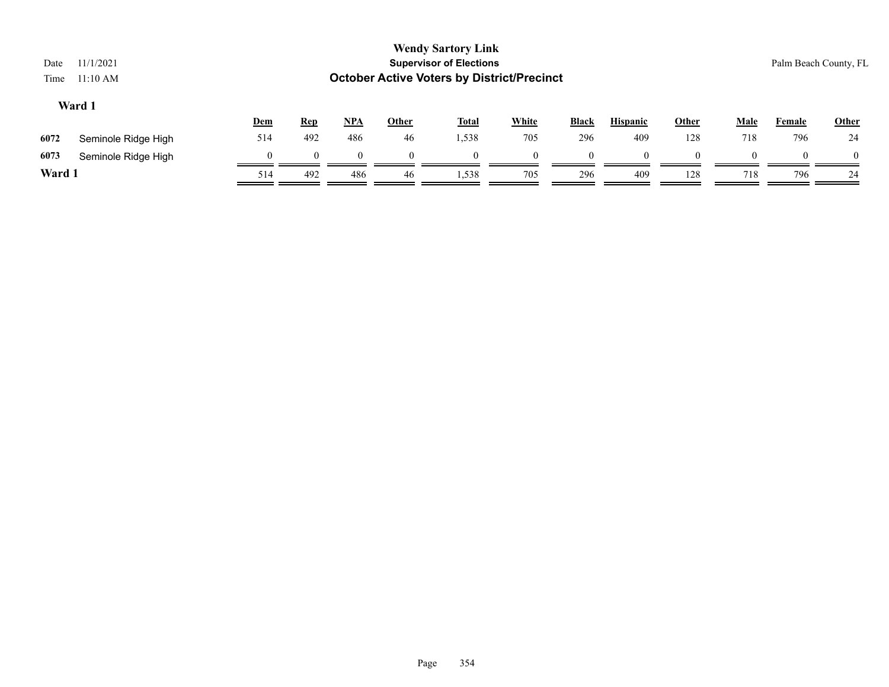| Date   | 11/1/2021           |            |            |       |              | <b>Wendy Sartory Link</b><br><b>Supervisor of Elections</b> |              |              |                 |       |             | Palm Beach County, FL |              |
|--------|---------------------|------------|------------|-------|--------------|-------------------------------------------------------------|--------------|--------------|-----------------|-------|-------------|-----------------------|--------------|
| Time   | $11:10$ AM          |            |            |       |              | <b>October Active Voters by District/Precinct</b>           |              |              |                 |       |             |                       |              |
|        | Ward 1              |            |            |       |              |                                                             |              |              |                 |       |             |                       |              |
|        |                     | <b>Dem</b> | <b>Rep</b> | $NPA$ | <b>Other</b> | <b>Total</b>                                                | <b>White</b> | <b>Black</b> | <b>Hispanic</b> | Other | <b>Male</b> | <b>Female</b>         | <b>Other</b> |
| 6072   | Seminole Ridge High | 514        | 492        | 486   | 46           | 1,538                                                       | 705          | 296          | 409             | 128   | 718         | 796                   | 24           |
| 6073   | Seminole Ridge High | $\Omega$   | $\Omega$   |       | $\theta$     | $\Omega$                                                    | $\Omega$     | $\Omega$     |                 |       | $\theta$    |                       | $\theta$     |
| Ward 1 |                     | 514        | 492        | 486   | 46           | 1,538                                                       | 705          | 296          | 409             | 128   | 718         | 796                   | 24           |
|        |                     |            |            |       |              |                                                             |              |              |                 |       |             |                       |              |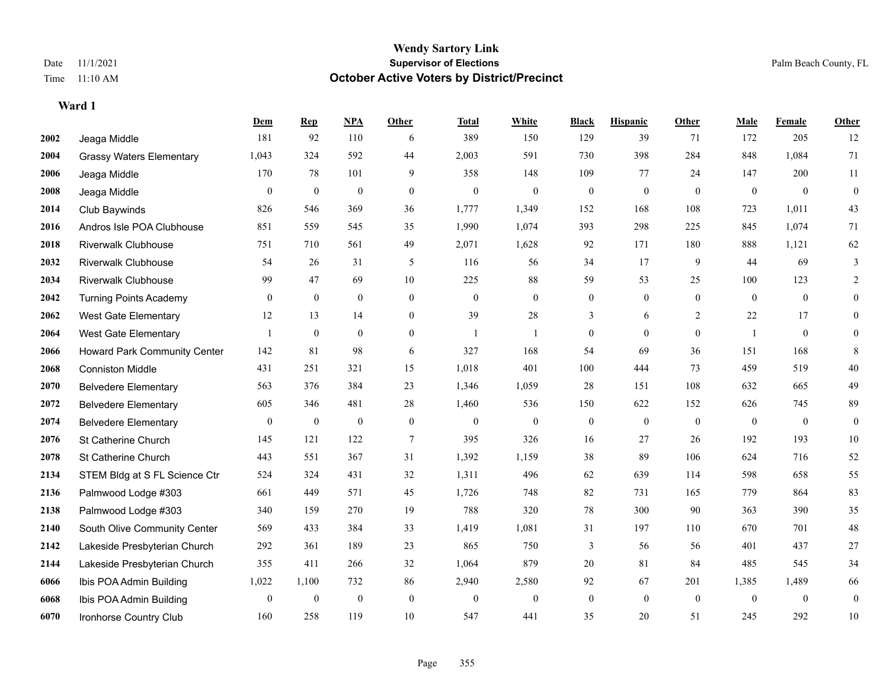#### **Wendy Sartory Link** Date 11/1/2021 **Supervisor of Elections** Palm Beach County, FL Time 11:10 AM **October Active Voters by District/Precinct**

**Dem Rep NPA Other Total White Black Hispanic Other Male Female Other**

# Jeaga Middle 181 92 110 6 389 150 129 39 71 172 205 12 Grassy Waters Elementary 1,043 324 592 44 2,003 591 730 398 284 848 1,084 71 Jeaga Middle 170 78 101 9 358 148 109 77 24 147 200 11 Jeaga Middle 0 0 0 0 0 0 0 0 0 0 0 0 Club Baywinds 826 546 369 36 1,777 1,349 152 168 108 723 1,011 43 Andros Isle POA Clubhouse 851 559 545 35 1,990 1,074 393 298 225 845 1,074 71 Riverwalk Clubhouse 751 710 561 49 2,071 1,628 92 171 180 888 1,121 62 Riverwalk Clubhouse 54 26 31 5 116 56 34 17 9 44 69 3 Riverwalk Clubhouse 99 47 69 10 225 88 59 53 25 100 123 2 Turning Points Academy 0 0 0 0 0 0 0 0 0 0 0 0 West Gate Elementary 12 13 14 0 39 28 3 6 2 22 17 0 West Gate Elementary 1 0 0 0 1 1 0 0 0 1 0 0 Howard Park Community Center 142 81 98 6 327 168 54 69 36 151 168 8 Conniston Middle 431 251 321 15 1,018 401 100 444 73 459 519 40 Belvedere Elementary 563 376 384 23 1,346 1,059 28 151 108 632 665 49 Belvedere Elementary 605 346 481 28 1,460 536 150 622 152 626 745 89 Belvedere Elementary 0 0 0 0 0 0 0 0 0 0 0 0 St Catherine Church 145 121 122 7 395 326 16 27 26 192 193 10 St Catherine Church 443 551 367 31 1,392 1,159 38 89 106 624 716 52 STEM Bldg at S FL Science Ctr 524 324 431 32 1,311 496 62 639 114 598 658 55 Palmwood Lodge #303 661 449 571 45 1,726 748 82 731 165 779 864 83 Palmwood Lodge #303 340 159 270 19 788 320 78 300 90 363 390 35 South Olive Community Center 569 433 384 33 1,419 1,081 31 197 110 670 701 48 Lakeside Presbyterian Church 292 361 189 23 865 750 3 56 56 401 437 27 Lakeside Presbyterian Church 355 411 266 32 1,064 879 20 81 84 485 545 34 Ibis POA Admin Building 1,022 1,100 732 86 2,940 2,580 92 67 201 1,385 1,489 66

 Ibis POA Admin Building 0 0 0 0 0 0 0 0 0 0 0 0 Ironhorse Country Club 160 258 119 10 547 441 35 20 51 245 292 10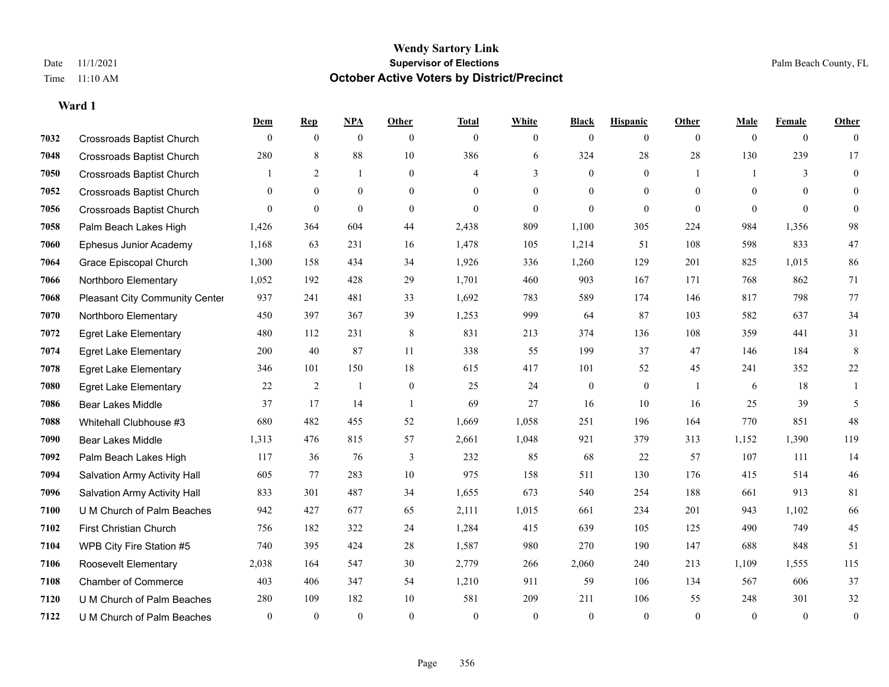#### **Wendy Sartory Link** Date 11/1/2021 Palm Beach County, FL Time 11:10 AM **October Active Voters by District/Precinct**

|      |                                       | Dem          | <b>Rep</b>     | NPA          | <b>Other</b> | <b>Total</b>   | White          | <b>Black</b>     | <b>Hispanic</b> | <b>Other</b>   | <b>Male</b>  | <b>Female</b>  | <b>Other</b> |
|------|---------------------------------------|--------------|----------------|--------------|--------------|----------------|----------------|------------------|-----------------|----------------|--------------|----------------|--------------|
| 7032 | <b>Crossroads Baptist Church</b>      | $\mathbf{0}$ | $\mathbf{0}$   | $\mathbf{0}$ | $\theta$     | $\overline{0}$ | $\overline{0}$ | $\mathbf{0}$     | $\overline{0}$  | $\overline{0}$ | $\mathbf{0}$ | $\overline{0}$ | $\theta$     |
| 7048 | <b>Crossroads Baptist Church</b>      | 280          | 8              | 88           | 10           | 386            | 6              | 324              | 28              | 28             | 130          | 239            | 17           |
| 7050 | <b>Crossroads Baptist Church</b>      |              | $\overline{2}$ | 1            | $\theta$     | 4              | 3              | $\overline{0}$   | $\overline{0}$  |                | 1            | 3              | $\mathbf{0}$ |
| 7052 | <b>Crossroads Baptist Church</b>      | $\Omega$     | $\overline{0}$ | $\mathbf{0}$ | $\mathbf{0}$ | $\Omega$       | $\overline{0}$ | $\overline{0}$   | $\overline{0}$  | $\theta$       | $\mathbf{0}$ | $\Omega$       | $\Omega$     |
| 7056 | <b>Crossroads Baptist Church</b>      | $\Omega$     | $\overline{0}$ | $\theta$     | $\theta$     | $\Omega$       | $\theta$       | $\overline{0}$   | $\theta$        | $\theta$       | $\theta$     | $\theta$       | $\mathbf{0}$ |
| 7058 | Palm Beach Lakes High                 | 1,426        | 364            | 604          | 44           | 2,438          | 809            | 1,100            | 305             | 224            | 984          | 1,356          | 98           |
| 7060 | Ephesus Junior Academy                | 1,168        | 63             | 231          | 16           | 1,478          | 105            | 1,214            | 51              | 108            | 598          | 833            | 47           |
| 7064 | Grace Episcopal Church                | 1,300        | 158            | 434          | 34           | 1,926          | 336            | 1,260            | 129             | 201            | 825          | 1,015          | 86           |
| 7066 | Northboro Elementary                  | 1,052        | 192            | 428          | 29           | 1,701          | 460            | 903              | 167             | 171            | 768          | 862            | 71           |
| 7068 | <b>Pleasant City Community Center</b> | 937          | 241            | 481          | 33           | 1,692          | 783            | 589              | 174             | 146            | 817          | 798            | 77           |
| 7070 | Northboro Elementary                  | 450          | 397            | 367          | 39           | 1,253          | 999            | 64               | 87              | 103            | 582          | 637            | 34           |
| 7072 | <b>Egret Lake Elementary</b>          | 480          | 112            | 231          | 8            | 831            | 213            | 374              | 136             | 108            | 359          | 441            | 31           |
| 7074 | <b>Egret Lake Elementary</b>          | 200          | 40             | 87           | 11           | 338            | 55             | 199              | 37              | 47             | 146          | 184            | $\,8\,$      |
| 7078 | <b>Egret Lake Elementary</b>          | 346          | 101            | 150          | 18           | 615            | 417            | 101              | 52              | 45             | 241          | 352            | $22\,$       |
| 7080 | <b>Egret Lake Elementary</b>          | 22           | $\overline{c}$ | $\mathbf{1}$ | $\bf{0}$     | 25             | 24             | $\boldsymbol{0}$ | $\mathbf{0}$    | -1             | 6            | 18             | -1           |
| 7086 | Bear Lakes Middle                     | 37           | 17             | 14           |              | 69             | 27             | 16               | 10              | 16             | 25           | 39             | 5            |
| 7088 | Whitehall Clubhouse #3                | 680          | 482            | 455          | 52           | 1,669          | 1,058          | 251              | 196             | 164            | 770          | 851            | 48           |
| 7090 | <b>Bear Lakes Middle</b>              | 1,313        | 476            | 815          | 57           | 2,661          | 1,048          | 921              | 379             | 313            | 1,152        | 1,390          | 119          |
| 7092 | Palm Beach Lakes High                 | 117          | 36             | 76           | 3            | 232            | 85             | 68               | 22              | 57             | 107          | 111            | 14           |
| 7094 | Salvation Army Activity Hall          | 605          | 77             | 283          | 10           | 975            | 158            | 511              | 130             | 176            | 415          | 514            | $46\,$       |
| 7096 | Salvation Army Activity Hall          | 833          | 301            | 487          | 34           | 1,655          | 673            | 540              | 254             | 188            | 661          | 913            | 81           |
| 7100 | U M Church of Palm Beaches            | 942          | 427            | 677          | 65           | 2,111          | 1,015          | 661              | 234             | 201            | 943          | 1,102          | 66           |
| 7102 | First Christian Church                | 756          | 182            | 322          | 24           | 1,284          | 415            | 639              | 105             | 125            | 490          | 749            | 45           |
| 7104 | WPB City Fire Station #5              | 740          | 395            | 424          | 28           | 1,587          | 980            | 270              | 190             | 147            | 688          | 848            | 51           |
| 7106 | Roosevelt Elementary                  | 2,038        | 164            | 547          | 30           | 2,779          | 266            | 2,060            | 240             | 213            | 1,109        | 1,555          | 115          |
| 7108 | <b>Chamber of Commerce</b>            | 403          | 406            | 347          | 54           | 1,210          | 911            | 59               | 106             | 134            | 567          | 606            | 37           |
| 7120 | U M Church of Palm Beaches            | 280          | 109            | 182          | 10           | 581            | 209            | 211              | 106             | 55             | 248          | 301            | 32           |
| 7122 | U M Church of Palm Beaches            | $\mathbf{0}$ | $\Omega$       | $\theta$     | $\theta$     | $\theta$       | $\theta$       | $\theta$         | $\theta$        | $\theta$       | $\theta$     | $\theta$       | $\mathbf{0}$ |